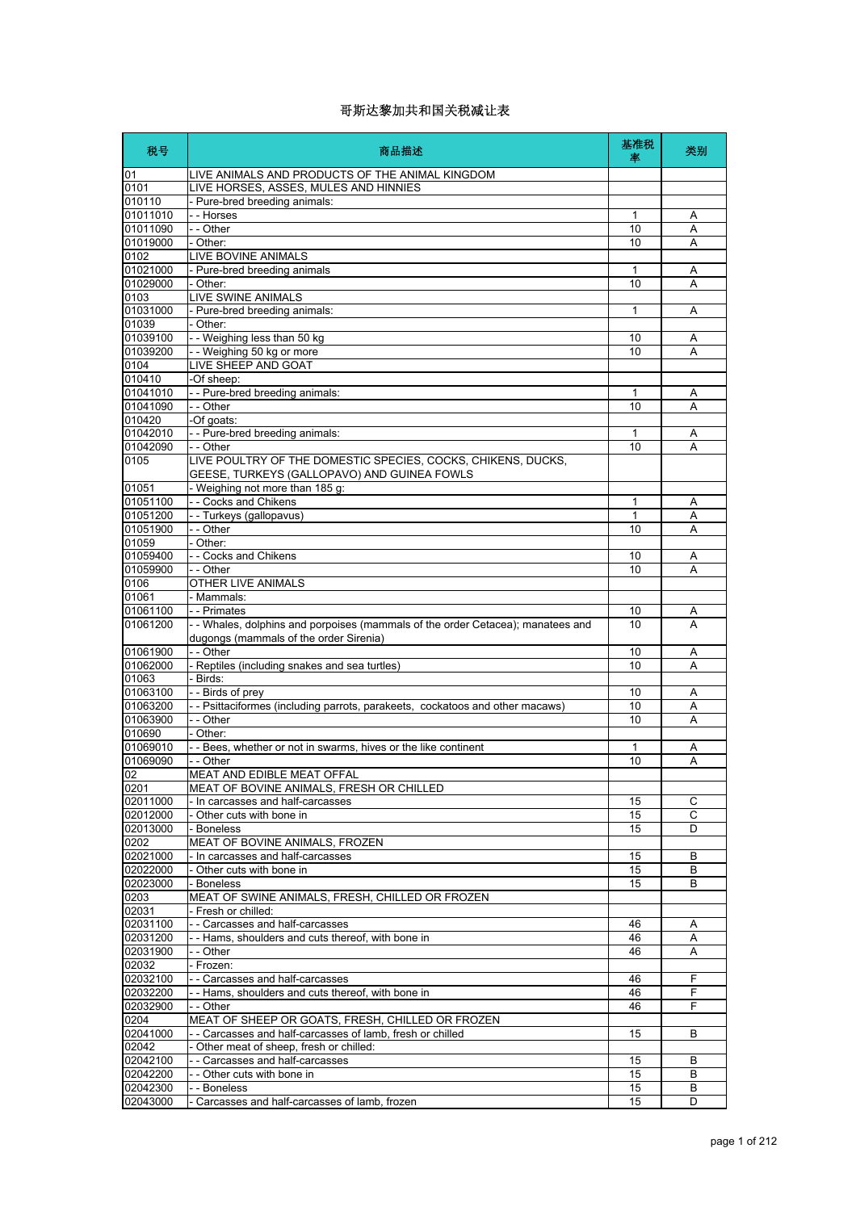| 税号                   | 商品描述                                                                                                                      | 基准税<br>率     | 类别     |
|----------------------|---------------------------------------------------------------------------------------------------------------------------|--------------|--------|
| 01                   | LIVE ANIMALS AND PRODUCTS OF THE ANIMAL KINGDOM                                                                           |              |        |
| 0101                 | LIVE HORSES, ASSES, MULES AND HINNIES                                                                                     |              |        |
| 010110               | - Pure-bred breeding animals:                                                                                             |              |        |
| 01011010             | - - Horses                                                                                                                | 1            | A      |
| 01011090<br>01019000 | - - Other<br>- Other:                                                                                                     | 10<br>10     | Α<br>A |
| 0102                 | LIVE BOVINE ANIMALS                                                                                                       |              |        |
| 01021000             | - Pure-bred breeding animals                                                                                              | 1            | Α      |
| 01029000             | - Other:                                                                                                                  | 10           | A      |
| 0103                 | LIVE SWINE ANIMALS                                                                                                        |              |        |
| 01031000             | - Pure-bred breeding animals:                                                                                             | $\mathbf{1}$ | A      |
| 01039                | - Other:                                                                                                                  |              |        |
| 01039100             | -- Weighing less than 50 kg                                                                                               | 10           | Α      |
| 01039200             | -- Weighing 50 kg or more                                                                                                 | 10           | A      |
| 0104                 | LIVE SHEEP AND GOAT                                                                                                       |              |        |
| 010410               | -Of sheep:                                                                                                                |              |        |
| 01041010<br>01041090 | - - Pure-bred breeding animals:<br>- - Other                                                                              | 1<br>10      | Α<br>A |
| 010420               | -Of goats:                                                                                                                |              |        |
| 01042010             | - - Pure-bred breeding animals:                                                                                           | 1            | Α      |
| 01042090             | - - Other                                                                                                                 | 10           | A      |
| 0105                 | LIVE POULTRY OF THE DOMESTIC SPECIES, COCKS, CHIKENS, DUCKS,<br>GEESE, TURKEYS (GALLOPAVO) AND GUINEA FOWLS               |              |        |
| 01051                | - Weighing not more than 185 g:                                                                                           |              |        |
| 01051100             | - - Cocks and Chikens                                                                                                     | 1            | Α      |
| 01051200             | - - Turkeys (gallopavus)                                                                                                  | 1            | Α      |
| 01051900             | - - Other                                                                                                                 | 10           | A      |
| 01059                | - Other:                                                                                                                  |              |        |
| 01059400             | - - Cocks and Chikens                                                                                                     | 10           | Α      |
| 01059900<br>0106     | - - Other<br>OTHER LIVE ANIMALS                                                                                           | 10           | A      |
| 01061                | - Mammals:                                                                                                                |              |        |
| 01061100             | - - Primates                                                                                                              | 10           | Α      |
| 01061200             | - - Whales, dolphins and porpoises (mammals of the order Cetacea); manatees and<br>dugongs (mammals of the order Sirenia) | 10           | A      |
| 01061900             | - - Other                                                                                                                 | 10           | Α      |
| 01062000             | - Reptiles (including snakes and sea turtles)                                                                             | 10           | A      |
| 01063                | - Birds:                                                                                                                  |              |        |
| 01063100             | - - Birds of prey                                                                                                         | 10           | Α      |
| 01063200             | - - Psittaciformes (including parrots, parakeets, cockatoos and other macaws)                                             | 10           | A      |
| 01063900             | - - Other                                                                                                                 | 10           | Α      |
| 010690               | - Other:                                                                                                                  |              |        |
| 01069010<br>01069090 | - - Bees, whether or not in swarms, hives or the like continent<br>- - Other                                              | 1<br>10      | Α<br>A |
| 02                   | MEAT AND EDIBLE MEAT OFFAL                                                                                                |              |        |
| 0201                 | MEAT OF BOVINE ANIMALS, FRESH OR CHILLED                                                                                  |              |        |
| 02011000             | - In carcasses and half-carcasses                                                                                         | 15           | C      |
| 02012000             | - Other cuts with bone in                                                                                                 | 15           | C      |
| 02013000             | - Boneless                                                                                                                | 15           | D      |
| 0202                 | MEAT OF BOVINE ANIMALS, FROZEN                                                                                            |              |        |
| 02021000             | - In carcasses and half-carcasses                                                                                         | 15           | B      |
| 02022000             | - Other cuts with bone in                                                                                                 | 15           | B      |
| 02023000             | - Boneless<br>MEAT OF SWINE ANIMALS, FRESH, CHILLED OR FROZEN                                                             | 15           | B      |
| 0203<br>02031        | - Fresh or chilled:                                                                                                       |              |        |
| 02031100             | - - Carcasses and half-carcasses                                                                                          | 46           | Α      |
| 02031200             | -- Hams, shoulders and cuts thereof, with bone in                                                                         | 46           | Α      |
| 02031900             | - - Other                                                                                                                 | 46           | A      |
| 02032                | - Frozen:                                                                                                                 |              |        |
| 02032100             | - - Carcasses and half-carcasses                                                                                          | 46           | F      |
| 02032200             | -- Hams, shoulders and cuts thereof, with bone in                                                                         | 46           | F      |
| 02032900             | - - Other                                                                                                                 | 46           | F      |
| 0204                 | MEAT OF SHEEP OR GOATS, FRESH, CHILLED OR FROZEN                                                                          |              |        |
| 02041000             | - - Carcasses and half-carcasses of lamb, fresh or chilled                                                                | 15           | B      |
| 02042<br>02042100    | - Other meat of sheep, fresh or chilled:                                                                                  |              |        |
| 02042200             | - - Carcasses and half-carcasses<br>- - Other cuts with bone in                                                           | 15<br>15     | B<br>B |
| 02042300             | - - Boneless                                                                                                              | 15           | B      |
| 02043000             | - Carcasses and half-carcasses of lamb, frozen                                                                            | 15           | D      |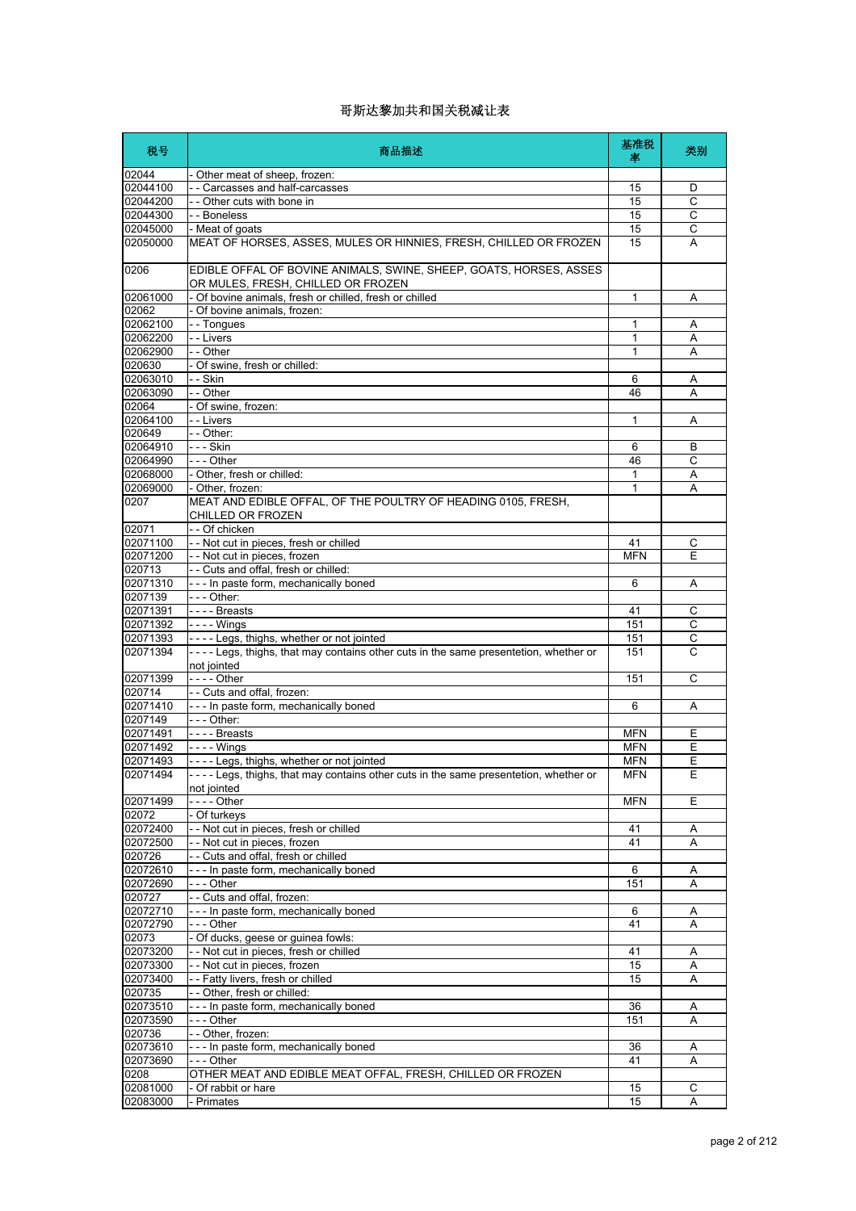| 税号                   | 商品描述                                                                                                     | 基准税<br>坙     | 类别                  |
|----------------------|----------------------------------------------------------------------------------------------------------|--------------|---------------------|
| 02044                | - Other meat of sheep, frozen:                                                                           |              |                     |
| 02044100             | - - Carcasses and half-carcasses                                                                         | 15           | D                   |
| 02044200             | - - Other cuts with bone in                                                                              | 15           | C                   |
| 02044300             | - - Boneless                                                                                             | 15           | $\overline{c}$      |
| 02045000             | - Meat of goats                                                                                          | 15           | С                   |
| 02050000             | MEAT OF HORSES, ASSES, MULES OR HINNIES, FRESH, CHILLED OR FROZEN                                        | 15           | A                   |
| 0206                 | EDIBLE OFFAL OF BOVINE ANIMALS, SWINE, SHEEP, GOATS, HORSES, ASSES<br>OR MULES, FRESH, CHILLED OR FROZEN |              |                     |
| 02061000             | - Of bovine animals, fresh or chilled, fresh or chilled                                                  | $\mathbf{1}$ | Α                   |
| 02062                | - Of bovine animals, frozen:                                                                             |              |                     |
| 02062100<br>02062200 | - - Tongues<br>- - Livers                                                                                | 1<br>1       | Α<br>A              |
| 02062900             | - - Other                                                                                                | 1            | Α                   |
| 020630               | - Of swine, fresh or chilled:                                                                            |              |                     |
| 02063010             | - - Skin                                                                                                 | 6            | A                   |
| 02063090             | - - Other                                                                                                | 46           | A                   |
| 02064                | - Of swine, frozen:                                                                                      |              |                     |
| 02064100             | - - Livers                                                                                               | 1            | Α                   |
| 020649               | - - Other:                                                                                               |              |                     |
| 02064910             | - - - Skin                                                                                               | 6            | B                   |
| 02064990             | $- -$ Other                                                                                              | 46           | C                   |
| 02068000             | - Other, fresh or chilled:                                                                               | $\mathbf{1}$ | Α                   |
| 02069000<br>0207     | - Other, frozen:<br>MEAT AND EDIBLE OFFAL, OF THE POULTRY OF HEADING 0105, FRESH,<br>CHILLED OR FROZEN   | 1            | A                   |
| 02071                | - - Of chicken                                                                                           |              |                     |
| 02071100             | - - Not cut in pieces, fresh or chilled                                                                  | 41           | C                   |
| 02071200             | - - Not cut in pieces, frozen                                                                            | <b>MFN</b>   | E                   |
| 020713               | -- Cuts and offal, fresh or chilled:                                                                     |              |                     |
| 02071310             | - - - In paste form, mechanically boned                                                                  | 6            | Α                   |
| 0207139              | - - - Other:                                                                                             |              |                     |
| 02071391             | $---$ Breasts                                                                                            | 41           | С                   |
| 02071392<br>02071393 | $--$ - Wings<br>---- Legs, thighs, whether or not jointed                                                | 151<br>151   | С<br>$\overline{C}$ |
| 02071394             | ----Legs, thighs, that may contains other cuts in the same presentetion, whether or<br>not jointed       | 151          | C                   |
| 02071399             | - - - - Other                                                                                            | 151          | C                   |
| 020714<br>02071410   | -- Cuts and offal, frozen:<br>- - - In paste form, mechanically boned                                    | 6            | Α                   |
| 0207149              | - - - Other:                                                                                             |              |                     |
| 02071491             | $\vert$ - - - Breasts                                                                                    | <b>MFN</b>   | Ε                   |
| 02071492             | $- - -$ Wings                                                                                            | <b>MFN</b>   | Ε                   |
| 02071493             | ---- Legs, thighs, whether or not jointed                                                                | <b>MFN</b>   | E                   |
| 02071494             | ---- Legs, thighs, that may contains other cuts in the same presentetion, whether or<br>not jointed      | <b>MFN</b>   | Ε                   |
| 02071499             |                                                                                                          | <b>MFN</b>   | E                   |
| 02072                | - Of turkeys                                                                                             |              |                     |
| 02072400             | - - Not cut in pieces, fresh or chilled                                                                  | 41           | Α                   |
| 02072500             | - - Not cut in pieces, frozen                                                                            | 41           | Α                   |
| 020726<br>02072610   | - - Cuts and offal, fresh or chilled<br>--- In paste form, mechanically boned                            | 6            | Α                   |
| 02072690             | --- Other                                                                                                | 151          | A                   |
| 020727               | - - Cuts and offal, frozen:                                                                              |              |                     |
| 02072710             | --- In paste form, mechanically boned                                                                    | 6            | Α                   |
| 02072790             | --- Other                                                                                                | 41           | Α                   |
| 02073                | - Of ducks, geese or guinea fowls:                                                                       |              |                     |
| 02073200             | - - Not cut in pieces, fresh or chilled                                                                  | 41           | Α                   |
| 02073300             | - - Not cut in pieces, frozen                                                                            | 15           | Α                   |
| 02073400             | - - Fatty livers, fresh or chilled                                                                       | 15           | Α                   |
| 020735               | -- Other, fresh or chilled:                                                                              |              |                     |
| 02073510<br>02073590 | --- In paste form, mechanically boned                                                                    | 36<br>151    | A<br>Α              |
| 020736               | - - - Other<br>- - Other, frozen:                                                                        |              |                     |
| 02073610             | --- In paste form, mechanically boned                                                                    | 36           | Α                   |
| 02073690             | --- Other                                                                                                | 41           | A                   |
| 0208                 | OTHER MEAT AND EDIBLE MEAT OFFAL, FRESH, CHILLED OR FROZEN                                               |              |                     |
| 02081000             | - Of rabbit or hare                                                                                      | 15           | С                   |
| 02083000             | - Primates                                                                                               | 15           | A                   |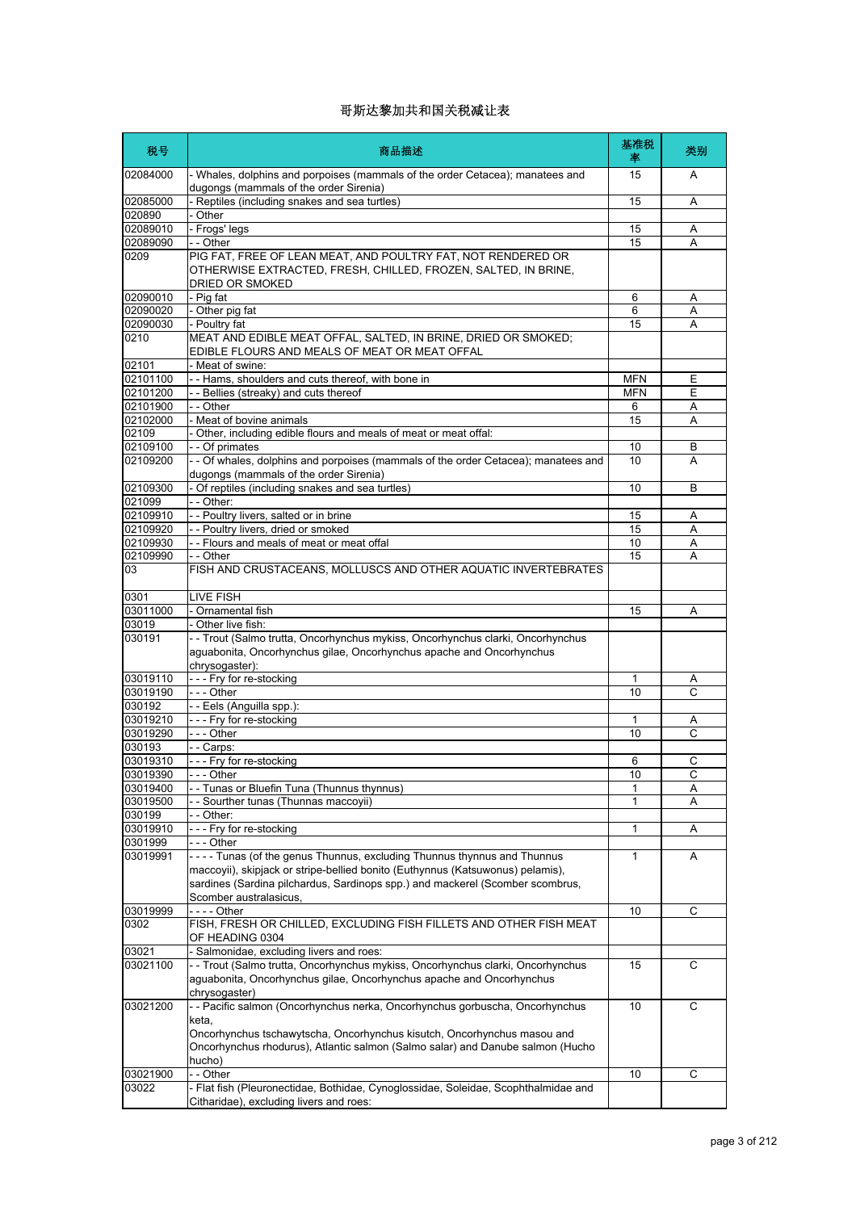| 税号                   | 商品描述                                                                                                                                                                                                                                                                 | 基准税<br>率   | 类别     |
|----------------------|----------------------------------------------------------------------------------------------------------------------------------------------------------------------------------------------------------------------------------------------------------------------|------------|--------|
| 02084000             | - Whales, dolphins and porpoises (mammals of the order Cetacea); manatees and<br>dugongs (mammals of the order Sirenia)                                                                                                                                              | 15         | A      |
| 02085000             | - Reptiles (including snakes and sea turtles)                                                                                                                                                                                                                        | 15         | Α      |
| 020890               | - Other                                                                                                                                                                                                                                                              |            |        |
| 02089010<br>02089090 | - Frogs' legs<br>- - Other                                                                                                                                                                                                                                           | 15<br>15   | Α<br>A |
| 0209                 | PIG FAT, FREE OF LEAN MEAT, AND POULTRY FAT, NOT RENDERED OR                                                                                                                                                                                                         |            |        |
|                      | OTHERWISE EXTRACTED, FRESH, CHILLED, FROZEN, SALTED, IN BRINE,<br>DRIED OR SMOKED                                                                                                                                                                                    |            |        |
| 02090010             | - Pia fat                                                                                                                                                                                                                                                            | 6          | Α      |
| 02090020             | - Other pig fat                                                                                                                                                                                                                                                      | 6          | Α      |
| 02090030             | - Poultry fat                                                                                                                                                                                                                                                        | 15         | A      |
| 0210                 | MEAT AND EDIBLE MEAT OFFAL, SALTED, IN BRINE, DRIED OR SMOKED;<br>EDIBLE FLOURS AND MEALS OF MEAT OR MEAT OFFAL                                                                                                                                                      |            |        |
| 02101                | - Meat of swine:                                                                                                                                                                                                                                                     |            |        |
| 02101100             | - - Hams, shoulders and cuts thereof, with bone in                                                                                                                                                                                                                   | <b>MFN</b> | Ε      |
| 02101200             | - - Bellies (streaky) and cuts thereof                                                                                                                                                                                                                               | <b>MFN</b> | Ε      |
| 02101900<br>02102000 | - - Other<br>- Meat of bovine animals                                                                                                                                                                                                                                | 6<br>15    | A<br>Α |
| 02109                | Other, including edible flours and meals of meat or meat offal:                                                                                                                                                                                                      |            |        |
| 02109100             | - - Of primates                                                                                                                                                                                                                                                      | 10         | B      |
| 02109200             | - - Of whales, dolphins and porpoises (mammals of the order Cetacea); manatees and                                                                                                                                                                                   | 10         | A      |
| 02109300             | dugongs (mammals of the order Sirenia)                                                                                                                                                                                                                               |            |        |
| 021099               | - Of reptiles (including snakes and sea turtles)<br>- - Other:                                                                                                                                                                                                       | 10         | B      |
| 02109910             | - - Poultry livers, salted or in brine                                                                                                                                                                                                                               | 15         | Α      |
| 02109920             | - - Poultry livers, dried or smoked                                                                                                                                                                                                                                  | 15         | A      |
| 02109930             | -- Flours and meals of meat or meat offal                                                                                                                                                                                                                            | 10         | Α      |
| 02109990             | - - Other                                                                                                                                                                                                                                                            | 15         | A      |
| 03                   | FISH AND CRUSTACEANS, MOLLUSCS AND OTHER AQUATIC INVERTEBRATES                                                                                                                                                                                                       |            |        |
| 0301                 | LIVE FISH                                                                                                                                                                                                                                                            |            |        |
| 03011000             | - Ornamental fish                                                                                                                                                                                                                                                    | 15         | A      |
| 03019                | Other live fish:                                                                                                                                                                                                                                                     |            |        |
| 030191               | - - Trout (Salmo trutta, Oncorhynchus mykiss, Oncorhynchus clarki, Oncorhynchus<br>aguabonita, Oncorhynchus gilae, Oncorhynchus apache and Oncorhynchus                                                                                                              |            |        |
|                      | chrysogaster):                                                                                                                                                                                                                                                       |            |        |
| 03019110             | --- Fry for re-stocking                                                                                                                                                                                                                                              | 1          | A      |
| 03019190<br>030192   | --- Other<br>- - Eels (Anguilla spp.):                                                                                                                                                                                                                               | 10         | C      |
| 03019210             | --- Fry for re-stocking                                                                                                                                                                                                                                              | 1          | Α      |
| 03019290             | - - - Other                                                                                                                                                                                                                                                          | 10         | C      |
| 030193               | - - Carps:                                                                                                                                                                                                                                                           |            |        |
| 03019310             | --- Fry for re-stocking                                                                                                                                                                                                                                              | 6          | С      |
| 03019390             | $-$ - Other                                                                                                                                                                                                                                                          | 10         | C      |
| 03019400             | - Tunas or Bluefin Tuna (Thunnus thynnus)                                                                                                                                                                                                                            | 1          | Α      |
| 03019500             | Sourther tunas (Thunnas maccoyii)                                                                                                                                                                                                                                    | 1          | A      |
| 030199               | - - Other:                                                                                                                                                                                                                                                           |            |        |
| 03019910             | - - - Fry for re-stocking                                                                                                                                                                                                                                            | 1          | Α      |
| 0301999              | --- Other                                                                                                                                                                                                                                                            |            |        |
| 03019991             | ---- Tunas (of the genus Thunnus, excluding Thunnus thynnus and Thunnus<br>maccoyii), skipjack or stripe-bellied bonito (Euthynnus (Katsuwonus) pelamis),<br>sardines (Sardina pilchardus, Sardinops spp.) and mackerel (Scomber scombrus,<br>Scomber australasicus. | 1          | Α      |
| 03019999             |                                                                                                                                                                                                                                                                      | 10         | С      |
| 0302                 | FISH, FRESH OR CHILLED, EXCLUDING FISH FILLETS AND OTHER FISH MEAT                                                                                                                                                                                                   |            |        |
| 03021                | OF HEADING 0304<br>- Salmonidae, excluding livers and roes:                                                                                                                                                                                                          |            |        |
| 03021100             | - - Trout (Salmo trutta, Oncorhynchus mykiss, Oncorhynchus clarki, Oncorhynchus<br>aguabonita, Oncorhynchus gilae, Oncorhynchus apache and Oncorhynchus                                                                                                              | 15         | С      |
| 03021200             | chrysogaster)<br>-- Pacific salmon (Oncorhynchus nerka, Oncorhynchus gorbuscha, Oncorhynchus                                                                                                                                                                         | 10         | С      |
|                      | keta,<br>Oncorhynchus tschawytscha, Oncorhynchus kisutch, Oncorhynchus masou and<br>Oncorhynchus rhodurus), Atlantic salmon (Salmo salar) and Danube salmon (Hucho<br>hucho)                                                                                         |            |        |
| 03021900             | - - Other                                                                                                                                                                                                                                                            | 10         | С      |
| 03022                | - Flat fish (Pleuronectidae, Bothidae, Cynoglossidae, Soleidae, Scophthalmidae and<br>Citharidae), excluding livers and roes:                                                                                                                                        |            |        |
|                      |                                                                                                                                                                                                                                                                      |            |        |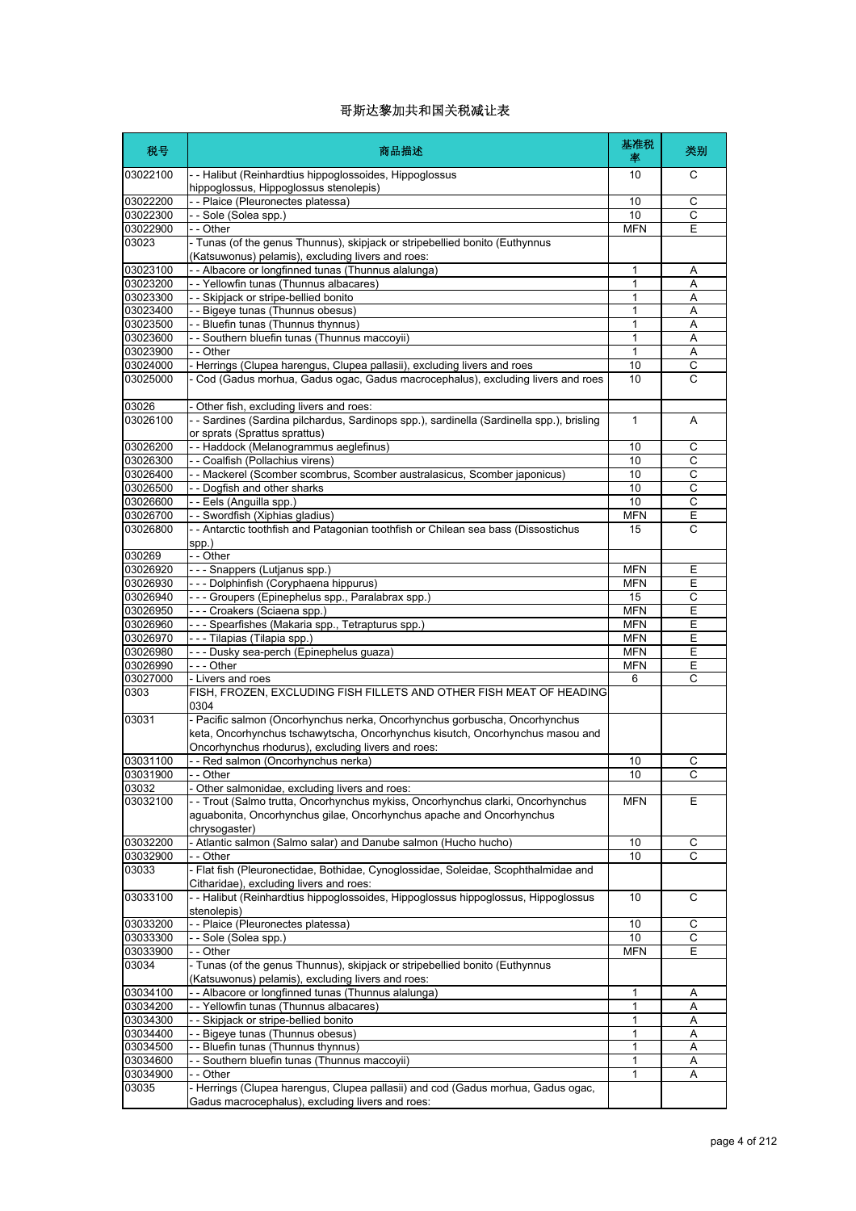| 税号                | 商品描述                                                                                                                             | 基准税<br>率     | 类别             |
|-------------------|----------------------------------------------------------------------------------------------------------------------------------|--------------|----------------|
| 03022100          | - - Halibut (Reinhardtius hippoglossoides, Hippoglossus<br>hippoglossus, Hippoglossus stenolepis)                                | 10           | C              |
| 03022200          | - - Plaice (Pleuronectes platessa)                                                                                               | 10           | С              |
| 03022300          | -- Sole (Solea spp.)                                                                                                             | 10           | $\overline{c}$ |
| 03022900          | - - Other                                                                                                                        | <b>MFN</b>   | Ε              |
| 03023             | - Tunas (of the genus Thunnus), skipjack or stripebellied bonito (Euthynnus<br>(Katsuwonus) pelamis), excluding livers and roes: |              |                |
| 03023100          | - Albacore or longfinned tunas (Thunnus alalunga)                                                                                | 1            | Α              |
| 03023200          | - - Yellowfin tunas (Thunnus albacares)                                                                                          | $\mathbf{1}$ | A              |
| 03023300          | -- Skipjack or stripe-bellied bonito                                                                                             | 1            | Α              |
| 03023400          | - - Bigeye tunas (Thunnus obesus)                                                                                                | 1            | Α              |
| 03023500          | -- Bluefin tunas (Thunnus thynnus)                                                                                               | 1            | A              |
| 03023600          | - - Southern bluefin tunas (Thunnus maccoyii)                                                                                    | 1            | Α              |
| 03023900          | $-$ - Other                                                                                                                      | $\mathbf{1}$ | Α              |
| 03024000          | - Herrings (Clupea harengus, Clupea pallasii), excluding livers and roes                                                         | 10           | С              |
| 03025000          | - Cod (Gadus morhua, Gadus ogac, Gadus macrocephalus), excluding livers and roes                                                 | 10           | C              |
| 03026             | - Other fish, excluding livers and roes:                                                                                         |              |                |
| 03026100          | - - Sardines (Sardina pilchardus, Sardinops spp.), sardinella (Sardinella spp.), brisling                                        | 1            | Α              |
|                   | or sprats (Sprattus sprattus)                                                                                                    |              |                |
| 03026200          | - - Haddock (Melanogrammus aeglefinus)                                                                                           | 10           | $\mathsf{C}$   |
| 03026300          | - - Coalfish (Pollachius virens)                                                                                                 | 10           | С              |
| 03026400          | - - Mackerel (Scomber scombrus, Scomber australasicus, Scomber japonicus)                                                        | 10           | C              |
| 03026500          | - - Dogfish and other sharks                                                                                                     | 10           | С              |
| 03026600          | - - Eels (Anguilla spp.)                                                                                                         | 10           | С              |
| 03026700          | - - Swordfish (Xiphias gladius)                                                                                                  | <b>MFN</b>   | Ε              |
| 03026800          | - - Antarctic toothfish and Patagonian toothfish or Chilean sea bass (Dissostichus<br>spp.)                                      | 15           | C              |
| 030269            | $ \overline{Other}$                                                                                                              |              |                |
| 03026920          | - - - Snappers (Lutjanus spp.)                                                                                                   | <b>MFN</b>   | Ε              |
| 03026930          | - - - Dolphinfish (Coryphaena hippurus)                                                                                          | <b>MFN</b>   | Ε              |
| 03026940          | - - - Groupers (Epinephelus spp., Paralabrax spp.)                                                                               | 15           | С              |
| 03026950          | --- Croakers (Sciaena spp.)                                                                                                      | <b>MFN</b>   | Ε              |
| 03026960          | - - - Spearfishes (Makaria spp., Tetrapturus spp.)                                                                               | <b>MFN</b>   | Ε              |
| 03026970          | - - - Tilapias (Tilapia spp.)                                                                                                    | <b>MFN</b>   | E              |
| 03026980          | - - - Dusky sea-perch (Epinephelus guaza)                                                                                        | <b>MFN</b>   | Ε              |
| 03026990          | --- Other                                                                                                                        | <b>MFN</b>   | E              |
| 03027000          | - Livers and roes                                                                                                                | 6            | C              |
| 0303              | FISH, FROZEN, EXCLUDING FISH FILLETS AND OTHER FISH MEAT OF HEADING<br>0304                                                      |              |                |
| 03031             | - Pacific salmon (Oncorhynchus nerka, Oncorhynchus gorbuscha, Oncorhynchus                                                       |              |                |
|                   | keta, Oncorhynchus tschawytscha, Oncorhynchus kisutch, Oncorhynchus masou and                                                    |              |                |
|                   | Oncorhynchus rhodurus), excluding livers and roes:                                                                               |              |                |
| 03031100          | - - Red salmon (Oncorhynchus nerka)                                                                                              | 10           | С              |
| 03031900          | - Other                                                                                                                          | 10           | C              |
| 03032             | - Other salmonidae, excluding livers and roes:                                                                                   |              |                |
| 03032100          | - - Trout (Salmo trutta, Oncorhynchus mykiss, Oncorhynchus clarki, Oncorhynchus                                                  | <b>MFN</b>   | Е              |
|                   | aguabonita, Oncorhynchus gilae, Oncorhynchus apache and Oncorhynchus<br>chrysogaster)                                            |              |                |
| 03032200          | - Atlantic salmon (Salmo salar) and Danube salmon (Hucho hucho)                                                                  | 10           | С              |
| 03032900          | - - Other                                                                                                                        | 10           | C              |
| 03033             | - Flat fish (Pleuronectidae, Bothidae, Cynoglossidae, Soleidae, Scophthalmidae and                                               |              |                |
|                   | Citharidae), excluding livers and roes:                                                                                          |              |                |
| 03033100          | -- Halibut (Reinhardtius hippoglossoides, Hippoglossus hippoglossus, Hippoglossus                                                | 10           | C              |
|                   | stenolepis)                                                                                                                      |              |                |
| 03033200          | - - Plaice (Pleuronectes platessa)                                                                                               | 10           | С              |
| 03033300          | - - Sole (Solea spp.)                                                                                                            | 10           | $\mathsf C$    |
| 03033900          | - - Other                                                                                                                        | <b>MFN</b>   | Ε              |
| 03034             | - Tunas (of the genus Thunnus), skipjack or stripebellied bonito (Euthynnus                                                      |              |                |
| 03034100          | (Katsuwonus) pelamis), excluding livers and roes:                                                                                | 1            |                |
|                   | - Albacore or longfinned tunas (Thunnus alalunga)                                                                                |              | Α              |
| 03034200          | - - Yellowfin tunas (Thunnus albacares)                                                                                          | 1            | Α              |
| 03034300          | - - Skipjack or stripe-bellied bonito                                                                                            | 1            | Α              |
| 03034400          | - - Bigeye tunas (Thunnus obesus)                                                                                                | 1            | Α              |
| 03034500          | - Bluefin tunas (Thunnus thynnus)                                                                                                | 1            | Α              |
| 03034600          | - Southern bluefin tunas (Thunnus maccoyii)                                                                                      | 1            | Α              |
| 03034900<br>03035 | - - Other<br>- Herrings (Clupea harengus, Clupea pallasii) and cod (Gadus morhua, Gadus ogac,                                    | 1            | Α              |
|                   |                                                                                                                                  |              |                |
|                   | Gadus macrocephalus), excluding livers and roes:                                                                                 |              |                |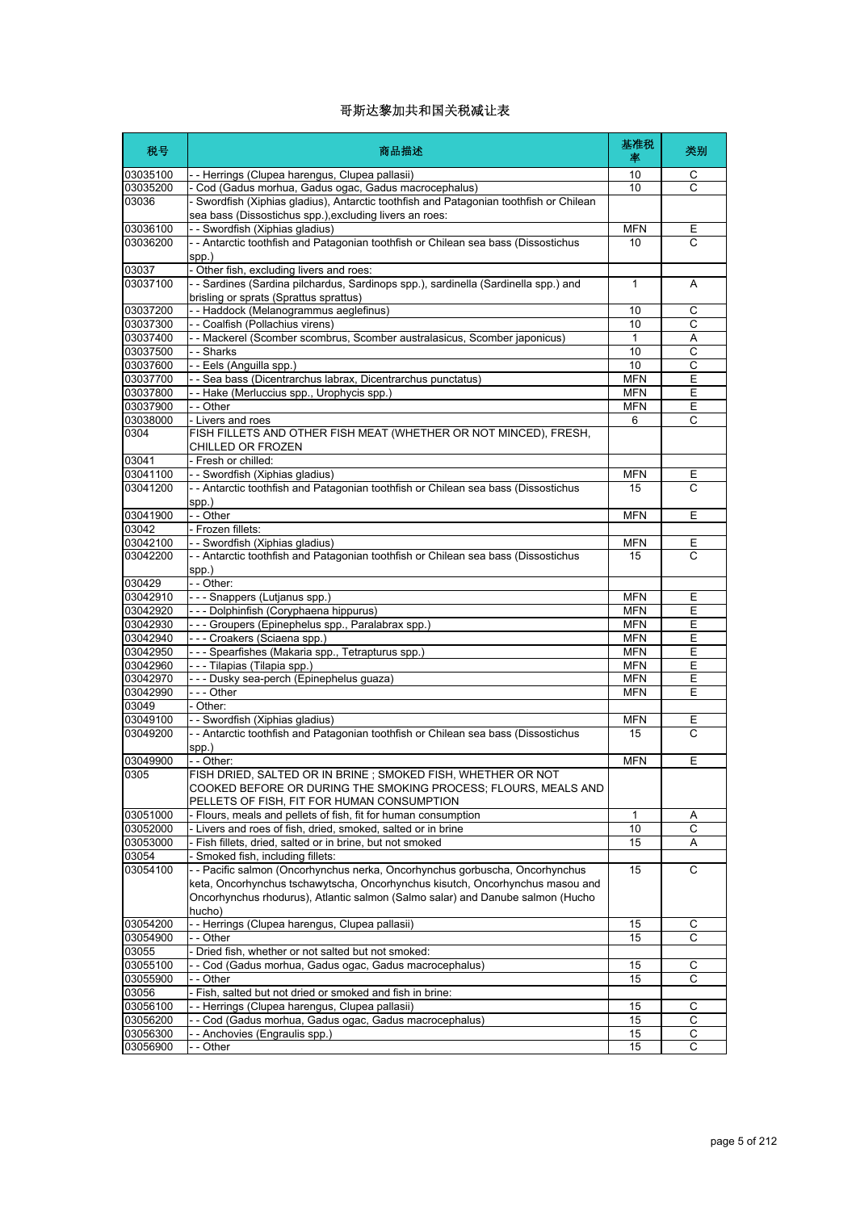| 税号                   | 商品描述                                                                                                                                                                        | 基准税<br>率                 | 类别             |
|----------------------|-----------------------------------------------------------------------------------------------------------------------------------------------------------------------------|--------------------------|----------------|
| 03035100             | - - Herrings (Clupea harengus, Clupea pallasii)                                                                                                                             | 10                       | С              |
| 03035200             | - Cod (Gadus morhua, Gadus ogac, Gadus macrocephalus)                                                                                                                       | 10                       | C              |
| 03036                | - Swordfish (Xiphias gladius), Antarctic toothfish and Patagonian toothfish or Chilean<br>sea bass (Dissostichus spp.), excluding livers an roes:                           |                          |                |
| 03036100             | - - Swordfish (Xiphias gladius)                                                                                                                                             | <b>MFN</b>               | Е              |
| 03036200             | - - Antarctic toothfish and Patagonian toothfish or Chilean sea bass (Dissostichus                                                                                          | 10                       | C              |
|                      | spp.)                                                                                                                                                                       |                          |                |
| 03037                | - Other fish, excluding livers and roes:                                                                                                                                    |                          |                |
| 03037100             | - - Sardines (Sardina pilchardus, Sardinops spp.), sardinella (Sardinella spp.) and<br>brisling or sprats (Sprattus sprattus)                                               | 1                        | A              |
| 03037200             | - - Haddock (Melanogrammus aeglefinus)                                                                                                                                      | 10                       | С              |
| 03037300             | - - Coalfish (Pollachius virens)                                                                                                                                            | 10                       | $\overline{C}$ |
| 03037400             | - - Mackerel (Scomber scombrus, Scomber australasicus, Scomber japonicus)                                                                                                   | 1                        | Α              |
| 03037500             | - - Sharks                                                                                                                                                                  | 10                       | $\mathsf{C}$   |
| 03037600             | - - Eels (Anguilla spp.)                                                                                                                                                    | 10                       | C              |
| 03037700             | - - Sea bass (Dicentrarchus labrax, Dicentrarchus punctatus)                                                                                                                | <b>MFN</b>               | Ε              |
| 03037800             | -- Hake (Merluccius spp., Urophycis spp.)                                                                                                                                   | <b>MFN</b>               | Ε              |
| 03037900             | - - Other                                                                                                                                                                   | <b>MFN</b>               | E              |
| 03038000             | - Livers and roes                                                                                                                                                           | 6                        | C              |
| 0304                 | FISH FILLETS AND OTHER FISH MEAT (WHETHER OR NOT MINCED), FRESH,<br>CHILLED OR FROZEN                                                                                       |                          |                |
| 03041                | - Fresh or chilled:                                                                                                                                                         |                          |                |
| 03041100             | - - Swordfish (Xiphias gladius)                                                                                                                                             | <b>MFN</b>               | Ε              |
| 03041200             | - - Antarctic toothfish and Patagonian toothfish or Chilean sea bass (Dissostichus                                                                                          | 15                       | C              |
|                      | spp.)                                                                                                                                                                       |                          |                |
| 03041900             | - - Other                                                                                                                                                                   | <b>MFN</b>               | E              |
| 03042                | - Frozen fillets:                                                                                                                                                           |                          |                |
| 03042100             | - - Swordfish (Xiphias gladius)                                                                                                                                             | <b>MFN</b>               | Ε              |
| 03042200             | - - Antarctic toothfish and Patagonian toothfish or Chilean sea bass (Dissostichus                                                                                          | 15                       | C              |
|                      | spp.)                                                                                                                                                                       |                          |                |
| 030429               | - - Other:                                                                                                                                                                  |                          |                |
| 03042910             | - - - Snappers (Lutjanus spp.)                                                                                                                                              | <b>MFN</b><br><b>MFN</b> | Ε              |
| 03042920<br>03042930 | --- Dolphinfish (Coryphaena hippurus)<br>--- Groupers (Epinephelus spp., Paralabrax spp.)                                                                                   | <b>MFN</b>               | Ε<br>Ε         |
| 03042940             |                                                                                                                                                                             | <b>MFN</b>               | E              |
| 03042950             | --- Croakers (Sciaena spp.)<br>- - - Spearfishes (Makaria spp., Tetrapturus spp.)                                                                                           | <b>MFN</b>               | Ε              |
| 03042960             | - - - Tilapias (Tilapia spp.)                                                                                                                                               | <b>MFN</b>               | E              |
| 03042970             | - - - Dusky sea-perch (Epinephelus guaza)                                                                                                                                   | <b>MFN</b>               | E              |
| 03042990             | --- Other                                                                                                                                                                   | <b>MFN</b>               | Ε              |
| 03049                | - Other:                                                                                                                                                                    |                          |                |
| 03049100             | - - Swordfish (Xiphias gladius)                                                                                                                                             | <b>MFN</b>               | Ε              |
| 03049200             | - - Antarctic toothfish and Patagonian toothfish or Chilean sea bass (Dissostichus                                                                                          | 15                       | C              |
|                      | spp.)                                                                                                                                                                       |                          |                |
| 03049900             | - - Other:                                                                                                                                                                  | <b>MFN</b>               | Ε              |
| 0305                 | FISH DRIED, SALTED OR IN BRINE; SMOKED FISH, WHETHER OR NOT<br>COOKED BEFORE OR DURING THE SMOKING PROCESS; FLOURS, MEALS AND<br>PELLETS OF FISH, FIT FOR HUMAN CONSUMPTION |                          |                |
| 03051000             | - Flours, meals and pellets of fish, fit for human consumption                                                                                                              | 1                        |                |
| 03052000             | - Livers and roes of fish, dried, smoked, salted or in brine                                                                                                                | 10                       | Α<br>C         |
| 03053000             | - Fish fillets, dried, salted or in brine, but not smoked                                                                                                                   | 15                       | A              |
| 03054                | Smoked fish, including fillets:                                                                                                                                             |                          |                |
| 03054100             | - - Pacific salmon (Oncorhynchus nerka, Oncorhynchus gorbuscha, Oncorhynchus                                                                                                | 15                       | C              |
|                      | keta, Oncorhynchus tschawytscha, Oncorhynchus kisutch, Oncorhynchus masou and                                                                                               |                          |                |
|                      | Oncorhynchus rhodurus), Atlantic salmon (Salmo salar) and Danube salmon (Hucho                                                                                              |                          |                |
|                      | hucho)                                                                                                                                                                      |                          |                |
| 03054200             | - - Herrings (Clupea harengus, Clupea pallasii)                                                                                                                             | 15                       | С              |
| 03054900             | - - Other                                                                                                                                                                   | 15                       | $\mathsf{C}$   |
| 03055                | - Dried fish, whether or not salted but not smoked:                                                                                                                         |                          |                |
| 03055100             | - - Cod (Gadus morhua, Gadus ogac, Gadus macrocephalus)                                                                                                                     | 15                       | С              |
| 03055900             | - - Other                                                                                                                                                                   | 15                       | C              |
| 03056                | - Fish, salted but not dried or smoked and fish in brine:                                                                                                                   |                          |                |
| 03056100             | - - Herrings (Clupea harengus, Clupea pallasii)                                                                                                                             | 15                       | С              |
| 03056200             | - - Cod (Gadus morhua, Gadus ogac, Gadus macrocephalus)                                                                                                                     | 15                       | С              |
| 03056300             | - - Anchovies (Engraulis spp.)                                                                                                                                              | 15                       | С              |
| 03056900             | - - Other                                                                                                                                                                   | 15                       | C              |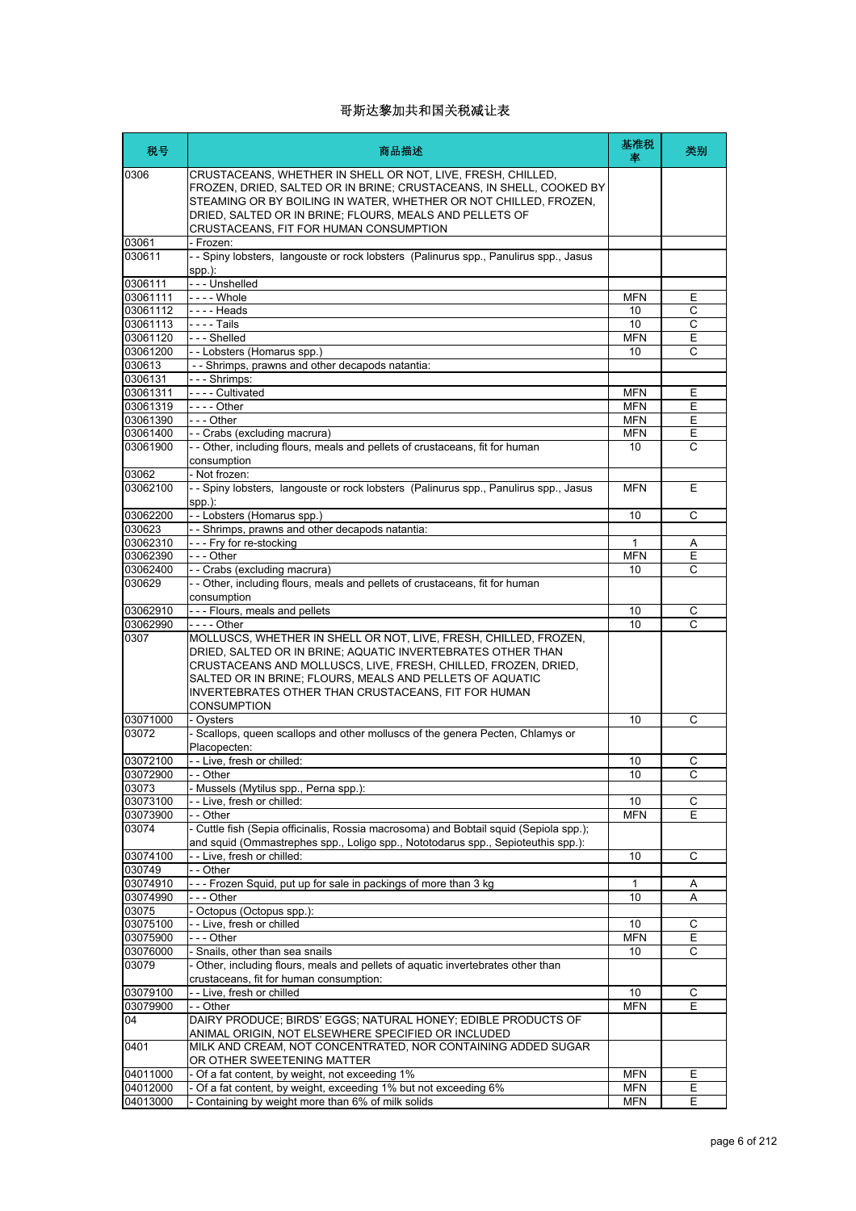| 税号                 | 商品描述                                                                                                                                                                                                                                                                                                                                       | 基准税<br>率   | 类别 |
|--------------------|--------------------------------------------------------------------------------------------------------------------------------------------------------------------------------------------------------------------------------------------------------------------------------------------------------------------------------------------|------------|----|
| 0306               | CRUSTACEANS, WHETHER IN SHELL OR NOT, LIVE, FRESH, CHILLED,<br>FROZEN, DRIED, SALTED OR IN BRINE; CRUSTACEANS, IN SHELL, COOKED BY<br>STEAMING OR BY BOILING IN WATER, WHETHER OR NOT CHILLED, FROZEN,<br>DRIED, SALTED OR IN BRINE; FLOURS, MEALS AND PELLETS OF<br>CRUSTACEANS, FIT FOR HUMAN CONSUMPTION                                |            |    |
| 03061              | - Frozen:                                                                                                                                                                                                                                                                                                                                  |            |    |
| 030611             | -- Spiny lobsters, langouste or rock lobsters (Palinurus spp., Panulirus spp., Jasus<br>spp.):                                                                                                                                                                                                                                             |            |    |
| 0306111            | --- Unshelled                                                                                                                                                                                                                                                                                                                              |            |    |
| 03061111           | - - - - Whole                                                                                                                                                                                                                                                                                                                              | <b>MFN</b> | Ε  |
| 03061112           | $--$ Heads                                                                                                                                                                                                                                                                                                                                 | 10         | C  |
| 03061113           | - - - - Tails                                                                                                                                                                                                                                                                                                                              | 10         | C  |
| 03061120           | --- Shelled                                                                                                                                                                                                                                                                                                                                | <b>MFN</b> | Ε  |
| 03061200<br>030613 | - - Lobsters (Homarus spp.)                                                                                                                                                                                                                                                                                                                | 10         | C  |
| 0306131            | - - Shrimps, prawns and other decapods natantia:<br>--- Shrimps:                                                                                                                                                                                                                                                                           |            |    |
| 03061311           | - - - - Cultivated                                                                                                                                                                                                                                                                                                                         | <b>MFN</b> | Ε  |
| 03061319           | - - - - Other                                                                                                                                                                                                                                                                                                                              | <b>MFN</b> | E  |
| 03061390           | --- Other                                                                                                                                                                                                                                                                                                                                  | <b>MFN</b> | Ε  |
| 03061400           | - - Crabs (excluding macrura)                                                                                                                                                                                                                                                                                                              | <b>MFN</b> | Е  |
| 03061900           | - - Other, including flours, meals and pellets of crustaceans, fit for human                                                                                                                                                                                                                                                               | 10         | C  |
|                    | consumption                                                                                                                                                                                                                                                                                                                                |            |    |
| 03062              | - Not frozen:                                                                                                                                                                                                                                                                                                                              |            |    |
| 03062100           | -- Spiny lobsters, langouste or rock lobsters (Palinurus spp., Panulirus spp., Jasus                                                                                                                                                                                                                                                       | <b>MFN</b> | E  |
|                    | $spp.$ ):                                                                                                                                                                                                                                                                                                                                  | 10         | C  |
| 03062200<br>030623 | -- Lobsters (Homarus spp.)<br>-- Shrimps, prawns and other decapods natantia:                                                                                                                                                                                                                                                              |            |    |
| 03062310           | - - - Fry for re-stocking                                                                                                                                                                                                                                                                                                                  | 1          | A  |
| 03062390           | - - - Other                                                                                                                                                                                                                                                                                                                                | <b>MFN</b> | E  |
| 03062400           | - - Crabs (excluding macrura)                                                                                                                                                                                                                                                                                                              | 10         | C  |
| 030629             | - - Other, including flours, meals and pellets of crustaceans, fit for human                                                                                                                                                                                                                                                               |            |    |
|                    | consumption                                                                                                                                                                                                                                                                                                                                |            |    |
| 03062910           | - - - Flours, meals and pellets                                                                                                                                                                                                                                                                                                            | 10         | С  |
| 03062990           |                                                                                                                                                                                                                                                                                                                                            | 10         | С  |
| 0307               | MOLLUSCS, WHETHER IN SHELL OR NOT, LIVE, FRESH, CHILLED, FROZEN,<br>DRIED, SALTED OR IN BRINE; AQUATIC INVERTEBRATES OTHER THAN<br>CRUSTACEANS AND MOLLUSCS, LIVE, FRESH, CHILLED, FROZEN, DRIED,<br>SALTED OR IN BRINE; FLOURS, MEALS AND PELLETS OF AQUATIC<br>INVERTEBRATES OTHER THAN CRUSTACEANS, FIT FOR HUMAN<br><b>CONSUMPTION</b> |            |    |
| 03071000           | - Oysters                                                                                                                                                                                                                                                                                                                                  | 10         | C  |
| 03072              | - Scallops, queen scallops and other molluscs of the genera Pecten, Chlamys or                                                                                                                                                                                                                                                             |            |    |
|                    | Placopecten:                                                                                                                                                                                                                                                                                                                               |            |    |
| 03072100           | -- Live, fresh or chilled:                                                                                                                                                                                                                                                                                                                 | 10         | С  |
| 03072900           | - Other                                                                                                                                                                                                                                                                                                                                    | 10         | C  |
| 03073<br>03073100  | Mussels (Mytilus spp., Perna spp.):<br>- Live, fresh or chilled:                                                                                                                                                                                                                                                                           | 10         | С  |
| 03073900           | $-$ - Other                                                                                                                                                                                                                                                                                                                                | <b>MFN</b> | Ε  |
| 03074              | - Cuttle fish (Sepia officinalis, Rossia macrosoma) and Bobtail squid (Sepiola spp.);                                                                                                                                                                                                                                                      |            |    |
|                    | and squid (Ommastrephes spp., Loligo spp., Nototodarus spp., Sepioteuthis spp.):                                                                                                                                                                                                                                                           |            |    |
| 03074100           | -- Live, fresh or chilled:                                                                                                                                                                                                                                                                                                                 | 10         | С  |
| 030749             | - - Other                                                                                                                                                                                                                                                                                                                                  |            |    |
| 03074910           | --- Frozen Squid, put up for sale in packings of more than 3 kg                                                                                                                                                                                                                                                                            | 1          | A  |
| 03074990           | --- Other                                                                                                                                                                                                                                                                                                                                  | 10         | Α  |
| 03075              | - Octopus (Octopus spp.):                                                                                                                                                                                                                                                                                                                  |            |    |
| 03075100           | -- Live, fresh or chilled                                                                                                                                                                                                                                                                                                                  | 10         | С  |
| 03075900           | --- Other                                                                                                                                                                                                                                                                                                                                  | <b>MFN</b> | Ε  |
| 03076000<br>03079  | - Snails, other than sea snails<br>- Other, including flours, meals and pellets of aquatic invertebrates other than                                                                                                                                                                                                                        | 10         | С  |
|                    | crustaceans, fit for human consumption:                                                                                                                                                                                                                                                                                                    |            |    |
| 03079100           | -- Live, fresh or chilled                                                                                                                                                                                                                                                                                                                  | 10         | С  |
| 03079900           | - - Other                                                                                                                                                                                                                                                                                                                                  | <b>MFN</b> | Ε  |
| 04                 | DAIRY PRODUCE; BIRDS' EGGS; NATURAL HONEY; EDIBLE PRODUCTS OF                                                                                                                                                                                                                                                                              |            |    |
|                    | ANIMAL ORIGIN, NOT ELSEWHERE SPECIFIED OR INCLUDED                                                                                                                                                                                                                                                                                         |            |    |
| 0401               | MILK AND CREAM, NOT CONCENTRATED, NOR CONTAINING ADDED SUGAR                                                                                                                                                                                                                                                                               |            |    |
|                    | OR OTHER SWEETENING MATTER                                                                                                                                                                                                                                                                                                                 |            |    |
| 04011000           | - Of a fat content, by weight, not exceeding 1%                                                                                                                                                                                                                                                                                            | <b>MFN</b> | Ε  |
| 04012000           | Of a fat content, by weight, exceeding 1% but not exceeding 6%                                                                                                                                                                                                                                                                             | <b>MFN</b> | Ε  |
| 04013000           | Containing by weight more than 6% of milk solids                                                                                                                                                                                                                                                                                           | <b>MFN</b> | Е  |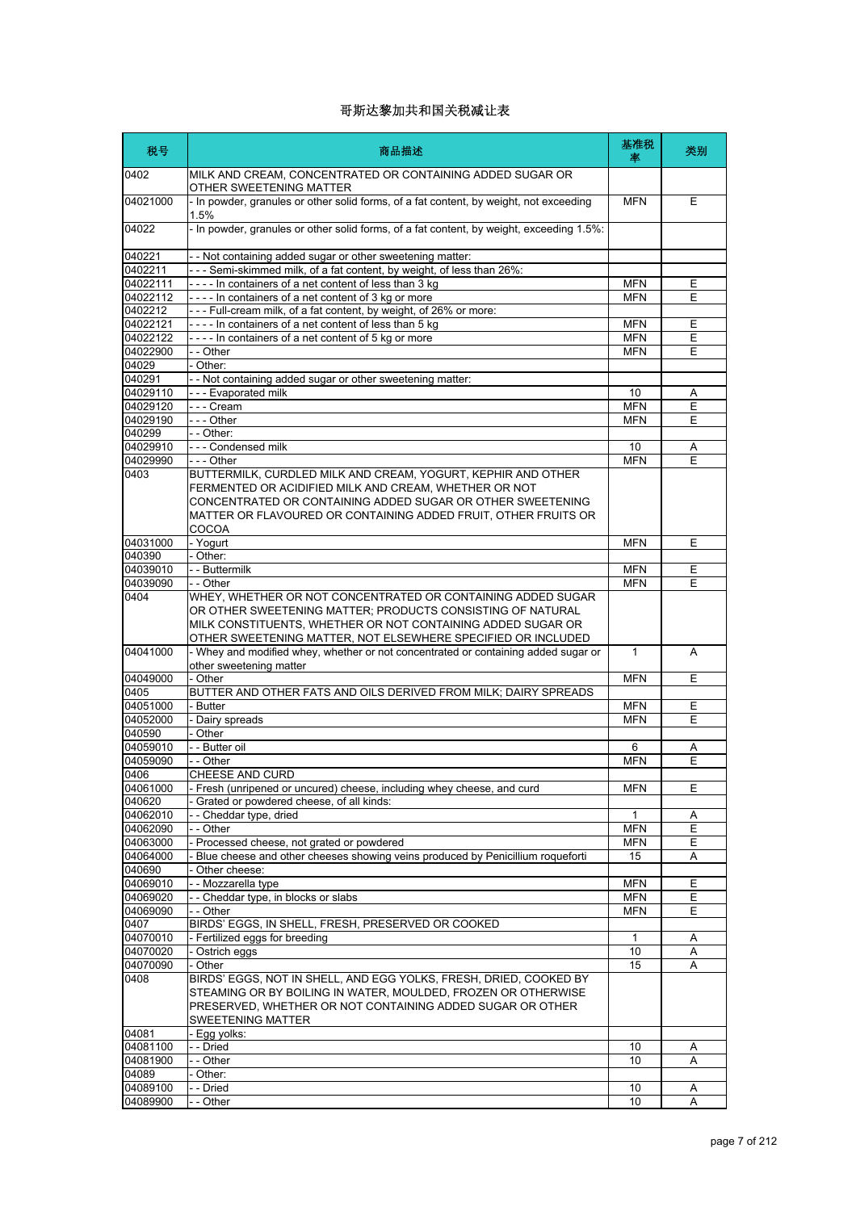| 税号                   | 商品描述                                                                                                                                                                                                                                                           | 基准税<br>率         | 类别     |
|----------------------|----------------------------------------------------------------------------------------------------------------------------------------------------------------------------------------------------------------------------------------------------------------|------------------|--------|
| 0402                 | MILK AND CREAM, CONCENTRATED OR CONTAINING ADDED SUGAR OR<br>OTHER SWEETENING MATTER                                                                                                                                                                           |                  |        |
| 04021000             | - In powder, granules or other solid forms, of a fat content, by weight, not exceeding<br>1.5%                                                                                                                                                                 | <b>MFN</b>       | E      |
| 04022                | - In powder, granules or other solid forms, of a fat content, by weight, exceeding 1.5%:                                                                                                                                                                       |                  |        |
| 040221               | - - Not containing added sugar or other sweetening matter:                                                                                                                                                                                                     |                  |        |
| 0402211<br>04022111  | --- Semi-skimmed milk, of a fat content, by weight, of less than 26%:<br>---- In containers of a net content of less than 3 kg                                                                                                                                 | <b>MFN</b>       |        |
| 04022112             | ---- In containers of a net content of 3 kg or more                                                                                                                                                                                                            | <b>MFN</b>       | Ε<br>Ε |
| 0402212              | --- Full-cream milk, of a fat content, by weight, of 26% or more:                                                                                                                                                                                              |                  |        |
| 04022121             | ---- In containers of a net content of less than 5 kg                                                                                                                                                                                                          | <b>MFN</b>       | Ε      |
| 04022122             | ---- In containers of a net content of 5 kg or more                                                                                                                                                                                                            | <b>MFN</b>       | Ε      |
| 04022900             | - - Other                                                                                                                                                                                                                                                      | <b>MFN</b>       | E      |
| 04029                | - Other:                                                                                                                                                                                                                                                       |                  |        |
| 040291<br>04029110   | - - Not containing added sugar or other sweetening matter:<br>- - - Evaporated milk                                                                                                                                                                            |                  |        |
| 04029120             | --- Cream                                                                                                                                                                                                                                                      | 10<br><b>MFN</b> | Α<br>Ε |
| 04029190             | --- Other                                                                                                                                                                                                                                                      | <b>MFN</b>       | E      |
| 040299               | - - Other:                                                                                                                                                                                                                                                     |                  |        |
| 04029910             | --- Condensed milk                                                                                                                                                                                                                                             | 10               | Α      |
| 04029990             | $--$ Other                                                                                                                                                                                                                                                     | <b>MFN</b>       | E      |
| 0403                 | BUTTERMILK, CURDLED MILK AND CREAM, YOGURT, KEPHIR AND OTHER<br>FERMENTED OR ACIDIFIED MILK AND CREAM, WHETHER OR NOT<br>CONCENTRATED OR CONTAINING ADDED SUGAR OR OTHER SWEETENING<br>MATTER OR FLAVOURED OR CONTAINING ADDED FRUIT, OTHER FRUITS OR<br>COCOA |                  |        |
| 04031000             | - Yogurt                                                                                                                                                                                                                                                       | <b>MFN</b>       | Ε      |
| 040390               | - Other:                                                                                                                                                                                                                                                       |                  |        |
| 04039010             | - - Buttermilk                                                                                                                                                                                                                                                 | <b>MFN</b>       | Ε      |
| 04039090<br>0404     | - - Other<br>WHEY, WHETHER OR NOT CONCENTRATED OR CONTAINING ADDED SUGAR<br>OR OTHER SWEETENING MATTER; PRODUCTS CONSISTING OF NATURAL                                                                                                                         | <b>MFN</b>       | E      |
|                      | MILK CONSTITUENTS, WHETHER OR NOT CONTAINING ADDED SUGAR OR<br>OTHER SWEETENING MATTER, NOT ELSEWHERE SPECIFIED OR INCLUDED                                                                                                                                    |                  |        |
| 04041000             | - Whey and modified whey, whether or not concentrated or containing added sugar or<br>other sweetening matter                                                                                                                                                  | 1                | A      |
| 04049000             | - Other                                                                                                                                                                                                                                                        | <b>MFN</b>       | Ε      |
| 0405                 | BUTTER AND OTHER FATS AND OILS DERIVED FROM MILK; DAIRY SPREADS                                                                                                                                                                                                |                  |        |
| 04051000             | - Butter                                                                                                                                                                                                                                                       | <b>MFN</b>       | Ε      |
| 04052000<br>040590   | - Dairy spreads<br>- Other                                                                                                                                                                                                                                     | <b>MFN</b>       | Ε      |
| 04059010             | - - Butter oil                                                                                                                                                                                                                                                 | 6                | Α      |
| 04059090             | - - Other                                                                                                                                                                                                                                                      | <b>MFN</b>       | E      |
| 0406                 | CHEESE AND CURD                                                                                                                                                                                                                                                |                  |        |
| 04061000             | - Fresh (unripened or uncured) cheese, including whey cheese, and curd                                                                                                                                                                                         | <b>MFN</b>       | Ε      |
| 040620               | - Grated or powdered cheese, of all kinds:                                                                                                                                                                                                                     |                  |        |
| 04062010             | -- Cheddar type, dried                                                                                                                                                                                                                                         | 1                | Α      |
| 04062090             | - - Other                                                                                                                                                                                                                                                      | <b>MFN</b>       | Ε      |
| 04063000<br>04064000 | - Processed cheese, not grated or powdered<br>Blue cheese and other cheeses showing veins produced by Penicillium roqueforti                                                                                                                                   | <b>MFN</b><br>15 | Е      |
| 040690               | - Other cheese:                                                                                                                                                                                                                                                |                  | Α      |
| 04069010             | - - Mozzarella type                                                                                                                                                                                                                                            | <b>MFN</b>       | Ε      |
| 04069020             | -- Cheddar type, in blocks or slabs                                                                                                                                                                                                                            | <b>MFN</b>       | Ε      |
| 04069090             | - - Other                                                                                                                                                                                                                                                      | <b>MFN</b>       | Ε      |
| 0407                 | BIRDS' EGGS, IN SHELL, FRESH, PRESERVED OR COOKED                                                                                                                                                                                                              |                  |        |
| 04070010             | - Fertilized eggs for breeding                                                                                                                                                                                                                                 | 1                | Α      |
| 04070020             | - Ostrich eggs                                                                                                                                                                                                                                                 | 10               | Α      |
| 04070090             | - Other                                                                                                                                                                                                                                                        | 15               | Α      |
| 0408                 | BIRDS' EGGS, NOT IN SHELL, AND EGG YOLKS, FRESH, DRIED, COOKED BY<br>STEAMING OR BY BOILING IN WATER, MOULDED, FROZEN OR OTHERWISE<br>PRESERVED, WHETHER OR NOT CONTAINING ADDED SUGAR OR OTHER                                                                |                  |        |
|                      | SWEETENING MATTER                                                                                                                                                                                                                                              |                  |        |
| 04081<br>04081100    | - Egg yolks:<br>- - Dried                                                                                                                                                                                                                                      | 10               | Α      |
| 04081900             | - - Other                                                                                                                                                                                                                                                      | 10               | Α      |
| 04089                | - Other:                                                                                                                                                                                                                                                       |                  |        |
| 04089100             | - - Dried                                                                                                                                                                                                                                                      | 10               | A      |
| 04089900             | - - Other                                                                                                                                                                                                                                                      | 10               | Α      |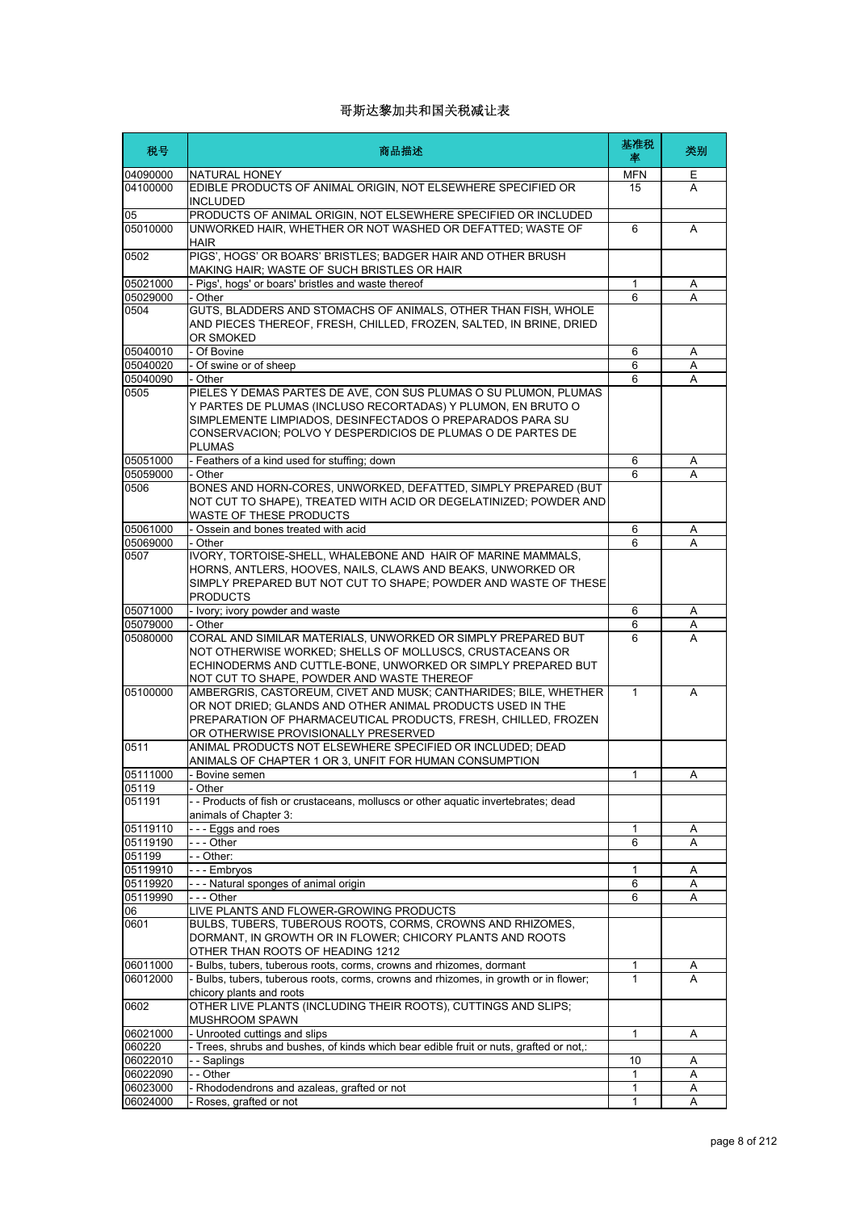| 税号                | 商品描述                                                                                                                                                                                                                                                                          | 基准税<br>率     | 类别 |
|-------------------|-------------------------------------------------------------------------------------------------------------------------------------------------------------------------------------------------------------------------------------------------------------------------------|--------------|----|
| 04090000          | NATURAL HONEY                                                                                                                                                                                                                                                                 | MFN          | E. |
| 04100000          | EDIBLE PRODUCTS OF ANIMAL ORIGIN, NOT ELSEWHERE SPECIFIED OR<br>INCLUDED                                                                                                                                                                                                      | 15           | A  |
| 05<br>05010000    | PRODUCTS OF ANIMAL ORIGIN, NOT ELSEWHERE SPECIFIED OR INCLUDED<br>UNWORKED HAIR, WHETHER OR NOT WASHED OR DEFATTED; WASTE OF<br><b>HAIR</b>                                                                                                                                   | 6            | A  |
| 0502              | PIGS', HOGS' OR BOARS' BRISTLES; BADGER HAIR AND OTHER BRUSH<br>MAKING HAIR; WASTE OF SUCH BRISTLES OR HAIR                                                                                                                                                                   |              |    |
| 05021000          | - Pigs', hogs' or boars' bristles and waste thereof                                                                                                                                                                                                                           | $\mathbf{1}$ | Α  |
| 05029000          | - Other                                                                                                                                                                                                                                                                       | 6            | А  |
| 0504              | GUTS, BLADDERS AND STOMACHS OF ANIMALS, OTHER THAN FISH, WHOLE<br>AND PIECES THEREOF, FRESH, CHILLED, FROZEN, SALTED, IN BRINE, DRIED<br>OR SMOKED                                                                                                                            |              |    |
| 05040010          | - Of Bovine                                                                                                                                                                                                                                                                   | 6            | A  |
| 05040020          | - Of swine or of sheep                                                                                                                                                                                                                                                        | 6            | A  |
| 05040090          | - Other                                                                                                                                                                                                                                                                       | 6            | A  |
| 0505              | PIELES Y DEMAS PARTES DE AVE, CON SUS PLUMAS O SU PLUMON, PLUMAS<br>Y PARTES DE PLUMAS (INCLUSO RECORTADAS) Y PLUMON, EN BRUTO O<br>SIMPLEMENTE LIMPIADOS, DESINFECTADOS O PREPARADOS PARA SU<br>CONSERVACION; POLVO Y DESPERDICIOS DE PLUMAS O DE PARTES DE<br><b>PLUMAS</b> |              |    |
| 05051000          | - Feathers of a kind used for stuffing; down                                                                                                                                                                                                                                  | 6            | Α  |
| 05059000          | - Other                                                                                                                                                                                                                                                                       | 6            | Α  |
| 0506              | BONES AND HORN-CORES, UNWORKED, DEFATTED, SIMPLY PREPARED (BUT<br>NOT CUT TO SHAPE), TREATED WITH ACID OR DEGELATINIZED; POWDER AND<br>WASTE OF THESE PRODUCTS                                                                                                                |              |    |
| 05061000          | - Ossein and bones treated with acid                                                                                                                                                                                                                                          | 6            | A  |
| 05069000          | - Other                                                                                                                                                                                                                                                                       | 6            | A  |
| 0507              | IVORY, TORTOISE-SHELL, WHALEBONE AND HAIR OF MARINE MAMMALS,<br>HORNS, ANTLERS, HOOVES, NAILS, CLAWS AND BEAKS, UNWORKED OR<br>SIMPLY PREPARED BUT NOT CUT TO SHAPE; POWDER AND WASTE OF THESE<br><b>PRODUCTS</b>                                                             |              |    |
| 05071000          | - Ivory; ivory powder and waste                                                                                                                                                                                                                                               | 6            | A  |
| 05079000          | - Other                                                                                                                                                                                                                                                                       | 6            | Α  |
| 05080000          | CORAL AND SIMILAR MATERIALS, UNWORKED OR SIMPLY PREPARED BUT<br>NOT OTHERWISE WORKED; SHELLS OF MOLLUSCS, CRUSTACEANS OR<br>ECHINODERMS AND CUTTLE-BONE, UNWORKED OR SIMPLY PREPARED BUT<br>NOT CUT TO SHAPE, POWDER AND WASTE THEREOF                                        | 6            | A  |
| 05100000          | AMBERGRIS, CASTOREUM, CIVET AND MUSK; CANTHARIDES; BILE, WHETHER<br>OR NOT DRIED; GLANDS AND OTHER ANIMAL PRODUCTS USED IN THE<br>PREPARATION OF PHARMACEUTICAL PRODUCTS, FRESH, CHILLED, FROZEN<br>OR OTHERWISE PROVISIONALLY PRESERVED                                      | $\mathbf{1}$ | A  |
| 0511              | ANIMAL PRODUCTS NOT ELSEWHERE SPECIFIED OR INCLUDED; DEAD                                                                                                                                                                                                                     |              |    |
|                   | ANIMALS OF CHAPTER 1 OR 3, UNFIT FOR HUMAN CONSUMPTION                                                                                                                                                                                                                        |              |    |
| 05111000<br>05119 | - Bovine semen<br>- Other                                                                                                                                                                                                                                                     | 1            | А  |
| 051191            | -- Products of fish or crustaceans, molluscs or other aquatic invertebrates; dead<br>animals of Chapter 3:                                                                                                                                                                    |              |    |
| 05119110          | --- Eggs and roes                                                                                                                                                                                                                                                             | 1            | Α  |
| 05119190          | - - - Other                                                                                                                                                                                                                                                                   | 6            | Α  |
| 051199            | - - Other:                                                                                                                                                                                                                                                                    |              |    |
| 05119910          | --- Embryos                                                                                                                                                                                                                                                                   | 1            | Α  |
| 05119920          | --- Natural sponges of animal origin                                                                                                                                                                                                                                          | 6            | Α  |
| 05119990          | --- Other                                                                                                                                                                                                                                                                     | 6            | Α  |
| 06                | LIVE PLANTS AND FLOWER-GROWING PRODUCTS                                                                                                                                                                                                                                       |              |    |
| 0601              | BULBS, TUBERS, TUBEROUS ROOTS, CORMS, CROWNS AND RHIZOMES,<br>DORMANT, IN GROWTH OR IN FLOWER; CHICORY PLANTS AND ROOTS<br>OTHER THAN ROOTS OF HEADING 1212                                                                                                                   |              |    |
| 06011000          | Bulbs, tubers, tuberous roots, corms, crowns and rhizomes, dormant                                                                                                                                                                                                            | 1            | A  |
| 06012000          | - Bulbs, tubers, tuberous roots, corms, crowns and rhizomes, in growth or in flower;<br>chicory plants and roots                                                                                                                                                              | 1            | A  |
| 0602<br>06021000  | OTHER LIVE PLANTS (INCLUDING THEIR ROOTS), CUTTINGS AND SLIPS;<br>MUSHROOM SPAWN                                                                                                                                                                                              | $\mathbf{1}$ |    |
| 060220            | - Unrooted cuttings and slips<br>- Trees, shrubs and bushes, of kinds which bear edible fruit or nuts, grafted or not,:                                                                                                                                                       |              | Α  |
| 06022010          | - - Saplings                                                                                                                                                                                                                                                                  | 10           | Α  |
| 06022090          | - - Other                                                                                                                                                                                                                                                                     | 1            | Α  |
| 06023000          | - Rhododendrons and azaleas, grafted or not                                                                                                                                                                                                                                   | 1            | Α  |
| 06024000          | Roses, grafted or not                                                                                                                                                                                                                                                         | 1            | Α  |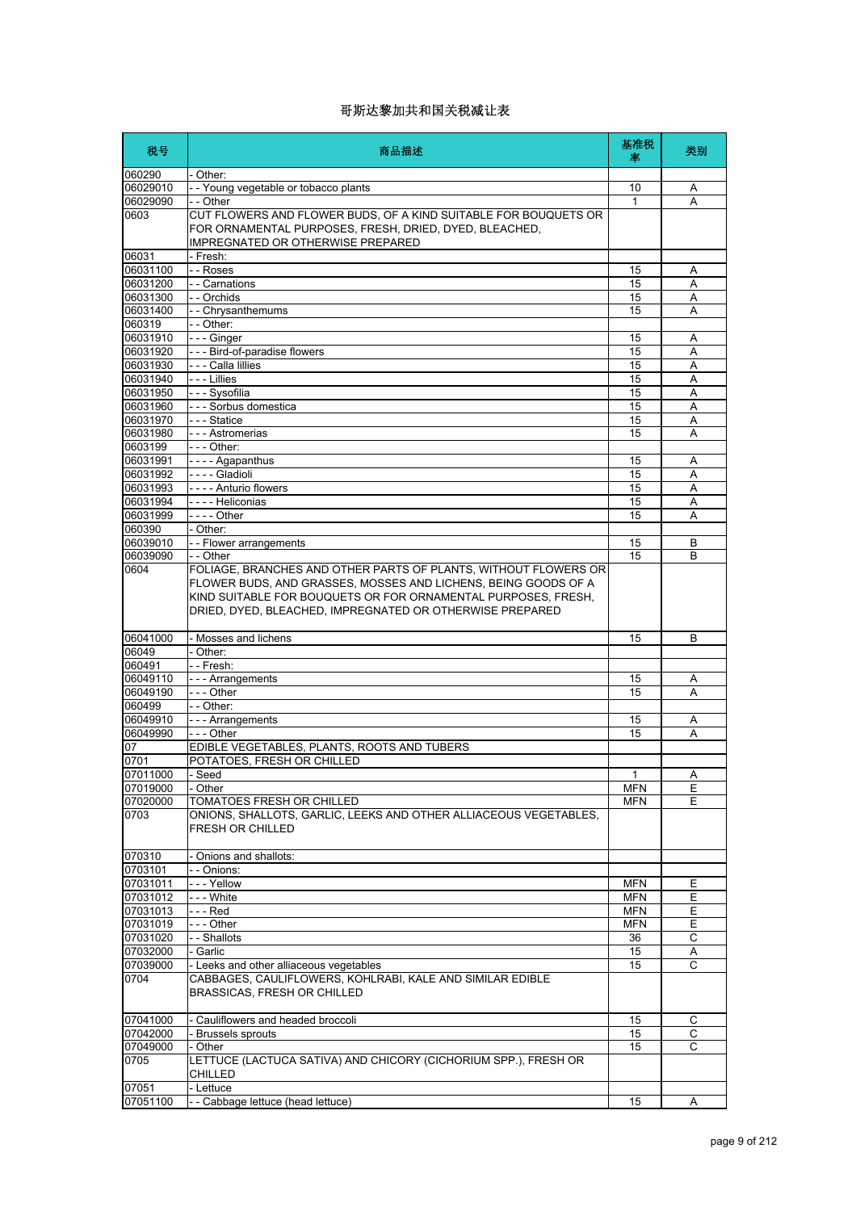| 税号                   | 商品描述                                                                                                                                                                                                                                                                        | 基准税<br>率         | 类别                  |
|----------------------|-----------------------------------------------------------------------------------------------------------------------------------------------------------------------------------------------------------------------------------------------------------------------------|------------------|---------------------|
| 060290               | - Other:                                                                                                                                                                                                                                                                    |                  |                     |
| 06029010             | - - Young vegetable or tobacco plants                                                                                                                                                                                                                                       | 10               | Α                   |
| 06029090<br>0603     | - - Other<br>CUT FLOWERS AND FLOWER BUDS, OF A KIND SUITABLE FOR BOUQUETS OR<br>FOR ORNAMENTAL PURPOSES, FRESH, DRIED, DYED, BLEACHED,<br>IMPREGNATED OR OTHERWISE PREPARED                                                                                                 | 1                | A                   |
| 06031                | - Fresh:                                                                                                                                                                                                                                                                    |                  |                     |
| 06031100             | - - Roses<br>- - Carnations                                                                                                                                                                                                                                                 | 15               | Α                   |
| 06031200<br>06031300 | - - Orchids                                                                                                                                                                                                                                                                 | 15<br>15         | Α<br>A              |
| 06031400             | -- Chrysanthemums                                                                                                                                                                                                                                                           | 15               | A                   |
| 060319               | - - Other:                                                                                                                                                                                                                                                                  |                  |                     |
| 06031910             | --- Ginger                                                                                                                                                                                                                                                                  | 15               | Α                   |
| 06031920             | --- Bird-of-paradise flowers                                                                                                                                                                                                                                                | 15               | A                   |
| 06031930             | - - - Calla lillies                                                                                                                                                                                                                                                         | 15               | Α                   |
| 06031940             | - - - Lillies                                                                                                                                                                                                                                                               | 15               | A                   |
| 06031950             | - - - Sysofilia                                                                                                                                                                                                                                                             | 15               | Α                   |
| 06031960             | - - - Sorbus domestica                                                                                                                                                                                                                                                      | 15               | Α                   |
| 06031970<br>06031980 | --- Statice<br>- - - Astromerias                                                                                                                                                                                                                                            | 15<br>15         | Α<br>A              |
| 0603199              | - - - Other:                                                                                                                                                                                                                                                                |                  |                     |
| 06031991             | - - - - Agapanthus                                                                                                                                                                                                                                                          | 15               | Α                   |
| 06031992             | - - - - Gladioli                                                                                                                                                                                                                                                            | 15               | A                   |
| 06031993             | ---- Anturio flowers                                                                                                                                                                                                                                                        | 15               | Α                   |
| 06031994             | - - - - Heliconias                                                                                                                                                                                                                                                          | 15               | A                   |
| 06031999             | - - - - Other                                                                                                                                                                                                                                                               | 15               | A                   |
| 060390               | - Other:                                                                                                                                                                                                                                                                    |                  |                     |
| 06039010             | - - Flower arrangements                                                                                                                                                                                                                                                     | 15               | B                   |
| 06039090<br>0604     | - - Other<br>FOLIAGE, BRANCHES AND OTHER PARTS OF PLANTS, WITHOUT FLOWERS OR<br>FLOWER BUDS, AND GRASSES, MOSSES AND LICHENS, BEING GOODS OF A<br>KIND SUITABLE FOR BOUQUETS OR FOR ORNAMENTAL PURPOSES, FRESH,<br>DRIED, DYED, BLEACHED, IMPREGNATED OR OTHERWISE PREPARED | 15               | B                   |
| 06041000             | Mosses and lichens                                                                                                                                                                                                                                                          | 15               | B                   |
| 06049                | - Other:                                                                                                                                                                                                                                                                    |                  |                     |
| 060491               | - - Fresh:                                                                                                                                                                                                                                                                  |                  |                     |
| 06049110             | - - - Arrangements                                                                                                                                                                                                                                                          | 15               | A                   |
| 06049190             | - - - Other                                                                                                                                                                                                                                                                 | 15               | A                   |
| 060499               | - - Other:                                                                                                                                                                                                                                                                  |                  |                     |
| 06049910             | - - - Arrangements                                                                                                                                                                                                                                                          | 15               | A                   |
| 06049990<br>07       | $\overline{- -$ Other<br>EDIBLE VEGETABLES, PLANTS, ROOTS AND TUBERS                                                                                                                                                                                                        | 15               | A                   |
| 0701                 | POTATOES, FRESH OR CHILLED                                                                                                                                                                                                                                                  |                  |                     |
| 07011000             | - Seed                                                                                                                                                                                                                                                                      | 1                | Α                   |
| 07019000             | - Other                                                                                                                                                                                                                                                                     | <b>MFN</b>       | Е                   |
| 07020000             | TOMATOES FRESH OR CHILLED                                                                                                                                                                                                                                                   | <b>MFN</b>       | E                   |
| 0703                 | ONIONS, SHALLOTS, GARLIC, LEEKS AND OTHER ALLIACEOUS VEGETABLES,<br>FRESH OR CHILLED                                                                                                                                                                                        |                  |                     |
| 070310               | Onions and shallots:                                                                                                                                                                                                                                                        |                  |                     |
| 0703101              | - - Onions:                                                                                                                                                                                                                                                                 |                  |                     |
| 07031011             | --- Yellow                                                                                                                                                                                                                                                                  | <b>MFN</b>       | Е                   |
| 07031012             | - - - White                                                                                                                                                                                                                                                                 | <b>MFN</b>       | Ε                   |
| 07031013             | - - - Red                                                                                                                                                                                                                                                                   | <b>MFN</b>       | Е<br>$\overline{E}$ |
| 07031019<br>07031020 | --- Other<br>- - Shallots                                                                                                                                                                                                                                                   | <b>MFN</b><br>36 | С                   |
| 07032000             | - Garlic                                                                                                                                                                                                                                                                    | 15               | Α                   |
| 07039000             | - Leeks and other alliaceous vegetables                                                                                                                                                                                                                                     | 15               | $\overline{c}$      |
| 0704                 | CABBAGES, CAULIFLOWERS, KOHLRABI, KALE AND SIMILAR EDIBLE<br>BRASSICAS, FRESH OR CHILLED                                                                                                                                                                                    |                  |                     |
| 07041000             | - Cauliflowers and headed broccoli                                                                                                                                                                                                                                          | 15               | С                   |
| 07042000             | Brussels sprouts                                                                                                                                                                                                                                                            | 15               | C                   |
| 07049000<br>0705     | - Other<br>LETTUCE (LACTUCA SATIVA) AND CHICORY (CICHORIUM SPP.), FRESH OR                                                                                                                                                                                                  | 15               | C                   |
| 07051                | CHILLED<br>- Lettuce                                                                                                                                                                                                                                                        |                  |                     |
| 07051100             | - - Cabbage lettuce (head lettuce)                                                                                                                                                                                                                                          | 15               | A                   |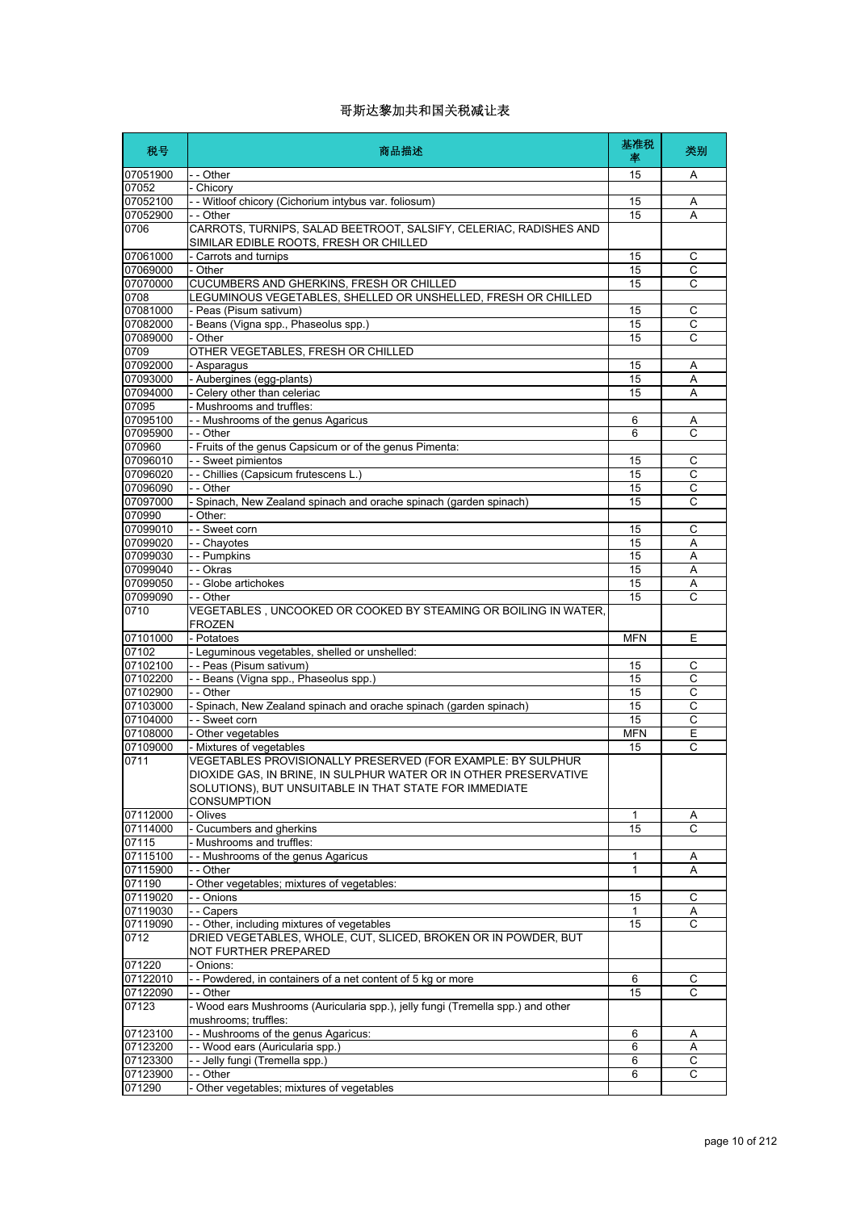| 税号                   | 商品描述                                                                                                                                                                                                            | 基准税<br>率   | 类别                  |
|----------------------|-----------------------------------------------------------------------------------------------------------------------------------------------------------------------------------------------------------------|------------|---------------------|
| 07051900             | - - Other                                                                                                                                                                                                       | 15         | A                   |
| 07052                | - Chicory                                                                                                                                                                                                       |            |                     |
| 07052100             | - - Witloof chicory (Cichorium intybus var. foliosum)                                                                                                                                                           | 15         | Α                   |
| 07052900<br>0706     | - - Other<br>CARROTS, TURNIPS, SALAD BEETROOT, SALSIFY, CELERIAC, RADISHES AND<br>SIMILAR EDIBLE ROOTS, FRESH OR CHILLED                                                                                        | 15         | A                   |
| 07061000             | - Carrots and turnips                                                                                                                                                                                           | 15         | C                   |
| 07069000             | - Other                                                                                                                                                                                                         | 15         | С                   |
| 07070000             | CUCUMBERS AND GHERKINS, FRESH OR CHILLED                                                                                                                                                                        | 15         | $\overline{C}$      |
| 0708                 | LEGUMINOUS VEGETABLES, SHELLED OR UNSHELLED, FRESH OR CHILLED                                                                                                                                                   |            |                     |
| 07081000             | - Peas (Pisum sativum)                                                                                                                                                                                          | 15         | С                   |
| 07082000             | - Beans (Vigna spp., Phaseolus spp.)                                                                                                                                                                            | 15         | С                   |
| 07089000<br>0709     | - Other<br>OTHER VEGETABLES, FRESH OR CHILLED                                                                                                                                                                   | 15         | C                   |
| 07092000             | - Asparagus                                                                                                                                                                                                     | 15         | Α                   |
| 07093000             | - Aubergines (egg-plants)                                                                                                                                                                                       | 15         | A                   |
| 07094000             | - Celery other than celeriac                                                                                                                                                                                    | 15         | Α                   |
| 07095                | - Mushrooms and truffles:                                                                                                                                                                                       |            |                     |
| 07095100             | - - Mushrooms of the genus Agaricus                                                                                                                                                                             | 6          | Α                   |
| 07095900             | - - Other                                                                                                                                                                                                       | 6          | C                   |
| 070960               | - Fruits of the genus Capsicum or of the genus Pimenta:                                                                                                                                                         |            |                     |
| 07096010<br>07096020 | - - Sweet pimientos                                                                                                                                                                                             | 15<br>15   | С<br>$\overline{c}$ |
| 07096090             | - - Chillies (Capsicum frutescens L.)<br>- - Other                                                                                                                                                              | 15         | С                   |
| 07097000             | - Spinach, New Zealand spinach and orache spinach (garden spinach)                                                                                                                                              | 15         | C                   |
| 070990               | - Other:                                                                                                                                                                                                        |            |                     |
| 07099010             | - - Sweet corn                                                                                                                                                                                                  | 15         | C                   |
| 07099020             | - - Chayotes                                                                                                                                                                                                    | 15         | A                   |
| 07099030             | - - Pumpkins                                                                                                                                                                                                    | 15         | Α                   |
| 07099040             | - - Okras                                                                                                                                                                                                       | 15         | A                   |
| 07099050             | - Globe artichokes                                                                                                                                                                                              | 15         | Α                   |
| 07099090             | - - Other                                                                                                                                                                                                       | 15         | C                   |
| 0710                 | VEGETABLES, UNCOOKED OR COOKED BY STEAMING OR BOILING IN WATER,<br><b>FROZEN</b>                                                                                                                                |            |                     |
| 07101000<br>07102    | - Potatoes<br>- Leguminous vegetables, shelled or unshelled:                                                                                                                                                    | <b>MFN</b> | E                   |
| 07102100             | - - Peas (Pisum sativum)                                                                                                                                                                                        | 15         | C                   |
| 07102200             | - - Beans (Vigna spp., Phaseolus spp.)                                                                                                                                                                          | 15         | C                   |
| 07102900             | - - Other                                                                                                                                                                                                       | 15         | С                   |
| 07103000             | - Spinach, New Zealand spinach and orache spinach (garden spinach)                                                                                                                                              | 15         | $\overline{C}$      |
| 07104000             | -- Sweet corn                                                                                                                                                                                                   | 15         | $\mathsf C$         |
| 07108000             | - Other vegetables                                                                                                                                                                                              | <b>MFN</b> | Ε                   |
| 07109000             | - Mixtures of vegetables                                                                                                                                                                                        | 15         | C                   |
| 0711                 | VEGETABLES PROVISIONALLY PRESERVED (FOR EXAMPLE: BY SULPHUR<br>DIOXIDE GAS, IN BRINE, IN SULPHUR WATER OR IN OTHER PRESERVATIVE<br>SOLUTIONS), BUT UNSUITABLE IN THAT STATE FOR IMMEDIATE<br><b>CONSUMPTION</b> |            |                     |
| 07112000             | - Olives                                                                                                                                                                                                        | 1          | Α                   |
| 07114000             | - Cucumbers and gherkins                                                                                                                                                                                        | 15         | Ċ                   |
| 07115                | - Mushrooms and truffles:                                                                                                                                                                                       |            |                     |
| 07115100             | - - Mushrooms of the genus Agaricus                                                                                                                                                                             | 1          | Α                   |
| 07115900             | - - Other                                                                                                                                                                                                       | 1          | Α                   |
| 071190<br>07119020   | Other vegetables; mixtures of vegetables:<br>- - Onions                                                                                                                                                         | 15         | С                   |
| 07119030             | - - Capers                                                                                                                                                                                                      | 1          | Α                   |
| 07119090             | - - Other, including mixtures of vegetables                                                                                                                                                                     | 15         | C                   |
| 0712                 | DRIED VEGETABLES, WHOLE, CUT, SLICED, BROKEN OR IN POWDER, BUT<br>NOT FURTHER PREPARED                                                                                                                          |            |                     |
| 071220               | Onions:                                                                                                                                                                                                         |            |                     |
| 07122010             | -- Powdered, in containers of a net content of 5 kg or more                                                                                                                                                     | 6          | С                   |
| 07122090             | - - Other                                                                                                                                                                                                       | 15         | C                   |
| 07123                | - Wood ears Mushrooms (Auricularia spp.), jelly fungi (Tremella spp.) and other<br>mushrooms; truffles:                                                                                                         |            |                     |
| 07123100             | - - Mushrooms of the genus Agaricus:                                                                                                                                                                            | 6          | Α                   |
| 07123200             | - - Wood ears (Auricularia spp.)                                                                                                                                                                                | 6          | Α                   |
| 07123300             | - Jelly fungi (Tremella spp.)<br>$-$ Other                                                                                                                                                                      | 6          | $\overline{c}$      |
| 07123900<br>071290   | Other vegetables; mixtures of vegetables                                                                                                                                                                        | 6          | С                   |
|                      |                                                                                                                                                                                                                 |            |                     |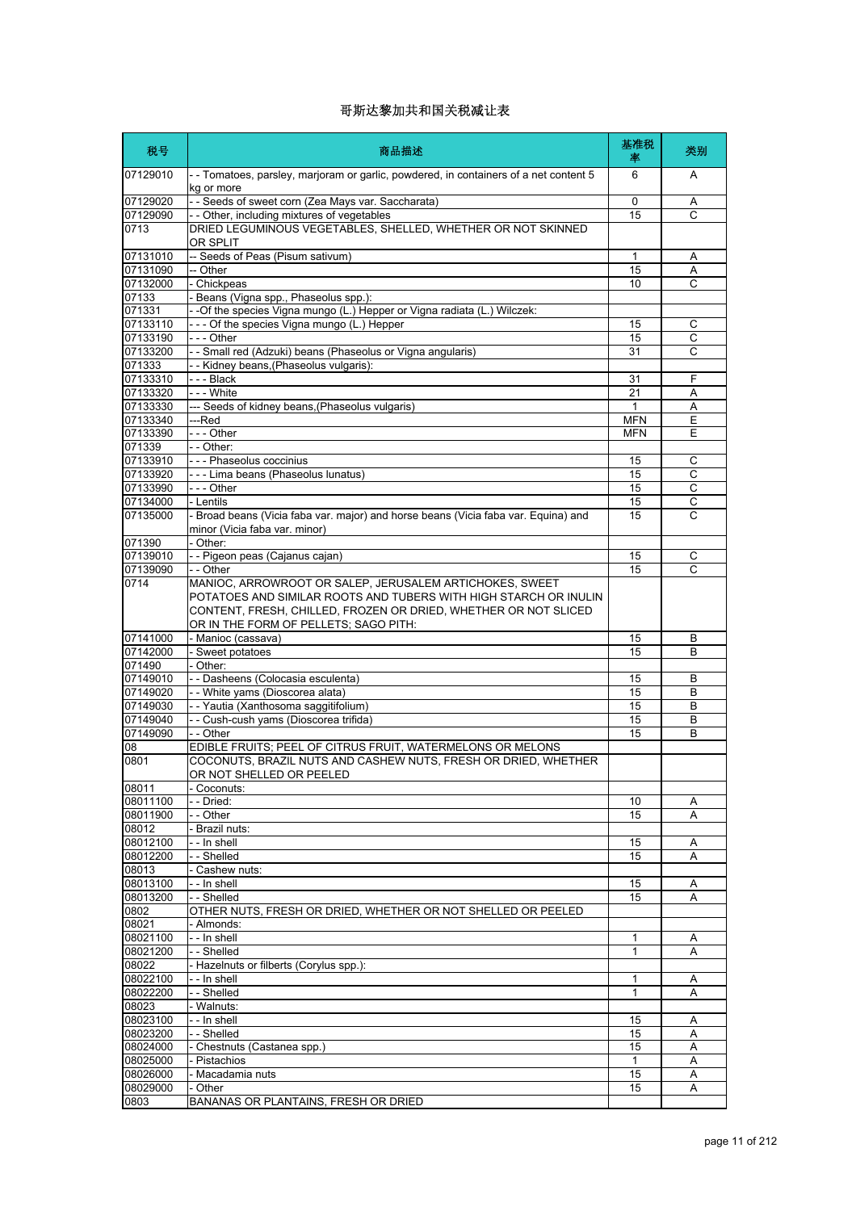| 税号                   | 商品描述                                                                                                                                                                                                                                    | 基准税<br>率           | 类别          |
|----------------------|-----------------------------------------------------------------------------------------------------------------------------------------------------------------------------------------------------------------------------------------|--------------------|-------------|
| 07129010             | - - Tomatoes, parsley, marjoram or garlic, powdered, in containers of a net content 5<br>kg or more                                                                                                                                     | 6                  | A           |
| 07129020             | -- Seeds of sweet corn (Zea Mays var. Saccharata)                                                                                                                                                                                       | 0                  | Α           |
| 07129090             | - - Other, including mixtures of vegetables                                                                                                                                                                                             | 15                 | C           |
| 0713                 | DRIED LEGUMINOUS VEGETABLES, SHELLED, WHETHER OR NOT SKINNED<br>OR SPLIT                                                                                                                                                                |                    |             |
| 07131010             | -- Seeds of Peas (Pisum sativum)                                                                                                                                                                                                        | 1                  | Α           |
| 07131090<br>07132000 | -- Other<br>- Chickpeas                                                                                                                                                                                                                 | 15<br>10           | Α<br>C      |
| 07133                | Beans (Vigna spp., Phaseolus spp.):                                                                                                                                                                                                     |                    |             |
| 071331               | - -Of the species Vigna mungo (L.) Hepper or Vigna radiata (L.) Wilczek:                                                                                                                                                                |                    |             |
| 07133110             | --- Of the species Vigna mungo (L.) Hepper                                                                                                                                                                                              | 15                 | С           |
| 07133190             | - - - Other                                                                                                                                                                                                                             | 15                 | С           |
| 07133200             | - - Small red (Adzuki) beans (Phaseolus or Vigna angularis)                                                                                                                                                                             | 31                 | C           |
| 071333               | - - Kidney beans, (Phaseolus vulgaris):                                                                                                                                                                                                 |                    |             |
| 07133310<br>07133320 | ---Black<br>--- White                                                                                                                                                                                                                   | 31<br>21           | F           |
| 07133330             | --- Seeds of kidney beans, (Phaseolus vulgaris)                                                                                                                                                                                         | 1                  | Α<br>Α      |
| 07133340             | ---Red                                                                                                                                                                                                                                  | <b>MFN</b>         | E           |
| 07133390             | --- Other                                                                                                                                                                                                                               | <b>MFN</b>         | Е           |
| 071339               | - - Other:                                                                                                                                                                                                                              |                    |             |
| 07133910             | - - - Phaseolus coccinius                                                                                                                                                                                                               | 15                 | C           |
| 07133920             | - - - Lima beans (Phaseolus lunatus)                                                                                                                                                                                                    | 15                 | C           |
| 07133990             | - - - Other                                                                                                                                                                                                                             | 15                 | $\mathsf C$ |
| 07134000             | - Lentils                                                                                                                                                                                                                               | 15                 | C           |
| 07135000             | - Broad beans (Vicia faba var. major) and horse beans (Vicia faba var. Equina) and<br>minor (Vicia faba var. minor)                                                                                                                     | 15                 | C           |
| 071390<br>07139010   | - Other:<br>- - Pigeon peas (Cajanus cajan)                                                                                                                                                                                             |                    |             |
| 07139090             | - - Other                                                                                                                                                                                                                               | 15<br>15           | С<br>C      |
| 0714                 | MANIOC, ARROWROOT OR SALEP, JERUSALEM ARTICHOKES, SWEET<br>POTATOES AND SIMILAR ROOTS AND TUBERS WITH HIGH STARCH OR INULIN<br>CONTENT, FRESH, CHILLED, FROZEN OR DRIED, WHETHER OR NOT SLICED<br>OR IN THE FORM OF PELLETS; SAGO PITH: |                    |             |
| 07141000             | - Manioc (cassava)                                                                                                                                                                                                                      | 15                 | B           |
| 07142000             | - Sweet potatoes                                                                                                                                                                                                                        | 15                 | B           |
| 071490               | - Other:                                                                                                                                                                                                                                |                    |             |
| 07149010             | - - Dasheens (Colocasia esculenta)                                                                                                                                                                                                      | 15                 | B           |
| 07149020<br>07149030 | - - White yams (Dioscorea alata)<br>- - Yautia (Xanthosoma saggitifolium)                                                                                                                                                               | 15<br>15           | B<br>B      |
| 07149040             | - - Cush-cush yams (Dioscorea trifida)                                                                                                                                                                                                  | 15                 | В           |
| 07149090             | - - Other                                                                                                                                                                                                                               | 15                 | B           |
| 80                   | EDIBLE FRUITS; PEEL OF CITRUS FRUIT, WATERMELONS OR MELONS                                                                                                                                                                              |                    |             |
| 0801                 | COCONUTS, BRAZIL NUTS AND CASHEW NUTS, FRESH OR DRIED, WHETHER<br>OR NOT SHELLED OR PEELED                                                                                                                                              |                    |             |
| 08011<br>08011100    | - Coconuts:<br>- - Dried:                                                                                                                                                                                                               | 10                 |             |
| 08011900             | - - Other                                                                                                                                                                                                                               | 15                 | Α<br>Α      |
| 08012                | - Brazil nuts:                                                                                                                                                                                                                          |                    |             |
| 08012100             | - - In shell                                                                                                                                                                                                                            | 15                 | Α           |
| 08012200             | - - Shelled                                                                                                                                                                                                                             | 15                 | A           |
| 08013                | - Cashew nuts:                                                                                                                                                                                                                          |                    |             |
| 08013100             | - - In shell                                                                                                                                                                                                                            | 15                 | Α           |
| 08013200             | - - Shelled                                                                                                                                                                                                                             | 15                 | Α           |
| 0802                 | OTHER NUTS, FRESH OR DRIED, WHETHER OR NOT SHELLED OR PEELED                                                                                                                                                                            |                    |             |
| 08021<br>08021100    | - Almonds:<br>- - In shell                                                                                                                                                                                                              | 1                  | Α           |
| 08021200             | - - Shelled                                                                                                                                                                                                                             | 1                  | Α           |
| 08022                | - Hazelnuts or filberts (Corylus spp.):                                                                                                                                                                                                 |                    |             |
| 08022100             | - - In shell                                                                                                                                                                                                                            | 1                  | Α           |
| 08022200             | - - Shelled                                                                                                                                                                                                                             | 1                  | Α           |
| 08023                | - Walnuts:                                                                                                                                                                                                                              |                    |             |
| 08023100             | - - In shell                                                                                                                                                                                                                            | 15                 | Α           |
| 08023200             | - - Shelled                                                                                                                                                                                                                             | 15                 | Α           |
| 08024000             | - Chestnuts (Castanea spp.)                                                                                                                                                                                                             | 15                 | Α           |
| 08025000<br>08026000 | - Pistachios<br>- Macadamia nuts                                                                                                                                                                                                        | $\mathbf{1}$<br>15 | Α<br>Α      |
| 08029000             | - Other                                                                                                                                                                                                                                 | 15                 | Α           |
| 0803                 | BANANAS OR PLANTAINS, FRESH OR DRIED                                                                                                                                                                                                    |                    |             |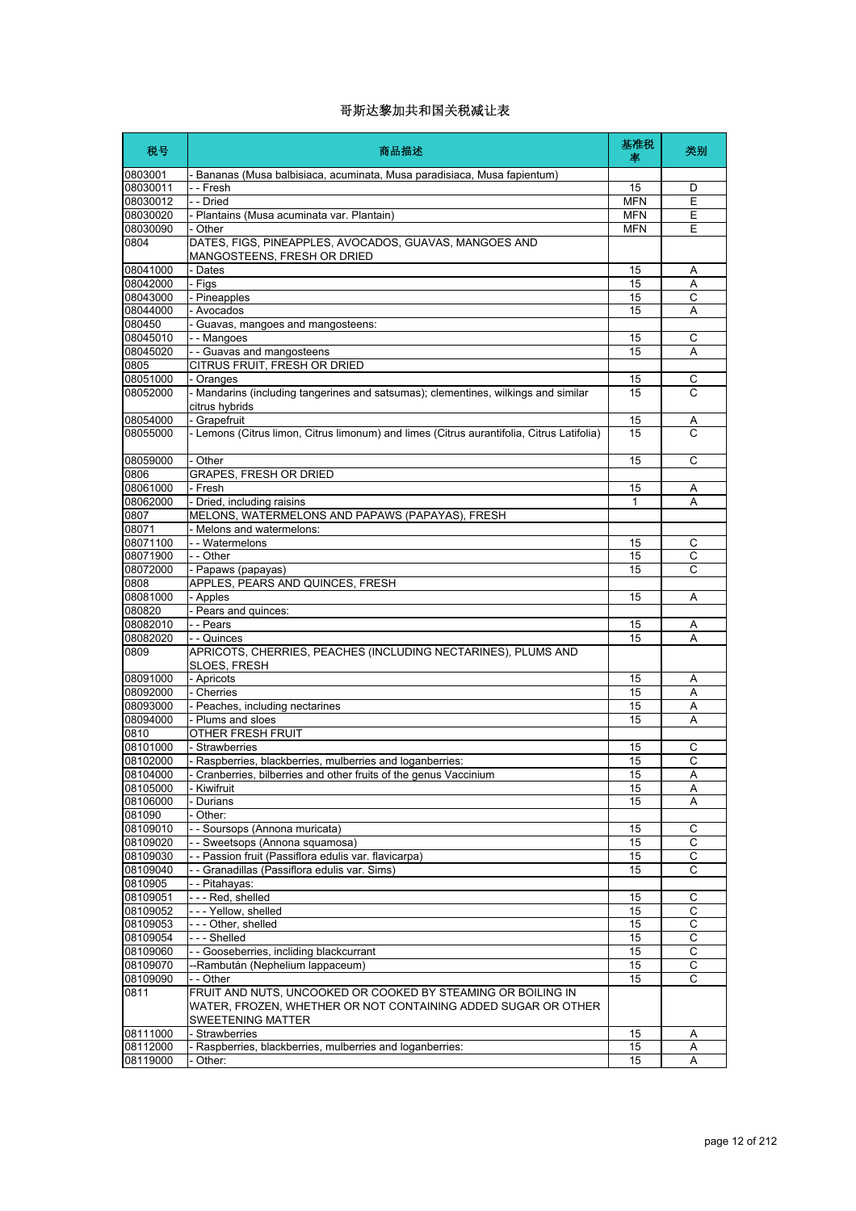| 税号                   | 商品描述                                                                                                                          | 基准税<br>率                 | 类别                  |
|----------------------|-------------------------------------------------------------------------------------------------------------------------------|--------------------------|---------------------|
| 0803001              | - Bananas (Musa balbisiaca, acuminata, Musa paradisiaca, Musa fapientum)                                                      |                          |                     |
| 08030011             | - - Fresh                                                                                                                     | 15                       | D                   |
| 08030012             | - - Dried                                                                                                                     | <b>MFN</b>               | E                   |
| 08030020<br>08030090 | - Plantains (Musa acuminata var. Plantain)<br>- Other                                                                         | <b>MFN</b><br><b>MFN</b> | Ε<br>E              |
| 0804                 | DATES, FIGS, PINEAPPLES, AVOCADOS, GUAVAS, MANGOES AND                                                                        |                          |                     |
|                      | MANGOSTEENS, FRESH OR DRIED                                                                                                   |                          |                     |
| 08041000             | - Dates                                                                                                                       | 15                       | Α                   |
| 08042000             | - Figs                                                                                                                        | 15                       | A                   |
| 08043000             | - Pineapples                                                                                                                  | 15                       | C                   |
| 08044000             | - Avocados                                                                                                                    | 15                       | Α                   |
| 080450               | - Guavas, mangoes and mangosteens:                                                                                            |                          |                     |
| 08045010             | - - Mangoes                                                                                                                   | 15                       | С                   |
| 08045020             | - - Guavas and mangosteens                                                                                                    | 15                       | A                   |
| 0805                 | CITRUS FRUIT, FRESH OR DRIED                                                                                                  |                          |                     |
| 08051000<br>08052000 | - Oranges<br>- Mandarins (including tangerines and satsumas); clementines, wilkings and similar                               | 15<br>15                 | C<br>$\overline{C}$ |
|                      | citrus hybrids                                                                                                                |                          |                     |
| 08054000             | - Grapefruit                                                                                                                  | 15                       | Α                   |
| 08055000             | - Lemons (Citrus limon, Citrus limonum) and limes (Citrus aurantifolia, Citrus Latifolia)                                     | 15                       | C                   |
|                      |                                                                                                                               |                          |                     |
| 08059000             | - Other                                                                                                                       | 15                       | C                   |
| 0806                 | <b>GRAPES, FRESH OR DRIED</b>                                                                                                 |                          |                     |
| 08061000             | - Fresh                                                                                                                       | 15                       | Α                   |
| 08062000             | - Dried, including raisins                                                                                                    | 1                        | А                   |
| 0807                 | MELONS, WATERMELONS AND PAPAWS (PAPAYAS), FRESH                                                                               |                          |                     |
| 08071                | - Melons and watermelons:                                                                                                     |                          |                     |
| 08071100<br>08071900 | - - Watermelons<br>- - Other                                                                                                  | 15                       | C<br>C              |
| 08072000             | - Papaws (papayas)                                                                                                            | 15<br>15                 | C                   |
| 0808                 | APPLES, PEARS AND QUINCES, FRESH                                                                                              |                          |                     |
| 08081000             | - Apples                                                                                                                      | 15                       | Α                   |
| 080820               | - Pears and quinces:                                                                                                          |                          |                     |
| 08082010             | - - Pears                                                                                                                     | 15                       | Α                   |
| 08082020             | - - Quinces                                                                                                                   | 15                       | Α                   |
| 0809                 | APRICOTS, CHERRIES, PEACHES (INCLUDING NECTARINES), PLUMS AND<br>SLOES, FRESH                                                 |                          |                     |
| 08091000             | - Apricots                                                                                                                    | 15                       | A                   |
| 08092000             | - Cherries                                                                                                                    | 15                       | Α                   |
| 08093000             | - Peaches, including nectarines                                                                                               | 15                       | Α                   |
| 08094000             | - Plums and sloes                                                                                                             | 15                       | Α                   |
| 0810<br>08101000     | <b>OTHER FRESH FRUIT</b><br>- Strawberries                                                                                    | 15                       | C                   |
| 08102000             | - Raspberries, blackberries, mulberries and loganberries:                                                                     | 15                       | C                   |
| 08104000             | - Cranberries, bilberries and other fruits of the genus Vaccinium                                                             | 15                       | $\overline{A}$      |
| 08105000             | - Kiwifruit                                                                                                                   | 15                       | Α                   |
| 08106000             | Durians                                                                                                                       | 15                       | A                   |
| 081090               | - Other:                                                                                                                      |                          |                     |
| 08109010             | - - Soursops (Annona muricata)                                                                                                | 15                       | С                   |
| 08109020             | - - Sweetsops (Annona squamosa)                                                                                               | 15                       | $\overline{c}$      |
| 08109030             | - - Passion fruit (Passiflora edulis var. flavicarpa)                                                                         | 15                       | C                   |
| 08109040             | - - Granadillas (Passiflora edulis var. Sims)                                                                                 | 15                       | С                   |
| 0810905              | - - Pitahayas:<br>--- Red, shelled                                                                                            |                          |                     |
| 08109051<br>08109052 | --- Yellow, shelled                                                                                                           | 15<br>15                 | С<br>С              |
| 08109053             | --- Other, shelled                                                                                                            | 15                       | C                   |
| 08109054             | --- Shelled                                                                                                                   | 15                       | С                   |
| 08109060             | - - Gooseberries, incliding blackcurrant                                                                                      | 15                       | С                   |
| 08109070             | --Rambután (Nephelium lappaceum)                                                                                              | 15                       | $\mathsf C$         |
| 08109090             | - - Other                                                                                                                     | 15                       | С                   |
| 0811                 | FRUIT AND NUTS, UNCOOKED OR COOKED BY STEAMING OR BOILING IN<br>WATER, FROZEN, WHETHER OR NOT CONTAINING ADDED SUGAR OR OTHER |                          |                     |
|                      | SWEETENING MATTER                                                                                                             |                          |                     |
| 08111000             | - Strawberries                                                                                                                | 15                       | Α                   |
| 08112000             | - Raspberries, blackberries, mulberries and loganberries:                                                                     | 15                       | Α                   |
| 08119000             | - Other:                                                                                                                      | 15                       | Α                   |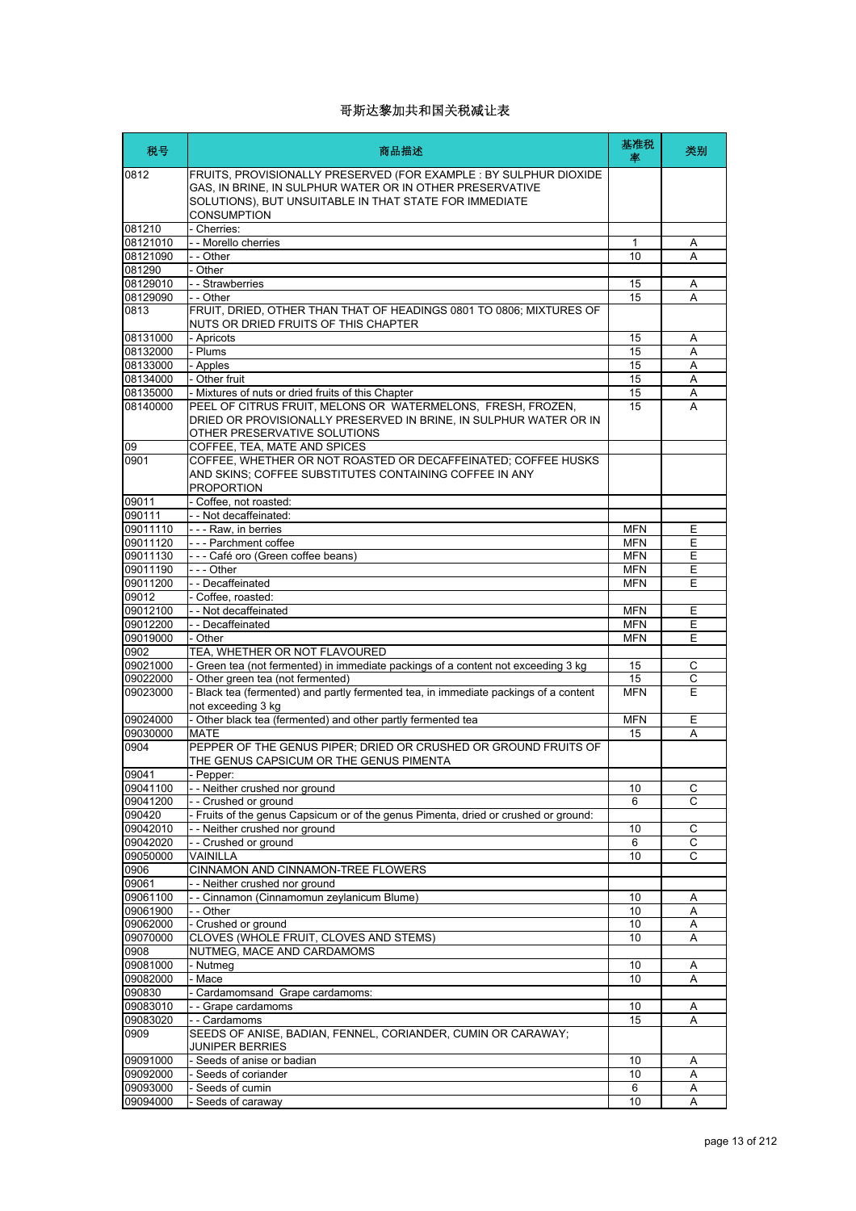| 税号                   | 商品描述                                                                                                                                                                                                   | 基准税<br>率   | 类别             |
|----------------------|--------------------------------------------------------------------------------------------------------------------------------------------------------------------------------------------------------|------------|----------------|
| 0812                 | FRUITS, PROVISIONALLY PRESERVED (FOR EXAMPLE : BY SULPHUR DIOXIDE<br>GAS, IN BRINE, IN SULPHUR WATER OR IN OTHER PRESERVATIVE<br>SOLUTIONS), BUT UNSUITABLE IN THAT STATE FOR IMMEDIATE<br>CONSUMPTION |            |                |
| 081210               | - Cherries:                                                                                                                                                                                            |            |                |
| 08121010             | - - Morello cherries                                                                                                                                                                                   | 1          | Α              |
| 08121090             | - - Other                                                                                                                                                                                              | 10         | A              |
| 081290               | - Other                                                                                                                                                                                                |            |                |
| 08129010             | - - Strawberries                                                                                                                                                                                       | 15         | Α              |
| 08129090             | - - Other                                                                                                                                                                                              | 15         | A              |
| 0813                 | FRUIT, DRIED, OTHER THAN THAT OF HEADINGS 0801 TO 0806; MIXTURES OF<br>NUTS OR DRIED FRUITS OF THIS CHAPTER                                                                                            |            |                |
| 08131000             | - Apricots                                                                                                                                                                                             | 15         | Α              |
| 08132000             | - Plums                                                                                                                                                                                                | 15         | A              |
| 08133000             | - Apples                                                                                                                                                                                               | 15         | Α              |
| 08134000             | - Other fruit                                                                                                                                                                                          | 15         | A              |
| 08135000             | - Mixtures of nuts or dried fruits of this Chapter                                                                                                                                                     | 15         | Α              |
| 08140000             | PEEL OF CITRUS FRUIT, MELONS OR WATERMELONS, FRESH, FROZEN,<br>DRIED OR PROVISIONALLY PRESERVED IN BRINE, IN SULPHUR WATER OR IN<br>OTHER PRESERVATIVE SOLUTIONS                                       | 15         | A              |
| 09                   | COFFEE, TEA, MATE AND SPICES                                                                                                                                                                           |            |                |
| 0901                 | COFFEE, WHETHER OR NOT ROASTED OR DECAFFEINATED; COFFEE HUSKS<br>AND SKINS; COFFEE SUBSTITUTES CONTAINING COFFEE IN ANY<br><b>PROPORTION</b>                                                           |            |                |
| 09011                | - Coffee, not roasted:                                                                                                                                                                                 |            |                |
| 090111               | - - Not decaffeinated:                                                                                                                                                                                 |            |                |
| 09011110             | - - - Raw. in berries                                                                                                                                                                                  | <b>MFN</b> | Е              |
| 09011120             | --- Parchment coffee                                                                                                                                                                                   | <b>MFN</b> | E              |
| 09011130             | --- Café oro (Green coffee beans)                                                                                                                                                                      | <b>MFN</b> | Ε              |
| 09011190             | - - - Other                                                                                                                                                                                            | <b>MFN</b> | E              |
| 09011200             | -- Decaffeinated                                                                                                                                                                                       | <b>MFN</b> | E              |
| 09012                | - Coffee, roasted:                                                                                                                                                                                     |            |                |
| 09012100             | -- Not decaffeinated                                                                                                                                                                                   | <b>MFN</b> | E              |
| 09012200             | --Decaffeinated                                                                                                                                                                                        | <b>MFN</b> | Ε              |
| 09019000             | - Other                                                                                                                                                                                                | <b>MFN</b> | E              |
| 0902                 | TEA, WHETHER OR NOT FLAVOURED                                                                                                                                                                          |            |                |
| 09021000             | - Green tea (not fermented) in immediate packings of a content not exceeding 3 kg                                                                                                                      | 15         | С              |
| 09022000             | - Other green tea (not fermented)                                                                                                                                                                      | 15         | С              |
| 09023000             | - Black tea (fermented) and partly fermented tea, in immediate packings of a content<br>not exceeding 3 kg                                                                                             | <b>MFN</b> | E              |
| 09024000             | - Other black tea (fermented) and other partly fermented tea                                                                                                                                           | <b>MFN</b> | Ε              |
| 09030000             | <b>MATE</b>                                                                                                                                                                                            | 15         | A              |
| 0904                 | PEPPER OF THE GENUS PIPER; DRIED OR CRUSHED OR GROUND FRUITS OF<br>THE GENUS CAPSICUM OR THE GENUS PIMENTA                                                                                             |            |                |
| 09041                | Pepper:                                                                                                                                                                                                |            |                |
| 09041100             | - - Neither crushed nor ground                                                                                                                                                                         | 10         | С              |
| 09041200             | - - Crushed or ground                                                                                                                                                                                  | 6          | C              |
| 090420               | - Fruits of the genus Capsicum or of the genus Pimenta, dried or crushed or ground:                                                                                                                    |            |                |
| 09042010             | -- Neither crushed nor ground                                                                                                                                                                          | 10         | С              |
| 09042020             | - - Crushed or ground                                                                                                                                                                                  | 6          | $\overline{C}$ |
| 09050000             | VAINILLA                                                                                                                                                                                               | 10         | C              |
| 0906                 | CINNAMON AND CINNAMON-TREE FLOWERS                                                                                                                                                                     |            |                |
| 09061                | -- Neither crushed nor ground                                                                                                                                                                          |            |                |
| 09061100             | - - Cinnamon (Cinnamomun zeylanicum Blume)<br>- - Other                                                                                                                                                | 10         | Α              |
| 09061900             | - Crushed or ground                                                                                                                                                                                    | 10<br>10   | Α<br>Α         |
| 09062000<br>09070000 | CLOVES (WHOLE FRUIT, CLOVES AND STEMS)                                                                                                                                                                 | 10         | Α              |
| 0908                 | NUTMEG, MACE AND CARDAMOMS                                                                                                                                                                             |            |                |
| 09081000             | - Nutmeg                                                                                                                                                                                               | 10         | Α              |
| 09082000             | - Mace                                                                                                                                                                                                 | 10         | Α              |
| 090830               | - Cardamomsand Grape cardamoms:                                                                                                                                                                        |            |                |
| 09083010             | -- Grape cardamoms                                                                                                                                                                                     | 10         | Α              |
| 09083020             | - - Cardamoms                                                                                                                                                                                          | 15         | Α              |
| 0909                 | SEEDS OF ANISE, BADIAN, FENNEL, CORIANDER, CUMIN OR CARAWAY;<br>JUNIPER BERRIES                                                                                                                        |            |                |
| 09091000             | - Seeds of anise or badian                                                                                                                                                                             | 10         | Α              |
| 09092000             | - Seeds of coriander                                                                                                                                                                                   | 10         | Α              |
| 09093000             | - Seeds of cumin                                                                                                                                                                                       | 6          | Α              |
| 09094000             | - Seeds of caraway                                                                                                                                                                                     | 10         | A              |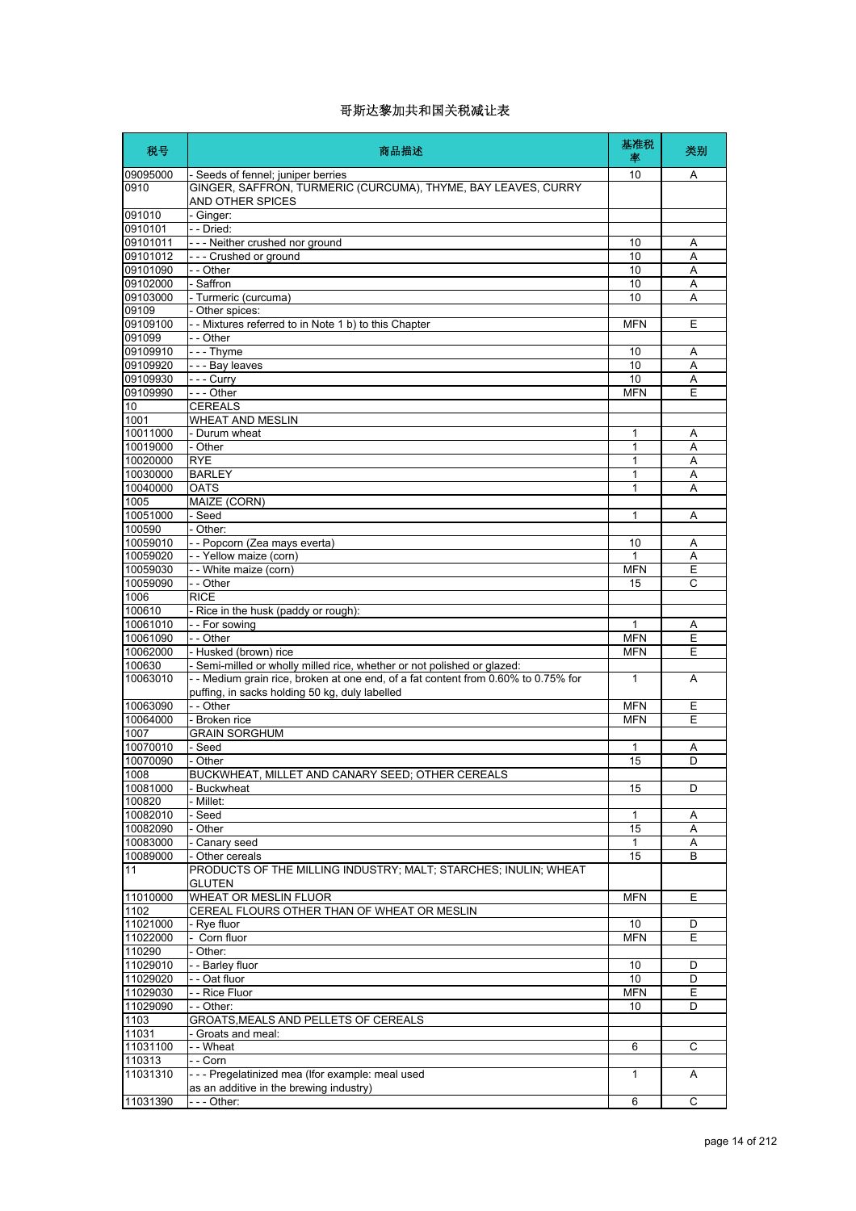| 税号                   | 商品描述                                                                              | 基准税<br>率     | 类别 |
|----------------------|-----------------------------------------------------------------------------------|--------------|----|
| 09095000             | - Seeds of fennel; juniper berries                                                | 10           | A  |
| 0910                 | GINGER, SAFFRON, TURMERIC (CURCUMA), THYME, BAY LEAVES, CURRY<br>AND OTHER SPICES |              |    |
| 091010               | - Ginger:                                                                         |              |    |
| 0910101              | - - Dried:                                                                        |              |    |
| 09101011             | --- Neither crushed nor ground                                                    | 10           | A  |
| 09101012             | --- Crushed or ground                                                             | 10           | Α  |
| 09101090             | - - Other                                                                         | 10           | Α  |
| 09102000             | - Saffron                                                                         | 10           | A  |
| 09103000             | - Turmeric (curcuma)                                                              | 10           | A  |
| 09109                | - Other spices:                                                                   |              |    |
| 09109100             | -- Mixtures referred to in Note 1 b) to this Chapter                              | <b>MFN</b>   | Е  |
| 091099               | - - Other                                                                         |              |    |
| 09109910             | $- -$ Thyme                                                                       | 10           | Α  |
| 09109920<br>09109930 | - - - Bay leaves                                                                  | 10<br>10     | A  |
|                      | --- Curry                                                                         |              | A  |
| 09109990             | --- Other<br><b>CEREALS</b>                                                       | <b>MFN</b>   | E  |
| 10<br>1001           | <b>WHEAT AND MESLIN</b>                                                           |              |    |
| 10011000             | - Durum wheat                                                                     | 1            | Α  |
| 10019000             | - Other                                                                           | $\mathbf{1}$ | A  |
| 10020000             | <b>RYE</b>                                                                        | 1            | Α  |
| 10030000             | <b>BARLEY</b>                                                                     | 1            | A  |
| 10040000             | <b>OATS</b>                                                                       | 1            | Α  |
| 1005                 | MAIZE (CORN)                                                                      |              |    |
| 10051000             | - Seed                                                                            | 1            | Α  |
| 100590               | - Other:                                                                          |              |    |
| 10059010             | - - Popcorn (Zea mays everta)                                                     | 10           | A  |
| 10059020             | - - Yellow maize (corn)                                                           | 1            | Α  |
| 10059030             | - - White maize (corn)                                                            | <b>MFN</b>   | E  |
| 10059090             | - - Other                                                                         | 15           | C  |
| 1006                 | <b>RICE</b>                                                                       |              |    |
| 100610               | - Rice in the husk (paddy or rough):                                              |              |    |
| 10061010             | -- For sowing                                                                     | 1            | A  |
| 10061090             | - - Other                                                                         | <b>MFN</b>   | Ε  |
| 10062000             | - Husked (brown) rice                                                             | <b>MFN</b>   | E  |
| 100630               | - Semi-milled or wholly milled rice, whether or not polished or glazed:           |              |    |
| 10063010             | -- Medium grain rice, broken at one end, of a fat content from 0.60% to 0.75% for | 1            | A  |
|                      | puffing, in sacks holding 50 kg, duly labelled                                    |              |    |
| 10063090             | - - Other                                                                         | <b>MFN</b>   | Ε  |
| 10064000             | - Broken rice                                                                     | <b>MFN</b>   | Ε  |
| 1007                 | <b>GRAIN SORGHUM</b>                                                              |              |    |
| 10070010             | - Seed                                                                            | 1            | Α  |
| 10070090             | - Other                                                                           | 15           | D  |
| 1008                 | BUCKWHEAT, MILLET AND CANARY SEED: OTHER CEREALS                                  |              |    |
| 10081000             | <b>Buckwheat</b>                                                                  | 15           | D  |
| 100820               | Millet:                                                                           |              |    |
| 10082010             | Seed                                                                              | 1            | Α  |
| 10082090             | Other                                                                             | 15           | Α  |
| 10083000             | Canary seed                                                                       | 1            | A  |
| 10089000             | - Other cereals                                                                   | 15           | B  |
| 11                   | PRODUCTS OF THE MILLING INDUSTRY; MALT; STARCHES; INULIN; WHEAT<br><b>GLUTEN</b>  |              |    |
| 11010000             | WHEAT OR MESLIN FLUOR                                                             | <b>MFN</b>   | Е  |
| 1102                 | CEREAL FLOURS OTHER THAN OF WHEAT OR MESLIN                                       |              |    |
| 11021000             | - Rye fluor                                                                       | 10           | D  |
| 11022000             | Corn fluor                                                                        | <b>MFN</b>   | E  |
| 110290               | Other:                                                                            |              |    |
| 11029010             | - Barley fluor                                                                    | 10           | D  |
| 11029020             | - Oat fluor                                                                       | 10           | D  |
| 11029030             | - Rice Fluor                                                                      | <b>MFN</b>   | E  |
| 11029090             | - - Other:                                                                        | 10           | D  |
| 1103                 | GROATS, MEALS AND PELLETS OF CEREALS                                              |              |    |
| 11031                | Groats and meal:                                                                  |              |    |
| 11031100             | - - Wheat                                                                         | 6            | C  |
| 110313               | - - Corn                                                                          |              |    |
|                      | --- Pregelatinized mea (Ifor example: meal used                                   | $\mathbf{1}$ | A  |
|                      |                                                                                   |              |    |
| 11031310<br>11031390 | as an additive in the brewing industry)<br>- - - Other:                           | 6            | С  |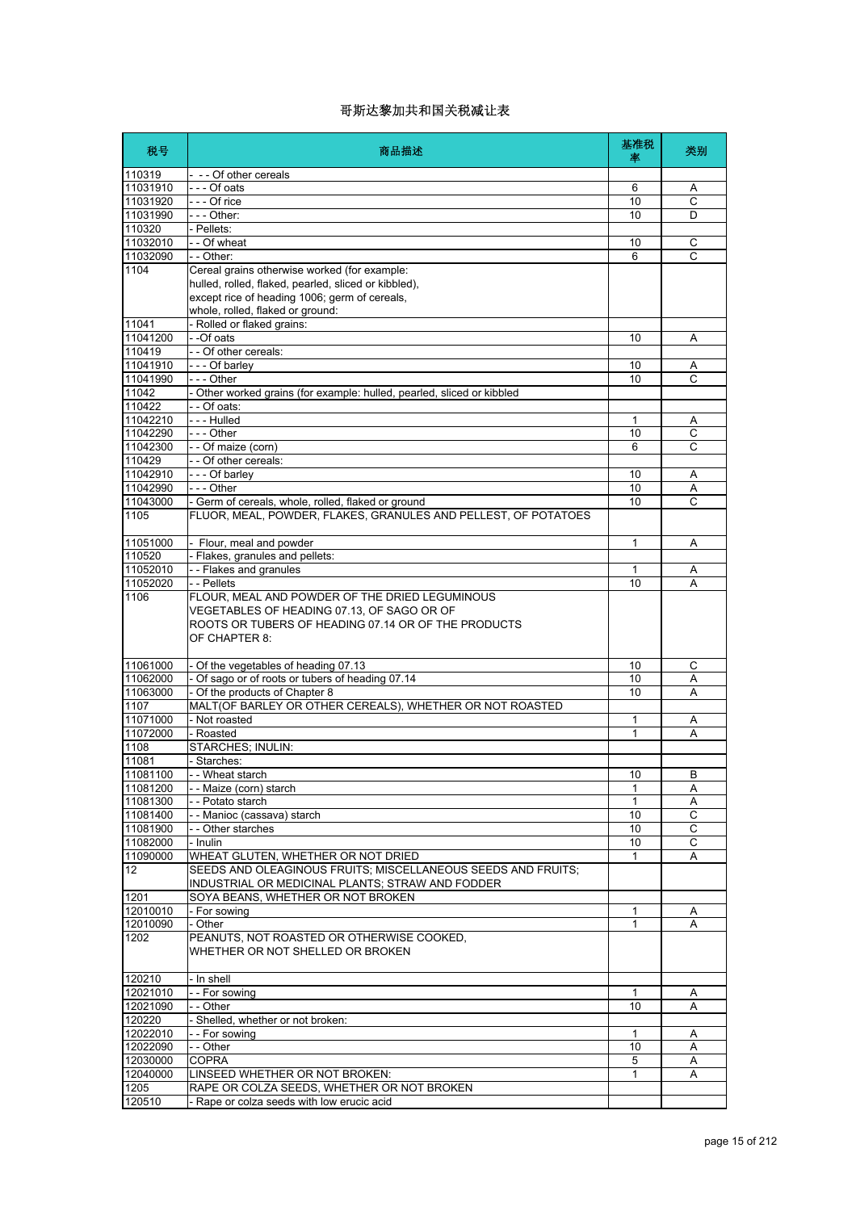| 税号       | 商品描述                                                                                                                                                                 | 基准税<br>率     | 类别             |
|----------|----------------------------------------------------------------------------------------------------------------------------------------------------------------------|--------------|----------------|
| 110319   | - -- Of other cereals                                                                                                                                                |              |                |
| 11031910 | $- -$ Of oats                                                                                                                                                        | 6            | Α              |
| 11031920 | --- Of rice                                                                                                                                                          | 10           | C              |
| 11031990 | - - - Other:                                                                                                                                                         | 10           | D              |
| 110320   | - Pellets:                                                                                                                                                           |              |                |
| 11032010 | - - Of wheat                                                                                                                                                         | 10           | C              |
| 11032090 | - - Other:                                                                                                                                                           | 6            | $\overline{C}$ |
| 1104     | Cereal grains otherwise worked (for example:<br>hulled, rolled, flaked, pearled, sliced or kibbled),                                                                 |              |                |
|          | except rice of heading 1006; germ of cereals,                                                                                                                        |              |                |
|          | whole, rolled, flaked or ground:                                                                                                                                     |              |                |
| 11041    | - Rolled or flaked grains:                                                                                                                                           |              |                |
| 11041200 | - -Of oats                                                                                                                                                           | 10           | Α              |
| 110419   | - - Of other cereals:                                                                                                                                                |              |                |
| 11041910 | - - - Of barley                                                                                                                                                      | 10           | Α              |
| 11041990 | $--$ Other                                                                                                                                                           | 10           | C              |
| 11042    | - Other worked grains (for example: hulled, pearled, sliced or kibbled                                                                                               |              |                |
| 110422   | - - Of oats:                                                                                                                                                         |              |                |
| 11042210 | --- Hulled                                                                                                                                                           | 1            | Α              |
| 11042290 | --- Other                                                                                                                                                            | 10           | С              |
| 11042300 | - - Of maize (corn)                                                                                                                                                  | 6            | C              |
| 110429   | -- Of other cereals:                                                                                                                                                 |              |                |
| 11042910 | - - - Of barley                                                                                                                                                      | 10           | Α              |
| 11042990 | $--$ Other                                                                                                                                                           | 10           | Α              |
| 11043000 | - Germ of cereals, whole, rolled, flaked or ground                                                                                                                   | 10           | C              |
| 1105     | FLUOR, MEAL, POWDER, FLAKES, GRANULES AND PELLEST, OF POTATOES                                                                                                       |              |                |
| 11051000 | - Flour, meal and powder                                                                                                                                             | 1            | Α              |
| 110520   | - Flakes, granules and pellets:                                                                                                                                      |              |                |
| 11052010 | - - Flakes and granules                                                                                                                                              | 1            | Α              |
| 11052020 | - - Pellets                                                                                                                                                          | 10           | Α              |
| 1106     | FLOUR, MEAL AND POWDER OF THE DRIED LEGUMINOUS<br>VEGETABLES OF HEADING 07.13, OF SAGO OR OF<br>ROOTS OR TUBERS OF HEADING 07.14 OR OF THE PRODUCTS<br>OF CHAPTER 8: |              |                |
| 11061000 | - Of the vegetables of heading 07.13                                                                                                                                 | 10           | C              |
| 11062000 | - Of sago or of roots or tubers of heading 07.14                                                                                                                     | 10           | Α              |
| 11063000 | - Of the products of Chapter 8                                                                                                                                       | 10           | A              |
| 1107     | MALT(OF BARLEY OR OTHER CEREALS), WHETHER OR NOT ROASTED                                                                                                             |              |                |
| 11071000 | - Not roasted                                                                                                                                                        | 1            | Α              |
| 11072000 | - Roasted                                                                                                                                                            | 1            | Α              |
| 1108     | STARCHES; INULIN:                                                                                                                                                    |              |                |
| 11081    | - Starches:                                                                                                                                                          |              |                |
| 11081100 | - Wheat starch                                                                                                                                                       | 10           | B              |
| 11081200 | -- Maize (corn) starch                                                                                                                                               | 1            | Α              |
| 11081300 | - - Potato starch                                                                                                                                                    | $\mathbf{1}$ | A              |
| 11081400 | - - Manioc (cassava) starch                                                                                                                                          | 10           | С              |
| 11081900 | - - Other starches                                                                                                                                                   | 10           | C              |
| 11082000 | - Inulin                                                                                                                                                             | 10           | С              |
| 11090000 | WHEAT GLUTEN, WHETHER OR NOT DRIED                                                                                                                                   | 1            | Α              |
| 12       | SEEDS AND OLEAGINOUS FRUITS; MISCELLANEOUS SEEDS AND FRUITS;<br>INDUSTRIAL OR MEDICINAL PLANTS; STRAW AND FODDER                                                     |              |                |
| 1201     | SOYA BEANS, WHETHER OR NOT BROKEN                                                                                                                                    |              |                |
| 12010010 | - For sowing                                                                                                                                                         | 1            | Α              |
| 12010090 | - Other                                                                                                                                                              | 1            | A              |
| 1202     | PEANUTS, NOT ROASTED OR OTHERWISE COOKED,<br>WHETHER OR NOT SHELLED OR BROKEN                                                                                        |              |                |
| 120210   | - In shell                                                                                                                                                           |              |                |
| 12021010 | - - For sowing                                                                                                                                                       | $\mathbf{1}$ | A              |
| 12021090 | - - Other                                                                                                                                                            | 10           | Α              |
| 120220   | - Shelled, whether or not broken:                                                                                                                                    |              |                |
| 12022010 | - - For sowing                                                                                                                                                       | $\mathbf{1}$ | A              |
| 12022090 | -- Other                                                                                                                                                             | 10           | Α              |
| 12030000 | <b>COPRA</b>                                                                                                                                                         | 5            | Α              |
| 12040000 | LINSEED WHETHER OR NOT BROKEN:                                                                                                                                       | 1            | Α              |
| 1205     | RAPE OR COLZA SEEDS, WHETHER OR NOT BROKEN                                                                                                                           |              |                |
| 120510   | - Rape or colza seeds with low erucic acid                                                                                                                           |              |                |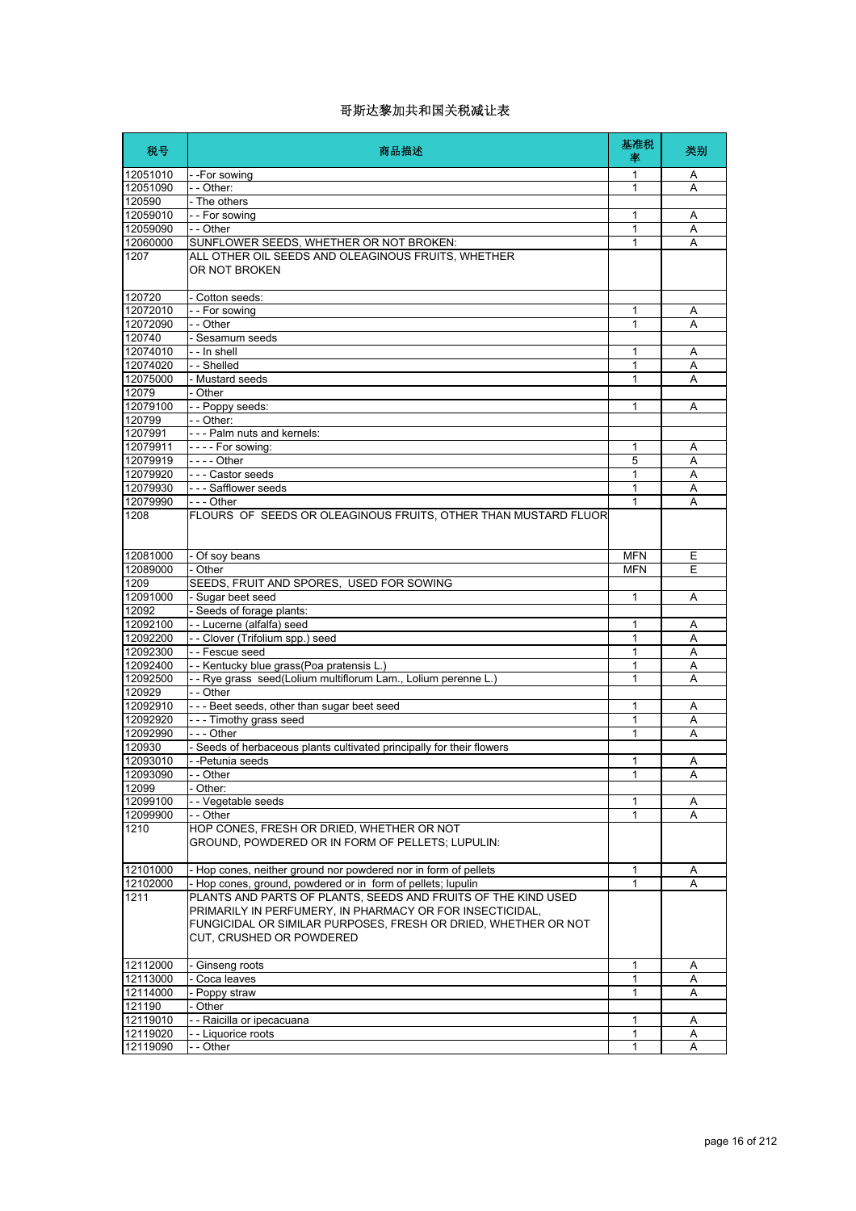| 税号               | 商品描述                                                                                                                                                                                                                    | 基准税<br>率     | 类别 |
|------------------|-------------------------------------------------------------------------------------------------------------------------------------------------------------------------------------------------------------------------|--------------|----|
| 12051010         | --For sowing                                                                                                                                                                                                            | 1            | A  |
| 12051090         | - - Other:                                                                                                                                                                                                              | 1            | A  |
| 120590           | - The others                                                                                                                                                                                                            |              |    |
| 12059010         | - - For sowing                                                                                                                                                                                                          | 1            | Α  |
| 12059090         | - - Other                                                                                                                                                                                                               | 1            | Α  |
| 12060000         | SUNFLOWER SEEDS, WHETHER OR NOT BROKEN:                                                                                                                                                                                 | 1            | A  |
| 1207             | ALL OTHER OIL SEEDS AND OLEAGINOUS FRUITS, WHETHER<br>OR NOT BROKEN                                                                                                                                                     |              |    |
| 120720           | - Cotton seeds:                                                                                                                                                                                                         |              |    |
| 12072010         | - - For sowing                                                                                                                                                                                                          | 1            | Α  |
| 12072090         | $ \overline{Other}$                                                                                                                                                                                                     | 1            | A  |
| 120740           | - Sesamum seeds                                                                                                                                                                                                         |              |    |
| 12074010         | - - In shell                                                                                                                                                                                                            | 1            | Α  |
| 12074020         | -- Shelled                                                                                                                                                                                                              | 1            | A  |
| 12075000         | - Mustard seeds                                                                                                                                                                                                         | 1            | A  |
| 12079            | - Other                                                                                                                                                                                                                 |              |    |
| 12079100         | - - Poppy seeds:                                                                                                                                                                                                        | 1            | A  |
| 120799           | - - Other:                                                                                                                                                                                                              |              |    |
| 1207991          | --- Palm nuts and kernels:                                                                                                                                                                                              |              |    |
| 12079911         | $--$ For sowing:                                                                                                                                                                                                        | 1            | Α  |
| 12079919         | - - - - Other                                                                                                                                                                                                           | 5            | A  |
| 12079920         | --- Castor seeds                                                                                                                                                                                                        | 1            | A  |
| 12079930         | - - - Safflower seeds                                                                                                                                                                                                   | 1<br>1       | Α  |
| 12079990<br>1208 | - - - Other<br>FLOURS OF SEEDS OR OLEAGINOUS FRUITS, OTHER THAN MUSTARD FLUOR                                                                                                                                           |              | A  |
| 12081000         | - Of soy beans                                                                                                                                                                                                          | <b>MFN</b>   | Ε  |
| 12089000         | - Other                                                                                                                                                                                                                 | <b>MFN</b>   | E  |
| 1209             | SEEDS, FRUIT AND SPORES, USED FOR SOWING                                                                                                                                                                                |              |    |
| 12091000         | - Sugar beet seed                                                                                                                                                                                                       | 1            | Α  |
| 12092            | - Seeds of forage plants:                                                                                                                                                                                               |              |    |
| 12092100         | -- Lucerne (alfalfa) seed                                                                                                                                                                                               | 1            | A  |
| 12092200         | - - Clover (Trifolium spp.) seed                                                                                                                                                                                        | 1            | Α  |
| 12092300         | - - Fescue seed                                                                                                                                                                                                         | 1            | Α  |
| 12092400         | - - Kentucky blue grass(Poa pratensis L.)                                                                                                                                                                               | 1            | Α  |
| 12092500         | - - Rye grass seed(Lolium multiflorum Lam., Lolium perenne L.)                                                                                                                                                          | 1            | Α  |
| 120929           | - - Other                                                                                                                                                                                                               |              |    |
| 12092910         | --- Beet seeds, other than sugar beet seed                                                                                                                                                                              | 1            | A  |
| 12092920         | --- Timothy grass seed                                                                                                                                                                                                  | 1            | A  |
| 12092990         | - - - Other                                                                                                                                                                                                             | 1            | A  |
| 120930           | - Seeds of herbaceous plants cultivated principally for their flowers                                                                                                                                                   |              |    |
| 12093010         | - -Petunia seeds                                                                                                                                                                                                        | 1            | Α  |
| 12093090         | - - Other                                                                                                                                                                                                               | 1            | A  |
| 12099            | Other:                                                                                                                                                                                                                  |              |    |
| 12099100         | - Vegetable seeds                                                                                                                                                                                                       | 1            | Α  |
| 12099900         | - - Other                                                                                                                                                                                                               | 1            | A  |
| 1210             | HOP CONES, FRESH OR DRIED, WHETHER OR NOT<br>GROUND, POWDERED OR IN FORM OF PELLETS; LUPULIN:                                                                                                                           |              |    |
| 12101000         | - Hop cones, neither ground nor powdered nor in form of pellets                                                                                                                                                         | 1            | A  |
| 12102000         | - Hop cones, ground, powdered or in form of pellets; lupulin                                                                                                                                                            | 1            | A  |
| 1211             | PLANTS AND PARTS OF PLANTS, SEEDS AND FRUITS OF THE KIND USED<br>PRIMARILY IN PERFUMERY, IN PHARMACY OR FOR INSECTICIDAL,<br>FUNGICIDAL OR SIMILAR PURPOSES, FRESH OR DRIED, WHETHER OR NOT<br>CUT, CRUSHED OR POWDERED |              |    |
| 12112000         | Ginseng roots                                                                                                                                                                                                           | $\mathbf{1}$ | Α  |
| 12113000         | Coca leaves                                                                                                                                                                                                             | 1            | Α  |
| 12114000         | Poppy straw                                                                                                                                                                                                             | 1            | A  |
| 121190           | Other                                                                                                                                                                                                                   |              |    |
| 12119010         | - - Raicilla or ipecacuana                                                                                                                                                                                              | 1            | Α  |
| 12119020         | -- Liquorice roots                                                                                                                                                                                                      | 1            | A  |
| 12119090         | Other                                                                                                                                                                                                                   | 1            | A  |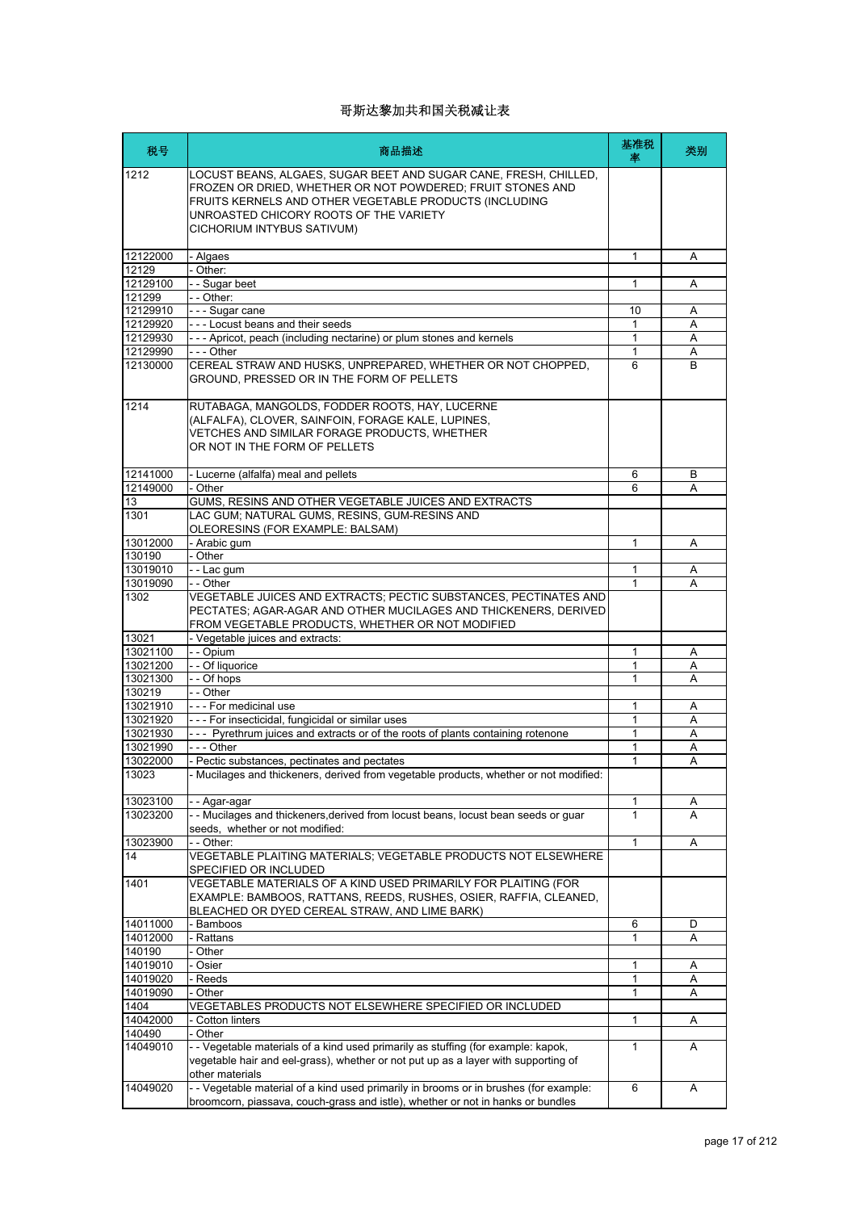| 税号                   | 商品描述                                                                                                                                                                                                                                                             | 基准税<br>率     | 类别     |
|----------------------|------------------------------------------------------------------------------------------------------------------------------------------------------------------------------------------------------------------------------------------------------------------|--------------|--------|
| 1212                 | LOCUST BEANS, ALGAES, SUGAR BEET AND SUGAR CANE, FRESH, CHILLED,<br>FROZEN OR DRIED, WHETHER OR NOT POWDERED; FRUIT STONES AND<br>FRUITS KERNELS AND OTHER VEGETABLE PRODUCTS (INCLUDING<br>UNROASTED CHICORY ROOTS OF THE VARIETY<br>CICHORIUM INTYBUS SATIVUM) |              |        |
| 12122000             | - Algaes                                                                                                                                                                                                                                                         | 1            | A      |
| 12129                | Other:                                                                                                                                                                                                                                                           |              |        |
| 12129100             | -- Sugar beet                                                                                                                                                                                                                                                    | 1            | A      |
| 121299<br>12129910   | - - Other:<br>- - - Sugar cane                                                                                                                                                                                                                                   | 10           | A      |
| 12129920             | --- Locust beans and their seeds                                                                                                                                                                                                                                 | 1            | Α      |
| 12129930             | --- Apricot, peach (including nectarine) or plum stones and kernels                                                                                                                                                                                              | 1            | Α      |
| 12129990             | - - - Other                                                                                                                                                                                                                                                      | 1            | Α      |
| 12130000             | CEREAL STRAW AND HUSKS, UNPREPARED, WHETHER OR NOT CHOPPED,<br>GROUND, PRESSED OR IN THE FORM OF PELLETS                                                                                                                                                         | 6            | B      |
| 1214                 | RUTABAGA, MANGOLDS, FODDER ROOTS, HAY, LUCERNE<br>(ALFALFA), CLOVER, SAINFOIN, FORAGE KALE, LUPINES,<br>VETCHES AND SIMILAR FORAGE PRODUCTS. WHETHER<br>OR NOT IN THE FORM OF PELLETS                                                                            |              |        |
| 12141000             | - Lucerne (alfalfa) meal and pellets                                                                                                                                                                                                                             | 6            | B      |
| 12149000             | - Other                                                                                                                                                                                                                                                          | 6            | A      |
| 13<br>1301           | GUMS, RESINS AND OTHER VEGETABLE JUICES AND EXTRACTS<br>LAC GUM; NATURAL GUMS, RESINS, GUM-RESINS AND<br>OLEORESINS (FOR EXAMPLE: BALSAM)                                                                                                                        |              |        |
| 13012000             | - Arabic gum                                                                                                                                                                                                                                                     | 1            | Α      |
| 130190               | - Other                                                                                                                                                                                                                                                          |              |        |
| 13019010             | - - Lac gum                                                                                                                                                                                                                                                      | 1            | Α      |
| 13019090             | - - Other                                                                                                                                                                                                                                                        | 1            | A      |
| 1302                 | VEGETABLE JUICES AND EXTRACTS; PECTIC SUBSTANCES, PECTINATES AND<br>PECTATES; AGAR-AGAR AND OTHER MUCILAGES AND THICKENERS, DERIVED<br>FROM VEGETABLE PRODUCTS, WHETHER OR NOT MODIFIED                                                                          |              |        |
| 13021<br>13021100    | - Vegetable juices and extracts:<br>- - Opium                                                                                                                                                                                                                    | 1            |        |
| 13021200             | - - Of liquorice                                                                                                                                                                                                                                                 | 1            | Α<br>Α |
| 13021300             | - - Of hops                                                                                                                                                                                                                                                      | 1            | A      |
| 130219               | - - Other                                                                                                                                                                                                                                                        |              |        |
| 13021910             | - - - For medicinal use                                                                                                                                                                                                                                          | 1            | Α      |
| 13021920<br>13021930 | - - - For insecticidal, fungicidal or similar uses                                                                                                                                                                                                               | 1<br>1       | Α<br>A |
| 13021990             | --- Pyrethrum juices and extracts or of the roots of plants containing rotenone<br>- - - Other                                                                                                                                                                   | 1            | Α      |
| 13022000             | - Pectic substances, pectinates and pectates                                                                                                                                                                                                                     | 1            | A      |
| 13023                | Mucilages and thickeners, derived from vegetable products, whether or not modified:                                                                                                                                                                              |              |        |
| 13023100             | - Agar-agar                                                                                                                                                                                                                                                      | 1            | Α      |
| 13023200             | - - Mucilages and thickeners, derived from locust beans, locust bean seeds or guar                                                                                                                                                                               | 1            | A      |
| 13023900             | seeds, whether or not modified:<br>- - Other:                                                                                                                                                                                                                    | $\mathbf{1}$ | Α      |
| 14                   | VEGETABLE PLAITING MATERIALS; VEGETABLE PRODUCTS NOT ELSEWHERE                                                                                                                                                                                                   |              |        |
|                      | SPECIFIED OR INCLUDED                                                                                                                                                                                                                                            |              |        |
| 1401                 | VEGETABLE MATERIALS OF A KIND USED PRIMARILY FOR PLAITING (FOR<br>EXAMPLE: BAMBOOS, RATTANS, REEDS, RUSHES, OSIER, RAFFIA, CLEANED,                                                                                                                              |              |        |
| 14011000             | BLEACHED OR DYED CEREAL STRAW, AND LIME BARK)<br>- Bamboos                                                                                                                                                                                                       | 6            | D      |
| 14012000             | Rattans                                                                                                                                                                                                                                                          | 1            | Α      |
| 140190               | Other                                                                                                                                                                                                                                                            |              |        |
| 14019010             | Osier                                                                                                                                                                                                                                                            | 1            | Α      |
| 14019020             | - Reeds                                                                                                                                                                                                                                                          | 1            | Α      |
| 14019090<br>1404     | - Other<br>VEGETABLES PRODUCTS NOT ELSEWHERE SPECIFIED OR INCLUDED                                                                                                                                                                                               | 1            | Α      |
| 14042000             | Cotton linters                                                                                                                                                                                                                                                   | 1            | Α      |
| 140490               | Other                                                                                                                                                                                                                                                            |              |        |
| 14049010             | - - Vegetable materials of a kind used primarily as stuffing (for example: kapok,<br>vegetable hair and eel-grass), whether or not put up as a layer with supporting of                                                                                          | 1            | A      |
| 14049020             | other materials<br>- - Vegetable material of a kind used primarily in brooms or in brushes (for example:<br>broomcorn, piassava, couch-grass and istle), whether or not in hanks or bundles                                                                      | 6            | A      |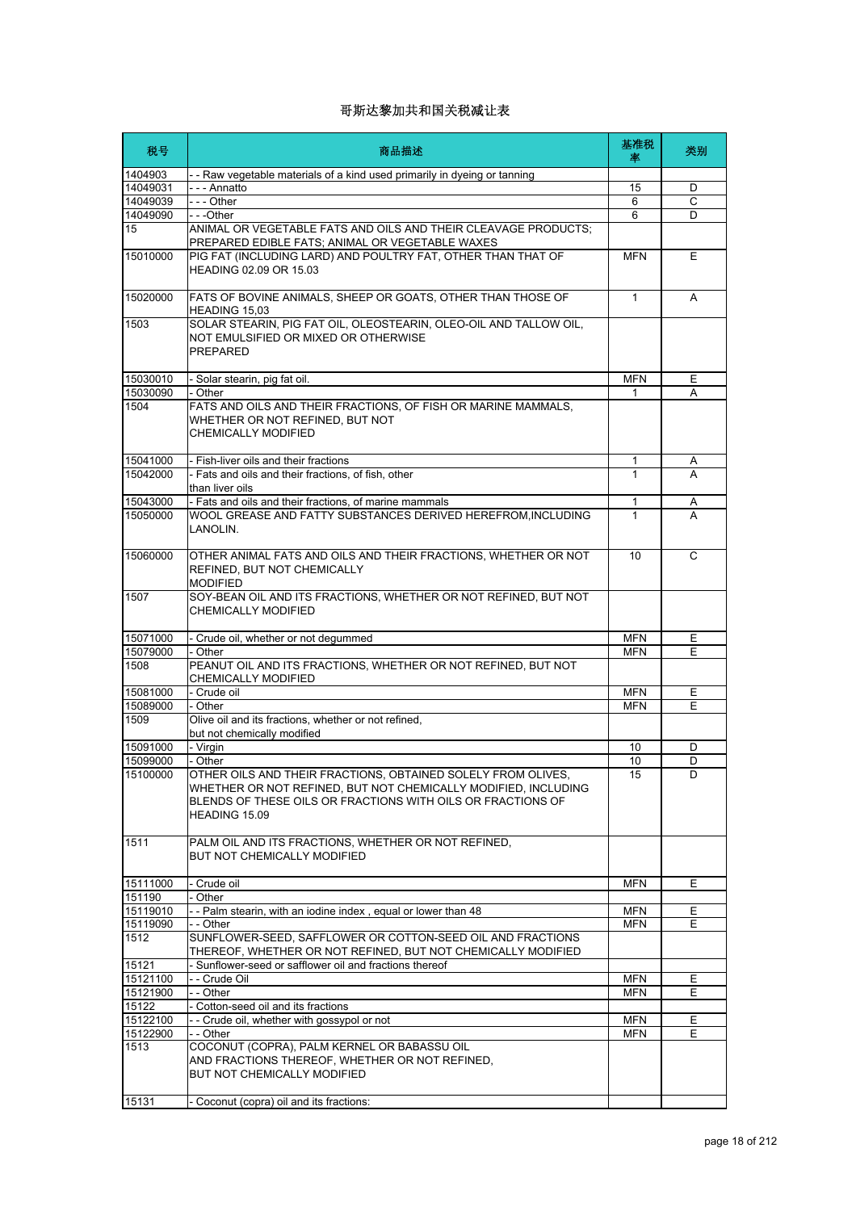| 税号                | 商品描述                                                                                                                                                                                                           | 基准税<br>率     | 类别 |
|-------------------|----------------------------------------------------------------------------------------------------------------------------------------------------------------------------------------------------------------|--------------|----|
| 1404903           | - - Raw vegetable materials of a kind used primarily in dyeing or tanning                                                                                                                                      |              |    |
| 14049031          | - - - Annatto                                                                                                                                                                                                  | 15           | D  |
| 14049039          | $--$ Other                                                                                                                                                                                                     | 6            | C  |
| 14049090          | - - -Other                                                                                                                                                                                                     | 6            | D  |
| 15                | ANIMAL OR VEGETABLE FATS AND OILS AND THEIR CLEAVAGE PRODUCTS;<br>PREPARED EDIBLE FATS; ANIMAL OR VEGETABLE WAXES                                                                                              |              |    |
| 15010000          | PIG FAT (INCLUDING LARD) AND POULTRY FAT, OTHER THAN THAT OF<br>HEADING 02.09 OR 15.03                                                                                                                         | <b>MFN</b>   | Ε  |
| 15020000          | FATS OF BOVINE ANIMALS, SHEEP OR GOATS, OTHER THAN THOSE OF<br>HEADING 15,03                                                                                                                                   | $\mathbf{1}$ | A  |
| 1503              | SOLAR STEARIN, PIG FAT OIL, OLEOSTEARIN, OLEO-OIL AND TALLOW OIL,<br>NOT EMULSIFIED OR MIXED OR OTHERWISE<br><b>PREPARED</b>                                                                                   |              |    |
| 15030010          | - Solar stearin, pig fat oil.                                                                                                                                                                                  | <b>MFN</b>   | Ε  |
| 15030090          | - Other                                                                                                                                                                                                        | 1            | A  |
| 1504              | FATS AND OILS AND THEIR FRACTIONS, OF FISH OR MARINE MAMMALS,<br>WHETHER OR NOT REFINED, BUT NOT<br><b>CHEMICALLY MODIFIED</b>                                                                                 |              |    |
| 15041000          | - Fish-liver oils and their fractions                                                                                                                                                                          | 1            | A  |
| 15042000          | - Fats and oils and their fractions, of fish, other<br>than liver oils                                                                                                                                         | $\mathbf 1$  | A  |
| 15043000          | - Fats and oils and their fractions, of marine mammals                                                                                                                                                         | 1            | A  |
| 15050000          | WOOL GREASE AND FATTY SUBSTANCES DERIVED HEREFROM, INCLUDING<br>LANOLIN.                                                                                                                                       | $\mathbf{1}$ | A  |
| 15060000          | OTHER ANIMAL FATS AND OILS AND THEIR FRACTIONS, WHETHER OR NOT<br>REFINED, BUT NOT CHEMICALLY<br><b>MODIFIED</b>                                                                                               | 10           | C  |
| 1507              | SOY-BEAN OIL AND ITS FRACTIONS, WHETHER OR NOT REFINED, BUT NOT<br><b>CHEMICALLY MODIFIED</b>                                                                                                                  |              |    |
| 15071000          | - Crude oil, whether or not degummed                                                                                                                                                                           | <b>MFN</b>   | Е  |
| 15079000          | - Other                                                                                                                                                                                                        | <b>MFN</b>   | E  |
| 1508              | PEANUT OIL AND ITS FRACTIONS, WHETHER OR NOT REFINED, BUT NOT<br><b>CHEMICALLY MODIFIED</b>                                                                                                                    |              |    |
| 15081000          | - Crude oil                                                                                                                                                                                                    | <b>MFN</b>   | Ε  |
| 15089000          | - Other                                                                                                                                                                                                        | <b>MFN</b>   | F  |
| 1509              | Olive oil and its fractions, whether or not refined,<br>but not chemically modified                                                                                                                            |              |    |
| 15091000          | - Virgin                                                                                                                                                                                                       | 10           | D  |
| 15099000          | - Other                                                                                                                                                                                                        | 10           | D  |
| 15100000          | OTHER OILS AND THEIR FRACTIONS, OBTAINED SOLELY FROM OLIVES,<br>WHETHER OR NOT REFINED, BUT NOT CHEMICALLY MODIFIED, INCLUDING<br>BLENDS OF THESE OILS OR FRACTIONS WITH OILS OR FRACTIONS OF<br>HEADING 15.09 | 15           | D. |
| 1511              | PALM OIL AND ITS FRACTIONS, WHETHER OR NOT REFINED,<br>BUT NOT CHEMICALLY MODIFIED                                                                                                                             |              |    |
| 15111000          | - Crude oil                                                                                                                                                                                                    | <b>MFN</b>   | Е  |
| 151190            | - Other                                                                                                                                                                                                        |              |    |
| 15119010          | -- Palm stearin, with an iodine index, equal or lower than 48                                                                                                                                                  | <b>MFN</b>   | E  |
| 15119090          | - - Other                                                                                                                                                                                                      | <b>MFN</b>   | E  |
| 1512              | SUNFLOWER-SEED, SAFFLOWER OR COTTON-SEED OIL AND FRACTIONS<br>THEREOF, WHETHER OR NOT REFINED, BUT NOT CHEMICALLY MODIFIED                                                                                     |              |    |
| 15121             | - Sunflower-seed or safflower oil and fractions thereof                                                                                                                                                        |              |    |
| 15121100          | - - Crude Oil                                                                                                                                                                                                  | <b>MFN</b>   | Е  |
| 15121900<br>15122 | - - Other<br>- Cotton-seed oil and its fractions                                                                                                                                                               | <b>MFN</b>   | E. |
| 15122100          | -- Crude oil, whether with gossypol or not                                                                                                                                                                     | <b>MFN</b>   | Е  |
| 15122900          | - - Other                                                                                                                                                                                                      | <b>MFN</b>   | Е  |
| 1513              | COCONUT (COPRA), PALM KERNEL OR BABASSU OIL<br>AND FRACTIONS THEREOF, WHETHER OR NOT REFINED,<br>BUT NOT CHEMICALLY MODIFIED                                                                                   |              |    |
| 15131             | - Coconut (copra) oil and its fractions:                                                                                                                                                                       |              |    |
|                   |                                                                                                                                                                                                                |              |    |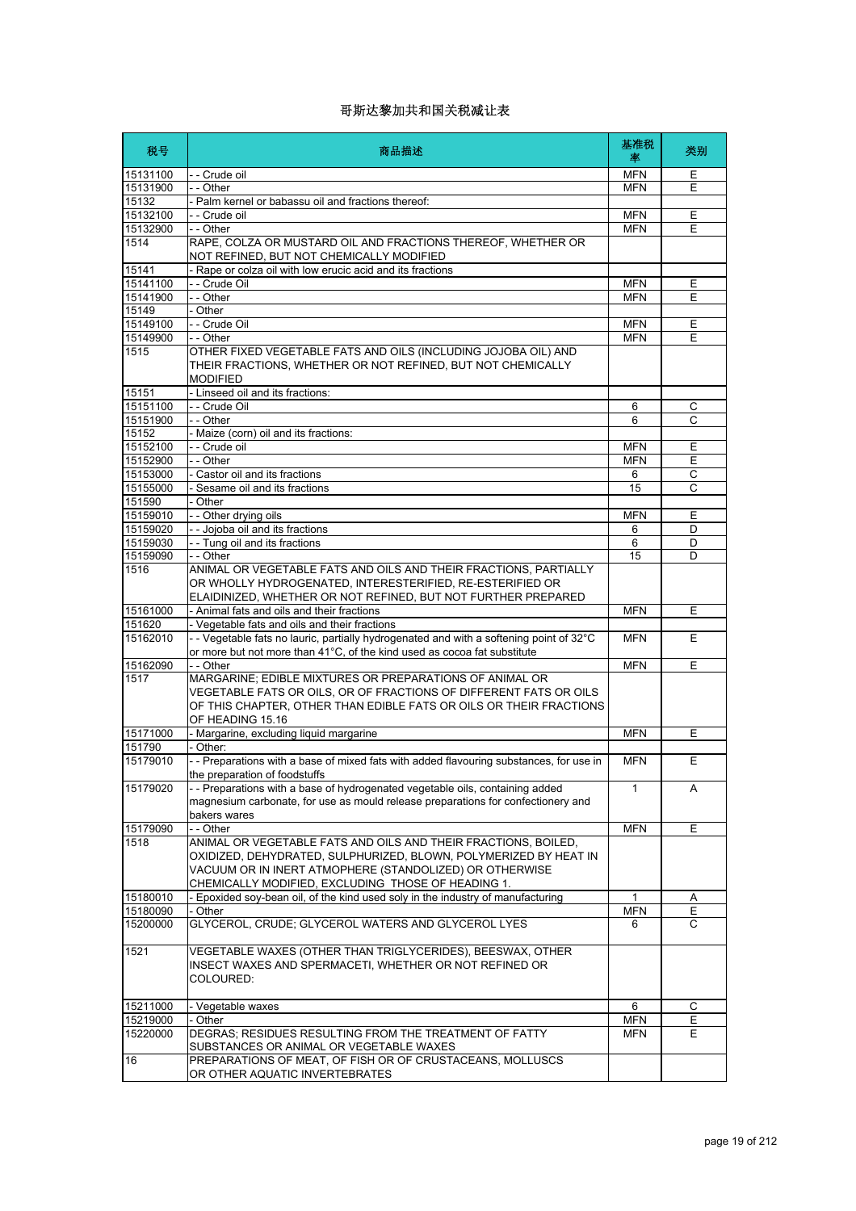| 税号                 | 商品描述                                                                                                                                                                              | 基准税<br>率        | 类别           |
|--------------------|-----------------------------------------------------------------------------------------------------------------------------------------------------------------------------------|-----------------|--------------|
| 15131100           | - - Crude oil                                                                                                                                                                     | <b>MFN</b>      | Е            |
| 15131900           | - - Other                                                                                                                                                                         | <b>MFN</b>      | E            |
| 15132              | - Palm kernel or babassu oil and fractions thereof:                                                                                                                               |                 |              |
| 15132100           | - - Crude oil                                                                                                                                                                     | <b>MFN</b>      | Е            |
| 15132900           | - - Other                                                                                                                                                                         | <b>MFN</b>      | E            |
| 1514               | RAPE, COLZA OR MUSTARD OIL AND FRACTIONS THEREOF, WHETHER OR<br>NOT REFINED, BUT NOT CHEMICALLY MODIFIED                                                                          |                 |              |
| 15141              | Rape or colza oil with low erucic acid and its fractions                                                                                                                          |                 |              |
| 15141100           | - - Crude Oil                                                                                                                                                                     | <b>MFN</b>      | E            |
| 15141900           | - - Other                                                                                                                                                                         | <b>MFN</b>      | E            |
| 15149              | - Other                                                                                                                                                                           |                 |              |
| 15149100           | - - Crude Oil                                                                                                                                                                     | <b>MFN</b>      | E            |
| 15149900           | - - Other                                                                                                                                                                         | <b>MFN</b>      | E            |
| 1515               | OTHER FIXED VEGETABLE FATS AND OILS (INCLUDING JOJOBA OIL) AND<br>THEIR FRACTIONS, WHETHER OR NOT REFINED, BUT NOT CHEMICALLY<br><b>MODIFIED</b>                                  |                 |              |
| 15151              | - Linseed oil and its fractions:                                                                                                                                                  |                 |              |
| 15151100           | - - Crude Oil                                                                                                                                                                     | 6               | C            |
| 15151900           | - - Other                                                                                                                                                                         | 6               | С            |
| 15152              | - Maize (corn) oil and its fractions:                                                                                                                                             |                 |              |
| 15152100           | - - Crude oil                                                                                                                                                                     | <b>MFN</b>      | E            |
| 15152900           | - - Other                                                                                                                                                                         | <b>MFN</b>      | Е            |
| 15153000           | - Castor oil and its fractions                                                                                                                                                    | 6               | $\mathsf{C}$ |
| 15155000           | Sesame oil and its fractions                                                                                                                                                      | 15              | C            |
| 151590<br>15159010 | Other                                                                                                                                                                             |                 | E            |
| 15159020           | - - Other drying oils<br>- - Jojoba oil and its fractions                                                                                                                         | <b>MFN</b><br>6 | D            |
| 15159030           | - - Tung oil and its fractions                                                                                                                                                    | 6               | D            |
| 15159090           | - - Other                                                                                                                                                                         | 15              | D            |
| 1516               | ANIMAL OR VEGETABLE FATS AND OILS AND THEIR FRACTIONS, PARTIALLY                                                                                                                  |                 |              |
|                    | OR WHOLLY HYDROGENATED, INTERESTERIFIED, RE-ESTERIFIED OR                                                                                                                         |                 |              |
| 15161000           | ELAIDINIZED, WHETHER OR NOT REFINED, BUT NOT FURTHER PREPARED<br>- Animal fats and oils and their fractions                                                                       | <b>MFN</b>      | E            |
| 151620             | - Vegetable fats and oils and their fractions                                                                                                                                     |                 |              |
| 15162010           | - - Vegetable fats no lauric, partially hydrogenated and with a softening point of 32°C                                                                                           | <b>MFN</b>      | E            |
|                    | or more but not more than 41°C, of the kind used as cocoa fat substitute                                                                                                          |                 |              |
| 15162090           | - - Other                                                                                                                                                                         | <b>MFN</b>      | E            |
| 1517               | MARGARINE; EDIBLE MIXTURES OR PREPARATIONS OF ANIMAL OR<br>VEGETABLE FATS OR OILS, OR OF FRACTIONS OF DIFFERENT FATS OR OILS                                                      |                 |              |
|                    | OF THIS CHAPTER, OTHER THAN EDIBLE FATS OR OILS OR THEIR FRACTIONS<br>OF HEADING 15.16                                                                                            |                 |              |
| 15171000           | - Margarine, excluding liquid margarine                                                                                                                                           | <b>MFN</b>      | Ε            |
| 151790             | Other:                                                                                                                                                                            |                 |              |
| 15179010           | -- Preparations with a base of mixed fats with added flavouring substances, for use in<br>the preparation of foodstuffs                                                           | <b>MFN</b>      | Е            |
| 15179020           | -- Preparations with a base of hydrogenated vegetable oils, containing added<br>magnesium carbonate, for use as mould release preparations for confectionery and<br>bakers wares  | $\mathbf{1}$    | A            |
| 15179090           | - - Other                                                                                                                                                                         | <b>MFN</b>      | E            |
| 1518               | ANIMAL OR VEGETABLE FATS AND OILS AND THEIR FRACTIONS, BOILED,                                                                                                                    |                 |              |
|                    | OXIDIZED, DEHYDRATED, SULPHURIZED, BLOWN, POLYMERIZED BY HEAT IN<br>VACUUM OR IN INERT ATMOPHERE (STANDOLIZED) OR OTHERWISE<br>CHEMICALLY MODIFIED, EXCLUDING THOSE OF HEADING 1. |                 |              |
| 15180010           | - Epoxided soy-bean oil, of the kind used soly in the industry of manufacturing                                                                                                   | $\mathbf{1}$    | A            |
| 15180090           | - Other                                                                                                                                                                           | <b>MFN</b>      | Ε            |
| 15200000           | GLYCEROL, CRUDE; GLYCEROL WATERS AND GLYCEROL LYES                                                                                                                                | 6               | С            |
| 1521               | VEGETABLE WAXES (OTHER THAN TRIGLYCERIDES), BEESWAX, OTHER                                                                                                                        |                 |              |
|                    | INSECT WAXES AND SPERMACETI, WHETHER OR NOT REFINED OR<br>COLOURED:                                                                                                               |                 |              |
| 15211000           | - Vegetable waxes                                                                                                                                                                 | 6               | С            |
| 15219000           | - Other                                                                                                                                                                           | <b>MFN</b>      | Ε            |
| 15220000           | DEGRAS; RESIDUES RESULTING FROM THE TREATMENT OF FATTY                                                                                                                            | MFN             | E.           |
| 16                 | SUBSTANCES OR ANIMAL OR VEGETABLE WAXES<br>PREPARATIONS OF MEAT, OF FISH OR OF CRUSTACEANS, MOLLUSCS                                                                              |                 |              |
|                    | OR OTHER AQUATIC INVERTEBRATES                                                                                                                                                    |                 |              |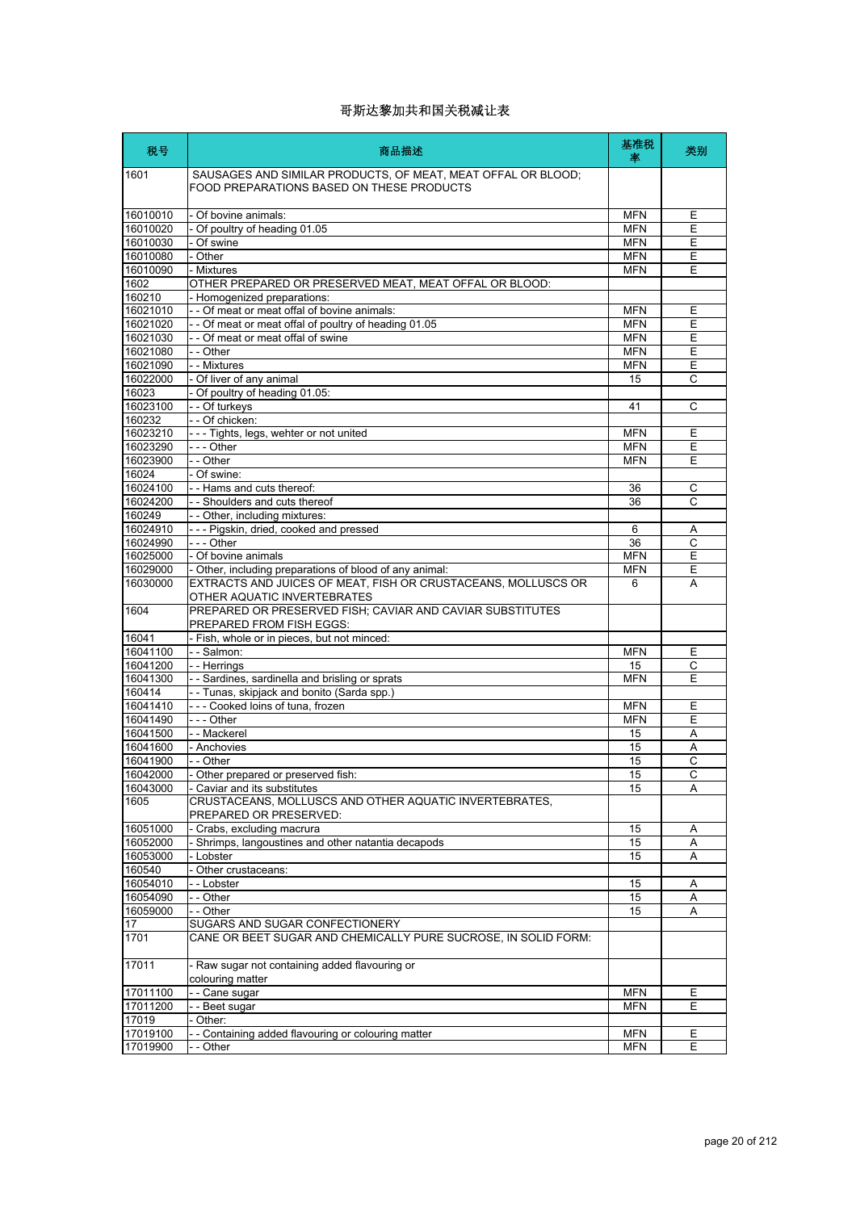| 税号                   | 商品描述                                                                                                      | 基准税<br>率                 | 类别             |
|----------------------|-----------------------------------------------------------------------------------------------------------|--------------------------|----------------|
| 1601                 | SAUSAGES AND SIMILAR PRODUCTS, OF MEAT, MEAT OFFAL OR BLOOD;<br>FOOD PREPARATIONS BASED ON THESE PRODUCTS |                          |                |
| 16010010             | - Of bovine animals:                                                                                      | <b>MFN</b>               | Ε              |
| 16010020             | - Of poultry of heading 01.05                                                                             | <b>MFN</b>               | E              |
| 16010030             | - Of swine                                                                                                | <b>MFN</b>               | Ε              |
| 16010080             | - Other                                                                                                   | <b>MFN</b>               | Ε              |
| 16010090             | - Mixtures                                                                                                | <b>MFN</b>               | E              |
| 1602                 | OTHER PREPARED OR PRESERVED MEAT, MEAT OFFAL OR BLOOD:                                                    |                          |                |
| 160210               | - Homogenized preparations:                                                                               |                          |                |
| 16021010             | - - Of meat or meat offal of bovine animals:                                                              | <b>MFN</b>               | E              |
| 16021020             | - - Of meat or meat offal of poultry of heading 01.05                                                     | <b>MFN</b>               | E              |
| 16021030             | - - Of meat or meat offal of swine                                                                        | <b>MFN</b>               | Е              |
| 16021080             | - - Other                                                                                                 | <b>MFN</b>               | E              |
| 16021090             | - - Mixtures                                                                                              | <b>MFN</b>               | Ε              |
| 16022000             | - Of liver of any animal                                                                                  | 15                       | C              |
| 16023                | - Of poultry of heading 01.05:                                                                            |                          |                |
| 16023100             | - - Of turkeys<br>- - Of chicken:                                                                         | 41                       | C              |
| 160232               |                                                                                                           |                          |                |
| 16023210<br>16023290 | --- Tights, legs, wehter or not united<br>- - - Other                                                     | <b>MFN</b><br><b>MFN</b> | Ε<br>Ε         |
| 16023900             | - - Other                                                                                                 | <b>MFN</b>               | E              |
| 16024                | - Of swine:                                                                                               |                          |                |
| 16024100             | - - Hams and cuts thereof:                                                                                | 36                       | C              |
| 16024200             | - - Shoulders and cuts thereof                                                                            | 36                       | C              |
| 160249               | -- Other, including mixtures:                                                                             |                          |                |
| 16024910             | --- Pigskin, dried, cooked and pressed                                                                    | 6                        | Α              |
| 16024990             | --- Other                                                                                                 | $\overline{36}$          | $\overline{c}$ |
| 16025000             | - Of bovine animals                                                                                       | <b>MFN</b>               | Ε              |
| 16029000             | - Other, including preparations of blood of any animal:                                                   | <b>MFN</b>               | Ε              |
| 16030000             | EXTRACTS AND JUICES OF MEAT, FISH OR CRUSTACEANS, MOLLUSCS OR                                             | 6                        | A              |
| 1604                 | OTHER AQUATIC INVERTEBRATES<br>PREPARED OR PRESERVED FISH; CAVIAR AND CAVIAR SUBSTITUTES                  |                          |                |
|                      | PREPARED FROM FISH EGGS:                                                                                  |                          |                |
| 16041                | - Fish, whole or in pieces, but not minced:                                                               |                          |                |
| 16041100             | - - Salmon:                                                                                               | <b>MFN</b>               | E              |
| 16041200             | - - Herrings                                                                                              | 15                       | C              |
| 16041300             | - - Sardines, sardinella and brisling or sprats                                                           | <b>MFN</b>               | E              |
| 160414               | -- Tunas, skipjack and bonito (Sarda spp.)                                                                |                          |                |
| 16041410             | --- Cooked loins of tuna, frozen                                                                          | <b>MFN</b>               | Ε              |
| 16041490             | --- Other                                                                                                 | <b>MFN</b>               | Ε              |
| 16041500             | - - Mackerel                                                                                              | 15                       | Α              |
| 16041600             | - Anchovies                                                                                               | 15                       | A              |
| 16041900             | - - Other                                                                                                 | 15                       | $\mathsf{C}$   |
| 16042000             | - Other prepared or preserved fish:                                                                       | 15                       | $\overline{C}$ |
| 16043000             | - Caviar and its substitutes                                                                              | 15                       | Α              |
| 1605                 | CRUSTACEANS, MOLLUSCS AND OTHER AQUATIC INVERTEBRATES,<br>PREPARED OR PRESERVED:                          |                          |                |
| 16051000             | - Crabs, excluding macrura                                                                                | 15                       | Α              |
| 16052000             | - Shrimps, langoustines and other natantia decapods                                                       | 15                       | Α              |
| 16053000             | - Lobster                                                                                                 | 15                       | Α              |
| 160540               | - Other crustaceans:                                                                                      |                          |                |
| 16054010             | - - Lobster                                                                                               | 15                       | Α              |
| 16054090             | - - Other                                                                                                 | 15                       | Α              |
| 16059000             | - - Other                                                                                                 | 15                       | Α              |
| 17                   | SUGARS AND SUGAR CONFECTIONERY                                                                            |                          |                |
| 1701                 | CANE OR BEET SUGAR AND CHEMICALLY PURE SUCROSE, IN SOLID FORM:                                            |                          |                |
| 17011                | - Raw sugar not containing added flavouring or<br>colouring matter                                        |                          |                |
| 17011100             | - - Cane sugar                                                                                            | <b>MFN</b>               | Ε              |
| 17011200             | - - Beet sugar                                                                                            | <b>MFN</b>               | E              |
| 17019                | Other:                                                                                                    |                          |                |
| 17019100             | - Containing added flavouring or colouring matter                                                         | <b>MFN</b>               | E.             |
| 17019900             | - - Other                                                                                                 | <b>MFN</b>               | Е              |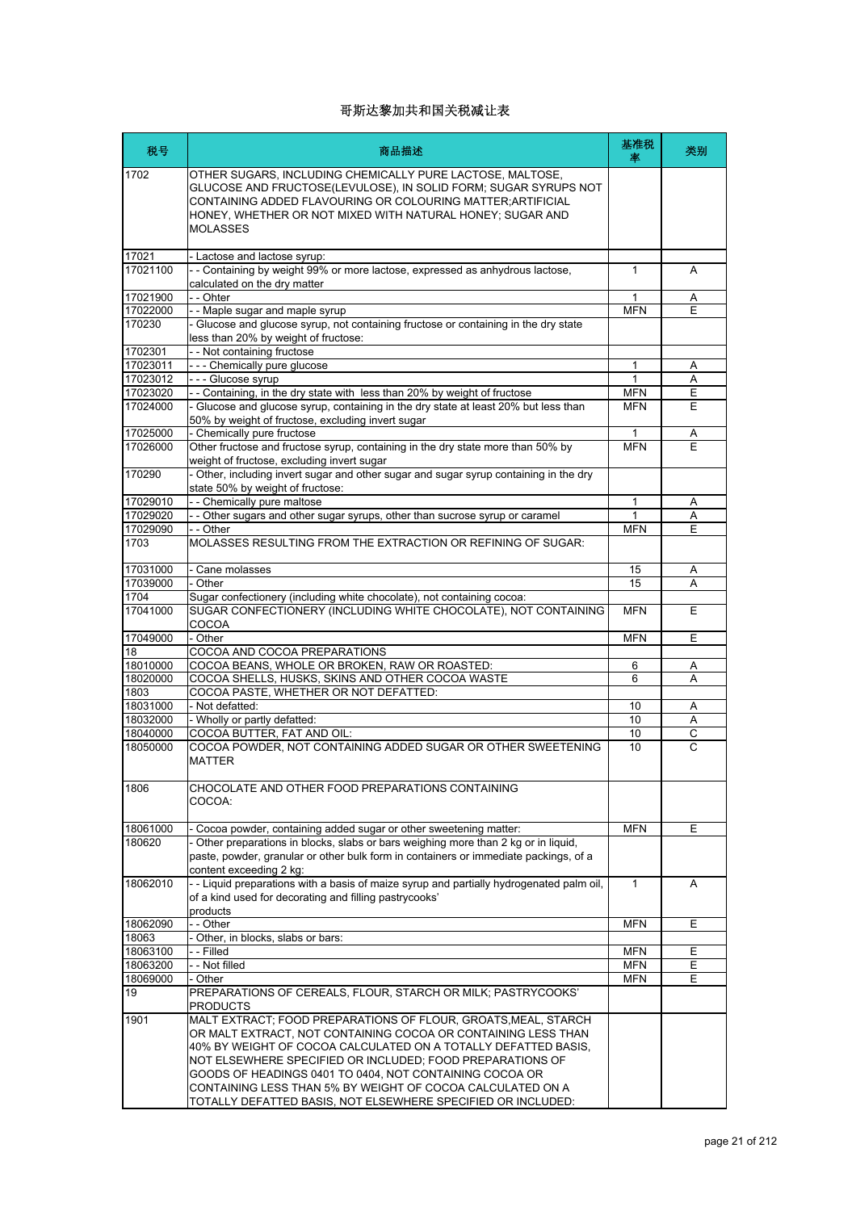| 税号             | 商品描述                                                                                                                                                                                                                                                                       | 基准税<br>率     | 类别             |
|----------------|----------------------------------------------------------------------------------------------------------------------------------------------------------------------------------------------------------------------------------------------------------------------------|--------------|----------------|
| 1702           | OTHER SUGARS, INCLUDING CHEMICALLY PURE LACTOSE, MALTOSE,<br>GLUCOSE AND FRUCTOSE(LEVULOSE), IN SOLID FORM; SUGAR SYRUPS NOT<br>CONTAINING ADDED FLAVOURING OR COLOURING MATTER;ARTIFICIAL<br>HONEY, WHETHER OR NOT MIXED WITH NATURAL HONEY; SUGAR AND<br><b>MOLASSES</b> |              |                |
| 17021          | - Lactose and lactose syrup:                                                                                                                                                                                                                                               |              |                |
| 17021100       | - - Containing by weight 99% or more lactose, expressed as anhydrous lactose,<br>calculated on the dry matter                                                                                                                                                              | 1            | A              |
| 17021900       | - - Ohter                                                                                                                                                                                                                                                                  | 1            | A              |
| 17022000       | - - Maple sugar and maple syrup                                                                                                                                                                                                                                            | <b>MFN</b>   |                |
| 170230         | - Glucose and glucose syrup, not containing fructose or containing in the dry state<br>less than 20% by weight of fructose:                                                                                                                                                |              |                |
| 1702301        | -- Not containing fructose                                                                                                                                                                                                                                                 |              |                |
| 17023011       | --- Chemically pure glucose                                                                                                                                                                                                                                                | 1            | Α              |
| 17023012       | --- Glucose syrup                                                                                                                                                                                                                                                          | $\mathbf{1}$ | A              |
| 17023020       | -- Containing, in the dry state with less than 20% by weight of fructose                                                                                                                                                                                                   | <b>MFN</b>   | Е              |
| 17024000       | - Glucose and glucose syrup, containing in the dry state at least 20% but less than                                                                                                                                                                                        | <b>MFN</b>   | E              |
| 17025000       | 50% by weight of fructose, excluding invert sugar                                                                                                                                                                                                                          | 1            | Α              |
| 17026000       | - Chemically pure fructose<br>Other fructose and fructose syrup, containing in the dry state more than 50% by                                                                                                                                                              | <b>MFN</b>   | F              |
|                | weight of fructose, excluding invert sugar                                                                                                                                                                                                                                 |              |                |
| 170290         | - Other, including invert sugar and other sugar and sugar syrup containing in the dry<br>state 50% by weight of fructose:                                                                                                                                                  |              |                |
| 17029010       | - - Chemically pure maltose                                                                                                                                                                                                                                                | 1            | Α              |
| 17029020       | - - Other sugars and other sugar syrups, other than sucrose syrup or caramel                                                                                                                                                                                               | 1            | A              |
| 17029090       | - - Other                                                                                                                                                                                                                                                                  | <b>MFN</b>   | Ε              |
| 1703           | MOLASSES RESULTING FROM THE EXTRACTION OR REFINING OF SUGAR:                                                                                                                                                                                                               |              |                |
| 17031000       | - Cane molasses                                                                                                                                                                                                                                                            | 15           | Α              |
| 17039000       | - Other                                                                                                                                                                                                                                                                    | 15           | A              |
| 1704           | Sugar confectionery (including white chocolate), not containing cocoa:                                                                                                                                                                                                     |              |                |
| 17041000       | SUGAR CONFECTIONERY (INCLUDING WHITE CHOCOLATE), NOT CONTAINING<br>COCOA                                                                                                                                                                                                   | <b>MFN</b>   | E              |
| 17049000       | - Other                                                                                                                                                                                                                                                                    | <b>MFN</b>   | E              |
| 18             | COCOA AND COCOA PREPARATIONS                                                                                                                                                                                                                                               |              |                |
| 18010000       | COCOA BEANS, WHOLE OR BROKEN, RAW OR ROASTED:                                                                                                                                                                                                                              | 6            | Α              |
| 18020000       | COCOA SHELLS, HUSKS, SKINS AND OTHER COCOA WASTE                                                                                                                                                                                                                           | 6            | A              |
| 1803           | COCOA PASTE, WHETHER OR NOT DEFATTED:                                                                                                                                                                                                                                      |              |                |
| 18031000       | - Not defatted:                                                                                                                                                                                                                                                            | 10           | Α              |
| 18032000       | - Wholly or partly defatted:                                                                                                                                                                                                                                               | 10           | Α              |
| 18040000       | COCOA BUTTER, FAT AND OIL:                                                                                                                                                                                                                                                 | 10           | $\overline{C}$ |
| 18050000       | COCOA POWDER, NOT CONTAINING ADDED SUGAR OR OTHER SWEETENING<br><b>MATTER</b>                                                                                                                                                                                              | 10           | C              |
| 1806           | CHOCOLATE AND OTHER FOOD PREPARATIONS CONTAINING<br>COCOA:                                                                                                                                                                                                                 |              |                |
|                |                                                                                                                                                                                                                                                                            |              |                |
| 18061000       | - Cocoa powder, containing added sugar or other sweetening matter:                                                                                                                                                                                                         | <b>MFN</b>   | E              |
| 180620         | - Other preparations in blocks, slabs or bars weighing more than 2 kg or in liquid,<br>paste, powder, granular or other bulk form in containers or immediate packings, of a<br>content exceeding 2 kg:                                                                     |              |                |
| 18062010       | - - Liquid preparations with a basis of maize syrup and partially hydrogenated palm oil,<br>of a kind used for decorating and filling pastrycooks'                                                                                                                         | 1            | A              |
|                | products                                                                                                                                                                                                                                                                   |              |                |
| 18062090       | - - Other                                                                                                                                                                                                                                                                  | <b>MFN</b>   | E.             |
| 18063          | Other, in blocks, slabs or bars:                                                                                                                                                                                                                                           |              |                |
| 18063100       | - - Filled                                                                                                                                                                                                                                                                 | <b>MFN</b>   | Е              |
| 18063200       | - - Not filled                                                                                                                                                                                                                                                             | <b>MFN</b>   | E              |
| 18069000<br>19 | - Other<br>PREPARATIONS OF CEREALS, FLOUR, STARCH OR MILK; PASTRYCOOKS'                                                                                                                                                                                                    | <b>MFN</b>   | E              |
|                | <b>PRODUCTS</b><br>MALT EXTRACT; FOOD PREPARATIONS OF FLOUR, GROATS, MEAL, STARCH                                                                                                                                                                                          |              |                |
| 1901           | OR MALT EXTRACT, NOT CONTAINING COCOA OR CONTAINING LESS THAN                                                                                                                                                                                                              |              |                |
|                | 40% BY WEIGHT OF COCOA CALCULATED ON A TOTALLY DEFATTED BASIS,                                                                                                                                                                                                             |              |                |
|                | NOT ELSEWHERE SPECIFIED OR INCLUDED; FOOD PREPARATIONS OF                                                                                                                                                                                                                  |              |                |
|                | GOODS OF HEADINGS 0401 TO 0404, NOT CONTAINING COCOA OR                                                                                                                                                                                                                    |              |                |
|                | CONTAINING LESS THAN 5% BY WEIGHT OF COCOA CALCULATED ON A                                                                                                                                                                                                                 |              |                |
|                | TOTALLY DEFATTED BASIS. NOT ELSEWHERE SPECIFIED OR INCLUDED:                                                                                                                                                                                                               |              |                |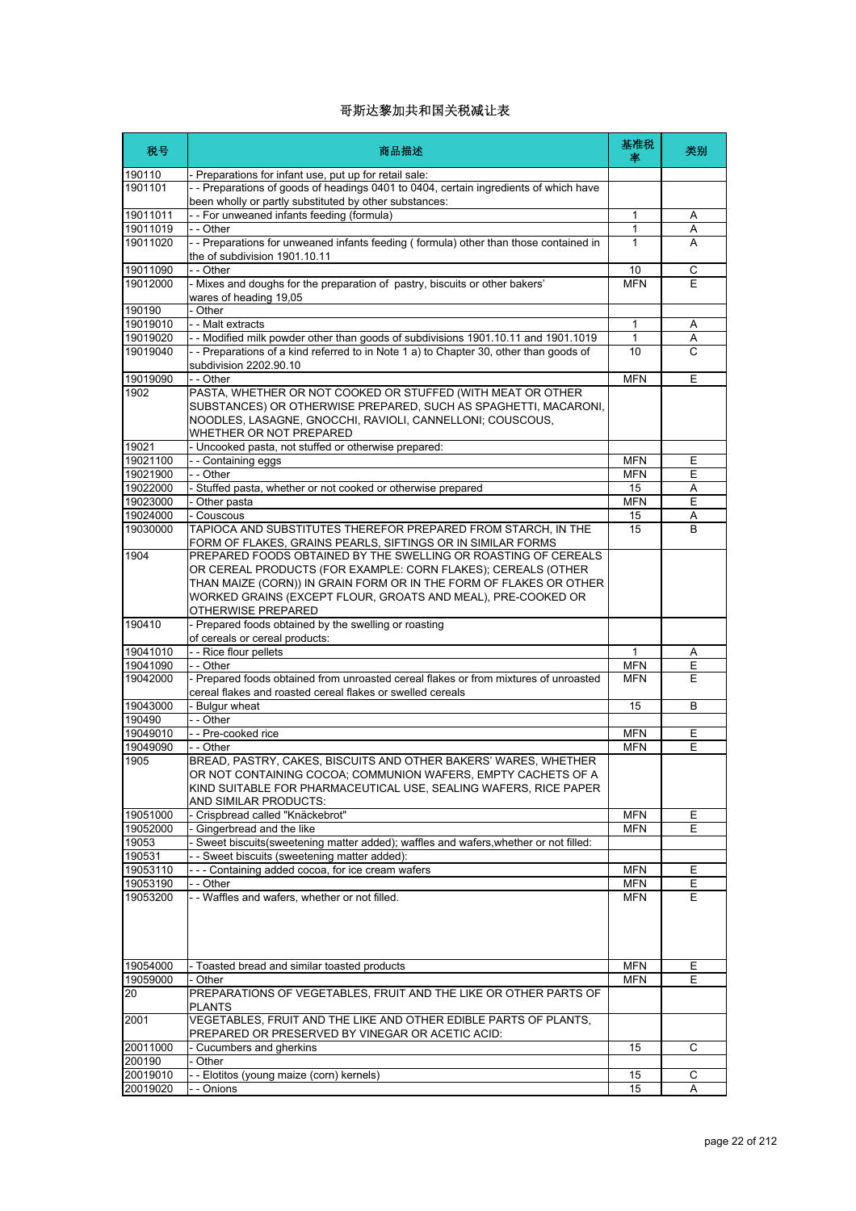| 税号                 | 商品描述                                                                                                                                                                                                                                                                                        | 基准税<br>率   | 类别 |
|--------------------|---------------------------------------------------------------------------------------------------------------------------------------------------------------------------------------------------------------------------------------------------------------------------------------------|------------|----|
| 190110             | Preparations for infant use, put up for retail sale:                                                                                                                                                                                                                                        |            |    |
| 1901101            | -- Preparations of goods of headings 0401 to 0404, certain ingredients of which have<br>been wholly or partly substituted by other substances:                                                                                                                                              |            |    |
| 19011011           | -- For unweaned infants feeding (formula)                                                                                                                                                                                                                                                   | 1          | Α  |
| 19011019           | - - Other                                                                                                                                                                                                                                                                                   | 1          | Α  |
| 19011020           | -- Preparations for unweaned infants feeding (formula) other than those contained in<br>the of subdivision 1901.10.11                                                                                                                                                                       | 1          | A  |
| 19011090           | - - Other                                                                                                                                                                                                                                                                                   | 10         | С  |
| 19012000           | - Mixes and doughs for the preparation of pastry, biscuits or other bakers'<br>wares of heading 19,05                                                                                                                                                                                       | <b>MFN</b> | E  |
| 190190             | - Other                                                                                                                                                                                                                                                                                     |            |    |
| 19019010           | - - Malt extracts                                                                                                                                                                                                                                                                           | 1          | Α  |
| 19019020           | -- Modified milk powder other than goods of subdivisions 1901.10.11 and 1901.1019                                                                                                                                                                                                           | 1          | Α  |
| 19019040           | -- Preparations of a kind referred to in Note 1 a) to Chapter 30, other than goods of<br>subdivision 2202.90.10                                                                                                                                                                             | 10         | C  |
| 19019090           | - - Other                                                                                                                                                                                                                                                                                   | <b>MFN</b> | Ε  |
| 1902               | PASTA, WHETHER OR NOT COOKED OR STUFFED (WITH MEAT OR OTHER<br>SUBSTANCES) OR OTHERWISE PREPARED, SUCH AS SPAGHETTI, MACARONI,<br>NOODLES, LASAGNE, GNOCCHI, RAVIOLI, CANNELLONI; COUSCOUS,<br>WHETHER OR NOT PREPARED                                                                      |            |    |
| 19021              | - Uncooked pasta, not stuffed or otherwise prepared:                                                                                                                                                                                                                                        |            |    |
| 19021100           | - - Containing eggs                                                                                                                                                                                                                                                                         | <b>MFN</b> | Ε  |
| 19021900           | - - Other                                                                                                                                                                                                                                                                                   | <b>MFN</b> | E  |
| 19022000           | - Stuffed pasta, whether or not cooked or otherwise prepared                                                                                                                                                                                                                                | 15         | Α  |
| 19023000           | Other pasta                                                                                                                                                                                                                                                                                 | <b>MFN</b> | E  |
| 19024000           | Couscous                                                                                                                                                                                                                                                                                    | 15         | Α  |
| 19030000           | TAPIOCA AND SUBSTITUTES THEREFOR PREPARED FROM STARCH, IN THE<br>FORM OF FLAKES, GRAINS PEARLS, SIFTINGS OR IN SIMILAR FORMS                                                                                                                                                                | 15         | B  |
| 1904               | PREPARED FOODS OBTAINED BY THE SWELLING OR ROASTING OF CEREALS<br>OR CEREAL PRODUCTS (FOR EXAMPLE: CORN FLAKES); CEREALS (OTHER<br>THAN MAIZE (CORN)) IN GRAIN FORM OR IN THE FORM OF FLAKES OR OTHER<br>WORKED GRAINS (EXCEPT FLOUR, GROATS AND MEAL), PRE-COOKED OR<br>OTHERWISE PREPARED |            |    |
| 190410             | - Prepared foods obtained by the swelling or roasting<br>of cereals or cereal products:                                                                                                                                                                                                     |            |    |
| 19041010           | - - Rice flour pellets                                                                                                                                                                                                                                                                      | 1          | Α  |
| 19041090           | - - Other                                                                                                                                                                                                                                                                                   | <b>MFN</b> | E  |
| 19042000           | - Prepared foods obtained from unroasted cereal flakes or from mixtures of unroasted<br>cereal flakes and roasted cereal flakes or swelled cereals                                                                                                                                          | <b>MFN</b> | E  |
| 19043000           | - Bulgur wheat                                                                                                                                                                                                                                                                              | 15         | B  |
| 190490             | - - Other                                                                                                                                                                                                                                                                                   |            |    |
| 19049010           | -- Pre-cooked rice                                                                                                                                                                                                                                                                          | <b>MFN</b> | Ε  |
| 19049090<br>1905   | - - Other<br>BREAD, PASTRY, CAKES, BISCUITS AND OTHER BAKERS' WARES, WHETHER<br>OR NOT CONTAINING COCOA; COMMUNION WAFERS, EMPTY CACHETS OF A<br>KIND SUITABLE FOR PHARMACEUTICAL USE, SEALING WAFERS, RICE PAPER<br>AND SIMILAR PRODUCTS:                                                  | <b>MFN</b> | E  |
| 19051000           | - Crispbread called "Knäckebrot"                                                                                                                                                                                                                                                            | <b>MFN</b> | Ε  |
| 19052000           | - Gingerbread and the like                                                                                                                                                                                                                                                                  | <b>MFN</b> | E  |
| 19053              | - Sweet biscuits(sweetening matter added); waffles and wafers, whether or not filled:                                                                                                                                                                                                       |            |    |
| 190531             | - Sweet biscuits (sweetening matter added):                                                                                                                                                                                                                                                 |            |    |
| 19053110           | --- Containing added cocoa, for ice cream wafers                                                                                                                                                                                                                                            | <b>MFN</b> | E  |
| 19053190           | - - Other                                                                                                                                                                                                                                                                                   | <b>MFN</b> | Ε  |
| 19053200           | - - Waffles and wafers, whether or not filled.                                                                                                                                                                                                                                              | <b>MFN</b> | E  |
| 19054000           | - Toasted bread and similar toasted products                                                                                                                                                                                                                                                | <b>MFN</b> | Ε  |
| 19059000<br>20     | - Other<br>PREPARATIONS OF VEGETABLES, FRUIT AND THE LIKE OR OTHER PARTS OF                                                                                                                                                                                                                 | <b>MFN</b> | Е  |
| 2001               | <b>PLANTS</b><br>VEGETABLES, FRUIT AND THE LIKE AND OTHER EDIBLE PARTS OF PLANTS,                                                                                                                                                                                                           |            |    |
|                    | PREPARED OR PRESERVED BY VINEGAR OR ACETIC ACID:                                                                                                                                                                                                                                            |            |    |
| 20011000           | - Cucumbers and gherkins                                                                                                                                                                                                                                                                    | 15         | С  |
| 200190<br>20019010 | - Other<br>- - Elotitos (young maize (corn) kernels)                                                                                                                                                                                                                                        | 15         | С  |
| 20019020           | - - Onions                                                                                                                                                                                                                                                                                  | 15         | Α  |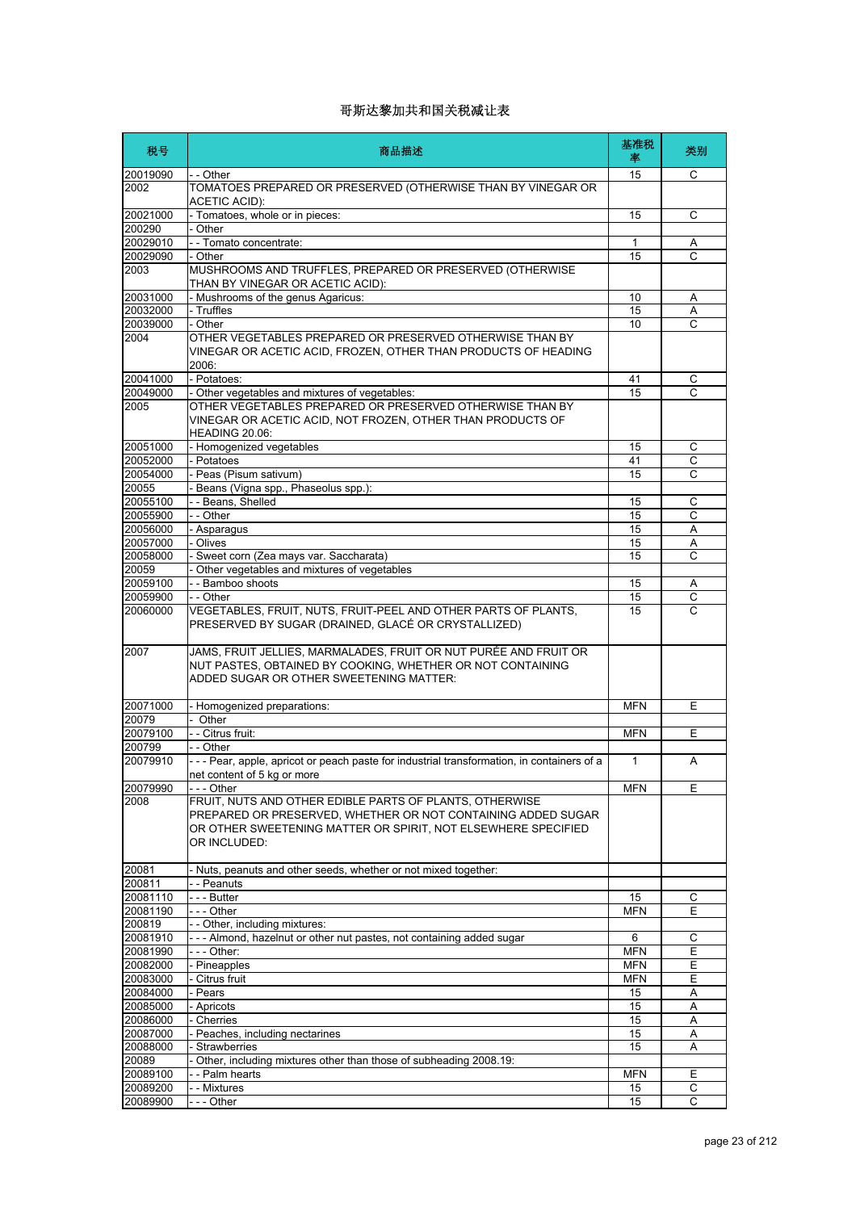| 税号                   | 商品描述                                                                                                                                                                                                     | 基准税<br>率     | 类别                  |
|----------------------|----------------------------------------------------------------------------------------------------------------------------------------------------------------------------------------------------------|--------------|---------------------|
| 20019090             | - - Other                                                                                                                                                                                                | 15           | C                   |
| 2002                 | TOMATOES PREPARED OR PRESERVED (OTHERWISE THAN BY VINEGAR OR<br>ACETIC ACID):                                                                                                                            |              |                     |
| 20021000             | - Tomatoes, whole or in pieces:                                                                                                                                                                          | 15           | C                   |
| 200290               | - Other                                                                                                                                                                                                  |              |                     |
| 20029010<br>20029090 | - - Tomato concentrate:                                                                                                                                                                                  | 1<br>15      | Α<br>$\overline{C}$ |
| 2003                 | - Other<br>MUSHROOMS AND TRUFFLES, PREPARED OR PRESERVED (OTHERWISE                                                                                                                                      |              |                     |
|                      | THAN BY VINEGAR OR ACETIC ACID):                                                                                                                                                                         |              |                     |
| 20031000<br>20032000 | - Mushrooms of the genus Agaricus:<br>- Truffles                                                                                                                                                         | 10<br>15     | Α<br>Α              |
| 20039000             | - Other                                                                                                                                                                                                  | 10           | C                   |
| 2004                 | OTHER VEGETABLES PREPARED OR PRESERVED OTHERWISE THAN BY<br>VINEGAR OR ACETIC ACID, FROZEN, OTHER THAN PRODUCTS OF HEADING<br>2006:                                                                      |              |                     |
| 20041000             | - Potatoes:                                                                                                                                                                                              | 41           | С                   |
| 20049000             | - Other vegetables and mixtures of vegetables:                                                                                                                                                           | 15           | C                   |
| 2005                 | OTHER VEGETABLES PREPARED OR PRESERVED OTHERWISE THAN BY<br>VINEGAR OR ACETIC ACID, NOT FROZEN, OTHER THAN PRODUCTS OF<br>HEADING 20.06:                                                                 |              |                     |
| 20051000             | - Homogenized vegetables                                                                                                                                                                                 | 15           | C                   |
| 20052000             | - Potatoes                                                                                                                                                                                               | 41           | С                   |
| 20054000             | - Peas (Pisum sativum)                                                                                                                                                                                   | 15           | C                   |
| 20055                | - Beans (Vigna spp., Phaseolus spp.):                                                                                                                                                                    |              |                     |
| 20055100<br>20055900 | -- Beans, Shelled<br>- - Other                                                                                                                                                                           | 15           | С<br>$\overline{C}$ |
| 20056000             | - Asparagus                                                                                                                                                                                              | 15<br>15     | Α                   |
| 20057000             | - Olives                                                                                                                                                                                                 | 15           | Α                   |
| 20058000             | - Sweet corn (Zea mays var. Saccharata)                                                                                                                                                                  | 15           | C                   |
| 20059                | - Other vegetables and mixtures of vegetables                                                                                                                                                            |              |                     |
| 20059100             | - - Bamboo shoots                                                                                                                                                                                        | 15           | Α                   |
| 20059900             | - - Other                                                                                                                                                                                                | 15           | $\overline{C}$      |
| 20060000             | VEGETABLES, FRUIT, NUTS, FRUIT-PEEL AND OTHER PARTS OF PLANTS,<br>PRESERVED BY SUGAR (DRAINED, GLACÉ OR CRYSTALLIZED)                                                                                    | 15           | C                   |
| 2007                 | JAMS, FRUIT JELLIES, MARMALADES, FRUIT OR NUT PURÉE AND FRUIT OR<br>NUT PASTES, OBTAINED BY COOKING, WHETHER OR NOT CONTAINING<br>ADDED SUGAR OR OTHER SWEETENING MATTER:                                |              |                     |
| 20071000             | - Homogenized preparations:                                                                                                                                                                              | <b>MFN</b>   | E                   |
| 20079                | - Other                                                                                                                                                                                                  |              |                     |
| 20079100             | - - Citrus fruit:                                                                                                                                                                                        | <b>MFN</b>   | Е                   |
| 200799               | - - Other                                                                                                                                                                                                |              |                     |
| 20079910             | --- Pear, apple, apricot or peach paste for industrial transformation, in containers of a<br>net content of 5 kg or more                                                                                 | $\mathbf{1}$ | A                   |
| 20079990             | - - - Other                                                                                                                                                                                              | <b>MFN</b>   | E                   |
| 2008                 | FRUIT, NUTS AND OTHER EDIBLE PARTS OF PLANTS, OTHERWISE<br>PREPARED OR PRESERVED, WHETHER OR NOT CONTAINING ADDED SUGAR<br>OR OTHER SWEETENING MATTER OR SPIRIT, NOT ELSEWHERE SPECIFIED<br>OR INCLUDED: |              |                     |
| 20081                | - Nuts, peanuts and other seeds, whether or not mixed together:                                                                                                                                          |              |                     |
| 200811               | - - Peanuts                                                                                                                                                                                              |              |                     |
| 20081110             | - - - Butter                                                                                                                                                                                             | 15           | С                   |
| 20081190             | - - - Other                                                                                                                                                                                              | <b>MFN</b>   | E                   |
| 200819               | -- Other, including mixtures:                                                                                                                                                                            |              |                     |
| 20081910             | --- Almond, hazelnut or other nut pastes, not containing added sugar                                                                                                                                     | 6            | C                   |
| 20081990             | - - - Other:                                                                                                                                                                                             | <b>MFN</b>   | Ε                   |
| 20082000             | - Pineapples                                                                                                                                                                                             | <b>MFN</b>   | Е                   |
| 20083000             | - Citrus fruit                                                                                                                                                                                           | <b>MFN</b>   | Ε                   |
| 20084000<br>20085000 | - Pears                                                                                                                                                                                                  | 15<br>15     | Α                   |
| 20086000             | - Apricots<br>- Cherries                                                                                                                                                                                 | 15           | Α<br>Α              |
| 20087000             | Peaches, including nectarines                                                                                                                                                                            | 15           | Α                   |
| 20088000             | - Strawberries                                                                                                                                                                                           | 15           | Α                   |
| 20089                | - Other, including mixtures other than those of subheading 2008.19:                                                                                                                                      |              |                     |
| 20089100             | - - Palm hearts                                                                                                                                                                                          | <b>MFN</b>   | Ε                   |
| 20089200             | - - Mixtures                                                                                                                                                                                             | 15           | C                   |
| 20089900             | --- Other                                                                                                                                                                                                | 15           | $\overline{c}$      |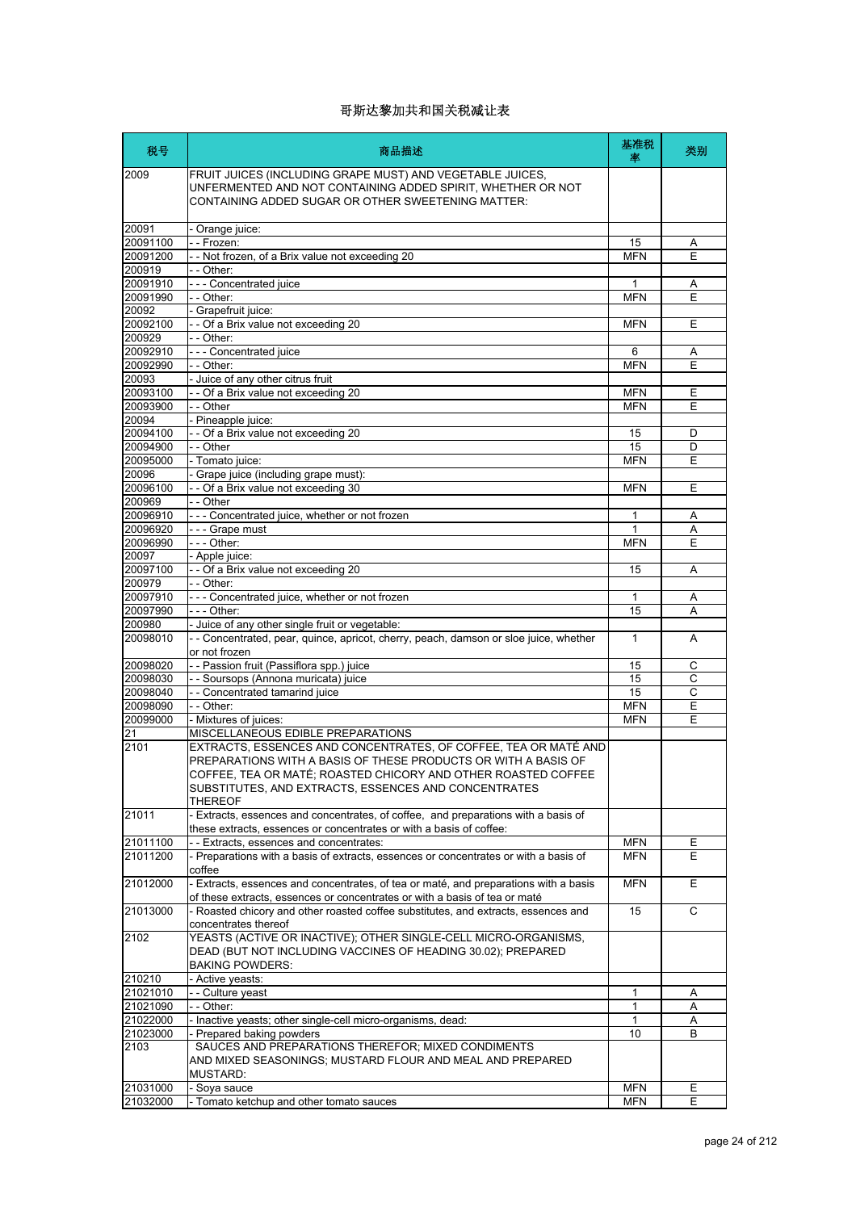| 税号                 | 商品描述                                                                                                                                                                                                                                                                         | 基准税<br>率                 | 类别     |
|--------------------|------------------------------------------------------------------------------------------------------------------------------------------------------------------------------------------------------------------------------------------------------------------------------|--------------------------|--------|
| 2009               | FRUIT JUICES (INCLUDING GRAPE MUST) AND VEGETABLE JUICES,<br>UNFERMENTED AND NOT CONTAINING ADDED SPIRIT, WHETHER OR NOT<br>CONTAINING ADDED SUGAR OR OTHER SWEETENING MATTER:                                                                                               |                          |        |
| 20091              | - Orange juice:                                                                                                                                                                                                                                                              |                          |        |
| 20091100           | - - Frozen:                                                                                                                                                                                                                                                                  | 15                       | Α      |
| 20091200           | - - Not frozen, of a Brix value not exceeding 20                                                                                                                                                                                                                             | <b>MFN</b>               | E      |
| 200919             | - - Other:                                                                                                                                                                                                                                                                   |                          |        |
| 20091910           | - - - Concentrated juice                                                                                                                                                                                                                                                     | 1                        | Α      |
| 20091990           | $-$ Other:                                                                                                                                                                                                                                                                   | <b>MFN</b>               | E      |
| 20092              | - Grapefruit juice:                                                                                                                                                                                                                                                          |                          |        |
| 20092100           | - - Of a Brix value not exceeding 20                                                                                                                                                                                                                                         | <b>MFN</b>               | E      |
| 200929             | - - Other:                                                                                                                                                                                                                                                                   |                          |        |
| 20092910           | - - - Concentrated juice                                                                                                                                                                                                                                                     | 6                        | A      |
| 20092990<br>20093  | - - Other:<br>- Juice of any other citrus fruit                                                                                                                                                                                                                              | <b>MFN</b>               | E      |
| 20093100           | - - Of a Brix value not exceeding 20                                                                                                                                                                                                                                         |                          | Ε      |
| 20093900           | - - Other                                                                                                                                                                                                                                                                    | <b>MFN</b><br><b>MFN</b> | E      |
| 20094              | - Pineapple juice:                                                                                                                                                                                                                                                           |                          |        |
| 20094100           | - - Of a Brix value not exceeding 20                                                                                                                                                                                                                                         | 15                       | D      |
| 20094900           | - - Other                                                                                                                                                                                                                                                                    | 15                       | D      |
| 20095000           | - Tomato juice:                                                                                                                                                                                                                                                              | <b>MFN</b>               | Ε      |
| 20096              | - Grape juice (including grape must):                                                                                                                                                                                                                                        |                          |        |
| 20096100           | - - Of a Brix value not exceeding 30                                                                                                                                                                                                                                         | <b>MFN</b>               | Ε      |
| 200969             | - - Other                                                                                                                                                                                                                                                                    |                          |        |
| 20096910           | --- Concentrated juice, whether or not frozen                                                                                                                                                                                                                                | 1                        | A      |
| 20096920           | - - - Grape must                                                                                                                                                                                                                                                             | 1                        | Α      |
| 20096990           | - - - Other:                                                                                                                                                                                                                                                                 | <b>MFN</b>               | E      |
| 20097              | - Apple juice:                                                                                                                                                                                                                                                               |                          |        |
| 20097100           | - - Of a Brix value not exceeding 20                                                                                                                                                                                                                                         | 15                       | Α      |
| 200979             | - - Other:                                                                                                                                                                                                                                                                   |                          |        |
| 20097910           | --- Concentrated juice, whether or not frozen                                                                                                                                                                                                                                | 1                        | Α      |
| 20097990           | - - - Other:                                                                                                                                                                                                                                                                 | 15                       | A      |
| 200980<br>20098010 | - Juice of any other single fruit or vegetable:<br>- - Concentrated, pear, quince, apricot, cherry, peach, damson or sloe juice, whether                                                                                                                                     | 1                        | A      |
|                    | or not frozen                                                                                                                                                                                                                                                                |                          |        |
| 20098020           | - - Passion fruit (Passiflora spp.) juice                                                                                                                                                                                                                                    | 15                       | С      |
| 20098030           | - - Soursops (Annona muricata) juice                                                                                                                                                                                                                                         | 15                       | C      |
| 20098040           | - - Concentrated tamarind juice                                                                                                                                                                                                                                              | 15                       | С      |
| 20098090           | - - Other:                                                                                                                                                                                                                                                                   | <b>MFN</b>               | E      |
| 20099000           | - Mixtures of juices:                                                                                                                                                                                                                                                        | <b>MFN</b>               | Ε      |
| 21                 | MISCELLANEOUS EDIBLE PREPARATIONS                                                                                                                                                                                                                                            |                          |        |
| 2101               | EXTRACTS, ESSENCES AND CONCENTRATES, OF COFFEE, TEA OR MATÉ AND<br>PREPARATIONS WITH A BASIS OF THESE PRODUCTS OR WITH A BASIS OF<br>COFFEE, TEA OR MATÉ; ROASTED CHICORY AND OTHER ROASTED COFFEE<br>SUBSTITUTES, AND EXTRACTS, ESSENCES AND CONCENTRATES<br><b>THEREOF</b> |                          |        |
| 21011              | - Extracts, essences and concentrates, of coffee, and preparations with a basis of<br>these extracts, essences or concentrates or with a basis of coffee:                                                                                                                    |                          |        |
| 21011100           | - - Extracts, essences and concentrates:                                                                                                                                                                                                                                     | <b>MFN</b>               | Ε      |
| 21011200           | - Preparations with a basis of extracts, essences or concentrates or with a basis of<br>coffee                                                                                                                                                                               | <b>MFN</b>               | Е      |
| 21012000           | - Extracts, essences and concentrates, of tea or maté, and preparations with a basis<br>of these extracts, essences or concentrates or with a basis of tea or maté                                                                                                           | <b>MFN</b>               | Е      |
| 21013000           | - Roasted chicory and other roasted coffee substitutes, and extracts, essences and<br>concentrates thereof                                                                                                                                                                   | 15                       | C      |
| 2102               | YEASTS (ACTIVE OR INACTIVE); OTHER SINGLE-CELL MICRO-ORGANISMS,<br>DEAD (BUT NOT INCLUDING VACCINES OF HEADING 30.02); PREPARED<br><b>BAKING POWDERS:</b>                                                                                                                    |                          |        |
| 210210             | - Active yeasts:                                                                                                                                                                                                                                                             |                          |        |
| 21021010           | - - Culture yeast                                                                                                                                                                                                                                                            | 1                        | Α      |
| 21021090           | - - Other:                                                                                                                                                                                                                                                                   | 1                        | Α      |
| 21022000           | - Inactive yeasts; other single-cell micro-organisms, dead:                                                                                                                                                                                                                  | 1                        | Α      |
| 21023000           | - Prepared baking powders                                                                                                                                                                                                                                                    | 10                       | B      |
| 2103               | SAUCES AND PREPARATIONS THEREFOR; MIXED CONDIMENTS<br>AND MIXED SEASONINGS; MUSTARD FLOUR AND MEAL AND PREPARED                                                                                                                                                              |                          |        |
|                    | <b>MUSTARD:</b>                                                                                                                                                                                                                                                              |                          |        |
| 21031000           | - Soya sauce                                                                                                                                                                                                                                                                 | <b>MFN</b><br><b>MFN</b> | Е<br>E |
| 21032000           | - Tomato ketchup and other tomato sauces                                                                                                                                                                                                                                     |                          |        |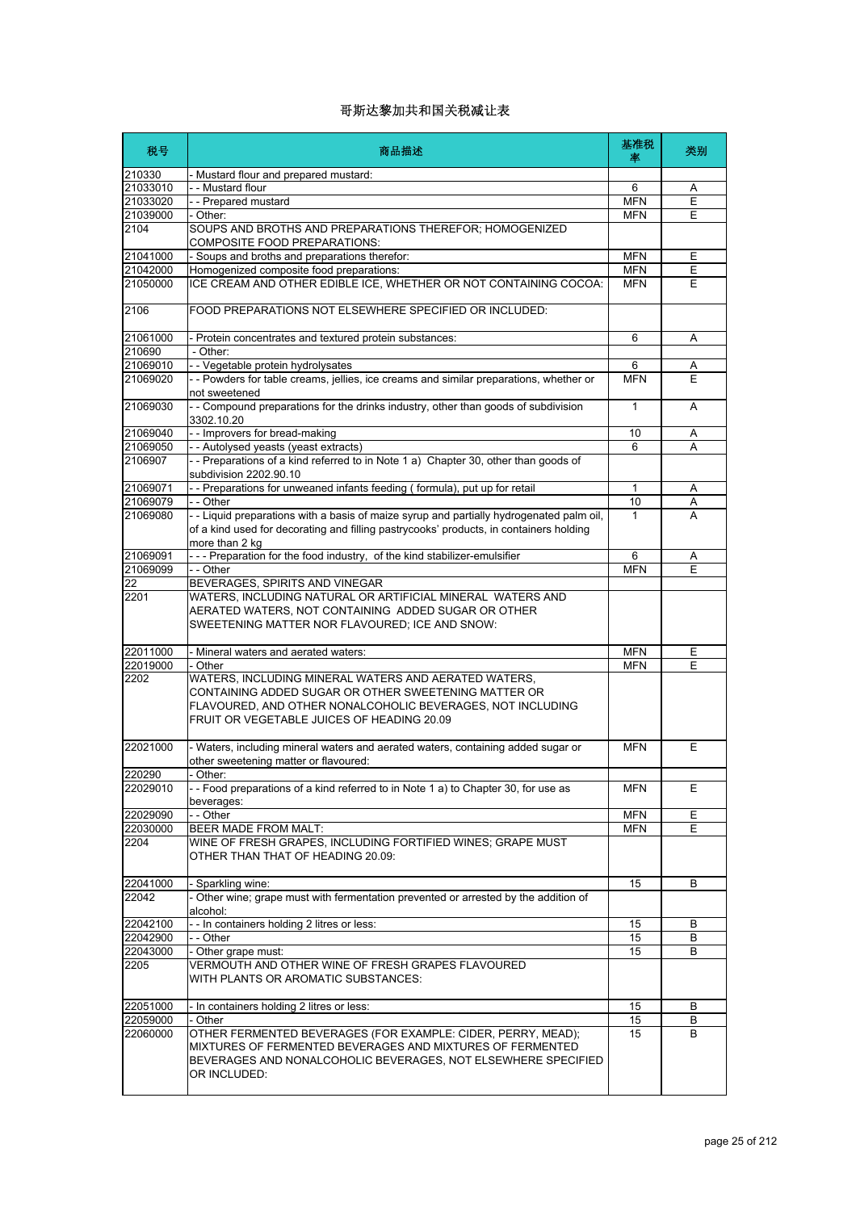| 税号               | 商品描述                                                                                                                                                                                                                     | 基准税<br>率     | 类别 |
|------------------|--------------------------------------------------------------------------------------------------------------------------------------------------------------------------------------------------------------------------|--------------|----|
| 210330           | - Mustard flour and prepared mustard:                                                                                                                                                                                    |              |    |
| 21033010         | - - Mustard flour                                                                                                                                                                                                        | 6            | Α  |
| 21033020         | - - Prepared mustard                                                                                                                                                                                                     | <b>MFN</b>   | Ε  |
| 21039000<br>2104 | - Other:<br>SOUPS AND BROTHS AND PREPARATIONS THEREFOR; HOMOGENIZED                                                                                                                                                      | <b>MFN</b>   | E  |
| 21041000         | COMPOSITE FOOD PREPARATIONS:<br>- Soups and broths and preparations therefor:                                                                                                                                            | <b>MFN</b>   | Е  |
| 21042000         | Homogenized composite food preparations:                                                                                                                                                                                 | <b>MFN</b>   | Е  |
| 21050000         | ICE CREAM AND OTHER EDIBLE ICE, WHETHER OR NOT CONTAINING COCOA:                                                                                                                                                         | <b>MFN</b>   | E  |
| 2106             | FOOD PREPARATIONS NOT ELSEWHERE SPECIFIED OR INCLUDED:                                                                                                                                                                   |              |    |
| 21061000         | - Protein concentrates and textured protein substances:                                                                                                                                                                  | 6            | Α  |
| 210690           | - Other:                                                                                                                                                                                                                 |              |    |
| 21069010         | -- Vegetable protein hydrolysates                                                                                                                                                                                        | 6            | Α  |
| 21069020         | - - Powders for table creams, jellies, ice creams and similar preparations, whether or<br>not sweetened                                                                                                                  | <b>MFN</b>   | E  |
| 21069030         | - - Compound preparations for the drinks industry, other than goods of subdivision<br>3302.10.20                                                                                                                         | $\mathbf{1}$ | A  |
| 21069040         | - - Improvers for bread-making                                                                                                                                                                                           | 10           | Α  |
| 21069050         | - - Autolysed yeasts (yeast extracts)                                                                                                                                                                                    | 6            | A  |
| 2106907          | -- Preparations of a kind referred to in Note 1 a) Chapter 30, other than goods of<br>subdivision 2202.90.10                                                                                                             |              |    |
| 21069071         | - - Preparations for unweaned infants feeding (formula), put up for retail                                                                                                                                               | $\mathbf{1}$ | Α  |
| 21069079         | - - Other                                                                                                                                                                                                                | 10           | Α  |
| 21069080         | - - Liquid preparations with a basis of maize syrup and partially hydrogenated palm oil,<br>of a kind used for decorating and filling pastrycooks' products, in containers holding<br>more than 2 kg                     | $\mathbf{1}$ | A  |
| 21069091         | --- Preparation for the food industry, of the kind stabilizer-emulsifier                                                                                                                                                 | 6            | Α  |
| 21069099         | - - Other                                                                                                                                                                                                                | <b>MFN</b>   | E  |
| 22               | BEVERAGES, SPIRITS AND VINEGAR                                                                                                                                                                                           |              |    |
| 2201             | WATERS, INCLUDING NATURAL OR ARTIFICIAL MINERAL WATERS AND<br>AERATED WATERS, NOT CONTAINING ADDED SUGAR OR OTHER<br>SWEETENING MATTER NOR FLAVOURED; ICE AND SNOW:                                                      |              |    |
| 22011000         | - Mineral waters and aerated waters:                                                                                                                                                                                     | <b>MFN</b>   | Ε  |
| 22019000         | - Other                                                                                                                                                                                                                  | <b>MFN</b>   | E  |
| 2202             | WATERS, INCLUDING MINERAL WATERS AND AERATED WATERS,<br>CONTAINING ADDED SUGAR OR OTHER SWEETENING MATTER OR<br>FLAVOURED, AND OTHER NONALCOHOLIC BEVERAGES, NOT INCLUDING<br>FRUIT OR VEGETABLE JUICES OF HEADING 20.09 |              |    |
| 22021000         | - Waters, including mineral waters and aerated waters, containing added sugar or<br>other sweetening matter or flavoured:                                                                                                | <b>MFN</b>   | Ε  |
| 220290           | Other:                                                                                                                                                                                                                   |              |    |
| 22029010         | - - Food preparations of a kind referred to in Note 1 a) to Chapter 30, for use as<br>beverages:                                                                                                                         | <b>MFN</b>   | Ε  |
| 22029090         | - - Other                                                                                                                                                                                                                | <b>MFN</b>   | Ε  |
| 22030000<br>2204 | BEER MADE FROM MALT:<br>WINE OF FRESH GRAPES, INCLUDING FORTIFIED WINES; GRAPE MUST<br>OTHER THAN THAT OF HEADING 20.09:                                                                                                 | <b>MFN</b>   | E  |
| 22041000         | - Sparkling wine:                                                                                                                                                                                                        | 15           | В  |
| 22042            | - Other wine; grape must with fermentation prevented or arrested by the addition of<br>alcohol:                                                                                                                          |              |    |
| 22042100         | - - In containers holding 2 litres or less:                                                                                                                                                                              | 15           | В  |
| 22042900         | - - Other                                                                                                                                                                                                                | 15           | B  |
| 22043000         | - Other grape must:                                                                                                                                                                                                      | 15           | В  |
| 2205             | VERMOUTH AND OTHER WINE OF FRESH GRAPES FLAVOURED<br>WITH PLANTS OR AROMATIC SUBSTANCES:                                                                                                                                 |              |    |
| 22051000         | - In containers holding 2 litres or less:                                                                                                                                                                                | 15           | B  |
| 22059000         | - Other                                                                                                                                                                                                                  | 15           | В  |
| 22060000         | OTHER FERMENTED BEVERAGES (FOR EXAMPLE: CIDER, PERRY, MEAD);<br>MIXTURES OF FERMENTED BEVERAGES AND MIXTURES OF FERMENTED<br>BEVERAGES AND NONALCOHOLIC BEVERAGES, NOT ELSEWHERE SPECIFIED<br>OR INCLUDED:               | 15           | B  |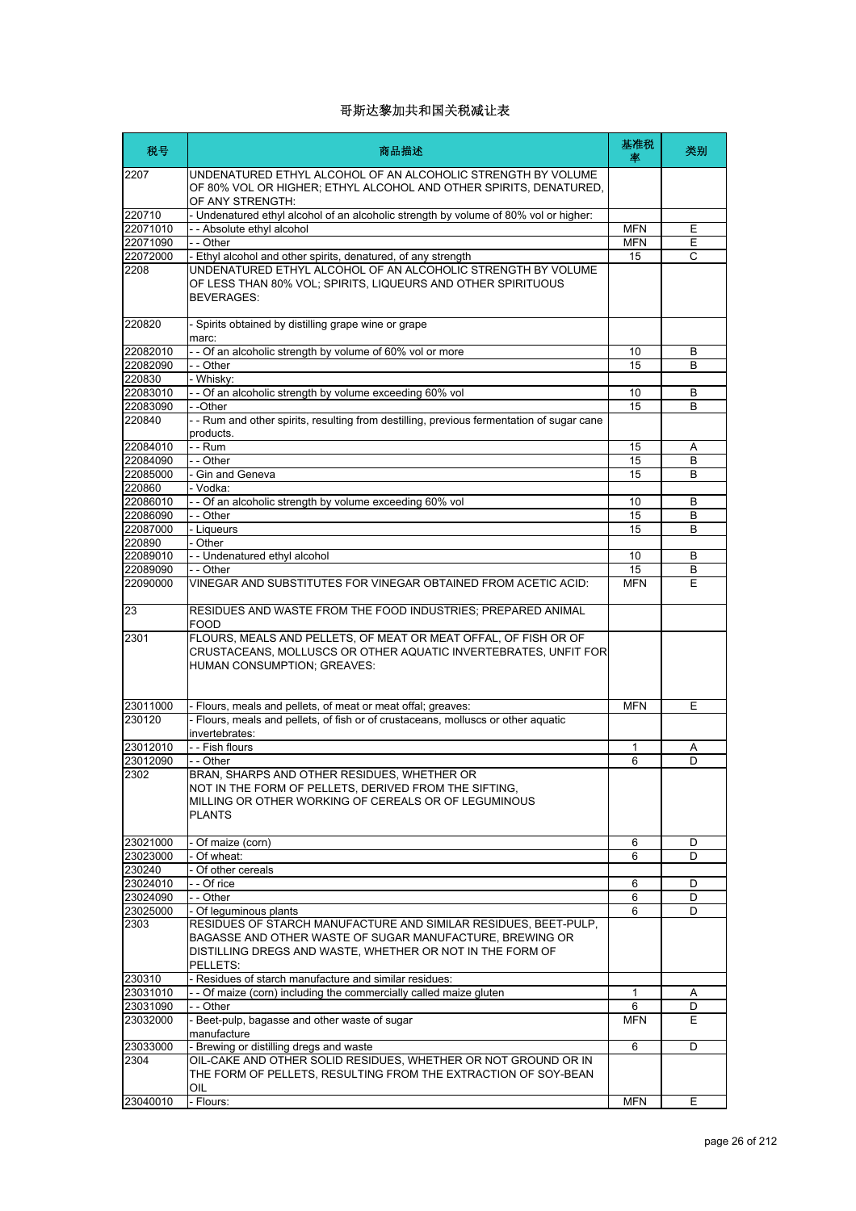| 税号       | 商品描述                                                                                                                                                                                                 | 基准税<br>塞     | 类别 |
|----------|------------------------------------------------------------------------------------------------------------------------------------------------------------------------------------------------------|--------------|----|
| 2207     | UNDENATURED ETHYL ALCOHOL OF AN ALCOHOLIC STRENGTH BY VOLUME<br>OF 80% VOL OR HIGHER; ETHYL ALCOHOL AND OTHER SPIRITS, DENATURED,<br>OF ANY STRENGTH:                                                |              |    |
| 220710   | - Undenatured ethyl alcohol of an alcoholic strength by volume of 80% vol or higher:                                                                                                                 |              |    |
| 22071010 | -- Absolute ethyl alcohol                                                                                                                                                                            | <b>MFN</b>   | Е  |
| 22071090 | - - Other                                                                                                                                                                                            | <b>MFN</b>   | Е  |
| 22072000 | - Ethyl alcohol and other spirits, denatured, of any strength                                                                                                                                        | 15           | C  |
| 2208     | UNDENATURED ETHYL ALCOHOL OF AN ALCOHOLIC STRENGTH BY VOLUME<br>OF LESS THAN 80% VOL; SPIRITS, LIQUEURS AND OTHER SPIRITUOUS<br><b>BEVERAGES:</b>                                                    |              |    |
| 220820   | - Spirits obtained by distilling grape wine or grape<br>marc:                                                                                                                                        |              |    |
| 22082010 | - - Of an alcoholic strength by volume of 60% vol or more                                                                                                                                            | 10           | В  |
| 22082090 | - - Other                                                                                                                                                                                            | 15           | B  |
| 220830   | - Whisky:                                                                                                                                                                                            |              |    |
| 22083010 | - - Of an alcoholic strength by volume exceeding 60% vol                                                                                                                                             | 10           | В  |
| 22083090 | --Other                                                                                                                                                                                              | 15           | B  |
| 220840   | - - Rum and other spirits, resulting from destilling, previous fermentation of sugar cane<br>products.                                                                                               |              |    |
| 22084010 | - - Rum                                                                                                                                                                                              | 15           | Α  |
| 22084090 | - - Other                                                                                                                                                                                            | 15           | B  |
| 22085000 | - Gin and Geneva                                                                                                                                                                                     | 15           | B  |
| 220860   | - Vodka:                                                                                                                                                                                             |              |    |
| 22086010 | - - Of an alcoholic strength by volume exceeding 60% vol                                                                                                                                             | 10           | B  |
| 22086090 | - - Other                                                                                                                                                                                            | 15           | B  |
| 22087000 | - Liqueurs                                                                                                                                                                                           | 15           | B  |
| 220890   | - Other                                                                                                                                                                                              |              |    |
| 22089010 | - - Undenatured ethyl alcohol                                                                                                                                                                        | 10           | B  |
| 22089090 | - - Other                                                                                                                                                                                            | 15           | В  |
| 22090000 | VINEGAR AND SUBSTITUTES FOR VINEGAR OBTAINED FROM ACETIC ACID:                                                                                                                                       | <b>MFN</b>   | E  |
| 23       | RESIDUES AND WASTE FROM THE FOOD INDUSTRIES; PREPARED ANIMAL<br>FOOD                                                                                                                                 |              |    |
| 2301     | FLOURS, MEALS AND PELLETS, OF MEAT OR MEAT OFFAL, OF FISH OR OF<br>CRUSTACEANS, MOLLUSCS OR OTHER AQUATIC INVERTEBRATES, UNFIT FOR<br>HUMAN CONSUMPTION; GREAVES:                                    |              |    |
| 23011000 | - Flours, meals and pellets, of meat or meat offal; greaves:                                                                                                                                         | <b>MFN</b>   | E  |
| 230120   | - Flours, meals and pellets, of fish or of crustaceans, molluscs or other aquatic<br>invertebrates:                                                                                                  |              |    |
| 23012010 | - - Fish flours                                                                                                                                                                                      | $\mathbf{1}$ | Α  |
| 23012090 | - - Other                                                                                                                                                                                            | 6            | D  |
| 2302     | BRAN, SHARPS AND OTHER RESIDUES, WHETHER OR                                                                                                                                                          |              |    |
|          | NOT IN THE FORM OF PELLETS, DERIVED FROM THE SIFTING,<br>MILLING OR OTHER WORKING OF CEREALS OR OF LEGUMINOUS<br><b>PLANTS</b>                                                                       |              |    |
| 23021000 | - Of maize (corn)                                                                                                                                                                                    | 6            | D  |
| 23023000 | - Of wheat:                                                                                                                                                                                          | 6            | D  |
| 230240   | - Of other cereals                                                                                                                                                                                   |              |    |
| 23024010 | - - Of rice                                                                                                                                                                                          | 6            | D  |
| 23024090 | - - Other                                                                                                                                                                                            | 6            | D  |
| 23025000 | - Of lequminous plants                                                                                                                                                                               | 6            | D  |
| 2303     | RESIDUES OF STARCH MANUFACTURE AND SIMILAR RESIDUES, BEET-PULP,<br>BAGASSE AND OTHER WASTE OF SUGAR MANUFACTURE, BREWING OR<br>DISTILLING DREGS AND WASTE, WHETHER OR NOT IN THE FORM OF<br>PELLETS: |              |    |
| 230310   | - Residues of starch manufacture and similar residues:                                                                                                                                               |              |    |
| 23031010 | - - Of maize (corn) including the commercially called maize gluten                                                                                                                                   | $\mathbf{1}$ | A  |
| 23031090 | $ -$ Other                                                                                                                                                                                           | 6            | D  |
| 23032000 | - Beet-pulp, bagasse and other waste of sugar<br>manufacture                                                                                                                                         | <b>MFN</b>   | E  |
| 23033000 | - Brewing or distilling dregs and waste                                                                                                                                                              | 6            | D  |
| 2304     | OIL-CAKE AND OTHER SOLID RESIDUES, WHETHER OR NOT GROUND OR IN<br>THE FORM OF PELLETS, RESULTING FROM THE EXTRACTION OF SOY-BEAN                                                                     |              |    |
| 23040010 | OIL<br>- Flours:                                                                                                                                                                                     | <b>MFN</b>   | E. |
|          |                                                                                                                                                                                                      |              |    |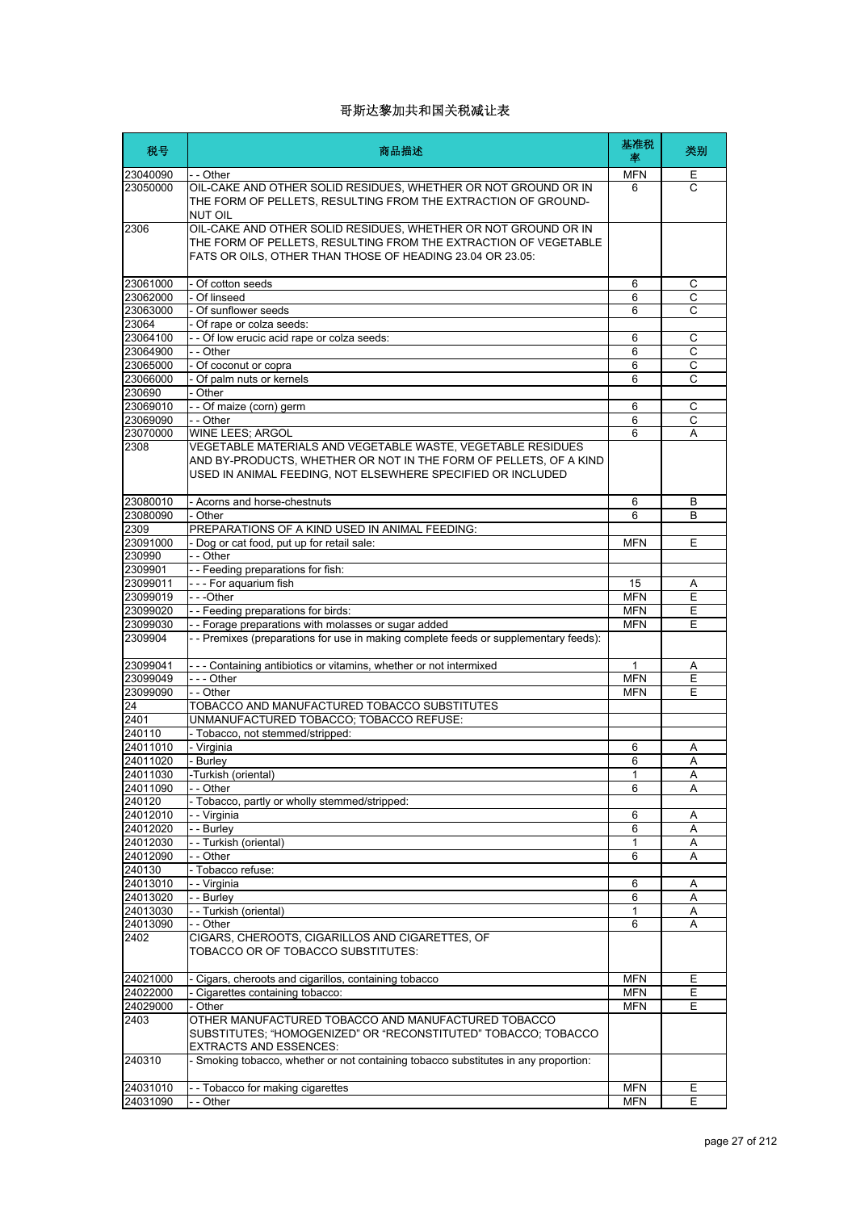| 税号                   | 商品描述                                                                                                                                                                                            | 基准税<br>率   | 类别             |
|----------------------|-------------------------------------------------------------------------------------------------------------------------------------------------------------------------------------------------|------------|----------------|
| 23040090             | - - Other                                                                                                                                                                                       | <b>MFN</b> | Е              |
| 23050000             | OIL-CAKE AND OTHER SOLID RESIDUES, WHETHER OR NOT GROUND OR IN<br>THE FORM OF PELLETS, RESULTING FROM THE EXTRACTION OF GROUND-<br><b>NUT OIL</b>                                               | 6          | $\mathsf{C}$   |
| 2306                 | OIL-CAKE AND OTHER SOLID RESIDUES, WHETHER OR NOT GROUND OR IN<br>THE FORM OF PELLETS, RESULTING FROM THE EXTRACTION OF VEGETABLE<br>FATS OR OILS, OTHER THAN THOSE OF HEADING 23.04 OR 23.05:  |            |                |
| 23061000             | - Of cotton seeds                                                                                                                                                                               | 6          | С              |
| 23062000             | - Of linseed                                                                                                                                                                                    | 6          | С              |
| 23063000             | - Of sunflower seeds                                                                                                                                                                            | 6          | $\mathsf{C}$   |
| 23064                | - Of rape or colza seeds:                                                                                                                                                                       |            |                |
| 23064100             | - - Of low erucic acid rape or colza seeds:                                                                                                                                                     | 6          | С              |
| 23064900             | - - Other                                                                                                                                                                                       | 6          | $\overline{C}$ |
| 23065000             | - Of coconut or copra                                                                                                                                                                           | 6          | С              |
| 23066000             | - Of palm nuts or kernels                                                                                                                                                                       | 6          | $\overline{c}$ |
| 230690               | - Other                                                                                                                                                                                         |            |                |
| 23069010             | -- Of maize (corn) germ                                                                                                                                                                         | 6          | С              |
| 23069090             | - - Other                                                                                                                                                                                       | 6          | C              |
| 23070000             | WINE LEES; ARGOL                                                                                                                                                                                | 6          | A              |
| 2308                 | VEGETABLE MATERIALS AND VEGETABLE WASTE, VEGETABLE RESIDUES<br>AND BY-PRODUCTS, WHETHER OR NOT IN THE FORM OF PELLETS, OF A KIND<br>USED IN ANIMAL FEEDING, NOT ELSEWHERE SPECIFIED OR INCLUDED |            |                |
| 23080010             | - Acorns and horse-chestnuts                                                                                                                                                                    | 6          | B              |
| 23080090             | - Other                                                                                                                                                                                         | 6          | B              |
| 2309                 | PREPARATIONS OF A KIND USED IN ANIMAL FEEDING:                                                                                                                                                  |            |                |
| 23091000             | - Dog or cat food, put up for retail sale:                                                                                                                                                      | <b>MFN</b> | E              |
| 230990               | - - Other                                                                                                                                                                                       |            |                |
| 2309901              | - - Feeding preparations for fish:                                                                                                                                                              |            |                |
| 23099011             | - - - For aquarium fish                                                                                                                                                                         | 15         | Α              |
| 23099019             | ---Other                                                                                                                                                                                        | <b>MFN</b> | Ε              |
| 23099020             | - - Feeding preparations for birds:                                                                                                                                                             | <b>MFN</b> | E              |
| 23099030<br>2309904  | - - Forage preparations with molasses or sugar added<br>- - Premixes (preparations for use in making complete feeds or supplementary feeds):                                                    | <b>MFN</b> | E              |
| 23099041             | - - - Containing antibiotics or vitamins, whether or not intermixed                                                                                                                             | 1          | Α              |
| 23099049             | --- Other                                                                                                                                                                                       | <b>MFN</b> | Ε              |
| 23099090             | - - Other                                                                                                                                                                                       | <b>MFN</b> | E              |
| 24                   | TOBACCO AND MANUFACTURED TOBACCO SUBSTITUTES                                                                                                                                                    |            |                |
| 2401                 | UNMANUFACTURED TOBACCO; TOBACCO REFUSE:                                                                                                                                                         |            |                |
| 240110               | - Tobacco, not stemmed/stripped:                                                                                                                                                                |            |                |
| 24011010             | - Virginia                                                                                                                                                                                      | 6          | Α              |
| 24011020             | - Burley                                                                                                                                                                                        | 6          | Α              |
| 24011030             | -Turkish (oriental)                                                                                                                                                                             | 1          | A              |
| 24011090             | - - Other                                                                                                                                                                                       | 6          | Α              |
| 240120               | - Tobacco, partly or wholly stemmed/stripped:                                                                                                                                                   |            |                |
| 24012010             | - - Virginia                                                                                                                                                                                    | 6          | Α              |
| 24012020             | - - Burley                                                                                                                                                                                      | 6          | Α              |
| 24012030<br>24012090 | - - Turkish (oriental)                                                                                                                                                                          | 1          | Α              |
|                      | - - Other                                                                                                                                                                                       | 6          | A              |
| 240130<br>24013010   | - Tobacco refuse:<br>- - Virginia                                                                                                                                                               | 6          | Α              |
| 24013020             | - - Burley                                                                                                                                                                                      | 6          | Α              |
| 24013030             | - - Turkish (oriental)                                                                                                                                                                          | 1          | Α              |
| 24013090             | - - Other                                                                                                                                                                                       | 6          | Α              |
| 2402                 | CIGARS, CHEROOTS, CIGARILLOS AND CIGARETTES, OF<br>TOBACCO OR OF TOBACCO SUBSTITUTES:                                                                                                           |            |                |
| 24021000             | - Cigars, cheroots and cigarillos, containing tobacco                                                                                                                                           | <b>MFN</b> | Ε              |
| 24022000             | - Cigarettes containing tobacco:                                                                                                                                                                | <b>MFN</b> | Έ              |
| 24029000             | - Other                                                                                                                                                                                         | <b>MFN</b> | E              |
| 2403                 | OTHER MANUFACTURED TOBACCO AND MANUFACTURED TOBACCO<br>SUBSTITUTES; "HOMOGENIZED" OR "RECONSTITUTED" TOBACCO; TOBACCO<br>EXTRACTS AND ESSENCES:                                                 |            |                |
| 240310               | - Smoking tobacco, whether or not containing tobacco substitutes in any proportion:                                                                                                             |            |                |
| 24031010             | -- Tobacco for making cigarettes                                                                                                                                                                | <b>MFN</b> | E              |
| 24031090             | - - Other                                                                                                                                                                                       | <b>MFN</b> | Ε              |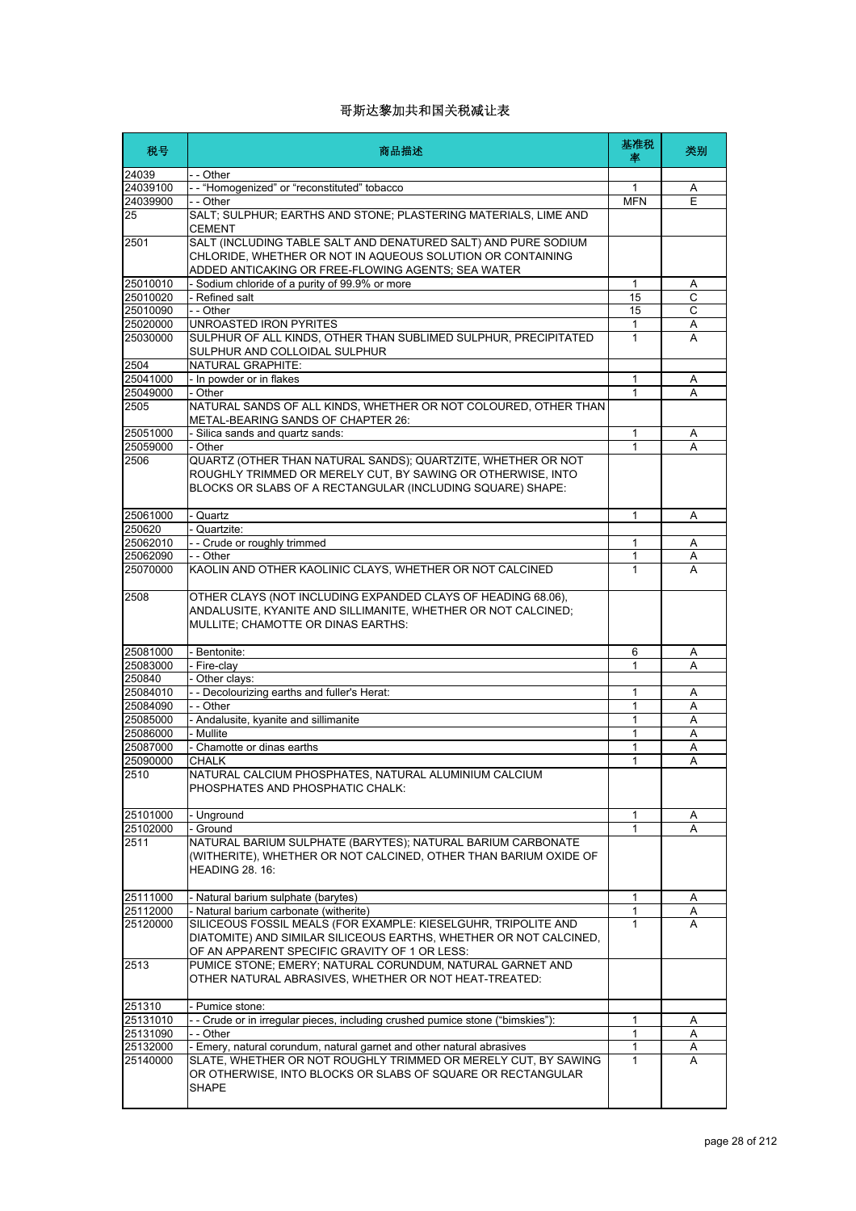| 税号                   | 商品描述                                                                                                                                                                                      | 基准税<br>率     | 类别     |
|----------------------|-------------------------------------------------------------------------------------------------------------------------------------------------------------------------------------------|--------------|--------|
| 24039                | - - Other                                                                                                                                                                                 |              |        |
| 24039100             | -- "Homogenized" or "reconstituted" tobacco                                                                                                                                               | 1            | Α      |
| 24039900             | - - Other                                                                                                                                                                                 | <b>MFN</b>   | E      |
| 25                   | SALT; SULPHUR; EARTHS AND STONE; PLASTERING MATERIALS, LIME AND<br><b>CEMENT</b>                                                                                                          |              |        |
| 2501                 | SALT (INCLUDING TABLE SALT AND DENATURED SALT) AND PURE SODIUM<br>CHLORIDE, WHETHER OR NOT IN AQUEOUS SOLUTION OR CONTAINING<br>ADDED ANTICAKING OR FREE-FLOWING AGENTS; SEA WATER        |              |        |
| 25010010             | - Sodium chloride of a purity of 99.9% or more                                                                                                                                            | $\mathbf{1}$ | A      |
| 25010020             | - Refined salt                                                                                                                                                                            | 15           | C      |
| 25010090             | - - Other                                                                                                                                                                                 | 15           | C      |
| 25020000             | UNROASTED IRON PYRITES                                                                                                                                                                    | 1            | Α      |
| 25030000             | SULPHUR OF ALL KINDS, OTHER THAN SUBLIMED SULPHUR, PRECIPITATED<br>SULPHUR AND COLLOIDAL SULPHUR                                                                                          | 1            | A      |
| 2504                 | NATURAL GRAPHITE:                                                                                                                                                                         |              |        |
| 25041000             | - In powder or in flakes                                                                                                                                                                  | 1            | Α      |
| 25049000             | - Other                                                                                                                                                                                   | 1            | A      |
| 2505                 | NATURAL SANDS OF ALL KINDS, WHETHER OR NOT COLOURED, OTHER THAN<br>METAL-BEARING SANDS OF CHAPTER 26:                                                                                     |              |        |
| 25051000             | - Silica sands and quartz sands:                                                                                                                                                          | 1            | Α      |
| 25059000             | - Other                                                                                                                                                                                   | 1            | A      |
| 2506                 | QUARTZ (OTHER THAN NATURAL SANDS); QUARTZITE, WHETHER OR NOT<br>ROUGHLY TRIMMED OR MERELY CUT, BY SAWING OR OTHERWISE, INTO<br>BLOCKS OR SLABS OF A RECTANGULAR (INCLUDING SQUARE) SHAPE: |              |        |
| 25061000             | - Quartz                                                                                                                                                                                  | 1            | A      |
| 250620               | - Quartzite:                                                                                                                                                                              |              |        |
| 25062010             | - - Crude or roughly trimmed                                                                                                                                                              | 1            | Α      |
| 25062090             | $-$ - Other                                                                                                                                                                               | 1            | Α      |
| 25070000             | KAOLIN AND OTHER KAOLINIC CLAYS, WHETHER OR NOT CALCINED                                                                                                                                  | 1            | A      |
| 2508                 | OTHER CLAYS (NOT INCLUDING EXPANDED CLAYS OF HEADING 68.06),<br>ANDALUSITE, KYANITE AND SILLIMANITE, WHETHER OR NOT CALCINED;<br>MULLITE; CHAMOTTE OR DINAS EARTHS:                       |              |        |
| 25081000             | Bentonite:                                                                                                                                                                                | 6            | Α      |
| 25083000             | - Fire-clay                                                                                                                                                                               | 1            | A      |
| 250840               | Other clays:                                                                                                                                                                              |              |        |
| 25084010             | - - Decolourizing earths and fuller's Herat:                                                                                                                                              | 1            | Α      |
| 25084090             | - - Other                                                                                                                                                                                 | 1            | A      |
| 25085000             | - Andalusite, kyanite and sillimanite                                                                                                                                                     | 1            | Α      |
| 25086000             | - Mullite                                                                                                                                                                                 | 1            | A      |
| 25087000<br>25090000 | - Chamotte or dinas earths<br>CHALK                                                                                                                                                       | 1<br>1       | Α<br>Α |
| 2510                 | NATURAL CALCIUM PHOSPHATES, NATURAL ALUMINIUM CALCIUM<br>PHOSPHATES AND PHOSPHATIC CHALK:                                                                                                 |              |        |
| 25101000             | - Unground                                                                                                                                                                                | 1            | A      |
| 25102000             | - Ground                                                                                                                                                                                  | 1            | A      |
| 2511                 | NATURAL BARIUM SULPHATE (BARYTES); NATURAL BARIUM CARBONATE<br>(WITHERITE), WHETHER OR NOT CALCINED, OTHER THAN BARIUM OXIDE OF<br>HEADING 28. 16:                                        |              |        |
| 25111000             | - Natural barium sulphate (barytes)                                                                                                                                                       | 1            | A      |
| 25112000             | - Natural barium carbonate (witherite)                                                                                                                                                    | 1            | A      |
| 25120000             | SILICEOUS FOSSIL MEALS (FOR EXAMPLE: KIESELGUHR, TRIPOLITE AND<br>DIATOMITE) AND SIMILAR SILICEOUS EARTHS, WHETHER OR NOT CALCINED,<br>OF AN APPARENT SPECIFIC GRAVITY OF 1 OR LESS:      | 1            | A      |
| 2513                 | PUMICE STONE; EMERY; NATURAL CORUNDUM, NATURAL GARNET AND<br>OTHER NATURAL ABRASIVES, WHETHER OR NOT HEAT-TREATED:                                                                        |              |        |
| 251310               | Pumice stone:                                                                                                                                                                             |              |        |
| 25131010             | - Crude or in irregular pieces, including crushed pumice stone ("bimskies"):                                                                                                              | 1            | A      |
| 25131090             | - - Other                                                                                                                                                                                 | 1            | Α      |
| 25132000             | - Emery, natural corundum, natural garnet and other natural abrasives                                                                                                                     | 1            | A      |
| 25140000             | SLATE, WHETHER OR NOT ROUGHLY TRIMMED OR MERELY CUT, BY SAWING<br>OR OTHERWISE, INTO BLOCKS OR SLABS OF SQUARE OR RECTANGULAR<br><b>SHAPE</b>                                             | 1            | A      |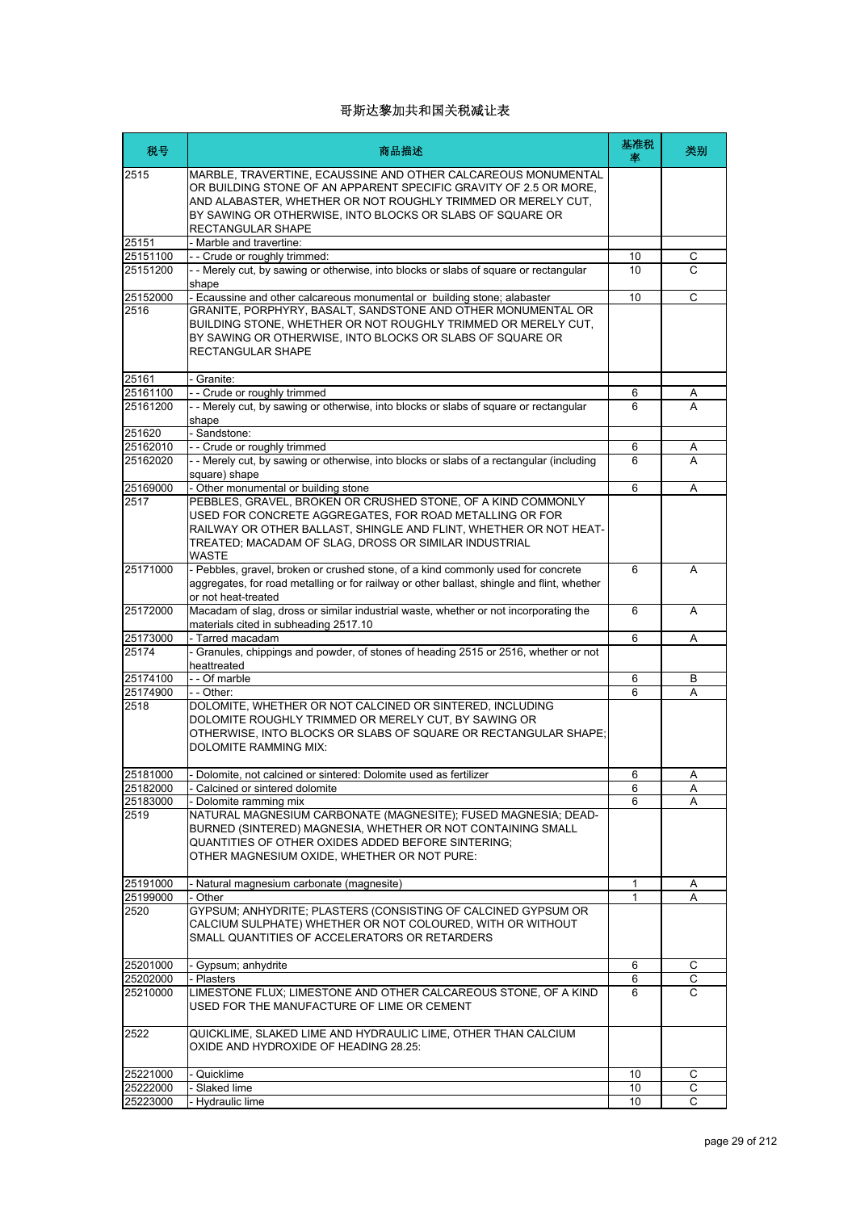| 税号       | 商品描述                                                                                                                                                                                                                                                                                 | 基准税<br>率 | 类别     |
|----------|--------------------------------------------------------------------------------------------------------------------------------------------------------------------------------------------------------------------------------------------------------------------------------------|----------|--------|
| 2515     | MARBLE, TRAVERTINE, ECAUSSINE AND OTHER CALCAREOUS MONUMENTAL<br>OR BUILDING STONE OF AN APPARENT SPECIFIC GRAVITY OF 2.5 OR MORE,<br>AND ALABASTER, WHETHER OR NOT ROUGHLY TRIMMED OR MERELY CUT,<br>BY SAWING OR OTHERWISE, INTO BLOCKS OR SLABS OF SQUARE OR<br>RECTANGULAR SHAPE |          |        |
| 25151    | - Marble and travertine:                                                                                                                                                                                                                                                             |          |        |
| 25151100 | - - Crude or roughly trimmed:                                                                                                                                                                                                                                                        | 10       | С      |
| 25151200 | - - Merely cut, by sawing or otherwise, into blocks or slabs of square or rectangular                                                                                                                                                                                                | 10       | C      |
|          | shape                                                                                                                                                                                                                                                                                |          |        |
| 25152000 | - Ecaussine and other calcareous monumental or building stone; alabaster                                                                                                                                                                                                             | 10       | C      |
| 2516     | GRANITE, PORPHYRY, BASALT, SANDSTONE AND OTHER MONUMENTAL OR<br>BUILDING STONE, WHETHER OR NOT ROUGHLY TRIMMED OR MERELY CUT,<br>BY SAWING OR OTHERWISE, INTO BLOCKS OR SLABS OF SQUARE OR<br><b>RECTANGULAR SHAPE</b>                                                               |          |        |
| 25161    | - Granite:                                                                                                                                                                                                                                                                           |          |        |
| 25161100 | -- Crude or roughly trimmed                                                                                                                                                                                                                                                          | 6        | Α      |
| 25161200 | - - Merely cut, by sawing or otherwise, into blocks or slabs of square or rectangular                                                                                                                                                                                                | 6        | A      |
| 251620   | shape<br>- Sandstone:                                                                                                                                                                                                                                                                |          |        |
| 25162010 | -- Crude or roughly trimmed                                                                                                                                                                                                                                                          | 6        |        |
| 25162020 | - - Merely cut, by sawing or otherwise, into blocks or slabs of a rectangular (including                                                                                                                                                                                             | 6        | A<br>A |
|          | square) shape                                                                                                                                                                                                                                                                        |          |        |
| 25169000 | - Other monumental or building stone                                                                                                                                                                                                                                                 | 6        | Α      |
| 2517     | PEBBLES, GRAVEL, BROKEN OR CRUSHED STONE, OF A KIND COMMONLY<br>USED FOR CONCRETE AGGREGATES. FOR ROAD METALLING OR FOR<br>RAILWAY OR OTHER BALLAST, SHINGLE AND FLINT, WHETHER OR NOT HEAT-<br>TREATED; MACADAM OF SLAG, DROSS OR SIMILAR INDUSTRIAL<br>WASTE                       |          |        |
| 25171000 | - Pebbles, gravel, broken or crushed stone, of a kind commonly used for concrete<br>aggregates, for road metalling or for railway or other ballast, shingle and flint, whether<br>or not heat-treated                                                                                | 6        | A      |
| 25172000 | Macadam of slag, dross or similar industrial waste, whether or not incorporating the<br>materials cited in subheading 2517.10                                                                                                                                                        | 6        | A      |
| 25173000 | - Tarred macadam                                                                                                                                                                                                                                                                     | 6        | Α      |
| 25174    | - Granules, chippings and powder, of stones of heading 2515 or 2516, whether or not<br>heattreated                                                                                                                                                                                   |          |        |
| 25174100 | - - Of marble                                                                                                                                                                                                                                                                        | 6        | B      |
| 25174900 | - - Other:                                                                                                                                                                                                                                                                           | 6        | A      |
| 2518     | DOLOMITE, WHETHER OR NOT CALCINED OR SINTERED, INCLUDING<br>DOLOMITE ROUGHLY TRIMMED OR MERELY CUT, BY SAWING OR<br>OTHERWISE, INTO BLOCKS OR SLABS OF SQUARE OR RECTANGULAR SHAPE;<br><b>DOLOMITE RAMMING MIX:</b>                                                                  |          |        |
| 25181000 | - Dolomite, not calcined or sintered: Dolomite used as fertilizer                                                                                                                                                                                                                    | 6        | Α      |
| 25182000 | - Calcined or sintered dolomite                                                                                                                                                                                                                                                      | 6        | Α      |
| 25183000 | - Dolomite ramming mix                                                                                                                                                                                                                                                               | 6        | A      |
| 2519     | NATURAL MAGNESIUM CARBONATE (MAGNESITE); FUSED MAGNESIA; DEAD-<br>BURNED (SINTERED) MAGNESIA, WHETHER OR NOT CONTAINING SMALL<br>QUANTITIES OF OTHER OXIDES ADDED BEFORE SINTERING:<br>OTHER MAGNESIUM OXIDE, WHETHER OR NOT PURE:                                                   |          |        |
| 25191000 | - Natural magnesium carbonate (magnesite)                                                                                                                                                                                                                                            | 1        | Α      |
| 25199000 | - Other                                                                                                                                                                                                                                                                              | 1        | A      |
| 2520     | GYPSUM; ANHYDRITE; PLASTERS (CONSISTING OF CALCINED GYPSUM OR<br>CALCIUM SULPHATE) WHETHER OR NOT COLOURED, WITH OR WITHOUT<br>SMALL QUANTITIES OF ACCELERATORS OR RETARDERS                                                                                                         |          |        |
| 25201000 | - Gypsum; anhydrite                                                                                                                                                                                                                                                                  | 6        | С      |
| 25202000 | - Plasters                                                                                                                                                                                                                                                                           | 6        | С      |
| 25210000 | LIMESTONE FLUX; LIMESTONE AND OTHER CALCAREOUS STONE, OF A KIND<br>USED FOR THE MANUFACTURE OF LIME OR CEMENT                                                                                                                                                                        | 6        | C      |
| 2522     | QUICKLIME, SLAKED LIME AND HYDRAULIC LIME, OTHER THAN CALCIUM<br>OXIDE AND HYDROXIDE OF HEADING 28.25:                                                                                                                                                                               |          |        |
| 25221000 | - Quicklime                                                                                                                                                                                                                                                                          | 10       | С      |
| 25222000 | - Slaked lime                                                                                                                                                                                                                                                                        | 10       | С      |
| 25223000 | Hydraulic lime                                                                                                                                                                                                                                                                       | 10       | C      |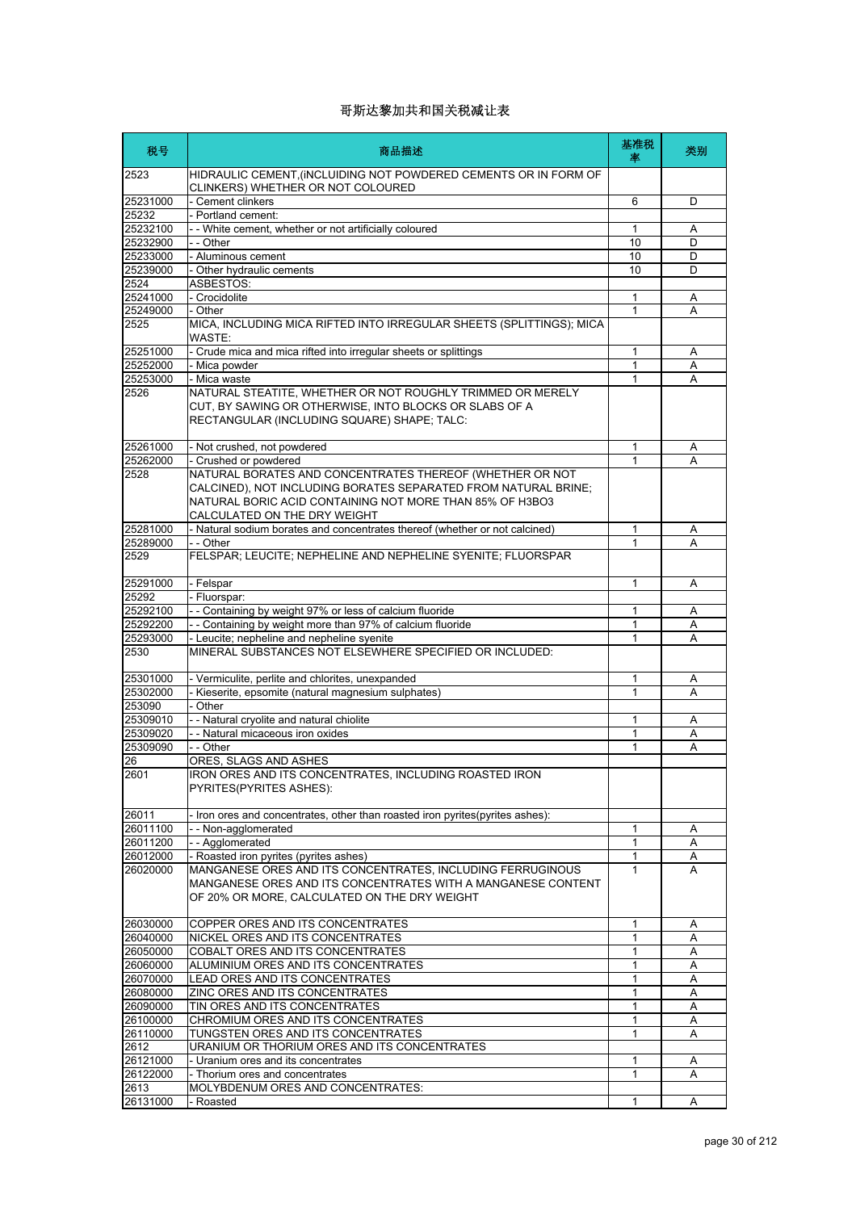| 税号                   | 商品描述                                                                                                                                                                                                                   | 基准税<br>坙 | 类别     |
|----------------------|------------------------------------------------------------------------------------------------------------------------------------------------------------------------------------------------------------------------|----------|--------|
| 2523                 | HIDRAULIC CEMENT, (INCLUIDING NOT POWDERED CEMENTS OR IN FORM OF<br>CLINKERS) WHETHER OR NOT COLOURED                                                                                                                  |          |        |
| 25231000             | - Cement clinkers                                                                                                                                                                                                      | 6        | D      |
| 25232                | - Portland cement:                                                                                                                                                                                                     |          |        |
| 25232100<br>25232900 | - - White cement, whether or not artificially coloured<br>- - Other                                                                                                                                                    | 1<br>10  | Α<br>D |
| 25233000             | - Aluminous cement                                                                                                                                                                                                     | 10       | D      |
| 25239000             | - Other hydraulic cements                                                                                                                                                                                              | 10       | D      |
| 2524                 | ASBESTOS:                                                                                                                                                                                                              |          |        |
| 25241000             | - Crocidolite                                                                                                                                                                                                          | 1        | Α      |
| 25249000<br>2525     | - Other<br>MICA, INCLUDING MICA RIFTED INTO IRREGULAR SHEETS (SPLITTINGS); MICA<br>WASTE:                                                                                                                              | 1        | А      |
| 25251000             | - Crude mica and mica rifted into irregular sheets or splittings                                                                                                                                                       | 1        | Α      |
| 25252000             | - Mica powder                                                                                                                                                                                                          | 1        | Α      |
| 25253000             | - Mica waste                                                                                                                                                                                                           | 1        | A      |
| 2526                 | NATURAL STEATITE, WHETHER OR NOT ROUGHLY TRIMMED OR MERELY<br>CUT, BY SAWING OR OTHERWISE, INTO BLOCKS OR SLABS OF A<br>RECTANGULAR (INCLUDING SQUARE) SHAPE; TALC:                                                    |          |        |
| 25261000             | - Not crushed, not powdered                                                                                                                                                                                            | 1        | Α      |
| 25262000             | - Crushed or powdered                                                                                                                                                                                                  | 1        | A      |
| 2528                 | NATURAL BORATES AND CONCENTRATES THEREOF (WHETHER OR NOT<br>CALCINED), NOT INCLUDING BORATES SEPARATED FROM NATURAL BRINE;<br>NATURAL BORIC ACID CONTAINING NOT MORE THAN 85% OF H3BO3<br>CALCULATED ON THE DRY WEIGHT |          |        |
| 25281000             | - Natural sodium borates and concentrates thereof (whether or not calcined)                                                                                                                                            | 1        | Α      |
| 25289000             | - - Other                                                                                                                                                                                                              | 1        | A      |
| 2529                 | FELSPAR; LEUCITE; NEPHELINE AND NEPHELINE SYENITE; FLUORSPAR                                                                                                                                                           |          |        |
| 25291000             | - Felspar                                                                                                                                                                                                              | 1        | A      |
| 25292<br>25292100    | - Fluorspar:<br>- - Containing by weight 97% or less of calcium fluoride                                                                                                                                               | 1        | Α      |
| 25292200             | -- Containing by weight more than 97% of calcium fluoride                                                                                                                                                              | 1        | A      |
| 25293000             | - Leucite; nepheline and nepheline syenite                                                                                                                                                                             | 1        | A      |
| 2530                 | MINERAL SUBSTANCES NOT ELSEWHERE SPECIFIED OR INCLUDED:                                                                                                                                                                |          |        |
| 25301000             | - Vermiculite, perlite and chlorites, unexpanded                                                                                                                                                                       | 1        | A      |
| 25302000             | - Kieserite, epsomite (natural magnesium sulphates)                                                                                                                                                                    | 1        | A      |
| 253090<br>25309010   | - Other                                                                                                                                                                                                                |          |        |
| 25309020             | - - Natural cryolite and natural chiolite<br>- - Natural micaceous iron oxides                                                                                                                                         | 1<br>1   | Α<br>Α |
| 25309090             | - - Other                                                                                                                                                                                                              | 1        | A      |
| 26                   | ORES, SLAGS AND ASHES                                                                                                                                                                                                  |          |        |
| 2601                 | IRON ORES AND ITS CONCENTRATES, INCLUDING ROASTED IRON<br>PYRITES(PYRITES ASHES):                                                                                                                                      |          |        |
| 26011                | - Iron ores and concentrates, other than roasted iron pyrites (pyrites ashes):                                                                                                                                         |          |        |
| 26011100             | -- Non-agglomerated                                                                                                                                                                                                    | 1        | Α      |
| 26011200             | -- Agglomerated                                                                                                                                                                                                        | 1        | A      |
| 26012000<br>26020000 | - Roasted iron pyrites (pyrites ashes)<br>MANGANESE ORES AND ITS CONCENTRATES, INCLUDING FERRUGINOUS<br>MANGANESE ORES AND ITS CONCENTRATES WITH A MANGANESE CONTENT<br>OF 20% OR MORE, CALCULATED ON THE DRY WEIGHT   | 1<br>1   | Α<br>A |
|                      |                                                                                                                                                                                                                        |          |        |
| 26030000<br>26040000 | COPPER ORES AND ITS CONCENTRATES<br>NICKEL ORES AND ITS CONCENTRATES                                                                                                                                                   | 1<br>1   | Α<br>Α |
| 26050000             | COBALT ORES AND ITS CONCENTRATES                                                                                                                                                                                       | 1        | Α      |
| 26060000             | ALUMINIUM ORES AND ITS CONCENTRATES                                                                                                                                                                                    | 1        | Α      |
| 26070000             | LEAD ORES AND ITS CONCENTRATES                                                                                                                                                                                         | 1        | Α      |
| 26080000             | ZINC ORES AND ITS CONCENTRATES                                                                                                                                                                                         | 1        | Α      |
| 26090000             | TIN ORES AND ITS CONCENTRATES                                                                                                                                                                                          | 1        | Α      |
| 26100000             | CHROMIUM ORES AND ITS CONCENTRATES                                                                                                                                                                                     | 1        | A      |
| 26110000             | TUNGSTEN ORES AND ITS CONCENTRATES                                                                                                                                                                                     | 1        | A      |
| 2612<br>26121000     | URANIUM OR THORIUM ORES AND ITS CONCENTRATES<br>- Uranium ores and its concentrates                                                                                                                                    | 1        | A      |
| 26122000             | - Thorium ores and concentrates                                                                                                                                                                                        | 1        | A      |
| 2613                 | MOLYBDENUM ORES AND CONCENTRATES:                                                                                                                                                                                      |          |        |
| 26131000             | - Roasted                                                                                                                                                                                                              | 1        | A      |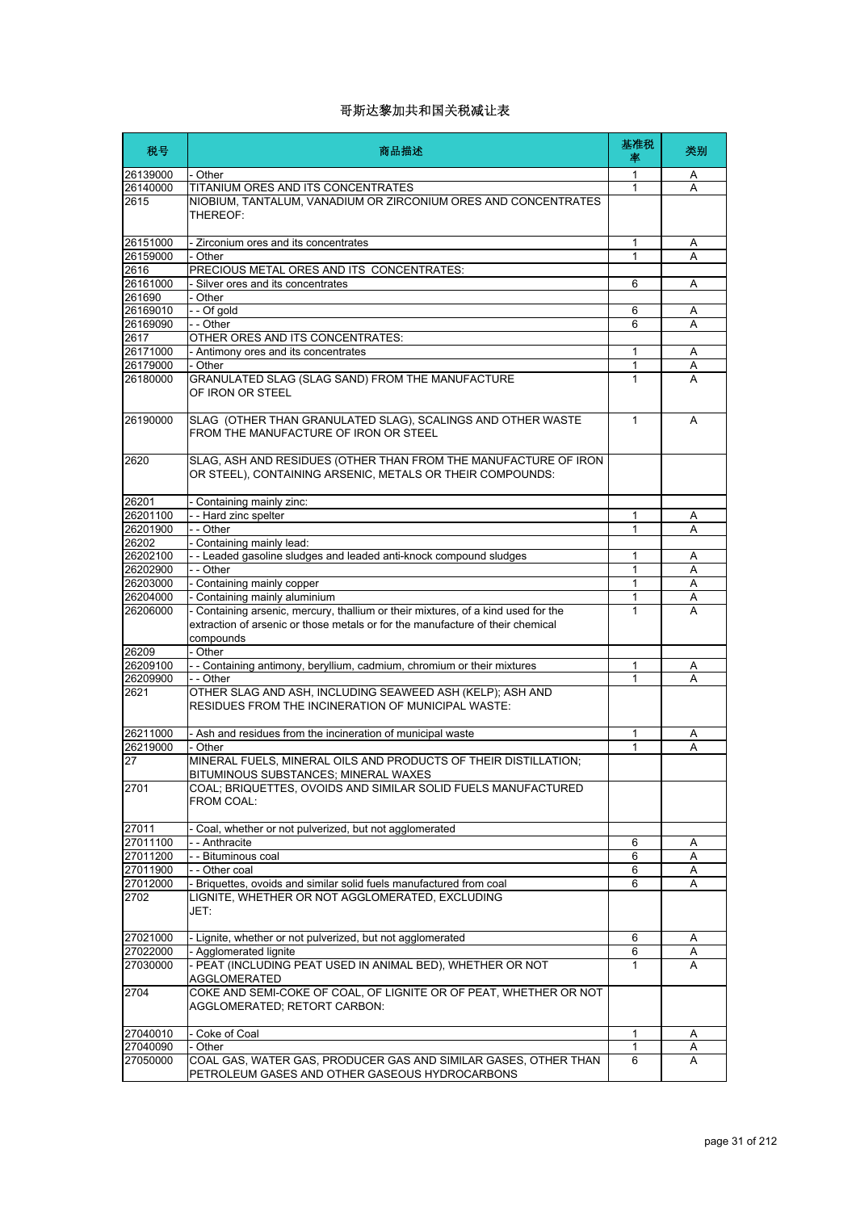| 税号                   | 商品描述                                                                                                                                                                             | 基准税<br>率     | 类别     |
|----------------------|----------------------------------------------------------------------------------------------------------------------------------------------------------------------------------|--------------|--------|
| 26139000             | - Other                                                                                                                                                                          | 1            | A      |
| 26140000             | TITANIUM ORES AND ITS CONCENTRATES                                                                                                                                               | 1            | A      |
| 2615                 | NIOBIUM, TANTALUM, VANADIUM OR ZIRCONIUM ORES AND CONCENTRATES<br>THEREOF:                                                                                                       |              |        |
| 26151000             | - Zirconium ores and its concentrates                                                                                                                                            | 1            | Α      |
| 26159000             | - Other                                                                                                                                                                          | 1            | A      |
| 2616                 | PRECIOUS METAL ORES AND ITS CONCENTRATES:                                                                                                                                        |              |        |
| 26161000             | Silver ores and its concentrates                                                                                                                                                 | 6            | Α      |
| 261690               | - Other                                                                                                                                                                          |              |        |
| 26169010<br>26169090 | - - Of gold<br>- - Other                                                                                                                                                         | 6<br>6       | Α<br>A |
| 2617                 | OTHER ORES AND ITS CONCENTRATES:                                                                                                                                                 |              |        |
| 26171000             | - Antimony ores and its concentrates                                                                                                                                             | 1            | Α      |
| 26179000             | - Other                                                                                                                                                                          | 1            | Α      |
| 26180000             | GRANULATED SLAG (SLAG SAND) FROM THE MANUFACTURE<br>OF IRON OR STEEL                                                                                                             | 1            | A      |
| 26190000             | SLAG (OTHER THAN GRANULATED SLAG), SCALINGS AND OTHER WASTE<br>FROM THE MANUFACTURE OF IRON OR STEEL                                                                             | $\mathbf{1}$ | A      |
| 2620                 | SLAG, ASH AND RESIDUES (OTHER THAN FROM THE MANUFACTURE OF IRON<br>OR STEEL), CONTAINING ARSENIC, METALS OR THEIR COMPOUNDS:                                                     |              |        |
| 26201                | Containing mainly zinc:                                                                                                                                                          |              |        |
| 26201100             | -- Hard zinc spelter                                                                                                                                                             | 1            | A      |
| 26201900             | - - Other                                                                                                                                                                        | 1            | Α      |
| 26202                | - Containing mainly lead:                                                                                                                                                        |              |        |
| 26202100             | -- Leaded gasoline sludges and leaded anti-knock compound sludges                                                                                                                | 1<br>1       | A      |
| 26202900<br>26203000 | - - Other<br>Containing mainly copper                                                                                                                                            | $\mathbf{1}$ | A<br>A |
| 26204000             | Containing mainly aluminium                                                                                                                                                      | 1            | Α      |
| 26206000             | - Containing arsenic, mercury, thallium or their mixtures, of a kind used for the<br>extraction of arsenic or those metals or for the manufacture of their chemical<br>compounds | $\mathbf{1}$ | A      |
| 26209                | - Other                                                                                                                                                                          |              |        |
| 26209100             | - - Containing antimony, beryllium, cadmium, chromium or their mixtures                                                                                                          | 1            | Α      |
| 26209900<br>2621     | - - Other<br>OTHER SLAG AND ASH, INCLUDING SEAWEED ASH (KELP); ASH AND<br>RESIDUES FROM THE INCINERATION OF MUNICIPAL WASTE:                                                     | 1            | A      |
|                      |                                                                                                                                                                                  |              |        |
| 26211000<br>26219000 | Ash and residues from the incineration of municipal waste                                                                                                                        | 1<br>1       | Α<br>A |
| 27                   | Other<br>MINERAL FUELS, MINERAL OILS AND PRODUCTS OF THEIR DISTILLATION;<br>BITUMINOUS SUBSTANCES; MINERAL WAXES                                                                 |              |        |
| 2701                 | COAL; BRIQUETTES, OVOIDS AND SIMILAR SOLID FUELS MANUFACTURED<br>FROM COAL:                                                                                                      |              |        |
| 27011                | Coal, whether or not pulverized, but not agglomerated                                                                                                                            |              |        |
| 27011100             | - - Anthracite                                                                                                                                                                   | 6            | Α      |
| 27011200             | - - Bituminous coal                                                                                                                                                              | 6            | Α      |
| 27011900             | - - Other coal                                                                                                                                                                   | 6            | Α      |
| 27012000             | - Briquettes, ovoids and similar solid fuels manufactured from coal                                                                                                              | 6            | Α      |
| 2702                 | LIGNITE, WHETHER OR NOT AGGLOMERATED, EXCLUDING<br>JET:                                                                                                                          |              |        |
| 27021000             | - Lignite, whether or not pulverized, but not agglomerated                                                                                                                       | 6            | Α      |
| 27022000             | - Agglomerated lignite                                                                                                                                                           | 6            | Α      |
| 27030000             | - PEAT (INCLUDING PEAT USED IN ANIMAL BED), WHETHER OR NOT<br><b>AGGLOMERATED</b>                                                                                                | $\mathbf{1}$ | A      |
| 2704                 | COKE AND SEMI-COKE OF COAL, OF LIGNITE OR OF PEAT, WHETHER OR NOT<br>AGGLOMERATED; RETORT CARBON:                                                                                |              |        |
| 27040010             | - Coke of Coal                                                                                                                                                                   | 1            | Α      |
| 27040090             | - Other                                                                                                                                                                          | 1            | Α      |
| 27050000             | COAL GAS, WATER GAS, PRODUCER GAS AND SIMILAR GASES, OTHER THAN<br>PETROLEUM GASES AND OTHER GASEOUS HYDROCARBONS                                                                | 6            | A      |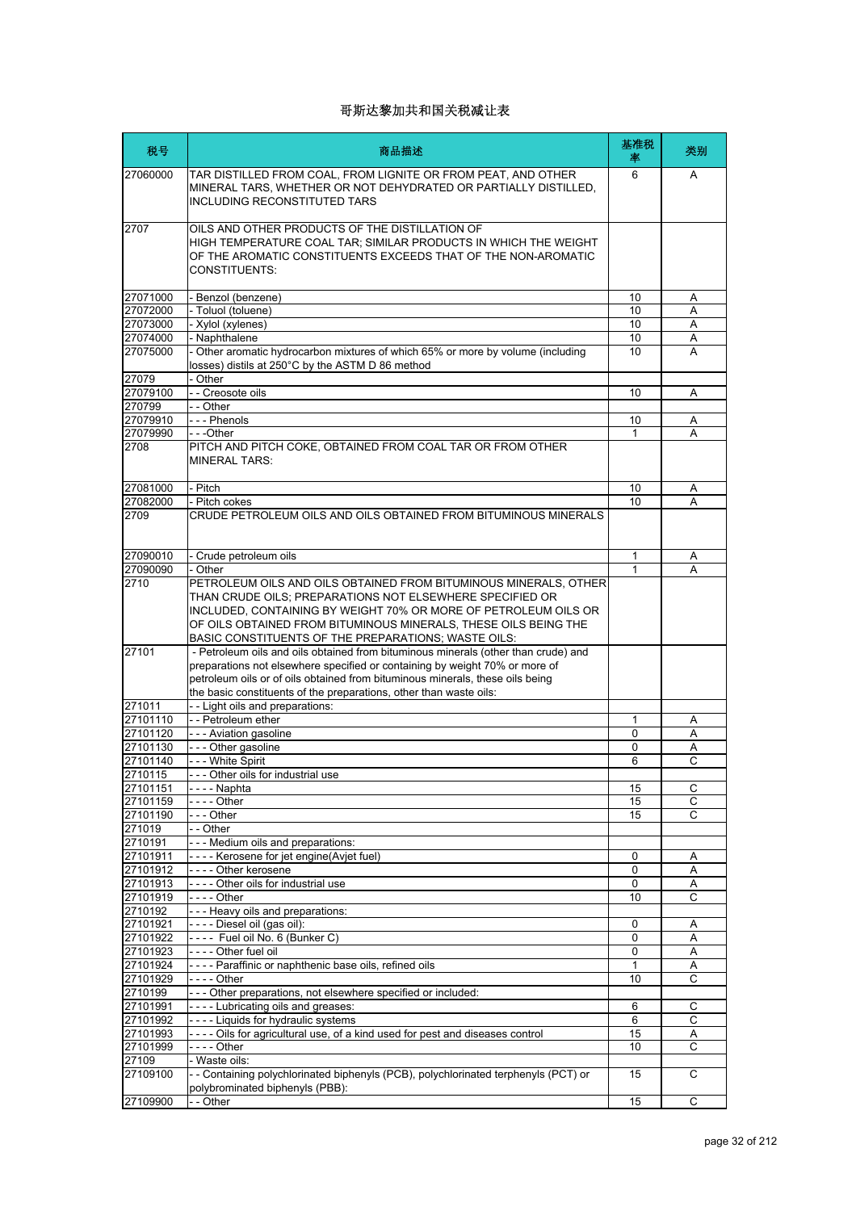| 税号                   | 商品描述                                                                                                                                                                                                                                                                                                                      | 基准税<br>率 | 类别             |
|----------------------|---------------------------------------------------------------------------------------------------------------------------------------------------------------------------------------------------------------------------------------------------------------------------------------------------------------------------|----------|----------------|
| 27060000             | TAR DISTILLED FROM COAL, FROM LIGNITE OR FROM PEAT, AND OTHER<br>MINERAL TARS, WHETHER OR NOT DEHYDRATED OR PARTIALLY DISTILLED,<br><b>INCLUDING RECONSTITUTED TARS</b>                                                                                                                                                   | 6        | A              |
| 2707                 | OILS AND OTHER PRODUCTS OF THE DISTILLATION OF<br>HIGH TEMPERATURE COAL TAR; SIMILAR PRODUCTS IN WHICH THE WEIGHT<br>OF THE AROMATIC CONSTITUENTS EXCEEDS THAT OF THE NON-AROMATIC<br><b>CONSTITUENTS:</b>                                                                                                                |          |                |
| 27071000             | - Benzol (benzene)                                                                                                                                                                                                                                                                                                        | 10       | Α              |
| 27072000             | - Toluol (toluene)                                                                                                                                                                                                                                                                                                        | 10       | Α              |
| 27073000<br>27074000 | - Xylol (xylenes)<br>- Naphthalene                                                                                                                                                                                                                                                                                        | 10<br>10 | A<br>Α         |
| 27075000             | - Other aromatic hydrocarbon mixtures of which 65% or more by volume (including<br>losses) distils at 250°C by the ASTM D 86 method                                                                                                                                                                                       | 10       | A              |
| 27079                | - Other                                                                                                                                                                                                                                                                                                                   |          |                |
| 27079100             | -- Creosote oils                                                                                                                                                                                                                                                                                                          | 10       | Α              |
| 270799               | - - Other                                                                                                                                                                                                                                                                                                                 |          |                |
| 27079910             | --- Phenols                                                                                                                                                                                                                                                                                                               | 10       | Α              |
| 27079990             | - - -Other                                                                                                                                                                                                                                                                                                                | 1        | A              |
| 2708                 | PITCH AND PITCH COKE, OBTAINED FROM COAL TAR OR FROM OTHER<br><b>MINERAL TARS:</b>                                                                                                                                                                                                                                        |          |                |
| 27081000             | - Pitch                                                                                                                                                                                                                                                                                                                   | 10       | Α              |
| 27082000             | - Pitch cokes                                                                                                                                                                                                                                                                                                             | 10       | A              |
| 2709                 | CRUDE PETROLEUM OILS AND OILS OBTAINED FROM BITUMINOUS MINERALS                                                                                                                                                                                                                                                           |          |                |
| 27090010             | - Crude petroleum oils                                                                                                                                                                                                                                                                                                    | 1        | Α              |
| 27090090             | - Other                                                                                                                                                                                                                                                                                                                   | 1        | A              |
| 2710                 | PETROLEUM OILS AND OILS OBTAINED FROM BITUMINOUS MINERALS, OTHER<br>THAN CRUDE OILS; PREPARATIONS NOT ELSEWHERE SPECIFIED OR<br>INCLUDED, CONTAINING BY WEIGHT 70% OR MORE OF PETROLEUM OILS OR<br>OF OILS OBTAINED FROM BITUMINOUS MINERALS, THESE OILS BEING THE<br>BASIC CONSTITUENTS OF THE PREPARATIONS; WASTE OILS: |          |                |
| 27101                | - Petroleum oils and oils obtained from bituminous minerals (other than crude) and<br>preparations not elsewhere specified or containing by weight 70% or more of<br>petroleum oils or of oils obtained from bituminous minerals, these oils being<br>the basic constituents of the preparations, other than waste oils:  |          |                |
| 271011               | -- Light oils and preparations:                                                                                                                                                                                                                                                                                           |          |                |
| 27101110             | - - Petroleum ether                                                                                                                                                                                                                                                                                                       | 1        | Α              |
| 27101120             | - - - Aviation gasoline                                                                                                                                                                                                                                                                                                   | 0        | Α              |
| 27101130             | --- Other gasoline                                                                                                                                                                                                                                                                                                        | 0        | Α              |
| 27101140<br>2710115  | --- White Spirit<br>- Other oils for industrial use                                                                                                                                                                                                                                                                       | 6        | С              |
| 27101151             | - - - - Naphta                                                                                                                                                                                                                                                                                                            | 15       | C              |
| 27101159             |                                                                                                                                                                                                                                                                                                                           | 15       | С              |
| 27101190             | $- -$ - Other                                                                                                                                                                                                                                                                                                             | 15       | С              |
| 271019               | - - Other                                                                                                                                                                                                                                                                                                                 |          |                |
| 2710191              | --- Medium oils and preparations:                                                                                                                                                                                                                                                                                         |          |                |
| 27101911             | ---- Kerosene for jet engine(Avjet fuel)                                                                                                                                                                                                                                                                                  | 0        | Α              |
| 27101912             | ---- Other kerosene                                                                                                                                                                                                                                                                                                       | 0        | Α              |
| 27101913             | ---- Other oils for industrial use                                                                                                                                                                                                                                                                                        | 0        | A<br>C         |
| 27101919<br>2710192  | --- Heavy oils and preparations:                                                                                                                                                                                                                                                                                          | 10       |                |
| 27101921             | ---- Diesel oil (gas oil):                                                                                                                                                                                                                                                                                                | 0        | Α              |
| 27101922             | ---- Fuel oil No. 6 (Bunker C)                                                                                                                                                                                                                                                                                            | 0        | Α              |
| 27101923             | - - - - Other fuel oil                                                                                                                                                                                                                                                                                                    | 0        | Α              |
| 27101924             | - - - - Paraffinic or naphthenic base oils, refined oils                                                                                                                                                                                                                                                                  | 1        | Α              |
| 27101929             |                                                                                                                                                                                                                                                                                                                           | 10       | C              |
| 2710199              | --- Other preparations, not elsewhere specified or included:                                                                                                                                                                                                                                                              |          |                |
| 27101991             | ---- Lubricating oils and greases:                                                                                                                                                                                                                                                                                        | 6        | С              |
| 27101992             | ---- Liquids for hydraulic systems                                                                                                                                                                                                                                                                                        | 6        | C              |
| 27101993<br>27101999 | ---- Oils for agricultural use, of a kind used for pest and diseases control                                                                                                                                                                                                                                              | 15<br>10 | Α<br>С         |
| 27109                | - Waste oils:                                                                                                                                                                                                                                                                                                             |          |                |
| 27109100             | - - Containing polychlorinated biphenyls (PCB), polychlorinated terphenyls (PCT) or<br>polybrominated biphenyls (PBB):                                                                                                                                                                                                    | 15       | C              |
| 27109900             | - - Other                                                                                                                                                                                                                                                                                                                 | 15       | $\overline{c}$ |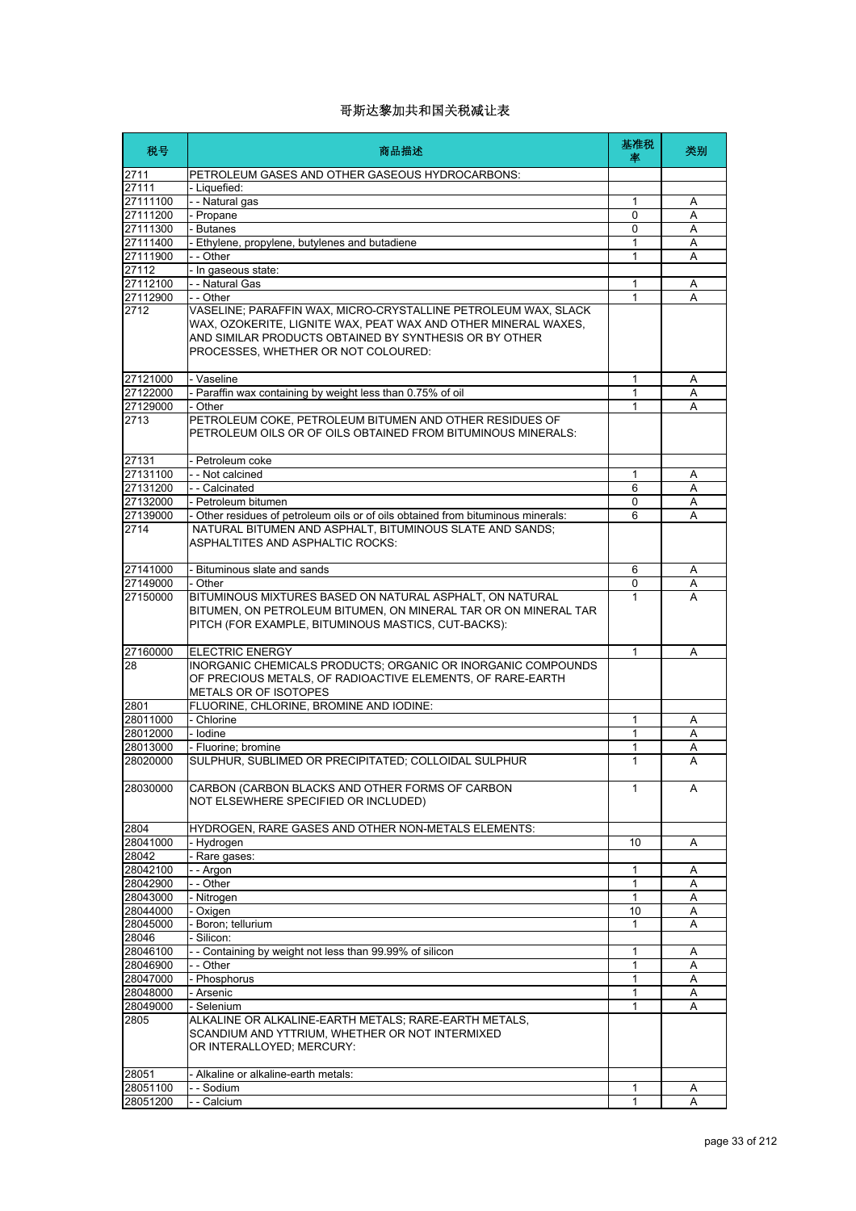| 税号       | 商品描述                                                                                                                                                                                                                              | 基准税<br>坙     | 类别 |
|----------|-----------------------------------------------------------------------------------------------------------------------------------------------------------------------------------------------------------------------------------|--------------|----|
| 2711     | PETROLEUM GASES AND OTHER GASEOUS HYDROCARBONS:                                                                                                                                                                                   |              |    |
| 27111    | - Liquefied:                                                                                                                                                                                                                      |              |    |
| 27111100 | - - Natural gas                                                                                                                                                                                                                   | 1            | Α  |
| 27111200 | - Propane                                                                                                                                                                                                                         | 0            | A  |
| 27111300 | - Butanes                                                                                                                                                                                                                         | $\Omega$     | Α  |
| 27111400 | - Ethylene, propylene, butylenes and butadiene                                                                                                                                                                                    | 1            | A  |
| 27111900 | - - Other                                                                                                                                                                                                                         | 1            | A  |
| 27112    | - In gaseous state:                                                                                                                                                                                                               |              |    |
| 27112100 | - - Natural Gas                                                                                                                                                                                                                   | 1            | Α  |
| 27112900 | - - Other                                                                                                                                                                                                                         | 1            | A  |
| 2712     | VASELINE; PARAFFIN WAX, MICRO-CRYSTALLINE PETROLEUM WAX, SLACK<br>WAX, OZOKERITE, LIGNITE WAX, PEAT WAX AND OTHER MINERAL WAXES,<br>AND SIMILAR PRODUCTS OBTAINED BY SYNTHESIS OR BY OTHER<br>PROCESSES, WHETHER OR NOT COLOURED: |              |    |
| 27121000 | - Vaseline                                                                                                                                                                                                                        | 1            | Α  |
| 27122000 | - Paraffin wax containing by weight less than 0.75% of oil                                                                                                                                                                        | 1            | Α  |
| 27129000 | - Other                                                                                                                                                                                                                           | 1            | Α  |
| 2713     | PETROLEUM COKE, PETROLEUM BITUMEN AND OTHER RESIDUES OF<br>PETROLEUM OILS OR OF OILS OBTAINED FROM BITUMINOUS MINERALS:                                                                                                           |              |    |
| 27131    | - Petroleum coke                                                                                                                                                                                                                  |              |    |
| 27131100 | - - Not calcined                                                                                                                                                                                                                  | 1            | A  |
| 27131200 | - - Calcinated                                                                                                                                                                                                                    | 6            | Α  |
| 27132000 | - Petroleum bitumen                                                                                                                                                                                                               | 0            | Α  |
| 27139000 | - Other residues of petroleum oils or of oils obtained from bituminous minerals:                                                                                                                                                  | 6            | A  |
| 2714     | NATURAL BITUMEN AND ASPHALT, BITUMINOUS SLATE AND SANDS;<br><b>ASPHALTITES AND ASPHALTIC ROCKS:</b>                                                                                                                               |              |    |
| 27141000 | - Bituminous slate and sands                                                                                                                                                                                                      | 6            | Α  |
| 27149000 | - Other                                                                                                                                                                                                                           | 0            | Α  |
| 27150000 | BITUMINOUS MIXTURES BASED ON NATURAL ASPHALT, ON NATURAL<br>BITUMEN, ON PETROLEUM BITUMEN, ON MINERAL TAR OR ON MINERAL TAR<br>PITCH (FOR EXAMPLE, BITUMINOUS MASTICS, CUT-BACKS):                                                | 1            | A  |
| 27160000 | <b>ELECTRIC ENERGY</b>                                                                                                                                                                                                            | 1            | A  |
| 28       | INORGANIC CHEMICALS PRODUCTS; ORGANIC OR INORGANIC COMPOUNDS<br>OF PRECIOUS METALS, OF RADIOACTIVE ELEMENTS, OF RARE-EARTH<br>METALS OR OF ISOTOPES                                                                               |              |    |
| 2801     | FLUORINE, CHLORINE, BROMINE AND IODINE:                                                                                                                                                                                           |              |    |
| 28011000 | - Chlorine                                                                                                                                                                                                                        | 1            | Α  |
| 28012000 | - Iodine                                                                                                                                                                                                                          | 1            | A  |
| 28013000 | - Fluorine; bromine                                                                                                                                                                                                               | 1            | Α  |
| 28020000 | SULPHUR, SUBLIMED OR PRECIPITATED; COLLOIDAL SULPHUR                                                                                                                                                                              | 1            | А  |
| 28030000 | CARBON (CARBON BLACKS AND OTHER FORMS OF CARBON<br>NOT ELSEWHERE SPECIFIED OR INCLUDED)                                                                                                                                           | $\mathbf{1}$ | A  |
| 2804     | HYDROGEN, RARE GASES AND OTHER NON-METALS ELEMENTS:                                                                                                                                                                               |              |    |
| 28041000 | - Hydrogen                                                                                                                                                                                                                        | 10           | Α  |
| 28042    | Rare gases:                                                                                                                                                                                                                       |              |    |
| 28042100 | - - Argon                                                                                                                                                                                                                         | 1            | Α  |
| 28042900 | - - Other                                                                                                                                                                                                                         | 1            | Α  |
| 28043000 | Nitrogen                                                                                                                                                                                                                          | 1            | Α  |
| 28044000 | - Oxigen                                                                                                                                                                                                                          | 10           | Α  |
| 28045000 | Boron; tellurium                                                                                                                                                                                                                  | 1            | Α  |
| 28046    | Silicon:                                                                                                                                                                                                                          |              |    |
| 28046100 | - Containing by weight not less than 99.99% of silicon                                                                                                                                                                            | 1            | Α  |
| 28046900 | - - Other                                                                                                                                                                                                                         | 1            | Α  |
| 28047000 | - Phosphorus                                                                                                                                                                                                                      | 1            | Α  |
| 28048000 | - Arsenic                                                                                                                                                                                                                         | 1            | Α  |
| 28049000 | - Selenium                                                                                                                                                                                                                        | 1            | Α  |
| 2805     | ALKALINE OR ALKALINE-EARTH METALS; RARE-EARTH METALS,<br>SCANDIUM AND YTTRIUM, WHETHER OR NOT INTERMIXED<br>OR INTERALLOYED; MERCURY:                                                                                             |              |    |
| 28051    | - Alkaline or alkaline-earth metals:                                                                                                                                                                                              |              |    |
| 28051100 | - - Sodium                                                                                                                                                                                                                        | 1            | A  |
| 28051200 | - - Calcium                                                                                                                                                                                                                       | $\mathbf{1}$ | A  |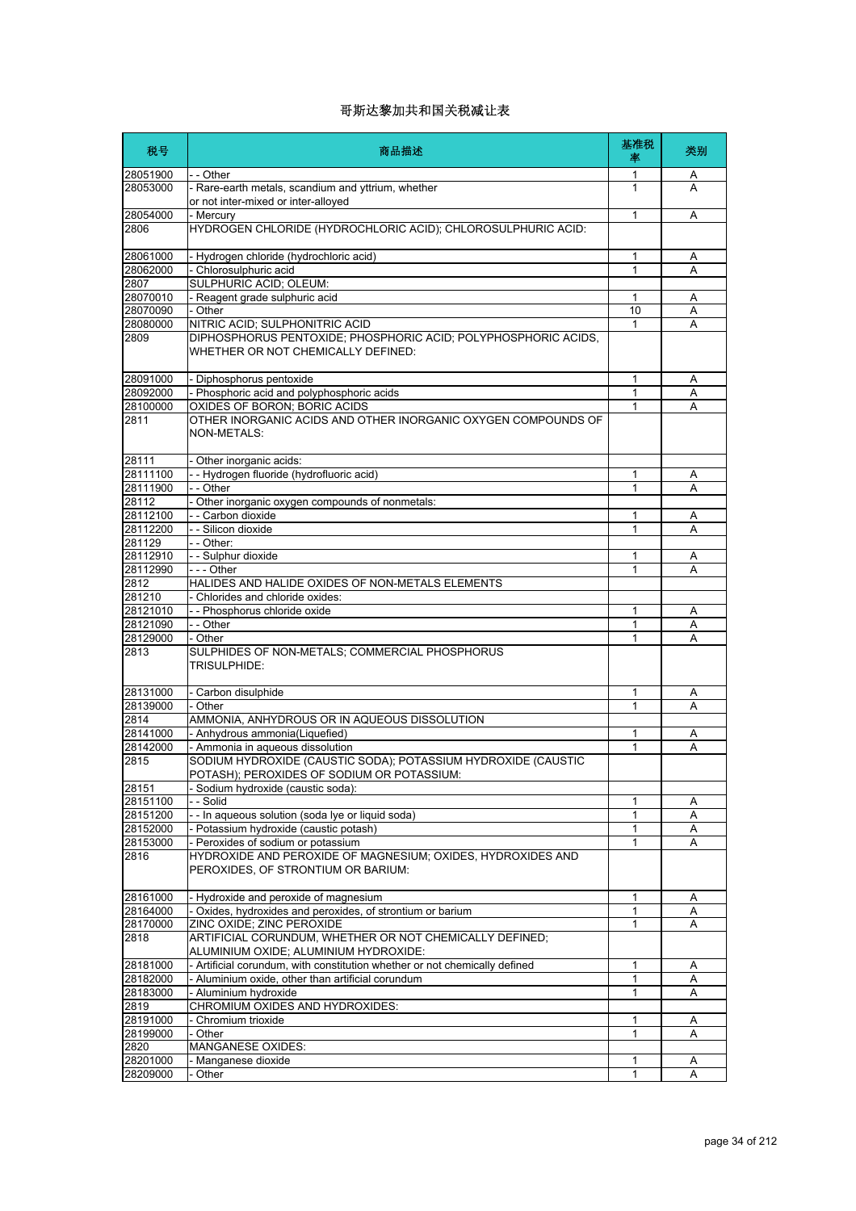| 税号                   | 商品描述                                                                                              | 基准税<br>率     | 类别     |
|----------------------|---------------------------------------------------------------------------------------------------|--------------|--------|
| 28051900             | - - Other                                                                                         | 1            | A      |
| 28053000             | - Rare-earth metals, scandium and yttrium, whether                                                | 1            | A      |
|                      | or not inter-mixed or inter-alloyed                                                               |              |        |
| 28054000             | - Mercury                                                                                         | 1            | Α      |
| 2806                 | HYDROGEN CHLORIDE (HYDROCHLORIC ACID); CHLOROSULPHURIC ACID:                                      |              |        |
| 28061000             | - Hydrogen chloride (hydrochloric acid)                                                           |              |        |
| 28062000             | - Chlorosulphuric acid                                                                            | 1<br>1       | Α<br>Α |
| 2807                 | SULPHURIC ACID; OLEUM:                                                                            |              |        |
| 28070010             | - Reagent grade sulphuric acid                                                                    | 1            | Α      |
| 28070090             | - Other                                                                                           | 10           | A      |
| 28080000             | NITRIC ACID; SULPHONITRIC ACID                                                                    | 1            | Α      |
| 2809                 | DIPHOSPHORUS PENTOXIDE; PHOSPHORIC ACID; POLYPHOSPHORIC ACIDS,                                    |              |        |
|                      | WHETHER OR NOT CHEMICALLY DEFINED:                                                                |              |        |
| 28091000             | - Diphosphorus pentoxide                                                                          | 1            | Α      |
| 28092000             | - Phosphoric acid and polyphosphoric acids                                                        | 1            | Α      |
| 28100000             | OXIDES OF BORON; BORIC ACIDS                                                                      | 1            | Α      |
| 2811                 | OTHER INORGANIC ACIDS AND OTHER INORGANIC OXYGEN COMPOUNDS OF<br><b>NON-METALS:</b>               |              |        |
| 28111                | - Other inorganic acids:                                                                          |              |        |
| 28111100             | - - Hydrogen fluoride (hydrofluoric acid)                                                         | 1            | Α      |
| 28111900             | - - Other                                                                                         | 1            | Α      |
| 28112                | - Other inorganic oxygen compounds of nonmetals:                                                  |              |        |
| 28112100             | - - Carbon dioxide                                                                                | 1            | Α      |
| 28112200             | - - Silicon dioxide                                                                               | 1            | Α      |
| 281129               | - - Other:                                                                                        |              |        |
| 28112910             | - - Sulphur dioxide                                                                               | 1            | Α      |
| 28112990             | - - - Other                                                                                       | 1            | A      |
| 2812                 | HALIDES AND HALIDE OXIDES OF NON-METALS ELEMENTS                                                  |              |        |
| 281210               | Chlorides and chloride oxides:                                                                    |              |        |
| 28121010             | - - Phosphorus chloride oxide                                                                     | 1            | Α      |
| 28121090<br>28129000 | - - Other<br>- Other                                                                              | 1<br>1       | Α<br>Α |
| 2813                 | SULPHIDES OF NON-METALS; COMMERCIAL PHOSPHORUS<br>TRISULPHIDE:                                    |              |        |
| 28131000             | - Carbon disulphide                                                                               | 1            | Α      |
| 28139000             | - Other                                                                                           | 1            | А      |
| 2814                 | AMMONIA, ANHYDROUS OR IN AQUEOUS DISSOLUTION                                                      |              |        |
| 28141000             | - Anhydrous ammonia(Liquefied)                                                                    | 1            | Α      |
| 28142000             | - Ammonia in aqueous dissolution                                                                  | 1            | Α      |
| 2815                 | SODIUM HYDROXIDE (CAUSTIC SODA); POTASSIUM HYDROXIDE (CAUSTIC                                     |              |        |
|                      | POTASH): PEROXIDES OF SODILIM OR POTASSILIM:                                                      |              |        |
| 28151                | Sodium hydroxide (caustic soda):                                                                  |              |        |
| 28151100             | - Solid                                                                                           | 1            | Α      |
| 28151200             | -- In aqueous solution (soda lye or liquid soda)                                                  | 1            | Α      |
| 28152000             | - Potassium hydroxide (caustic potash)                                                            | 1            | Α      |
| 28153000             | - Peroxides of sodium or potassium                                                                | $\mathbf{1}$ | Α      |
| 2816                 | HYDROXIDE AND PEROXIDE OF MAGNESIUM; OXIDES, HYDROXIDES AND<br>PEROXIDES, OF STRONTIUM OR BARIUM: |              |        |
| 28161000             | - Hydroxide and peroxide of magnesium                                                             | 1            | A      |
| 28164000             | - Oxides, hydroxides and peroxides, of strontium or barium                                        | 1            | Α      |
| 28170000             | ZINC OXIDE; ZINC PEROXIDE                                                                         | 1            | A      |
| 2818                 | ARTIFICIAL CORUNDUM, WHETHER OR NOT CHEMICALLY DEFINED;<br>ALUMINIUM OXIDE; ALUMINIUM HYDROXIDE:  |              |        |
| 28181000             | - Artificial corundum, with constitution whether or not chemically defined                        | 1            | Α      |
| 28182000             | - Aluminium oxide, other than artificial corundum                                                 | 1            | Α      |
| 28183000             | - Aluminium hydroxide                                                                             | 1            | A      |
| 2819                 | CHROMIUM OXIDES AND HYDROXIDES:                                                                   |              |        |
| 28191000             | - Chromium trioxide                                                                               | 1            | Α      |
| 28199000             | - Other                                                                                           | 1            | A      |
| 2820                 | <b>MANGANESE OXIDES:</b>                                                                          |              |        |
| 28201000             | - Manganese dioxide                                                                               | 1            | Α      |
| 28209000             | Other                                                                                             | 1            | Α      |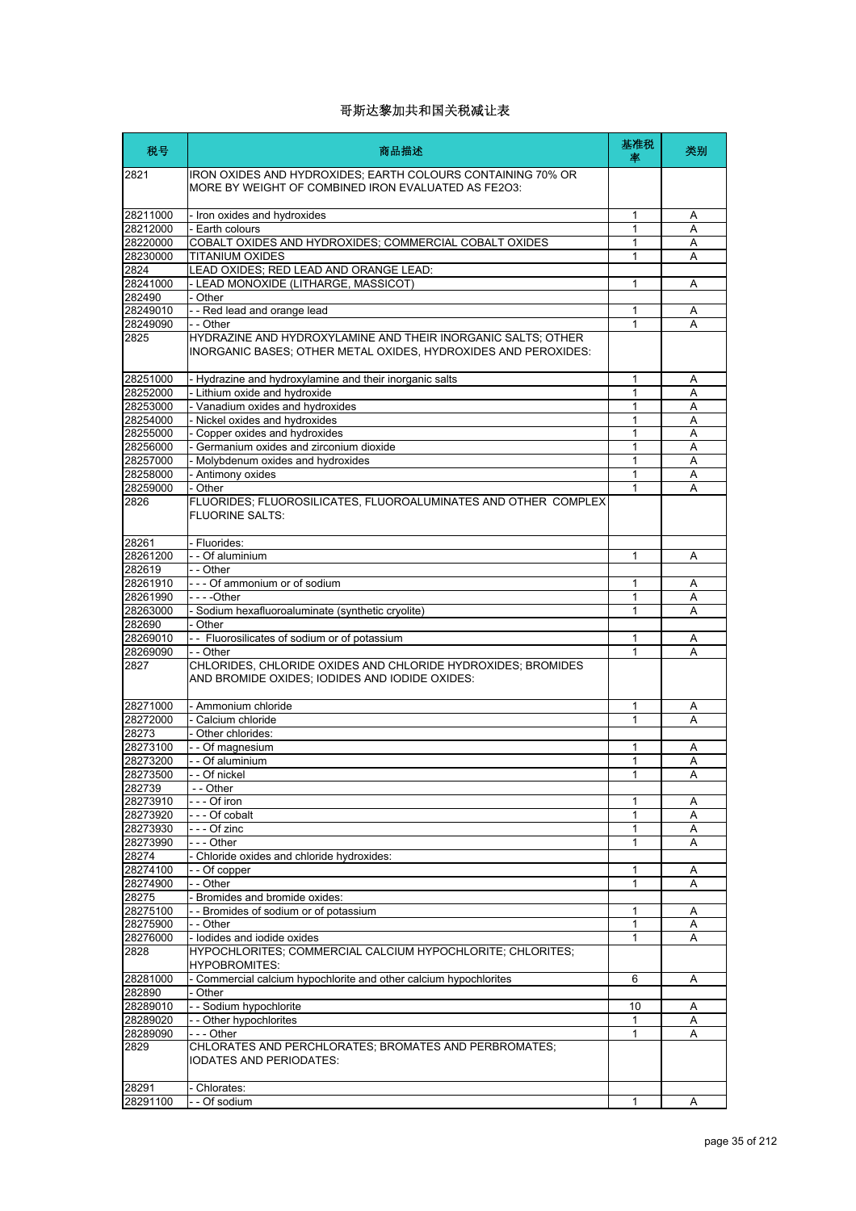| 税号                   | 商品描述                                                                                                                           | 基准税<br>率     | 类别             |
|----------------------|--------------------------------------------------------------------------------------------------------------------------------|--------------|----------------|
| 2821                 | IRON OXIDES AND HYDROXIDES; EARTH COLOURS CONTAINING 70% OR<br>MORE BY WEIGHT OF COMBINED IRON EVALUATED AS FE2O3:             |              |                |
| 28211000             | - Iron oxides and hydroxides                                                                                                   | 1            | Α              |
| 28212000             | - Earth colours                                                                                                                | 1            | Α              |
| 28220000             | COBALT OXIDES AND HYDROXIDES; COMMERCIAL COBALT OXIDES                                                                         | 1            | A              |
| 28230000             | <b>TITANIUM OXIDES</b>                                                                                                         | 1            | A              |
| 2824<br>28241000     | LEAD OXIDES; RED LEAD AND ORANGE LEAD:<br>- LEAD MONOXIDE (LITHARGE, MASSICOT)                                                 | 1            | A              |
| 282490               | - Other                                                                                                                        |              |                |
| 28249010             | - - Red lead and orange lead                                                                                                   | 1            | Α              |
| 28249090             | - - Other                                                                                                                      | 1            | A              |
| 2825                 | HYDRAZINE AND HYDROXYLAMINE AND THEIR INORGANIC SALTS; OTHER<br>INORGANIC BASES; OTHER METAL OXIDES, HYDROXIDES AND PEROXIDES: |              |                |
| 28251000             | - Hydrazine and hydroxylamine and their inorganic salts                                                                        | 1            | Α              |
| 28252000             | - Lithium oxide and hydroxide                                                                                                  | 1            | Α              |
| 28253000             | - Vanadium oxides and hydroxides<br>- Nickel oxides and hydroxides                                                             | 1            | Α              |
| 28254000<br>28255000 | - Copper oxides and hydroxides                                                                                                 | 1<br>1       | A<br>A         |
| 28256000             | - Germanium oxides and zirconium dioxide                                                                                       | 1            | A              |
| 28257000             | - Molybdenum oxides and hydroxides                                                                                             | 1            | A              |
| 28258000             | - Antimony oxides                                                                                                              | 1            | A              |
| 28259000             | - Other                                                                                                                        | 1            | A              |
| 2826                 | FLUORIDES; FLUOROSILICATES, FLUOROALUMINATES AND OTHER COMPLEX<br><b>FLUORINE SALTS:</b>                                       |              |                |
| 28261                | - Fluorides:                                                                                                                   |              |                |
| 28261200             | - - Of aluminium                                                                                                               | 1            | Α              |
| 282619               | - - Other<br>--- Of ammonium or of sodium                                                                                      |              |                |
| 28261910<br>28261990 | $- - -$ Other                                                                                                                  | 1<br>1       | A<br>A         |
| 28263000             | - Sodium hexafluoroaluminate (synthetic cryolite)                                                                              | 1            | A              |
| 282690               | - Other                                                                                                                        |              |                |
| 28269010             | - - Fluorosilicates of sodium or of potassium                                                                                  | 1            | A              |
| 28269090             | $-$ Other                                                                                                                      | 1            | A              |
| 2827                 | CHLORIDES, CHLORIDE OXIDES AND CHLORIDE HYDROXIDES; BROMIDES<br>AND BROMIDE OXIDES; IODIDES AND IODIDE OXIDES:                 |              |                |
| 28271000             | - Ammonium chloride                                                                                                            | 1            | Α              |
| 28272000             | - Calcium chloride                                                                                                             | 1            | A              |
| 28273                | - Other chlorides:                                                                                                             |              |                |
| 28273100             | - - Of magnesium                                                                                                               | 1            | Α              |
| 28273200             | - - Of aluminium                                                                                                               | 1            | A              |
| 28273500             | Of nickel                                                                                                                      | 1            | $\overline{A}$ |
| 282739<br>28273910   | - - Other<br>- - - Of iron                                                                                                     | 1            | Α              |
| 28273920             | --- Of cobalt                                                                                                                  | 1            | Α              |
| 28273930             | --- Of zinc                                                                                                                    | 1            | Α              |
| 28273990             | --- Other                                                                                                                      | 1            | A              |
| 28274                | - Chloride oxides and chloride hydroxides:                                                                                     |              |                |
| 28274100             | - - Of copper                                                                                                                  | 1            | Α              |
| 28274900             | - - Other                                                                                                                      | 1            | Α              |
| 28275                | - Bromides and bromide oxides:                                                                                                 |              |                |
| 28275100             | - - Bromides of sodium or of potassium                                                                                         | 1            | Α              |
| 28275900<br>28276000 | - - Other<br>- lodides and iodide oxides                                                                                       | 1<br>1       | A<br>A         |
| 2828                 | HYPOCHLORITES; COMMERCIAL CALCIUM HYPOCHLORITE; CHLORITES;<br><b>HYPOBROMITES:</b>                                             |              |                |
| 28281000             | - Commercial calcium hypochlorite and other calcium hypochlorites                                                              | 6            | Α              |
| 282890               | - Other                                                                                                                        |              |                |
| 28289010             | - - Sodium hypochlorite                                                                                                        | 10           | Α              |
| 28289020             | -- Other hypochlorites                                                                                                         | 1            | Α              |
| 28289090<br>2829     | --- Other<br>CHLORATES AND PERCHLORATES; BROMATES AND PERBROMATES;<br><b>IODATES AND PERIODATES:</b>                           | 1            | A              |
| 28291                | - Chlorates:                                                                                                                   |              |                |
| 28291100             | - - Of sodium                                                                                                                  | $\mathbf{1}$ | A              |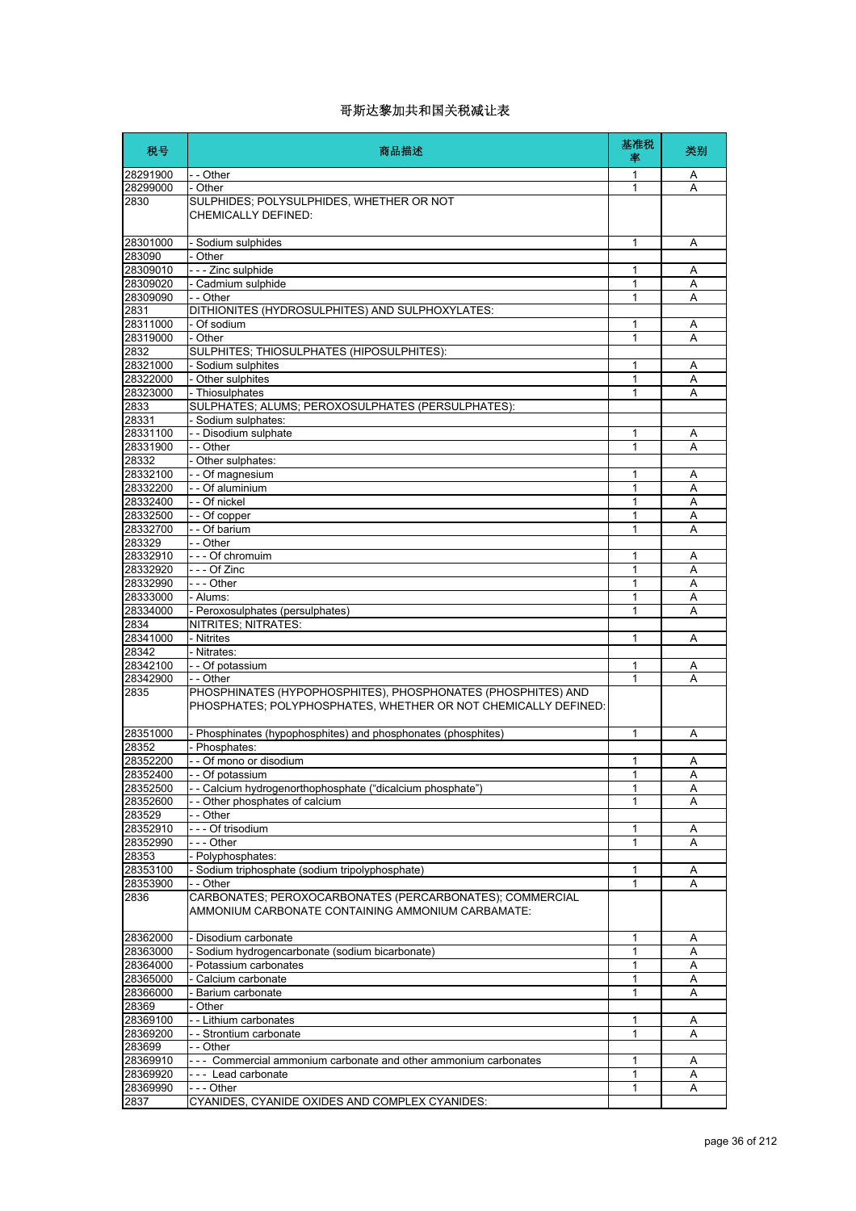| 28291900<br>- - Other<br>1<br>- Other<br>28299000<br>1<br>SULPHIDES; POLYSULPHIDES, WHETHER OR NOT<br>2830<br>CHEMICALLY DEFINED:<br>28301000<br>1<br>- Sodium sulphides<br>283090<br>- Other<br>- - - Zinc sulphide<br>28309010<br>1<br>- Cadmium sulphide<br>$\mathbf{1}$<br>28309020<br>28309090<br>- - Other<br>1<br>2831<br>DITHIONITES (HYDROSULPHITES) AND SULPHOXYLATES: | Α<br>Α |
|----------------------------------------------------------------------------------------------------------------------------------------------------------------------------------------------------------------------------------------------------------------------------------------------------------------------------------------------------------------------------------|--------|
|                                                                                                                                                                                                                                                                                                                                                                                  |        |
|                                                                                                                                                                                                                                                                                                                                                                                  |        |
|                                                                                                                                                                                                                                                                                                                                                                                  |        |
|                                                                                                                                                                                                                                                                                                                                                                                  | Α      |
|                                                                                                                                                                                                                                                                                                                                                                                  |        |
|                                                                                                                                                                                                                                                                                                                                                                                  | Α      |
|                                                                                                                                                                                                                                                                                                                                                                                  | A      |
|                                                                                                                                                                                                                                                                                                                                                                                  | Α      |
| 28311000<br>- Of sodium<br>1                                                                                                                                                                                                                                                                                                                                                     | Α      |
| 28319000<br>- Other<br>1                                                                                                                                                                                                                                                                                                                                                         | A      |
| 2832<br>SULPHITES; THIOSULPHATES (HIPOSULPHITES):                                                                                                                                                                                                                                                                                                                                |        |
| 28321000<br>- Sodium sulphites<br>1                                                                                                                                                                                                                                                                                                                                              | Α      |
| - Other sulphites<br>28322000<br>1                                                                                                                                                                                                                                                                                                                                               | Α      |
| 28323000<br>- Thiosulphates<br>1                                                                                                                                                                                                                                                                                                                                                 | Α      |
| SULPHATES; ALUMS; PEROXOSULPHATES (PERSULPHATES):<br>2833                                                                                                                                                                                                                                                                                                                        |        |
| 28331<br>- Sodium sulphates:                                                                                                                                                                                                                                                                                                                                                     |        |
| 28331100<br>- - Disodium sulphate<br>1                                                                                                                                                                                                                                                                                                                                           | Α      |
| 28331900<br>- - Other<br>$\mathbf{1}$                                                                                                                                                                                                                                                                                                                                            | A      |
| 28332<br>- Other sulphates:                                                                                                                                                                                                                                                                                                                                                      |        |
| 28332100<br>- - Of magnesium<br>1                                                                                                                                                                                                                                                                                                                                                | Α      |
| 28332200<br>- - Of aluminium<br>1                                                                                                                                                                                                                                                                                                                                                | A      |
| - - Of nickel<br>28332400<br>1                                                                                                                                                                                                                                                                                                                                                   | Α      |
| 28332500<br>- - Of copper<br>1                                                                                                                                                                                                                                                                                                                                                   | Α      |
| 28332700<br>- - Of barium<br>1                                                                                                                                                                                                                                                                                                                                                   | Α      |
| - - Other<br>283329                                                                                                                                                                                                                                                                                                                                                              |        |
| 28332910<br>--- Of chromuim<br>1<br>$--$ Of Zinc<br>28332920<br>1                                                                                                                                                                                                                                                                                                                | Α<br>Α |
| 28332990<br>--- Other<br>1                                                                                                                                                                                                                                                                                                                                                       | Α      |
| 28333000<br>- Alums:<br>1                                                                                                                                                                                                                                                                                                                                                        | Α      |
| 28334000<br>- Peroxosulphates (persulphates)<br>1                                                                                                                                                                                                                                                                                                                                | Α      |
| 2834<br>NITRITES; NITRATES:                                                                                                                                                                                                                                                                                                                                                      |        |
| - Nitrites<br>28341000<br>1                                                                                                                                                                                                                                                                                                                                                      | Α      |
| 28342<br>- Nitrates:                                                                                                                                                                                                                                                                                                                                                             |        |
| 28342100<br>- - Of potassium<br>1                                                                                                                                                                                                                                                                                                                                                | Α      |
| 28342900<br>1<br>- - Other                                                                                                                                                                                                                                                                                                                                                       | A      |
| 2835<br>PHOSPHINATES (HYPOPHOSPHITES), PHOSPHONATES (PHOSPHITES) AND<br>PHOSPHATES; POLYPHOSPHATES, WHETHER OR NOT CHEMICALLY DEFINED:                                                                                                                                                                                                                                           |        |
| - Phosphinates (hypophosphites) and phosphonates (phosphites)<br>28351000<br>$\mathbf{1}$                                                                                                                                                                                                                                                                                        | Α      |
| 28352<br>- Phosphates:                                                                                                                                                                                                                                                                                                                                                           |        |
| 28352200<br>- - Of mono or disodium<br>1                                                                                                                                                                                                                                                                                                                                         | Α      |
| 28352400<br>1<br>Of potassium                                                                                                                                                                                                                                                                                                                                                    | A      |
| - - Calcium hydrogenorthophosphate ("dicalcium phosphate")<br>1<br>28352500                                                                                                                                                                                                                                                                                                      | Α      |
| - - Other phosphates of calcium<br>28352600<br>1                                                                                                                                                                                                                                                                                                                                 | A      |
| 283529<br>- - Other                                                                                                                                                                                                                                                                                                                                                              |        |
| 28352910<br>--- Of trisodium<br>1<br>--- Other<br>1                                                                                                                                                                                                                                                                                                                              | Α      |
| 28352990<br>- Polyphosphates:<br>28353                                                                                                                                                                                                                                                                                                                                           | Α      |
| 28353100<br>- Sodium triphosphate (sodium tripolyphosphate)<br>1                                                                                                                                                                                                                                                                                                                 | Α      |
| 28353900<br>- - Other<br>1                                                                                                                                                                                                                                                                                                                                                       | Α      |
| CARBONATES; PEROXOCARBONATES (PERCARBONATES); COMMERCIAL<br>2836<br>AMMONIUM CARBONATE CONTAINING AMMONIUM CARBAMATE:                                                                                                                                                                                                                                                            |        |
| 28362000<br>- Disodium carbonate<br>1                                                                                                                                                                                                                                                                                                                                            | Α      |
| 28363000<br>- Sodium hydrogencarbonate (sodium bicarbonate)<br>1                                                                                                                                                                                                                                                                                                                 | Α      |
| 28364000<br>- Potassium carbonates<br>1                                                                                                                                                                                                                                                                                                                                          | Α      |
| - Calcium carbonate<br>28365000<br>1                                                                                                                                                                                                                                                                                                                                             | Α      |
| 28366000<br>- Barium carbonate<br>1                                                                                                                                                                                                                                                                                                                                              | A      |
| 28369<br>- Other                                                                                                                                                                                                                                                                                                                                                                 |        |
| 28369100<br>- - Lithium carbonates<br>1                                                                                                                                                                                                                                                                                                                                          | Α      |
| 28369200<br>1<br>- - Strontium carbonate                                                                                                                                                                                                                                                                                                                                         | Α      |
| 283699<br>- - Other                                                                                                                                                                                                                                                                                                                                                              |        |
| 28369910<br>--- Commercial ammonium carbonate and other ammonium carbonates<br>1                                                                                                                                                                                                                                                                                                 | Α      |
| 28369920<br>--- Lead carbonate<br>1<br>28369990<br>1                                                                                                                                                                                                                                                                                                                             | Α<br>Α |
| --- Other<br>2837<br>CYANIDES, CYANIDE OXIDES AND COMPLEX CYANIDES:                                                                                                                                                                                                                                                                                                              |        |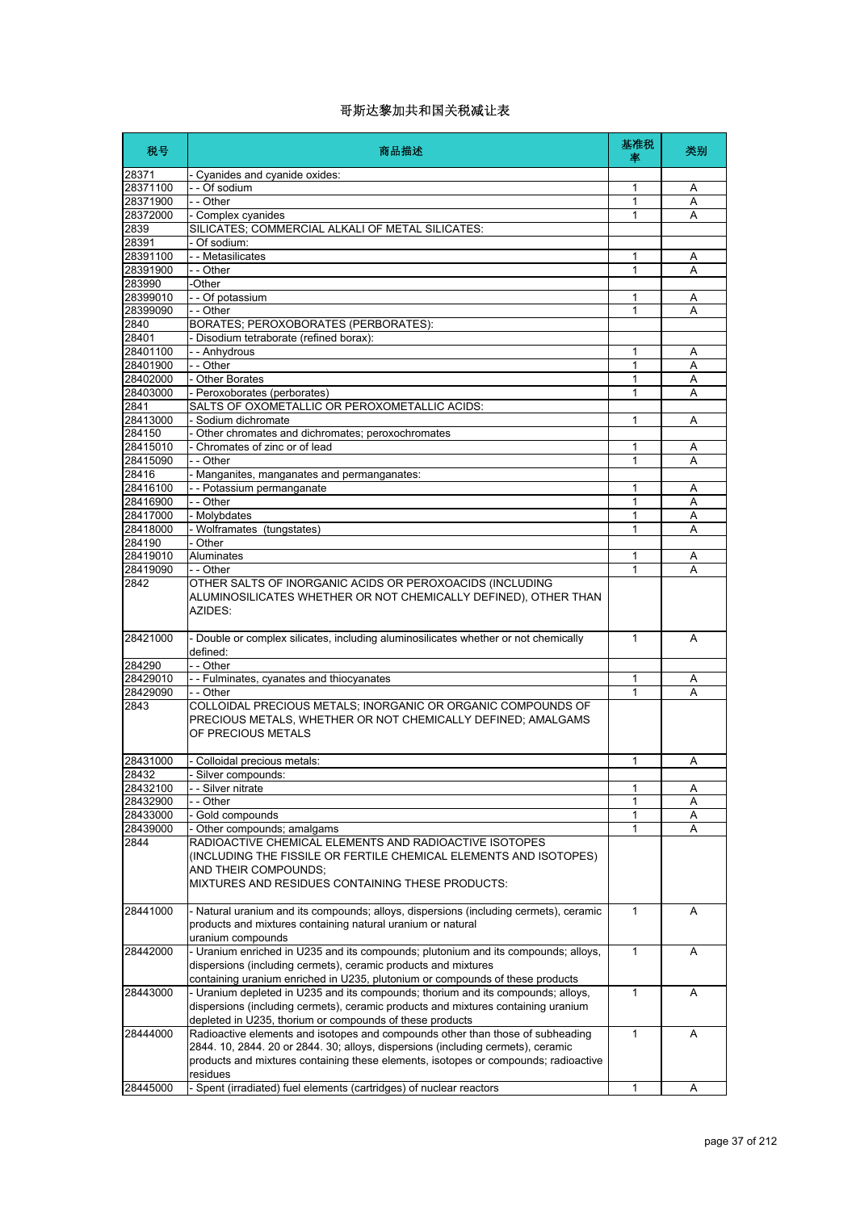| 税号                 | 商品描述                                                                                                                                                                                                                                                                  | 基准税<br>率     | 类别     |
|--------------------|-----------------------------------------------------------------------------------------------------------------------------------------------------------------------------------------------------------------------------------------------------------------------|--------------|--------|
| 28371              | - Cyanides and cyanide oxides:                                                                                                                                                                                                                                        |              |        |
| 28371100           | - - Of sodium                                                                                                                                                                                                                                                         | 1            | Α      |
| 28371900           | - - Other                                                                                                                                                                                                                                                             | 1            | Α      |
| 28372000           | - Complex cyanides                                                                                                                                                                                                                                                    | 1            | A      |
| 2839               | SILICATES; COMMERCIAL ALKALI OF METAL SILICATES:                                                                                                                                                                                                                      |              |        |
| 28391              | - Of sodium:                                                                                                                                                                                                                                                          |              |        |
| 28391100           | - - Metasilicates                                                                                                                                                                                                                                                     | 1            | Α      |
| 28391900<br>283990 | - - Other<br>-Other                                                                                                                                                                                                                                                   | 1            | A      |
| 28399010           | - - Of potassium                                                                                                                                                                                                                                                      | 1            | A      |
| 28399090           | - - Other                                                                                                                                                                                                                                                             | 1            | Α      |
| 2840               | BORATES; PEROXOBORATES (PERBORATES):                                                                                                                                                                                                                                  |              |        |
| 28401              | - Disodium tetraborate (refined borax):                                                                                                                                                                                                                               |              |        |
| 28401100           | - - Anhydrous                                                                                                                                                                                                                                                         | 1            | A      |
| 28401900           | - - Other                                                                                                                                                                                                                                                             | 1            | Α      |
| 28402000           | - Other Borates                                                                                                                                                                                                                                                       | 1            | Α      |
| 28403000           | - Peroxoborates (perborates)                                                                                                                                                                                                                                          | 1            | Α      |
| 2841               | SALTS OF OXOMETALLIC OR PEROXOMETALLIC ACIDS:                                                                                                                                                                                                                         |              |        |
| 28413000           | - Sodium dichromate                                                                                                                                                                                                                                                   | 1            | A      |
| 284150             | - Other chromates and dichromates; peroxochromates                                                                                                                                                                                                                    |              |        |
| 28415010           | - Chromates of zinc or of lead                                                                                                                                                                                                                                        | 1            | Α      |
| 28415090           | - - Other                                                                                                                                                                                                                                                             | 1            | Α      |
| 28416              | - Manganites, manganates and permanganates:                                                                                                                                                                                                                           |              |        |
| 28416100           | - - Potassium permanganate                                                                                                                                                                                                                                            | 1            | Α      |
| 28416900           | - - Other                                                                                                                                                                                                                                                             | 1            | Α      |
| 28417000           | - Molybdates                                                                                                                                                                                                                                                          | 1            | A      |
| 28418000           | - Wolframates (tungstates)                                                                                                                                                                                                                                            | 1            | A      |
| 284190<br>28419010 | - Other                                                                                                                                                                                                                                                               |              |        |
| 28419090           | Aluminates                                                                                                                                                                                                                                                            | 1<br>1       | Α<br>A |
| 2842               | - - Other<br>OTHER SALTS OF INORGANIC ACIDS OR PEROXOACIDS (INCLUDING                                                                                                                                                                                                 |              |        |
|                    | ALUMINOSILICATES WHETHER OR NOT CHEMICALLY DEFINED), OTHER THAN<br>AZIDES:                                                                                                                                                                                            |              |        |
| 28421000           | - Double or complex silicates, including aluminosilicates whether or not chemically<br>defined:                                                                                                                                                                       | $\mathbf{1}$ | A      |
| 284290             | - - Other                                                                                                                                                                                                                                                             |              |        |
| 28429010           | - - Fulminates, cyanates and thiocyanates                                                                                                                                                                                                                             | 1            | A      |
| 28429090<br>2843   | - - Other<br>COLLOIDAL PRECIOUS METALS; INORGANIC OR ORGANIC COMPOUNDS OF<br>PRECIOUS METALS, WHETHER OR NOT CHEMICALLY DEFINED; AMALGAMS                                                                                                                             | 1            | A      |
|                    | OF PRECIOUS METALS                                                                                                                                                                                                                                                    |              |        |
| 28431000           | Colloidal precious metals:                                                                                                                                                                                                                                            | 1            | Α      |
| 28432<br>28432100  | Silver compounds:                                                                                                                                                                                                                                                     |              |        |
| 28432900           | - - Silver nitrate<br>- - Other                                                                                                                                                                                                                                       | 1<br>1       | Α<br>Α |
| 28433000           | Gold compounds                                                                                                                                                                                                                                                        | 1            | Α      |
| 28439000           | - Other compounds; amalgams                                                                                                                                                                                                                                           | 1            | A      |
| 2844               | RADIOACTIVE CHEMICAL ELEMENTS AND RADIOACTIVE ISOTOPES<br>(INCLUDING THE FISSILE OR FERTILE CHEMICAL ELEMENTS AND ISOTOPES)<br>AND THEIR COMPOUNDS;<br>MIXTURES AND RESIDUES CONTAINING THESE PRODUCTS:                                                               |              |        |
| 28441000           | - Natural uranium and its compounds; alloys, dispersions (including cermets), ceramic<br>products and mixtures containing natural uranium or natural<br>uranium compounds                                                                                             | 1            | Α      |
| 28442000           | - Uranium enriched in U235 and its compounds; plutonium and its compounds; alloys,<br>dispersions (including cermets), ceramic products and mixtures<br>containing uranium enriched in U235, plutonium or compounds of these products                                 | 1            | A      |
| 28443000           | - Uranium depleted in U235 and its compounds; thorium and its compounds; alloys,<br>dispersions (including cermets), ceramic products and mixtures containing uranium<br>depleted in U235, thorium or compounds of these products                                     | 1            | A      |
| 28444000           | Radioactive elements and isotopes and compounds other than those of subheading<br>2844. 10, 2844. 20 or 2844. 30; alloys, dispersions (including cermets), ceramic<br>products and mixtures containing these elements, isotopes or compounds; radioactive<br>residues | 1            | Α      |
| 28445000           | - Spent (irradiated) fuel elements (cartridges) of nuclear reactors                                                                                                                                                                                                   | 1            | A      |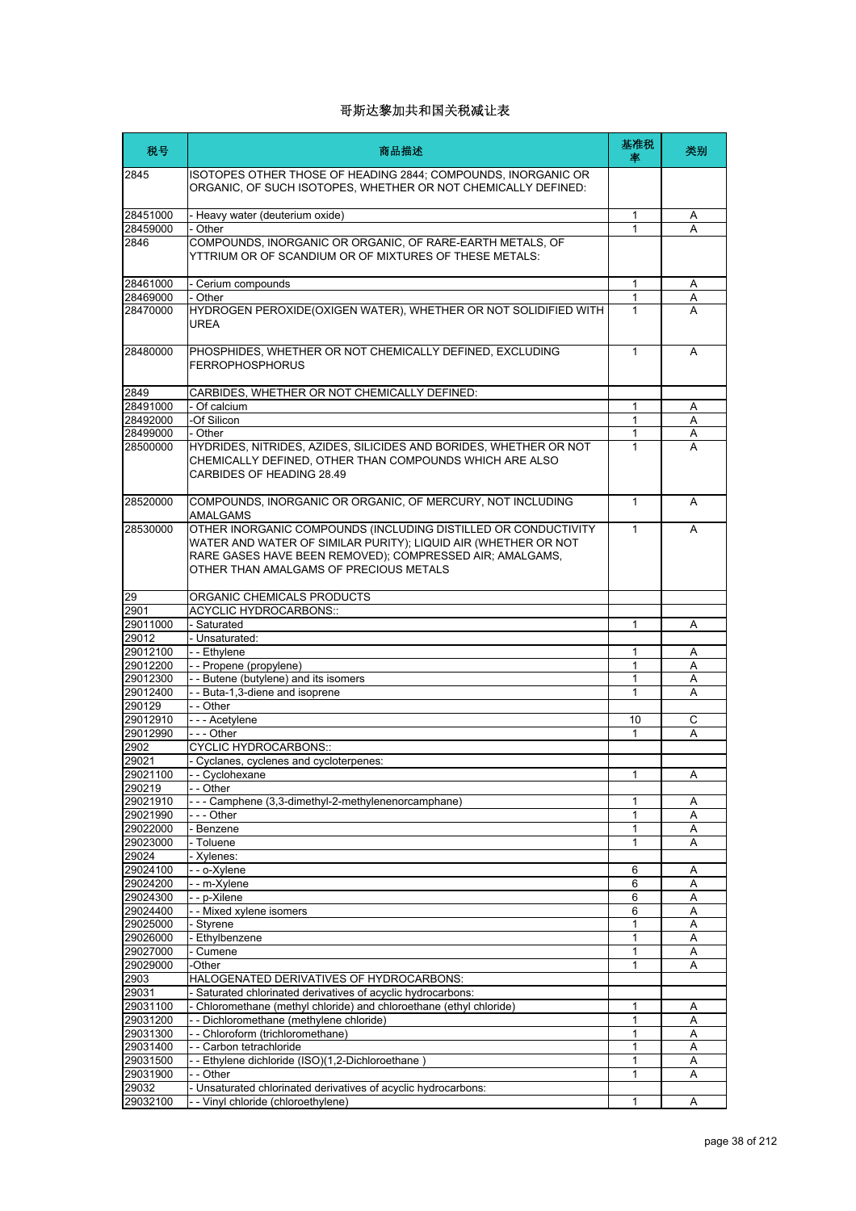| 税号                   | 商品描述                                                                                                                                                                                                                                   | 基准税<br>率         | 类别     |
|----------------------|----------------------------------------------------------------------------------------------------------------------------------------------------------------------------------------------------------------------------------------|------------------|--------|
| 2845                 | ISOTOPES OTHER THOSE OF HEADING 2844; COMPOUNDS, INORGANIC OR<br>ORGANIC, OF SUCH ISOTOPES, WHETHER OR NOT CHEMICALLY DEFINED:                                                                                                         |                  |        |
| 28451000             | - Heavy water (deuterium oxide)                                                                                                                                                                                                        | 1                | Α      |
| 28459000             | - Other                                                                                                                                                                                                                                | 1                | A      |
| 2846                 | COMPOUNDS, INORGANIC OR ORGANIC, OF RARE-EARTH METALS, OF<br>YTTRIUM OR OF SCANDIUM OR OF MIXTURES OF THESE METALS:                                                                                                                    |                  |        |
| 28461000             | - Cerium compounds                                                                                                                                                                                                                     | $\mathbf{1}$     | Α      |
| 28469000             | - Other                                                                                                                                                                                                                                | 1                | Α      |
| 28470000             | HYDROGEN PEROXIDE(OXIGEN WATER), WHETHER OR NOT SOLIDIFIED WITH<br>UREA                                                                                                                                                                | 1                | A      |
| 28480000             | PHOSPHIDES, WHETHER OR NOT CHEMICALLY DEFINED, EXCLUDING<br><b>FERROPHOSPHORUS</b>                                                                                                                                                     | $\mathbf{1}$     | A      |
| 2849                 | CARBIDES, WHETHER OR NOT CHEMICALLY DEFINED:                                                                                                                                                                                           |                  |        |
| 28491000             | - Of calcium                                                                                                                                                                                                                           | 1                | Α      |
| 28492000             | -Of Silicon                                                                                                                                                                                                                            | 1                | Α      |
| 28499000             | - Other                                                                                                                                                                                                                                | 1                | A      |
| 28500000             | HYDRIDES, NITRIDES, AZIDES, SILICIDES AND BORIDES, WHETHER OR NOT<br>CHEMICALLY DEFINED, OTHER THAN COMPOUNDS WHICH ARE ALSO<br>CARBIDES OF HEADING 28.49                                                                              | $\mathbf{1}$     | A      |
| 28520000             | COMPOUNDS, INORGANIC OR ORGANIC, OF MERCURY, NOT INCLUDING<br><b>AMALGAMS</b>                                                                                                                                                          | $\mathbf{1}$     | A      |
| 28530000             | OTHER INORGANIC COMPOUNDS (INCLUDING DISTILLED OR CONDUCTIVITY<br>WATER AND WATER OF SIMILAR PURITY); LIQUID AIR (WHETHER OR NOT<br>RARE GASES HAVE BEEN REMOVED); COMPRESSED AIR; AMALGAMS,<br>OTHER THAN AMALGAMS OF PRECIOUS METALS | 1                | A      |
| 29                   | ORGANIC CHEMICALS PRODUCTS                                                                                                                                                                                                             |                  |        |
| 2901                 | <b>ACYCLIC HYDROCARBONS::</b>                                                                                                                                                                                                          |                  |        |
| 29011000             | - Saturated                                                                                                                                                                                                                            | 1                | A      |
| 29012                | - Unsaturated:<br>- - Ethylene                                                                                                                                                                                                         |                  |        |
| 29012100<br>29012200 | -- Propene (propylene)                                                                                                                                                                                                                 | 1<br>$\mathbf 1$ | Α<br>A |
| 29012300             | - - Butene (butylene) and its isomers                                                                                                                                                                                                  | 1                | Α      |
| 29012400             | - - Buta-1,3-diene and isoprene                                                                                                                                                                                                        | 1                | A      |
| 290129               | - - Other                                                                                                                                                                                                                              |                  |        |
| 29012910             | - - - Acetylene                                                                                                                                                                                                                        | 10               | C      |
| 29012990             | $- -$ Other                                                                                                                                                                                                                            | 1                | A      |
| 2902                 | <b>CYCLIC HYDROCARBONS::</b>                                                                                                                                                                                                           |                  |        |
| 29021<br>29021100    | - Cyclanes, cyclenes and cycloterpenes:                                                                                                                                                                                                | 1                |        |
| 290219               | Cyclohexane<br>- - Other                                                                                                                                                                                                               |                  | А      |
| 29021910             | --- Camphene (3,3-dimethyl-2-methylenenorcamphane)                                                                                                                                                                                     | 1                | Α      |
| 29021990             | - - - Other                                                                                                                                                                                                                            | 1                | Α      |
| 29022000             | Benzene                                                                                                                                                                                                                                | 1                | Α      |
| 29023000             | - Toluene                                                                                                                                                                                                                              | 1                | Α      |
| 29024                | Xylenes:                                                                                                                                                                                                                               |                  |        |
| 29024100             | - - o-Xylene                                                                                                                                                                                                                           | 6                | Α      |
| 29024200<br>29024300 | - - m-Xylene<br>- - p-Xilene                                                                                                                                                                                                           | 6<br>6           | Α<br>Α |
| 29024400             | - - Mixed xylene isomers                                                                                                                                                                                                               | 6                | Α      |
| 29025000             | - Styrene                                                                                                                                                                                                                              | 1                | Α      |
| 29026000             | - Ethylbenzene                                                                                                                                                                                                                         | 1                | A      |
| 29027000             | Cumene                                                                                                                                                                                                                                 | 1                | Α      |
| 29029000             | -Other                                                                                                                                                                                                                                 | 1                | A      |
| 2903                 | HALOGENATED DERIVATIVES OF HYDROCARBONS:                                                                                                                                                                                               |                  |        |
| 29031                | Saturated chlorinated derivatives of acyclic hydrocarbons:                                                                                                                                                                             |                  |        |
| 29031100<br>29031200 | Chloromethane (methyl chloride) and chloroethane (ethyl chloride)<br>-- Dichloromethane (methylene chloride)                                                                                                                           | 1<br>1           | Α<br>Α |
| 29031300             | -- Chloroform (trichloromethane)                                                                                                                                                                                                       | 1                | A      |
| 29031400             | -- Carbon tetrachloride                                                                                                                                                                                                                | 1                | Α      |
| 29031500             | - Ethylene dichloride (ISO)(1,2-Dichloroethane                                                                                                                                                                                         | 1                | Α      |
| 29031900             | - - Other                                                                                                                                                                                                                              | 1                | Α      |
| 29032                | - Unsaturated chlorinated derivatives of acyclic hydrocarbons:                                                                                                                                                                         |                  |        |
| 29032100             | - - Vinyl chloride (chloroethylene)                                                                                                                                                                                                    | 1                | A      |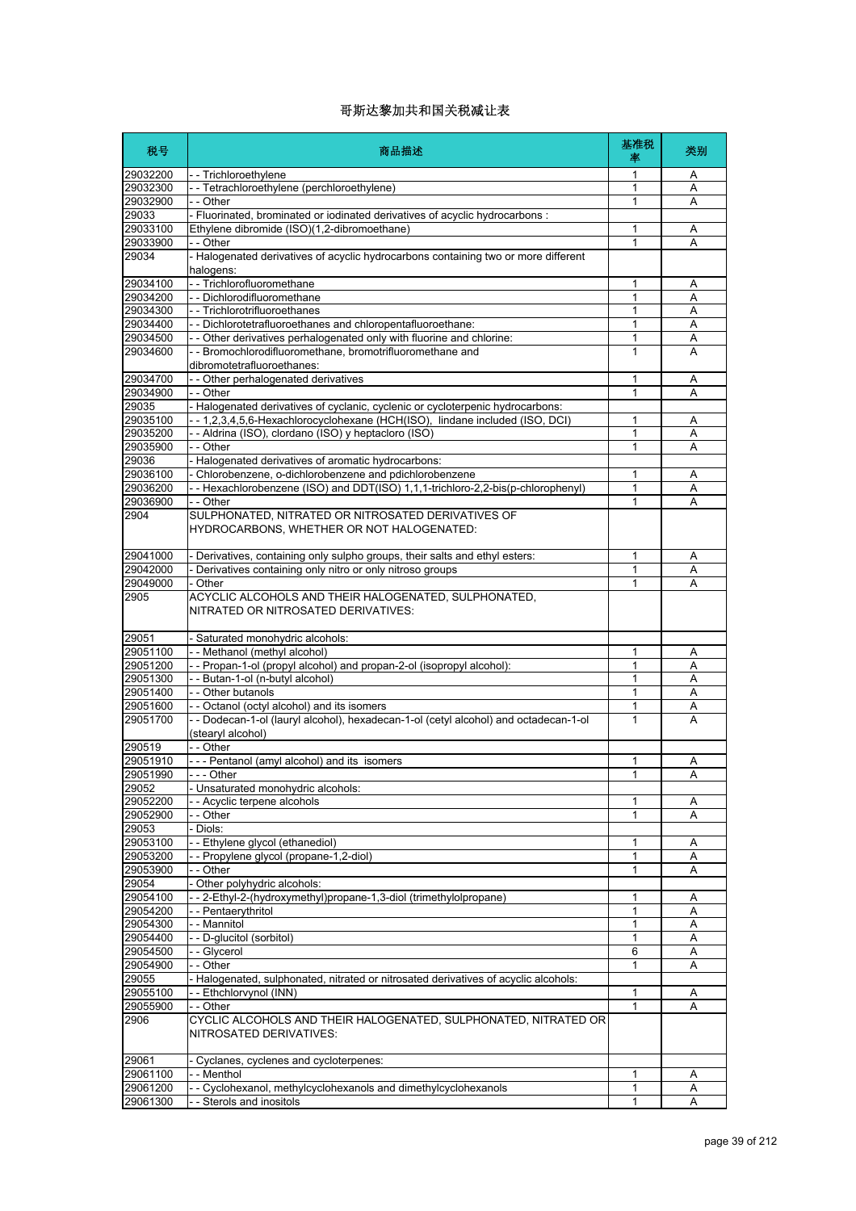| 税号                   | 商品描述                                                                                                     | 基准税<br>率     | 类别     |
|----------------------|----------------------------------------------------------------------------------------------------------|--------------|--------|
| 29032200             | - - Trichloroethylene                                                                                    | 1            | A      |
| 29032300             | - - Tetrachloroethylene (perchloroethylene)                                                              | 1            | A      |
| 29032900             | - - Other                                                                                                | 1            | Α      |
| 29033                | - Fluorinated, brominated or iodinated derivatives of acyclic hydrocarbons :                             |              |        |
| 29033100<br>29033900 | Ethylene dibromide (ISO)(1,2-dibromoethane)<br>- - Other                                                 | 1<br>1       | Α<br>Α |
| 29034                | - Halogenated derivatives of acyclic hydrocarbons containing two or more different                       |              |        |
|                      | halogens:                                                                                                |              |        |
| 29034100             | - - Trichlorofluoromethane                                                                               | 1            | Α      |
| 29034200             | -- Dichlorodifluoromethane                                                                               | 1            | Α      |
| 29034300<br>29034400 | - - Trichlorotrifluoroethanes<br>- - Dichlorotetrafluoroethanes and chloropentafluoroethane:             | 1<br>1       | Α<br>Α |
| 29034500             | - - Other derivatives perhalogenated only with fluorine and chlorine:                                    | 1            | Α      |
| 29034600             | - - Bromochlorodifluoromethane, bromotrifluoromethane and                                                | $\mathbf{1}$ | A      |
|                      | dibromotetrafluoroethanes:                                                                               |              |        |
| 29034700             | - - Other perhalogenated derivatives                                                                     | 1            | Α      |
| 29034900<br>29035    | - - Other<br>- Halogenated derivatives of cyclanic, cyclenic or cycloterpenic hydrocarbons:              | 1            | Α      |
| 29035100             | -- 1,2,3,4,5,6-Hexachlorocyclohexane (HCH(ISO), lindane included (ISO, DCI)                              | 1            | Α      |
| 29035200             | - - Aldrina (ISO), clordano (ISO) y heptacloro (ISO)                                                     | 1            | Α      |
| 29035900             | - - Other                                                                                                | 1            | A      |
| 29036                | - Halogenated derivatives of aromatic hydrocarbons:                                                      |              |        |
| 29036100             | - Chlorobenzene, o-dichlorobenzene and pdichlorobenzene                                                  | 1            | Α      |
| 29036200             | -- Hexachlorobenzene (ISO) and DDT(ISO) 1,1,1-trichloro-2,2-bis(p-chlorophenyl)                          | 1            | Α      |
| 29036900             | - - Other                                                                                                | 1            | Α      |
| 2904                 | SULPHONATED, NITRATED OR NITROSATED DERIVATIVES OF<br>HYDROCARBONS, WHETHER OR NOT HALOGENATED:          |              |        |
| 29041000             | - Derivatives, containing only sulpho groups, their salts and ethyl esters:                              | 1            | A      |
| 29042000             | - Derivatives containing only nitro or only nitroso groups                                               | 1            | A      |
| 29049000             | - Other                                                                                                  | 1            | A      |
| 2905                 | ACYCLIC ALCOHOLS AND THEIR HALOGENATED, SULPHONATED,<br>NITRATED OR NITROSATED DERIVATIVES:              |              |        |
| 29051                | - Saturated monohydric alcohols:                                                                         |              |        |
| 29051100             | - - Methanol (methyl alcohol)                                                                            | 1            | Α      |
| 29051200<br>29051300 | -- Propan-1-ol (propyl alcohol) and propan-2-ol (isopropyl alcohol):                                     | 1<br>1       | A      |
| 29051400             | -- Butan-1-ol (n-butyl alcohol)<br>- - Other butanols                                                    | 1            | Α<br>Α |
| 29051600             | - - Octanol (octyl alcohol) and its isomers                                                              | 1            | Α      |
| 29051700             | -- Dodecan-1-ol (lauryl alcohol), hexadecan-1-ol (cetyl alcohol) and octadecan-1-ol<br>(stearyl alcohol) | 1            | A      |
| 290519               | - - Other                                                                                                |              |        |
| 29051910             | --- Pentanol (amyl alcohol) and its isomers                                                              | 1            | Α      |
| 29051990             | $- -$ Other                                                                                              | 1            | A      |
| 29052<br>29052200    | Unsaturated monohydric alcohols:<br>- Acyclic terpene alcohols                                           | 1            | Α      |
| 29052900             | $-$ - Other                                                                                              | 1            | Α      |
| 29053                | - Diols:                                                                                                 |              |        |
| 29053100             | -- Ethylene glycol (ethanediol)                                                                          | 1            | Α      |
| 29053200             | -- Propylene glycol (propane-1,2-diol)                                                                   | 1            | Α      |
| 29053900             | - - Other                                                                                                | 1            | Α      |
| 29054                | Other polyhydric alcohols:                                                                               |              |        |
| 29054100             | - - 2-Ethyl-2-(hydroxymethyl)propane-1,3-diol (trimethylolpropane)                                       | 1            | Α      |
| 29054200<br>29054300 | -- Pentaerythritol<br>- - Mannitol                                                                       | 1<br>1       | Α<br>Α |
| 29054400             | - - D-glucitol (sorbitol)                                                                                | 1            | Α      |
| 29054500             | - - Glycerol                                                                                             | 6            | Α      |
| 29054900             | - - Other                                                                                                | 1            | A      |
| 29055                | - Halogenated, sulphonated, nitrated or nitrosated derivatives of acyclic alcohols:                      |              |        |
| 29055100             | -- Ethchlorvynol (INN)                                                                                   | 1            | Α      |
| 29055900             | - - Other                                                                                                | 1            | Α      |
| 2906                 | CYCLIC ALCOHOLS AND THEIR HALOGENATED, SULPHONATED, NITRATED OR<br>NITROSATED DERIVATIVES:               |              |        |
| 29061                | - Cyclanes, cyclenes and cycloterpenes:                                                                  |              |        |
| 29061100             | - - Menthol                                                                                              | 1            | Α      |
| 29061200             | - - Cyclohexanol, methylcyclohexanols and dimethylcyclohexanols                                          | 1<br>1       | Α      |
| 29061300             | - - Sterols and inositols                                                                                |              | A      |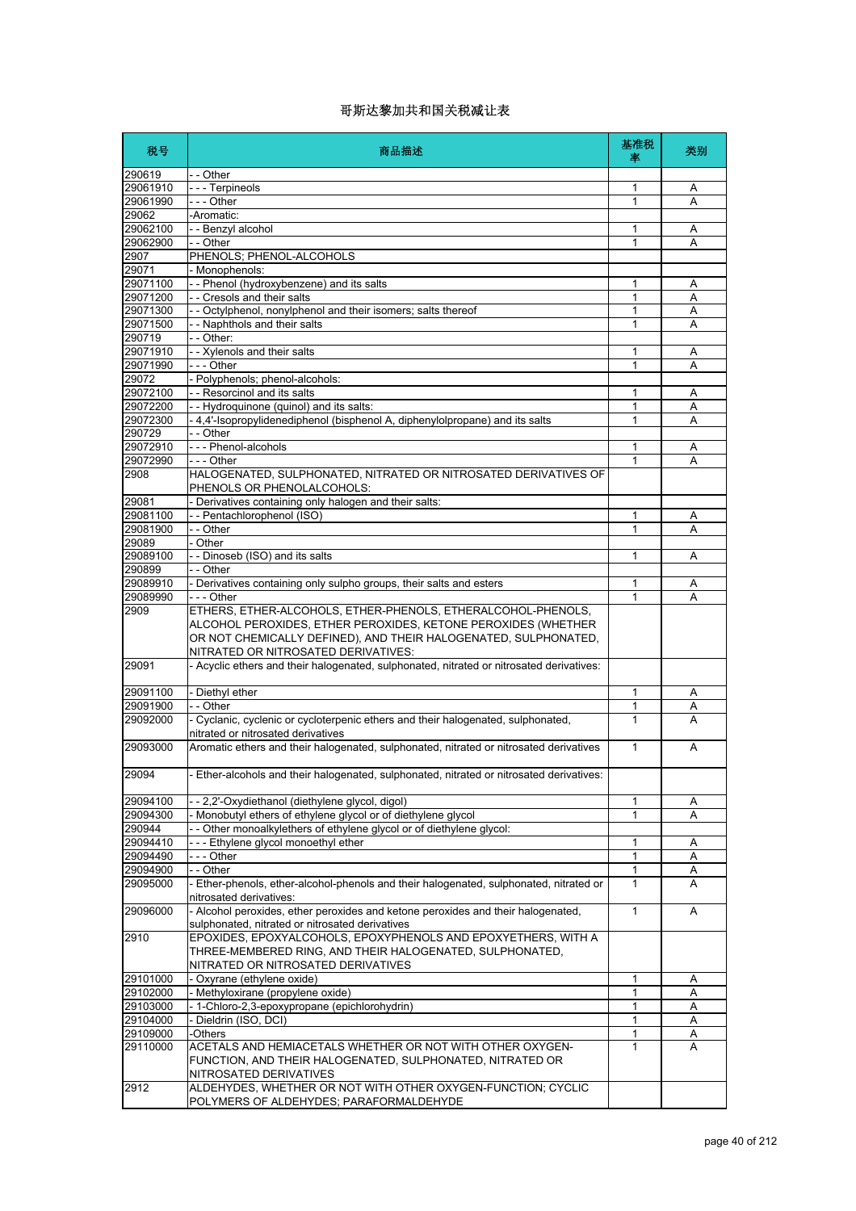| 税号                | 商品描述                                                                                                                                                                                             | 基准税<br>率     | 类别 |
|-------------------|--------------------------------------------------------------------------------------------------------------------------------------------------------------------------------------------------|--------------|----|
| 290619            | - - Other                                                                                                                                                                                        |              |    |
| 29061910          | --- Terpineols                                                                                                                                                                                   | 1            | Α  |
| 29061990          | $- -$ Other                                                                                                                                                                                      | 1            | Α  |
| 29062<br>29062100 | -Aromatic:<br>- - Benzyl alcohol                                                                                                                                                                 | 1            | Α  |
| 29062900          | - - Other                                                                                                                                                                                        | 1            | A  |
| 2907              | PHENOLS; PHENOL-ALCOHOLS                                                                                                                                                                         |              |    |
| 29071             | - Monophenols:                                                                                                                                                                                   |              |    |
| 29071100          | - - Phenol (hydroxybenzene) and its salts                                                                                                                                                        | 1            | Α  |
| 29071200          | - - Cresols and their salts                                                                                                                                                                      | 1            | A  |
| 29071300          | - Octylphenol, nonylphenol and their isomers; salts thereof                                                                                                                                      | 1            | Α  |
| 29071500          | - - Naphthols and their salts                                                                                                                                                                    | 1            | A  |
| 290719            | - - Other:                                                                                                                                                                                       |              |    |
| 29071910          | - - Xylenols and their salts                                                                                                                                                                     | 1            | A  |
| 29071990<br>29072 | --- Other<br>- Polyphenols; phenol-alcohols:                                                                                                                                                     | 1            | A  |
| 29072100          | - - Resorcinol and its salts                                                                                                                                                                     | 1            | Α  |
| 29072200          | - - Hydroquinone (quinol) and its salts:                                                                                                                                                         | 1            | Α  |
| 29072300          | - 4,4'-Isopropylidenediphenol (bisphenol A, diphenylolpropane) and its salts                                                                                                                     | $\mathbf{1}$ | Α  |
| 290729            | - - Other                                                                                                                                                                                        |              |    |
| 29072910          | - - - Phenol-alcohols                                                                                                                                                                            | 1            | Α  |
| 29072990          | --- Other                                                                                                                                                                                        | 1            | Α  |
| 2908              | HALOGENATED, SULPHONATED, NITRATED OR NITROSATED DERIVATIVES OF                                                                                                                                  |              |    |
|                   | PHENOLS OR PHENOLALCOHOLS:                                                                                                                                                                       |              |    |
| 29081             | Derivatives containing only halogen and their salts:                                                                                                                                             |              |    |
| 29081100          | -- Pentachlorophenol (ISO)                                                                                                                                                                       | 1            | Α  |
| 29081900<br>29089 | - - Other<br>- Other                                                                                                                                                                             | 1            | A  |
| 29089100          | - - Dinoseb (ISO) and its salts                                                                                                                                                                  | 1            | Α  |
| 290899            | - - Other                                                                                                                                                                                        |              |    |
| 29089910          | - Derivatives containing only sulpho groups, their salts and esters                                                                                                                              | $\mathbf{1}$ | Α  |
| 29089990          | - - - Other                                                                                                                                                                                      | 1            | А  |
| 2909              | ETHERS, ETHER-ALCOHOLS, ETHER-PHENOLS, ETHERALCOHOL-PHENOLS,<br>ALCOHOL PEROXIDES, ETHER PEROXIDES, KETONE PEROXIDES (WHETHER<br>OR NOT CHEMICALLY DEFINED), AND THEIR HALOGENATED, SULPHONATED, |              |    |
| 29091             | NITRATED OR NITROSATED DERIVATIVES:<br>- Acyclic ethers and their halogenated, sulphonated, nitrated or nitrosated derivatives:                                                                  |              |    |
| 29091100          | - Diethyl ether                                                                                                                                                                                  | 1            | A  |
| 29091900          | - - Other                                                                                                                                                                                        | 1            | Α  |
| 29092000          | - Cyclanic, cyclenic or cycloterpenic ethers and their halogenated, sulphonated,<br>nitrated or nitrosated derivatives                                                                           | $\mathbf{1}$ | A  |
| 29093000          | Aromatic ethers and their halogenated, sulphonated, nitrated or nitrosated derivatives                                                                                                           | $\mathbf{1}$ | A  |
| 29094             | - Ether-alcohols and their halogenated, sulphonated, nitrated or nitrosated derivatives:                                                                                                         |              |    |
| 29094100          | - - 2,2'-Oxydiethanol (diethylene glycol, digol)                                                                                                                                                 | 1            | Α  |
| 29094300          | Monobutyl ethers of ethylene glycol or of diethylene glycol                                                                                                                                      | 1            | Α  |
| 290944            | - Other monoalkylethers of ethylene glycol or of diethylene glycol:                                                                                                                              |              |    |
| 29094410          | --- Ethylene glycol monoethyl ether                                                                                                                                                              | 1            | Α  |
| 29094490          | $- -$ Other                                                                                                                                                                                      | 1            | Α  |
| 29094900          | - - Other                                                                                                                                                                                        | 1            | Α  |
| 29095000          | - Ether-phenols, ether-alcohol-phenols and their halogenated, sulphonated, nitrated or<br>nitrosated derivatives:                                                                                | $\mathbf{1}$ | A  |
| 29096000          | - Alcohol peroxides, ether peroxides and ketone peroxides and their halogenated,<br>sulphonated, nitrated or nitrosated derivatives                                                              | $\mathbf{1}$ | A  |
| 2910              | EPOXIDES, EPOXYALCOHOLS, EPOXYPHENOLS AND EPOXYETHERS, WITH A<br>THREE-MEMBERED RING, AND THEIR HALOGENATED, SULPHONATED,<br>NITRATED OR NITROSATED DERIVATIVES                                  |              |    |
| 29101000          | - Oxyrane (ethylene oxide)                                                                                                                                                                       | 1            | Α  |
| 29102000          | - Methyloxirane (propylene oxide)                                                                                                                                                                | 1            | Α  |
| 29103000          | - 1-Chloro-2,3-epoxypropane (epichlorohydrin)                                                                                                                                                    | 1            | Α  |
| 29104000          | - Dieldrin (ISO, DCI)                                                                                                                                                                            | 1            | Α  |
| 29109000          | -Others                                                                                                                                                                                          | $\mathbf{1}$ | Α  |
| 29110000          | ACETALS AND HEMIACETALS WHETHER OR NOT WITH OTHER OXYGEN-<br>FUNCTION, AND THEIR HALOGENATED, SULPHONATED, NITRATED OR<br>NITROSATED DERIVATIVES                                                 | 1            | A  |
| 2912              | ALDEHYDES, WHETHER OR NOT WITH OTHER OXYGEN-FUNCTION; CYCLIC<br>POLYMERS OF ALDEHYDES; PARAFORMALDEHYDE                                                                                          |              |    |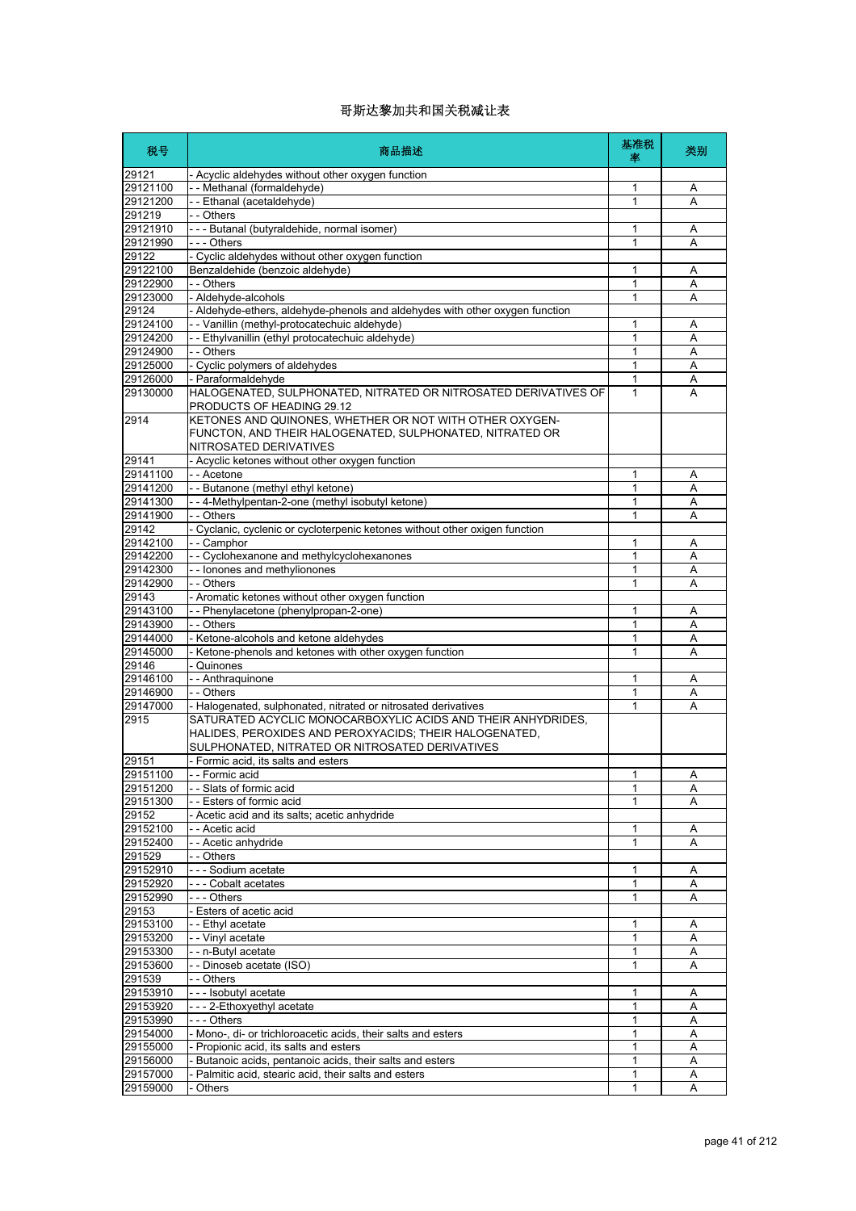| 税号                   | 商品描述                                                                                                                           | 基准税<br>率     | 类别     |
|----------------------|--------------------------------------------------------------------------------------------------------------------------------|--------------|--------|
| 29121                | - Acyclic aldehydes without other oxygen function                                                                              |              |        |
| 29121100             | - - Methanal (formaldehyde)                                                                                                    | 1            | Α      |
| 29121200             | -- Ethanal (acetaldehyde)                                                                                                      | 1            | Α      |
| 291219               | - - Others                                                                                                                     |              |        |
| 29121910             | - - - Butanal (butyraldehide, normal isomer)                                                                                   | 1            | Α      |
| 29121990             | - - - Others                                                                                                                   | 1            | A      |
| 29122<br>29122100    | - Cyclic aldehydes without other oxygen function<br>Benzaldehide (benzoic aldehyde)                                            | 1            |        |
| 29122900             | - - Others                                                                                                                     | 1            | Α<br>Α |
| 29123000             | - Aldehyde-alcohols                                                                                                            | 1            | Α      |
| 29124                | - Aldehyde-ethers, aldehyde-phenols and aldehydes with other oxygen function                                                   |              |        |
| 29124100             | - - Vanillin (methyl-protocatechuic aldehyde)                                                                                  | 1            | Α      |
| 29124200             | - - Ethylvanillin (ethyl protocatechuic aldehyde)                                                                              | 1            | Α      |
| 29124900             | - - Others                                                                                                                     | 1            | Α      |
| 29125000             | - Cyclic polymers of aldehydes                                                                                                 | 1            | Α      |
| 29126000             | - Paraformaldehyde                                                                                                             | 1            | Α      |
| 29130000             | HALOGENATED, SULPHONATED, NITRATED OR NITROSATED DERIVATIVES OF                                                                | 1            | A      |
|                      | PRODUCTS OF HEADING 29.12                                                                                                      |              |        |
| 2914                 | KETONES AND QUINONES, WHETHER OR NOT WITH OTHER OXYGEN-                                                                        |              |        |
|                      | FUNCTON, AND THEIR HALOGENATED, SULPHONATED, NITRATED OR                                                                       |              |        |
|                      | NITROSATED DERIVATIVES                                                                                                         |              |        |
| 29141<br>29141100    | - Acyclic ketones without other oxygen function                                                                                |              |        |
|                      | - - Acetone                                                                                                                    | 1<br>1       | Α      |
| 29141200<br>29141300 | - - Butanone (methyl ethyl ketone)                                                                                             | 1            | Α      |
| 29141900             | - - 4-Methylpentan-2-one (methyl isobutyl ketone)<br>- - Others                                                                | $\mathbf{1}$ | Α<br>Α |
| 29142                | - Cyclanic, cyclenic or cycloterpenic ketones without other oxigen function                                                    |              |        |
| 29142100             | -- Camphor                                                                                                                     | 1            | Α      |
| 29142200             | - - Cyclohexanone and methylcyclohexanones                                                                                     | 1            | Α      |
| 29142300             | - - lonones and methylionones                                                                                                  | 1            | Α      |
| 29142900             | - - Others                                                                                                                     | 1            | A      |
| 29143                | - Aromatic ketones without other oxygen function                                                                               |              |        |
| 29143100             | -- Phenylacetone (phenylpropan-2-one)                                                                                          | 1            | Α      |
| 29143900             | - - Others                                                                                                                     | 1            | Α      |
| 29144000             | Ketone-alcohols and ketone aldehydes                                                                                           | 1            | A      |
| 29145000             | - Ketone-phenols and ketones with other oxygen function                                                                        | 1            | Α      |
| 29146                | Quinones                                                                                                                       |              |        |
| 29146100             | - - Anthraquinone                                                                                                              | 1            | Α      |
| 29146900             | - - Others                                                                                                                     | 1            | Α      |
| 29147000             | - Halogenated, sulphonated, nitrated or nitrosated derivatives<br>SATURATED ACYCLIC MONOCARBOXYLIC ACIDS AND THEIR ANHYDRIDES. | $\mathbf{1}$ | A      |
| 2915                 | HALIDES, PEROXIDES AND PEROXYACIDS; THEIR HALOGENATED,                                                                         |              |        |
|                      | SULPHONATED, NITRATED OR NITROSATED DERIVATIVES                                                                                |              |        |
| 29151                | Formic acid, its salts and esters                                                                                              |              |        |
| 29151100             | Formic acid                                                                                                                    | 1            | Α      |
| 29151200             | -- Slats of formic acid                                                                                                        | 1            | Α      |
| 29151300             | - - Esters of formic acid                                                                                                      | 1            | A      |
| 29152                | - Acetic acid and its salts; acetic anhydride                                                                                  |              |        |
| 29152100             | - - Acetic acid                                                                                                                | 1            | Α      |
| 29152400             | - - Acetic anhydride                                                                                                           | 1            | Α      |
| 291529               | - - Others                                                                                                                     |              |        |
| 29152910             | - - - Sodium acetate                                                                                                           | 1            | Α      |
| 29152920             | - - - Cobalt acetates                                                                                                          | 1            | Α      |
| 29152990             | - - - Others                                                                                                                   | 1            | A      |
| 29153                | - Esters of acetic acid                                                                                                        |              |        |
| 29153100             | - - Ethyl acetate                                                                                                              | 1            | Α      |
| 29153200             | - - Vinyl acetate                                                                                                              | 1            | Α      |
| 29153300<br>29153600 | -- n-Butyl acetate<br>- - Dinoseb acetate (ISO)                                                                                | 1<br>1       | Α<br>Α |
| 291539               | - - Others                                                                                                                     |              |        |
| 29153910             | --- Isobutyl acetate                                                                                                           | 1            | Α      |
| 29153920             | --- 2-Ethoxyethyl acetate                                                                                                      | 1            | Α      |
| 29153990             | --- Others                                                                                                                     | 1            | Α      |
| 29154000             | - Mono-, di- or trichloroacetic acids, their salts and esters                                                                  | 1            | Α      |
| 29155000             | - Propionic acid, its salts and esters                                                                                         | 1            | Α      |
| 29156000             | Butanoic acids, pentanoic acids, their salts and esters                                                                        | 1            | Α      |
| 29157000             | - Palmitic acid, stearic acid, their salts and esters                                                                          | 1            | Α      |
| 29159000             | Others                                                                                                                         | 1            | Α      |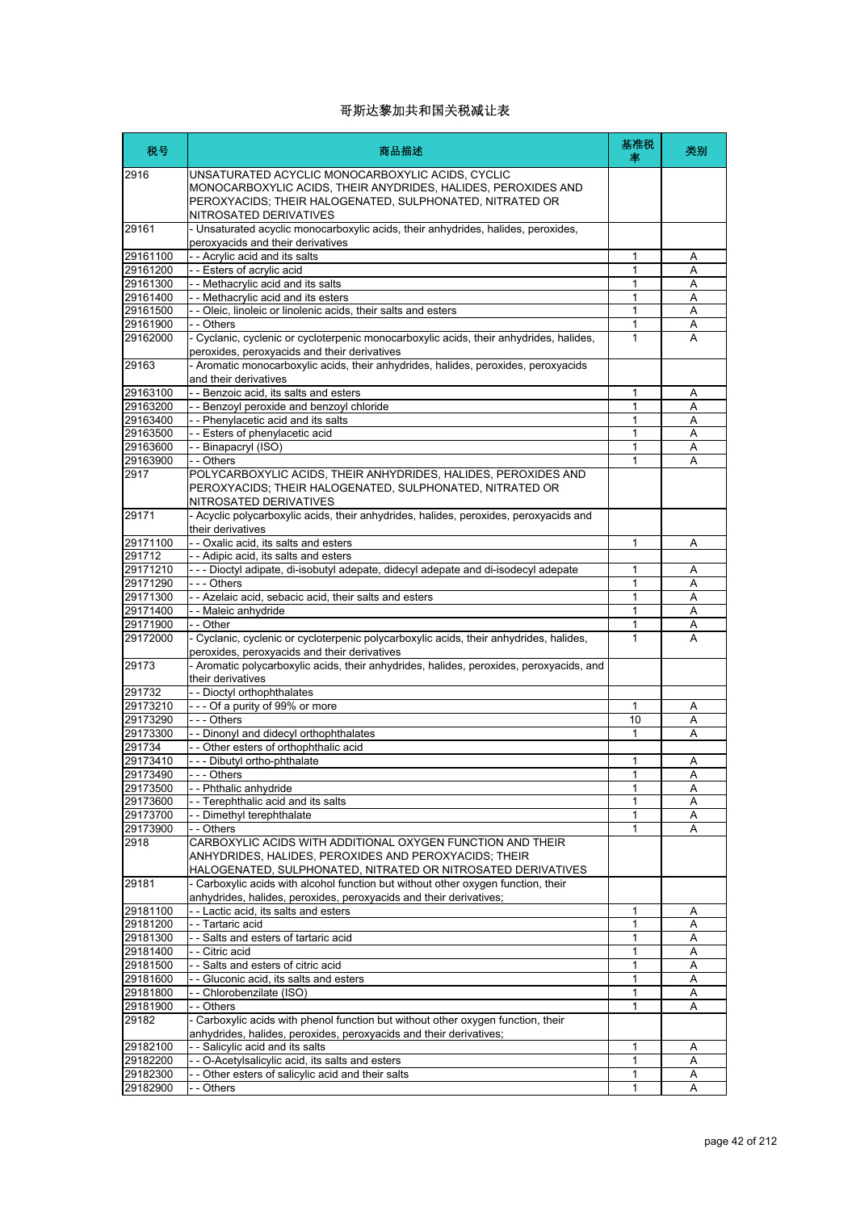| 税号                   | 商品描述                                                                                                                                                                                                    | 基准税<br>塞 | 类别     |
|----------------------|---------------------------------------------------------------------------------------------------------------------------------------------------------------------------------------------------------|----------|--------|
| 2916                 | UNSATURATED ACYCLIC MONOCARBOXYLIC ACIDS, CYCLIC<br>MONOCARBOXYLIC ACIDS, THEIR ANYDRIDES, HALIDES, PEROXIDES AND<br>PEROXYACIDS; THEIR HALOGENATED, SULPHONATED, NITRATED OR<br>NITROSATED DERIVATIVES |          |        |
| 29161                | - Unsaturated acyclic monocarboxylic acids, their anhydrides, halides, peroxides,<br>peroxyacids and their derivatives                                                                                  |          |        |
| 29161100             | - - Acrylic acid and its salts                                                                                                                                                                          | 1        | Α      |
| 29161200             | -- Esters of acrylic acid                                                                                                                                                                               | 1        | Α      |
| 29161300             | - - Methacrylic acid and its salts                                                                                                                                                                      | 1        | A      |
| 29161400             | - - Methacrylic acid and its esters                                                                                                                                                                     | 1        | A      |
| 29161500             | - Oleic, linoleic or linolenic acids, their salts and esters                                                                                                                                            | 1        | Α      |
| 29161900<br>29162000 | - - Others<br>- Cyclanic, cyclenic or cycloterpenic monocarboxylic acids, their anhydrides, halides,<br>peroxides, peroxyacids and their derivatives                                                    | 1<br>1   | Α<br>A |
| 29163                | - Aromatic monocarboxylic acids, their anhydrides, halides, peroxides, peroxyacids<br>and their derivatives                                                                                             |          |        |
| 29163100             | - - Benzoic acid, its salts and esters                                                                                                                                                                  | 1        | Α      |
| 29163200             | - - Benzoyl peroxide and benzoyl chloride                                                                                                                                                               | 1        | A      |
| 29163400             | - - Phenylacetic acid and its salts                                                                                                                                                                     | 1        | Α      |
| 29163500             | -- Esters of phenylacetic acid                                                                                                                                                                          | 1        | Α      |
| 29163600             | - - Binapacryl (ISO)                                                                                                                                                                                    | 1        | A      |
| 29163900             | - - Others                                                                                                                                                                                              | 1        | Α      |
| 2917                 | POLYCARBOXYLIC ACIDS, THEIR ANHYDRIDES, HALIDES, PEROXIDES AND<br>PEROXYACIDS; THEIR HALOGENATED, SULPHONATED, NITRATED OR<br>NITROSATED DERIVATIVES                                                    |          |        |
| 29171                | - Acyclic polycarboxylic acids, their anhydrides, halides, peroxides, peroxyacids and<br>their derivatives                                                                                              |          |        |
| 29171100             | - - Oxalic acid, its salts and esters                                                                                                                                                                   | 1        | Α      |
| 291712               | - - Adipic acid, its salts and esters                                                                                                                                                                   |          |        |
| 29171210             | --- Dioctyl adipate, di-isobutyl adepate, didecyl adepate and di-isodecyl adepate                                                                                                                       | 1        | Α      |
| 29171290             | --- Others                                                                                                                                                                                              | 1        | Α      |
| 29171300<br>29171400 | - - Azelaic acid, sebacic acid, their salts and esters<br>-- Maleic anhydride                                                                                                                           | 1<br>1   | Α<br>Α |
| 29171900             | - - Other                                                                                                                                                                                               | 1        | Α      |
| 29172000             | - Cyclanic, cyclenic or cycloterpenic polycarboxylic acids, their anhydrides, halides,<br>peroxides, peroxyacids and their derivatives                                                                  | 1        | A      |
| 29173                | - Aromatic polycarboxylic acids, their anhydrides, halides, peroxides, peroxyacids, and<br>their derivatives                                                                                            |          |        |
| 291732               | - - Dioctyl orthophthalates                                                                                                                                                                             |          |        |
| 29173210             | --- Of a purity of 99% or more                                                                                                                                                                          | 1        | Α      |
| 29173290             | $--$ Others                                                                                                                                                                                             | 10       | A      |
| 29173300             | - - Dinonyl and didecyl orthophthalates                                                                                                                                                                 | 1        | Α      |
| 291734               | -- Other esters of orthophthalic acid                                                                                                                                                                   |          |        |
| 29173410             | --- Dibutyl ortho-phthalate                                                                                                                                                                             | 1        | Α      |
| 29173490<br>29173500 | Others<br>-- Phthalic anhydride                                                                                                                                                                         | 1<br>1   | Α      |
| 29173600             | - Terephthalic acid and its salts                                                                                                                                                                       | 1        | Α<br>A |
| 29173700             | - Dimethyl terephthalate                                                                                                                                                                                | 1        | Α      |
| 29173900             | -- Others                                                                                                                                                                                               | 1        | Α      |
| 2918                 | CARBOXYLIC ACIDS WITH ADDITIONAL OXYGEN FUNCTION AND THEIR<br>ANHYDRIDES, HALIDES, PEROXIDES AND PEROXYACIDS; THEIR                                                                                     |          |        |
| 29181                | HALOGENATED, SULPHONATED, NITRATED OR NITROSATED DERIVATIVES<br>- Carboxylic acids with alcohol function but without other oxygen function, their                                                       |          |        |
| 29181100             | anhydrides, halides, peroxides, peroxyacids and their derivatives;<br>- - Lactic acid, its salts and esters                                                                                             | 1        | Α      |
| 29181200             | - - Tartaric acid                                                                                                                                                                                       | 1        | Α      |
| 29181300             | - Salts and esters of tartaric acid                                                                                                                                                                     | 1        | Α      |
| 29181400             | - - Citric acid                                                                                                                                                                                         | 1        | Α      |
| 29181500             | - Salts and esters of citric acid                                                                                                                                                                       | 1        | Α      |
| 29181600             | - - Gluconic acid, its salts and esters                                                                                                                                                                 | 1        | Α      |
| 29181800             | - Chlorobenzilate (ISO)                                                                                                                                                                                 | 1        | Α      |
| 29181900             | -- Others                                                                                                                                                                                               | 1        | Α      |
| 29182                | - Carboxylic acids with phenol function but without other oxygen function, their<br>anhydrides, halides, peroxides, peroxyacids and their derivatives;                                                  |          |        |
| 29182100             | - Salicylic acid and its salts                                                                                                                                                                          | 1        | A      |
| 29182200             | - O-Acetylsalicylic acid, its salts and esters                                                                                                                                                          | 1        | A      |
| 29182300             | Other esters of salicylic acid and their salts                                                                                                                                                          | 1        | Α      |
| 29182900             | - - Others                                                                                                                                                                                              | 1        | A      |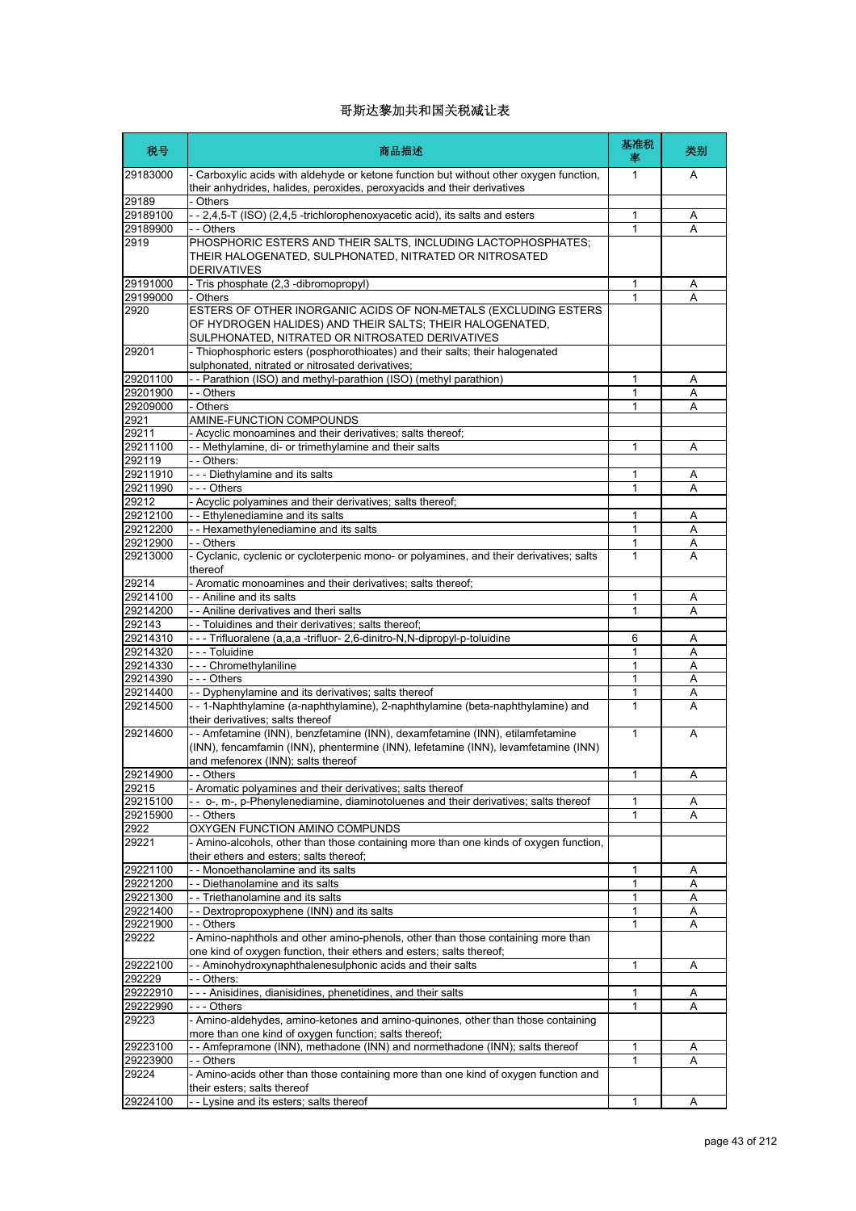| 税号                   | 商品描述                                                                                                                                                                                                     | 基准税<br>率 | 类别     |
|----------------------|----------------------------------------------------------------------------------------------------------------------------------------------------------------------------------------------------------|----------|--------|
| 29183000             | - Carboxylic acids with aldehyde or ketone function but without other oxygen function,<br>their anhydrides, halides, peroxides, peroxyacids and their derivatives                                        | 1        | A      |
| 29189                | - Others                                                                                                                                                                                                 |          |        |
| 29189100             | - - 2,4,5-T (ISO) (2,4,5 -trichlorophenoxyacetic acid), its salts and esters                                                                                                                             | 1        | Α      |
| 29189900<br>2919     | - - Others<br>PHOSPHORIC ESTERS AND THEIR SALTS, INCLUDING LACTOPHOSPHATES;                                                                                                                              | 1        | A      |
|                      | THEIR HALOGENATED, SULPHONATED, NITRATED OR NITROSATED<br>DERIVATIVES                                                                                                                                    |          |        |
| 29191000             | - Tris phosphate (2,3 -dibromopropyl)                                                                                                                                                                    | 1        | Α      |
| 29199000             | - Others                                                                                                                                                                                                 |          | А      |
| 2920                 | ESTERS OF OTHER INORGANIC ACIDS OF NON-METALS (EXCLUDING ESTERS<br>OF HYDROGEN HALIDES) AND THEIR SALTS; THEIR HALOGENATED,<br>SULPHONATED, NITRATED OR NITROSATED DERIVATIVES                           |          |        |
| 29201                | - Thiophosphoric esters (posphorothioates) and their salts; their halogenated<br>sulphonated, nitrated or nitrosated derivatives;                                                                        |          |        |
| 29201100             | -- Parathion (ISO) and methyl-parathion (ISO) (methyl parathion)                                                                                                                                         | 1        | Α      |
| 29201900             | - - Others                                                                                                                                                                                               | 1        | Α      |
| 29209000             | - Others<br>AMINE-FUNCTION COMPOUNDS                                                                                                                                                                     | 1        | Α      |
| 2921<br>29211        | - Acyclic monoamines and their derivatives; salts thereof;                                                                                                                                               |          |        |
| 29211100             | - - Methylamine, di- or trimethylamine and their salts                                                                                                                                                   | 1        | A      |
| 292119               | - - Others:                                                                                                                                                                                              |          |        |
| 29211910             | --- Diethylamine and its salts                                                                                                                                                                           | 1        | Α      |
| 29211990             | --- Others                                                                                                                                                                                               | 1        | Α      |
| 29212                | - Acyclic polyamines and their derivatives; salts thereof;                                                                                                                                               |          |        |
| 29212100             | - - Ethylenediamine and its salts                                                                                                                                                                        | 1        | Α      |
| 29212200             | - - Hexamethylenediamine and its salts                                                                                                                                                                   | 1        | A      |
| 29212900             | - - Others                                                                                                                                                                                               | 1        | Α      |
| 29213000             | - Cyclanic, cyclenic or cycloterpenic mono- or polyamines, and their derivatives; salts<br>thereof                                                                                                       | 1        | A      |
| 29214                | - Aromatic monoamines and their derivatives; salts thereof;                                                                                                                                              |          |        |
| 29214100             | - - Aniline and its salts                                                                                                                                                                                | 1        | Α      |
| 29214200             | - - Aniline derivatives and theri salts                                                                                                                                                                  | 1        | A      |
| 292143               | - - Toluidines and their derivatives; salts thereof;                                                                                                                                                     |          |        |
| 29214310<br>29214320 | - - - Trifluoralene (a,a,a -trifluor- 2,6-dinitro-N,N-dipropyl-p-toluidine<br>- - - Toluidine                                                                                                            | 6<br>1   | Α<br>Α |
| 29214330             | --- Chromethylaniline                                                                                                                                                                                    | 1        | A      |
| 29214390             | --- Others                                                                                                                                                                                               | 1        | Α      |
| 29214400             | - - Dyphenylamine and its derivatives; salts thereof                                                                                                                                                     | 1        | Α      |
| 29214500             | - - 1-Naphthylamine (a-naphthylamine), 2-naphthylamine (beta-naphthylamine) and<br>their derivatives; salts thereof                                                                                      | 1        | A      |
| 29214600             | -- Amfetamine (INN), benzfetamine (INN), dexamfetamine (INN), etilamfetamine<br>(INN), fencamfamin (INN), phentermine (INN), lefetamine (INN), levamfetamine (INN)<br>and mefenorex (INN); salts thereof | 1        | A      |
| 29214900             | Others                                                                                                                                                                                                   | 1        | А      |
| 29215                | - Aromatic polyamines and their derivatives; salts thereof                                                                                                                                               |          |        |
| 29215100             | o-, m-, p-Phenylenediamine, diaminotoluenes and their derivatives; salts thereof                                                                                                                         | 1        | Α      |
| 29215900             | - - Others                                                                                                                                                                                               | 1        | Α      |
| 2922<br>29221        | OXYGEN FUNCTION AMINO COMPUNDS<br>- Amino-alcohols, other than those containing more than one kinds of oxygen function,                                                                                  |          |        |
| 29221100             | their ethers and esters; salts thereof;<br>- - Monoethanolamine and its salts                                                                                                                            | 1        |        |
| 29221200             | - - Diethanolamine and its salts                                                                                                                                                                         | 1        | Α<br>Α |
| 29221300             | - - Triethanolamine and its salts                                                                                                                                                                        | 1        | Α      |
| 29221400             | - - Dextropropoxyphene (INN) and its salts                                                                                                                                                               | 1        | Α      |
| 29221900             | - - Others                                                                                                                                                                                               | 1        | A      |
| 29222                | - Amino-naphthols and other amino-phenols, other than those containing more than<br>one kind of oxygen function, their ethers and esters; salts thereof;                                                 |          |        |
| 29222100             | - - Aminohydroxynaphthalenesulphonic acids and their salts                                                                                                                                               | 1        | A      |
| 292229               | - - Others:                                                                                                                                                                                              |          |        |
| 29222910             | --- Anisidines, dianisidines, phenetidines, and their salts                                                                                                                                              | 1        | Α      |
| 29222990             | - - - Others                                                                                                                                                                                             | 1        | Α      |
| 29223                | - Amino-aldehydes, amino-ketones and amino-quinones, other than those containing<br>more than one kind of oxygen function; salts thereof;                                                                |          |        |
| 29223100             | -- Amfepramone (INN), methadone (INN) and normethadone (INN); salts thereof                                                                                                                              | 1        | Α      |
| 29223900             | - - Others                                                                                                                                                                                               | 1        | А      |
| 29224                | - Amino-acids other than those containing more than one kind of oxygen function and<br>their esters; salts thereof                                                                                       |          |        |
| 29224100             | - - Lysine and its esters; salts thereof                                                                                                                                                                 | 1        | Α      |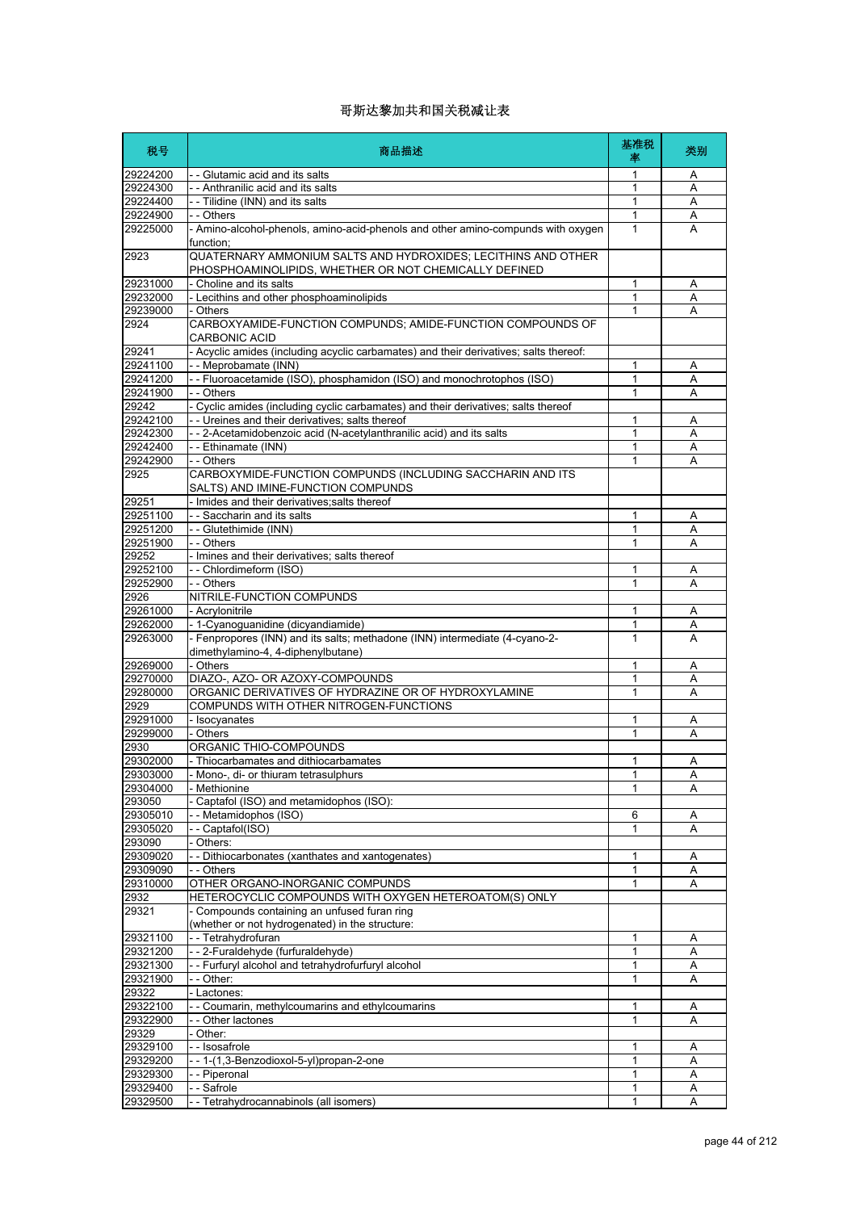| 税号                   | 商品描述                                                                                                                   | 基准税<br>率     | 类别     |
|----------------------|------------------------------------------------------------------------------------------------------------------------|--------------|--------|
| 29224200             | - - Glutamic acid and its salts                                                                                        | 1            | A      |
| 29224300             | -- Anthranilic acid and its salts                                                                                      | 1            | A      |
| 29224400             | - - Tilidine (INN) and its salts                                                                                       | 1            | Α      |
| 29224900             | - - Others                                                                                                             | $\mathbf{1}$ | Α      |
| 29225000             | - Amino-alcohol-phenols, amino-acid-phenols and other amino-compunds with oxygen<br>function;                          | 1            | A      |
| 2923                 | QUATERNARY AMMONIUM SALTS AND HYDROXIDES; LECITHINS AND OTHER<br>PHOSPHOAMINOLIPIDS, WHETHER OR NOT CHEMICALLY DEFINED |              |        |
| 29231000             | - Choline and its salts                                                                                                | $\mathbf{1}$ | Α      |
| 29232000             | - Lecithins and other phosphoaminolipids                                                                               | 1            | Α      |
| 29239000             | - Others                                                                                                               | 1            | A      |
| 2924                 | CARBOXYAMIDE-FUNCTION COMPUNDS; AMIDE-FUNCTION COMPOUNDS OF<br><b>CARBONIC ACID</b>                                    |              |        |
| 29241                | - Acyclic amides (including acyclic carbamates) and their derivatives; salts thereof:                                  |              |        |
| 29241100             | -- Meprobamate (INN)                                                                                                   | 1            | Α      |
| 29241200             | -- Fluoroacetamide (ISO), phosphamidon (ISO) and monochrotophos (ISO)                                                  | 1            | A      |
| 29241900<br>29242    | - - Others<br>- Cyclic amides (including cyclic carbamates) and their derivatives; salts thereof                       | 1            | Α      |
| 29242100             | - - Ureines and their derivatives; salts thereof                                                                       | 1            | Α      |
| 29242300             | -- 2-Acetamidobenzoic acid (N-acetylanthranilic acid) and its salts                                                    | 1            | Α      |
| 29242400             | - - Ethinamate (INN)                                                                                                   | 1            | Α      |
| 29242900             | - - Others                                                                                                             | 1            | A      |
| 2925                 | CARBOXYMIDE-FUNCTION COMPUNDS (INCLUDING SACCHARIN AND ITS<br>SALTS) AND IMINE-FUNCTION COMPUNDS                       |              |        |
| 29251                | - Imides and their derivatives; salts thereof                                                                          |              |        |
| 29251100             | - - Saccharin and its salts                                                                                            | 1            | Α      |
| 29251200             | - - Glutethimide (INN)                                                                                                 | 1            | Α      |
| 29251900             | - - Others                                                                                                             | 1            | A      |
| 29252                | - Imines and their derivatives; salts thereof                                                                          |              |        |
| 29252100             | -- Chlordimeform (ISO)                                                                                                 | 1            | Α      |
| 29252900             | - - Others                                                                                                             | 1            | A      |
| 2926                 | NITRILE-FUNCTION COMPUNDS                                                                                              |              |        |
| 29261000             | - Acrylonitrile                                                                                                        | 1            | Α      |
| 29262000<br>29263000 | - 1-Cyanoguanidine (dicyandiamide)<br>- Fenpropores (INN) and its salts; methadone (INN) intermediate (4-cyano-2-      | 1<br>1       | Α<br>A |
|                      | dimethylamino-4, 4-diphenylbutane)                                                                                     |              |        |
| 29269000             | - Others<br>DIAZO-, AZO- OR AZOXY-COMPOUNDS                                                                            | 1<br>1       | Α      |
| 29270000<br>29280000 | ORGANIC DERIVATIVES OF HYDRAZINE OR OF HYDROXYLAMINE                                                                   | 1            | Α<br>A |
| 2929                 | COMPUNDS WITH OTHER NITROGEN-FUNCTIONS                                                                                 |              |        |
| 29291000             | - Isocyanates                                                                                                          | 1            | Α      |
| 29299000             | - Others                                                                                                               | $\mathbf{1}$ | A      |
| 2930                 | ORGANIC THIO-COMPOUNDS                                                                                                 |              |        |
| 29302000             | - Thiocarbamates and dithiocarbamates                                                                                  | 1            | Α      |
| 29303000             | - Mono-, di- or thiuram tetrasulphurs                                                                                  | 1            | A      |
| 29304000             | Methionine                                                                                                             | 1            | Α      |
| 293050               | Captafol (ISO) and metamidophos (ISO):                                                                                 |              |        |
| 29305010             | - Metamidophos (ISO)                                                                                                   | 6            | Α      |
| 29305020             | - Captafol(ISO)                                                                                                        | 1            | Α      |
| 293090               | - Others:                                                                                                              |              |        |
| 29309020<br>29309090 | - - Dithiocarbonates (xanthates and xantogenates)<br>- - Others                                                        | 1            | Α      |
| 29310000             | OTHER ORGANO-INORGANIC COMPUNDS                                                                                        | 1<br>1       | Α<br>Α |
| 2932                 | HETEROCYCLIC COMPOUNDS WITH OXYGEN HETEROATOM(S) ONLY                                                                  |              |        |
| 29321                | - Compounds containing an unfused furan ring                                                                           |              |        |
| 29321100             | (whether or not hydrogenated) in the structure:<br>-- Tetrahydrofuran                                                  | 1            | Α      |
| 29321200             | --2-Furaldehyde (furfuraldehyde)                                                                                       | 1            | Α      |
| 29321300             | -- Furfuryl alcohol and tetrahydrofurfuryl alcohol                                                                     | 1            | Α      |
| 29321900             | - - Other:                                                                                                             | 1            | Α      |
| 29322                | - Lactones:                                                                                                            |              |        |
| 29322100             | - - Coumarin, methylcoumarins and ethylcoumarins                                                                       | 1            | Α      |
| 29322900             | - - Other lactones                                                                                                     | 1            | Α      |
| 29329                | - Other:                                                                                                               |              |        |
| 29329100             | -- Isosafrole                                                                                                          | 1            | Α      |
| 29329200             | --1-(1,3-Benzodioxol-5-yl)propan-2-one                                                                                 | 1            | Α      |
| 29329300             | -- Piperonal                                                                                                           | 1            | Α      |
| 29329400             | -- Safrole                                                                                                             | 1            | Α      |
| 29329500             | - - Tetrahydrocannabinols (all isomers)                                                                                | 1            | Α      |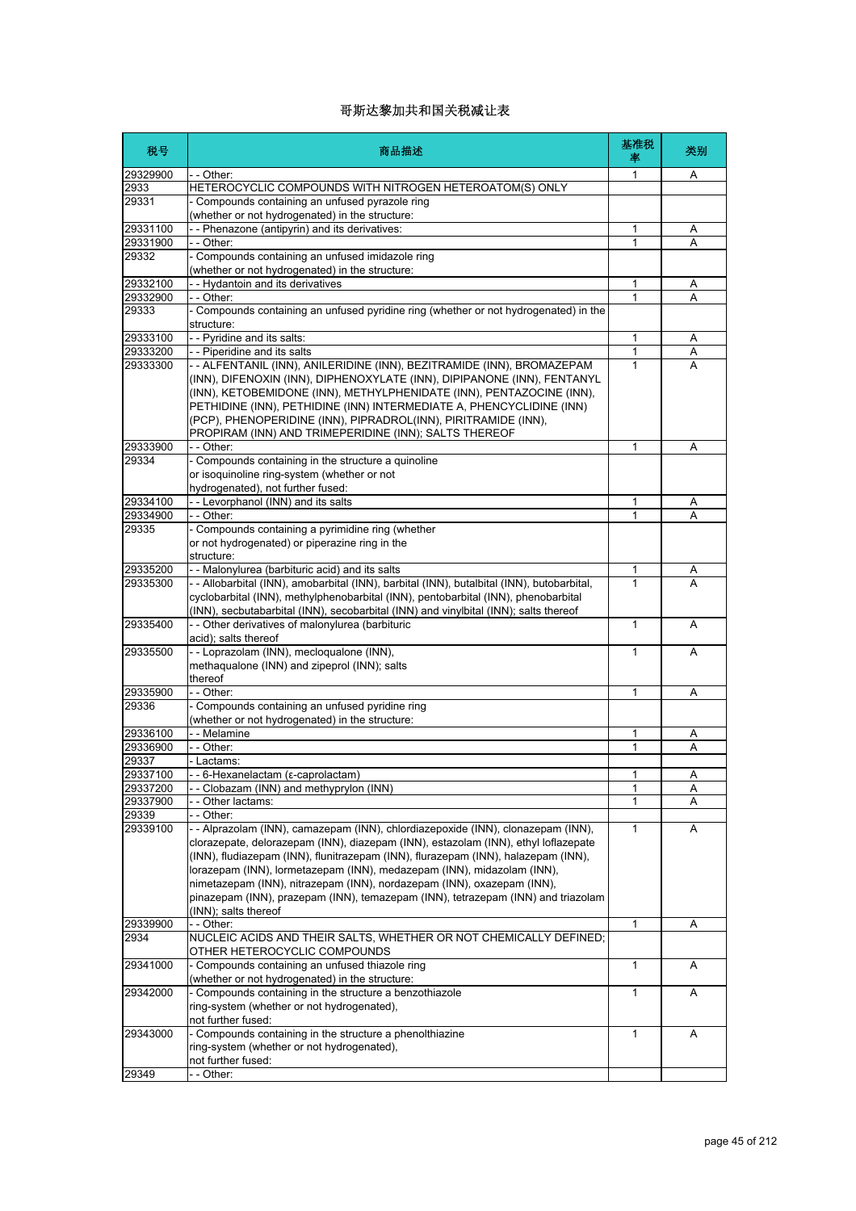| 税号                   | 商品描述                                                                                                                                                                                                                                                                                                                                                                                                                                                                                                                        | 基准税<br>率          | 类别     |
|----------------------|-----------------------------------------------------------------------------------------------------------------------------------------------------------------------------------------------------------------------------------------------------------------------------------------------------------------------------------------------------------------------------------------------------------------------------------------------------------------------------------------------------------------------------|-------------------|--------|
| 29329900             | - - Other:                                                                                                                                                                                                                                                                                                                                                                                                                                                                                                                  | 1                 | A      |
| 2933                 | HETEROCYCLIC COMPOUNDS WITH NITROGEN HETEROATOM(S) ONLY                                                                                                                                                                                                                                                                                                                                                                                                                                                                     |                   |        |
| 29331                | - Compounds containing an unfused pyrazole ring                                                                                                                                                                                                                                                                                                                                                                                                                                                                             |                   |        |
| 29331100             | (whether or not hydrogenated) in the structure:<br>-- Phenazone (antipyrin) and its derivatives:                                                                                                                                                                                                                                                                                                                                                                                                                            |                   |        |
| 29331900             | - - Other:                                                                                                                                                                                                                                                                                                                                                                                                                                                                                                                  | 1<br>1            | A<br>A |
| 29332                | Compounds containing an unfused imidazole ring                                                                                                                                                                                                                                                                                                                                                                                                                                                                              |                   |        |
|                      | (whether or not hydrogenated) in the structure:                                                                                                                                                                                                                                                                                                                                                                                                                                                                             |                   |        |
| 29332100             | - Hydantoin and its derivatives                                                                                                                                                                                                                                                                                                                                                                                                                                                                                             | 1                 | Α      |
| 29332900             | - Other:                                                                                                                                                                                                                                                                                                                                                                                                                                                                                                                    | $\mathbf{1}$      | A      |
| 29333                | - Compounds containing an unfused pyridine ring (whether or not hydrogenated) in the                                                                                                                                                                                                                                                                                                                                                                                                                                        |                   |        |
|                      | structure:                                                                                                                                                                                                                                                                                                                                                                                                                                                                                                                  |                   |        |
| 29333100             | -- Pyridine and its salts:                                                                                                                                                                                                                                                                                                                                                                                                                                                                                                  | $\mathbf{1}$      | A      |
| 29333200<br>29333300 | - - Piperidine and its salts<br>-- ALFENTANIL (INN), ANILERIDINE (INN), BEZITRAMIDE (INN), BROMAZEPAM                                                                                                                                                                                                                                                                                                                                                                                                                       | $\mathbf{1}$<br>1 | Α<br>А |
|                      | (INN), DIFENOXIN (INN), DIPHENOXYLATE (INN), DIPIPANONE (INN), FENTANYL<br>(INN), KETOBEMIDONE (INN), METHYLPHENIDATE (INN), PENTAZOCINE (INN),<br>PETHIDINE (INN), PETHIDINE (INN) INTERMEDIATE A, PHENCYCLIDINE (INN)<br>(PCP), PHENOPERIDINE (INN), PIPRADROL(INN), PIRITRAMIDE (INN),<br>PROPIRAM (INN) AND TRIMEPERIDINE (INN); SALTS THEREOF                                                                                                                                                                          |                   |        |
| 29333900             | - - Other:                                                                                                                                                                                                                                                                                                                                                                                                                                                                                                                  | 1                 | Α      |
| 29334                | - Compounds containing in the structure a quinoline<br>or isoquinoline ring-system (whether or not<br>hydrogenated), not further fused:                                                                                                                                                                                                                                                                                                                                                                                     |                   |        |
| 29334100             | - - Levorphanol (INN) and its salts                                                                                                                                                                                                                                                                                                                                                                                                                                                                                         | 1                 | Α      |
| 29334900             | - - Other:                                                                                                                                                                                                                                                                                                                                                                                                                                                                                                                  | $\mathbf{1}$      | А      |
| 29335                | - Compounds containing a pyrimidine ring (whether<br>or not hydrogenated) or piperazine ring in the<br>structure:                                                                                                                                                                                                                                                                                                                                                                                                           |                   |        |
| 29335200             | - - Malonylurea (barbituric acid) and its salts                                                                                                                                                                                                                                                                                                                                                                                                                                                                             | 1                 | Α      |
| 29335300             | -- Allobarbital (INN), amobarbital (INN), barbital (INN), butalbital (INN), butobarbital,<br>cyclobarbital (INN), methylphenobarbital (INN), pentobarbital (INN), phenobarbital<br>(INN), secbutabarbital (INN), secobarbital (INN) and vinylbital (INN); salts thereof                                                                                                                                                                                                                                                     | 1                 | A      |
| 29335400             | - - Other derivatives of malonylurea (barbituric<br>acid); salts thereof                                                                                                                                                                                                                                                                                                                                                                                                                                                    | 1                 | Α      |
| 29335500             | -- Loprazolam (INN), mecloqualone (INN),<br>methaqualone (INN) and zipeprol (INN); salts<br>thereof                                                                                                                                                                                                                                                                                                                                                                                                                         | $\mathbf{1}$      | A      |
| 29335900             | $-$ - Other:                                                                                                                                                                                                                                                                                                                                                                                                                                                                                                                | 1                 | Α      |
| 29336                | Compounds containing an unfused pyridine ring                                                                                                                                                                                                                                                                                                                                                                                                                                                                               |                   |        |
|                      | (whether or not hydrogenated) in the structure:                                                                                                                                                                                                                                                                                                                                                                                                                                                                             |                   |        |
| 29336100             | - - Melamine                                                                                                                                                                                                                                                                                                                                                                                                                                                                                                                | 1                 | Α      |
| 29336900             | - Other:                                                                                                                                                                                                                                                                                                                                                                                                                                                                                                                    | 1                 | A      |
| 29337                | Lactams:                                                                                                                                                                                                                                                                                                                                                                                                                                                                                                                    | 1                 |        |
| 29337100<br>29337200 | 6-Hexanelactam (ε-caprolactam)<br>- Clobazam (INN) and methyprylon (INN)                                                                                                                                                                                                                                                                                                                                                                                                                                                    | 1                 | Α<br>Α |
| 29337900             | - Other lactams:                                                                                                                                                                                                                                                                                                                                                                                                                                                                                                            | 1                 | A      |
| 29339                | - Other:                                                                                                                                                                                                                                                                                                                                                                                                                                                                                                                    |                   |        |
| 29339100             | - - Alprazolam (INN), camazepam (INN), chlordiazepoxide (INN), clonazepam (INN),<br>clorazepate, delorazepam (INN), diazepam (INN), estazolam (INN), ethyl loflazepate<br>(INN), fludiazepam (INN), flunitrazepam (INN), flurazepam (INN), halazepam (INN),<br>lorazepam (INN), lormetazepam (INN), medazepam (INN), midazolam (INN),<br>nimetazepam (INN), nitrazepam (INN), nordazepam (INN), oxazepam (INN),<br>pinazepam (INN), prazepam (INN), temazepam (INN), tetrazepam (INN) and triazolam<br>(INN); salts thereof | $\mathbf{1}$      | Α      |
| 29339900             | - - Other:                                                                                                                                                                                                                                                                                                                                                                                                                                                                                                                  | 1                 | Α      |
| 2934                 | NUCLEIC ACIDS AND THEIR SALTS, WHETHER OR NOT CHEMICALLY DEFINED;<br>OTHER HETEROCYCLIC COMPOUNDS                                                                                                                                                                                                                                                                                                                                                                                                                           |                   |        |
| 29341000             | - Compounds containing an unfused thiazole ring<br>(whether or not hydrogenated) in the structure:                                                                                                                                                                                                                                                                                                                                                                                                                          | $\mathbf{1}$      | A      |
| 29342000             | Compounds containing in the structure a benzothiazole<br>ring-system (whether or not hydrogenated),<br>not further fused:                                                                                                                                                                                                                                                                                                                                                                                                   | 1                 | A      |
| 29343000             | - Compounds containing in the structure a phenolthiazine<br>ring-system (whether or not hydrogenated),<br>not further fused:                                                                                                                                                                                                                                                                                                                                                                                                | $\mathbf{1}$      | Α      |
| 29349                | - - Other:                                                                                                                                                                                                                                                                                                                                                                                                                                                                                                                  |                   |        |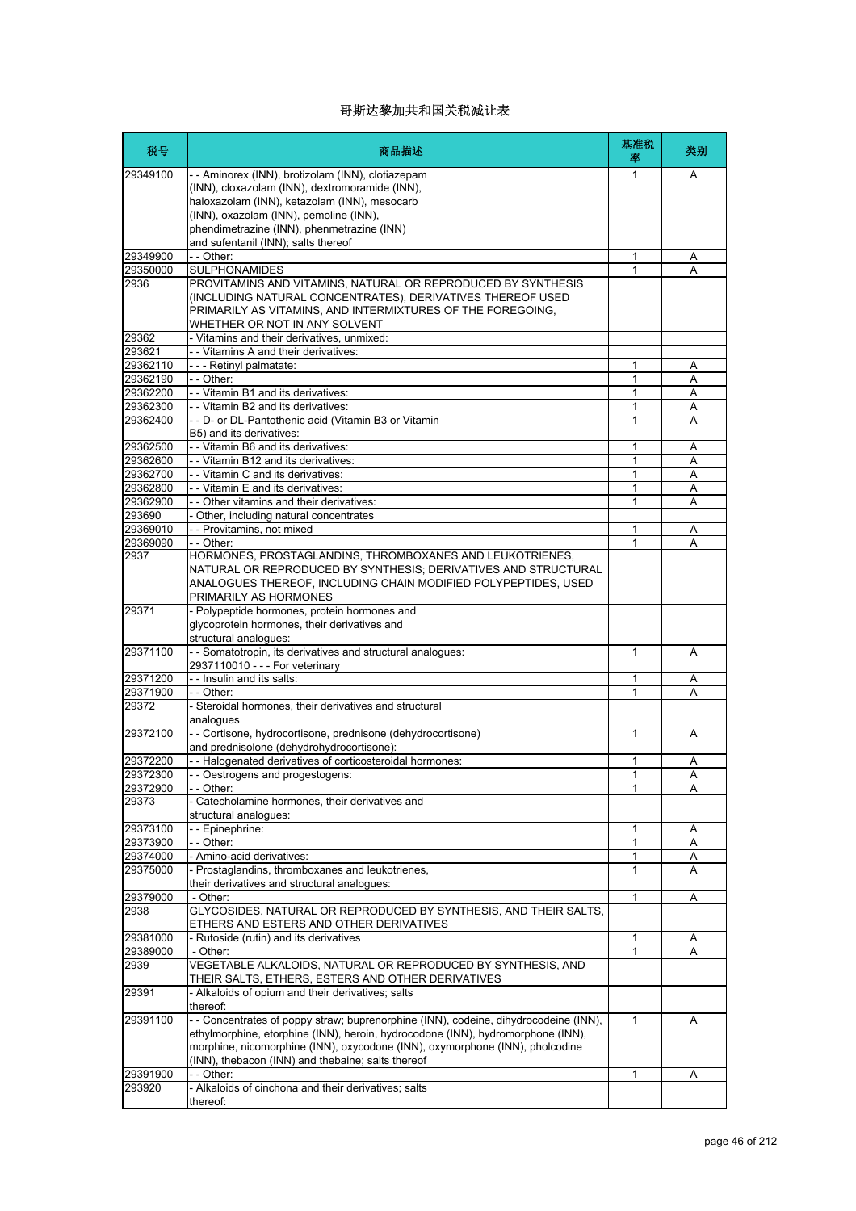| 税号                | 商品描述                                                                                                                                                            | 基准税<br>率     | 类别     |
|-------------------|-----------------------------------------------------------------------------------------------------------------------------------------------------------------|--------------|--------|
| 29349100          | - - Aminorex (INN), brotizolam (INN), clotiazepam                                                                                                               | 1            | A      |
|                   | (INN), cloxazolam (INN), dextromoramide (INN),                                                                                                                  |              |        |
|                   | haloxazolam (INN), ketazolam (INN), mesocarb                                                                                                                    |              |        |
|                   | (INN), oxazolam (INN), pemoline (INN),<br>phendimetrazine (INN), phenmetrazine (INN)                                                                            |              |        |
|                   | and sufentanil (INN); salts thereof                                                                                                                             |              |        |
| 29349900          | $-$ - Other:                                                                                                                                                    | $\mathbf{1}$ | Α      |
| 29350000          | <b>SULPHONAMIDES</b>                                                                                                                                            | 1            | А      |
| 2936              | PROVITAMINS AND VITAMINS, NATURAL OR REPRODUCED BY SYNTHESIS                                                                                                    |              |        |
|                   | (INCLUDING NATURAL CONCENTRATES), DERIVATIVES THEREOF USED                                                                                                      |              |        |
|                   | PRIMARILY AS VITAMINS, AND INTERMIXTURES OF THE FOREGOING,                                                                                                      |              |        |
| 29362             | WHETHER OR NOT IN ANY SOLVENT<br>- Vitamins and their derivatives, unmixed:                                                                                     |              |        |
| 293621            | - - Vitamins A and their derivatives:                                                                                                                           |              |        |
| 29362110          | --- Retinyl palmatate:                                                                                                                                          | 1            | A      |
| 29362190          | - - Other:                                                                                                                                                      | 1            | Α      |
| 29362200          | - Vitamin B1 and its derivatives:                                                                                                                               | 1            | A      |
| 29362300          | - - Vitamin B2 and its derivatives:                                                                                                                             | 1            | Α      |
| 29362400          | - - D- or DL-Pantothenic acid (Vitamin B3 or Vitamin                                                                                                            | 1            | A      |
| 29362500          | B5) and its derivatives:<br>- - Vitamin B6 and its derivatives:                                                                                                 | 1            | Α      |
| 29362600          | - - Vitamin B12 and its derivatives:                                                                                                                            | 1            | Α      |
| 29362700          | - - Vitamin C and its derivatives:                                                                                                                              | 1            | Α      |
| 29362800          | - - Vitamin E and its derivatives:                                                                                                                              | 1            | Α      |
| 29362900          | - - Other vitamins and their derivatives:                                                                                                                       | 1            | А      |
| 293690            | Other, including natural concentrates                                                                                                                           |              |        |
| 29369010          | - - Provitamins, not mixed                                                                                                                                      | 1            | Α      |
| 29369090          | - - Other:                                                                                                                                                      | 1            | Α      |
| 2937              | HORMONES, PROSTAGLANDINS, THROMBOXANES AND LEUKOTRIENES,<br>NATURAL OR REPRODUCED BY SYNTHESIS; DERIVATIVES AND STRUCTURAL                                      |              |        |
|                   | ANALOGUES THEREOF, INCLUDING CHAIN MODIFIED POLYPEPTIDES, USED                                                                                                  |              |        |
|                   | PRIMARILY AS HORMONES                                                                                                                                           |              |        |
| 29371             | - Polypeptide hormones, protein hormones and                                                                                                                    |              |        |
|                   | glycoprotein hormones, their derivatives and                                                                                                                    |              |        |
|                   | structural analogues:                                                                                                                                           |              |        |
| 29371100          | - - Somatotropin, its derivatives and structural analogues:                                                                                                     | $\mathbf{1}$ | A      |
| 29371200          | 2937110010 - - - For veterinary<br>- - Insulin and its salts:                                                                                                   |              |        |
| 29371900          | - - Other:                                                                                                                                                      | 1<br>1       | Α<br>А |
| 29372             | - Steroidal hormones, their derivatives and structural                                                                                                          |              |        |
|                   | analogues                                                                                                                                                       |              |        |
| 29372100          | - - Cortisone, hydrocortisone, prednisone (dehydrocortisone)                                                                                                    | $\mathbf{1}$ | A      |
|                   | and prednisolone (dehydrohydrocortisone):                                                                                                                       |              |        |
| 29372200          | - - Halogenated derivatives of corticosteroidal hormones:                                                                                                       | 1            | Α      |
| 29372300          | - Oestrogens and progestogens:                                                                                                                                  | 1            | Α      |
| 29372900<br>29373 | - - Other:<br>- Catecholamine hormones, their derivatives and                                                                                                   | 1            | Α      |
|                   | structural analogues:                                                                                                                                           |              |        |
| 29373100          | - - Epinephrine:                                                                                                                                                | 1            | A      |
| 29373900          | - - Other:                                                                                                                                                      | $\mathbf{1}$ | Α      |
| 29374000          | - Amino-acid derivatives:                                                                                                                                       | 1            | Α      |
| 29375000          | - Prostaglandins, thromboxanes and leukotrienes,                                                                                                                | $\mathbf{1}$ | A      |
|                   | their derivatives and structural analogues:                                                                                                                     |              |        |
| 29379000          | - Other:                                                                                                                                                        | 1            | A      |
| 2938              | GLYCOSIDES, NATURAL OR REPRODUCED BY SYNTHESIS, AND THEIR SALTS,<br>ETHERS AND ESTERS AND OTHER DERIVATIVES                                                     |              |        |
| 29381000          | - Rutoside (rutin) and its derivatives                                                                                                                          | 1            | Α      |
| 29389000          | - Other:                                                                                                                                                        | 1            | Α      |
| 2939              | VEGETABLE ALKALOIDS, NATURAL OR REPRODUCED BY SYNTHESIS, AND                                                                                                    |              |        |
|                   | THEIR SALTS, ETHERS, ESTERS AND OTHER DERIVATIVES                                                                                                               |              |        |
| 29391             | - Alkaloids of opium and their derivatives; salts                                                                                                               |              |        |
|                   | thereof:                                                                                                                                                        |              |        |
| 29391100          | -- Concentrates of poppy straw; buprenorphine (INN), codeine, dihydrocodeine (INN),                                                                             | $\mathbf{1}$ | Α      |
|                   | ethylmorphine, etorphine (INN), heroin, hydrocodone (INN), hydromorphone (INN),<br>morphine, nicomorphine (INN), oxycodone (INN), oxymorphone (INN), pholcodine |              |        |
|                   | (INN), thebacon (INN) and thebaine; salts thereof                                                                                                               |              |        |
| 29391900          | - - Other:                                                                                                                                                      | 1            | Α      |
| 293920            | - Alkaloids of cinchona and their derivatives; salts                                                                                                            |              |        |
|                   | thereof:                                                                                                                                                        |              |        |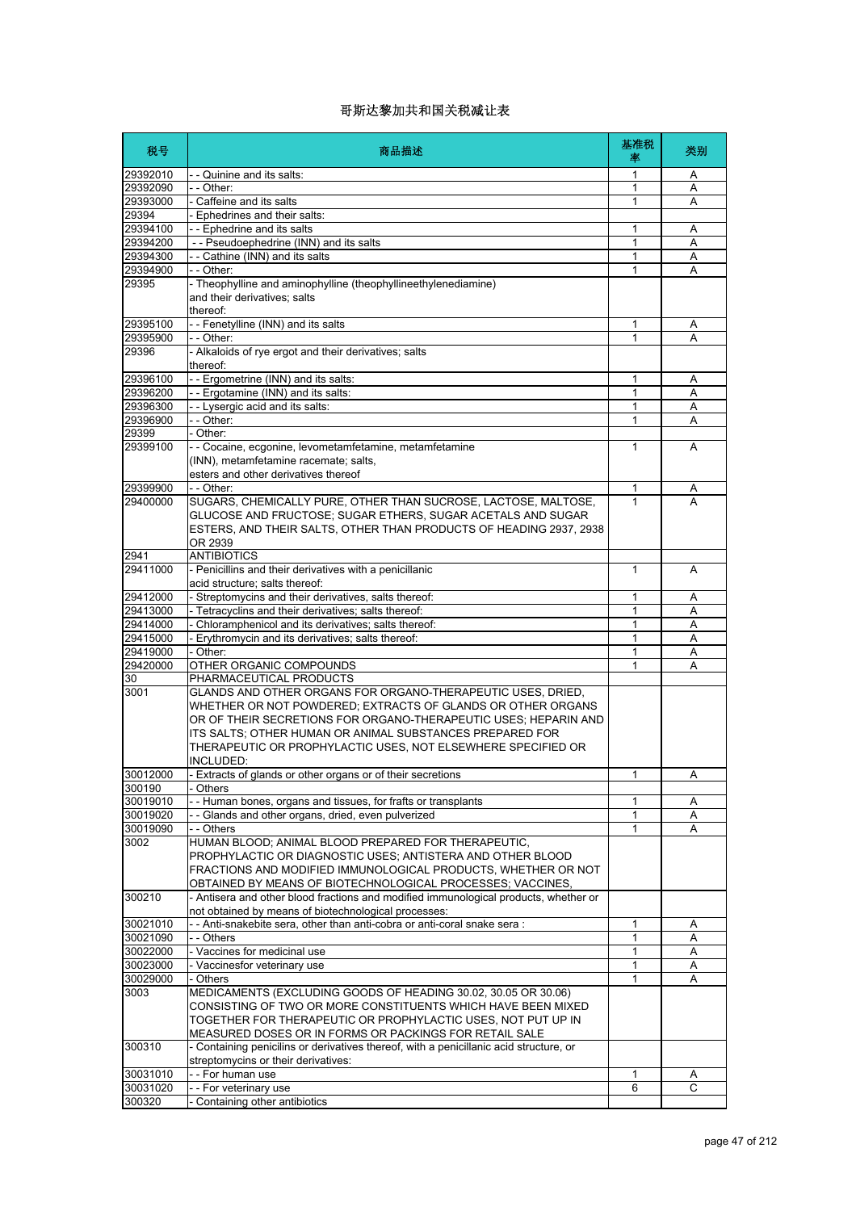| 税号                   | 商品描述                                                                                                                                                                                                                                                                    | 基准税<br>率     | 类别     |
|----------------------|-------------------------------------------------------------------------------------------------------------------------------------------------------------------------------------------------------------------------------------------------------------------------|--------------|--------|
| 29392010             | - - Quinine and its salts:                                                                                                                                                                                                                                              | 1            | Α      |
| 29392090             | - - Other:                                                                                                                                                                                                                                                              | 1            | A      |
| 29393000             | - Caffeine and its salts                                                                                                                                                                                                                                                | 1            | Α      |
| 29394                | - Ephedrines and their salts:                                                                                                                                                                                                                                           |              |        |
| 29394100<br>29394200 | -- Ephedrine and its salts<br>- - Pseudoephedrine (INN) and its salts                                                                                                                                                                                                   | 1<br>1       | Α      |
| 29394300             | - - Cathine (INN) and its salts                                                                                                                                                                                                                                         | 1            | Α<br>A |
| 29394900             | - - Other:                                                                                                                                                                                                                                                              | 1            | A      |
| 29395                | - Theophylline and aminophylline (theophyllineethylenediamine)                                                                                                                                                                                                          |              |        |
|                      | and their derivatives; salts<br>thereof:                                                                                                                                                                                                                                |              |        |
| 29395100             | - - Fenetylline (INN) and its salts                                                                                                                                                                                                                                     | 1            | Α      |
| 29395900             | $-$ - Other:                                                                                                                                                                                                                                                            | 1            | A      |
| 29396                | - Alkaloids of rye ergot and their derivatives; salts<br>thereof:                                                                                                                                                                                                       |              |        |
| 29396100             | - - Ergometrine (INN) and its salts:                                                                                                                                                                                                                                    | 1            | Α      |
| 29396200             | - - Ergotamine (INN) and its salts:                                                                                                                                                                                                                                     | 1            | Α      |
| 29396300             | - - Lysergic acid and its salts:                                                                                                                                                                                                                                        | 1            | Α      |
| 29396900<br>29399    | - - Other:<br>- Other:                                                                                                                                                                                                                                                  | 1            | A      |
| 29399100             | - - Cocaine, ecgonine, levometamfetamine, metamfetamine                                                                                                                                                                                                                 | 1            | A      |
|                      | (INN), metamfetamine racemate; salts,<br>esters and other derivatives thereof                                                                                                                                                                                           |              |        |
| 29399900             | - - Other:                                                                                                                                                                                                                                                              | 1            | A      |
| 29400000             | SUGARS, CHEMICALLY PURE, OTHER THAN SUCROSE, LACTOSE, MALTOSE,                                                                                                                                                                                                          | 1            | А      |
|                      | GLUCOSE AND FRUCTOSE; SUGAR ETHERS, SUGAR ACETALS AND SUGAR<br>ESTERS, AND THEIR SALTS, OTHER THAN PRODUCTS OF HEADING 2937, 2938<br>OR 2939                                                                                                                            |              |        |
| 2941                 | <b>ANTIBIOTICS</b>                                                                                                                                                                                                                                                      |              |        |
| 29411000             | - Penicillins and their derivatives with a penicillanic                                                                                                                                                                                                                 | $\mathbf{1}$ | A      |
|                      | acid structure; salts thereof:                                                                                                                                                                                                                                          |              |        |
| 29412000             | - Streptomycins and their derivatives, salts thereof:                                                                                                                                                                                                                   | 1            | Α      |
| 29413000             | - Tetracyclins and their derivatives; salts thereof:                                                                                                                                                                                                                    | 1            | A      |
| 29414000             | - Chloramphenicol and its derivatives; salts thereof:                                                                                                                                                                                                                   | 1            | Α      |
| 29415000             | - Erythromycin and its derivatives; salts thereof:                                                                                                                                                                                                                      | 1            | A      |
| 29419000<br>29420000 | - Other:<br>OTHER ORGANIC COMPOUNDS                                                                                                                                                                                                                                     | 1<br>1       | Α<br>A |
| 30                   | PHARMACEUTICAL PRODUCTS                                                                                                                                                                                                                                                 |              |        |
| 3001                 | GLANDS AND OTHER ORGANS FOR ORGANO-THERAPEUTIC USES, DRIED,                                                                                                                                                                                                             |              |        |
|                      | WHETHER OR NOT POWDERED; EXTRACTS OF GLANDS OR OTHER ORGANS<br>OR OF THEIR SECRETIONS FOR ORGANO-THERAPEUTIC USES: HEPARIN AND<br>ITS SALTS; OTHER HUMAN OR ANIMAL SUBSTANCES PREPARED FOR<br>THERAPEUTIC OR PROPHYLACTIC USES, NOT ELSEWHERE SPECIFIED OR<br>INCLUDED: |              |        |
| 30012000             | - Extracts of glands or other organs or of their secretions                                                                                                                                                                                                             | 1            | Α      |
| 300190               | - Others                                                                                                                                                                                                                                                                |              |        |
| 30019010             | - Human bones, organs and tissues, for frafts or transplants                                                                                                                                                                                                            | 1            | A      |
| 30019020<br>30019090 | -- Glands and other organs, dried, even pulverized<br>- - Others                                                                                                                                                                                                        | 1<br>1       | Α<br>A |
| 3002                 | HUMAN BLOOD; ANIMAL BLOOD PREPARED FOR THERAPEUTIC,<br>PROPHYLACTIC OR DIAGNOSTIC USES; ANTISTERA AND OTHER BLOOD<br>FRACTIONS AND MODIFIED IMMUNOLOGICAL PRODUCTS, WHETHER OR NOT                                                                                      |              |        |
|                      | OBTAINED BY MEANS OF BIOTECHNOLOGICAL PROCESSES; VACCINES,                                                                                                                                                                                                              |              |        |
| 300210               | - Antisera and other blood fractions and modified immunological products, whether or<br>not obtained by means of biotechnological processes:                                                                                                                            |              |        |
| 30021010             | - - Anti-snakebite sera, other than anti-cobra or anti-coral snake sera :                                                                                                                                                                                               | 1            | Α      |
| 30021090             | - - Others                                                                                                                                                                                                                                                              | 1            | Α      |
| 30022000             | - Vaccines for medicinal use                                                                                                                                                                                                                                            | 1            | Α      |
| 30023000             | - Vaccinesfor veterinary use                                                                                                                                                                                                                                            | 1            | Α      |
| 30029000             | - Others                                                                                                                                                                                                                                                                | 1            | Α      |
| 3003                 | MEDICAMENTS (EXCLUDING GOODS OF HEADING 30.02, 30.05 OR 30.06)<br>CONSISTING OF TWO OR MORE CONSTITUENTS WHICH HAVE BEEN MIXED<br>TOGETHER FOR THERAPEUTIC OR PROPHYLACTIC USES, NOT PUT UP IN<br>MEASURED DOSES OR IN FORMS OR PACKINGS FOR RETAIL SALE                |              |        |
| 300310               | - Containing penicilins or derivatives thereof, with a penicillanic acid structure, or<br>streptomycins or their derivatives:                                                                                                                                           |              |        |
| 30031010             | - - For human use                                                                                                                                                                                                                                                       | 1            | A      |
| 30031020             | -- For veterinary use                                                                                                                                                                                                                                                   | 6            | C      |
| 300320               | Containing other antibiotics                                                                                                                                                                                                                                            |              |        |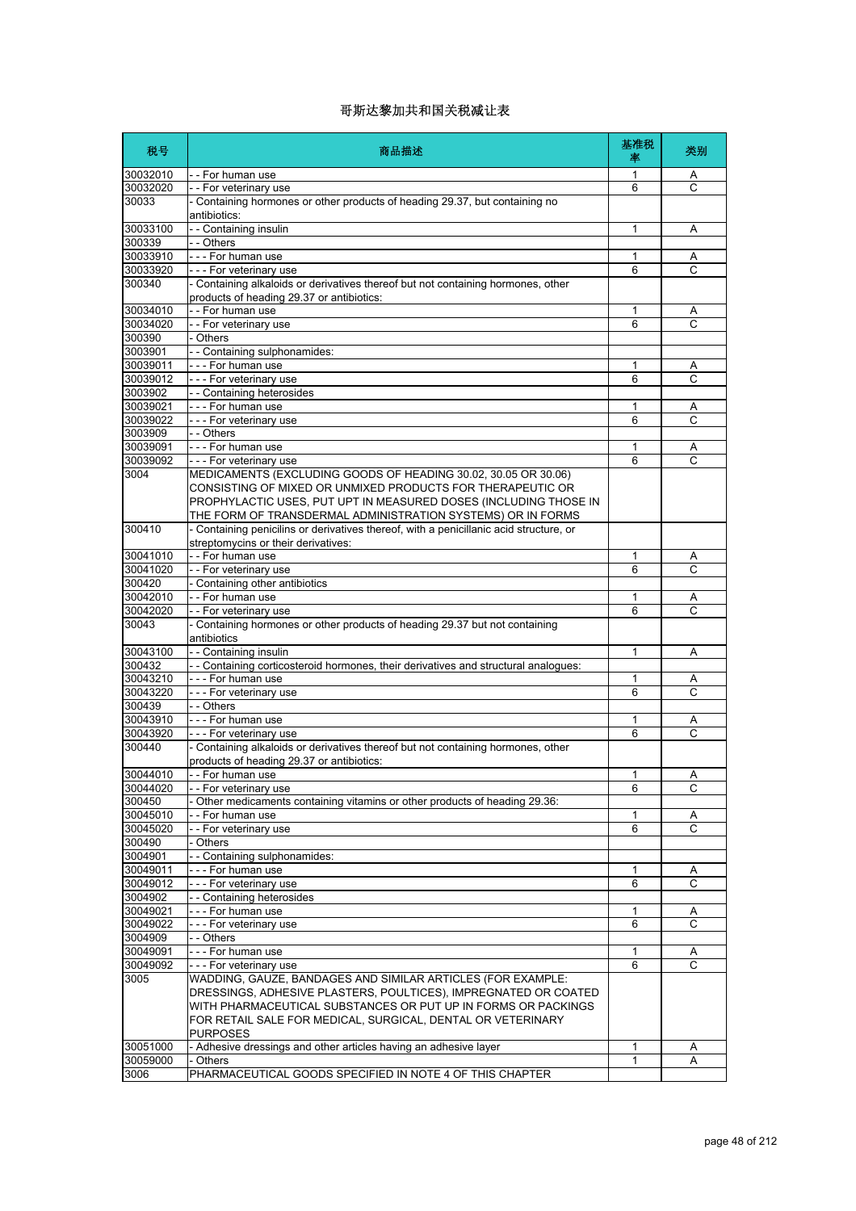| 税号                  | 商品描述                                                                                                                                                                                                                                                                              | 基准税<br>率     | 类别                  |
|---------------------|-----------------------------------------------------------------------------------------------------------------------------------------------------------------------------------------------------------------------------------------------------------------------------------|--------------|---------------------|
| 30032010            | - - For human use                                                                                                                                                                                                                                                                 | 1            | A                   |
| 30032020            | - - For veterinary use                                                                                                                                                                                                                                                            | 6            | C                   |
| 30033               | - Containing hormones or other products of heading 29.37, but containing no<br>antibiotics:                                                                                                                                                                                       |              |                     |
| 30033100            | - - Containing insulin                                                                                                                                                                                                                                                            | 1            | Α                   |
| 300339              | - - Others                                                                                                                                                                                                                                                                        |              |                     |
| 30033910            | - - - For human use                                                                                                                                                                                                                                                               | 1            | Α                   |
| 30033920            | --- For veterinary use                                                                                                                                                                                                                                                            | 6            | Ċ                   |
| 300340              | - Containing alkaloids or derivatives thereof but not containing hormones, other<br>products of heading 29.37 or antibiotics:                                                                                                                                                     |              |                     |
| 30034010            | -- For human use                                                                                                                                                                                                                                                                  | 1            | Α                   |
| 30034020            | - - For veterinary use                                                                                                                                                                                                                                                            | 6            | C                   |
| 300390              | - Others                                                                                                                                                                                                                                                                          |              |                     |
| 3003901             | - - Containing sulphonamides:                                                                                                                                                                                                                                                     |              |                     |
| 30039011            | --- For human use                                                                                                                                                                                                                                                                 | 1            | Α<br>$\mathsf{C}$   |
| 30039012            | --- For veterinary use                                                                                                                                                                                                                                                            | 6            |                     |
| 3003902<br>30039021 | - - Containing heterosides<br>- - - For human use                                                                                                                                                                                                                                 | 1            |                     |
| 30039022            | --- For veterinary use                                                                                                                                                                                                                                                            | 6            | Α<br>C              |
| 3003909             | - - Others                                                                                                                                                                                                                                                                        |              |                     |
| 30039091            | --- For human use                                                                                                                                                                                                                                                                 | 1            | Α                   |
| 30039092            | --- For veterinary use                                                                                                                                                                                                                                                            | 6            | C                   |
| 3004                | MEDICAMENTS (EXCLUDING GOODS OF HEADING 30.02, 30.05 OR 30.06)<br>CONSISTING OF MIXED OR UNMIXED PRODUCTS FOR THERAPEUTIC OR<br>PROPHYLACTIC USES, PUT UPT IN MEASURED DOSES (INCLUDING THOSE IN<br>THE FORM OF TRANSDERMAL ADMINISTRATION SYSTEMS) OR IN FORMS                   |              |                     |
| 300410              | - Containing penicilins or derivatives thereof, with a penicillanic acid structure, or<br>streptomycins or their derivatives:                                                                                                                                                     |              |                     |
| 30041010            | -- For human use                                                                                                                                                                                                                                                                  |              |                     |
| 30041020            | - - For veterinary use                                                                                                                                                                                                                                                            | 1<br>6       | A<br>$\overline{C}$ |
| 300420              | - Containing other antibiotics                                                                                                                                                                                                                                                    |              |                     |
| 30042010            | - - For human use                                                                                                                                                                                                                                                                 | 1            | Α                   |
| 30042020            | - - For veterinary use                                                                                                                                                                                                                                                            | 6            | C                   |
| 30043               | - Containing hormones or other products of heading 29.37 but not containing<br>antibiotics                                                                                                                                                                                        |              |                     |
| 30043100            | - - Containing insulin                                                                                                                                                                                                                                                            | 1            | Α                   |
| 300432              | - - Containing corticosteroid hormones, their derivatives and structural analogues:                                                                                                                                                                                               |              |                     |
| 30043210            | - - - For human use                                                                                                                                                                                                                                                               | 1            | Α                   |
| 30043220            | --- For veterinary use                                                                                                                                                                                                                                                            | 6            | C                   |
| 300439              | -- Others                                                                                                                                                                                                                                                                         |              |                     |
| 30043910            | - - - For human use                                                                                                                                                                                                                                                               | 1            | Α                   |
| 30043920            | - - - For veterinary use                                                                                                                                                                                                                                                          | 6            | Ċ                   |
| 300440              | - Containing alkaloids or derivatives thereof but not containing hormones, other<br>products of heading 29.37 or antibiotics:                                                                                                                                                     |              |                     |
| 30044010            | - - For human use                                                                                                                                                                                                                                                                 | 1            | Α                   |
| 30044020            | - - For veterinary use                                                                                                                                                                                                                                                            | 6            | C                   |
| 300450              | Other medicaments containing vitamins or other products of heading 29.36:                                                                                                                                                                                                         |              |                     |
| 30045010            | - - For human use                                                                                                                                                                                                                                                                 | 1            | Α                   |
| 30045020            | - - For veterinary use                                                                                                                                                                                                                                                            | 6            | C                   |
| 300490<br>3004901   | - Others<br>-- Containing sulphonamides:                                                                                                                                                                                                                                          |              |                     |
| 30049011            | --- For human use                                                                                                                                                                                                                                                                 | 1            |                     |
| 30049012            | --- For veterinary use                                                                                                                                                                                                                                                            | 6            | Α<br>C              |
| 3004902             | - - Containing heterosides                                                                                                                                                                                                                                                        |              |                     |
| 30049021            | --- For human use                                                                                                                                                                                                                                                                 | 1            | A                   |
| 30049022            | --- For veterinary use                                                                                                                                                                                                                                                            | 6            | C                   |
| 3004909             | - - Others                                                                                                                                                                                                                                                                        |              |                     |
| 30049091            | --- For human use                                                                                                                                                                                                                                                                 | 1            | Α                   |
| 30049092            | --- For veterinary use                                                                                                                                                                                                                                                            | 6            | $\mathsf{C}$        |
| 3005                | WADDING, GAUZE, BANDAGES AND SIMILAR ARTICLES (FOR EXAMPLE:<br>DRESSINGS, ADHESIVE PLASTERS, POULTICES), IMPREGNATED OR COATED<br>WITH PHARMACEUTICAL SUBSTANCES OR PUT UP IN FORMS OR PACKINGS<br>FOR RETAIL SALE FOR MEDICAL, SURGICAL, DENTAL OR VETERINARY<br><b>PURPOSES</b> |              |                     |
| 30051000            | - Adhesive dressings and other articles having an adhesive layer                                                                                                                                                                                                                  | $\mathbf{1}$ | Α                   |
| 30059000            | - Others                                                                                                                                                                                                                                                                          | 1            | Α                   |
| 3006                | PHARMACEUTICAL GOODS SPECIFIED IN NOTE 4 OF THIS CHAPTER                                                                                                                                                                                                                          |              |                     |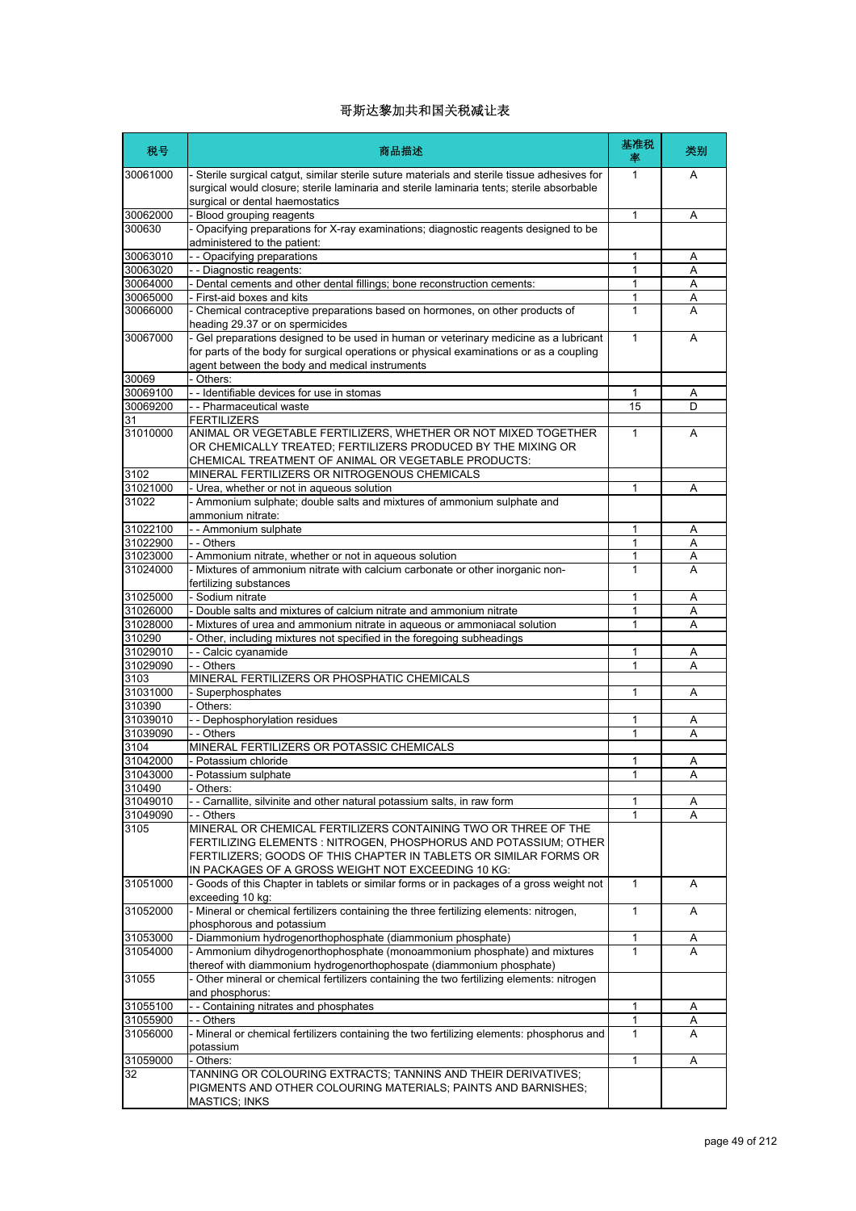| 税号                | 商品描述                                                                                                                                                                                                                                                          | 基准税<br>率     | 类别 |
|-------------------|---------------------------------------------------------------------------------------------------------------------------------------------------------------------------------------------------------------------------------------------------------------|--------------|----|
| 30061000          | - Sterile surgical catgut, similar sterile suture materials and sterile tissue adhesives for<br>surgical would closure; sterile laminaria and sterile laminaria tents; sterile absorbable<br>surgical or dental haemostatics                                  | $\mathbf{1}$ | A  |
| 30062000          | Blood grouping reagents                                                                                                                                                                                                                                       | 1            | Α  |
| 300630            | Opacifying preparations for X-ray examinations; diagnostic reagents designed to be<br>administered to the patient:                                                                                                                                            |              |    |
| 30063010          | - - Opacifying preparations                                                                                                                                                                                                                                   | 1            | Α  |
| 30063020          | - - Diagnostic reagents:                                                                                                                                                                                                                                      | 1            | A  |
| 30064000          | - Dental cements and other dental fillings; bone reconstruction cements:                                                                                                                                                                                      | 1            | A  |
| 30065000          | First-aid boxes and kits                                                                                                                                                                                                                                      | 1            | A  |
| 30066000          | Chemical contraceptive preparations based on hormones, on other products of<br>heading 29.37 or on spermicides                                                                                                                                                | 1            | А  |
| 30067000          | - Gel preparations designed to be used in human or veterinary medicine as a lubricant<br>for parts of the body for surgical operations or physical examinations or as a coupling<br>agent between the body and medical instruments                            | 1            | A  |
| 30069             | Others:                                                                                                                                                                                                                                                       |              |    |
| 30069100          | - - Identifiable devices for use in stomas                                                                                                                                                                                                                    | 1            | Α  |
| 30069200          | - - Pharmaceutical waste                                                                                                                                                                                                                                      | 15           | D  |
| 31                | <b>FERTILIZERS</b>                                                                                                                                                                                                                                            |              |    |
| 31010000          | ANIMAL OR VEGETABLE FERTILIZERS, WHETHER OR NOT MIXED TOGETHER<br>OR CHEMICALLY TREATED; FERTILIZERS PRODUCED BY THE MIXING OR<br>CHEMICAL TREATMENT OF ANIMAL OR VEGETABLE PRODUCTS:                                                                         | 1            | A  |
| 3102              | MINERAL FERTILIZERS OR NITROGENOUS CHEMICALS                                                                                                                                                                                                                  |              |    |
| 31021000<br>31022 | Urea, whether or not in aqueous solution<br>- Ammonium sulphate; double salts and mixtures of ammonium sulphate and                                                                                                                                           | 1            | Α  |
|                   | ammonium nitrate:                                                                                                                                                                                                                                             |              |    |
| 31022100          | - - Ammonium sulphate                                                                                                                                                                                                                                         | 1            | A  |
| 31022900          | - - Others                                                                                                                                                                                                                                                    | 1            | Α  |
| 31023000          | - Ammonium nitrate, whether or not in aqueous solution                                                                                                                                                                                                        | 1            | Α  |
| 31024000          | Mixtures of ammonium nitrate with calcium carbonate or other inorganic non-<br>fertilizing substances                                                                                                                                                         | 1            | А  |
| 31025000          | - Sodium nitrate                                                                                                                                                                                                                                              | 1            | Α  |
| 31026000          | Double salts and mixtures of calcium nitrate and ammonium nitrate                                                                                                                                                                                             | 1            | Α  |
| 31028000          | Mixtures of urea and ammonium nitrate in aqueous or ammoniacal solution                                                                                                                                                                                       | 1            | Α  |
| 310290            | Other, including mixtures not specified in the foregoing subheadings                                                                                                                                                                                          |              |    |
| 31029010          | - - Calcic cyanamide                                                                                                                                                                                                                                          | 1            | Α  |
| 31029090          | - - Others                                                                                                                                                                                                                                                    | 1            | A  |
| 3103              | MINERAL FERTILIZERS OR PHOSPHATIC CHEMICALS                                                                                                                                                                                                                   |              |    |
| 31031000          | - Superphosphates                                                                                                                                                                                                                                             | 1            | Α  |
| 310390            | Others:                                                                                                                                                                                                                                                       |              |    |
| 31039010          | - - Dephosphorylation residues                                                                                                                                                                                                                                | 1            | Α  |
| 31039090          | - - Others                                                                                                                                                                                                                                                    | 1            | Α  |
| 3104              | MINERAL FERTILIZERS OR POTASSIC CHEMICALS                                                                                                                                                                                                                     |              |    |
| 31042000          | - Potassium chloride                                                                                                                                                                                                                                          | 1            | Α  |
| 31043000          | Potassium sulphate                                                                                                                                                                                                                                            | 1            | Α  |
| 310490            | - Others:                                                                                                                                                                                                                                                     |              |    |
| 31049010          | - Carnallite, silvinite and other natural potassium salts, in raw form                                                                                                                                                                                        | 1            | A  |
| 31049090          | - - Others                                                                                                                                                                                                                                                    | $\mathbf{1}$ | A  |
| 3105              | MINERAL OR CHEMICAL FERTILIZERS CONTAINING TWO OR THREE OF THE<br>FERTILIZING ELEMENTS : NITROGEN, PHOSPHORUS AND POTASSIUM; OTHER<br>FERTILIZERS; GOODS OF THIS CHAPTER IN TABLETS OR SIMILAR FORMS OR<br>IN PACKAGES OF A GROSS WEIGHT NOT EXCEEDING 10 KG: |              |    |
| 31051000          | - Goods of this Chapter in tablets or similar forms or in packages of a gross weight not<br>exceeding 10 kg:                                                                                                                                                  | $\mathbf{1}$ | Α  |
| 31052000          | - Mineral or chemical fertilizers containing the three fertilizing elements: nitrogen,<br>phosphorous and potassium                                                                                                                                           | $\mathbf{1}$ | A  |
| 31053000          | Diammonium hydrogenorthophosphate (diammonium phosphate)                                                                                                                                                                                                      | 1            | A  |
| 31054000          | - Ammonium dihydrogenorthophosphate (monoammonium phosphate) and mixtures<br>thereof with diammonium hydrogenorthophospate (diammonium phosphate)                                                                                                             | 1            | A  |
| 31055             | - Other mineral or chemical fertilizers containing the two fertilizing elements: nitrogen                                                                                                                                                                     |              |    |
|                   | and phosphorus:                                                                                                                                                                                                                                               |              |    |
| 31055100          | - Containing nitrates and phosphates                                                                                                                                                                                                                          | 1            | Α  |
| 31055900          | - - Others                                                                                                                                                                                                                                                    | 1            | Α  |
| 31056000          | Mineral or chemical fertilizers containing the two fertilizing elements: phosphorus and<br>potassium                                                                                                                                                          | $\mathbf{1}$ | A  |
| 31059000          | - Others:                                                                                                                                                                                                                                                     | 1            | Α  |
| 32                | TANNING OR COLOURING EXTRACTS; TANNINS AND THEIR DERIVATIVES;                                                                                                                                                                                                 |              |    |
|                   | PIGMENTS AND OTHER COLOURING MATERIALS; PAINTS AND BARNISHES;<br><b>MASTICS; INKS</b>                                                                                                                                                                         |              |    |
|                   |                                                                                                                                                                                                                                                               |              |    |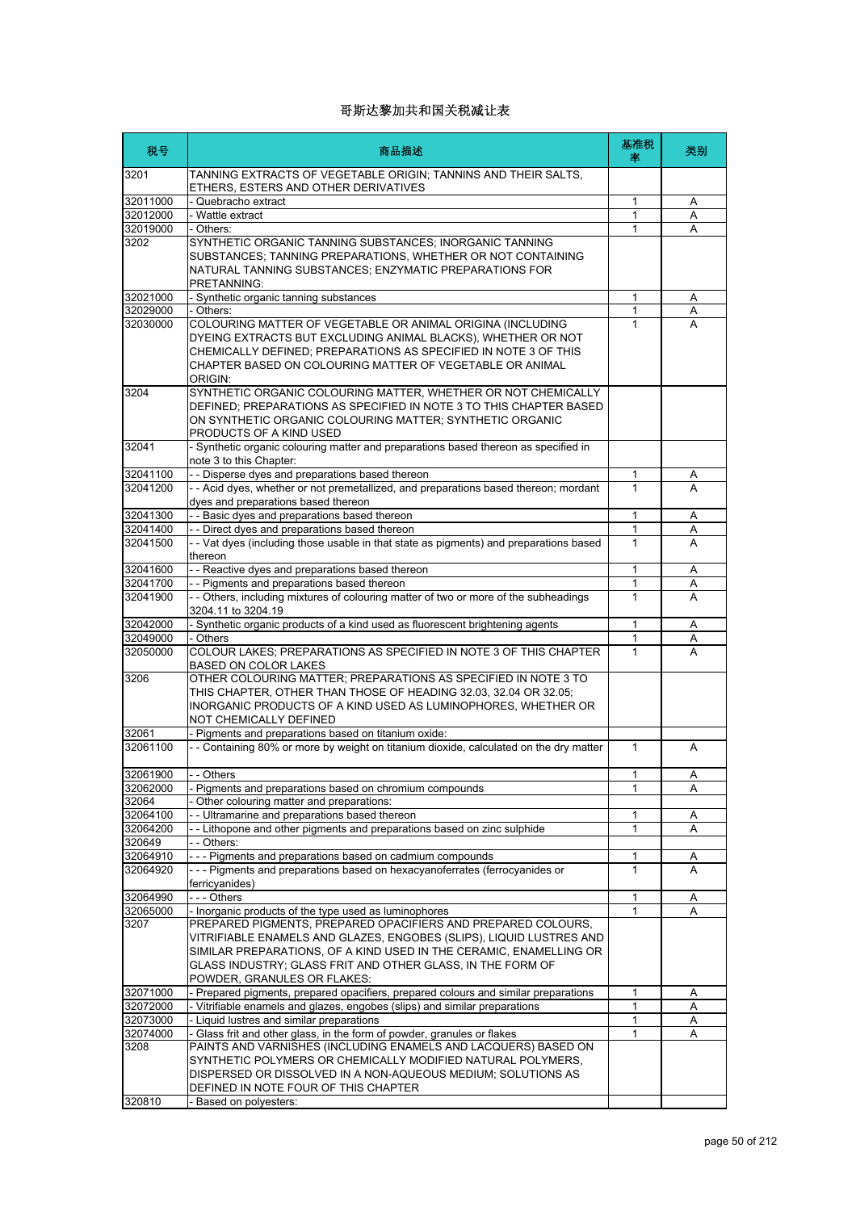| 税号               | 商品描述                                                                                                                                                                                                                                                                                                                                  | 基准税<br>率          | 类别 |
|------------------|---------------------------------------------------------------------------------------------------------------------------------------------------------------------------------------------------------------------------------------------------------------------------------------------------------------------------------------|-------------------|----|
| 3201             | TANNING EXTRACTS OF VEGETABLE ORIGIN; TANNINS AND THEIR SALTS,<br>ETHERS, ESTERS AND OTHER DERIVATIVES                                                                                                                                                                                                                                |                   |    |
| 32011000         | - Quebracho extract                                                                                                                                                                                                                                                                                                                   | 1                 | Α  |
| 32012000         | - Wattle extract                                                                                                                                                                                                                                                                                                                      | $\mathbf{1}$      | A  |
| 32019000         | - Others:                                                                                                                                                                                                                                                                                                                             | 1                 | A  |
| 3202             | SYNTHETIC ORGANIC TANNING SUBSTANCES; INORGANIC TANNING<br>SUBSTANCES; TANNING PREPARATIONS, WHETHER OR NOT CONTAINING<br>NATURAL TANNING SUBSTANCES; ENZYMATIC PREPARATIONS FOR<br>PRETANNING:                                                                                                                                       |                   |    |
| 32021000         | - Synthetic organic tanning substances                                                                                                                                                                                                                                                                                                | 1                 | Α  |
| 32029000         | - Others:                                                                                                                                                                                                                                                                                                                             | $\mathbf{1}$      | Α  |
| 32030000<br>3204 | COLOURING MATTER OF VEGETABLE OR ANIMAL ORIGINA (INCLUDING<br>DYEING EXTRACTS BUT EXCLUDING ANIMAL BLACKS), WHETHER OR NOT<br>CHEMICALLY DEFINED; PREPARATIONS AS SPECIFIED IN NOTE 3 OF THIS<br>CHAPTER BASED ON COLOURING MATTER OF VEGETABLE OR ANIMAL<br>ORIGIN:<br>SYNTHETIC ORGANIC COLOURING MATTER, WHETHER OR NOT CHEMICALLY | 1                 | A  |
|                  | DEFINED; PREPARATIONS AS SPECIFIED IN NOTE 3 TO THIS CHAPTER BASED<br>ON SYNTHETIC ORGANIC COLOURING MATTER; SYNTHETIC ORGANIC<br>PRODUCTS OF A KIND USED                                                                                                                                                                             |                   |    |
| 32041            | - Synthetic organic colouring matter and preparations based thereon as specified in<br>note 3 to this Chapter:                                                                                                                                                                                                                        |                   |    |
| 32041100         | - - Disperse dyes and preparations based thereon                                                                                                                                                                                                                                                                                      | 1                 | A  |
| 32041200         | - - Acid dyes, whether or not premetallized, and preparations based thereon; mordant<br>dyes and preparations based thereon                                                                                                                                                                                                           | $\mathbf{1}$      | A  |
| 32041300         | - - Basic dyes and preparations based thereon                                                                                                                                                                                                                                                                                         | $\mathbf{1}$      | Α  |
| 32041400         | - - Direct dyes and preparations based thereon                                                                                                                                                                                                                                                                                        | 1                 | Α  |
| 32041500         | - - Vat dyes (including those usable in that state as pigments) and preparations based<br>thereon                                                                                                                                                                                                                                     | $\mathbf{1}$      | A  |
| 32041600         | - - Reactive dyes and preparations based thereon                                                                                                                                                                                                                                                                                      | $\mathbf{1}$      | Α  |
| 32041700         | - - Pigments and preparations based thereon                                                                                                                                                                                                                                                                                           | 1                 | Α  |
| 32041900         | - - Others, including mixtures of colouring matter of two or more of the subheadings<br>3204.11 to 3204.19                                                                                                                                                                                                                            | 1                 | A  |
| 32042000         | - Synthetic organic products of a kind used as fluorescent brightening agents                                                                                                                                                                                                                                                         | 1                 | Α  |
| 32049000         | - Others                                                                                                                                                                                                                                                                                                                              | $\mathbf{1}$      | Α  |
| 32050000         | COLOUR LAKES; PREPARATIONS AS SPECIFIED IN NOTE 3 OF THIS CHAPTER<br><b>BASED ON COLOR LAKES</b>                                                                                                                                                                                                                                      | $\mathbf{1}$      | A  |
| 3206             | OTHER COLOURING MATTER; PREPARATIONS AS SPECIFIED IN NOTE 3 TO<br>THIS CHAPTER, OTHER THAN THOSE OF HEADING 32.03, 32.04 OR 32.05;<br>INORGANIC PRODUCTS OF A KIND USED AS LUMINOPHORES, WHETHER OR<br>NOT CHEMICALLY DEFINED                                                                                                         |                   |    |
| 32061            | - Pigments and preparations based on titanium oxide:                                                                                                                                                                                                                                                                                  |                   |    |
| 32061100         | - - Containing 80% or more by weight on titanium dioxide, calculated on the dry matter                                                                                                                                                                                                                                                | $\mathbf{1}$      | A  |
| 32061900         | - - Others                                                                                                                                                                                                                                                                                                                            | 1                 | А  |
| 32062000         | - Pigments and preparations based on chromium compounds                                                                                                                                                                                                                                                                               | 1                 | Α  |
| 32064            | - Other colouring matter and preparations:                                                                                                                                                                                                                                                                                            |                   |    |
| 32064100         | - - Ultramarine and preparations based thereon                                                                                                                                                                                                                                                                                        | 1                 | A  |
| 32064200         | -- Lithopone and other pigments and preparations based on zinc sulphide                                                                                                                                                                                                                                                               | $\mathbf{1}$      | Α  |
| 320649           | - - Others:                                                                                                                                                                                                                                                                                                                           |                   |    |
| 32064910         | --- Pigments and preparations based on cadmium compounds                                                                                                                                                                                                                                                                              | 1<br>$\mathbf{1}$ | Α  |
| 32064920         | --- Pigments and preparations based on hexacyanoferrates (ferrocyanides or<br>ferricyanides)                                                                                                                                                                                                                                          |                   | A  |
| 32064990         | --- Others                                                                                                                                                                                                                                                                                                                            | 1                 | Α  |
| 32065000         | - Inorganic products of the type used as luminophores                                                                                                                                                                                                                                                                                 | 1                 | Α  |
| 3207             | PREPARED PIGMENTS, PREPARED OPACIFIERS AND PREPARED COLOURS,<br>VITRIFIABLE ENAMELS AND GLAZES, ENGOBES (SLIPS), LIQUID LUSTRES AND<br>SIMILAR PREPARATIONS, OF A KIND USED IN THE CERAMIC, ENAMELLING OR<br>GLASS INDUSTRY; GLASS FRIT AND OTHER GLASS, IN THE FORM OF<br>POWDER, GRANULES OR FLAKES:                                |                   |    |
| 32071000         | - Prepared pigments, prepared opacifiers, prepared colours and similar preparations                                                                                                                                                                                                                                                   | 1                 | Α  |
| 32072000         | - Vitrifiable enamels and glazes, engobes (slips) and similar preparations                                                                                                                                                                                                                                                            | 1                 | Α  |
| 32073000         | - Liquid lustres and similar preparations                                                                                                                                                                                                                                                                                             | $\mathbf{1}$      | Α  |
| 32074000<br>3208 | - Glass frit and other glass, in the form of powder, granules or flakes<br>PAINTS AND VARNISHES (INCLUDING ENAMELS AND LACQUERS) BASED ON                                                                                                                                                                                             | 1                 | Α  |
|                  | SYNTHETIC POLYMERS OR CHEMICALLY MODIFIED NATURAL POLYMERS,<br>DISPERSED OR DISSOLVED IN A NON-AQUEOUS MEDIUM; SOLUTIONS AS<br>DEFINED IN NOTE FOUR OF THIS CHAPTER                                                                                                                                                                   |                   |    |
| 320810           | - Based on polyesters:                                                                                                                                                                                                                                                                                                                |                   |    |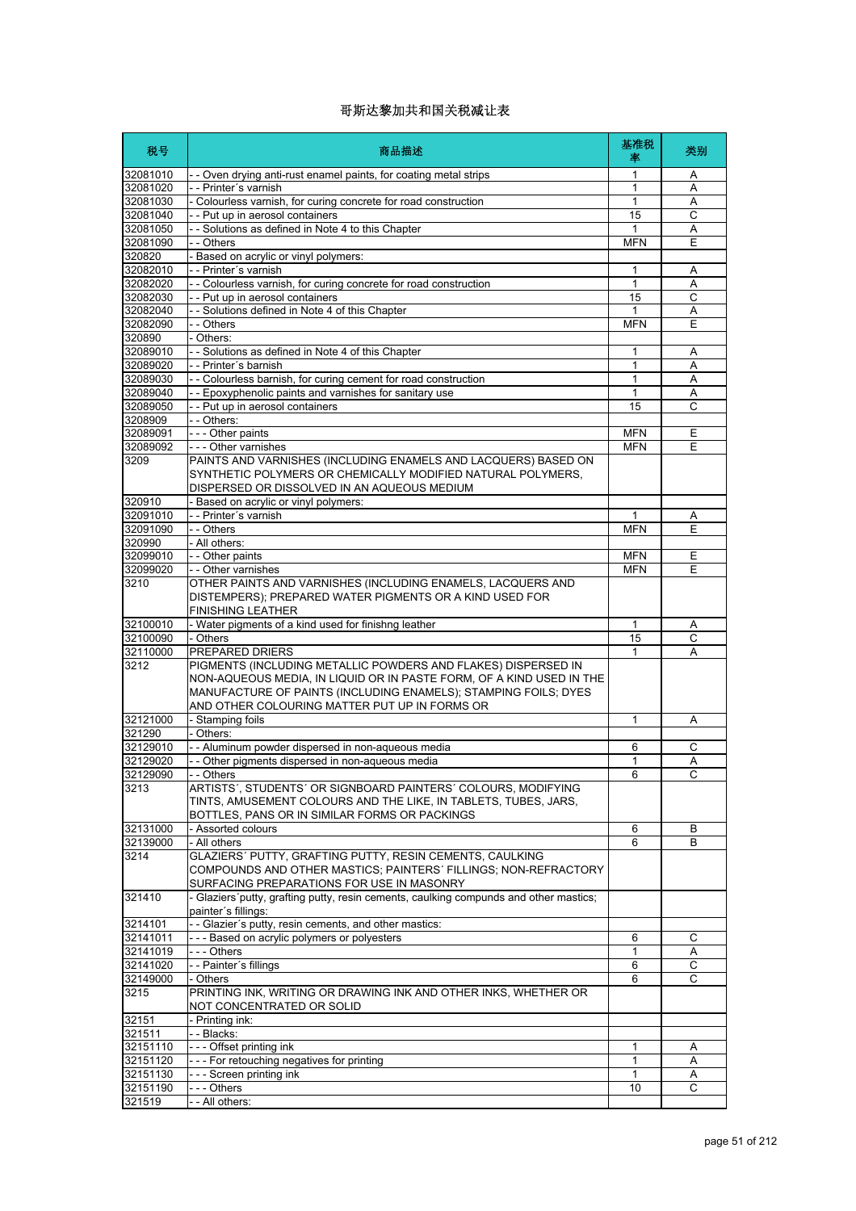| 税号                   | 商品描述                                                                                                                                                                                                                                                      | 基准税<br>率   | 类别                |
|----------------------|-----------------------------------------------------------------------------------------------------------------------------------------------------------------------------------------------------------------------------------------------------------|------------|-------------------|
| 32081010             | - - Oven drying anti-rust enamel paints, for coating metal strips                                                                                                                                                                                         | 1          | Α                 |
| 32081020             | - - Printer's varnish                                                                                                                                                                                                                                     | 1          | Α                 |
| 32081030             | - Colourless varnish, for curing concrete for road construction                                                                                                                                                                                           | 1          | Α                 |
| 32081040<br>32081050 | - - Put up in aerosol containers<br>- - Solutions as defined in Note 4 to this Chapter                                                                                                                                                                    | 15<br>1    | C<br>Α            |
| 32081090             | - - Others                                                                                                                                                                                                                                                | <b>MFN</b> | Ε                 |
| 320820               | - Based on acrylic or vinyl polymers:                                                                                                                                                                                                                     |            |                   |
| 32082010             | - - Printer's varnish                                                                                                                                                                                                                                     | 1          | Α                 |
| 32082020             | - - Colourless varnish, for curing concrete for road construction                                                                                                                                                                                         | 1          | Α                 |
| 32082030             | - - Put up in aerosol containers                                                                                                                                                                                                                          | 15         | $\mathsf C$       |
| 32082040             | - - Solutions defined in Note 4 of this Chapter                                                                                                                                                                                                           | 1          | Α                 |
| 32082090             | - - Others                                                                                                                                                                                                                                                | <b>MFN</b> | E                 |
| 320890               | - Others:                                                                                                                                                                                                                                                 |            |                   |
| 32089010<br>32089020 | - - Solutions as defined in Note 4 of this Chapter<br>- - Printer's barnish                                                                                                                                                                               | 1<br>1     | Α<br>Α            |
| 32089030             | - - Colourless barnish, for curing cement for road construction                                                                                                                                                                                           | 1          | Α                 |
| 32089040             | - - Epoxyphenolic paints and varnishes for sanitary use                                                                                                                                                                                                   | 1          | A                 |
| 32089050             | - - Put up in aerosol containers                                                                                                                                                                                                                          | 15         | C                 |
| 3208909              | - - Others:                                                                                                                                                                                                                                               |            |                   |
| 32089091             | - - - Other paints                                                                                                                                                                                                                                        | <b>MFN</b> | Ε                 |
| 32089092             | - - - Other varnishes                                                                                                                                                                                                                                     | <b>MFN</b> | Ε                 |
| 3209                 | PAINTS AND VARNISHES (INCLUDING ENAMELS AND LACQUERS) BASED ON<br>SYNTHETIC POLYMERS OR CHEMICALLY MODIFIED NATURAL POLYMERS.<br>DISPERSED OR DISSOLVED IN AN AQUEOUS MEDIUM                                                                              |            |                   |
| 320910               | - Based on acrylic or vinyl polymers:                                                                                                                                                                                                                     |            |                   |
| 32091010             | - - Printer's varnish                                                                                                                                                                                                                                     | 1          | Α                 |
| 32091090             | - - Others                                                                                                                                                                                                                                                | <b>MFN</b> | Ε                 |
| 320990               | - All others:                                                                                                                                                                                                                                             |            |                   |
| 32099010             | - - Other paints                                                                                                                                                                                                                                          | <b>MFN</b> | Ε                 |
| 32099020             | - - Other varnishes                                                                                                                                                                                                                                       | <b>MFN</b> | Е                 |
| 3210                 | OTHER PAINTS AND VARNISHES (INCLUDING ENAMELS, LACQUERS AND<br>DISTEMPERS); PREPARED WATER PIGMENTS OR A KIND USED FOR<br><b>FINISHING LEATHER</b>                                                                                                        |            |                   |
| 32100010             | - Water pigments of a kind used for finishng leather                                                                                                                                                                                                      | 1          | Α                 |
| 32100090             | - Others                                                                                                                                                                                                                                                  | 15         | С                 |
| 32110000             | <b>PREPARED DRIERS</b>                                                                                                                                                                                                                                    | 1          | A                 |
| 3212                 | PIGMENTS (INCLUDING METALLIC POWDERS AND FLAKES) DISPERSED IN<br>NON-AQUEOUS MEDIA, IN LIQUID OR IN PASTE FORM, OF A KIND USED IN THE<br>MANUFACTURE OF PAINTS (INCLUDING ENAMELS); STAMPING FOILS; DYES<br>AND OTHER COLOURING MATTER PUT UP IN FORMS OR |            |                   |
| 32121000             | - Stamping foils                                                                                                                                                                                                                                          | 1          | Α                 |
| 321290               | - Others:                                                                                                                                                                                                                                                 |            |                   |
| 32129010             | - - Aluminum powder dispersed in non-aqueous media                                                                                                                                                                                                        | 6          | C                 |
| 32129020             | - - Other pigments dispersed in non-aqueous media                                                                                                                                                                                                         | 1          | Α<br>$\mathsf{C}$ |
| 32129090<br>3213     | Others<br>ARTISTS', STUDENTS' OR SIGNBOARD PAINTERS' COLOURS, MODIFYING                                                                                                                                                                                   | 6          |                   |
|                      | TINTS, AMUSEMENT COLOURS AND THE LIKE, IN TABLETS, TUBES, JARS,<br>BOTTLES, PANS OR IN SIMILAR FORMS OR PACKINGS                                                                                                                                          |            |                   |
| 32131000             | - Assorted colours                                                                                                                                                                                                                                        | 6          | В                 |
| 32139000             | - All others                                                                                                                                                                                                                                              | 6          | B                 |
| 3214                 | GLAZIERS' PUTTY, GRAFTING PUTTY, RESIN CEMENTS, CAULKING<br>COMPOUNDS AND OTHER MASTICS: PAINTERS' FILLINGS: NON-REFRACTORY<br>SURFACING PREPARATIONS FOR USE IN MASONRY                                                                                  |            |                   |
| 321410               | - Glaziers' putty, grafting putty, resin cements, caulking compunds and other mastics;<br>painter's fillings:                                                                                                                                             |            |                   |
| 3214101              | - - Glazier's putty, resin cements, and other mastics:                                                                                                                                                                                                    |            |                   |
| 32141011             | --- Based on acrylic polymers or polyesters                                                                                                                                                                                                               | 6          | С                 |
| 32141019             | --- Others                                                                                                                                                                                                                                                | 1          | Α                 |
| 32141020<br>32149000 | - - Painter's fillings                                                                                                                                                                                                                                    | 6<br>6     | С<br>С            |
| 3215                 | - Others<br>PRINTING INK, WRITING OR DRAWING INK AND OTHER INKS, WHETHER OR<br>NOT CONCENTRATED OR SOLID                                                                                                                                                  |            |                   |
| 32151                | - Printing ink:                                                                                                                                                                                                                                           |            |                   |
| 321511               | - - Blacks:                                                                                                                                                                                                                                               |            |                   |
| 32151110             | --- Offset printing ink                                                                                                                                                                                                                                   | 1          | Α                 |
| 32151120             | --- For retouching negatives for printing                                                                                                                                                                                                                 | 1          | Α                 |
| 32151130             | --- Screen printing ink                                                                                                                                                                                                                                   | 1          | Α                 |
| 32151190             | --- Others                                                                                                                                                                                                                                                | 10         | С                 |
| 321519               | - - All others:                                                                                                                                                                                                                                           |            |                   |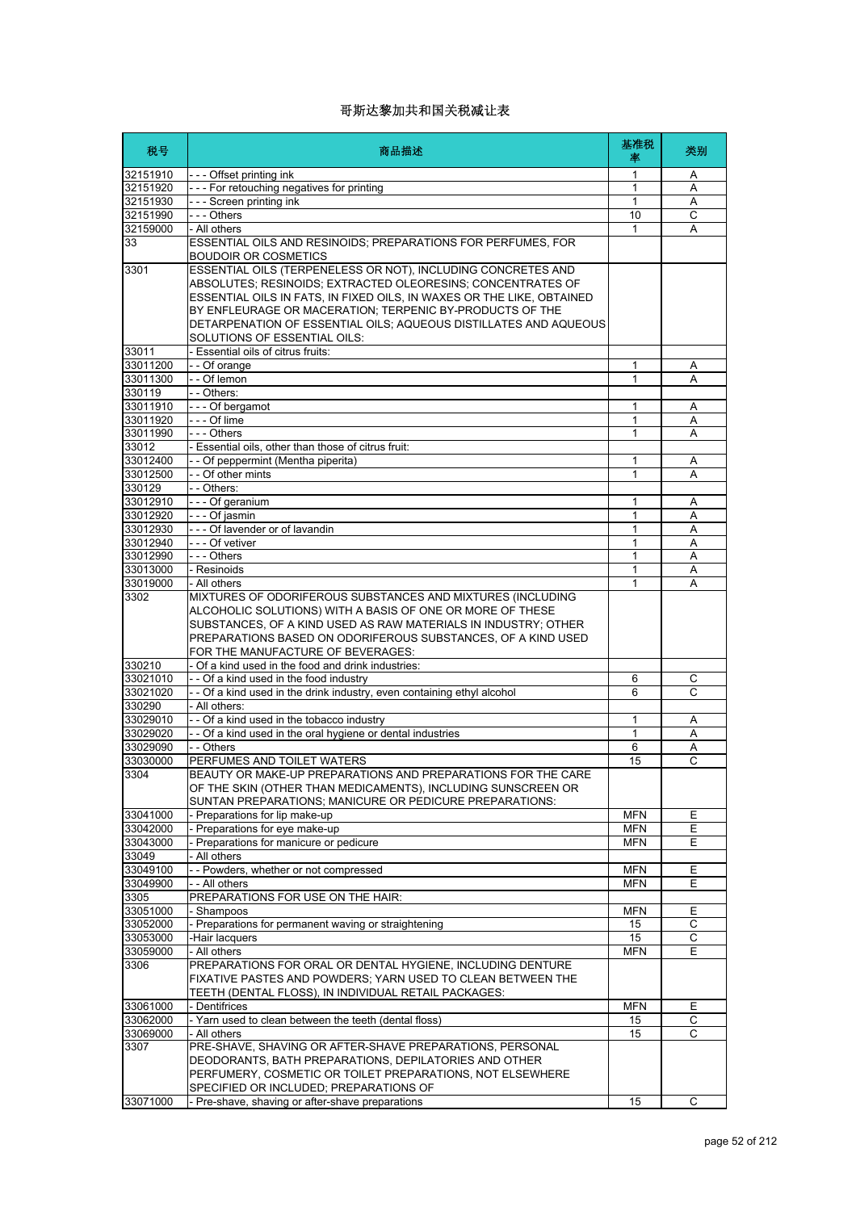| 税号                   | 商品描述                                                                                                                         | 基准税<br>率                 | 类别             |
|----------------------|------------------------------------------------------------------------------------------------------------------------------|--------------------------|----------------|
| 32151910             | - - - Offset printing ink                                                                                                    | 1                        | Α              |
| 32151920             | --- For retouching negatives for printing                                                                                    | 1                        | Α              |
| 32151930             | - - - Screen printing ink                                                                                                    | 1                        | Α              |
| 32151990             | --- Others                                                                                                                   | 10                       | $\overline{c}$ |
| 32159000             | - All others                                                                                                                 | 1                        | Α              |
| 33                   | ESSENTIAL OILS AND RESINOIDS; PREPARATIONS FOR PERFUMES, FOR<br>BOUDOIR OR COSMETICS                                         |                          |                |
| 3301                 | ESSENTIAL OILS (TERPENELESS OR NOT), INCLUDING CONCRETES AND                                                                 |                          |                |
|                      | ABSOLUTES; RESINOIDS; EXTRACTED OLEORESINS; CONCENTRATES OF                                                                  |                          |                |
|                      | ESSENTIAL OILS IN FATS, IN FIXED OILS, IN WAXES OR THE LIKE, OBTAINED                                                        |                          |                |
|                      | BY ENFLEURAGE OR MACERATION: TERPENIC BY-PRODUCTS OF THE<br>DETARPENATION OF ESSENTIAL OILS; AQUEOUS DISTILLATES AND AQUEOUS |                          |                |
|                      | SOLUTIONS OF ESSENTIAL OILS:                                                                                                 |                          |                |
| 33011                | - Essential oils of citrus fruits:                                                                                           |                          |                |
| 33011200             | - - Of orange                                                                                                                | 1                        | Α              |
| 33011300             | - - Of lemon                                                                                                                 | $\mathbf{1}$             | A              |
| 330119               | - - Others:                                                                                                                  |                          |                |
| 33011910             | - - - Of bergamot                                                                                                            | 1                        | A              |
| 33011920             | - - - Of lime                                                                                                                | 1                        | Α              |
| 33011990             | $--$ Others                                                                                                                  | 1                        | А              |
| 33012                | - Essential oils, other than those of citrus fruit:                                                                          |                          |                |
| 33012400             | - - Of peppermint (Mentha piperita)                                                                                          | 1                        | A              |
| 33012500             | - - Of other mints                                                                                                           | 1                        | A              |
| 330129               | - - Others:                                                                                                                  |                          |                |
| 33012910<br>33012920 | --- Of geranium<br>- - - Of iasmin                                                                                           | 1<br>1                   | Α<br>A         |
| 33012930             | - - - Of lavender or of lavandin                                                                                             | 1                        | A              |
| 33012940             | - - - Of vetiver                                                                                                             | $\mathbf{1}$             | Α              |
| 33012990             | --- Others                                                                                                                   | 1                        | Α              |
| 33013000             | - Resinoids                                                                                                                  | 1                        | Α              |
| 33019000             | - All others                                                                                                                 | 1                        | Α              |
| 3302                 | MIXTURES OF ODORIFEROUS SUBSTANCES AND MIXTURES (INCLUDING                                                                   |                          |                |
|                      | ALCOHOLIC SOLUTIONS) WITH A BASIS OF ONE OR MORE OF THESE                                                                    |                          |                |
|                      | SUBSTANCES, OF A KIND USED AS RAW MATERIALS IN INDUSTRY; OTHER                                                               |                          |                |
|                      | PREPARATIONS BASED ON ODORIFEROUS SUBSTANCES, OF A KIND USED                                                                 |                          |                |
|                      | FOR THE MANUFACTURE OF BEVERAGES:                                                                                            |                          |                |
| 330210<br>33021010   | - Of a kind used in the food and drink industries:<br>- - Of a kind used in the food industry                                |                          |                |
| 33021020             | - - Of a kind used in the drink industry, even containing ethyl alcohol                                                      | 6<br>6                   | С<br>C         |
| 330290               | - All others:                                                                                                                |                          |                |
| 33029010             | - - Of a kind used in the tobacco industry                                                                                   | 1                        | Α              |
| 33029020             | - - Of a kind used in the oral hygiene or dental industries                                                                  | $\mathbf{1}$             | Α              |
| 33029090             | - - Others                                                                                                                   | 6                        | Α              |
| 33030000             | PERFUMES AND TOILET WATERS                                                                                                   | 15                       | С              |
| 3304                 | BEAUTY OR MAKE-UP PREPARATIONS AND PREPARATIONS FOR THE CARE                                                                 |                          |                |
|                      | OF THE SKIN (OTHER THAN MEDICAMENTS), INCLUDING SUNSCREEN OR                                                                 |                          |                |
|                      | SUNTAN PREPARATIONS; MANICURE OR PEDICURE PREPARATIONS:                                                                      |                          |                |
| 33041000             | - Preparations for lip make-up                                                                                               | <b>MFN</b>               | Е              |
| 33042000             | - Preparations for eye make-up<br>- Preparations for manicure or pedicure                                                    | <b>MFN</b><br><b>MFN</b> | Е              |
| 33043000<br>33049    | - All others                                                                                                                 |                          | Е              |
| 33049100             | - - Powders, whether or not compressed                                                                                       | <b>MFN</b>               | Е              |
| 33049900             | - - All others                                                                                                               | <b>MFN</b>               | Е              |
| 3305                 | PREPARATIONS FOR USE ON THE HAIR:                                                                                            |                          |                |
| 33051000             | - Shampoos                                                                                                                   | <b>MFN</b>               | Ε              |
| 33052000             | - Preparations for permanent waving or straightening                                                                         | 15                       | С              |
| 33053000             | -Hair lacquers                                                                                                               | 15                       | C              |
| 33059000             | - All others                                                                                                                 | <b>MFN</b>               | E              |
| 3306                 | PREPARATIONS FOR ORAL OR DENTAL HYGIENE, INCLUDING DENTURE                                                                   |                          |                |
|                      | FIXATIVE PASTES AND POWDERS; YARN USED TO CLEAN BETWEEN THE                                                                  |                          |                |
|                      | TEETH (DENTAL FLOSS), IN INDIVIDUAL RETAIL PACKAGES:                                                                         |                          |                |
| 33061000             | - Dentifrices                                                                                                                | <b>MFN</b>               | Е              |
| 33062000<br>33069000 | - Yarn used to clean between the teeth (dental floss)<br>- All others                                                        | 15<br>15                 | С<br>C         |
| 3307                 | PRE-SHAVE, SHAVING OR AFTER-SHAVE PREPARATIONS, PERSONAL                                                                     |                          |                |
|                      | DEODORANTS, BATH PREPARATIONS, DEPILATORIES AND OTHER                                                                        |                          |                |
|                      | PERFUMERY, COSMETIC OR TOILET PREPARATIONS, NOT ELSEWHERE                                                                    |                          |                |
|                      | SPECIFIED OR INCLUDED; PREPARATIONS OF                                                                                       |                          |                |
| 33071000             | - Pre-shave, shaving or after-shave preparations                                                                             | 15                       | С              |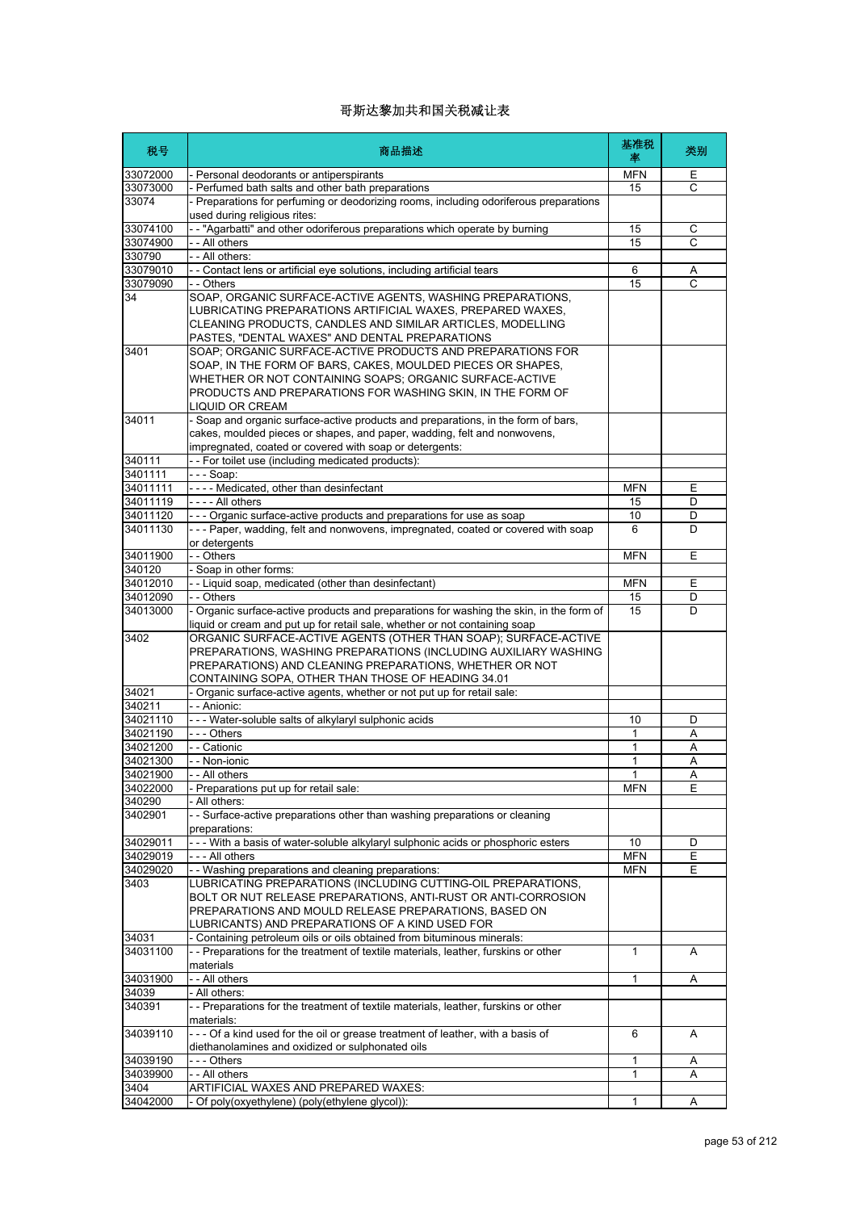| 税号                | 商品描述                                                                                                                                                                                                                                                                  | 基准税<br>率   | 类别 |
|-------------------|-----------------------------------------------------------------------------------------------------------------------------------------------------------------------------------------------------------------------------------------------------------------------|------------|----|
| 33072000          | - Personal deodorants or antiperspirants                                                                                                                                                                                                                              | <b>MFN</b> | Е  |
| 33073000          | - Perfumed bath salts and other bath preparations                                                                                                                                                                                                                     | 15         | C  |
| 33074             | - Preparations for perfuming or deodorizing rooms, including odoriferous preparations<br>used during religious rites:                                                                                                                                                 |            |    |
| 33074100          | -- "Agarbatti" and other odoriferous preparations which operate by burning                                                                                                                                                                                            | 15         | C  |
| 33074900          | - All others                                                                                                                                                                                                                                                          | 15         | C  |
| 330790            | - - All others:                                                                                                                                                                                                                                                       |            |    |
| 33079010          | - Contact lens or artificial eye solutions, including artificial tears                                                                                                                                                                                                | 6          | Α  |
| 33079090          | - - Others                                                                                                                                                                                                                                                            | 15         | C  |
| 34                | SOAP, ORGANIC SURFACE-ACTIVE AGENTS, WASHING PREPARATIONS,<br>LUBRICATING PREPARATIONS ARTIFICIAL WAXES, PREPARED WAXES,<br>CLEANING PRODUCTS, CANDLES AND SIMILAR ARTICLES, MODELLING<br>PASTES, "DENTAL WAXES" AND DENTAL PREPARATIONS                              |            |    |
| 3401              | SOAP; ORGANIC SURFACE-ACTIVE PRODUCTS AND PREPARATIONS FOR<br>SOAP, IN THE FORM OF BARS, CAKES, MOULDED PIECES OR SHAPES,<br>WHETHER OR NOT CONTAINING SOAPS; ORGANIC SURFACE-ACTIVE<br>PRODUCTS AND PREPARATIONS FOR WASHING SKIN, IN THE FORM OF<br>LIQUID OR CREAM |            |    |
| 34011             | - Soap and organic surface-active products and preparations, in the form of bars,<br>cakes, moulded pieces or shapes, and paper, wadding, felt and nonwovens,<br>impregnated, coated or covered with soap or detergents:                                              |            |    |
| 340111            | -- For toilet use (including medicated products)                                                                                                                                                                                                                      |            |    |
| 3401111           | -  -  - Soap:                                                                                                                                                                                                                                                         |            |    |
| 34011111          | ---- Medicated, other than desinfectant                                                                                                                                                                                                                               | <b>MFN</b> | Ε  |
| 34011119          | - - - - All others                                                                                                                                                                                                                                                    | 15         | D  |
| 34011120          | - - - Organic surface-active products and preparations for use as soap                                                                                                                                                                                                | 10         | D  |
| 34011130          | --- Paper, wadding, felt and nonwovens, impregnated, coated or covered with soap<br>or detergents                                                                                                                                                                     | 6          | D  |
| 34011900          | - - Others                                                                                                                                                                                                                                                            | <b>MFN</b> | Ε  |
| 340120            | - Soap in other forms:                                                                                                                                                                                                                                                |            |    |
| 34012010          | -- Liquid soap, medicated (other than desinfectant)                                                                                                                                                                                                                   | <b>MFN</b> | Ε  |
| 34012090          | - - Others                                                                                                                                                                                                                                                            | 15         | D  |
| 34013000          | - Organic surface-active products and preparations for washing the skin, in the form of<br>liquid or cream and put up for retail sale, whether or not containing soap                                                                                                 | 15         | D  |
| 3402              | ORGANIC SURFACE-ACTIVE AGENTS (OTHER THAN SOAP); SURFACE-ACTIVE<br>PREPARATIONS, WASHING PREPARATIONS (INCLUDING AUXILIARY WASHING<br>PREPARATIONS) AND CLEANING PREPARATIONS, WHETHER OR NOT<br>CONTAINING SOPA, OTHER THAN THOSE OF HEADING 34.01                   |            |    |
| 34021             | Organic surface-active agents, whether or not put up for retail sale:                                                                                                                                                                                                 |            |    |
| 340211            | - - Anionic:                                                                                                                                                                                                                                                          |            |    |
| 34021110          | --- Water-soluble salts of alkylaryl sulphonic acids                                                                                                                                                                                                                  | 10         | D  |
| 34021190          | --- Others                                                                                                                                                                                                                                                            | 1          | Α  |
| 34021200          | - - Cationic                                                                                                                                                                                                                                                          | 1          | Α  |
| 34021300          | - - Non-ionic                                                                                                                                                                                                                                                         | 1          | Α  |
| 34021900          | - All others                                                                                                                                                                                                                                                          | 1          | A  |
| 34022000          | - Preparations put up for retail sale:                                                                                                                                                                                                                                | <b>MFN</b> | Ε  |
| 340290<br>3402901 | All others:<br>- - Surface-active preparations other than washing preparations or cleaning                                                                                                                                                                            |            |    |
|                   | preparations:                                                                                                                                                                                                                                                         |            |    |
| 34029011          | --- With a basis of water-soluble alkylaryl sulphonic acids or phosphoric esters                                                                                                                                                                                      | 10         | D  |
| 34029019          | $\overline{-}$ - All others                                                                                                                                                                                                                                           | <b>MFN</b> | Ε  |
| 34029020<br>3403  | - Washing preparations and cleaning preparations:<br>LUBRICATING PREPARATIONS (INCLUDING CUTTING-OIL PREPARATIONS,<br>BOLT OR NUT RELEASE PREPARATIONS, ANTI-RUST OR ANTI-CORROSION                                                                                   | <b>MFN</b> | Е  |
|                   | PREPARATIONS AND MOULD RELEASE PREPARATIONS, BASED ON<br>LUBRICANTS) AND PREPARATIONS OF A KIND USED FOR                                                                                                                                                              |            |    |
| 34031             | - Containing petroleum oils or oils obtained from bituminous minerals:                                                                                                                                                                                                |            |    |
| 34031100          | -- Preparations for the treatment of textile materials, leather, furskins or other<br>materials                                                                                                                                                                       | 1          | A  |
| 34031900          | - - All others                                                                                                                                                                                                                                                        | 1          | Α  |
| 34039<br>340391   | - All others:<br>-- Preparations for the treatment of textile materials, leather, furskins or other                                                                                                                                                                   |            |    |
| 34039110          | materials:<br>--- Of a kind used for the oil or grease treatment of leather, with a basis of                                                                                                                                                                          | 6          | A  |
|                   | diethanolamines and oxidized or sulphonated oils                                                                                                                                                                                                                      |            |    |
| 34039190          | --- Others                                                                                                                                                                                                                                                            | 1          | Α  |
| 34039900<br>3404  | - - All others<br>ARTIFICIAL WAXES AND PREPARED WAXES:                                                                                                                                                                                                                | 1          | Α  |
| 34042000          | Of poly(oxyethylene) (poly(ethylene glycol)):                                                                                                                                                                                                                         | 1          | Α  |
|                   |                                                                                                                                                                                                                                                                       |            |    |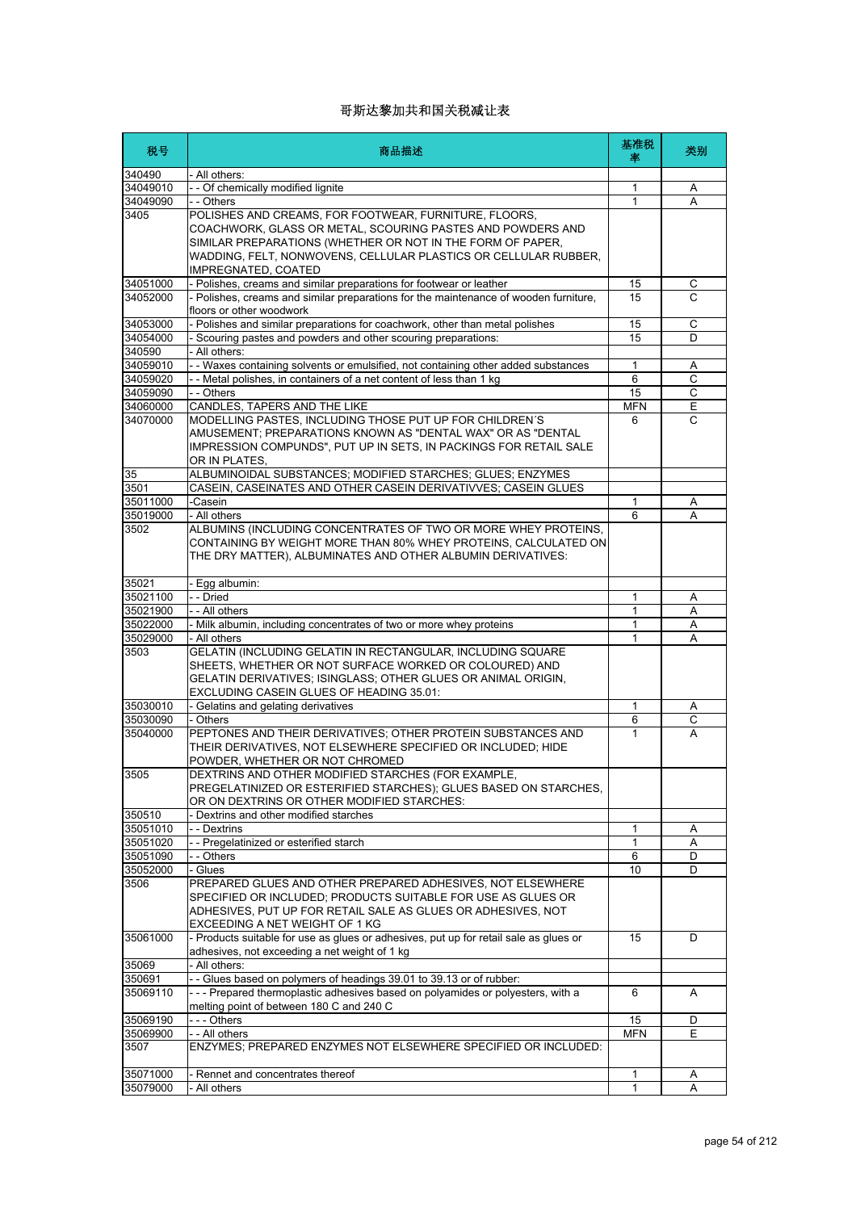| 税号                 | 商品描述                                                                                                                                                                                                                                                                        | 基准税<br>率     | 类别 |
|--------------------|-----------------------------------------------------------------------------------------------------------------------------------------------------------------------------------------------------------------------------------------------------------------------------|--------------|----|
| 340490             | - All others:                                                                                                                                                                                                                                                               |              |    |
| 34049010           | - - Of chemically modified lignite                                                                                                                                                                                                                                          | $\mathbf{1}$ | Α  |
| 34049090           | - - Others                                                                                                                                                                                                                                                                  | 1            | Α  |
| 3405               | POLISHES AND CREAMS, FOR FOOTWEAR, FURNITURE, FLOORS,<br>COACHWORK, GLASS OR METAL, SCOURING PASTES AND POWDERS AND<br>SIMILAR PREPARATIONS (WHETHER OR NOT IN THE FORM OF PAPER,<br>WADDING, FELT, NONWOVENS, CELLULAR PLASTICS OR CELLULAR RUBBER,<br>IMPREGNATED, COATED |              |    |
| 34051000           | - Polishes, creams and similar preparations for footwear or leather                                                                                                                                                                                                         | 15           | С  |
| 34052000           | - Polishes, creams and similar preparations for the maintenance of wooden furniture,<br>floors or other woodwork                                                                                                                                                            | 15           | C  |
| 34053000           | - Polishes and similar preparations for coachwork, other than metal polishes                                                                                                                                                                                                | 15           | C  |
| 34054000           | Scouring pastes and powders and other scouring preparations:                                                                                                                                                                                                                | 15           | D  |
| 340590             | All others:                                                                                                                                                                                                                                                                 |              |    |
| 34059010           | - - Waxes containing solvents or emulsified, not containing other added substances                                                                                                                                                                                          | 1            | Α  |
| 34059020           | - - Metal polishes, in containers of a net content of less than 1 kg                                                                                                                                                                                                        | 6            | C  |
| 34059090           | - - Others                                                                                                                                                                                                                                                                  | 15           | С  |
| 34060000           | CANDLES, TAPERS AND THE LIKE                                                                                                                                                                                                                                                | <b>MFN</b>   | E  |
| 34070000           | MODELLING PASTES, INCLUDING THOSE PUT UP FOR CHILDREN'S<br>AMUSEMENT; PREPARATIONS KNOWN AS "DENTAL WAX" OR AS "DENTAL<br>IMPRESSION COMPUNDS", PUT UP IN SETS, IN PACKINGS FOR RETAIL SALE<br>OR IN PLATES,                                                                | 6            | C  |
| 35                 | ALBUMINOIDAL SUBSTANCES; MODIFIED STARCHES; GLUES; ENZYMES                                                                                                                                                                                                                  |              |    |
| 3501               | CASEIN, CASEINATES AND OTHER CASEIN DERIVATIVVES; CASEIN GLUES                                                                                                                                                                                                              |              |    |
| 35011000           | -Casein                                                                                                                                                                                                                                                                     | 1            | Α  |
| 35019000           | - All others                                                                                                                                                                                                                                                                | 6            | A  |
| 3502               | ALBUMINS (INCLUDING CONCENTRATES OF TWO OR MORE WHEY PROTEINS,<br>CONTAINING BY WEIGHT MORE THAN 80% WHEY PROTEINS, CALCULATED ON<br>THE DRY MATTER), ALBUMINATES AND OTHER ALBUMIN DERIVATIVES:                                                                            |              |    |
| 35021              | Egg albumin:                                                                                                                                                                                                                                                                |              |    |
| 35021100           | - - Dried                                                                                                                                                                                                                                                                   | 1            | Α  |
| 35021900           | - - All others                                                                                                                                                                                                                                                              | 1            | A  |
| 35022000           | - Milk albumin, including concentrates of two or more whey proteins                                                                                                                                                                                                         | 1            | Α  |
| 35029000           | - All others                                                                                                                                                                                                                                                                | 1            | А  |
| 3503               | GELATIN (INCLUDING GELATIN IN RECTANGULAR, INCLUDING SQUARE<br>SHEETS, WHETHER OR NOT SURFACE WORKED OR COLOURED) AND<br>GELATIN DERIVATIVES; ISINGLASS; OTHER GLUES OR ANIMAL ORIGIN,<br>EXCLUDING CASEIN GLUES OF HEADING 35.01:                                          |              |    |
| 35030010           | - Gelatins and gelating derivatives                                                                                                                                                                                                                                         | $\mathbf{1}$ | Α  |
| 35030090           | - Others                                                                                                                                                                                                                                                                    | 6            | С  |
| 35040000           | PEPTONES AND THEIR DERIVATIVES; OTHER PROTEIN SUBSTANCES AND<br>THEIR DERIVATIVES, NOT ELSEWHERE SPECIFIED OR INCLUDED; HIDE<br>POWDER, WHETHER OR NOT CHROMED                                                                                                              | 1            | A  |
| 3505               | DEXTRINS AND OTHER MODIFIED STARCHES (FOR EXAMPLE,<br>PREGELATINIZED OR ESTERIFIED STARCHES); GLUES BASED ON STARCHES,<br>OR ON DEXTRINS OR OTHER MODIFIED STARCHES:                                                                                                        |              |    |
| 350510             | - Dextrins and other modified starches                                                                                                                                                                                                                                      |              |    |
| 35051010           | - - Dextrins                                                                                                                                                                                                                                                                | 1            | Α  |
| 35051020           | - - Pregelatinized or esterified starch                                                                                                                                                                                                                                     | 1            | Α  |
| 35051090           | - - Others                                                                                                                                                                                                                                                                  | 6            | D  |
| 35052000           | - Glues                                                                                                                                                                                                                                                                     | 10           | D  |
| 3506               | PREPARED GLUES AND OTHER PREPARED ADHESIVES, NOT ELSEWHERE<br>SPECIFIED OR INCLUDED; PRODUCTS SUITABLE FOR USE AS GLUES OR<br>ADHESIVES, PUT UP FOR RETAIL SALE AS GLUES OR ADHESIVES, NOT<br>EXCEEDING A NET WEIGHT OF 1 KG                                                |              |    |
| 35061000           | - Products suitable for use as glues or adhesives, put up for retail sale as glues or<br>adhesives, not exceeding a net weight of 1 kg                                                                                                                                      | 15           | D  |
| 35069              | All others:                                                                                                                                                                                                                                                                 |              |    |
| 350691<br>35069110 | -- Glues based on polymers of headings 39.01 to 39.13 or of rubber:<br>--- Prepared thermoplastic adhesives based on polyamides or polyesters, with a                                                                                                                       | 6            | A  |
|                    | melting point of between 180 C and 240 C                                                                                                                                                                                                                                    |              |    |
| 35069190           | --- Others                                                                                                                                                                                                                                                                  | 15           | D  |
| 35069900           | - - All others                                                                                                                                                                                                                                                              | <b>MFN</b>   | E  |
| 3507               | ENZYMES; PREPARED ENZYMES NOT ELSEWHERE SPECIFIED OR INCLUDED:                                                                                                                                                                                                              |              |    |
| 35071000           | Rennet and concentrates thereof                                                                                                                                                                                                                                             | 1            | A  |
| 35079000           | All others                                                                                                                                                                                                                                                                  | 1            | Α  |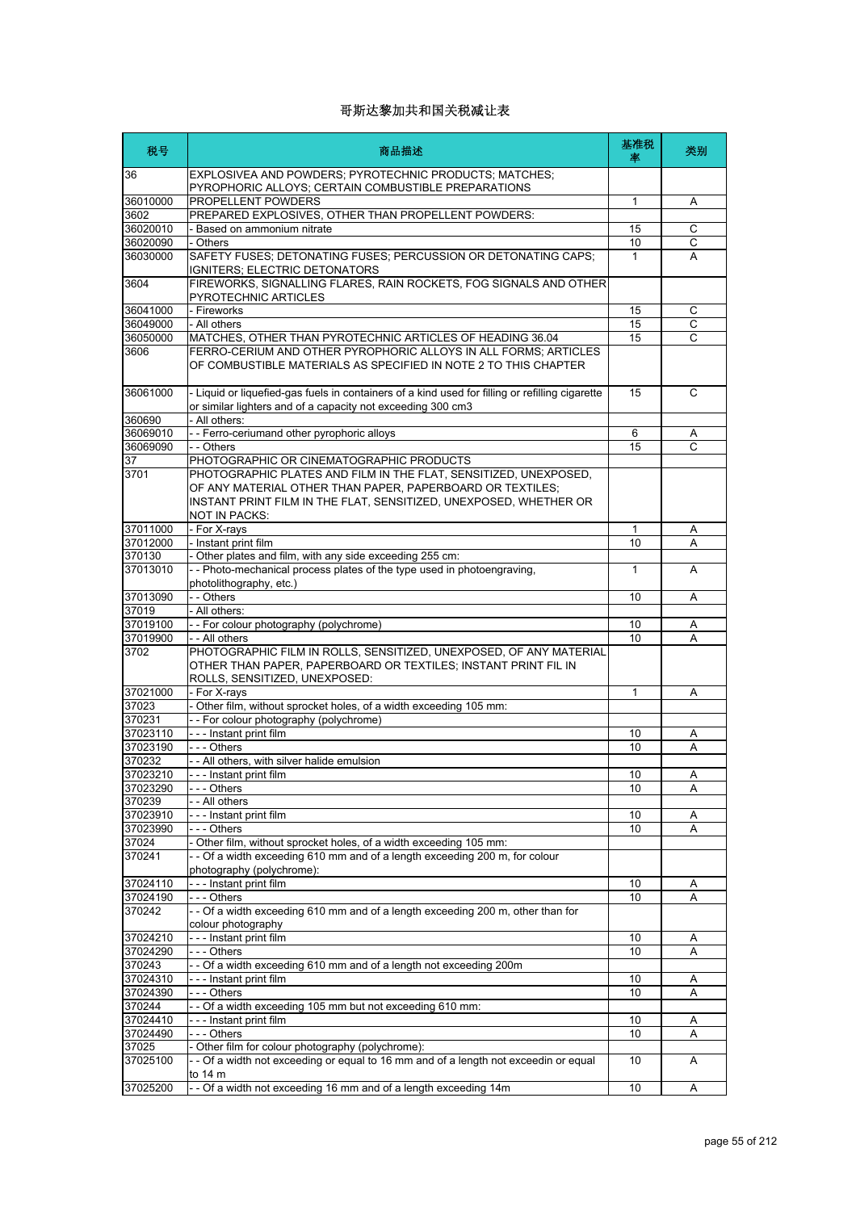| 税号                | 商品描述                                                                                                                                                                                                                       | 基准税<br>率     | 类别             |
|-------------------|----------------------------------------------------------------------------------------------------------------------------------------------------------------------------------------------------------------------------|--------------|----------------|
| 36                | EXPLOSIVEA AND POWDERS; PYROTECHNIC PRODUCTS; MATCHES;<br>PYROPHORIC ALLOYS; CERTAIN COMBUSTIBLE PREPARATIONS                                                                                                              |              |                |
| 36010000          | PROPELLENT POWDERS                                                                                                                                                                                                         | 1            | Α              |
| 3602              | PREPARED EXPLOSIVES, OTHER THAN PROPELLENT POWDERS:                                                                                                                                                                        |              |                |
| 36020010          | - Based on ammonium nitrate                                                                                                                                                                                                | 15           | С              |
| 36020090          | - Others                                                                                                                                                                                                                   | 10           | С              |
| 36030000          | SAFETY FUSES; DETONATING FUSES; PERCUSSION OR DETONATING CAPS;<br>IGNITERS; ELECTRIC DETONATORS                                                                                                                            | $\mathbf{1}$ | A              |
| 3604              | FIREWORKS, SIGNALLING FLARES, RAIN ROCKETS, FOG SIGNALS AND OTHER<br>PYROTECHNIC ARTICLES                                                                                                                                  |              |                |
| 36041000          | - Fireworks                                                                                                                                                                                                                | 15           | C              |
| 36049000          | - All others                                                                                                                                                                                                               | 15           | $\overline{C}$ |
| 36050000          | MATCHES, OTHER THAN PYROTECHNIC ARTICLES OF HEADING 36.04                                                                                                                                                                  | 15           | C              |
| 3606              | FERRO-CERIUM AND OTHER PYROPHORIC ALLOYS IN ALL FORMS; ARTICLES<br>OF COMBUSTIBLE MATERIALS AS SPECIFIED IN NOTE 2 TO THIS CHAPTER                                                                                         |              |                |
| 36061000          | - Liquid or liquefied-gas fuels in containers of a kind used for filling or refilling cigarette<br>or similar lighters and of a capacity not exceeding 300 cm3                                                             | 15           | C              |
| 360690            | - All others:                                                                                                                                                                                                              |              |                |
| 36069010          | - - Ferro-ceriumand other pyrophoric alloys                                                                                                                                                                                | 6            | Α              |
| 36069090          | - - Others                                                                                                                                                                                                                 | 15           | C              |
| 37                | PHOTOGRAPHIC OR CINEMATOGRAPHIC PRODUCTS                                                                                                                                                                                   |              |                |
| 3701              | PHOTOGRAPHIC PLATES AND FILM IN THE FLAT, SENSITIZED, UNEXPOSED,<br>OF ANY MATERIAL OTHER THAN PAPER. PAPERBOARD OR TEXTILES:<br>INSTANT PRINT FILM IN THE FLAT, SENSITIZED, UNEXPOSED, WHETHER OR<br><b>NOT IN PACKS:</b> |              |                |
| 37011000          | - For X-rays                                                                                                                                                                                                               | 1            | Α              |
| 37012000          | - Instant print film                                                                                                                                                                                                       | 10           | A              |
| 370130            | - Other plates and film, with any side exceeding 255 cm:                                                                                                                                                                   |              |                |
| 37013010          | - - Photo-mechanical process plates of the type used in photoengraving,<br>photolithography, etc.)                                                                                                                         | 1            | A              |
| 37013090          | - - Others                                                                                                                                                                                                                 | 10           | Α              |
| 37019             | - All others:                                                                                                                                                                                                              |              |                |
| 37019100          | - - For colour photography (polychrome)                                                                                                                                                                                    | 10           | Α              |
| 37019900          | - - All others                                                                                                                                                                                                             | 10           | A              |
| 3702              | PHOTOGRAPHIC FILM IN ROLLS, SENSITIZED, UNEXPOSED, OF ANY MATERIAL<br>OTHER THAN PAPER, PAPERBOARD OR TEXTILES; INSTANT PRINT FIL IN<br>ROLLS, SENSITIZED, UNEXPOSED:                                                      |              |                |
| 37021000          | - For X-rays                                                                                                                                                                                                               | 1            | Α              |
| 37023             | - Other film, without sprocket holes, of a width exceeding 105 mm:                                                                                                                                                         |              |                |
| 370231            | -- For colour photography (polychrome)                                                                                                                                                                                     |              |                |
| 37023110          | --- Instant print film                                                                                                                                                                                                     | 10           | Α              |
| 37023190          | --- Others                                                                                                                                                                                                                 | 10           | A              |
| 370232            | - - All others, with silver halide emulsion                                                                                                                                                                                |              |                |
| 37023210          | Instant print film                                                                                                                                                                                                         | 10           | Α              |
| 37023290          | - - - Others                                                                                                                                                                                                               | 10           | A              |
| 370239            | - - All others                                                                                                                                                                                                             |              |                |
| 37023910          | --- Instant print film                                                                                                                                                                                                     | 10           | Α              |
| 37023990          | $- -$ Others                                                                                                                                                                                                               | 10           | Α              |
| 37024<br>370241   | - Other film, without sprocket holes, of a width exceeding 105 mm:<br>- - Of a width exceeding 610 mm and of a length exceeding 200 m, for colour                                                                          |              |                |
|                   | photography (polychrome):                                                                                                                                                                                                  |              |                |
| 37024110          | --- Instant print film                                                                                                                                                                                                     | 10           | Α              |
| 37024190          | - - - Others                                                                                                                                                                                                               | 10           | Α              |
| 370242            | - - Of a width exceeding 610 mm and of a length exceeding 200 m, other than for<br>colour photography                                                                                                                      |              |                |
| 37024210          | --- Instant print film                                                                                                                                                                                                     | 10           | Α              |
| 37024290          | - - - Others                                                                                                                                                                                                               | 10           | Α              |
| 370243            | - - Of a width exceeding 610 mm and of a length not exceeding 200m                                                                                                                                                         |              |                |
| 37024310          | --- Instant print film                                                                                                                                                                                                     | 10           | Α              |
| 37024390          | $- -$ Others                                                                                                                                                                                                               | 10           | Α              |
| 370244            | - - Of a width exceeding 105 mm but not exceeding 610 mm:                                                                                                                                                                  |              |                |
| 37024410          | - - - Instant print film                                                                                                                                                                                                   | 10           | Α              |
| 37024490<br>37025 | - - - Others<br>- Other film for colour photography (polychrome):                                                                                                                                                          | 10           | Α              |
| 37025100          | - - Of a width not exceeding or equal to 16 mm and of a length not exceedin or equal                                                                                                                                       | 10           | A              |
| 37025200          | to 14 m<br>-- Of a width not exceeding 16 mm and of a length exceeding 14m                                                                                                                                                 | 10           | Α              |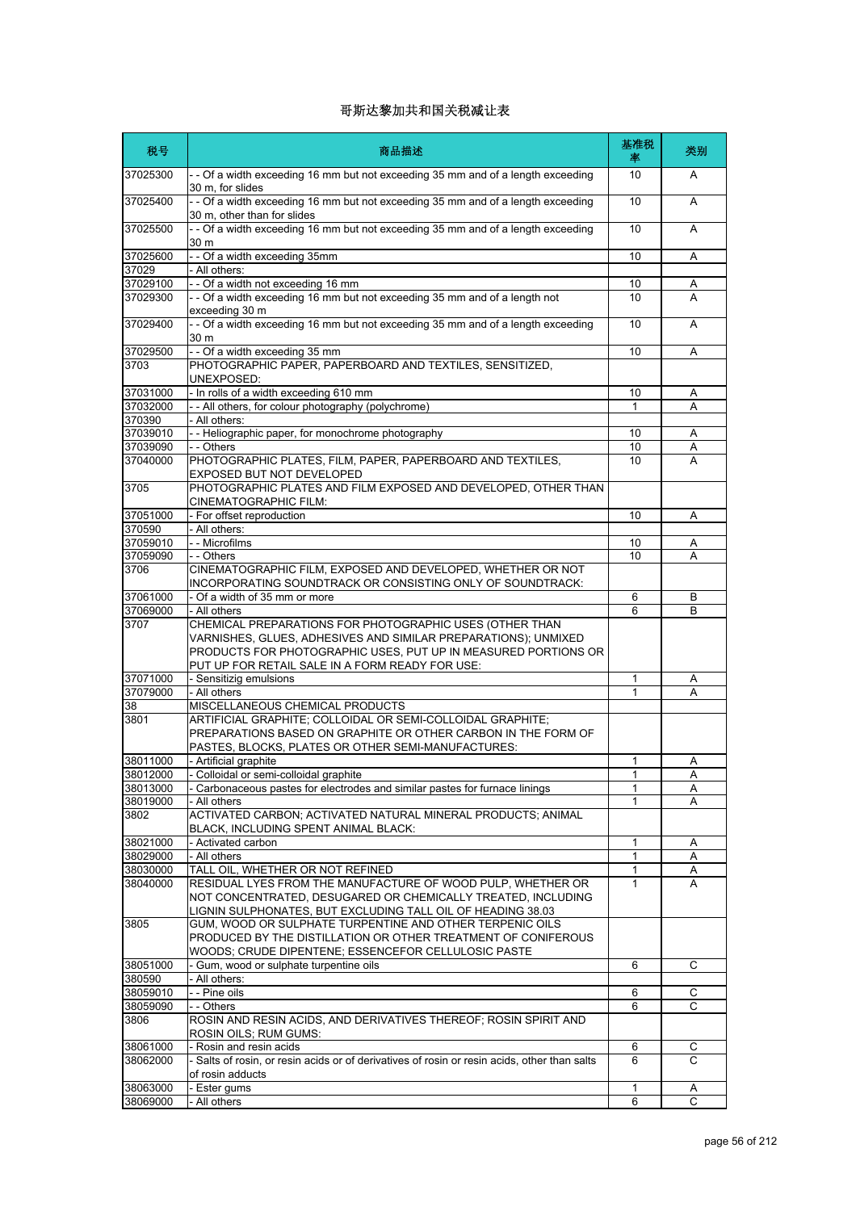| 税号                 | 商品描述                                                                                                                                                                                                                                           | 基准税<br>率 | 类别             |
|--------------------|------------------------------------------------------------------------------------------------------------------------------------------------------------------------------------------------------------------------------------------------|----------|----------------|
| 37025300           | - - Of a width exceeding 16 mm but not exceeding 35 mm and of a length exceeding<br>30 m, for slides                                                                                                                                           | 10       | A              |
| 37025400           | - - Of a width exceeding 16 mm but not exceeding 35 mm and of a length exceeding<br>30 m, other than for slides                                                                                                                                | 10       | A              |
| 37025500           | - - Of a width exceeding 16 mm but not exceeding 35 mm and of a length exceeding<br>30 m                                                                                                                                                       | 10       | A              |
| 37025600<br>37029  | - - Of a width exceeding 35mm<br>- All others:                                                                                                                                                                                                 | 10       | Α              |
| 37029100           | - - Of a width not exceeding 16 mm                                                                                                                                                                                                             | 10       | Α              |
| 37029300           | - - Of a width exceeding 16 mm but not exceeding 35 mm and of a length not<br>exceeding 30 m                                                                                                                                                   | 10       | A              |
| 37029400           | - - Of a width exceeding 16 mm but not exceeding 35 mm and of a length exceeding<br>30 m                                                                                                                                                       | 10       | A              |
| 37029500           | -- Of a width exceeding 35 mm                                                                                                                                                                                                                  | 10       | Α              |
| 3703               | PHOTOGRAPHIC PAPER, PAPERBOARD AND TEXTILES, SENSITIZED,<br>UNEXPOSED:                                                                                                                                                                         |          |                |
| 37031000           | - In rolls of a width exceeding 610 mm                                                                                                                                                                                                         | 10       | Α              |
| 37032000           | - - All others, for colour photography (polychrome)                                                                                                                                                                                            | 1        | Α              |
| 370390<br>37039010 | - All others:<br>- - Heliographic paper, for monochrome photography                                                                                                                                                                            | 10       | Α              |
| 37039090           | - - Others                                                                                                                                                                                                                                     | 10       | Α              |
| 37040000           | PHOTOGRAPHIC PLATES, FILM, PAPER, PAPERBOARD AND TEXTILES,                                                                                                                                                                                     | 10       | A              |
| 3705               | EXPOSED BUT NOT DEVELOPED<br>PHOTOGRAPHIC PLATES AND FILM EXPOSED AND DEVELOPED, OTHER THAN                                                                                                                                                    |          |                |
|                    | CINEMATOGRAPHIC FILM:                                                                                                                                                                                                                          |          |                |
| 37051000           | - For offset reproduction                                                                                                                                                                                                                      | 10       | Α              |
| 370590<br>37059010 | - All others:                                                                                                                                                                                                                                  |          |                |
| 37059090           | - - Microfilms<br>- - Others                                                                                                                                                                                                                   | 10<br>10 | Α<br>Α         |
| 3706               | CINEMATOGRAPHIC FILM, EXPOSED AND DEVELOPED, WHETHER OR NOT<br>INCORPORATING SOUNDTRACK OR CONSISTING ONLY OF SOUNDTRACK:                                                                                                                      |          |                |
| 37061000           | - Of a width of 35 mm or more                                                                                                                                                                                                                  | 6        | В              |
| 37069000           | - All others                                                                                                                                                                                                                                   | 6        | B              |
| 3707               | CHEMICAL PREPARATIONS FOR PHOTOGRAPHIC USES (OTHER THAN<br>VARNISHES, GLUES, ADHESIVES AND SIMILAR PREPARATIONS); UNMIXED<br>PRODUCTS FOR PHOTOGRAPHIC USES, PUT UP IN MEASURED PORTIONS OR<br>PUT UP FOR RETAIL SALE IN A FORM READY FOR USE: |          |                |
| 37071000           | - Sensitizig emulsions                                                                                                                                                                                                                         | 1        | A              |
| 37079000           | - All others                                                                                                                                                                                                                                   | 1        | A              |
| 38                 | MISCELLANEOUS CHEMICAL PRODUCTS                                                                                                                                                                                                                |          |                |
| 3801               | ARTIFICIAL GRAPHITE; COLLOIDAL OR SEMI-COLLOIDAL GRAPHITE;<br>PREPARATIONS BASED ON GRAPHITE OR OTHER CARBON IN THE FORM OF<br>PASTES, BLOCKS, PLATES OR OTHER SEMI-MANUFACTURES:                                                              |          |                |
| 38011000           | - Artificial graphite                                                                                                                                                                                                                          | 1        | Α              |
| 38012000           | - Colloidal or semi-colloidal graphite                                                                                                                                                                                                         | 1        | $\overline{A}$ |
| 38013000           | - Carbonaceous pastes for electrodes and similar pastes for furnace linings                                                                                                                                                                    | 1<br>1   | Α              |
| 38019000<br>3802   | - All others<br>ACTIVATED CARBON; ACTIVATED NATURAL MINERAL PRODUCTS; ANIMAL                                                                                                                                                                   |          | A              |
| 38021000           | BLACK, INCLUDING SPENT ANIMAL BLACK:<br>- Activated carbon                                                                                                                                                                                     | 1        | Α              |
| 38029000           | - All others                                                                                                                                                                                                                                   | 1        | Α              |
| 38030000           | TALL OIL, WHETHER OR NOT REFINED                                                                                                                                                                                                               | 1        | Α              |
| 38040000           | RESIDUAL LYES FROM THE MANUFACTURE OF WOOD PULP, WHETHER OR<br>NOT CONCENTRATED, DESUGARED OR CHEMICALLY TREATED, INCLUDING<br>LIGNIN SULPHONATES, BUT EXCLUDING TALL OIL OF HEADING 38.03                                                     | 1        | A              |
| 3805               | GUM, WOOD OR SULPHATE TURPENTINE AND OTHER TERPENIC OILS<br>PRODUCED BY THE DISTILLATION OR OTHER TREATMENT OF CONIFEROUS<br>WOODS; CRUDE DIPENTENE; ESSENCEFOR CELLULOSIC PASTE                                                               |          |                |
| 38051000           | - Gum, wood or sulphate turpentine oils                                                                                                                                                                                                        | 6        | C              |
| 380590             | - All others:                                                                                                                                                                                                                                  |          |                |
| 38059010           | - - Pine oils                                                                                                                                                                                                                                  | 6        | С              |
| 38059090           | - - Others                                                                                                                                                                                                                                     | 6        | C              |
| 3806               | ROSIN AND RESIN ACIDS, AND DERIVATIVES THEREOF; ROSIN SPIRIT AND<br>ROSIN OILS; RUM GUMS:                                                                                                                                                      |          |                |
| 38061000           | - Rosin and resin acids                                                                                                                                                                                                                        | 6        | С              |
| 38062000           | - Salts of rosin, or resin acids or of derivatives of rosin or resin acids, other than salts<br>of rosin adducts                                                                                                                               | 6        | C              |
| 38063000           | - Ester gums                                                                                                                                                                                                                                   | 1        | A              |
| 38069000           | - All others                                                                                                                                                                                                                                   | 6        | C              |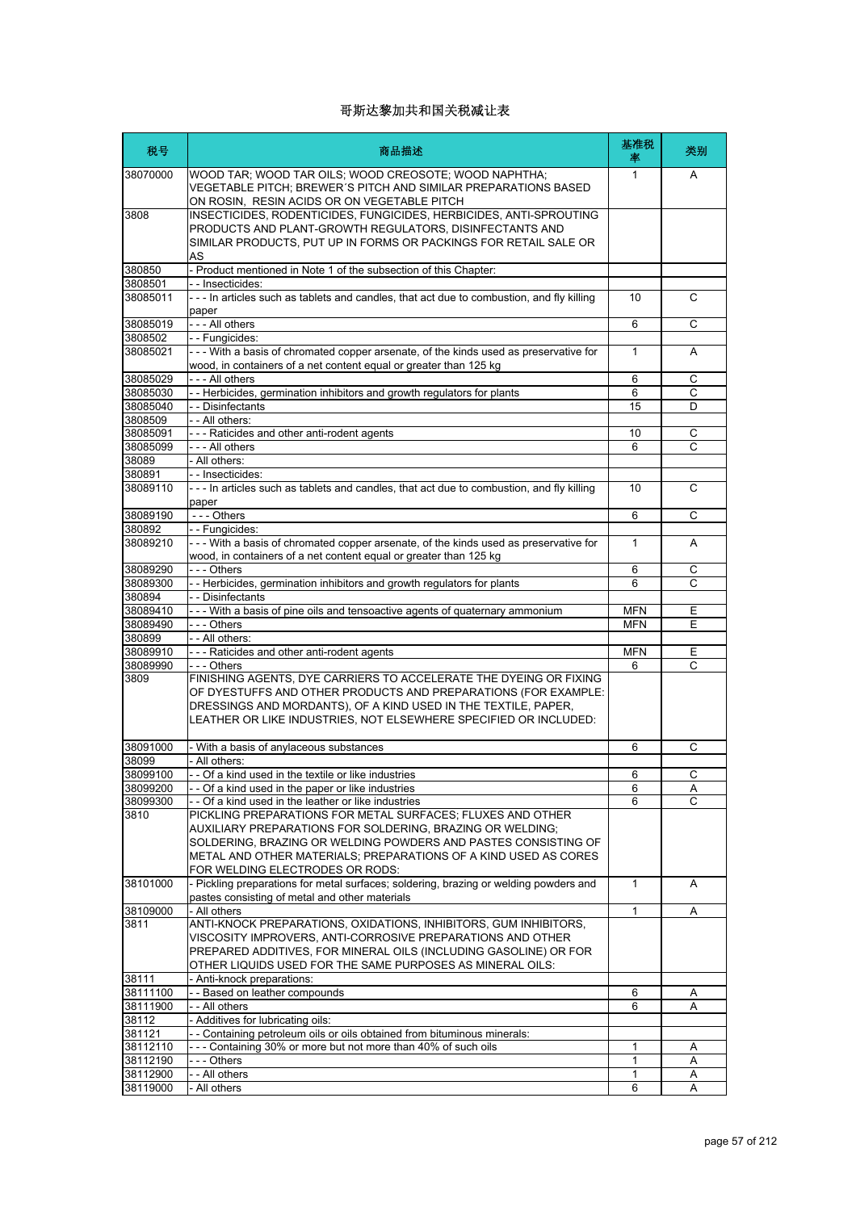| 税号                   | 商品描述                                                                                                                                                                                                                                                                      | 基准税<br>率     | 类别                  |
|----------------------|---------------------------------------------------------------------------------------------------------------------------------------------------------------------------------------------------------------------------------------------------------------------------|--------------|---------------------|
| 38070000             | WOOD TAR; WOOD TAR OILS; WOOD CREOSOTE; WOOD NAPHTHA;<br>VEGETABLE PITCH; BREWER'S PITCH AND SIMILAR PREPARATIONS BASED<br>ON ROSIN, RESIN ACIDS OR ON VEGETABLE PITCH                                                                                                    | 1            | A                   |
| 3808                 | INSECTICIDES, RODENTICIDES, FUNGICIDES, HERBICIDES, ANTI-SPROUTING<br>PRODUCTS AND PLANT-GROWTH REGULATORS, DISINFECTANTS AND<br>SIMILAR PRODUCTS, PUT UP IN FORMS OR PACKINGS FOR RETAIL SALE OR<br>AS                                                                   |              |                     |
| 380850               | - Product mentioned in Note 1 of the subsection of this Chapter:                                                                                                                                                                                                          |              |                     |
| 3808501<br>38085011  | - - Insecticides:<br>--- In articles such as tablets and candles, that act due to combustion, and fly killing                                                                                                                                                             | 10           | C                   |
|                      | paper                                                                                                                                                                                                                                                                     |              |                     |
| 38085019             | - - - All others                                                                                                                                                                                                                                                          | 6            | С                   |
| 3808502<br>38085021  | -- Fungicides:<br>- - - With a basis of chromated copper arsenate, of the kinds used as preservative for                                                                                                                                                                  | $\mathbf{1}$ | A                   |
|                      | wood, in containers of a net content equal or greater than 125 kg                                                                                                                                                                                                         |              |                     |
| 38085029             | - - - All others                                                                                                                                                                                                                                                          | 6            | C                   |
| 38085030             | - - Herbicides, germination inhibitors and growth regulators for plants                                                                                                                                                                                                   | 6            | C                   |
| 38085040<br>3808509  | - - Disinfectants<br>- - All others:                                                                                                                                                                                                                                      | 15           | D                   |
| 38085091             | --- Raticides and other anti-rodent agents                                                                                                                                                                                                                                | 10           | C                   |
| 38085099             | - - - All others                                                                                                                                                                                                                                                          | 6            | C                   |
| 38089                | - All others:                                                                                                                                                                                                                                                             |              |                     |
| 380891               | - - Insecticides:                                                                                                                                                                                                                                                         |              |                     |
| 38089110             | --- In articles such as tablets and candles, that act due to combustion, and fly killing<br>paper                                                                                                                                                                         | 10           | C                   |
| 38089190             | $--$ Others                                                                                                                                                                                                                                                               | 6            | C                   |
| 380892               | -- Fungicides:                                                                                                                                                                                                                                                            |              |                     |
| 38089210             | --- With a basis of chromated copper arsenate, of the kinds used as preservative for<br>wood, in containers of a net content equal or greater than 125 kg                                                                                                                 | 1            | A                   |
| 38089290             | - - - Others                                                                                                                                                                                                                                                              | 6            | C<br>$\overline{C}$ |
| 38089300<br>380894   | - - Herbicides, germination inhibitors and growth regulators for plants<br>- - Disinfectants                                                                                                                                                                              | 6            |                     |
| 38089410             | - - - With a basis of pine oils and tensoactive agents of quaternary ammonium                                                                                                                                                                                             | <b>MFN</b>   | E                   |
| 38089490             | - - - Others                                                                                                                                                                                                                                                              | <b>MFN</b>   | Е                   |
| 380899               | - - All others:                                                                                                                                                                                                                                                           |              |                     |
| 38089910             | --- Raticides and other anti-rodent agents                                                                                                                                                                                                                                | <b>MFN</b>   | Ε                   |
| 38089990             | --- Others                                                                                                                                                                                                                                                                | 6            | C                   |
| 3809                 | FINISHING AGENTS, DYE CARRIERS TO ACCELERATE THE DYEING OR FIXING<br>OF DYESTUFFS AND OTHER PRODUCTS AND PREPARATIONS (FOR EXAMPLE:<br>DRESSINGS AND MORDANTS), OF A KIND USED IN THE TEXTILE, PAPER,<br>LEATHER OR LIKE INDUSTRIES, NOT ELSEWHERE SPECIFIED OR INCLUDED: |              |                     |
| 38091000             | - With a basis of anylaceous substances                                                                                                                                                                                                                                   | 6            | С                   |
| 38099                | - All others:                                                                                                                                                                                                                                                             |              |                     |
| 38099100             | - - Of a kind used in the textile or like industries                                                                                                                                                                                                                      | 6            | C.                  |
| 38099200             | - - Of a kind used in the paper or like industries                                                                                                                                                                                                                        | 6            | Α                   |
| 38099300<br>3810     | - Of a kind used in the leather or like industries<br>PICKLING PREPARATIONS FOR METAL SURFACES; FLUXES AND OTHER                                                                                                                                                          | 6            | C                   |
|                      | AUXILIARY PREPARATIONS FOR SOLDERING, BRAZING OR WELDING;<br>SOLDERING, BRAZING OR WELDING POWDERS AND PASTES CONSISTING OF<br>METAL AND OTHER MATERIALS; PREPARATIONS OF A KIND USED AS CORES<br>FOR WELDING ELECTRODES OR RODS:                                         |              |                     |
| 38101000             | - Pickling preparations for metal surfaces; soldering, brazing or welding powders and<br>pastes consisting of metal and other materials                                                                                                                                   | 1            | Α                   |
| 38109000             | - All others                                                                                                                                                                                                                                                              | 1            | Α                   |
| 3811                 | ANTI-KNOCK PREPARATIONS, OXIDATIONS, INHIBITORS, GUM INHIBITORS,<br>VISCOSITY IMPROVERS, ANTI-CORROSIVE PREPARATIONS AND OTHER<br>PREPARED ADDITIVES, FOR MINERAL OILS (INCLUDING GASOLINE) OR FOR<br>OTHER LIQUIDS USED FOR THE SAME PURPOSES AS MINERAL OILS:           |              |                     |
| 38111                | - Anti-knock preparations:                                                                                                                                                                                                                                                |              |                     |
| 38111100<br>38111900 | - - Based on leather compounds<br>- - All others                                                                                                                                                                                                                          | 6<br>6       | Α<br>Α              |
| 38112                | Additives for lubricating oils:                                                                                                                                                                                                                                           |              |                     |
| 381121               | - - Containing petroleum oils or oils obtained from bituminous minerals:                                                                                                                                                                                                  |              |                     |
| 38112110             | -- Containing 30% or more but not more than 40% of such oils                                                                                                                                                                                                              | 1            | Α                   |
| 38112190             | --- Others                                                                                                                                                                                                                                                                | 1            | Α                   |
| 38112900             | - - All others                                                                                                                                                                                                                                                            | 1            | Α                   |
| 38119000             | - All others                                                                                                                                                                                                                                                              | 6            | Α                   |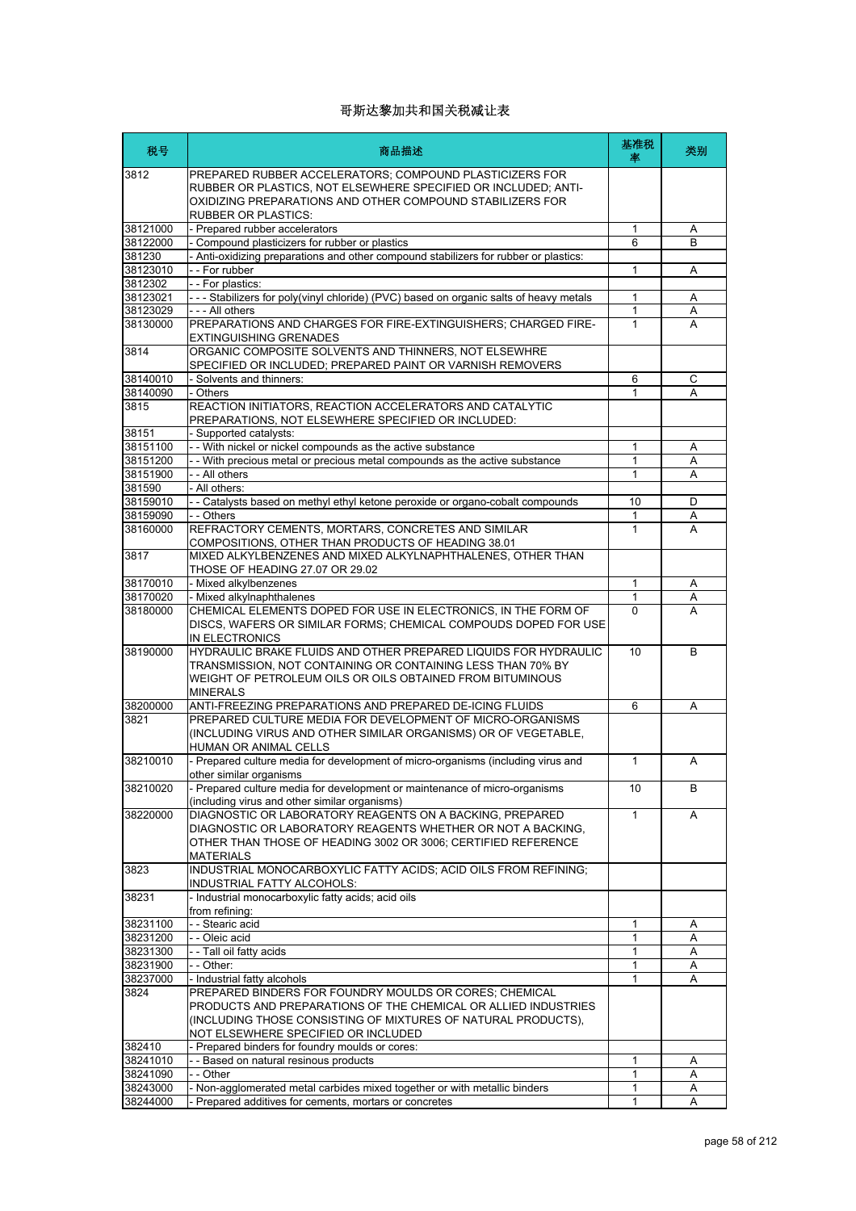| 税号                   | 商品描述                                                                                                                                                                                                                 | 基准税<br>率     | 类别     |
|----------------------|----------------------------------------------------------------------------------------------------------------------------------------------------------------------------------------------------------------------|--------------|--------|
| 3812                 | PREPARED RUBBER ACCELERATORS; COMPOUND PLASTICIZERS FOR<br>RUBBER OR PLASTICS, NOT ELSEWHERE SPECIFIED OR INCLUDED; ANTI-<br>OXIDIZING PREPARATIONS AND OTHER COMPOUND STABILIZERS FOR<br><b>RUBBER OR PLASTICS:</b> |              |        |
| 38121000             | - Prepared rubber accelerators                                                                                                                                                                                       | 1            | Α      |
| 38122000             | - Compound plasticizers for rubber or plastics                                                                                                                                                                       | 6            | B      |
| 381230               | - Anti-oxidizing preparations and other compound stabilizers for rubber or plastics:                                                                                                                                 |              |        |
| 38123010             | - - For rubber                                                                                                                                                                                                       | 1            | Α      |
| 3812302              | -- For plastics:                                                                                                                                                                                                     |              |        |
| 38123021             | - - - Stabilizers for poly(vinyl chloride) (PVC) based on organic salts of heavy metals                                                                                                                              | 1            | Α      |
| 38123029             | --- All others                                                                                                                                                                                                       | 1            | Α      |
| 38130000             | PREPARATIONS AND CHARGES FOR FIRE-EXTINGUISHERS; CHARGED FIRE-<br><b>EXTINGUISHING GRENADES</b>                                                                                                                      | $\mathbf{1}$ | A      |
| 3814                 | ORGANIC COMPOSITE SOLVENTS AND THINNERS, NOT ELSEWHRE<br>SPECIFIED OR INCLUDED; PREPARED PAINT OR VARNISH REMOVERS                                                                                                   |              |        |
| 38140010             | - Solvents and thinners:                                                                                                                                                                                             | 6            | C      |
| 38140090             | - Others                                                                                                                                                                                                             | 1            | A      |
| 3815<br>38151        | REACTION INITIATORS, REACTION ACCELERATORS AND CATALYTIC<br>PREPARATIONS, NOT ELSEWHERE SPECIFIED OR INCLUDED:<br>- Supported catalysts:                                                                             |              |        |
| 38151100             | - With nickel or nickel compounds as the active substance                                                                                                                                                            | 1            | Α      |
| 38151200             | - With precious metal or precious metal compounds as the active substance                                                                                                                                            | 1            | A      |
| 38151900             | - - All others                                                                                                                                                                                                       | $\mathbf{1}$ | Α      |
| 381590               | - All others:                                                                                                                                                                                                        |              |        |
| 38159010             | - - Catalysts based on methyl ethyl ketone peroxide or organo-cobalt compounds                                                                                                                                       | 10           | D      |
| 38159090             | - - Others                                                                                                                                                                                                           | 1            | Α      |
| 38160000             | REFRACTORY CEMENTS, MORTARS, CONCRETES AND SIMILAR<br>COMPOSITIONS, OTHER THAN PRODUCTS OF HEADING 38.01                                                                                                             | 1            | A      |
| 3817                 | MIXED ALKYLBENZENES AND MIXED ALKYLNAPHTHALENES, OTHER THAN<br>THOSE OF HEADING 27.07 OR 29.02                                                                                                                       |              |        |
| 38170010             | - Mixed alkylbenzenes                                                                                                                                                                                                | $\mathbf{1}$ | Α      |
| 38170020             | - Mixed alkylnaphthalenes                                                                                                                                                                                            | 1            | Α      |
| 38180000             | CHEMICAL ELEMENTS DOPED FOR USE IN ELECTRONICS, IN THE FORM OF<br>DISCS, WAFERS OR SIMILAR FORMS; CHEMICAL COMPOUDS DOPED FOR USE<br>IN ELECTRONICS                                                                  | $\Omega$     | A      |
| 38190000             | HYDRAULIC BRAKE FLUIDS AND OTHER PREPARED LIQUIDS FOR HYDRAULIC<br>TRANSMISSION, NOT CONTAINING OR CONTAINING LESS THAN 70% BY<br>WEIGHT OF PETROLEUM OILS OR OILS OBTAINED FROM BITUMINOUS                          | 10           | B      |
|                      | <b>MINERALS</b><br>ANTI-FREEZING PREPARATIONS AND PREPARED DE-ICING FLUIDS                                                                                                                                           |              |        |
| 38200000<br>3821     | PREPARED CULTURE MEDIA FOR DEVELOPMENT OF MICRO-ORGANISMS<br>(INCLUDING VIRUS AND OTHER SIMILAR ORGANISMS) OR OF VEGETABLE,<br>HUMAN OR ANIMAL CELLS                                                                 | 6            | Α      |
| 38210010             | - Prepared culture media for development of micro-organisms (including virus and<br>other similar organisms                                                                                                          | 1            | A      |
| 38210020             | - Prepared culture media for development or maintenance of micro-organisms<br>(including virus and other similar organisms)                                                                                          | 10           | B      |
| 38220000             | DIAGNOSTIC OR LABORATORY REAGENTS ON A BACKING, PREPARED                                                                                                                                                             | $\mathbf{1}$ | A      |
|                      | DIAGNOSTIC OR LABORATORY REAGENTS WHETHER OR NOT A BACKING,<br>OTHER THAN THOSE OF HEADING 3002 OR 3006; CERTIFIED REFERENCE<br>MATERIALS                                                                            |              |        |
| 3823                 | INDUSTRIAL MONOCARBOXYLIC FATTY ACIDS; ACID OILS FROM REFINING;<br>INDUSTRIAL FATTY ALCOHOLS:                                                                                                                        |              |        |
| 38231                | - Industrial monocarboxylic fatty acids; acid oils<br>from refining:                                                                                                                                                 |              |        |
| 38231100             | - - Stearic acid                                                                                                                                                                                                     | 1            | Α      |
| 38231200             | - - Oleic acid                                                                                                                                                                                                       | 1            | Α      |
| 38231300             | - - Tall oil fatty acids                                                                                                                                                                                             | 1            | Α      |
| 38231900             | - - Other:                                                                                                                                                                                                           | 1            | Α      |
| 38237000             | - Industrial fatty alcohols                                                                                                                                                                                          | 1            | Α      |
| 3824                 | PREPARED BINDERS FOR FOUNDRY MOULDS OR CORES; CHEMICAL<br>PRODUCTS AND PREPARATIONS OF THE CHEMICAL OR ALLIED INDUSTRIES<br>(INCLUDING THOSE CONSISTING OF MIXTURES OF NATURAL PRODUCTS),                            |              |        |
|                      | NOT ELSEWHERE SPECIFIED OR INCLUDED                                                                                                                                                                                  |              |        |
| 382410               | - Prepared binders for foundry moulds or cores:                                                                                                                                                                      |              |        |
| 38241010<br>38241090 | - - Based on natural resinous products<br>- - Other                                                                                                                                                                  | 1<br>1       | A<br>A |
| 38243000             | - Non-agglomerated metal carbides mixed together or with metallic binders                                                                                                                                            | 1            | A      |
| 38244000             | Prepared additives for cements, mortars or concretes                                                                                                                                                                 | 1            | Α      |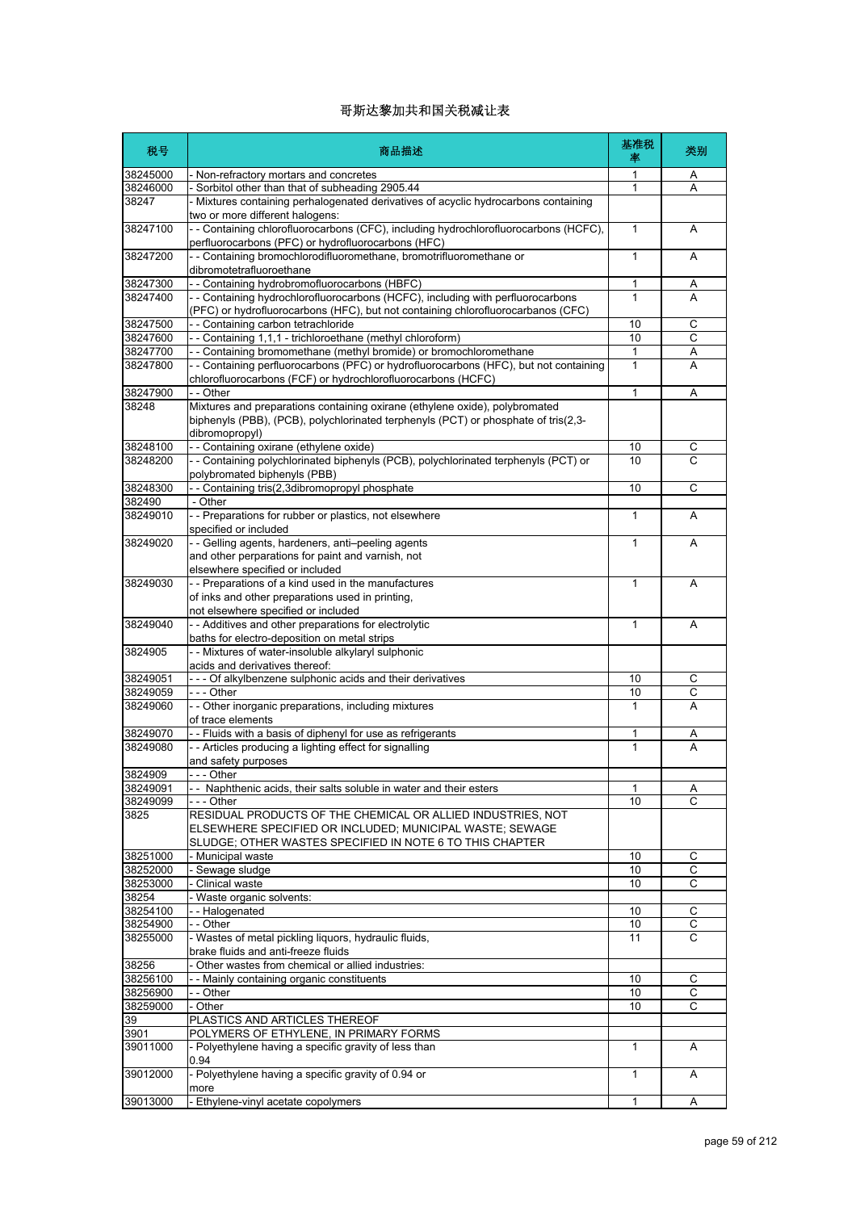| 税号               | 商品描述                                                                                                                                                                                | 基准税<br>率     | 类别             |
|------------------|-------------------------------------------------------------------------------------------------------------------------------------------------------------------------------------|--------------|----------------|
| 38245000         | - Non-refractory mortars and concretes                                                                                                                                              | 1            | A              |
| 38246000         | - Sorbitol other than that of subheading 2905.44                                                                                                                                    | $\mathbf{1}$ | Α              |
| 38247            | - Mixtures containing perhalogenated derivatives of acyclic hydrocarbons containing<br>two or more different halogens:                                                              |              |                |
| 38247100         | -- Containing chlorofluorocarbons (CFC), including hydrochlorofluorocarbons (HCFC),<br>perfluorocarbons (PFC) or hydrofluorocarbons (HFC)                                           | $\mathbf{1}$ | Α              |
| 38247200         | - - Containing bromochlorodifluoromethane, bromotrifluoromethane or<br>dibromotetrafluoroethane                                                                                     | 1            | A              |
| 38247300         | -- Containing hydrobromofluorocarbons (HBFC)                                                                                                                                        | 1            | A              |
| 38247400         | - - Containing hydrochlorofluorocarbons (HCFC), including with perfluorocarbons<br>(PFC) or hydrofluorocarbons (HFC), but not containing chlorofluorocarbanos (CFC)                 | $\mathbf{1}$ | A              |
| 38247500         | - - Containing carbon tetrachloride                                                                                                                                                 | 10           | C              |
| 38247600         | -- Containing 1,1,1 - trichloroethane (methyl chloroform)                                                                                                                           | 10           | C              |
| 38247700         | - - Containing bromomethane (methyl bromide) or bromochloromethane                                                                                                                  | $\mathbf{1}$ | Α              |
| 38247800         | - - Containing perfluorocarbons (PFC) or hydrofluorocarbons (HFC), but not containing<br>chlorofluorocarbons (FCF) or hydrochlorofluorocarbons (HCFC)                               | 1            | Α              |
| 38247900         | - - Other                                                                                                                                                                           | $\mathbf{1}$ | Α              |
| 38248            | Mixtures and preparations containing oxirane (ethylene oxide), polybromated<br>biphenyls (PBB), (PCB), polychlorinated terphenyls (PCT) or phosphate of tris(2,3-<br>dibromopropyl) |              |                |
| 38248100         | - - Containing oxirane (ethylene oxide)                                                                                                                                             | 10           | С              |
| 38248200         | - - Containing polychlorinated biphenyls (PCB), polychlorinated terphenyls (PCT) or<br>polybromated biphenyls (PBB)                                                                 | 10           | С              |
| 38248300         | - - Containing tris(2,3dibromopropyl phosphate                                                                                                                                      | 10           | С              |
| 382490           | - Other                                                                                                                                                                             |              |                |
| 38249010         | - - Preparations for rubber or plastics, not elsewhere<br>specified or included                                                                                                     | $\mathbf{1}$ | A              |
| 38249020         | - - Gelling agents, hardeners, anti-peeling agents<br>and other perparations for paint and varnish, not                                                                             | $\mathbf{1}$ | A              |
|                  | elsewhere specified or included                                                                                                                                                     |              |                |
| 38249030         | - - Preparations of a kind used in the manufactures<br>of inks and other preparations used in printing,                                                                             | $\mathbf{1}$ | A              |
|                  | not elsewhere specified or included                                                                                                                                                 |              |                |
| 38249040         | - - Additives and other preparations for electrolytic                                                                                                                               | 1            | A              |
|                  | baths for electro-deposition on metal strips                                                                                                                                        |              |                |
| 3824905          | - - Mixtures of water-insoluble alkylaryl sulphonic<br>acids and derivatives thereof:                                                                                               |              |                |
| 38249051         | --- Of alkylbenzene sulphonic acids and their derivatives                                                                                                                           | 10           | C              |
| 38249059         | --- Other                                                                                                                                                                           | 10           | С              |
| 38249060         | - - Other inorganic preparations, including mixtures<br>of trace elements                                                                                                           | 1            | A              |
| 38249070         | - - Fluids with a basis of diphenyl for use as refrigerants                                                                                                                         | 1            | A              |
| 38249080         | - - Articles producing a lighting effect for signalling                                                                                                                             | 1            | A              |
|                  | and safety purposes                                                                                                                                                                 |              |                |
| 3824909          | Other                                                                                                                                                                               |              |                |
| 38249091         | - - Naphthenic acids, their salts soluble in water and their esters                                                                                                                 | 1            | Α              |
| 38249099<br>3825 | - - - Other<br>RESIDUAL PRODUCTS OF THE CHEMICAL OR ALLIED INDUSTRIES, NOT                                                                                                          | 10           | C              |
|                  | ELSEWHERE SPECIFIED OR INCLUDED; MUNICIPAL WASTE; SEWAGE<br>SLUDGE; OTHER WASTES SPECIFIED IN NOTE 6 TO THIS CHAPTER                                                                |              |                |
| 38251000         | - Municipal waste                                                                                                                                                                   | 10           | С              |
| 38252000         | - Sewage sludge                                                                                                                                                                     | 10           | $\overline{C}$ |
| 38253000         | - Clinical waste                                                                                                                                                                    | 10           | С              |
| 38254            | - Waste organic solvents:                                                                                                                                                           |              |                |
| 38254100         | -- Halogenated                                                                                                                                                                      | 10           | $\mathsf{C}$   |
| 38254900         | - - Other                                                                                                                                                                           | 10           | С              |
| 38255000         | - Wastes of metal pickling liquors, hydraulic fluids,<br>brake fluids and anti-freeze fluids                                                                                        | 11           | $\mathsf{C}$   |
| 38256            | - Other wastes from chemical or allied industries:                                                                                                                                  |              |                |
| 38256100         | - - Mainly containing organic constituents                                                                                                                                          | 10           | С              |
| 38256900         | - - Other                                                                                                                                                                           | 10           | С              |
| 38259000         | - Other                                                                                                                                                                             | 10           | C              |
| 39               | PLASTICS AND ARTICLES THEREOF                                                                                                                                                       |              |                |
| 3901             | POLYMERS OF ETHYLENE, IN PRIMARY FORMS                                                                                                                                              |              |                |
| 39011000         | - Polyethylene having a specific gravity of less than<br>0.94                                                                                                                       | 1            | Α              |
| 39012000         | - Polyethylene having a specific gravity of 0.94 or<br>more                                                                                                                         | $\mathbf{1}$ | Α              |
| 39013000         | - Ethylene-vinyl acetate copolymers                                                                                                                                                 | $\mathbf{1}$ | Α              |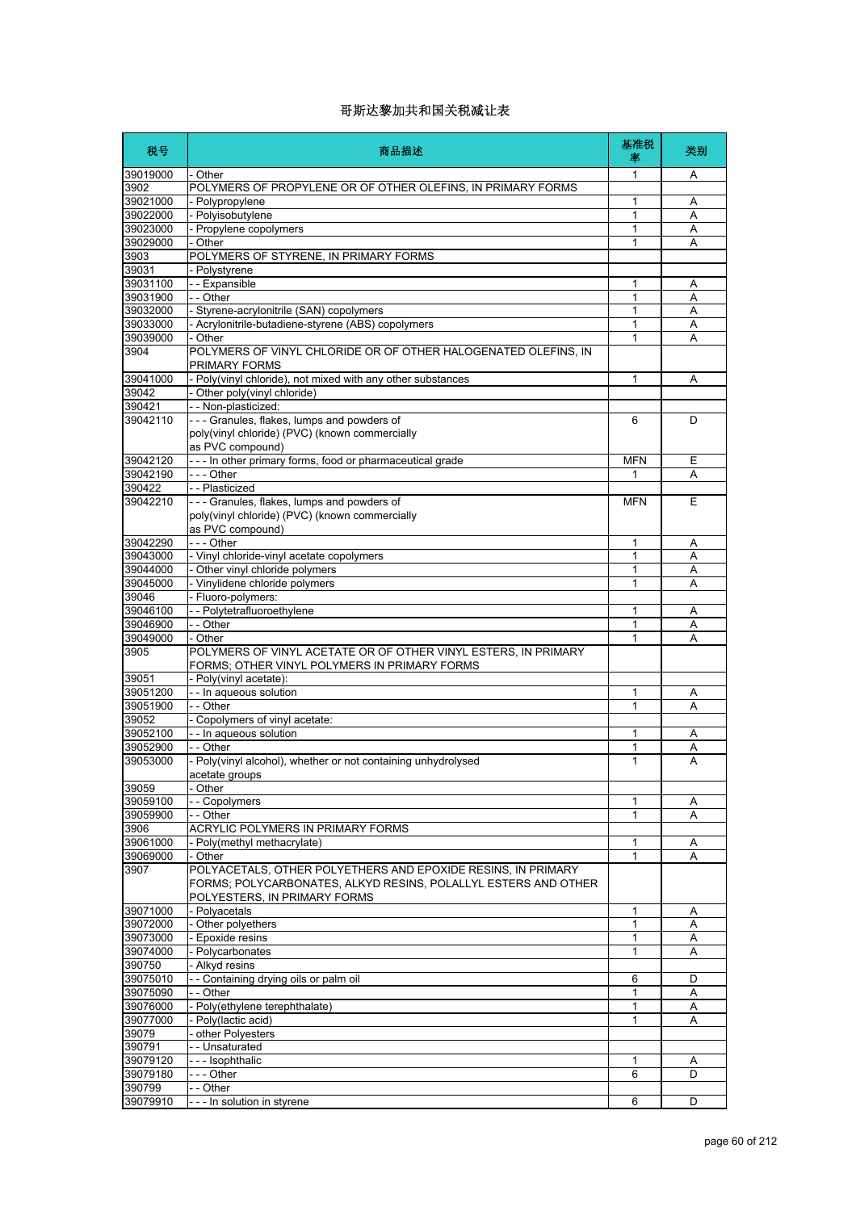| 税号                   | 商品描述                                                                                                                                                           | 基准税<br>率     | 类别     |
|----------------------|----------------------------------------------------------------------------------------------------------------------------------------------------------------|--------------|--------|
| 39019000             | - Other                                                                                                                                                        | 1            | Α      |
| 3902                 | POLYMERS OF PROPYLENE OR OF OTHER OLEFINS, IN PRIMARY FORMS                                                                                                    |              |        |
| 39021000             | - Polypropylene                                                                                                                                                | 1            | Α      |
| 39022000<br>39023000 | - Polyisobutylene                                                                                                                                              | 1            | Α      |
| 39029000             | - Propylene copolymers<br>- Other                                                                                                                              | 1<br>1       | Α<br>Α |
| 3903                 | POLYMERS OF STYRENE, IN PRIMARY FORMS                                                                                                                          |              |        |
| 39031                | - Polystyrene                                                                                                                                                  |              |        |
| 39031100             | - - Expansible                                                                                                                                                 | 1            | Α      |
| 39031900             | - - Other                                                                                                                                                      | 1            | Α      |
| 39032000             | - Styrene-acrylonitrile (SAN) copolymers                                                                                                                       | 1            | A      |
| 39033000             | - Acrylonitrile-butadiene-styrene (ABS) copolymers                                                                                                             | 1            | Α      |
| 39039000<br>3904     | - Other<br>POLYMERS OF VINYL CHLORIDE OR OF OTHER HALOGENATED OLEFINS, IN<br>PRIMARY FORMS                                                                     | 1            | Α      |
| 39041000             | - Poly(vinyl chloride), not mixed with any other substances                                                                                                    | 1            | Α      |
| 39042                | - Other poly(vinyl chloride)                                                                                                                                   |              |        |
| 390421               | -- Non-plasticized:                                                                                                                                            |              |        |
| 39042110             | --- Granules, flakes, lumps and powders of<br>poly(vinyl chloride) (PVC) (known commercially                                                                   | 6            | D      |
| 39042120             | as PVC compound)<br>--- In other primary forms, food or pharmaceutical grade                                                                                   | <b>MFN</b>   | Ε      |
| 39042190             | --- Other                                                                                                                                                      | 1            | Α      |
| 390422               | - - Plasticized                                                                                                                                                |              |        |
| 39042210             | - - - Granules, flakes, lumps and powders of<br>poly(vinyl chloride) (PVC) (known commercially<br>as PVC compound)                                             | <b>MFN</b>   | Ε      |
| 39042290             | --- Other                                                                                                                                                      | 1            | Α      |
| 39043000             | - Vinyl chloride-vinyl acetate copolymers                                                                                                                      | 1            | Α      |
| 39044000             | - Other vinyl chloride polymers                                                                                                                                | 1            | Α      |
| 39045000             | - Vinylidene chloride polymers                                                                                                                                 | 1            | Α      |
| 39046                | Fluoro-polymers:                                                                                                                                               |              |        |
| 39046100<br>39046900 | - - Polytetrafluoroethylene<br>- - Other                                                                                                                       | 1<br>1       | Α<br>Α |
| 39049000             | - Other                                                                                                                                                        | 1            | Α      |
| 3905                 | POLYMERS OF VINYL ACETATE OR OF OTHER VINYL ESTERS, IN PRIMARY<br>FORMS; OTHER VINYL POLYMERS IN PRIMARY FORMS                                                 |              |        |
| 39051                | - Poly(vinyl acetate):                                                                                                                                         |              |        |
| 39051200             | - - In aqueous solution                                                                                                                                        | 1            | Α      |
| 39051900<br>39052    | - - Other                                                                                                                                                      | 1            | A      |
| 39052100             | - Copolymers of vinyl acetate:<br>- - In aqueous solution                                                                                                      | 1            | Α      |
| 39052900             | - - Other                                                                                                                                                      | 1            | Α      |
| 39053000             | - Poly(vinyl alcohol), whether or not containing unhydrolysed<br>acetate groups                                                                                | 1            | A      |
| 39059                | Other                                                                                                                                                          |              |        |
| 39059100             | - Copolymers                                                                                                                                                   | 1            | Α      |
| 39059900             | - - Other                                                                                                                                                      | 1            | Α      |
| 3906<br>39061000     | ACRYLIC POLYMERS IN PRIMARY FORMS<br>- Polv(methyl methacrylate)                                                                                               | 1            |        |
| 39069000             | - Other                                                                                                                                                        | 1            | Α<br>A |
| 3907                 | POLYACETALS, OTHER POLYETHERS AND EPOXIDE RESINS, IN PRIMARY<br>FORMS; POLYCARBONATES, ALKYD RESINS, POLALLYL ESTERS AND OTHER<br>POLYESTERS, IN PRIMARY FORMS |              |        |
| 39071000             | - Polyacetals                                                                                                                                                  | 1            | Α      |
| 39072000             | - Other polyethers                                                                                                                                             | 1            | Α      |
| 39073000             | Epoxide resins                                                                                                                                                 | $\mathbf{1}$ | Α      |
| 39074000             | - Polycarbonates                                                                                                                                               | 1            | Α      |
| 390750               | - Alkyd resins                                                                                                                                                 |              |        |
| 39075010             | -- Containing drying oils or palm oil<br>- - Other                                                                                                             | 6<br>1       | D      |
| 39075090<br>39076000 | - Poly(ethylene terephthalate)                                                                                                                                 | 1            | Α<br>Α |
| 39077000             | Poly(lactic acid)                                                                                                                                              | 1            | Α      |
| 39079                | other Polyesters                                                                                                                                               |              |        |
| 390791               | -- Unsaturated                                                                                                                                                 |              |        |
| 39079120             | --- Isophthalic                                                                                                                                                | 1            | Α      |
| 39079180             | - - - Other                                                                                                                                                    | 6            | D      |
| 390799               | - - Other                                                                                                                                                      |              |        |
| 39079910             | - - - In solution in styrene                                                                                                                                   | 6            | D      |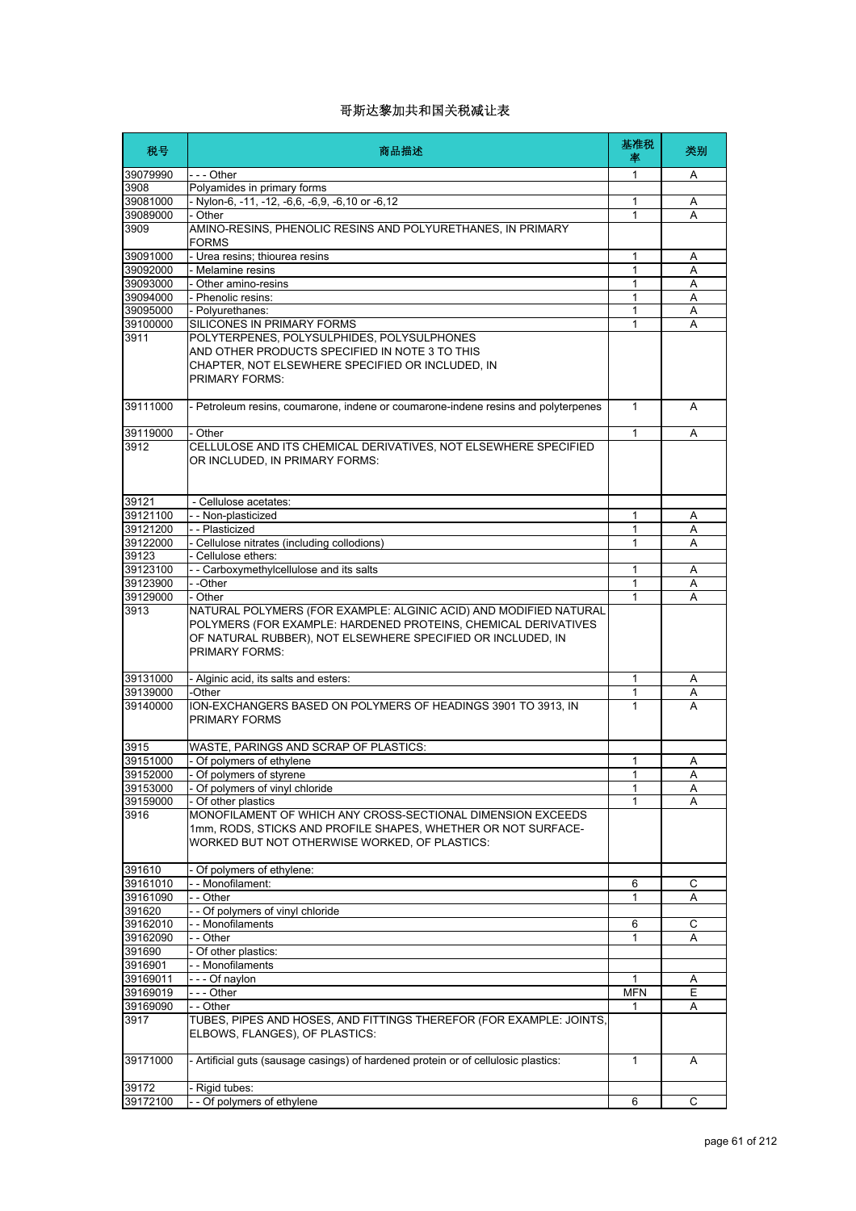| 税号       | 商品描述                                                                                                                                                                                                                        | 基准税<br>率     | 类别 |
|----------|-----------------------------------------------------------------------------------------------------------------------------------------------------------------------------------------------------------------------------|--------------|----|
| 39079990 | - - - Other                                                                                                                                                                                                                 | 1            | Α  |
| 3908     | Polyamides in primary forms                                                                                                                                                                                                 |              |    |
| 39081000 | - Nylon-6, -11, -12, -6,6, -6,9, -6,10 or -6,12                                                                                                                                                                             | 1            | Α  |
| 39089000 | - Other                                                                                                                                                                                                                     | 1            | A  |
| 3909     | AMINO-RESINS, PHENOLIC RESINS AND POLYURETHANES, IN PRIMARY<br><b>FORMS</b>                                                                                                                                                 |              |    |
| 39091000 | - Urea resins; thiourea resins                                                                                                                                                                                              | 1            | Α  |
| 39092000 | - Melamine resins                                                                                                                                                                                                           | 1            | Α  |
| 39093000 | - Other amino-resins                                                                                                                                                                                                        | 1            | A  |
| 39094000 | - Phenolic resins:                                                                                                                                                                                                          | 1            | Α  |
| 39095000 | - Polyurethanes:                                                                                                                                                                                                            | 1            | Α  |
| 39100000 | <b>SILICONES IN PRIMARY FORMS</b>                                                                                                                                                                                           | 1            | A  |
| 3911     | POLYTERPENES, POLYSULPHIDES, POLYSULPHONES<br>AND OTHER PRODUCTS SPECIFIED IN NOTE 3 TO THIS<br>CHAPTER, NOT ELSEWHERE SPECIFIED OR INCLUDED, IN<br><b>PRIMARY FORMS:</b>                                                   |              |    |
| 39111000 | - Petroleum resins, coumarone, indene or coumarone-indene resins and polyterpenes                                                                                                                                           | $\mathbf{1}$ | A  |
| 39119000 | - Other                                                                                                                                                                                                                     | 1            | A  |
| 3912     | CELLULOSE AND ITS CHEMICAL DERIVATIVES, NOT ELSEWHERE SPECIFIED<br>OR INCLUDED, IN PRIMARY FORMS:                                                                                                                           |              |    |
| 39121    | - Cellulose acetates:                                                                                                                                                                                                       |              |    |
| 39121100 | - - Non-plasticized                                                                                                                                                                                                         | 1            | Α  |
| 39121200 | -- Plasticized                                                                                                                                                                                                              | 1            | Α  |
| 39122000 | - Cellulose nitrates (including collodions)                                                                                                                                                                                 | 1            | A  |
| 39123    | - Cellulose ethers:                                                                                                                                                                                                         |              |    |
| 39123100 | - - Carboxymethylcellulose and its salts                                                                                                                                                                                    | 1            | A  |
| 39123900 | - -Other                                                                                                                                                                                                                    | 1            | Α  |
| 39129000 | - Other                                                                                                                                                                                                                     | 1            | A  |
| 3913     | NATURAL POLYMERS (FOR EXAMPLE: ALGINIC ACID) AND MODIFIED NATURAL<br>POLYMERS (FOR EXAMPLE: HARDENED PROTEINS, CHEMICAL DERIVATIVES<br>OF NATURAL RUBBER), NOT ELSEWHERE SPECIFIED OR INCLUDED, IN<br><b>PRIMARY FORMS:</b> |              |    |
| 39131000 | - Alginic acid, its salts and esters:                                                                                                                                                                                       | 1            | Α  |
| 39139000 | -Other                                                                                                                                                                                                                      | 1            | A  |
| 39140000 | ION-EXCHANGERS BASED ON POLYMERS OF HEADINGS 3901 TO 3913, IN<br>PRIMARY FORMS                                                                                                                                              | 1            | A  |
| 3915     | WASTE, PARINGS AND SCRAP OF PLASTICS:                                                                                                                                                                                       |              |    |
| 39151000 | - Of polymers of ethylene                                                                                                                                                                                                   | 1            | A  |
| 39152000 | Of polymers of styrene                                                                                                                                                                                                      | 1            | Α  |
| 39153000 | - Of polymers of vinyl chloride                                                                                                                                                                                             | 1            | Α  |
| 39159000 | - Of other plastics                                                                                                                                                                                                         | 1            | A  |
| 3916     | MONOFILAMENT OF WHICH ANY CROSS-SECTIONAL DIMENSION EXCEEDS<br>1mm, RODS, STICKS AND PROFILE SHAPES, WHETHER OR NOT SURFACE-<br>WORKED BUT NOT OTHERWISE WORKED, OF PLASTICS:                                               |              |    |
| 391610   | - Of polymers of ethylene:                                                                                                                                                                                                  |              |    |
| 39161010 | - - Monofilament:                                                                                                                                                                                                           | 6            | С  |
| 39161090 | - - Other                                                                                                                                                                                                                   | 1            | Α  |
| 391620   | -- Of polymers of vinyl chloride                                                                                                                                                                                            |              |    |
| 39162010 | - - Monofilaments                                                                                                                                                                                                           | 6            | С  |
| 39162090 | - - Other                                                                                                                                                                                                                   | 1            | Α  |
| 391690   | - Of other plastics:                                                                                                                                                                                                        |              |    |
| 3916901  | - - Monofilaments                                                                                                                                                                                                           |              |    |
| 39169011 | --- Of naylon                                                                                                                                                                                                               | 1            | A  |
| 39169019 | --- Other                                                                                                                                                                                                                   | <b>MFN</b>   | Ε  |
| 39169090 | - - Other                                                                                                                                                                                                                   | 1            | Α  |
| 3917     | TUBES, PIPES AND HOSES, AND FITTINGS THEREFOR (FOR EXAMPLE: JOINTS,<br>ELBOWS, FLANGES), OF PLASTICS:                                                                                                                       |              |    |
| 39171000 | - Artificial guts (sausage casings) of hardened protein or of cellulosic plastics:                                                                                                                                          | 1            | A  |
| 39172    | - Rigid tubes:                                                                                                                                                                                                              |              |    |
| 39172100 | - - Of polymers of ethylene                                                                                                                                                                                                 | 6            | С  |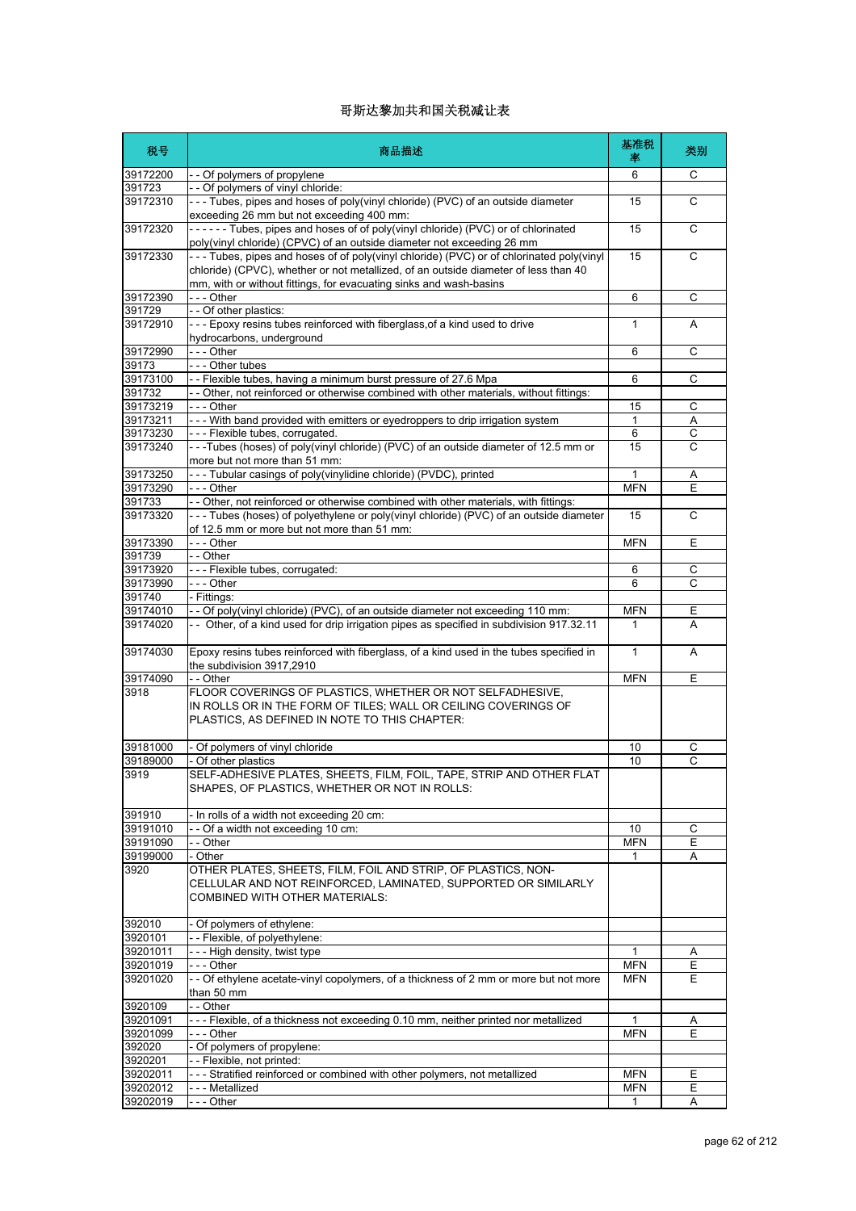| 税号                   | 商品描述                                                                                                                                                                            | 基准税<br>率                 | 类别     |
|----------------------|---------------------------------------------------------------------------------------------------------------------------------------------------------------------------------|--------------------------|--------|
| 39172200             | - - Of polymers of propylene                                                                                                                                                    | 6                        | C      |
| 391723               | - - Of polymers of vinyl chloride:                                                                                                                                              |                          |        |
| 39172310             | --- Tubes, pipes and hoses of poly(vinyl chloride) (PVC) of an outside diameter<br>exceeding 26 mm but not exceeding 400 mm:                                                    | 15                       | C      |
| 39172320             | ------ Tubes, pipes and hoses of of poly(vinyl chloride) (PVC) or of chlorinated<br>poly(vinyl chloride) (CPVC) of an outside diameter not exceeding 26 mm                      | 15                       | C      |
| 39172330             | --- Tubes, pipes and hoses of of poly(vinyl chloride) (PVC) or of chlorinated poly(vinyl<br>chloride) (CPVC), whether or not metallized, of an outside diameter of less than 40 | 15                       | C      |
|                      | mm, with or without fittings, for evacuating sinks and wash-basins<br>--- Other                                                                                                 |                          |        |
| 39172390<br>391729   | -- Of other plastics:                                                                                                                                                           | 6                        | С      |
| 39172910             | --- Epoxy resins tubes reinforced with fiberglass, of a kind used to drive<br>hydrocarbons, underground                                                                         | 1                        | A      |
| 39172990             | --- Other                                                                                                                                                                       | 6                        | C      |
| 39173                | - - - Other tubes                                                                                                                                                               |                          |        |
| 39173100             | -- Flexible tubes, having a minimum burst pressure of 27.6 Mpa                                                                                                                  | 6                        | C      |
| 391732               | - - Other, not reinforced or otherwise combined with other materials, without fittings:                                                                                         |                          |        |
| 39173219             | - - - Other                                                                                                                                                                     | 15                       | С      |
| 39173211             | - - - With band provided with emitters or eyedroppers to drip irrigation system                                                                                                 | 1                        | Α      |
| 39173230             | --- Flexible tubes, corrugated.                                                                                                                                                 | 6                        | С      |
| 39173240             | --Tubes (hoses) of poly(vinyl chloride) (PVC) of an outside diameter of 12.5 mm or<br>more but not more than 51 mm:                                                             | 15                       | C      |
| 39173250             | --- Tubular casings of poly(vinylidine chloride) (PVDC), printed                                                                                                                | 1                        | Α      |
| 39173290             | - - - Other                                                                                                                                                                     | <b>MFN</b>               | Е      |
| 391733               | -- Other, not reinforced or otherwise combined with other materials, with fittings:                                                                                             |                          |        |
| 39173320             | --- Tubes (hoses) of polyethylene or poly(vinyl chloride) (PVC) of an outside diameter<br>of 12.5 mm or more but not more than 51 mm:                                           | 15                       | C      |
| 39173390             | --- Other                                                                                                                                                                       | <b>MFN</b>               | E      |
| 391739               | - - Other                                                                                                                                                                       |                          |        |
| 39173920             | --- Flexible tubes, corrugated:                                                                                                                                                 | 6                        | C      |
| 39173990             | --- Other                                                                                                                                                                       | 6                        | C      |
| 391740               | - Fittings:                                                                                                                                                                     |                          |        |
| 39174010<br>39174020 | - - Of poly(vinyl chloride) (PVC), of an outside diameter not exceeding 110 mm:<br>- - Other, of a kind used for drip irrigation pipes as specified in subdivision 917.32.11    | <b>MFN</b><br>1          | Ε<br>A |
| 39174030             | Epoxy resins tubes reinforced with fiberglass, of a kind used in the tubes specified in<br>the subdivision 3917,2910                                                            | $\mathbf{1}$             | A      |
| 39174090             | - - Other                                                                                                                                                                       | <b>MFN</b>               | E      |
| 3918                 | FLOOR COVERINGS OF PLASTICS, WHETHER OR NOT SELFADHESIVE,<br>IN ROLLS OR IN THE FORM OF TILES; WALL OR CEILING COVERINGS OF<br>PLASTICS, AS DEFINED IN NOTE TO THIS CHAPTER:    |                          |        |
| 39181000             | - Of polymers of vinyl chloride                                                                                                                                                 | 10                       | С      |
| 39189000             | - Of other plastics                                                                                                                                                             | 10                       | C      |
| 3919                 | SELF-ADHESIVE PLATES, SHEETS, FILM, FOIL, TAPE, STRIP AND OTHER FLAT<br>SHAPES, OF PLASTICS, WHETHER OR NOT IN ROLLS:                                                           |                          |        |
| 391910               | - In rolls of a width not exceeding 20 cm:                                                                                                                                      |                          |        |
| 39191010             | -- Of a width not exceeding 10 cm:                                                                                                                                              | 10                       | С      |
| 39191090             | - - Other                                                                                                                                                                       | <b>MFN</b>               | Ε      |
| 39199000             | - Other                                                                                                                                                                         | 1                        | A      |
| 3920                 | OTHER PLATES, SHEETS, FILM, FOIL AND STRIP, OF PLASTICS, NON-<br>CELLULAR AND NOT REINFORCED, LAMINATED, SUPPORTED OR SIMILARLY<br>COMBINED WITH OTHER MATERIALS:               |                          |        |
| 392010               | - Of polymers of ethylene:                                                                                                                                                      |                          |        |
| 3920101              | -- Flexible, of polyethylene:                                                                                                                                                   |                          |        |
| 39201011             | - - - High density, twist type                                                                                                                                                  | 1                        | A      |
| 39201019             | - - - Other                                                                                                                                                                     | <b>MFN</b>               | E      |
| 39201020             | - - Of ethylene acetate-vinyl copolymers, of a thickness of 2 mm or more but not more<br>than 50 mm                                                                             | <b>MFN</b>               | Е      |
| 3920109              | - - Other                                                                                                                                                                       |                          |        |
| 39201091             | --- Flexible, of a thickness not exceeding 0.10 mm, neither printed nor metallized                                                                                              | 1                        | A      |
| 39201099             | -  - - Other                                                                                                                                                                    | <b>MFN</b>               | E      |
| 392020               | - Of polymers of propylene:                                                                                                                                                     |                          |        |
| 3920201              | -- Flexible, not printed:                                                                                                                                                       |                          |        |
| 39202011<br>39202012 | --- Stratified reinforced or combined with other polymers, not metallized<br>- - - Metallized                                                                                   | <b>MFN</b><br><b>MFN</b> | Е<br>E |
| 39202019             | --- Other                                                                                                                                                                       | $\mathbf{1}$             | Α      |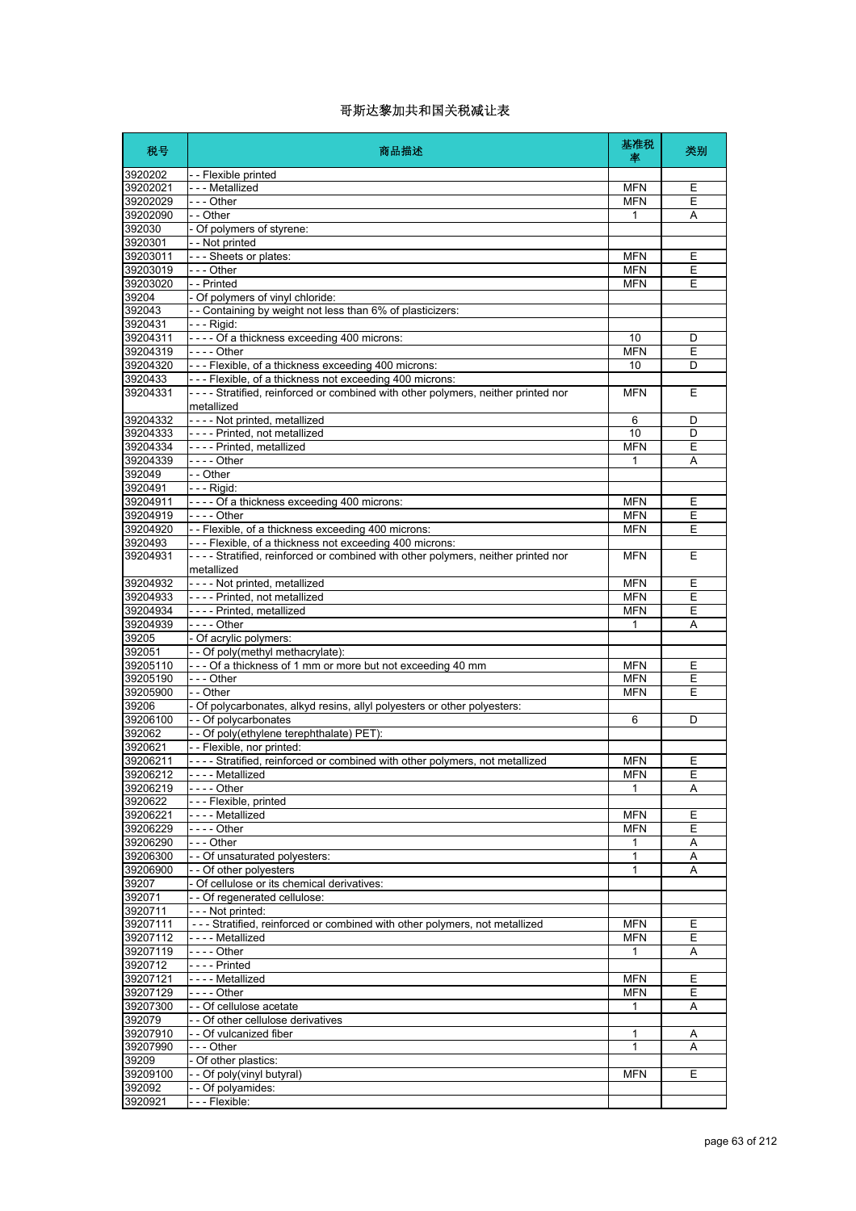| 税号                   | 商品描述                                                                                           | 基准税<br>率        | 类别     |
|----------------------|------------------------------------------------------------------------------------------------|-----------------|--------|
| 3920202              | - - Flexible printed                                                                           |                 |        |
| 39202021             | - - - Metallized                                                                               | <b>MFN</b>      | Е      |
| 39202029             | $- -$ Other                                                                                    | <b>MFN</b><br>1 | Ε      |
| 39202090<br>392030   | - - Other<br>- Of polymers of styrene:                                                         |                 | Α      |
| 3920301              | - - Not printed                                                                                |                 |        |
| 39203011             | --- Sheets or plates:                                                                          | <b>MFN</b>      | Ε      |
| 39203019             | $- -$ Other                                                                                    | <b>MFN</b>      | Е      |
| 39203020             | - - Printed                                                                                    | <b>MFN</b>      | E      |
| 39204                | - Of polymers of vinyl chloride:                                                               |                 |        |
| 392043<br>3920431    | -- Containing by weight not less than 6% of plasticizers:                                      |                 |        |
| 39204311             | - - - Rigid:<br>$\vert$ ---- Of a thickness exceeding 400 microns:                             | 10              | D      |
| 39204319             | $- - -$ Other                                                                                  | <b>MFN</b>      | Ε      |
| 39204320             | --- Flexible, of a thickness exceeding 400 microns:                                            | 10              | D      |
| 3920433              | --- Flexible, of a thickness not exceeding 400 microns:                                        |                 |        |
| 39204331             | ---- Stratified, reinforced or combined with other polymers, neither printed nor<br>metallized | <b>MFN</b>      | Е      |
| 39204332             | - - - - Not printed, metallized                                                                | 6               | D      |
| 39204333             | I- - - - Printed, not metallized                                                               | 10              | D      |
| 39204334             | I- - - - Printed. metallized                                                                   | <b>MFN</b>      | E      |
| 39204339<br>392049   | $- - -$ Other<br>- - Other                                                                     | 1               | Α      |
| 3920491              | - - - Rigid:                                                                                   |                 |        |
| 39204911             | ---- Of a thickness exceeding 400 microns:                                                     | <b>MFN</b>      | Ε      |
| 39204919             | $- - -$ Other                                                                                  | <b>MFN</b>      | E      |
| 39204920             | -- Flexible, of a thickness exceeding 400 microns:                                             | <b>MFN</b>      | Ε      |
| 3920493              | --- Flexible, of a thickness not exceeding 400 microns:                                        |                 |        |
| 39204931             | ---- Stratified, reinforced or combined with other polymers, neither printed nor<br>metallized | <b>MFN</b>      | E      |
| 39204932             | - - - - Not printed, metallized                                                                | <b>MFN</b>      | Ε      |
| 39204933             | - - - - Printed, not metallized                                                                | <b>MFN</b>      | Ε      |
| 39204934             | ---- Printed, metallized<br>$--$ - Other                                                       | <b>MFN</b>      | Ε      |
| 39204939<br>39205    | - Of acrylic polymers:                                                                         | 1               | Α      |
| 392051               | - - Of poly(methyl methacrylate):                                                              |                 |        |
| 39205110             | --- Of a thickness of 1 mm or more but not exceeding 40 mm                                     | <b>MFN</b>      | Ε      |
| 39205190             | $- -$ Other                                                                                    | <b>MFN</b>      | E      |
| 39205900             | - - Other                                                                                      | <b>MFN</b>      | Ε      |
| 39206                | - Of polycarbonates, alkyd resins, allyl polyesters or other polyesters:                       |                 |        |
| 39206100             | - - Of polycarbonates                                                                          | 6               | D      |
| 392062<br>3920621    | - - Of poly(ethylene terephthalate) PET):<br>- - Flexible, nor printed:                        |                 |        |
| 39206211             | ---- Stratified, reinforced or combined with other polymers, not metallized                    | <b>MFN</b>      | Е      |
| 39206212             | --- Metallized                                                                                 | <b>MFN</b>      | Е      |
| 39206219             | $\vert$ - - - - Other                                                                          | 1               | Α      |
| 3920622              | - - - Flexible, printed                                                                        |                 |        |
| 39206221             | - - - - Metallized                                                                             | <b>MFN</b>      | Ε      |
| 39206229             | - - - - Other                                                                                  | <b>MFN</b>      | E      |
| 39206290<br>39206300 | $\left  - - \right $ - Other<br>- - Of unsaturated polyesters:                                 | 1<br>1          | Α<br>Α |
| 39206900             | - - Of other polyesters                                                                        | $\mathbf{1}$    | Α      |
| 39207                | - Of cellulose or its chemical derivatives:                                                    |                 |        |
| 392071               | - - Of regenerated cellulose:                                                                  |                 |        |
| 3920711              | --- Not printed:                                                                               |                 |        |
| 39207111             | --- Stratified, reinforced or combined with other polymers, not metallized                     | <b>MFN</b>      | Ε      |
| 39207112             | - - - - Metallized                                                                             | <b>MFN</b>      | E      |
| 39207119             | $- - -$ Other                                                                                  | 1               | Α      |
| 3920712<br>39207121  | - - - - Printed<br>- - - - Metallized                                                          | <b>MFN</b>      | Ε      |
| 39207129             | - - - - Other                                                                                  | <b>MFN</b>      | Е      |
| 39207300             | - - Of cellulose acetate                                                                       | $\mathbf{1}$    | Α      |
| 392079               | - - Of other cellulose derivatives                                                             |                 |        |
| 39207910             | -- Of vulcanized fiber                                                                         | 1               | Α      |
| 39207990             | --- Other                                                                                      | 1               | Α      |
| 39209                | - Of other plastics:                                                                           |                 |        |
| 39209100<br>392092   | -- Of poly(vinyl butyral)<br>- - Of polyamides:                                                | <b>MFN</b>      | Е      |
| 3920921              | - - - Flexible:                                                                                |                 |        |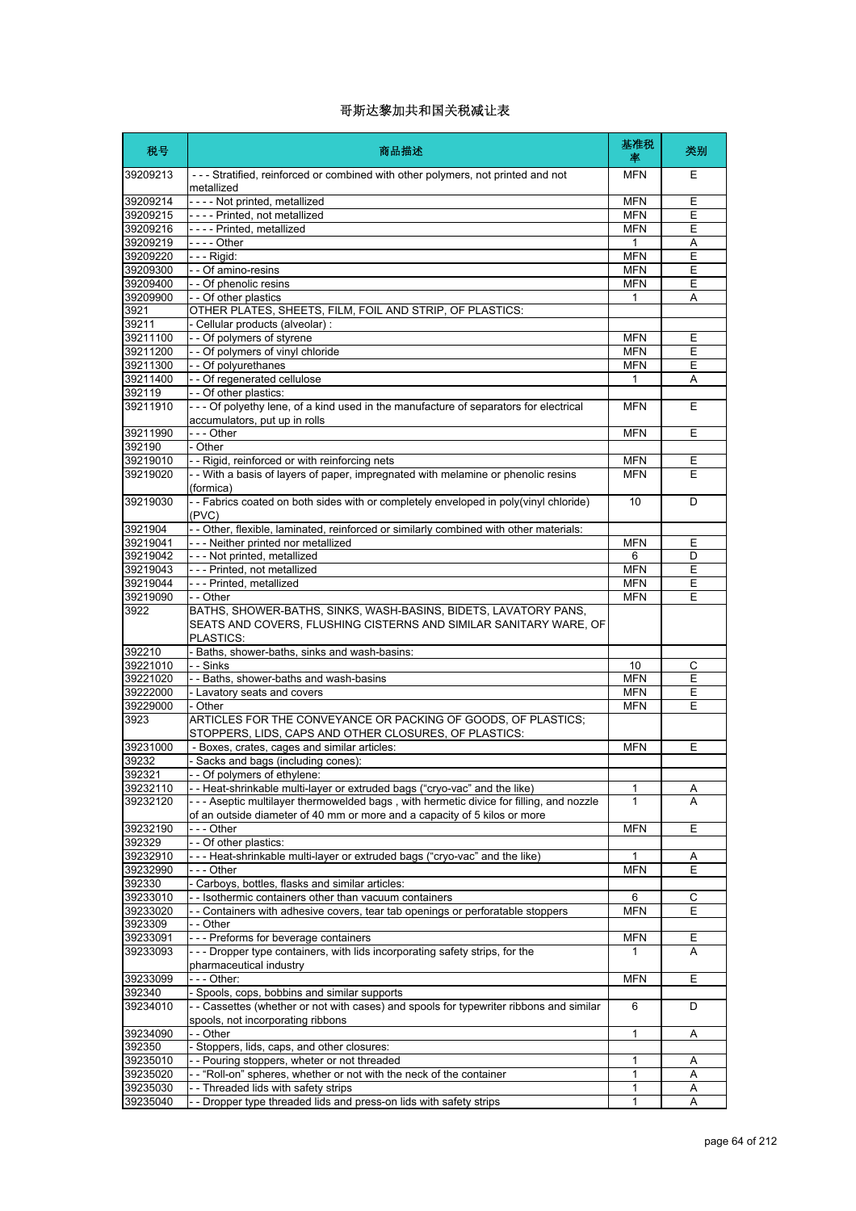| 税号                   | 商品描述                                                                                                                                              | 基准税<br>率     | 类别     |
|----------------------|---------------------------------------------------------------------------------------------------------------------------------------------------|--------------|--------|
| 39209213             | --- Stratified, reinforced or combined with other polymers, not printed and not<br>metallized                                                     | <b>MFN</b>   | Ε      |
| 39209214             | ---- Not printed, metallized                                                                                                                      | <b>MFN</b>   | E      |
| 39209215             | - - - - Printed, not metallized                                                                                                                   | <b>MFN</b>   | Е      |
| 39209216             | - - - - Printed, metallized                                                                                                                       | <b>MFN</b>   | E      |
| 39209219             | $\overline{-}$ - - Other                                                                                                                          | 1            | Α      |
| 39209220             | - - - Rigid:                                                                                                                                      | <b>MFN</b>   | E      |
| 39209300             | - - Of amino-resins                                                                                                                               | <b>MFN</b>   | Ε      |
| 39209400             | - - Of phenolic resins                                                                                                                            | <b>MFN</b>   | Е      |
| 39209900             | - - Of other plastics                                                                                                                             | $\mathbf{1}$ | Α      |
| 3921                 | OTHER PLATES, SHEETS, FILM, FOIL AND STRIP, OF PLASTICS:                                                                                          |              |        |
| 39211                | - Cellular products (alveolar) :                                                                                                                  |              |        |
| 39211100             | - - Of polymers of styrene                                                                                                                        | <b>MFN</b>   | Ε      |
| 39211200             | -- Of polymers of vinyl chloride                                                                                                                  | <b>MFN</b>   | E      |
| 39211300             | - - Of polyurethanes                                                                                                                              | <b>MFN</b>   | Е      |
| 39211400             | - - Of regenerated cellulose                                                                                                                      | 1            | Α      |
| 392119<br>39211910   | - - Of other plastics:<br>- - - Of polyethy lene, of a kind used in the manufacture of separators for electrical                                  |              | Е      |
|                      | accumulators, put up in rolls                                                                                                                     | <b>MFN</b>   |        |
| 39211990             | $--$ Other                                                                                                                                        | <b>MFN</b>   | Ε      |
| 392190               | - Other                                                                                                                                           |              |        |
| 39219010             | - - Rigid, reinforced or with reinforcing nets                                                                                                    | <b>MFN</b>   | Е      |
| 39219020             | - - With a basis of layers of paper, impregnated with melamine or phenolic resins<br>(formica)                                                    | <b>MFN</b>   | E      |
| 39219030             | -- Fabrics coated on both sides with or completely enveloped in poly(vinyl chloride)<br>(PVC)                                                     | 10           | D      |
| 3921904              | -- Other, flexible, laminated, reinforced or similarly combined with other materials:                                                             |              |        |
| 39219041             | --- Neither printed nor metallized                                                                                                                | <b>MFN</b>   | Ε      |
| 39219042             | - - - Not printed, metallized                                                                                                                     | 6            | D      |
| 39219043             | --- Printed, not metallized                                                                                                                       | <b>MFN</b>   | E      |
| 39219044             | --- Printed, metallized                                                                                                                           | <b>MFN</b>   | Ε      |
| 39219090             | - - Other                                                                                                                                         | <b>MFN</b>   | Ε      |
| 3922                 | BATHS, SHOWER-BATHS, SINKS, WASH-BASINS, BIDETS, LAVATORY PANS,<br>SEATS AND COVERS, FLUSHING CISTERNS AND SIMILAR SANITARY WARE, OF<br>PLASTICS: |              |        |
| 392210               | - Baths, shower-baths, sinks and wash-basins:                                                                                                     |              |        |
| 39221010             | - - Sinks                                                                                                                                         | 10           | С      |
| 39221020             | - - Baths, shower-baths and wash-basins                                                                                                           | <b>MFN</b>   | E      |
| 39222000             | - Lavatory seats and covers                                                                                                                       | <b>MFN</b>   | Ε      |
| 39229000             | - Other                                                                                                                                           | <b>MFN</b>   | E      |
| 3923                 | ARTICLES FOR THE CONVEYANCE OR PACKING OF GOODS, OF PLASTICS;<br>STOPPERS, LIDS, CAPS AND OTHER CLOSURES, OF PLASTICS:                            |              |        |
| 39231000             | - Boxes, crates, cages and similar articles:                                                                                                      | <b>MFN</b>   | Е      |
| 39232                | - Sacks and bags (including cones):                                                                                                               |              |        |
| 392321               | - Of polymers of ethylene:                                                                                                                        |              |        |
| 39232110             | - - Heat-shrinkable multi-layer or extruded bags ("cryo-vac" and the like)                                                                        | 1            | Α      |
| 39232120             | --- Aseptic multilayer thermowelded bags, with hermetic divice for filling, and nozzle                                                            | 1            | А      |
|                      | of an outside diameter of 40 mm or more and a capacity of 5 kilos or more                                                                         |              |        |
| 39232190<br>392329   | -  - - Other<br>-- Of other plastics:                                                                                                             | <b>MFN</b>   | Ε      |
| 39232910             | --- Heat-shrinkable multi-layer or extruded bags ("cryo-vac" and the like)                                                                        | 1            | Α      |
| 39232990             | - - - Other                                                                                                                                       | <b>MFN</b>   | Ε      |
| 392330               | Carboys, bottles, flasks and similar articles:                                                                                                    |              |        |
| 39233010             | - - Isothermic containers other than vacuum containers                                                                                            | 6            | С      |
| 39233020             | - Containers with adhesive covers, tear tab openings or perforatable stoppers                                                                     | <b>MFN</b>   | Е      |
| 3923309              | - - Other                                                                                                                                         |              |        |
| 39233091             | --- Preforms for beverage containers                                                                                                              | <b>MFN</b>   | Ε      |
| 39233093             | - - - Dropper type containers, with lids incorporating safety strips, for the<br>pharmaceutical industry                                          | 1            | A      |
| 39233099             | - - - Other:                                                                                                                                      | <b>MFN</b>   | Ε      |
| 392340<br>39234010   | - Spools, cops, bobbins and similar supports<br>-- Cassettes (whether or not with cases) and spools for typewriter ribbons and similar            | 6            | D      |
|                      | spools, not incorporating ribbons                                                                                                                 |              |        |
| 39234090             | - - Other                                                                                                                                         | 1            | Α      |
| 392350               | - Stoppers, lids, caps, and other closures:                                                                                                       |              |        |
| 39235010             | - - Pouring stoppers, wheter or not threaded                                                                                                      | 1            | Α      |
| 39235020<br>39235030 | - "Roll-on" spheres, whether or not with the neck of the container<br>- - Threaded lids with safety strips                                        | 1            | Α      |
| 39235040             | - - Dropper type threaded lids and press-on lids with safety strips                                                                               | 1<br>1       | A<br>Α |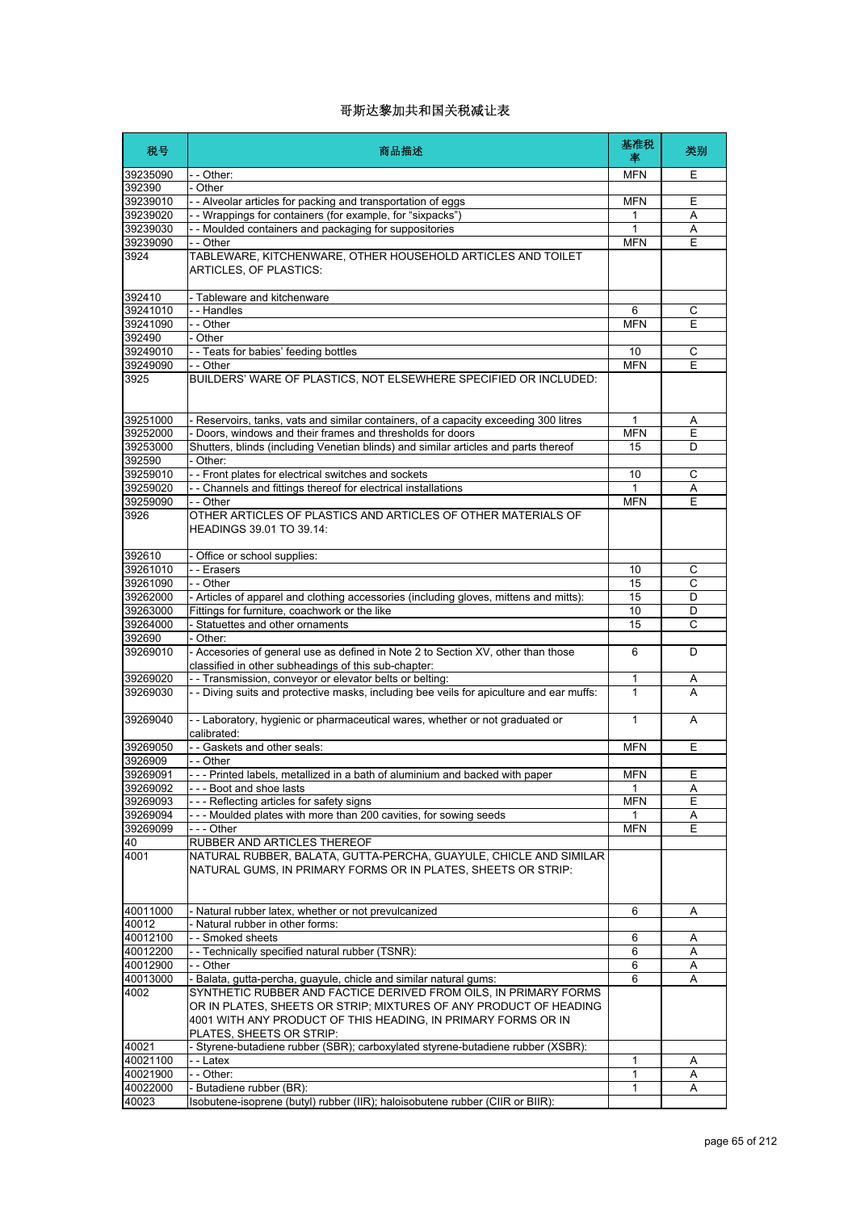| 税号                   | 商品描述                                                                                                                                                                     | 基准税<br>率         | 类别     |
|----------------------|--------------------------------------------------------------------------------------------------------------------------------------------------------------------------|------------------|--------|
| 39235090             | - - Other:                                                                                                                                                               | <b>MFN</b>       | Ε      |
| 392390               | - Other                                                                                                                                                                  |                  |        |
| 39239010             | - - Alveolar articles for packing and transportation of eggs                                                                                                             | <b>MFN</b>       | Ε      |
| 39239020             | - - Wrappings for containers (for example, for "sixpacks")                                                                                                               | 1                | Α      |
| 39239030             | - - Moulded containers and packaging for suppositories                                                                                                                   | 1                | Α      |
| 39239090             | - - Other                                                                                                                                                                | <b>MFN</b>       | E      |
| 3924                 | TABLEWARE, KITCHENWARE, OTHER HOUSEHOLD ARTICLES AND TOILET<br>ARTICLES, OF PLASTICS:                                                                                    |                  |        |
| 392410               | - Tableware and kitchenware                                                                                                                                              |                  |        |
| 39241010             | - - Handles                                                                                                                                                              | 6                | С      |
| 39241090             | - - Other                                                                                                                                                                | <b>MFN</b>       | Ε      |
| 392490               | - Other                                                                                                                                                                  |                  |        |
| 39249010<br>39249090 | - - Teats for babies' feeding bottles<br>- - Other                                                                                                                       | 10<br><b>MFN</b> | C<br>Ε |
| 3925                 | BUILDERS' WARE OF PLASTICS, NOT ELSEWHERE SPECIFIED OR INCLUDED:                                                                                                         |                  |        |
|                      |                                                                                                                                                                          |                  |        |
| 39251000             | - Reservoirs, tanks, vats and similar containers, of a capacity exceeding 300 litres                                                                                     | 1                | A      |
| 39252000             | Doors, windows and their frames and thresholds for doors                                                                                                                 | <b>MFN</b>       | E      |
| 39253000<br>392590   | Shutters, blinds (including Venetian blinds) and similar articles and parts thereof                                                                                      | 15               | D      |
| 39259010             | - Other:<br>- - Front plates for electrical switches and sockets                                                                                                         | 10               | C      |
| 39259020             | - - Channels and fittings thereof for electrical installations                                                                                                           | 1                | Α      |
| 39259090             | - - Other                                                                                                                                                                | <b>MFN</b>       | E      |
| 3926                 | OTHER ARTICLES OF PLASTICS AND ARTICLES OF OTHER MATERIALS OF<br>HEADINGS 39.01 TO 39.14:                                                                                |                  |        |
| 392610               | Office or school supplies:                                                                                                                                               |                  |        |
| 39261010             | - - Erasers                                                                                                                                                              | 10               | С      |
| 39261090             | - - Other                                                                                                                                                                | 15               | C      |
| 39262000             | - Articles of apparel and clothing accessories (including gloves, mittens and mitts):                                                                                    | 15               | D      |
| 39263000             | Fittings for furniture, coachwork or the like                                                                                                                            | 10               | D      |
| 39264000             | Statuettes and other ornaments                                                                                                                                           | 15               | C      |
| 392690               | Other:                                                                                                                                                                   |                  |        |
| 39269010             | - Accesories of general use as defined in Note 2 to Section XV, other than those<br>classified in other subheadings of this sub-chapter:                                 | 6                | D      |
| 39269020<br>39269030 | - Transmission, conveyor or elevator belts or belting:                                                                                                                   | 1<br>1           | A<br>A |
| 39269040             | - - Diving suits and protective masks, including bee veils for apiculture and ear muffs:<br>-- Laboratory, hygienic or pharmaceutical wares, whether or not graduated or | 1                | A      |
| 39269050             | calibrated:<br>- - Gaskets and other seals:                                                                                                                              | <b>MFN</b>       | Ε      |
| 3926909              | - - Other                                                                                                                                                                |                  |        |
| 39269091             | --- Printed labels, metallized in a bath of aluminium and backed with paper                                                                                              | <b>MFN</b>       | Ε      |
| 39269092             | --- Boot and shoe lasts                                                                                                                                                  | 1                | Α      |
| 39269093             | --- Reflecting articles for safety signs                                                                                                                                 | <b>MFN</b>       | Е      |
| 39269094             | --- Moulded plates with more than 200 cavities, for sowing seeds                                                                                                         | 1                | A      |
| 39269099             | $--$ Other                                                                                                                                                               | <b>MFN</b>       | E      |
| 40                   | RUBBER AND ARTICLES THEREOF                                                                                                                                              |                  |        |
| 4001                 | NATURAL RUBBER, BALATA, GUTTA-PERCHA, GUAYULE, CHICLE AND SIMILAR<br>NATURAL GUMS, IN PRIMARY FORMS OR IN PLATES, SHEETS OR STRIP:                                       |                  |        |
| 40011000             | - Natural rubber latex, whether or not prevulcanized                                                                                                                     | 6                | Α      |
| 40012                | - Natural rubber in other forms:                                                                                                                                         |                  |        |
| 40012100             | - - Smoked sheets                                                                                                                                                        | 6                | A      |
| 40012200             | - - Technically specified natural rubber (TSNR):                                                                                                                         | 6                | Α      |
| 40012900             | - - Other                                                                                                                                                                | 6                | Α      |
| 40013000<br>4002     | - Balata, gutta-percha, guayule, chicle and similar natural gums:<br>SYNTHETIC RUBBER AND FACTICE DERIVED FROM OILS, IN PRIMARY FORMS                                    | 6                | A      |
|                      | OR IN PLATES, SHEETS OR STRIP; MIXTURES OF ANY PRODUCT OF HEADING<br>4001 WITH ANY PRODUCT OF THIS HEADING, IN PRIMARY FORMS OR IN                                       |                  |        |
|                      | PLATES, SHEETS OR STRIP:                                                                                                                                                 |                  |        |
| 40021                | - Styrene-butadiene rubber (SBR); carboxylated styrene-butadiene rubber (XSBR):                                                                                          |                  |        |
| 40021100             | - - Latex                                                                                                                                                                | 1                | A      |
| 40021900<br>40022000 | - - Other:<br>- Butadiene rubber (BR):                                                                                                                                   | 1<br>1           | Α<br>Α |
| 40023                | Isobutene-isoprene (butyl) rubber (IIR); haloisobutene rubber (CIIR or BIIR):                                                                                            |                  |        |
|                      |                                                                                                                                                                          |                  |        |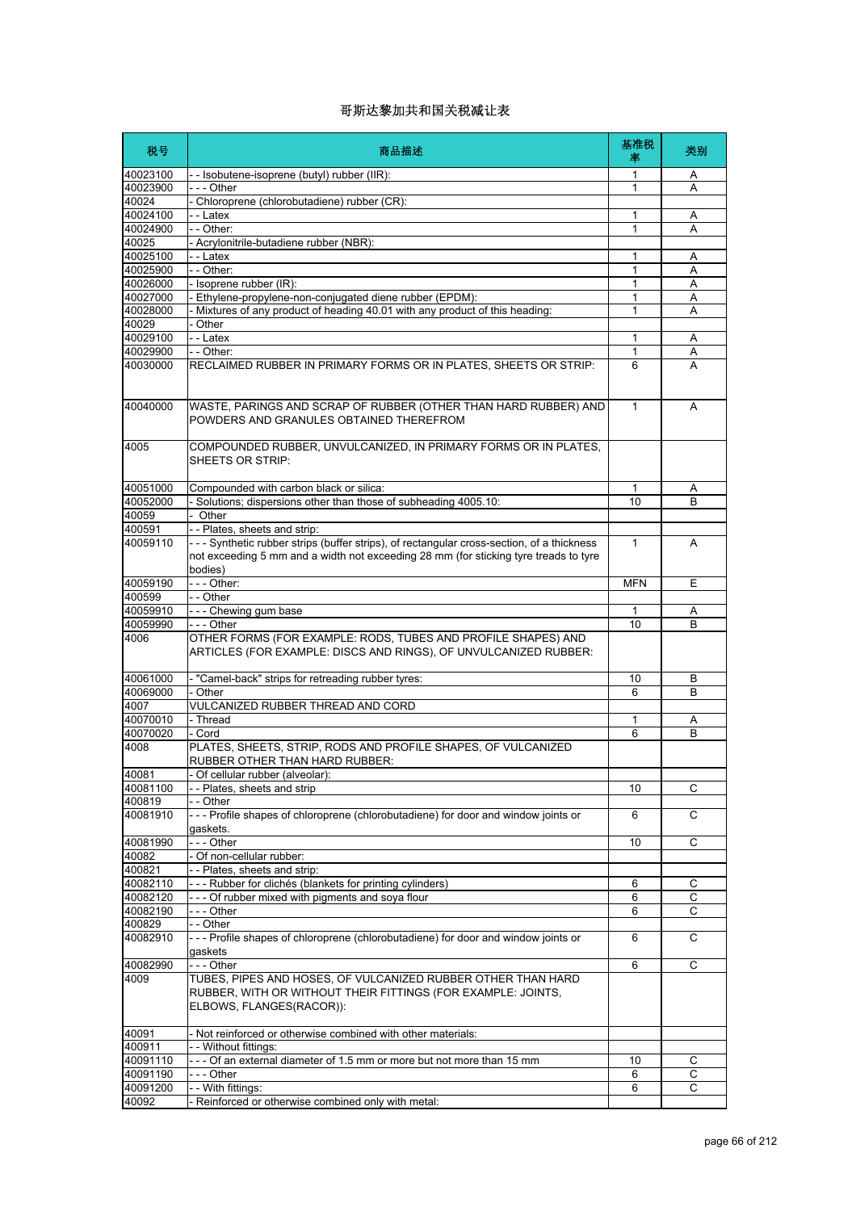| 税号                   | 商品描述                                                                                                                                                                                         | 基准税<br>率     | 类别     |
|----------------------|----------------------------------------------------------------------------------------------------------------------------------------------------------------------------------------------|--------------|--------|
| 40023100             | - - Isobutene-isoprene (butyl) rubber (IIR):                                                                                                                                                 | 1            | A      |
| 40023900             | $- -$ - Other                                                                                                                                                                                | 1            | A      |
| 40024                | Chloroprene (chlorobutadiene) rubber (CR):                                                                                                                                                   |              |        |
| 40024100             | - - Latex                                                                                                                                                                                    | 1            | Α      |
| 40024900             | - - Other:                                                                                                                                                                                   | 1            | Α      |
| 40025                | - Acrylonitrile-butadiene rubber (NBR):                                                                                                                                                      |              |        |
| 40025100             | - - Latex                                                                                                                                                                                    | 1            | Α      |
| 40025900             | $-$ - Other:                                                                                                                                                                                 | 1            | A      |
| 40026000             | - Isoprene rubber (IR):                                                                                                                                                                      | $\mathbf{1}$ | A      |
| 40027000<br>40028000 | - Ethylene-propylene-non-conjugated diene rubber (EPDM):<br>- Mixtures of any product of heading 40.01 with any product of this heading:                                                     | 1<br>1       | Α<br>Α |
| 40029                | - Other                                                                                                                                                                                      |              |        |
| 40029100             | - - Latex                                                                                                                                                                                    | 1            | Α      |
| 40029900             | - - Other:                                                                                                                                                                                   | 1            | Α      |
| 40030000             | RECLAIMED RUBBER IN PRIMARY FORMS OR IN PLATES, SHEETS OR STRIP:                                                                                                                             | 6            | A      |
|                      |                                                                                                                                                                                              |              |        |
| 40040000             | WASTE, PARINGS AND SCRAP OF RUBBER (OTHER THAN HARD RUBBER) AND<br>POWDERS AND GRANULES OBTAINED THEREFROM                                                                                   | $\mathbf{1}$ | A      |
| 4005                 | COMPOUNDED RUBBER, UNVULCANIZED, IN PRIMARY FORMS OR IN PLATES,<br>SHEETS OR STRIP:                                                                                                          |              |        |
| 40051000             | Compounded with carbon black or silica:                                                                                                                                                      | 1            | Α      |
| 40052000             | - Solutions; dispersions other than those of subheading 4005.10:                                                                                                                             | 10           | В      |
| 40059                | Other                                                                                                                                                                                        |              |        |
| 400591               | -- Plates, sheets and strip:                                                                                                                                                                 |              |        |
| 40059110             | --- Synthetic rubber strips (buffer strips), of rectangular cross-section, of a thickness<br>not exceeding 5 mm and a width not exceeding 28 mm (for sticking tyre treads to tyre<br>bodies) | $\mathbf{1}$ | A      |
| 40059190             | - - - Other:                                                                                                                                                                                 | <b>MFN</b>   | Ε      |
| 400599               | - - Other                                                                                                                                                                                    |              |        |
| 40059910             | --- Chewing gum base                                                                                                                                                                         | 1            | A      |
| 40059990             | - - - Other                                                                                                                                                                                  | 10           | B      |
| 4006                 | OTHER FORMS (FOR EXAMPLE: RODS, TUBES AND PROFILE SHAPES) AND<br>ARTICLES (FOR EXAMPLE: DISCS AND RINGS), OF UNVULCANIZED RUBBER:                                                            |              |        |
| 40061000             | - "Camel-back" strips for retreading rubber tyres:                                                                                                                                           | 10           | В      |
| 40069000             | Other                                                                                                                                                                                        | 6            | B      |
| 4007                 | <b>VULCANIZED RUBBER THREAD AND CORD</b>                                                                                                                                                     |              |        |
| 40070010             | - Thread                                                                                                                                                                                     | 1            | Α      |
| 40070020             | - Cord                                                                                                                                                                                       | 6            | B      |
| 4008                 | PLATES, SHEETS, STRIP, RODS AND PROFILE SHAPES, OF VULCANIZED<br>RUBBER OTHER THAN HARD RUBBER:                                                                                              |              |        |
| 40081                | Of cellular rubber (alveolar):                                                                                                                                                               |              |        |
| 40081100             | - - Plates, sheets and strip                                                                                                                                                                 | 10           | C      |
| 400819               | - Other                                                                                                                                                                                      |              |        |
| 40081910             | --- Profile shapes of chloroprene (chlorobutadiene) for door and window joints or<br>gaskets.                                                                                                | 6            | С      |
| 40081990<br>40082    | --- Other<br>Of non-cellular rubber:                                                                                                                                                         | 10           | С      |
|                      |                                                                                                                                                                                              |              |        |
| 400821<br>40082110   | - - Plates, sheets and strip:<br>--- Rubber for clichés (blankets for printing cylinders)                                                                                                    |              |        |
| 40082120             | --- Of rubber mixed with pigments and soya flour                                                                                                                                             | 6<br>6       | С<br>C |
| 40082190             | - - - Other                                                                                                                                                                                  | 6            | С      |
| 400829               | - - Other                                                                                                                                                                                    |              |        |
| 40082910             | --- Profile shapes of chloroprene (chlorobutadiene) for door and window joints or                                                                                                            | 6            | C      |
|                      | gaskets                                                                                                                                                                                      |              |        |
| 40082990             | --- Other                                                                                                                                                                                    | 6            | С      |
| 4009                 | TUBES, PIPES AND HOSES, OF VULCANIZED RUBBER OTHER THAN HARD<br>RUBBER, WITH OR WITHOUT THEIR FITTINGS (FOR EXAMPLE: JOINTS,<br>ELBOWS, FLANGES(RACOR)):                                     |              |        |
| 40091<br>400911      | - Not reinforced or otherwise combined with other materials:<br>- Without fittings:                                                                                                          |              |        |
| 40091110             | --- Of an external diameter of 1.5 mm or more but not more than 15 mm                                                                                                                        | 10           | С      |
| 40091190             | --- Other                                                                                                                                                                                    | 6            | С      |
| 40091200             | - - With fittings:                                                                                                                                                                           | 6            | C      |
| 40092                | Reinforced or otherwise combined only with metal:                                                                                                                                            |              |        |
|                      |                                                                                                                                                                                              |              |        |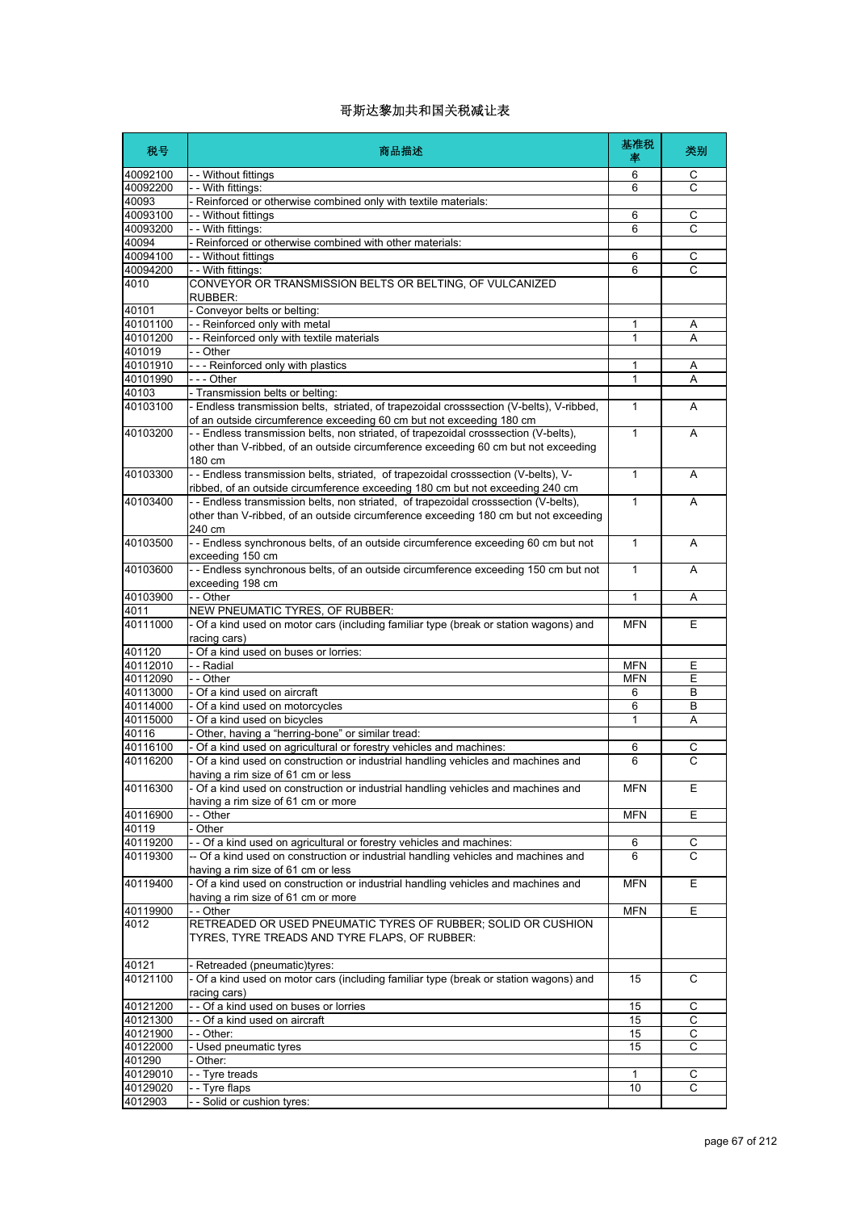| 税号                   | 商品描述                                                                                                                                                                                 | 基准税<br>率          | 类别             |
|----------------------|--------------------------------------------------------------------------------------------------------------------------------------------------------------------------------------|-------------------|----------------|
| 40092100             | - - Without fittings                                                                                                                                                                 | 6                 | С              |
| 40092200             | - - With fittings:                                                                                                                                                                   | 6                 | $\overline{C}$ |
| 40093                | - Reinforced or otherwise combined only with textile materials:                                                                                                                      |                   |                |
| 40093100             | - - Without fittings                                                                                                                                                                 | 6                 | С              |
| 40093200             | - - With fittings:                                                                                                                                                                   | 6                 | С              |
| 40094                | - Reinforced or otherwise combined with other materials:                                                                                                                             |                   |                |
| 40094100             | - - Without fittings                                                                                                                                                                 | 6                 | С              |
| 40094200             | - - With fittings:                                                                                                                                                                   | 6                 | C              |
| 4010                 | CONVEYOR OR TRANSMISSION BELTS OR BELTING, OF VULCANIZED<br>RUBBER:                                                                                                                  |                   |                |
| 40101                | - Conveyor belts or belting:                                                                                                                                                         |                   |                |
| 40101100             | - - Reinforced only with metal                                                                                                                                                       | 1                 | Α              |
| 40101200             | - - Reinforced only with textile materials                                                                                                                                           | 1                 | Α              |
| 401019               | - - Other                                                                                                                                                                            |                   |                |
| 40101910<br>40101990 | --- Reinforced only with plastics<br>- - - Other                                                                                                                                     | 1<br>$\mathbf{1}$ | Α<br>А         |
| 40103                | - Transmission belts or belting:                                                                                                                                                     |                   |                |
| 40103100             | - Endless transmission belts, striated, of trapezoidal crosssection (V-belts), V-ribbed,                                                                                             | 1                 | A              |
|                      | of an outside circumference exceeding 60 cm but not exceeding 180 cm                                                                                                                 |                   |                |
| 40103200             | - Endless transmission belts, non striated, of trapezoidal crosssection (V-belts),<br>other than V-ribbed, of an outside circumference exceeding 60 cm but not exceeding<br>180 cm   | $\mathbf{1}$      | A              |
| 40103300             | -- Endless transmission belts, striated, of trapezoidal crosssection (V-belts), V-<br>ribbed, of an outside circumference exceeding 180 cm but not exceeding 240 cm                  | $\mathbf{1}$      | A              |
| 40103400             | -- Endless transmission belts, non striated, of trapezoidal crosssection (V-belts),<br>other than V-ribbed, of an outside circumference exceeding 180 cm but not exceeding<br>240 cm | $\mathbf{1}$      | A              |
| 40103500             | -- Endless synchronous belts, of an outside circumference exceeding 60 cm but not<br>exceeding 150 cm                                                                                | $\mathbf{1}$      | A              |
| 40103600             | -- Endless synchronous belts, of an outside circumference exceeding 150 cm but not<br>exceeding 198 cm                                                                               | $\mathbf{1}$      | Α              |
| 40103900             | - - Other                                                                                                                                                                            | 1                 | Α              |
| 4011                 | NEW PNEUMATIC TYRES, OF RUBBER:                                                                                                                                                      |                   |                |
| 40111000             | - Of a kind used on motor cars (including familiar type (break or station wagons) and<br>racing cars)                                                                                | <b>MFN</b>        | Ε              |
| 401120               | - Of a kind used on buses or lorries:                                                                                                                                                |                   |                |
| 40112010             | - - Radial                                                                                                                                                                           | <b>MFN</b>        | Ε              |
| 40112090             | - - Other                                                                                                                                                                            | <b>MFN</b>        | Ε              |
| 40113000             | - Of a kind used on aircraft                                                                                                                                                         | 6                 | B              |
| 40114000             | - Of a kind used on motorcycles                                                                                                                                                      | 6                 | B              |
| 40115000             | - Of a kind used on bicycles                                                                                                                                                         | 1                 | Α              |
| 40116                | - Other, having a "herring-bone" or similar tread:                                                                                                                                   |                   |                |
| 40116100             | - Of a kind used on agricultural or forestry vehicles and machines:                                                                                                                  | 6                 | С              |
| 40116200             | - Of a kind used on construction or industrial handling vehicles and machines and<br>having a rim size of 61 cm or less                                                              | 6                 | C              |
| 40116300             | - Of a kind used on construction or industrial handling vehicles and machines and<br>having a rim size of 61 cm or more                                                              | <b>MFN</b>        | Ε              |
| 40116900             | $-$ Other                                                                                                                                                                            | <b>MFN</b>        | E              |
| 40119                | Other                                                                                                                                                                                |                   |                |
| 40119200             | - - Of a kind used on agricultural or forestry vehicles and machines:                                                                                                                | 6                 | C              |
| 40119300             | -- Of a kind used on construction or industrial handling vehicles and machines and<br>having a rim size of 61 cm or less                                                             | 6                 | C              |
| 40119400             | - Of a kind used on construction or industrial handling vehicles and machines and<br>having a rim size of 61 cm or more                                                              | <b>MFN</b>        | Ε              |
| 40119900             | - - Other                                                                                                                                                                            | <b>MFN</b>        | Ε              |
| 4012                 | RETREADED OR USED PNEUMATIC TYRES OF RUBBER; SOLID OR CUSHION<br>TYRES, TYRE TREADS AND TYRE FLAPS, OF RUBBER:                                                                       |                   |                |
| 40121                | - Retreaded (pneumatic)tyres:                                                                                                                                                        |                   |                |
| 40121100             | - Of a kind used on motor cars (including familiar type (break or station wagons) and<br>racing cars)                                                                                | 15                | C              |
| 40121200             | - - Of a kind used on buses or lorries                                                                                                                                               | 15                | C              |
| 40121300             | - - Of a kind used on aircraft                                                                                                                                                       | 15                | С              |
| 40121900             | - - Other:                                                                                                                                                                           | 15                | C              |
| 40122000             | - Used pneumatic tyres                                                                                                                                                               | 15                | С              |
| 401290               | Other:                                                                                                                                                                               |                   |                |
| 40129010             | -- Tyre treads                                                                                                                                                                       | 1                 | С              |
| 40129020             | - - Tyre flaps                                                                                                                                                                       | 10                | С              |
| 4012903              | -- Solid or cushion tyres:                                                                                                                                                           |                   |                |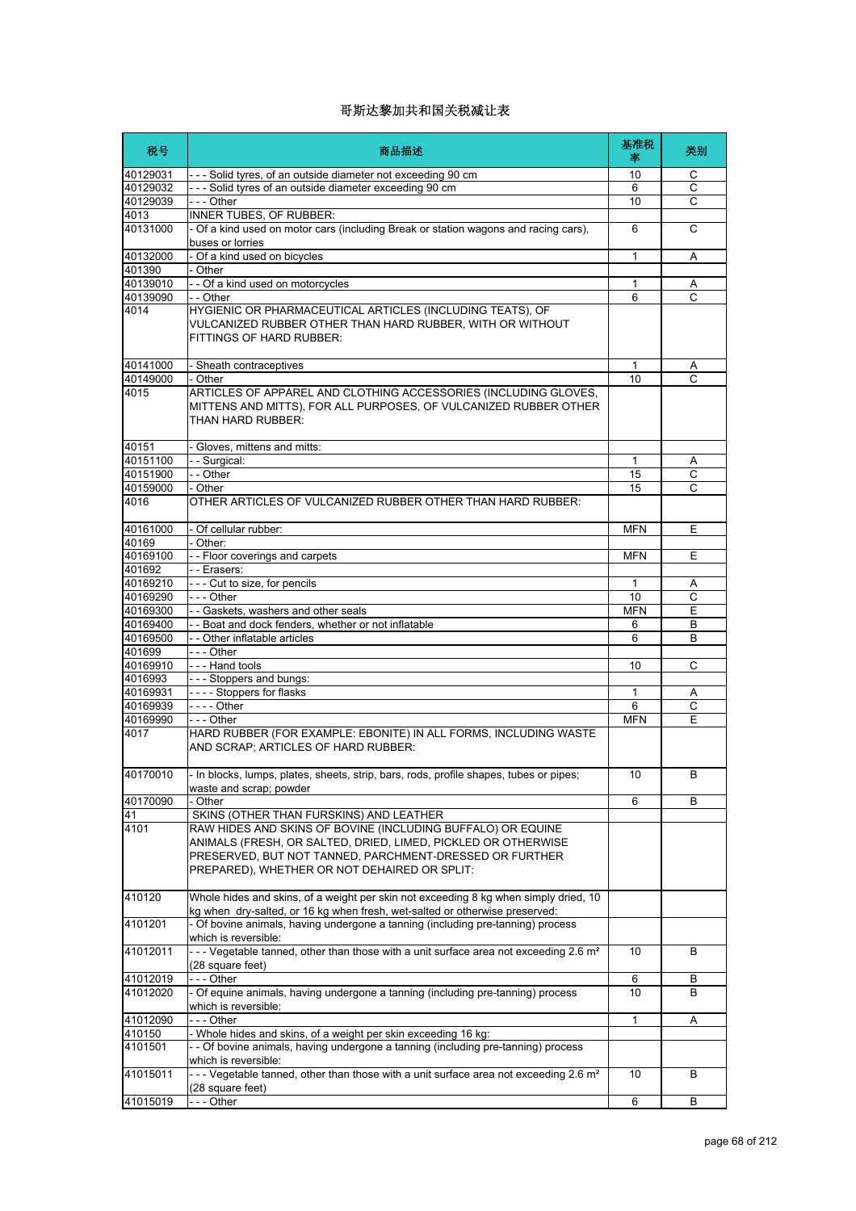| 税号       | 商品描述                                                                                                                                                                                                                                    | 基准税<br>率     | 类别           |
|----------|-----------------------------------------------------------------------------------------------------------------------------------------------------------------------------------------------------------------------------------------|--------------|--------------|
| 40129031 | --- Solid tyres, of an outside diameter not exceeding 90 cm                                                                                                                                                                             | 10           | С            |
| 40129032 | --- Solid tyres of an outside diameter exceeding 90 cm                                                                                                                                                                                  | 6            | C            |
| 40129039 | $- -$ - Other                                                                                                                                                                                                                           | 10           | C            |
| 4013     | INNER TUBES, OF RUBBER:                                                                                                                                                                                                                 |              |              |
| 40131000 | - Of a kind used on motor cars (including Break or station wagons and racing cars),<br>buses or lorries                                                                                                                                 | 6            | C            |
| 40132000 | - Of a kind used on bicycles                                                                                                                                                                                                            | $\mathbf{1}$ | A            |
| 401390   | - Other                                                                                                                                                                                                                                 |              |              |
| 40139010 | - - Of a kind used on motorcycles                                                                                                                                                                                                       | 1            | A            |
| 40139090 | - - Other                                                                                                                                                                                                                               | 6            | C            |
| 4014     | HYGIENIC OR PHARMACEUTICAL ARTICLES (INCLUDING TEATS), OF<br>VULCANIZED RUBBER OTHER THAN HARD RUBBER, WITH OR WITHOUT<br>FITTINGS OF HARD RUBBER:                                                                                      |              |              |
| 40141000 | - Sheath contraceptives                                                                                                                                                                                                                 | 1            | A            |
| 40149000 | - Other                                                                                                                                                                                                                                 | 10           | C            |
| 4015     | ARTICLES OF APPAREL AND CLOTHING ACCESSORIES (INCLUDING GLOVES,<br>MITTENS AND MITTS), FOR ALL PURPOSES, OF VULCANIZED RUBBER OTHER<br>THAN HARD RUBBER:                                                                                |              |              |
| 40151    | - Gloves, mittens and mitts:                                                                                                                                                                                                            |              |              |
| 40151100 | - - Surgical:                                                                                                                                                                                                                           | 1            | A            |
| 40151900 | - - Other                                                                                                                                                                                                                               | 15           | C            |
| 40159000 | - Other                                                                                                                                                                                                                                 | 15           | C            |
| 4016     | OTHER ARTICLES OF VULCANIZED RUBBER OTHER THAN HARD RUBBER:                                                                                                                                                                             |              |              |
| 40161000 | - Of cellular rubber:                                                                                                                                                                                                                   | <b>MFN</b>   | Ε            |
| 40169    | - Other:                                                                                                                                                                                                                                |              |              |
| 40169100 | - - Floor coverings and carpets                                                                                                                                                                                                         | <b>MFN</b>   | Ε            |
| 401692   | - - Erasers:                                                                                                                                                                                                                            |              |              |
| 40169210 | - - - Cut to size, for pencils                                                                                                                                                                                                          | 1            | Α            |
| 40169290 | $- -$ Other                                                                                                                                                                                                                             | 10           | С            |
| 40169300 | - - Gaskets, washers and other seals                                                                                                                                                                                                    | <b>MFN</b>   | E            |
| 40169400 | - - Boat and dock fenders, whether or not inflatable                                                                                                                                                                                    | 6            | В            |
| 40169500 | - - Other inflatable articles                                                                                                                                                                                                           | 6            | B            |
| 401699   | --- Other                                                                                                                                                                                                                               |              |              |
| 40169910 | - - - Hand tools                                                                                                                                                                                                                        | 10           | C            |
| 4016993  | - - - Stoppers and bungs:                                                                                                                                                                                                               |              |              |
| 40169931 | ---- Stoppers for flasks                                                                                                                                                                                                                | 1            | Α            |
| 40169939 | $\overline{\phantom{a} \phantom{a}}$ - $\overline{\phantom{a}}$ - $\overline{\phantom{a}}$ - Other                                                                                                                                      | 6            | С            |
| 40169990 | --- Other                                                                                                                                                                                                                               | <b>MFN</b>   | Ε            |
| 4017     | HARD RUBBER (FOR EXAMPLE: EBONITE) IN ALL FORMS, INCLUDING WASTE<br>AND SCRAP; ARTICLES OF HARD RUBBER:                                                                                                                                 |              |              |
| 40170010 | - In blocks, lumps, plates, sheets, strip, bars, rods, profile shapes, tubes or pipes;<br>waste and scrap; powder                                                                                                                       | 10           | <sub>R</sub> |
| 40170090 | - Other                                                                                                                                                                                                                                 | 6            | B            |
| 41       | SKINS (OTHER THAN FURSKINS) AND LEATHER                                                                                                                                                                                                 |              |              |
| 4101     | RAW HIDES AND SKINS OF BOVINE (INCLUDING BUFFALO) OR EQUINE<br>ANIMALS (FRESH, OR SALTED, DRIED, LIMED, PICKLED OR OTHERWISE<br>PRESERVED, BUT NOT TANNED, PARCHMENT-DRESSED OR FURTHER<br>PREPARED), WHETHER OR NOT DEHAIRED OR SPLIT: |              |              |
| 410120   | Whole hides and skins, of a weight per skin not exceeding 8 kg when simply dried, 10<br>kg when dry-salted, or 16 kg when fresh, wet-salted or otherwise preserved:                                                                     |              |              |
| 4101201  | - Of bovine animals, having undergone a tanning (including pre-tanning) process<br>which is reversible:                                                                                                                                 |              |              |
| 41012011 | --- Vegetable tanned, other than those with a unit surface area not exceeding 2.6 m <sup>2</sup><br>(28 square feet)                                                                                                                    | 10           | B            |
| 41012019 | - - - Other                                                                                                                                                                                                                             | 6            | В            |
| 41012020 | - Of equine animals, having undergone a tanning (including pre-tanning) process<br>which is reversible:                                                                                                                                 | 10           | B            |
| 41012090 | --- Other                                                                                                                                                                                                                               | 1            | Α            |
| 410150   | - Whole hides and skins, of a weight per skin exceeding 16 kg:                                                                                                                                                                          |              |              |
| 4101501  | - - Of bovine animals, having undergone a tanning (including pre-tanning) process<br>which is reversible:                                                                                                                               |              |              |
| 41015011 | --- Vegetable tanned, other than those with a unit surface area not exceeding 2.6 m <sup>2</sup><br>(28 square feet)                                                                                                                    | 10           | B            |
| 41015019 | --- Other                                                                                                                                                                                                                               | 6            | B            |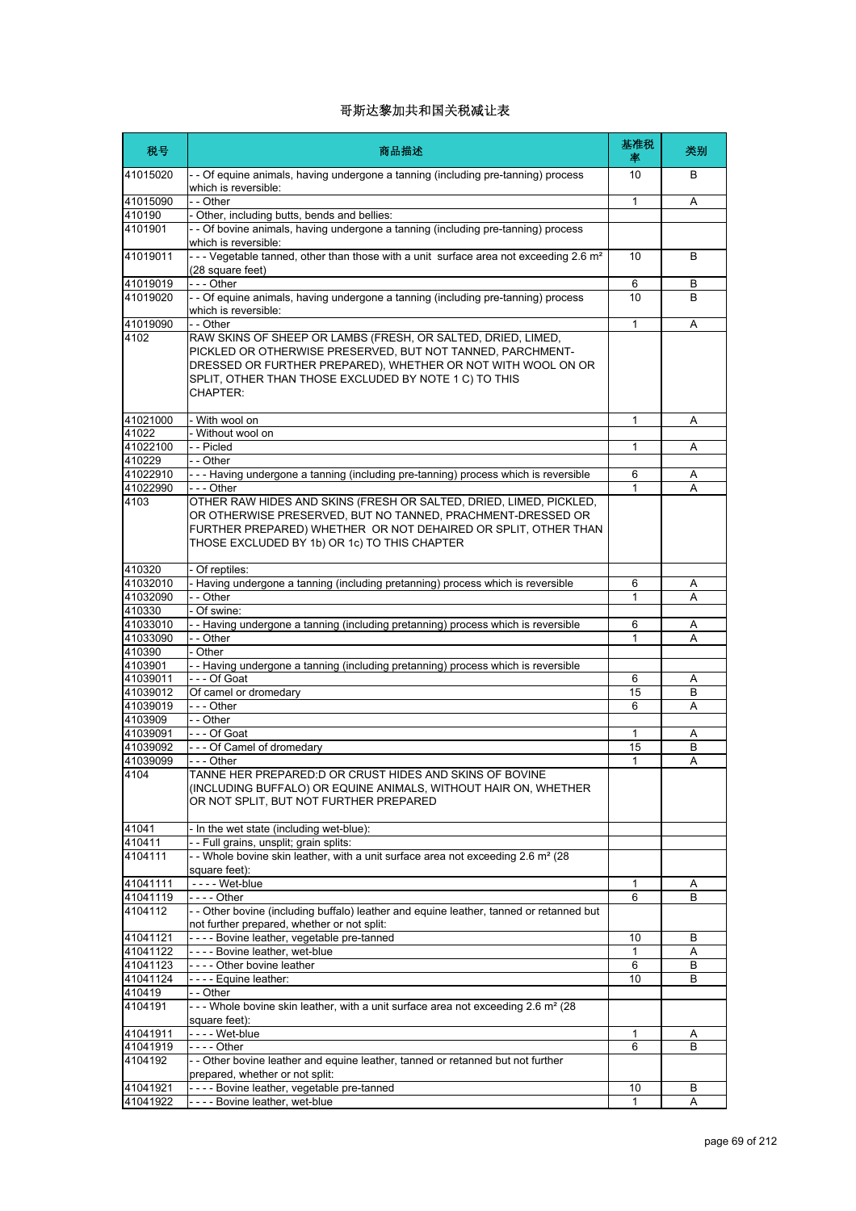| 税号                 | 商品描述                                                                                                                                                                                                                                                                   | 基准税<br>率     | 类别 |
|--------------------|------------------------------------------------------------------------------------------------------------------------------------------------------------------------------------------------------------------------------------------------------------------------|--------------|----|
| 41015020           | - - Of equine animals, having undergone a tanning (including pre-tanning) process<br>which is reversible:                                                                                                                                                              | 10           | B  |
| 41015090           | $ \overline{O}$ ther                                                                                                                                                                                                                                                   | 1            | Α  |
| 410190             | - Other, including butts, bends and bellies:                                                                                                                                                                                                                           |              |    |
| 4101901            | -- Of bovine animals, having undergone a tanning (including pre-tanning) process<br>which is reversible:                                                                                                                                                               |              |    |
| 41019011           | --- Vegetable tanned, other than those with a unit surface area not exceeding 2.6 m <sup>2</sup><br>(28 square feet)                                                                                                                                                   | 10           | B  |
| 41019019           | - - - Other                                                                                                                                                                                                                                                            | 6            | B  |
| 41019020           | - - Of equine animals, having undergone a tanning (including pre-tanning) process<br>which is reversible:                                                                                                                                                              | 10           | B  |
| 41019090           | - - Other                                                                                                                                                                                                                                                              | $\mathbf{1}$ | Α  |
| 4102               | RAW SKINS OF SHEEP OR LAMBS (FRESH, OR SALTED, DRIED, LIMED,<br>PICKLED OR OTHERWISE PRESERVED, BUT NOT TANNED, PARCHMENT-<br>DRESSED OR FURTHER PREPARED), WHETHER OR NOT WITH WOOL ON OR<br>SPLIT, OTHER THAN THOSE EXCLUDED BY NOTE 1 C) TO THIS<br><b>CHAPTER:</b> |              |    |
| 41021000           | - With wool on                                                                                                                                                                                                                                                         | 1            | Α  |
| 41022              | - Without wool on                                                                                                                                                                                                                                                      |              |    |
| 41022100           | -- Picled                                                                                                                                                                                                                                                              | 1            | Α  |
| 410229<br>41022910 | - - Other<br>--- Having undergone a tanning (including pre-tanning) process which is reversible                                                                                                                                                                        | 6            | Α  |
| 41022990           | - - - Other                                                                                                                                                                                                                                                            | 1            | A  |
| 4103               | OTHER RAW HIDES AND SKINS (FRESH OR SALTED, DRIED, LIMED, PICKLED,<br>OR OTHERWISE PRESERVED, BUT NO TANNED, PRACHMENT-DRESSED OR<br>FURTHER PREPARED) WHETHER OR NOT DEHAIRED OR SPLIT, OTHER THAN<br>THOSE EXCLUDED BY 1b) OR 1c) TO THIS CHAPTER                    |              |    |
| 410320             | - Of reptiles:                                                                                                                                                                                                                                                         |              |    |
| 41032010           | - Having undergone a tanning (including pretanning) process which is reversible                                                                                                                                                                                        | 6            | Α  |
| 41032090<br>410330 | - - Other<br>Of swine:                                                                                                                                                                                                                                                 | 1            | A  |
| 41033010           | - Having undergone a tanning (including pretanning) process which is reversible                                                                                                                                                                                        | 6            | Α  |
| 41033090           | - - Other                                                                                                                                                                                                                                                              | 1            | А  |
| 410390             | - Other                                                                                                                                                                                                                                                                |              |    |
| 4103901            | - Having undergone a tanning (including pretanning) process which is reversible                                                                                                                                                                                        |              |    |
| 41039011           | --- Of Goat                                                                                                                                                                                                                                                            | 6            | Α  |
| 41039012           | Of camel or dromedary                                                                                                                                                                                                                                                  | 15           | В  |
| 41039019           | - - - Other                                                                                                                                                                                                                                                            | 6            | A  |
| 4103909            | - - Other                                                                                                                                                                                                                                                              |              |    |
| 41039091           | --- Of Goat                                                                                                                                                                                                                                                            | 1            | Α  |
| 41039092           | --- Of Camel of dromedary                                                                                                                                                                                                                                              | 15           | B  |
| 41039099<br>4104   | -  - - Other<br>TANNE HER PREPARED: D OR CRUST HIDES AND SKINS OF BOVINE                                                                                                                                                                                               | 1            | Α  |
|                    | (INCLUDING BUFFALO) OR EQUINE ANIMALS, WITHOUT HAIR ON, WHETHER<br>OR NOT SPLIT, BUT NOT FURTHER PREPARED                                                                                                                                                              |              |    |
| 41041              | - In the wet state (including wet-blue):                                                                                                                                                                                                                               |              |    |
| 410411             | - - Full grains, unsplit; grain splits:                                                                                                                                                                                                                                |              |    |
| 4104111            | - - Whole bovine skin leather, with a unit surface area not exceeding 2.6 m <sup>2</sup> (28<br>square feet):                                                                                                                                                          |              |    |
| 41041111           | - - - - Wet-blue                                                                                                                                                                                                                                                       | 1            | A  |
| 41041119           | - - - - Other                                                                                                                                                                                                                                                          | 6            | B  |
| 4104112            | - - Other bovine (including buffalo) leather and equine leather, tanned or retanned but<br>not further prepared, whether or not split:                                                                                                                                 |              |    |
| 41041121           | ---- Bovine leather, vegetable pre-tanned                                                                                                                                                                                                                              | 10           | B  |
| 41041122           | ---- Bovine leather, wet-blue                                                                                                                                                                                                                                          | 1            | Α  |
| 41041123           | ---- Other bovine leather                                                                                                                                                                                                                                              | 6            | В  |
| 41041124           | - - - - Equine leather:                                                                                                                                                                                                                                                | 10           | B  |
| 410419             | - - Other                                                                                                                                                                                                                                                              |              |    |
| 4104191            | --- Whole bovine skin leather, with a unit surface area not exceeding 2.6 m <sup>2</sup> (28<br>square feet):                                                                                                                                                          |              |    |
| 41041911           | - - - - Wet-blue                                                                                                                                                                                                                                                       | 1            | Α  |
| 41041919           | -  -  -  - Other                                                                                                                                                                                                                                                       | 6            | B  |
| 4104192            | - - Other bovine leather and equine leather, tanned or retanned but not further<br>prepared, whether or not split:                                                                                                                                                     |              |    |
| 41041921           | ---- Bovine leather, vegetable pre-tanned                                                                                                                                                                                                                              | 10           | В  |
| 41041922           | - - - - Bovine leather, wet-blue                                                                                                                                                                                                                                       | $\mathbf{1}$ | A  |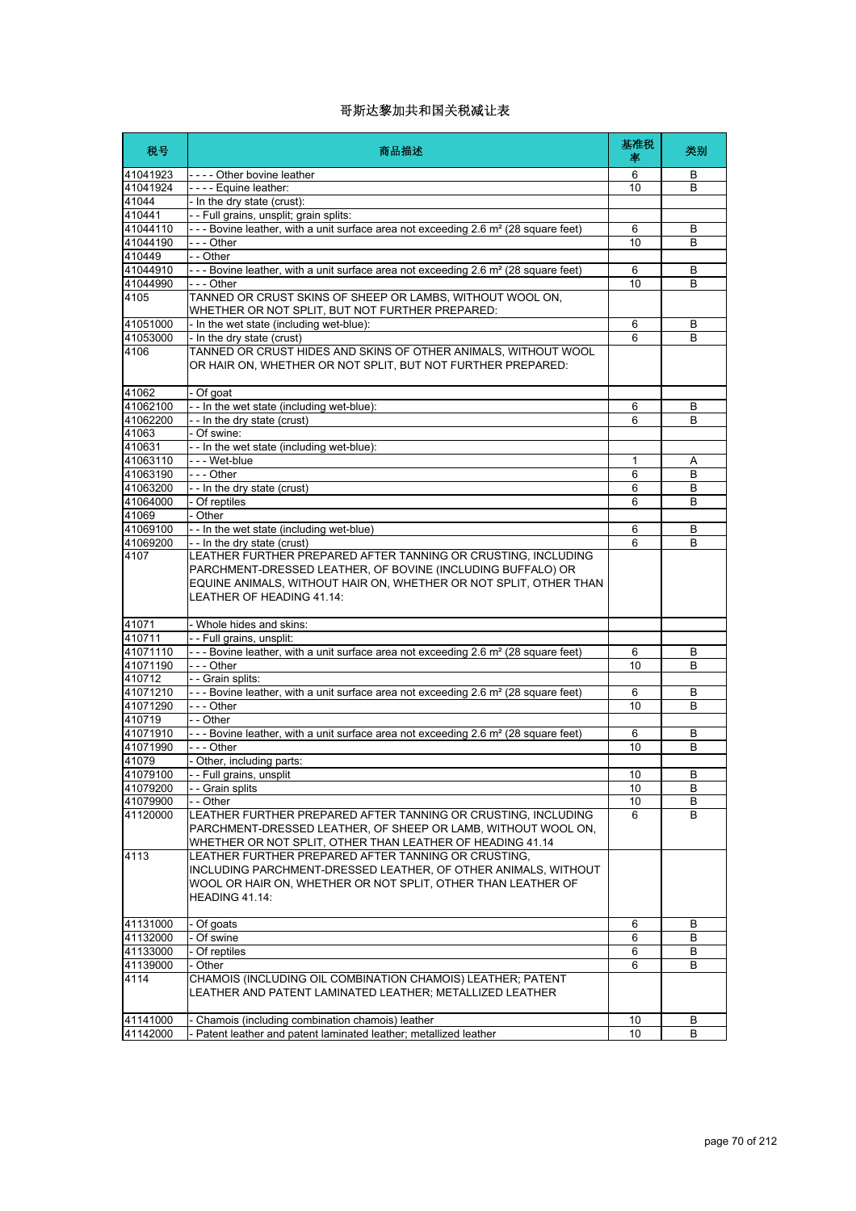| 税号               | 商品描述                                                                                                                                                                                                    | 基准税<br>率 | 类别           |
|------------------|---------------------------------------------------------------------------------------------------------------------------------------------------------------------------------------------------------|----------|--------------|
| 41041923         | ---- Other bovine leather                                                                                                                                                                               | 6        | B            |
| 41041924         | ---- Equine leather:                                                                                                                                                                                    | 10       | B            |
| 41044            | - In the dry state (crust):                                                                                                                                                                             |          |              |
| 410441           | - - Full grains, unsplit; grain splits:                                                                                                                                                                 |          |              |
| 41044110         | - - - Bovine leather, with a unit surface area not exceeding 2.6 m <sup>2</sup> (28 square feet)                                                                                                        | 6        | B            |
| 41044190         | - - - Other                                                                                                                                                                                             | 10       | B            |
| 410449           | - - Other                                                                                                                                                                                               |          |              |
| 41044910         | - - - Bovine leather, with a unit surface area not exceeding 2.6 m <sup>2</sup> (28 square feet)                                                                                                        | 6        | B            |
| 41044990         | --- Other                                                                                                                                                                                               | 10       | B            |
| 4105             | TANNED OR CRUST SKINS OF SHEEP OR LAMBS, WITHOUT WOOL ON,<br>WHETHER OR NOT SPLIT, BUT NOT FURTHER PREPARED:                                                                                            |          |              |
| 41051000         | - In the wet state (including wet-blue):                                                                                                                                                                | 6        | B            |
| 41053000         | - In the dry state (crust)                                                                                                                                                                              | 6        | B            |
| 4106             | TANNED OR CRUST HIDES AND SKINS OF OTHER ANIMALS, WITHOUT WOOL<br>OR HAIR ON, WHETHER OR NOT SPLIT, BUT NOT FURTHER PREPARED:                                                                           |          |              |
| 41062            | - Of goat                                                                                                                                                                                               |          |              |
| 41062100         | - - In the wet state (including wet-blue):                                                                                                                                                              | 6        | B            |
| 41062200         | - - In the dry state (crust)                                                                                                                                                                            | 6        | B            |
| 41063            | - Of swine:                                                                                                                                                                                             |          |              |
| 410631           | - - In the wet state (including wet-blue):                                                                                                                                                              |          |              |
| 41063110         | - - - Wet-blue                                                                                                                                                                                          | 1        | Α            |
| 41063190         | --- Other                                                                                                                                                                                               | 6        | B            |
| 41063200         | - - In the dry state (crust)                                                                                                                                                                            | 6        | В            |
| 41064000         | - Of reptiles                                                                                                                                                                                           | 6        | B            |
| 41069            | - Other                                                                                                                                                                                                 |          |              |
| 41069100         | - - In the wet state (including wet-blue)                                                                                                                                                               | 6        | B            |
| 41069200<br>4107 | --In the dry state (crust)<br>LEATHER FURTHER PREPARED AFTER TANNING OR CRUSTING, INCLUDING                                                                                                             | 6        | B            |
|                  | PARCHMENT-DRESSED LEATHER, OF BOVINE (INCLUDING BUFFALO) OR<br>EQUINE ANIMALS, WITHOUT HAIR ON, WHETHER OR NOT SPLIT, OTHER THAN<br><b>LEATHER OF HEADING 41.14:</b>                                    |          |              |
| 41071            | - Whole hides and skins:                                                                                                                                                                                |          |              |
| 410711           | - - Full grains, unsplit:                                                                                                                                                                               |          |              |
| 41071110         | - - - Bovine leather, with a unit surface area not exceeding 2.6 m <sup>2</sup> (28 square feet)                                                                                                        | 6        | B            |
| 41071190         | --- Other                                                                                                                                                                                               | 10       | B            |
| 410712           | - - Grain splits:                                                                                                                                                                                       |          |              |
| 41071210         | - - - Bovine leather, with a unit surface area not exceeding 2.6 m <sup>2</sup> (28 square feet)                                                                                                        | 6        | B            |
| 41071290         | --- Other                                                                                                                                                                                               | 10       | B            |
| 410719           | - - Other                                                                                                                                                                                               |          |              |
| 41071910         | - - - Bovine leather, with a unit surface area not exceeding 2.6 m <sup>2</sup> (28 square feet)                                                                                                        | 6        | B            |
| 41071990         | --- Other                                                                                                                                                                                               | 10       | В            |
| 41079            | - Other, including parts:                                                                                                                                                                               |          |              |
| 41079100         | - - Full grains, unsplit                                                                                                                                                                                | 10       | <sub>R</sub> |
| 41079200         | - - Grain splits                                                                                                                                                                                        | 10       | B            |
| 41079900         | - - Other                                                                                                                                                                                               | 10       | B            |
| 41120000         | LEATHER FURTHER PREPARED AFTER TANNING OR CRUSTING, INCLUDING<br>PARCHMENT-DRESSED LEATHER, OF SHEEP OR LAMB, WITHOUT WOOL ON,<br>WHETHER OR NOT SPLIT, OTHER THAN LEATHER OF HEADING 41.14             | 6        | B            |
| 4113             | LEATHER FURTHER PREPARED AFTER TANNING OR CRUSTING,<br>INCLUDING PARCHMENT-DRESSED LEATHER, OF OTHER ANIMALS, WITHOUT<br>WOOL OR HAIR ON, WHETHER OR NOT SPLIT, OTHER THAN LEATHER OF<br>HEADING 41.14: |          |              |
|                  |                                                                                                                                                                                                         |          |              |
| 41131000         | - Of goats                                                                                                                                                                                              | 6        | В            |
| 41132000         | Of swine                                                                                                                                                                                                | 6        | B            |
| 41133000         | Of reptiles                                                                                                                                                                                             | 6        | B            |
| 41139000         | - Other                                                                                                                                                                                                 | 6        | B            |
| 4114             | CHAMOIS (INCLUDING OIL COMBINATION CHAMOIS) LEATHER; PATENT<br>LEATHER AND PATENT LAMINATED LEATHER; METALLIZED LEATHER                                                                                 |          |              |
| 41141000         | Chamois (including combination chamois) leather                                                                                                                                                         | 10       | B            |
| 41142000         | Patent leather and patent laminated leather; metallized leather                                                                                                                                         | 10       | B            |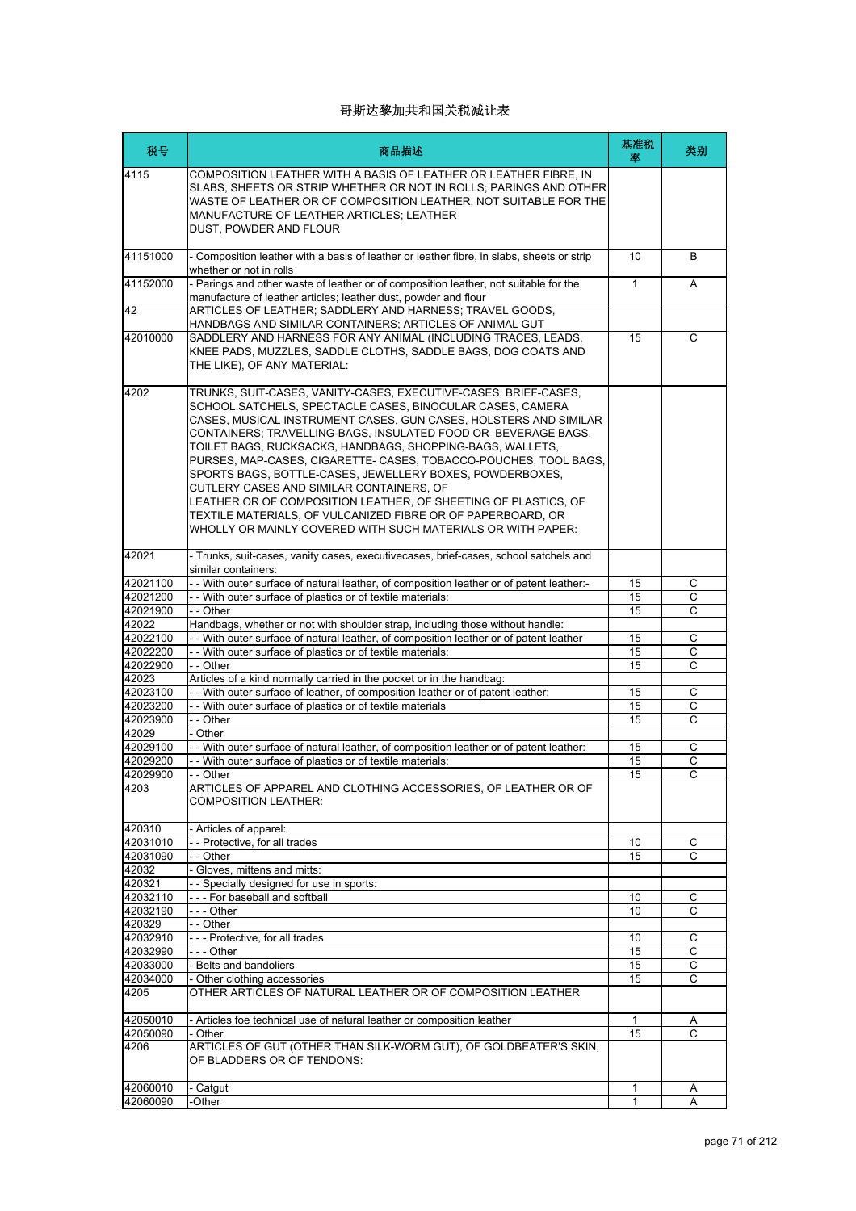| 税号                   | 商品描述                                                                                                                                                                                                                                                                                                                                                                                                                                                                                                                                                                                                                                                                                                       | 基准税<br>率     | 类别          |
|----------------------|------------------------------------------------------------------------------------------------------------------------------------------------------------------------------------------------------------------------------------------------------------------------------------------------------------------------------------------------------------------------------------------------------------------------------------------------------------------------------------------------------------------------------------------------------------------------------------------------------------------------------------------------------------------------------------------------------------|--------------|-------------|
| 4115                 | COMPOSITION LEATHER WITH A BASIS OF LEATHER OR LEATHER FIBRE. IN<br>SLABS, SHEETS OR STRIP WHETHER OR NOT IN ROLLS; PARINGS AND OTHER<br>WASTE OF LEATHER OR OF COMPOSITION LEATHER, NOT SUITABLE FOR THE<br>MANUFACTURE OF LEATHER ARTICLES; LEATHER<br>DUST, POWDER AND FLOUR                                                                                                                                                                                                                                                                                                                                                                                                                            |              |             |
| 41151000             | - Composition leather with a basis of leather or leather fibre, in slabs, sheets or strip<br>whether or not in rolls                                                                                                                                                                                                                                                                                                                                                                                                                                                                                                                                                                                       | 10           | B           |
| 41152000             | - Parings and other waste of leather or of composition leather, not suitable for the<br>manufacture of leather articles; leather dust, powder and flour                                                                                                                                                                                                                                                                                                                                                                                                                                                                                                                                                    | $\mathbf{1}$ | A           |
| 42                   | ARTICLES OF LEATHER; SADDLERY AND HARNESS; TRAVEL GOODS,<br>HANDBAGS AND SIMILAR CONTAINERS; ARTICLES OF ANIMAL GUT                                                                                                                                                                                                                                                                                                                                                                                                                                                                                                                                                                                        |              |             |
| 42010000             | SADDLERY AND HARNESS FOR ANY ANIMAL (INCLUDING TRACES, LEADS,<br>KNEE PADS, MUZZLES, SADDLE CLOTHS, SADDLE BAGS, DOG COATS AND<br>THE LIKE), OF ANY MATERIAL:                                                                                                                                                                                                                                                                                                                                                                                                                                                                                                                                              | 15           | C           |
| 4202                 | TRUNKS, SUIT-CASES, VANITY-CASES, EXECUTIVE-CASES, BRIEF-CASES,<br>SCHOOL SATCHELS, SPECTACLE CASES, BINOCULAR CASES, CAMERA<br>CASES. MUSICAL INSTRUMENT CASES. GUN CASES. HOLSTERS AND SIMILAR<br>CONTAINERS; TRAVELLING-BAGS, INSULATED FOOD OR BEVERAGE BAGS,<br>TOILET BAGS, RUCKSACKS, HANDBAGS, SHOPPING-BAGS, WALLETS,<br>PURSES, MAP-CASES, CIGARETTE- CASES, TOBACCO-POUCHES, TOOL BAGS,<br>SPORTS BAGS, BOTTLE-CASES, JEWELLERY BOXES, POWDERBOXES,<br>CUTLERY CASES AND SIMILAR CONTAINERS, OF<br>LEATHER OR OF COMPOSITION LEATHER, OF SHEETING OF PLASTICS, OF<br>TEXTILE MATERIALS, OF VULCANIZED FIBRE OR OF PAPERBOARD, OR<br>WHOLLY OR MAINLY COVERED WITH SUCH MATERIALS OR WITH PAPER: |              |             |
| 42021                | - Trunks, suit-cases, vanity cases, executivecases, brief-cases, school satchels and<br>similar containers:                                                                                                                                                                                                                                                                                                                                                                                                                                                                                                                                                                                                |              |             |
| 42021100             | - - With outer surface of natural leather, of composition leather or of patent leather:-                                                                                                                                                                                                                                                                                                                                                                                                                                                                                                                                                                                                                   | 15           | С           |
| 42021200             | - - With outer surface of plastics or of textile materials:                                                                                                                                                                                                                                                                                                                                                                                                                                                                                                                                                                                                                                                | 15           | С           |
| 42021900             | - - Other                                                                                                                                                                                                                                                                                                                                                                                                                                                                                                                                                                                                                                                                                                  | 15           | C           |
| 42022                | Handbags, whether or not with shoulder strap, including those without handle:                                                                                                                                                                                                                                                                                                                                                                                                                                                                                                                                                                                                                              |              |             |
| 42022100<br>42022200 | - - With outer surface of natural leather, of composition leather or of patent leather<br>- - With outer surface of plastics or of textile materials:                                                                                                                                                                                                                                                                                                                                                                                                                                                                                                                                                      | 15<br>15     | С<br>C      |
| 42022900             | - - Other                                                                                                                                                                                                                                                                                                                                                                                                                                                                                                                                                                                                                                                                                                  | 15           | C           |
| 42023                | Articles of a kind normally carried in the pocket or in the handbag:                                                                                                                                                                                                                                                                                                                                                                                                                                                                                                                                                                                                                                       |              |             |
| 42023100             | - - With outer surface of leather, of composition leather or of patent leather:                                                                                                                                                                                                                                                                                                                                                                                                                                                                                                                                                                                                                            | 15           | С           |
| 42023200             | - With outer surface of plastics or of textile materials                                                                                                                                                                                                                                                                                                                                                                                                                                                                                                                                                                                                                                                   | 15           | С           |
| 42023900             | - - Other                                                                                                                                                                                                                                                                                                                                                                                                                                                                                                                                                                                                                                                                                                  | 15           | C           |
| 42029                | - Other                                                                                                                                                                                                                                                                                                                                                                                                                                                                                                                                                                                                                                                                                                    |              |             |
| 42029100             | - With outer surface of natural leather, of composition leather or of patent leather:                                                                                                                                                                                                                                                                                                                                                                                                                                                                                                                                                                                                                      | 15           | С           |
| 42029200             | - - With outer surface of plastics or of textile materials:                                                                                                                                                                                                                                                                                                                                                                                                                                                                                                                                                                                                                                                | 15           | C           |
| 42029900             | - Other                                                                                                                                                                                                                                                                                                                                                                                                                                                                                                                                                                                                                                                                                                    | 15           | C           |
| 4203                 | ARTICLES OF APPAREL AND CLOTHING ACCESSORIES, OF LEATHER OR OF<br><b>COMPOSITION LEATHER:</b>                                                                                                                                                                                                                                                                                                                                                                                                                                                                                                                                                                                                              |              |             |
| 420310               | - Articles of apparel:                                                                                                                                                                                                                                                                                                                                                                                                                                                                                                                                                                                                                                                                                     |              |             |
| 42031010             | - - Protective, for all trades                                                                                                                                                                                                                                                                                                                                                                                                                                                                                                                                                                                                                                                                             | 10           | С           |
| 42031090             | - - Other                                                                                                                                                                                                                                                                                                                                                                                                                                                                                                                                                                                                                                                                                                  | 15           | C           |
| 42032                | - Gloves, mittens and mitts:                                                                                                                                                                                                                                                                                                                                                                                                                                                                                                                                                                                                                                                                               |              |             |
| 420321<br>42032110   | - - Specially designed for use in sports:<br>--- For baseball and softball                                                                                                                                                                                                                                                                                                                                                                                                                                                                                                                                                                                                                                 | 10           | С           |
| 42032190             | - - - Other                                                                                                                                                                                                                                                                                                                                                                                                                                                                                                                                                                                                                                                                                                | 10           | С           |
| 420329               | - - Other                                                                                                                                                                                                                                                                                                                                                                                                                                                                                                                                                                                                                                                                                                  |              |             |
| 42032910             | --- Protective, for all trades                                                                                                                                                                                                                                                                                                                                                                                                                                                                                                                                                                                                                                                                             | 10           | C           |
| 42032990             | $--$ Other                                                                                                                                                                                                                                                                                                                                                                                                                                                                                                                                                                                                                                                                                                 | 15           | С           |
| 42033000             | - Belts and bandoliers                                                                                                                                                                                                                                                                                                                                                                                                                                                                                                                                                                                                                                                                                     | 15           | $\mathsf C$ |
| 42034000             | - Other clothing accessories                                                                                                                                                                                                                                                                                                                                                                                                                                                                                                                                                                                                                                                                               | 15           | С           |
| 4205                 | OTHER ARTICLES OF NATURAL LEATHER OR OF COMPOSITION LEATHER                                                                                                                                                                                                                                                                                                                                                                                                                                                                                                                                                                                                                                                |              |             |
| 42050010             | - Articles foe technical use of natural leather or composition leather                                                                                                                                                                                                                                                                                                                                                                                                                                                                                                                                                                                                                                     | $\mathbf{1}$ | A           |
| 42050090             | - Other                                                                                                                                                                                                                                                                                                                                                                                                                                                                                                                                                                                                                                                                                                    | 15           | C           |
| 4206                 | ARTICLES OF GUT (OTHER THAN SILK-WORM GUT), OF GOLDBEATER'S SKIN,<br>OF BLADDERS OR OF TENDONS:                                                                                                                                                                                                                                                                                                                                                                                                                                                                                                                                                                                                            |              |             |
| 42060010             | - Catgut                                                                                                                                                                                                                                                                                                                                                                                                                                                                                                                                                                                                                                                                                                   | 1            | A           |
| 42060090             | -Other                                                                                                                                                                                                                                                                                                                                                                                                                                                                                                                                                                                                                                                                                                     | $\mathbf{1}$ | A           |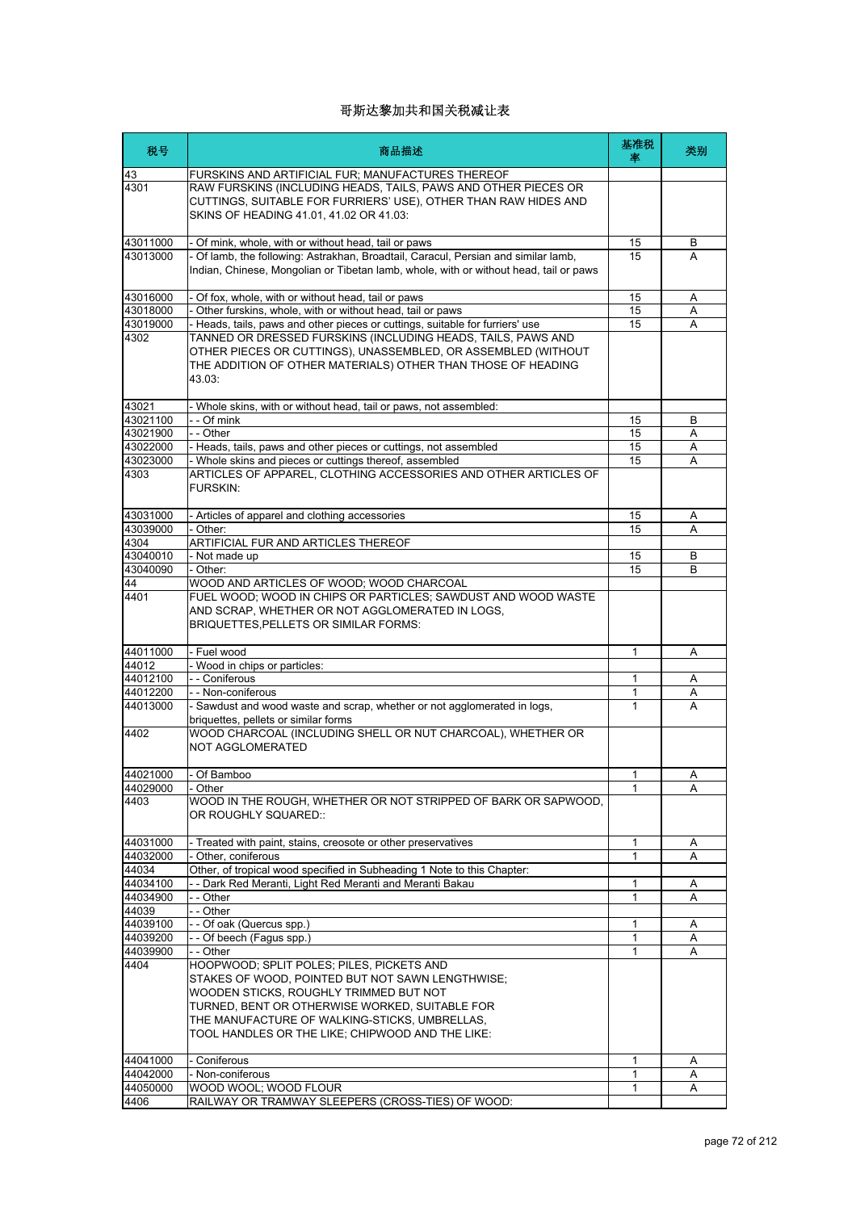| 税号                | 商品描述                                                                                                                                                                                                                                                                                           | 基准税<br>率 | 类别 |
|-------------------|------------------------------------------------------------------------------------------------------------------------------------------------------------------------------------------------------------------------------------------------------------------------------------------------|----------|----|
| 43<br>4301        | FURSKINS AND ARTIFICIAL FUR; MANUFACTURES THEREOF<br>RAW FURSKINS (INCLUDING HEADS, TAILS, PAWS AND OTHER PIECES OR                                                                                                                                                                            |          |    |
|                   | CUTTINGS, SUITABLE FOR FURRIERS' USE), OTHER THAN RAW HIDES AND<br>SKINS OF HEADING 41.01, 41.02 OR 41.03:                                                                                                                                                                                     |          |    |
| 43011000          | - Of mink, whole, with or without head, tail or paws                                                                                                                                                                                                                                           | 15       | В  |
| 43013000          | - Of lamb, the following: Astrakhan, Broadtail, Caracul, Persian and similar lamb,<br>Indian, Chinese, Mongolian or Tibetan lamb, whole, with or without head, tail or paws                                                                                                                    | 15       | A  |
| 43016000          | - Of fox, whole, with or without head, tail or paws                                                                                                                                                                                                                                            | 15       | Α  |
| 43018000          | - Other furskins, whole, with or without head, tail or paws                                                                                                                                                                                                                                    | 15       | A  |
| 43019000          | - Heads, tails, paws and other pieces or cuttings, suitable for furriers' use                                                                                                                                                                                                                  | 15       | A  |
| 4302              | TANNED OR DRESSED FURSKINS (INCLUDING HEADS, TAILS, PAWS AND<br>OTHER PIECES OR CUTTINGS), UNASSEMBLED, OR ASSEMBLED (WITHOUT<br>THE ADDITION OF OTHER MATERIALS) OTHER THAN THOSE OF HEADING<br>43.03:                                                                                        |          |    |
| 43021             | - Whole skins, with or without head, tail or paws, not assembled:                                                                                                                                                                                                                              |          |    |
| 43021100          | - - Of mink                                                                                                                                                                                                                                                                                    | 15       | В  |
| 43021900          | - - Other                                                                                                                                                                                                                                                                                      | 15       | Α  |
| 43022000          | - Heads, tails, paws and other pieces or cuttings, not assembled                                                                                                                                                                                                                               | 15       | A  |
| 43023000<br>4303  | - Whole skins and pieces or cuttings thereof, assembled<br>ARTICLES OF APPAREL, CLOTHING ACCESSORIES AND OTHER ARTICLES OF<br><b>FURSKIN:</b>                                                                                                                                                  | 15       | A  |
| 43031000          | - Articles of apparel and clothing accessories                                                                                                                                                                                                                                                 | 15       | Α  |
| 43039000          | - Other:                                                                                                                                                                                                                                                                                       | 15       | A  |
| 4304              | ARTIFICIAL FUR AND ARTICLES THEREOF                                                                                                                                                                                                                                                            |          |    |
| 43040010          | - Not made up                                                                                                                                                                                                                                                                                  | 15       | B  |
| 43040090          | - Other:                                                                                                                                                                                                                                                                                       | 15       | B  |
| 44                | WOOD AND ARTICLES OF WOOD; WOOD CHARCOAL                                                                                                                                                                                                                                                       |          |    |
| 4401              | FUEL WOOD; WOOD IN CHIPS OR PARTICLES; SAWDUST AND WOOD WASTE<br>AND SCRAP, WHETHER OR NOT AGGLOMERATED IN LOGS,<br>BRIQUETTES, PELLETS OR SIMILAR FORMS:                                                                                                                                      |          |    |
| 44011000          | - Fuel wood                                                                                                                                                                                                                                                                                    | 1        | Α  |
| 44012             | - Wood in chips or particles:                                                                                                                                                                                                                                                                  |          |    |
| 44012100          | - - Coniferous                                                                                                                                                                                                                                                                                 | 1        | Α  |
| 44012200          | - - Non-coniferous                                                                                                                                                                                                                                                                             | 1        | A  |
| 44013000          | - Sawdust and wood waste and scrap, whether or not agglomerated in logs,<br>briquettes, pellets or similar forms<br>WOOD CHARCOAL (INCLUDING SHELL OR NUT CHARCOAL), WHETHER OR                                                                                                                | 1        | A  |
| 4402              | <b>NOT AGGLOMERATED</b>                                                                                                                                                                                                                                                                        |          |    |
| 44021000          | Of Bamboo                                                                                                                                                                                                                                                                                      | 1        | А  |
| 44029000          | - Other                                                                                                                                                                                                                                                                                        | 1        | A  |
| 4403              | WOOD IN THE ROUGH. WHETHER OR NOT STRIPPED OF BARK OR SAPWOOD.<br>OR ROUGHLY SQUARED::                                                                                                                                                                                                         |          |    |
| 44031000          | - Treated with paint, stains, creosote or other preservatives                                                                                                                                                                                                                                  | 1        | A  |
| 44032000          | - Other, coniferous                                                                                                                                                                                                                                                                            | 1        | A  |
| 44034             | Other, of tropical wood specified in Subheading 1 Note to this Chapter:                                                                                                                                                                                                                        |          |    |
| 44034100          | - - Dark Red Meranti, Light Red Meranti and Meranti Bakau                                                                                                                                                                                                                                      | 1        | Α  |
| 44034900          | - - Other<br>- - Other                                                                                                                                                                                                                                                                         | 1        | A  |
| 44039<br>44039100 | -- Of oak (Quercus spp.)                                                                                                                                                                                                                                                                       | 1        | Α  |
| 44039200          | -- Of beech (Fagus spp.)                                                                                                                                                                                                                                                                       | 1        | Α  |
| 44039900          | - - Other                                                                                                                                                                                                                                                                                      | 1        | A  |
| 4404              | HOOPWOOD; SPLIT POLES; PILES, PICKETS AND<br>STAKES OF WOOD, POINTED BUT NOT SAWN LENGTHWISE;<br>WOODEN STICKS, ROUGHLY TRIMMED BUT NOT<br>TURNED, BENT OR OTHERWISE WORKED, SUITABLE FOR<br>THE MANUFACTURE OF WALKING-STICKS, UMBRELLAS,<br>TOOL HANDLES OR THE LIKE; CHIPWOOD AND THE LIKE: |          |    |
| 44041000          | - Coniferous                                                                                                                                                                                                                                                                                   | 1        | Α  |
| 44042000          | - Non-coniferous                                                                                                                                                                                                                                                                               | 1        | Α  |
| 44050000          | WOOD WOOL; WOOD FLOUR                                                                                                                                                                                                                                                                          | 1        | A  |
| 4406              | RAILWAY OR TRAMWAY SLEEPERS (CROSS-TIES) OF WOOD:                                                                                                                                                                                                                                              |          |    |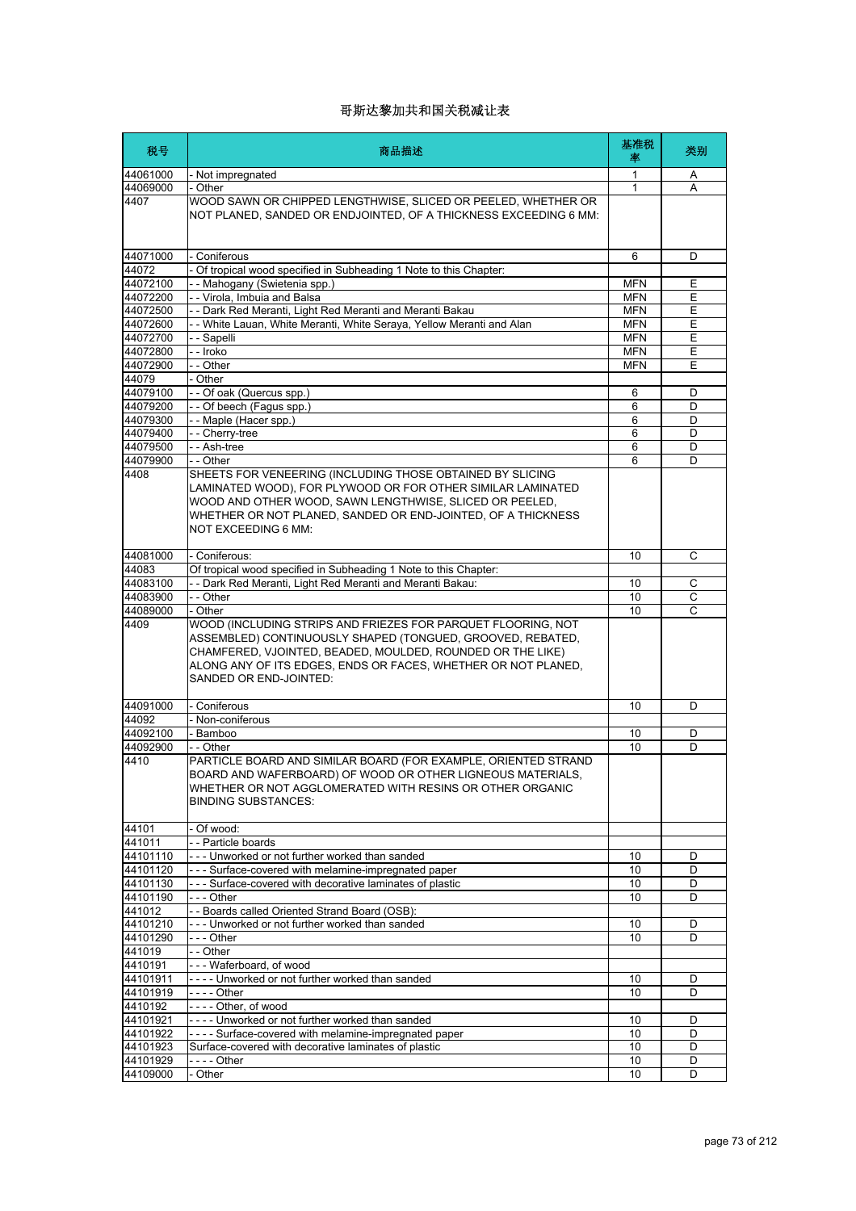| 税号                   | 商品描述                                                                                                                                                                                                                                                                                | 基准税<br>率                 | 类别                  |
|----------------------|-------------------------------------------------------------------------------------------------------------------------------------------------------------------------------------------------------------------------------------------------------------------------------------|--------------------------|---------------------|
| 44061000             | - Not impregnated                                                                                                                                                                                                                                                                   | 1                        | A                   |
| 44069000             | - Other                                                                                                                                                                                                                                                                             | 1                        | A                   |
| 4407                 | WOOD SAWN OR CHIPPED LENGTHWISE, SLICED OR PEELED, WHETHER OR<br>NOT PLANED, SANDED OR ENDJOINTED, OF A THICKNESS EXCEEDING 6 MM:                                                                                                                                                   |                          |                     |
| 44071000             | - Coniferous                                                                                                                                                                                                                                                                        | 6                        | D                   |
| 44072                | - Of tropical wood specified in Subheading 1 Note to this Chapter:                                                                                                                                                                                                                  |                          |                     |
| 44072100             | - - Mahogany (Swietenia spp.)                                                                                                                                                                                                                                                       | <b>MFN</b>               | Ε                   |
| 44072200<br>44072500 | -- Virola, Imbuia and Balsa<br>- - Dark Red Meranti, Light Red Meranti and Meranti Bakau                                                                                                                                                                                            | <b>MFN</b><br><b>MFN</b> | Ε<br>E              |
| 44072600             | - - White Lauan, White Meranti, White Seraya, Yellow Meranti and Alan                                                                                                                                                                                                               | <b>MFN</b>               | Ε                   |
| 44072700             | - - Sapelli                                                                                                                                                                                                                                                                         | <b>MFN</b>               | E                   |
| 44072800             | - - Iroko                                                                                                                                                                                                                                                                           | <b>MFN</b>               | Ε                   |
| 44072900             | - - Other                                                                                                                                                                                                                                                                           | <b>MFN</b>               | Ε                   |
| 44079                | - Other                                                                                                                                                                                                                                                                             |                          |                     |
| 44079100             | - - Of oak (Quercus spp.)                                                                                                                                                                                                                                                           | 6                        | D                   |
| 44079200             | -- Of beech (Fagus spp.)                                                                                                                                                                                                                                                            | 6                        | D                   |
| 44079300<br>44079400 | -- Maple (Hacer spp.)<br>-- Cherry-tree                                                                                                                                                                                                                                             | 6<br>6                   | D<br>D              |
| 44079500             | -- Ash-tree                                                                                                                                                                                                                                                                         | 6                        | D                   |
| 44079900             | - - Other                                                                                                                                                                                                                                                                           | 6                        | D                   |
| 4408                 | SHEETS FOR VENEERING (INCLUDING THOSE OBTAINED BY SLICING<br>LAMINATED WOOD), FOR PLYWOOD OR FOR OTHER SIMILAR LAMINATED<br>WOOD AND OTHER WOOD, SAWN LENGTHWISE, SLICED OR PEELED,<br>WHETHER OR NOT PLANED, SANDED OR END-JOINTED, OF A THICKNESS<br>NOT EXCEEDING 6 MM:          |                          |                     |
| 44081000             | - Coniferous:                                                                                                                                                                                                                                                                       | 10                       | С                   |
| 44083                | Of tropical wood specified in Subheading 1 Note to this Chapter:                                                                                                                                                                                                                    |                          |                     |
| 44083100             | - - Dark Red Meranti, Light Red Meranti and Meranti Bakau:                                                                                                                                                                                                                          | 10                       | C                   |
| 44083900<br>44089000 | - - Other<br>- Other                                                                                                                                                                                                                                                                | 10<br>10                 | С<br>$\overline{c}$ |
| 4409                 | WOOD (INCLUDING STRIPS AND FRIEZES FOR PARQUET FLOORING, NOT<br>ASSEMBLED) CONTINUOUSLY SHAPED (TONGUED, GROOVED, REBATED,<br>CHAMFERED, VJOINTED, BEADED, MOULDED, ROUNDED OR THE LIKE)<br>ALONG ANY OF ITS EDGES, ENDS OR FACES, WHETHER OR NOT PLANED,<br>SANDED OR END-JOINTED: |                          |                     |
| 44091000             | - Coniferous                                                                                                                                                                                                                                                                        | 10                       | D                   |
| 44092                | - Non-coniferous                                                                                                                                                                                                                                                                    |                          |                     |
| 44092100             | - Bamboo                                                                                                                                                                                                                                                                            | 10                       | D                   |
| 44092900<br>4410     | - - Other<br>PARTICLE BOARD AND SIMILAR BOARD (FOR EXAMPLE, ORIENTED STRAND<br>BOARD AND WAFERBOARD) OF WOOD OR OTHER LIGNEOUS MATERIALS,<br>WHETHER OR NOT AGGLOMERATED WITH RESINS OR OTHER ORGANIC<br><b>BINDING SUBSTANCES:</b>                                                 | 10                       | D                   |
| 44101<br>441011      | - Of wood:<br>- - Particle boards                                                                                                                                                                                                                                                   |                          |                     |
| 44101110             | --- Unworked or not further worked than sanded                                                                                                                                                                                                                                      | 10                       | D                   |
| 44101120             | - - - Surface-covered with melamine-impregnated paper                                                                                                                                                                                                                               | 10                       | D                   |
| 44101130             | --- Surface-covered with decorative laminates of plastic                                                                                                                                                                                                                            | 10                       | D                   |
| 44101190             | - - - Other                                                                                                                                                                                                                                                                         | 10                       | D                   |
| 441012               | -- Boards called Oriented Strand Board (OSB):                                                                                                                                                                                                                                       |                          |                     |
| 44101210             | --- Unworked or not further worked than sanded                                                                                                                                                                                                                                      | 10                       | D                   |
| 44101290             | - - - Other                                                                                                                                                                                                                                                                         | 10                       | D                   |
| 441019               | - - Other                                                                                                                                                                                                                                                                           |                          |                     |
| 4410191              | --- Waferboard, of wood<br>---- Unworked or not further worked than sanded                                                                                                                                                                                                          |                          |                     |
| 44101911<br>44101919 |                                                                                                                                                                                                                                                                                     | 10<br>10                 | D<br>D              |
| 4410192              | ---- Other, of wood                                                                                                                                                                                                                                                                 |                          |                     |
| 44101921             | ---- Unworked or not further worked than sanded                                                                                                                                                                                                                                     | 10                       | D                   |
| 44101922             | ---- Surface-covered with melamine-impregnated paper                                                                                                                                                                                                                                | 10                       | D                   |
| 44101923             | Surface-covered with decorative laminates of plastic                                                                                                                                                                                                                                | 10                       | D                   |
| 44101929             |                                                                                                                                                                                                                                                                                     | 10                       | D                   |
| 44109000             | - Other                                                                                                                                                                                                                                                                             | 10                       | D                   |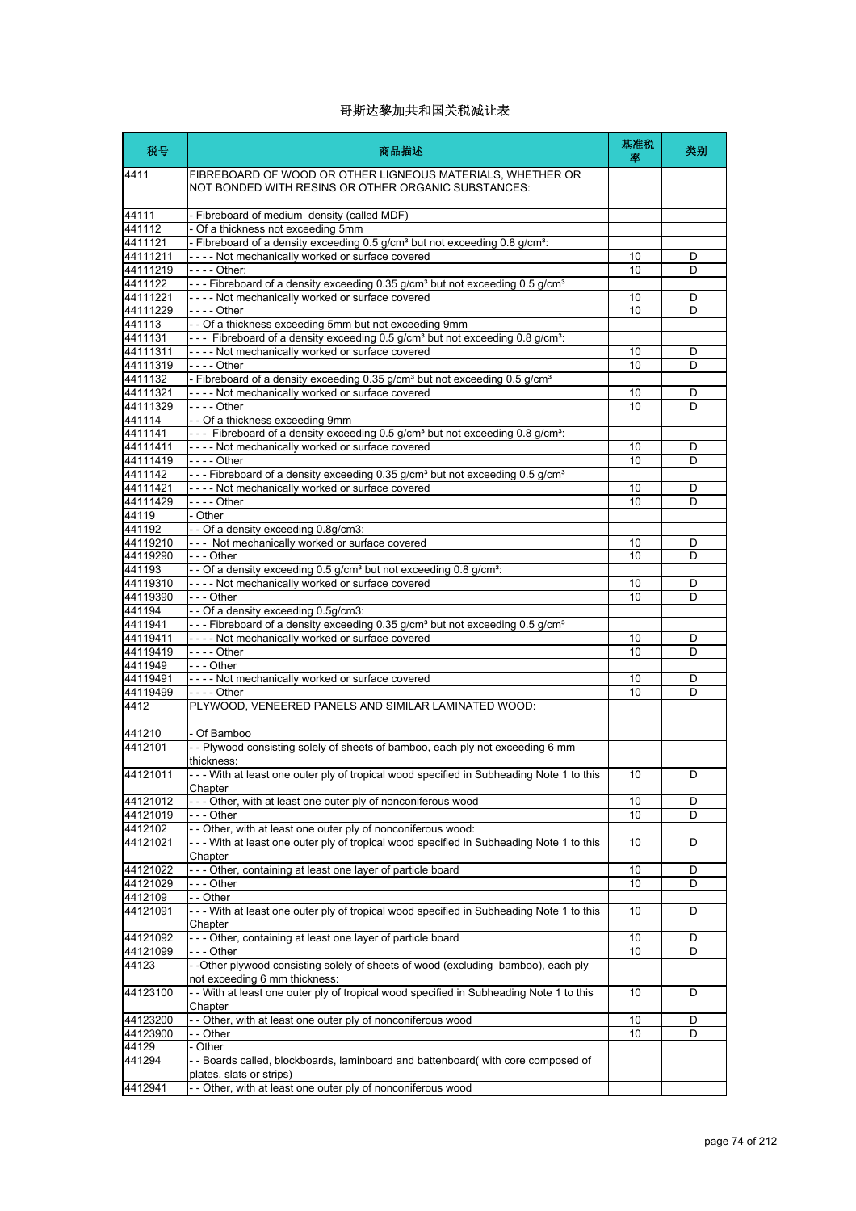| 税号                   | 商品描述                                                                                                                                                      | 基准税<br>率 | 类别     |
|----------------------|-----------------------------------------------------------------------------------------------------------------------------------------------------------|----------|--------|
| 4411                 | FIBREBOARD OF WOOD OR OTHER LIGNEOUS MATERIALS, WHETHER OR<br>NOT BONDED WITH RESINS OR OTHER ORGANIC SUBSTANCES:                                         |          |        |
| 44111                | - Fibreboard of medium density (called MDF)                                                                                                               |          |        |
| 441112               | - Of a thickness not exceeding 5mm                                                                                                                        |          |        |
| 4411121              | - Fibreboard of a density exceeding 0.5 g/cm <sup>3</sup> but not exceeding 0.8 g/cm <sup>3</sup> :                                                       |          |        |
| 44111211             | ---- Not mechanically worked or surface covered                                                                                                           | 10       | D      |
| 44111219             | - - - - Other:                                                                                                                                            | 10       | D      |
| 4411122<br>44111221  | - - - Fibreboard of a density exceeding 0.35 g/cm <sup>3</sup> but not exceeding 0.5 g/cm <sup>3</sup><br>---- Not mechanically worked or surface covered | 10       | D      |
| 44111229             |                                                                                                                                                           | 10       | D      |
| 441113               | -- Of a thickness exceeding 5mm but not exceeding 9mm                                                                                                     |          |        |
| 4411131              | --- Fibreboard of a density exceeding 0.5 g/cm <sup>3</sup> but not exceeding 0.8 g/cm <sup>3</sup> :                                                     |          |        |
| 44111311             | ---- Not mechanically worked or surface covered                                                                                                           | 10       | D      |
| 44111319             | - - - - Other                                                                                                                                             | 10       | D      |
| 4411132              | - Fibreboard of a density exceeding 0.35 g/cm <sup>3</sup> but not exceeding 0.5 g/cm <sup>3</sup>                                                        |          |        |
| 44111321             | ---- Not mechanically worked or surface covered                                                                                                           | 10       | D      |
| 44111329             | - - - - Other                                                                                                                                             | 10       | D      |
| 441114               | - - Of a thickness exceeding 9mm                                                                                                                          |          |        |
| 4411141              | --- Fibreboard of a density exceeding 0.5 g/cm <sup>3</sup> but not exceeding 0.8 g/cm <sup>3</sup> :                                                     |          |        |
| 44111411<br>44111419 | ---- Not mechanically worked or surface covered<br>- - - - Other                                                                                          | 10<br>10 | D<br>D |
| 4411142              | --- Fibreboard of a density exceeding 0.35 g/cm <sup>3</sup> but not exceeding 0.5 g/cm <sup>3</sup>                                                      |          |        |
| 44111421             | ---- Not mechanically worked or surface covered                                                                                                           | 10       | D      |
| 44111429             | $--$ Other                                                                                                                                                | 10       | D      |
| 44119                | - Other                                                                                                                                                   |          |        |
| 441192               | - - Of a density exceeding 0.8g/cm3:                                                                                                                      |          |        |
| 44119210             | --- Not mechanically worked or surface covered                                                                                                            | 10       | D      |
| 44119290             | $--$ Other                                                                                                                                                | 10       | D      |
| 441193               | - - Of a density exceeding 0.5 g/cm <sup>3</sup> but not exceeding 0.8 g/cm <sup>3</sup> :                                                                |          |        |
| 44119310             | ---- Not mechanically worked or surface covered                                                                                                           | 10       | D      |
| 44119390             | --- Other                                                                                                                                                 | 10       | D      |
| 441194               | -- Of a density exceeding 0.5g/cm3:                                                                                                                       |          |        |
| 4411941<br>44119411  | - - - Fibreboard of a density exceeding 0.35 g/cm <sup>3</sup> but not exceeding 0.5 g/cm <sup>3</sup><br>---- Not mechanically worked or surface covered | 10       | D      |
| 44119419             | - - - - Other                                                                                                                                             | 10       | D      |
| 4411949              | - - - Other                                                                                                                                               |          |        |
| 44119491             | ---- Not mechanically worked or surface covered                                                                                                           | 10       | D      |
| 44119499             |                                                                                                                                                           | 10       | D      |
| 4412                 | PLYWOOD, VENEERED PANELS AND SIMILAR LAMINATED WOOD:                                                                                                      |          |        |
| 441210               | - Of Bamboo                                                                                                                                               |          |        |
| 4412101              | -- Plywood consisting solely of sheets of bamboo, each ply not exceeding 6 mm<br>thickness:                                                               |          |        |
| 44121011             | -- With at least one outer ply of tropical wood specified in Subheading Note 1 to this<br>Chapter                                                         | 10       | D.     |
| 44121012             | -- Other, with at least one outer ply of nonconiferous wood                                                                                               | 10       | D      |
| 44121019             | -  - - Other                                                                                                                                              | 10       | D      |
| 4412102              | - - Other, with at least one outer ply of nonconiferous wood:                                                                                             |          |        |
| 44121021             | --- With at least one outer ply of tropical wood specified in Subheading Note 1 to this<br>Chapter                                                        | 10       | D      |
| 44121022             | --- Other, containing at least one layer of particle board                                                                                                | 10       | D      |
| 44121029             | -  - - Other                                                                                                                                              | 10       | D      |
| 4412109              | - - Other                                                                                                                                                 |          |        |
| 44121091             | --- With at least one outer ply of tropical wood specified in Subheading Note 1 to this<br>Chapter                                                        | 10       | D      |
| 44121092             | --- Other, containing at least one layer of particle board                                                                                                | 10       | D      |
| 44121099             | -  - - Other                                                                                                                                              | 10       | D      |
| 44123                | - -Other plywood consisting solely of sheets of wood (excluding bamboo), each ply<br>not exceeding 6 mm thickness:                                        |          |        |
| 44123100             | - - With at least one outer ply of tropical wood specified in Subheading Note 1 to this<br>Chapter                                                        | 10       | D      |
| 44123200             | - Other, with at least one outer ply of nonconiferous wood                                                                                                | 10       | D      |
| 44123900             | - - Other                                                                                                                                                 | 10       | D      |
| 44129<br>441294      | - Other<br>-- Boards called, blockboards, laminboard and battenboard(with core composed of                                                                |          |        |
|                      | plates, slats or strips)                                                                                                                                  |          |        |
| 4412941              | - Other, with at least one outer ply of nonconiferous wood                                                                                                |          |        |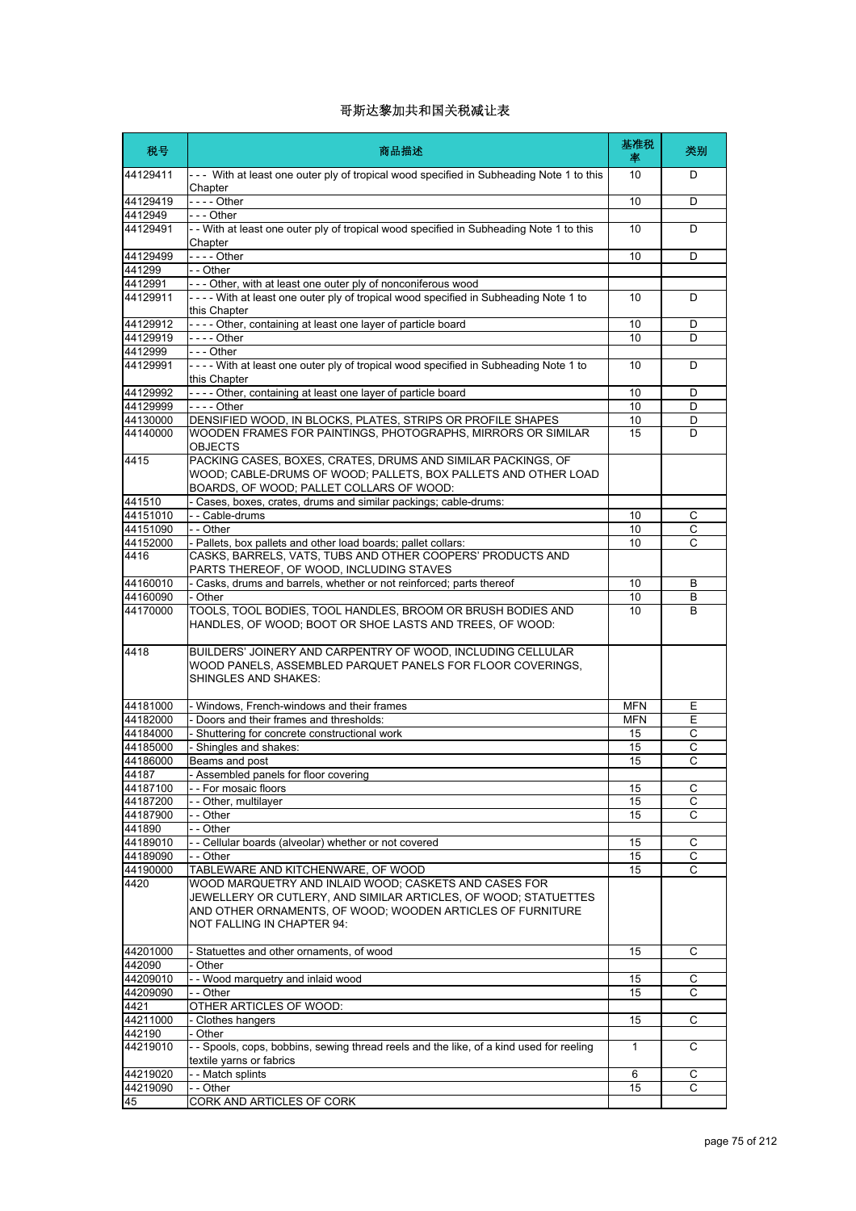| 税号                 | 商品描述                                                                                                                                                                                                                 | 基准税<br>率     | 类别             |
|--------------------|----------------------------------------------------------------------------------------------------------------------------------------------------------------------------------------------------------------------|--------------|----------------|
| 44129411           | --- With at least one outer ply of tropical wood specified in Subheading Note 1 to this<br>Chapter                                                                                                                   | 10           | D              |
| 44129419           | - - - - Other                                                                                                                                                                                                        | 10           | D              |
| 4412949            | - - - Other                                                                                                                                                                                                          |              |                |
| 44129491           | - - With at least one outer ply of tropical wood specified in Subheading Note 1 to this<br>Chapter                                                                                                                   | 10           | D              |
| 44129499           | $--$ Other                                                                                                                                                                                                           | 10           | D              |
| 441299             | - - Other                                                                                                                                                                                                            |              |                |
| 4412991            | --- Other, with at least one outer ply of nonconiferous wood                                                                                                                                                         |              |                |
| 44129911           | ---- With at least one outer ply of tropical wood specified in Subheading Note 1 to<br>this Chapter                                                                                                                  | 10           | D              |
| 44129912           | ---- Other, containing at least one layer of particle board                                                                                                                                                          | 10           | D              |
| 44129919           |                                                                                                                                                                                                                      | 10           | D              |
| 4412999            | - - - Other                                                                                                                                                                                                          |              |                |
| 44129991           | ---- With at least one outer ply of tropical wood specified in Subheading Note 1 to<br>this Chapter                                                                                                                  | 10           | D              |
| 44129992           | ---- Other, containing at least one layer of particle board                                                                                                                                                          | 10           | D              |
| 44129999           | - - - - Other                                                                                                                                                                                                        | 10           | D              |
| 44130000           | DENSIFIED WOOD, IN BLOCKS, PLATES, STRIPS OR PROFILE SHAPES                                                                                                                                                          | 10           | D              |
| 44140000           | WOODEN FRAMES FOR PAINTINGS, PHOTOGRAPHS, MIRRORS OR SIMILAR<br><b>OBJECTS</b>                                                                                                                                       | 15           | D              |
| 4415               | PACKING CASES, BOXES, CRATES, DRUMS AND SIMILAR PACKINGS, OF                                                                                                                                                         |              |                |
|                    | WOOD; CABLE-DRUMS OF WOOD; PALLETS, BOX PALLETS AND OTHER LOAD<br>BOARDS, OF WOOD; PALLET COLLARS OF WOOD:                                                                                                           |              |                |
| 441510             | - Cases, boxes, crates, drums and similar packings; cable-drums:                                                                                                                                                     |              |                |
| 44151010           | - - Cable-drums                                                                                                                                                                                                      | 10           | C              |
| 44151090           | - - Other                                                                                                                                                                                                            | 10           | C              |
| 44152000           | - Pallets, box pallets and other load boards; pallet collars:                                                                                                                                                        | 10           | C              |
| 4416               | CASKS, BARRELS, VATS, TUBS AND OTHER COOPERS' PRODUCTS AND<br>PARTS THEREOF, OF WOOD, INCLUDING STAVES                                                                                                               |              |                |
| 44160010           | - Casks, drums and barrels, whether or not reinforced; parts thereof                                                                                                                                                 | 10           | B              |
| 44160090           | - Other                                                                                                                                                                                                              | 10           | B              |
| 44170000           | TOOLS, TOOL BODIES, TOOL HANDLES, BROOM OR BRUSH BODIES AND<br>HANDLES, OF WOOD; BOOT OR SHOE LASTS AND TREES, OF WOOD:                                                                                              | 10           | B              |
| 4418               | BUILDERS' JOINERY AND CARPENTRY OF WOOD, INCLUDING CELLULAR<br>WOOD PANELS, ASSEMBLED PARQUET PANELS FOR FLOOR COVERINGS,<br><b>SHINGLES AND SHAKES:</b>                                                             |              |                |
| 44181000           | - Windows, French-windows and their frames                                                                                                                                                                           | <b>MFN</b>   | Ε              |
| 44182000           | - Doors and their frames and thresholds:                                                                                                                                                                             | <b>MFN</b>   | Е              |
| 44184000           | - Shuttering for concrete constructional work                                                                                                                                                                        | 15           | С              |
| 44185000           | - Shingles and shakes:                                                                                                                                                                                               | 15           | C              |
| 44186000           | Beams and post                                                                                                                                                                                                       | 15           | C              |
| 44187              | Assembled panels for floor covering                                                                                                                                                                                  |              |                |
| 44187100           | - - For mosaic floors                                                                                                                                                                                                | 15           | С              |
| 44187200           | -- Other, multilayer                                                                                                                                                                                                 | 15           | С              |
| 44187900           | - - Other                                                                                                                                                                                                            | 15           | С              |
| 441890             | - - Other                                                                                                                                                                                                            |              |                |
| 44189010           | - - Cellular boards (alveolar) whether or not covered                                                                                                                                                                | 15           | C              |
| 44189090           | - - Other                                                                                                                                                                                                            | 15           | С              |
| 44190000           | TABLEWARE AND KITCHENWARE, OF WOOD                                                                                                                                                                                   | 15           | $\overline{c}$ |
| 4420               | WOOD MARQUETRY AND INLAID WOOD; CASKETS AND CASES FOR<br>JEWELLERY OR CUTLERY, AND SIMILAR ARTICLES, OF WOOD; STATUETTES<br>AND OTHER ORNAMENTS, OF WOOD; WOODEN ARTICLES OF FURNITURE<br>NOT FALLING IN CHAPTER 94: |              |                |
| 44201000<br>442090 | - Statuettes and other ornaments, of wood<br>- Other                                                                                                                                                                 | 15           | С              |
| 44209010           | - - Wood marquetry and inlaid wood                                                                                                                                                                                   | 15           | С              |
| 44209090           | - - Other                                                                                                                                                                                                            | 15           | С              |
| 4421               | OTHER ARTICLES OF WOOD:                                                                                                                                                                                              |              |                |
| 44211000           | - Clothes hangers                                                                                                                                                                                                    | 15           | C              |
| 442190             | - Other                                                                                                                                                                                                              |              |                |
| 44219010           | - - Spools, cops, bobbins, sewing thread reels and the like, of a kind used for reeling<br>textile yarns or fabrics                                                                                                  | $\mathbf{1}$ | C              |
| 44219020           | - - Match splints                                                                                                                                                                                                    | 6            | С              |
| 44219090           | - - Other                                                                                                                                                                                                            | 15           | C              |
| 45                 | CORK AND ARTICLES OF CORK                                                                                                                                                                                            |              |                |
|                    |                                                                                                                                                                                                                      |              |                |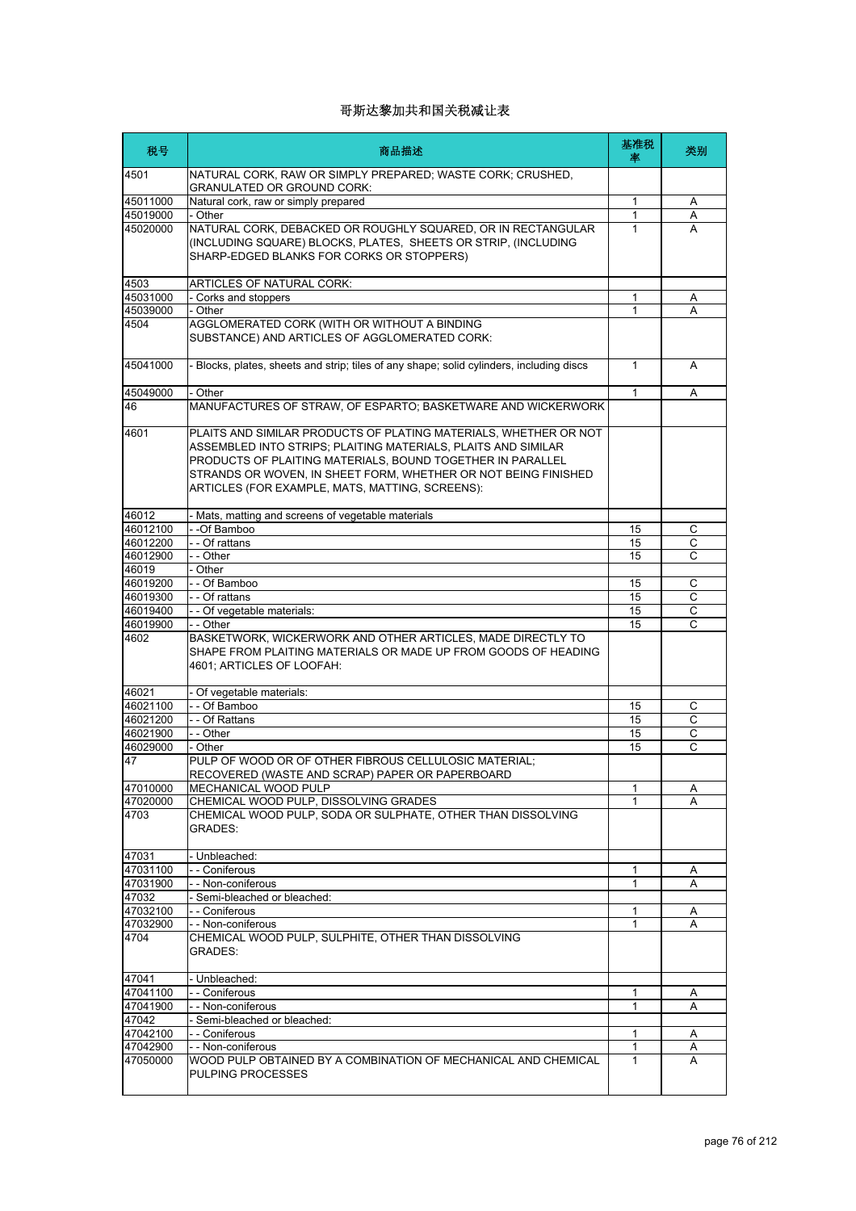| 税号       | 商品描述                                                                                                                                                                                                                                                                                                                 | 基准税<br>率 | 类别             |
|----------|----------------------------------------------------------------------------------------------------------------------------------------------------------------------------------------------------------------------------------------------------------------------------------------------------------------------|----------|----------------|
| 4501     | NATURAL CORK, RAW OR SIMPLY PREPARED; WASTE CORK; CRUSHED,<br><b>GRANULATED OR GROUND CORK:</b>                                                                                                                                                                                                                      |          |                |
| 45011000 | Natural cork, raw or simply prepared                                                                                                                                                                                                                                                                                 | 1        | A              |
| 45019000 | - Other                                                                                                                                                                                                                                                                                                              | 1        | Α              |
| 45020000 | NATURAL CORK, DEBACKED OR ROUGHLY SQUARED, OR IN RECTANGULAR<br>(INCLUDING SQUARE) BLOCKS, PLATES, SHEETS OR STRIP, (INCLUDING<br>SHARP-EDGED BLANKS FOR CORKS OR STOPPERS)                                                                                                                                          | 1        | A              |
| 4503     | <b>ARTICLES OF NATURAL CORK:</b>                                                                                                                                                                                                                                                                                     |          |                |
| 45031000 | - Corks and stoppers                                                                                                                                                                                                                                                                                                 | 1        | Α              |
| 45039000 | - Other                                                                                                                                                                                                                                                                                                              | 1        | A              |
| 4504     | AGGLOMERATED CORK (WITH OR WITHOUT A BINDING<br>SUBSTANCE) AND ARTICLES OF AGGLOMERATED CORK:                                                                                                                                                                                                                        |          |                |
| 45041000 | - Blocks, plates, sheets and strip; tiles of any shape; solid cylinders, including discs                                                                                                                                                                                                                             | 1        | A              |
| 45049000 | - Other                                                                                                                                                                                                                                                                                                              | 1        | Α              |
| 46       | MANUFACTURES OF STRAW, OF ESPARTO; BASKETWARE AND WICKERWORK                                                                                                                                                                                                                                                         |          |                |
| 4601     | PLAITS AND SIMILAR PRODUCTS OF PLATING MATERIALS, WHETHER OR NOT<br>ASSEMBLED INTO STRIPS; PLAITING MATERIALS, PLAITS AND SIMILAR<br>PRODUCTS OF PLAITING MATERIALS, BOUND TOGETHER IN PARALLEL<br>STRANDS OR WOVEN, IN SHEET FORM, WHETHER OR NOT BEING FINISHED<br>ARTICLES (FOR EXAMPLE, MATS, MATTING, SCREENS): |          |                |
| 46012    | - Mats, matting and screens of vegetable materials                                                                                                                                                                                                                                                                   |          |                |
| 46012100 | - -Of Bamboo                                                                                                                                                                                                                                                                                                         | 15       | С              |
| 46012200 | - - Of rattans                                                                                                                                                                                                                                                                                                       | 15       | C              |
| 46012900 | - - Other                                                                                                                                                                                                                                                                                                            | 15       | C              |
| 46019    | - Other                                                                                                                                                                                                                                                                                                              |          |                |
| 46019200 | - - Of Bamboo                                                                                                                                                                                                                                                                                                        | 15       | C              |
| 46019300 | - - Of rattans                                                                                                                                                                                                                                                                                                       | 15       | C              |
| 46019400 | - - Of vegetable materials:                                                                                                                                                                                                                                                                                          | 15       | С              |
| 46019900 | - - Other                                                                                                                                                                                                                                                                                                            | 15       | C              |
| 4602     | BASKETWORK, WICKERWORK AND OTHER ARTICLES, MADE DIRECTLY TO<br>SHAPE FROM PLAITING MATERIALS OR MADE UP FROM GOODS OF HEADING<br>4601; ARTICLES OF LOOFAH:                                                                                                                                                           |          |                |
| 46021    | - Of vegetable materials:                                                                                                                                                                                                                                                                                            |          |                |
| 46021100 | -- Of Bamboo                                                                                                                                                                                                                                                                                                         | 15       | С              |
| 46021200 | - - Of Rattans                                                                                                                                                                                                                                                                                                       | 15       | С              |
| 46021900 | - - Other                                                                                                                                                                                                                                                                                                            | 15       | С              |
| 46029000 | - Other                                                                                                                                                                                                                                                                                                              | 15       | $\overline{c}$ |
| 47       | PULP OF WOOD OR OF OTHER FIBROUS CELLULOSIC MATERIAL;<br>RECOVERED (WASTE AND SCRAP) PAPER OR PAPERBOARD                                                                                                                                                                                                             |          |                |
| 47010000 | MECHANICAL WOOD PULP                                                                                                                                                                                                                                                                                                 | 1        | Α              |
| 47020000 | CHEMICAL WOOD PULP, DISSOLVING GRADES                                                                                                                                                                                                                                                                                | 1        | A              |
| 4703     | CHEMICAL WOOD PULP, SODA OR SULPHATE, OTHER THAN DISSOLVING<br>GRADES:                                                                                                                                                                                                                                               |          |                |
| 47031    | - Unbleached:                                                                                                                                                                                                                                                                                                        |          |                |
| 47031100 | - - Coniferous                                                                                                                                                                                                                                                                                                       | 1        | Α              |
| 47031900 | - - Non-coniferous                                                                                                                                                                                                                                                                                                   | 1        | Α              |
| 47032    | - Semi-bleached or bleached:                                                                                                                                                                                                                                                                                         |          |                |
| 47032100 | - - Coniferous                                                                                                                                                                                                                                                                                                       | 1        | Α              |
| 47032900 | - - Non-coniferous                                                                                                                                                                                                                                                                                                   | 1        | A              |
| 4704     | CHEMICAL WOOD PULP, SULPHITE, OTHER THAN DISSOLVING<br>GRADES:                                                                                                                                                                                                                                                       |          |                |
| 47041    | - Unbleached:                                                                                                                                                                                                                                                                                                        |          |                |
| 47041100 | - - Coniferous                                                                                                                                                                                                                                                                                                       | 1        | Α              |
| 47041900 | - - Non-coniferous                                                                                                                                                                                                                                                                                                   | 1        | A              |
| 47042    | - Semi-bleached or bleached:                                                                                                                                                                                                                                                                                         |          |                |
| 47042100 | - - Coniferous                                                                                                                                                                                                                                                                                                       | 1        | A              |
| 47042900 | - - Non-coniferous                                                                                                                                                                                                                                                                                                   | 1        | Α              |
| 47050000 | WOOD PULP OBTAINED BY A COMBINATION OF MECHANICAL AND CHEMICAL<br><b>PULPING PROCESSES</b>                                                                                                                                                                                                                           | 1        | A              |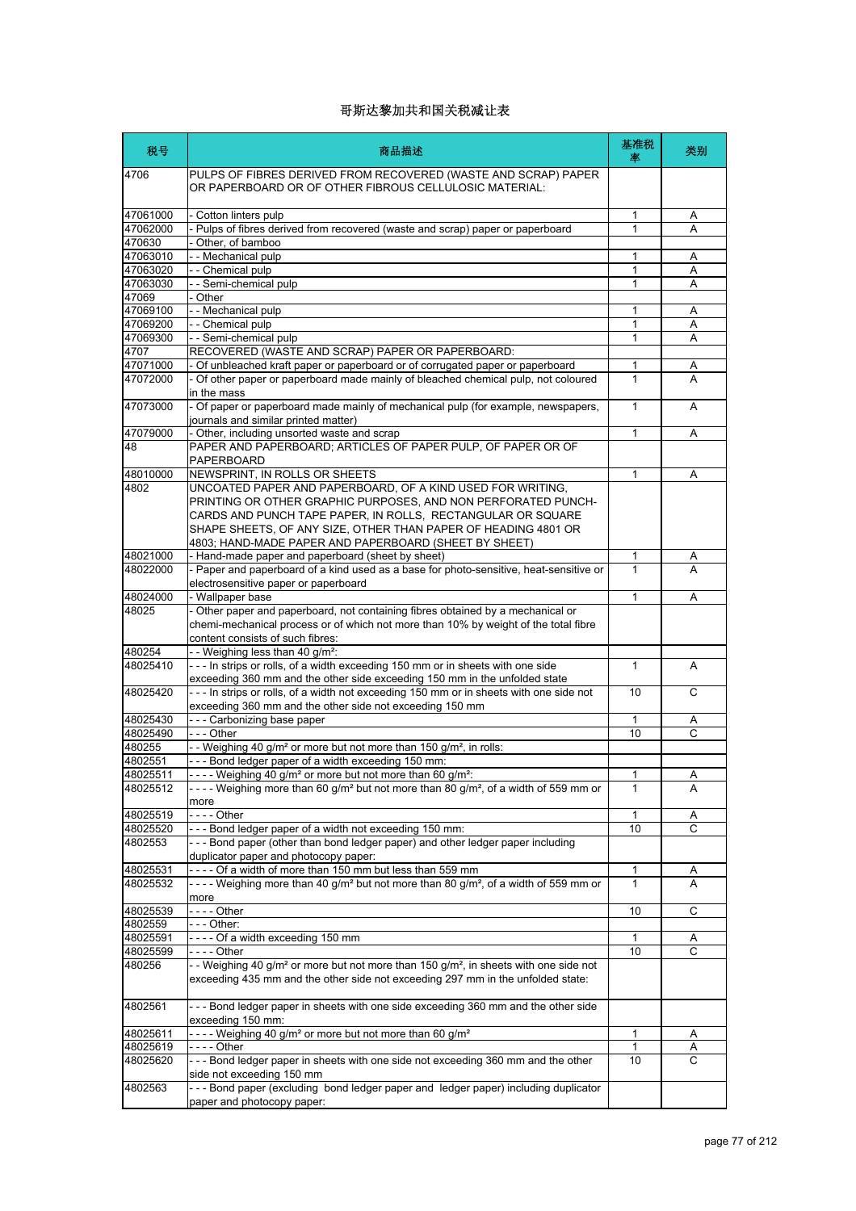| 税号                | 商品描述                                                                                                                                                                                            | 基准税<br>率     | 类别             |
|-------------------|-------------------------------------------------------------------------------------------------------------------------------------------------------------------------------------------------|--------------|----------------|
| 4706              | PULPS OF FIBRES DERIVED FROM RECOVERED (WASTE AND SCRAP) PAPER<br>OR PAPERBOARD OR OF OTHER FIBROUS CELLULOSIC MATERIAL:                                                                        |              |                |
| 47061000          | - Cotton linters pulp                                                                                                                                                                           | 1            | A              |
| 47062000          | - Pulps of fibres derived from recovered (waste and scrap) paper or paperboard                                                                                                                  | $\mathbf{1}$ | A              |
| 470630            | Other, of bamboo                                                                                                                                                                                |              |                |
| 47063010          | - - Mechanical pulp                                                                                                                                                                             | 1            | Α              |
| 47063020          | - - Chemical pulp                                                                                                                                                                               | 1            | Α              |
| 47063030          | -- Semi-chemical pulp                                                                                                                                                                           | 1            | Α              |
| 47069             | - Other                                                                                                                                                                                         |              |                |
| 47069100          | - - Mechanical pulp                                                                                                                                                                             | 1            | Α              |
| 47069200          | -- Chemical pulp                                                                                                                                                                                | 1            | Α              |
| 47069300          | -- Semi-chemical pulp                                                                                                                                                                           | 1            | A              |
| 4707              | RECOVERED (WASTE AND SCRAP) PAPER OR PAPERBOARD:                                                                                                                                                |              |                |
| 47071000          | - Of unbleached kraft paper or paperboard or of corrugated paper or paperboard                                                                                                                  | 1            | A              |
| 47072000          | - Of other paper or paperboard made mainly of bleached chemical pulp, not coloured<br>in the mass                                                                                               | 1            | A              |
| 47073000          | - Of paper or paperboard made mainly of mechanical pulp (for example, newspapers,                                                                                                               | 1            | A              |
|                   | journals and similar printed matter)                                                                                                                                                            |              |                |
| 47079000          | - Other, including unsorted waste and scrap                                                                                                                                                     | 1            | A              |
| 48                | PAPER AND PAPERBOARD; ARTICLES OF PAPER PULP, OF PAPER OR OF<br>PAPERBOARD                                                                                                                      |              |                |
|                   | NEWSPRINT, IN ROLLS OR SHEETS                                                                                                                                                                   | 1            |                |
| 48010000<br>4802  | UNCOATED PAPER AND PAPERBOARD, OF A KIND USED FOR WRITING,                                                                                                                                      |              | Α              |
|                   | PRINTING OR OTHER GRAPHIC PURPOSES, AND NON PERFORATED PUNCH-<br>CARDS AND PUNCH TAPE PAPER, IN ROLLS, RECTANGULAR OR SQUARE<br>SHAPE SHEETS, OF ANY SIZE, OTHER THAN PAPER OF HEADING 4801 OR  |              |                |
|                   | 4803; HAND-MADE PAPER AND PAPERBOARD (SHEET BY SHEET)                                                                                                                                           |              |                |
| 48021000          | - Hand-made paper and paperboard (sheet by sheet)                                                                                                                                               | 1<br>1       | A              |
| 48022000          | - Paper and paperboard of a kind used as a base for photo-sensitive, heat-sensitive or                                                                                                          |              |                |
|                   | electrosensitive paper or paperboard                                                                                                                                                            |              |                |
| 48024000<br>48025 | - Wallpaper base<br>- Other paper and paperboard, not containing fibres obtained by a mechanical or                                                                                             | 1            | Α              |
|                   | chemi-mechanical process or of which not more than 10% by weight of the total fibre<br>content consists of such fibres:                                                                         |              |                |
| 480254            | -- Weighing less than 40 g/m <sup>2</sup> :                                                                                                                                                     |              |                |
| 48025410          | --- In strips or rolls, of a width exceeding 150 mm or in sheets with one side                                                                                                                  | 1            | A              |
|                   | exceeding 360 mm and the other side exceeding 150 mm in the unfolded state                                                                                                                      |              |                |
| 48025420          | --- In strips or rolls, of a width not exceeding 150 mm or in sheets with one side not<br>exceeding 360 mm and the other side not exceeding 150 mm                                              | 10           | C              |
| 48025430          | --- Carbonizing base paper                                                                                                                                                                      | 1            | Α              |
| 48025490          | $- -$ - Other                                                                                                                                                                                   | 10           | C              |
| 480255            | - Weighing 40 g/m <sup>2</sup> or more but not more than 150 g/m <sup>2</sup> , in rolls:                                                                                                       |              |                |
| 4802551           | --- Bond ledger paper of a width exceeding 150 mm:                                                                                                                                              |              |                |
| 48025511          | - Weighing 40 g/m <sup>2</sup> or more but not more than 60 g/m <sup>2</sup> :                                                                                                                  | 1            | $\overline{A}$ |
| 48025512          | ---- Weighing more than 60 g/m <sup>2</sup> but not more than 80 g/m <sup>2</sup> , of a width of 559 mm or                                                                                     | 1            | A              |
|                   | more                                                                                                                                                                                            |              |                |
| 48025519          |                                                                                                                                                                                                 | 1            | Α              |
| 48025520          | --- Bond ledger paper of a width not exceeding 150 mm:                                                                                                                                          | 10           | С              |
| 4802553           | --- Bond paper (other than bond ledger paper) and other ledger paper including<br>duplicator paper and photocopy paper:                                                                         |              |                |
| 48025531          | ---- Of a width of more than 150 mm but less than 559 mm                                                                                                                                        | 1            |                |
| 48025532          | ---- Weighing more than 40 g/m <sup>2</sup> but not more than 80 g/m <sup>2</sup> , of a width of 559 mm or                                                                                     | 1            | A<br>A         |
|                   | more                                                                                                                                                                                            |              |                |
| 48025539          | - - - - Other                                                                                                                                                                                   | 10           | С              |
| 4802559           | -  -  - Other:                                                                                                                                                                                  |              |                |
| 48025591          | ---- Of a width exceeding 150 mm                                                                                                                                                                | 1            | A              |
| 48025599          | - - - - Other                                                                                                                                                                                   | 10           | C              |
| 480256            | -- Weighing 40 g/m <sup>2</sup> or more but not more than 150 g/m <sup>2</sup> , in sheets with one side not<br>exceeding 435 mm and the other side not exceeding 297 mm in the unfolded state: |              |                |
| 4802561           | --- Bond ledger paper in sheets with one side exceeding 360 mm and the other side<br>exceeding 150 mm:                                                                                          |              |                |
| 48025611          | ---- Weighing 40 g/m <sup>2</sup> or more but not more than 60 g/m <sup>2</sup>                                                                                                                 | 1            | A              |
| 48025619          |                                                                                                                                                                                                 | 1            | Α              |
| 48025620          | --- Bond ledger paper in sheets with one side not exceeding 360 mm and the other<br>side not exceeding 150 mm                                                                                   | 10           | С              |
| 4802563           | --- Bond paper (excluding bond ledger paper and ledger paper) including duplicator                                                                                                              |              |                |
|                   | paper and photocopy paper:                                                                                                                                                                      |              |                |
|                   |                                                                                                                                                                                                 |              |                |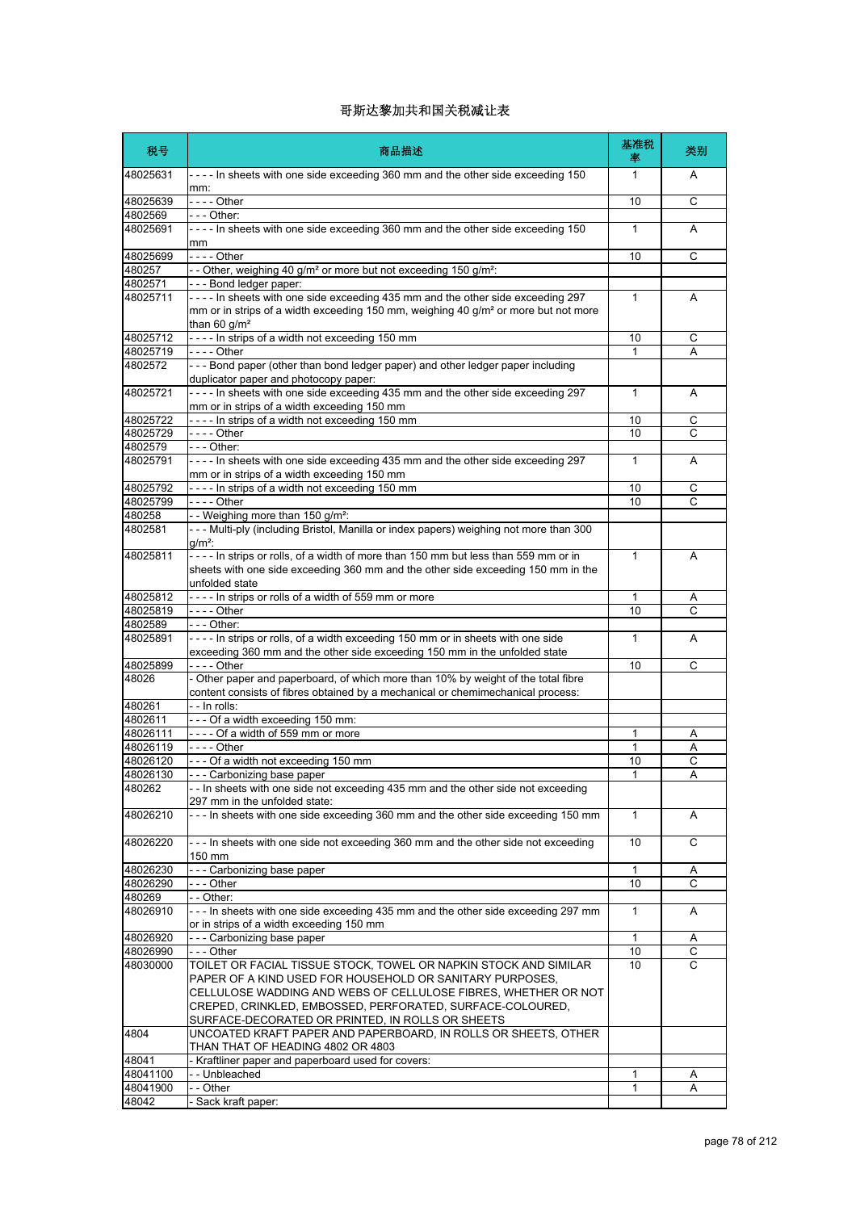| 税号                | 商品描述                                                                                                                                                                                               | 基准税<br>率     | 类别             |
|-------------------|----------------------------------------------------------------------------------------------------------------------------------------------------------------------------------------------------|--------------|----------------|
| 48025631          | ---- In sheets with one side exceeding 360 mm and the other side exceeding 150<br>mm:                                                                                                              | 1            | A              |
| 48025639          |                                                                                                                                                                                                    | 10           | С              |
| 4802569           | -  -  - Other:                                                                                                                                                                                     |              |                |
| 48025691          | ---- In sheets with one side exceeding 360 mm and the other side exceeding 150<br>mm                                                                                                               | $\mathbf{1}$ | A              |
| 48025699          | - - - - Other                                                                                                                                                                                      | 10           | C              |
| 480257            | -- Other, weighing 40 g/m <sup>2</sup> or more but not exceeding 150 g/m <sup>2</sup> :                                                                                                            |              |                |
| 4802571           | --- Bond ledger paper:                                                                                                                                                                             |              |                |
| 48025711          | ---- In sheets with one side exceeding 435 mm and the other side exceeding 297<br>mm or in strips of a width exceeding 150 mm, weighing 40 g/m <sup>2</sup> or more but not more<br>than 60 $g/m2$ | $\mathbf{1}$ | A              |
| 48025712          | ---- In strips of a width not exceeding 150 mm                                                                                                                                                     | 10           | С              |
| 48025719          |                                                                                                                                                                                                    | $\mathbf{1}$ | Α              |
| 4802572           | --- Bond paper (other than bond ledger paper) and other ledger paper including                                                                                                                     |              |                |
|                   | duplicator paper and photocopy paper:                                                                                                                                                              |              |                |
| 48025721          | ---- In sheets with one side exceeding 435 mm and the other side exceeding 297                                                                                                                     | $\mathbf{1}$ | Α              |
|                   | mm or in strips of a width exceeding 150 mm                                                                                                                                                        |              |                |
| 48025722          | ---- In strips of a width not exceeding 150 mm                                                                                                                                                     | 10           | C              |
| 48025729          | - - - - Other                                                                                                                                                                                      | 10           | С              |
| 4802579           | - - - Other:                                                                                                                                                                                       |              |                |
| 48025791          | ---- In sheets with one side exceeding 435 mm and the other side exceeding 297                                                                                                                     | $\mathbf{1}$ | A              |
|                   | mm or in strips of a width exceeding 150 mm                                                                                                                                                        |              |                |
| 48025792          | ---- In strips of a width not exceeding 150 mm                                                                                                                                                     | 10           | С              |
| 48025799          | - - - - Other                                                                                                                                                                                      | 10           | C              |
| 480258            | -- Weighing more than 150 g/m <sup>2</sup> :                                                                                                                                                       |              |                |
| 4802581           | --- Multi-ply (including Bristol, Manilla or index papers) weighing not more than 300                                                                                                              |              |                |
|                   | $g/m^2$ :                                                                                                                                                                                          |              |                |
| 48025811          | ---- In strips or rolls, of a width of more than 150 mm but less than 559 mm or in                                                                                                                 | $\mathbf{1}$ | A              |
|                   | sheets with one side exceeding 360 mm and the other side exceeding 150 mm in the<br>unfolded state                                                                                                 |              |                |
| 48025812          | ---- In strips or rolls of a width of 559 mm or more                                                                                                                                               | 1            | A              |
| 48025819          | - - - - Other                                                                                                                                                                                      | 10           | C              |
| 4802589           | - - - Other:                                                                                                                                                                                       |              |                |
| 48025891          | ---- In strips or rolls, of a width exceeding 150 mm or in sheets with one side<br>exceeding 360 mm and the other side exceeding 150 mm in the unfolded state                                      | $\mathbf{1}$ | A              |
| 48025899          |                                                                                                                                                                                                    | 10           | C              |
| 48026             | - Other paper and paperboard, of which more than 10% by weight of the total fibre                                                                                                                  |              |                |
|                   | content consists of fibres obtained by a mechanical or chemimechanical process:<br>- - In rolls:                                                                                                   |              |                |
| 480261<br>4802611 |                                                                                                                                                                                                    |              |                |
|                   | --- Of a width exceeding 150 mm:                                                                                                                                                                   |              |                |
| 48026111          | ---- Of a width of 559 mm or more                                                                                                                                                                  | 1            | A              |
| 48026119          | - - - - Other                                                                                                                                                                                      | 1            | Α              |
| 48026120          | --- Of a width not exceeding 150 mm                                                                                                                                                                | 10           | С              |
| 48026130          | Carbonizing base paper<br>- - In sheets with one side not exceeding 435 mm and the other side not exceeding                                                                                        | 1            | $\overline{A}$ |
| 480262            |                                                                                                                                                                                                    |              |                |
|                   | 297 mm in the unfolded state:<br>--- In sheets with one side exceeding 360 mm and the other side exceeding 150 mm                                                                                  |              |                |
| 48026210          |                                                                                                                                                                                                    | $\mathbf{1}$ | A              |
| 48026220          | --- In sheets with one side not exceeding 360 mm and the other side not exceeding<br>150 mm                                                                                                        | 10           | C              |
| 48026230          | --- Carbonizing base paper                                                                                                                                                                         | $\mathbf{1}$ | Α              |
| 48026290          | --- Other                                                                                                                                                                                          | 10           | С              |
| 480269            | - - Other:                                                                                                                                                                                         |              |                |
| 48026910          | --- In sheets with one side exceeding 435 mm and the other side exceeding 297 mm                                                                                                                   | $\mathbf{1}$ | Α              |
|                   | or in strips of a width exceeding 150 mm                                                                                                                                                           |              |                |
| 48026920          | - - - Carbonizing base paper                                                                                                                                                                       | $\mathbf{1}$ | Α              |
| 48026990          | -  -  - Other                                                                                                                                                                                      | 10           | С              |
| 48030000          | TOILET OR FACIAL TISSUE STOCK, TOWEL OR NAPKIN STOCK AND SIMILAR<br>PAPER OF A KIND USED FOR HOUSEHOLD OR SANITARY PURPOSES,                                                                       | 10           | C              |
|                   | CELLULOSE WADDING AND WEBS OF CELLULOSE FIBRES, WHETHER OR NOT<br>CREPED, CRINKLED, EMBOSSED, PERFORATED, SURFACE-COLOURED,                                                                        |              |                |
|                   | SURFACE-DECORATED OR PRINTED, IN ROLLS OR SHEETS                                                                                                                                                   |              |                |
| 4804              | UNCOATED KRAFT PAPER AND PAPERBOARD, IN ROLLS OR SHEETS, OTHER<br>THAN THAT OF HEADING 4802 OR 4803                                                                                                |              |                |
| 48041             | - Kraftliner paper and paperboard used for covers:                                                                                                                                                 |              |                |
| 48041100          | -- Unbleached                                                                                                                                                                                      | 1            | A              |
| 48041900          | - - Other                                                                                                                                                                                          | 1            | A              |
| 48042             | Sack kraft paper:                                                                                                                                                                                  |              |                |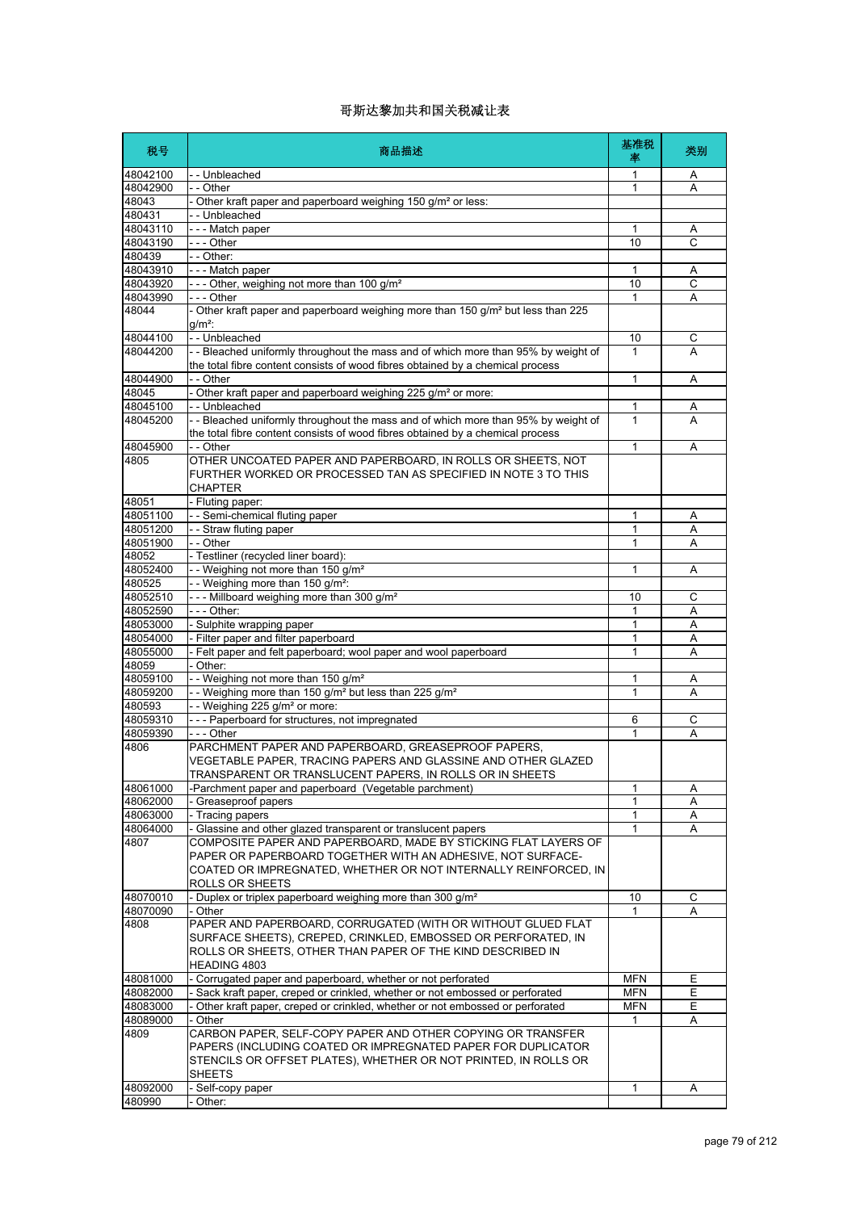| 税号                   | 商品描述                                                                                                                                                                 | 基准税<br>率          | 类别     |
|----------------------|----------------------------------------------------------------------------------------------------------------------------------------------------------------------|-------------------|--------|
| 48042100             | - - Unbleached                                                                                                                                                       | 1                 | A      |
| 48042900             | $ \overline{Other}$                                                                                                                                                  | 1                 | A      |
| 48043                | - Other kraft paper and paperboard weighing 150 g/m <sup>2</sup> or less:                                                                                            |                   |        |
| 480431               | -- Unbleached                                                                                                                                                        |                   |        |
| 48043110             | --- Match paper                                                                                                                                                      | 1                 | Α      |
| 48043190             | - - - Other                                                                                                                                                          | 10                | C      |
| 480439               | - - Other:                                                                                                                                                           |                   |        |
| 48043910             | --- Match paper                                                                                                                                                      | 1<br>10           | Α      |
| 48043920<br>48043990 | --- Other, weighing not more than 100 g/m <sup>2</sup>                                                                                                               |                   | C      |
| 48044                | - - - Other<br>- Other kraft paper and paperboard weighing more than 150 g/m <sup>2</sup> but less than 225                                                          | 1                 | A      |
|                      | $q/m^2$ :                                                                                                                                                            |                   |        |
| 48044100             | - - Unbleached                                                                                                                                                       | 10                | С      |
| 48044200             | - - Bleached uniformly throughout the mass and of which more than 95% by weight of<br>the total fibre content consists of wood fibres obtained by a chemical process | 1                 | A      |
| 48044900             | - - Other                                                                                                                                                            | 1                 | Α      |
| 48045                | - Other kraft paper and paperboard weighing 225 g/m <sup>2</sup> or more:                                                                                            |                   |        |
| 48045100             | -- Unbleached                                                                                                                                                        | 1                 | Α      |
| 48045200             | -- Bleached uniformly throughout the mass and of which more than 95% by weight of                                                                                    | 1                 | A      |
|                      | the total fibre content consists of wood fibres obtained by a chemical process                                                                                       |                   |        |
| 48045900             | - - Other                                                                                                                                                            | 1                 | A      |
| 4805                 | OTHER UNCOATED PAPER AND PAPERBOARD, IN ROLLS OR SHEETS, NOT                                                                                                         |                   |        |
|                      | FURTHER WORKED OR PROCESSED TAN AS SPECIFIED IN NOTE 3 TO THIS                                                                                                       |                   |        |
|                      | <b>CHAPTER</b>                                                                                                                                                       |                   |        |
| 48051                | - Fluting paper:                                                                                                                                                     |                   |        |
| 48051100             | - - Semi-chemical fluting paper                                                                                                                                      | 1                 | Α      |
| 48051200             | - - Straw fluting paper                                                                                                                                              | 1                 | Α      |
| 48051900             | - - Other                                                                                                                                                            | 1                 | Α      |
| 48052                | - Testliner (recycled liner board):                                                                                                                                  |                   |        |
| 48052400<br>480525   | -- Weighing not more than 150 g/m <sup>2</sup><br>-- Weighing more than 150 g/m <sup>2</sup> :                                                                       | 1                 | Α      |
| 48052510             | --- Millboard weighing more than 300 g/m <sup>2</sup>                                                                                                                | 10                | C      |
| 48052590             | - - - Other:                                                                                                                                                         | 1                 | Α      |
| 48053000             | - Sulphite wrapping paper                                                                                                                                            | 1                 | Α      |
| 48054000             | - Filter paper and filter paperboard                                                                                                                                 | $\mathbf{1}$      | Α      |
| 48055000             | - Felt paper and felt paperboard; wool paper and wool paperboard                                                                                                     | 1                 | Α      |
| 48059                | - Other:                                                                                                                                                             |                   |        |
| 48059100             | - - Weighing not more than 150 g/m <sup>2</sup>                                                                                                                      | 1                 | Α      |
| 48059200             | - - Weighing more than 150 g/m <sup>2</sup> but less than 225 g/m <sup>2</sup>                                                                                       | 1                 | A      |
| 480593               | - - Weighing 225 g/m <sup>2</sup> or more:                                                                                                                           |                   |        |
| 48059310             | --- Paperboard for structures, not impregnated                                                                                                                       | 6                 | С      |
| 48059390             | - - - Other                                                                                                                                                          | 1                 | A      |
| 4806                 | PARCHMENT PAPER AND PAPERBOARD, GREASEPROOF PAPERS,<br>VEGETABLE PAPER, TRACING PAPERS AND GLASSINE AND OTHER GLAZED                                                 |                   |        |
|                      | TRANSPARENT OR TRANSLUCENT PAPERS IN ROLLS OR IN SHEETS                                                                                                              |                   |        |
| 48061000             | -Parchment paper and paperboard (Vegetable parchment)                                                                                                                | 1                 | Α      |
| 48062000             | Greaseproof papers                                                                                                                                                   | 1                 | Α      |
| 48063000             | - Tracing papers                                                                                                                                                     | 1                 | Α      |
| 48064000             | Glassine and other glazed transparent or translucent papers                                                                                                          | 1                 | Α      |
| 4807                 | COMPOSITE PAPER AND PAPERBOARD, MADE BY STICKING FLAT LAYERS OF                                                                                                      |                   |        |
|                      | PAPER OR PAPERBOARD TOGETHER WITH AN ADHESIVE, NOT SURFACE-                                                                                                          |                   |        |
|                      | COATED OR IMPREGNATED, WHETHER OR NOT INTERNALLY REINFORCED, IN                                                                                                      |                   |        |
|                      | ROLLS OR SHEETS                                                                                                                                                      |                   |        |
| 48070010             | - Duplex or triplex paperboard weighing more than 300 g/m <sup>2</sup>                                                                                               | 10                | С      |
| 48070090             | - Other                                                                                                                                                              | 1                 | Α      |
| 4808                 | PAPER AND PAPERBOARD, CORRUGATED (WITH OR WITHOUT GLUED FLAT                                                                                                         |                   |        |
|                      | SURFACE SHEETS), CREPED, CRINKLED, EMBOSSED OR PERFORATED, IN                                                                                                        |                   |        |
|                      | ROLLS OR SHEETS, OTHER THAN PAPER OF THE KIND DESCRIBED IN                                                                                                           |                   |        |
| 48081000             | HEADING 4803<br>- Corrugated paper and paperboard, whether or not perforated                                                                                         |                   |        |
| 48082000             | - Sack kraft paper, creped or crinkled, whether or not embossed or perforated                                                                                        | MFN<br><b>MFN</b> | Е<br>Ε |
| 48083000             | Other kraft paper, creped or crinkled, whether or not embossed or perforated                                                                                         | <b>MFN</b>        | Е      |
| 48089000             | - Other                                                                                                                                                              | 1                 | A      |
| 4809                 | CARBON PAPER, SELF-COPY PAPER AND OTHER COPYING OR TRANSFER                                                                                                          |                   |        |
|                      | PAPERS (INCLUDING COATED OR IMPREGNATED PAPER FOR DUPLICATOR                                                                                                         |                   |        |
|                      | STENCILS OR OFFSET PLATES), WHETHER OR NOT PRINTED, IN ROLLS OR                                                                                                      |                   |        |
|                      | <b>SHEETS</b>                                                                                                                                                        |                   |        |
| 48092000             | - Self-copy paper                                                                                                                                                    | 1                 | Α      |
| 480990               | Other:                                                                                                                                                               |                   |        |
|                      |                                                                                                                                                                      |                   |        |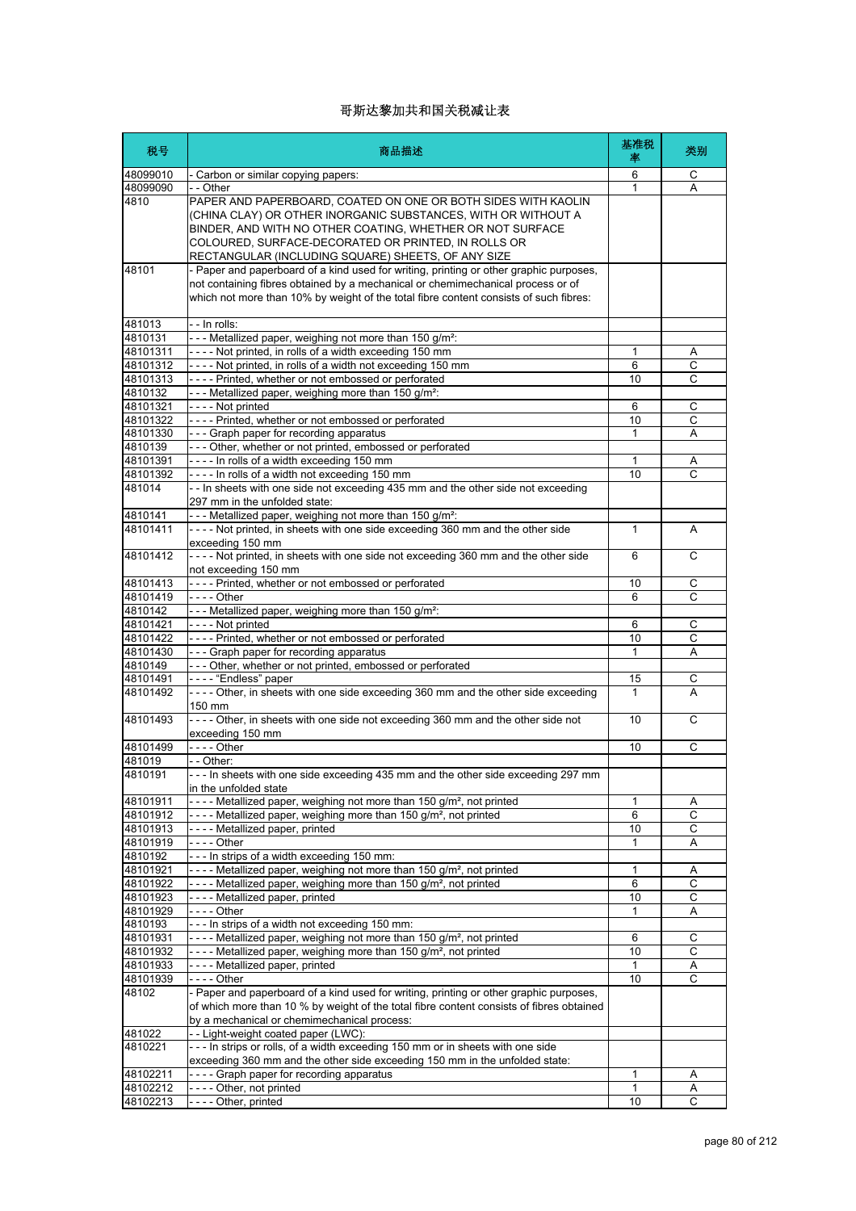| 税号                   | 商品描述                                                                                                                                                                                                                                                                                                     | 基准税<br>率 | 类别               |
|----------------------|----------------------------------------------------------------------------------------------------------------------------------------------------------------------------------------------------------------------------------------------------------------------------------------------------------|----------|------------------|
| 48099010             | - Carbon or similar copying papers:                                                                                                                                                                                                                                                                      | 6        | C                |
| 48099090             | - - Other                                                                                                                                                                                                                                                                                                | 1        | A                |
| 4810                 | PAPER AND PAPERBOARD, COATED ON ONE OR BOTH SIDES WITH KAOLIN<br>(CHINA CLAY) OR OTHER INORGANIC SUBSTANCES, WITH OR WITHOUT A<br>BINDER, AND WITH NO OTHER COATING, WHETHER OR NOT SURFACE<br>COLOURED, SURFACE-DECORATED OR PRINTED, IN ROLLS OR<br>RECTANGULAR (INCLUDING SQUARE) SHEETS, OF ANY SIZE |          |                  |
| 48101                | - Paper and paperboard of a kind used for writing, printing or other graphic purposes,<br>not containing fibres obtained by a mechanical or chemimechanical process or of<br>which not more than 10% by weight of the total fibre content consists of such fibres:                                       |          |                  |
| 481013               | - - In rolls:                                                                                                                                                                                                                                                                                            |          |                  |
| 4810131              | --- Metallized paper, weighing not more than 150 g/m <sup>2</sup> :                                                                                                                                                                                                                                      |          |                  |
| 48101311<br>48101312 | ---- Not printed, in rolls of a width exceeding 150 mm<br>---- Not printed, in rolls of a width not exceeding 150 mm                                                                                                                                                                                     | 1<br>6   | Α<br>С           |
| 48101313             | ---- Printed, whether or not embossed or perforated                                                                                                                                                                                                                                                      | 10       | C                |
| 4810132              | --- Metallized paper, weighing more than 150 g/m <sup>2</sup> :                                                                                                                                                                                                                                          |          |                  |
| 48101321             | ---- Not printed                                                                                                                                                                                                                                                                                         | 6        | С                |
| 48101322             | ---- Printed, whether or not embossed or perforated                                                                                                                                                                                                                                                      | 10       | C                |
| 48101330             | --- Graph paper for recording apparatus                                                                                                                                                                                                                                                                  | 1        | Α                |
| 4810139              | - - - Other, whether or not printed, embossed or perforated                                                                                                                                                                                                                                              |          |                  |
| 48101391             | ---- In rolls of a width exceeding 150 mm                                                                                                                                                                                                                                                                | 1        | Α                |
| 48101392             | ---- In rolls of a width not exceeding 150 mm                                                                                                                                                                                                                                                            | 10       | C                |
| 481014               | - - In sheets with one side not exceeding 435 mm and the other side not exceeding<br>297 mm in the unfolded state:                                                                                                                                                                                       |          |                  |
| 4810141              | - - - Metallized paper, weighing not more than 150 g/m <sup>2</sup> :<br>---- Not printed, in sheets with one side exceeding 360 mm and the other side                                                                                                                                                   |          |                  |
| 48101411             | exceeding 150 mm                                                                                                                                                                                                                                                                                         | 1        | A                |
| 48101412             | ---- Not printed, in sheets with one side not exceeding 360 mm and the other side<br>not exceeding 150 mm                                                                                                                                                                                                | 6        | C                |
| 48101413             | ---- Printed, whether or not embossed or perforated                                                                                                                                                                                                                                                      | 10       | C                |
| 48101419             | - - - - Other                                                                                                                                                                                                                                                                                            | 6        | С                |
| 4810142<br>48101421  | - - - Metallized paper, weighing more than 150 g/m <sup>2</sup> :<br>- - - - Not printed                                                                                                                                                                                                                 | 6        | C                |
| 48101422             | ---- Printed, whether or not embossed or perforated                                                                                                                                                                                                                                                      | 10       | C                |
| 48101430             | --- Graph paper for recording apparatus                                                                                                                                                                                                                                                                  | 1        | Α                |
| 4810149              | - - - Other, whether or not printed, embossed or perforated                                                                                                                                                                                                                                              |          |                  |
| 48101491             | ---- "Endless" paper                                                                                                                                                                                                                                                                                     | 15       | С                |
| 48101492             | ---- Other, in sheets with one side exceeding 360 mm and the other side exceeding<br>150 mm                                                                                                                                                                                                              | 1        | A                |
| 48101493             | ---- Other, in sheets with one side not exceeding 360 mm and the other side not<br>exceeding 150 mm                                                                                                                                                                                                      | 10       | C                |
| 48101499             | - - - - Other                                                                                                                                                                                                                                                                                            | 10       | С                |
| 481019               | - - Other:                                                                                                                                                                                                                                                                                               |          |                  |
| 4810191              | --- In sheets with one side exceeding 435 mm and the other side exceeding 297 mm<br>in the unfolded state                                                                                                                                                                                                |          |                  |
| 48101911             | - - - - Metallized paper, weighing not more than 150 g/m <sup>2</sup> , not printed                                                                                                                                                                                                                      | 1        | Α                |
| 48101912<br>48101913 | ---- Metallized paper, weighing more than 150 g/m <sup>2</sup> , not printed<br>---- Metallized paper, printed                                                                                                                                                                                           | 6<br>10  | C<br>C           |
| 48101919             |                                                                                                                                                                                                                                                                                                          | 1        | Α                |
| 4810192              | --- In strips of a width exceeding 150 mm:                                                                                                                                                                                                                                                               |          |                  |
| 48101921             | - - - - Metallized paper, weighing not more than 150 g/m <sup>2</sup> , not printed                                                                                                                                                                                                                      | 1        | Α                |
| 48101922             | - - - - Metallized paper, weighing more than 150 g/m <sup>2</sup> , not printed                                                                                                                                                                                                                          | 6        | С                |
| 48101923             | ---- Metallized paper, printed                                                                                                                                                                                                                                                                           | 10       | С                |
| 48101929             |                                                                                                                                                                                                                                                                                                          | 1        | Α                |
| 4810193              | --- In strips of a width not exceeding 150 mm:                                                                                                                                                                                                                                                           |          |                  |
| 48101931             | - - - - Metallized paper, weighing not more than 150 g/m <sup>2</sup> , not printed                                                                                                                                                                                                                      | 6        | С                |
| 48101932<br>48101933 | - - - - Metallized paper, weighing more than 150 g/m <sup>2</sup> , not printed<br>---- Metallized paper, printed                                                                                                                                                                                        | 10<br>1  | С<br>A           |
| 48101939             | - - - - Other                                                                                                                                                                                                                                                                                            | 10       | С                |
| 48102                | - Paper and paperboard of a kind used for writing, printing or other graphic purposes,<br>of which more than 10 % by weight of the total fibre content consists of fibres obtained                                                                                                                       |          |                  |
|                      | by a mechanical or chemimechanical process:                                                                                                                                                                                                                                                              |          |                  |
| 481022               | -- Light-weight coated paper (LWC):                                                                                                                                                                                                                                                                      |          |                  |
| 4810221              | --- In strips or rolls, of a width exceeding 150 mm or in sheets with one side<br>exceeding 360 mm and the other side exceeding 150 mm in the unfolded state:                                                                                                                                            |          |                  |
| 48102211             | ---- Graph paper for recording apparatus                                                                                                                                                                                                                                                                 | 1        | Α                |
| 48102212<br>48102213 | ---- Other, not printed<br>---- Other, printed                                                                                                                                                                                                                                                           | 1<br>10  | Α<br>$\mathsf C$ |
|                      |                                                                                                                                                                                                                                                                                                          |          |                  |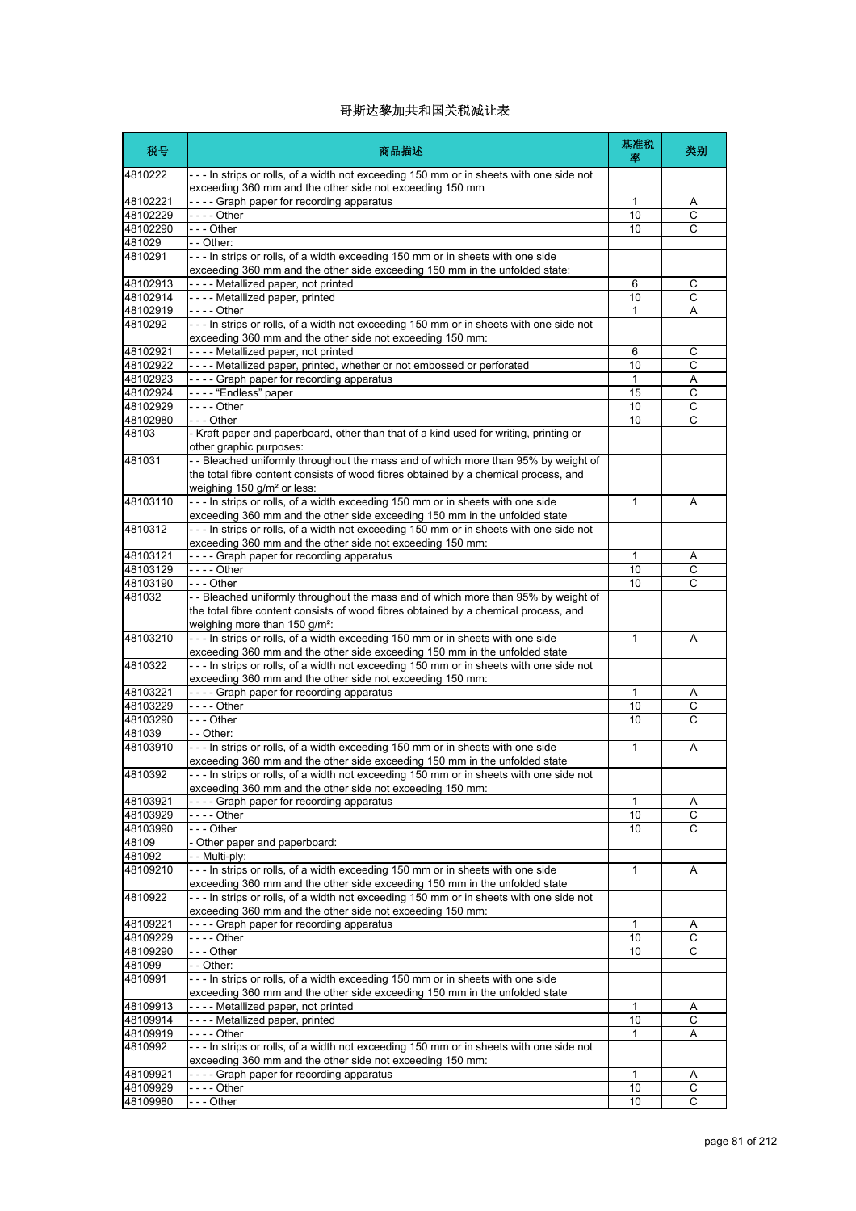| 税号                | 商品描述                                                                                                                                                                                                                    | 基准税<br>塞     | 类别           |
|-------------------|-------------------------------------------------------------------------------------------------------------------------------------------------------------------------------------------------------------------------|--------------|--------------|
| 4810222           | --- In strips or rolls, of a width not exceeding 150 mm or in sheets with one side not<br>exceeding 360 mm and the other side not exceeding 150 mm                                                                      |              |              |
| 48102221          | ---- Graph paper for recording apparatus                                                                                                                                                                                | 1            | Α            |
| 48102229          |                                                                                                                                                                                                                         | 10           | C            |
| 48102290          | --- Other                                                                                                                                                                                                               | 10           | С            |
| 481029            | - - Other:                                                                                                                                                                                                              |              |              |
| 4810291           | --- In strips or rolls, of a width exceeding 150 mm or in sheets with one side<br>exceeding 360 mm and the other side exceeding 150 mm in the unfolded state:                                                           |              |              |
| 48102913          | ---- Metallized paper, not printed                                                                                                                                                                                      | 6            | С            |
| 48102914          | ---- Metallized paper, printed                                                                                                                                                                                          | 10           | C            |
| 48102919          |                                                                                                                                                                                                                         | 1            | A            |
| 4810292           | --- In strips or rolls, of a width not exceeding 150 mm or in sheets with one side not<br>exceeding 360 mm and the other side not exceeding 150 mm:                                                                     |              |              |
| 48102921          | ---- Metallized paper, not printed                                                                                                                                                                                      | 6            | С            |
| 48102922          | ---- Metallized paper, printed, whether or not embossed or perforated                                                                                                                                                   | 10           | C            |
| 48102923          | ---- Graph paper for recording apparatus                                                                                                                                                                                | 1            | Α            |
| 48102924          | - - - - "Endless" paper                                                                                                                                                                                                 | 15           | С            |
| 48102929          | - - - - Other                                                                                                                                                                                                           | 10           | С            |
| 48102980          | - - - Other                                                                                                                                                                                                             | 10           | С            |
| 48103             | - Kraft paper and paperboard, other than that of a kind used for writing, printing or<br>other graphic purposes:                                                                                                        |              |              |
| 481031            | -- Bleached uniformly throughout the mass and of which more than 95% by weight of                                                                                                                                       |              |              |
|                   | the total fibre content consists of wood fibres obtained by a chemical process, and                                                                                                                                     |              |              |
|                   | weighing 150 g/m <sup>2</sup> or less:                                                                                                                                                                                  |              |              |
| 48103110          | --- In strips or rolls, of a width exceeding 150 mm or in sheets with one side                                                                                                                                          | 1            | A            |
|                   | exceeding 360 mm and the other side exceeding 150 mm in the unfolded state                                                                                                                                              |              |              |
| 4810312           | --- In strips or rolls, of a width not exceeding 150 mm or in sheets with one side not<br>exceeding 360 mm and the other side not exceeding 150 mm:                                                                     |              |              |
| 48103121          | ---- Graph paper for recording apparatus                                                                                                                                                                                | 1            | Α            |
| 48103129          | - - - - Other                                                                                                                                                                                                           | 10           | С            |
| 48103190          | - - - Other                                                                                                                                                                                                             | 10           | C            |
| 481032            | -- Bleached uniformly throughout the mass and of which more than 95% by weight of<br>the total fibre content consists of wood fibres obtained by a chemical process, and<br>weighing more than $150$ g/m <sup>2</sup> : |              |              |
| 48103210          | --- In strips or rolls, of a width exceeding 150 mm or in sheets with one side<br>exceeding 360 mm and the other side exceeding 150 mm in the unfolded state                                                            | $\mathbf{1}$ | A            |
| 4810322           | --- In strips or rolls, of a width not exceeding 150 mm or in sheets with one side not                                                                                                                                  |              |              |
|                   | exceeding 360 mm and the other side not exceeding 150 mm:                                                                                                                                                               |              |              |
| 48103221          | ---- Graph paper for recording apparatus                                                                                                                                                                                | 1            | A            |
| 48103229          |                                                                                                                                                                                                                         | 10           | C            |
| 48103290          | --- Other                                                                                                                                                                                                               | 10           | C            |
| 481039            | - - Other:                                                                                                                                                                                                              |              |              |
| 48103910          | --- In strips or rolls, of a width exceeding 150 mm or in sheets with one side<br>exceeding 360 mm and the other side exceeding 150 mm in the unfolded state                                                            | $\mathbf{1}$ | Α            |
| 4810392           | In strips or rolls, of a width not exceeding 150 mm or in sheets with one side not<br>exceeding 360 mm and the other side not exceeding 150 mm:                                                                         |              |              |
| 48103921          | ---- Graph paper for recording apparatus                                                                                                                                                                                | $\mathbf{1}$ | Α            |
| 48103929          | - - - - Other                                                                                                                                                                                                           | 10           | С            |
| 48103990          | --- Other                                                                                                                                                                                                               | 10           | С            |
| 48109             | - Other paper and paperboard:                                                                                                                                                                                           |              |              |
| 481092            | - - Multi-ply:                                                                                                                                                                                                          |              |              |
| 48109210          | --- In strips or rolls, of a width exceeding 150 mm or in sheets with one side<br>exceeding 360 mm and the other side exceeding 150 mm in the unfolded state                                                            | 1            | Α            |
| 4810922           | --- In strips or rolls, of a width not exceeding 150 mm or in sheets with one side not                                                                                                                                  |              |              |
|                   | exceeding 360 mm and the other side not exceeding 150 mm:                                                                                                                                                               |              |              |
| 48109221          | ---- Graph paper for recording apparatus                                                                                                                                                                                | $\mathbf{1}$ | A            |
| 48109229          | - - - - Other                                                                                                                                                                                                           | 10           | C            |
| 48109290          | --- Other                                                                                                                                                                                                               | 10           | С            |
| 481099<br>4810991 | - - Other:<br>--- In strips or rolls, of a width exceeding 150 mm or in sheets with one side                                                                                                                            |              |              |
|                   | exceeding 360 mm and the other side exceeding 150 mm in the unfolded state                                                                                                                                              |              |              |
| 48109913          | ---- Metallized paper, not printed                                                                                                                                                                                      | $\mathbf{1}$ | A            |
| 48109914          | ---- Metallized paper, printed                                                                                                                                                                                          | 10           | С            |
| 48109919          |                                                                                                                                                                                                                         | $\mathbf{1}$ | Α            |
| 4810992           | --- In strips or rolls, of a width not exceeding 150 mm or in sheets with one side not<br>exceeding 360 mm and the other side not exceeding 150 mm:                                                                     |              |              |
| 48109921          | ---- Graph paper for recording apparatus                                                                                                                                                                                | 1            | A            |
| 48109929          | - - - - Other                                                                                                                                                                                                           | 10           | C            |
| 48109980          | -- Other                                                                                                                                                                                                                | 10           | $\mathsf{C}$ |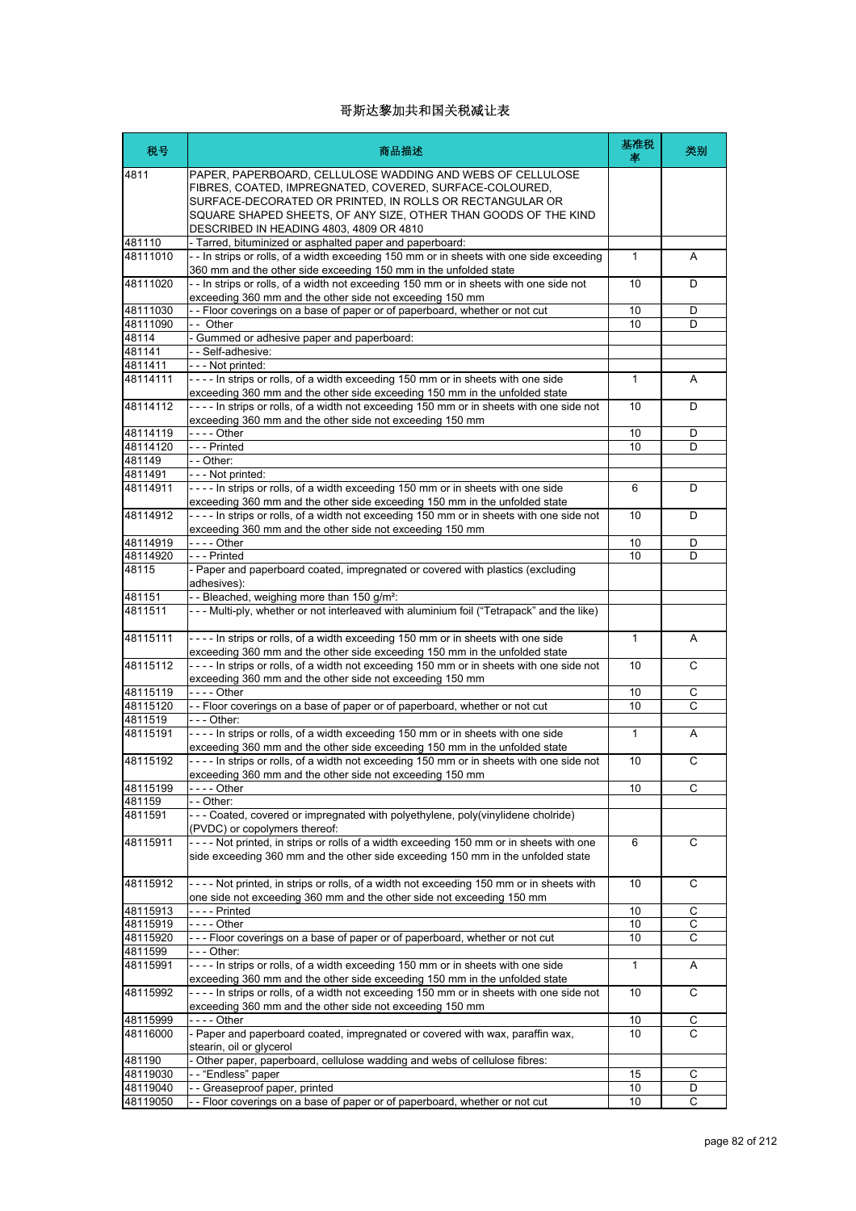| 税号       | 商品描述                                                                                                                                                                                                                                                                                            | 基准税<br>塞     | 类别 |
|----------|-------------------------------------------------------------------------------------------------------------------------------------------------------------------------------------------------------------------------------------------------------------------------------------------------|--------------|----|
| 4811     | PAPER, PAPERBOARD, CELLULOSE WADDING AND WEBS OF CELLULOSE<br>FIBRES, COATED, IMPREGNATED, COVERED, SURFACE-COLOURED,<br>SURFACE-DECORATED OR PRINTED, IN ROLLS OR RECTANGULAR OR<br>SQUARE SHAPED SHEETS, OF ANY SIZE, OTHER THAN GOODS OF THE KIND<br>DESCRIBED IN HEADING 4803, 4809 OR 4810 |              |    |
| 481110   | - Tarred, bituminized or asphalted paper and paperboard:                                                                                                                                                                                                                                        |              |    |
| 48111010 | - - In strips or rolls, of a width exceeding 150 mm or in sheets with one side exceeding<br>360 mm and the other side exceeding 150 mm in the unfolded state                                                                                                                                    | $\mathbf{1}$ | A  |
| 48111020 | -- In strips or rolls, of a width not exceeding 150 mm or in sheets with one side not<br>exceeding 360 mm and the other side not exceeding 150 mm                                                                                                                                               | 10           | D  |
| 48111030 | -- Floor coverings on a base of paper or of paperboard, whether or not cut                                                                                                                                                                                                                      | 10           | D  |
| 48111090 | -- Other                                                                                                                                                                                                                                                                                        | 10           | D  |
| 48114    | - Gummed or adhesive paper and paperboard:                                                                                                                                                                                                                                                      |              |    |
| 481141   | -- Self-adhesive:                                                                                                                                                                                                                                                                               |              |    |
| 4811411  | --- Not printed:                                                                                                                                                                                                                                                                                |              |    |
| 48114111 | ---- In strips or rolls, of a width exceeding 150 mm or in sheets with one side                                                                                                                                                                                                                 | $\mathbf{1}$ | A  |
| 48114112 | exceeding 360 mm and the other side exceeding 150 mm in the unfolded state<br>---- In strips or rolls, of a width not exceeding 150 mm or in sheets with one side not                                                                                                                           | 10           | D  |
|          | exceeding 360 mm and the other side not exceeding 150 mm                                                                                                                                                                                                                                        |              |    |
| 48114119 |                                                                                                                                                                                                                                                                                                 | 10           | D  |
| 48114120 | --- Printed                                                                                                                                                                                                                                                                                     | 10           | D  |
| 481149   | $ -$ Other:                                                                                                                                                                                                                                                                                     |              |    |
| 4811491  | --- Not printed:                                                                                                                                                                                                                                                                                |              |    |
| 48114911 | ---- In strips or rolls, of a width exceeding 150 mm or in sheets with one side<br>exceeding 360 mm and the other side exceeding 150 mm in the unfolded state                                                                                                                                   | 6            | D  |
| 48114912 | ---- In strips or rolls, of a width not exceeding 150 mm or in sheets with one side not<br>exceeding 360 mm and the other side not exceeding 150 mm                                                                                                                                             | 10           | D  |
| 48114919 | - - - - Other                                                                                                                                                                                                                                                                                   | 10           | D  |
| 48114920 | --- Printed                                                                                                                                                                                                                                                                                     | 10           | D  |
| 48115    | - Paper and paperboard coated, impregnated or covered with plastics (excluding<br>adhesives):                                                                                                                                                                                                   |              |    |
| 481151   | -- Bleached, weighing more than 150 g/m <sup>2</sup> :                                                                                                                                                                                                                                          |              |    |
| 4811511  | --- Multi-ply, whether or not interleaved with aluminium foil ("Tetrapack" and the like)                                                                                                                                                                                                        |              |    |
| 48115111 | ---- In strips or rolls, of a width exceeding 150 mm or in sheets with one side<br>exceeding 360 mm and the other side exceeding 150 mm in the unfolded state                                                                                                                                   | $\mathbf{1}$ | A  |
| 48115112 | ---- In strips or rolls, of a width not exceeding 150 mm or in sheets with one side not<br>exceeding 360 mm and the other side not exceeding 150 mm                                                                                                                                             | 10           | C  |
| 48115119 | - - - - Other                                                                                                                                                                                                                                                                                   | 10           | С  |
| 48115120 | -- Floor coverings on a base of paper or of paperboard, whether or not cut                                                                                                                                                                                                                      | 10           | C  |
| 4811519  | - - - Other:                                                                                                                                                                                                                                                                                    |              |    |
| 48115191 | ---- In strips or rolls, of a width exceeding 150 mm or in sheets with one side<br>exceeding 360 mm and the other side exceeding 150 mm in the unfolded state                                                                                                                                   | $\mathbf{1}$ | A  |
| 48115192 | ---- In strips or rolls, of a width not exceeding 150 mm or in sheets with one side not<br>exceeding 360 mm and the other side not exceeding 150 mm                                                                                                                                             | 10           | C  |
| 48115199 | - - - - Other                                                                                                                                                                                                                                                                                   | 10           | C  |
| 481159   | - - Other:                                                                                                                                                                                                                                                                                      |              |    |
| 4811591  | --- Coated, covered or impregnated with polyethylene, poly(vinylidene cholride)<br>(PVDC) or copolymers thereof:                                                                                                                                                                                |              |    |
| 48115911 | ---- Not printed, in strips or rolls of a width exceeding 150 mm or in sheets with one<br>side exceeding 360 mm and the other side exceeding 150 mm in the unfolded state                                                                                                                       | 6            | C  |
| 48115912 | ---- Not printed, in strips or rolls, of a width not exceeding 150 mm or in sheets with<br>one side not exceeding 360 mm and the other side not exceeding 150 mm                                                                                                                                | 10           | С  |
| 48115913 | - - - - Printed                                                                                                                                                                                                                                                                                 | 10           | С  |
| 48115919 | - - - - Other                                                                                                                                                                                                                                                                                   | 10           | С  |
| 48115920 | --- Floor coverings on a base of paper or of paperboard, whether or not cut                                                                                                                                                                                                                     | 10           | C  |
| 4811599  | -  -  - Other:                                                                                                                                                                                                                                                                                  |              |    |
| 48115991 | ---- In strips or rolls, of a width exceeding 150 mm or in sheets with one side<br>exceeding 360 mm and the other side exceeding 150 mm in the unfolded state                                                                                                                                   | 1            | A  |
| 48115992 | ---- In strips or rolls, of a width not exceeding 150 mm or in sheets with one side not<br>exceeding 360 mm and the other side not exceeding 150 mm                                                                                                                                             | 10           | С  |
| 48115999 | -  -  -  - Other                                                                                                                                                                                                                                                                                | 10           | С  |
| 48116000 | - Paper and paperboard coated, impregnated or covered with wax, paraffin wax,<br>stearin, oil or glycerol                                                                                                                                                                                       | 10           | C  |
| 481190   | - Other paper, paperboard, cellulose wadding and webs of cellulose fibres:                                                                                                                                                                                                                      |              |    |
| 48119030 | -- "Endless" paper                                                                                                                                                                                                                                                                              | 15           | С  |
| 48119040 | - - Greaseproof paper, printed                                                                                                                                                                                                                                                                  | 10           | D  |
| 48119050 | -- Floor coverings on a base of paper or of paperboard, whether or not cut                                                                                                                                                                                                                      | 10           | C  |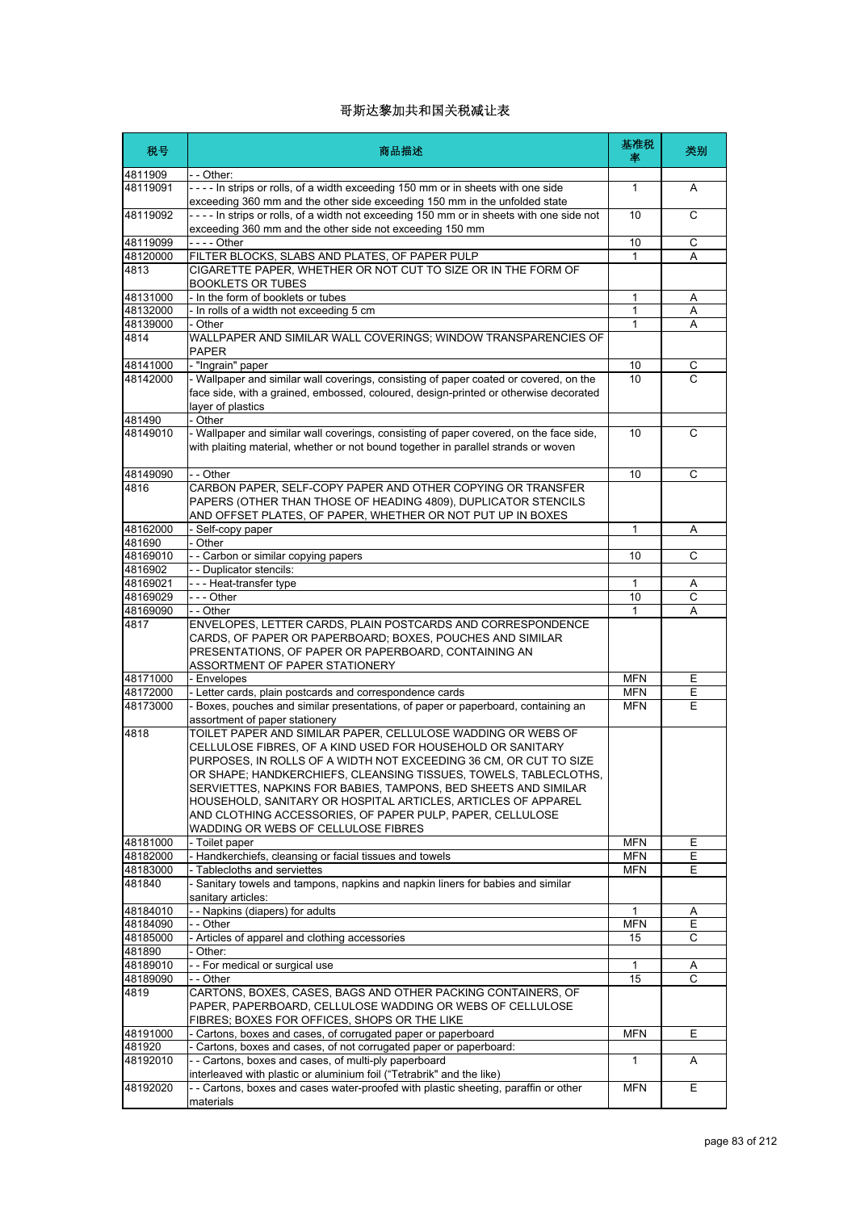| 税号                   | 商品描述                                                                                                                                                                                                               | 基准税<br>率          | 类别     |
|----------------------|--------------------------------------------------------------------------------------------------------------------------------------------------------------------------------------------------------------------|-------------------|--------|
| 4811909              | - - Other:                                                                                                                                                                                                         |                   |        |
| 48119091             | - - - - In strips or rolls, of a width exceeding 150 mm or in sheets with one side<br>exceeding 360 mm and the other side exceeding 150 mm in the unfolded state                                                   | $\mathbf{1}$      | Α      |
| 48119092             | ---- In strips or rolls, of a width not exceeding 150 mm or in sheets with one side not<br>exceeding 360 mm and the other side not exceeding 150 mm                                                                | 10                | C      |
| 48119099             |                                                                                                                                                                                                                    | 10                | С      |
| 48120000             | FILTER BLOCKS, SLABS AND PLATES, OF PAPER PULP                                                                                                                                                                     | $\mathbf{1}$      | A      |
| 4813                 | CIGARETTE PAPER, WHETHER OR NOT CUT TO SIZE OR IN THE FORM OF<br>BOOKLETS OR TUBES                                                                                                                                 |                   |        |
| 48131000             | - In the form of booklets or tubes                                                                                                                                                                                 | 1                 | A      |
| 48132000             | - In rolls of a width not exceeding 5 cm                                                                                                                                                                           | 1                 | Α      |
| 48139000             | - Other                                                                                                                                                                                                            | 1                 | A      |
| 4814                 | WALLPAPER AND SIMILAR WALL COVERINGS; WINDOW TRANSPARENCIES OF<br><b>PAPER</b>                                                                                                                                     |                   |        |
| 48141000             | - "Ingrain" paper                                                                                                                                                                                                  | 10                | С      |
| 48142000             | - Wallpaper and similar wall coverings, consisting of paper coated or covered, on the<br>face side, with a grained, embossed, coloured, design-printed or otherwise decorated                                      | 10                | C      |
| 481490               | layer of plastics<br>- Other                                                                                                                                                                                       |                   |        |
| 48149010             | - Wallpaper and similar wall coverings, consisting of paper covered, on the face side,<br>with plaiting material, whether or not bound together in parallel strands or woven                                       | 10                | C      |
| 48149090             | - - Other                                                                                                                                                                                                          | 10                | C      |
| 4816                 | CARBON PAPER, SELF-COPY PAPER AND OTHER COPYING OR TRANSFER<br>PAPERS (OTHER THAN THOSE OF HEADING 4809), DUPLICATOR STENCILS<br>AND OFFSET PLATES, OF PAPER, WHETHER OR NOT PUT UP IN BOXES                       |                   |        |
| 48162000             | - Self-copy paper                                                                                                                                                                                                  | 1                 | Α      |
| 481690               | - Other                                                                                                                                                                                                            |                   |        |
| 48169010             | -- Carbon or similar copying papers                                                                                                                                                                                | 10                | С      |
| 4816902              | - - Duplicator stencils:                                                                                                                                                                                           |                   |        |
| 48169021             | --- Heat-transfer type                                                                                                                                                                                             | 1                 | Α      |
| 48169029             | --- Other                                                                                                                                                                                                          | 10                | C      |
| 48169090             | - - Other                                                                                                                                                                                                          | 1                 | A      |
| 4817                 | ENVELOPES, LETTER CARDS, PLAIN POSTCARDS AND CORRESPONDENCE<br>CARDS, OF PAPER OR PAPERBOARD; BOXES, POUCHES AND SIMILAR<br>PRESENTATIONS, OF PAPER OR PAPERBOARD, CONTAINING AN<br>ASSORTMENT OF PAPER STATIONERY |                   |        |
| 48171000             | - Envelopes                                                                                                                                                                                                        | <b>MFN</b>        | Ε      |
| 48172000             | - Letter cards, plain postcards and correspondence cards                                                                                                                                                           | <b>MFN</b>        | Ε      |
| 48173000             | - Boxes, pouches and similar presentations, of paper or paperboard, containing an<br>assortment of paper stationery                                                                                                | <b>MFN</b>        | E      |
| 4818                 | TOILET PAPER AND SIMILAR PAPER, CELLULOSE WADDING OR WEBS OF                                                                                                                                                       |                   |        |
|                      | CELLULOSE FIBRES, OF A KIND USED FOR HOUSEHOLD OR SANITARY<br>PURPOSES, IN ROLLS OF A WIDTH NOT EXCEEDING 36 CM, OR CUT TO SIZE                                                                                    |                   |        |
|                      | OR SHAPE; HANDKERCHIEFS, CLEANSING TISSUES, TOWELS, TABLECLOTHS,<br>SERVIETTES, NAPKINS FOR BABIES, TAMPONS, BED SHEETS AND SIMILAR                                                                                |                   |        |
|                      | HOUSEHOLD, SANITARY OR HOSPITAL ARTICLES, ARTICLES OF APPAREL<br>AND CLOTHING ACCESSORIES, OF PAPER PULP, PAPER, CELLULOSE                                                                                         |                   |        |
|                      | WADDING OR WEBS OF CELLULOSE FIBRES                                                                                                                                                                                |                   |        |
| 48181000<br>48182000 | - Toilet paper<br>- Handkerchiefs, cleansing or facial tissues and towels                                                                                                                                          | MFN<br><b>MFN</b> | Е<br>Е |
| 48183000             | - Tablecloths and serviettes                                                                                                                                                                                       | <b>MFN</b>        | E      |
| 481840               | - Sanitary towels and tampons, napkins and napkin liners for babies and similar<br>sanitary articles:                                                                                                              |                   |        |
| 48184010             | - - Napkins (diapers) for adults                                                                                                                                                                                   | 1                 | Α      |
| 48184090             | - - Other                                                                                                                                                                                                          | MFN               | Е      |
| 48185000             | - Articles of apparel and clothing accessories                                                                                                                                                                     | 15                | C      |
| 481890               | Other:                                                                                                                                                                                                             |                   |        |
| 48189010             | - - For medical or surgical use                                                                                                                                                                                    | $\mathbf{1}$      | A      |
| 48189090             | - - Other                                                                                                                                                                                                          | 15                | C      |
| 4819                 | CARTONS, BOXES, CASES, BAGS AND OTHER PACKING CONTAINERS, OF<br>PAPER, PAPERBOARD, CELLULOSE WADDING OR WEBS OF CELLULOSE                                                                                          |                   |        |
|                      | FIBRES; BOXES FOR OFFICES, SHOPS OR THE LIKE                                                                                                                                                                       |                   |        |
| 48191000             | - Cartons, boxes and cases, of corrugated paper or paperboard                                                                                                                                                      | <b>MFN</b>        | Ε      |
| 481920<br>48192010   | - Cartons, boxes and cases, of not corrugated paper or paperboard:<br>- - Cartons, boxes and cases, of multi-ply paperboard                                                                                        | $\mathbf{1}$      |        |
|                      | interleaved with plastic or aluminium foil ("Tetrabrik" and the like)                                                                                                                                              |                   | A      |
| 48192020             | - - Cartons, boxes and cases water-proofed with plastic sheeting, paraffin or other<br>materials                                                                                                                   | <b>MFN</b>        | Е      |
|                      |                                                                                                                                                                                                                    |                   |        |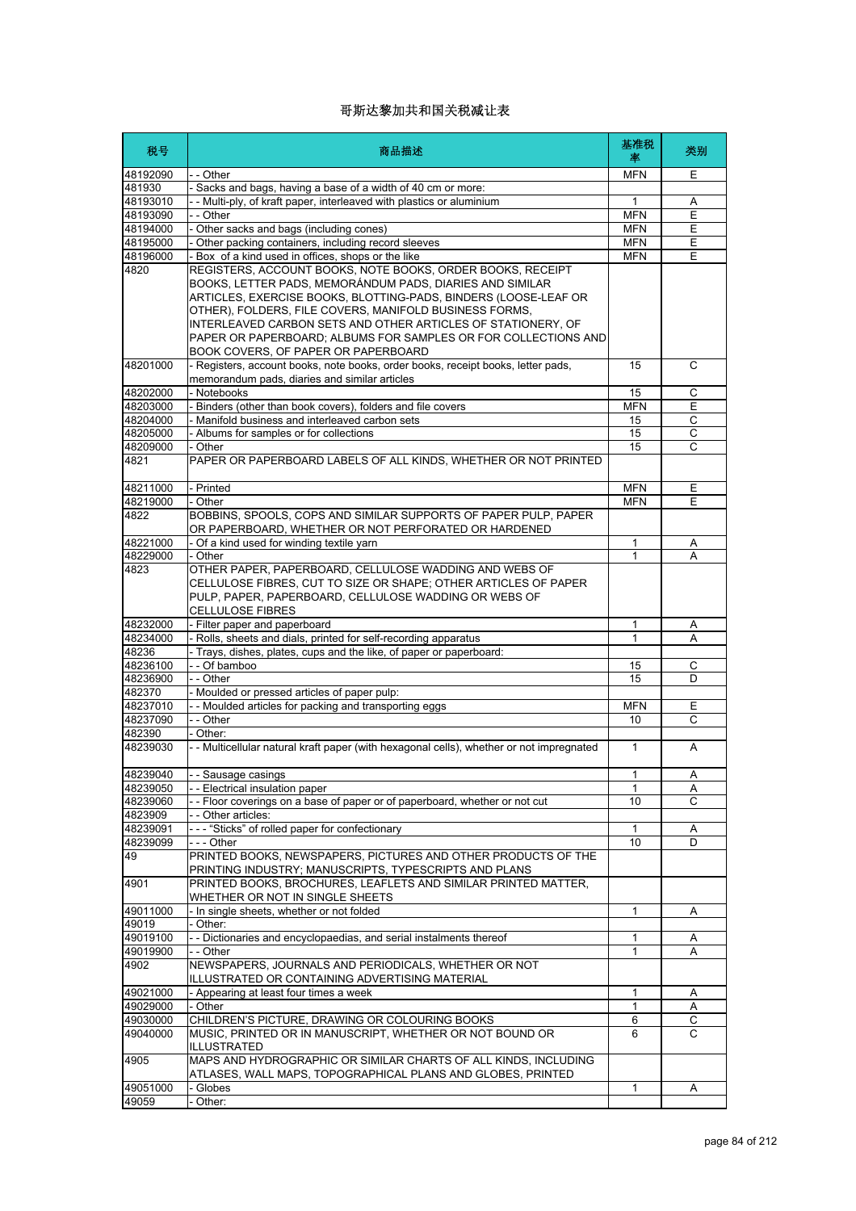| 税号                 | 商品描述                                                                                                                                                                                                                                                                                                                                                                                                                         | 基准税<br>率     | 类别             |
|--------------------|------------------------------------------------------------------------------------------------------------------------------------------------------------------------------------------------------------------------------------------------------------------------------------------------------------------------------------------------------------------------------------------------------------------------------|--------------|----------------|
| 48192090           | - - Other                                                                                                                                                                                                                                                                                                                                                                                                                    | <b>MFN</b>   | Ε              |
| 481930             | - Sacks and bags, having a base of a width of 40 cm or more:                                                                                                                                                                                                                                                                                                                                                                 |              |                |
| 48193010           | - - Multi-ply, of kraft paper, interleaved with plastics or aluminium                                                                                                                                                                                                                                                                                                                                                        | 1            | Α              |
| 48193090           | - - Other                                                                                                                                                                                                                                                                                                                                                                                                                    | <b>MFN</b>   | E              |
| 48194000           | - Other sacks and bags (including cones)                                                                                                                                                                                                                                                                                                                                                                                     | <b>MFN</b>   | Ε              |
| 48195000           | - Other packing containers, including record sleeves                                                                                                                                                                                                                                                                                                                                                                         | <b>MFN</b>   | Ε              |
| 48196000           | - Box of a kind used in offices, shops or the like                                                                                                                                                                                                                                                                                                                                                                           | <b>MFN</b>   | E              |
| 4820               | REGISTERS, ACCOUNT BOOKS, NOTE BOOKS, ORDER BOOKS, RECEIPT<br>BOOKS, LETTER PADS, MEMORÁNDUM PADS, DIARIES AND SIMILAR<br>ARTICLES, EXERCISE BOOKS, BLOTTING-PADS, BINDERS (LOOSE-LEAF OR<br>OTHER), FOLDERS, FILE COVERS, MANIFOLD BUSINESS FORMS,<br>INTERLEAVED CARBON SETS AND OTHER ARTICLES OF STATIONERY, OF<br>PAPER OR PAPERBOARD; ALBUMS FOR SAMPLES OR FOR COLLECTIONS AND<br>BOOK COVERS, OF PAPER OR PAPERBOARD |              |                |
| 48201000           | - Registers, account books, note books, order books, receipt books, letter pads,<br>memorandum pads, diaries and similar articles                                                                                                                                                                                                                                                                                            | 15           | C              |
| 48202000           | - Notebooks                                                                                                                                                                                                                                                                                                                                                                                                                  | 15           | С              |
| 48203000           | - Binders (other than book covers), folders and file covers                                                                                                                                                                                                                                                                                                                                                                  | <b>MFN</b>   | Έ              |
| 48204000           | Manifold business and interleaved carbon sets                                                                                                                                                                                                                                                                                                                                                                                | 15           | С              |
| 48205000           | Albums for samples or for collections                                                                                                                                                                                                                                                                                                                                                                                        | 15           | $\overline{C}$ |
| 48209000           | - Other                                                                                                                                                                                                                                                                                                                                                                                                                      | 15           | $\overline{c}$ |
| 4821               | PAPER OR PAPERBOARD LABELS OF ALL KINDS, WHETHER OR NOT PRINTED                                                                                                                                                                                                                                                                                                                                                              |              |                |
| 48211000           | - Printed                                                                                                                                                                                                                                                                                                                                                                                                                    | <b>MFN</b>   | Ε              |
| 48219000           | - Other                                                                                                                                                                                                                                                                                                                                                                                                                      | <b>MFN</b>   | Ε              |
| 4822               | BOBBINS, SPOOLS, COPS AND SIMILAR SUPPORTS OF PAPER PULP, PAPER<br>OR PAPERBOARD, WHETHER OR NOT PERFORATED OR HARDENED                                                                                                                                                                                                                                                                                                      |              |                |
| 48221000           | - Of a kind used for winding textile yarn                                                                                                                                                                                                                                                                                                                                                                                    | 1            | Α              |
| 48229000           | - Other                                                                                                                                                                                                                                                                                                                                                                                                                      | 1            | А              |
| 4823               | OTHER PAPER, PAPERBOARD, CELLULOSE WADDING AND WEBS OF<br>CELLULOSE FIBRES, CUT TO SIZE OR SHAPE; OTHER ARTICLES OF PAPER<br>PULP, PAPER, PAPERBOARD, CELLULOSE WADDING OR WEBS OF<br><b>CELLULOSE FIBRES</b>                                                                                                                                                                                                                |              |                |
| 48232000           | - Filter paper and paperboard                                                                                                                                                                                                                                                                                                                                                                                                | 1            | Α              |
| 48234000           | - Rolls, sheets and dials, printed for self-recording apparatus                                                                                                                                                                                                                                                                                                                                                              | 1            | A              |
| 48236              | - Trays, dishes, plates, cups and the like, of paper or paperboard:                                                                                                                                                                                                                                                                                                                                                          |              |                |
| 48236100           | - - Of bamboo                                                                                                                                                                                                                                                                                                                                                                                                                | 15           | С              |
| 48236900<br>482370 | - - Other                                                                                                                                                                                                                                                                                                                                                                                                                    | 15           | D              |
| 48237010           | - Moulded or pressed articles of paper pulp:<br>- - Moulded articles for packing and transporting eggs                                                                                                                                                                                                                                                                                                                       | <b>MFN</b>   | Е              |
| 48237090           | - - Other                                                                                                                                                                                                                                                                                                                                                                                                                    | 10           | C              |
| 482390             | - Other:                                                                                                                                                                                                                                                                                                                                                                                                                     |              |                |
| 48239030           | - - Multicellular natural kraft paper (with hexagonal cells), whether or not impregnated                                                                                                                                                                                                                                                                                                                                     | $\mathbf{1}$ | A              |
| 48239040           | - - Sausage casings                                                                                                                                                                                                                                                                                                                                                                                                          | 1            | Α              |
| 48239050           | - - Electrical insulation paper                                                                                                                                                                                                                                                                                                                                                                                              | $\mathbf{1}$ | Α              |
| 48239060           | -- Floor coverings on a base of paper or of paperboard, whether or not cut                                                                                                                                                                                                                                                                                                                                                   | 10           | C              |
| 4823909            | - - Other articles:                                                                                                                                                                                                                                                                                                                                                                                                          |              |                |
| 48239091           | --- "Sticks" of rolled paper for confectionary                                                                                                                                                                                                                                                                                                                                                                               | $\mathbf{1}$ | Α              |
| 48239099           | --- Other                                                                                                                                                                                                                                                                                                                                                                                                                    | 10           | D              |
| 49                 | PRINTED BOOKS, NEWSPAPERS, PICTURES AND OTHER PRODUCTS OF THE<br>PRINTING INDUSTRY; MANUSCRIPTS, TYPESCRIPTS AND PLANS                                                                                                                                                                                                                                                                                                       |              |                |
| 4901               | PRINTED BOOKS, BROCHURES, LEAFLETS AND SIMILAR PRINTED MATTER,<br>WHETHER OR NOT IN SINGLE SHEETS                                                                                                                                                                                                                                                                                                                            |              |                |
| 49011000           | - In single sheets, whether or not folded                                                                                                                                                                                                                                                                                                                                                                                    | 1            | Α              |
| 49019              | - Other:                                                                                                                                                                                                                                                                                                                                                                                                                     |              |                |
| 49019100           | - - Dictionaries and encyclopaedias, and serial instalments thereof                                                                                                                                                                                                                                                                                                                                                          | 1<br>1       | Α              |
| 49019900<br>4902   | - - Other<br>NEWSPAPERS, JOURNALS AND PERIODICALS, WHETHER OR NOT                                                                                                                                                                                                                                                                                                                                                            |              | A              |
| 49021000           | ILLUSTRATED OR CONTAINING ADVERTISING MATERIAL<br>- Appearing at least four times a week                                                                                                                                                                                                                                                                                                                                     | 1            | Α              |
| 49029000           | - Other                                                                                                                                                                                                                                                                                                                                                                                                                      | 1            | Α              |
| 49030000           | CHILDREN'S PICTURE, DRAWING OR COLOURING BOOKS                                                                                                                                                                                                                                                                                                                                                                               | 6            | С              |
| 49040000           | MUSIC, PRINTED OR IN MANUSCRIPT, WHETHER OR NOT BOUND OR<br><b>ILLUSTRATED</b>                                                                                                                                                                                                                                                                                                                                               | 6            | C              |
| 4905               | MAPS AND HYDROGRAPHIC OR SIMILAR CHARTS OF ALL KINDS, INCLUDING<br>ATLASES, WALL MAPS, TOPOGRAPHICAL PLANS AND GLOBES, PRINTED                                                                                                                                                                                                                                                                                               |              |                |
| 49051000           | Globes                                                                                                                                                                                                                                                                                                                                                                                                                       | 1            | Α              |
| 49059              | - Other:                                                                                                                                                                                                                                                                                                                                                                                                                     |              |                |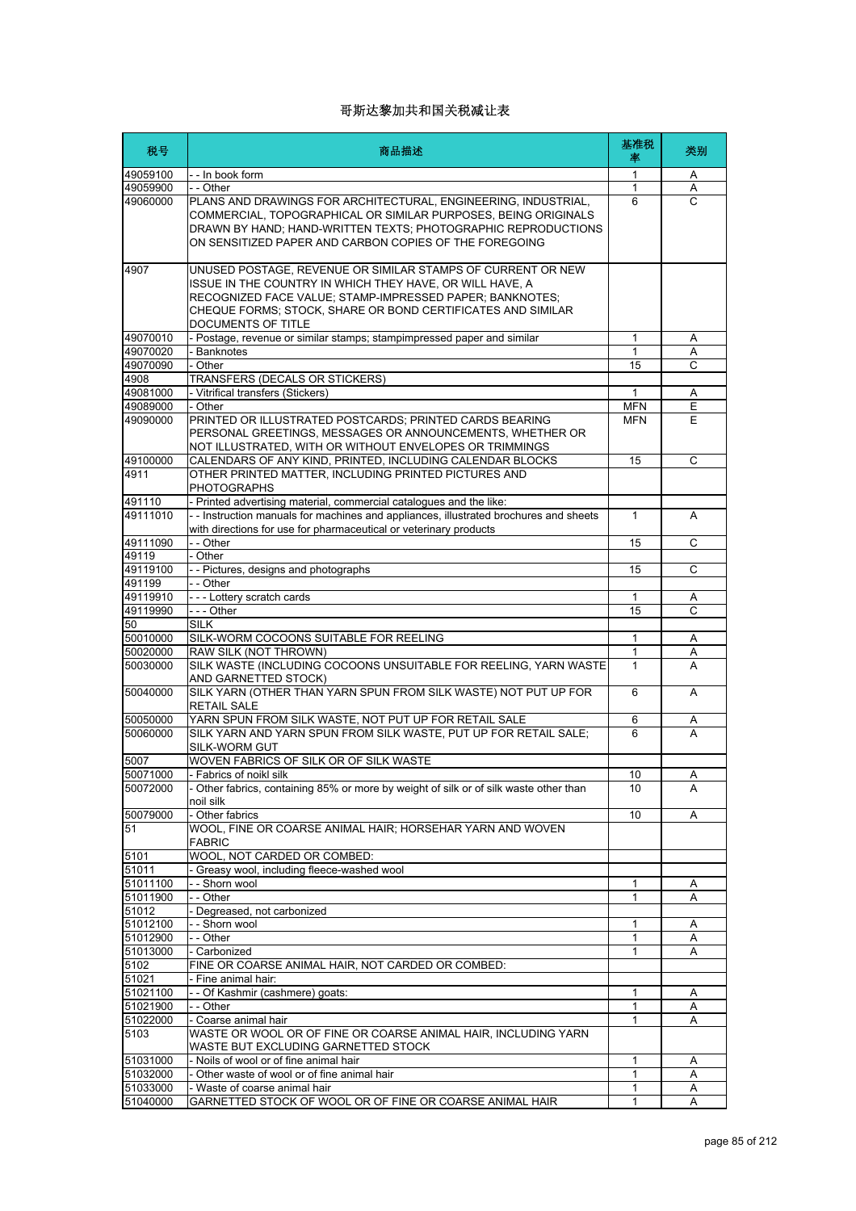| 税号                   | 商品描述                                                                                                                                                                                                                                                                     | 基准税<br>率     | 类别     |
|----------------------|--------------------------------------------------------------------------------------------------------------------------------------------------------------------------------------------------------------------------------------------------------------------------|--------------|--------|
| 49059100             | - - In book form                                                                                                                                                                                                                                                         | 1            | A      |
| 49059900             | - - Other                                                                                                                                                                                                                                                                | $\mathbf{1}$ | A      |
| 49060000             | PLANS AND DRAWINGS FOR ARCHITECTURAL, ENGINEERING, INDUSTRIAL,<br>COMMERCIAL, TOPOGRAPHICAL OR SIMILAR PURPOSES, BEING ORIGINALS<br>DRAWN BY HAND; HAND-WRITTEN TEXTS; PHOTOGRAPHIC REPRODUCTIONS<br>ON SENSITIZED PAPER AND CARBON COPIES OF THE FOREGOING              | 6            | C      |
| 4907                 | UNUSED POSTAGE, REVENUE OR SIMILAR STAMPS OF CURRENT OR NEW<br>ISSUE IN THE COUNTRY IN WHICH THEY HAVE, OR WILL HAVE, A<br>RECOGNIZED FACE VALUE; STAMP-IMPRESSED PAPER; BANKNOTES;<br>CHEQUE FORMS; STOCK, SHARE OR BOND CERTIFICATES AND SIMILAR<br>DOCUMENTS OF TITLE |              |        |
| 49070010             | - Postage, revenue or similar stamps; stampimpressed paper and similar                                                                                                                                                                                                   | 1            | Α      |
| 49070020             | - Banknotes                                                                                                                                                                                                                                                              | $\mathbf{1}$ | A      |
| 49070090<br>4908     | - Other                                                                                                                                                                                                                                                                  | 15           | C      |
| 49081000             | TRANSFERS (DECALS OR STICKERS)<br>- Vitrifical transfers (Stickers)                                                                                                                                                                                                      | 1            | Α      |
| 49089000             | - Other                                                                                                                                                                                                                                                                  | <b>MFN</b>   | E      |
| 49090000             | PRINTED OR ILLUSTRATED POSTCARDS; PRINTED CARDS BEARING<br>PERSONAL GREETINGS, MESSAGES OR ANNOUNCEMENTS, WHETHER OR<br>NOT ILLUSTRATED, WITH OR WITHOUT ENVELOPES OR TRIMMINGS                                                                                          | <b>MFN</b>   | F      |
| 49100000             | CALENDARS OF ANY KIND, PRINTED, INCLUDING CALENDAR BLOCKS                                                                                                                                                                                                                | 15           | C      |
| 4911                 | OTHER PRINTED MATTER, INCLUDING PRINTED PICTURES AND<br><b>PHOTOGRAPHS</b>                                                                                                                                                                                               |              |        |
| 491110               | - Printed advertising material, commercial catalogues and the like:                                                                                                                                                                                                      |              |        |
| 49111010             | - - Instruction manuals for machines and appliances, illustrated brochures and sheets<br>with directions for use for pharmaceutical or veterinary products                                                                                                               | $\mathbf{1}$ | A      |
| 49111090             | - - Other                                                                                                                                                                                                                                                                | 15           | C      |
| 49119                | - Other                                                                                                                                                                                                                                                                  |              |        |
| 49119100             | - - Pictures, designs and photographs                                                                                                                                                                                                                                    | 15           | C      |
| 491199<br>49119910   | - - Other<br>--- Lottery scratch cards                                                                                                                                                                                                                                   | 1            |        |
| 49119990             | --- Other                                                                                                                                                                                                                                                                | 15           | A<br>C |
| 50                   | <b>SILK</b>                                                                                                                                                                                                                                                              |              |        |
| 50010000             | SILK-WORM COCOONS SUITABLE FOR REELING                                                                                                                                                                                                                                   | 1            | Α      |
| 50020000             | RAW SILK (NOT THROWN)                                                                                                                                                                                                                                                    | 1            | Α      |
| 50030000             | SILK WASTE (INCLUDING COCOONS UNSUITABLE FOR REELING, YARN WASTE<br>AND GARNETTED STOCK)                                                                                                                                                                                 | $\mathbf{1}$ | A      |
| 50040000             | SILK YARN (OTHER THAN YARN SPUN FROM SILK WASTE) NOT PUT UP FOR<br><b>RETAIL SALE</b>                                                                                                                                                                                    | 6            | A      |
| 50050000             | YARN SPUN FROM SILK WASTE, NOT PUT UP FOR RETAIL SALE                                                                                                                                                                                                                    | 6            | A      |
| 50060000             | SILK YARN AND YARN SPUN FROM SILK WASTE, PUT UP FOR RETAIL SALE;<br><b>SILK-WORM GUT</b>                                                                                                                                                                                 | 6            | A      |
| 5007                 | WOVEN FABRICS OF SILK OR OF SILK WASTE                                                                                                                                                                                                                                   |              |        |
| 50071000             | - Fabrics of noikl silk                                                                                                                                                                                                                                                  | 10           | A      |
| 50072000             | - Other fabrics, containing 85% or more by weight of silk or of silk waste other than<br>noil silk                                                                                                                                                                       | 10           | A      |
| 50079000             | - Other fabrics                                                                                                                                                                                                                                                          | 10           | Α      |
| 51                   | WOOL, FINE OR COARSE ANIMAL HAIR; HORSEHAR YARN AND WOVEN<br><b>FABRIC</b>                                                                                                                                                                                               |              |        |
| 5101                 | WOOL, NOT CARDED OR COMBED:                                                                                                                                                                                                                                              |              |        |
| 51011                | Greasy wool, including fleece-washed wool                                                                                                                                                                                                                                |              |        |
| 51011100<br>51011900 | - - Shorn wool<br>- - Other                                                                                                                                                                                                                                              | 1<br>1       | Α<br>A |
| 51012                | - Degreased, not carbonized                                                                                                                                                                                                                                              |              |        |
| 51012100             | - - Shorn wool                                                                                                                                                                                                                                                           | 1            | Α      |
| 51012900             | - - Other                                                                                                                                                                                                                                                                | 1            | Α      |
| 51013000             | - Carbonized                                                                                                                                                                                                                                                             | 1            | Α      |
| 5102                 | FINE OR COARSE ANIMAL HAIR, NOT CARDED OR COMBED:                                                                                                                                                                                                                        |              |        |
| 51021                | - Fine animal hair:                                                                                                                                                                                                                                                      |              |        |
| 51021100             | - - Of Kashmir (cashmere) goats:                                                                                                                                                                                                                                         | 1            | Α      |
| 51021900             | - - Other                                                                                                                                                                                                                                                                | 1            | Α      |
| 51022000             | - Coarse animal hair                                                                                                                                                                                                                                                     | 1            | Α      |
| 5103                 | WASTE OR WOOL OR OF FINE OR COARSE ANIMAL HAIR, INCLUDING YARN<br>WASTE BUT EXCLUDING GARNETTED STOCK                                                                                                                                                                    |              |        |
| 51031000             | - Noils of wool or of fine animal hair                                                                                                                                                                                                                                   | 1            | Α      |
| 51032000<br>51033000 | - Other waste of wool or of fine animal hair<br>- Waste of coarse animal hair                                                                                                                                                                                            | 1<br>1       | Α<br>Α |
| 51040000             | GARNETTED STOCK OF WOOL OR OF FINE OR COARSE ANIMAL HAIR                                                                                                                                                                                                                 | 1            | A      |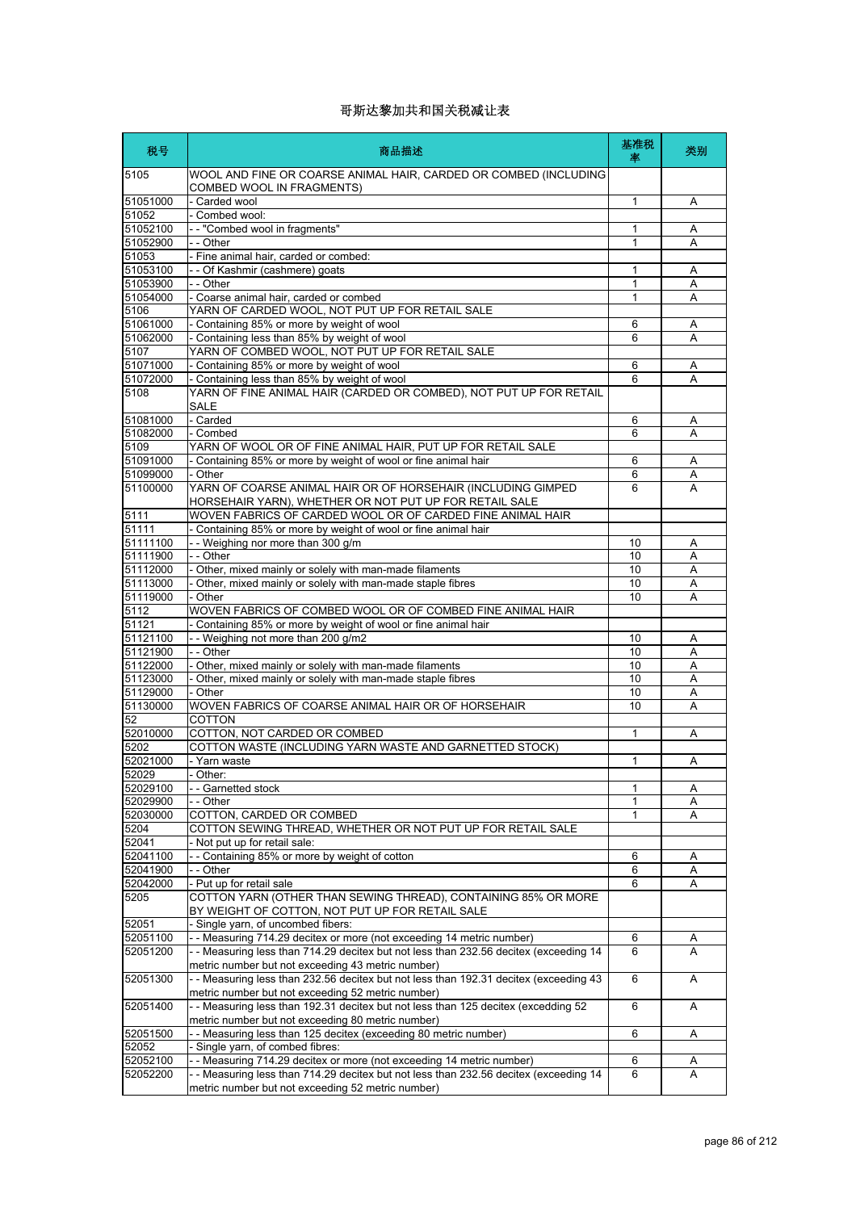| 税号                   | 商品描述                                                                                                                                       | 基准税<br>率 | 类别     |
|----------------------|--------------------------------------------------------------------------------------------------------------------------------------------|----------|--------|
| 5105                 | WOOL AND FINE OR COARSE ANIMAL HAIR, CARDED OR COMBED (INCLUDING<br>COMBED WOOL IN FRAGMENTS)                                              |          |        |
| 51051000             | - Carded wool                                                                                                                              | 1        | Α      |
| 51052<br>51052100    | - Combed wool:                                                                                                                             |          |        |
| 51052900             | -- "Combed wool in fragments"<br>- - Other                                                                                                 | 1<br>1   | Α<br>A |
| 51053                | - Fine animal hair, carded or combed:                                                                                                      |          |        |
| 51053100             | - - Of Kashmir (cashmere) goats                                                                                                            | 1        | Α      |
| 51053900             | - - Other                                                                                                                                  | 1        | Α      |
| 51054000             | - Coarse animal hair, carded or combed                                                                                                     | 1        | Α      |
| 5106                 | YARN OF CARDED WOOL, NOT PUT UP FOR RETAIL SALE                                                                                            |          |        |
| 51061000             | - Containing 85% or more by weight of wool                                                                                                 | 6        | Α      |
| 51062000             | - Containing less than 85% by weight of wool                                                                                               | 6        | Α      |
| 5107                 | YARN OF COMBED WOOL, NOT PUT UP FOR RETAIL SALE                                                                                            |          |        |
| 51071000             | - Containing 85% or more by weight of wool                                                                                                 | 6        | Α      |
| 51072000<br>5108     | - Containing less than 85% by weight of wool<br>YARN OF FINE ANIMAL HAIR (CARDED OR COMBED), NOT PUT UP FOR RETAIL                         | 6        | A      |
|                      | <b>SALE</b>                                                                                                                                |          |        |
| 51081000             | - Carded                                                                                                                                   | 6        | Α      |
| 51082000             | - Combed                                                                                                                                   | 6        | Α      |
| 5109<br>51091000     | YARN OF WOOL OR OF FINE ANIMAL HAIR, PUT UP FOR RETAIL SALE                                                                                |          |        |
| 51099000             | - Containing 85% or more by weight of wool or fine animal hair<br>- Other                                                                  | 6<br>6   | Α<br>Α |
| 51100000             | YARN OF COARSE ANIMAL HAIR OR OF HORSEHAIR (INCLUDING GIMPED                                                                               | 6        | A      |
|                      | HORSEHAIR YARN), WHETHER OR NOT PUT UP FOR RETAIL SALE                                                                                     |          |        |
| 5111<br>51111        | WOVEN FABRICS OF CARDED WOOL OR OF CARDED FINE ANIMAL HAIR<br>- Containing 85% or more by weight of wool or fine animal hair               |          |        |
| 51111100             | -- Weighing nor more than 300 g/m                                                                                                          | 10       | Α      |
| 51111900             | - - Other                                                                                                                                  | 10       | Α      |
| 51112000             | - Other, mixed mainly or solely with man-made filaments                                                                                    | 10       | A      |
| 51113000             | - Other, mixed mainly or solely with man-made staple fibres                                                                                | 10       | A      |
| 51119000             | - Other                                                                                                                                    | 10       | Α      |
| 5112                 | WOVEN FABRICS OF COMBED WOOL OR OF COMBED FINE ANIMAL HAIR                                                                                 |          |        |
| 51121                | - Containing 85% or more by weight of wool or fine animal hair                                                                             |          |        |
| 51121100             | -- Weighing not more than 200 g/m2                                                                                                         | 10       | Α      |
| 51121900             | - - Other                                                                                                                                  | 10       | A      |
| 51122000             | - Other, mixed mainly or solely with man-made filaments                                                                                    | 10       | Α      |
| 51123000<br>51129000 | - Other, mixed mainly or solely with man-made staple fibres<br>- Other                                                                     | 10<br>10 | Α      |
| 51130000             | WOVEN FABRICS OF COARSE ANIMAL HAIR OR OF HORSEHAIR                                                                                        | 10       | Α<br>Α |
| 52                   | COTTON                                                                                                                                     |          |        |
| 52010000             | COTTON, NOT CARDED OR COMBED                                                                                                               | 1        | Α      |
| 5202                 | COTTON WASTE (INCLUDING YARN WASTE AND GARNETTED STOCK)                                                                                    |          |        |
| 52021000             | - Yarn waste                                                                                                                               | 1        | A      |
| 52029                | - Other:                                                                                                                                   |          |        |
| 52029100             | -- Garnetted stock                                                                                                                         | 1        | Α      |
| 52029900             | - Other                                                                                                                                    | 1        | Α      |
| 52030000             | COTTON, CARDED OR COMBED                                                                                                                   | 1        | Α      |
| 5204<br>52041        | COTTON SEWING THREAD, WHETHER OR NOT PUT UP FOR RETAIL SALE<br>- Not put up for retail sale:                                               |          |        |
| 52041100             | -- Containing 85% or more by weight of cotton                                                                                              | 6        | Α      |
| 52041900             | - - Other                                                                                                                                  | 6        | Α      |
| 52042000             | - Put up for retail sale                                                                                                                   | 6        | Α      |
| 5205                 | COTTON YARN (OTHER THAN SEWING THREAD), CONTAINING 85% OR MORE                                                                             |          |        |
|                      | BY WEIGHT OF COTTON, NOT PUT UP FOR RETAIL SALE                                                                                            |          |        |
| 52051                | Single yarn, of uncombed fibers:                                                                                                           |          |        |
| 52051100             | - Measuring 714.29 decitex or more (not exceeding 14 metric number)                                                                        | 6        | A      |
| 52051200             | - - Measuring less than 714.29 decitex but not less than 232.56 decitex (exceeding 14<br>metric number but not exceeding 43 metric number) | 6        | A      |
| 52051300             | - - Measuring less than 232.56 decitex but not less than 192.31 decitex (exceeding 43                                                      | 6        | Α      |
| 52051400             | metric number but not exceeding 52 metric number)<br>- - Measuring less than 192.31 decitex but not less than 125 decitex (excedding 52    | 6        | A      |
|                      | metric number but not exceeding 80 metric number)                                                                                          |          |        |
| 52051500<br>52052    | - - Measuring less than 125 decitex (exceeding 80 metric number)<br>- Single yarn, of combed fibres:                                       | 6        | Α      |
| 52052100             | -- Measuring 714.29 decitex or more (not exceeding 14 metric number)                                                                       | 6        | A      |
| 52052200             | - - Measuring less than 714.29 decitex but not less than 232.56 decitex (exceeding 14                                                      | 6        | A      |
|                      | metric number but not exceeding 52 metric number)                                                                                          |          |        |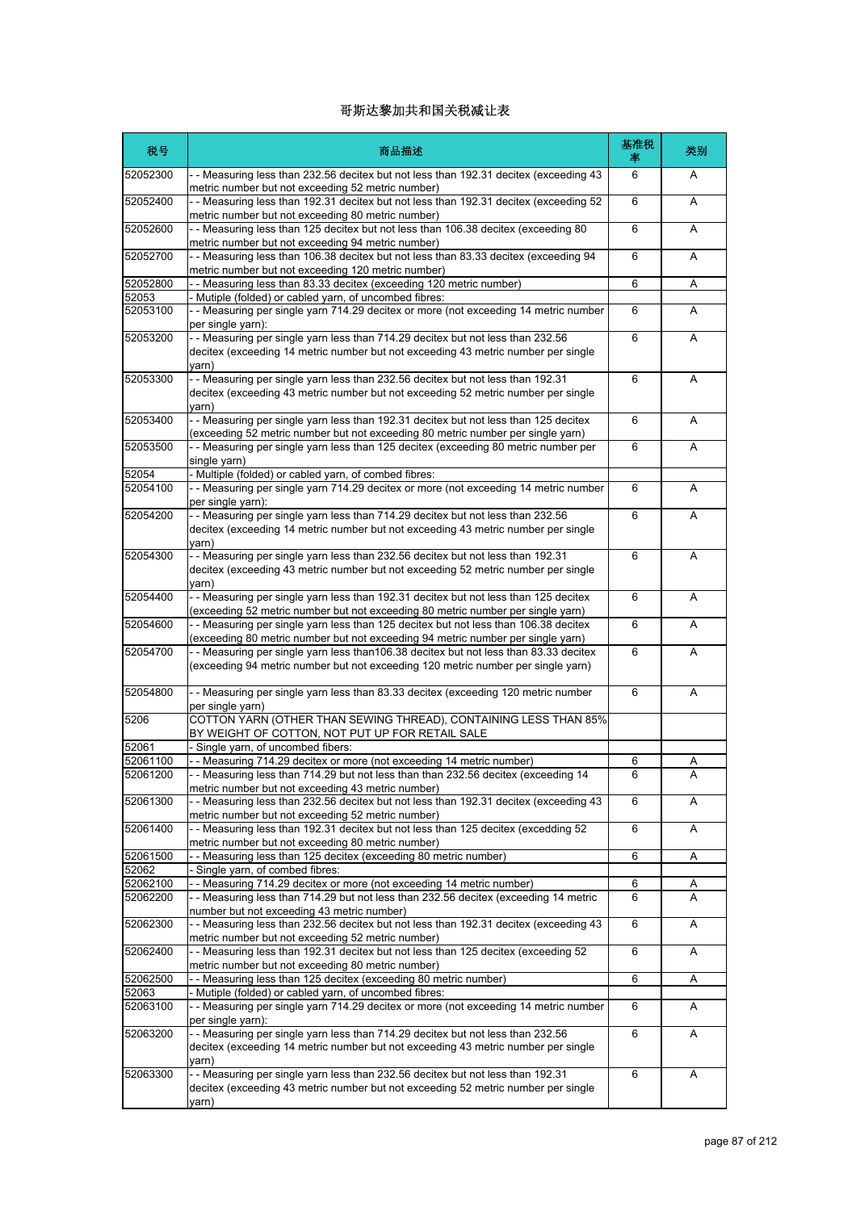| 税号                   | 商品描述                                                                                                                                                                                    | 基准税<br>率 | 类别     |
|----------------------|-----------------------------------------------------------------------------------------------------------------------------------------------------------------------------------------|----------|--------|
| 52052300             | - - Measuring less than 232.56 decitex but not less than 192.31 decitex (exceeding 43<br>metric number but not exceeding 52 metric number)                                              | 6        | A      |
| 52052400             | - - Measuring less than 192.31 decitex but not less than 192.31 decitex (exceeding 52<br>metric number but not exceeding 80 metric number)                                              | 6        | A      |
| 52052600             | -- Measuring less than 125 decitex but not less than 106.38 decitex (exceeding 80<br>metric number but not exceeding 94 metric number)                                                  | 6        | A      |
| 52052700             | - - Measuring less than 106.38 decitex but not less than 83.33 decitex (exceeding 94<br>metric number but not exceeding 120 metric number)                                              | 6        | A      |
| 52052800<br>52053    | -- Measuring less than 83.33 decitex (exceeding 120 metric number)<br>Mutiple (folded) or cabled yarn, of uncombed fibres:                                                              | 6        | Α      |
| 52053100             | - - Measuring per single yarn 714.29 decitex or more (not exceeding 14 metric number<br>per single yarn):                                                                               | 6        | A      |
| 52053200             | -- Measuring per single yarn less than 714.29 decitex but not less than 232.56<br>decitex (exceeding 14 metric number but not exceeding 43 metric number per single<br>varn)            | 6        | Α      |
| 52053300             | -- Measuring per single yarn less than 232.56 decitex but not less than 192.31<br>decitex (exceeding 43 metric number but not exceeding 52 metric number per single<br>yarn)            | 6        | A      |
| 52053400             | - Measuring per single yarn less than 192.31 decitex but not less than 125 decitex<br>(exceeding 52 metric number but not exceeding 80 metric number per single yarn)                   | 6        | A      |
| 52053500             | -- Measuring per single yarn less than 125 decitex (exceeding 80 metric number per<br>single yarn)                                                                                      | 6        | Α      |
| 52054<br>52054100    | Multiple (folded) or cabled yarn, of combed fibres:<br>- - Measuring per single yarn 714.29 decitex or more (not exceeding 14 metric number                                             | 6        | A      |
| 52054200             | per single yarn):<br>- Measuring per single yarn less than 714.29 decitex but not less than 232.56                                                                                      | 6        | A      |
|                      | decitex (exceeding 14 metric number but not exceeding 43 metric number per single<br>varn)                                                                                              |          |        |
| 52054300             | - - Measuring per single yarn less than 232.56 decitex but not less than 192.31<br>decitex (exceeding 43 metric number but not exceeding 52 metric number per single<br>varn)           | 6        | A      |
| 52054400             | -- Measuring per single yarn less than 192.31 decitex but not less than 125 decitex<br>(exceeding 52 metric number but not exceeding 80 metric number per single yarn)                  | 6        | A      |
| 52054600             | - - Measuring per single yarn less than 125 decitex but not less than 106.38 decitex<br>(exceeding 80 metric number but not exceeding 94 metric number per single yarn)                 | 6        | A      |
| 52054700             | - - Measuring per single yarn less than 106.38 decitex but not less than 83.33 decitex<br>(exceeding 94 metric number but not exceeding 120 metric number per single yarn)              | 6        | A      |
| 52054800             | - - Measuring per single yarn less than 83.33 decitex (exceeding 120 metric number<br>per single yarn)                                                                                  | 6        | A      |
| 5206                 | COTTON YARN (OTHER THAN SEWING THREAD), CONTAINING LESS THAN 85%<br>BY WEIGHT OF COTTON, NOT PUT UP FOR RETAIL SALE                                                                     |          |        |
| 52061                | Single yarn, of uncombed fibers:<br>- - Measuring 714.29 decitex or more (not exceeding 14 metric number)                                                                               |          |        |
| 52061100<br>52061200 | - Measuring less than 714.29 but not less than than 232.56 decitex (exceeding 14                                                                                                        | 6<br>6   | Α<br>Α |
| 52061300             | metric number but not exceeding 43 metric number)<br>- - Measuring less than 232.56 decitex but not less than 192.31 decitex (exceeding 43                                              | 6        | A      |
| 52061400             | metric number but not exceeding 52 metric number)<br>- - Measuring less than 192.31 decitex but not less than 125 decitex (excedding 52                                                 | 6        | Α      |
|                      | metric number but not exceeding 80 metric number)                                                                                                                                       |          |        |
| 52061500<br>52062    | - - Measuring less than 125 decitex (exceeding 80 metric number)<br>- Single yarn, of combed fibres:                                                                                    | 6        | Α      |
| 52062100             | - - Measuring 714.29 decitex or more (not exceeding 14 metric number)                                                                                                                   | 6        | Α      |
| 52062200             | -- Measuring less than 714.29 but not less than 232.56 decitex (exceeding 14 metric<br>number but not exceeding 43 metric number)                                                       | 6        | A      |
| 52062300             | - - Measuring less than 232.56 decitex but not less than 192.31 decitex (exceeding 43<br>metric number but not exceeding 52 metric number)                                              | 6        | Α      |
| 52062400             | - - Measuring less than 192.31 decitex but not less than 125 decitex (exceeding 52<br>metric number but not exceeding 80 metric number)                                                 | 6        | Α      |
| 52062500             | - - Measuring less than 125 decitex (exceeding 80 metric number)                                                                                                                        | 6        | Α      |
| 52063<br>52063100    | - Mutiple (folded) or cabled yarn, of uncombed fibres:<br>- - Measuring per single yarn 714.29 decitex or more (not exceeding 14 metric number                                          | 6        | Α      |
| 52063200             | per single yarn):<br>- Measuring per single yarn less than 714.29 decitex but not less than 232.56<br>decitex (exceeding 14 metric number but not exceeding 43 metric number per single | 6        | A      |
| 52063300             | varn)<br>- - Measuring per single yarn less than 232.56 decitex but not less than 192.31<br>decitex (exceeding 43 metric number but not exceeding 52 metric number per single<br>yarn)  | 6        | A      |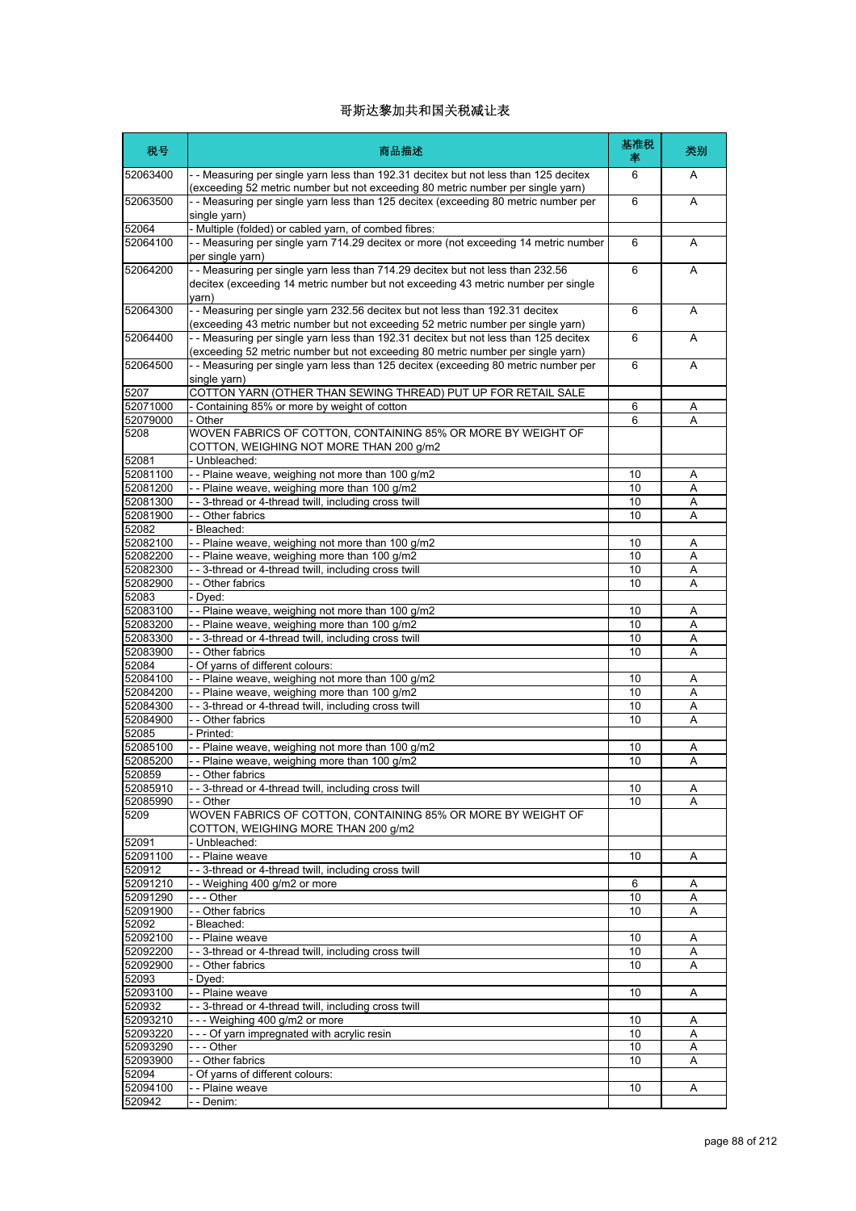| 税号                   | 商品描述                                                                                                                                                                      | 基准税<br>率 | 类别     |
|----------------------|---------------------------------------------------------------------------------------------------------------------------------------------------------------------------|----------|--------|
| 52063400             | - - Measuring per single yarn less than 192.31 decitex but not less than 125 decitex<br>(exceeding 52 metric number but not exceeding 80 metric number per single yarn)   | 6        | A      |
| 52063500             | - - Measuring per single yarn less than 125 decitex (exceeding 80 metric number per<br>single yarn)                                                                       | 6        | A      |
| 52064                | - Multiple (folded) or cabled yarn, of combed fibres:                                                                                                                     |          |        |
| 52064100             | - - Measuring per single yarn 714.29 decitex or more (not exceeding 14 metric number<br>per single yarn)                                                                  | 6        | A      |
| 52064200             | - - Measuring per single yarn less than 714.29 decitex but not less than 232.56<br>decitex (exceeding 14 metric number but not exceeding 43 metric number per single      | 6        | A      |
| 52064300             | varn)<br>- - Measuring per single yarn 232.56 decitex but not less than 192.31 decitex<br>(exceeding 43 metric number but not exceeding 52 metric number per single yarn) | 6        | A      |
| 52064400             | - - Measuring per single yarn less than 192.31 decitex but not less than 125 decitex                                                                                      | 6        | A      |
| 52064500             | (exceeding 52 metric number but not exceeding 80 metric number per single yarn)<br>- - Measuring per single yarn less than 125 decitex (exceeding 80 metric number per    | 6        | A      |
| 5207                 | single yarn)<br>COTTON YARN (OTHER THAN SEWING THREAD) PUT UP FOR RETAIL SALE                                                                                             |          |        |
| 52071000             | - Containing 85% or more by weight of cotton                                                                                                                              | 6        | Α      |
| 52079000             | - Other                                                                                                                                                                   | 6        | Α      |
| 5208                 | WOVEN FABRICS OF COTTON, CONTAINING 85% OR MORE BY WEIGHT OF<br>COTTON, WEIGHING NOT MORE THAN 200 g/m2                                                                   |          |        |
| 52081                | - Unbleached:                                                                                                                                                             |          |        |
| 52081100<br>52081200 | -- Plaine weave, weighing not more than 100 g/m2                                                                                                                          | 10<br>10 | Α      |
| 52081300             | - - Plaine weave, weighing more than 100 g/m2<br>- - 3-thread or 4-thread twill, including cross twill                                                                    | 10       | Α<br>Α |
| 52081900             | - - Other fabrics                                                                                                                                                         | 10       | A      |
| 52082                | - Bleached:                                                                                                                                                               |          |        |
| 52082100             | -- Plaine weave, weighing not more than 100 g/m2                                                                                                                          | 10       | A      |
| 52082200             | -- Plaine weave, weighing more than 100 g/m2                                                                                                                              | 10       | Α      |
| 52082300             | -- 3-thread or 4-thread twill, including cross twill                                                                                                                      | 10       | Α      |
| 52082900             | - - Other fabrics                                                                                                                                                         | 10       | A      |
| 52083                | - Dyed:                                                                                                                                                                   |          |        |
| 52083100             | -- Plaine weave, weighing not more than 100 g/m2                                                                                                                          | 10       | Α      |
| 52083200             | -- Plaine weave, weighing more than 100 g/m2                                                                                                                              | 10       | Α      |
| 52083300             | - - 3-thread or 4-thread twill, including cross twill                                                                                                                     | 10       | Α      |
| 52083900<br>52084    | - - Other fabrics<br>- Of yarns of different colours:                                                                                                                     | 10       | Α      |
| 52084100             | -- Plaine weave, weighing not more than 100 g/m2                                                                                                                          | 10       | A      |
| 52084200             | -- Plaine weave, weighing more than 100 g/m2                                                                                                                              | 10       | Α      |
| 52084300             | - - 3-thread or 4-thread twill, including cross twill                                                                                                                     | 10       | Α      |
| 52084900             | - - Other fabrics                                                                                                                                                         | 10       | A      |
| 52085                | - Printed:                                                                                                                                                                |          |        |
| 52085100             | -- Plaine weave, weighing not more than 100 g/m2                                                                                                                          | 10       | Α      |
| 52085200             | - Plaine weave, weighing more than 100 g/m2                                                                                                                               | 10       | Α      |
| 520859               | Other fabrics                                                                                                                                                             |          |        |
| 52085910             | -- 3-thread or 4-thread twill, including cross twill                                                                                                                      | 10       | Α      |
| 52085990             | - - Other                                                                                                                                                                 | 10       | A      |
| 5209<br>52091        | WOVEN FABRICS OF COTTON, CONTAINING 85% OR MORE BY WEIGHT OF<br>COTTON, WEIGHING MORE THAN 200 g/m2<br>- Unbleached:                                                      |          |        |
| 52091100             | - - Plaine weave                                                                                                                                                          | 10       | Α      |
| 520912               | - - 3-thread or 4-thread twill, including cross twill                                                                                                                     |          |        |
| 52091210             | -- Weighing 400 g/m2 or more                                                                                                                                              | 6        | A      |
| 52091290             | --- Other                                                                                                                                                                 | 10       | Α      |
| 52091900             | - - Other fabrics                                                                                                                                                         | 10       | Α      |
| 52092                | - Bleached:                                                                                                                                                               |          |        |
| 52092100             | - - Plaine weave                                                                                                                                                          | 10       | Α      |
| 52092200             | -- 3-thread or 4-thread twill, including cross twill                                                                                                                      | 10       | Α      |
| 52092900             | - - Other fabrics                                                                                                                                                         | 10       | A      |
| 52093<br>52093100    | - Dyed:<br>- - Plaine weave                                                                                                                                               | 10       |        |
| 520932               | - - 3-thread or 4-thread twill, including cross twill                                                                                                                     |          | Α      |
| 52093210             | --- Weighing 400 g/m2 or more                                                                                                                                             | 10       | Α      |
| 52093220             | --- Of yarn impregnated with acrylic resin                                                                                                                                | 10       | Α      |
| 52093290             | --- Other                                                                                                                                                                 | 10       | Α      |
| 52093900             | - - Other fabrics                                                                                                                                                         | 10       | A      |
| 52094                | - Of yarns of different colours:                                                                                                                                          |          |        |
| 52094100             | - - Plaine weave                                                                                                                                                          | 10       | Α      |
| 520942               | - - Denim:                                                                                                                                                                |          |        |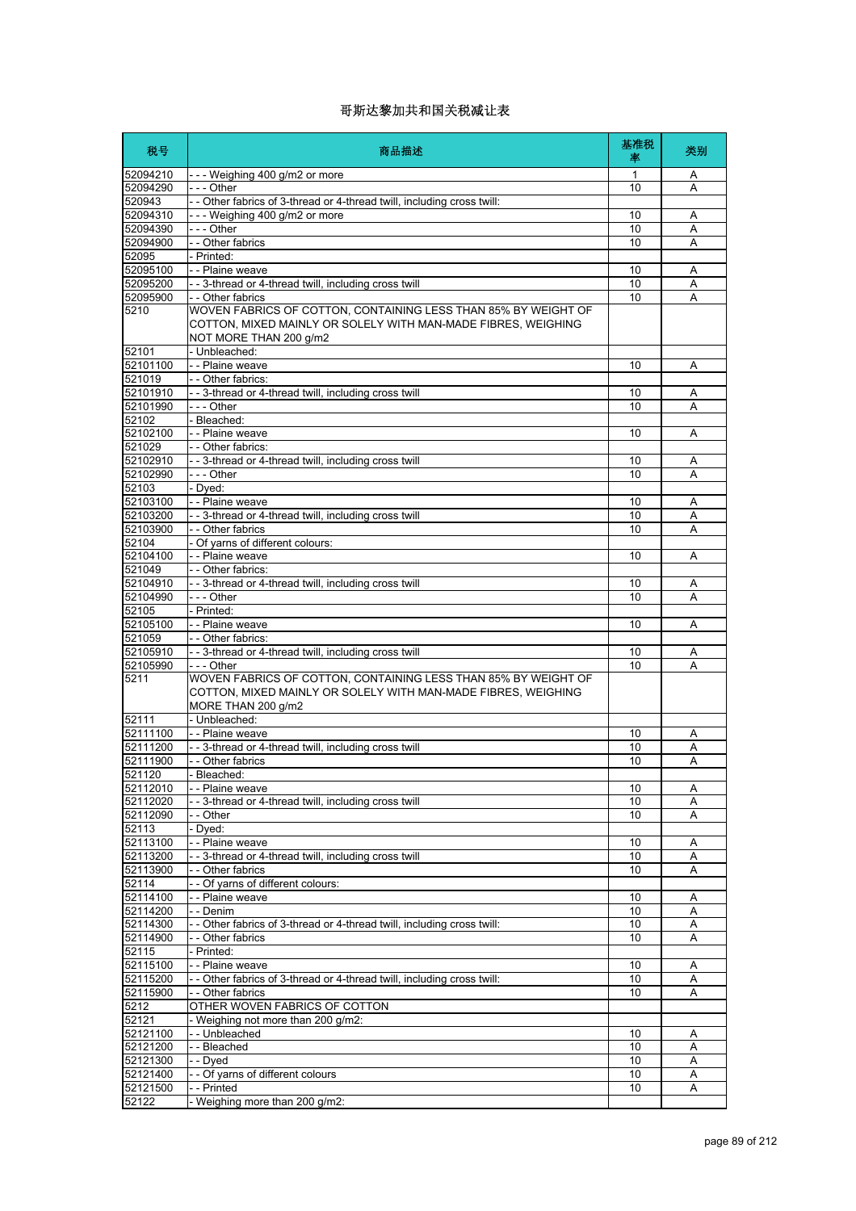| 税号                   | 商品描述                                                                                                                                                      | 基准税<br>率 | 类别     |
|----------------------|-----------------------------------------------------------------------------------------------------------------------------------------------------------|----------|--------|
| 52094210             | $- -$ Weighing 400 g/m2 or more                                                                                                                           | 1        | Α      |
| 52094290             | --- Other                                                                                                                                                 | 10       | Α      |
| 520943               | - Other fabrics of 3-thread or 4-thread twill, including cross twill:                                                                                     |          |        |
| 52094310             | --- Weighing 400 g/m2 or more                                                                                                                             | 10       | Α      |
| 52094390             | $- -$ Other                                                                                                                                               | 10       | Α      |
| 52094900             | -- Other fabrics                                                                                                                                          | 10       | Α      |
| 52095                | - Printed:                                                                                                                                                |          |        |
| 52095100<br>52095200 | - - Plaine weave<br>- - 3-thread or 4-thread twill, including cross twill                                                                                 | 10<br>10 | Α<br>A |
| 52095900             | - - Other fabrics                                                                                                                                         | 10       | Α      |
| 5210                 | WOVEN FABRICS OF COTTON, CONTAINING LESS THAN 85% BY WEIGHT OF<br>COTTON, MIXED MAINLY OR SOLELY WITH MAN-MADE FIBRES, WEIGHING<br>NOT MORE THAN 200 g/m2 |          |        |
| 52101                | - Unbleached:                                                                                                                                             |          |        |
| 52101100             | - - Plaine weave                                                                                                                                          | 10       | Α      |
| 521019               | - - Other fabrics:                                                                                                                                        |          |        |
| 52101910             | - - 3-thread or 4-thread twill, including cross twill                                                                                                     | 10       | Α      |
| 52101990             | --- Other                                                                                                                                                 | 10       | A      |
| 52102                | - Bleached:                                                                                                                                               |          |        |
| 52102100             | - - Plaine weave                                                                                                                                          | 10       | A      |
| 521029               | - - Other fabrics:                                                                                                                                        |          |        |
| 52102910<br>52102990 | - - 3-thread or 4-thread twill, including cross twill                                                                                                     | 10<br>10 | Α      |
| 52103                | $- -$ Other                                                                                                                                               |          | A      |
|                      | - Dyed:                                                                                                                                                   |          |        |
| 52103100<br>52103200 | - - Plaine weave<br>-- 3-thread or 4-thread twill, including cross twill                                                                                  | 10<br>10 | Α<br>Α |
| 52103900             | - - Other fabrics                                                                                                                                         | 10       | Α      |
| 52104                | - Of yarns of different colours:                                                                                                                          |          |        |
| 52104100             | - - Plaine weave                                                                                                                                          | 10       | Α      |
| 521049               | - - Other fabrics:                                                                                                                                        |          |        |
| 52104910             | - - 3-thread or 4-thread twill, including cross twill                                                                                                     | 10       | Α      |
| 52104990             | - - - Other                                                                                                                                               | 10       | A      |
| 52105                | - Printed:                                                                                                                                                |          |        |
| 52105100             | - - Plaine weave                                                                                                                                          | 10       | Α      |
| 521059               | - - Other fabrics:                                                                                                                                        |          |        |
| 52105910             | - - 3-thread or 4-thread twill, including cross twill                                                                                                     | 10       | Α      |
| 52105990             | - - - Other                                                                                                                                               | 10       | A      |
| 5211                 | WOVEN FABRICS OF COTTON, CONTAINING LESS THAN 85% BY WEIGHT OF<br>COTTON, MIXED MAINLY OR SOLELY WITH MAN-MADE FIBRES, WEIGHING<br>MORE THAN 200 g/m2     |          |        |
| 52111                | - Unbleached:                                                                                                                                             |          |        |
| 52111100<br>52111200 | - - Plaine weave                                                                                                                                          | 10<br>10 | Α      |
| 52111900             | - - 3-thread or 4-thread twill, including cross twill<br>- - Other fabrics                                                                                | 10       | Α<br>Α |
| 521120               | - Bleached:                                                                                                                                               |          |        |
| 52112010             | -- Plaine weave                                                                                                                                           | 10       | Α      |
| 52112020             | --3-thread or 4-thread twill, including cross twill                                                                                                       | 10       | Α      |
| 52112090             | - - Other                                                                                                                                                 | 10       | Α      |
| 52113                | - Dyed:                                                                                                                                                   |          |        |
| 52113100             | - - Plaine weave                                                                                                                                          | 10       | Α      |
| 52113200             | - - 3-thread or 4-thread twill, including cross twill                                                                                                     | 10       | Α      |
| 52113900             | - - Other fabrics                                                                                                                                         | 10       | Α      |
| 52114                | - - Of varns of different colours:                                                                                                                        |          |        |
| 52114100             | - - Plaine weave                                                                                                                                          | 10       | Α      |
| 52114200             | - - Denim                                                                                                                                                 | 10       | Α      |
| 52114300             | - - Other fabrics of 3-thread or 4-thread twill, including cross twill:                                                                                   | 10       | Α      |
| 52114900             | - - Other fabrics                                                                                                                                         | 10       | Α      |
| 52115                | - Printed:                                                                                                                                                |          |        |
| 52115100             | - - Plaine weave                                                                                                                                          | 10       | A      |
| 52115200             | - - Other fabrics of 3-thread or 4-thread twill, including cross twill:                                                                                   | 10       | Α      |
| 52115900             | - - Other fabrics                                                                                                                                         | 10       | A      |
| 5212                 | OTHER WOVEN FABRICS OF COTTON                                                                                                                             |          |        |
| 52121                | - Weighing not more than 200 g/m2:                                                                                                                        |          |        |
| 52121100             | -- Unbleached                                                                                                                                             | 10       | Α      |
| 52121200             | - - Bleached                                                                                                                                              | 10       | Α      |
| 52121300             | - - Dyed                                                                                                                                                  | 10       | Α      |
| 52121400             | - - Of yarns of different colours                                                                                                                         | 10       | Α      |
| 52121500             | -- Printed                                                                                                                                                | 10       | A      |
| 52122                | - Weighing more than 200 g/m2:                                                                                                                            |          |        |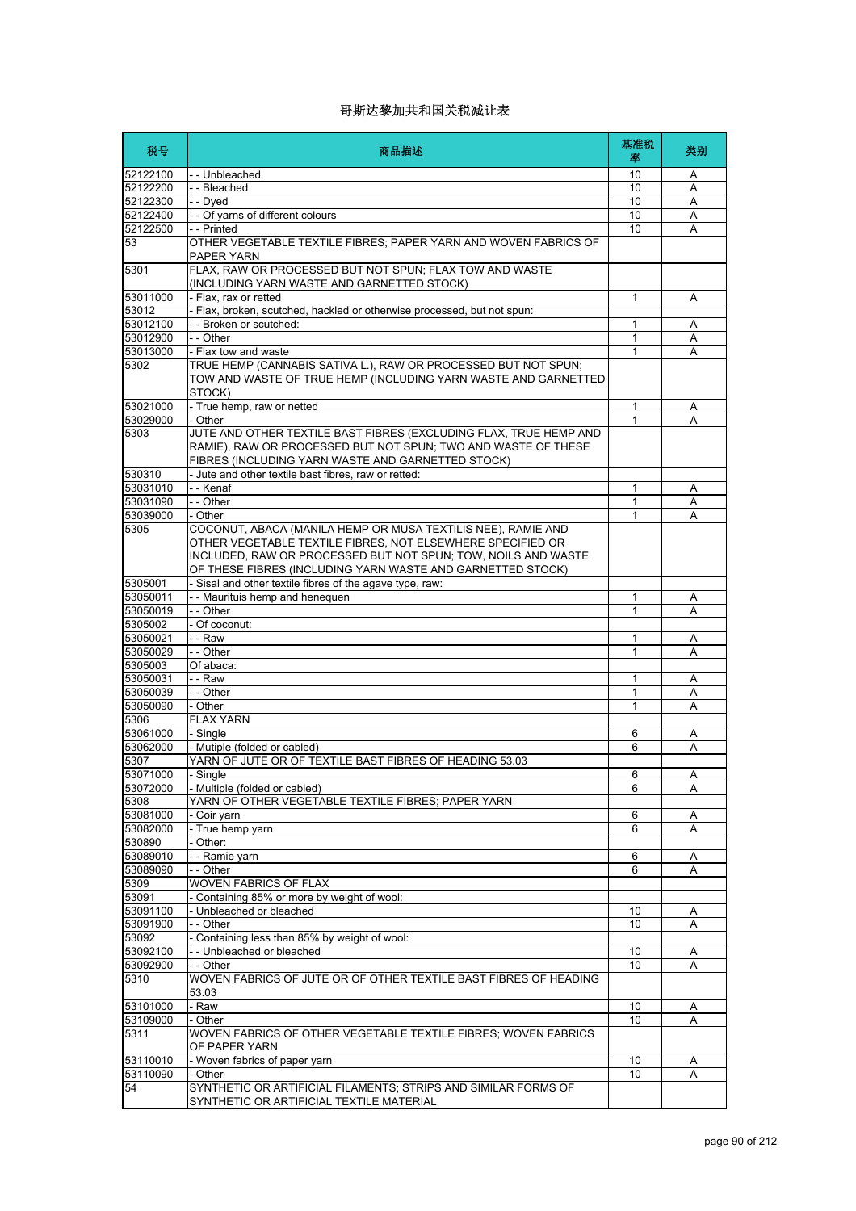| 税号                   | 商品描述                                                                                                                                                                                                                                                      | 基准税<br>率     | 类别     |
|----------------------|-----------------------------------------------------------------------------------------------------------------------------------------------------------------------------------------------------------------------------------------------------------|--------------|--------|
| 52122100             | -- Unbleached                                                                                                                                                                                                                                             | 10           | Α      |
| 52122200             | --Bleached                                                                                                                                                                                                                                                | 10           | A      |
| 52122300             | - - Dyed                                                                                                                                                                                                                                                  | 10           | Α      |
| 52122400             | - - Of yarns of different colours                                                                                                                                                                                                                         | 10           | Α      |
| 52122500             | - - Printed                                                                                                                                                                                                                                               | 10           | Α      |
| 53                   | OTHER VEGETABLE TEXTILE FIBRES; PAPER YARN AND WOVEN FABRICS OF<br>PAPER YARN                                                                                                                                                                             |              |        |
| 5301                 | FLAX, RAW OR PROCESSED BUT NOT SPUN; FLAX TOW AND WASTE<br>(INCLUDING YARN WASTE AND GARNETTED STOCK)                                                                                                                                                     |              |        |
| 53011000             | - Flax, rax or retted                                                                                                                                                                                                                                     | 1            | Α      |
| 53012                | Flax, broken, scutched, hackled or otherwise processed, but not spun:                                                                                                                                                                                     |              |        |
| 53012100             | - - Broken or scutched:                                                                                                                                                                                                                                   | 1            | A      |
| 53012900             | - - Other                                                                                                                                                                                                                                                 | 1            | Α      |
| 53013000             | - Flax tow and waste                                                                                                                                                                                                                                      | 1            | A      |
| 5302                 | TRUE HEMP (CANNABIS SATIVA L.), RAW OR PROCESSED BUT NOT SPUN;<br>TOW AND WASTE OF TRUE HEMP (INCLUDING YARN WASTE AND GARNETTED<br>STOCK)                                                                                                                |              |        |
| 53021000             | - True hemp, raw or netted                                                                                                                                                                                                                                | $\mathbf{1}$ | A      |
| 53029000             | - Other                                                                                                                                                                                                                                                   | 1            | A      |
| 5303                 | JUTE AND OTHER TEXTILE BAST FIBRES (EXCLUDING FLAX, TRUE HEMP AND<br>RAMIE). RAW OR PROCESSED BUT NOT SPUN: TWO AND WASTE OF THESE<br>FIBRES (INCLUDING YARN WASTE AND GARNETTED STOCK)                                                                   |              |        |
| 530310               | - Jute and other textile bast fibres, raw or retted:                                                                                                                                                                                                      |              |        |
| 53031010             | - - Kenaf                                                                                                                                                                                                                                                 | 1            | Α      |
| 53031090             | - - Other                                                                                                                                                                                                                                                 | 1            | A      |
| 53039000             | - Other                                                                                                                                                                                                                                                   | 1            | A      |
| 5305                 | COCONUT, ABACA (MANILA HEMP OR MUSA TEXTILIS NEE), RAMIE AND<br>OTHER VEGETABLE TEXTILE FIBRES, NOT ELSEWHERE SPECIFIED OR<br>INCLUDED, RAW OR PROCESSED BUT NOT SPUN; TOW, NOILS AND WASTE<br>OF THESE FIBRES (INCLUDING YARN WASTE AND GARNETTED STOCK) |              |        |
| 5305001              | - Sisal and other textile fibres of the agave type, raw:                                                                                                                                                                                                  |              |        |
| 53050011             | -- Maurituis hemp and henequen                                                                                                                                                                                                                            | 1            | A      |
| 53050019             | - - Other                                                                                                                                                                                                                                                 | 1            | A      |
| 5305002              | - Of coconut:                                                                                                                                                                                                                                             |              |        |
| 53050021             | - - Raw                                                                                                                                                                                                                                                   | 1            | Α      |
| 53050029             | - - Other                                                                                                                                                                                                                                                 | 1            | A      |
| 5305003              | Of abaca:                                                                                                                                                                                                                                                 |              |        |
| 53050031             | - - Raw                                                                                                                                                                                                                                                   | 1            | Α      |
| 53050039             | - - Other                                                                                                                                                                                                                                                 | 1            | Α      |
| 53050090             | - Other                                                                                                                                                                                                                                                   | 1            | Α      |
| 5306                 | <b>FLAX YARN</b>                                                                                                                                                                                                                                          |              |        |
| 53061000             | - Single                                                                                                                                                                                                                                                  | 6            | Α      |
| 53062000             | - Mutiple (folded or cabled)                                                                                                                                                                                                                              | 6            | Α      |
| 5307                 | YARN OF JUTE OR OF TEXTILE BAST FIBRES OF HEADING 53.03                                                                                                                                                                                                   |              |        |
| 53071000             | - Sinale                                                                                                                                                                                                                                                  | 6            | Α      |
| 53072000             | - Multiple (folded or cabled)                                                                                                                                                                                                                             | 6            | Α      |
| 5308                 | YARN OF OTHER VEGETABLE TEXTILE FIBRES; PAPER YARN                                                                                                                                                                                                        |              |        |
| 53081000             | - Coir yarn                                                                                                                                                                                                                                               | 6            | Α      |
| 53082000             | - True hemp yarn                                                                                                                                                                                                                                          | 6            | A      |
| 530890               | Other:                                                                                                                                                                                                                                                    |              |        |
| 53089010             | - - Ramie yarn                                                                                                                                                                                                                                            | 6            | Α      |
| 53089090             | - - Other                                                                                                                                                                                                                                                 | 6            | A      |
| 5309                 | WOVEN FABRICS OF FLAX                                                                                                                                                                                                                                     |              |        |
| 53091                | - Containing 85% or more by weight of wool:                                                                                                                                                                                                               |              |        |
| 53091100             | - Unbleached or bleached                                                                                                                                                                                                                                  | 10           | A      |
| 53091900             | - - Other<br>- Containing less than 85% by weight of wool:                                                                                                                                                                                                | 10           | A      |
| 53092                | -- Unbleached or bleached                                                                                                                                                                                                                                 |              |        |
| 53092100<br>53092900 | - - Other                                                                                                                                                                                                                                                 | 10<br>10     | Α<br>A |
| 5310                 | WOVEN FABRICS OF JUTE OR OF OTHER TEXTILE BAST FIBRES OF HEADING<br>53.03                                                                                                                                                                                 |              |        |
| 53101000             | - Raw                                                                                                                                                                                                                                                     | 10           | A      |
| 53109000             | - Other                                                                                                                                                                                                                                                   | 10           | Α      |
| 5311                 | WOVEN FABRICS OF OTHER VEGETABLE TEXTILE FIBRES; WOVEN FABRICS<br>OF PAPER YARN                                                                                                                                                                           |              |        |
| 53110010             | - Woven fabrics of paper yarn                                                                                                                                                                                                                             | 10           | Α      |
| 53110090             | - Other                                                                                                                                                                                                                                                   | 10           | Α      |
| 54                   | SYNTHETIC OR ARTIFICIAL FILAMENTS; STRIPS AND SIMILAR FORMS OF                                                                                                                                                                                            |              |        |
|                      | SYNTHETIC OR ARTIFICIAL TEXTILE MATERIAL                                                                                                                                                                                                                  |              |        |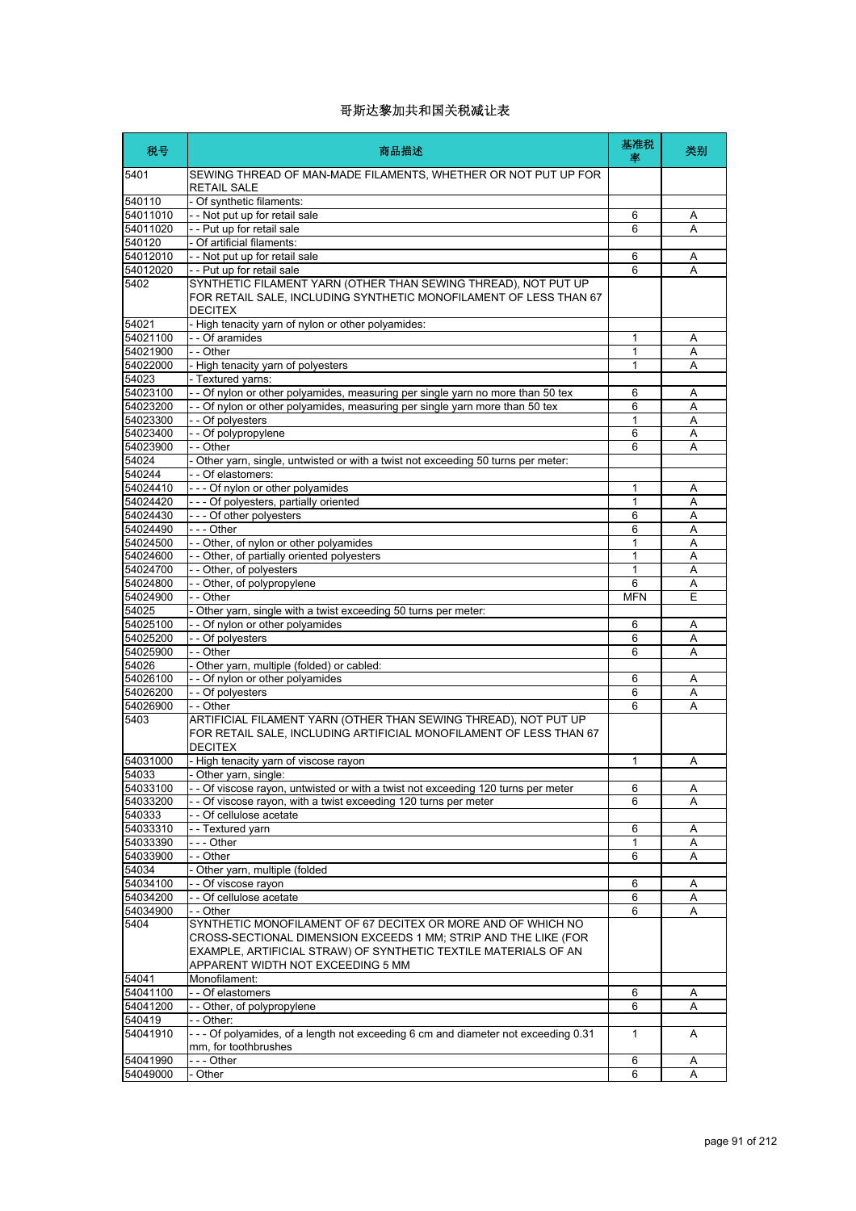| 税号                   | 商品描述                                                                                                                                                                                                                                    | 基准税<br>率   | 类别     |
|----------------------|-----------------------------------------------------------------------------------------------------------------------------------------------------------------------------------------------------------------------------------------|------------|--------|
| 5401                 | SEWING THREAD OF MAN-MADE FILAMENTS, WHETHER OR NOT PUT UP FOR<br><b>RETAIL SALE</b>                                                                                                                                                    |            |        |
| 540110               | - Of synthetic filaments:                                                                                                                                                                                                               |            |        |
| 54011010             | - - Not put up for retail sale                                                                                                                                                                                                          | 6          | Α      |
| 54011020             | - - Put up for retail sale                                                                                                                                                                                                              | 6          | A      |
| 540120               | - Of artificial filaments:                                                                                                                                                                                                              |            |        |
| 54012010             | - - Not put up for retail sale                                                                                                                                                                                                          | 6          | Α      |
| 54012020             | - - Put up for retail sale                                                                                                                                                                                                              | 6          | A      |
| 5402                 | SYNTHETIC FILAMENT YARN (OTHER THAN SEWING THREAD), NOT PUT UP<br>FOR RETAIL SALE, INCLUDING SYNTHETIC MONOFILAMENT OF LESS THAN 67<br><b>DECITEX</b>                                                                                   |            |        |
| 54021                | - High tenacity yarn of nylon or other polyamides:                                                                                                                                                                                      |            |        |
| 54021100             | - - Of aramides                                                                                                                                                                                                                         | 1          | Α      |
| 54021900             | - - Other                                                                                                                                                                                                                               | 1          | A      |
| 54022000             | - High tenacity yarn of polyesters                                                                                                                                                                                                      | 1          | A      |
| 54023                | - Textured yarns:                                                                                                                                                                                                                       |            |        |
| 54023100             | - - Of nylon or other polyamides, measuring per single yarn no more than 50 tex                                                                                                                                                         | 6          | Α      |
| 54023200             | - - Of nylon or other polyamides, measuring per single yarn more than 50 tex                                                                                                                                                            | 6          | A      |
| 54023300             | - - Of polyesters                                                                                                                                                                                                                       | 1          | A      |
| 54023400             | - - Of polypropylene                                                                                                                                                                                                                    | 6          | Α      |
| 54023900             | - - Other                                                                                                                                                                                                                               | 6          | A      |
| 54024                | - Other yarn, single, untwisted or with a twist not exceeding 50 turns per meter:<br>- - Of elastomers:                                                                                                                                 |            |        |
| 540244<br>54024410   |                                                                                                                                                                                                                                         |            |        |
| 54024420             | --- Of nylon or other polyamides<br>--- Of polyesters, partially oriented                                                                                                                                                               | 1<br>1     | A<br>Α |
| 54024430             | --- Of other polyesters                                                                                                                                                                                                                 | 6          | Α      |
| 54024490             | --- Other                                                                                                                                                                                                                               | 6          | A      |
| 54024500             | -- Other, of nylon or other polyamides                                                                                                                                                                                                  | 1          | Α      |
| 54024600             | - - Other, of partially oriented polyesters                                                                                                                                                                                             | 1          | A      |
| 54024700             | - - Other, of polyesters                                                                                                                                                                                                                | 1          | A      |
| 54024800             | -- Other, of polypropylene                                                                                                                                                                                                              | 6          | Α      |
| 54024900             | - - Other                                                                                                                                                                                                                               | <b>MFN</b> | E      |
| 54025                | - Other yarn, single with a twist exceeding 50 turns per meter:                                                                                                                                                                         |            |        |
| 54025100             | -- Of nylon or other polyamides                                                                                                                                                                                                         | 6          | Α      |
| 54025200             | - - Of polyesters                                                                                                                                                                                                                       | 6          | Α      |
| 54025900             | - - Other                                                                                                                                                                                                                               | 6          | A      |
| 54026                | - Other yarn, multiple (folded) or cabled:                                                                                                                                                                                              |            |        |
| 54026100             | - - Of nylon or other polyamides                                                                                                                                                                                                        | 6          | Α      |
| 54026200             | - - Of polyesters                                                                                                                                                                                                                       | 6          | Α      |
| 54026900<br>5403     | - - Other<br>ARTIFICIAL FILAMENT YARN (OTHER THAN SEWING THREAD), NOT PUT UP<br>FOR RETAIL SALE. INCLUDING ARTIFICIAL MONOFILAMENT OF LESS THAN 67                                                                                      | 6          | A      |
| 54031000             | <b>DECITEX</b><br>- High tenacity yarn of viscose rayon                                                                                                                                                                                 | 1          | Α      |
| 54033                | - Other yarn, single:                                                                                                                                                                                                                   |            |        |
| 54033100             | - - Of viscose rayon, untwisted or with a twist not exceeding 120 turns per meter                                                                                                                                                       | 6          | Α      |
| 54033200             | - Of viscose rayon, with a twist exceeding 120 turns per meter                                                                                                                                                                          | 6          | A      |
| 540333               | - - Of cellulose acetate                                                                                                                                                                                                                |            |        |
| 54033310             | -- Textured yarn                                                                                                                                                                                                                        | 6          | Α      |
| 54033390             | -  - - Other                                                                                                                                                                                                                            | 1          | Α      |
| 54033900             | - - Other                                                                                                                                                                                                                               | 6          | Α      |
| 54034                | - Other yarn, multiple (folded                                                                                                                                                                                                          |            |        |
| 54034100             | - - Of viscose rayon                                                                                                                                                                                                                    | 6          | Α      |
| 54034200             | - - Of cellulose acetate                                                                                                                                                                                                                | 6          | A      |
| 54034900             | - - Other                                                                                                                                                                                                                               | 6          | Α      |
| 5404                 | SYNTHETIC MONOFILAMENT OF 67 DECITEX OR MORE AND OF WHICH NO<br>CROSS-SECTIONAL DIMENSION EXCEEDS 1 MM; STRIP AND THE LIKE (FOR<br>EXAMPLE, ARTIFICIAL STRAW) OF SYNTHETIC TEXTILE MATERIALS OF AN<br>APPARENT WIDTH NOT EXCEEDING 5 MM |            |        |
| 54041                | Monofilament:                                                                                                                                                                                                                           |            |        |
| 54041100             | - - Of elastomers                                                                                                                                                                                                                       | 6          | Α      |
| 54041200             | -- Other, of polypropylene                                                                                                                                                                                                              | 6          | Α      |
| 540419               | - - Other:                                                                                                                                                                                                                              |            |        |
| 54041910             | --- Of polyamides, of a length not exceeding 6 cm and diameter not exceeding 0.31<br>mm, for toothbrushes                                                                                                                               | 1          | A      |
| 54041990<br>54049000 | --- Other<br>- Other                                                                                                                                                                                                                    | 6<br>6     | Α<br>A |
|                      |                                                                                                                                                                                                                                         |            |        |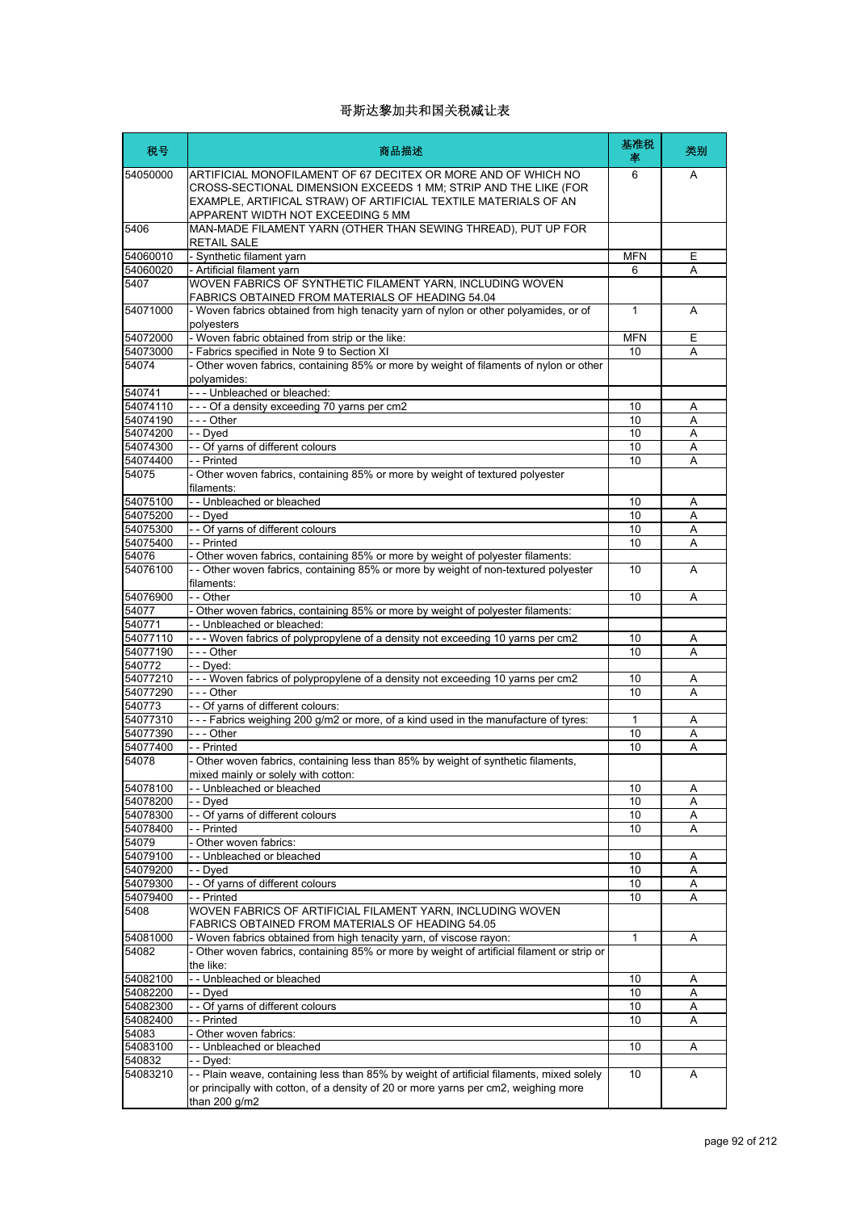| 税号                   | 商品描述                                                                                                                                                                                                                                     | 基准税<br>率     | 类别     |
|----------------------|------------------------------------------------------------------------------------------------------------------------------------------------------------------------------------------------------------------------------------------|--------------|--------|
| 54050000             | ARTIFICIAL MONOFILAMENT OF 67 DECITEX OR MORE AND OF WHICH NO<br>CROSS-SECTIONAL DIMENSION EXCEEDS 1 MM; STRIP AND THE LIKE (FOR<br>EXAMPLE, ARTIFICAL STRAW) OF ARTIFICIAL TEXTILE MATERIALS OF AN<br>APPARENT WIDTH NOT EXCEEDING 5 MM | 6            | A      |
| 5406                 | MAN-MADE FILAMENT YARN (OTHER THAN SEWING THREAD), PUT UP FOR<br><b>RETAIL SALE</b>                                                                                                                                                      |              |        |
| 54060010             | - Synthetic filament yarn                                                                                                                                                                                                                | <b>MFN</b>   | E      |
| 54060020             | - Artificial filament yarn<br>WOVEN FABRICS OF SYNTHETIC FILAMENT YARN. INCLUDING WOVEN                                                                                                                                                  | 6            | Α      |
| 5407                 | FABRICS OBTAINED FROM MATERIALS OF HEADING 54.04                                                                                                                                                                                         |              |        |
| 54071000             | - Woven fabrics obtained from high tenacity yarn of nylon or other polyamides, or of<br>polvesters                                                                                                                                       | 1            | Α      |
| 54072000             | - Woven fabric obtained from strip or the like:                                                                                                                                                                                          | <b>MFN</b>   | E      |
| 54073000<br>54074    | - Fabrics specified in Note 9 to Section XI<br>Other woven fabrics, containing 85% or more by weight of filaments of nylon or other                                                                                                      | 10           | A      |
|                      | polyamides:                                                                                                                                                                                                                              |              |        |
| 540741               | --- Unbleached or bleached:                                                                                                                                                                                                              |              |        |
| 54074110<br>54074190 | --- Of a density exceeding 70 yarns per cm2<br>--- Other                                                                                                                                                                                 | 10<br>10     | Α<br>A |
| 54074200             | - - Dyed                                                                                                                                                                                                                                 | 10           | Α      |
| 54074300             | - Of yarns of different colours                                                                                                                                                                                                          | 10           | A      |
| 54074400             | - Printed                                                                                                                                                                                                                                | 10           | Α      |
| 54075                | - Other woven fabrics, containing 85% or more by weight of textured polyester<br>filaments:                                                                                                                                              |              |        |
| 54075100             | - - Unbleached or bleached                                                                                                                                                                                                               | 10           | Α      |
| 54075200             | - - Dved                                                                                                                                                                                                                                 | 10           | A      |
| 54075300             | - - Of yarns of different colours                                                                                                                                                                                                        | 10           | Α      |
| 54075400             | - Printed                                                                                                                                                                                                                                | 10           | Α      |
| 54076                | Other woven fabrics, containing 85% or more by weight of polyester filaments:                                                                                                                                                            |              |        |
| 54076100             | - - Other woven fabrics, containing 85% or more by weight of non-textured polyester<br>filaments:                                                                                                                                        | 10           | A      |
| 54076900             | - - Other                                                                                                                                                                                                                                | 10           | A      |
| 54077                | Other woven fabrics, containing 85% or more by weight of polyester filaments:                                                                                                                                                            |              |        |
| 540771               | - Unbleached or bleached:                                                                                                                                                                                                                |              |        |
| 54077110             | --- Woven fabrics of polypropylene of a density not exceeding 10 yarns per cm2<br>--- Other                                                                                                                                              | 10           | Α      |
| 54077190<br>540772   | - Dyed:                                                                                                                                                                                                                                  | 10           | Α      |
| 54077210             | --- Woven fabrics of polypropylene of a density not exceeding 10 yarns per cm2                                                                                                                                                           | 10           | A      |
| 54077290             | - - Other                                                                                                                                                                                                                                | 10           | Α      |
| 540773               | - Of yarns of different colours:                                                                                                                                                                                                         |              |        |
| 54077310             | -- Fabrics weighing 200 g/m2 or more, of a kind used in the manufacture of tyres:                                                                                                                                                        | 1            | Α      |
| 54077390             | - - - Other                                                                                                                                                                                                                              | 10           | Α      |
| 54077400             | - - Printed                                                                                                                                                                                                                              | 10           | Α      |
| 54078                | Other woven fabrics, containing less than 85% by weight of synthetic filaments,<br>mixed mainly or solely with cotton:                                                                                                                   |              |        |
| 54078100             | -- Unbleached or bleached                                                                                                                                                                                                                | 10           | Α      |
| 54078200             | - Dyed                                                                                                                                                                                                                                   | 10           | Α      |
| 54078300<br>54078400 | - Of yarns of different colours<br>- Printed                                                                                                                                                                                             | 10           | Α      |
| 54079                | Other woven fabrics:                                                                                                                                                                                                                     | 10           | Α      |
| 54079100             | - Unbleached or bleached                                                                                                                                                                                                                 | 10           | Α      |
| 54079200             | - Dved                                                                                                                                                                                                                                   | 10           | Α      |
| 54079300             | - Of yarns of different colours                                                                                                                                                                                                          | 10           | Α      |
| 54079400             | - Printed                                                                                                                                                                                                                                | 10           | Α      |
| 5408                 | WOVEN FABRICS OF ARTIFICIAL FILAMENT YARN, INCLUDING WOVEN<br>FABRICS OBTAINED FROM MATERIALS OF HEADING 54.05                                                                                                                           |              |        |
| 54081000             | - Woven fabrics obtained from high tenacity yarn, of viscose rayon:                                                                                                                                                                      | $\mathbf{1}$ | Α      |
| 54082                | - Other woven fabrics, containing 85% or more by weight of artificial filament or strip or<br>the like:                                                                                                                                  |              |        |
| 54082100             | -- Unbleached or bleached                                                                                                                                                                                                                | 10           | Α      |
| 54082200             | - - Dved                                                                                                                                                                                                                                 | 10           | Α      |
| 54082300             | - Of yarns of different colours                                                                                                                                                                                                          | 10           | Α      |
| 54082400             | - Printed                                                                                                                                                                                                                                | 10           | Α      |
| 54083                | Other woven fabrics:                                                                                                                                                                                                                     |              |        |
| 54083100             | - Unbleached or bleached                                                                                                                                                                                                                 | 10           | Α      |
| 540832<br>54083210   | - Dyed:<br>-- Plain weave, containing less than 85% by weight of artificial filaments, mixed solely                                                                                                                                      | 10           |        |
|                      | or principally with cotton, of a density of 20 or more yarns per cm2, weighing more<br>than 200 g/m2                                                                                                                                     |              | Α      |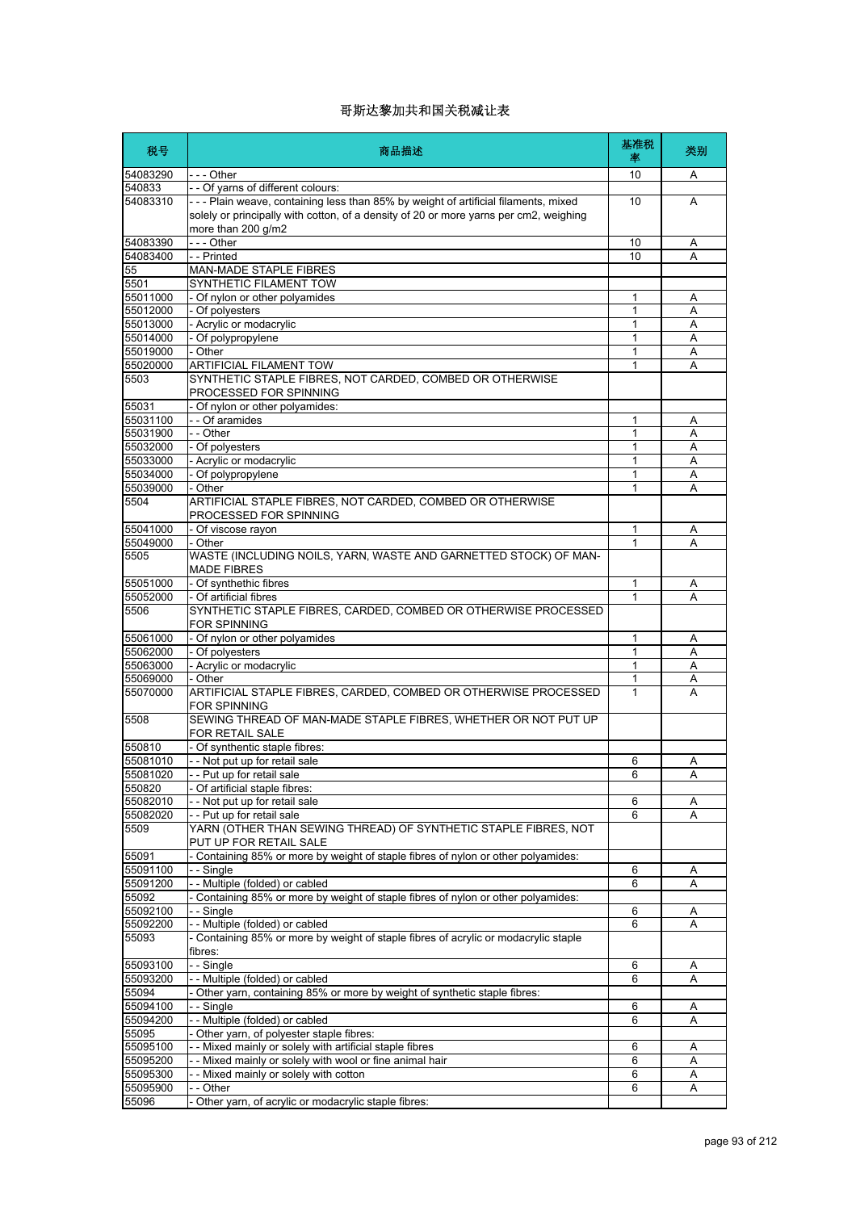| 税号                   | 商品描述                                                                                                                                                                                              | 基准税<br>率 | 类别     |
|----------------------|---------------------------------------------------------------------------------------------------------------------------------------------------------------------------------------------------|----------|--------|
| 54083290             | -  - - Other                                                                                                                                                                                      | 10       | Α      |
| 540833               | - - Of yarns of different colours:                                                                                                                                                                |          |        |
| 54083310             | --- Plain weave, containing less than 85% by weight of artificial filaments, mixed<br>solely or principally with cotton, of a density of 20 or more yarns per cm2, weighing<br>more than 200 g/m2 | 10       | A      |
| 54083390             | --- Other                                                                                                                                                                                         | 10       | Α      |
| 54083400             | - - Printed                                                                                                                                                                                       | 10       | Α      |
| 55                   | <b>MAN-MADE STAPLE FIBRES</b>                                                                                                                                                                     |          |        |
| 5501                 | SYNTHETIC FILAMENT TOW                                                                                                                                                                            |          |        |
| 55011000<br>55012000 | - Of nylon or other polyamides<br>- Of polvesters                                                                                                                                                 | 1<br>1   | Α<br>Α |
| 55013000             | - Acrylic or modacrylic                                                                                                                                                                           | 1        | A      |
| 55014000             | - Of polypropylene                                                                                                                                                                                | 1        | Α      |
| 55019000             | - Other                                                                                                                                                                                           | 1        | Α      |
| 55020000             | ARTIFICIAL FILAMENT TOW                                                                                                                                                                           | 1        | А      |
| 5503                 | SYNTHETIC STAPLE FIBRES, NOT CARDED, COMBED OR OTHERWISE<br>PROCESSED FOR SPINNING                                                                                                                |          |        |
| 55031                | - Of nylon or other polyamides:                                                                                                                                                                   |          |        |
| 55031100             | - - Of aramides                                                                                                                                                                                   | 1        | Α      |
| 55031900             | - - Other                                                                                                                                                                                         | 1        | Α      |
| 55032000             | - Of polyesters                                                                                                                                                                                   | 1        | A      |
| 55033000             | - Acrylic or modacrylic                                                                                                                                                                           | 1        | Α      |
| 55034000<br>55039000 | - Of polypropylene                                                                                                                                                                                | 1<br>1   | Α      |
| 5504                 | - Other<br>ARTIFICIAL STAPLE FIBRES, NOT CARDED, COMBED OR OTHERWISE<br>PROCESSED FOR SPINNING                                                                                                    |          | Α      |
| 55041000             | - Of viscose rayon                                                                                                                                                                                | 1        | Α      |
| 55049000             | - Other                                                                                                                                                                                           | 1        | A      |
| 5505                 | WASTE (INCLUDING NOILS, YARN, WASTE AND GARNETTED STOCK) OF MAN-<br><b>MADE FIBRES</b>                                                                                                            |          |        |
| 55051000             | - Of synthethic fibres                                                                                                                                                                            | 1        | Α      |
| 55052000             | - Of artificial fibres                                                                                                                                                                            | 1        | А      |
| 5506                 | SYNTHETIC STAPLE FIBRES, CARDED, COMBED OR OTHERWISE PROCESSED<br><b>FOR SPINNING</b>                                                                                                             |          |        |
| 55061000             | - Of nylon or other polyamides                                                                                                                                                                    | 1        | Α      |
| 55062000             | - Of polyesters                                                                                                                                                                                   | 1        | Α      |
| 55063000             | - Acrylic or modacrylic                                                                                                                                                                           | 1        | A      |
| 55069000             | - Other                                                                                                                                                                                           | 1        | Α      |
| 55070000<br>5508     | ARTIFICIAL STAPLE FIBRES, CARDED, COMBED OR OTHERWISE PROCESSED<br><b>FOR SPINNING</b><br>SEWING THREAD OF MAN-MADE STAPLE FIBRES, WHETHER OR NOT PUT UP                                          | 1        | А      |
| 550810               | FOR RETAIL SALE                                                                                                                                                                                   |          |        |
| 55081010             | - Of synthentic staple fibres:<br>- - Not put up for retail sale                                                                                                                                  | 6        | Α      |
| 55081020             | Put up for retail sale                                                                                                                                                                            | 6        | A      |
| 550820               | - Of artificial staple fibres:                                                                                                                                                                    |          |        |
| 55082010             | - Not put up for retail sale                                                                                                                                                                      | 6        | Α      |
| 55082020             | -- Put up for retail sale                                                                                                                                                                         | 6        | Α      |
| 5509                 | YARN (OTHER THAN SEWING THREAD) OF SYNTHETIC STAPLE FIBRES, NOT<br>PUT UP FOR RETAIL SALE                                                                                                         |          |        |
| 55091                | Containing 85% or more by weight of staple fibres of nylon or other polyamides:                                                                                                                   |          |        |
| 55091100             | - - Single                                                                                                                                                                                        | 6        | Α      |
| 55091200             | -- Multiple (folded) or cabled                                                                                                                                                                    | 6        | Α      |
| 55092                | - Containing 85% or more by weight of staple fibres of nylon or other polyamides:                                                                                                                 |          |        |
| 55092100             | - - Sinale<br>-- Multiple (folded) or cabled                                                                                                                                                      | 6        | Α      |
| 55092200<br>55093    | - Containing 85% or more by weight of staple fibres of acrylic or modacrylic staple                                                                                                               | 6        | Α      |
|                      | fibres:                                                                                                                                                                                           |          |        |
| 55093100<br>55093200 | - - Single<br>-- Multiple (folded) or cabled                                                                                                                                                      | 6<br>6   | A<br>Α |
| 55094                | - Other yarn, containing 85% or more by weight of synthetic staple fibres:                                                                                                                        |          |        |
| 55094100             | --Single                                                                                                                                                                                          | 6        | Α      |
| 55094200             | -- Multiple (folded) or cabled                                                                                                                                                                    | 6        | Α      |
| 55095                | - Other yarn, of polyester staple fibres:                                                                                                                                                         |          |        |
| 55095100             | - - Mixed mainly or solely with artificial staple fibres                                                                                                                                          | 6        | Α      |
| 55095200             | - - Mixed mainly or solely with wool or fine animal hair                                                                                                                                          | 6        | Α      |
| 55095300             | - - Mixed mainly or solely with cotton                                                                                                                                                            | 6        | Α      |
| 55095900             | - - Other                                                                                                                                                                                         | 6        | Α      |
| 55096                | Other yarn, of acrylic or modacrylic staple fibres:                                                                                                                                               |          |        |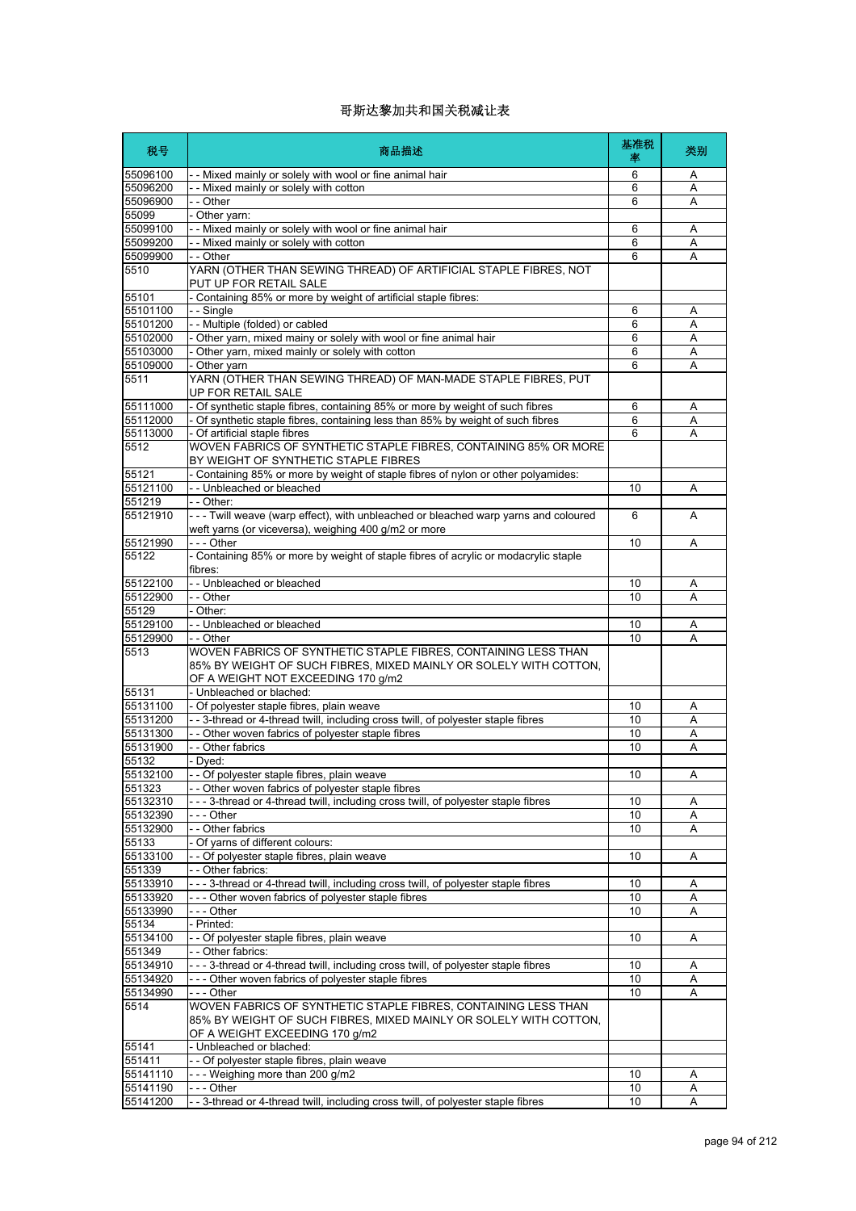| 税号                   | 商品描述                                                                                                                                         | 基准税<br>率 | 类别     |
|----------------------|----------------------------------------------------------------------------------------------------------------------------------------------|----------|--------|
| 55096100             | - - Mixed mainly or solely with wool or fine animal hair                                                                                     | 6        | Α      |
| 55096200             | - - Mixed mainly or solely with cotton                                                                                                       | 6        | A      |
| 55096900             | - - Other                                                                                                                                    | 6        | Α      |
| 55099                | - Other yarn:                                                                                                                                |          |        |
| 55099100             | - - Mixed mainly or solely with wool or fine animal hair                                                                                     | 6        | Α      |
| 55099200             | -- Mixed mainly or solely with cotton                                                                                                        | 6        | Α      |
| 55099900             | - - Other                                                                                                                                    | 6        | Α      |
| 5510                 | YARN (OTHER THAN SEWING THREAD) OF ARTIFICIAL STAPLE FIBRES, NOT<br>PUT UP FOR RETAIL SALE                                                   |          |        |
| 55101<br>55101100    | - Containing 85% or more by weight of artificial staple fibres:                                                                              |          |        |
| 55101200             | - - Single<br>- - Multiple (folded) or cabled                                                                                                | 6<br>6   | A<br>A |
| 55102000             | - Other yarn, mixed mainy or solely with wool or fine animal hair                                                                            | 6        | Α      |
| 55103000             | - Other yarn, mixed mainly or solely with cotton                                                                                             | 6        | Α      |
| 55109000             | - Other yarn                                                                                                                                 | 6        | A      |
| 5511                 | YARN (OTHER THAN SEWING THREAD) OF MAN-MADE STAPLE FIBRES, PUT                                                                               |          |        |
|                      | UP FOR RETAIL SALE                                                                                                                           |          |        |
| 55111000             | - Of synthetic staple fibres, containing 85% or more by weight of such fibres                                                                | 6        | Α      |
| 55112000             | - Of synthetic staple fibres, containing less than 85% by weight of such fibres                                                              | 6        | A      |
| 55113000             | - Of artificial staple fibres                                                                                                                | 6        | A      |
| 5512                 | WOVEN FABRICS OF SYNTHETIC STAPLE FIBRES, CONTAINING 85% OR MORE<br>BY WEIGHT OF SYNTHETIC STAPLE FIBRES                                     |          |        |
| 55121                | - Containing 85% or more by weight of staple fibres of nylon or other polyamides:                                                            |          |        |
| 55121100             | -- Unbleached or bleached                                                                                                                    | 10       | Α      |
| 551219               | - - Other:                                                                                                                                   |          |        |
| 55121910             | - - - Twill weave (warp effect), with unbleached or bleached warp yarns and coloured<br>weft yarns (or viceversa), weighing 400 g/m2 or more | 6        | A      |
| 55121990             | - - - Other                                                                                                                                  | 10       | Α      |
| 55122                | - Containing 85% or more by weight of staple fibres of acrylic or modacrylic staple<br>fibres:                                               |          |        |
| 55122100             | - - Unbleached or bleached                                                                                                                   | 10       | Α      |
| 55122900             | - - Other                                                                                                                                    | 10       | Α      |
| 55129                | - Other:                                                                                                                                     |          |        |
| 55129100             | - - Unbleached or bleached                                                                                                                   | 10       | Α      |
| 55129900             | - - Other                                                                                                                                    | 10       | Α      |
| 5513                 | WOVEN FABRICS OF SYNTHETIC STAPLE FIBRES, CONTAINING LESS THAN<br>85% BY WEIGHT OF SUCH FIBRES, MIXED MAINLY OR SOLELY WITH COTTON,          |          |        |
|                      | OF A WEIGHT NOT EXCEEDING 170 g/m2                                                                                                           |          |        |
| 55131                | - Unbleached or blached:                                                                                                                     |          |        |
| 55131100             | - Of polyester staple fibres, plain weave                                                                                                    | 10       | Α      |
| 55131200             | -- 3-thread or 4-thread twill, including cross twill, of polyester staple fibres                                                             | 10       | Α      |
| 55131300             | - - Other woven fabrics of polyester staple fibres                                                                                           | 10       | Α      |
| 55131900             | - - Other fabrics                                                                                                                            | 10       | Α      |
| 55132                | - Dyed:                                                                                                                                      |          |        |
| 55132100             | Of polyester staple fibres, plain weave                                                                                                      | 10       | А      |
| 551323               | - - Other woven fabrics of polyester staple fibres                                                                                           |          |        |
| 55132310<br>55132390 | ---3-thread or 4-thread twill, including cross twill, of polyester staple fibres<br>$- -$ Other                                              | 10<br>10 | Α      |
| 55132900             | - - Other fabrics                                                                                                                            | 10       | Α<br>Α |
| 55133                | - Of yarns of different colours:                                                                                                             |          |        |
| 55133100             | - - Of polyester staple fibres, plain weave                                                                                                  | 10       | Α      |
| 551339               | - - Other fabrics:                                                                                                                           |          |        |
| 55133910             | - - - 3-thread or 4-thread twill, including cross twill, of polyester staple fibres                                                          | 10       | A      |
| 55133920             | --- Other woven fabrics of polyester staple fibres                                                                                           | 10       | Α      |
| 55133990             | - - - Other                                                                                                                                  | 10       | Α      |
| 55134                | - Printed:                                                                                                                                   |          |        |
| 55134100             | - - Of polyester staple fibres, plain weave                                                                                                  | 10       | Α      |
| 551349               | - - Other fabrics:                                                                                                                           |          |        |
| 55134910             | - - - 3-thread or 4-thread twill, including cross twill, of polyester staple fibres                                                          | 10       | A      |
| 55134920             | --- Other woven fabrics of polyester staple fibres                                                                                           | 10       | Α      |
| 55134990             | --- Other                                                                                                                                    | 10       | Α      |
| 5514                 | WOVEN FABRICS OF SYNTHETIC STAPLE FIBRES, CONTAINING LESS THAN<br>85% BY WEIGHT OF SUCH FIBRES, MIXED MAINLY OR SOLELY WITH COTTON,          |          |        |
|                      | OF A WEIGHT EXCEEDING 170 g/m2                                                                                                               |          |        |
| 55141                | - Unbleached or blached:                                                                                                                     |          |        |
| 551411               | - - Of polyester staple fibres, plain weave                                                                                                  |          |        |
| 55141110             | --- Weighing more than 200 g/m2                                                                                                              | 10       | Α      |
| 55141190             | - - - Other                                                                                                                                  | 10       | Α      |
| 55141200             | - - 3-thread or 4-thread twill, including cross twill, of polyester staple fibres                                                            | 10       | A      |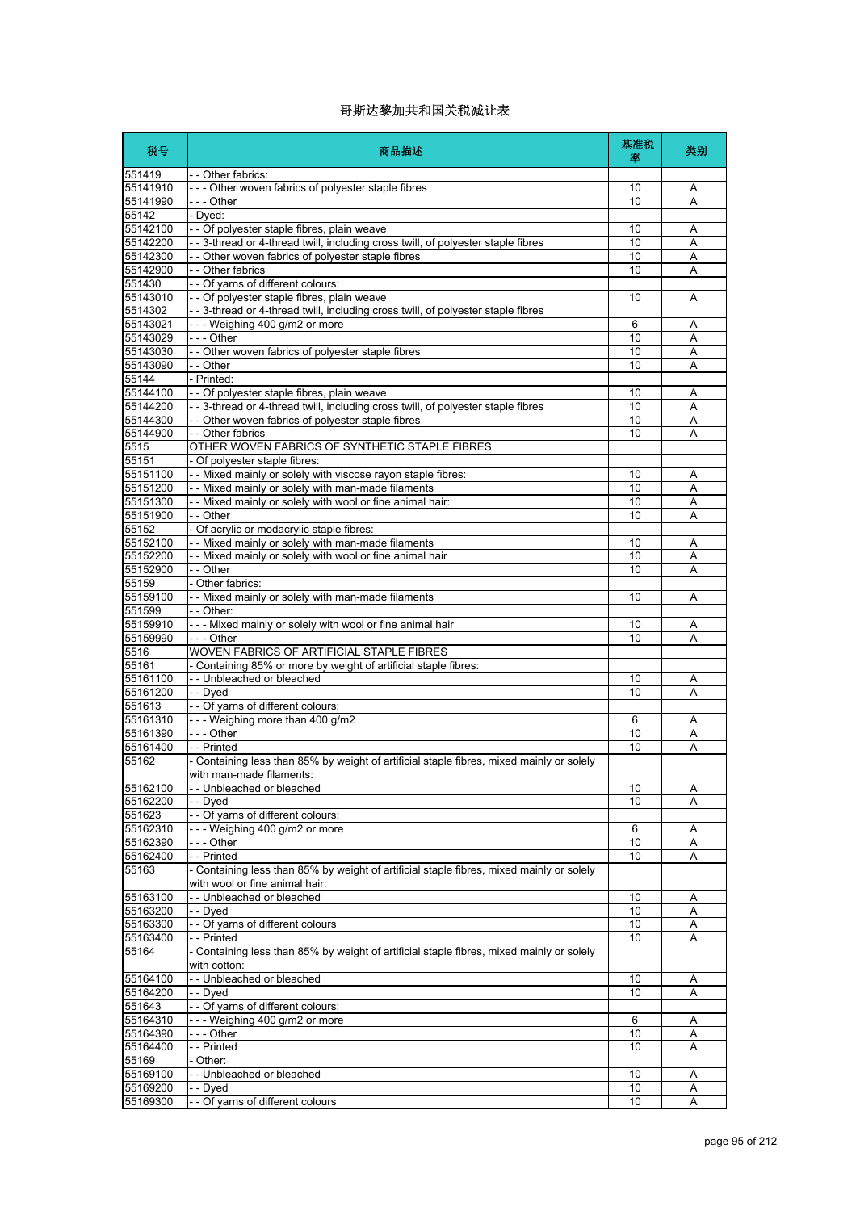| 税号                | 商品描述                                                                                                     | 基准税<br>率 | 类别 |
|-------------------|----------------------------------------------------------------------------------------------------------|----------|----|
| 551419            | - - Other fabrics:                                                                                       |          |    |
| 55141910          | --- Other woven fabrics of polyester staple fibres                                                       | 10       | A  |
| 55141990<br>55142 | - - - Other<br>- Dyed:                                                                                   | 10       | A  |
| 55142100          | - - Of polyester staple fibres, plain weave                                                              | 10       | Α  |
| 55142200          | - - 3-thread or 4-thread twill, including cross twill, of polyester staple fibres                        | 10       | A  |
| 55142300          | - - Other woven fabrics of polyester staple fibres                                                       | 10       | Α  |
| 55142900          | - - Other fabrics                                                                                        | 10       | Α  |
| 551430            | - - Of yarns of different colours:                                                                       |          |    |
| 55143010          | - - Of polyester staple fibres, plain weave                                                              | 10       | Α  |
| 5514302           | -- 3-thread or 4-thread twill, including cross twill, of polyester staple fibres                         |          |    |
| 55143021          | --- Weighing 400 g/m2 or more                                                                            | 6        | A  |
| 55143029          | --- Other                                                                                                | 10       | A  |
| 55143030          | - - Other woven fabrics of polyester staple fibres                                                       | 10       | Α  |
| 55143090          | - - Other                                                                                                | 10       | A  |
| 55144             | - Printed:                                                                                               |          |    |
| 55144100          | - - Of polyester staple fibres, plain weave                                                              | 10       | Α  |
| 55144200          | - - 3-thread or 4-thread twill, including cross twill, of polyester staple fibres                        | 10       | A  |
| 55144300          | - - Other woven fabrics of polyester staple fibres                                                       | 10       | Α  |
| 55144900          | - - Other fabrics                                                                                        | 10       | A  |
| 5515              | OTHER WOVEN FABRICS OF SYNTHETIC STAPLE FIBRES                                                           |          |    |
| 55151             | - Of polyester staple fibres:                                                                            |          |    |
| 55151100          | - - Mixed mainly or solely with viscose rayon staple fibres:                                             | 10       | Α  |
| 55151200          | - - Mixed mainly or solely with man-made filaments                                                       | 10       | Α  |
| 55151300          | - - Mixed mainly or solely with wool or fine animal hair:                                                | 10       | Α  |
| 55151900          | - - Other                                                                                                | 10       | A  |
| 55152             | - Of acrylic or modacrylic staple fibres:                                                                |          |    |
| 55152100          | - - Mixed mainly or solely with man-made filaments                                                       | 10       | Α  |
| 55152200          | - - Mixed mainly or solely with wool or fine animal hair                                                 | 10       | Α  |
| 55152900          | - - Other                                                                                                | 10       | Α  |
| 55159             | - Other fabrics:                                                                                         |          |    |
| 55159100          | - - Mixed mainly or solely with man-made filaments                                                       | 10       | A  |
| 551599            | - - Other:                                                                                               |          |    |
| 55159910          | - - - Mixed mainly or solely with wool or fine animal hair                                               | 10       | Α  |
| 55159990          | - - - Other                                                                                              | 10       | Α  |
| 5516              | WOVEN FABRICS OF ARTIFICIAL STAPLE FIBRES                                                                |          |    |
| 55161             | - Containing 85% or more by weight of artificial staple fibres:                                          |          |    |
| 55161100          | - - Unbleached or bleached                                                                               | 10       | Α  |
| 55161200          | - - Dyed                                                                                                 | 10       | A  |
| 551613            | - - Of yarns of different colours:                                                                       |          |    |
| 55161310          | --- Weighing more than 400 g/m2                                                                          | 6        | Α  |
| 55161390          | - - - Other                                                                                              | 10       | A  |
| 55161400          | - - Printed                                                                                              | 10       | Α  |
| 55162             | - Containing less than 85% by weight of artificial staple fibres, mixed mainly or solely                 |          |    |
|                   | with man-made filaments:                                                                                 |          |    |
| 55162100          | -- Unbleached or bleached                                                                                | 10       | A  |
| 55162200          | - - Dyed                                                                                                 | 10       | Α  |
| 551623            | - - Of yarns of different colours:                                                                       |          |    |
| 55162310          | --- Weighing 400 g/m2 or more                                                                            | 6        | Α  |
| 55162390          | --- Other                                                                                                | 10       | Α  |
| 55162400          | -- Printed                                                                                               | 10       | A  |
| 55163             | - Containing less than 85% by weight of artificial staple fibres, mixed mainly or solely                 |          |    |
|                   | with wool or fine animal hair:                                                                           |          |    |
| 55163100          | -- Unbleached or bleached                                                                                | 10       | Α  |
| 55163200          | - - Dyed                                                                                                 | 10       | Α  |
| 55163300          | - - Of yarns of different colours                                                                        | 10       | Α  |
| 55163400          | - - Printed                                                                                              | 10       | A  |
| 55164             | - Containing less than 85% by weight of artificial staple fibres, mixed mainly or solely<br>with cotton: |          |    |
| 55164100          | -- Unbleached or bleached                                                                                | 10       | Α  |
| 55164200          | - - Dyed                                                                                                 | 10       | A  |
| 551643            | - - Of yarns of different colours:                                                                       |          |    |
| 55164310          | --- Weighing 400 g/m2 or more                                                                            | 6        | Α  |
| 55164390          | --- Other                                                                                                | 10       | A  |
| 55164400          | - - Printed                                                                                              | 10       | A  |
| 55169             | - Other:                                                                                                 |          |    |
| 55169100          | - - Unbleached or bleached                                                                               | 10       | Α  |
| 55169200          | - - Dyed                                                                                                 | 10       | Α  |
|                   | - - Of yarns of different colours                                                                        | 10       | Α  |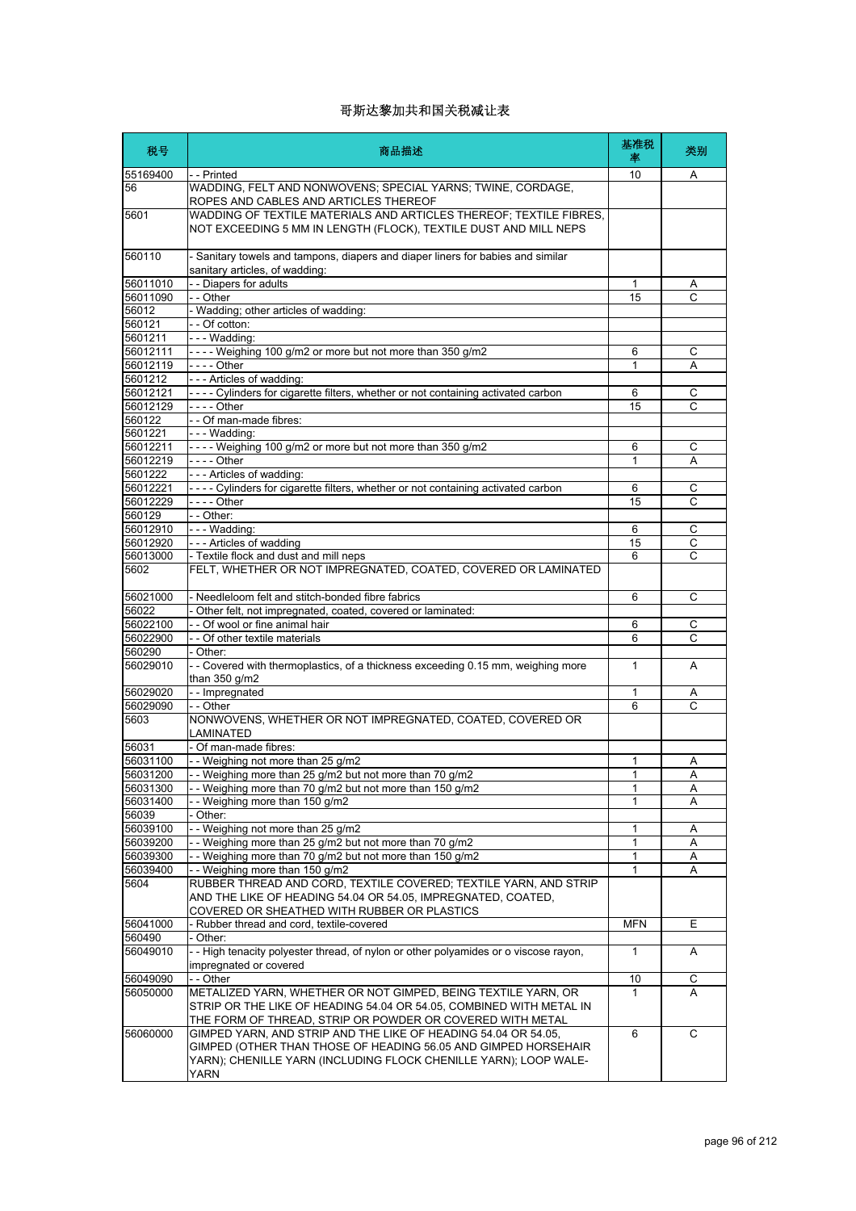| 税号                   | 商品描述                                                                                                                                   | 基准税<br>率   | 类别             |
|----------------------|----------------------------------------------------------------------------------------------------------------------------------------|------------|----------------|
| 55169400             | - - Printed                                                                                                                            | 10         | A              |
| 56                   | WADDING, FELT AND NONWOVENS; SPECIAL YARNS; TWINE, CORDAGE,<br>ROPES AND CABLES AND ARTICLES THEREOF                                   |            |                |
| 5601                 | WADDING OF TEXTILE MATERIALS AND ARTICLES THEREOF; TEXTILE FIBRES,<br>NOT EXCEEDING 5 MM IN LENGTH (FLOCK), TEXTILE DUST AND MILL NEPS |            |                |
| 560110               | - Sanitary towels and tampons, diapers and diaper liners for babies and similar<br>sanitary articles, of wadding:                      |            |                |
| 56011010             | - - Diapers for adults                                                                                                                 | 1          | A              |
| 56011090             | - - Other                                                                                                                              | 15         | C              |
| 56012                | - Wadding; other articles of wadding:                                                                                                  |            |                |
| 560121               | -- Of cotton:                                                                                                                          |            |                |
| 5601211              | --- Wadding:                                                                                                                           |            |                |
| 56012111             | ---- Weighing 100 g/m2 or more but not more than 350 g/m2                                                                              | 6          | С              |
| 56012119<br>5601212  | - - - - Other<br>--- Articles of wadding:                                                                                              | 1          | Α              |
| 56012121             | ---- Cylinders for cigarette filters, whether or not containing activated carbon                                                       | 6          | С              |
| 56012129             | - - - - Other                                                                                                                          | 15         | C              |
| 560122               | - - Of man-made fibres:                                                                                                                |            |                |
| 5601221              | $--$ Wadding:                                                                                                                          |            |                |
| 56012211             | ---- Weighing 100 g/m2 or more but not more than 350 g/m2                                                                              | 6          | C              |
| 56012219             | - - - - Other                                                                                                                          | 1          | Α              |
| 5601222              | --- Articles of wadding:                                                                                                               |            |                |
| 56012221             | ---- Cylinders for cigarette filters, whether or not containing activated carbon                                                       | 6          | C              |
| 56012229             |                                                                                                                                        | 15         | С              |
| 560129               | - - Other:                                                                                                                             |            |                |
| 56012910<br>56012920 | $\left  - - \right $ - Wadding:<br>- - - Articles of wadding                                                                           | 6<br>15    | C<br>C         |
| 56013000             | - Textile flock and dust and mill neps                                                                                                 | 6          | C              |
| 5602                 | FELT, WHETHER OR NOT IMPREGNATED, COATED, COVERED OR LAMINATED                                                                         |            |                |
| 56021000             | - Needleloom felt and stitch-bonded fibre fabrics                                                                                      | 6          | C              |
| 56022                | - Other felt, not impregnated, coated, covered or laminated:                                                                           |            |                |
| 56022100             | - - Of wool or fine animal hair                                                                                                        | 6          | С              |
| 56022900             | - - Of other textile materials                                                                                                         | 6          | C              |
| 560290               | - Other:                                                                                                                               |            |                |
| 56029010             | - - Covered with thermoplastics, of a thickness exceeding 0.15 mm, weighing more<br>than 350 g/m2                                      | 1          | Α              |
| 56029020             | - - Impregnated                                                                                                                        | 1          | A              |
| 56029090             | - - Other                                                                                                                              | 6          | C              |
| 5603                 | NONWOVENS, WHETHER OR NOT IMPREGNATED, COATED, COVERED OR<br>LAMINATED                                                                 |            |                |
| 56031                | - Of man-made fibres:                                                                                                                  |            |                |
| 56031100             | -- Weighing not more than 25 g/m2                                                                                                      | 1          | Α              |
| 56031200             | - Weighing more than 25 g/m2 but not more than 70 g/m2                                                                                 | 1          | $\overline{A}$ |
| 56031300             | - Weighing more than 70 g/m2 but not more than 150 g/m2<br>- Weighing more than 150 g/m2                                               | 1<br>1     | Α              |
| 56031400<br>56039    | Other:                                                                                                                                 |            | A              |
| 56039100             | -- Weighing not more than 25 g/m2                                                                                                      | 1          | Α              |
| 56039200             | - - Weighing more than 25 g/m2 but not more than 70 g/m2                                                                               | 1          | Α              |
| 56039300             | - Weighing more than 70 g/m2 but not more than 150 g/m2                                                                                | 1          | Α              |
| 56039400             | -- Weighing more than 150 g/m2                                                                                                         | 1          | Α              |
| 5604                 | RUBBER THREAD AND CORD, TEXTILE COVERED; TEXTILE YARN, AND STRIP                                                                       |            |                |
|                      | AND THE LIKE OF HEADING 54.04 OR 54.05, IMPREGNATED, COATED,                                                                           |            |                |
|                      | COVERED OR SHEATHED WITH RUBBER OR PLASTICS                                                                                            |            |                |
| 56041000             | - Rubber thread and cord, textile-covered                                                                                              | <b>MFN</b> | Ε              |
| 560490<br>56049010   | - Other:<br>-- High tenacity polyester thread, of nylon or other polyamides or o viscose rayon,                                        | 1          |                |
|                      | impregnated or covered                                                                                                                 |            | A              |
| 56049090             | - - Other                                                                                                                              | 10         | С              |
| 56050000             | METALIZED YARN, WHETHER OR NOT GIMPED, BEING TEXTILE YARN, OR                                                                          | 1          | A              |
|                      | STRIP OR THE LIKE OF HEADING 54.04 OR 54.05, COMBINED WITH METAL IN                                                                    |            |                |
|                      | THE FORM OF THREAD, STRIP OR POWDER OR COVERED WITH METAL                                                                              |            |                |
| 56060000             | GIMPED YARN, AND STRIP AND THE LIKE OF HEADING 54.04 OR 54.05,<br>GIMPED (OTHER THAN THOSE OF HEADING 56.05 AND GIMPED HORSEHAIR       | 6          | C              |
|                      | YARN); CHENILLE YARN (INCLUDING FLOCK CHENILLE YARN); LOOP WALE-                                                                       |            |                |
|                      | <b>YARN</b>                                                                                                                            |            |                |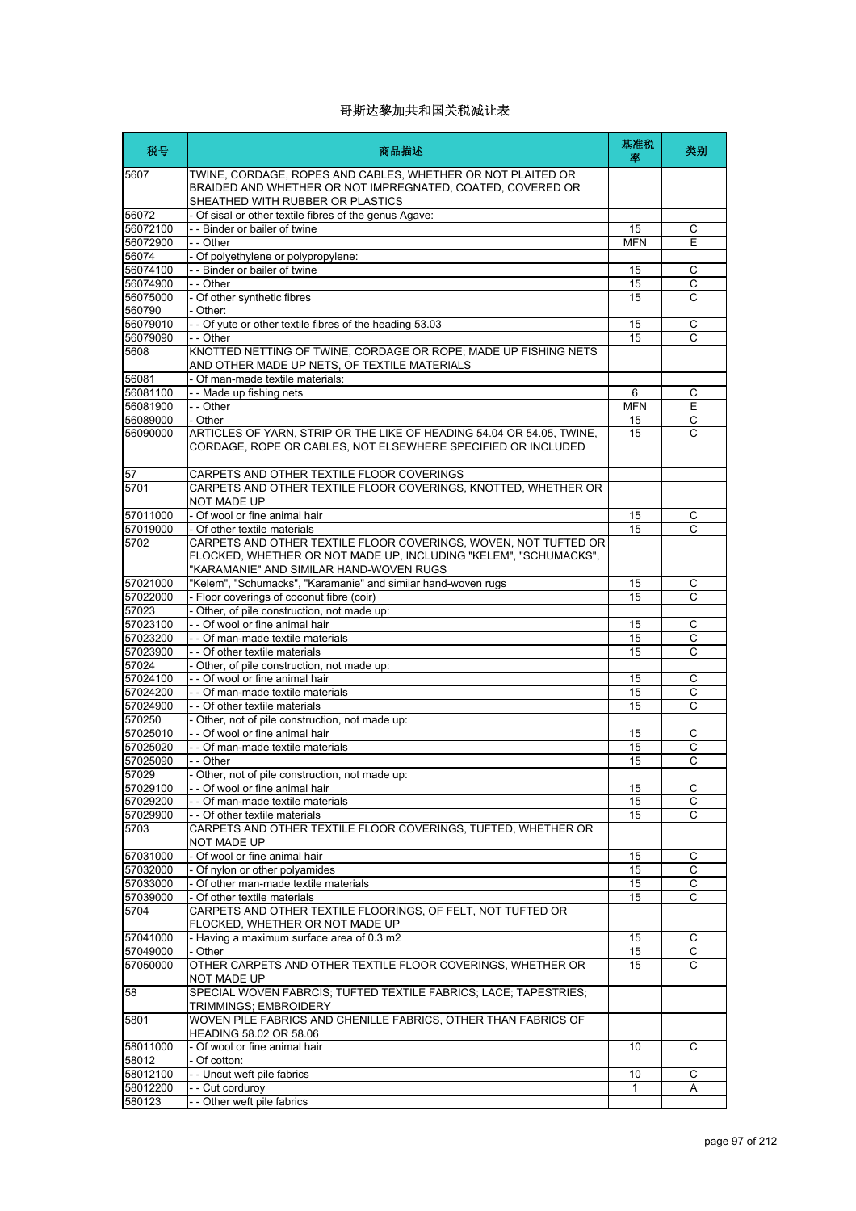| 税号               | 商品描述                                                                                                                                                          | 基准税<br>塞   | 类别           |
|------------------|---------------------------------------------------------------------------------------------------------------------------------------------------------------|------------|--------------|
| 5607             | TWINE, CORDAGE, ROPES AND CABLES, WHETHER OR NOT PLAITED OR<br>BRAIDED AND WHETHER OR NOT IMPREGNATED, COATED, COVERED OR<br>SHEATHED WITH RUBBER OR PLASTICS |            |              |
| 56072            | - Of sisal or other textile fibres of the genus Agave:                                                                                                        |            |              |
| 56072100         | - - Binder or bailer of twine                                                                                                                                 | 15         | С            |
| 56072900         | - - Other                                                                                                                                                     | <b>MFN</b> | Ε            |
| 56074            | - Of polyethylene or polypropylene:                                                                                                                           |            |              |
| 56074100         | - - Binder or bailer of twine                                                                                                                                 | 15         | C            |
| 56074900         | - - Other                                                                                                                                                     | 15         | C            |
| 56075000         | - Of other synthetic fibres                                                                                                                                   | 15         | С            |
| 560790           | - Other:                                                                                                                                                      |            |              |
| 56079010         | - - Of yute or other textile fibres of the heading 53.03                                                                                                      | 15<br>15   | C            |
| 56079090<br>5608 | - - Other<br>KNOTTED NETTING OF TWINE, CORDAGE OR ROPE; MADE UP FISHING NETS<br>AND OTHER MADE UP NETS, OF TEXTILE MATERIALS                                  |            | С            |
| 56081            | - Of man-made textile materials:                                                                                                                              |            |              |
| 56081100         | - - Made up fishing nets                                                                                                                                      | 6          | C            |
| 56081900         | $ -$ Other                                                                                                                                                    | <b>MFN</b> | Ε            |
| 56089000         | - Other                                                                                                                                                       | 15         | $\mathsf C$  |
| 56090000         | ARTICLES OF YARN, STRIP OR THE LIKE OF HEADING 54.04 OR 54.05, TWINE,<br>CORDAGE, ROPE OR CABLES, NOT ELSEWHERE SPECIFIED OR INCLUDED                         | 15         | C            |
| 57               | CARPETS AND OTHER TEXTILE FLOOR COVERINGS                                                                                                                     |            |              |
| 5701             | CARPETS AND OTHER TEXTILE FLOOR COVERINGS, KNOTTED, WHETHER OR<br>NOT MADE UP                                                                                 |            |              |
| 57011000         | - Of wool or fine animal hair                                                                                                                                 | 15         | С            |
| 57019000         | - Of other textile materials                                                                                                                                  | 15         | C            |
| 5702             | CARPETS AND OTHER TEXTILE FLOOR COVERINGS, WOVEN, NOT TUFTED OR                                                                                               |            |              |
|                  | FLOCKED, WHETHER OR NOT MADE UP, INCLUDING "KELEM", "SCHUMACKS",<br>"KARAMANIE" AND SIMILAR HAND-WOVEN RUGS                                                   |            |              |
| 57021000         | "Kelem", "Schumacks", "Karamanie" and similar hand-woven rugs                                                                                                 | 15         | C            |
| 57022000         | - Floor coverings of coconut fibre (coir)                                                                                                                     | 15         | С            |
| 57023            | - Other, of pile construction, not made up:                                                                                                                   |            |              |
| 57023100         | - - Of wool or fine animal hair                                                                                                                               | 15         | С            |
| 57023200         | - - Of man-made textile materials                                                                                                                             | 15         | С            |
| 57023900         | - - Of other textile materials                                                                                                                                | 15         | C            |
| 57024            | - Other, of pile construction, not made up:                                                                                                                   |            |              |
| 57024100         | - - Of wool or fine animal hair                                                                                                                               | 15         | С            |
| 57024200         | - - Of man-made textile materials                                                                                                                             | 15         | $\mathsf{C}$ |
| 57024900         | - - Of other textile materials                                                                                                                                | 15         | C            |
| 570250           | - Other, not of pile construction, not made up:                                                                                                               |            |              |
| 57025010         | - - Of wool or fine animal hair                                                                                                                               | 15         | C            |
| 57025020         | - - Of man-made textile materials                                                                                                                             | 15         | C            |
| 57025090         | - - Other                                                                                                                                                     | 15         | C            |
| 57029            | - Other, not of pile construction, not made up:                                                                                                               |            |              |
| 57029100         | - - Of wool or fine animal hair                                                                                                                               | 15         | С            |
| 57029200         | - - Of man-made textile materials                                                                                                                             | 15         | C            |
| 57029900         | - - Of other textile materials                                                                                                                                | 15         | C            |
| 5703             | CARPETS AND OTHER TEXTILE FLOOR COVERINGS, TUFTED, WHETHER OR                                                                                                 |            |              |
| 57031000         | NOT MADE UP<br>- Of wool or fine animal hair                                                                                                                  |            | С            |
| 57032000         | - Of nylon or other polyamides                                                                                                                                | 15<br>15   | С            |
| 57033000         | - Of other man-made textile materials                                                                                                                         | 15         | С            |
| 57039000         | - Of other textile materials                                                                                                                                  | 15         | С            |
| 5704             | CARPETS AND OTHER TEXTILE FLOORINGS, OF FELT, NOT TUFTED OR                                                                                                   |            |              |
|                  | FLOCKED, WHETHER OR NOT MADE UP                                                                                                                               |            |              |
| 57041000         | - Having a maximum surface area of 0.3 m2                                                                                                                     | 15         | С            |
| 57049000         | - Other                                                                                                                                                       | 15         | С            |
| 57050000         | OTHER CARPETS AND OTHER TEXTILE FLOOR COVERINGS, WHETHER OR<br>NOT MADE UP                                                                                    | 15         | C            |
| 58               | SPECIAL WOVEN FABRCIS; TUFTED TEXTILE FABRICS; LACE; TAPESTRIES;<br>TRIMMINGS; EMBROIDERY                                                                     |            |              |
| 5801             | WOVEN PILE FABRICS AND CHENILLE FABRICS, OTHER THAN FABRICS OF                                                                                                |            |              |
|                  | HEADING 58.02 OR 58.06                                                                                                                                        |            |              |
| 58011000         | - Of wool or fine animal hair                                                                                                                                 | 10         | С            |
| 58012            | - Of cotton:                                                                                                                                                  |            |              |
| 58012100         | - - Uncut weft pile fabrics                                                                                                                                   | 10         | С            |
| 58012200         | - - Cut corduroy                                                                                                                                              | 1          | Α            |
| 580123           | - - Other weft pile fabrics                                                                                                                                   |            |              |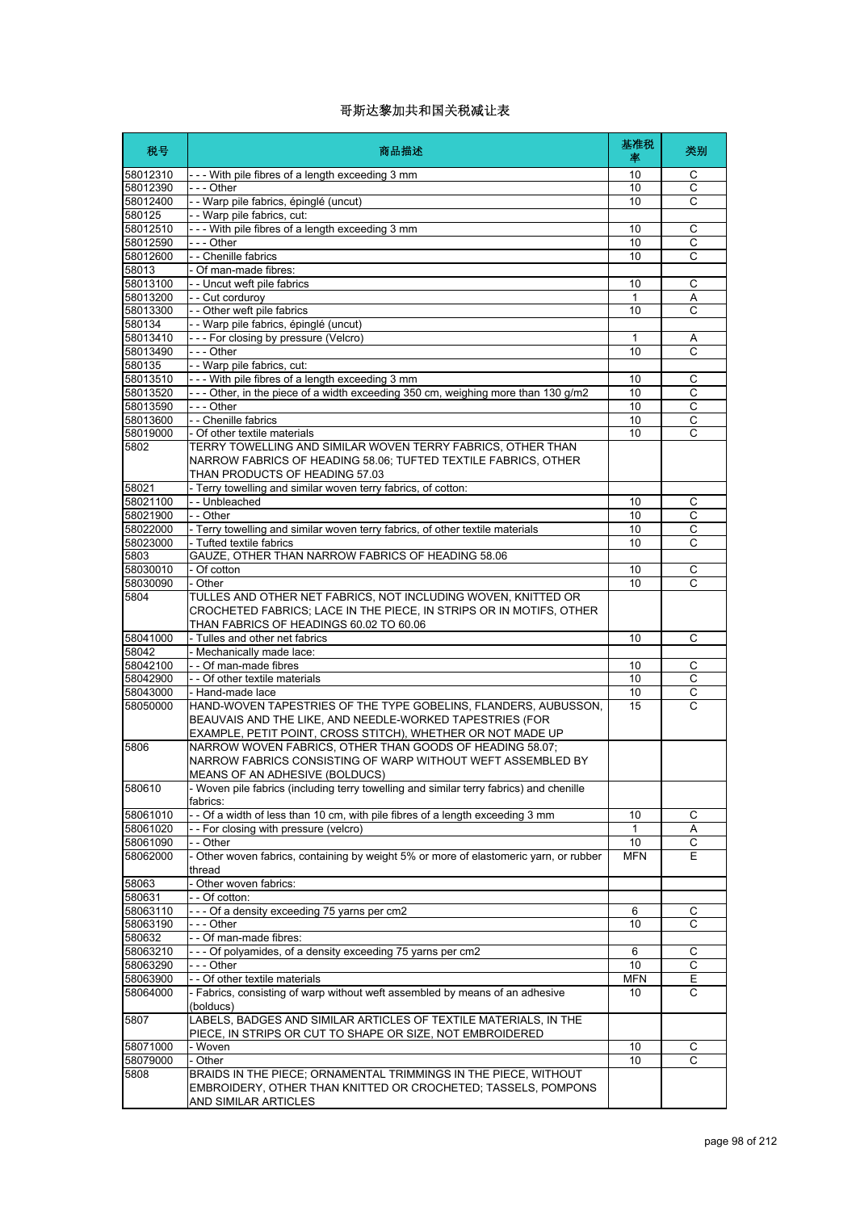| 税号                   | 商品描述                                                                                                                                                                                       | 基准税<br>率         | 类别               |
|----------------------|--------------------------------------------------------------------------------------------------------------------------------------------------------------------------------------------|------------------|------------------|
| 58012310             | --- With pile fibres of a length exceeding 3 mm                                                                                                                                            | 10               | С                |
| 58012390             | $- -$ Other                                                                                                                                                                                | 10               | $\overline{c}$   |
| 58012400             | - Warp pile fabrics, épinglé (uncut)                                                                                                                                                       | 10               | C                |
| 580125               | - - Warp pile fabrics, cut:                                                                                                                                                                |                  |                  |
| 58012510             | --- With pile fibres of a length exceeding 3 mm                                                                                                                                            | 10               | C                |
| 58012590             | - - - Other                                                                                                                                                                                | 10               | $\overline{c}$   |
| 58012600<br>58013    | - - Chenille fabrics<br>- Of man-made fibres:                                                                                                                                              | 10               | C                |
| 58013100             | - - Uncut weft pile fabrics                                                                                                                                                                | 10               | С                |
| 58013200             | - - Cut corduroy                                                                                                                                                                           | 1                | Α                |
| 58013300             | - - Other weft pile fabrics                                                                                                                                                                | 10               | C                |
| 580134               | - - Warp pile fabrics, épinglé (uncut)                                                                                                                                                     |                  |                  |
| 58013410             | --- For closing by pressure (Velcro)                                                                                                                                                       | 1                | Α                |
| 58013490             | $--$ Other                                                                                                                                                                                 | 10               | $\mathsf{C}$     |
| 580135               | - - Warp pile fabrics, cut:                                                                                                                                                                |                  |                  |
| 58013510             | --- With pile fibres of a length exceeding 3 mm                                                                                                                                            | 10               | C                |
| 58013520             | --- Other, in the piece of a width exceeding 350 cm, weighing more than 130 g/m2                                                                                                           | 10               | C                |
| 58013590<br>58013600 | - - - Other<br>- - Chenille fabrics                                                                                                                                                        | 10<br>10         | C<br>$\mathsf C$ |
| 58019000             | - Of other textile materials                                                                                                                                                               | 10               | C                |
| 5802                 | TERRY TOWELLING AND SIMILAR WOVEN TERRY FABRICS, OTHER THAN<br>NARROW FABRICS OF HEADING 58.06; TUFTED TEXTILE FABRICS, OTHER<br>THAN PRODUCTS OF HEADING 57.03                            |                  |                  |
| 58021                | - Terry towelling and similar woven terry fabrics, of cotton:                                                                                                                              |                  |                  |
| 58021100             | - - Unbleached                                                                                                                                                                             | 10               | $\mathsf C$      |
| 58021900             | $-$ Other                                                                                                                                                                                  | 10               | C                |
| 58022000             | - Terry towelling and similar woven terry fabrics, of other textile materials                                                                                                              | 10               | С                |
| 58023000             | - Tufted textile fabrics                                                                                                                                                                   | 10               | Ċ                |
| 5803                 | GAUZE, OTHER THAN NARROW FABRICS OF HEADING 58.06                                                                                                                                          |                  |                  |
| 58030010             | - Of cotton                                                                                                                                                                                | 10               | C                |
| 58030090             | - Other                                                                                                                                                                                    | 10               | $\overline{C}$   |
| 5804                 | TULLES AND OTHER NET FABRICS, NOT INCLUDING WOVEN, KNITTED OR<br>CROCHETED FABRICS; LACE IN THE PIECE, IN STRIPS OR IN MOTIFS, OTHER<br>THAN FABRICS OF HEADINGS 60.02 TO 60.06            |                  |                  |
| 58041000             | - Tulles and other net fabrics                                                                                                                                                             | 10               | C                |
| 58042                | - Mechanically made lace:                                                                                                                                                                  |                  |                  |
| 58042100             | - - Of man-made fibres                                                                                                                                                                     | 10               | С                |
| 58042900<br>58043000 | - - Of other textile materials<br>- Hand-made lace                                                                                                                                         | 10<br>10         | C<br>С           |
| 58050000             | HAND-WOVEN TAPESTRIES OF THE TYPE GOBELINS, FLANDERS, AUBUSSON,<br>BEAUVAIS AND THE LIKE, AND NEEDLE-WORKED TAPESTRIES (FOR<br>EXAMPLE, PETIT POINT, CROSS STITCH), WHETHER OR NOT MADE UP | 15               | C                |
| 5806                 | NARROW WOVEN FABRICS, OTHER THAN GOODS OF HEADING 58.07;<br>NARROW FABRICS CONSISTING OF WARP WITHOUT WEFT ASSEMBLED BY<br>MEANS OF AN ADHESIVE (BOLDUCS)                                  |                  |                  |
| 580610               | - Woven pile fabrics (including terry towelling and similar terry fabrics) and chenille<br>fabrics:                                                                                        |                  |                  |
| 58061010             | - - Of a width of less than 10 cm, with pile fibres of a length exceeding 3 mm                                                                                                             | 10               | C                |
| 58061020             | -- For closing with pressure (velcro)                                                                                                                                                      | 1                | Α                |
| 58061090<br>58062000 | - - Other<br>- Other woven fabrics, containing by weight 5% or more of elastomeric yarn, or rubber                                                                                         | 10<br><b>MFN</b> | C<br>Е           |
|                      | thread                                                                                                                                                                                     |                  |                  |
| 58063                | - Other woven fabrics:                                                                                                                                                                     |                  |                  |
| 580631               | - - Of cotton:                                                                                                                                                                             |                  |                  |
| 58063110             | --- Of a density exceeding 75 yarns per cm2                                                                                                                                                | 6                | С                |
| 58063190             | - - - Other                                                                                                                                                                                | 10               | C                |
| 580632               | -- Of man-made fibres:                                                                                                                                                                     |                  |                  |
| 58063210             | --- Of polyamides, of a density exceeding 75 yarns per cm2                                                                                                                                 | 6                | С                |
| 58063290             | - - - Other                                                                                                                                                                                | 10               | $\mathsf C$      |
| 58063900             | - - Of other textile materials                                                                                                                                                             | <b>MFN</b>       | Ε                |
| 58064000<br>5807     | - Fabrics, consisting of warp without weft assembled by means of an adhesive<br>(bolducs)<br>LABELS, BADGES AND SIMILAR ARTICLES OF TEXTILE MATERIALS, IN THE                              | 10               | C                |
|                      | PIECE, IN STRIPS OR CUT TO SHAPE OR SIZE, NOT EMBROIDERED                                                                                                                                  |                  |                  |
| 58071000             | - Woven                                                                                                                                                                                    | 10               | С                |
| 58079000             | - Other                                                                                                                                                                                    | 10               | C                |
| 5808                 | BRAIDS IN THE PIECE; ORNAMENTAL TRIMMINGS IN THE PIECE, WITHOUT<br>EMBROIDERY, OTHER THAN KNITTED OR CROCHETED; TASSELS, POMPONS<br>AND SIMILAR ARTICLES                                   |                  |                  |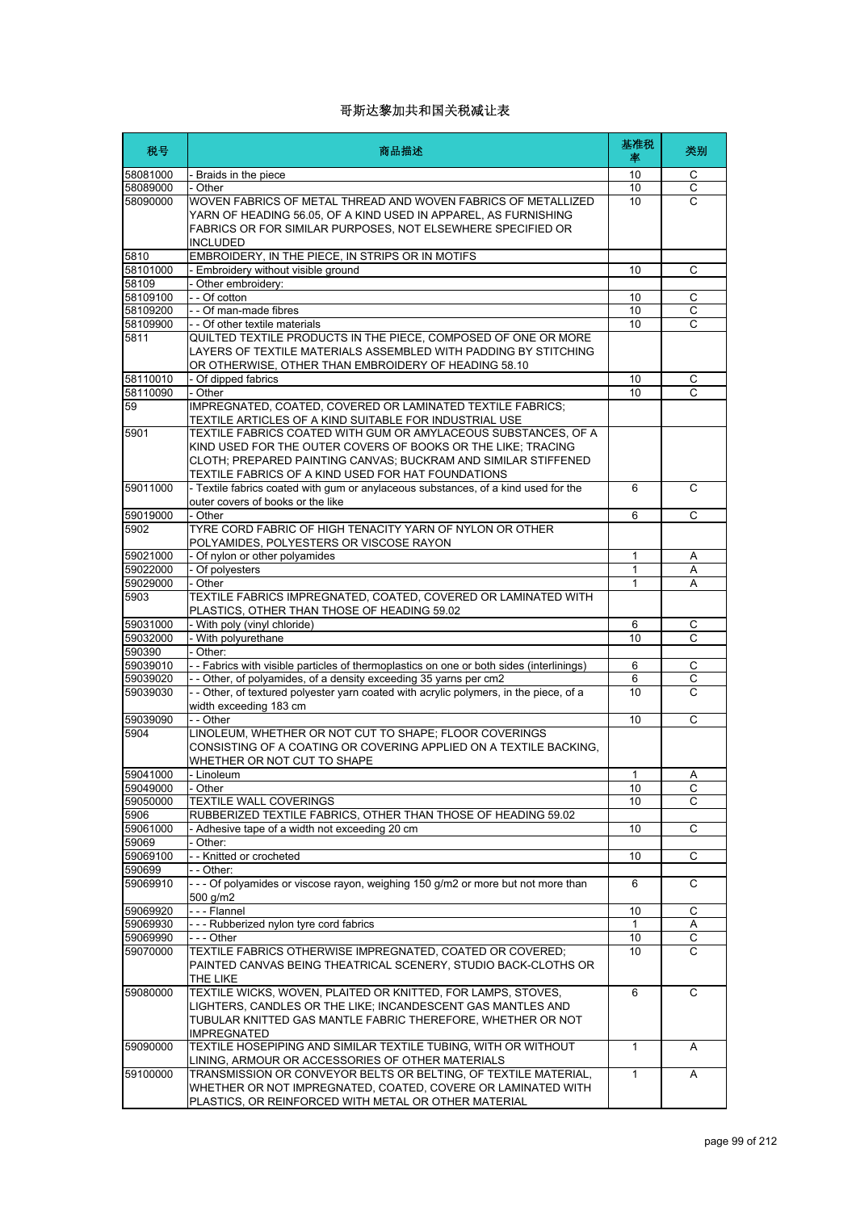| 税号                   | 商品描述                                                                                                                                                                                                                                                                                                                     | 基准税<br>率     | 类别                |
|----------------------|--------------------------------------------------------------------------------------------------------------------------------------------------------------------------------------------------------------------------------------------------------------------------------------------------------------------------|--------------|-------------------|
| 58081000             | - Braids in the piece                                                                                                                                                                                                                                                                                                    | 10           | С                 |
| 58089000             | - Other                                                                                                                                                                                                                                                                                                                  | 10           | $\overline{C}$    |
| 58090000             | WOVEN FABRICS OF METAL THREAD AND WOVEN FABRICS OF METALLIZED<br>YARN OF HEADING 56.05, OF A KIND USED IN APPAREL, AS FURNISHING<br>FABRICS OR FOR SIMILAR PURPOSES, NOT ELSEWHERE SPECIFIED OR<br><b>INCLUDED</b>                                                                                                       | 10           | C                 |
| 5810<br>58101000     | EMBROIDERY, IN THE PIECE, IN STRIPS OR IN MOTIFS<br>- Embroidery without visible ground                                                                                                                                                                                                                                  | 10           | C                 |
| 58109                | - Other embroidery:                                                                                                                                                                                                                                                                                                      |              |                   |
| 58109100             | - - Of cotton                                                                                                                                                                                                                                                                                                            | 10           | С                 |
| 58109200             | - - Of man-made fibres                                                                                                                                                                                                                                                                                                   | 10           | $\overline{c}$    |
| 58109900             | - - Of other textile materials                                                                                                                                                                                                                                                                                           | 10           | C                 |
| 5811                 | QUILTED TEXTILE PRODUCTS IN THE PIECE, COMPOSED OF ONE OR MORE<br>LAYERS OF TEXTILE MATERIALS ASSEMBLED WITH PADDING BY STITCHING<br>OR OTHERWISE, OTHER THAN EMBROIDERY OF HEADING 58.10                                                                                                                                |              |                   |
| 58110010             | - Of dipped fabrics                                                                                                                                                                                                                                                                                                      | 10           | C                 |
| 58110090             | - Other                                                                                                                                                                                                                                                                                                                  | 10           | C                 |
| 59<br>5901           | IMPREGNATED, COATED, COVERED OR LAMINATED TEXTILE FABRICS;<br>TEXTILE ARTICLES OF A KIND SUITABLE FOR INDUSTRIAL USE<br>TEXTILE FABRICS COATED WITH GUM OR AMYLACEOUS SUBSTANCES, OF A<br>KIND USED FOR THE OUTER COVERS OF BOOKS OR THE LIKE: TRACING<br>CLOTH; PREPARED PAINTING CANVAS; BUCKRAM AND SIMILAR STIFFENED |              |                   |
| 59011000             | TEXTILE FABRICS OF A KIND USED FOR HAT FOUNDATIONS<br>- Textile fabrics coated with gum or anylaceous substances, of a kind used for the                                                                                                                                                                                 | 6            | C                 |
|                      | outer covers of books or the like                                                                                                                                                                                                                                                                                        |              |                   |
| 59019000             | - Other                                                                                                                                                                                                                                                                                                                  | 6            | C                 |
| 5902                 | TYRE CORD FABRIC OF HIGH TENACITY YARN OF NYLON OR OTHER<br>POLYAMIDES, POLYESTERS OR VISCOSE RAYON                                                                                                                                                                                                                      |              |                   |
| 59021000             | - Of nylon or other polyamides                                                                                                                                                                                                                                                                                           | 1            | Α                 |
| 59022000             | - Of polyesters                                                                                                                                                                                                                                                                                                          | 1            | Α                 |
| 59029000             | - Other                                                                                                                                                                                                                                                                                                                  | 1            | A                 |
| 5903                 | TEXTILE FABRICS IMPREGNATED, COATED, COVERED OR LAMINATED WITH<br>PLASTICS, OTHER THAN THOSE OF HEADING 59.02                                                                                                                                                                                                            |              |                   |
| 59031000             | - With poly (vinyl chloride)                                                                                                                                                                                                                                                                                             | 6            | C                 |
| 59032000             | - With polyurethane                                                                                                                                                                                                                                                                                                      | 10           | C                 |
| 590390               | - Other:                                                                                                                                                                                                                                                                                                                 |              |                   |
| 59039010             | -- Fabrics with visible particles of thermoplastics on one or both sides (interlinings)                                                                                                                                                                                                                                  | 6            | C                 |
| 59039020<br>59039030 | - - Other, of polyamides, of a density exceeding 35 yarns per cm2<br>-- Other, of textured polyester yarn coated with acrylic polymers, in the piece, of a                                                                                                                                                               | 6<br>10      | C<br>$\mathsf{C}$ |
| 59039090             | width exceeding 183 cm<br>- - Other                                                                                                                                                                                                                                                                                      | 10           | C                 |
| 5904                 | LINOLEUM, WHETHER OR NOT CUT TO SHAPE; FLOOR COVERINGS<br>CONSISTING OF A COATING OR COVERING APPLIED ON A TEXTILE BACKING.<br>WHETHER OR NOT CUT TO SHAPE                                                                                                                                                               |              |                   |
| 59041000             | - Linoleum                                                                                                                                                                                                                                                                                                               | 1            | Α                 |
| 59049000             | - Other                                                                                                                                                                                                                                                                                                                  | 10           | С                 |
| 59050000             | <b>TEXTILE WALL COVERINGS</b>                                                                                                                                                                                                                                                                                            | 10           | C                 |
| 5906<br>59061000     | RUBBERIZED TEXTILE FABRICS, OTHER THAN THOSE OF HEADING 59.02<br>- Adhesive tape of a width not exceeding 20 cm                                                                                                                                                                                                          | 10           | С                 |
| 59069                | Other:                                                                                                                                                                                                                                                                                                                   |              |                   |
| 59069100             | -- Knitted or crocheted                                                                                                                                                                                                                                                                                                  | 10           | С                 |
| 590699               | - - Other:                                                                                                                                                                                                                                                                                                               |              |                   |
| 59069910             | --- Of polyamides or viscose rayon, weighing 150 g/m2 or more but not more than<br>500 a/m2                                                                                                                                                                                                                              | 6            | C                 |
| 59069920             | --- Flannel                                                                                                                                                                                                                                                                                                              | 10           | С                 |
| 59069930             | --- Rubberized nylon tyre cord fabrics                                                                                                                                                                                                                                                                                   | $\mathbf{1}$ | Α                 |
| 59069990             | - - - Other                                                                                                                                                                                                                                                                                                              | 10           | С                 |
| 59070000             | TEXTILE FABRICS OTHERWISE IMPREGNATED, COATED OR COVERED;<br>PAINTED CANVAS BEING THEATRICAL SCENERY, STUDIO BACK-CLOTHS OR<br>THE LIKE                                                                                                                                                                                  | 10           | C                 |
| 59080000             | TEXTILE WICKS, WOVEN, PLAITED OR KNITTED, FOR LAMPS, STOVES,<br>LIGHTERS, CANDLES OR THE LIKE; INCANDESCENT GAS MANTLES AND<br>TUBULAR KNITTED GAS MANTLE FABRIC THEREFORE, WHETHER OR NOT<br><b>IMPREGNATED</b>                                                                                                         | 6            | C                 |
| 59090000             | TEXTILE HOSEPIPING AND SIMILAR TEXTILE TUBING, WITH OR WITHOUT<br>LINING, ARMOUR OR ACCESSORIES OF OTHER MATERIALS                                                                                                                                                                                                       | 1            | A                 |
| 59100000             | TRANSMISSION OR CONVEYOR BELTS OR BELTING, OF TEXTILE MATERIAL,<br>WHETHER OR NOT IMPREGNATED, COATED, COVERE OR LAMINATED WITH<br>PLASTICS, OR REINFORCED WITH METAL OR OTHER MATERIAL                                                                                                                                  | 1            | Α                 |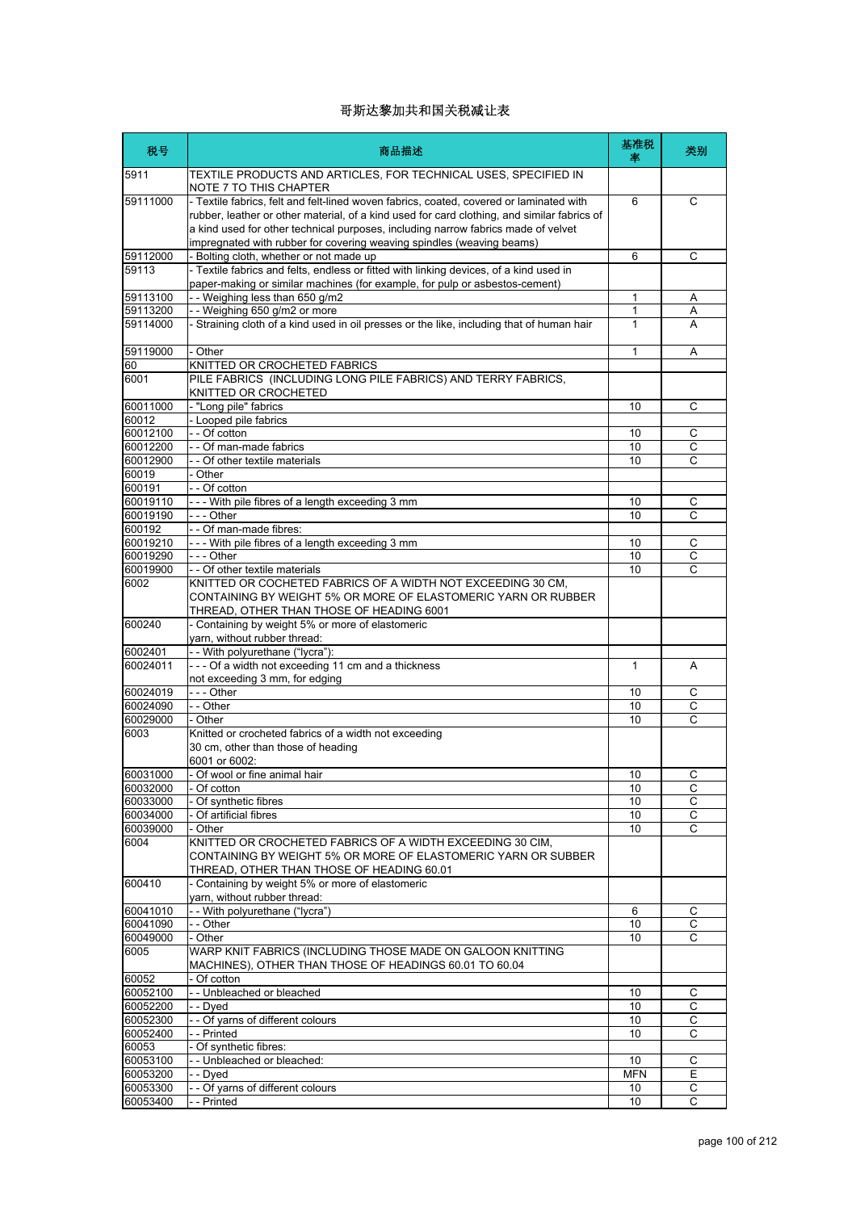| 税号                   | 商品描述                                                                                                                                                                                                                                                                                                                                                 | 基准税<br>率         | 类别             |
|----------------------|------------------------------------------------------------------------------------------------------------------------------------------------------------------------------------------------------------------------------------------------------------------------------------------------------------------------------------------------------|------------------|----------------|
| 5911                 | TEXTILE PRODUCTS AND ARTICLES, FOR TECHNICAL USES, SPECIFIED IN<br>NOTE 7 TO THIS CHAPTER                                                                                                                                                                                                                                                            |                  |                |
| 59111000             | - Textile fabrics, felt and felt-lined woven fabrics, coated, covered or laminated with<br>rubber, leather or other material, of a kind used for card clothing, and similar fabrics of<br>a kind used for other technical purposes, including narrow fabrics made of velvet<br>impregnated with rubber for covering weaving spindles (weaving beams) | 6                | C              |
| 59112000<br>59113    | - Bolting cloth, whether or not made up<br>- Textile fabrics and felts, endless or fitted with linking devices, of a kind used in                                                                                                                                                                                                                    | 6                | C              |
|                      | paper-making or similar machines (for example, for pulp or asbestos-cement)                                                                                                                                                                                                                                                                          |                  |                |
| 59113100<br>59113200 | - - Weighing less than 650 g/m2<br>- - Weighing 650 g/m2 or more                                                                                                                                                                                                                                                                                     | 1<br>1           | Α<br>Α         |
| 59114000             | - Straining cloth of a kind used in oil presses or the like, including that of human hair                                                                                                                                                                                                                                                            | $\mathbf{1}$     | A              |
|                      |                                                                                                                                                                                                                                                                                                                                                      |                  |                |
| 59119000             | - Other                                                                                                                                                                                                                                                                                                                                              | 1                | Α              |
| 60                   | KNITTED OR CROCHETED FABRICS                                                                                                                                                                                                                                                                                                                         |                  |                |
| 6001                 | PILE FABRICS (INCLUDING LONG PILE FABRICS) AND TERRY FABRICS,<br>KNITTED OR CROCHETED                                                                                                                                                                                                                                                                |                  |                |
| 60011000             | - "Long pile" fabrics                                                                                                                                                                                                                                                                                                                                | 10               | C              |
| 60012                | - Looped pile fabrics                                                                                                                                                                                                                                                                                                                                |                  |                |
| 60012100             | - - Of cotton                                                                                                                                                                                                                                                                                                                                        | 10               | С              |
| 60012200             | - - Of man-made fabrics                                                                                                                                                                                                                                                                                                                              | 10               | $\overline{c}$ |
| 60012900             | - - Of other textile materials                                                                                                                                                                                                                                                                                                                       | 10               | C              |
| 60019                | - Other                                                                                                                                                                                                                                                                                                                                              |                  |                |
| 600191               | - - Of cotton                                                                                                                                                                                                                                                                                                                                        |                  |                |
| 60019110             | --- With pile fibres of a length exceeding 3 mm                                                                                                                                                                                                                                                                                                      | 10               | C              |
| 60019190             | $--$ Other                                                                                                                                                                                                                                                                                                                                           | 10               | C              |
| 600192               | - - Of man-made fibres:                                                                                                                                                                                                                                                                                                                              |                  |                |
| 60019210<br>60019290 | --- With pile fibres of a length exceeding 3 mm<br>--- Other                                                                                                                                                                                                                                                                                         | 10               | C              |
| 60019900             | - - Of other textile materials                                                                                                                                                                                                                                                                                                                       | 10<br>10         | C<br>С         |
| 6002                 | KNITTED OR COCHETED FABRICS OF A WIDTH NOT EXCEEDING 30 CM,                                                                                                                                                                                                                                                                                          |                  |                |
|                      | CONTAINING BY WEIGHT 5% OR MORE OF ELASTOMERIC YARN OR RUBBER<br>THREAD, OTHER THAN THOSE OF HEADING 6001                                                                                                                                                                                                                                            |                  |                |
| 600240               | - Containing by weight 5% or more of elastomeric<br>yarn, without rubber thread:                                                                                                                                                                                                                                                                     |                  |                |
| 6002401              | - - With polyurethane ("lycra"):                                                                                                                                                                                                                                                                                                                     |                  |                |
| 60024011             | --- Of a width not exceeding 11 cm and a thickness                                                                                                                                                                                                                                                                                                   | 1                | A              |
|                      | not exceeding 3 mm, for edging                                                                                                                                                                                                                                                                                                                       |                  |                |
| 60024019             | --- Other                                                                                                                                                                                                                                                                                                                                            | 10               | С              |
| 60024090             | - - Other                                                                                                                                                                                                                                                                                                                                            | 10               | $\overline{c}$ |
| 60029000             | - Other                                                                                                                                                                                                                                                                                                                                              | 10               | C              |
| 6003                 | Knitted or crocheted fabrics of a width not exceeding<br>30 cm, other than those of heading<br>6001 or 6002:                                                                                                                                                                                                                                         |                  |                |
| 60031000             | - Of wool or fine animal hair                                                                                                                                                                                                                                                                                                                        | 10               | С              |
| 60032000             | - Of cotton                                                                                                                                                                                                                                                                                                                                          | 10               | C              |
| 60033000             | - Of synthetic fibres                                                                                                                                                                                                                                                                                                                                | 10               | C              |
| 60034000             | - Of artificial fibres                                                                                                                                                                                                                                                                                                                               | 10               | C              |
| 60039000             | - Other                                                                                                                                                                                                                                                                                                                                              | 10               | $\overline{C}$ |
| 6004                 | KNITTED OR CROCHETED FABRICS OF A WIDTH EXCEEDING 30 CIM,<br>CONTAINING BY WEIGHT 5% OR MORE OF ELASTOMERIC YARN OR SUBBER<br>THREAD, OTHER THAN THOSE OF HEADING 60.01                                                                                                                                                                              |                  |                |
| 600410               | - Containing by weight 5% or more of elastomeric<br>yarn, without rubber thread:                                                                                                                                                                                                                                                                     |                  |                |
| 60041010             | - - With polyurethane ("lycra")                                                                                                                                                                                                                                                                                                                      | 6                | C              |
| 60041090             | $ -$ Other                                                                                                                                                                                                                                                                                                                                           | 10               | С              |
| 60049000             | - Other                                                                                                                                                                                                                                                                                                                                              | 10               | C              |
| 6005                 | WARP KNIT FABRICS (INCLUDING THOSE MADE ON GALOON KNITTING<br>MACHINES), OTHER THAN THOSE OF HEADINGS 60.01 TO 60.04                                                                                                                                                                                                                                 |                  |                |
| 60052                | - Of cotton                                                                                                                                                                                                                                                                                                                                          |                  |                |
| 60052100             | - - Unbleached or bleached                                                                                                                                                                                                                                                                                                                           | 10               | С              |
| 60052200             | - - Dyed                                                                                                                                                                                                                                                                                                                                             | 10               | С              |
| 60052300             | - - Of yarns of different colours                                                                                                                                                                                                                                                                                                                    | 10               | С              |
| 60052400             | - - Printed                                                                                                                                                                                                                                                                                                                                          | 10               | C              |
| 60053                | - Of synthetic fibres:                                                                                                                                                                                                                                                                                                                               |                  |                |
| 60053100<br>60053200 | -- Unbleached or bleached:<br>- - Dyed                                                                                                                                                                                                                                                                                                               | 10<br><b>MFN</b> | C<br>Е         |
|                      |                                                                                                                                                                                                                                                                                                                                                      |                  |                |
| 60053300             | - - Of yarns of different colours                                                                                                                                                                                                                                                                                                                    | 10               | С              |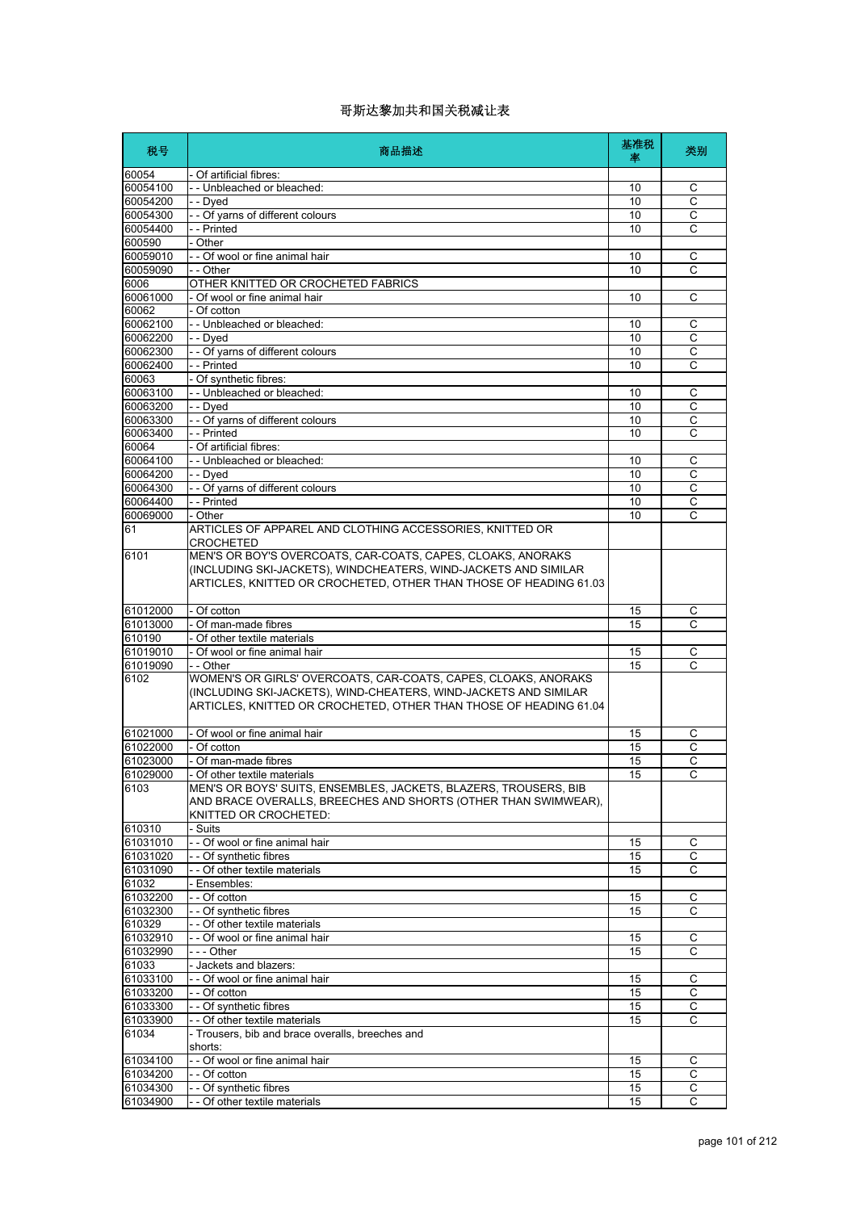| 税号                   | 商品描述                                                                        | 基准税<br>塞 | 类别             |
|----------------------|-----------------------------------------------------------------------------|----------|----------------|
| 60054                | - Of artificial fibres:                                                     |          |                |
| 60054100             | -- Unbleached or bleached:                                                  | 10       | C              |
| 60054200             | - - Dyed                                                                    | 10       | C              |
| 60054300             | - - Of yarns of different colours                                           | 10       | C              |
| 60054400             | - - Printed                                                                 | 10       | C              |
| 600590               | - Other                                                                     |          |                |
| 60059010             | - - Of wool or fine animal hair                                             | 10       | C              |
| 60059090             | - - Other                                                                   | 10       | C              |
| 6006<br>60061000     | OTHER KNITTED OR CROCHETED FABRICS<br>- Of wool or fine animal hair         | 10       | C              |
| 60062                | - Of cotton                                                                 |          |                |
| 60062100             | - - Unbleached or bleached:                                                 | 10       | С              |
| 60062200             | - - Dyed                                                                    | 10       | С              |
| 60062300             | - - Of yarns of different colours                                           | 10       | C              |
| 60062400             | - - Printed                                                                 | 10       | С              |
| 60063                | - Of synthetic fibres:                                                      |          |                |
| 60063100             | -- Unbleached or bleached:                                                  | 10       | C              |
| 60063200             | - - Dyed                                                                    | 10       | С              |
| 60063300             | - - Of yarns of different colours                                           | 10       | $\overline{c}$ |
| 60063400             | - - Printed                                                                 | 10       | C              |
| 60064                | - Of artificial fibres:                                                     |          |                |
| 60064100             | - Unbleached or bleached:                                                   | 10       | C              |
| 60064200             | - - Dyed                                                                    | 10       | C              |
| 60064300             | - - Of yarns of different colours                                           | 10       | С<br>C         |
| 60064400<br>60069000 | - - Printed<br>- Other                                                      | 10<br>10 | C              |
| 61                   | ARTICLES OF APPAREL AND CLOTHING ACCESSORIES, KNITTED OR                    |          |                |
|                      | CROCHETED                                                                   |          |                |
| 6101                 | MEN'S OR BOY'S OVERCOATS, CAR-COATS, CAPES, CLOAKS, ANORAKS                 |          |                |
|                      | (INCLUDING SKI-JACKETS), WINDCHEATERS, WIND-JACKETS AND SIMILAR             |          |                |
|                      | ARTICLES, KNITTED OR CROCHETED, OTHER THAN THOSE OF HEADING 61.03           |          |                |
|                      |                                                                             |          |                |
| 61012000             | - Of cotton                                                                 | 15       | С              |
| 61013000             | - Of man-made fibres                                                        | 15       | C              |
| 610190               | - Of other textile materials                                                |          |                |
| 61019010             | - Of wool or fine animal hair                                               | 15       | C              |
| 61019090<br>6102     | - - Other<br>WOMEN'S OR GIRLS' OVERCOATS, CAR-COATS, CAPES, CLOAKS, ANORAKS | 15       | C              |
|                      | (INCLUDING SKI-JACKETS), WIND-CHEATERS, WIND-JACKETS AND SIMILAR            |          |                |
|                      | ARTICLES, KNITTED OR CROCHETED, OTHER THAN THOSE OF HEADING 61.04           |          |                |
|                      |                                                                             |          |                |
| 61021000             | - Of wool or fine animal hair                                               | 15       | C              |
| 61022000             | - Of cotton                                                                 | 15       | С              |
| 61023000             | - Of man-made fibres                                                        | 15       | $\mathsf C$    |
| 61029000             | - Of other textile materials                                                | 15       | C              |
| 6103                 | MEN'S OR BOYS' SUITS, ENSEMBLES, JACKETS, BLAZERS, TROUSERS, BIB            |          |                |
|                      | AND BRACE OVERALLS, BREECHES AND SHORTS (OTHER THAN SWIMWEAR),              |          |                |
|                      | KNITTED OR CROCHETED:                                                       |          |                |
| 610310               | - Suits                                                                     |          |                |
| 61031010             | - - Of wool or fine animal hair                                             | 15       | $\mathsf C$    |
| 61031020             | -- Of synthetic fibres                                                      | 15       | С              |
| 61031090             | - - Of other textile materials                                              | 15       | С              |
| 61032                | - Ensembles:<br>- - Of cotton                                               |          |                |
| 61032200             | - - Of synthetic fibres                                                     | 15       | С              |
| 61032300<br>610329   | - - Of other textile materials                                              | 15       | С              |
| 61032910             | - - Of wool or fine animal hair                                             | 15       | C              |
| 61032990             | - - - Other                                                                 | 15       | С              |
| 61033                | - Jackets and blazers:                                                      |          |                |
| 61033100             | - - Of wool or fine animal hair                                             | 15       | С              |
| 61033200             | - - Of cotton                                                               | 15       | C              |
| 61033300             | - - Of synthetic fibres                                                     | 15       | C              |
| 61033900             | - - Of other textile materials                                              | 15       | С              |
| 61034                | - Trousers, bib and brace overalls, breeches and                            |          |                |
|                      | shorts:                                                                     |          |                |
| 61034100             | - - Of wool or fine animal hair                                             | 15       | С              |
| 61034200             | - - Of cotton                                                               | 15       | C              |
| 61034300             | - - Of synthetic fibres                                                     | 15       | С              |
| 61034900             | - Of other textile materials                                                | 15       | С              |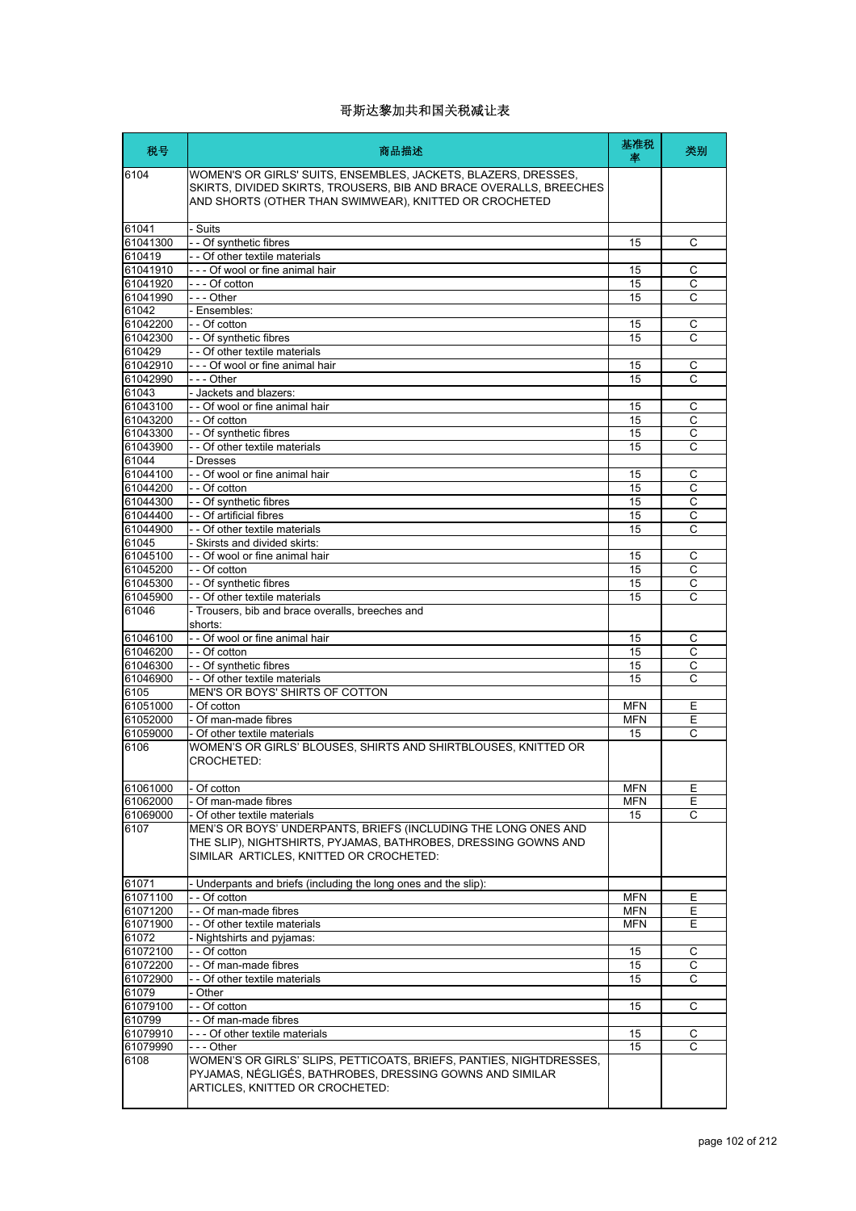| 税号                   | 商品描述                                                                                                                                                                                           | 基准税<br>率   | 类别             |
|----------------------|------------------------------------------------------------------------------------------------------------------------------------------------------------------------------------------------|------------|----------------|
| 6104                 | WOMEN'S OR GIRLS' SUITS, ENSEMBLES, JACKETS, BLAZERS, DRESSES,<br>SKIRTS, DIVIDED SKIRTS, TROUSERS, BIB AND BRACE OVERALLS, BREECHES<br>AND SHORTS (OTHER THAN SWIMWEAR), KNITTED OR CROCHETED |            |                |
| 61041                | - Suits                                                                                                                                                                                        |            |                |
| 61041300             | - - Of synthetic fibres                                                                                                                                                                        | 15         | C              |
| 610419               | - - Of other textile materials                                                                                                                                                                 |            |                |
| 61041910             | --- Of wool or fine animal hair                                                                                                                                                                | 15         | C              |
| 61041920             | l--- Of cotton                                                                                                                                                                                 | 15         | C              |
| 61041990             | $- -$ - Other                                                                                                                                                                                  | 15         | С              |
| 61042                | - Ensembles:                                                                                                                                                                                   |            |                |
| 61042200<br>61042300 | - - Of cotton                                                                                                                                                                                  | 15<br>15   | С<br>C         |
| 610429               | - - Of synthetic fibres<br>- - Of other textile materials                                                                                                                                      |            |                |
| 61042910             | - - - Of wool or fine animal hair                                                                                                                                                              | 15         | С              |
| 61042990             | - - - Other                                                                                                                                                                                    | 15         | C              |
| 61043                | - Jackets and blazers:                                                                                                                                                                         |            |                |
| 61043100             | - - Of wool or fine animal hair                                                                                                                                                                | 15         | С              |
| 61043200             | - - Of cotton                                                                                                                                                                                  | 15         | $\overline{c}$ |
| 61043300             | - - Of synthetic fibres                                                                                                                                                                        | 15         | C              |
| 61043900             | - - Of other textile materials                                                                                                                                                                 | 15         | C              |
| 61044                | - Dresses                                                                                                                                                                                      |            |                |
| 61044100             | - - Of wool or fine animal hair                                                                                                                                                                | 15         | С              |
| 61044200             | - - Of cotton                                                                                                                                                                                  | 15         | С              |
| 61044300             | - - Of synthetic fibres                                                                                                                                                                        | 15         | C              |
| 61044400             | - - Of artificial fibres                                                                                                                                                                       | 15         | C              |
| 61044900             | - - Of other textile materials                                                                                                                                                                 | 15         | С              |
| 61045                | - Skirsts and divided skirts:                                                                                                                                                                  |            |                |
| 61045100             | - - Of wool or fine animal hair                                                                                                                                                                | 15         | С              |
| 61045200             | - - Of cotton                                                                                                                                                                                  | 15         | C              |
| 61045300             | - - Of synthetic fibres<br>- - Of other textile materials                                                                                                                                      | 15<br>15   | C<br>С         |
| 61045900<br>61046    | - Trousers, bib and brace overalls, breeches and                                                                                                                                               |            |                |
|                      | shorts:                                                                                                                                                                                        |            |                |
| 61046100             | - - Of wool or fine animal hair                                                                                                                                                                | 15         | С              |
| 61046200             | - - Of cotton                                                                                                                                                                                  | 15         | C              |
| 61046300             | - - Of synthetic fibres                                                                                                                                                                        | 15         | С              |
| 61046900             | - - Of other textile materials                                                                                                                                                                 | 15         | C              |
| 6105                 | MEN'S OR BOYS' SHIRTS OF COTTON                                                                                                                                                                |            |                |
| 61051000             | - Of cotton                                                                                                                                                                                    | <b>MFN</b> | Е              |
| 61052000             | - Of man-made fibres                                                                                                                                                                           | <b>MFN</b> | Е              |
| 61059000             | - Of other textile materials                                                                                                                                                                   | 15         | C              |
| 6106                 | WOMEN'S OR GIRLS' BLOUSES, SHIRTS AND SHIRTBLOUSES, KNITTED OR<br><b>CROCHETED:</b>                                                                                                            |            |                |
| 61061000             | - Of cotton                                                                                                                                                                                    | <b>MFN</b> | Ε              |
| 61062000             | - Of man-made fibres                                                                                                                                                                           | <b>MFN</b> | E              |
| 61069000             | - Of other textile materials                                                                                                                                                                   | 15         | C              |
| 6107                 | MEN'S OR BOYS' UNDERPANTS, BRIEFS (INCLUDING THE LONG ONES AND<br>THE SLIP), NIGHTSHIRTS, PYJAMAS, BATHROBES, DRESSING GOWNS AND<br>SIMILAR ARTICLES, KNITTED OR CROCHETED:                    |            |                |
| 61071                | - Underpants and briefs (including the long ones and the slip):                                                                                                                                |            |                |
| 61071100             | - - Of cotton                                                                                                                                                                                  | MFN        | Ε              |
| 61071200             | - - Of man-made fibres                                                                                                                                                                         | <b>MFN</b> | Ε              |
| 61071900             | - - Of other textile materials                                                                                                                                                                 | <b>MFN</b> | Е              |
| 61072                | - Nightshirts and pyjamas:                                                                                                                                                                     |            |                |
| 61072100             | - - Of cotton                                                                                                                                                                                  | 15         | С              |
| 61072200             | - - Of man-made fibres                                                                                                                                                                         | 15         | $\overline{c}$ |
| 61072900             | - - Of other textile materials                                                                                                                                                                 | 15         | С              |
| 61079                | - Other                                                                                                                                                                                        |            |                |
| 61079100             | - - Of cotton                                                                                                                                                                                  | 15         | C              |
| 610799               | - - Of man-made fibres                                                                                                                                                                         |            |                |
| 61079910             | --- Of other textile materials                                                                                                                                                                 | 15         | С              |
| 61079990             | - - - Other                                                                                                                                                                                    | 15         | C              |
| 6108                 | WOMEN'S OR GIRLS' SLIPS, PETTICOATS, BRIEFS, PANTIES, NIGHTDRESSES,<br>PYJAMAS, NÉGLIGÉS, BATHROBES, DRESSING GOWNS AND SIMILAR<br>ARTICLES, KNITTED OR CROCHETED:                             |            |                |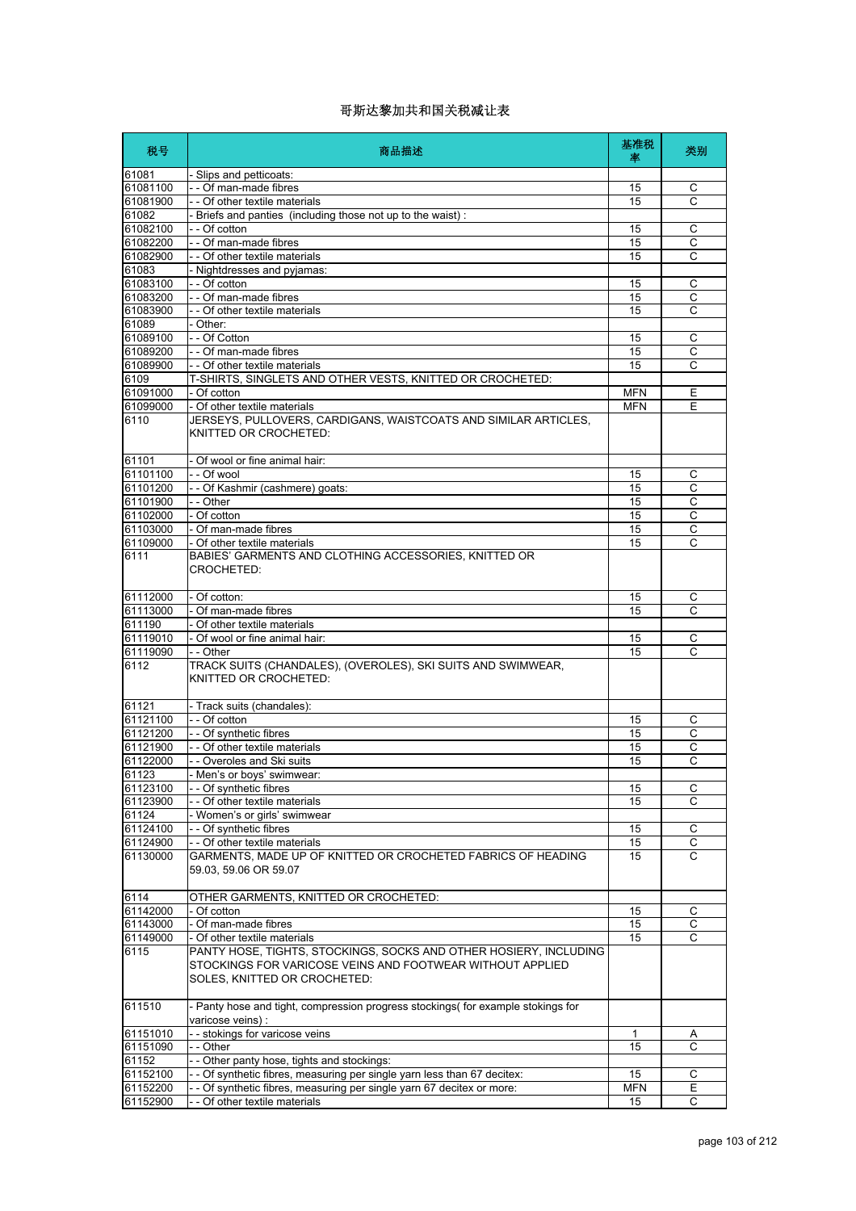| 税号                   | 商品描述                                                                                                                                                           | 基准税<br>率   | 类别             |
|----------------------|----------------------------------------------------------------------------------------------------------------------------------------------------------------|------------|----------------|
| 61081                | - Slips and petticoats:                                                                                                                                        |            |                |
| 61081100             | - - Of man-made fibres                                                                                                                                         | 15         | C              |
| 61081900             | - - Of other textile materials                                                                                                                                 | 15         | C              |
| 61082                | - Briefs and panties (including those not up to the waist):                                                                                                    |            |                |
| 61082100             | - - Of cotton                                                                                                                                                  | 15         | C              |
| 61082200             | - - Of man-made fibres                                                                                                                                         | 15         | $\overline{c}$ |
| 61082900             | - - Of other textile materials                                                                                                                                 | 15         | C              |
| 61083                | - Nightdresses and pyjamas:                                                                                                                                    |            |                |
| 61083100<br>61083200 | - - Of cotton<br>- - Of man-made fibres                                                                                                                        | 15         | С              |
| 61083900             | - - Of other textile materials                                                                                                                                 | 15<br>15   | С<br>C         |
| 61089                | - Other:                                                                                                                                                       |            |                |
| 61089100             | - - Of Cotton                                                                                                                                                  | 15         | С              |
| 61089200             | - - Of man-made fibres                                                                                                                                         | 15         | $\overline{c}$ |
| 61089900             | - - Of other textile materials                                                                                                                                 | 15         | С              |
| 6109                 | T-SHIRTS, SINGLETS AND OTHER VESTS, KNITTED OR CROCHETED:                                                                                                      |            |                |
| 61091000             | - Of cotton                                                                                                                                                    | <b>MFN</b> | Ε              |
| 61099000             | - Of other textile materials                                                                                                                                   | <b>MFN</b> | E              |
| 6110                 | JERSEYS, PULLOVERS, CARDIGANS, WAISTCOATS AND SIMILAR ARTICLES,<br>KNITTED OR CROCHETED:                                                                       |            |                |
| 61101                | - Of wool or fine animal hair:                                                                                                                                 |            |                |
| 61101100             | - - Of wool                                                                                                                                                    | 15         | С              |
| 61101200             | - - Of Kashmir (cashmere) goats:                                                                                                                               | 15         | С              |
| 61101900             | - - Other                                                                                                                                                      | 15         | C              |
| 61102000             | - Of cotton                                                                                                                                                    | 15         | C              |
| 61103000             | - Of man-made fibres                                                                                                                                           | 15         | С              |
| 61109000             | - Of other textile materials                                                                                                                                   | 15         | C              |
| 6111                 | BABIES' GARMENTS AND CLOTHING ACCESSORIES, KNITTED OR<br>CROCHETED:                                                                                            |            |                |
| 61112000             | - Of cotton:                                                                                                                                                   | 15         | С              |
| 61113000             | - Of man-made fibres                                                                                                                                           | 15         | $\mathsf{C}$   |
| 611190               | - Of other textile materials                                                                                                                                   |            |                |
| 61119010             | - Of wool or fine animal hair:                                                                                                                                 | 15         | С              |
| 61119090             | - - Other                                                                                                                                                      | 15         | C              |
| 6112                 | TRACK SUITS (CHANDALES), (OVEROLES), SKI SUITS AND SWIMWEAR,<br>KNITTED OR CROCHETED:                                                                          |            |                |
| 61121                | - Track suits (chandales):                                                                                                                                     |            |                |
| 61121100             | - - Of cotton                                                                                                                                                  | 15         | С              |
| 61121200             | - - Of synthetic fibres                                                                                                                                        | 15         | C              |
| 61121900             | - - Of other textile materials                                                                                                                                 | 15         | C              |
| 61122000             | - - Overoles and Ski suits                                                                                                                                     | 15         | C              |
| 61123                | - Men's or boys' swimwear:                                                                                                                                     |            |                |
| 61123100             | - - Of synthetic fibres                                                                                                                                        | 15         | С              |
| 61123900             | - Of other textile materials                                                                                                                                   | 15         | C              |
| 61124                | Women's or girls' swimwear                                                                                                                                     |            |                |
| 61124100             | -- Of synthetic fibres                                                                                                                                         | 15         | С              |
| 61124900             | - - Of other textile materials                                                                                                                                 | 15         | $\overline{C}$ |
| 61130000             | GARMENTS, MADE UP OF KNITTED OR CROCHETED FABRICS OF HEADING<br>59.03, 59.06 OR 59.07                                                                          | 15         | C              |
| 6114                 | OTHER GARMENTS, KNITTED OR CROCHETED:                                                                                                                          |            |                |
| 61142000             | - Of cotton                                                                                                                                                    | 15         | С              |
| 61143000             | - Of man-made fibres                                                                                                                                           | 15         | $\mathsf C$    |
| 61149000             | Of other textile materials                                                                                                                                     | 15         | C              |
| 6115                 | PANTY HOSE, TIGHTS, STOCKINGS, SOCKS AND OTHER HOSIERY, INCLUDING<br>STOCKINGS FOR VARICOSE VEINS AND FOOTWEAR WITHOUT APPLIED<br>SOLES, KNITTED OR CROCHETED: |            |                |
| 611510               | - Panty hose and tight, compression progress stockings( for example stokings for<br>varicose veins) :                                                          |            |                |
| 61151010             | - - stokings for varicose veins                                                                                                                                | 1          | Α              |
| 61151090             | - - Other                                                                                                                                                      | 15         | С              |
| 61152                | - - Other panty hose, tights and stockings:                                                                                                                    |            |                |
| 61152100             | - Of synthetic fibres, measuring per single yarn less than 67 decitex:                                                                                         | 15         | C              |
| 61152200             | - - Of synthetic fibres, measuring per single yarn 67 decitex or more:                                                                                         | <b>MFN</b> | Е              |
| 61152900             | - Of other textile materials                                                                                                                                   | 15         | С              |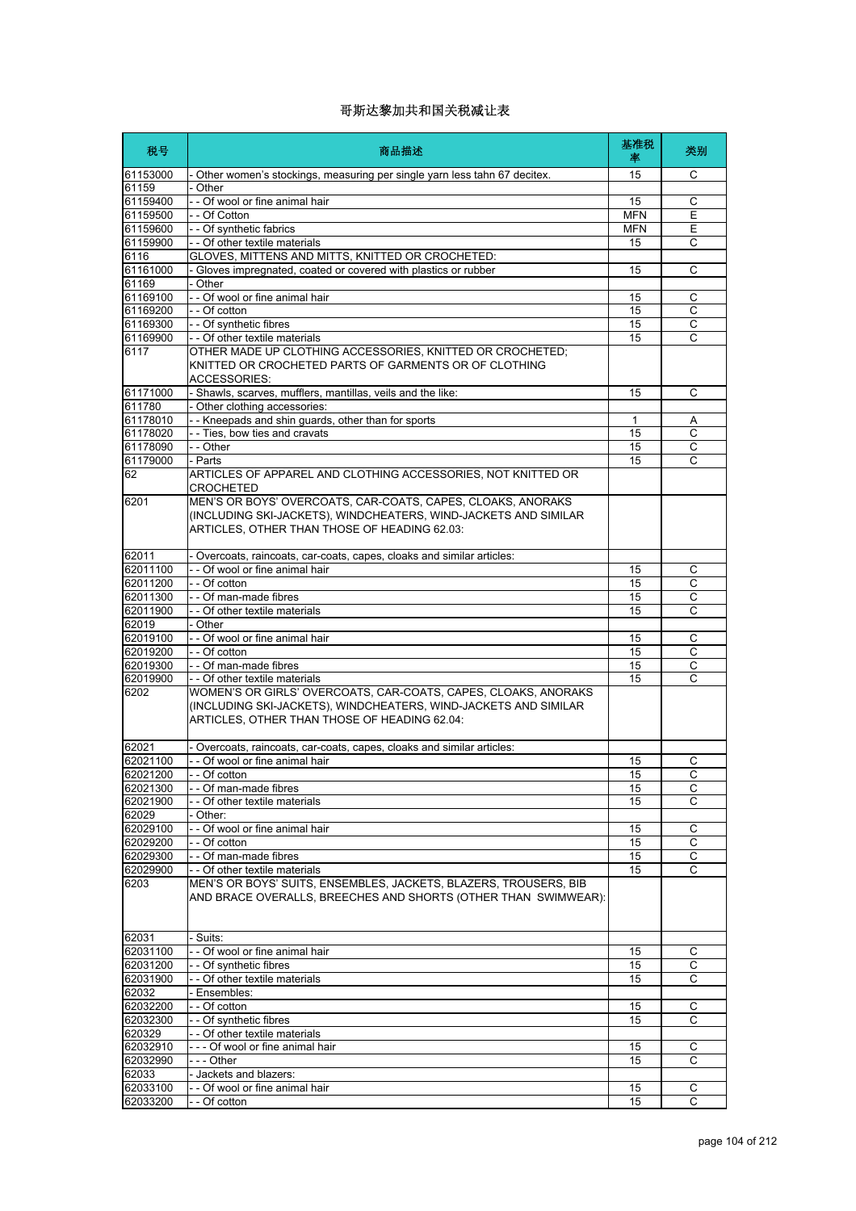| 税号                   | 商品描述                                                                                                                                                                              | 基准税<br>率         | 类别                  |
|----------------------|-----------------------------------------------------------------------------------------------------------------------------------------------------------------------------------|------------------|---------------------|
| 61153000             | - Other women's stockings, measuring per single yarn less tahn 67 decitex.                                                                                                        | 15               | C                   |
| 61159                | - Other                                                                                                                                                                           |                  |                     |
| 61159400<br>61159500 | - - Of wool or fine animal hair<br>- - Of Cotton                                                                                                                                  | 15<br><b>MFN</b> | С<br>E              |
| 61159600             | - - Of synthetic fabrics                                                                                                                                                          | <b>MFN</b>       | Е                   |
| 61159900             | - - Of other textile materials                                                                                                                                                    | 15               | С                   |
| 6116                 | GLOVES, MITTENS AND MITTS, KNITTED OR CROCHETED:                                                                                                                                  |                  |                     |
| 61161000             | - Gloves impregnated, coated or covered with plastics or rubber                                                                                                                   | 15               | С                   |
| 61169                | - Other                                                                                                                                                                           |                  |                     |
| 61169100             | - - Of wool or fine animal hair                                                                                                                                                   | 15               | C                   |
| 61169200             | - - Of cotton                                                                                                                                                                     | 15               | С                   |
| 61169300<br>61169900 | - - Of synthetic fibres<br>- - Of other textile materials                                                                                                                         | 15<br>15         | $\overline{C}$<br>C |
| 6117                 | OTHER MADE UP CLOTHING ACCESSORIES, KNITTED OR CROCHETED;<br>KNITTED OR CROCHETED PARTS OF GARMENTS OR OF CLOTHING<br><b>ACCESSORIES:</b>                                         |                  |                     |
| 61171000             | - Shawls, scarves, mufflers, mantillas, veils and the like:                                                                                                                       | 15               | С                   |
| 611780               | - Other clothing accessories:                                                                                                                                                     |                  |                     |
| 61178010             | - - Kneepads and shin guards, other than for sports                                                                                                                               | 1                | Α                   |
| 61178020             | - - Ties, bow ties and cravats                                                                                                                                                    | 15               | С                   |
| 61178090<br>61179000 | - - Other<br>- Parts                                                                                                                                                              | 15<br>15         | $\overline{c}$<br>C |
| 62                   | ARTICLES OF APPAREL AND CLOTHING ACCESSORIES, NOT KNITTED OR<br><b>CROCHETED</b>                                                                                                  |                  |                     |
| 6201                 | MEN'S OR BOYS' OVERCOATS, CAR-COATS, CAPES, CLOAKS, ANORAKS<br>(INCLUDING SKI-JACKETS), WINDCHEATERS, WIND-JACKETS AND SIMILAR<br>ARTICLES, OTHER THAN THOSE OF HEADING 62.03:    |                  |                     |
| 62011                | - Overcoats, raincoats, car-coats, capes, cloaks and similar articles:                                                                                                            |                  |                     |
| 62011100             | - - Of wool or fine animal hair                                                                                                                                                   | 15               | С                   |
| 62011200             | - - Of cotton                                                                                                                                                                     | 15               | C                   |
| 62011300             | - - Of man-made fibres                                                                                                                                                            | 15               | С                   |
| 62011900             | - - Of other textile materials                                                                                                                                                    | 15               | C                   |
| 62019<br>62019100    | - Other<br>- - Of wool or fine animal hair                                                                                                                                        | 15               | C                   |
| 62019200             | - - Of cotton                                                                                                                                                                     | 15               | С                   |
| 62019300             | - - Of man-made fibres                                                                                                                                                            | 15               | $\mathsf C$         |
| 62019900             | - - Of other textile materials                                                                                                                                                    | 15               | C                   |
| 6202                 | WOMEN'S OR GIRLS' OVERCOATS, CAR-COATS, CAPES, CLOAKS, ANORAKS<br>(INCLUDING SKI-JACKETS), WINDCHEATERS, WIND-JACKETS AND SIMILAR<br>ARTICLES, OTHER THAN THOSE OF HEADING 62.04: |                  |                     |
| 62021                | - Overcoats, raincoats, car-coats, capes, cloaks and similar articles:                                                                                                            |                  |                     |
| 62021100             | - - Of wool or fine animal hair                                                                                                                                                   | 15               | С                   |
| 62021200             | Of cotton                                                                                                                                                                         | 15               | C                   |
| 62021300             | - - Of man-made fibres                                                                                                                                                            | 15               | $\mathsf{C}$        |
| 62021900<br>62029    | - - Of other textile materials<br>- Other:                                                                                                                                        | 15               | С                   |
| 62029100             | - - Of wool or fine animal hair                                                                                                                                                   | 15               | C                   |
| 62029200             | - - Of cotton                                                                                                                                                                     | 15               | C                   |
| 62029300             | - - Of man-made fibres                                                                                                                                                            | 15               | С                   |
| 62029900             | - - Of other textile materials                                                                                                                                                    | 15               | C                   |
| 6203                 | MEN'S OR BOYS' SUITS, ENSEMBLES, JACKETS, BLAZERS, TROUSERS, BIB<br>AND BRACE OVERALLS, BREECHES AND SHORTS (OTHER THAN SWIMWEAR):                                                |                  |                     |
| 62031                | - Suits:                                                                                                                                                                          |                  |                     |
| 62031100             | - - Of wool or fine animal hair                                                                                                                                                   | 15               | С                   |
| 62031200             | -- Of synthetic fibres                                                                                                                                                            | 15               | С                   |
| 62031900             | - - Of other textile materials                                                                                                                                                    | 15               | C                   |
| 62032<br>62032200    | - Ensembles:<br>- - Of cotton                                                                                                                                                     | 15               | C                   |
| 62032300             | - - Of synthetic fibres                                                                                                                                                           | 15               | C                   |
| 620329               | - - Of other textile materials                                                                                                                                                    |                  |                     |
| 62032910             | --- Of wool or fine animal hair                                                                                                                                                   | 15               | С                   |
| 62032990             | - - - Other                                                                                                                                                                       | 15               | C                   |
| 62033                | - Jackets and blazers:                                                                                                                                                            |                  |                     |
| 62033100             | - - Of wool or fine animal hair                                                                                                                                                   | 15               | C                   |
| 62033200             | - - Of cotton                                                                                                                                                                     | 15               | C                   |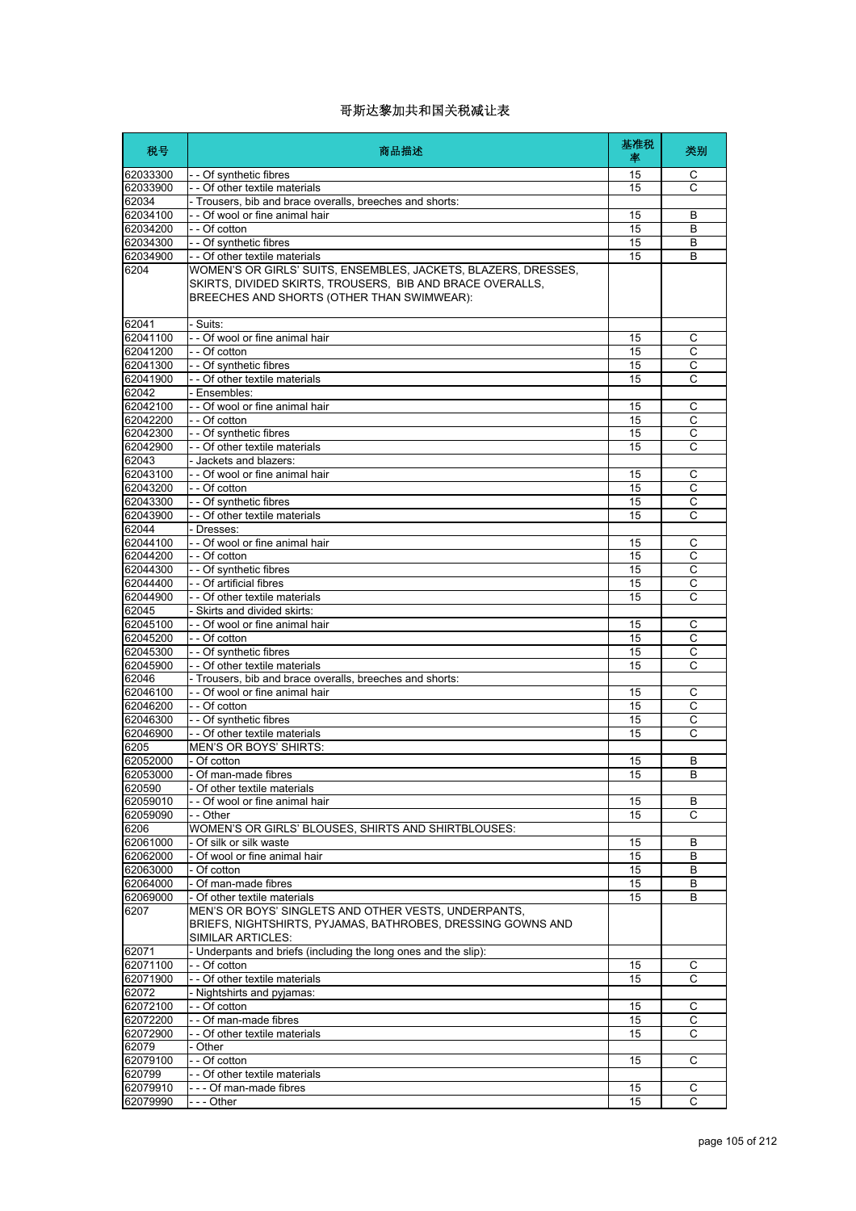| 税号                   | 商品描述                                                                                                                                                                      | 基准税<br>率 | 类别                |
|----------------------|---------------------------------------------------------------------------------------------------------------------------------------------------------------------------|----------|-------------------|
| 62033300             | -- Of synthetic fibres                                                                                                                                                    | 15       | С                 |
| 62033900             | - - Of other textile materials                                                                                                                                            | 15       | C                 |
| 62034                | - Trousers, bib and brace overalls, breeches and shorts:                                                                                                                  |          |                   |
| 62034100             | - - Of wool or fine animal hair                                                                                                                                           | 15       | В                 |
| 62034200<br>62034300 | - - Of cotton<br>- - Of synthetic fibres                                                                                                                                  | 15<br>15 | B<br>B            |
| 62034900             | - - Of other textile materials                                                                                                                                            | 15       | B                 |
| 6204                 | WOMEN'S OR GIRLS' SUITS, ENSEMBLES, JACKETS, BLAZERS, DRESSES,<br>SKIRTS, DIVIDED SKIRTS, TROUSERS, BIB AND BRACE OVERALLS,<br>BREECHES AND SHORTS (OTHER THAN SWIMWEAR): |          |                   |
| 62041                | - Suits:                                                                                                                                                                  |          |                   |
| 62041100             | - - Of wool or fine animal hair                                                                                                                                           | 15       | С                 |
| 62041200             | - Of cotton                                                                                                                                                               | 15       | $\overline{C}$    |
| 62041300<br>62041900 | - - Of synthetic fibres<br>- - Of other textile materials                                                                                                                 | 15<br>15 | С<br>$\mathsf{C}$ |
| 62042                | - Ensembles:                                                                                                                                                              |          |                   |
| 62042100             | - - Of wool or fine animal hair                                                                                                                                           | 15       | С                 |
| 62042200             | - - Of cotton                                                                                                                                                             | 15       | C                 |
| 62042300             | - - Of synthetic fibres                                                                                                                                                   | 15       | C                 |
| 62042900             | - - Of other textile materials                                                                                                                                            | 15       | C                 |
| 62043                | - Jackets and blazers:                                                                                                                                                    |          |                   |
| 62043100             | - - Of wool or fine animal hair                                                                                                                                           | 15       | С                 |
| 62043200<br>62043300 | $-$ Of cotton<br>- - Of synthetic fibres                                                                                                                                  | 15<br>15 | С<br>C            |
| 62043900             | - - Of other textile materials                                                                                                                                            | 15       | С                 |
| 62044                | - Dresses:                                                                                                                                                                |          |                   |
| 62044100             | - - Of wool or fine animal hair                                                                                                                                           | 15       | C                 |
| 62044200             | $\overline{ -}$ Of cotton                                                                                                                                                 | 15       | С                 |
| 62044300             | -- Of synthetic fibres                                                                                                                                                    | 15       | $\overline{c}$    |
| 62044400             | - - Of artificial fibres                                                                                                                                                  | 15       | $\mathsf{C}$      |
| 62044900             | - - Of other textile materials                                                                                                                                            | 15       | С                 |
| 62045                | - Skirts and divided skirts:                                                                                                                                              |          |                   |
| 62045100<br>62045200 | - - Of wool or fine animal hair<br>- - Of cotton                                                                                                                          | 15<br>15 | C<br>С            |
| 62045300             | -- Of synthetic fibres                                                                                                                                                    | 15       | C                 |
| 62045900             | - - Of other textile materials                                                                                                                                            | 15       | C                 |
| 62046                | - Trousers, bib and brace overalls, breeches and shorts:                                                                                                                  |          |                   |
| 62046100             | - - Of wool or fine animal hair                                                                                                                                           | 15       | $\mathsf{C}$      |
| 62046200             | $\vert$ - Of cotton                                                                                                                                                       | 15       | C                 |
| 62046300             | -- Of synthetic fibres                                                                                                                                                    | 15<br>15 | С<br>Ċ            |
| 62046900<br>6205     | - - Of other textile materials<br>MEN'S OR BOYS' SHIRTS:                                                                                                                  |          |                   |
| 62052000             | - Of cotton                                                                                                                                                               | 15       | B                 |
| 62053000             | l- Of man-made fibres                                                                                                                                                     | 15       | $\overline{B}$    |
| 620590               | Of other textile materials                                                                                                                                                |          |                   |
| 62059010             | - Of wool or fine animal hair                                                                                                                                             | 15       | B                 |
| 62059090             | - - Other                                                                                                                                                                 | 15       | С                 |
| 6206                 | WOMEN'S OR GIRLS' BLOUSES, SHIRTS AND SHIRTBLOUSES:                                                                                                                       |          |                   |
| 62061000             | - Of silk or silk waste                                                                                                                                                   | 15       | B                 |
| 62062000             | - Of wool or fine animal hair                                                                                                                                             | 15       | В                 |
| 62063000<br>62064000 | Of cotton<br>- Of man-made fibres                                                                                                                                         | 15<br>15 | B<br>В            |
| 62069000             | - Of other textile materials                                                                                                                                              | 15       | B                 |
| 6207                 | MEN'S OR BOYS' SINGLETS AND OTHER VESTS, UNDERPANTS,<br>BRIEFS, NIGHTSHIRTS, PYJAMAS, BATHROBES, DRESSING GOWNS AND<br>SIMILAR ARTICLES:                                  |          |                   |
| 62071                | - Underpants and briefs (including the long ones and the slip):                                                                                                           |          |                   |
| 62071100             | - - Of cotton                                                                                                                                                             | 15       | С                 |
| 62071900             | - - Of other textile materials                                                                                                                                            | 15       | С                 |
| 62072<br>62072100    | - Nightshirts and pyjamas:<br>- - Of cotton                                                                                                                               | 15       | C                 |
| 62072200             | -- Of man-made fibres                                                                                                                                                     | 15       | С                 |
| 62072900             | - - Of other textile materials                                                                                                                                            | 15       | C                 |
| 62079                | Other                                                                                                                                                                     |          |                   |
| 62079100             | - - Of cotton                                                                                                                                                             | 15       | С                 |
| 620799               | - - Of other textile materials                                                                                                                                            |          |                   |
| 62079910             | --- Of man-made fibres                                                                                                                                                    | 15       | С                 |
| 62079990             | $--$ Other                                                                                                                                                                | 15       | C                 |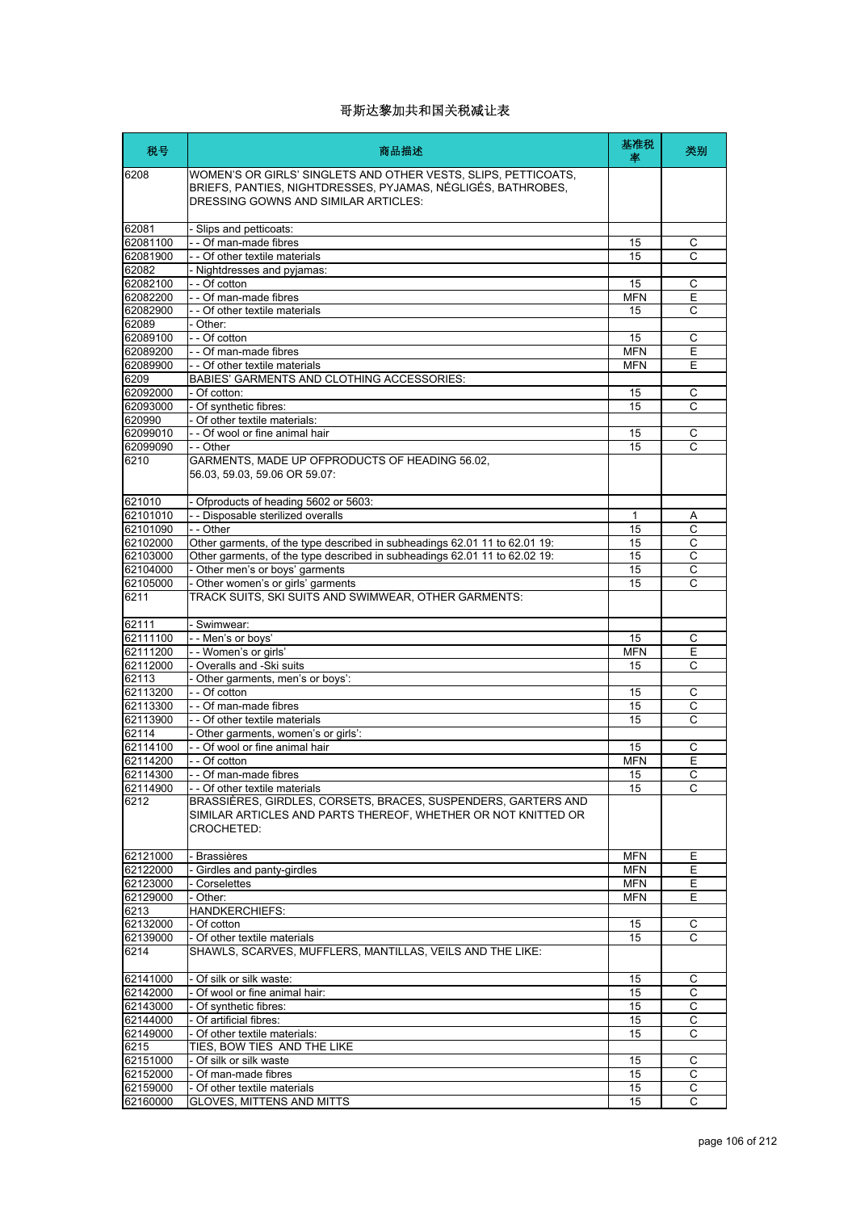| 税号                   | 商品描述                                                                                                                                                                   | 基准税<br>塞         | 类别                           |
|----------------------|------------------------------------------------------------------------------------------------------------------------------------------------------------------------|------------------|------------------------------|
| 6208                 | WOMEN'S OR GIRLS' SINGLETS AND OTHER VESTS, SLIPS, PETTICOATS,<br>BRIEFS, PANTIES, NIGHTDRESSES, PYJAMAS, NÉGLIGÉS, BATHROBES,<br>DRESSING GOWNS AND SIMILAR ARTICLES: |                  |                              |
| 62081                | - Slips and petticoats:                                                                                                                                                |                  |                              |
| 62081100             | -- Of man-made fibres                                                                                                                                                  | 15               | С                            |
| 62081900             | - - Of other textile materials                                                                                                                                         | 15               | C                            |
| 62082                | - Nightdresses and pyjamas:                                                                                                                                            |                  |                              |
| 62082100             | - - Of cotton                                                                                                                                                          | 15               | С                            |
| 62082200             | - - Of man-made fibres                                                                                                                                                 | <b>MFN</b>       | Ε                            |
| 62082900             | - - Of other textile materials                                                                                                                                         | 15               | C                            |
| 62089                | - Other:                                                                                                                                                               |                  |                              |
| 62089100             | - - Of cotton                                                                                                                                                          | 15<br><b>MFN</b> | С<br>$\overline{\mathsf{E}}$ |
| 62089200<br>62089900 | - - Of man-made fibres<br>- - Of other textile materials                                                                                                               | <b>MFN</b>       | Ε                            |
| 6209                 | BABIES' GARMENTS AND CLOTHING ACCESSORIES:                                                                                                                             |                  |                              |
| 62092000             | - Of cotton:                                                                                                                                                           | 15               | $\mathsf C$                  |
| 62093000             | - Of synthetic fibres:                                                                                                                                                 | 15               | C                            |
| 620990               | - Of other textile materials:                                                                                                                                          |                  |                              |
| 62099010             | - - Of wool or fine animal hair                                                                                                                                        | 15               | С                            |
| 62099090             | - - Other                                                                                                                                                              | 15               | C                            |
| 6210                 | GARMENTS, MADE UP OFPRODUCTS OF HEADING 56.02,<br>56.03, 59.03, 59.06 OR 59.07:                                                                                        |                  |                              |
| 621010               | Ofproducts of heading 5602 or 5603:                                                                                                                                    |                  |                              |
| 62101010             | - - Disposable sterilized overalls                                                                                                                                     | 1                | Α                            |
| 62101090             | - - Other                                                                                                                                                              | 15               | С                            |
| 62102000             | Other garments, of the type described in subheadings 62.01 11 to 62.01 19:                                                                                             | 15               | $\overline{C}$               |
| 62103000             | Other garments, of the type described in subheadings 62.01 11 to 62.02 19:                                                                                             | 15               | С                            |
| 62104000             | - Other men's or boys' garments                                                                                                                                        | 15               | C                            |
| 62105000             | - Other women's or girls' garments                                                                                                                                     | 15               | C                            |
| 6211                 | TRACK SUITS, SKI SUITS AND SWIMWEAR, OTHER GARMENTS:                                                                                                                   |                  |                              |
| 62111                | - Swimwear:                                                                                                                                                            |                  |                              |
| 62111100             | - - Men's or boys'                                                                                                                                                     | 15               | С                            |
| 62111200             | - - Women's or girls'                                                                                                                                                  | <b>MFN</b>       | Ε<br>C                       |
| 62112000<br>62113    | - Overalls and -Ski suits<br>- Other garments, men's or boys':                                                                                                         | 15               |                              |
| 62113200             | - - Of cotton                                                                                                                                                          | 15               | C                            |
| 62113300             | - - Of man-made fibres                                                                                                                                                 | 15               | C                            |
| 62113900             | - - Of other textile materials                                                                                                                                         | 15               | C                            |
| 62114                | - Other garments, women's or girls':                                                                                                                                   |                  |                              |
| 62114100             | - - Of wool or fine animal hair                                                                                                                                        | 15               | C                            |
| 62114200             | - - Of cotton                                                                                                                                                          | <b>MFN</b>       | E                            |
| 62114300             | Of man-made fibres                                                                                                                                                     | 15               | $\overline{C}$               |
| 62114900             | - - Of other textile materials                                                                                                                                         | 15               | С                            |
| 6212                 | BRASSIÈRES, GIRDLES, CORSETS, BRACES, SUSPENDERS, GARTERS AND<br>SIMILAR ARTICLES AND PARTS THEREOF, WHETHER OR NOT KNITTED OR<br>CROCHETED:                           |                  |                              |
| 62121000             | - Brassières                                                                                                                                                           | <b>MFN</b>       | Е                            |
| 62122000             | - Girdles and panty-girdles                                                                                                                                            | <b>MFN</b>       | Е                            |
| 62123000             | - Corselettes                                                                                                                                                          | <b>MFN</b>       | E                            |
| 62129000             | - Other:                                                                                                                                                               | <b>MFN</b>       | E                            |
| 6213                 | <b>HANDKERCHIEFS:</b>                                                                                                                                                  |                  |                              |
| 62132000             | - Of cotton                                                                                                                                                            | 15               | С                            |
| 62139000<br>6214     | - Of other textile materials<br>SHAWLS, SCARVES, MUFFLERS, MANTILLAS, VEILS AND THE LIKE:                                                                              | 15               | C                            |
| 62141000             | - Of silk or silk waste:                                                                                                                                               | 15               | С                            |
| 62142000             | - Of wool or fine animal hair:                                                                                                                                         | 15               | C                            |
| 62143000             | - Of synthetic fibres:                                                                                                                                                 | 15               | $\overline{C}$               |
| 62144000             | - Of artificial fibres:                                                                                                                                                | 15               | С                            |
| 62149000             | - Of other textile materials:                                                                                                                                          | 15               | $\overline{c}$               |
| 6215                 | TIES, BOW TIES AND THE LIKE                                                                                                                                            |                  |                              |
| 62151000             | - Of silk or silk waste                                                                                                                                                | 15               | С                            |
| 62152000             | - Of man-made fibres                                                                                                                                                   | 15               | $\mathsf C$                  |
| 62159000             | - Of other textile materials                                                                                                                                           | 15               | С                            |
| 62160000             | GLOVES, MITTENS AND MITTS                                                                                                                                              | 15               | C                            |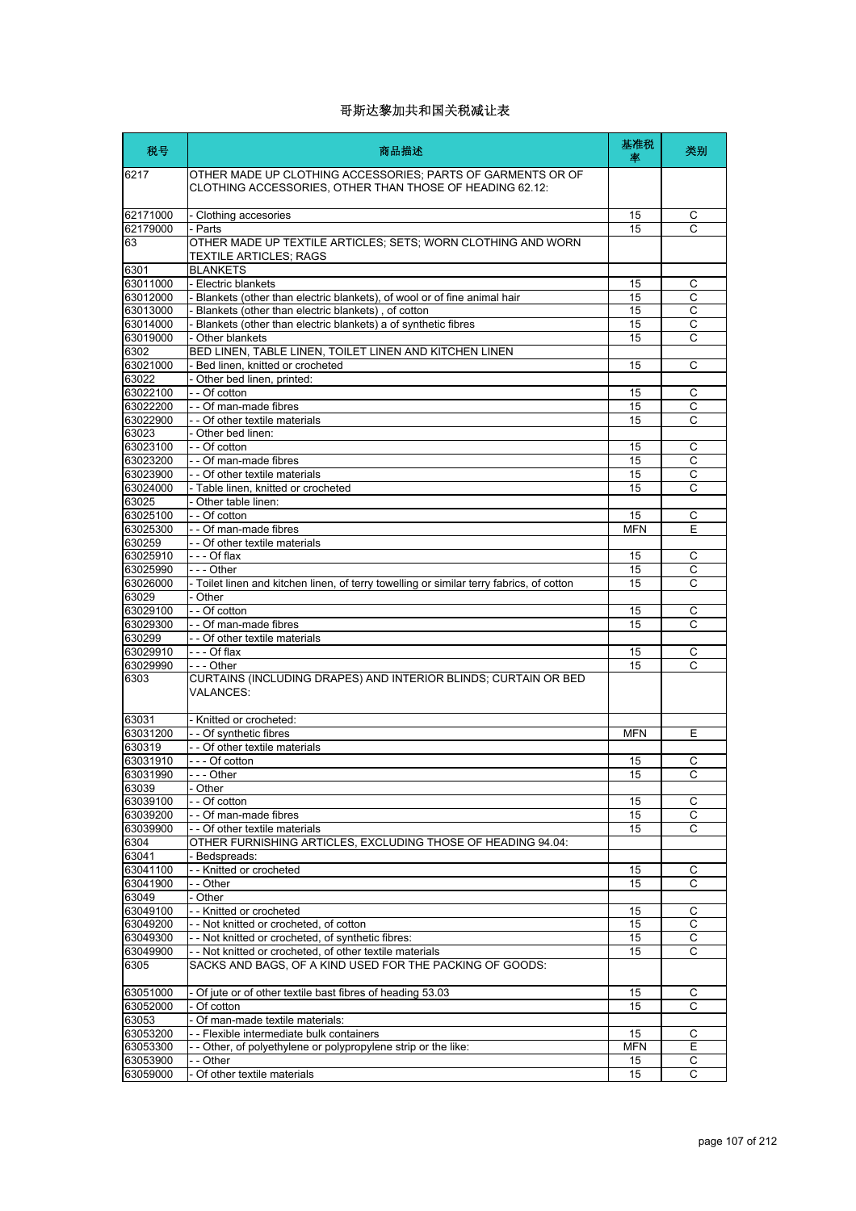| 税号                | 商品描述                                                                                                                    | 基准税<br>率   | 类别                  |
|-------------------|-------------------------------------------------------------------------------------------------------------------------|------------|---------------------|
| 6217              | OTHER MADE UP CLOTHING ACCESSORIES: PARTS OF GARMENTS OR OF<br>CLOTHING ACCESSORIES, OTHER THAN THOSE OF HEADING 62.12: |            |                     |
| 62171000          | - Clothing accesories                                                                                                   | 15         | С                   |
| 62179000          | - Parts                                                                                                                 | 15         | C                   |
| 63                | OTHER MADE UP TEXTILE ARTICLES; SETS; WORN CLOTHING AND WORN<br><b>TEXTILE ARTICLES: RAGS</b>                           |            |                     |
| 6301              | <b>BLANKETS</b>                                                                                                         |            |                     |
| 63011000          | - Electric blankets                                                                                                     | 15         | С                   |
| 63012000          | - Blankets (other than electric blankets), of wool or of fine animal hair                                               | 15         | $\mathsf{C}$        |
| 63013000          | - Blankets (other than electric blankets), of cotton                                                                    | 15         | С                   |
| 63014000          | - Blankets (other than electric blankets) a of synthetic fibres                                                         | 15         | $\overline{C}$      |
| 63019000          | - Other blankets                                                                                                        | 15         | C                   |
| 6302              | BED LINEN, TABLE LINEN, TOILET LINEN AND KITCHEN LINEN                                                                  |            |                     |
| 63021000          | - Bed linen, knitted or crocheted                                                                                       | 15         | C                   |
| 63022             | - Other bed linen, printed:                                                                                             |            |                     |
| 63022100          | - - Of cotton                                                                                                           | 15         | С                   |
| 63022200          | - - Of man-made fibres                                                                                                  | 15         | $\overline{C}$      |
| 63022900          | - - Of other textile materials                                                                                          | 15         | C                   |
| 63023             | - Other bed linen:                                                                                                      |            |                     |
| 63023100          | - - Of cotton                                                                                                           | 15         | C                   |
| 63023200          | - - Of man-made fibres                                                                                                  | 15         | C                   |
| 63023900          | - - Of other textile materials                                                                                          | 15         | C<br>$\overline{C}$ |
| 63024000          | - Table linen, knitted or crocheted                                                                                     | 15         |                     |
| 63025<br>63025100 | - Other table linen:<br>- - Of cotton                                                                                   | 15         | C                   |
| 63025300          | -- Of man-made fibres                                                                                                   | <b>MFN</b> | E                   |
| 630259            | - - Of other textile materials                                                                                          |            |                     |
| 63025910          | $-  -$ Of flax                                                                                                          | 15         | С                   |
| 63025990          | - - - Other                                                                                                             | 15         | С                   |
| 63026000          | - Toilet linen and kitchen linen, of terry towelling or similar terry fabrics, of cotton                                | 15         | C                   |
| 63029             | - Other                                                                                                                 |            |                     |
| 63029100          | - - Of cotton                                                                                                           | 15         | С                   |
| 63029300          | - - Of man-made fibres                                                                                                  | 15         | C                   |
| 630299            | - - Of other textile materials                                                                                          |            |                     |
| 63029910          | --- Of flax                                                                                                             | 15         | С                   |
| 63029990          | --- Other                                                                                                               | 15         | C                   |
| 6303              | CURTAINS (INCLUDING DRAPES) AND INTERIOR BLINDS; CURTAIN OR BED<br><b>VALANCES:</b>                                     |            |                     |
| 63031             | - Knitted or crocheted:                                                                                                 |            |                     |
| 63031200          | - - Of synthetic fibres                                                                                                 | <b>MFN</b> | Е                   |
| 630319            | - - Of other textile materials                                                                                          |            |                     |
| 63031910          | -  - - Of cotton                                                                                                        | 15         | С                   |
| 63031990          | - - Other                                                                                                               | 15         | C                   |
| 63039             | - Other                                                                                                                 |            |                     |
| 63039100          | - - Of cotton                                                                                                           | 15         | С                   |
| 63039200          | - - Of man-made fibres                                                                                                  | 15         | С                   |
| 63039900          | - - Of other textile materials                                                                                          | 15         | C                   |
| 6304              | OTHER FURNISHING ARTICLES, EXCLUDING THOSE OF HEADING 94.04:                                                            |            |                     |
| 63041             | - Bedspreads:                                                                                                           |            |                     |
| 63041100          | - - Knitted or crocheted                                                                                                | 15         | C                   |
| 63041900          | - - Other                                                                                                               | 15         | С                   |
| 63049             | - Other                                                                                                                 |            |                     |
| 63049100          | - - Knitted or crocheted                                                                                                | 15         | C                   |
| 63049200          | - - Not knitted or crocheted, of cotton                                                                                 | 15         | С<br>$\mathsf C$    |
| 63049300          | - - Not knitted or crocheted, of synthetic fibres:                                                                      | 15<br>15   | C                   |
| 63049900<br>6305  | - - Not knitted or crocheted, of other textile materials<br>SACKS AND BAGS, OF A KIND USED FOR THE PACKING OF GOODS:    |            |                     |
| 63051000          | - Of jute or of other textile bast fibres of heading 53.03                                                              | 15         | С                   |
| 63052000          | - Of cotton                                                                                                             | 15         | C                   |
| 63053             | - Of man-made textile materials:                                                                                        |            |                     |
| 63053200          | -- Flexible intermediate bulk containers                                                                                | 15         | С                   |
| 63053300          | - - Other, of polyethylene or polypropylene strip or the like:                                                          | <b>MFN</b> | Е                   |
| 63053900          | - - Other                                                                                                               | 15         | С                   |
| 63059000          | - Of other textile materials                                                                                            | 15         | С                   |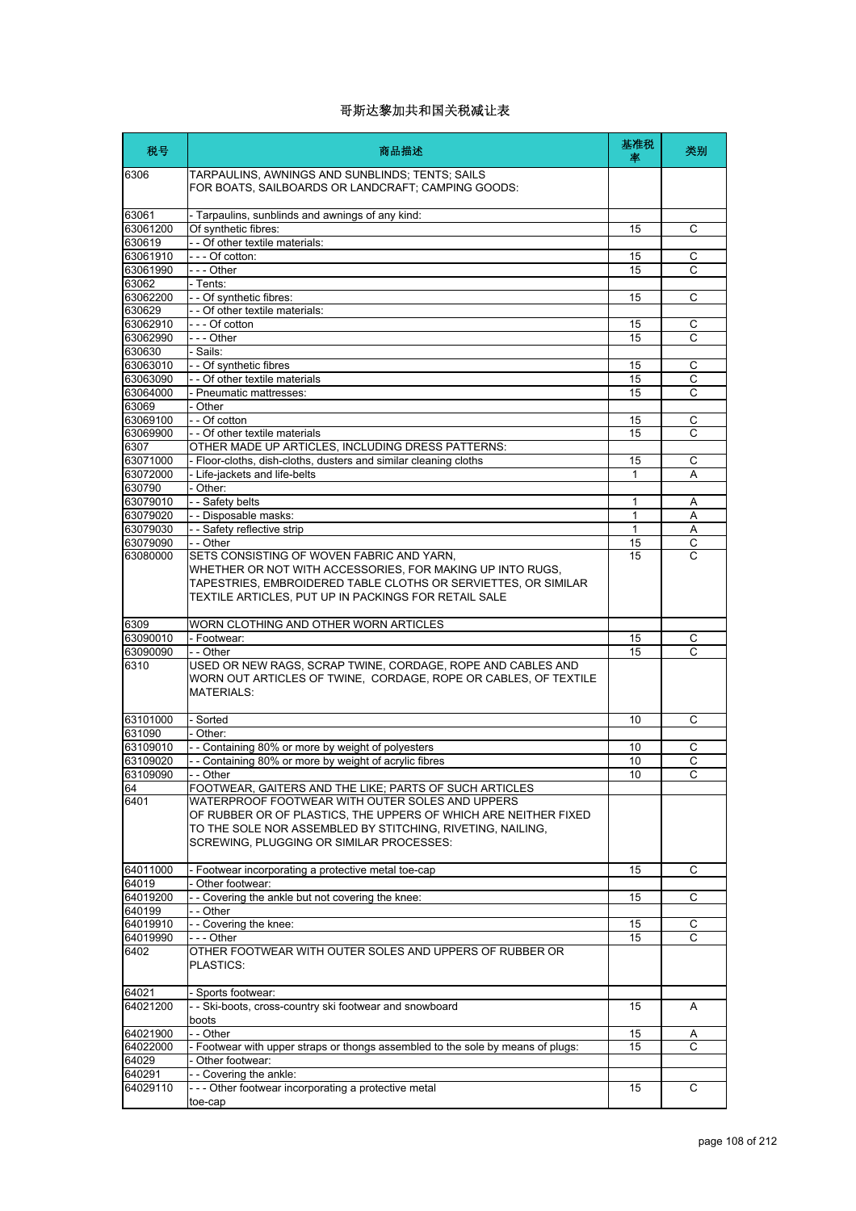| 税号                 | 商品描述                                                                                                                                                                                                                             | 基准税<br>塞 | 类别             |
|--------------------|----------------------------------------------------------------------------------------------------------------------------------------------------------------------------------------------------------------------------------|----------|----------------|
| 6306               | TARPAULINS, AWNINGS AND SUNBLINDS; TENTS; SAILS<br>FOR BOATS, SAILBOARDS OR LANDCRAFT; CAMPING GOODS:                                                                                                                            |          |                |
| 63061              | - Tarpaulins, sunblinds and awnings of any kind:                                                                                                                                                                                 |          |                |
| 63061200           | Of synthetic fibres:                                                                                                                                                                                                             | 15       | С              |
| 630619<br>63061910 | - - Of other textile materials:<br>--- Of cotton:                                                                                                                                                                                | 15       | С              |
| 63061990           | --- Other                                                                                                                                                                                                                        | 15       | C              |
| 63062              | - Tents:                                                                                                                                                                                                                         |          |                |
| 63062200           | - - Of synthetic fibres:                                                                                                                                                                                                         | 15       | C              |
| 630629             | - - Of other textile materials:                                                                                                                                                                                                  |          |                |
| 63062910           | --- Of cotton                                                                                                                                                                                                                    | 15       | C              |
| 63062990           | --- Other                                                                                                                                                                                                                        | 15       | C              |
| 630630<br>63063010 | - Sails:<br>- - Of synthetic fibres                                                                                                                                                                                              | 15       | С              |
| 63063090           | - - Of other textile materials                                                                                                                                                                                                   | 15       | С              |
| 63064000           | - Pneumatic mattresses:                                                                                                                                                                                                          | 15       | C              |
| 63069              | - Other                                                                                                                                                                                                                          |          |                |
| 63069100           | - - Of cotton                                                                                                                                                                                                                    | 15       | С              |
| 63069900           | - - Of other textile materials                                                                                                                                                                                                   | 15       | С              |
| 6307               | OTHER MADE UP ARTICLES. INCLUDING DRESS PATTERNS:                                                                                                                                                                                |          |                |
| 63071000           | - Floor-cloths, dish-cloths, dusters and similar cleaning cloths                                                                                                                                                                 | 15<br>1  | С              |
| 63072000<br>630790 | - Life-jackets and life-belts<br>- Other:                                                                                                                                                                                        |          | A              |
| 63079010           | - - Safety belts                                                                                                                                                                                                                 | 1        | Α              |
| 63079020           | - - Disposable masks:                                                                                                                                                                                                            | 1        | A              |
| 63079030           | - - Safety reflective strip                                                                                                                                                                                                      | 1        | Α              |
| 63079090           | - - Other                                                                                                                                                                                                                        | 15       | C              |
| 63080000           | SETS CONSISTING OF WOVEN FABRIC AND YARN.<br>WHETHER OR NOT WITH ACCESSORIES, FOR MAKING UP INTO RUGS,<br>TAPESTRIES, EMBROIDERED TABLE CLOTHS OR SERVIETTES, OR SIMILAR<br>TEXTILE ARTICLES, PUT UP IN PACKINGS FOR RETAIL SALE | 15       | C              |
| 6309               | WORN CLOTHING AND OTHER WORN ARTICLES                                                                                                                                                                                            |          |                |
| 63090010           | - Footwear:                                                                                                                                                                                                                      | 15       | С              |
| 63090090           | - - Other                                                                                                                                                                                                                        | 15       | C              |
| 6310               | USED OR NEW RAGS, SCRAP TWINE, CORDAGE, ROPE AND CABLES AND<br>WORN OUT ARTICLES OF TWINE, CORDAGE, ROPE OR CABLES, OF TEXTILE<br><b>MATERIALS:</b>                                                                              |          |                |
| 63101000           | - Sorted                                                                                                                                                                                                                         | 10       | C              |
| 631090             | - Other:                                                                                                                                                                                                                         |          |                |
| 63109010           | - - Containing 80% or more by weight of polyesters                                                                                                                                                                               | 10       | C              |
| 63109020           | - - Containing 80% or more by weight of acrylic fibres                                                                                                                                                                           | 10       | С              |
| 63109090<br>64     | - Other<br>FOOTWEAR, GAITERS AND THE LIKE; PARTS OF SUCH ARTICLES                                                                                                                                                                | 10       | C              |
| 6401               | WATERPROOF FOOTWEAR WITH OUTER SOLES AND UPPERS<br>OF RUBBER OR OF PLASTICS, THE UPPERS OF WHICH ARE NEITHER FIXED<br>TO THE SOLE NOR ASSEMBLED BY STITCHING, RIVETING, NAILING,<br>SCREWING, PLUGGING OR SIMILAR PROCESSES:     |          |                |
| 64011000           | - Footwear incorporating a protective metal toe-cap                                                                                                                                                                              | 15       | C              |
| 64019<br>64019200  | - Other footwear:<br>- - Covering the ankle but not covering the knee:                                                                                                                                                           | 15       | C              |
| 640199             | - - Other                                                                                                                                                                                                                        |          |                |
| 64019910           | - - Covering the knee:                                                                                                                                                                                                           | 15       | С              |
| 64019990           | --- Other                                                                                                                                                                                                                        | 15       | $\overline{c}$ |
| 6402               | OTHER FOOTWEAR WITH OUTER SOLES AND UPPERS OF RUBBER OR<br>PLASTICS:                                                                                                                                                             |          |                |
| 64021              | - Sports footwear:                                                                                                                                                                                                               |          |                |
| 64021200           | - - Ski-boots, cross-country ski footwear and snowboard<br>boots                                                                                                                                                                 | 15       | Α              |
| 64021900           | - - Other                                                                                                                                                                                                                        | 15       | A              |
| 64022000           | - Footwear with upper straps or thongs assembled to the sole by means of plugs:                                                                                                                                                  | 15       | С              |
| 64029              | - Other footwear:                                                                                                                                                                                                                |          |                |
| 640291<br>64029110 | -- Covering the ankle:<br>--- Other footwear incorporating a protective metal                                                                                                                                                    | 15       | C              |
|                    | toe-cap                                                                                                                                                                                                                          |          |                |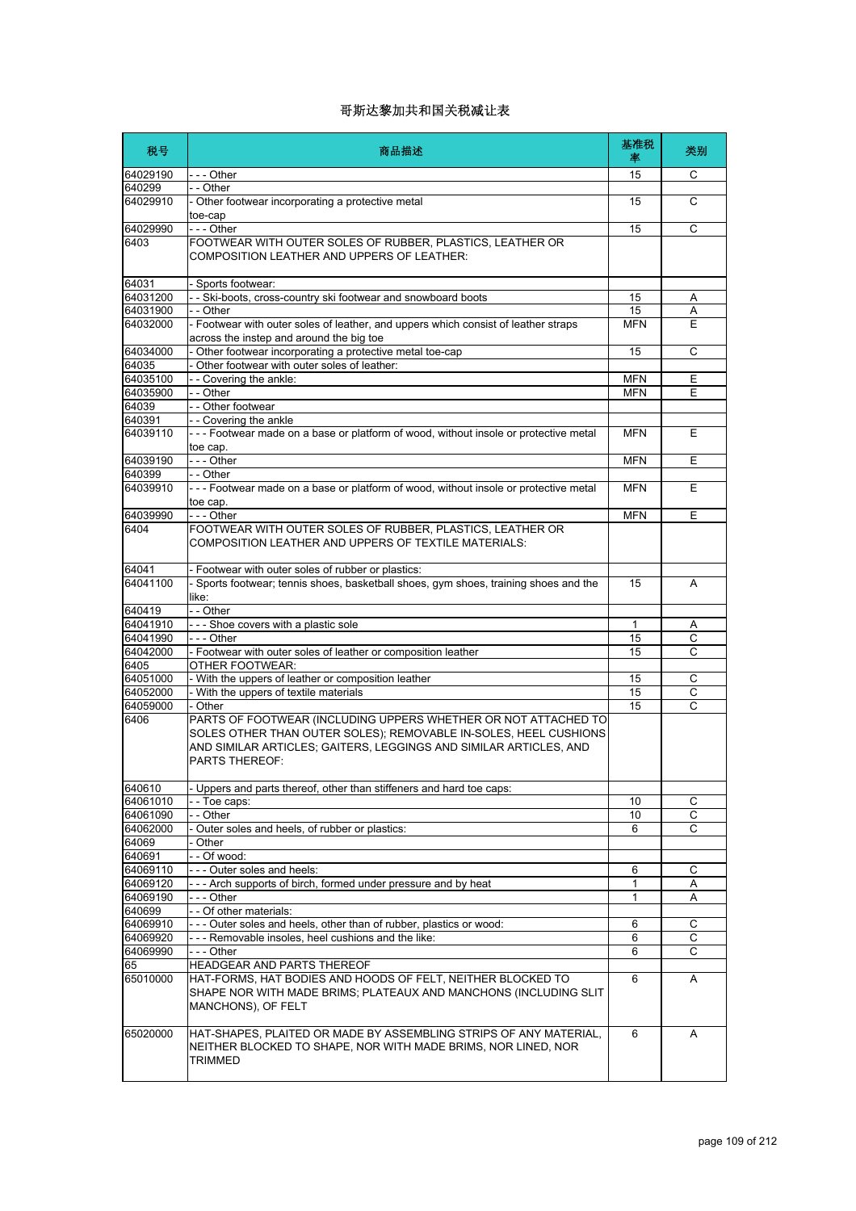| 税号                   | 商品描述                                                                                                                                                                                                                             | 基准税<br>率     | 类别          |
|----------------------|----------------------------------------------------------------------------------------------------------------------------------------------------------------------------------------------------------------------------------|--------------|-------------|
| 64029190             | $--$ Other                                                                                                                                                                                                                       | 15           | C           |
| 640299               | - - Other                                                                                                                                                                                                                        |              |             |
| 64029910             | - Other footwear incorporating a protective metal<br>toe-cap                                                                                                                                                                     | 15           | C           |
| 64029990             | - - - Other                                                                                                                                                                                                                      | 15           | C           |
| 6403                 | FOOTWEAR WITH OUTER SOLES OF RUBBER, PLASTICS, LEATHER OR<br>COMPOSITION LEATHER AND UPPERS OF LEATHER:                                                                                                                          |              |             |
| 64031                | - Sports footwear:                                                                                                                                                                                                               |              |             |
| 64031200             | - - Ski-boots, cross-country ski footwear and snowboard boots                                                                                                                                                                    | 15           | Α           |
| 64031900             | - - Other                                                                                                                                                                                                                        | 15           | Α           |
| 64032000             | - Footwear with outer soles of leather, and uppers which consist of leather straps<br>across the instep and around the big toe                                                                                                   | MFN          | Е           |
| 64034000             | - Other footwear incorporating a protective metal toe-cap                                                                                                                                                                        | 15           | C           |
| 64035                | - Other footwear with outer soles of leather:                                                                                                                                                                                    |              |             |
| 64035100             | - - Covering the ankle:                                                                                                                                                                                                          | <b>MFN</b>   | E           |
| 64035900             | - - Other                                                                                                                                                                                                                        | <b>MFN</b>   | E           |
| 64039<br>640391      | - - Other footwear<br>-- Covering the ankle                                                                                                                                                                                      |              |             |
| 64039110             | --- Footwear made on a base or platform of wood, without insole or protective metal                                                                                                                                              | <b>MFN</b>   | E           |
|                      | toe cap.                                                                                                                                                                                                                         |              |             |
| 64039190<br>640399   | --- Other<br>- - Other                                                                                                                                                                                                           | <b>MFN</b>   | E           |
| 64039910             | --- Footwear made on a base or platform of wood, without insole or protective metal                                                                                                                                              | <b>MFN</b>   | Е           |
| 64039990             | toe cap.<br>- - - Other                                                                                                                                                                                                          | <b>MFN</b>   | E           |
| 6404                 | FOOTWEAR WITH OUTER SOLES OF RUBBER, PLASTICS, LEATHER OR                                                                                                                                                                        |              |             |
|                      | COMPOSITION LEATHER AND UPPERS OF TEXTILE MATERIALS:                                                                                                                                                                             |              |             |
| 64041                | - Footwear with outer soles of rubber or plastics:                                                                                                                                                                               |              |             |
| 64041100             | - Sports footwear; tennis shoes, basketball shoes, gym shoes, training shoes and the<br>like:                                                                                                                                    | 15           | A           |
| 640419               | - - Other                                                                                                                                                                                                                        |              |             |
| 64041910             | --- Shoe covers with a plastic sole                                                                                                                                                                                              | $\mathbf{1}$ | Α           |
| 64041990             | --- Other                                                                                                                                                                                                                        | 15           | C           |
| 64042000             | - Footwear with outer soles of leather or composition leather                                                                                                                                                                    | 15           | С           |
| 6405                 | OTHER FOOTWEAR:                                                                                                                                                                                                                  |              |             |
| 64051000             | - With the uppers of leather or composition leather                                                                                                                                                                              | 15<br>15     | С           |
| 64052000<br>64059000 | - With the uppers of textile materials<br>- Other                                                                                                                                                                                | 15           | C<br>C      |
| 6406                 | PARTS OF FOOTWEAR (INCLUDING UPPERS WHETHER OR NOT ATTACHED TO<br>SOLES OTHER THAN OUTER SOLES); REMOVABLE IN-SOLES, HEEL CUSHIONS<br>AND SIMILAR ARTICLES; GAITERS, LEGGINGS AND SIMILAR ARTICLES, AND<br><b>PARTS THEREOF:</b> |              |             |
| 640610               | Uppers and parts thereof, other than stiffeners and hard toe caps:                                                                                                                                                               |              |             |
| 64061010             | - - Toe caps:                                                                                                                                                                                                                    | 10           | $\mathsf C$ |
| 64061090             | - - Other                                                                                                                                                                                                                        | 10           | С           |
| 64062000             | - Outer soles and heels, of rubber or plastics:                                                                                                                                                                                  | 6            | C           |
| 64069                | Other                                                                                                                                                                                                                            |              |             |
| 640691               | - - Of wood:                                                                                                                                                                                                                     |              |             |
| 64069110             | --- Outer soles and heels:                                                                                                                                                                                                       | 6            | С           |
| 64069120             | - - - Arch supports of birch, formed under pressure and by heat                                                                                                                                                                  | 1            | Α           |
| 64069190             | - - - Other                                                                                                                                                                                                                      | $\mathbf{1}$ | Α           |
| 640699               | - - Of other materials:                                                                                                                                                                                                          |              |             |
| 64069910<br>64069920 | --- Outer soles and heels, other than of rubber, plastics or wood:<br>--- Removable insoles, heel cushions and the like:                                                                                                         | 6            | С           |
| 64069990             | -  - - Other                                                                                                                                                                                                                     | 6<br>6       | С<br>C      |
| 65                   | HEADGEAR AND PARTS THEREOF                                                                                                                                                                                                       |              |             |
| 65010000             | HAT-FORMS, HAT BODIES AND HOODS OF FELT, NEITHER BLOCKED TO<br>SHAPE NOR WITH MADE BRIMS; PLATEAUX AND MANCHONS (INCLUDING SLIT<br>MANCHONS), OF FELT                                                                            | 6            | A           |
| 65020000             | HAT-SHAPES, PLAITED OR MADE BY ASSEMBLING STRIPS OF ANY MATERIAL,<br>NEITHER BLOCKED TO SHAPE, NOR WITH MADE BRIMS, NOR LINED, NOR<br>TRIMMED                                                                                    | 6            | A           |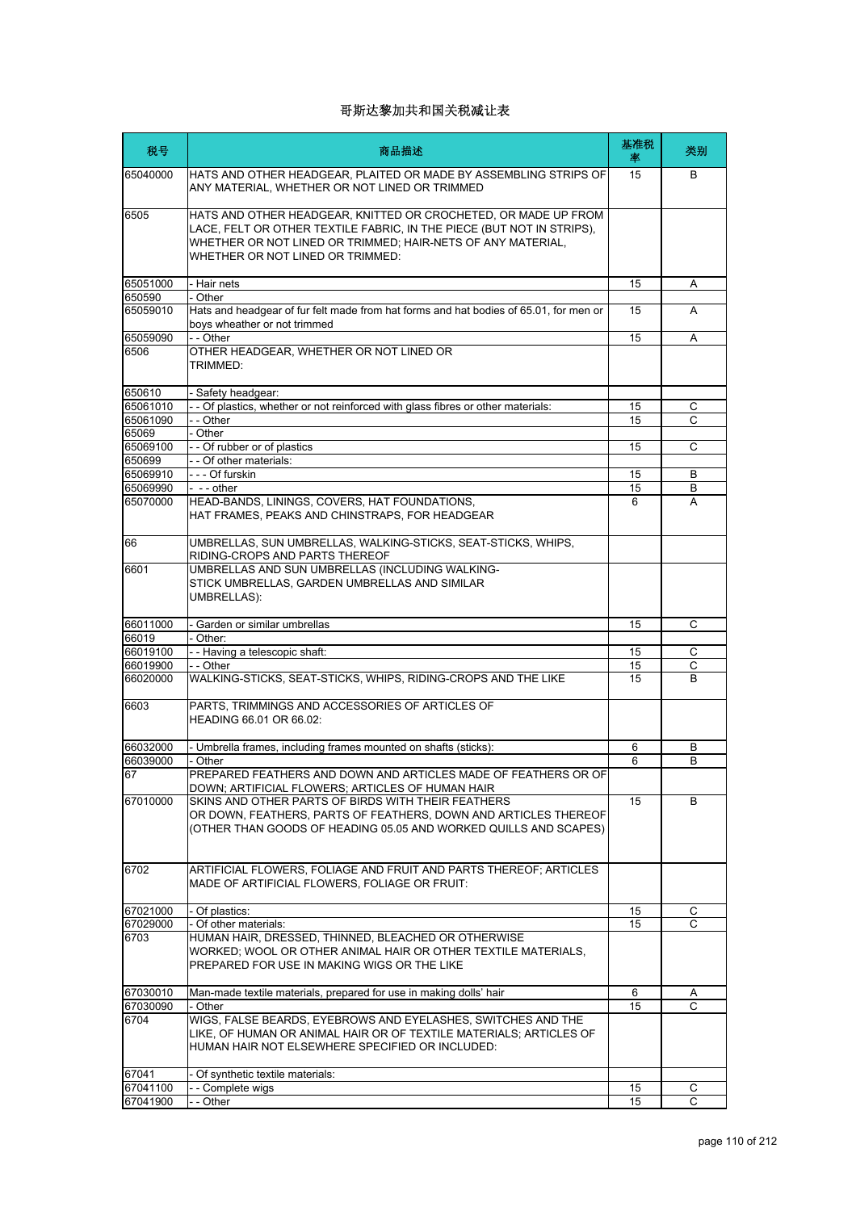| 税号                   | 商品描述                                                                                                                                                                                                                                       | 基准税<br>率 | 类别     |
|----------------------|--------------------------------------------------------------------------------------------------------------------------------------------------------------------------------------------------------------------------------------------|----------|--------|
| 65040000             | HATS AND OTHER HEADGEAR, PLAITED OR MADE BY ASSEMBLING STRIPS OF<br>ANY MATERIAL, WHETHER OR NOT LINED OR TRIMMED                                                                                                                          | 15       | B      |
| 6505                 | HATS AND OTHER HEADGEAR, KNITTED OR CROCHETED, OR MADE UP FROM<br>LACE, FELT OR OTHER TEXTILE FABRIC, IN THE PIECE (BUT NOT IN STRIPS),<br>WHETHER OR NOT LINED OR TRIMMED; HAIR-NETS OF ANY MATERIAL,<br>WHETHER OR NOT LINED OR TRIMMED: |          |        |
| 65051000             | - Hair nets                                                                                                                                                                                                                                | 15       | A      |
| 650590               | - Other                                                                                                                                                                                                                                    |          |        |
| 65059010             | Hats and headgear of fur felt made from hat forms and hat bodies of 65.01, for men or<br>boys wheather or not trimmed                                                                                                                      | 15       | A      |
| 65059090             | - - Other                                                                                                                                                                                                                                  | 15       | A      |
| 6506                 | OTHER HEADGEAR, WHETHER OR NOT LINED OR<br>TRIMMED:                                                                                                                                                                                        |          |        |
| 650610               | - Safety headgear:                                                                                                                                                                                                                         |          |        |
| 65061010             | - Of plastics, whether or not reinforced with glass fibres or other materials:                                                                                                                                                             | 15       | С      |
| 65061090             | - - Other                                                                                                                                                                                                                                  | 15       | С      |
| 65069                | - Other                                                                                                                                                                                                                                    |          |        |
| 65069100             | - - Of rubber or of plastics                                                                                                                                                                                                               | 15       | C      |
| 650699               | - - Of other materials:<br>--- Of furskin                                                                                                                                                                                                  |          |        |
| 65069910<br>65069990 | - -- other                                                                                                                                                                                                                                 | 15<br>15 | B<br>В |
| 65070000             | HEAD-BANDS, LININGS, COVERS, HAT FOUNDATIONS,                                                                                                                                                                                              | 6        | A      |
|                      | HAT FRAMES, PEAKS AND CHINSTRAPS, FOR HEADGEAR                                                                                                                                                                                             |          |        |
| 66                   | UMBRELLAS, SUN UMBRELLAS, WALKING-STICKS, SEAT-STICKS, WHIPS,<br>RIDING-CROPS AND PARTS THEREOF                                                                                                                                            |          |        |
| 6601                 | UMBRELLAS AND SUN UMBRELLAS (INCLUDING WALKING-<br>STICK UMBRELLAS, GARDEN UMBRELLAS AND SIMILAR<br><b>UMBRELLAS):</b>                                                                                                                     |          |        |
| 66011000             | - Garden or similar umbrellas                                                                                                                                                                                                              | 15       | C      |
| 66019                | - Other:                                                                                                                                                                                                                                   |          |        |
| 66019100             | - - Having a telescopic shaft:                                                                                                                                                                                                             | 15       | С      |
| 66019900             | - - Other                                                                                                                                                                                                                                  | 15       | C      |
| 66020000             | WALKING-STICKS, SEAT-STICKS, WHIPS, RIDING-CROPS AND THE LIKE                                                                                                                                                                              | 15       | B      |
| 6603                 | PARTS, TRIMMINGS AND ACCESSORIES OF ARTICLES OF<br>HEADING 66.01 OR 66.02:                                                                                                                                                                 |          |        |
| 66032000             | - Umbrella frames, including frames mounted on shafts (sticks):                                                                                                                                                                            | 6        | В      |
| 66039000             | - Other                                                                                                                                                                                                                                    | 6        | В      |
| 67                   | PREPARED FEATHERS AND DOWN AND ARTICLES MADE OF FEATHERS OR OF<br>DOWN; ARTIFICIAL FLOWERS; ARTICLES OF HUMAN HAIR                                                                                                                         |          |        |
| 67010000             | SKINS AND OTHER PARTS OF BIRDS WITH THEIR FEATHERS<br>OR DOWN, FEATHERS, PARTS OF FEATHERS, DOWN AND ARTICLES THEREOF<br>(OTHER THAN GOODS OF HEADING 05.05 AND WORKED QUILLS AND SCAPES)                                                  | 15       | B      |
| 6702                 | ARTIFICIAL FLOWERS, FOLIAGE AND FRUIT AND PARTS THEREOF; ARTICLES<br>MADE OF ARTIFICIAL FLOWERS, FOLIAGE OR FRUIT:                                                                                                                         |          |        |
| 67021000             | - Of plastics:                                                                                                                                                                                                                             | 15       | С      |
| 67029000             | - Of other materials:                                                                                                                                                                                                                      | 15       |        |
| 6703                 | HUMAN HAIR, DRESSED, THINNED, BLEACHED OR OTHERWISE<br>WORKED; WOOL OR OTHER ANIMAL HAIR OR OTHER TEXTILE MATERIALS,<br>PREPARED FOR USE IN MAKING WIGS OR THE LIKE                                                                        |          |        |
| 67030010             | Man-made textile materials, prepared for use in making dolls' hair                                                                                                                                                                         | 6        | A      |
| 67030090             | - Other                                                                                                                                                                                                                                    | 15       | C      |
| 6704                 | WIGS, FALSE BEARDS, EYEBROWS AND EYELASHES, SWITCHES AND THE<br>LIKE, OF HUMAN OR ANIMAL HAIR OR OF TEXTILE MATERIALS; ARTICLES OF<br>HUMAN HAIR NOT ELSEWHERE SPECIFIED OR INCLUDED:                                                      |          |        |
| 67041                | - Of synthetic textile materials:                                                                                                                                                                                                          |          |        |
| 67041100             | - Complete wigs                                                                                                                                                                                                                            | 15       | С      |
| 67041900             | - - Other                                                                                                                                                                                                                                  | 15       | C      |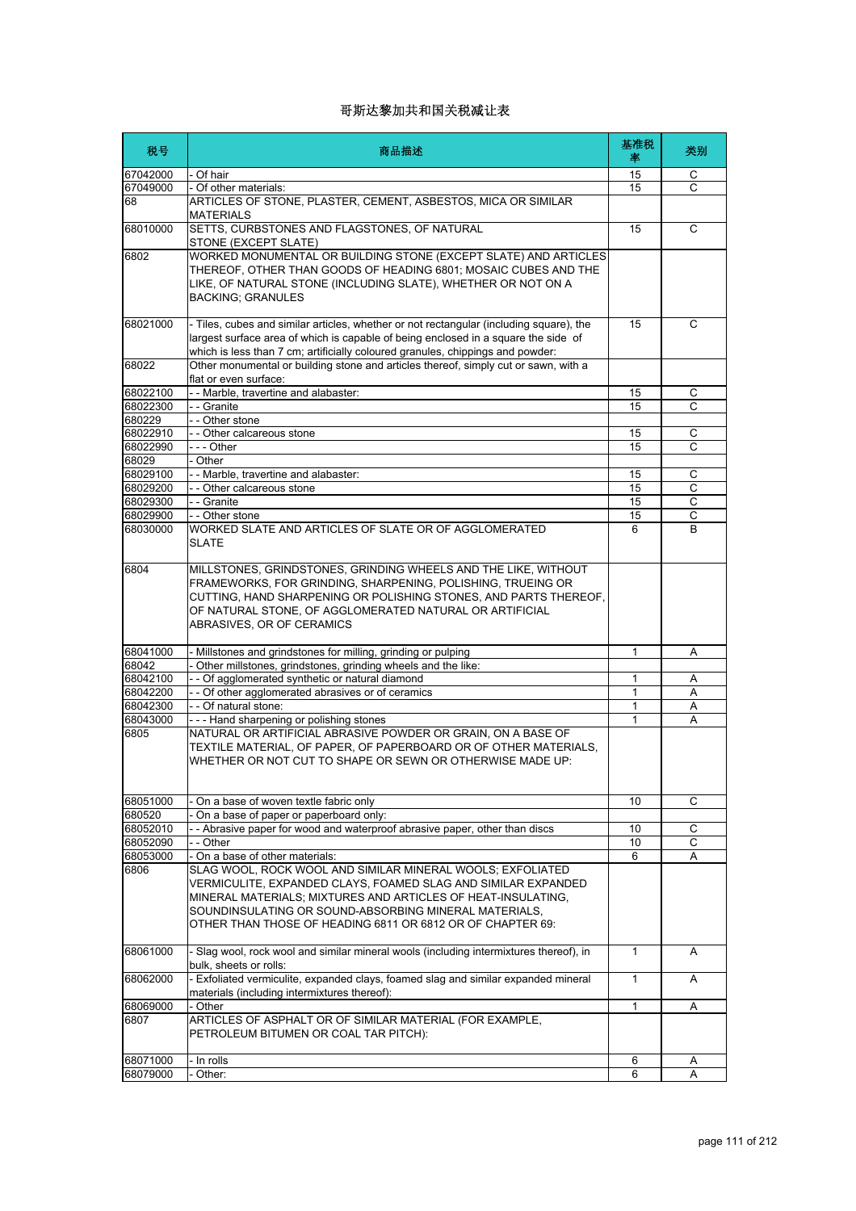| 税号       | 商品描述                                                                                                                                                                                                                                                                                                               | 基准税<br>率     | 类别 |
|----------|--------------------------------------------------------------------------------------------------------------------------------------------------------------------------------------------------------------------------------------------------------------------------------------------------------------------|--------------|----|
| 67042000 | - Of hair                                                                                                                                                                                                                                                                                                          | 15           | С  |
| 67049000 | - Of other materials:                                                                                                                                                                                                                                                                                              | 15           | C  |
| 68       | ARTICLES OF STONE, PLASTER, CEMENT, ASBESTOS, MICA OR SIMILAR<br><b>MATERIALS</b>                                                                                                                                                                                                                                  |              |    |
| 68010000 | SETTS, CURBSTONES AND FLAGSTONES, OF NATURAL<br>STONE (EXCEPT SLATE)                                                                                                                                                                                                                                               | 15           | C  |
| 6802     | WORKED MONUMENTAL OR BUILDING STONE (EXCEPT SLATE) AND ARTICLES<br>THEREOF, OTHER THAN GOODS OF HEADING 6801; MOSAIC CUBES AND THE<br>LIKE, OF NATURAL STONE (INCLUDING SLATE), WHETHER OR NOT ON A<br><b>BACKING; GRANULES</b>                                                                                    |              |    |
| 68021000 | - Tiles, cubes and similar articles, whether or not rectangular (including square), the<br>largest surface area of which is capable of being enclosed in a square the side of<br>which is less than 7 cm; artificially coloured granules, chippings and powder:                                                    | 15           | C  |
| 68022    | Other monumental or building stone and articles thereof, simply cut or sawn, with a<br>flat or even surface:                                                                                                                                                                                                       |              |    |
| 68022100 | - - Marble, travertine and alabaster:                                                                                                                                                                                                                                                                              | 15           | С  |
| 68022300 | - - Granite                                                                                                                                                                                                                                                                                                        | 15           | C  |
| 680229   | - - Other stone                                                                                                                                                                                                                                                                                                    |              |    |
| 68022910 | - - Other calcareous stone                                                                                                                                                                                                                                                                                         | 15           | С  |
| 68022990 | --- Other                                                                                                                                                                                                                                                                                                          | 15           | C  |
| 68029    | - Other                                                                                                                                                                                                                                                                                                            |              |    |
| 68029100 | - - Marble, travertine and alabaster:                                                                                                                                                                                                                                                                              | 15           | С  |
| 68029200 | - - Other calcareous stone                                                                                                                                                                                                                                                                                         | 15           | С  |
| 68029300 | - - Granite                                                                                                                                                                                                                                                                                                        | 15           | C  |
| 68029900 | - - Other stone                                                                                                                                                                                                                                                                                                    | 15           | С  |
| 68030000 | WORKED SLATE AND ARTICLES OF SLATE OR OF AGGLOMERATED<br><b>SLATE</b>                                                                                                                                                                                                                                              | 6            | B  |
| 6804     | MILLSTONES, GRINDSTONES, GRINDING WHEELS AND THE LIKE, WITHOUT<br>FRAMEWORKS, FOR GRINDING, SHARPENING, POLISHING, TRUEING OR<br>CUTTING, HAND SHARPENING OR POLISHING STONES, AND PARTS THEREOF,<br>OF NATURAL STONE, OF AGGLOMERATED NATURAL OR ARTIFICIAL<br>ABRASIVES, OR OF CERAMICS                          |              |    |
| 68041000 | Millstones and grindstones for milling, grinding or pulping                                                                                                                                                                                                                                                        | 1            | Α  |
| 68042    | Other millstones, grindstones, grinding wheels and the like:                                                                                                                                                                                                                                                       |              |    |
| 68042100 | - - Of agglomerated synthetic or natural diamond                                                                                                                                                                                                                                                                   | 1            | Α  |
| 68042200 | - - Of other agglomerated abrasives or of ceramics                                                                                                                                                                                                                                                                 | $\mathbf{1}$ | Α  |
| 68042300 | - - Of natural stone:                                                                                                                                                                                                                                                                                              | 1            | Α  |
| 68043000 | --- Hand sharpening or polishing stones                                                                                                                                                                                                                                                                            | 1            | Α  |
| 6805     | NATURAL OR ARTIFICIAL ABRASIVE POWDER OR GRAIN, ON A BASE OF<br>TEXTILE MATERIAL, OF PAPER, OF PAPERBOARD OR OF OTHER MATERIALS,<br>WHETHER OR NOT CUT TO SHAPE OR SEWN OR OTHERWISE MADE UP:                                                                                                                      |              |    |
| 68051000 | On a base of woven textle fabric only                                                                                                                                                                                                                                                                              | 10           | C  |
| 680520   | On a base of paper or paperboard only:                                                                                                                                                                                                                                                                             |              |    |
| 68052010 | - Abrasive paper for wood and waterproof abrasive paper, other than discs                                                                                                                                                                                                                                          | 10           | С  |
| 68052090 | - - Other                                                                                                                                                                                                                                                                                                          | 10           | C  |
| 68053000 | - On a base of other materials:                                                                                                                                                                                                                                                                                    | 6            | A  |
| 6806     | SLAG WOOL, ROCK WOOL AND SIMILAR MINERAL WOOLS; EXFOLIATED<br>VERMICULITE, EXPANDED CLAYS, FOAMED SLAG AND SIMILAR EXPANDED<br>MINERAL MATERIALS; MIXTURES AND ARTICLES OF HEAT-INSULATING,<br>SOUNDINSULATING OR SOUND-ABSORBING MINERAL MATERIALS.<br>OTHER THAN THOSE OF HEADING 6811 OR 6812 OR OF CHAPTER 69: |              |    |
| 68061000 | - Slag wool, rock wool and similar mineral wools (including intermixtures thereof), in<br>bulk, sheets or rolls:                                                                                                                                                                                                   | $\mathbf{1}$ | A  |
| 68062000 | - Exfoliated vermiculite, expanded clays, foamed slag and similar expanded mineral<br>materials (including intermixtures thereof):                                                                                                                                                                                 | 1            | A  |
| 68069000 | Other                                                                                                                                                                                                                                                                                                              | $\mathbf{1}$ | Α  |
| 6807     | ARTICLES OF ASPHALT OR OF SIMILAR MATERIAL (FOR EXAMPLE,<br>PETROLEUM BITUMEN OR COAL TAR PITCH):                                                                                                                                                                                                                  |              |    |
| 68071000 | - In rolls                                                                                                                                                                                                                                                                                                         | 6            | A  |
| 68079000 | Other:                                                                                                                                                                                                                                                                                                             | 6            |    |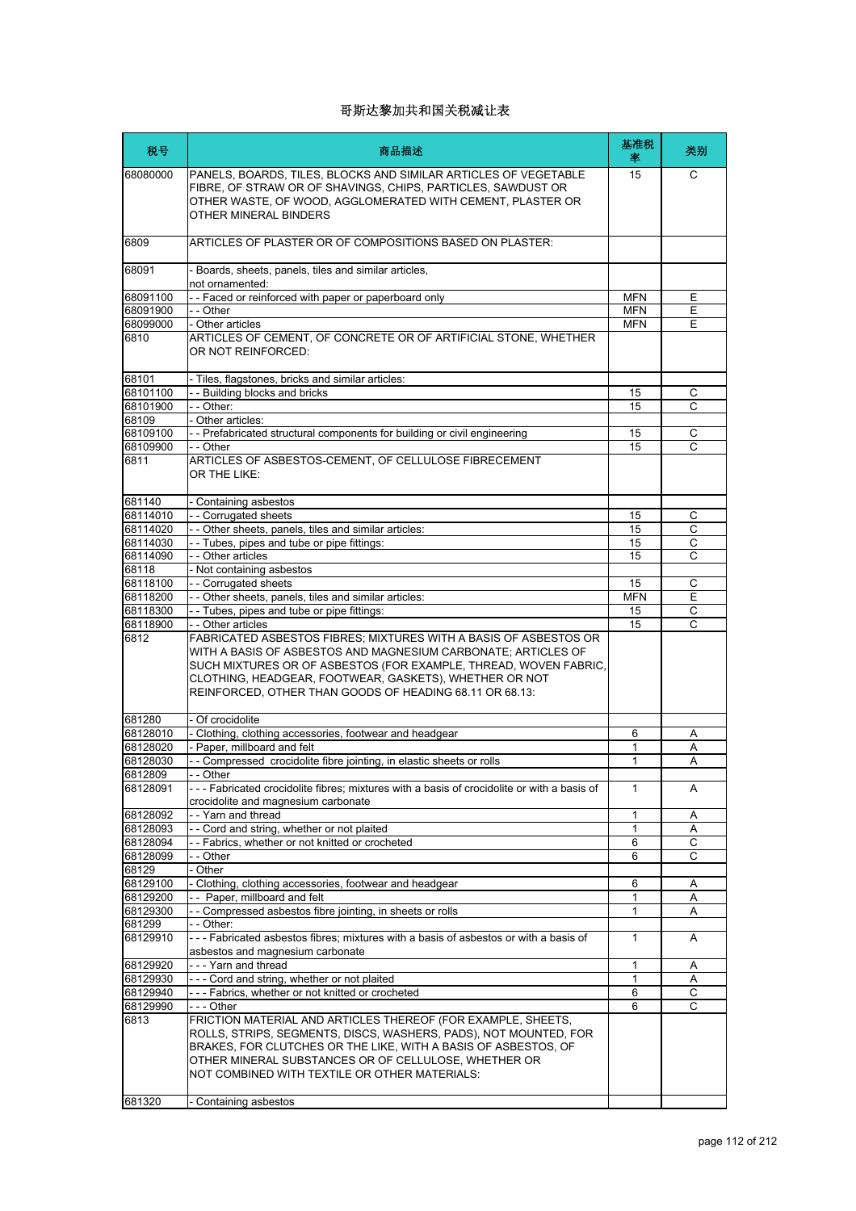| 税号                   | 商品描述                                                                                                                                                                                                                                                                                                                       | 基准税<br>率   | 类别               |
|----------------------|----------------------------------------------------------------------------------------------------------------------------------------------------------------------------------------------------------------------------------------------------------------------------------------------------------------------------|------------|------------------|
| 68080000             | PANELS, BOARDS, TILES, BLOCKS AND SIMILAR ARTICLES OF VEGETABLE<br>FIBRE, OF STRAW OR OF SHAVINGS, CHIPS, PARTICLES, SAWDUST OR<br>OTHER WASTE, OF WOOD, AGGLOMERATED WITH CEMENT, PLASTER OR<br>OTHER MINERAL BINDERS                                                                                                     | 15         | C                |
| 6809                 | ARTICLES OF PLASTER OR OF COMPOSITIONS BASED ON PLASTER:                                                                                                                                                                                                                                                                   |            |                  |
| 68091                | - Boards, sheets, panels, tiles and similar articles,<br>not ornamented:                                                                                                                                                                                                                                                   |            |                  |
| 68091100             | -- Faced or reinforced with paper or paperboard only                                                                                                                                                                                                                                                                       | <b>MFN</b> | Ε                |
| 68091900             | - - Other                                                                                                                                                                                                                                                                                                                  | <b>MFN</b> | E                |
| 68099000             | - Other articles                                                                                                                                                                                                                                                                                                           | <b>MFN</b> | E                |
| 6810                 | ARTICLES OF CEMENT, OF CONCRETE OR OF ARTIFICIAL STONE, WHETHER<br>OR NOT REINFORCED:                                                                                                                                                                                                                                      |            |                  |
| 68101                | - Tiles, flagstones, bricks and similar articles:                                                                                                                                                                                                                                                                          |            |                  |
| 68101100             | - - Building blocks and bricks                                                                                                                                                                                                                                                                                             | 15         | С                |
| 68101900             | - - Other:                                                                                                                                                                                                                                                                                                                 | 15         | C                |
| 68109                | - Other articles:                                                                                                                                                                                                                                                                                                          |            |                  |
| 68109100<br>68109900 | - - Prefabricated structural components for building or civil engineering<br>- - Other                                                                                                                                                                                                                                     | 15<br>15   | C<br>C           |
| 6811                 | ARTICLES OF ASBESTOS-CEMENT. OF CELLULOSE FIBRECEMENT<br>OR THE LIKE:                                                                                                                                                                                                                                                      |            |                  |
|                      |                                                                                                                                                                                                                                                                                                                            |            |                  |
| 681140<br>68114010   | - Containing asbestos<br>- - Corrugated sheets                                                                                                                                                                                                                                                                             | 15         | C                |
| 68114020             | - - Other sheets, panels, tiles and similar articles:                                                                                                                                                                                                                                                                      | 15         | С                |
| 68114030             | -- Tubes, pipes and tube or pipe fittings:                                                                                                                                                                                                                                                                                 | 15         | C                |
| 68114090             | - - Other articles                                                                                                                                                                                                                                                                                                         | 15         | С                |
| 68118                | - Not containing asbestos                                                                                                                                                                                                                                                                                                  |            |                  |
| 68118100             | - - Corrugated sheets                                                                                                                                                                                                                                                                                                      | 15         | $\mathsf{C}$     |
| 68118200             | - - Other sheets, panels, tiles and similar articles:                                                                                                                                                                                                                                                                      | <b>MFN</b> | Ε                |
| 68118300             | -- Tubes, pipes and tube or pipe fittings:                                                                                                                                                                                                                                                                                 | 15         | $\mathsf C$      |
| 68118900             | - - Other articles                                                                                                                                                                                                                                                                                                         | 15         | C                |
| 6812                 | FABRICATED ASBESTOS FIBRES; MIXTURES WITH A BASIS OF ASBESTOS OR<br>WITH A BASIS OF ASBESTOS AND MAGNESIUM CARBONATE; ARTICLES OF<br>SUCH MIXTURES OR OF ASBESTOS (FOR EXAMPLE, THREAD, WOVEN FABRIC,<br>CLOTHING, HEADGEAR, FOOTWEAR, GASKETS), WHETHER OR NOT<br>REINFORCED, OTHER THAN GOODS OF HEADING 68.11 OR 68.13: |            |                  |
| 681280               | - Of crocidolite                                                                                                                                                                                                                                                                                                           |            |                  |
| 68128010             | - Clothing, clothing accessories, footwear and headgear                                                                                                                                                                                                                                                                    | 6          | Α                |
| 68128020             | - Paper, millboard and felt                                                                                                                                                                                                                                                                                                | 1          | А                |
| 68128030             | -- Compressed crocidolite fibre jointing, in elastic sheets or rolls                                                                                                                                                                                                                                                       | 1          | A                |
| 6812809              | Other                                                                                                                                                                                                                                                                                                                      |            |                  |
| 68128091             | --- Fabricated crocidolite fibres; mixtures with a basis of crocidolite or with a basis of<br>crocidolite and magnesium carbonate                                                                                                                                                                                          | 1          | Α                |
| 68128092             | -- Yarn and thread                                                                                                                                                                                                                                                                                                         | 1          | Α                |
| 68128093<br>68128094 | - - Cord and string, whether or not plaited<br>- - Fabrics, whether or not knitted or crocheted                                                                                                                                                                                                                            | 1<br>6     | Α<br>$\mathsf C$ |
| 68128099             | - - Other                                                                                                                                                                                                                                                                                                                  | 6          | C                |
| 68129                | - Other                                                                                                                                                                                                                                                                                                                    |            |                  |
| 68129100             | - Clothing, clothing accessories, footwear and headgear                                                                                                                                                                                                                                                                    | 6          | Α                |
| 68129200             | -- Paper, millboard and felt                                                                                                                                                                                                                                                                                               | 1          | Α                |
| 68129300             | - - Compressed asbestos fibre jointing, in sheets or rolls                                                                                                                                                                                                                                                                 | 1          | Α                |
| 681299               | - - Other:                                                                                                                                                                                                                                                                                                                 |            |                  |
| 68129910             | --- Fabricated asbestos fibres; mixtures with a basis of asbestos or with a basis of<br>asbestos and magnesium carbonate                                                                                                                                                                                                   | 1          | Α                |
| 68129920             | --- Yarn and thread                                                                                                                                                                                                                                                                                                        | 1          | Α                |
| 68129930             | --- Cord and string, whether or not plaited                                                                                                                                                                                                                                                                                | 1          | Α                |
| 68129940             | --- Fabrics, whether or not knitted or crocheted                                                                                                                                                                                                                                                                           | 6          | С                |
| 68129990             | --- Other                                                                                                                                                                                                                                                                                                                  | 6          | $\overline{c}$   |
| 6813                 | FRICTION MATERIAL AND ARTICLES THEREOF (FOR EXAMPLE, SHEETS,<br>ROLLS, STRIPS, SEGMENTS, DISCS, WASHERS, PADS), NOT MOUNTED, FOR<br>BRAKES, FOR CLUTCHES OR THE LIKE, WITH A BASIS OF ASBESTOS, OF<br>OTHER MINERAL SUBSTANCES OR OF CELLULOSE, WHETHER OR<br>NOT COMBINED WITH TEXTILE OR OTHER MATERIALS:                |            |                  |
| 681320               | Containing asbestos                                                                                                                                                                                                                                                                                                        |            |                  |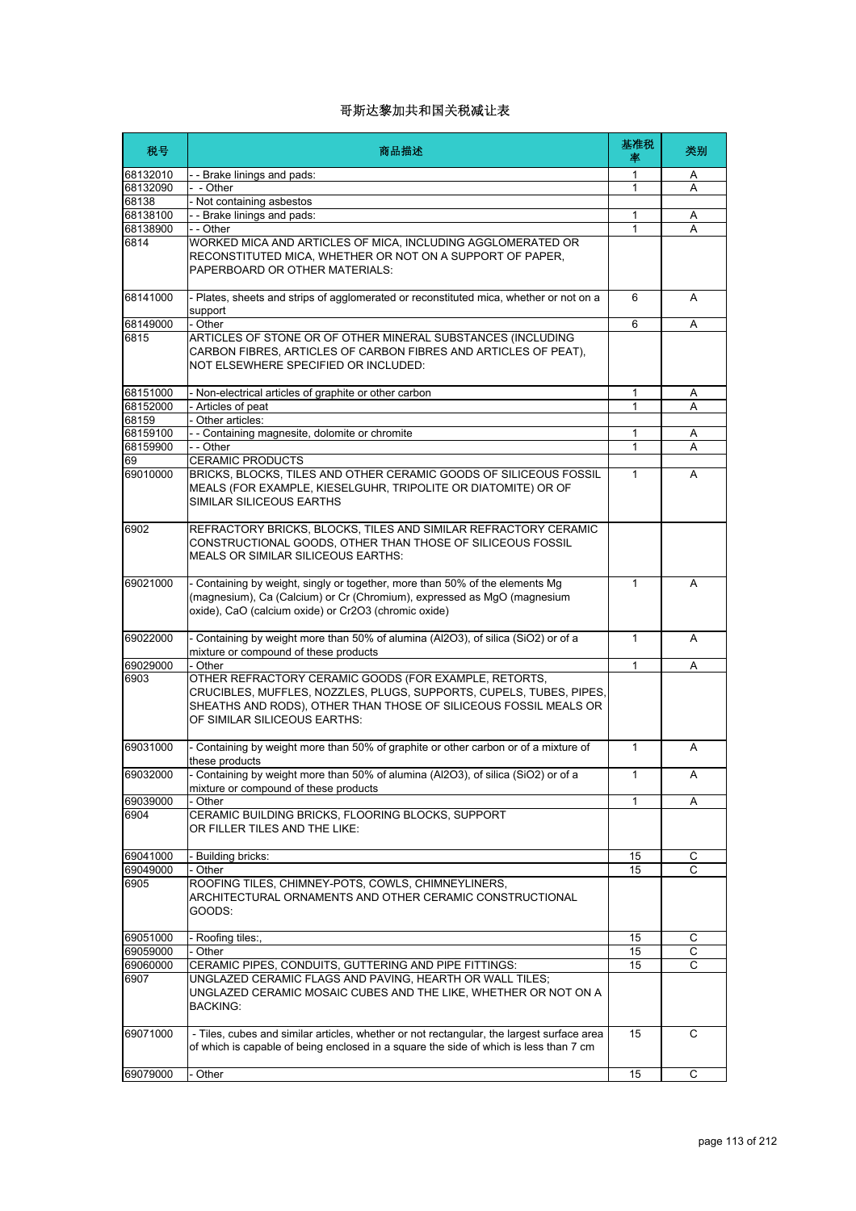| 税号             | 商品描述                                                                                                                                                                                                                             | 基准税<br>率     | 类别             |
|----------------|----------------------------------------------------------------------------------------------------------------------------------------------------------------------------------------------------------------------------------|--------------|----------------|
| 68132010       | - Brake linings and pads:                                                                                                                                                                                                        | 1            | Α              |
| 68132090       | - Other                                                                                                                                                                                                                          | 1            | Α              |
| 68138          | Not containing asbestos                                                                                                                                                                                                          |              |                |
| 68138100       | - - Brake linings and pads:                                                                                                                                                                                                      | 1            | Α              |
| 68138900       | - - Other                                                                                                                                                                                                                        | 1            | A              |
| 6814           | WORKED MICA AND ARTICLES OF MICA, INCLUDING AGGLOMERATED OR<br>RECONSTITUTED MICA, WHETHER OR NOT ON A SUPPORT OF PAPER,<br>PAPERBOARD OR OTHER MATERIALS:                                                                       |              |                |
| 68141000       | - Plates, sheets and strips of agglomerated or reconstituted mica, whether or not on a<br>support                                                                                                                                | 6            | A              |
| 68149000       | - Other                                                                                                                                                                                                                          | 6            | Α              |
| 6815           | ARTICLES OF STONE OR OF OTHER MINERAL SUBSTANCES (INCLUDING<br>CARBON FIBRES, ARTICLES OF CARBON FIBRES AND ARTICLES OF PEAT),<br>NOT ELSEWHERE SPECIFIED OR INCLUDED:                                                           |              |                |
| 68151000       | Non-electrical articles of graphite or other carbon                                                                                                                                                                              | 1            | Α              |
| 68152000       | - Articles of peat                                                                                                                                                                                                               | 1            | A              |
| 68159          | Other articles:                                                                                                                                                                                                                  |              |                |
| 68159100       | - - Containing magnesite, dolomite or chromite                                                                                                                                                                                   | 1            | Α              |
| 68159900       | - - Other                                                                                                                                                                                                                        | $\mathbf{1}$ | A              |
| 69<br>69010000 | <b>CERAMIC PRODUCTS</b><br>BRICKS, BLOCKS, TILES AND OTHER CERAMIC GOODS OF SILICEOUS FOSSIL<br>MEALS (FOR EXAMPLE, KIESELGUHR, TRIPOLITE OR DIATOMITE) OR OF<br>SIMILAR SILICEOUS EARTHS                                        | $\mathbf{1}$ | A              |
| 6902           | REFRACTORY BRICKS, BLOCKS, TILES AND SIMILAR REFRACTORY CERAMIC<br>CONSTRUCTIONAL GOODS. OTHER THAN THOSE OF SILICEOUS FOSSIL<br><b>MEALS OR SIMILAR SILICEOUS EARTHS:</b>                                                       |              |                |
| 69021000       | - Containing by weight, singly or together, more than 50% of the elements Mg<br>(magnesium), Ca (Calcium) or Cr (Chromium), expressed as MgO (magnesium<br>oxide), CaO (calcium oxide) or Cr2O3 (chromic oxide)                  | 1            | A              |
| 69022000       | - Containing by weight more than 50% of alumina (Al2O3), of silica (SiO2) or of a<br>mixture or compound of these products                                                                                                       | $\mathbf{1}$ | A              |
| 69029000       | - Other                                                                                                                                                                                                                          | 1            | Α              |
| 6903           | OTHER REFRACTORY CERAMIC GOODS (FOR EXAMPLE, RETORTS,<br>CRUCIBLES, MUFFLES, NOZZLES, PLUGS, SUPPORTS, CUPELS, TUBES, PIPES,<br>SHEATHS AND RODS), OTHER THAN THOSE OF SILICEOUS FOSSIL MEALS OR<br>OF SIMILAR SILICEOUS EARTHS: |              |                |
| 69031000       | - Containing by weight more than 50% of graphite or other carbon or of a mixture of<br>these products                                                                                                                            | $\mathbf{1}$ | A              |
| 69032000       | - Containing by weight more than 50% of alumina (Al2O3), of silica (SiO2) or of a<br>mixture or compound of these products                                                                                                       | 1            | Α              |
| 69039000       | Other                                                                                                                                                                                                                            | 1            | Α              |
| 6904           | CERAMIC BUILDING BRICKS, FLOORING BLOCKS, SUPPORT<br>OR FILLER TILES AND THE LIKE:                                                                                                                                               |              |                |
| 69041000       | - Building bricks:                                                                                                                                                                                                               | 15           | С              |
| 69049000       | Other                                                                                                                                                                                                                            | 15           | $\overline{c}$ |
| 6905           | ROOFING TILES, CHIMNEY-POTS, COWLS, CHIMNEYLINERS,<br>ARCHITECTURAL ORNAMENTS AND OTHER CERAMIC CONSTRUCTIONAL<br>GOODS:                                                                                                         |              |                |
| 69051000       | - Roofing tiles:,                                                                                                                                                                                                                | 15           | С              |
| 69059000       | Other                                                                                                                                                                                                                            | 15           | С              |
| 69060000       | CERAMIC PIPES, CONDUITS, GUTTERING AND PIPE FITTINGS:                                                                                                                                                                            | 15           | C              |
| 6907           | UNGLAZED CERAMIC FLAGS AND PAVING, HEARTH OR WALL TILES;<br>UNGLAZED CERAMIC MOSAIC CUBES AND THE LIKE, WHETHER OR NOT ON A<br><b>BACKING:</b>                                                                                   |              |                |
| 69071000       | - Tiles, cubes and similar articles, whether or not rectangular, the largest surface area<br>of which is capable of being enclosed in a square the side of which is less than 7 cm                                               | 15           | С              |
| 69079000       | - Other                                                                                                                                                                                                                          | 15           | С              |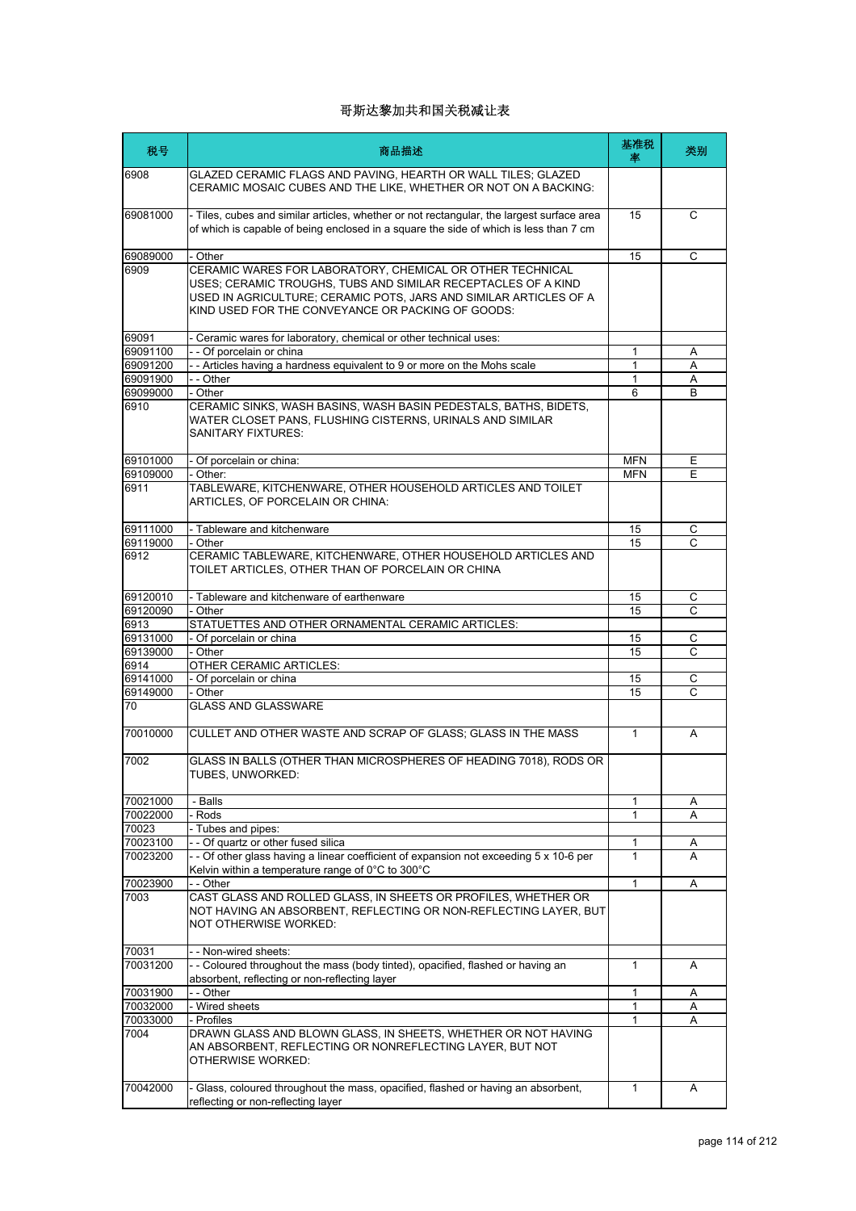| 税号               | 商品描述                                                                                                                                                                                                                                                 | 基准税<br>率     | 类别 |
|------------------|------------------------------------------------------------------------------------------------------------------------------------------------------------------------------------------------------------------------------------------------------|--------------|----|
| 6908             | GLAZED CERAMIC FLAGS AND PAVING, HEARTH OR WALL TILES; GLAZED<br>CERAMIC MOSAIC CUBES AND THE LIKE, WHETHER OR NOT ON A BACKING:                                                                                                                     |              |    |
| 69081000         | - Tiles, cubes and similar articles, whether or not rectangular, the largest surface area<br>of which is capable of being enclosed in a square the side of which is less than 7 cm                                                                   | 15           | C  |
| 69089000         | - Other                                                                                                                                                                                                                                              | 15           | C  |
| 6909             | CERAMIC WARES FOR LABORATORY, CHEMICAL OR OTHER TECHNICAL<br>USES; CERAMIC TROUGHS, TUBS AND SIMILAR RECEPTACLES OF A KIND<br>USED IN AGRICULTURE; CERAMIC POTS, JARS AND SIMILAR ARTICLES OF A<br>KIND USED FOR THE CONVEYANCE OR PACKING OF GOODS: |              |    |
| 69091            | - Ceramic wares for laboratory, chemical or other technical uses:                                                                                                                                                                                    |              |    |
| 69091100         | -- Of porcelain or china                                                                                                                                                                                                                             | 1            | Α  |
| 69091200         | - Articles having a hardness equivalent to 9 or more on the Mohs scale                                                                                                                                                                               | 1            | Α  |
| 69091900         | - - Other                                                                                                                                                                                                                                            | $\mathbf{1}$ | Α  |
| 69099000<br>6910 | - Other<br>CERAMIC SINKS, WASH BASINS, WASH BASIN PEDESTALS, BATHS, BIDETS,<br>WATER CLOSET PANS, FLUSHING CISTERNS, URINALS AND SIMILAR<br><b>SANITARY FIXTURES:</b>                                                                                | 6            | B  |
| 69101000         | - Of porcelain or china:                                                                                                                                                                                                                             | <b>MFN</b>   | Е  |
| 69109000<br>6911 | - Other:<br>TABLEWARE, KITCHENWARE, OTHER HOUSEHOLD ARTICLES AND TOILET<br>ARTICLES, OF PORCELAIN OR CHINA:                                                                                                                                          | <b>MFN</b>   | E  |
| 69111000         | - Tableware and kitchenware                                                                                                                                                                                                                          | 15           | С  |
| 69119000         | - Other                                                                                                                                                                                                                                              | 15           | C  |
| 6912             | CERAMIC TABLEWARE, KITCHENWARE, OTHER HOUSEHOLD ARTICLES AND<br>TOILET ARTICLES, OTHER THAN OF PORCELAIN OR CHINA                                                                                                                                    |              |    |
| 69120010         | - Tableware and kitchenware of earthenware                                                                                                                                                                                                           | 15           | С  |
| 69120090         | - Other                                                                                                                                                                                                                                              | 15           | C  |
| 6913             | STATUETTES AND OTHER ORNAMENTAL CERAMIC ARTICLES:                                                                                                                                                                                                    |              |    |
| 69131000         | - Of porcelain or china                                                                                                                                                                                                                              | 15           | С  |
| 69139000         | - Other                                                                                                                                                                                                                                              | 15           | C  |
| 6914             | OTHER CERAMIC ARTICLES:                                                                                                                                                                                                                              |              |    |
| 69141000         | - Of porcelain or china                                                                                                                                                                                                                              | 15           | C  |
| 69149000         | - Other                                                                                                                                                                                                                                              | 15           | C  |
| 70               | <b>GLASS AND GLASSWARE</b>                                                                                                                                                                                                                           |              |    |
| 70010000         | CULLET AND OTHER WASTE AND SCRAP OF GLASS; GLASS IN THE MASS                                                                                                                                                                                         | $\mathbf{1}$ | A  |
| 7002             | GLASS IN BALLS (OTHER THAN MICROSPHERES OF HEADING 7018), RODS OR<br>TUBES, UNWORKED:                                                                                                                                                                |              |    |
| 70021000         | - Balls                                                                                                                                                                                                                                              | 1            | Α  |
| 70022000         | - Rods                                                                                                                                                                                                                                               | 1            | Α  |
| 70023            | - Tubes and pipes:                                                                                                                                                                                                                                   |              |    |
| 70023100         | - - Of quartz or other fused silica                                                                                                                                                                                                                  | 1            | Α  |
| 70023200         | - - Of other glass having a linear coefficient of expansion not exceeding 5 x 10-6 per<br>Kelvin within a temperature range of 0°C to 300°C                                                                                                          | 1            | A  |
| 70023900         | - - Other                                                                                                                                                                                                                                            | $\mathbf{1}$ | Α  |
| 7003             | CAST GLASS AND ROLLED GLASS, IN SHEETS OR PROFILES, WHETHER OR<br>NOT HAVING AN ABSORBENT, REFLECTING OR NON-REFLECTING LAYER, BUT<br>NOT OTHERWISE WORKED:                                                                                          |              |    |
| 70031            | - - Non-wired sheets:                                                                                                                                                                                                                                |              |    |
| 70031200         | -- Coloured throughout the mass (body tinted), opacified, flashed or having an<br>absorbent, reflecting or non-reflecting layer                                                                                                                      | 1            | A  |
| 70031900         | - - Other                                                                                                                                                                                                                                            | 1            | Α  |
| 70032000         | - Wired sheets                                                                                                                                                                                                                                       | 1            | Α  |
| 70033000         | - Profiles                                                                                                                                                                                                                                           | 1            | A  |
| 7004             | DRAWN GLASS AND BLOWN GLASS, IN SHEETS, WHETHER OR NOT HAVING<br>AN ABSORBENT, REFLECTING OR NONREFLECTING LAYER, BUT NOT<br>OTHERWISE WORKED:                                                                                                       |              |    |
| 70042000         | - Glass, coloured throughout the mass, opacified, flashed or having an absorbent,<br>reflecting or non-reflecting layer                                                                                                                              | $\mathbf{1}$ | Α  |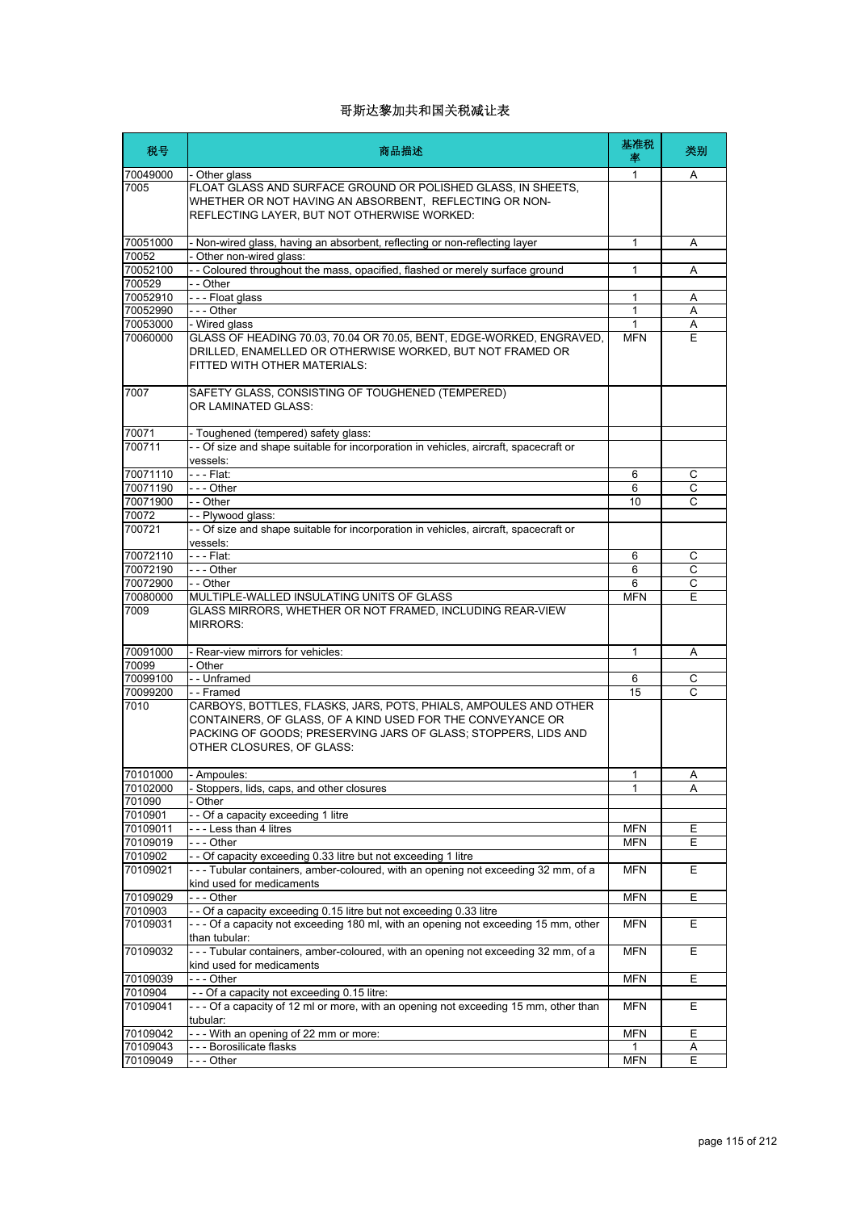| 税号                   | 商品描述                                                                                                                                                                                                                          | 基准税<br>率        | 类别     |
|----------------------|-------------------------------------------------------------------------------------------------------------------------------------------------------------------------------------------------------------------------------|-----------------|--------|
| 70049000             | - Other glass                                                                                                                                                                                                                 | 1               | A      |
| 7005                 | FLOAT GLASS AND SURFACE GROUND OR POLISHED GLASS, IN SHEETS,<br>WHETHER OR NOT HAVING AN ABSORBENT. REFLECTING OR NON-<br>REFLECTING LAYER, BUT NOT OTHERWISE WORKED:                                                         |                 |        |
| 70051000             | - Non-wired glass, having an absorbent, reflecting or non-reflecting layer                                                                                                                                                    | 1               | Α      |
| 70052<br>70052100    | - Other non-wired glass:<br>- Coloured throughout the mass, opacified, flashed or merely surface ground                                                                                                                       | 1               | A      |
| 700529               | - - Other                                                                                                                                                                                                                     |                 |        |
| 70052910             | --- Float glass                                                                                                                                                                                                               | 1               | Α      |
| 70052990             | --- Other                                                                                                                                                                                                                     | 1               | A      |
| 70053000             | - Wired glass                                                                                                                                                                                                                 | 1               | Α      |
| 70060000             | GLASS OF HEADING 70.03, 70.04 OR 70.05, BENT, EDGE-WORKED, ENGRAVED,<br>DRILLED, ENAMELLED OR OTHERWISE WORKED, BUT NOT FRAMED OR<br>FITTED WITH OTHER MATERIALS:                                                             | <b>MFN</b>      | E      |
| 7007                 | SAFETY GLASS, CONSISTING OF TOUGHENED (TEMPERED)<br>OR LAMINATED GLASS:                                                                                                                                                       |                 |        |
| 70071                | - Toughened (tempered) safety glass:                                                                                                                                                                                          |                 |        |
| 700711               | - - Of size and shape suitable for incorporation in vehicles, aircraft, spacecraft or<br>vessels:                                                                                                                             |                 |        |
| 70071110             | - - - Flat:                                                                                                                                                                                                                   | 6               | С      |
| 70071190             | --- Other                                                                                                                                                                                                                     | 6               | С      |
| 70071900             | - - Other                                                                                                                                                                                                                     | 10              | C      |
| 70072                | - - Plywood glass:                                                                                                                                                                                                            |                 |        |
| 700721               | - - Of size and shape suitable for incorporation in vehicles, aircraft, spacecraft or<br>vessels:                                                                                                                             |                 |        |
| 70072110             | - - - Flat:                                                                                                                                                                                                                   | 6               | С      |
| 70072190             | - - - Other                                                                                                                                                                                                                   | 6               | C      |
| 70072900<br>70080000 | $-$ - Other<br>MULTIPLE-WALLED INSULATING UNITS OF GLASS                                                                                                                                                                      | 6<br><b>MFN</b> | C<br>E |
| 7009                 | GLASS MIRRORS, WHETHER OR NOT FRAMED, INCLUDING REAR-VIEW<br><b>MIRRORS:</b>                                                                                                                                                  |                 |        |
| 70091000             | - Rear-view mirrors for vehicles:                                                                                                                                                                                             | 1               | Α      |
| 70099                | - Other                                                                                                                                                                                                                       |                 |        |
| 70099100             | - - Unframed                                                                                                                                                                                                                  | 6               | С      |
| 70099200             | - - Framed                                                                                                                                                                                                                    | 15              | C      |
| 7010                 | CARBOYS, BOTTLES, FLASKS, JARS, POTS, PHIALS, AMPOULES AND OTHER<br>CONTAINERS, OF GLASS, OF A KIND USED FOR THE CONVEYANCE OR<br>PACKING OF GOODS: PRESERVING JARS OF GLASS: STOPPERS, LIDS AND<br>OTHER CLOSURES, OF GLASS: |                 |        |
| 70101000             | - Amnoules:                                                                                                                                                                                                                   | $\mathbf{1}$    | А      |
| 70102000             | - Stoppers, lids, caps, and other closures                                                                                                                                                                                    | 1               | Α      |
| 701090<br>7010901    | Other<br>-- Of a capacity exceeding 1 litre                                                                                                                                                                                   |                 |        |
| 70109011             | ---Less than 4 litres                                                                                                                                                                                                         | <b>MFN</b>      | Ε      |
| 70109019             | - - - Other                                                                                                                                                                                                                   | <b>MFN</b>      | E      |
| 7010902              | - - Of capacity exceeding 0.33 litre but not exceeding 1 litre                                                                                                                                                                |                 |        |
| 70109021             | --- Tubular containers, amber-coloured, with an opening not exceeding 32 mm, of a<br>kind used for medicaments                                                                                                                | <b>MFN</b>      | Е      |
| 70109029             | --- Other                                                                                                                                                                                                                     | <b>MFN</b>      | Е      |
| 7010903              | - - Of a capacity exceeding 0.15 litre but not exceeding 0.33 litre                                                                                                                                                           |                 |        |
| 70109031             | --- Of a capacity not exceeding 180 ml, with an opening not exceeding 15 mm, other<br>than tubular:                                                                                                                           | <b>MFN</b>      | Ε      |
| 70109032             | --- Tubular containers, amber-coloured, with an opening not exceeding 32 mm, of a<br>kind used for medicaments                                                                                                                | <b>MFN</b>      | Е      |
| 70109039             | --- Other                                                                                                                                                                                                                     | <b>MFN</b>      | Ε      |
| 7010904              | - - Of a capacity not exceeding 0.15 litre:                                                                                                                                                                                   |                 |        |
| 70109041             | --- Of a capacity of 12 ml or more, with an opening not exceeding 15 mm, other than<br>tubular:                                                                                                                               | <b>MFN</b>      | Е      |
| 70109042             | - - - With an opening of 22 mm or more:                                                                                                                                                                                       | <b>MFN</b>      | E      |
| 70109043             | --- Borosilicate flasks                                                                                                                                                                                                       | 1               | A      |
| 70109049             | --- Other                                                                                                                                                                                                                     | <b>MFN</b>      | E      |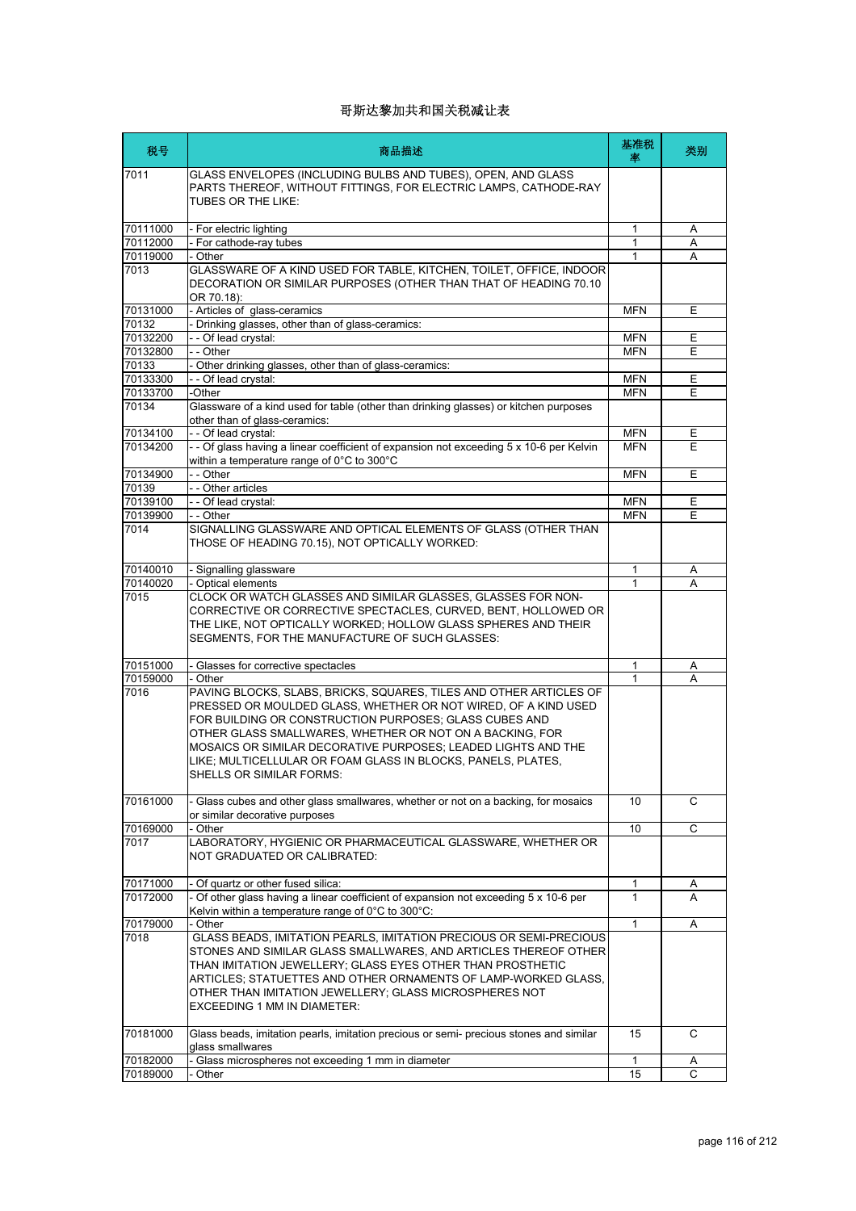| 税号                   | 商品描述                                                                                                                                                                                                                                                                                                                                                                                                                    | 基准税<br>率     | 类别     |
|----------------------|-------------------------------------------------------------------------------------------------------------------------------------------------------------------------------------------------------------------------------------------------------------------------------------------------------------------------------------------------------------------------------------------------------------------------|--------------|--------|
| 7011                 | GLASS ENVELOPES (INCLUDING BULBS AND TUBES), OPEN, AND GLASS<br>PARTS THEREOF, WITHOUT FITTINGS, FOR ELECTRIC LAMPS, CATHODE-RAY<br>TUBES OR THE LIKE:                                                                                                                                                                                                                                                                  |              |        |
| 70111000             | - For electric lighting                                                                                                                                                                                                                                                                                                                                                                                                 | 1            | Α      |
| 70112000             | - For cathode-ray tubes                                                                                                                                                                                                                                                                                                                                                                                                 | $\mathbf{1}$ | A      |
| 70119000             | - Other                                                                                                                                                                                                                                                                                                                                                                                                                 | 1            | A      |
| 7013                 | GLASSWARE OF A KIND USED FOR TABLE, KITCHEN, TOILET, OFFICE, INDOOR<br>DECORATION OR SIMILAR PURPOSES (OTHER THAN THAT OF HEADING 70.10<br>OR 70.18):                                                                                                                                                                                                                                                                   |              |        |
| 70131000             | - Articles of glass-ceramics                                                                                                                                                                                                                                                                                                                                                                                            | <b>MFN</b>   | Е      |
| 70132                | - Drinking glasses, other than of glass-ceramics:                                                                                                                                                                                                                                                                                                                                                                       |              |        |
| 70132200             | -- Of lead crystal:                                                                                                                                                                                                                                                                                                                                                                                                     | <b>MFN</b>   | Е      |
| 70132800             | - - Other                                                                                                                                                                                                                                                                                                                                                                                                               | <b>MFN</b>   | Е      |
| 70133                | - Other drinking glasses, other than of glass-ceramics:                                                                                                                                                                                                                                                                                                                                                                 |              |        |
| 70133300             | -- Of lead crystal:                                                                                                                                                                                                                                                                                                                                                                                                     | <b>MFN</b>   | Е      |
| 70133700             | -Other                                                                                                                                                                                                                                                                                                                                                                                                                  | <b>MFN</b>   | E      |
| 70134                | Glassware of a kind used for table (other than drinking glasses) or kitchen purposes<br>other than of glass-ceramics:                                                                                                                                                                                                                                                                                                   |              |        |
| 70134100             | -- Of lead crystal:                                                                                                                                                                                                                                                                                                                                                                                                     | <b>MFN</b>   | Е      |
| 70134200             | - - Of glass having a linear coefficient of expansion not exceeding 5 x 10-6 per Kelvin<br>within a temperature range of 0°C to 300°C                                                                                                                                                                                                                                                                                   | <b>MFN</b>   | E      |
| 70134900             | - - Other                                                                                                                                                                                                                                                                                                                                                                                                               | <b>MFN</b>   | E      |
| 70139                | - - Other articles                                                                                                                                                                                                                                                                                                                                                                                                      |              |        |
| 70139100             | - - Of lead crystal:                                                                                                                                                                                                                                                                                                                                                                                                    | <b>MFN</b>   | Е      |
| 70139900             | - - Other                                                                                                                                                                                                                                                                                                                                                                                                               | <b>MFN</b>   | E      |
| 7014                 | SIGNALLING GLASSWARE AND OPTICAL ELEMENTS OF GLASS (OTHER THAN<br>THOSE OF HEADING 70.15). NOT OPTICALLY WORKED:                                                                                                                                                                                                                                                                                                        |              |        |
| 70140010             | - Signalling glassware                                                                                                                                                                                                                                                                                                                                                                                                  | 1            | Α      |
| 70140020             | - Optical elements                                                                                                                                                                                                                                                                                                                                                                                                      | $\mathbf{1}$ | A      |
| 7015                 | CLOCK OR WATCH GLASSES AND SIMILAR GLASSES, GLASSES FOR NON-<br>CORRECTIVE OR CORRECTIVE SPECTACLES, CURVED, BENT, HOLLOWED OR<br>THE LIKE, NOT OPTICALLY WORKED; HOLLOW GLASS SPHERES AND THEIR<br>SEGMENTS, FOR THE MANUFACTURE OF SUCH GLASSES:                                                                                                                                                                      |              |        |
| 70151000             | - Glasses for corrective spectacles                                                                                                                                                                                                                                                                                                                                                                                     | 1            | Α      |
| 70159000             | - Other                                                                                                                                                                                                                                                                                                                                                                                                                 | 1            | A      |
| 7016                 | PAVING BLOCKS, SLABS, BRICKS, SQUARES, TILES AND OTHER ARTICLES OF<br>PRESSED OR MOULDED GLASS, WHETHER OR NOT WIRED, OF A KIND USED<br>FOR BUILDING OR CONSTRUCTION PURPOSES; GLASS CUBES AND<br>OTHER GLASS SMALLWARES, WHETHER OR NOT ON A BACKING, FOR<br>MOSAICS OR SIMILAR DECORATIVE PURPOSES; LEADED LIGHTS AND THE<br>LIKE; MULTICELLULAR OR FOAM GLASS IN BLOCKS, PANELS, PLATES,<br>SHELLS OR SIMILAR FORMS: |              |        |
| 70161000             | - Glass cubes and other glass smallwares, whether or not on a backing, for mosaics<br>or similar decorative purposes                                                                                                                                                                                                                                                                                                    | 10           | C      |
| 70169000             | - Other                                                                                                                                                                                                                                                                                                                                                                                                                 | 10           | C      |
| 7017                 | LABORATORY, HYGIENIC OR PHARMACEUTICAL GLASSWARE, WHETHER OR<br>NOT GRADUATED OR CALIBRATED:                                                                                                                                                                                                                                                                                                                            |              |        |
| 70171000             | - Of quartz or other fused silica:                                                                                                                                                                                                                                                                                                                                                                                      | 1            | A      |
| 70172000             | - Of other glass having a linear coefficient of expansion not exceeding 5 x 10-6 per                                                                                                                                                                                                                                                                                                                                    | $\mathbf{1}$ | A      |
| 70179000             | Kelvin within a temperature range of 0°C to 300°C:<br>- Other                                                                                                                                                                                                                                                                                                                                                           | $\mathbf{1}$ | Α      |
| 7018                 | GLASS BEADS, IMITATION PEARLS, IMITATION PRECIOUS OR SEMI-PRECIOUS<br>STONES AND SIMILAR GLASS SMALLWARES, AND ARTICLES THEREOF OTHER<br>THAN IMITATION JEWELLERY; GLASS EYES OTHER THAN PROSTHETIC<br>ARTICLES; STATUETTES AND OTHER ORNAMENTS OF LAMP-WORKED GLASS,<br>OTHER THAN IMITATION JEWELLERY; GLASS MICROSPHERES NOT<br>EXCEEDING 1 MM IN DIAMETER:                                                          |              |        |
| 70181000             | Glass beads, imitation pearls, imitation precious or semi- precious stones and similar                                                                                                                                                                                                                                                                                                                                  | 15           | С      |
|                      | glass smallwares                                                                                                                                                                                                                                                                                                                                                                                                        | $\mathbf{1}$ |        |
| 70182000<br>70189000 | Glass microspheres not exceeding 1 mm in diameter<br>Other                                                                                                                                                                                                                                                                                                                                                              | 15           | Α<br>С |
|                      |                                                                                                                                                                                                                                                                                                                                                                                                                         |              |        |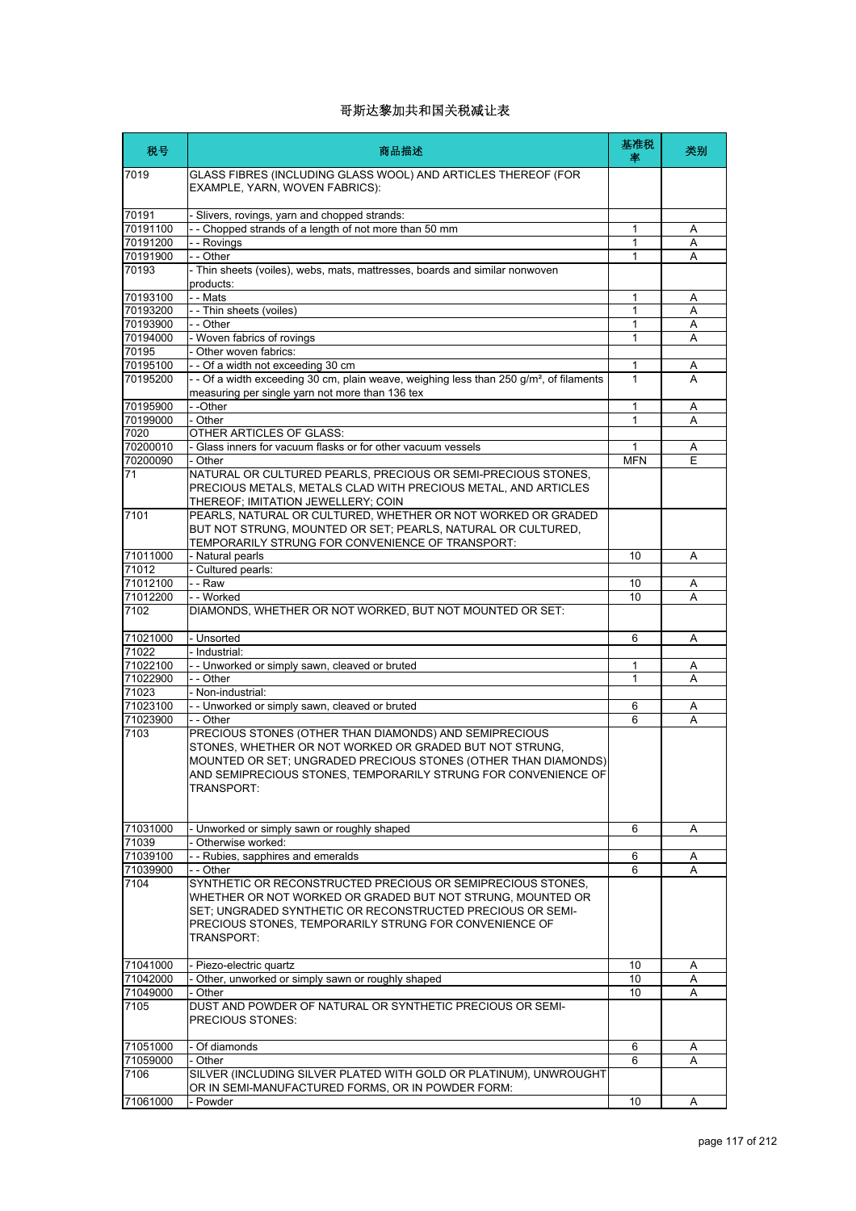| 税号               | 商品描述                                                                                                                                                                                                                                                                         | 基准税<br>率   | 类别 |
|------------------|------------------------------------------------------------------------------------------------------------------------------------------------------------------------------------------------------------------------------------------------------------------------------|------------|----|
| 7019             | GLASS FIBRES (INCLUDING GLASS WOOL) AND ARTICLES THEREOF (FOR<br>EXAMPLE, YARN, WOVEN FABRICS):                                                                                                                                                                              |            |    |
| 70191            | - Slivers, rovings, yarn and chopped strands:                                                                                                                                                                                                                                |            |    |
| 70191100         | -- Chopped strands of a length of not more than 50 mm                                                                                                                                                                                                                        | 1          | Α  |
| 70191200         | - - Rovings                                                                                                                                                                                                                                                                  | 1          | Α  |
| 70191900         | - - Other                                                                                                                                                                                                                                                                    | 1          | Α  |
| 70193            | - Thin sheets (voiles), webs, mats, mattresses, boards and similar nonwoven<br>products:                                                                                                                                                                                     |            |    |
| 70193100         | - - Mats                                                                                                                                                                                                                                                                     | 1          | A  |
| 70193200         | - - Thin sheets (voiles)                                                                                                                                                                                                                                                     | 1          | A  |
| 70193900         | - - Other                                                                                                                                                                                                                                                                    | 1          | Α  |
| 70194000         | - Woven fabrics of rovings                                                                                                                                                                                                                                                   | 1          | A  |
| 70195            | - Other woven fabrics:                                                                                                                                                                                                                                                       |            |    |
| 70195100         | -- Of a width not exceeding 30 cm                                                                                                                                                                                                                                            | 1          | A  |
| 70195200         | - - Of a width exceeding 30 cm, plain weave, weighing less than 250 g/m <sup>2</sup> , of filaments                                                                                                                                                                          | 1          | A  |
|                  | measuring per single yarn not more than 136 tex                                                                                                                                                                                                                              |            |    |
| 70195900         | --Other                                                                                                                                                                                                                                                                      | 1          | Α  |
| 70199000         | - Other                                                                                                                                                                                                                                                                      | 1          | A  |
| 7020             | <b>OTHER ARTICLES OF GLASS:</b>                                                                                                                                                                                                                                              |            |    |
| 70200010         | - Glass inners for vacuum flasks or for other vacuum vessels                                                                                                                                                                                                                 | 1          | A  |
| 70200090         | - Other                                                                                                                                                                                                                                                                      | <b>MFN</b> | E  |
| 71               | NATURAL OR CULTURED PEARLS, PRECIOUS OR SEMI-PRECIOUS STONES,<br>PRECIOUS METALS, METALS CLAD WITH PRECIOUS METAL, AND ARTICLES<br>THEREOF; IMITATION JEWELLERY; COIN                                                                                                        |            |    |
| 7101             | PEARLS, NATURAL OR CULTURED, WHETHER OR NOT WORKED OR GRADED<br>BUT NOT STRUNG, MOUNTED OR SET; PEARLS, NATURAL OR CULTURED,<br>TEMPORARILY STRUNG FOR CONVENIENCE OF TRANSPORT:                                                                                             |            |    |
| 71011000         | - Natural pearls                                                                                                                                                                                                                                                             | 10         | Α  |
| 71012            | - Cultured pearls:                                                                                                                                                                                                                                                           |            |    |
| 71012100         | - - Raw                                                                                                                                                                                                                                                                      | 10         | Α  |
| 71012200         | - - Worked                                                                                                                                                                                                                                                                   | 10         | A  |
| 7102             | DIAMONDS, WHETHER OR NOT WORKED, BUT NOT MOUNTED OR SET:                                                                                                                                                                                                                     |            |    |
| 71021000         | - Unsorted                                                                                                                                                                                                                                                                   | 6          | Α  |
| 71022            | - Industrial:                                                                                                                                                                                                                                                                |            |    |
| 71022100         | -- Unworked or simply sawn, cleaved or bruted                                                                                                                                                                                                                                | 1          | A  |
| 71022900         | - - Other                                                                                                                                                                                                                                                                    | 1          | A  |
| 71023            | - Non-industrial:                                                                                                                                                                                                                                                            |            |    |
| 71023100         | - - Unworked or simply sawn, cleaved or bruted                                                                                                                                                                                                                               | 6          | Α  |
| 71023900         | - - Other                                                                                                                                                                                                                                                                    | 6          | Α  |
| 7103             | PRECIOUS STONES (OTHER THAN DIAMONDS) AND SEMIPRECIOUS<br>STONES, WHETHER OR NOT WORKED OR GRADED BUT NOT STRUNG,<br>MOUNTED OR SET; UNGRADED PRECIOUS STONES (OTHER THAN DIAMONDS)<br>AND SEMIPRECIOUS STONES, TEMPORARILY STRUNG FOR CONVENIENCE OF<br>TRANSPORT:          |            |    |
| 71031000         | - Unworked or simply sawn or roughly shaped                                                                                                                                                                                                                                  | 6          | Α  |
| 71039            | - Otherwise worked:                                                                                                                                                                                                                                                          |            |    |
| 71039100         | - - Rubies, sapphires and emeralds                                                                                                                                                                                                                                           | 6          | Α  |
| 71039900<br>7104 | - - Other<br>SYNTHETIC OR RECONSTRUCTED PRECIOUS OR SEMIPRECIOUS STONES,<br>WHETHER OR NOT WORKED OR GRADED BUT NOT STRUNG, MOUNTED OR<br>SET; UNGRADED SYNTHETIC OR RECONSTRUCTED PRECIOUS OR SEMI-<br>PRECIOUS STONES, TEMPORARILY STRUNG FOR CONVENIENCE OF<br>TRANSPORT: | 6          | A  |
| 71041000         | - Piezo-electric quartz                                                                                                                                                                                                                                                      | 10         | Α  |
| 71042000         | - Other, unworked or simply sawn or roughly shaped                                                                                                                                                                                                                           | 10         | Α  |
| 71049000         | - Other                                                                                                                                                                                                                                                                      | 10         | A  |
| 7105             | DUST AND POWDER OF NATURAL OR SYNTHETIC PRECIOUS OR SEMI-<br>PRECIOUS STONES:                                                                                                                                                                                                |            |    |
| 71051000         | - Of diamonds                                                                                                                                                                                                                                                                | 6          | Α  |
| 71059000         | - Other                                                                                                                                                                                                                                                                      | 6          | A  |
| 7106             | SILVER (INCLUDING SILVER PLATED WITH GOLD OR PLATINUM), UNWROUGHT<br>OR IN SEMI-MANUFACTURED FORMS, OR IN POWDER FORM:                                                                                                                                                       |            |    |
| 71061000         | - Powder                                                                                                                                                                                                                                                                     | 10         | A  |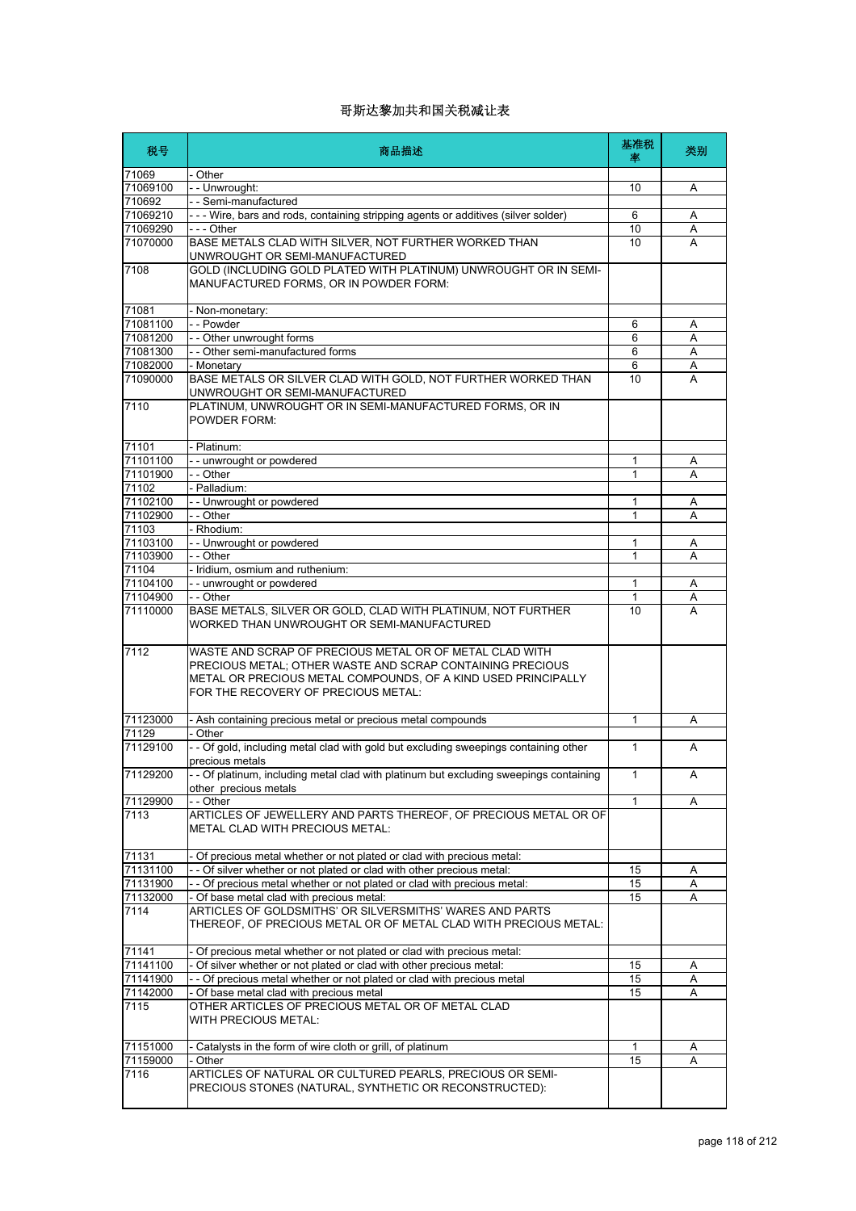| 税号                   | 商品描述                                                                                                                                                                                                                         | 基准税<br>率     | 类别     |
|----------------------|------------------------------------------------------------------------------------------------------------------------------------------------------------------------------------------------------------------------------|--------------|--------|
| 71069                | - Other                                                                                                                                                                                                                      |              |        |
| 71069100             | -- Unwrought:                                                                                                                                                                                                                | 10           | Α      |
| 710692               | - - Semi-manufactured                                                                                                                                                                                                        |              |        |
| 71069210             | --- Wire, bars and rods, containing stripping agents or additives (silver solder)                                                                                                                                            | 6            | Α      |
| 71069290             | - - - Other                                                                                                                                                                                                                  | 10           | Α      |
| 71070000             | BASE METALS CLAD WITH SILVER, NOT FURTHER WORKED THAN<br>UNWROUGHT OR SEMI-MANUFACTURED                                                                                                                                      | 10           | A      |
| 7108                 | GOLD (INCLUDING GOLD PLATED WITH PLATINUM) UNWROUGHT OR IN SEMI-<br>MANUFACTURED FORMS, OR IN POWDER FORM:                                                                                                                   |              |        |
| 71081                | - Non-monetary:                                                                                                                                                                                                              |              |        |
| 71081100             | - - Powder                                                                                                                                                                                                                   | 6            | Α      |
| 71081200             | - - Other unwrought forms                                                                                                                                                                                                    | 6            | Α      |
| 71081300             | - - Other semi-manufactured forms                                                                                                                                                                                            | 6            | Α      |
| 71082000             | - Monetary                                                                                                                                                                                                                   | 6            | Α      |
| 71090000             | BASE METALS OR SILVER CLAD WITH GOLD, NOT FURTHER WORKED THAN<br>UNWROUGHT OR SEMI-MANUFACTURED                                                                                                                              | 10           | A      |
| 7110                 | PLATINUM, UNWROUGHT OR IN SEMI-MANUFACTURED FORMS, OR IN<br>POWDER FORM:                                                                                                                                                     |              |        |
| 71101                | - Platinum:                                                                                                                                                                                                                  |              |        |
| 71101100             | -- unwrought or powdered                                                                                                                                                                                                     | 1            | Α      |
| 71101900             | - - Other                                                                                                                                                                                                                    | $\mathbf{1}$ | A      |
| 71102                | - Palladium:                                                                                                                                                                                                                 |              |        |
| 71102100             | -- Unwrought or powdered                                                                                                                                                                                                     | 1            | Α      |
| 71102900<br>71103    | - - Other<br>- Rhodium:                                                                                                                                                                                                      | 1            | Α      |
| 71103100             | -- Unwrought or powdered                                                                                                                                                                                                     | 1            | A      |
| 71103900             | $ -$ Other                                                                                                                                                                                                                   | 1            | Α      |
| 71104                | - Iridium, osmium and ruthenium:                                                                                                                                                                                             |              |        |
| 71104100             | -- unwrought or powdered                                                                                                                                                                                                     | 1            | Α      |
| 71104900             | - - Other                                                                                                                                                                                                                    | 1            | Α      |
| 71110000             | BASE METALS, SILVER OR GOLD, CLAD WITH PLATINUM, NOT FURTHER<br>WORKED THAN UNWROUGHT OR SEMI-MANUFACTURED                                                                                                                   | 10           | A      |
| 7112                 | WASTE AND SCRAP OF PRECIOUS METAL OR OF METAL CLAD WITH<br>PRECIOUS METAL; OTHER WASTE AND SCRAP CONTAINING PRECIOUS<br>METAL OR PRECIOUS METAL COMPOUNDS, OF A KIND USED PRINCIPALLY<br>FOR THE RECOVERY OF PRECIOUS METAL: |              |        |
| 71123000             | - Ash containing precious metal or precious metal compounds                                                                                                                                                                  | 1            | A      |
| 71129                | - Other                                                                                                                                                                                                                      |              |        |
| 71129100             | - - Of gold, including metal clad with gold but excluding sweepings containing other<br>precious metals                                                                                                                      | 1            | A      |
| 71129200             | - - Of platinum, including metal clad with platinum but excluding sweepings containing                                                                                                                                       | 1            | Α      |
| 71129900             | other precious metals<br>- - Other                                                                                                                                                                                           | $\mathbf{1}$ | A      |
| 7113                 | ARTICLES OF JEWELLERY AND PARTS THEREOF, OF PRECIOUS METAL OR OF<br>METAL CLAD WITH PRECIOUS METAL:                                                                                                                          |              |        |
| 71131                | - Of precious metal whether or not plated or clad with precious metal:                                                                                                                                                       |              |        |
| 71131100             | - - Of silver whether or not plated or clad with other precious metal:                                                                                                                                                       | 15           | A      |
| 71131900             | - - Of precious metal whether or not plated or clad with precious metal:                                                                                                                                                     | 15           | Α      |
| 71132000             | - Of base metal clad with precious metal:                                                                                                                                                                                    | 15           | A      |
| 7114                 | ARTICLES OF GOLDSMITHS' OR SILVERSMITHS' WARES AND PARTS<br>THEREOF, OF PRECIOUS METAL OR OF METAL CLAD WITH PRECIOUS METAL:                                                                                                 |              |        |
| 71141                | Of precious metal whether or not plated or clad with precious metal:                                                                                                                                                         |              |        |
| 71141100             | - Of silver whether or not plated or clad with other precious metal:                                                                                                                                                         | 15           | Α      |
| 71141900             | - - Of precious metal whether or not plated or clad with precious metal                                                                                                                                                      | 15           | Α      |
| 71142000<br>7115     | Of base metal clad with precious metal<br>OTHER ARTICLES OF PRECIOUS METAL OR OF METAL CLAD<br>WITH PRECIOUS METAL:                                                                                                          | 15           | Α      |
|                      |                                                                                                                                                                                                                              | $\mathbf{1}$ |        |
| 71151000<br>71159000 | - Catalysts in the form of wire cloth or grill, of platinum<br>- Other                                                                                                                                                       | 15           | Α<br>A |
| 7116                 | ARTICLES OF NATURAL OR CULTURED PEARLS, PRECIOUS OR SEMI-                                                                                                                                                                    |              |        |
|                      | PRECIOUS STONES (NATURAL, SYNTHETIC OR RECONSTRUCTED):                                                                                                                                                                       |              |        |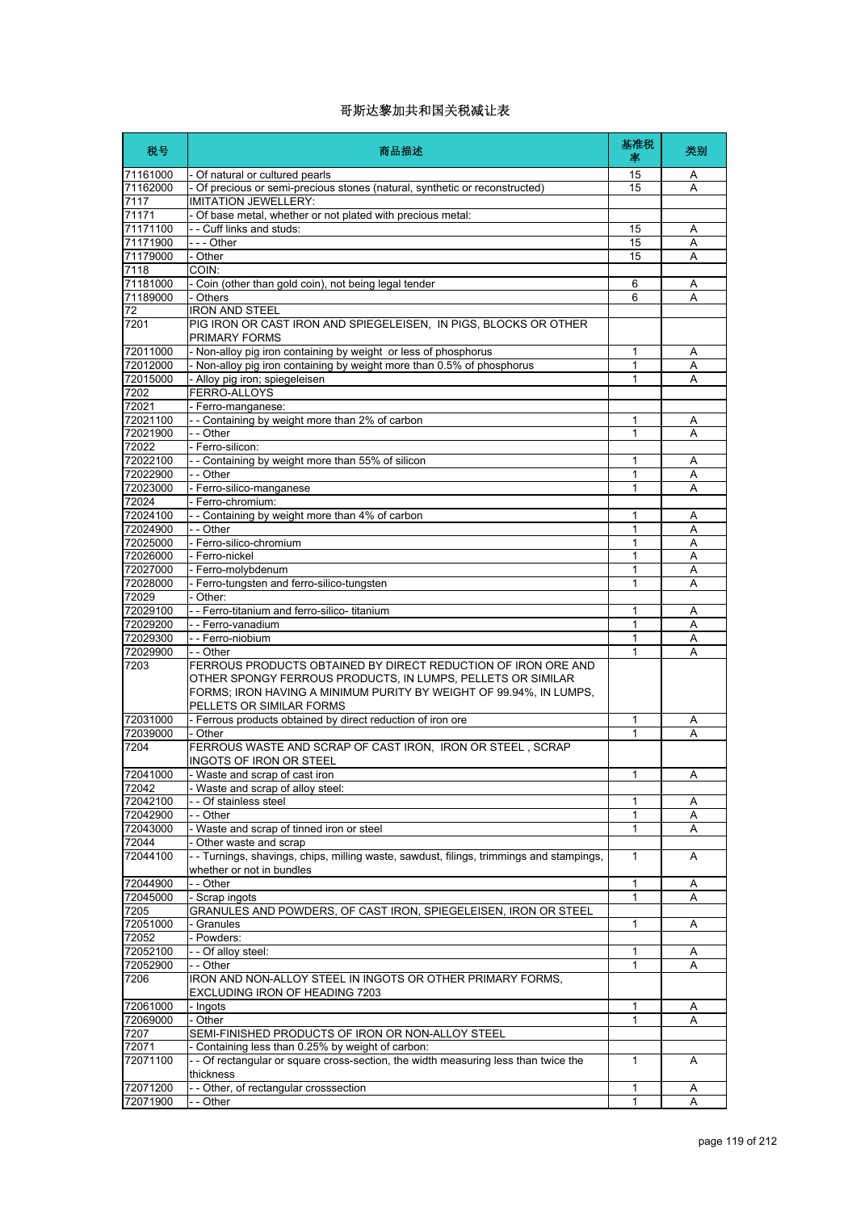| 税号                   | 商品描述                                                                                                                                                                                                                           | 基准税<br>率          | 类别     |
|----------------------|--------------------------------------------------------------------------------------------------------------------------------------------------------------------------------------------------------------------------------|-------------------|--------|
| 71161000             | - Of natural or cultured pearls                                                                                                                                                                                                | 15                | A      |
| 71162000             | - Of precious or semi-precious stones (natural, synthetic or reconstructed)                                                                                                                                                    | 15                | Α      |
| 7117                 | <b>IMITATION JEWELLERY:</b>                                                                                                                                                                                                    |                   |        |
| 71171<br>71171100    | - Of base metal, whether or not plated with precious metal:<br>- - Cuff links and studs:                                                                                                                                       | 15                | Α      |
| 71171900             | - - - Other                                                                                                                                                                                                                    | 15                | Α      |
| 71179000             | - Other                                                                                                                                                                                                                        | 15                | A      |
| 7118                 | COIN:                                                                                                                                                                                                                          |                   |        |
| 71181000             | - Coin (other than gold coin), not being legal tender                                                                                                                                                                          | 6                 | Α      |
| 71189000             | - Others                                                                                                                                                                                                                       | 6                 | A      |
| 72                   | <b>IRON AND STEEL</b>                                                                                                                                                                                                          |                   |        |
| 7201                 | PIG IRON OR CAST IRON AND SPIEGELEISEN, IN PIGS, BLOCKS OR OTHER<br>PRIMARY FORMS                                                                                                                                              |                   |        |
| 72011000             | - Non-alloy pig iron containing by weight or less of phosphorus                                                                                                                                                                | 1                 | Α      |
| 72012000             | - Non-alloy pig iron containing by weight more than 0.5% of phosphorus                                                                                                                                                         | 1                 | Α      |
| 72015000<br>7202     | - Alloy pig iron; spiegeleisen                                                                                                                                                                                                 | 1                 | Α      |
| 72021                | FERRO-ALLOYS<br>- Ferro-manganese:                                                                                                                                                                                             |                   |        |
| 72021100             | -- Containing by weight more than 2% of carbon                                                                                                                                                                                 | 1                 | Α      |
| 72021900             | - - Other                                                                                                                                                                                                                      | 1                 | Α      |
| 72022                | - Ferro-silicon:                                                                                                                                                                                                               |                   |        |
| 72022100             | -- Containing by weight more than 55% of silicon                                                                                                                                                                               | 1                 | Α      |
| 72022900             | - - Other                                                                                                                                                                                                                      | 1                 | Α      |
| 72023000             | - Ferro-silico-manganese                                                                                                                                                                                                       | 1                 | Α      |
| 72024                | Ferro-chromium:                                                                                                                                                                                                                |                   |        |
| 72024100             | -- Containing by weight more than 4% of carbon                                                                                                                                                                                 | 1                 | Α      |
| 72024900             | - - Other                                                                                                                                                                                                                      | 1                 | Α      |
| 72025000             | - Ferro-silico-chromium                                                                                                                                                                                                        | 1                 | Α      |
| 72026000             | - Ferro-nickel                                                                                                                                                                                                                 | 1                 | Α      |
| 72027000<br>72028000 | - Ferro-molybdenum<br>- Ferro-tungsten and ferro-silico-tungsten                                                                                                                                                               | 1<br>1            | Α<br>Α |
| 72029                | Other:                                                                                                                                                                                                                         |                   |        |
| 72029100             | -- Ferro-titanium and ferro-silico- titanium                                                                                                                                                                                   | 1                 | Α      |
| 72029200             | --Ferro-vanadium                                                                                                                                                                                                               | 1                 | Α      |
| 72029300             | - - Ferro-niobium                                                                                                                                                                                                              | 1                 | A      |
| 72029900             | - - Other                                                                                                                                                                                                                      | 1                 | Α      |
| 7203                 | FERROUS PRODUCTS OBTAINED BY DIRECT REDUCTION OF IRON ORE AND<br>OTHER SPONGY FERROUS PRODUCTS, IN LUMPS, PELLETS OR SIMILAR<br>FORMS; IRON HAVING A MINIMUM PURITY BY WEIGHT OF 99.94%, IN LUMPS,<br>PELLETS OR SIMILAR FORMS |                   |        |
| 72031000             | - Ferrous products obtained by direct reduction of iron ore                                                                                                                                                                    | 1                 | Α      |
| 72039000             | - Other                                                                                                                                                                                                                        | 1                 | Α      |
| 7204                 | FERROUS WASTE AND SCRAP OF CAST IRON, IRON OR STEEL, SCRAP<br>INGOTS OF IRON OR STEEL                                                                                                                                          |                   |        |
| 72041000             | - Waste and scrap of cast iron                                                                                                                                                                                                 | $\mathbf{1}$      | А      |
| 72042                | - Waste and scrap of alloy steel:                                                                                                                                                                                              |                   |        |
| 72042100             | - - Of stainless steel                                                                                                                                                                                                         | 1                 | Α      |
| 72042900<br>72043000 | - - Other<br>- Waste and scrap of tinned iron or steel                                                                                                                                                                         | 1<br>1            | Α<br>Α |
| 72044                | - Other waste and scrap                                                                                                                                                                                                        |                   |        |
| 72044100             | - Turnings, shavings, chips, milling waste, sawdust, filings, trimmings and stampings,<br>whether or not in bundles                                                                                                            | 1                 | A      |
| 72044900             | - - Other                                                                                                                                                                                                                      | 1                 | A      |
| 72045000             | - Scrap ingots                                                                                                                                                                                                                 | 1                 | Α      |
| 7205                 | GRANULES AND POWDERS, OF CAST IRON, SPIEGELEISEN, IRON OR STEEL                                                                                                                                                                |                   |        |
| 72051000             | Granules                                                                                                                                                                                                                       | 1                 | Α      |
| 72052                | - Powders:                                                                                                                                                                                                                     |                   |        |
| 72052100             | - - Of alloy steel:                                                                                                                                                                                                            | 1                 | Α      |
| 72052900             | - - Other                                                                                                                                                                                                                      | 1                 | Α      |
| 7206                 | IRON AND NON-ALLOY STEEL IN INGOTS OR OTHER PRIMARY FORMS,<br>EXCLUDING IRON OF HEADING 7203                                                                                                                                   |                   |        |
| 72061000             | - Ingots                                                                                                                                                                                                                       | 1                 | Α      |
| 72069000             | - Other                                                                                                                                                                                                                        | 1                 | Α      |
| 7207                 | SEMI-FINISHED PRODUCTS OF IRON OR NON-ALLOY STEEL                                                                                                                                                                              |                   |        |
| 72071                | - Containing less than 0.25% by weight of carbon:                                                                                                                                                                              |                   |        |
| 72071100             | - - Of rectangular or square cross-section, the width measuring less than twice the<br>thickness                                                                                                                               | 1                 | A      |
| 72071200<br>72071900 | - - Other, of rectangular crosssection<br>- - Other                                                                                                                                                                            | 1<br>$\mathbf{1}$ | Α<br>A |
|                      |                                                                                                                                                                                                                                |                   |        |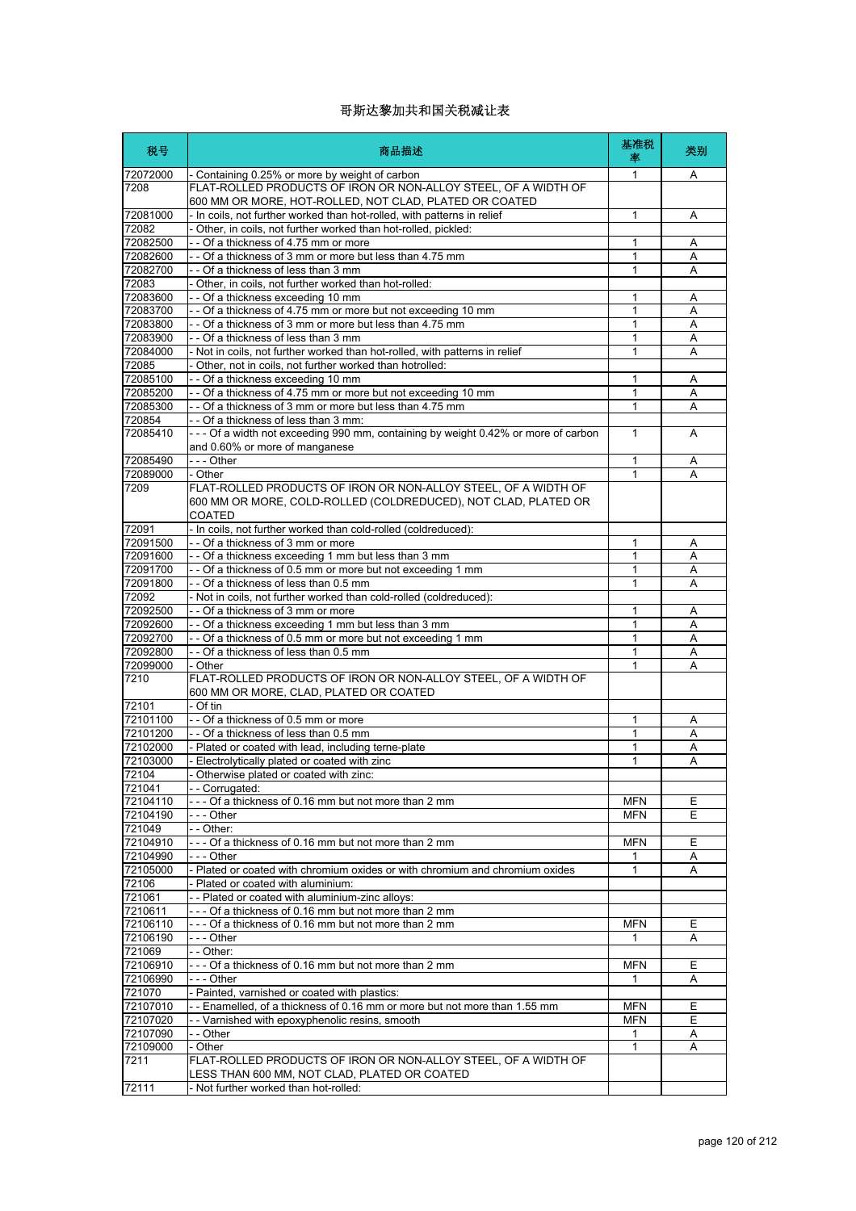| 税号                   | 商品描述                                                                                                                                   | 基准税<br>率     | 类别     |
|----------------------|----------------------------------------------------------------------------------------------------------------------------------------|--------------|--------|
| 72072000<br>7208     | - Containing 0.25% or more by weight of carbon<br>FLAT-ROLLED PRODUCTS OF IRON OR NON-ALLOY STEEL, OF A WIDTH OF                       | 1            | Α      |
|                      | 600 MM OR MORE, HOT-ROLLED, NOT CLAD, PLATED OR COATED                                                                                 |              |        |
| 72081000             | - In coils, not further worked than hot-rolled, with patterns in relief                                                                | $\mathbf{1}$ | Α      |
| 72082<br>72082500    | - Other, in coils, not further worked than hot-rolled, pickled:<br>- - Of a thickness of 4.75 mm or more                               | 1            | Α      |
| 72082600             | - - Of a thickness of 3 mm or more but less than 4.75 mm                                                                               | $\mathbf{1}$ | Α      |
| 72082700             | -- Of a thickness of less than 3 mm                                                                                                    | 1            | Α      |
| 72083<br>72083600    | - Other, in coils, not further worked than hot-rolled:<br>- - Of a thickness exceeding 10 mm                                           | 1            |        |
| 72083700             | -- Of a thickness of 4.75 mm or more but not exceeding 10 mm                                                                           | $\mathbf{1}$ | Α<br>A |
| 72083800             | -- Of a thickness of 3 mm or more but less than 4.75 mm                                                                                | 1            | Α      |
| 72083900             | - - Of a thickness of less than 3 mm                                                                                                   | 1            | Α      |
| 72084000<br>72085    | - Not in coils, not further worked than hot-rolled, with patterns in relief<br>Other, not in coils, not further worked than hotrolled: | 1            | A      |
| 72085100             | -- Of a thickness exceeding 10 mm                                                                                                      | 1            | Α      |
| 72085200             | - - Of a thickness of 4.75 mm or more but not exceeding 10 mm                                                                          | 1            | A      |
| 72085300             | - - Of a thickness of 3 mm or more but less than 4.75 mm                                                                               | $\mathbf{1}$ | Α      |
| 720854<br>72085410   | - - Of a thickness of less than 3 mm:<br>--- Of a width not exceeding 990 mm, containing by weight 0.42% or more of carbon             | $\mathbf{1}$ | Α      |
|                      | and 0.60% or more of manganese                                                                                                         |              |        |
| 72085490             | --- Other                                                                                                                              | 1            | Α      |
| 72089000             | - Other                                                                                                                                | 1            | Α      |
| 7209                 | FLAT-ROLLED PRODUCTS OF IRON OR NON-ALLOY STEEL, OF A WIDTH OF<br>600 MM OR MORE, COLD-ROLLED (COLDREDUCED), NOT CLAD, PLATED OR       |              |        |
|                      | <b>COATED</b>                                                                                                                          |              |        |
| 72091                | - In coils, not further worked than cold-rolled (coldreduced):                                                                         |              |        |
| 72091500             | - - Of a thickness of 3 mm or more                                                                                                     | 1            | Α      |
| 72091600<br>72091700 | - - Of a thickness exceeding 1 mm but less than 3 mm<br>- Of a thickness of 0.5 mm or more but not exceeding 1 mm                      | 1<br>1       | Α<br>A |
| 72091800             | - - Of a thickness of less than 0.5 mm                                                                                                 | 1            | Α      |
| 72092                | - Not in coils, not further worked than cold-rolled (coldreduced):                                                                     |              |        |
| 72092500             | - - Of a thickness of 3 mm or more                                                                                                     | $\mathbf{1}$ | Α      |
| 72092600<br>72092700 | - - Of a thickness exceeding 1 mm but less than 3 mm<br>- - Of a thickness of 0.5 mm or more but not exceeding 1 mm                    | 1<br>1       | Α<br>Α |
| 72092800             | - - Of a thickness of less than 0.5 mm                                                                                                 | 1            | Α      |
| 72099000             | - Other                                                                                                                                | 1            | Α      |
| 7210                 | FLAT-ROLLED PRODUCTS OF IRON OR NON-ALLOY STEEL, OF A WIDTH OF                                                                         |              |        |
| 72101                | 600 MM OR MORE, CLAD, PLATED OR COATED<br>- Of tin                                                                                     |              |        |
| 72101100             | -- Of a thickness of 0.5 mm or more                                                                                                    | 1            | Α      |
| 72101200             | - - Of a thickness of less than 0.5 mm                                                                                                 | 1            | Α      |
| 72102000             | - Plated or coated with lead, including terne-plate                                                                                    | 1            | Α      |
| 72103000<br>72104    | Electrolytically plated or coated with zinc<br>- Otherwise plated or coated with zinc:                                                 | 1            | Α      |
| 721041               | - - Corrugated:                                                                                                                        |              |        |
| 72104110             | -- Of a thickness of 0.16 mm but not more than 2 mm                                                                                    | <b>MFN</b>   | Е      |
| 72104190             | - - - Other                                                                                                                            | <b>MFN</b>   | E      |
| 721049<br>72104910   | - - Other:<br>--- Of a thickness of 0.16 mm but not more than 2 mm                                                                     | <b>MFN</b>   | Ε      |
| 72104990             | - - - Other                                                                                                                            | 1            | A      |
| 72105000             | - Plated or coated with chromium oxides or with chromium and chromium oxides                                                           | $\mathbf{1}$ | Α      |
| 72106                | Plated or coated with aluminium:                                                                                                       |              |        |
| 721061<br>7210611    | - Plated or coated with aluminium-zinc alloys:<br>--- Of a thickness of 0.16 mm but not more than 2 mm                                 |              |        |
| 72106110             | --- Of a thickness of 0.16 mm but not more than 2 mm                                                                                   | <b>MFN</b>   | Ε      |
| 72106190             | - - - Other                                                                                                                            | 1            | Α      |
| 721069               | - - Other:                                                                                                                             |              |        |
| 72106910             | --- Of a thickness of 0.16 mm but not more than 2 mm                                                                                   | <b>MFN</b>   | Е      |
| 72106990<br>721070   | - - - Other<br>- Painted, varnished or coated with plastics:                                                                           | 1            | Α      |
| 72107010             | -- Enamelled, of a thickness of 0.16 mm or more but not more than 1.55 mm                                                              | <b>MFN</b>   | Ε      |
| 72107020             | -- Varnished with epoxyphenolic resins, smooth                                                                                         | <b>MFN</b>   | Е      |
| 72107090             | - - Other                                                                                                                              | $\mathbf{1}$ | Α      |
| 72109000<br>7211     | - Other<br>FLAT-ROLLED PRODUCTS OF IRON OR NON-ALLOY STEEL, OF A WIDTH OF                                                              | 1            | Α      |
|                      | LESS THAN 600 MM, NOT CLAD, PLATED OR COATED                                                                                           |              |        |
| 72111                | Not further worked than hot-rolled:                                                                                                    |              |        |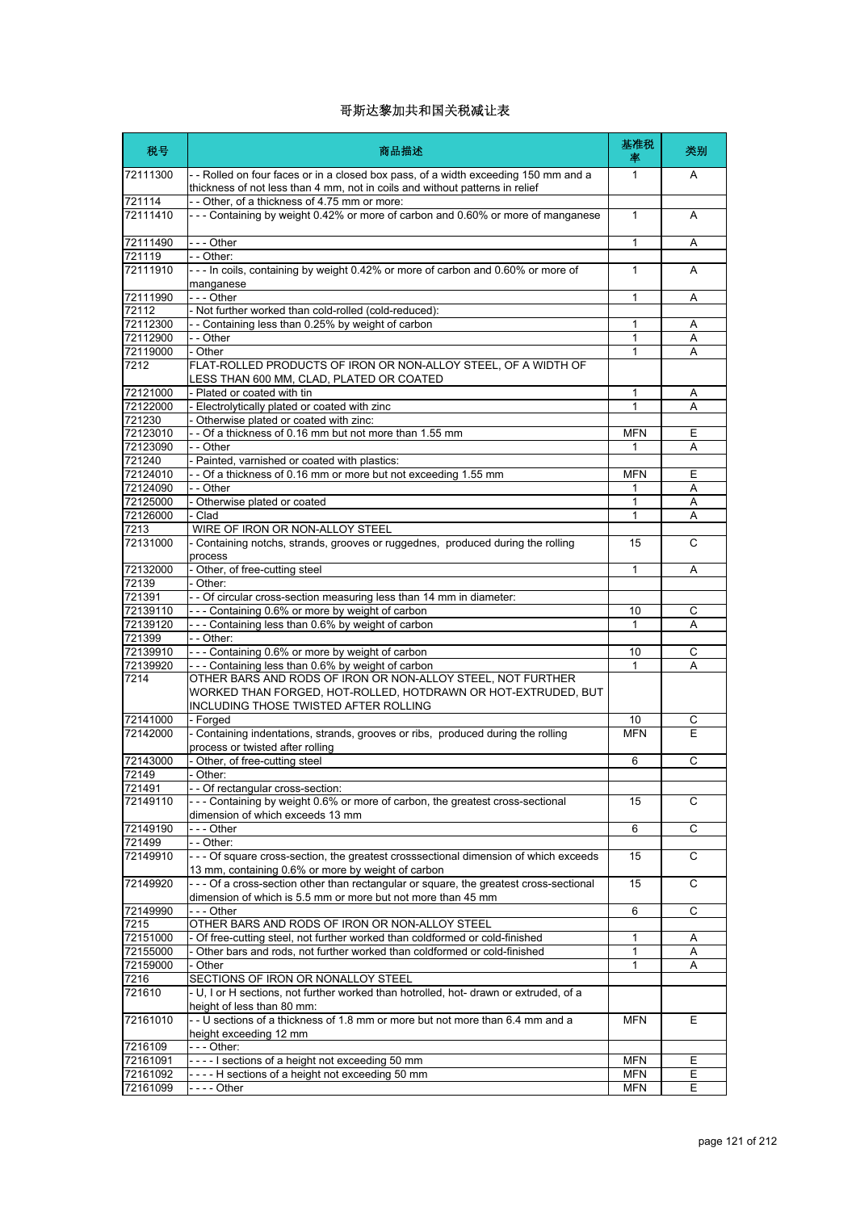| 税号                   | 商品描述                                                                                                                                                                  | 基准税<br>率   | 类别          |
|----------------------|-----------------------------------------------------------------------------------------------------------------------------------------------------------------------|------------|-------------|
| 72111300             | -- Rolled on four faces or in a closed box pass, of a width exceeding 150 mm and a<br>thickness of not less than 4 mm, not in coils and without patterns in relief    | 1          | A           |
| 721114<br>72111410   | -- Other, of a thickness of 4.75 mm or more:<br>--- Containing by weight 0.42% or more of carbon and 0.60% or more of manganese                                       | 1          | A           |
| 72111490             | - - - Other                                                                                                                                                           | 1          | Α           |
| 721119               | - - Other:                                                                                                                                                            |            |             |
| 72111910             | --- In coils, containing by weight 0.42% or more of carbon and 0.60% or more of<br>manganese                                                                          | 1          | A           |
| 72111990<br>72112    | --- Other<br>- Not further worked than cold-rolled (cold-reduced):                                                                                                    | 1          | Α           |
| 72112300             | - - Containing less than 0.25% by weight of carbon                                                                                                                    | 1          | Α           |
| 72112900             | - - Other                                                                                                                                                             | 1          | Α           |
| 72119000             | - Other                                                                                                                                                               | 1          | Α           |
| 7212                 | FLAT-ROLLED PRODUCTS OF IRON OR NON-ALLOY STEEL, OF A WIDTH OF<br>LESS THAN 600 MM, CLAD, PLATED OR COATED                                                            |            |             |
| 72121000             | - Plated or coated with tin                                                                                                                                           | 1          | Α           |
| 72122000             | - Electrolytically plated or coated with zinc                                                                                                                         | 1          | A           |
| 721230<br>72123010   | Otherwise plated or coated with zinc:<br>-- Of a thickness of 0.16 mm but not more than 1.55 mm                                                                       | <b>MFN</b> | Е           |
| 72123090             | - - Other                                                                                                                                                             | 1          | Α           |
| 721240               | - Painted, varnished or coated with plastics:                                                                                                                         |            |             |
| 72124010             | -- Of a thickness of 0.16 mm or more but not exceeding 1.55 mm                                                                                                        | <b>MFN</b> | E           |
| 72124090             | $-$ - Other                                                                                                                                                           | 1          | Α           |
| 72125000             | Otherwise plated or coated                                                                                                                                            | 1          | Α           |
| 72126000             | Clad                                                                                                                                                                  | 1          | Α           |
| 7213                 | WIRE OF IRON OR NON-ALLOY STEEL                                                                                                                                       |            |             |
| 72131000             | - Containing notchs, strands, grooves or ruggednes, produced during the rolling<br>process                                                                            | 15         | C           |
| 72132000             | - Other, of free-cutting steel                                                                                                                                        | 1          | Α           |
| 72139                | Other:                                                                                                                                                                |            |             |
| 721391               | - Of circular cross-section measuring less than 14 mm in diameter:<br>--- Containing 0.6% or more by weight of carbon                                                 |            |             |
| 72139110<br>72139120 | --- Containing less than 0.6% by weight of carbon                                                                                                                     | 10<br>1    | С<br>Α      |
| 721399               | - - Other:                                                                                                                                                            |            |             |
| 72139910             | --- Containing 0.6% or more by weight of carbon                                                                                                                       | 10         | С           |
| 72139920             | --- Containing less than 0.6% by weight of carbon                                                                                                                     | 1          | Α           |
| 7214                 | OTHER BARS AND RODS OF IRON OR NON-ALLOY STEEL, NOT FURTHER<br>WORKED THAN FORGED, HOT-ROLLED, HOTDRAWN OR HOT-EXTRUDED, BUT<br>INCLUDING THOSE TWISTED AFTER ROLLING |            |             |
| 72141000             | - Forged                                                                                                                                                              | 10         | С           |
| 72142000             | - Containing indentations, strands, grooves or ribs, produced during the rolling<br>process or twisted after rolling                                                  | <b>MFN</b> | E           |
| 72143000             | Other, of free-cutting steel                                                                                                                                          | 6          | С           |
| 72149                | Other:                                                                                                                                                                |            |             |
| 721491               | - - Of rectangular cross-section:                                                                                                                                     |            |             |
| 72149110             | --- Containing by weight 0.6% or more of carbon, the greatest cross-sectional<br>dimension of which exceeds 13 mm                                                     | 15         | C           |
| 72149190             | --- Other                                                                                                                                                             | 6          | $\mathsf C$ |
| 721499               | - - Other:                                                                                                                                                            |            |             |
| 72149910             | - - - Of square cross-section, the greatest crosssectional dimension of which exceeds<br>13 mm, containing 0.6% or more by weight of carbon                           | 15         | С           |
| 72149920             | - - - Of a cross-section other than rectangular or square, the greatest cross-sectional<br>dimension of which is 5.5 mm or more but not more than 45 mm               | 15         | C           |
| 72149990             | --- Other                                                                                                                                                             | 6          | C           |
| 7215                 | OTHER BARS AND RODS OF IRON OR NON-ALLOY STEEL                                                                                                                        |            |             |
| 72151000             | - Of free-cutting steel, not further worked than coldformed or cold-finished<br>- Other bars and rods, not further worked than coldformed or cold-finished            | 1          | Α           |
| 72155000<br>72159000 | - Other                                                                                                                                                               | 1<br>1     | Α<br>Α      |
| 7216                 | SECTIONS OF IRON OR NONALLOY STEEL                                                                                                                                    |            |             |
| 721610               | - U, I or H sections, not further worked than hotrolled, hot- drawn or extruded, of a<br>height of less than 80 mm:                                                   |            |             |
| 72161010             | - - U sections of a thickness of 1.8 mm or more but not more than 6.4 mm and a<br>height exceeding 12 mm                                                              | <b>MFN</b> | Е           |
| 7216109              | - - - Other:                                                                                                                                                          |            |             |
| 72161091             | ----I sections of a height not exceeding 50 mm                                                                                                                        | <b>MFN</b> | Ε           |
| 72161092             | ----H sections of a height not exceeding 50 mm                                                                                                                        | <b>MFN</b> | Ε           |
| 72161099             | - - - - Other                                                                                                                                                         | <b>MFN</b> | Ε           |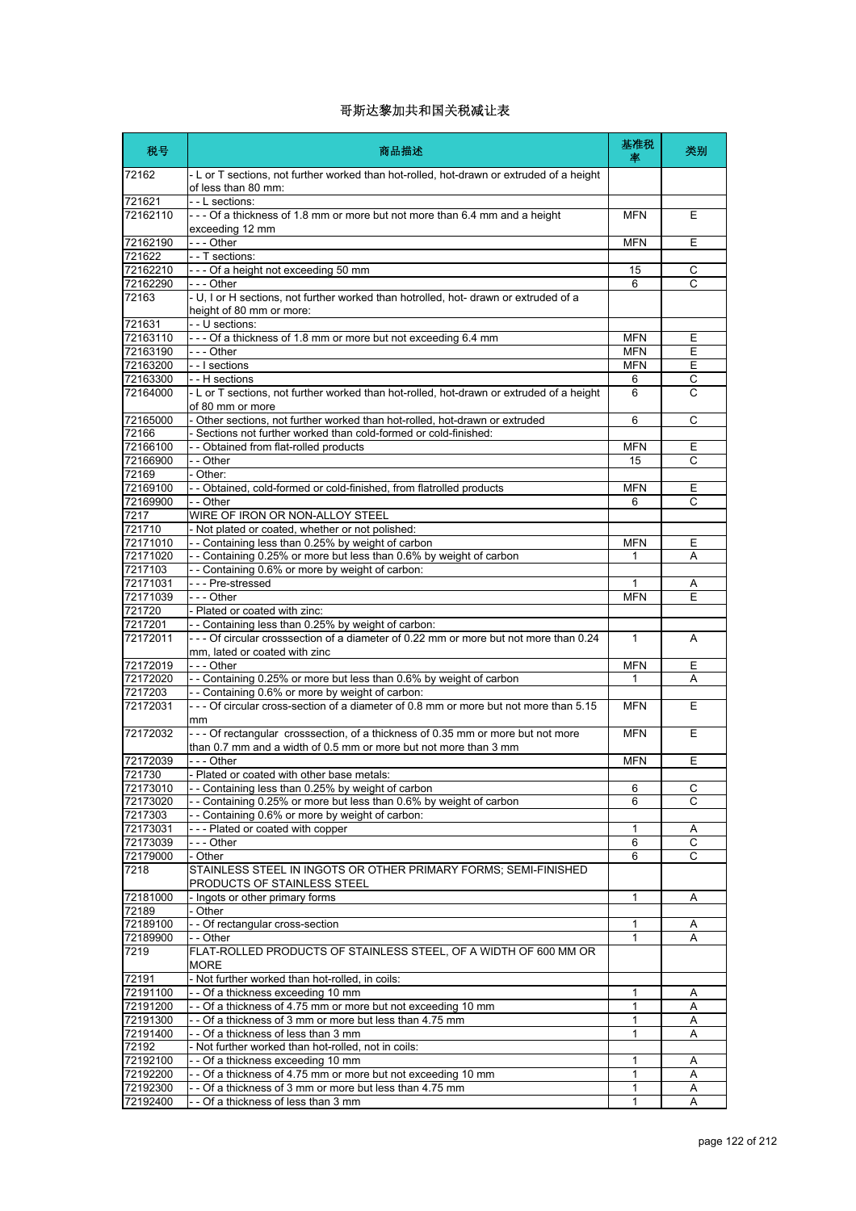| 税号                   | 商品描述                                                                                                                                        | 基准税<br>率         | 类别             |
|----------------------|---------------------------------------------------------------------------------------------------------------------------------------------|------------------|----------------|
| 72162                | - L or T sections, not further worked than hot-rolled, hot-drawn or extruded of a height<br>of less than 80 mm:                             |                  |                |
| 721621               | - - L sections:                                                                                                                             |                  |                |
| 72162110             | --- Of a thickness of 1.8 mm or more but not more than 6.4 mm and a height<br>exceeding 12 mm                                               | <b>MFN</b>       | Е              |
| 72162190             | - - - Other                                                                                                                                 | <b>MFN</b>       | E              |
| 721622               | - - T sections:                                                                                                                             |                  |                |
| 72162210             | --- Of a height not exceeding 50 mm                                                                                                         | 15               | С              |
| 72162290             | --- Other                                                                                                                                   | 6                | C              |
| 72163                | - U, I or H sections, not further worked than hotrolled, hot- drawn or extruded of a<br>height of 80 mm or more:                            |                  |                |
| 721631               | - - U sections:                                                                                                                             |                  |                |
| 72163110             | --- Of a thickness of 1.8 mm or more but not exceeding 6.4 mm                                                                               | <b>MFN</b>       | Е              |
| 72163190             | --- Other                                                                                                                                   | <b>MFN</b>       | E              |
| 72163200             | - - I sections                                                                                                                              | <b>MFN</b>       | Е<br>C         |
| 72163300<br>72164000 | - - H sections<br>- L or T sections, not further worked than hot-rolled, hot-drawn or extruded of a height                                  | 6<br>6           | C              |
|                      | of 80 mm or more                                                                                                                            |                  |                |
| 72165000             | - Other sections, not further worked than hot-rolled, hot-drawn or extruded                                                                 | 6                | C              |
| 72166                | - Sections not further worked than cold-formed or cold-finished:                                                                            |                  |                |
| 72166100<br>72166900 | - - Obtained from flat-rolled products<br>- - Other                                                                                         | <b>MFN</b><br>15 | Е<br>C         |
| 72169                | - Other:                                                                                                                                    |                  |                |
| 72169100             | - - Obtained, cold-formed or cold-finished, from flatrolled products                                                                        | <b>MFN</b>       | Ε              |
| 72169900             | - - Other                                                                                                                                   | 6                | C              |
| 7217                 | WIRE OF IRON OR NON-ALLOY STEEL                                                                                                             |                  |                |
| 721710               | - Not plated or coated, whether or not polished:                                                                                            |                  |                |
| 72171010             | -- Containing less than 0.25% by weight of carbon                                                                                           | <b>MFN</b>       | Е              |
| 72171020             | -- Containing 0.25% or more but less than 0.6% by weight of carbon                                                                          | 1                | Α              |
| 7217103              | -- Containing 0.6% or more by weight of carbon:                                                                                             |                  |                |
| 72171031             | - - - Pre-stressed                                                                                                                          | 1                | Α              |
| 72171039             | --- Other                                                                                                                                   | <b>MFN</b>       | Ε              |
| 721720               | - Plated or coated with zinc:                                                                                                               |                  |                |
| 7217201<br>72172011  | - - Containing less than 0.25% by weight of carbon:<br>--- Of circular crosssection of a diameter of 0.22 mm or more but not more than 0.24 | $\mathbf{1}$     | A              |
|                      | mm, lated or coated with zinc                                                                                                               |                  |                |
| 72172019             | --- Other                                                                                                                                   | <b>MFN</b>       | Е              |
| 72172020             | - - Containing 0.25% or more but less than 0.6% by weight of carbon                                                                         | 1                | A              |
| 7217203<br>72172031  | -- Containing 0.6% or more by weight of carbon:<br>- - - Of circular cross-section of a diameter of 0.8 mm or more but not more than 5.15   | <b>MFN</b>       | E              |
| 72172032             | mm<br>--- Of rectangular crosssection, of a thickness of 0.35 mm or more but not more                                                       | <b>MFN</b>       | E              |
|                      | than 0.7 mm and a width of 0.5 mm or more but not more than 3 mm                                                                            |                  |                |
| 72172039             | - - - Other                                                                                                                                 | <b>MFN</b>       | E              |
| 721730               | - Plated or coated with other base metals:                                                                                                  |                  |                |
| 72173010<br>72173020 | - - Containing less than 0.25% by weight of carbon<br>- Containing 0.25% or more but less than 0.6% by weight of carbon                     | 6<br>6           | С<br>C         |
| 7217303              | -- Containing 0.6% or more by weight of carbon:                                                                                             |                  |                |
| 72173031             | --- Plated or coated with copper                                                                                                            | 1                | A              |
| 72173039             | --- Other                                                                                                                                   | 6                | $\overline{C}$ |
| 72179000             | - Other                                                                                                                                     | 6                | C              |
| 7218                 | STAINLESS STEEL IN INGOTS OR OTHER PRIMARY FORMS; SEMI-FINISHED<br>PRODUCTS OF STAINLESS STEEL                                              |                  |                |
| 72181000             | - Ingots or other primary forms                                                                                                             | 1                | Α              |
| 72189                | - Other                                                                                                                                     |                  |                |
| 72189100             | - - Of rectangular cross-section                                                                                                            | 1                | Α              |
| 72189900             | - - Other                                                                                                                                   | 1                | A              |
| 7219                 | FLAT-ROLLED PRODUCTS OF STAINLESS STEEL, OF A WIDTH OF 600 MM OR<br><b>MORE</b>                                                             |                  |                |
| 72191                | - Not further worked than hot-rolled, in coils:                                                                                             |                  |                |
| 72191100             | -- Of a thickness exceeding 10 mm                                                                                                           | 1                | Α              |
| 72191200             | - - Of a thickness of 4.75 mm or more but not exceeding 10 mm                                                                               | 1                | Α              |
| 72191300             | -- Of a thickness of 3 mm or more but less than 4.75 mm                                                                                     | 1                | A              |
| 72191400             | -- Of a thickness of less than 3 mm                                                                                                         | 1                | Α              |
| 72192                | - Not further worked than hot-rolled, not in coils:                                                                                         |                  |                |
| 72192100             | -- Of a thickness exceeding 10 mm                                                                                                           | 1                | Α              |
| 72192200<br>72192300 | - - Of a thickness of 4.75 mm or more but not exceeding 10 mm<br>- - Of a thickness of 3 mm or more but less than 4.75 mm                   | 1<br>1           | Α<br>Α         |
| 72192400             | - - Of a thickness of less than 3 mm                                                                                                        | 1                | A              |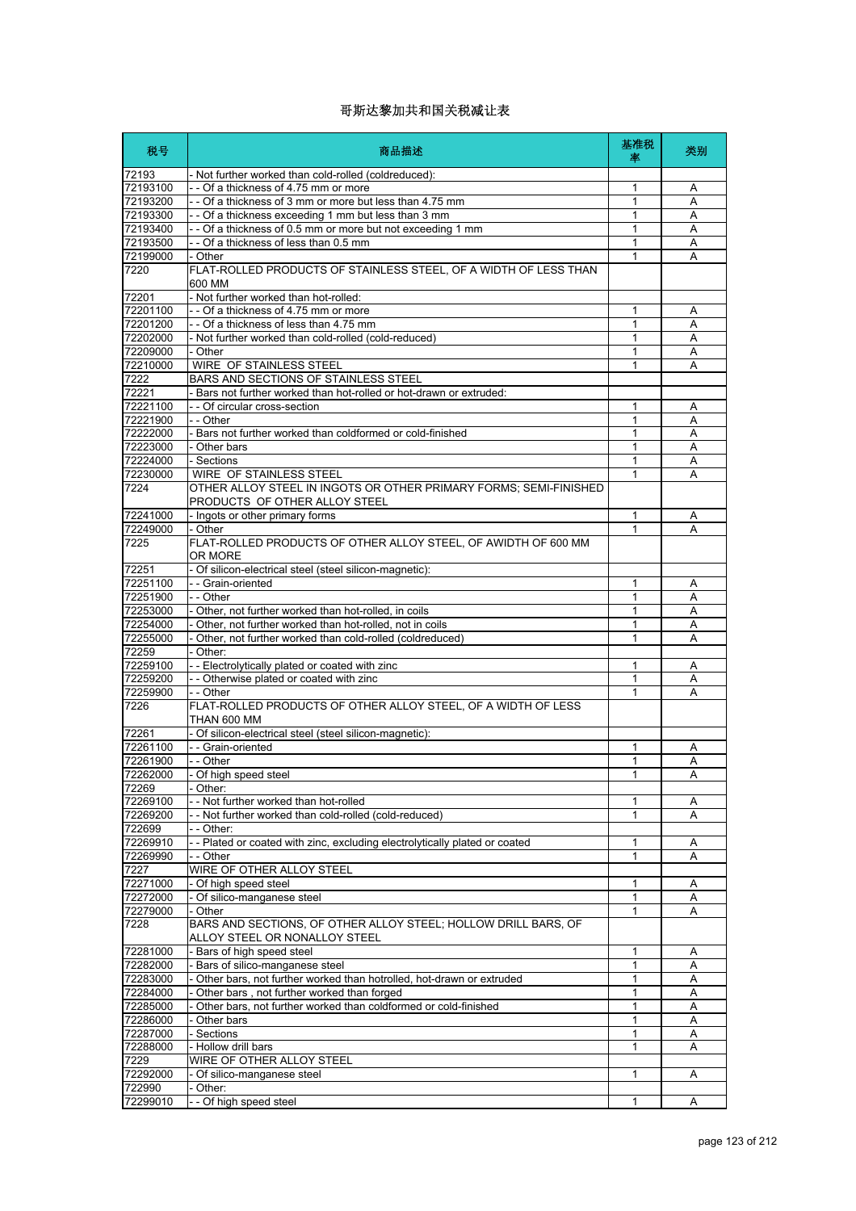| 税号                   | 商品描述                                                                                                                | 基准税<br>率     | 类别     |
|----------------------|---------------------------------------------------------------------------------------------------------------------|--------------|--------|
| 72193                | - Not further worked than cold-rolled (coldreduced):                                                                |              |        |
| 72193100             | -- Of a thickness of 4.75 mm or more                                                                                | 1            | Α      |
| 72193200             | - - Of a thickness of 3 mm or more but less than 4.75 mm                                                            | 1<br>1       | A      |
| 72193300<br>72193400 | - - Of a thickness exceeding 1 mm but less than 3 mm<br>- - Of a thickness of 0.5 mm or more but not exceeding 1 mm | 1            | A<br>Α |
| 72193500             | - - Of a thickness of less than 0.5 mm                                                                              | 1            | Α      |
| 72199000             | - Other                                                                                                             | 1            | A      |
| 7220                 | FLAT-ROLLED PRODUCTS OF STAINLESS STEEL, OF A WIDTH OF LESS THAN<br>600 MM                                          |              |        |
| 72201                | - Not further worked than hot-rolled:                                                                               |              |        |
| 72201100             | -- Of a thickness of 4.75 mm or more                                                                                | 1            | Α      |
| 72201200             | - - Of a thickness of less than 4.75 mm                                                                             | 1            | A      |
| 72202000             | - Not further worked than cold-rolled (cold-reduced)                                                                | 1            | Α      |
| 72209000<br>72210000 | - Other<br><b>WIRE OF STAINLESS STEEL</b>                                                                           | 1<br>1       | Α<br>Α |
| 7222                 | BARS AND SECTIONS OF STAINLESS STEEL                                                                                |              |        |
| 72221                | - Bars not further worked than hot-rolled or hot-drawn or extruded:                                                 |              |        |
| 72221100             | - - Of circular cross-section                                                                                       | 1            | Α      |
| 72221900             | - - Other                                                                                                           | 1            | A      |
| 72222000             | - Bars not further worked than coldformed or cold-finished                                                          | 1            | Α      |
| 72223000             | - Other bars                                                                                                        | 1            | A      |
| 72224000             | - Sections                                                                                                          | 1            | Α      |
| 72230000             | <b>WIRE OF STAINLESS STEEL</b>                                                                                      | 1            | A      |
| 7224                 | OTHER ALLOY STEEL IN INGOTS OR OTHER PRIMARY FORMS; SEMI-FINISHED<br>PRODUCTS OF OTHER ALLOY STEEL                  |              |        |
| 72241000             | - Ingots or other primary forms                                                                                     | 1            | Α      |
| 72249000             | - Other                                                                                                             | 1            | A      |
| 7225                 | FLAT-ROLLED PRODUCTS OF OTHER ALLOY STEEL, OF AWIDTH OF 600 MM<br>OR MORE                                           |              |        |
| 72251                | - Of silicon-electrical steel (steel silicon-magnetic):                                                             |              |        |
| 72251100<br>72251900 | - - Grain-oriented<br>- - Other                                                                                     | 1<br>1       | Α<br>A |
| 72253000             | - Other, not further worked than hot-rolled, in coils                                                               | 1            | A      |
| 72254000             | - Other, not further worked than hot-rolled, not in coils                                                           | 1            | Α      |
| 72255000             | - Other, not further worked than cold-rolled (coldreduced)                                                          | 1            | A      |
| 72259                | - Other:                                                                                                            |              |        |
| 72259100             | - - Electrolytically plated or coated with zinc                                                                     | 1            | Α      |
| 72259200             | - - Otherwise plated or coated with zinc                                                                            | $\mathbf{1}$ | A      |
| 72259900             | - - Other                                                                                                           | 1            | Α      |
| 7226                 | FLAT-ROLLED PRODUCTS OF OTHER ALLOY STEEL, OF A WIDTH OF LESS<br>THAN 600 MM                                        |              |        |
| 72261                | - Of silicon-electrical steel (steel silicon-magnetic):                                                             |              |        |
| 72261100<br>72261900 | - - Grain-oriented<br>- - Other                                                                                     | 1<br>1       | Α<br>Α |
| 72262000             | - Of high speed steel                                                                                               | 1            | Α      |
| 72269                | - Other:                                                                                                            |              |        |
| 72269100             | - - Not further worked than hot-rolled                                                                              | 1            | A      |
| 72269200             | -- Not further worked than cold-rolled (cold-reduced)                                                               | 1            | Α      |
| 722699               | - - Other:                                                                                                          |              |        |
| 72269910             | -- Plated or coated with zinc, excluding electrolytically plated or coated                                          | 1            | Α      |
| 72269990             | - - Other                                                                                                           | 1            | A      |
| 7227                 | WIRE OF OTHER ALLOY STEEL                                                                                           |              |        |
| 72271000<br>72272000 | - Of high speed steel                                                                                               | 1<br>1       | A<br>Α |
| 72279000             | - Of silico-manganese steel<br>- Other                                                                              | 1            | A      |
| 7228                 | BARS AND SECTIONS, OF OTHER ALLOY STEEL; HOLLOW DRILL BARS, OF<br>ALLOY STEEL OR NONALLOY STEEL                     |              |        |
| 72281000             | - Bars of high speed steel                                                                                          | 1            | Α      |
| 72282000             | - Bars of silico-manganese steel                                                                                    | 1            | Α      |
| 72283000             | - Other bars, not further worked than hotrolled, hot-drawn or extruded                                              | 1            | Α      |
| 72284000             | - Other bars, not further worked than forged                                                                        | 1            | Α      |
| 72285000             | Other bars, not further worked than coldformed or cold-finished                                                     | 1            | Α      |
| 72286000             | Other bars                                                                                                          | 1            | Α      |
| 72287000             | - Sections                                                                                                          | 1            | Α      |
| 72288000             | - Hollow drill bars                                                                                                 | 1            | Α      |
| 7229                 | WIRE OF OTHER ALLOY STEEL                                                                                           |              |        |
| 72292000<br>722990   | - Of silico-manganese steel<br>- Other:                                                                             | 1            | Α      |
| 72299010             | - - Of high speed steel                                                                                             | $\mathbf{1}$ | A      |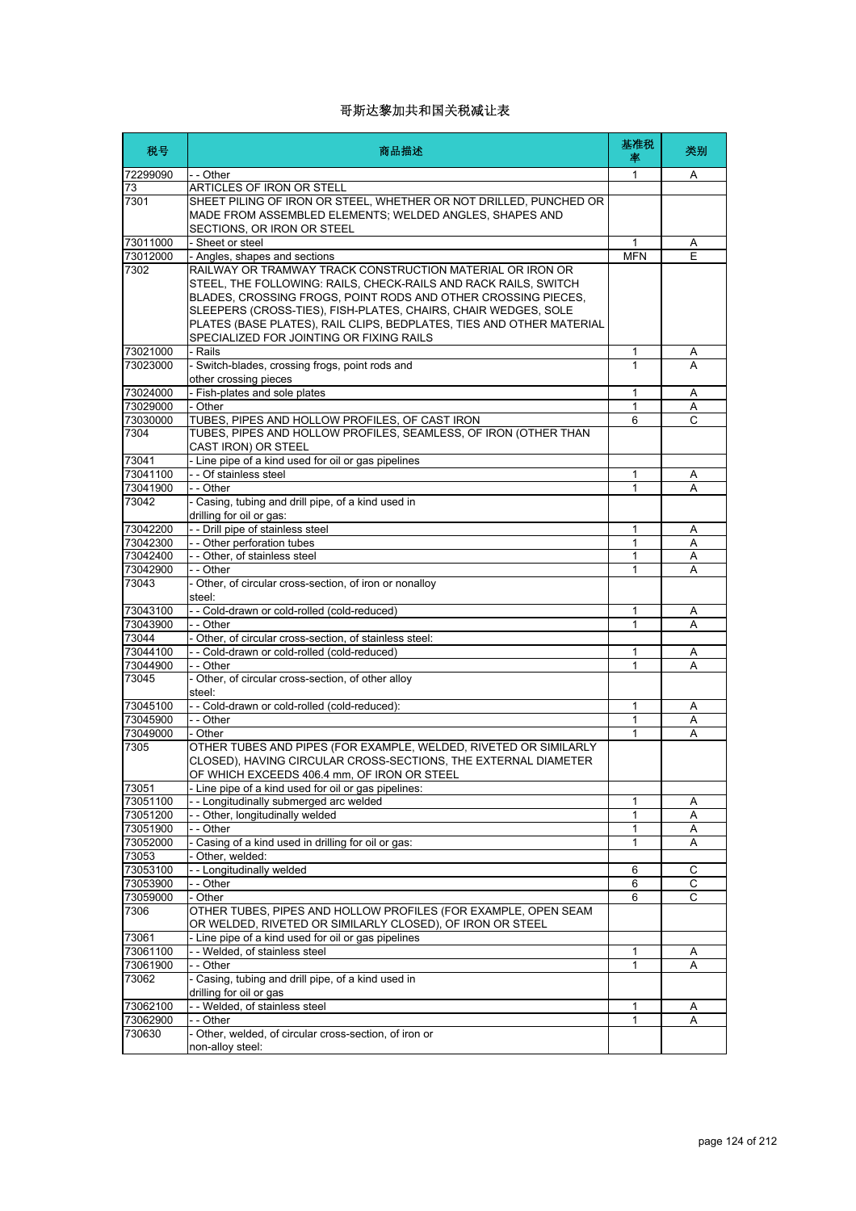| 税号                | 商品描述                                                                                                                                                                                                                                                                                                                                                                                | 基准税<br>率     | 类别     |
|-------------------|-------------------------------------------------------------------------------------------------------------------------------------------------------------------------------------------------------------------------------------------------------------------------------------------------------------------------------------------------------------------------------------|--------------|--------|
| 72299090          | - - Other                                                                                                                                                                                                                                                                                                                                                                           | 1            | A      |
| 73                | ARTICLES OF IRON OR STELL                                                                                                                                                                                                                                                                                                                                                           |              |        |
| 7301              | SHEET PILING OF IRON OR STEEL, WHETHER OR NOT DRILLED, PUNCHED OR<br>MADE FROM ASSEMBLED ELEMENTS; WELDED ANGLES, SHAPES AND<br>SECTIONS, OR IRON OR STEEL                                                                                                                                                                                                                          |              |        |
| 73011000          | - Sheet or steel                                                                                                                                                                                                                                                                                                                                                                    | 1            | Α      |
| 73012000          | - Angles, shapes and sections                                                                                                                                                                                                                                                                                                                                                       | <b>MFN</b>   | E      |
| 7302              | RAILWAY OR TRAMWAY TRACK CONSTRUCTION MATERIAL OR IRON OR<br>STEEL, THE FOLLOWING: RAILS, CHECK-RAILS AND RACK RAILS, SWITCH<br>BLADES, CROSSING FROGS, POINT RODS AND OTHER CROSSING PIECES,<br>SLEEPERS (CROSS-TIES), FISH-PLATES, CHAIRS, CHAIR WEDGES, SOLE<br>PLATES (BASE PLATES), RAIL CLIPS, BEDPLATES, TIES AND OTHER MATERIAL<br>SPECIALIZED FOR JOINTING OR FIXING RAILS |              |        |
| 73021000          | - Rails                                                                                                                                                                                                                                                                                                                                                                             | 1            | A      |
| 73023000          | - Switch-blades, crossing frogs, point rods and                                                                                                                                                                                                                                                                                                                                     | 1            | А      |
|                   | other crossing pieces                                                                                                                                                                                                                                                                                                                                                               |              |        |
| 73024000          | - Fish-plates and sole plates                                                                                                                                                                                                                                                                                                                                                       | 1            | Α      |
| 73029000          | - Other                                                                                                                                                                                                                                                                                                                                                                             | 1            | A      |
| 73030000          | TUBES, PIPES AND HOLLOW PROFILES, OF CAST IRON                                                                                                                                                                                                                                                                                                                                      | 6            | С      |
| 7304              | TUBES, PIPES AND HOLLOW PROFILES, SEAMLESS, OF IRON (OTHER THAN<br>CAST IRON) OR STEEL                                                                                                                                                                                                                                                                                              |              |        |
| 73041             | - Line pipe of a kind used for oil or gas pipelines                                                                                                                                                                                                                                                                                                                                 |              |        |
| 73041100          | - - Of stainless steel                                                                                                                                                                                                                                                                                                                                                              | 1            | Α      |
| 73041900          | - - Other                                                                                                                                                                                                                                                                                                                                                                           | 1            | Α      |
| 73042             | - Casing, tubing and drill pipe, of a kind used in<br>drilling for oil or gas:                                                                                                                                                                                                                                                                                                      |              |        |
| 73042200          | - - Drill pipe of stainless steel                                                                                                                                                                                                                                                                                                                                                   | 1            | Α      |
| 73042300          | - - Other perforation tubes                                                                                                                                                                                                                                                                                                                                                         | $\mathbf{1}$ | A      |
| 73042400          | - - Other, of stainless steel                                                                                                                                                                                                                                                                                                                                                       | 1            | Α      |
| 73042900          | - - Other                                                                                                                                                                                                                                                                                                                                                                           | 1            | A      |
| 73043             | - Other, of circular cross-section, of iron or nonalloy<br>steel:                                                                                                                                                                                                                                                                                                                   |              |        |
| 73043100          | -- Cold-drawn or cold-rolled (cold-reduced)                                                                                                                                                                                                                                                                                                                                         | 1            | Α      |
| 73043900          | - - Other                                                                                                                                                                                                                                                                                                                                                                           | 1            | A      |
| 73044             | Other, of circular cross-section, of stainless steel:                                                                                                                                                                                                                                                                                                                               |              |        |
| 73044100          | -- Cold-drawn or cold-rolled (cold-reduced)                                                                                                                                                                                                                                                                                                                                         | 1<br>1       | Α<br>A |
| 73044900<br>73045 | - - Other                                                                                                                                                                                                                                                                                                                                                                           |              |        |
|                   | - Other, of circular cross-section, of other alloy<br>steel:                                                                                                                                                                                                                                                                                                                        |              |        |
| 73045100          | -- Cold-drawn or cold-rolled (cold-reduced):                                                                                                                                                                                                                                                                                                                                        | 1            | Α      |
| 73045900          | - - Other                                                                                                                                                                                                                                                                                                                                                                           | 1            | Α      |
| 73049000<br>7305  | - Other<br>OTHER TUBES AND PIPES (FOR EXAMPLE, WELDED, RIVETED OR SIMILARLY<br>CLOSED), HAVING CIRCULAR CROSS-SECTIONS, THE EXTERNAL DIAMETER                                                                                                                                                                                                                                       | 1            | A      |
| 73051             | OF WHICH EXCEEDS 406.4 mm, OF IRON OR STEEL<br>- Line pipe of a kind used for oil or gas pipelines:                                                                                                                                                                                                                                                                                 |              |        |
| 73051100          | - Longitudinally submerged arc welded                                                                                                                                                                                                                                                                                                                                               | 1            | Α      |
| 73051200          | - - Other, longitudinally welded                                                                                                                                                                                                                                                                                                                                                    | 1            | Α      |
| 73051900          | - Other                                                                                                                                                                                                                                                                                                                                                                             | 1            | Α      |
| 73052000          | Casing of a kind used in drilling for oil or gas:                                                                                                                                                                                                                                                                                                                                   | 1            | Α      |
| 73053             | Other, welded:                                                                                                                                                                                                                                                                                                                                                                      |              |        |
| 73053100          | - - Longitudinally welded                                                                                                                                                                                                                                                                                                                                                           | 6            | C      |
| 73053900          | - - Other                                                                                                                                                                                                                                                                                                                                                                           | 6            | С      |
| 73059000          | - Other                                                                                                                                                                                                                                                                                                                                                                             | 6            | C      |
| 7306              | OTHER TUBES, PIPES AND HOLLOW PROFILES (FOR EXAMPLE, OPEN SEAM<br>OR WELDED, RIVETED OR SIMILARLY CLOSED), OF IRON OR STEEL                                                                                                                                                                                                                                                         |              |        |
| 73061             | - Line pipe of a kind used for oil or gas pipelines                                                                                                                                                                                                                                                                                                                                 |              |        |
| 73061100          | - - Welded, of stainless steel                                                                                                                                                                                                                                                                                                                                                      | 1            | Α      |
| 73061900          | - - Other                                                                                                                                                                                                                                                                                                                                                                           | $\mathbf{1}$ | Α      |
| 73062             | - Casing, tubing and drill pipe, of a kind used in<br>drilling for oil or gas                                                                                                                                                                                                                                                                                                       |              |        |
| 73062100          | - - Welded, of stainless steel                                                                                                                                                                                                                                                                                                                                                      | 1            | A      |
| 73062900          | - - Other                                                                                                                                                                                                                                                                                                                                                                           | 1            | Α      |
| 730630            | - Other, welded, of circular cross-section, of iron or<br>non-alloy steel:                                                                                                                                                                                                                                                                                                          |              |        |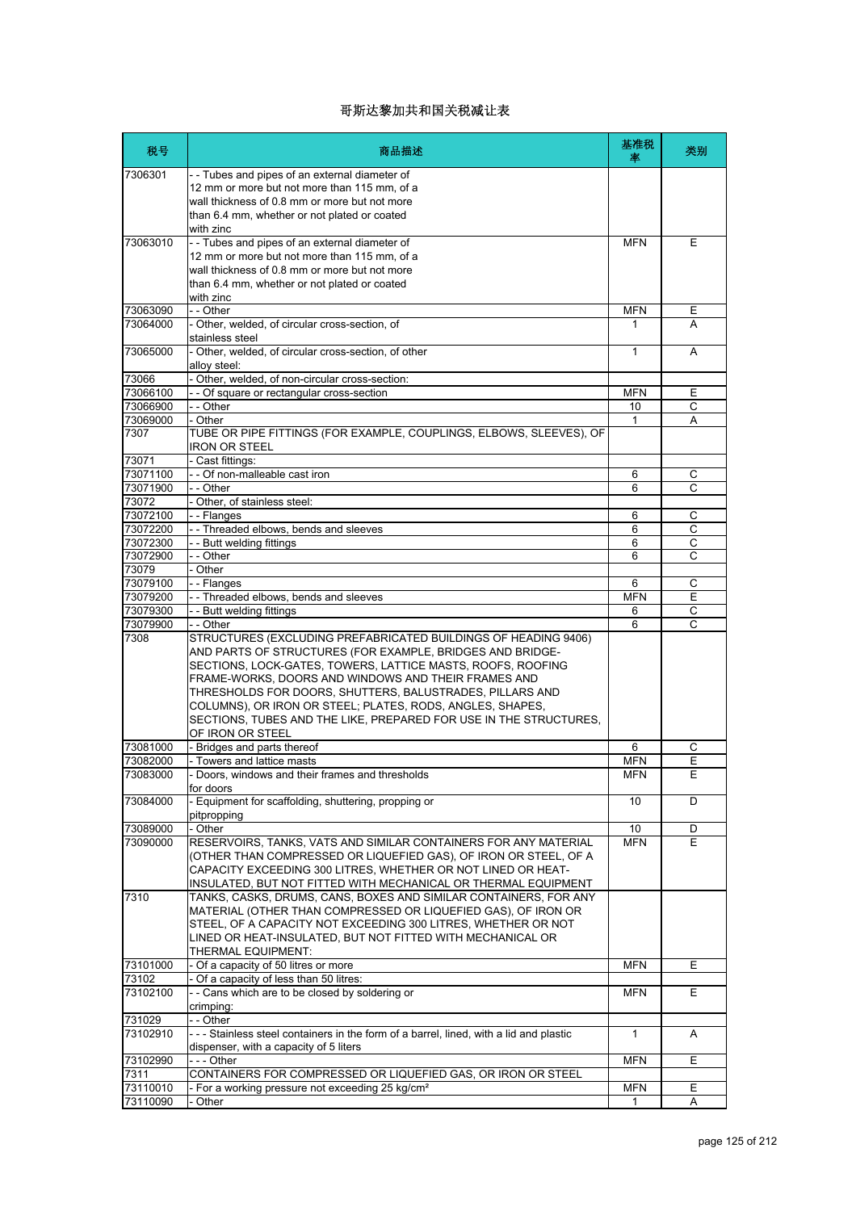| 税号                   | 商品描述                                                                                                                                                                                                                                                                                                                                                                                              | 基准税<br>坙   | 类别                  |
|----------------------|---------------------------------------------------------------------------------------------------------------------------------------------------------------------------------------------------------------------------------------------------------------------------------------------------------------------------------------------------------------------------------------------------|------------|---------------------|
| 7306301              | --Tubes and pipes of an external diameter of<br>12 mm or more but not more than 115 mm, of a<br>wall thickness of 0.8 mm or more but not more<br>than 6.4 mm, whether or not plated or coated                                                                                                                                                                                                     |            |                     |
| 73063010             | with zinc<br>-- Tubes and pipes of an external diameter of                                                                                                                                                                                                                                                                                                                                        | MFN        | Е                   |
|                      | 12 mm or more but not more than 115 mm, of a<br>wall thickness of 0.8 mm or more but not more<br>than 6.4 mm, whether or not plated or coated<br>with zinc                                                                                                                                                                                                                                        |            |                     |
| 73063090             | - - Other                                                                                                                                                                                                                                                                                                                                                                                         | <b>MFN</b> | E                   |
| 73064000             | - Other, welded, of circular cross-section, of<br>stainless steel                                                                                                                                                                                                                                                                                                                                 | 1          | A                   |
| 73065000             | - Other, welded, of circular cross-section, of other<br>alloy steel:                                                                                                                                                                                                                                                                                                                              | 1          | A                   |
| 73066                | - Other, welded, of non-circular cross-section:                                                                                                                                                                                                                                                                                                                                                   |            |                     |
| 73066100             | - - Of square or rectangular cross-section                                                                                                                                                                                                                                                                                                                                                        | MFN        | Е                   |
| 73066900             | - - Other                                                                                                                                                                                                                                                                                                                                                                                         | 10         | C                   |
| 73069000<br>7307     | - Other<br>TUBE OR PIPE FITTINGS (FOR EXAMPLE, COUPLINGS, ELBOWS, SLEEVES), OF<br>IRON OR STEEL                                                                                                                                                                                                                                                                                                   | 1          | A                   |
| 73071                | - Cast fittings:                                                                                                                                                                                                                                                                                                                                                                                  |            |                     |
| 73071100<br>73071900 | - - Of non-malleable cast iron                                                                                                                                                                                                                                                                                                                                                                    | 6          | C<br>$\overline{C}$ |
| 73072                | - - Other<br>- Other, of stainless steel:                                                                                                                                                                                                                                                                                                                                                         | 6          |                     |
| 73072100             | - - Flanges                                                                                                                                                                                                                                                                                                                                                                                       | 6          | C                   |
| 73072200             | - - Threaded elbows, bends and sleeves                                                                                                                                                                                                                                                                                                                                                            | 6          | $\overline{C}$      |
| 73072300             | - - Butt welding fittings                                                                                                                                                                                                                                                                                                                                                                         | 6          | C                   |
| 73072900             | - - Other                                                                                                                                                                                                                                                                                                                                                                                         | 6          | C                   |
| 73079                | - Other                                                                                                                                                                                                                                                                                                                                                                                           |            |                     |
| 73079100             | - - Flanges                                                                                                                                                                                                                                                                                                                                                                                       | 6          | C                   |
| 73079200             | - - Threaded elbows, bends and sleeves                                                                                                                                                                                                                                                                                                                                                            | <b>MFN</b> | E                   |
| 73079300             | - - Butt welding fittings                                                                                                                                                                                                                                                                                                                                                                         | 6          | C                   |
| 73079900<br>7308     | - - Other<br>STRUCTURES (EXCLUDING PREFABRICATED BUILDINGS OF HEADING 9406)                                                                                                                                                                                                                                                                                                                       | 6          | C                   |
|                      | AND PARTS OF STRUCTURES (FOR EXAMPLE, BRIDGES AND BRIDGE-<br>SECTIONS, LOCK-GATES, TOWERS, LATTICE MASTS, ROOFS, ROOFING<br>FRAME-WORKS, DOORS AND WINDOWS AND THEIR FRAMES AND<br>THRESHOLDS FOR DOORS, SHUTTERS, BALUSTRADES, PILLARS AND<br>COLUMNS), OR IRON OR STEEL; PLATES, RODS, ANGLES, SHAPES,<br>SECTIONS, TUBES AND THE LIKE, PREPARED FOR USE IN THE STRUCTURES,<br>OF IRON OR STEEL |            |                     |
| 73081000             | - Bridges and parts thereof                                                                                                                                                                                                                                                                                                                                                                       | 6          | С                   |
| 73082000             | - Towers and lattice masts                                                                                                                                                                                                                                                                                                                                                                        | MFN        | E                   |
| 73083000             | - Doors, windows and their frames and thresholds<br>for doors                                                                                                                                                                                                                                                                                                                                     | <b>MFN</b> | E                   |
| 73084000             | - Equipment for scaffolding, shuttering, propping or<br>pitpropping                                                                                                                                                                                                                                                                                                                               | 10         | D                   |
| 73089000             | - Other                                                                                                                                                                                                                                                                                                                                                                                           | 10         | D                   |
| 73090000             | RESERVOIRS, TANKS, VATS AND SIMILAR CONTAINERS FOR ANY MATERIAL<br>(OTHER THAN COMPRESSED OR LIQUEFIED GAS), OF IRON OR STEEL, OF A<br>CAPACITY EXCEEDING 300 LITRES, WHETHER OR NOT LINED OR HEAT-<br>INSULATED, BUT NOT FITTED WITH MECHANICAL OR THERMAL EQUIPMENT                                                                                                                             | <b>MFN</b> | E.                  |
| 7310                 | TANKS, CASKS, DRUMS, CANS, BOXES AND SIMILAR CONTAINERS, FOR ANY<br>MATERIAL (OTHER THAN COMPRESSED OR LIQUEFIED GAS), OF IRON OR<br>STEEL, OF A CAPACITY NOT EXCEEDING 300 LITRES, WHETHER OR NOT<br>LINED OR HEAT-INSULATED, BUT NOT FITTED WITH MECHANICAL OR<br>THERMAL EQUIPMENT:                                                                                                            |            |                     |
| 73101000             | - Of a capacity of 50 litres or more                                                                                                                                                                                                                                                                                                                                                              | <b>MFN</b> | Е                   |
| 73102                | - Of a capacity of less than 50 litres:                                                                                                                                                                                                                                                                                                                                                           |            |                     |
| 73102100             | -- Cans which are to be closed by soldering or<br>crimping:                                                                                                                                                                                                                                                                                                                                       | MFN        | E.                  |
| 731029               | - - Other                                                                                                                                                                                                                                                                                                                                                                                         |            |                     |
| 73102910             | --- Stainless steel containers in the form of a barrel, lined, with a lid and plastic<br>dispenser, with a capacity of 5 liters                                                                                                                                                                                                                                                                   | 1          | A                   |
| 73102990<br>7311     | --- Other<br>CONTAINERS FOR COMPRESSED OR LIQUEFIED GAS, OR IRON OR STEEL                                                                                                                                                                                                                                                                                                                         | <b>MFN</b> | E                   |
| 73110010             | - For a working pressure not exceeding 25 kg/cm <sup>2</sup>                                                                                                                                                                                                                                                                                                                                      | <b>MFN</b> | E.                  |
|                      |                                                                                                                                                                                                                                                                                                                                                                                                   | 1          | Α                   |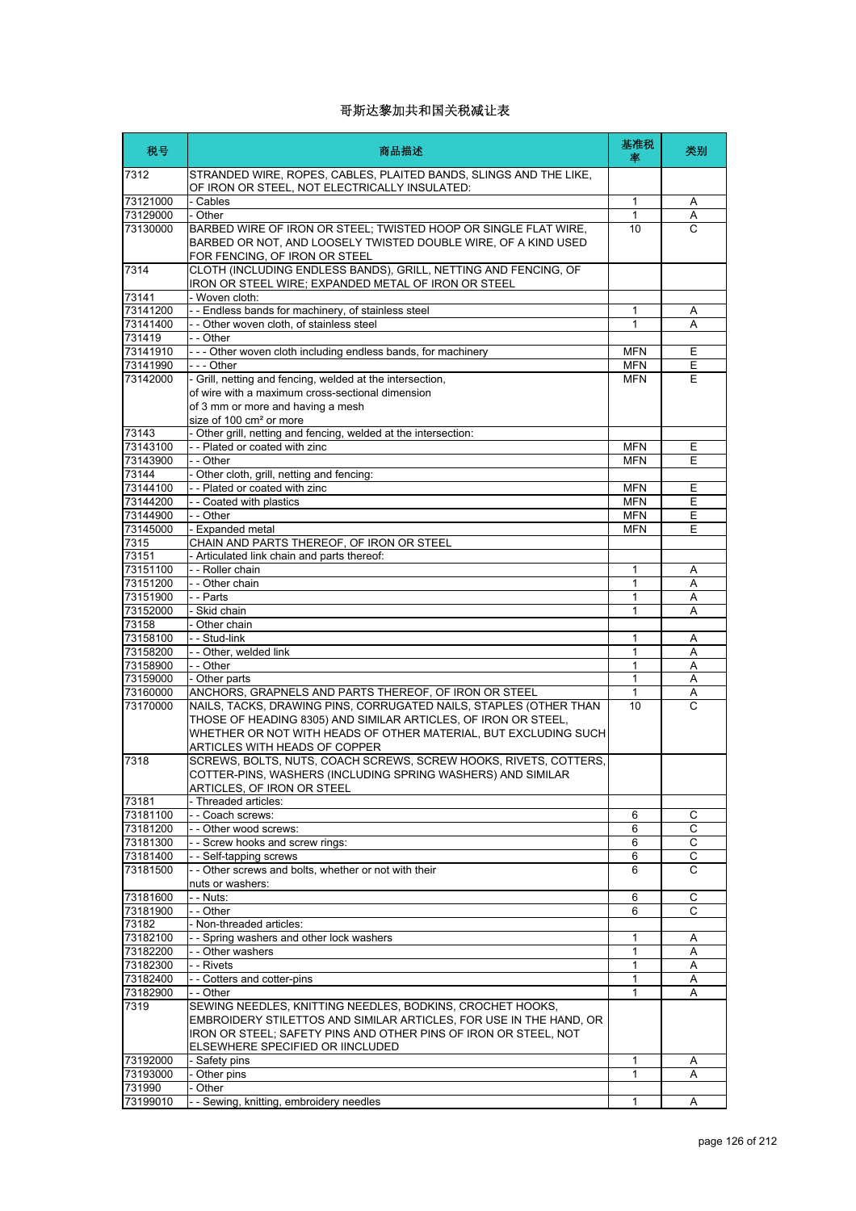| 税号                   | 商品描述                                                                                                                                                                                                                                                | 基准税<br>率                 | 类别               |
|----------------------|-----------------------------------------------------------------------------------------------------------------------------------------------------------------------------------------------------------------------------------------------------|--------------------------|------------------|
| 7312                 | STRANDED WIRE, ROPES, CABLES, PLAITED BANDS, SLINGS AND THE LIKE,<br>OF IRON OR STEEL, NOT ELECTRICALLY INSULATED:                                                                                                                                  |                          |                  |
| 73121000             | - Cables                                                                                                                                                                                                                                            | $\mathbf{1}$             | Α                |
| 73129000             | - Other                                                                                                                                                                                                                                             | $\mathbf{1}$             | Α                |
| 73130000             | BARBED WIRE OF IRON OR STEEL; TWISTED HOOP OR SINGLE FLAT WIRE,<br>BARBED OR NOT, AND LOOSELY TWISTED DOUBLE WIRE, OF A KIND USED<br>FOR FENCING, OF IRON OR STEEL                                                                                  | 10                       | C                |
| 7314                 | CLOTH (INCLUDING ENDLESS BANDS), GRILL, NETTING AND FENCING, OF<br>IRON OR STEEL WIRE; EXPANDED METAL OF IRON OR STEEL                                                                                                                              |                          |                  |
| 73141                | - Woven cloth:                                                                                                                                                                                                                                      |                          |                  |
| 73141200             | - - Endless bands for machinery, of stainless steel                                                                                                                                                                                                 | 1                        | Α                |
| 73141400             | - - Other woven cloth, of stainless steel                                                                                                                                                                                                           | 1                        | Α                |
| 731419               | - - Other                                                                                                                                                                                                                                           |                          |                  |
| 73141910             | --- Other woven cloth including endless bands, for machinery                                                                                                                                                                                        | <b>MFN</b>               | Ε                |
| 73141990<br>73142000 | --- Other<br>- Grill, netting and fencing, welded at the intersection,                                                                                                                                                                              | <b>MFN</b><br><b>MFN</b> | E<br>E           |
|                      | of wire with a maximum cross-sectional dimension<br>of 3 mm or more and having a mesh<br>size of 100 cm <sup>2</sup> or more                                                                                                                        |                          |                  |
| 73143                | - Other grill, netting and fencing, welded at the intersection:                                                                                                                                                                                     |                          |                  |
| 73143100             | - - Plated or coated with zinc                                                                                                                                                                                                                      | <b>MFN</b>               | Ε                |
| 73143900<br>73144    | - - Other<br>- Other cloth, grill, netting and fencing:                                                                                                                                                                                             | <b>MFN</b>               | E                |
| 73144100             | - - Plated or coated with zinc                                                                                                                                                                                                                      | <b>MFN</b>               | Е                |
| 73144200             | - - Coated with plastics                                                                                                                                                                                                                            | <b>MFN</b>               | Е                |
| 73144900             | - - Other                                                                                                                                                                                                                                           | <b>MFN</b>               | E                |
| 73145000             | - Expanded metal                                                                                                                                                                                                                                    | <b>MFN</b>               | Е                |
| 7315                 | CHAIN AND PARTS THEREOF, OF IRON OR STEEL                                                                                                                                                                                                           |                          |                  |
| 73151                | - Articulated link chain and parts thereof:                                                                                                                                                                                                         |                          |                  |
| 73151100             | - - Roller chain                                                                                                                                                                                                                                    | 1                        | Α                |
| 73151200             | - - Other chain                                                                                                                                                                                                                                     | 1                        | Α                |
| 73151900             | - - Parts                                                                                                                                                                                                                                           | 1                        | Α                |
| 73152000             | - Skid chain                                                                                                                                                                                                                                        | 1                        | A                |
| 73158                | - Other chain                                                                                                                                                                                                                                       |                          |                  |
| 73158100             | - - Stud-link                                                                                                                                                                                                                                       | 1                        | Α                |
| 73158200             | - - Other, welded link                                                                                                                                                                                                                              | 1                        | A                |
| 73158900             | - - Other                                                                                                                                                                                                                                           | 1                        | Α                |
| 73159000             | - Other parts                                                                                                                                                                                                                                       | $\mathbf{1}$             | Α                |
| 73160000             | ANCHORS, GRAPNELS AND PARTS THEREOF, OF IRON OR STEEL                                                                                                                                                                                               | $\mathbf{1}$             | Α                |
| 73170000             | NAILS, TACKS, DRAWING PINS, CORRUGATED NAILS, STAPLES (OTHER THAN<br>THOSE OF HEADING 8305) AND SIMILAR ARTICLES, OF IRON OR STEEL,<br>WHETHER OR NOT WITH HEADS OF OTHER MATERIAL, BUT EXCLUDING SUCH<br>ARTICLES WITH HEADS OF COPPER             | 10                       | C                |
| 7318                 | SCREWS, BOLTS, NUTS, COACH SCREWS, SCREW HOOKS, RIVETS, COTTERS,<br>COTTER-PINS, WASHERS (INCLUDING SPRING WASHERS) AND SIMILAR<br>ARTICLES, OF IRON OR STEEL                                                                                       |                          |                  |
| 73181                | - Threaded articles:                                                                                                                                                                                                                                |                          |                  |
| 73181100             | - - Coach screws:                                                                                                                                                                                                                                   | 6                        | С                |
| 73181200             | -- Other wood screws:                                                                                                                                                                                                                               | 6                        | С                |
| 73181300<br>73181400 | - - Screw hooks and screw rings:<br>- - Self-tapping screws                                                                                                                                                                                         | 6<br>6                   | $\mathsf C$<br>С |
| 73181500             | - - Other screws and bolts, whether or not with their<br>nuts or washers:                                                                                                                                                                           | 6                        | C                |
| 73181600             | - - Nuts:                                                                                                                                                                                                                                           | 6                        | С                |
| 73181900             | - - Other                                                                                                                                                                                                                                           | 6                        | С                |
| 73182                | - Non-threaded articles:                                                                                                                                                                                                                            |                          |                  |
| 73182100             | - - Spring washers and other lock washers                                                                                                                                                                                                           | $\mathbf{1}$             | Α                |
| 73182200             | - - Other washers                                                                                                                                                                                                                                   | 1                        | Α                |
| 73182300             | - - Rivets                                                                                                                                                                                                                                          | 1                        | Α                |
| 73182400             | - - Cotters and cotter-pins                                                                                                                                                                                                                         | 1                        | Α                |
| 73182900<br>7319     | - - Other<br>SEWING NEEDLES, KNITTING NEEDLES, BODKINS, CROCHET HOOKS,<br>EMBROIDERY STILETTOS AND SIMILAR ARTICLES, FOR USE IN THE HAND, OR<br>IRON OR STEEL; SAFETY PINS AND OTHER PINS OF IRON OR STEEL, NOT<br>ELSEWHERE SPECIFIED OR IINCLUDED | 1                        | A                |
| 73192000             | - Safety pins                                                                                                                                                                                                                                       | 1                        | A                |
| 73193000             | - Other pins                                                                                                                                                                                                                                        | 1                        | Α                |
| 731990               | - Other                                                                                                                                                                                                                                             |                          |                  |
| 73199010             | - - Sewing, knitting, embroidery needles                                                                                                                                                                                                            | 1                        | Α                |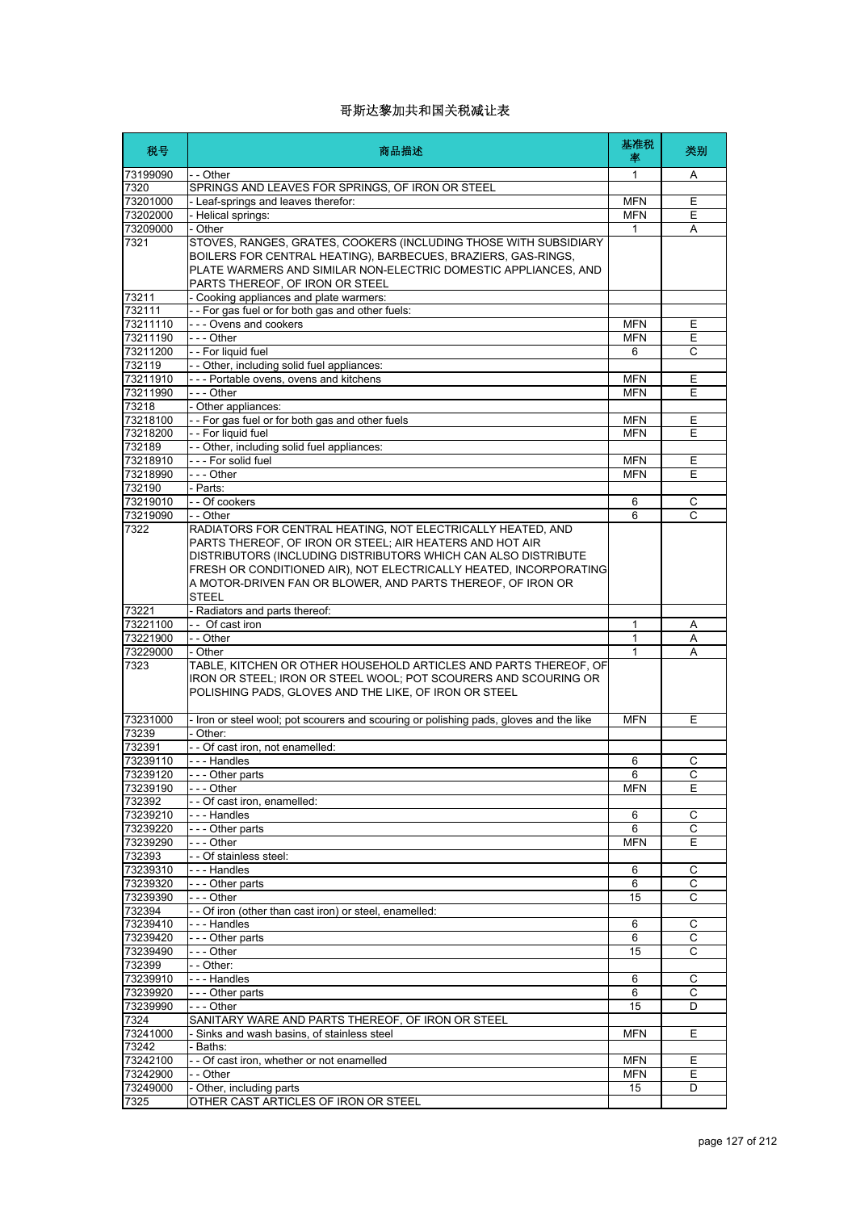| 税号                   | 商品描述                                                                                                                                                                                                                                                                                                                                          | 基准税<br>率     | 类别             |
|----------------------|-----------------------------------------------------------------------------------------------------------------------------------------------------------------------------------------------------------------------------------------------------------------------------------------------------------------------------------------------|--------------|----------------|
| 73199090             | - - Other                                                                                                                                                                                                                                                                                                                                     | 1            | Α              |
| 7320                 | SPRINGS AND LEAVES FOR SPRINGS, OF IRON OR STEEL                                                                                                                                                                                                                                                                                              |              |                |
| 73201000             | - Leaf-springs and leaves therefor:                                                                                                                                                                                                                                                                                                           | <b>MFN</b>   | Ε              |
| 73202000             | - Helical springs:                                                                                                                                                                                                                                                                                                                            | <b>MFN</b>   | E              |
| 73209000             | - Other                                                                                                                                                                                                                                                                                                                                       | 1            | Α              |
| 7321                 | STOVES, RANGES, GRATES, COOKERS (INCLUDING THOSE WITH SUBSIDIARY<br>BOILERS FOR CENTRAL HEATING), BARBECUES, BRAZIERS, GAS-RINGS,<br>PLATE WARMERS AND SIMILAR NON-ELECTRIC DOMESTIC APPLIANCES, AND<br>PARTS THEREOF, OF IRON OR STEEL                                                                                                       |              |                |
| 73211                | - Cooking appliances and plate warmers:                                                                                                                                                                                                                                                                                                       |              |                |
| 732111               | -- For gas fuel or for both gas and other fuels:                                                                                                                                                                                                                                                                                              |              |                |
| 73211110             | - - - Ovens and cookers                                                                                                                                                                                                                                                                                                                       | <b>MFN</b>   | Ε              |
| 73211190             | --- Other                                                                                                                                                                                                                                                                                                                                     | <b>MFN</b>   | Ε              |
| 73211200<br>732119   | - - For liquid fuel<br>- - Other, including solid fuel appliances:                                                                                                                                                                                                                                                                            | 6            | С              |
| 73211910             | --- Portable ovens, ovens and kitchens                                                                                                                                                                                                                                                                                                        | <b>MFN</b>   | Ε              |
| 73211990             | --- Other                                                                                                                                                                                                                                                                                                                                     | <b>MFN</b>   | Ε              |
| 73218                | - Other appliances:                                                                                                                                                                                                                                                                                                                           |              |                |
| 73218100             | - - For gas fuel or for both gas and other fuels                                                                                                                                                                                                                                                                                              | <b>MFN</b>   | Ε              |
| 73218200             | - - For liquid fuel                                                                                                                                                                                                                                                                                                                           | <b>MFN</b>   | E              |
| 732189               | - - Other, including solid fuel appliances:                                                                                                                                                                                                                                                                                                   |              |                |
| 73218910             | --- For solid fuel                                                                                                                                                                                                                                                                                                                            | <b>MFN</b>   | Ε              |
| 73218990             | $\overline{-}$ - Other                                                                                                                                                                                                                                                                                                                        | <b>MFN</b>   | E              |
| 732190               | - Parts:                                                                                                                                                                                                                                                                                                                                      |              |                |
| 73219010             | - - Of cookers                                                                                                                                                                                                                                                                                                                                | 6            | С              |
| 73219090             | - - Other                                                                                                                                                                                                                                                                                                                                     | 6            | C              |
| 7322                 | RADIATORS FOR CENTRAL HEATING, NOT ELECTRICALLY HEATED, AND<br>PARTS THEREOF. OF IRON OR STEEL: AIR HEATERS AND HOT AIR<br>DISTRIBUTORS (INCLUDING DISTRIBUTORS WHICH CAN ALSO DISTRIBUTE<br>FRESH OR CONDITIONED AIR), NOT ELECTRICALLY HEATED, INCORPORATING<br>A MOTOR-DRIVEN FAN OR BLOWER, AND PARTS THEREOF, OF IRON OR<br><b>STEEL</b> |              |                |
| 73221                | - Radiators and parts thereof:                                                                                                                                                                                                                                                                                                                |              |                |
| 73221100             | -- Of cast iron                                                                                                                                                                                                                                                                                                                               | 1            | Α              |
| 73221900             | - - Other                                                                                                                                                                                                                                                                                                                                     | $\mathbf{1}$ | A              |
| 73229000             | - Other                                                                                                                                                                                                                                                                                                                                       | 1            | Α              |
| 7323                 | TABLE, KITCHEN OR OTHER HOUSEHOLD ARTICLES AND PARTS THEREOF, OF<br>IRON OR STEEL; IRON OR STEEL WOOL; POT SCOURERS AND SCOURING OR<br>POLISHING PADS, GLOVES AND THE LIKE, OF IRON OR STEEL                                                                                                                                                  |              |                |
| 73231000             | - Iron or steel wool; pot scourers and scouring or polishing pads, gloves and the like                                                                                                                                                                                                                                                        | <b>MFN</b>   | Е              |
| 73239                | - Other:                                                                                                                                                                                                                                                                                                                                      |              |                |
| 732391               | - - Of cast iron, not enamelled:                                                                                                                                                                                                                                                                                                              |              |                |
| 73239110             | --- Handles                                                                                                                                                                                                                                                                                                                                   | 6            | С              |
| 73239120             | --- Other parts                                                                                                                                                                                                                                                                                                                               | 6            | C              |
| 73239190<br>732392   | $- -$ Other<br>- - Of cast iron, enamelled:                                                                                                                                                                                                                                                                                                   | <b>MFN</b>   | Ε              |
| 73239210             | --- Handles                                                                                                                                                                                                                                                                                                                                   | 6            | С              |
| 73239220             | --- Other parts                                                                                                                                                                                                                                                                                                                               | 6            | $\overline{c}$ |
| 73239290             | $--$ Other                                                                                                                                                                                                                                                                                                                                    | <b>MFN</b>   | Ε              |
| 732393               | - - Of stainless steel:                                                                                                                                                                                                                                                                                                                       |              |                |
| 73239310             | --- Handles                                                                                                                                                                                                                                                                                                                                   | 6            | $\mathsf C$    |
| 73239320             | --- Other parts                                                                                                                                                                                                                                                                                                                               | 6            | С              |
| 73239390             | $- -$ Other                                                                                                                                                                                                                                                                                                                                   | 15           | C              |
| 732394               | - - Of iron (other than cast iron) or steel, enamelled:                                                                                                                                                                                                                                                                                       |              |                |
| 73239410             | --- Handles                                                                                                                                                                                                                                                                                                                                   | 6            | С              |
| 73239420             | - - - Other parts                                                                                                                                                                                                                                                                                                                             | 6            | C              |
| 73239490             | --- Other                                                                                                                                                                                                                                                                                                                                     | 15           | C              |
| 732399               | - - Other:                                                                                                                                                                                                                                                                                                                                    |              |                |
| 73239910             | --- Handles                                                                                                                                                                                                                                                                                                                                   | 6<br>6       | С<br>С         |
| 73239920<br>73239990 | --- Other parts<br>--- Other                                                                                                                                                                                                                                                                                                                  | 15           | D              |
| 7324                 | SANITARY WARE AND PARTS THEREOF, OF IRON OR STEEL                                                                                                                                                                                                                                                                                             |              |                |
| 73241000             | - Sinks and wash basins, of stainless steel                                                                                                                                                                                                                                                                                                   | <b>MFN</b>   | Ε              |
| 73242                | - Baths:                                                                                                                                                                                                                                                                                                                                      |              |                |
| 73242100             | - - Of cast iron, whether or not enamelled                                                                                                                                                                                                                                                                                                    | <b>MFN</b>   | Ε              |
| 73242900             | - - Other                                                                                                                                                                                                                                                                                                                                     | <b>MFN</b>   | Ε              |
| 73249000             | - Other, including parts                                                                                                                                                                                                                                                                                                                      | 15           | D              |
| 7325                 | OTHER CAST ARTICLES OF IRON OR STEEL                                                                                                                                                                                                                                                                                                          |              |                |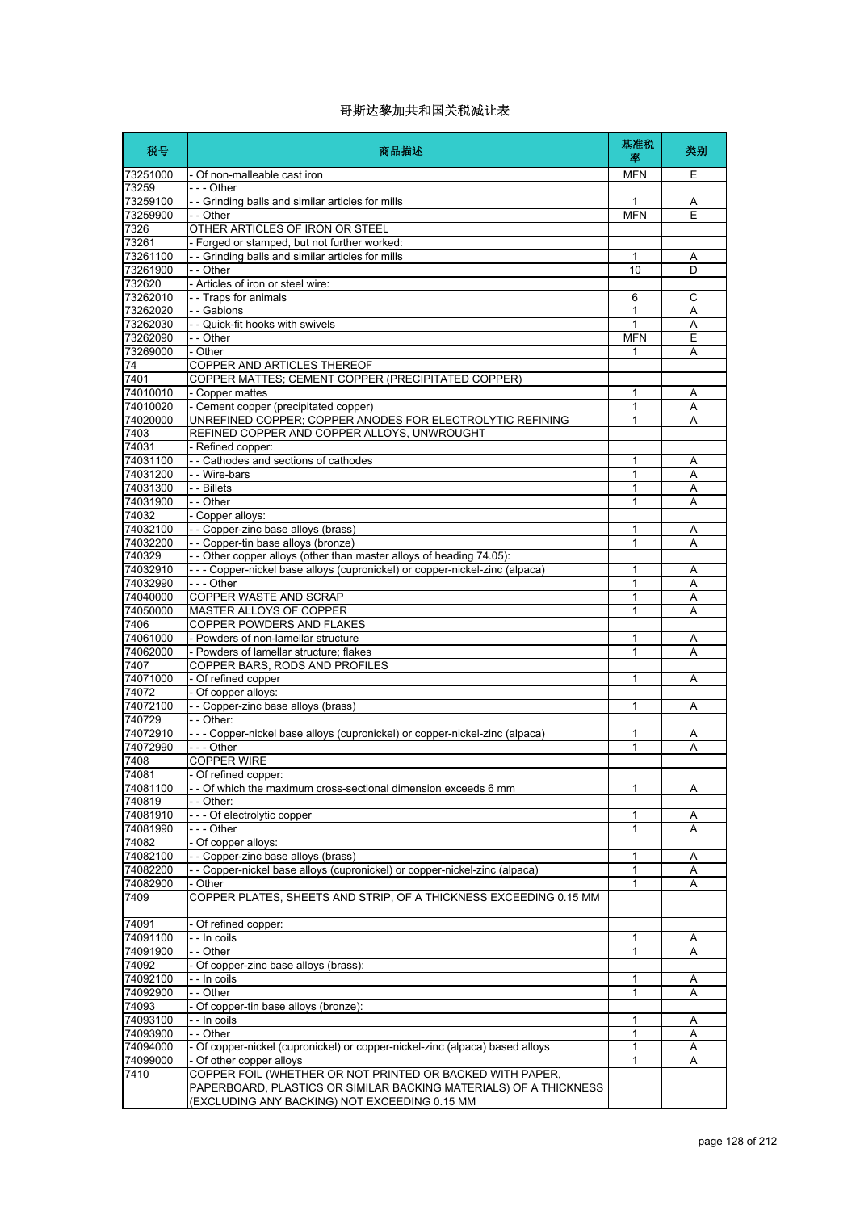| 税号                   | 商品描述                                                                                                                                                                            | 基准税<br>率     | 类别     |
|----------------------|---------------------------------------------------------------------------------------------------------------------------------------------------------------------------------|--------------|--------|
| 73251000             | - Of non-malleable cast iron                                                                                                                                                    | <b>MFN</b>   | Ε      |
| 73259                | - - - Other                                                                                                                                                                     |              |        |
| 73259100             | - - Grinding balls and similar articles for mills                                                                                                                               | 1            | Α      |
| 73259900             | - - Other                                                                                                                                                                       | <b>MFN</b>   | E      |
| 7326                 | OTHER ARTICLES OF IRON OR STEEL                                                                                                                                                 |              |        |
| 73261<br>73261100    | - Forged or stamped, but not further worked:<br>- - Grinding balls and similar articles for mills                                                                               | 1            |        |
| 73261900             | - - Other                                                                                                                                                                       | 10           | Α<br>D |
| 732620               | - Articles of iron or steel wire:                                                                                                                                               |              |        |
| 73262010             | - - Traps for animals                                                                                                                                                           | 6            | С      |
| 73262020             | - - Gabions                                                                                                                                                                     | $\mathbf{1}$ | Α      |
| 73262030             | - - Quick-fit hooks with swivels                                                                                                                                                | 1            | Α      |
| 73262090             | - - Other                                                                                                                                                                       | <b>MFN</b>   | E      |
| 73269000             | - Other                                                                                                                                                                         | 1            | Α      |
| 74<br>7401           | COPPER AND ARTICLES THEREOF<br>COPPER MATTES; CEMENT COPPER (PRECIPITATED COPPER)                                                                                               |              |        |
| 74010010             | - Copper mattes                                                                                                                                                                 | 1            | Α      |
| 74010020             | - Cement copper (precipitated copper)                                                                                                                                           | 1            | Α      |
| 74020000             | UNREFINED COPPER; COPPER ANODES FOR ELECTROLYTIC REFINING                                                                                                                       | 1            | A      |
| 7403                 | REFINED COPPER AND COPPER ALLOYS, UNWROUGHT                                                                                                                                     |              |        |
| 74031                | - Refined copper:                                                                                                                                                               |              |        |
| 74031100             | - - Cathodes and sections of cathodes                                                                                                                                           | 1            | Α      |
| 74031200             | - - Wire-bars                                                                                                                                                                   | 1            | Α      |
| 74031300             | - - Billets                                                                                                                                                                     | 1            | Α      |
| 74031900             | - - Other                                                                                                                                                                       | 1            | A      |
| 74032                | - Copper alloys:                                                                                                                                                                |              |        |
| 74032100<br>74032200 | - - Copper-zinc base alloys (brass)<br>- - Copper-tin base alloys (bronze)                                                                                                      | 1<br>1       | Α<br>A |
| 740329               | - - Other copper alloys (other than master alloys of heading 74.05):                                                                                                            |              |        |
| 74032910             | --- Copper-nickel base alloys (cupronickel) or copper-nickel-zinc (alpaca)                                                                                                      | 1            | Α      |
| 74032990             | --- Other                                                                                                                                                                       | 1            | A      |
| 74040000             | COPPER WASTE AND SCRAP                                                                                                                                                          | 1            | Α      |
| 74050000             | MASTER ALLOYS OF COPPER                                                                                                                                                         | 1            | A      |
| 7406                 | <b>COPPER POWDERS AND FLAKES</b>                                                                                                                                                |              |        |
| 74061000             | - Powders of non-lamellar structure                                                                                                                                             | 1            | Α      |
| 74062000             | - Powders of lamellar structure; flakes                                                                                                                                         | 1            | Α      |
| 7407<br>74071000     | COPPER BARS, RODS AND PROFILES<br>- Of refined copper                                                                                                                           | 1            | Α      |
| 74072                | - Of copper alloys:                                                                                                                                                             |              |        |
| 74072100             | - - Copper-zinc base alloys (brass)                                                                                                                                             | 1            | Α      |
| 740729               | $-$ - Other:                                                                                                                                                                    |              |        |
| 74072910             | - - - Copper-nickel base alloys (cupronickel) or copper-nickel-zinc (alpaca)                                                                                                    | 1            | Α      |
| 74072990             | --- Other                                                                                                                                                                       | 1            | Α      |
| 7408                 | <b>COPPER WIRE</b>                                                                                                                                                              |              |        |
| 74081                | - Of refined copper:                                                                                                                                                            |              |        |
| 74081100             | - - Of which the maximum cross-sectional dimension exceeds 6 mm<br>- - Other:                                                                                                   | 1            | Α      |
| 740819<br>74081910   | --- Of electrolytic copper                                                                                                                                                      | 1            | Α      |
| 74081990             | - - - Other                                                                                                                                                                     | 1            | Α      |
| 74082                | - Of copper alloys:                                                                                                                                                             |              |        |
| 74082100             | - - Copper-zinc base alloys (brass)                                                                                                                                             | 1            | Α      |
| 74082200             | - Copper-nickel base alloys (cupronickel) or copper-nickel-zinc (alpaca)                                                                                                        | 1            | А      |
| 74082900             | - Other                                                                                                                                                                         | 1            | Α      |
| 7409                 | COPPER PLATES, SHEETS AND STRIP, OF A THICKNESS EXCEEDING 0.15 MM                                                                                                               |              |        |
| 74091                | - Of refined copper:                                                                                                                                                            |              |        |
| 74091100             | - - In coils                                                                                                                                                                    | 1            | Α      |
| 74091900             | - - Other                                                                                                                                                                       | 1            | Α      |
| 74092                | Of copper-zinc base alloys (brass):                                                                                                                                             |              |        |
| 74092100<br>74092900 | - - In coils<br>- - Other                                                                                                                                                       | 1<br>1       | Α<br>Α |
| 74093                | - Of copper-tin base alloys (bronze):                                                                                                                                           |              |        |
| 74093100             | - - In coils                                                                                                                                                                    | 1            | Α      |
| 74093900             | - - Other                                                                                                                                                                       | 1            | Α      |
| 74094000             | - Of copper-nickel (cupronickel) or copper-nickel-zinc (alpaca) based alloys                                                                                                    | 1            | Α      |
| 74099000             | - Of other copper alloys                                                                                                                                                        | 1            | Α      |
| 7410                 | COPPER FOIL (WHETHER OR NOT PRINTED OR BACKED WITH PAPER,<br>PAPERBOARD, PLASTICS OR SIMILAR BACKING MATERIALS) OF A THICKNESS<br>(EXCLUDING ANY BACKING) NOT EXCEEDING 0.15 MM |              |        |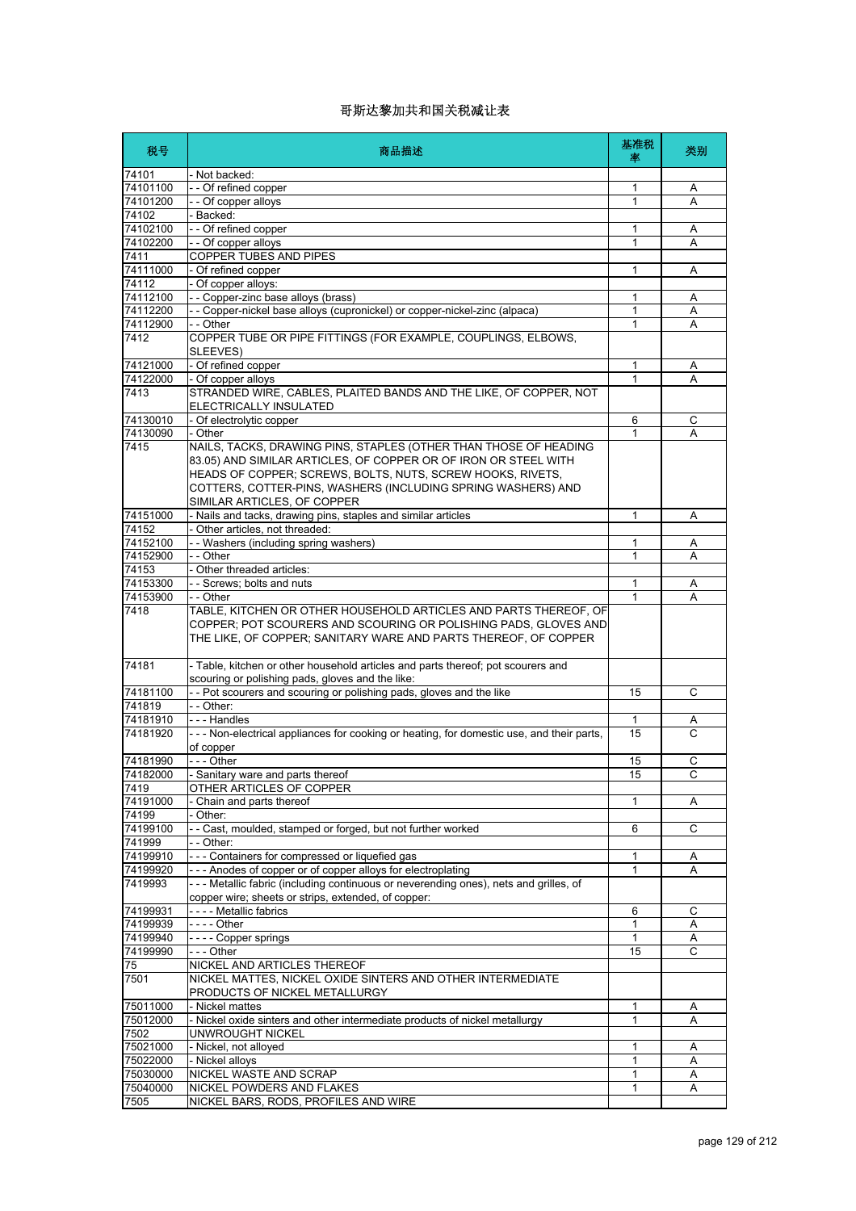| 税号                   | 商品描述                                                                                                                                                                                                                                                                                             | 基准税<br>率          | 类别     |
|----------------------|--------------------------------------------------------------------------------------------------------------------------------------------------------------------------------------------------------------------------------------------------------------------------------------------------|-------------------|--------|
| 74101                | - Not backed:                                                                                                                                                                                                                                                                                    |                   |        |
| 74101100             | -- Of refined copper                                                                                                                                                                                                                                                                             | 1                 | Α      |
| 74101200             | - - Of copper alloys                                                                                                                                                                                                                                                                             | 1                 | Α      |
| 74102                | Backed:                                                                                                                                                                                                                                                                                          |                   |        |
| 74102100             | - - Of refined copper                                                                                                                                                                                                                                                                            | 1                 | Α      |
| 74102200             | - - Of copper alloys                                                                                                                                                                                                                                                                             | 1                 | A      |
| 7411<br>74111000     | COPPER TUBES AND PIPES<br>- Of refined copper                                                                                                                                                                                                                                                    | 1                 | Α      |
| 74112                | - Of copper alloys:                                                                                                                                                                                                                                                                              |                   |        |
| 74112100             | - - Copper-zinc base alloys (brass)                                                                                                                                                                                                                                                              | 1                 | Α      |
| 74112200             | - - Copper-nickel base alloys (cupronickel) or copper-nickel-zinc (alpaca)                                                                                                                                                                                                                       | 1                 | Α      |
| 74112900             | - - Other                                                                                                                                                                                                                                                                                        | 1                 | A      |
| 7412                 | COPPER TUBE OR PIPE FITTINGS (FOR EXAMPLE, COUPLINGS, ELBOWS,<br>SLEEVES)                                                                                                                                                                                                                        |                   |        |
| 74121000             | - Of refined copper                                                                                                                                                                                                                                                                              | 1                 | Α      |
| 74122000             | - Of copper alloys                                                                                                                                                                                                                                                                               | $\mathbf{1}$      | А      |
| 7413                 | STRANDED WIRE, CABLES, PLAITED BANDS AND THE LIKE, OF COPPER, NOT<br>ELECTRICALLY INSULATED                                                                                                                                                                                                      |                   |        |
| 74130010             | - Of electrolytic copper                                                                                                                                                                                                                                                                         | 6                 | С      |
| 74130090             | - Other                                                                                                                                                                                                                                                                                          | 1                 | А      |
| 7415                 | NAILS, TACKS, DRAWING PINS, STAPLES (OTHER THAN THOSE OF HEADING<br>83.05) AND SIMILAR ARTICLES, OF COPPER OR OF IRON OR STEEL WITH<br>HEADS OF COPPER; SCREWS, BOLTS, NUTS, SCREW HOOKS, RIVETS,<br>COTTERS, COTTER-PINS, WASHERS (INCLUDING SPRING WASHERS) AND<br>SIMILAR ARTICLES, OF COPPER |                   |        |
| 74151000             | - Nails and tacks, drawing pins, staples and similar articles                                                                                                                                                                                                                                    | 1                 | Α      |
| 74152                | Other articles, not threaded:                                                                                                                                                                                                                                                                    |                   |        |
| 74152100             | -- Washers (including spring washers)                                                                                                                                                                                                                                                            | 1                 | A      |
| 74152900             | - - Other                                                                                                                                                                                                                                                                                        | 1                 | Α      |
| 74153                | - Other threaded articles:                                                                                                                                                                                                                                                                       |                   |        |
| 74153300<br>74153900 | - - Screws; bolts and nuts<br>- - Other                                                                                                                                                                                                                                                          | $\mathbf{1}$<br>1 | Α<br>Α |
| 7418                 | TABLE, KITCHEN OR OTHER HOUSEHOLD ARTICLES AND PARTS THEREOF, OF<br>COPPER; POT SCOURERS AND SCOURING OR POLISHING PADS, GLOVES AND<br>THE LIKE, OF COPPER; SANITARY WARE AND PARTS THEREOF, OF COPPER                                                                                           |                   |        |
| 74181                | - Table, kitchen or other household articles and parts thereof; pot scourers and<br>scouring or polishing pads, gloves and the like:                                                                                                                                                             |                   |        |
| 74181100             | - - Pot scourers and scouring or polishing pads, gloves and the like                                                                                                                                                                                                                             | 15                | C      |
| 741819               | $-$ - Other:                                                                                                                                                                                                                                                                                     |                   |        |
| 74181910             | --- Handles                                                                                                                                                                                                                                                                                      | 1                 | A      |
| 74181920             | --- Non-electrical appliances for cooking or heating, for domestic use, and their parts,<br>of copper                                                                                                                                                                                            | 15                | Ċ      |
| 74181990             | - - - Other                                                                                                                                                                                                                                                                                      | 15                | С      |
| 74182000             | - Sanitary ware and parts thereof                                                                                                                                                                                                                                                                | 15                | C      |
| 7419                 | OTHER ARTICLES OF COPPER                                                                                                                                                                                                                                                                         |                   |        |
| 74191000             | Chain and parts thereof                                                                                                                                                                                                                                                                          | 1                 | Α      |
| 74199                | Other:                                                                                                                                                                                                                                                                                           |                   |        |
| 74199100<br>741999   | - - Cast, moulded, stamped or forged, but not further worked<br>- - Other:                                                                                                                                                                                                                       | 6                 | C      |
| 74199910             | --- Containers for compressed or liquefied gas                                                                                                                                                                                                                                                   | 1                 | Α      |
| 74199920             | --- Anodes of copper or of copper alloys for electroplating                                                                                                                                                                                                                                      | $\mathbf{1}$      | A      |
| 7419993              | --- Metallic fabric (including continuous or neverending ones), nets and grilles, of<br>copper wire; sheets or strips, extended, of copper:                                                                                                                                                      |                   |        |
| 74199931             | ---- Metallic fabrics                                                                                                                                                                                                                                                                            | 6                 | С      |
| 74199939             | - - - - Other                                                                                                                                                                                                                                                                                    | 1                 | Α      |
| 74199940             | ---- Copper springs                                                                                                                                                                                                                                                                              | $\mathbf{1}$      | Α      |
| 74199990             | --- Other                                                                                                                                                                                                                                                                                        | 15                | С      |
| 75                   | NICKEL AND ARTICLES THEREOF                                                                                                                                                                                                                                                                      |                   |        |
| 7501                 | NICKEL MATTES, NICKEL OXIDE SINTERS AND OTHER INTERMEDIATE<br>PRODUCTS OF NICKEL METALLURGY                                                                                                                                                                                                      |                   |        |
| 75011000             | - Nickel mattes                                                                                                                                                                                                                                                                                  | 1                 | Α      |
| 75012000             | - Nickel oxide sinters and other intermediate products of nickel metallurgy                                                                                                                                                                                                                      | 1                 | Α      |
| 7502                 | UNWROUGHT NICKEL                                                                                                                                                                                                                                                                                 |                   |        |
| 75021000             | - Nickel, not alloyed                                                                                                                                                                                                                                                                            | 1                 | Α      |
| 75022000<br>75030000 | - Nickel alloys<br>NICKEL WASTE AND SCRAP                                                                                                                                                                                                                                                        | 1<br>1            | Α<br>Α |
| 75040000             | NICKEL POWDERS AND FLAKES                                                                                                                                                                                                                                                                        | 1                 | Α      |
| 7505                 | NICKEL BARS, RODS, PROFILES AND WIRE                                                                                                                                                                                                                                                             |                   |        |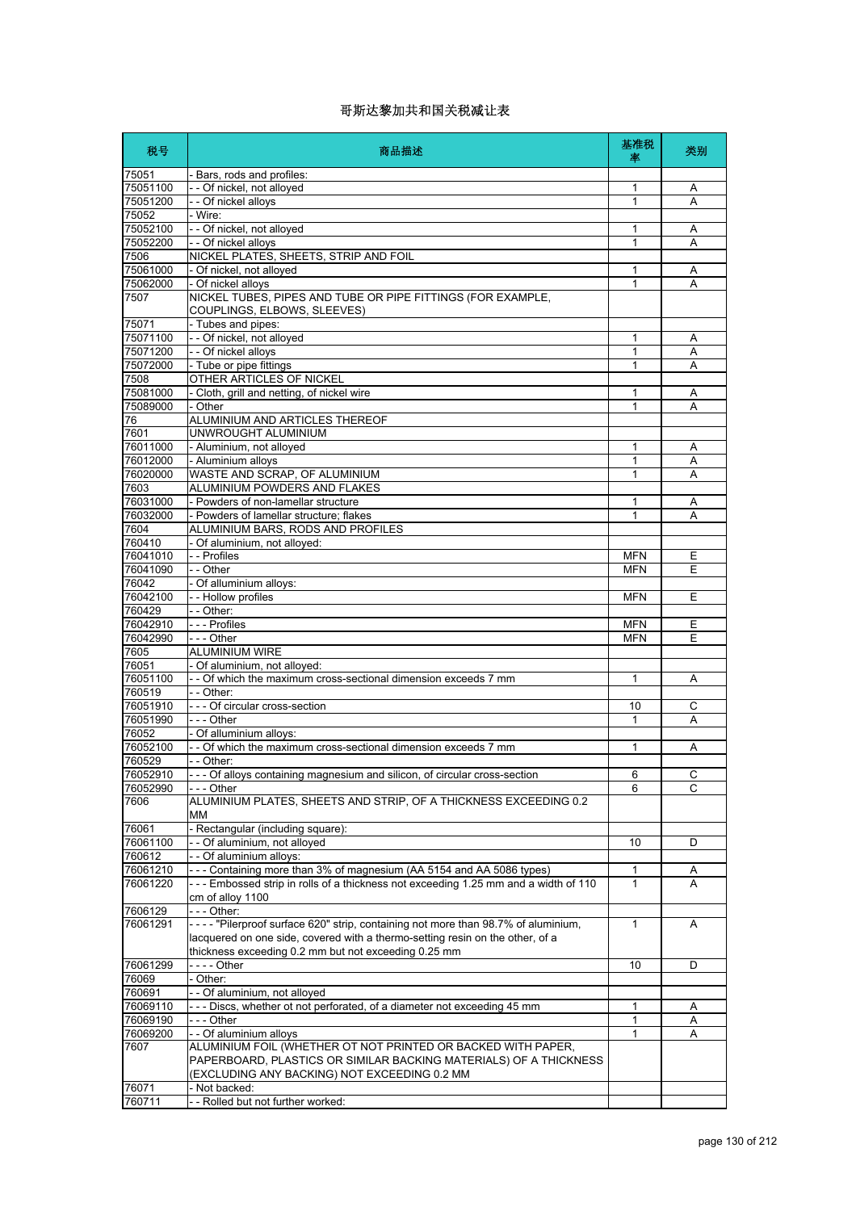| 税号                   | 商品描述                                                                                                                                                               | 基准税<br>率     | 类别     |
|----------------------|--------------------------------------------------------------------------------------------------------------------------------------------------------------------|--------------|--------|
| 75051                | - Bars, rods and profiles:                                                                                                                                         |              |        |
| 75051100             | -- Of nickel, not alloyed                                                                                                                                          | 1            | Α      |
| 75051200             | - - Of nickel alloys                                                                                                                                               | 1            | A      |
| 75052                | - Wire:                                                                                                                                                            |              |        |
| 75052100<br>75052200 | - - Of nickel, not alloyed<br>- - Of nickel alloys                                                                                                                 | 1<br>1       | Α<br>Α |
| 7506                 | NICKEL PLATES, SHEETS, STRIP AND FOIL                                                                                                                              |              |        |
| 75061000             | - Of nickel, not alloyed                                                                                                                                           | 1            | Α      |
| 75062000             | - Of nickel alloys                                                                                                                                                 | 1            | A      |
| 7507                 | NICKEL TUBES, PIPES AND TUBE OR PIPE FITTINGS (FOR EXAMPLE,<br>COUPLINGS, ELBOWS, SLEEVES)                                                                         |              |        |
| 75071                | - Tubes and pipes:                                                                                                                                                 |              |        |
| 75071100             | - - Of nickel, not alloyed                                                                                                                                         | 1            | Α      |
| 75071200             | - - Of nickel alloys                                                                                                                                               | 1            | A      |
| 75072000             | - Tube or pipe fittings                                                                                                                                            | 1            | Α      |
| 7508                 | OTHER ARTICLES OF NICKEL                                                                                                                                           |              |        |
| 75081000             | - Cloth, grill and netting, of nickel wire                                                                                                                         | 1            | Α      |
| 75089000<br>76       | - Other<br>ALUMINIUM AND ARTICLES THEREOF                                                                                                                          | 1            | Α      |
| 7601                 | UNWROUGHT ALUMINIUM                                                                                                                                                |              |        |
| 76011000             | - Aluminium, not alloyed                                                                                                                                           | 1            | Α      |
| 76012000             | - Aluminium alloys                                                                                                                                                 | 1            | Α      |
| 76020000             | WASTE AND SCRAP, OF ALUMINIUM                                                                                                                                      | 1            | Α      |
| 7603                 | ALUMINIUM POWDERS AND FLAKES                                                                                                                                       |              |        |
| 76031000             | - Powders of non-lamellar structure                                                                                                                                | 1            | Α      |
| 76032000             | - Powders of lamellar structure; flakes                                                                                                                            | 1            | A      |
| 7604                 | ALUMINIUM BARS, RODS AND PROFILES                                                                                                                                  |              |        |
| 760410               | - Of aluminium, not alloyed:                                                                                                                                       |              |        |
| 76041010             | - - Profiles                                                                                                                                                       | <b>MFN</b>   | Ε      |
| 76041090             | - - Other                                                                                                                                                          | <b>MFN</b>   | E      |
| 76042<br>76042100    | - Of alluminium alloys:<br>- - Hollow profiles                                                                                                                     | <b>MFN</b>   | E      |
| 760429               | $-$ - Other:                                                                                                                                                       |              |        |
| 76042910             | - - - Profiles                                                                                                                                                     | <b>MFN</b>   | Ε      |
| 76042990             | --- Other                                                                                                                                                          | <b>MFN</b>   | E      |
| 7605                 | <b>ALUMINIUM WIRE</b>                                                                                                                                              |              |        |
| 76051                | - Of aluminium, not alloyed:                                                                                                                                       |              |        |
| 76051100             | - - Of which the maximum cross-sectional dimension exceeds 7 mm                                                                                                    | 1            | Α      |
| 760519               | - - Other:                                                                                                                                                         |              |        |
| 76051910             | - - - Of circular cross-section                                                                                                                                    | 10           | С      |
| 76051990             | $- -$ Other                                                                                                                                                        | $\mathbf{1}$ | Α      |
| 76052                | - Of alluminium alloys:                                                                                                                                            |              |        |
| 76052100<br>760529   | - - Of which the maximum cross-sectional dimension exceeds 7 mm<br>- - Other:                                                                                      | 1            | Α      |
| 76052910             | --- Of alloys containing magnesium and silicon, of circular cross-section                                                                                          | 6            | C.     |
| 76052990             | $- -$ Other                                                                                                                                                        | 6            | C      |
| 7606                 | ALUMINIUM PLATES, SHEETS AND STRIP, OF A THICKNESS EXCEEDING 0.2<br>ΜМ                                                                                             |              |        |
| 76061                | - Rectangular (including square):                                                                                                                                  |              |        |
| 76061100             | -- Of aluminium, not alloyed                                                                                                                                       | 10           | D      |
| 760612               | - - Of aluminium alloys:                                                                                                                                           |              |        |
| 76061210             | --- Containing more than 3% of magnesium (AA 5154 and AA 5086 types)                                                                                               | 1            | A      |
| 76061220             | --- Embossed strip in rolls of a thickness not exceeding 1.25 mm and a width of 110<br>cm of alloy 1100                                                            | 1            | A      |
| 7606129              | - - - Other:                                                                                                                                                       |              |        |
| 76061291             | ---- "Pilerproof surface 620" strip, containing not more than 98.7% of aluminium,<br>lacquered on one side, covered with a thermo-setting resin on the other, of a | $\mathbf{1}$ | A      |
|                      | thickness exceeding 0.2 mm but not exceeding 0.25 mm                                                                                                               |              |        |
| 76061299             |                                                                                                                                                                    | 10           | D      |
| 76069<br>760691      | - Other:<br>- - Of aluminium, not alloyed                                                                                                                          |              |        |
| 76069110             | --- Discs, whether ot not perforated, of a diameter not exceeding 45 mm                                                                                            | 1            | Α      |
| 76069190             | - - - Other                                                                                                                                                        | 1            | Α      |
| 76069200             | - - Of aluminium alloys                                                                                                                                            | 1            | Α      |
| 7607                 | ALUMINIUM FOIL (WHETHER OT NOT PRINTED OR BACKED WITH PAPER,                                                                                                       |              |        |
|                      | PAPERBOARD, PLASTICS OR SIMILAR BACKING MATERIALS) OF A THICKNESS<br>(EXCLUDING ANY BACKING) NOT EXCEEDING 0.2 MM                                                  |              |        |
| 76071                | - Not backed:                                                                                                                                                      |              |        |
| 760711               | - - Rolled but not further worked:                                                                                                                                 |              |        |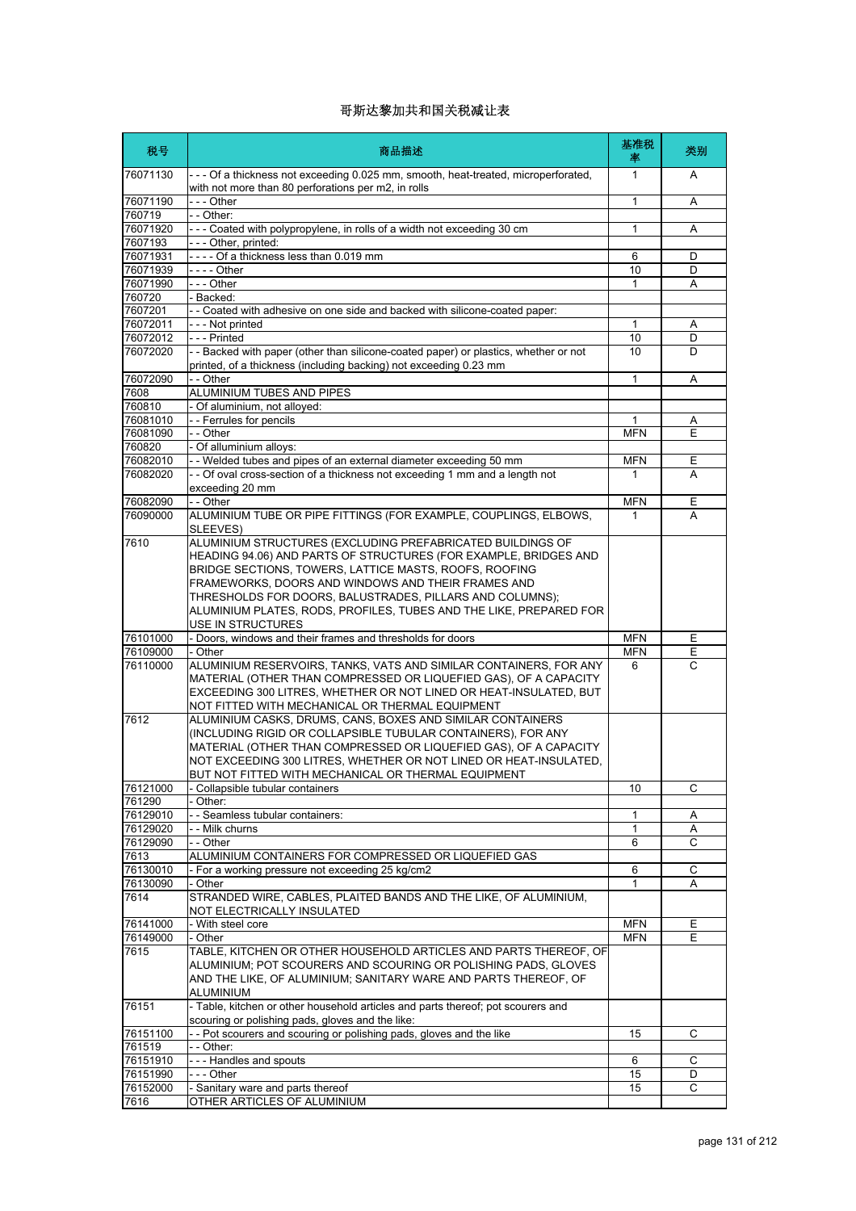| 税号                   | 商品描述                                                                                                                                                                                                                                                                                                                                                                             | 基准税<br>率   | 类别     |
|----------------------|----------------------------------------------------------------------------------------------------------------------------------------------------------------------------------------------------------------------------------------------------------------------------------------------------------------------------------------------------------------------------------|------------|--------|
| 76071130             | --- Of a thickness not exceeding 0.025 mm, smooth, heat-treated, microperforated,<br>with not more than 80 perforations per m2, in rolls                                                                                                                                                                                                                                         | 1          | A      |
| 76071190             | - - - Other                                                                                                                                                                                                                                                                                                                                                                      | 1          | Α      |
| 760719<br>76071920   | - - Other:<br>--- Coated with polypropylene, in rolls of a width not exceeding 30 cm                                                                                                                                                                                                                                                                                             | 1          | Α      |
| 7607193              | --- Other, printed:                                                                                                                                                                                                                                                                                                                                                              |            |        |
| 76071931             | ---- Of a thickness less than 0.019 mm                                                                                                                                                                                                                                                                                                                                           | 6          | D      |
| 76071939             |                                                                                                                                                                                                                                                                                                                                                                                  | 10         | D      |
| 76071990             | --- Other                                                                                                                                                                                                                                                                                                                                                                        | 1          | A      |
| 760720               | - Backed:                                                                                                                                                                                                                                                                                                                                                                        |            |        |
| 7607201              | -- Coated with adhesive on one side and backed with silicone-coated paper:                                                                                                                                                                                                                                                                                                       |            |        |
| 76072011             | --- Not printed                                                                                                                                                                                                                                                                                                                                                                  | 1          | Α      |
| 76072012<br>76072020 | --- Printed<br>- - Backed with paper (other than silicone-coated paper) or plastics, whether or not                                                                                                                                                                                                                                                                              | 10<br>10   | D<br>D |
| 76072090             | printed, of a thickness (including backing) not exceeding 0.23 mm<br>- - Other                                                                                                                                                                                                                                                                                                   | 1          | A      |
| 7608                 | ALUMINIUM TUBES AND PIPES                                                                                                                                                                                                                                                                                                                                                        |            |        |
| 760810               | - Of aluminium, not alloyed:                                                                                                                                                                                                                                                                                                                                                     |            |        |
| 76081010             | - - Ferrules for pencils                                                                                                                                                                                                                                                                                                                                                         | 1          | Α      |
| 76081090             | - - Other                                                                                                                                                                                                                                                                                                                                                                        | <b>MFN</b> | E      |
| 760820               | - Of alluminium alloys:                                                                                                                                                                                                                                                                                                                                                          |            |        |
| 76082010             | - - Welded tubes and pipes of an external diameter exceeding 50 mm                                                                                                                                                                                                                                                                                                               | <b>MFN</b> | Ε      |
| 76082020             | - - Of oval cross-section of a thickness not exceeding 1 mm and a length not<br>exceeding 20 mm                                                                                                                                                                                                                                                                                  | 1          | A      |
| 76082090             | - - Other                                                                                                                                                                                                                                                                                                                                                                        | <b>MFN</b> | Е      |
| 76090000             | ALUMINIUM TUBE OR PIPE FITTINGS (FOR EXAMPLE, COUPLINGS, ELBOWS,<br>SLEEVES)                                                                                                                                                                                                                                                                                                     | 1          | A      |
| 7610                 | ALUMINIUM STRUCTURES (EXCLUDING PREFABRICATED BUILDINGS OF<br>HEADING 94.06) AND PARTS OF STRUCTURES (FOR EXAMPLE, BRIDGES AND<br>BRIDGE SECTIONS, TOWERS, LATTICE MASTS, ROOFS, ROOFING<br>FRAMEWORKS, DOORS AND WINDOWS AND THEIR FRAMES AND<br>THRESHOLDS FOR DOORS, BALUSTRADES, PILLARS AND COLUMNS);<br>ALUMINIUM PLATES, RODS, PROFILES, TUBES AND THE LIKE, PREPARED FOR |            |        |
|                      | USE IN STRUCTURES                                                                                                                                                                                                                                                                                                                                                                |            |        |
| 76101000             | - Doors, windows and their frames and thresholds for doors                                                                                                                                                                                                                                                                                                                       | <b>MFN</b> | Ε      |
| 76109000             | - Other                                                                                                                                                                                                                                                                                                                                                                          | <b>MFN</b> | Ε      |
| 76110000<br>7612     | ALUMINIUM RESERVOIRS, TANKS, VATS AND SIMILAR CONTAINERS, FOR ANY<br>MATERIAL (OTHER THAN COMPRESSED OR LIQUEFIED GAS), OF A CAPACITY<br>EXCEEDING 300 LITRES. WHETHER OR NOT LINED OR HEAT-INSULATED. BUT<br>NOT FITTED WITH MECHANICAL OR THERMAL EQUIPMENT<br>ALUMINIUM CASKS, DRUMS, CANS, BOXES AND SIMILAR CONTAINERS                                                      | 6          | C      |
|                      | (INCLUDING RIGID OR COLLAPSIBLE TUBULAR CONTAINERS), FOR ANY<br>MATERIAL (OTHER THAN COMPRESSED OR LIQUEFIED GAS), OF A CAPACITY<br>NOT EXCEEDING 300 LITRES, WHETHER OR NOT LINED OR HEAT-INSULATED,<br>BUT NOT FITTED WITH MECHANICAL OR THERMAL EQUIPMENT                                                                                                                     |            |        |
| 76121000             | Collapsible tubular containers                                                                                                                                                                                                                                                                                                                                                   | 10         | C      |
| 761290               | Other:                                                                                                                                                                                                                                                                                                                                                                           |            |        |
| 76129010<br>76129020 | - - Seamless tubular containers:<br>- - Milk churns                                                                                                                                                                                                                                                                                                                              | 1<br>1     | Α<br>Α |
| 76129090             | - - Other                                                                                                                                                                                                                                                                                                                                                                        | 6          | C      |
| 7613                 | ALUMINIUM CONTAINERS FOR COMPRESSED OR LIQUEFIED GAS                                                                                                                                                                                                                                                                                                                             |            |        |
| 76130010             | - For a working pressure not exceeding 25 kg/cm2                                                                                                                                                                                                                                                                                                                                 | 6          | С      |
| 76130090             | - Other                                                                                                                                                                                                                                                                                                                                                                          | 1          | Α      |
| 7614                 | STRANDED WIRE, CABLES, PLAITED BANDS AND THE LIKE, OF ALUMINIUM,<br>NOT ELECTRICALLY INSULATED                                                                                                                                                                                                                                                                                   |            |        |
| 76141000             | - With steel core                                                                                                                                                                                                                                                                                                                                                                | <b>MFN</b> | Е      |
| 76149000             | - Other                                                                                                                                                                                                                                                                                                                                                                          | <b>MFN</b> | E      |
| 7615                 | TABLE, KITCHEN OR OTHER HOUSEHOLD ARTICLES AND PARTS THEREOF, OF<br>ALUMINIUM; POT SCOURERS AND SCOURING OR POLISHING PADS, GLOVES<br>AND THE LIKE, OF ALUMINIUM; SANITARY WARE AND PARTS THEREOF, OF<br>ALUMINIUM                                                                                                                                                               |            |        |
| 76151                | - Table, kitchen or other household articles and parts thereof; pot scourers and<br>scouring or polishing pads, gloves and the like:                                                                                                                                                                                                                                             |            |        |
| 76151100             | - - Pot scourers and scouring or polishing pads, gloves and the like                                                                                                                                                                                                                                                                                                             | 15         | С      |
| 761519               | - - Other:                                                                                                                                                                                                                                                                                                                                                                       |            |        |
| 76151910             | --- Handles and spouts                                                                                                                                                                                                                                                                                                                                                           | 6          | С      |
| 76151990<br>76152000 | --- Other<br>- Sanitary ware and parts thereof                                                                                                                                                                                                                                                                                                                                   | 15<br>15   | D<br>C |
| 7616                 | OTHER ARTICLES OF ALUMINIUM                                                                                                                                                                                                                                                                                                                                                      |            |        |
|                      |                                                                                                                                                                                                                                                                                                                                                                                  |            |        |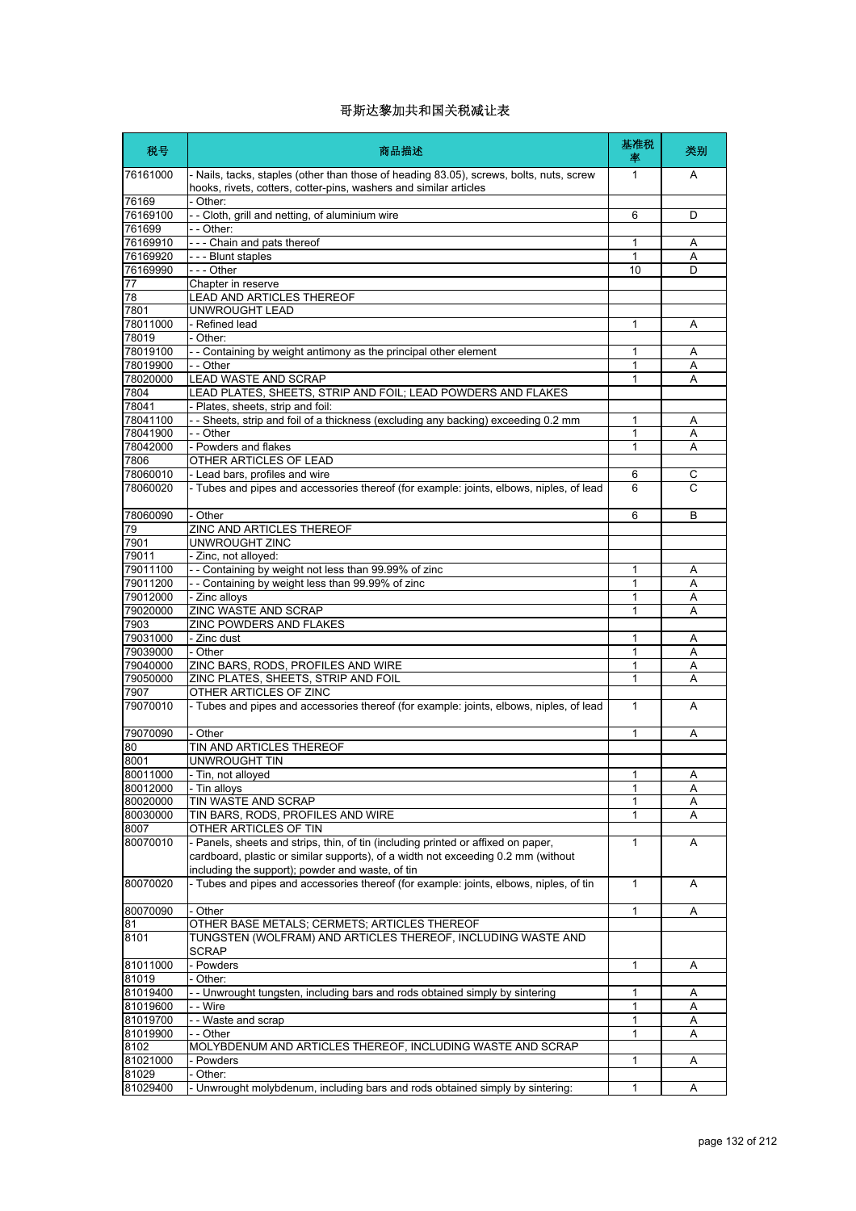| 税号                | 商品描述                                                                                                                                                                   | 基准税<br>率     | 类别           |
|-------------------|------------------------------------------------------------------------------------------------------------------------------------------------------------------------|--------------|--------------|
| 76161000          | - Nails, tacks, staples (other than those of heading 83.05), screws, bolts, nuts, screw<br>hooks, rivets, cotters, cotter-pins, washers and similar articles           | $\mathbf{1}$ | A            |
| 76169             | - Other:                                                                                                                                                               |              |              |
| 76169100          | - - Cloth, grill and netting, of aluminium wire                                                                                                                        | 6            | D            |
| 761699            | - - Other:                                                                                                                                                             |              |              |
| 76169910          | --- Chain and pats thereof                                                                                                                                             | 1            | Α            |
| 76169920          | --- Blunt staples                                                                                                                                                      | 1            | Α            |
| 76169990          | - - - Other                                                                                                                                                            | 10           | D            |
| 77                | Chapter in reserve                                                                                                                                                     |              |              |
| 78                | <b>LEAD AND ARTICLES THEREOF</b>                                                                                                                                       |              |              |
| 7801              | UNWROUGHT LEAD                                                                                                                                                         |              |              |
| 78011000<br>78019 | - Refined lead<br>- Other:                                                                                                                                             | 1            | Α            |
| 78019100          | - - Containing by weight antimony as the principal other element                                                                                                       | 1            | A            |
| 78019900          | - - Other                                                                                                                                                              | 1            | Α            |
| 78020000          | <b>LEAD WASTE AND SCRAP</b>                                                                                                                                            | 1            | A            |
| 7804              | LEAD PLATES, SHEETS, STRIP AND FOIL; LEAD POWDERS AND FLAKES                                                                                                           |              |              |
| 78041             | - Plates, sheets, strip and foil:                                                                                                                                      |              |              |
| 78041100          | - - Sheets, strip and foil of a thickness (excluding any backing) exceeding 0.2 mm                                                                                     | 1            | Α            |
| 78041900          | - - Other                                                                                                                                                              | 1            | Α            |
| 78042000          | - Powders and flakes                                                                                                                                                   | 1            | Α            |
| 7806              | OTHER ARTICLES OF LEAD                                                                                                                                                 |              |              |
| 78060010          | - Lead bars, profiles and wire                                                                                                                                         | 6            | С            |
| 78060020          | - Tubes and pipes and accessories thereof (for example: joints, elbows, niples, of lead                                                                                | 6            | C            |
| 78060090          | - Other                                                                                                                                                                | 6            | B            |
| 79                | ZINC AND ARTICLES THEREOF                                                                                                                                              |              |              |
| 7901              | UNWROUGHT ZINC                                                                                                                                                         |              |              |
| 79011             | - Zinc, not alloyed:                                                                                                                                                   |              |              |
| 79011100          | -- Containing by weight not less than 99.99% of zinc                                                                                                                   | 1            | Α            |
| 79011200          | -- Containing by weight less than 99.99% of zinc                                                                                                                       | 1            | A            |
| 79012000          | - Zinc alloys                                                                                                                                                          | 1            | Α            |
| 79020000          | ZINC WASTE AND SCRAP                                                                                                                                                   | 1            | A            |
| 7903              | ZINC POWDERS AND FLAKES                                                                                                                                                |              |              |
| 79031000          | - Zinc dust                                                                                                                                                            | 1            | Α            |
| 79039000          | - Other                                                                                                                                                                | 1            | A            |
| 79040000          | ZINC BARS, RODS, PROFILES AND WIRE                                                                                                                                     | 1            | Α            |
| 79050000<br>7907  | ZINC PLATES, SHEETS, STRIP AND FOIL<br>OTHER ARTICLES OF ZINC                                                                                                          | 1            | Α            |
| 79070010          | - Tubes and pipes and accessories thereof (for example: joints, elbows, niples, of lead                                                                                | $\mathbf{1}$ | A            |
| 79070090          | - Other                                                                                                                                                                | 1            | Α            |
| 80                | TIN AND ARTICLES THEREOF                                                                                                                                               |              |              |
| 8001              | UNWROUGHT TIN                                                                                                                                                          |              |              |
| 80011000          | - Tin, not alloyed                                                                                                                                                     |              | $\mathsf{A}$ |
| 80012000          | - Tin alloys                                                                                                                                                           | 1            | Α            |
| 80020000          | <b>TIN WASTE AND SCRAP</b>                                                                                                                                             | 1            | A            |
| 80030000          | TIN BARS, RODS, PROFILES AND WIRE                                                                                                                                      | 1            | Α            |
| 8007              | OTHER ARTICLES OF TIN                                                                                                                                                  |              |              |
| 80070010          | - Panels, sheets and strips, thin, of tin (including printed or affixed on paper,<br>cardboard, plastic or similar supports), of a width not exceeding 0.2 mm (without | 1            | A            |
| 80070020          | including the support); powder and waste, of tin<br>- Tubes and pipes and accessories thereof (for example: joints, elbows, niples, of tin                             | $\mathbf{1}$ | Α            |
| 80070090          | - Other                                                                                                                                                                | 1            |              |
| 81                | OTHER BASE METALS; CERMETS; ARTICLES THEREOF                                                                                                                           |              | Α            |
| 8101              | TUNGSTEN (WOLFRAM) AND ARTICLES THEREOF, INCLUDING WASTE AND                                                                                                           |              |              |
|                   | <b>SCRAP</b>                                                                                                                                                           |              |              |
| 81011000<br>81019 | - Powders<br>Other:                                                                                                                                                    | 1            | Α            |
| 81019400          | - Unwrought tungsten, including bars and rods obtained simply by sintering                                                                                             | 1            |              |
| 81019600          | - - Wire                                                                                                                                                               | 1            | Α<br>Α       |
| 81019700          | - - Waste and scrap                                                                                                                                                    | 1            | Α            |
| 81019900          | - - Other                                                                                                                                                              | 1            | Α            |
| 8102              | MOLYBDENUM AND ARTICLES THEREOF, INCLUDING WASTE AND SCRAP                                                                                                             |              |              |
| 81021000          | Powders                                                                                                                                                                | 1            | Α            |
| 81029             | Other:                                                                                                                                                                 |              |              |
| 81029400          | - Unwrought molybdenum, including bars and rods obtained simply by sintering:                                                                                          | 1            | Α            |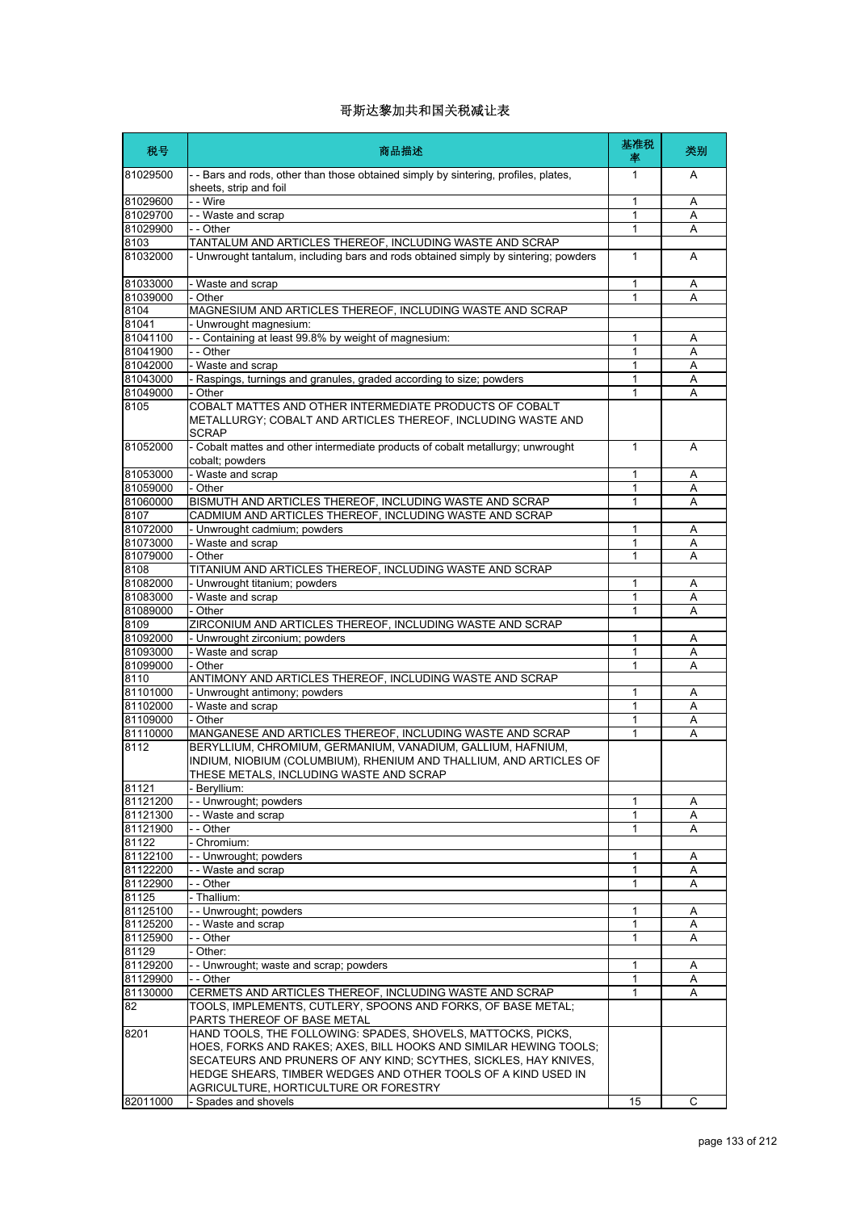| 税号             | 商品描述                                                                                                                                                                        | 基准税<br>率     | 类别 |
|----------------|-----------------------------------------------------------------------------------------------------------------------------------------------------------------------------|--------------|----|
| 81029500       | - - Bars and rods, other than those obtained simply by sintering, profiles, plates,<br>sheets, strip and foil                                                               | 1            | A  |
| 81029600       | - - Wire                                                                                                                                                                    | 1            | Α  |
| 81029700       | - - Waste and scrap                                                                                                                                                         | 1            | Α  |
| 81029900       | - - Other                                                                                                                                                                   | 1            | Α  |
| 8103           | TANTALUM AND ARTICLES THEREOF, INCLUDING WASTE AND SCRAP                                                                                                                    |              |    |
| 81032000       | - Unwrought tantalum, including bars and rods obtained simply by sintering; powders                                                                                         | $\mathbf{1}$ | A  |
| 81033000       | - Waste and scrap                                                                                                                                                           | 1            | Α  |
| 81039000       | - Other                                                                                                                                                                     | 1            | Α  |
| 8104           | MAGNESIUM AND ARTICLES THEREOF, INCLUDING WASTE AND SCRAP                                                                                                                   |              |    |
| 81041          | - Unwrought magnesium:                                                                                                                                                      |              |    |
| 81041100       | - - Containing at least 99.8% by weight of magnesium:                                                                                                                       | 1            | Α  |
| 81041900       | - - Other                                                                                                                                                                   | 1            | A  |
| 81042000       | - Waste and scrap                                                                                                                                                           | 1            | Α  |
| 81043000       | - Raspings, turnings and granules, graded according to size; powders                                                                                                        | 1            | Α  |
| 81049000       | - Other                                                                                                                                                                     | 1            | Α  |
| 8105           | COBALT MATTES AND OTHER INTERMEDIATE PRODUCTS OF COBALT<br>METALLURGY; COBALT AND ARTICLES THEREOF, INCLUDING WASTE AND<br><b>SCRAP</b>                                     |              |    |
| 81052000       | - Cobalt mattes and other intermediate products of cobalt metallurgy; unwrought<br>cobalt; powders                                                                          | $\mathbf{1}$ | A  |
| 81053000       | - Waste and scrap                                                                                                                                                           | 1            | A  |
| 81059000       | - Other                                                                                                                                                                     | 1            | A  |
| 81060000       | BISMUTH AND ARTICLES THEREOF, INCLUDING WASTE AND SCRAP                                                                                                                     | 1            | Α  |
| 8107           | CADMIUM AND ARTICLES THEREOF, INCLUDING WASTE AND SCRAP                                                                                                                     |              |    |
| 81072000       | - Unwrought cadmium; powders                                                                                                                                                | 1            | Α  |
| 81073000       | - Waste and scrap                                                                                                                                                           | 1            | Α  |
| 81079000       | - Other                                                                                                                                                                     | 1            | Α  |
| 8108           | TITANIUM AND ARTICLES THEREOF, INCLUDING WASTE AND SCRAP                                                                                                                    |              |    |
| 81082000       | - Unwrought titanium; powders                                                                                                                                               | 1            | Α  |
| 81083000       | - Waste and scrap                                                                                                                                                           | 1            | Α  |
| 81089000       | - Other                                                                                                                                                                     | 1            | A  |
| 8109           | ZIRCONIUM AND ARTICLES THEREOF, INCLUDING WASTE AND SCRAP                                                                                                                   |              |    |
| 81092000       | - Unwrought zirconium; powders                                                                                                                                              | 1            | Α  |
| 81093000       | - Waste and scrap                                                                                                                                                           | 1            | Α  |
| 81099000       | - Other                                                                                                                                                                     | 1            | Α  |
| 8110           | ANTIMONY AND ARTICLES THEREOF, INCLUDING WASTE AND SCRAP                                                                                                                    |              |    |
| 81101000       | - Unwrought antimony; powders                                                                                                                                               | 1            | Α  |
| 81102000       | - Waste and scrap                                                                                                                                                           | 1            | Α  |
| 81109000       | - Other                                                                                                                                                                     | 1            | Α  |
| 81110000       | MANGANESE AND ARTICLES THEREOF, INCLUDING WASTE AND SCRAP                                                                                                                   | 1            | Α  |
| 8112           | BERYLLIUM, CHROMIUM, GERMANIUM, VANADIUM, GALLIUM, HAFNIUM,<br>INDIUM, NIOBIUM (COLUMBIUM), RHENIUM AND THALLIUM, AND ARTICLES OF<br>THESE METALS INCLUDING WASTE AND SCRAP |              |    |
| 81121          | Beryllium:                                                                                                                                                                  |              |    |
| 81121200       | -- Unwrought; powders                                                                                                                                                       | 1            | Α  |
| 81121300       | - - Waste and scrap                                                                                                                                                         | 1            | Α  |
| 81121900       | - - Other                                                                                                                                                                   | 1            | Α  |
| 81122          | - Chromium:                                                                                                                                                                 |              |    |
| 81122100       | -- Unwrought; powders                                                                                                                                                       | 1            | Α  |
| 81122200       | - - Waste and scrap                                                                                                                                                         | 1            | Α  |
| 81122900       | - - Other                                                                                                                                                                   | 1            | Α  |
| 81125          | - Thallium:                                                                                                                                                                 |              |    |
| 81125100       | -- Unwrought; powders                                                                                                                                                       | 1            | Α  |
| 81125200       | - - Waste and scrap                                                                                                                                                         | 1            | Α  |
| 81125900       | - - Other                                                                                                                                                                   | 1            | Α  |
| 81129          | - Other:                                                                                                                                                                    |              |    |
| 81129200       | - - Unwrought; waste and scrap; powders                                                                                                                                     | 1            | Α  |
| 81129900       | - - Other                                                                                                                                                                   | 1            | Α  |
| 81130000<br>82 | CERMETS AND ARTICLES THEREOF, INCLUDING WASTE AND SCRAP<br>TOOLS, IMPLEMENTS, CUTLERY, SPOONS AND FORKS, OF BASE METAL;                                                     | 1            | A  |
|                | PARTS THEREOF OF BASE METAL                                                                                                                                                 |              |    |
| 8201           | HAND TOOLS, THE FOLLOWING: SPADES, SHOVELS, MATTOCKS, PICKS,                                                                                                                |              |    |
|                | HOES, FORKS AND RAKES; AXES, BILL HOOKS AND SIMILAR HEWING TOOLS;                                                                                                           |              |    |
|                | SECATEURS AND PRUNERS OF ANY KIND; SCYTHES, SICKLES, HAY KNIVES,                                                                                                            |              |    |
|                | HEDGE SHEARS, TIMBER WEDGES AND OTHER TOOLS OF A KIND USED IN                                                                                                               |              |    |
|                | AGRICULTURE, HORTICULTURE OR FORESTRY                                                                                                                                       |              |    |
| 82011000       | - Spades and shovels                                                                                                                                                        | 15           | С  |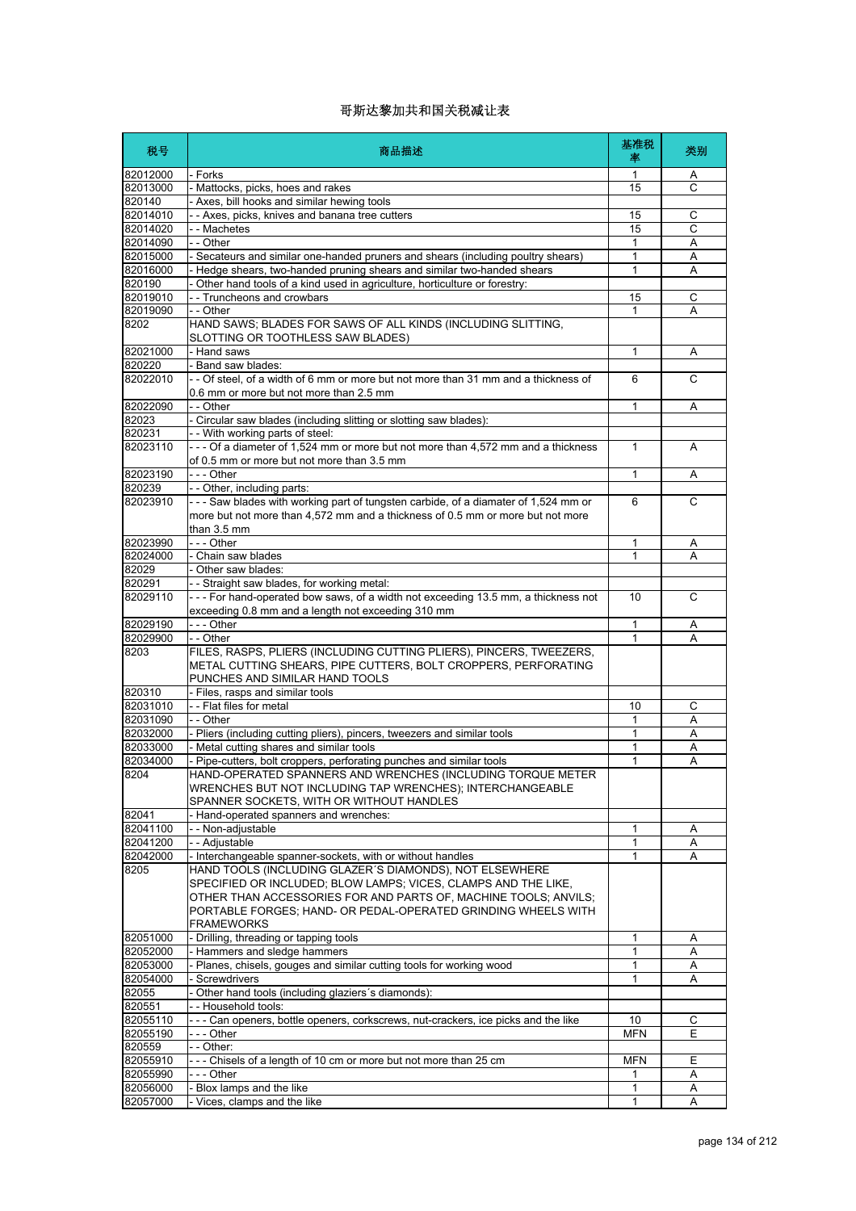| 税号                   | 商品描述                                                                                                                                                                                    | 基准税<br>率        | 类别     |
|----------------------|-----------------------------------------------------------------------------------------------------------------------------------------------------------------------------------------|-----------------|--------|
| 82012000             | - Forks                                                                                                                                                                                 | 1               | Α      |
| 82013000             | - Mattocks, picks, hoes and rakes                                                                                                                                                       | 15              | C      |
| 820140               | Axes, bill hooks and similar hewing tools                                                                                                                                               |                 |        |
| 82014010             | - Axes, picks, knives and banana tree cutters                                                                                                                                           | 15              | С      |
| 82014020             | - - Machetes                                                                                                                                                                            | 15              | С      |
| 82014090<br>82015000 | - - Other                                                                                                                                                                               | 1<br>1          | Α<br>Α |
| 82016000             | - Secateurs and similar one-handed pruners and shears (including poultry shears)<br>- Hedge shears, two-handed pruning shears and similar two-handed shears                             | 1               | Α      |
| 820190               | Other hand tools of a kind used in agriculture, horticulture or forestry:                                                                                                               |                 |        |
| 82019010             | - Truncheons and crowbars                                                                                                                                                               | 15              | C      |
| 82019090             | - - Other                                                                                                                                                                               |                 | A      |
| 8202                 | HAND SAWS; BLADES FOR SAWS OF ALL KINDS (INCLUDING SLITTING,<br>SLOTTING OR TOOTHLESS SAW BLADES)                                                                                       |                 |        |
| 82021000             | - Hand saws                                                                                                                                                                             | 1               | Α      |
| 820220               | - Band saw blades:                                                                                                                                                                      |                 |        |
| 82022010             | - - Of steel, of a width of 6 mm or more but not more than 31 mm and a thickness of<br>0.6 mm or more but not more than 2.5 mm                                                          | 6               | C      |
| 82022090             | - - Other                                                                                                                                                                               | $\mathbf{1}$    | Α      |
| 82023                | - Circular saw blades (including slitting or slotting saw blades):                                                                                                                      |                 |        |
| 820231               | - - With working parts of steel:                                                                                                                                                        |                 |        |
| 82023110             | --- Of a diameter of 1,524 mm or more but not more than 4,572 mm and a thickness<br>of 0.5 mm or more but not more than 3.5 mm                                                          | 1               | A      |
| 82023190             | - - - Other                                                                                                                                                                             | 1               | A      |
| 820239               | - - Other, including parts:                                                                                                                                                             |                 |        |
| 82023910             | --- Saw blades with working part of tungsten carbide, of a diamater of 1,524 mm or<br>more but not more than 4,572 mm and a thickness of 0.5 mm or more but not more<br>than 3.5 mm     | 6               | C      |
| 82023990             | --- Other                                                                                                                                                                               | 1               | A      |
| 82024000             | - Chain saw blades                                                                                                                                                                      | 1               | A      |
| 82029                | - Other saw blades:                                                                                                                                                                     |                 |        |
| 820291               | - - Straight saw blades, for working metal:                                                                                                                                             |                 |        |
| 82029110             | --- For hand-operated bow saws, of a width not exceeding 13.5 mm, a thickness not<br>exceeding 0.8 mm and a length not exceeding 310 mm                                                 | 10              | C      |
| 82029190             | --- Other                                                                                                                                                                               | 1               | Α      |
| 82029900             | - - Other                                                                                                                                                                               | 1               | А      |
| 8203                 | FILES, RASPS, PLIERS (INCLUDING CUTTING PLIERS), PINCERS, TWEEZERS,<br>METAL CUTTING SHEARS, PIPE CUTTERS, BOLT CROPPERS, PERFORATING<br>PUNCHES AND SIMILAR HAND TOOLS                 |                 |        |
| 820310               | - Files, rasps and similar tools                                                                                                                                                        |                 |        |
| 82031010             | --Flat files for metal                                                                                                                                                                  | 10              | C      |
| 82031090             | - - Other                                                                                                                                                                               | 1               | Α      |
| 82032000             | - Pliers (including cutting pliers), pincers, tweezers and similar tools                                                                                                                | 1               | Α      |
| 82033000             | - Metal cutting shares and similar tools                                                                                                                                                | 1               | Α      |
| 82034000             | Pipe-cutters, bolt croppers, perforating punches and similar tools                                                                                                                      | 1               | Α      |
| 8204                 | HAND-OPERATED SPANNERS AND WRENCHES (INCLUDING TORQUE METER<br>WRENCHES BUT NOT INCLUDING TAP WRENCHES); INTERCHANGEABLE<br>SPANNER SOCKETS, WITH OR WITHOUT HANDLES                    |                 |        |
| 82041                | - Hand-operated spanners and wrenches:                                                                                                                                                  |                 |        |
| 82041100             | - - Non-adjustable                                                                                                                                                                      | 1               | Α      |
| 82041200             | - - Adjustable                                                                                                                                                                          | 1               | Α      |
| 82042000<br>8205     | - Interchangeable spanner-sockets, with or without handles<br>HAND TOOLS (INCLUDING GLAZER'S DIAMONDS), NOT ELSEWHERE<br>SPECIFIED OR INCLUDED; BLOW LAMPS; VICES, CLAMPS AND THE LIKE, | 1               | A      |
|                      | OTHER THAN ACCESSORIES FOR AND PARTS OF, MACHINE TOOLS; ANVILS;<br>PORTABLE FORGES; HAND- OR PEDAL-OPERATED GRINDING WHEELS WITH<br><b>FRAMEWORKS</b>                                   |                 |        |
| 82051000             | - Drilling, threading or tapping tools                                                                                                                                                  | $\mathbf{1}$    | Α      |
| 82052000             | - Hammers and sledge hammers                                                                                                                                                            | 1               | Α      |
| 82053000             | - Planes, chisels, gouges and similar cutting tools for working wood                                                                                                                    | 1               | Α      |
| 82054000             | Screwdrivers                                                                                                                                                                            | $\mathbf{1}$    | Α      |
| 82055                | Other hand tools (including glaziers's diamonds):                                                                                                                                       |                 |        |
| 820551               | -- Household tools:                                                                                                                                                                     |                 |        |
| 82055110             | --- Can openers, bottle openers, corkscrews, nut-crackers, ice picks and the like                                                                                                       | 10              | С      |
| 82055190             | -  - - Other                                                                                                                                                                            | <b>MFN</b>      | E      |
| 820559               | - - Other:                                                                                                                                                                              |                 | E      |
| 82055910<br>82055990 | --- Chisels of a length of 10 cm or more but not more than 25 cm<br>- - - Other                                                                                                         | <b>MFN</b><br>1 | Α      |
| 82056000             | - Blox lamps and the like                                                                                                                                                               | 1               | Α      |
| 82057000             | - Vices, clamps and the like                                                                                                                                                            | $\mathbf{1}$    | A      |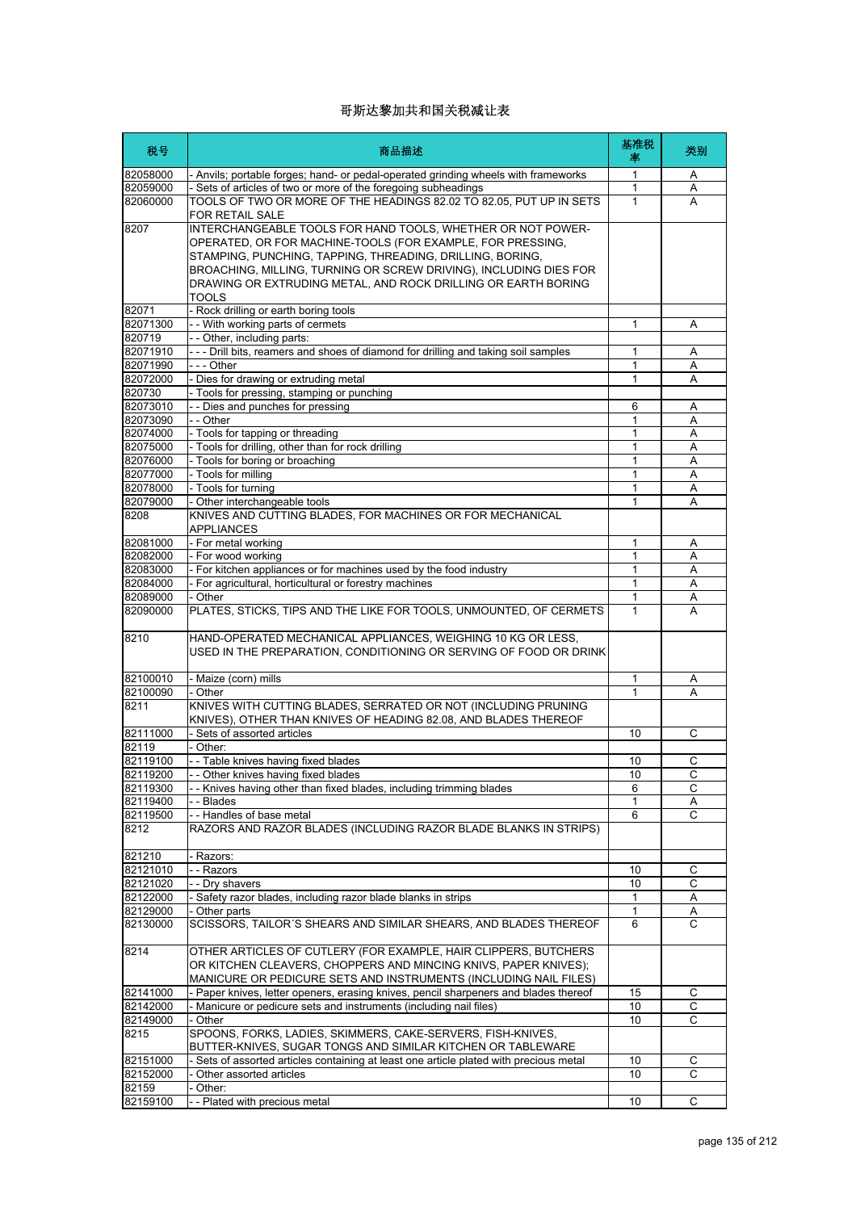| 税号               | 商品描述                                                                                                                                                                                                                                                                                                                                         | 基准税<br>率     | 类别     |
|------------------|----------------------------------------------------------------------------------------------------------------------------------------------------------------------------------------------------------------------------------------------------------------------------------------------------------------------------------------------|--------------|--------|
| 82058000         | - Anvils; portable forges; hand- or pedal-operated grinding wheels with frameworks                                                                                                                                                                                                                                                           | 1            | A      |
| 82059000         | - Sets of articles of two or more of the foregoing subheadings                                                                                                                                                                                                                                                                               | 1            | A      |
| 82060000         | TOOLS OF TWO OR MORE OF THE HEADINGS 82.02 TO 82.05, PUT UP IN SETS<br>FOR RETAIL SALE                                                                                                                                                                                                                                                       | 1            | A      |
| 8207             | INTERCHANGEABLE TOOLS FOR HAND TOOLS, WHETHER OR NOT POWER-<br>OPERATED, OR FOR MACHINE-TOOLS (FOR EXAMPLE, FOR PRESSING,<br>STAMPING, PUNCHING, TAPPING, THREADING, DRILLING, BORING,<br>BROACHING, MILLING, TURNING OR SCREW DRIVING), INCLUDING DIES FOR<br>DRAWING OR EXTRUDING METAL, AND ROCK DRILLING OR EARTH BORING<br><b>TOOLS</b> |              |        |
| 82071            | - Rock drilling or earth boring tools                                                                                                                                                                                                                                                                                                        |              |        |
| 82071300         | - - With working parts of cermets                                                                                                                                                                                                                                                                                                            | 1            | Α      |
| 820719           | - - Other, including parts:                                                                                                                                                                                                                                                                                                                  |              |        |
| 82071910         | - - - Drill bits, reamers and shoes of diamond for drilling and taking soil samples                                                                                                                                                                                                                                                          | 1            | A      |
| 82071990         | - - - Other                                                                                                                                                                                                                                                                                                                                  | 1            | Α      |
| 82072000         | - Dies for drawing or extruding metal                                                                                                                                                                                                                                                                                                        | 1            | A      |
| 820730           | - Tools for pressing, stamping or punching                                                                                                                                                                                                                                                                                                   |              |        |
| 82073010         | - - Dies and punches for pressing                                                                                                                                                                                                                                                                                                            | 6            | A      |
| 82073090         | - - Other                                                                                                                                                                                                                                                                                                                                    | 1            | Α      |
| 82074000         | - Tools for tapping or threading                                                                                                                                                                                                                                                                                                             | 1            | Α      |
| 82075000         | - Tools for drilling, other than for rock drilling                                                                                                                                                                                                                                                                                           | 1            | Α      |
| 82076000         | - Tools for boring or broaching                                                                                                                                                                                                                                                                                                              | 1            | Α      |
| 82077000         | - Tools for milling                                                                                                                                                                                                                                                                                                                          | 1            | Α      |
| 82078000         | - Tools for turning                                                                                                                                                                                                                                                                                                                          | 1            | Α      |
| 82079000<br>8208 | - Other interchangeable tools<br>KNIVES AND CUTTING BLADES, FOR MACHINES OR FOR MECHANICAL<br><b>APPLIANCES</b>                                                                                                                                                                                                                              | 1            | А      |
| 82081000         | - For metal working                                                                                                                                                                                                                                                                                                                          | 1            | Α      |
| 82082000         | - For wood working                                                                                                                                                                                                                                                                                                                           | 1            | Α      |
| 82083000         | - For kitchen appliances or for machines used by the food industry                                                                                                                                                                                                                                                                           | $\mathbf{1}$ | A      |
| 82084000         | - For agricultural, horticultural or forestry machines                                                                                                                                                                                                                                                                                       | 1            | A      |
| 82089000         | - Other                                                                                                                                                                                                                                                                                                                                      | 1            | Α      |
| 82090000<br>8210 | PLATES, STICKS, TIPS AND THE LIKE FOR TOOLS, UNMOUNTED, OF CERMETS<br>HAND-OPERATED MECHANICAL APPLIANCES, WEIGHING 10 KG OR LESS,<br>USED IN THE PREPARATION, CONDITIONING OR SERVING OF FOOD OR DRINK                                                                                                                                      | $\mathbf{1}$ | A      |
| 82100010         | - Maize (corn) mills                                                                                                                                                                                                                                                                                                                         | 1            |        |
| 82100090         | - Other                                                                                                                                                                                                                                                                                                                                      | 1            | A<br>А |
| 8211             | KNIVES WITH CUTTING BLADES, SERRATED OR NOT (INCLUDING PRUNING<br>KNIVES), OTHER THAN KNIVES OF HEADING 82.08, AND BLADES THEREOF                                                                                                                                                                                                            |              |        |
| 82111000         | - Sets of assorted articles                                                                                                                                                                                                                                                                                                                  | 10           | C      |
| 82119            | - Other:                                                                                                                                                                                                                                                                                                                                     |              |        |
| 82119100         | -- Table knives having fixed blades                                                                                                                                                                                                                                                                                                          | 10           | C      |
| 82119200         | - Other knives having fixed blades                                                                                                                                                                                                                                                                                                           | 10           | C.     |
| 82119300         | - Knives having other than fixed blades, including trimming blades                                                                                                                                                                                                                                                                           | 6            | С      |
| 82119400         | - Blades                                                                                                                                                                                                                                                                                                                                     | 1            | Α      |
| 82119500<br>8212 | -- Handles of base metal<br>RAZORS AND RAZOR BLADES (INCLUDING RAZOR BLADE BLANKS IN STRIPS)                                                                                                                                                                                                                                                 | 6            | С      |
| 821210           | Razors:                                                                                                                                                                                                                                                                                                                                      |              |        |
| 82121010         | - - Razors                                                                                                                                                                                                                                                                                                                                   | 10           | С      |
| 82121020         | - - Dry shavers                                                                                                                                                                                                                                                                                                                              | 10           | C      |
| 82122000         | - Safety razor blades, including razor blade blanks in strips                                                                                                                                                                                                                                                                                | 1            | Α      |
| 82129000         | - Other parts                                                                                                                                                                                                                                                                                                                                | 1            | Α      |
| 82130000         | SCISSORS, TAILOR'S SHEARS AND SIMILAR SHEARS, AND BLADES THEREOF                                                                                                                                                                                                                                                                             | 6            | C      |
| 8214             | OTHER ARTICLES OF CUTLERY (FOR EXAMPLE, HAIR CLIPPERS, BUTCHERS<br>OR KITCHEN CLEAVERS, CHOPPERS AND MINCING KNIVS, PAPER KNIVES);<br>MANICURE OR PEDICURE SETS AND INSTRUMENTS (INCLUDING NAIL FILES)                                                                                                                                       |              |        |
| 82141000         | - Paper knives, letter openers, erasing knives, pencil sharpeners and blades thereof                                                                                                                                                                                                                                                         | 15           | С      |
| 82142000         | - Manicure or pedicure sets and instruments (including nail files)                                                                                                                                                                                                                                                                           | 10           | C      |
| 82149000         | - Other                                                                                                                                                                                                                                                                                                                                      | 10           | C      |
| 8215             | SPOONS, FORKS, LADIES, SKIMMERS, CAKE-SERVERS, FISH-KNIVES,<br>BUTTER-KNIVES, SUGAR TONGS AND SIMILAR KITCHEN OR TABLEWARE                                                                                                                                                                                                                   |              |        |
| 82151000         | - Sets of assorted articles containing at least one article plated with precious metal                                                                                                                                                                                                                                                       | 10           | С      |
| 82152000         | Other assorted articles                                                                                                                                                                                                                                                                                                                      | 10           | С      |
| 82159            | - Other:                                                                                                                                                                                                                                                                                                                                     |              |        |
| 82159100         | - Plated with precious metal                                                                                                                                                                                                                                                                                                                 | 10           | С      |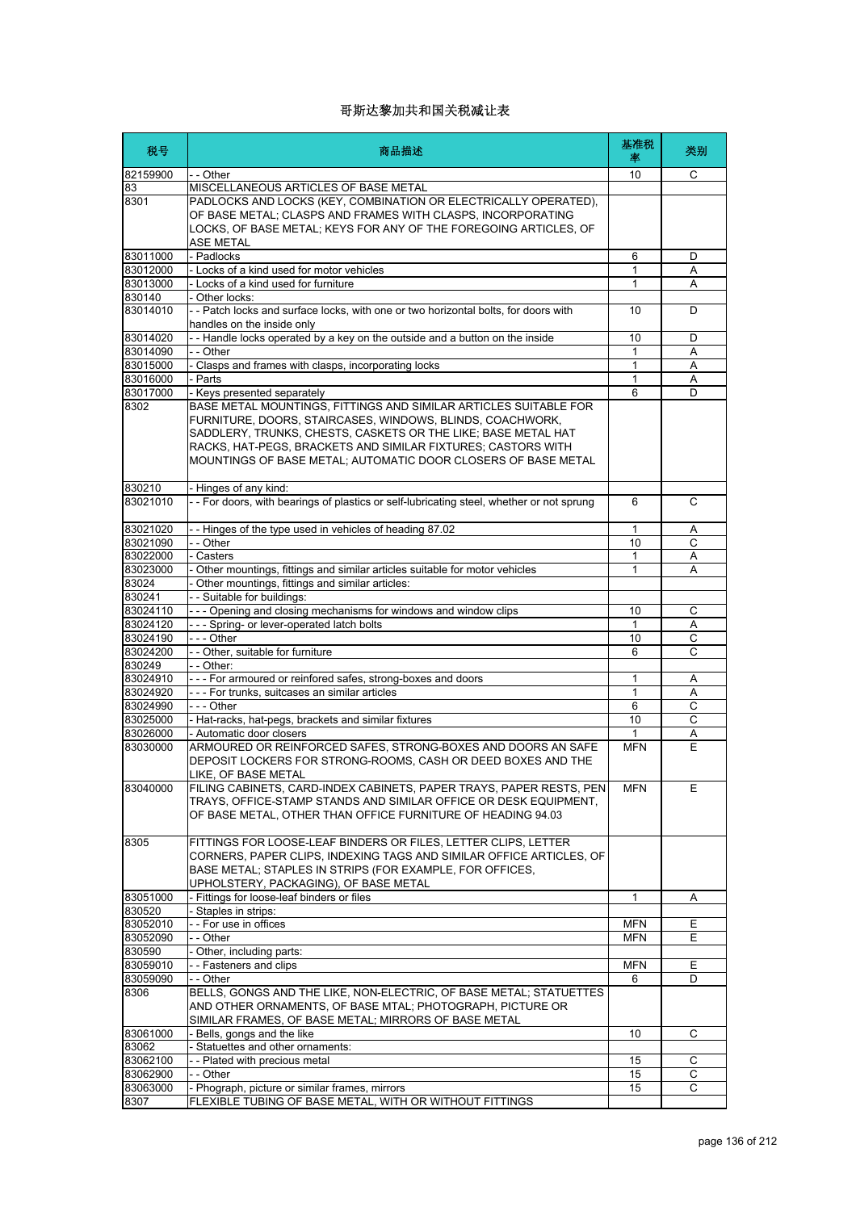| 税号                   | 商品描述                                                                                      | 基准税<br>率   | 类别                  |
|----------------------|-------------------------------------------------------------------------------------------|------------|---------------------|
| 82159900             | - - Other                                                                                 | 10         | C                   |
| 83                   | MISCELLANEOUS ARTICLES OF BASE METAL                                                      |            |                     |
| 8301                 | PADLOCKS AND LOCKS (KEY, COMBINATION OR ELECTRICALLY OPERATED),                           |            |                     |
|                      | OF BASE METAL; CLASPS AND FRAMES WITH CLASPS, INCORPORATING                               |            |                     |
|                      | LOCKS, OF BASE METAL; KEYS FOR ANY OF THE FOREGOING ARTICLES, OF                          |            |                     |
|                      | ASE METAL                                                                                 |            |                     |
| 83011000             | - Padlocks                                                                                | 6          | D                   |
| 83012000<br>83013000 | - Locks of a kind used for motor vehicles<br>- Locks of a kind used for furniture         | 1<br>1     | Α<br>A              |
| 830140               | - Other locks:                                                                            |            |                     |
| 83014010             | - - Patch locks and surface locks, with one or two horizontal bolts, for doors with       | 10         | D                   |
|                      | handles on the inside only                                                                |            |                     |
| 83014020             | -- Handle locks operated by a key on the outside and a button on the inside               | 10         | D                   |
| 83014090             | - - Other                                                                                 | 1          | A                   |
| 83015000             | - Clasps and frames with clasps, incorporating locks                                      | 1          | Α                   |
| 83016000             | - Parts                                                                                   | 1          | Α                   |
| 83017000             | - Keys presented separately                                                               | 6          | D                   |
| 8302                 | BASE METAL MOUNTINGS, FITTINGS AND SIMILAR ARTICLES SUITABLE FOR                          |            |                     |
|                      | FURNITURE, DOORS, STAIRCASES, WINDOWS, BLINDS, COACHWORK,                                 |            |                     |
|                      | SADDLERY, TRUNKS, CHESTS, CASKETS OR THE LIKE; BASE METAL HAT                             |            |                     |
|                      | RACKS, HAT-PEGS, BRACKETS AND SIMILAR FIXTURES; CASTORS WITH                              |            |                     |
|                      | MOUNTINGS OF BASE METAL; AUTOMATIC DOOR CLOSERS OF BASE METAL                             |            |                     |
|                      |                                                                                           |            |                     |
| 830210               | - Hinges of any kind:                                                                     |            |                     |
| 83021010             | - - For doors, with bearings of plastics or self-lubricating steel, whether or not sprung | 6          | C                   |
| 83021020             |                                                                                           |            |                     |
| 83021090             | -- Hinges of the type used in vehicles of heading 87.02<br>- - Other                      | 1<br>10    | Α<br>$\overline{C}$ |
| 83022000             | - Casters                                                                                 | 1          | Α                   |
| 83023000             | - Other mountings, fittings and similar articles suitable for motor vehicles              | 1          | A                   |
| 83024                | Other mountings, fittings and similar articles:                                           |            |                     |
| 830241               | - - Suitable for buildings:                                                               |            |                     |
| 83024110             | --- Opening and closing mechanisms for windows and window clips                           | 10         | C                   |
| 83024120             | --- Spring- or lever-operated latch bolts                                                 | 1          | Α                   |
| 83024190             | $- -$ Other                                                                               | 10         | C                   |
| 83024200             | - - Other, suitable for furniture                                                         | 6          | C                   |
| 830249               | - - Other:                                                                                |            |                     |
| 83024910             | --- For armoured or reinfored safes, strong-boxes and doors                               | 1          | Α                   |
| 83024920             | --- For trunks, suitcases an similar articles                                             | 1          | Α                   |
| 83024990             | --- Other                                                                                 | 6          | С                   |
| 83025000             | - Hat-racks, hat-pegs, brackets and similar fixtures                                      | 10         | C                   |
| 83026000             | - Automatic door closers                                                                  | 1          | Α                   |
| 83030000             | ARMOURED OR REINFORCED SAFES, STRONG-BOXES AND DOORS AN SAFE                              | <b>MFN</b> | Ε                   |
|                      | DEPOSIT LOCKERS FOR STRONG-ROOMS, CASH OR DEED BOXES AND THE                              |            |                     |
|                      | <b>I IKE OF BASE METAL</b>                                                                |            |                     |
| 83040000             | FILING CABINETS, CARD-INDEX CABINETS, PAPER TRAYS, PAPER RESTS, PEN                       | MFN        | Е                   |
|                      | TRAYS, OFFICE-STAMP STANDS AND SIMILAR OFFICE OR DESK EQUIPMENT,                          |            |                     |
|                      | OF BASE METAL, OTHER THAN OFFICE FURNITURE OF HEADING 94.03                               |            |                     |
| 8305                 | FITTINGS FOR LOOSE-LEAF BINDERS OR FILES, LETTER CLIPS, LETTER                            |            |                     |
|                      | CORNERS, PAPER CLIPS, INDEXING TAGS AND SIMILAR OFFICE ARTICLES, OF                       |            |                     |
|                      | BASE METAL: STAPLES IN STRIPS (FOR EXAMPLE, FOR OFFICES.                                  |            |                     |
|                      | UPHOLSTERY, PACKAGING), OF BASE METAL                                                     |            |                     |
| 83051000             | - Fittings for loose-leaf binders or files                                                | 1          | A                   |
| 830520               | - Staples in strips:                                                                      |            |                     |
| 83052010             | -- For use in offices                                                                     | <b>MFN</b> | E.                  |
| 83052090             | - - Other                                                                                 | <b>MFN</b> | E                   |
| 830590               | - Other, including parts:                                                                 |            |                     |
| 83059010             | - - Fasteners and clips                                                                   | <b>MFN</b> | Е                   |
| 83059090             | - - Other                                                                                 | 6          | D                   |
| 8306                 | BELLS, GONGS AND THE LIKE, NON-ELECTRIC, OF BASE METAL; STATUETTES                        |            |                     |
|                      | AND OTHER ORNAMENTS, OF BASE MTAL; PHOTOGRAPH, PICTURE OR                                 |            |                     |
|                      | SIMILAR FRAMES, OF BASE METAL; MIRRORS OF BASE METAL                                      |            |                     |
| 83061000             | - Bells, gongs and the like                                                               | 10         | C                   |
| 83062                | - Statuettes and other ornaments:                                                         |            |                     |
| 83062100             | -- Plated with precious metal                                                             | 15         | С                   |
| 83062900             | - - Other                                                                                 | 15         | С                   |
| 83063000             | - Phograph, picture or similar frames, mirrors                                            | 15         | С                   |
| 8307                 | FLEXIBLE TUBING OF BASE METAL, WITH OR WITHOUT FITTINGS                                   |            |                     |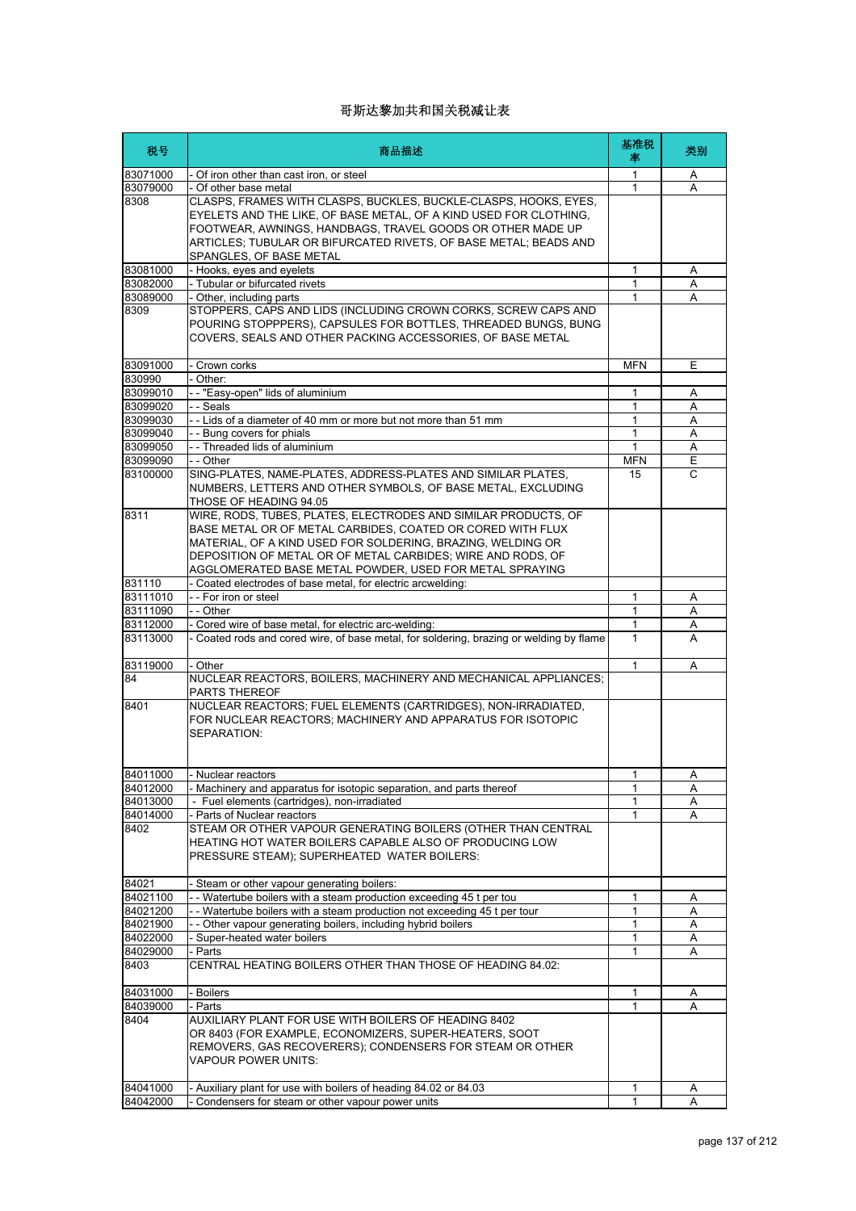| 税号                   | 商品描述                                                                                                                                                                                                                                                                                               | 基准税<br>率          | 类别     |
|----------------------|----------------------------------------------------------------------------------------------------------------------------------------------------------------------------------------------------------------------------------------------------------------------------------------------------|-------------------|--------|
| 83071000             | - Of iron other than cast iron, or steel                                                                                                                                                                                                                                                           | 1                 | A      |
| 83079000             | - Of other base metal                                                                                                                                                                                                                                                                              | 1                 | A      |
| 8308                 | CLASPS, FRAMES WITH CLASPS, BUCKLES, BUCKLE-CLASPS, HOOKS, EYES,<br>EYELETS AND THE LIKE, OF BASE METAL, OF A KIND USED FOR CLOTHING,<br>FOOTWEAR, AWNINGS, HANDBAGS, TRAVEL GOODS OR OTHER MADE UP<br>ARTICLES; TUBULAR OR BIFURCATED RIVETS, OF BASE METAL; BEADS AND<br>SPANGLES, OF BASE METAL |                   |        |
| 83081000             | - Hooks, eyes and eyelets                                                                                                                                                                                                                                                                          | 1                 | Α      |
| 83082000             | - Tubular or bifurcated rivets                                                                                                                                                                                                                                                                     | 1                 | A      |
| 83089000             | - Other, including parts                                                                                                                                                                                                                                                                           | 1                 | A      |
| 8309                 | STOPPERS, CAPS AND LIDS (INCLUDING CROWN CORKS, SCREW CAPS AND<br>POURING STOPPPERS), CAPSULES FOR BOTTLES, THREADED BUNGS, BUNG<br>COVERS, SEALS AND OTHER PACKING ACCESSORIES, OF BASE METAL                                                                                                     |                   |        |
| 83091000             | - Crown corks                                                                                                                                                                                                                                                                                      | <b>MFN</b>        | Ε      |
| 830990               | - Other:                                                                                                                                                                                                                                                                                           |                   |        |
| 83099010             | -- "Easy-open" lids of aluminium                                                                                                                                                                                                                                                                   | 1                 | Α      |
| 83099020             | - - Seals                                                                                                                                                                                                                                                                                          | 1                 | A      |
| 83099030             | -- Lids of a diameter of 40 mm or more but not more than 51 mm                                                                                                                                                                                                                                     | 1                 | A      |
| 83099040             | - - Bung covers for phials                                                                                                                                                                                                                                                                         | 1                 | A      |
| 83099050             | - - Threaded lids of aluminium                                                                                                                                                                                                                                                                     | $\mathbf{1}$      | A      |
| 83099090             | - - Other                                                                                                                                                                                                                                                                                          | <b>MFN</b>        | Ε      |
| 83100000             | SING-PLATES, NAME-PLATES, ADDRESS-PLATES AND SIMILAR PLATES,<br>NUMBERS, LETTERS AND OTHER SYMBOLS, OF BASE METAL, EXCLUDING<br>THOSE OF HEADING 94.05                                                                                                                                             | 15                | C      |
| 8311                 | WIRE, RODS, TUBES, PLATES, ELECTRODES AND SIMILAR PRODUCTS, OF<br>BASE METAL OR OF METAL CARBIDES. COATED OR CORED WITH FLUX<br>MATERIAL, OF A KIND USED FOR SOLDERING, BRAZING, WELDING OR<br>DEPOSITION OF METAL OR OF METAL CARBIDES; WIRE AND RODS, OF                                         |                   |        |
|                      | AGGLOMERATED BASE METAL POWDER, USED FOR METAL SPRAYING                                                                                                                                                                                                                                            |                   |        |
| 831110               | - Coated electrodes of base metal, for electric arcwelding:                                                                                                                                                                                                                                        |                   |        |
| 83111010             | - - For iron or steel                                                                                                                                                                                                                                                                              | 1                 | A      |
| 83111090             | - - Other                                                                                                                                                                                                                                                                                          | 1                 | A      |
| 83112000             | - Cored wire of base metal, for electric arc-welding:                                                                                                                                                                                                                                              | 1                 | Α      |
| 83113000<br>83119000 | - Coated rods and cored wire, of base metal, for soldering, brazing or welding by flame<br>- Other                                                                                                                                                                                                 | $\mathbf{1}$<br>1 | A<br>A |
| 84                   | NUCLEAR REACTORS, BOILERS, MACHINERY AND MECHANICAL APPLIANCES;<br><b>PARTS THEREOF</b>                                                                                                                                                                                                            |                   |        |
| 8401                 | NUCLEAR REACTORS; FUEL ELEMENTS (CARTRIDGES), NON-IRRADIATED,<br>FOR NUCLEAR REACTORS; MACHINERY AND APPARATUS FOR ISOTOPIC<br>SEPARATION:                                                                                                                                                         |                   |        |
| 84011000             | - Nuclear reactors                                                                                                                                                                                                                                                                                 | 1                 | Α      |
| 84012000             | - Machinery and apparatus for isotopic separation, and parts thereof                                                                                                                                                                                                                               | 1                 | Α      |
| 84013000             | - Fuel elements (cartridges), non-irradiated                                                                                                                                                                                                                                                       | 1                 | Α      |
| 84014000             | - Parts of Nuclear reactors                                                                                                                                                                                                                                                                        | 1                 | Α      |
| 8402                 | STEAM OR OTHER VAPOUR GENERATING BOILERS (OTHER THAN CENTRAL<br>HEATING HOT WATER BOILERS CAPABLE ALSO OF PRODUCING LOW<br>PRESSURE STEAM); SUPERHEATED WATER BOILERS:                                                                                                                             |                   |        |
| 84021                | - Steam or other vapour generating boilers:                                                                                                                                                                                                                                                        |                   |        |
| 84021100             | -- Watertube boilers with a steam production exceeding 45 t per tou                                                                                                                                                                                                                                | 1                 | Α      |
| 84021200             | - - Watertube boilers with a steam production not exceeding 45 t per tour                                                                                                                                                                                                                          | 1                 | A      |
| 84021900             | - - Other vapour generating boilers, including hybrid boilers                                                                                                                                                                                                                                      | 1                 | Α      |
| 84022000             | Super-heated water boilers                                                                                                                                                                                                                                                                         | 1                 | Α      |
| 84029000             | - Parts                                                                                                                                                                                                                                                                                            | 1                 | Α      |
| 8403                 | CENTRAL HEATING BOILERS OTHER THAN THOSE OF HEADING 84.02:                                                                                                                                                                                                                                         |                   |        |
| 84031000             | - Boilers                                                                                                                                                                                                                                                                                          | 1                 | A      |
| 84039000             | - Parts                                                                                                                                                                                                                                                                                            | $\mathbf{1}$      | A      |
| 8404                 | AUXILIARY PLANT FOR USE WITH BOILERS OF HEADING 8402<br>OR 8403 (FOR EXAMPLE, ECONOMIZERS, SUPER-HEATERS, SOOT<br>REMOVERS, GAS RECOVERERS); CONDENSERS FOR STEAM OR OTHER<br><b>VAPOUR POWER UNITS:</b>                                                                                           |                   |        |
| 84041000             | - Auxiliary plant for use with boilers of heading 84.02 or 84.03                                                                                                                                                                                                                                   | 1                 | Α      |
| 84042000             | Condensers for steam or other vapour power units                                                                                                                                                                                                                                                   | 1                 | Α      |
|                      |                                                                                                                                                                                                                                                                                                    |                   |        |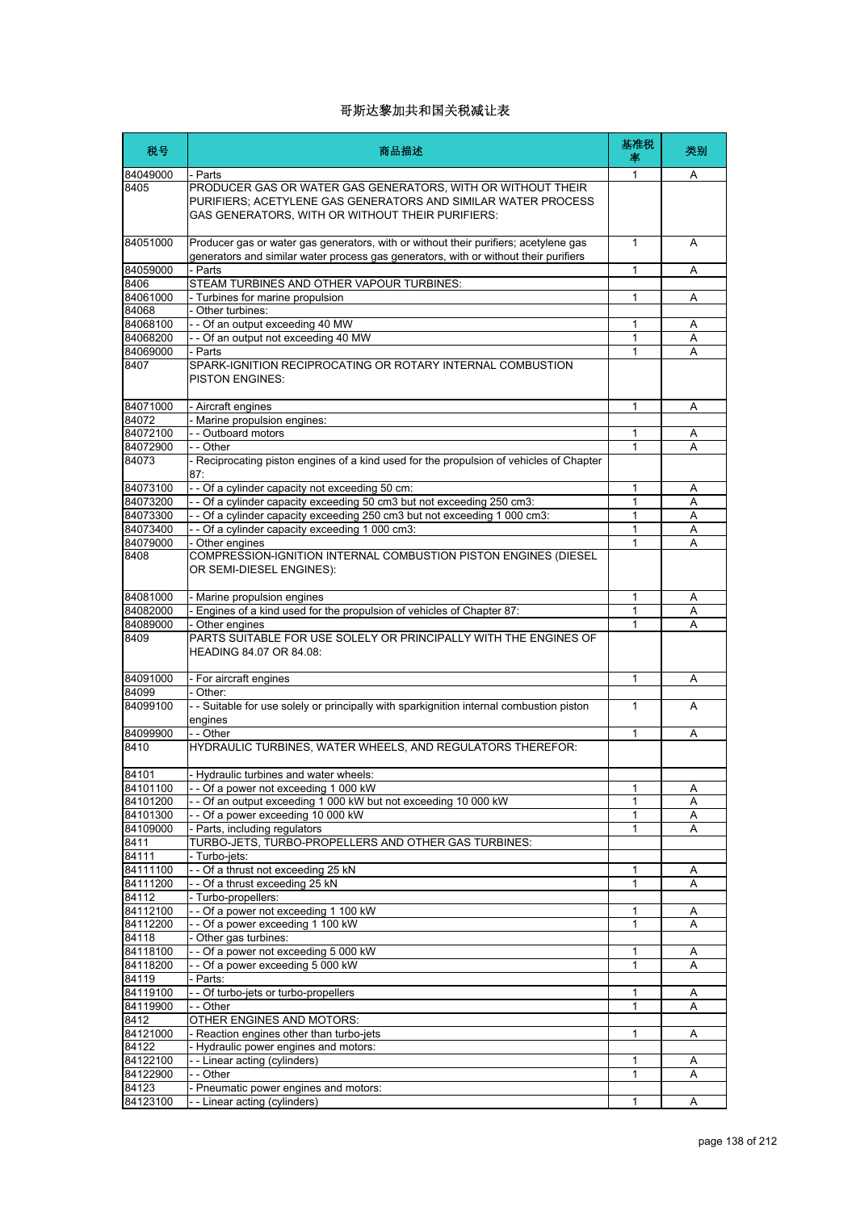| 税号                   | 商品描述                                                                                                                                                                                        | 基准税<br>率     | 类别     |
|----------------------|---------------------------------------------------------------------------------------------------------------------------------------------------------------------------------------------|--------------|--------|
| 84049000<br>8405     | - Parts<br>PRODUCER GAS OR WATER GAS GENERATORS, WITH OR WITHOUT THEIR<br>PURIFIERS; ACETYLENE GAS GENERATORS AND SIMILAR WATER PROCESS<br>GAS GENERATORS, WITH OR WITHOUT THEIR PURIFIERS: | 1            | Α      |
| 84051000             | Producer gas or water gas generators, with or without their purifiers; acetylene gas<br>generators and similar water process gas generators, with or without their purifiers                | $\mathbf{1}$ | A      |
| 84059000             | - Parts                                                                                                                                                                                     | 1            | Α      |
| 8406                 | STEAM TURBINES AND OTHER VAPOUR TURBINES:                                                                                                                                                   |              |        |
| 84061000<br>84068    | - Turbines for marine propulsion<br>- Other turbines:                                                                                                                                       | 1            | Α      |
| 84068100             | - - Of an output exceeding 40 MW                                                                                                                                                            | 1            | A      |
| 84068200             | -- Of an output not exceeding 40 MW                                                                                                                                                         | 1            | Α      |
| 84069000             | - Parts                                                                                                                                                                                     | 1            | A      |
| 8407                 | SPARK-IGNITION RECIPROCATING OR ROTARY INTERNAL COMBUSTION<br><b>PISTON ENGINES:</b>                                                                                                        |              |        |
| 84071000             | - Aircraft engines                                                                                                                                                                          | 1            | Α      |
| 84072                | - Marine propulsion engines:                                                                                                                                                                |              |        |
| 84072100             | -- Outboard motors                                                                                                                                                                          | 1            | Α      |
| 84072900             | - - Other                                                                                                                                                                                   | 1            | А      |
| 84073                | - Reciprocating piston engines of a kind used for the propulsion of vehicles of Chapter<br>87:                                                                                              |              |        |
| 84073100             | - - Of a cylinder capacity not exceeding 50 cm:                                                                                                                                             | 1            | Α      |
| 84073200<br>84073300 | - - Of a cylinder capacity exceeding 50 cm3 but not exceeding 250 cm3:<br>- - Of a cylinder capacity exceeding 250 cm3 but not exceeding 1 000 cm3:                                         | 1<br>1       | Α<br>A |
| 84073400             | - - Of a cylinder capacity exceeding 1 000 cm3:                                                                                                                                             | 1            | Α      |
| 84079000             | - Other engines                                                                                                                                                                             | 1            | Α      |
| 8408                 | COMPRESSION-IGNITION INTERNAL COMBUSTION PISTON ENGINES (DIESEL<br>OR SEMI-DIESEL ENGINES):                                                                                                 |              |        |
| 84081000             | - Marine propulsion engines                                                                                                                                                                 | 1            | Α      |
| 84082000             | Engines of a kind used for the propulsion of vehicles of Chapter 87:                                                                                                                        | 1            | Α      |
| 84089000<br>8409     | Other engines<br>PARTS SUITABLE FOR USE SOLELY OR PRINCIPALLY WITH THE ENGINES OF<br><b>HEADING 84.07 OR 84.08:</b>                                                                         | 1            | Α      |
| 84091000             | - For aircraft engines                                                                                                                                                                      | 1            | Α      |
| 84099                | Other:                                                                                                                                                                                      |              |        |
| 84099100             | - - Suitable for use solely or principally with sparkignition internal combustion piston<br>engines                                                                                         | 1            | A      |
| 84099900             | $-$ - Other                                                                                                                                                                                 | $\mathbf{1}$ | Α      |
| 8410                 | HYDRAULIC TURBINES, WATER WHEELS, AND REGULATORS THEREFOR:                                                                                                                                  |              |        |
| 84101                | Hydraulic turbines and water wheels:                                                                                                                                                        |              |        |
| 84101100             | -- Of a power not exceeding 1 000 kW                                                                                                                                                        | 1            | Α      |
| 84101200             | - - Of an output exceeding 1 000 kW but not exceeding 10 000 kW                                                                                                                             | 1            | Α      |
| 84101300<br>84109000 | -- Of a power exceeding 10 000 kW<br>- Parts, including regulators                                                                                                                          | 1<br>1       | Α<br>Α |
| 8411                 | TURBO-JETS, TURBO-PROPELLERS AND OTHER GAS TURBINES:                                                                                                                                        |              |        |
| 84111                | - Turbo-jets:                                                                                                                                                                               |              |        |
| 84111100             | -- Of a thrust not exceeding 25 kN                                                                                                                                                          | 1            | Α      |
| 84111200             | - - Of a thrust exceeding 25 kN                                                                                                                                                             | 1            | Α      |
| 84112                | - Turbo-propellers:                                                                                                                                                                         |              |        |
| 84112100             | -- Of a power not exceeding 1 100 kW                                                                                                                                                        | 1            | Α      |
| 84112200             | -- Of a power exceeding 1 100 kW                                                                                                                                                            | 1            | Α      |
| 84118                | - Other gas turbines:                                                                                                                                                                       |              |        |
| 84118100<br>84118200 | -- Of a power not exceeding 5 000 kW<br>- - Of a power exceeding 5 000 kW                                                                                                                   | 1<br>1       | Α<br>Α |
| 84119                | - Parts:                                                                                                                                                                                    |              |        |
| 84119100             | - - Of turbo-jets or turbo-propellers                                                                                                                                                       | 1            | Α      |
| 84119900             | - - Other                                                                                                                                                                                   | 1            | Α      |
| 8412                 | OTHER ENGINES AND MOTORS:                                                                                                                                                                   |              |        |
| 84121000             | Reaction engines other than turbo-jets                                                                                                                                                      | 1            | Α      |
| 84122                | - Hydraulic power engines and motors:                                                                                                                                                       |              |        |
| 84122100             | - - Linear acting (cylinders)                                                                                                                                                               | 1            | Α      |
| 84122900<br>84123    | - - Other<br>- Pneumatic power engines and motors:                                                                                                                                          | 1            | Α      |
| 84123100             | -- Linear acting (cylinders)                                                                                                                                                                | 1            | Α      |
|                      |                                                                                                                                                                                             |              |        |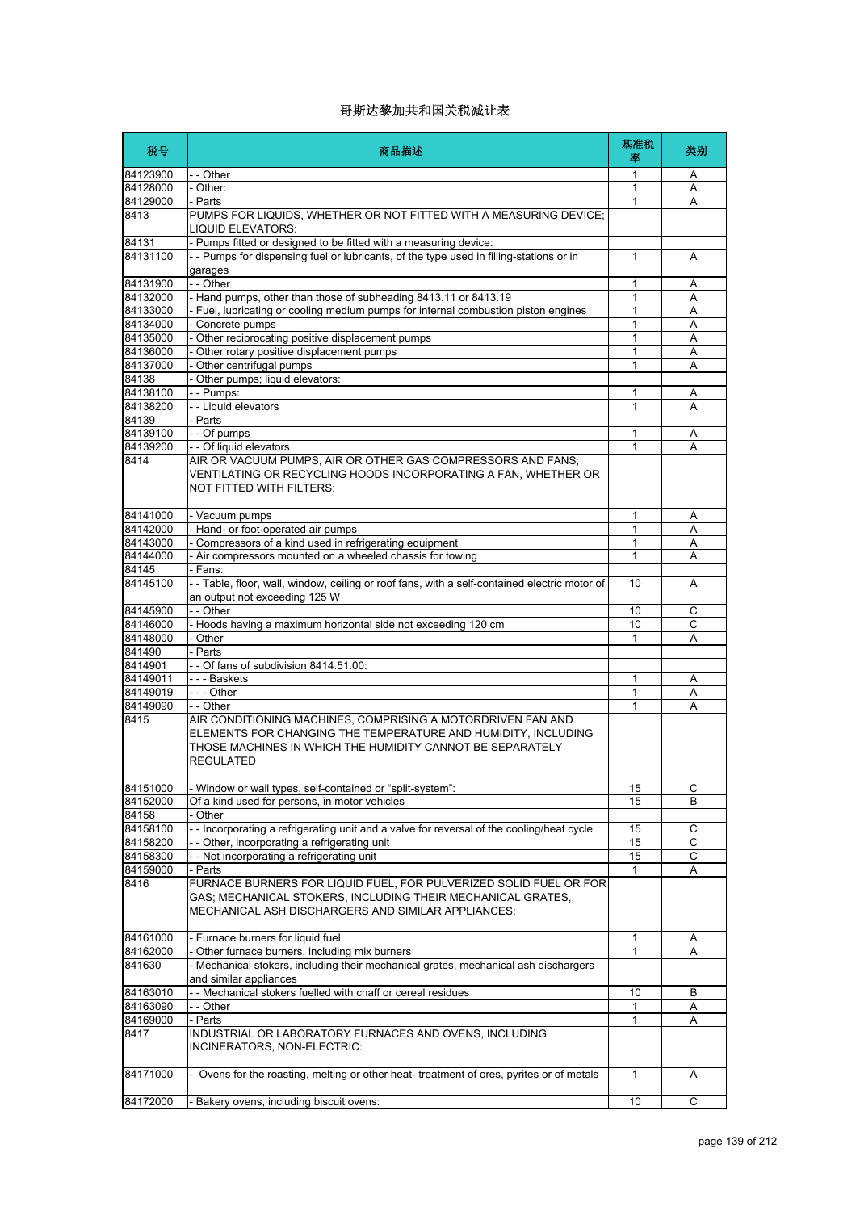| 税号                   | 商品描述                                                                                                                                                                                                   | 基准税<br>塞          | 类别 |
|----------------------|--------------------------------------------------------------------------------------------------------------------------------------------------------------------------------------------------------|-------------------|----|
| 84123900             | - - Other                                                                                                                                                                                              | 1                 | Α  |
| 84128000             | - Other:                                                                                                                                                                                               | 1                 | A  |
| 84129000             | - Parts                                                                                                                                                                                                | 1                 | А  |
| 8413                 | PUMPS FOR LIQUIDS, WHETHER OR NOT FITTED WITH A MEASURING DEVICE;<br>LIQUID ELEVATORS:                                                                                                                 |                   |    |
| 84131                | - Pumps fitted or designed to be fitted with a measuring device:                                                                                                                                       |                   |    |
| 84131100             | -- Pumps for dispensing fuel or lubricants, of the type used in filling-stations or in<br>garages                                                                                                      | 1                 | A  |
| 84131900             | $ -$ Other                                                                                                                                                                                             | 1                 | A  |
| 84132000             | - Hand pumps, other than those of subheading 8413.11 or 8413.19                                                                                                                                        | 1                 | Α  |
| 84133000             | - Fuel, lubricating or cooling medium pumps for internal combustion piston engines                                                                                                                     | 1                 | A  |
| 84134000             | - Concrete pumps                                                                                                                                                                                       | 1                 | Α  |
| 84135000             | - Other reciprocating positive displacement pumps                                                                                                                                                      | $\mathbf{1}$      | A  |
| 84136000             | - Other rotary positive displacement pumps                                                                                                                                                             | 1                 | Α  |
| 84137000             | - Other centrifugal pumps                                                                                                                                                                              | 1                 | А  |
| 84138                | - Other pumps; liquid elevators:                                                                                                                                                                       |                   |    |
| 84138100             | - - Pumps:                                                                                                                                                                                             | 1                 | Α  |
| 84138200             | - - Liquid elevators                                                                                                                                                                                   | 1                 | Α  |
| 84139                | - Parts                                                                                                                                                                                                |                   |    |
| 84139100<br>84139200 | - - Of pumps                                                                                                                                                                                           | 1<br>$\mathbf{1}$ | Α  |
| 8414                 | - - Of liquid elevators<br>AIR OR VACUUM PUMPS, AIR OR OTHER GAS COMPRESSORS AND FANS;                                                                                                                 |                   | A  |
|                      | VENTILATING OR RECYCLING HOODS INCORPORATING A FAN, WHETHER OR<br>NOT FITTED WITH FILTERS:                                                                                                             |                   |    |
| 84141000             | - Vacuum pumps                                                                                                                                                                                         | 1                 | Α  |
| 84142000             | - Hand- or foot-operated air pumps                                                                                                                                                                     | 1                 | Α  |
| 84143000             | - Compressors of a kind used in refrigerating equipment                                                                                                                                                | 1                 | A  |
| 84144000             | - Air compressors mounted on a wheeled chassis for towing                                                                                                                                              | 1                 | Α  |
| 84145                | - Fans:                                                                                                                                                                                                |                   |    |
| 84145100             | -- Table, floor, wall, window, ceiling or roof fans, with a self-contained electric motor of<br>an output not exceeding 125 W                                                                          | 10                | A  |
| 84145900             | - - Other                                                                                                                                                                                              | 10                | C  |
| 84146000             | - Hoods having a maximum horizontal side not exceeding 120 cm                                                                                                                                          | 10                | C  |
| 84148000             | - Other                                                                                                                                                                                                | $\mathbf{1}$      | A  |
| 841490               | - Parts                                                                                                                                                                                                |                   |    |
| 8414901              | -- Of fans of subdivision 8414.51.00:                                                                                                                                                                  |                   |    |
| 84149011             | --- Baskets                                                                                                                                                                                            | 1                 | Α  |
| 84149019             | --- Other                                                                                                                                                                                              | 1                 | Α  |
| 84149090             | - - Other                                                                                                                                                                                              | 1                 | А  |
| 8415                 | AIR CONDITIONING MACHINES, COMPRISING A MOTORDRIVEN FAN AND<br>ELEMENTS FOR CHANGING THE TEMPERATURE AND HUMIDITY, INCLUDING<br>THOSE MACHINES IN WHICH THE HUMIDITY CANNOT BE SEPARATELY<br>REGULATED |                   |    |
| 84151000             | - Window or wall types, self-contained or "split-system":                                                                                                                                              | 15                | С  |
| 84152000             | Of a kind used for persons, in motor vehicles                                                                                                                                                          | 15                | B  |
| 84158                | - Other                                                                                                                                                                                                |                   |    |
| 84158100             | -- Incorporating a refrigerating unit and a valve for reversal of the cooling/heat cycle                                                                                                               | 15                | С  |
| 84158200             | -- Other, incorporating a refrigerating unit                                                                                                                                                           | 15                | C  |
| 84158300             | -- Not incorporating a refrigerating unit                                                                                                                                                              | 15                | С  |
| 84159000             | - Parts                                                                                                                                                                                                | $\mathbf{1}$      | Α  |
| 8416                 | FURNACE BURNERS FOR LIQUID FUEL, FOR PULVERIZED SOLID FUEL OR FOR<br>GAS; MECHANICAL STOKERS, INCLUDING THEIR MECHANICAL GRATES,<br>MECHANICAL ASH DISCHARGERS AND SIMILAR APPLIANCES:                 |                   |    |
| 84161000             | - Furnace burners for liquid fuel                                                                                                                                                                      | 1                 | A  |
| 84162000             | - Other furnace burners, including mix burners                                                                                                                                                         | 1                 | A  |
| 841630               | - Mechanical stokers, including their mechanical grates, mechanical ash dischargers<br>and similar appliances                                                                                          |                   |    |
| 84163010             | - - Mechanical stokers fuelled with chaff or cereal residues                                                                                                                                           | 10                | B  |
| 84163090             | - - Other                                                                                                                                                                                              | 1                 | Α  |
| 84169000             | - Parts                                                                                                                                                                                                | 1                 | Α  |
| 8417                 | INDUSTRIAL OR LABORATORY FURNACES AND OVENS, INCLUDING<br>INCINERATORS, NON-ELECTRIC:                                                                                                                  |                   |    |
| 84171000             | - Ovens for the roasting, melting or other heat- treatment of ores, pyrites or of metals                                                                                                               | $\mathbf{1}$      | Α  |
| 84172000             | Bakery ovens, including biscuit ovens:                                                                                                                                                                 | 10                | С  |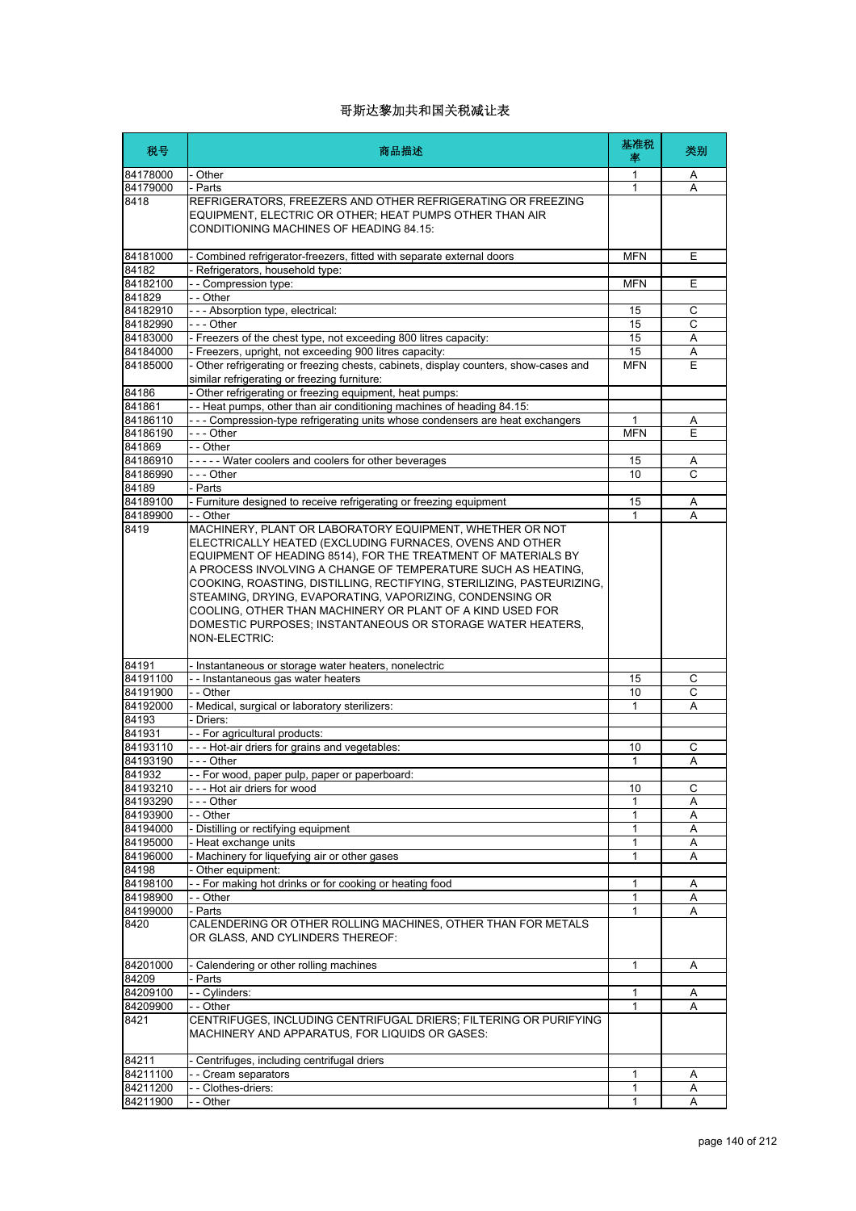| 税号                 | 商品描述                                                                                                                                                                                                                                                                                                                                                                                                                                                                                                                                          | 基准税<br>率     | 类别             |
|--------------------|-----------------------------------------------------------------------------------------------------------------------------------------------------------------------------------------------------------------------------------------------------------------------------------------------------------------------------------------------------------------------------------------------------------------------------------------------------------------------------------------------------------------------------------------------|--------------|----------------|
| 84178000           | - Other                                                                                                                                                                                                                                                                                                                                                                                                                                                                                                                                       | 1            | A              |
| 84179000           | - Parts                                                                                                                                                                                                                                                                                                                                                                                                                                                                                                                                       | 1            | A              |
| 8418               | REFRIGERATORS, FREEZERS AND OTHER REFRIGERATING OR FREEZING<br>EQUIPMENT, ELECTRIC OR OTHER; HEAT PUMPS OTHER THAN AIR<br>CONDITIONING MACHINES OF HEADING 84.15:                                                                                                                                                                                                                                                                                                                                                                             |              |                |
| 84181000           | Combined refrigerator-freezers, fitted with separate external doors                                                                                                                                                                                                                                                                                                                                                                                                                                                                           | <b>MFN</b>   | Ε              |
| 84182              | Refrigerators, household type:                                                                                                                                                                                                                                                                                                                                                                                                                                                                                                                |              |                |
| 84182100<br>841829 | -- Compression type:<br>- - Other                                                                                                                                                                                                                                                                                                                                                                                                                                                                                                             | <b>MFN</b>   | Ε              |
| 84182910           | --- Absorption type, electrical:                                                                                                                                                                                                                                                                                                                                                                                                                                                                                                              | 15           | C              |
| 84182990           | $- -$ Other                                                                                                                                                                                                                                                                                                                                                                                                                                                                                                                                   | 15           | С              |
| 84183000           | - Freezers of the chest type, not exceeding 800 litres capacity:                                                                                                                                                                                                                                                                                                                                                                                                                                                                              | 15           | Α              |
| 84184000           | Freezers, upright, not exceeding 900 litres capacity:                                                                                                                                                                                                                                                                                                                                                                                                                                                                                         | 15           | A              |
| 84185000           | Other refrigerating or freezing chests, cabinets, display counters, show-cases and<br>similar refrigerating or freezing furniture:                                                                                                                                                                                                                                                                                                                                                                                                            | MFN          | Ε              |
| 84186              | Other refrigerating or freezing equipment, heat pumps:                                                                                                                                                                                                                                                                                                                                                                                                                                                                                        |              |                |
| 841861             | - Heat pumps, other than air conditioning machines of heading 84.15:                                                                                                                                                                                                                                                                                                                                                                                                                                                                          |              |                |
| 84186110           | --- Compression-type refrigerating units whose condensers are heat exchangers                                                                                                                                                                                                                                                                                                                                                                                                                                                                 | $\mathbf{1}$ | Α              |
| 84186190           | - - - Other                                                                                                                                                                                                                                                                                                                                                                                                                                                                                                                                   | <b>MFN</b>   | Ε              |
| 841869<br>84186910 | - - Other<br>----- Water coolers and coolers for other beverages                                                                                                                                                                                                                                                                                                                                                                                                                                                                              | 15           |                |
| 84186990           | - - - Other                                                                                                                                                                                                                                                                                                                                                                                                                                                                                                                                   | 10           | Α<br>C         |
| 84189              | - Parts                                                                                                                                                                                                                                                                                                                                                                                                                                                                                                                                       |              |                |
| 84189100           | - Furniture designed to receive refrigerating or freezing equipment                                                                                                                                                                                                                                                                                                                                                                                                                                                                           | 15           | Α              |
| 84189900           | - - Other                                                                                                                                                                                                                                                                                                                                                                                                                                                                                                                                     |              | A              |
| 8419               | MACHINERY, PLANT OR LABORATORY EQUIPMENT, WHETHER OR NOT<br>ELECTRICALLY HEATED (EXCLUDING FURNACES, OVENS AND OTHER<br>EQUIPMENT OF HEADING 8514), FOR THE TREATMENT OF MATERIALS BY<br>A PROCESS INVOLVING A CHANGE OF TEMPERATURE SUCH AS HEATING.<br>COOKING, ROASTING, DISTILLING, RECTIFYING, STERILIZING, PASTEURIZING,<br>STEAMING, DRYING, EVAPORATING, VAPORIZING, CONDENSING OR<br>COOLING, OTHER THAN MACHINERY OR PLANT OF A KIND USED FOR<br>DOMESTIC PURPOSES; INSTANTANEOUS OR STORAGE WATER HEATERS,<br><b>NON-ELECTRIC:</b> |              |                |
| 84191              | - Instantaneous or storage water heaters, nonelectric                                                                                                                                                                                                                                                                                                                                                                                                                                                                                         |              |                |
| 84191100           | -- Instantaneous gas water heaters                                                                                                                                                                                                                                                                                                                                                                                                                                                                                                            | 15           | С              |
| 84191900           | $ \overline{Other}$                                                                                                                                                                                                                                                                                                                                                                                                                                                                                                                           | 10           | $\overline{c}$ |
| 84192000           | - Medical, surgical or laboratory sterilizers:                                                                                                                                                                                                                                                                                                                                                                                                                                                                                                | 1            | A              |
| 84193              | Driers:                                                                                                                                                                                                                                                                                                                                                                                                                                                                                                                                       |              |                |
| 841931             | - - For agricultural products:                                                                                                                                                                                                                                                                                                                                                                                                                                                                                                                |              |                |
| 84193110           | --- Hot-air driers for grains and vegetables:<br>--- Other                                                                                                                                                                                                                                                                                                                                                                                                                                                                                    | 10           | С              |
| 84193190<br>841932 | -- For wood, paper pulp, paper or paperboard:                                                                                                                                                                                                                                                                                                                                                                                                                                                                                                 | $\mathbf{1}$ | A              |
| 84193210           | --- Hot air driers for wood                                                                                                                                                                                                                                                                                                                                                                                                                                                                                                                   | 10           | С              |
| 84193290           | - - - Other                                                                                                                                                                                                                                                                                                                                                                                                                                                                                                                                   | 1            | Α              |
| 84193900           | - - Other                                                                                                                                                                                                                                                                                                                                                                                                                                                                                                                                     | 1            | Α              |
| 84194000           | - Distilling or rectifying equipment                                                                                                                                                                                                                                                                                                                                                                                                                                                                                                          | 1            | Α              |
| 84195000           | - Heat exchange units                                                                                                                                                                                                                                                                                                                                                                                                                                                                                                                         | 1            | Α              |
| 84196000           | - Machinery for liquefying air or other gases                                                                                                                                                                                                                                                                                                                                                                                                                                                                                                 | 1            | A              |
| 84198              | Other equipment:                                                                                                                                                                                                                                                                                                                                                                                                                                                                                                                              |              |                |
| 84198100           | - For making hot drinks or for cooking or heating food                                                                                                                                                                                                                                                                                                                                                                                                                                                                                        | 1            | Α              |
| 84198900           | - - Other                                                                                                                                                                                                                                                                                                                                                                                                                                                                                                                                     | 1            | Α              |
| 84199000           | - Parts                                                                                                                                                                                                                                                                                                                                                                                                                                                                                                                                       | 1            | Α              |
| 8420               | CALENDERING OR OTHER ROLLING MACHINES, OTHER THAN FOR METALS<br>OR GLASS, AND CYLINDERS THEREOF:                                                                                                                                                                                                                                                                                                                                                                                                                                              |              |                |
| 84201000           | Calendering or other rolling machines                                                                                                                                                                                                                                                                                                                                                                                                                                                                                                         | $\mathbf{1}$ | Α              |
| 84209              | - Parts                                                                                                                                                                                                                                                                                                                                                                                                                                                                                                                                       |              |                |
| 84209100           | - - Cylinders:                                                                                                                                                                                                                                                                                                                                                                                                                                                                                                                                | 1            | Α              |
| 84209900           | - - Other                                                                                                                                                                                                                                                                                                                                                                                                                                                                                                                                     | 1            | A              |
| 8421               | CENTRIFUGES, INCLUDING CENTRIFUGAL DRIERS; FILTERING OR PURIFYING<br>MACHINERY AND APPARATUS, FOR LIQUIDS OR GASES:                                                                                                                                                                                                                                                                                                                                                                                                                           |              |                |
| 84211              | - Centrifuges, including centrifugal driers                                                                                                                                                                                                                                                                                                                                                                                                                                                                                                   |              |                |
| 84211100           | - - Cream separators                                                                                                                                                                                                                                                                                                                                                                                                                                                                                                                          | 1            | Α              |
| 84211200           | - - Clothes-driers:                                                                                                                                                                                                                                                                                                                                                                                                                                                                                                                           | 1            | Α              |
| 84211900           | - - Other                                                                                                                                                                                                                                                                                                                                                                                                                                                                                                                                     | 1            |                |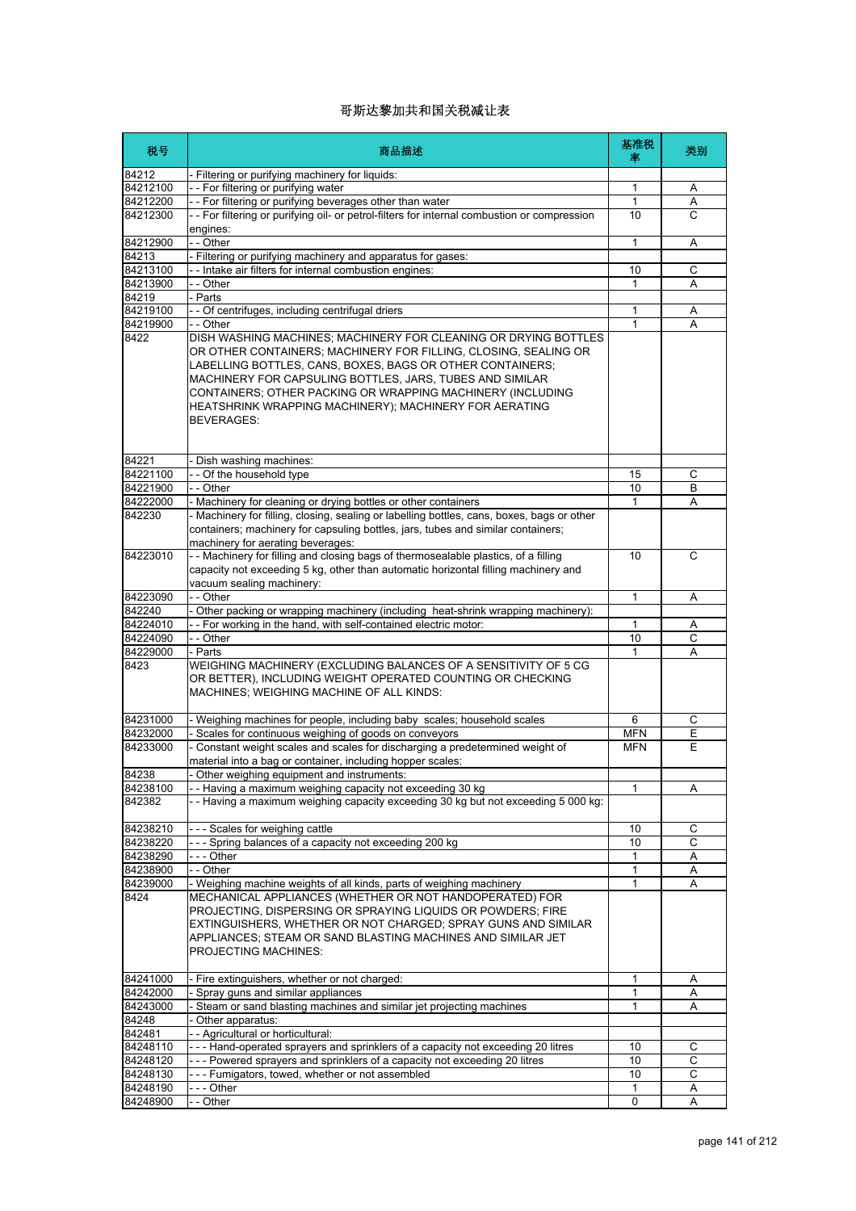| 税号       | 商品描述                                                                                                                                                                                                                                                                                                                                                                                                     | 基准税<br>率   | 类别             |
|----------|----------------------------------------------------------------------------------------------------------------------------------------------------------------------------------------------------------------------------------------------------------------------------------------------------------------------------------------------------------------------------------------------------------|------------|----------------|
| 84212    | Filtering or purifying machinery for liquids:                                                                                                                                                                                                                                                                                                                                                            |            |                |
| 84212100 | -- For filtering or purifying water                                                                                                                                                                                                                                                                                                                                                                      | 1          | Α              |
| 84212200 | - - For filtering or purifying beverages other than water                                                                                                                                                                                                                                                                                                                                                | 1          | Α              |
| 84212300 | -- For filtering or purifying oil- or petrol-filters for internal combustion or compression<br>engines:                                                                                                                                                                                                                                                                                                  | 10         | C              |
| 84212900 | - - Other                                                                                                                                                                                                                                                                                                                                                                                                | 1          | Α              |
| 84213    | Filtering or purifying machinery and apparatus for gases:                                                                                                                                                                                                                                                                                                                                                |            |                |
| 84213100 | - Intake air filters for internal combustion engines:                                                                                                                                                                                                                                                                                                                                                    | 10         | С              |
| 84213900 | - - Other                                                                                                                                                                                                                                                                                                                                                                                                | 1          | A              |
| 84219    | - Parts                                                                                                                                                                                                                                                                                                                                                                                                  |            |                |
| 84219100 | - - Of centrifuges, including centrifugal driers                                                                                                                                                                                                                                                                                                                                                         | 1          | Α              |
| 84219900 | - - Other                                                                                                                                                                                                                                                                                                                                                                                                | 1          | Α              |
| 8422     | DISH WASHING MACHINES; MACHINERY FOR CLEANING OR DRYING BOTTLES<br>OR OTHER CONTAINERS; MACHINERY FOR FILLING, CLOSING, SEALING OR<br>LABELLING BOTTLES, CANS, BOXES, BAGS OR OTHER CONTAINERS;<br>MACHINERY FOR CAPSULING BOTTLES, JARS, TUBES AND SIMILAR<br>CONTAINERS; OTHER PACKING OR WRAPPING MACHINERY (INCLUDING<br>HEATSHRINK WRAPPING MACHINERY); MACHINERY FOR AERATING<br><b>BEVERAGES:</b> |            |                |
| 84221    | - Dish washing machines:                                                                                                                                                                                                                                                                                                                                                                                 |            |                |
| 84221100 | -- Of the household type                                                                                                                                                                                                                                                                                                                                                                                 | 15         | С              |
| 84221900 | - - Other                                                                                                                                                                                                                                                                                                                                                                                                | 10         | B              |
| 84222000 | - Machinery for cleaning or drying bottles or other containers                                                                                                                                                                                                                                                                                                                                           | 1          | A              |
| 842230   | - Machinery for filling, closing, sealing or labelling bottles, cans, boxes, bags or other<br>containers; machinery for capsuling bottles, jars, tubes and similar containers;<br>machinery for aerating beverages:                                                                                                                                                                                      |            |                |
| 84223010 | - - Machinery for filling and closing bags of thermosealable plastics, of a filling<br>capacity not exceeding 5 kg, other than automatic horizontal filling machinery and<br>vacuum sealing machinery:                                                                                                                                                                                                   | 10         | C              |
| 84223090 | - - Other                                                                                                                                                                                                                                                                                                                                                                                                | 1          | Α              |
| 842240   | - Other packing or wrapping machinery (including heat-shrink wrapping machinery):                                                                                                                                                                                                                                                                                                                        |            |                |
| 84224010 | - - For working in the hand, with self-contained electric motor:                                                                                                                                                                                                                                                                                                                                         | 1          | Α              |
| 84224090 | - - Other                                                                                                                                                                                                                                                                                                                                                                                                | 10         | C              |
| 84229000 | - Parts                                                                                                                                                                                                                                                                                                                                                                                                  | 1          | Α              |
| 8423     | WEIGHING MACHINERY (EXCLUDING BALANCES OF A SENSITIVITY OF 5 CG<br>OR BETTER), INCLUDING WEIGHT OPERATED COUNTING OR CHECKING<br>MACHINES; WEIGHING MACHINE OF ALL KINDS:                                                                                                                                                                                                                                |            |                |
| 84231000 | - Weighing machines for people, including baby scales; household scales                                                                                                                                                                                                                                                                                                                                  | 6          | С              |
| 84232000 | Scales for continuous weighing of goods on conveyors                                                                                                                                                                                                                                                                                                                                                     | <b>MFN</b> | E              |
| 84233000 | - Constant weight scales and scales for discharging a predetermined weight of<br>material into a bag or container, including hopper scales:                                                                                                                                                                                                                                                              | <b>MFN</b> | E              |
| 84238    | Other weighing equipment and instruments:                                                                                                                                                                                                                                                                                                                                                                |            |                |
| 84238100 | - Having a maximum weighing capacity not exceeding 30 kg                                                                                                                                                                                                                                                                                                                                                 | 1          | Α              |
| 842382   | -- Having a maximum weighing capacity exceeding 30 kg but not exceeding 5 000 kg:                                                                                                                                                                                                                                                                                                                        |            |                |
| 84238210 | --- Scales for weighing cattle                                                                                                                                                                                                                                                                                                                                                                           | 10         | С              |
| 84238220 | --- Spring balances of a capacity not exceeding 200 kg                                                                                                                                                                                                                                                                                                                                                   | 10         | $\overline{C}$ |
| 84238290 | - - - Other                                                                                                                                                                                                                                                                                                                                                                                              | 1          | Α              |
| 84238900 | - - Other                                                                                                                                                                                                                                                                                                                                                                                                | 1          | Α              |
| 84239000 | - Weighing machine weights of all kinds, parts of weighing machinery                                                                                                                                                                                                                                                                                                                                     | 1          | Α              |
| 8424     | MECHANICAL APPLIANCES (WHETHER OR NOT HANDOPERATED) FOR<br>PROJECTING, DISPERSING OR SPRAYING LIQUIDS OR POWDERS; FIRE<br>EXTINGUISHERS, WHETHER OR NOT CHARGED; SPRAY GUNS AND SIMILAR<br>APPLIANCES; STEAM OR SAND BLASTING MACHINES AND SIMILAR JET<br>PROJECTING MACHINES:                                                                                                                           |            |                |
| 84241000 | - Fire extinguishers, whether or not charged:                                                                                                                                                                                                                                                                                                                                                            | 1          | A              |
| 84242000 | Spray guns and similar appliances                                                                                                                                                                                                                                                                                                                                                                        | 1          | Α              |
| 84243000 | Steam or sand blasting machines and similar jet projecting machines                                                                                                                                                                                                                                                                                                                                      | 1          | Α              |
| 84248    | Other apparatus:                                                                                                                                                                                                                                                                                                                                                                                         |            |                |
| 842481   | - - Agricultural or horticultural:                                                                                                                                                                                                                                                                                                                                                                       |            |                |
| 84248110 | --- Hand-operated sprayers and sprinklers of a capacity not exceeding 20 litres                                                                                                                                                                                                                                                                                                                          | 10         | С              |
| 84248120 | --- Powered sprayers and sprinklers of a capacity not exceeding 20 litres                                                                                                                                                                                                                                                                                                                                | 10         | C              |
| 84248130 | --- Fumigators, towed, whether or not assembled                                                                                                                                                                                                                                                                                                                                                          | 10         | С              |
| 84248190 | -  - - Other                                                                                                                                                                                                                                                                                                                                                                                             | 1          | Α              |
| 84248900 | - - Other                                                                                                                                                                                                                                                                                                                                                                                                | 0          | Α              |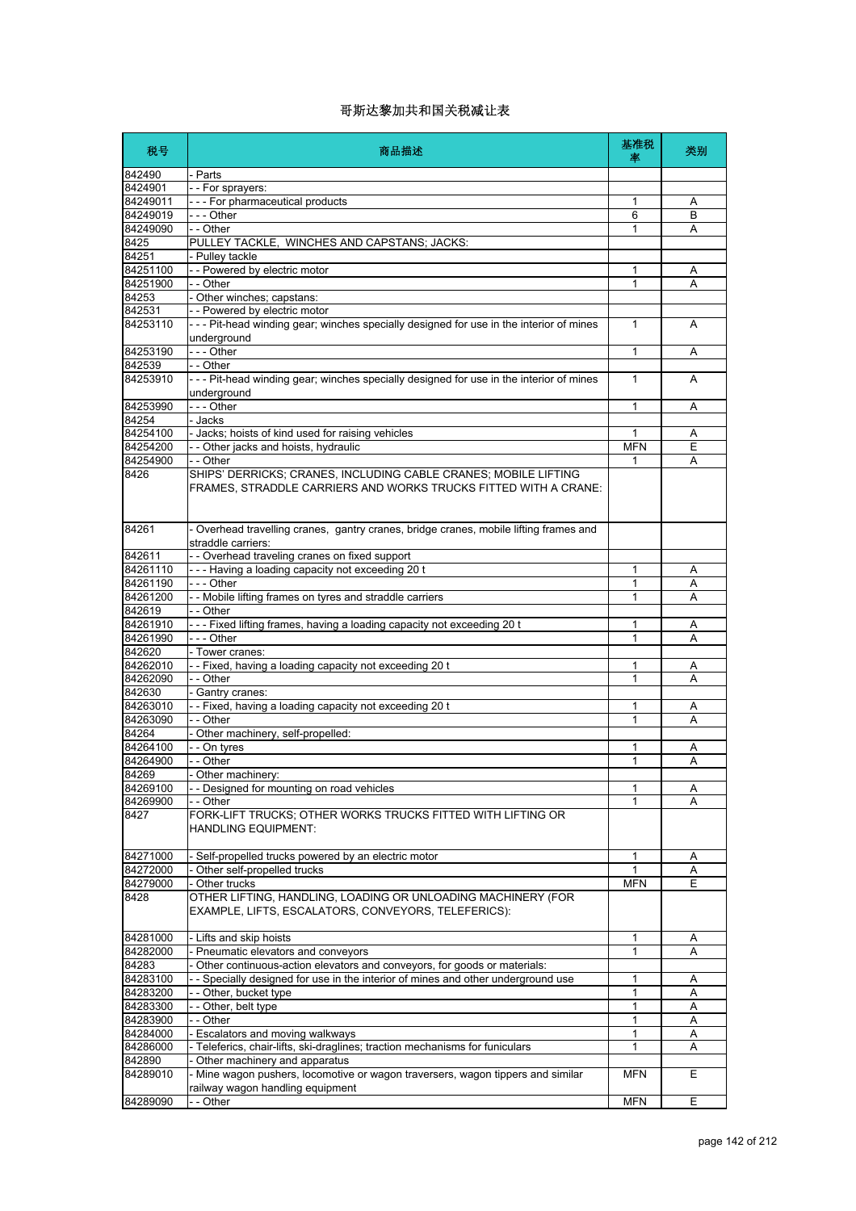| 税号                 | 商品描述                                                                                                                               | 基准税<br>率     | 类别             |
|--------------------|------------------------------------------------------------------------------------------------------------------------------------|--------------|----------------|
| 842490             | - Parts                                                                                                                            |              |                |
| 8424901            | - - For sprayers:                                                                                                                  |              |                |
| 84249011           | - - - For pharmaceutical products                                                                                                  | 1            | A              |
| 84249019           | --- Other                                                                                                                          | 6            | B              |
| 84249090           | - - Other                                                                                                                          | 1            | A              |
| 8425               | PULLEY TACKLE, WINCHES AND CAPSTANS; JACKS:                                                                                        |              |                |
| 84251              | - Pulley tackle                                                                                                                    |              |                |
| 84251100           | - - Powered by electric motor                                                                                                      | 1            | Α              |
| 84251900           | - - Other                                                                                                                          | 1            | A              |
| 84253              | - Other winches; capstans:                                                                                                         |              |                |
| 842531             | -- Powered by electric motor                                                                                                       |              |                |
| 84253110           | --- Pit-head winding gear; winches specially designed for use in the interior of mines                                             | 1            | A              |
|                    | underground<br>--- Other                                                                                                           |              |                |
| 84253190<br>842539 | - - Other                                                                                                                          | $\mathbf{1}$ | A              |
| 84253910           | --- Pit-head winding gear; winches specially designed for use in the interior of mines                                             | 1            | A              |
|                    | underground                                                                                                                        |              |                |
| 84253990           | - - - Other                                                                                                                        | 1            | A              |
| 84254              | - Jacks                                                                                                                            |              |                |
| 84254100           | - Jacks; hoists of kind used for raising vehicles                                                                                  | 1            | Α              |
| 84254200           | - - Other jacks and hoists, hydraulic                                                                                              | <b>MFN</b>   | $\overline{E}$ |
| 84254900           | - - Other                                                                                                                          | 1            | Α              |
| 8426               | SHIPS' DERRICKS; CRANES, INCLUDING CABLE CRANES; MOBILE LIFTING<br>FRAMES, STRADDLE CARRIERS AND WORKS TRUCKS FITTED WITH A CRANE: |              |                |
| 84261              | - Overhead travelling cranes, gantry cranes, bridge cranes, mobile lifting frames and<br>straddle carriers:                        |              |                |
| 842611             | - - Overhead traveling cranes on fixed support                                                                                     |              |                |
| 84261110           | --- Having a loading capacity not exceeding 20 t                                                                                   | 1            | Α              |
| 84261190           | $--$ Other                                                                                                                         | 1            | Α              |
| 84261200           | - - Mobile lifting frames on tyres and straddle carriers                                                                           | 1            | Α              |
| 842619             | - - Other                                                                                                                          |              |                |
| 84261910           | --- Fixed lifting frames, having a loading capacity not exceeding 20 t                                                             | 1            | Α              |
| 84261990           | - - - Other                                                                                                                        | 1            | A              |
| 842620             | - Tower cranes:                                                                                                                    |              |                |
| 84262010           | -- Fixed, having a loading capacity not exceeding 20 t                                                                             | 1            | A              |
| 84262090           | - - Other                                                                                                                          | 1            | Α              |
| 842630<br>84263010 | Gantry cranes:                                                                                                                     |              |                |
| 84263090           | -- Fixed, having a loading capacity not exceeding 20 t<br>- - Other                                                                | 1            | A              |
| 84264              | - Other machinery, self-propelled:                                                                                                 | 1            | Α              |
| 84264100           | - - On tyres                                                                                                                       | 1            |                |
| 84264900           | - - Other                                                                                                                          | 1            | Α<br>Α         |
| 84269              | Other machinery:                                                                                                                   |              |                |
| 84269100           | - - Designed for mounting on road vehicles                                                                                         | 1            | Α              |
| 84269900           | - - Other                                                                                                                          | 1            | A              |
| 8427               | FORK-LIFT TRUCKS; OTHER WORKS TRUCKS FITTED WITH LIFTING OR<br><b>HANDLING EQUIPMENT:</b>                                          |              |                |
| 84271000           | - Self-propelled trucks powered by an electric motor                                                                               | 1            | Α              |
| 84272000           | Other self-propelled trucks                                                                                                        | 1            | Α              |
| 84279000           | - Other trucks                                                                                                                     | <b>MFN</b>   | Ε              |
| 8428               | OTHER LIFTING, HANDLING, LOADING OR UNLOADING MACHINERY (FOR<br>EXAMPLE, LIFTS, ESCALATORS, CONVEYORS, TELEFERICS):                |              |                |
| 84281000           | - Lifts and skip hoists                                                                                                            | 1            | Α              |
| 84282000           | Pneumatic elevators and conveyors                                                                                                  | 1            | Α              |
| 84283              | Other continuous-action elevators and conveyors, for goods or materials:                                                           |              |                |
| 84283100           | - Specially designed for use in the interior of mines and other underground use                                                    | 1            | Α              |
| 84283200           | -- Other, bucket type                                                                                                              | 1            | Α              |
| 84283300           | - - Other, belt type                                                                                                               | 1            | A              |
| 84283900           | - - Other                                                                                                                          | 1            | Α              |
| 84284000           | Escalators and moving walkways                                                                                                     | 1            | Α              |
| 84286000           | - Teleferics, chair-lifts, ski-draglines; traction mechanisms for funiculars                                                       | 1            | Α              |
| 842890             | Other machinery and apparatus                                                                                                      |              |                |
| 84289010           | - Mine wagon pushers, locomotive or wagon traversers, wagon tippers and similar<br>railway wagon handling equipment                | <b>MFN</b>   | Ε              |
| 84289090           | - - Other                                                                                                                          | <b>MFN</b>   | Ε              |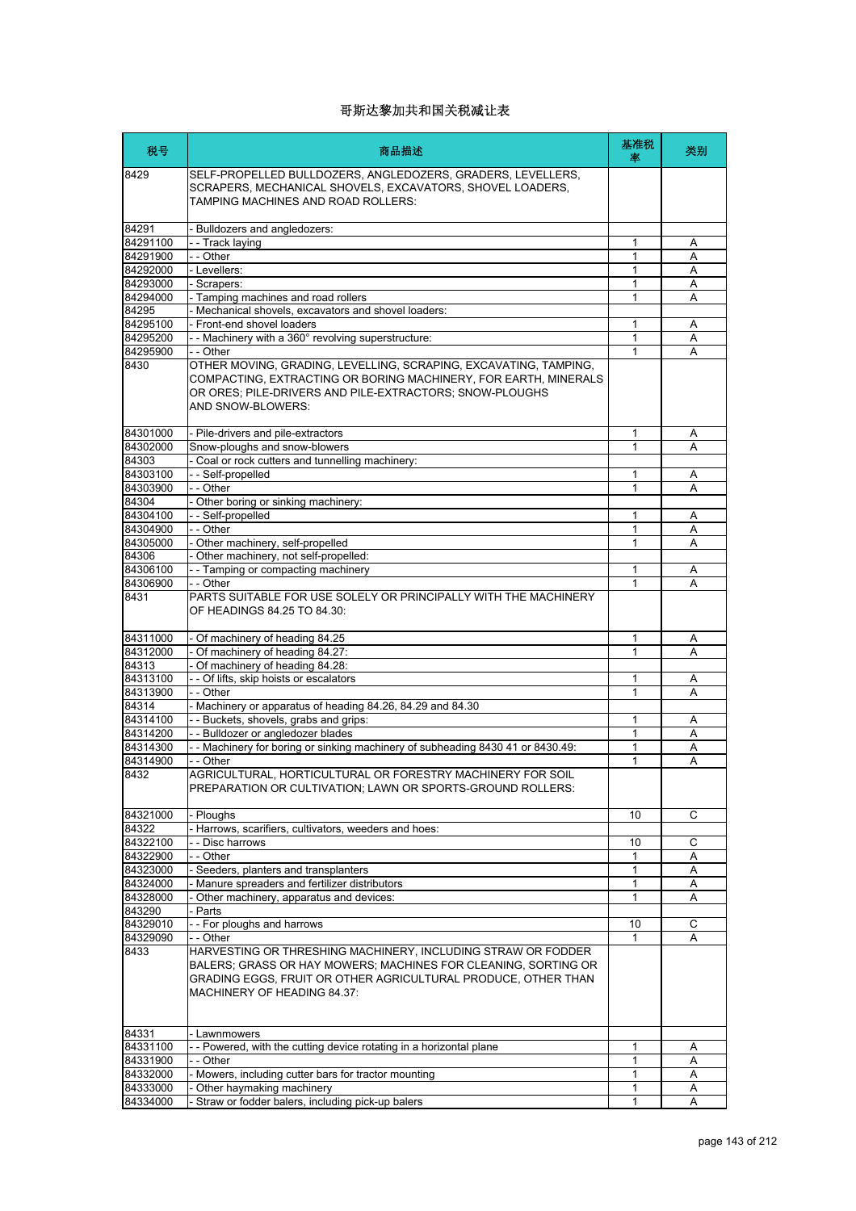| 税号                   | 商品描述                                                                                                                                                                                                                           | 基准税<br>率          | 类别     |
|----------------------|--------------------------------------------------------------------------------------------------------------------------------------------------------------------------------------------------------------------------------|-------------------|--------|
| 8429                 | SELF-PROPELLED BULLDOZERS, ANGLEDOZERS, GRADERS, LEVELLERS,<br>SCRAPERS, MECHANICAL SHOVELS, EXCAVATORS, SHOVEL LOADERS,<br>TAMPING MACHINES AND ROAD ROLLERS:                                                                 |                   |        |
| 84291                | - Bulldozers and angledozers:                                                                                                                                                                                                  |                   |        |
| 84291100             | - - Track laying                                                                                                                                                                                                               | 1                 | Α      |
| 84291900             | $-$ Other                                                                                                                                                                                                                      | 1                 | A      |
| 84292000             | - Levellers:                                                                                                                                                                                                                   | 1                 | A      |
| 84293000             | - Scrapers:                                                                                                                                                                                                                    | 1                 | Α      |
| 84294000<br>84295    | - Tamping machines and road rollers<br>- Mechanical shovels, excavators and shovel loaders:                                                                                                                                    | 1                 | A      |
| 84295100             | - Front-end shovel loaders                                                                                                                                                                                                     | 1                 | Α      |
| 84295200             | - - Machinery with a 360° revolving superstructure:                                                                                                                                                                            | 1                 | Α      |
| 84295900             | - - Other                                                                                                                                                                                                                      | 1                 | A      |
| 8430                 | OTHER MOVING, GRADING, LEVELLING, SCRAPING, EXCAVATING, TAMPING,<br>COMPACTING, EXTRACTING OR BORING MACHINERY, FOR EARTH, MINERALS<br>OR ORES; PILE-DRIVERS AND PILE-EXTRACTORS; SNOW-PLOUGHS<br>AND SNOW-BLOWERS:            |                   |        |
| 84301000             | - Pile-drivers and pile-extractors                                                                                                                                                                                             | 1                 | A      |
| 84302000             | Snow-ploughs and snow-blowers                                                                                                                                                                                                  | 1                 | A      |
| 84303                | - Coal or rock cutters and tunnelling machinery:                                                                                                                                                                               |                   |        |
| 84303100             | -- Self-propelled                                                                                                                                                                                                              | 1                 | A      |
| 84303900             | - - Other                                                                                                                                                                                                                      | 1                 | A      |
| 84304<br>84304100    | - Other boring or sinking machinery:<br>-- Self-propelled                                                                                                                                                                      | 1                 | A      |
| 84304900             | - - Other                                                                                                                                                                                                                      | 1                 | Α      |
| 84305000             | - Other machinery, self-propelled                                                                                                                                                                                              | 1                 | A      |
| 84306                | - Other machinery, not self-propelled:                                                                                                                                                                                         |                   |        |
| 84306100             | - - Tamping or compacting machinery                                                                                                                                                                                            | 1                 | Α      |
| 84306900             | - - Other                                                                                                                                                                                                                      | 1                 |        |
| 8431                 | PARTS SUITABLE FOR USE SOLELY OR PRINCIPALLY WITH THE MACHINERY<br>OF HEADINGS 84.25 TO 84.30:                                                                                                                                 |                   |        |
| 84311000             | - Of machinery of heading 84.25                                                                                                                                                                                                | 1                 | Α      |
| 84312000             | - Of machinery of heading 84.27:                                                                                                                                                                                               | 1                 | A      |
| 84313                | - Of machinery of heading 84.28:                                                                                                                                                                                               |                   |        |
| 84313100             | - - Of lifts, skip hoists or escalators                                                                                                                                                                                        | 1                 | A      |
| 84313900<br>84314    | - - Other<br>- Machinery or apparatus of heading 84.26, 84.29 and 84.30                                                                                                                                                        | 1                 | A      |
| 84314100             | - - Buckets, shovels, grabs and grips:                                                                                                                                                                                         | 1                 | Α      |
| 84314200             | - - Bulldozer or angledozer blades                                                                                                                                                                                             | 1                 | A      |
| 84314300             | - - Machinery for boring or sinking machinery of subheading 8430 41 or 8430.49:                                                                                                                                                | 1                 | Α      |
| 84314900             | - - Other                                                                                                                                                                                                                      | 1                 | Α      |
| 8432                 | AGRICULTURAL, HORTICULTURAL OR FORESTRY MACHINERY FOR SOIL<br>PREPARATION OR CULTIVATION; LAWN OR SPORTS-GROUND ROLLERS:                                                                                                       |                   |        |
| 84321000             | - Ploughs                                                                                                                                                                                                                      | 10                | C      |
| 84322                | - Harrows, scarifiers, cultivators, weeders and hoes:                                                                                                                                                                          |                   |        |
| 84322100             | - - Disc harrows                                                                                                                                                                                                               | 10                | С      |
| 84322900             | - - Other                                                                                                                                                                                                                      | 1                 | Α      |
| 84323000             | - Seeders, planters and transplanters                                                                                                                                                                                          | 1                 | Α      |
| 84324000             | - Manure spreaders and fertilizer distributors<br>Other machinery, apparatus and devices:                                                                                                                                      | 1<br>1            | Α      |
| 84328000<br>843290   | - Parts                                                                                                                                                                                                                        |                   | Α      |
| 84329010             | - - For ploughs and harrows                                                                                                                                                                                                    | 10                | С      |
| 84329090             | - - Other                                                                                                                                                                                                                      |                   | A      |
| 8433                 | HARVESTING OR THRESHING MACHINERY, INCLUDING STRAW OR FODDER<br>BALERS; GRASS OR HAY MOWERS; MACHINES FOR CLEANING, SORTING OR<br>GRADING EGGS, FRUIT OR OTHER AGRICULTURAL PRODUCE, OTHER THAN<br>MACHINERY OF HEADING 84.37: |                   |        |
| 84331                | - Lawnmowers                                                                                                                                                                                                                   |                   |        |
| 84331100             | - - Powered, with the cutting device rotating in a horizontal plane                                                                                                                                                            | 1                 | Α      |
| 84331900<br>84332000 | - - Other                                                                                                                                                                                                                      | 1<br>$\mathbf{1}$ | Α<br>Α |
| 84333000             | - Mowers, including cutter bars for tractor mounting<br>- Other haymaking machinery                                                                                                                                            | 1                 | A      |
| 84334000             | - Straw or fodder balers, including pick-up balers                                                                                                                                                                             | 1                 | A      |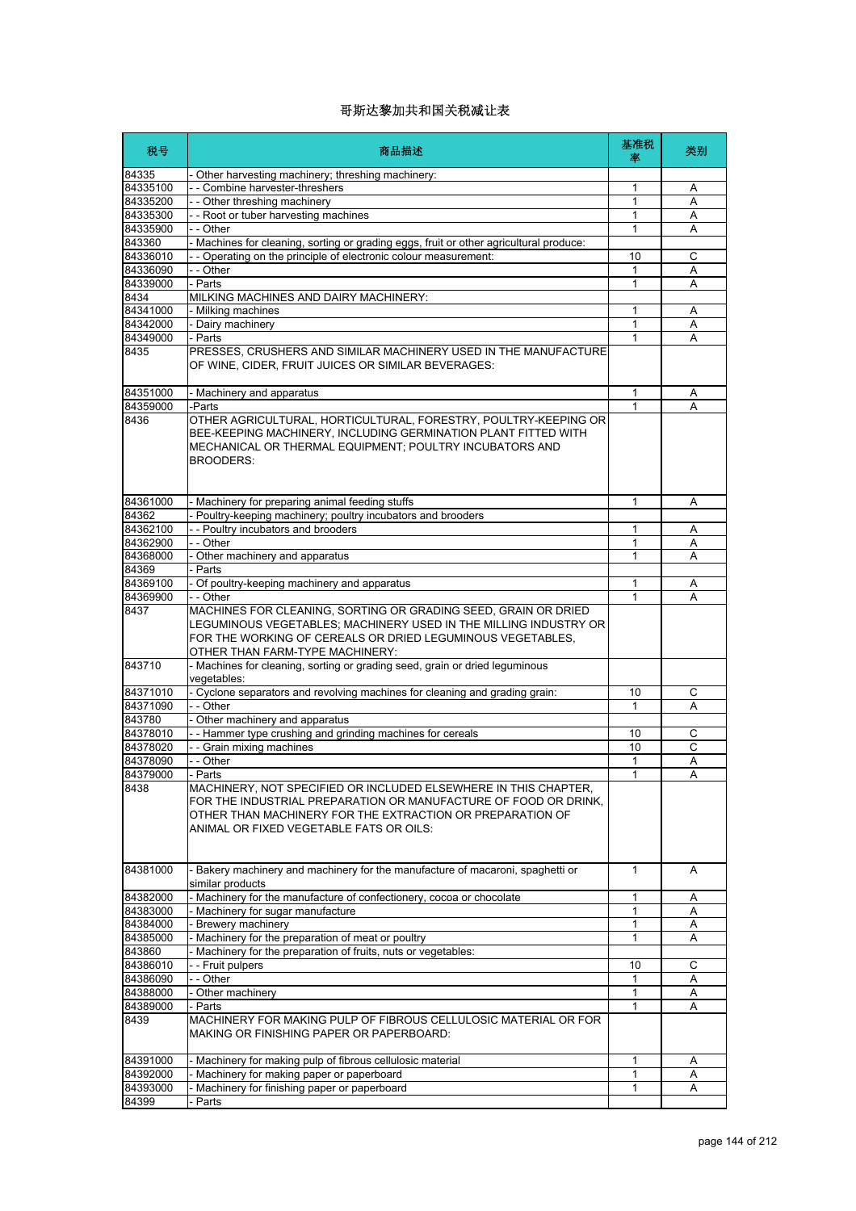| 税号                   | 商品描述                                                                                                                                                                                                                                             | 基准税<br>率          | 类别     |
|----------------------|--------------------------------------------------------------------------------------------------------------------------------------------------------------------------------------------------------------------------------------------------|-------------------|--------|
| 84335                | - Other harvesting machinery; threshing machinery:                                                                                                                                                                                               |                   |        |
| 84335100             | - - Combine harvester-threshers                                                                                                                                                                                                                  | 1                 | Α      |
| 84335200             | - - Other threshing machinery                                                                                                                                                                                                                    | 1                 | Α      |
| 84335300             | -- Root or tuber harvesting machines                                                                                                                                                                                                             | 1                 | A      |
| 84335900             | - - Other                                                                                                                                                                                                                                        | 1                 | Α      |
| 843360               | - Machines for cleaning, sorting or grading eggs, fruit or other agricultural produce:                                                                                                                                                           |                   |        |
| 84336010<br>84336090 | - - Operating on the principle of electronic colour measurement:<br>- - Other                                                                                                                                                                    | 10                | C      |
| 84339000             | - Parts                                                                                                                                                                                                                                          | 1<br>$\mathbf{1}$ | Α<br>Α |
| 8434                 | MILKING MACHINES AND DAIRY MACHINERY:                                                                                                                                                                                                            |                   |        |
| 84341000             | - Milking machines                                                                                                                                                                                                                               | 1                 | Α      |
| 84342000             | - Dairy machinery                                                                                                                                                                                                                                | 1                 | Α      |
| 84349000             | - Parts                                                                                                                                                                                                                                          | 1                 | Α      |
| 8435                 | PRESSES, CRUSHERS AND SIMILAR MACHINERY USED IN THE MANUFACTURE<br>OF WINE, CIDER, FRUIT JUICES OR SIMILAR BEVERAGES:                                                                                                                            |                   |        |
| 84351000             | - Machinery and apparatus                                                                                                                                                                                                                        | 1                 | Α      |
| 84359000             | -Parts                                                                                                                                                                                                                                           | 1                 | А      |
| 8436                 | OTHER AGRICULTURAL, HORTICULTURAL, FORESTRY, POULTRY-KEEPING OR<br>BEE-KEEPING MACHINERY, INCLUDING GERMINATION PLANT FITTED WITH<br>MECHANICAL OR THERMAL EQUIPMENT; POULTRY INCUBATORS AND<br><b>BROODERS:</b>                                 |                   |        |
| 84361000             | - Machinery for preparing animal feeding stuffs                                                                                                                                                                                                  | 1                 | A      |
| 84362                | - Poultry-keeping machinery; poultry incubators and brooders                                                                                                                                                                                     |                   |        |
| 84362100             | - - Poultry incubators and brooders                                                                                                                                                                                                              | 1                 | A      |
| 84362900             | - - Other                                                                                                                                                                                                                                        | 1                 | Α      |
| 84368000             | - Other machinery and apparatus                                                                                                                                                                                                                  | 1                 | A      |
| 84369                | Parts                                                                                                                                                                                                                                            |                   |        |
| 84369100             | - Of poultry-keeping machinery and apparatus                                                                                                                                                                                                     | $\mathbf{1}$      | Α      |
| 84369900<br>8437     | - - Other<br>MACHINES FOR CLEANING, SORTING OR GRADING SEED, GRAIN OR DRIED<br>LEGUMINOUS VEGETABLES; MACHINERY USED IN THE MILLING INDUSTRY OR<br>FOR THE WORKING OF CEREALS OR DRIED LEGUMINOUS VEGETABLES,<br>OTHER THAN FARM-TYPE MACHINERY: | 1                 | А      |
| 843710               | - Machines for cleaning, sorting or grading seed, grain or dried leguminous<br>vegetables:                                                                                                                                                       |                   |        |
| 84371010             | - Cyclone separators and revolving machines for cleaning and grading grain:                                                                                                                                                                      | 10                | С      |
| 84371090             | - - Other                                                                                                                                                                                                                                        | $\mathbf{1}$      | A      |
| 843780               | - Other machinery and apparatus                                                                                                                                                                                                                  |                   |        |
| 84378010             | - - Hammer type crushing and grinding machines for cereals                                                                                                                                                                                       | 10                | С      |
| 84378020             | -- Grain mixing machines                                                                                                                                                                                                                         | 10                | C      |
| 84378090             | - - Other                                                                                                                                                                                                                                        | 1                 | Α      |
| 84379000             | Parts                                                                                                                                                                                                                                            | $\mathbf{1}$      | A      |
| 8438                 | MACHINERY, NOT SPECIFIED OR INCLUDED ELSEWHERE IN THIS CHAPTER,<br>FOR THE INDUSTRIAL PREPARATION OR MANUFACTURE OF FOOD OR DRINK.<br>OTHER THAN MACHINERY FOR THE EXTRACTION OR PREPARATION OF<br>ANIMAL OR FIXED VEGETABLE FATS OR OILS:       |                   |        |
| 84381000             | - Bakery machinery and machinery for the manufacture of macaroni, spaghetti or<br>similar products                                                                                                                                               | $\mathbf{1}$      | A      |
| 84382000             | - Machinery for the manufacture of confectionery, cocoa or chocolate                                                                                                                                                                             | 1                 | Α      |
| 84383000             | - Machinery for sugar manufacture                                                                                                                                                                                                                | 1                 | Α      |
| 84384000             | Brewery machinery                                                                                                                                                                                                                                | 1                 | Α      |
| 84385000             | - Machinery for the preparation of meat or poultry                                                                                                                                                                                               | 1                 | A      |
| 843860               | - Machinery for the preparation of fruits, nuts or vegetables:                                                                                                                                                                                   |                   |        |
| 84386010             | - - Fruit pulpers                                                                                                                                                                                                                                | 10                | С      |
| 84386090             | - - Other                                                                                                                                                                                                                                        | 1                 | Α      |
| 84388000             | - Other machinery                                                                                                                                                                                                                                | 1                 | Α      |
| 84389000<br>8439     | Parts<br>MACHINERY FOR MAKING PULP OF FIBROUS CELLULOSIC MATERIAL OR FOR<br>MAKING OR FINISHING PAPER OR PAPERBOARD:                                                                                                                             | $\mathbf{1}$      | Α      |
| 84391000             | - Machinery for making pulp of fibrous cellulosic material                                                                                                                                                                                       | 1                 | Α      |
| 84392000             | - Machinery for making paper or paperboard                                                                                                                                                                                                       | 1                 | Α      |
| 84393000             | Machinery for finishing paper or paperboard                                                                                                                                                                                                      | 1                 | Α      |
| 84399                | Parts                                                                                                                                                                                                                                            |                   |        |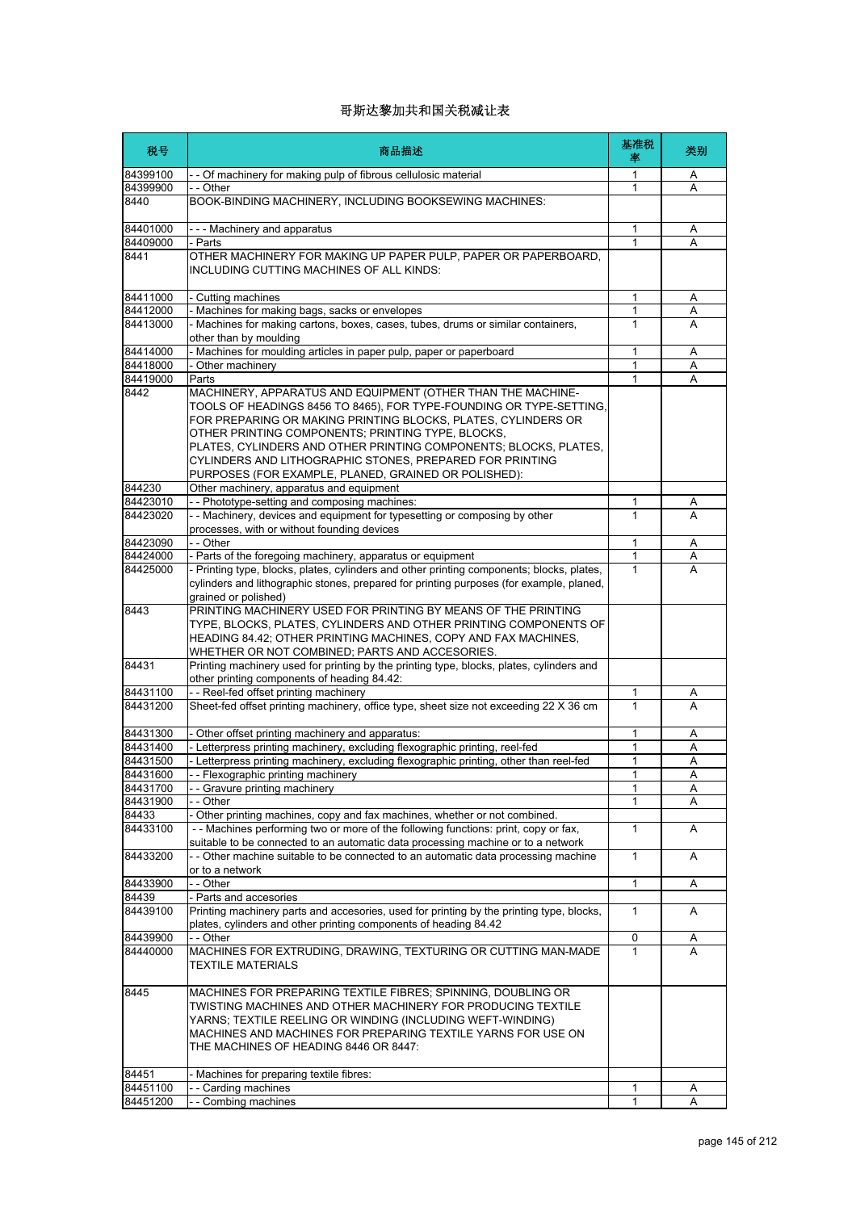| 税号                | 商品描述                                                                                                                                                                                                                                                                                                                                                                                                                                             | 基准税<br>率     | 类别     |
|-------------------|--------------------------------------------------------------------------------------------------------------------------------------------------------------------------------------------------------------------------------------------------------------------------------------------------------------------------------------------------------------------------------------------------------------------------------------------------|--------------|--------|
| 84399100          | - - Of machinery for making pulp of fibrous cellulosic material                                                                                                                                                                                                                                                                                                                                                                                  | 1            | A      |
| 84399900          | - - Other                                                                                                                                                                                                                                                                                                                                                                                                                                        | $\mathbf{1}$ | A      |
| 8440              | BOOK-BINDING MACHINERY, INCLUDING BOOKSEWING MACHINES:                                                                                                                                                                                                                                                                                                                                                                                           |              |        |
| 84401000          | --- Machinery and apparatus                                                                                                                                                                                                                                                                                                                                                                                                                      | 1            | Α      |
| 84409000          | - Parts                                                                                                                                                                                                                                                                                                                                                                                                                                          | 1            | A      |
| 8441              | OTHER MACHINERY FOR MAKING UP PAPER PULP, PAPER OR PAPERBOARD,<br>INCLUDING CUTTING MACHINES OF ALL KINDS:                                                                                                                                                                                                                                                                                                                                       |              |        |
| 84411000          | - Cutting machines                                                                                                                                                                                                                                                                                                                                                                                                                               | 1            | A      |
| 84412000          | - Machines for making bags, sacks or envelopes                                                                                                                                                                                                                                                                                                                                                                                                   | $\mathbf{1}$ | Α      |
| 84413000          | - Machines for making cartons, boxes, cases, tubes, drums or similar containers,<br>other than by moulding                                                                                                                                                                                                                                                                                                                                       | 1            | A      |
| 84414000          | - Machines for moulding articles in paper pulp, paper or paperboard                                                                                                                                                                                                                                                                                                                                                                              | 1            | Α      |
| 84418000          | - Other machinery                                                                                                                                                                                                                                                                                                                                                                                                                                | 1            | Α      |
| 84419000          | Parts                                                                                                                                                                                                                                                                                                                                                                                                                                            | 1            | A      |
| 8442              | MACHINERY, APPARATUS AND EQUIPMENT (OTHER THAN THE MACHINE-<br>TOOLS OF HEADINGS 8456 TO 8465), FOR TYPE-FOUNDING OR TYPE-SETTING,<br>FOR PREPARING OR MAKING PRINTING BLOCKS, PLATES, CYLINDERS OR<br>OTHER PRINTING COMPONENTS; PRINTING TYPE, BLOCKS,<br>PLATES, CYLINDERS AND OTHER PRINTING COMPONENTS; BLOCKS, PLATES,<br>CYLINDERS AND LITHOGRAPHIC STONES, PREPARED FOR PRINTING<br>PURPOSES (FOR EXAMPLE, PLANED, GRAINED OR POLISHED): |              |        |
| 844230            | Other machinery, apparatus and equipment                                                                                                                                                                                                                                                                                                                                                                                                         |              |        |
| 84423010          | - - Phototype-setting and composing machines:                                                                                                                                                                                                                                                                                                                                                                                                    | 1            | Α      |
| 84423020          | - - Machinery, devices and equipment for typesetting or composing by other<br>processes, with or without founding devices                                                                                                                                                                                                                                                                                                                        | $\mathbf{1}$ | A      |
| 84423090          | - - Other                                                                                                                                                                                                                                                                                                                                                                                                                                        | 1            | Α      |
| 84424000          | - Parts of the foregoing machinery, apparatus or equipment                                                                                                                                                                                                                                                                                                                                                                                       | 1            | Α      |
| 84425000          | - Printing type, blocks, plates, cylinders and other printing components; blocks, plates,<br>cylinders and lithographic stones, prepared for printing purposes (for example, planed,<br>grained or polished)                                                                                                                                                                                                                                     | 1            | A      |
| 8443              | PRINTING MACHINERY USED FOR PRINTING BY MEANS OF THE PRINTING<br>TYPE, BLOCKS, PLATES, CYLINDERS AND OTHER PRINTING COMPONENTS OF<br>HEADING 84.42; OTHER PRINTING MACHINES, COPY AND FAX MACHINES,<br>WHETHER OR NOT COMBINED; PARTS AND ACCESORIES.                                                                                                                                                                                            |              |        |
| 84431             | Printing machinery used for printing by the printing type, blocks, plates, cylinders and<br>other printing components of heading 84.42:                                                                                                                                                                                                                                                                                                          |              |        |
| 84431100          | -- Reel-fed offset printing machinery                                                                                                                                                                                                                                                                                                                                                                                                            | 1            | A      |
| 84431200          | Sheet-fed offset printing machinery, office type, sheet size not exceeding 22 X 36 cm                                                                                                                                                                                                                                                                                                                                                            | $\mathbf{1}$ | A      |
| 84431300          | - Other offset printing machinery and apparatus:                                                                                                                                                                                                                                                                                                                                                                                                 | 1            | Α      |
| 84431400          | - Letterpress printing machinery, excluding flexographic printing, reel-fed                                                                                                                                                                                                                                                                                                                                                                      | 1            | Α      |
| 84431500          | - Letterpress printing machinery, excluding flexographic printing, other than reel-fed                                                                                                                                                                                                                                                                                                                                                           | 1            | Α      |
| 84431600          | - Flexographic printing machinery                                                                                                                                                                                                                                                                                                                                                                                                                | 1            | A      |
| 84431700          | -- Gravure printing machinery                                                                                                                                                                                                                                                                                                                                                                                                                    | 1            | Α      |
| 84431900          | - Other                                                                                                                                                                                                                                                                                                                                                                                                                                          | 1            | Α      |
| 84433<br>84433100 | - Other printing machines, copy and fax machines, whether or not combined.<br>-- Machines performing two or more of the following functions: print, copy or fax,                                                                                                                                                                                                                                                                                 | $\mathbf{1}$ | A      |
| 84433200          | suitable to be connected to an automatic data processing machine or to a network<br>-- Other machine suitable to be connected to an automatic data processing machine                                                                                                                                                                                                                                                                            | 1            | A      |
|                   | or to a network                                                                                                                                                                                                                                                                                                                                                                                                                                  |              |        |
| 84433900<br>84439 | - - Other<br>- Parts and accesories                                                                                                                                                                                                                                                                                                                                                                                                              | 1            | Α      |
| 84439100          | Printing machinery parts and accesories, used for printing by the printing type, blocks,                                                                                                                                                                                                                                                                                                                                                         | $\mathbf{1}$ | A      |
| 84439900          | plates, cylinders and other printing components of heading 84.42<br>$-$ - Other                                                                                                                                                                                                                                                                                                                                                                  |              |        |
| 84440000          | MACHINES FOR EXTRUDING, DRAWING, TEXTURING OR CUTTING MAN-MADE<br><b>TEXTILE MATERIALS</b>                                                                                                                                                                                                                                                                                                                                                       | 0<br>1       | A<br>A |
| 8445<br>84451     | MACHINES FOR PREPARING TEXTILE FIBRES; SPINNING, DOUBLING OR<br>TWISTING MACHINES AND OTHER MACHINERY FOR PRODUCING TEXTILE<br>YARNS; TEXTILE REELING OR WINDING (INCLUDING WEFT-WINDING)<br>MACHINES AND MACHINES FOR PREPARING TEXTILE YARNS FOR USE ON<br>THE MACHINES OF HEADING 8446 OR 8447:<br>Machines for preparing textile fibres:                                                                                                     |              |        |
| 84451100          | Carding machines                                                                                                                                                                                                                                                                                                                                                                                                                                 | 1            |        |
| 84451200          | Combing machines                                                                                                                                                                                                                                                                                                                                                                                                                                 | 1            | Α<br>Α |
|                   |                                                                                                                                                                                                                                                                                                                                                                                                                                                  |              |        |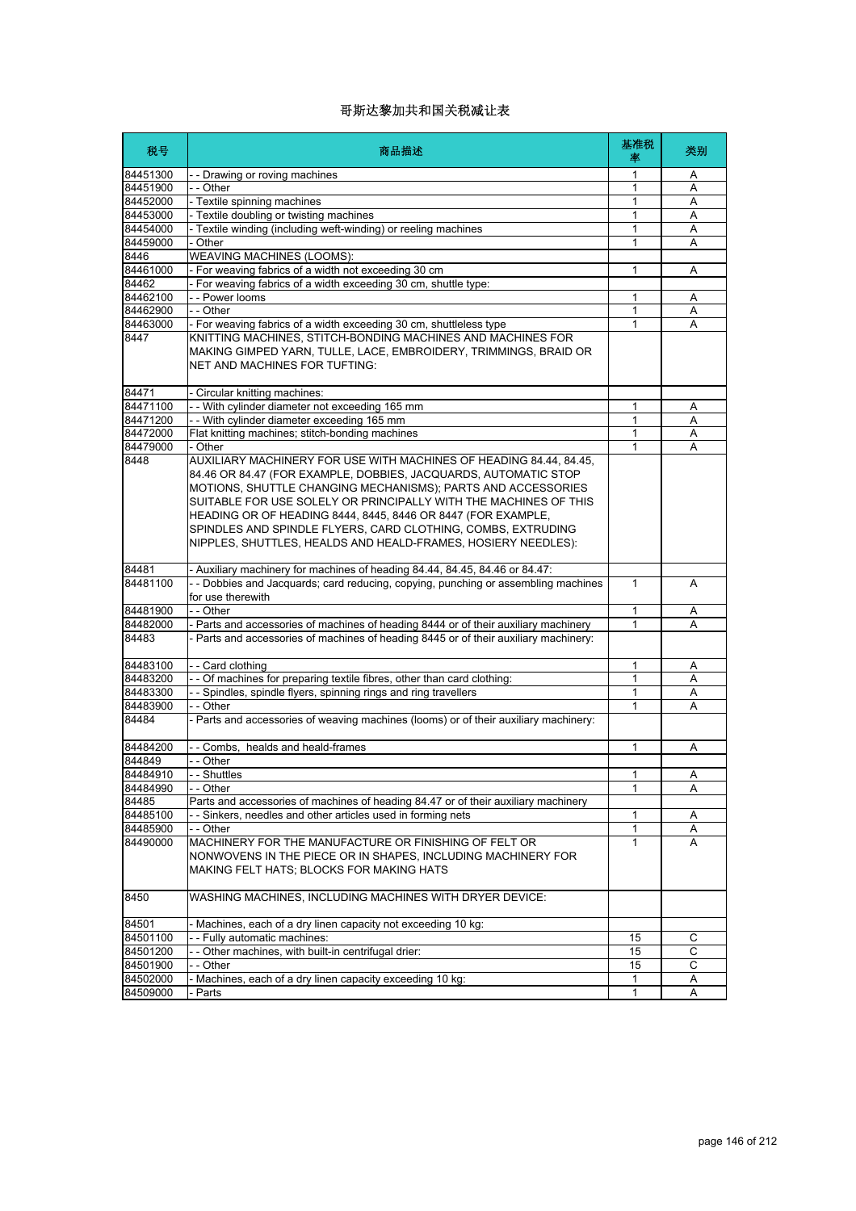| 税号       | 商品描述                                                                                                                                                                                                                                                                                                                                                                                                                                                                       | 基准税<br>塞     | 类别 |
|----------|----------------------------------------------------------------------------------------------------------------------------------------------------------------------------------------------------------------------------------------------------------------------------------------------------------------------------------------------------------------------------------------------------------------------------------------------------------------------------|--------------|----|
| 84451300 | - - Drawing or roving machines                                                                                                                                                                                                                                                                                                                                                                                                                                             | 1            | Α  |
| 84451900 | - - Other                                                                                                                                                                                                                                                                                                                                                                                                                                                                  | 1            | A  |
| 84452000 | - Textile spinning machines                                                                                                                                                                                                                                                                                                                                                                                                                                                | 1            | A  |
| 84453000 | - Textile doubling or twisting machines                                                                                                                                                                                                                                                                                                                                                                                                                                    | 1            | Α  |
| 84454000 | - Textile winding (including weft-winding) or reeling machines                                                                                                                                                                                                                                                                                                                                                                                                             | 1            | Α  |
| 84459000 | - Other                                                                                                                                                                                                                                                                                                                                                                                                                                                                    | 1            | A  |
| 8446     | WEAVING MACHINES (LOOMS):                                                                                                                                                                                                                                                                                                                                                                                                                                                  |              |    |
| 84461000 | - For weaving fabrics of a width not exceeding 30 cm                                                                                                                                                                                                                                                                                                                                                                                                                       | 1            | Α  |
| 84462    | For weaving fabrics of a width exceeding 30 cm, shuttle type:                                                                                                                                                                                                                                                                                                                                                                                                              |              |    |
| 84462100 | - - Power looms                                                                                                                                                                                                                                                                                                                                                                                                                                                            | 1            | Α  |
| 84462900 | - - Other                                                                                                                                                                                                                                                                                                                                                                                                                                                                  | 1            | A  |
| 84463000 | - For weaving fabrics of a width exceeding 30 cm, shuttleless type                                                                                                                                                                                                                                                                                                                                                                                                         | 1            | A  |
| 8447     | KNITTING MACHINES, STITCH-BONDING MACHINES AND MACHINES FOR<br>MAKING GIMPED YARN, TULLE, LACE, EMBROIDERY, TRIMMINGS, BRAID OR<br>NET AND MACHINES FOR TUFTING:                                                                                                                                                                                                                                                                                                           |              |    |
| 84471    | Circular knitting machines:                                                                                                                                                                                                                                                                                                                                                                                                                                                |              |    |
| 84471100 | - - With cylinder diameter not exceeding 165 mm                                                                                                                                                                                                                                                                                                                                                                                                                            | 1            | Α  |
| 84471200 | -- With cylinder diameter exceeding 165 mm                                                                                                                                                                                                                                                                                                                                                                                                                                 | 1            | A  |
| 84472000 | Flat knitting machines; stitch-bonding machines                                                                                                                                                                                                                                                                                                                                                                                                                            | 1            | A  |
| 84479000 | - Other                                                                                                                                                                                                                                                                                                                                                                                                                                                                    | 1            | A  |
| 8448     | AUXILIARY MACHINERY FOR USE WITH MACHINES OF HEADING 84.44, 84.45,<br>84.46 OR 84.47 (FOR EXAMPLE, DOBBIES, JACQUARDS, AUTOMATIC STOP<br>MOTIONS, SHUTTLE CHANGING MECHANISMS); PARTS AND ACCESSORIES<br>SUITABLE FOR USE SOLELY OR PRINCIPALLY WITH THE MACHINES OF THIS<br>HEADING OR OF HEADING 8444, 8445, 8446 OR 8447 (FOR EXAMPLE,<br>SPINDLES AND SPINDLE FLYERS, CARD CLOTHING, COMBS, EXTRUDING<br>NIPPLES, SHUTTLES, HEALDS AND HEALD-FRAMES, HOSIERY NEEDLES): |              |    |
| 84481    | - Auxiliary machinery for machines of heading 84.44, 84.45, 84.46 or 84.47:                                                                                                                                                                                                                                                                                                                                                                                                |              |    |
| 84481100 | - - Dobbies and Jacquards; card reducing, copying, punching or assembling machines<br>for use therewith                                                                                                                                                                                                                                                                                                                                                                    | $\mathbf{1}$ | A  |
| 84481900 | - - Other                                                                                                                                                                                                                                                                                                                                                                                                                                                                  | 1            | Α  |
| 84482000 | - Parts and accessories of machines of heading 8444 or of their auxiliary machinery                                                                                                                                                                                                                                                                                                                                                                                        | 1            | A  |
| 84483    | Parts and accessories of machines of heading 8445 or of their auxiliary machinery:                                                                                                                                                                                                                                                                                                                                                                                         |              |    |
| 84483100 | - - Card clothing                                                                                                                                                                                                                                                                                                                                                                                                                                                          | 1            | Α  |
| 84483200 | - - Of machines for preparing textile fibres, other than card clothing:                                                                                                                                                                                                                                                                                                                                                                                                    | 1            | A  |
| 84483300 | - - Spindles, spindle flyers, spinning rings and ring travellers                                                                                                                                                                                                                                                                                                                                                                                                           | 1            | Α  |
| 84483900 | - - Other                                                                                                                                                                                                                                                                                                                                                                                                                                                                  | 1            | A  |
| 84484    | - Parts and accessories of weaving machines (looms) or of their auxiliary machinery:                                                                                                                                                                                                                                                                                                                                                                                       |              |    |
| 84484200 | - Combs. healds and heald-frames                                                                                                                                                                                                                                                                                                                                                                                                                                           | 1            | A  |
| 844849   | - - Other                                                                                                                                                                                                                                                                                                                                                                                                                                                                  |              |    |
| 84484910 | Shuttles                                                                                                                                                                                                                                                                                                                                                                                                                                                                   | 1            | A  |
| 84484990 | - - Other                                                                                                                                                                                                                                                                                                                                                                                                                                                                  | 1            | Α  |
| 84485    | Parts and accessories of machines of heading 84.47 or of their auxiliary machinery                                                                                                                                                                                                                                                                                                                                                                                         |              |    |
| 84485100 | - - Sinkers, needles and other articles used in forming nets                                                                                                                                                                                                                                                                                                                                                                                                               | 1            | Α  |
| 84485900 | - - Other                                                                                                                                                                                                                                                                                                                                                                                                                                                                  | 1            | A  |
| 84490000 | MACHINERY FOR THE MANUFACTURE OR FINISHING OF FELT OR<br>NONWOVENS IN THE PIECE OR IN SHAPES, INCLUDING MACHINERY FOR<br>MAKING FELT HATS; BLOCKS FOR MAKING HATS                                                                                                                                                                                                                                                                                                          | 1            | A  |
| 8450     | WASHING MACHINES, INCLUDING MACHINES WITH DRYER DEVICE:                                                                                                                                                                                                                                                                                                                                                                                                                    |              |    |
| 84501    | Machines, each of a dry linen capacity not exceeding 10 kg:                                                                                                                                                                                                                                                                                                                                                                                                                |              |    |
| 84501100 | - - Fully automatic machines:                                                                                                                                                                                                                                                                                                                                                                                                                                              | 15           | С  |
| 84501200 | - - Other machines, with built-in centrifugal drier:                                                                                                                                                                                                                                                                                                                                                                                                                       | 15           | С  |
| 84501900 | - - Other                                                                                                                                                                                                                                                                                                                                                                                                                                                                  | 15           | С  |
| 84502000 | Machines, each of a dry linen capacity exceeding 10 kg:                                                                                                                                                                                                                                                                                                                                                                                                                    | 1            | Α  |
| 84509000 | Parts                                                                                                                                                                                                                                                                                                                                                                                                                                                                      | 1            | Α  |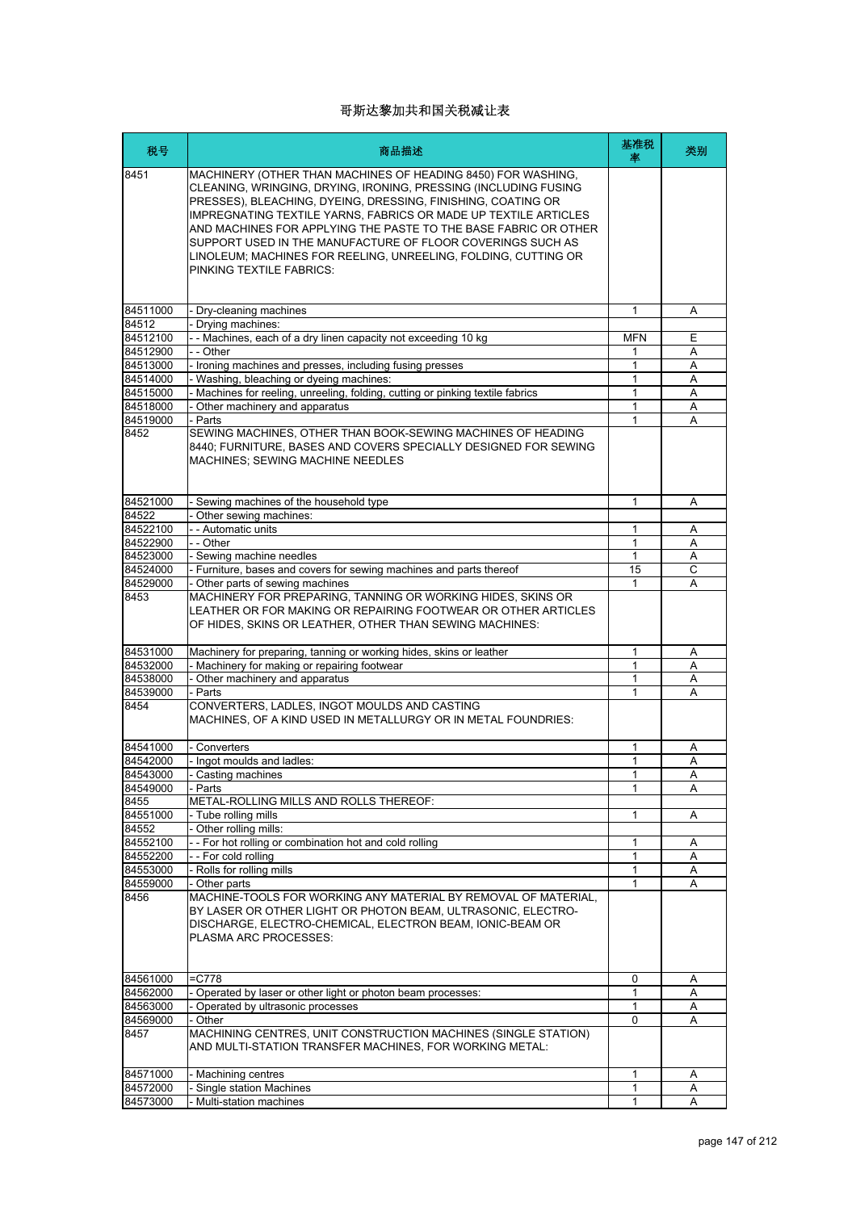| 税号               | 商品描述                                                                                                                                                                                                                                                                                                                                                                                                                                                                                                     | 基准税<br>率   | 类别 |
|------------------|----------------------------------------------------------------------------------------------------------------------------------------------------------------------------------------------------------------------------------------------------------------------------------------------------------------------------------------------------------------------------------------------------------------------------------------------------------------------------------------------------------|------------|----|
| 8451             | MACHINERY (OTHER THAN MACHINES OF HEADING 8450) FOR WASHING,<br>CLEANING, WRINGING, DRYING, IRONING, PRESSING (INCLUDING FUSING<br>PRESSES), BLEACHING, DYEING, DRESSING, FINISHING, COATING OR<br><b>IMPREGNATING TEXTILE YARNS, FABRICS OR MADE UP TEXTILE ARTICLES</b><br>AND MACHINES FOR APPLYING THE PASTE TO THE BASE FABRIC OR OTHER<br>SUPPORT USED IN THE MANUFACTURE OF FLOOR COVERINGS SUCH AS<br>LINOLEUM; MACHINES FOR REELING, UNREELING, FOLDING, CUTTING OR<br>PINKING TEXTILE FABRICS: |            |    |
|                  |                                                                                                                                                                                                                                                                                                                                                                                                                                                                                                          |            |    |
| 84511000         | - Dry-cleaning machines                                                                                                                                                                                                                                                                                                                                                                                                                                                                                  | 1          | Α  |
| 84512            | - Drying machines:                                                                                                                                                                                                                                                                                                                                                                                                                                                                                       |            |    |
| 84512100         | - - Machines, each of a dry linen capacity not exceeding 10 kg                                                                                                                                                                                                                                                                                                                                                                                                                                           | <b>MFN</b> | Е  |
| 84512900         | - - Other                                                                                                                                                                                                                                                                                                                                                                                                                                                                                                | 1          | A  |
| 84513000         | - Ironing machines and presses, including fusing presses                                                                                                                                                                                                                                                                                                                                                                                                                                                 | 1          | Α  |
| 84514000         | - Washing, bleaching or dyeing machines:                                                                                                                                                                                                                                                                                                                                                                                                                                                                 | 1          | A  |
| 84515000         | - Machines for reeling, unreeling, folding, cutting or pinking textile fabrics                                                                                                                                                                                                                                                                                                                                                                                                                           | 1          | A  |
| 84518000         | - Other machinery and apparatus                                                                                                                                                                                                                                                                                                                                                                                                                                                                          | 1          | Α  |
| 84519000<br>8452 | - Parts<br>SEWING MACHINES, OTHER THAN BOOK-SEWING MACHINES OF HEADING<br>8440; FURNITURE, BASES AND COVERS SPECIALLY DESIGNED FOR SEWING<br><b>MACHINES: SEWING MACHINE NEEDLES</b>                                                                                                                                                                                                                                                                                                                     | 1          | A  |
| 84521000         | - Sewing machines of the household type                                                                                                                                                                                                                                                                                                                                                                                                                                                                  | 1          | Α  |
| 84522            | - Other sewing machines:                                                                                                                                                                                                                                                                                                                                                                                                                                                                                 |            |    |
| 84522100         | - - Automatic units                                                                                                                                                                                                                                                                                                                                                                                                                                                                                      | 1          | A  |
| 84522900         | - - Other                                                                                                                                                                                                                                                                                                                                                                                                                                                                                                | 1          | A  |
| 84523000         | - Sewing machine needles                                                                                                                                                                                                                                                                                                                                                                                                                                                                                 | 1          | Α  |
| 84524000         | - Furniture, bases and covers for sewing machines and parts thereof                                                                                                                                                                                                                                                                                                                                                                                                                                      | 15         | C  |
| 84529000         | Other parts of sewing machines                                                                                                                                                                                                                                                                                                                                                                                                                                                                           | 1          | A  |
| 8453             | MACHINERY FOR PREPARING, TANNING OR WORKING HIDES, SKINS OR<br>LEATHER OR FOR MAKING OR REPAIRING FOOTWEAR OR OTHER ARTICLES<br>OF HIDES, SKINS OR LEATHER, OTHER THAN SEWING MACHINES:                                                                                                                                                                                                                                                                                                                  |            |    |
| 84531000         | Machinery for preparing, tanning or working hides, skins or leather                                                                                                                                                                                                                                                                                                                                                                                                                                      | 1          | Α  |
| 84532000         | - Machinery for making or repairing footwear                                                                                                                                                                                                                                                                                                                                                                                                                                                             | 1          | Α  |
| 84538000         | - Other machinery and apparatus                                                                                                                                                                                                                                                                                                                                                                                                                                                                          | 1          | A  |
| 84539000         | - Parts                                                                                                                                                                                                                                                                                                                                                                                                                                                                                                  | 1          | A  |
| 8454             | CONVERTERS, LADLES, INGOT MOULDS AND CASTING<br>MACHINES. OF A KIND USED IN METALLURGY OR IN METAL FOUNDRIES:                                                                                                                                                                                                                                                                                                                                                                                            |            |    |
| 84541000         | - Converters                                                                                                                                                                                                                                                                                                                                                                                                                                                                                             | 1          | Α  |
| 84542000         | - Ingot moulds and ladles:                                                                                                                                                                                                                                                                                                                                                                                                                                                                               | 1          | A  |
| 84543000         | Casting machines                                                                                                                                                                                                                                                                                                                                                                                                                                                                                         |            | Α  |
| 84549000         | - Parts                                                                                                                                                                                                                                                                                                                                                                                                                                                                                                  | 1          | Α  |
| 8455             | METAL-ROLLING MILLS AND ROLLS THEREOF:                                                                                                                                                                                                                                                                                                                                                                                                                                                                   |            |    |
| 84551000         | - Tube rolling mills                                                                                                                                                                                                                                                                                                                                                                                                                                                                                     | 1          | Α  |
| 84552            | - Other rolling mills:                                                                                                                                                                                                                                                                                                                                                                                                                                                                                   |            |    |
| 84552100         | -- For hot rolling or combination hot and cold rolling                                                                                                                                                                                                                                                                                                                                                                                                                                                   | 1          | Α  |
| 84552200         | - - For cold rolling                                                                                                                                                                                                                                                                                                                                                                                                                                                                                     | 1          | Α  |
| 84553000         | - Rolls for rolling mills                                                                                                                                                                                                                                                                                                                                                                                                                                                                                | 1          | Α  |
| 84559000<br>8456 | - Other parts<br>MACHINE-TOOLS FOR WORKING ANY MATERIAL BY REMOVAL OF MATERIAL,                                                                                                                                                                                                                                                                                                                                                                                                                          | 1          | Α  |
|                  | BY LASER OR OTHER LIGHT OR PHOTON BEAM, ULTRASONIC, ELECTRO-<br>DISCHARGE, ELECTRO-CHEMICAL, ELECTRON BEAM, IONIC-BEAM OR<br>PLASMA ARC PROCESSES:                                                                                                                                                                                                                                                                                                                                                       |            |    |
| 84561000         | $-C778$                                                                                                                                                                                                                                                                                                                                                                                                                                                                                                  | 0          | A  |
| 84562000         | - Operated by laser or other light or photon beam processes:                                                                                                                                                                                                                                                                                                                                                                                                                                             | 1          | Α  |
| 84563000         | Operated by ultrasonic processes                                                                                                                                                                                                                                                                                                                                                                                                                                                                         | 1          | A  |
| 84569000         | - Other                                                                                                                                                                                                                                                                                                                                                                                                                                                                                                  | 0          | A  |
| 8457             | MACHINING CENTRES, UNIT CONSTRUCTION MACHINES (SINGLE STATION)<br>AND MULTI-STATION TRANSFER MACHINES, FOR WORKING METAL:                                                                                                                                                                                                                                                                                                                                                                                |            |    |
| 84571000         | - Machining centres                                                                                                                                                                                                                                                                                                                                                                                                                                                                                      | 1          | A  |
| 84572000         | - Single station Machines                                                                                                                                                                                                                                                                                                                                                                                                                                                                                | 1          | Α  |
| 84573000         | - Multi-station machines                                                                                                                                                                                                                                                                                                                                                                                                                                                                                 | 1          | A  |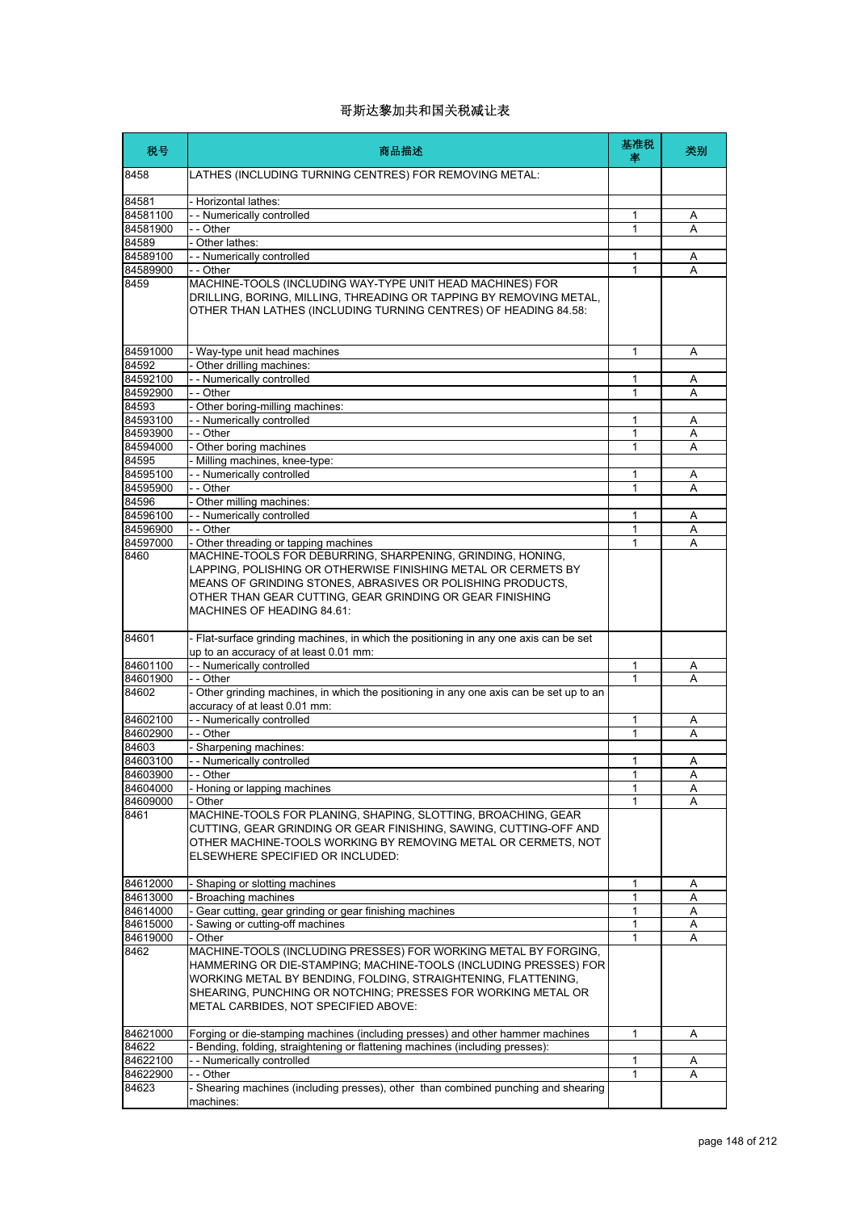| 税号                   | 商品描述                                                                                                                                                                                                                                                                                                         | 基准税<br>率     | 类别     |
|----------------------|--------------------------------------------------------------------------------------------------------------------------------------------------------------------------------------------------------------------------------------------------------------------------------------------------------------|--------------|--------|
| 8458                 | LATHES (INCLUDING TURNING CENTRES) FOR REMOVING METAL:                                                                                                                                                                                                                                                       |              |        |
| 84581                | - Horizontal lathes:                                                                                                                                                                                                                                                                                         |              |        |
| 84581100             | - - Numerically controlled                                                                                                                                                                                                                                                                                   | 1            | Α      |
| 84581900             | - - Other                                                                                                                                                                                                                                                                                                    | 1            | Α      |
| 84589                | - Other lathes:                                                                                                                                                                                                                                                                                              |              |        |
| 84589100             | - - Numerically controlled                                                                                                                                                                                                                                                                                   | 1            | Α      |
| 84589900             | - - Other                                                                                                                                                                                                                                                                                                    | 1            | A      |
| 8459                 | MACHINE-TOOLS (INCLUDING WAY-TYPE UNIT HEAD MACHINES) FOR<br>DRILLING, BORING, MILLING, THREADING OR TAPPING BY REMOVING METAL,<br>OTHER THAN LATHES (INCLUDING TURNING CENTRES) OF HEADING 84.58:                                                                                                           |              |        |
| 84591000             | - Way-type unit head machines                                                                                                                                                                                                                                                                                | 1            | A      |
| 84592                | - Other drilling machines:                                                                                                                                                                                                                                                                                   |              |        |
| 84592100             | -- Numerically controlled                                                                                                                                                                                                                                                                                    | 1            | Α      |
| 84592900             | - - Other                                                                                                                                                                                                                                                                                                    | 1            | Α      |
| 84593                | - Other boring-milling machines:                                                                                                                                                                                                                                                                             |              |        |
| 84593100             | - - Numerically controlled                                                                                                                                                                                                                                                                                   | 1            | Α      |
| 84593900             | - - Other                                                                                                                                                                                                                                                                                                    | 1            | Α      |
| 84594000             | - Other boring machines                                                                                                                                                                                                                                                                                      | 1            | A      |
| 84595                | - Milling machines, knee-type:                                                                                                                                                                                                                                                                               |              |        |
| 84595100             | - - Numerically controlled                                                                                                                                                                                                                                                                                   | 1            | Α      |
| 84595900             | - - Other                                                                                                                                                                                                                                                                                                    | 1            | A      |
| 84596                | - Other milling machines:                                                                                                                                                                                                                                                                                    |              |        |
| 84596100<br>84596900 | - - Numerically controlled<br>- - Other                                                                                                                                                                                                                                                                      | 1<br>1       | Α      |
| 84597000             | - Other threading or tapping machines                                                                                                                                                                                                                                                                        | 1            | Α<br>Α |
| 8460                 | MACHINE-TOOLS FOR DEBURRING, SHARPENING, GRINDING, HONING,<br>LAPPING, POLISHING OR OTHERWISE FINISHING METAL OR CERMETS BY<br>MEANS OF GRINDING STONES, ABRASIVES OR POLISHING PRODUCTS,<br>OTHER THAN GEAR CUTTING, GEAR GRINDING OR GEAR FINISHING<br><b>MACHINES OF HEADING 84.61:</b>                   |              |        |
| 84601                | - Flat-surface grinding machines, in which the positioning in any one axis can be set<br>up to an accuracy of at least 0.01 mm:                                                                                                                                                                              |              |        |
| 84601100             | - - Numerically controlled                                                                                                                                                                                                                                                                                   | 1            | Α      |
| 84601900             | - - Other                                                                                                                                                                                                                                                                                                    | 1            | A      |
| 84602                | - Other grinding machines, in which the positioning in any one axis can be set up to an<br>accuracy of at least 0.01 mm:                                                                                                                                                                                     |              |        |
| 84602100             | - - Numerically controlled                                                                                                                                                                                                                                                                                   | 1            | Α      |
| 84602900             | - - Other                                                                                                                                                                                                                                                                                                    | 1            | Α      |
| 84603                | - Sharpening machines:                                                                                                                                                                                                                                                                                       |              |        |
| 84603100             | - - Numerically controlled                                                                                                                                                                                                                                                                                   | 1            | Α      |
| 84603900             | Other                                                                                                                                                                                                                                                                                                        | 1            | A      |
| 84604000             | - Honing or lapping machines                                                                                                                                                                                                                                                                                 | 1            | Α      |
| 84609000<br>8461     | - Other<br>MACHINE-TOOLS FOR PLANING, SHAPING, SLOTTING, BROACHING, GEAR<br>CUTTING, GEAR GRINDING OR GEAR FINISHING, SAWING, CUTTING-OFF AND<br>OTHER MACHINE-TOOLS WORKING BY REMOVING METAL OR CERMETS, NOT<br>ELSEWHERE SPECIFIED OR INCLUDED:                                                           | 1            | А      |
| 84612000             | - Shaping or slotting machines                                                                                                                                                                                                                                                                               | 1            | A      |
| 84613000             | Broaching machines                                                                                                                                                                                                                                                                                           | 1            | Α      |
| 84614000             | - Gear cutting, gear grinding or gear finishing machines                                                                                                                                                                                                                                                     | 1            | Α      |
| 84615000             | Sawing or cutting-off machines                                                                                                                                                                                                                                                                               | 1            | Α      |
| 84619000             | Other                                                                                                                                                                                                                                                                                                        | $\mathbf{1}$ | A      |
| 8462                 | MACHINE-TOOLS (INCLUDING PRESSES) FOR WORKING METAL BY FORGING,<br>HAMMERING OR DIE-STAMPING; MACHINE-TOOLS (INCLUDING PRESSES) FOR<br>WORKING METAL BY BENDING, FOLDING, STRAIGHTENING, FLATTENING,<br>SHEARING, PUNCHING OR NOTCHING; PRESSES FOR WORKING METAL OR<br>METAL CARBIDES, NOT SPECIFIED ABOVE: |              |        |
| 84621000<br>84622    | Forging or die-stamping machines (including presses) and other hammer machines<br>Bending, folding, straightening or flattening machines (including presses):                                                                                                                                                | 1            | Α      |
| 84622100             | - - Numerically controlled                                                                                                                                                                                                                                                                                   | $\mathbf{1}$ | Α      |
| 84622900             | - - Other                                                                                                                                                                                                                                                                                                    | 1            | Α      |
| 84623                | - Shearing machines (including presses), other than combined punching and shearing<br>machines:                                                                                                                                                                                                              |              |        |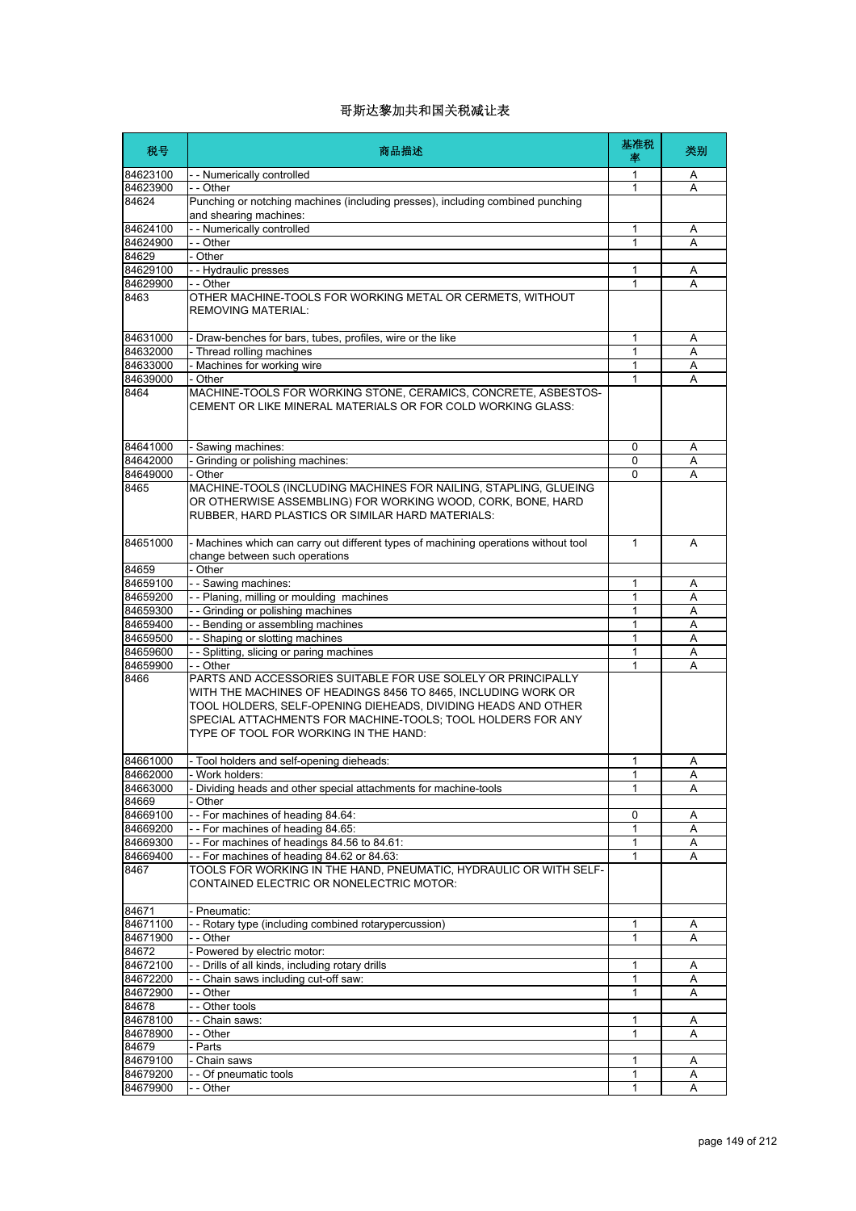| 税号                | 商品描述                                                                                                                                                                                                                                                                                                                | 基准税<br>率     | 类别 |
|-------------------|---------------------------------------------------------------------------------------------------------------------------------------------------------------------------------------------------------------------------------------------------------------------------------------------------------------------|--------------|----|
| 84623100          | -- Numerically controlled                                                                                                                                                                                                                                                                                           | 1            | Α  |
| 84623900          | - - Other                                                                                                                                                                                                                                                                                                           | 1            | Α  |
| 84624             | Punching or notching machines (including presses), including combined punching<br>and shearing machines:                                                                                                                                                                                                            |              |    |
| 84624100          | - - Numerically controlled                                                                                                                                                                                                                                                                                          | 1            | Α  |
| 84624900          | - - Other                                                                                                                                                                                                                                                                                                           | 1            | A  |
| 84629             | Other                                                                                                                                                                                                                                                                                                               |              |    |
| 84629100          | - - Hydraulic presses                                                                                                                                                                                                                                                                                               | 1            | Α  |
| 84629900          | - - Other                                                                                                                                                                                                                                                                                                           | $\mathbf{1}$ | A  |
| 8463              | OTHER MACHINE-TOOLS FOR WORKING METAL OR CERMETS, WITHOUT<br><b>REMOVING MATERIAL:</b>                                                                                                                                                                                                                              |              |    |
| 84631000          | - Draw-benches for bars, tubes, profiles, wire or the like                                                                                                                                                                                                                                                          | $\mathbf{1}$ | Α  |
| 84632000          | - Thread rolling machines                                                                                                                                                                                                                                                                                           | 1            | Α  |
| 84633000          | Machines for working wire                                                                                                                                                                                                                                                                                           | 1            | Α  |
| 84639000          | - Other                                                                                                                                                                                                                                                                                                             | 1            | A  |
| 8464              | MACHINE-TOOLS FOR WORKING STONE, CERAMICS, CONCRETE, ASBESTOS-<br>CEMENT OR LIKE MINERAL MATERIALS OR FOR COLD WORKING GLASS:                                                                                                                                                                                       |              |    |
| 84641000          | Sawing machines:                                                                                                                                                                                                                                                                                                    | 0            | Α  |
| 84642000          | Grinding or polishing machines:                                                                                                                                                                                                                                                                                     | 0            | Α  |
| 84649000          | Other                                                                                                                                                                                                                                                                                                               | $\mathbf{0}$ | A  |
| 8465              | MACHINE-TOOLS (INCLUDING MACHINES FOR NAILING, STAPLING, GLUEING<br>OR OTHERWISE ASSEMBLING) FOR WORKING WOOD, CORK, BONE, HARD<br>RUBBER, HARD PLASTICS OR SIMILAR HARD MATERIALS:                                                                                                                                 |              |    |
| 84651000          | - Machines which can carry out different types of machining operations without tool<br>change between such operations                                                                                                                                                                                               | $\mathbf{1}$ | A  |
| 84659             | - Other                                                                                                                                                                                                                                                                                                             |              |    |
| 84659100          | - - Sawing machines:                                                                                                                                                                                                                                                                                                | 1            | Α  |
| 84659200          | -- Planing, milling or moulding machines                                                                                                                                                                                                                                                                            | 1            | A  |
| 84659300          | - - Grinding or polishing machines                                                                                                                                                                                                                                                                                  | 1            | Α  |
| 84659400          | - - Bending or assembling machines                                                                                                                                                                                                                                                                                  | 1            | Α  |
| 84659500          | - Shaping or slotting machines                                                                                                                                                                                                                                                                                      | $\mathbf{1}$ | A  |
| 84659600          | - Splitting, slicing or paring machines                                                                                                                                                                                                                                                                             | 1            | Α  |
| 84659900<br>8466  | - - Other<br>PARTS AND ACCESSORIES SUITABLE FOR USE SOLELY OR PRINCIPALLY<br>WITH THE MACHINES OF HEADINGS 8456 TO 8465, INCLUDING WORK OR<br>TOOL HOLDERS, SELF-OPENING DIEHEADS, DIVIDING HEADS AND OTHER<br>SPECIAL ATTACHMENTS FOR MACHINE-TOOLS; TOOL HOLDERS FOR ANY<br>TYPE OF TOOL FOR WORKING IN THE HAND: | 1            | A  |
| 84661000          | Tool holders and self-opening dieheads:                                                                                                                                                                                                                                                                             | 1            | Α  |
| 84662000          | Work holders:                                                                                                                                                                                                                                                                                                       | 1            | Α  |
| 84663000          | Dividing heads and other special attachments for machine-tools                                                                                                                                                                                                                                                      | $\mathbf{1}$ | Α  |
| 84669             | Other                                                                                                                                                                                                                                                                                                               |              |    |
| 84669100          | -- For machines of heading 84.64:                                                                                                                                                                                                                                                                                   | 0            | A  |
| 84669200          | -- For machines of heading 84.65:                                                                                                                                                                                                                                                                                   | $\mathbf{1}$ | Α  |
| 84669300          | -- For machines of headings 84.56 to 84.61:                                                                                                                                                                                                                                                                         | 1            | Α  |
| 84669400          | -- For machines of heading 84.62 or 84.63:                                                                                                                                                                                                                                                                          |              | A  |
| 8467              | TOOLS FOR WORKING IN THE HAND, PNEUMATIC, HYDRAULIC OR WITH SELF-<br>CONTAINED ELECTRIC OR NONELECTRIC MOTOR:                                                                                                                                                                                                       |              |    |
| 84671             | Pneumatic:                                                                                                                                                                                                                                                                                                          |              |    |
| 84671100          | - Rotary type (including combined rotarypercussion)                                                                                                                                                                                                                                                                 | 1            | Α  |
| 84671900          | - - Other                                                                                                                                                                                                                                                                                                           | 1            | A  |
| 84672             | - Powered by electric motor:                                                                                                                                                                                                                                                                                        |              |    |
| 84672100          | - - Drills of all kinds, including rotary drills                                                                                                                                                                                                                                                                    | 1            | Α  |
| 84672200          | - Chain saws including cut-off saw:                                                                                                                                                                                                                                                                                 | 1            | Α  |
| 84672900          | - - Other                                                                                                                                                                                                                                                                                                           | 1            | A  |
| 84678             | - - Other tools                                                                                                                                                                                                                                                                                                     |              |    |
| 84678100          | - Chain saws:                                                                                                                                                                                                                                                                                                       | 1            | Α  |
| 84678900<br>84679 | - - Other<br>Parts                                                                                                                                                                                                                                                                                                  | 1            | Α  |
| 84679100          | Chain saws                                                                                                                                                                                                                                                                                                          | 1            | Α  |
| 84679200          | - Of pneumatic tools                                                                                                                                                                                                                                                                                                | 1            | Α  |
| 84679900          | - Other                                                                                                                                                                                                                                                                                                             | 1            | Α  |
|                   |                                                                                                                                                                                                                                                                                                                     |              |    |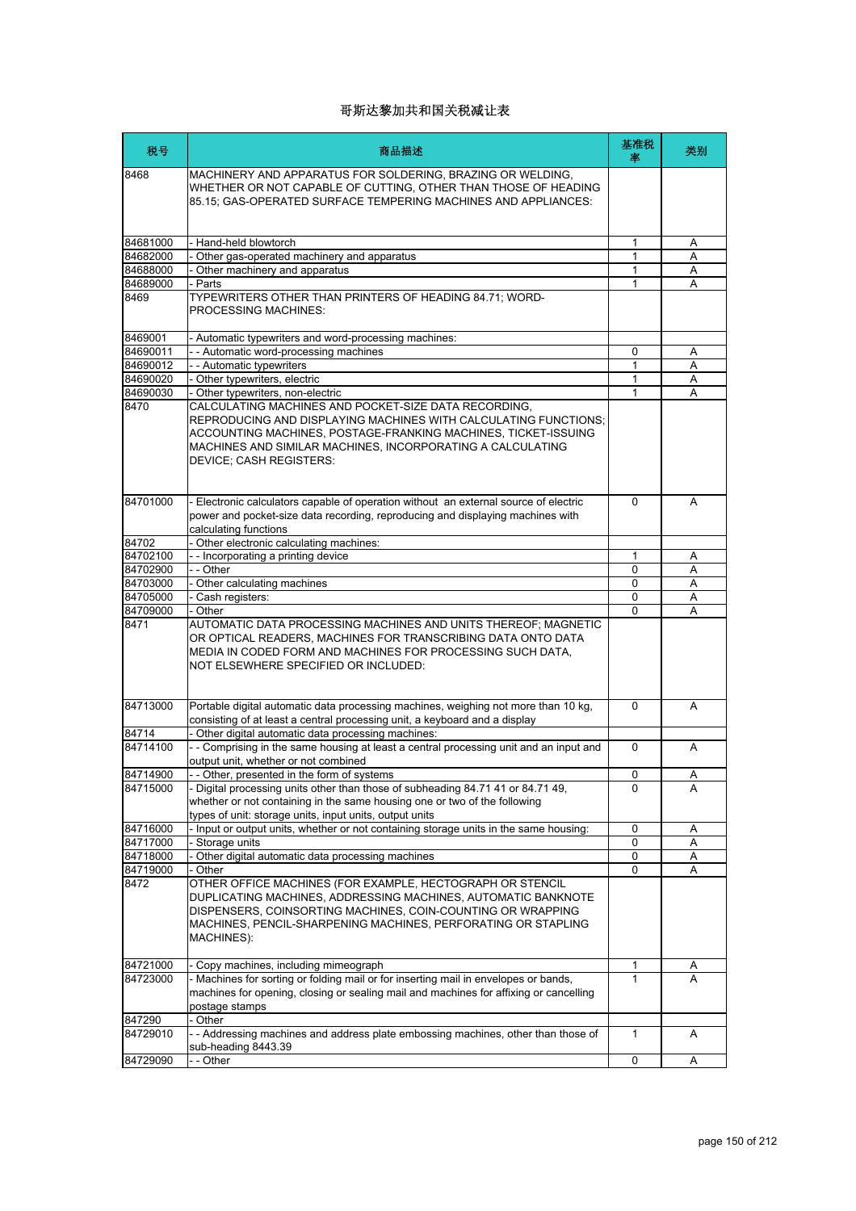| 税号       | 商品描述                                                                                                                                                                                                                                                                                      | 基准税<br>率    | 类别 |
|----------|-------------------------------------------------------------------------------------------------------------------------------------------------------------------------------------------------------------------------------------------------------------------------------------------|-------------|----|
| 8468     | MACHINERY AND APPARATUS FOR SOLDERING, BRAZING OR WELDING,<br>WHETHER OR NOT CAPABLE OF CUTTING, OTHER THAN THOSE OF HEADING<br>85.15; GAS-OPERATED SURFACE TEMPERING MACHINES AND APPLIANCES:                                                                                            |             |    |
| 84681000 | - Hand-held blowtorch                                                                                                                                                                                                                                                                     | 1           | Α  |
| 84682000 | Other gas-operated machinery and apparatus                                                                                                                                                                                                                                                | 1           | A  |
| 84688000 | Other machinery and apparatus                                                                                                                                                                                                                                                             | 1           | Α  |
| 84689000 | - Parts                                                                                                                                                                                                                                                                                   | 1           | A  |
| 8469     | TYPEWRITERS OTHER THAN PRINTERS OF HEADING 84.71; WORD-<br>PROCESSING MACHINES:                                                                                                                                                                                                           |             |    |
| 8469001  | - Automatic typewriters and word-processing machines:                                                                                                                                                                                                                                     |             |    |
| 84690011 | - - Automatic word-processing machines                                                                                                                                                                                                                                                    | 0           | Α  |
| 84690012 | - - Automatic typewriters                                                                                                                                                                                                                                                                 | 1           | Α  |
| 84690020 | - Other typewriters, electric                                                                                                                                                                                                                                                             | 1           | A  |
| 84690030 | - Other typewriters, non-electric                                                                                                                                                                                                                                                         | 1           | A  |
| 8470     | CALCULATING MACHINES AND POCKET-SIZE DATA RECORDING,<br>REPRODUCING AND DISPLAYING MACHINES WITH CALCULATING FUNCTIONS;<br>ACCOUNTING MACHINES, POSTAGE-FRANKING MACHINES, TICKET-ISSUING<br>MACHINES AND SIMILAR MACHINES, INCORPORATING A CALCULATING<br><b>DEVICE: CASH REGISTERS:</b> |             |    |
| 84701000 | - Electronic calculators capable of operation without an external source of electric<br>power and pocket-size data recording, reproducing and displaying machines with<br>calculating functions                                                                                           | $\mathbf 0$ | A  |
| 84702    | - Other electronic calculating machines:                                                                                                                                                                                                                                                  |             |    |
| 84702100 | -- Incorporating a printing device                                                                                                                                                                                                                                                        | 1           | Α  |
| 84702900 | - - Other                                                                                                                                                                                                                                                                                 | 0           | Α  |
| 84703000 | Other calculating machines                                                                                                                                                                                                                                                                | $\mathbf 0$ | A  |
| 84705000 | - Cash registers:                                                                                                                                                                                                                                                                         | $\mathbf 0$ | Α  |
| 84709000 | - Other                                                                                                                                                                                                                                                                                   | 0           | A  |
| 8471     | AUTOMATIC DATA PROCESSING MACHINES AND UNITS THEREOF; MAGNETIC<br>OR OPTICAL READERS, MACHINES FOR TRANSCRIBING DATA ONTO DATA<br>MEDIA IN CODED FORM AND MACHINES FOR PROCESSING SUCH DATA,<br>NOT ELSEWHERE SPECIFIED OR INCLUDED:                                                      |             |    |
| 84713000 | Portable digital automatic data processing machines, weighing not more than 10 kg,<br>consisting of at least a central processing unit, a keyboard and a display                                                                                                                          | $\Omega$    | A  |
| 84714    | - Other digital automatic data processing machines:                                                                                                                                                                                                                                       |             |    |
| 84714100 | - - Comprising in the same housing at least a central processing unit and an input and<br>output unit, whether or not combined                                                                                                                                                            | $\Omega$    | A  |
| 84714900 | Other, presented in the form of systems                                                                                                                                                                                                                                                   | 0           | Α  |
| 84715000 | - Digital processing units other than those of subheading 84.71 41 or 84.71 49,<br>whether or not containing in the same housing one or two of the following<br>types of unit: storage units, input units, output units                                                                   | 0           | Α  |
| 84716000 | - Input or output units, whether or not containing storage units in the same housing:                                                                                                                                                                                                     | 0           | Α  |
| 84717000 | - Storage units                                                                                                                                                                                                                                                                           | 0           | Α  |
| 84718000 | Other digital automatic data processing machines                                                                                                                                                                                                                                          | 0           | Α  |
| 84719000 | - Other                                                                                                                                                                                                                                                                                   | 0           | Α  |
| 8472     | OTHER OFFICE MACHINES (FOR EXAMPLE, HECTOGRAPH OR STENCIL<br>DUPLICATING MACHINES, ADDRESSING MACHINES, AUTOMATIC BANKNOTE<br>DISPENSERS, COINSORTING MACHINES, COIN-COUNTING OR WRAPPING<br>MACHINES, PENCIL-SHARPENING MACHINES, PERFORATING OR STAPLING<br>MACHINES):                  |             |    |
| 84721000 | - Copy machines, including mimeograph                                                                                                                                                                                                                                                     | 1           | A  |
| 84723000 | - Machines for sorting or folding mail or for inserting mail in envelopes or bands,<br>machines for opening, closing or sealing mail and machines for affixing or cancelling<br>postage stamps                                                                                            | 1           | A  |
| 847290   | - Other                                                                                                                                                                                                                                                                                   |             |    |
| 84729010 | -- Addressing machines and address plate embossing machines, other than those of<br>sub-heading 8443.39                                                                                                                                                                                   | 1           | Α  |
| 84729090 | - - Other                                                                                                                                                                                                                                                                                 | 0           | Α  |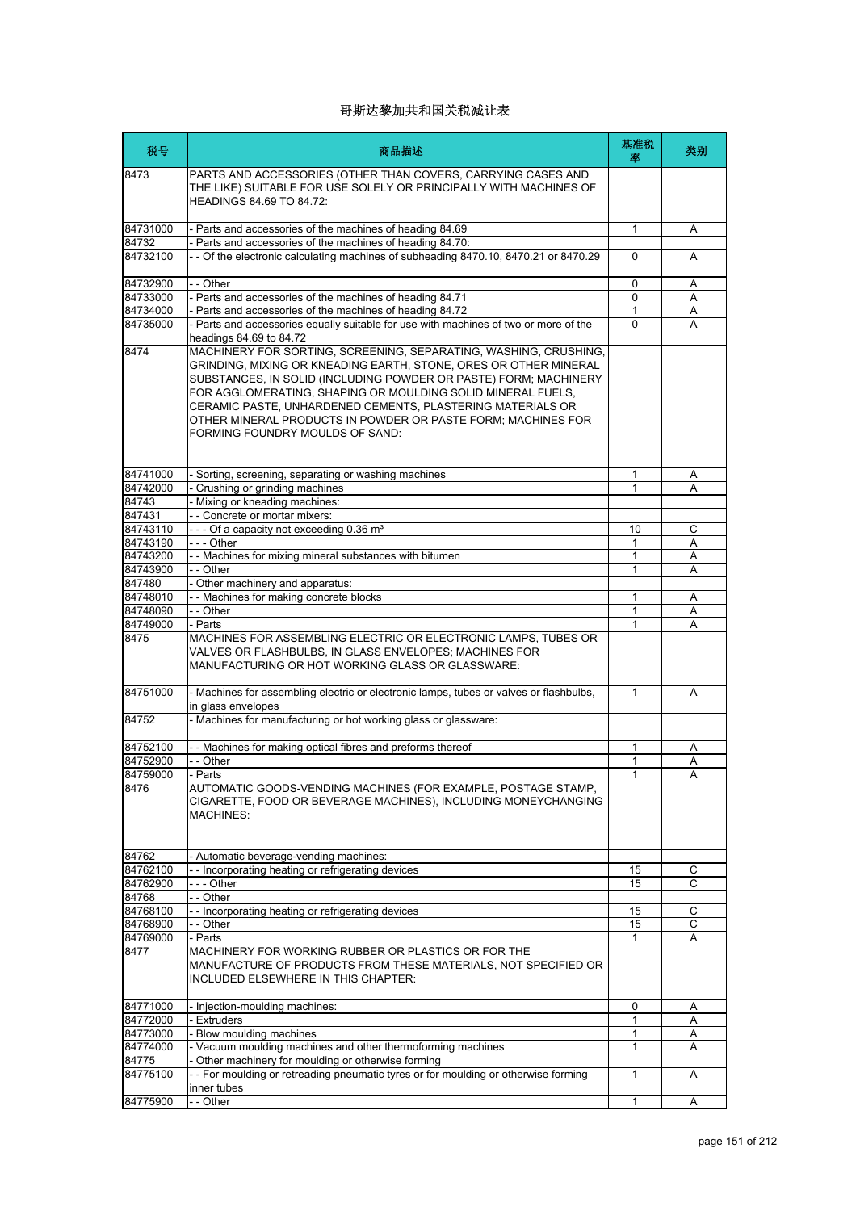| 税号       | 商品描述                                                                                                                                                                                                                                                                                                                                                                                                                                     | 基准税<br>率     | 类别 |
|----------|------------------------------------------------------------------------------------------------------------------------------------------------------------------------------------------------------------------------------------------------------------------------------------------------------------------------------------------------------------------------------------------------------------------------------------------|--------------|----|
| 8473     | PARTS AND ACCESSORIES (OTHER THAN COVERS, CARRYING CASES AND<br>THE LIKE) SUITABLE FOR USE SOLELY OR PRINCIPALLY WITH MACHINES OF<br><b>HEADINGS 84.69 TO 84.72:</b>                                                                                                                                                                                                                                                                     |              |    |
| 84731000 | - Parts and accessories of the machines of heading 84.69                                                                                                                                                                                                                                                                                                                                                                                 | $\mathbf{1}$ | Α  |
| 84732    | Parts and accessories of the machines of heading 84.70:                                                                                                                                                                                                                                                                                                                                                                                  |              |    |
| 84732100 | - - Of the electronic calculating machines of subheading 8470.10, 8470.21 or 8470.29                                                                                                                                                                                                                                                                                                                                                     | $\Omega$     | A  |
| 84732900 | - - Other                                                                                                                                                                                                                                                                                                                                                                                                                                | $\Omega$     | A  |
| 84733000 | - Parts and accessories of the machines of heading 84.71                                                                                                                                                                                                                                                                                                                                                                                 | $\mathbf 0$  | Α  |
| 84734000 | - Parts and accessories of the machines of heading 84.72                                                                                                                                                                                                                                                                                                                                                                                 | 1            | Α  |
| 84735000 | - Parts and accessories equally suitable for use with machines of two or more of the<br>headings 84.69 to 84.72                                                                                                                                                                                                                                                                                                                          | $\Omega$     | A  |
| 8474     | MACHINERY FOR SORTING, SCREENING, SEPARATING, WASHING, CRUSHING,<br>GRINDING, MIXING OR KNEADING EARTH, STONE, ORES OR OTHER MINERAL<br>SUBSTANCES, IN SOLID (INCLUDING POWDER OR PASTE) FORM; MACHINERY<br>FOR AGGLOMERATING, SHAPING OR MOULDING SOLID MINERAL FUELS,<br>CERAMIC PASTE, UNHARDENED CEMENTS, PLASTERING MATERIALS OR<br>OTHER MINERAL PRODUCTS IN POWDER OR PASTE FORM: MACHINES FOR<br>FORMING FOUNDRY MOULDS OF SAND: |              |    |
| 84741000 | - Sorting, screening, separating or washing machines                                                                                                                                                                                                                                                                                                                                                                                     | 1            | Α  |
| 84742000 | Crushing or grinding machines                                                                                                                                                                                                                                                                                                                                                                                                            | $\mathbf{1}$ | A  |
| 84743    | Mixing or kneading machines:                                                                                                                                                                                                                                                                                                                                                                                                             |              |    |
| 847431   | - - Concrete or mortar mixers:                                                                                                                                                                                                                                                                                                                                                                                                           |              |    |
| 84743110 | --- Of a capacity not exceeding 0.36 m <sup>3</sup>                                                                                                                                                                                                                                                                                                                                                                                      | 10           | С  |
| 84743190 | - - - Other                                                                                                                                                                                                                                                                                                                                                                                                                              | $\mathbf{1}$ | A  |
| 84743200 | - - Machines for mixing mineral substances with bitumen                                                                                                                                                                                                                                                                                                                                                                                  | 1            | Α  |
| 84743900 | - - Other                                                                                                                                                                                                                                                                                                                                                                                                                                | 1            | А  |
| 847480   | Other machinery and apparatus:                                                                                                                                                                                                                                                                                                                                                                                                           |              |    |
| 84748010 | - Machines for making concrete blocks                                                                                                                                                                                                                                                                                                                                                                                                    | 1            | Α  |
| 84748090 | - - Other                                                                                                                                                                                                                                                                                                                                                                                                                                | $\mathbf{1}$ | Α  |
| 84749000 | - Parts                                                                                                                                                                                                                                                                                                                                                                                                                                  | 1            | A  |
| 8475     | MACHINES FOR ASSEMBLING ELECTRIC OR ELECTRONIC LAMPS, TUBES OR<br>VALVES OR FLASHBULBS, IN GLASS ENVELOPES; MACHINES FOR<br>MANUFACTURING OR HOT WORKING GLASS OR GLASSWARE:                                                                                                                                                                                                                                                             |              |    |
| 84751000 | - Machines for assembling electric or electronic lamps, tubes or valves or flashbulbs,<br>in glass envelopes                                                                                                                                                                                                                                                                                                                             | 1            | A  |
| 84752    | - Machines for manufacturing or hot working glass or glassware:                                                                                                                                                                                                                                                                                                                                                                          |              |    |
| 84752100 | - - Machines for making optical fibres and preforms thereof                                                                                                                                                                                                                                                                                                                                                                              | $\mathbf{1}$ | Α  |
| 84752900 | - - Other                                                                                                                                                                                                                                                                                                                                                                                                                                | 1            | Α  |
| 84759000 | Parts                                                                                                                                                                                                                                                                                                                                                                                                                                    |              | Α  |
| 8476     | AUTOMATIC GOODS-VENDING MACHINES (FOR EXAMPLE, POSTAGE STAMP,<br>CIGARETTE, FOOD OR BEVERAGE MACHINES), INCLUDING MONEYCHANGING<br><b>MACHINES:</b>                                                                                                                                                                                                                                                                                      |              |    |
| 84762    | - Automatic beverage-vending machines:                                                                                                                                                                                                                                                                                                                                                                                                   |              |    |
| 84762100 | - - Incorporating heating or refrigerating devices                                                                                                                                                                                                                                                                                                                                                                                       | 15           | С  |
| 84762900 | --- Other                                                                                                                                                                                                                                                                                                                                                                                                                                | 15           | C  |
| 84768    | - - Other                                                                                                                                                                                                                                                                                                                                                                                                                                |              |    |
| 84768100 | -- Incorporating heating or refrigerating devices                                                                                                                                                                                                                                                                                                                                                                                        | 15           | С  |
| 84768900 | - - Other                                                                                                                                                                                                                                                                                                                                                                                                                                | 15           | С  |
| 84769000 | - Parts                                                                                                                                                                                                                                                                                                                                                                                                                                  | 1            | Α  |
| 8477     | MACHINERY FOR WORKING RUBBER OR PLASTICS OR FOR THE<br>MANUFACTURE OF PRODUCTS FROM THESE MATERIALS, NOT SPECIFIED OR<br>INCLUDED ELSEWHERE IN THIS CHAPTER:                                                                                                                                                                                                                                                                             |              |    |
| 84771000 | - Injection-moulding machines:                                                                                                                                                                                                                                                                                                                                                                                                           | $\mathbf 0$  | Α  |
| 84772000 | - Extruders                                                                                                                                                                                                                                                                                                                                                                                                                              | 1            | Α  |
| 84773000 | Blow moulding machines                                                                                                                                                                                                                                                                                                                                                                                                                   | 1            | Α  |
| 84774000 | - Vacuum moulding machines and other thermoforming machines                                                                                                                                                                                                                                                                                                                                                                              | 1            | Α  |
| 84775    | Other machinery for moulding or otherwise forming                                                                                                                                                                                                                                                                                                                                                                                        |              |    |
| 84775100 | -- For moulding or retreading pneumatic tyres or for moulding or otherwise forming                                                                                                                                                                                                                                                                                                                                                       | $\mathbf{1}$ | A  |
|          | inner tubes                                                                                                                                                                                                                                                                                                                                                                                                                              |              |    |
| 84775900 | - Other                                                                                                                                                                                                                                                                                                                                                                                                                                  | 1            | Α  |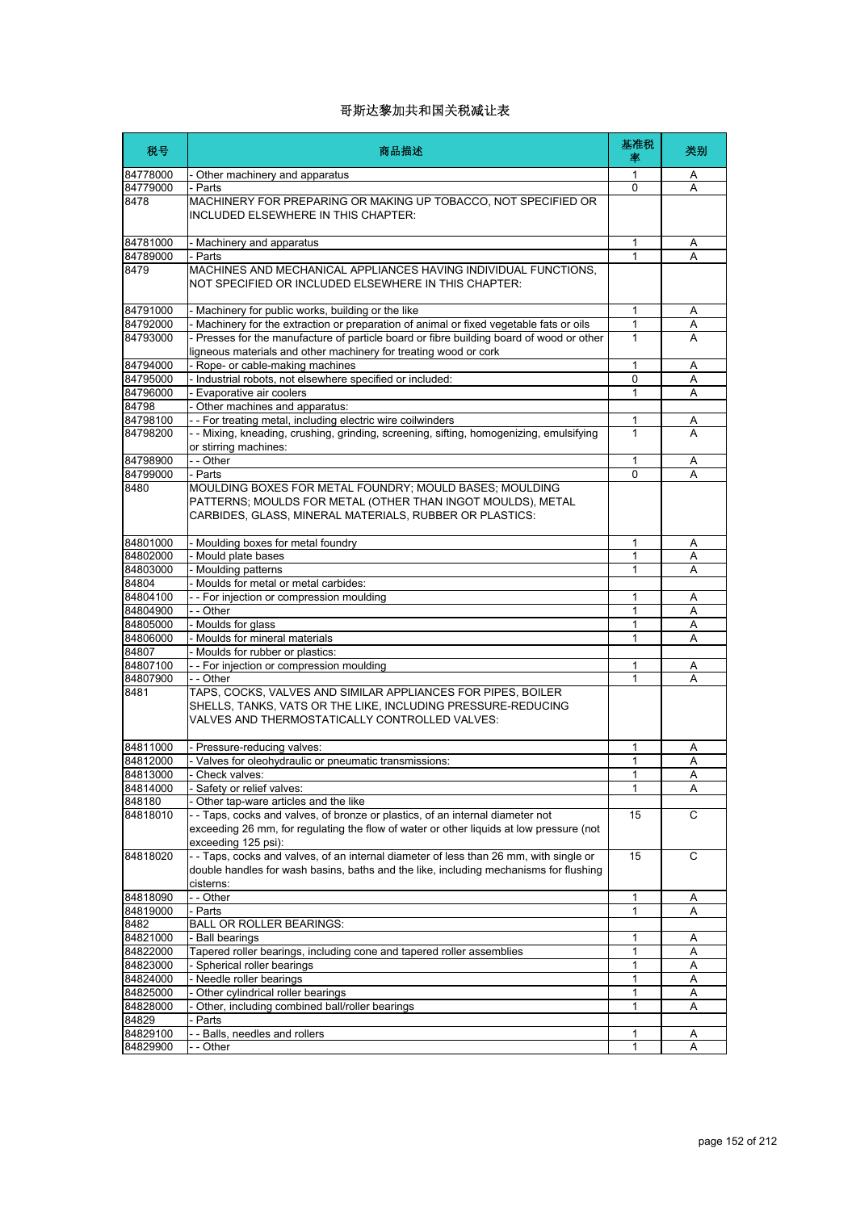| 税号               | 商品描述                                                                                                                                                                                            | 基准税<br>率     | 类别 |
|------------------|-------------------------------------------------------------------------------------------------------------------------------------------------------------------------------------------------|--------------|----|
| 84778000         | Other machinery and apparatus                                                                                                                                                                   | 1            | A  |
| 84779000         | - Parts                                                                                                                                                                                         | $\Omega$     | A  |
| 8478             | MACHINERY FOR PREPARING OR MAKING UP TOBACCO, NOT SPECIFIED OR<br>INCLUDED ELSEWHERE IN THIS CHAPTER:                                                                                           |              |    |
| 84781000         | - Machinery and apparatus                                                                                                                                                                       | 1            | Α  |
| 84789000         | - Parts                                                                                                                                                                                         | 1            | A  |
| 8479             | MACHINES AND MECHANICAL APPLIANCES HAVING INDIVIDUAL FUNCTIONS,<br>NOT SPECIFIED OR INCLUDED ELSEWHERE IN THIS CHAPTER:                                                                         |              |    |
| 84791000         | - Machinery for public works, building or the like                                                                                                                                              | $\mathbf{1}$ | Α  |
| 84792000         | - Machinery for the extraction or preparation of animal or fixed vegetable fats or oils                                                                                                         | 1            | Α  |
| 84793000         | - Presses for the manufacture of particle board or fibre building board of wood or other<br>ligneous materials and other machinery for treating wood or cork                                    | 1            | Α  |
| 84794000         | Rope- or cable-making machines                                                                                                                                                                  | 1            | Α  |
| 84795000         | - Industrial robots, not elsewhere specified or included:                                                                                                                                       | $\Omega$     | A  |
| 84796000         | - Evaporative air coolers                                                                                                                                                                       | 1            | A  |
| 84798            | Other machines and apparatus:                                                                                                                                                                   |              |    |
| 84798100         | - - For treating metal, including electric wire coilwinders                                                                                                                                     | 1            | Α  |
| 84798200         | -- Mixing, kneading, crushing, grinding, screening, sifting, homogenizing, emulsifying<br>or stirring machines:                                                                                 | 1            | A  |
| 84798900         | - - Other                                                                                                                                                                                       | 1            | Α  |
| 84799000         | - Parts                                                                                                                                                                                         | 0            | A  |
| 8480             | MOULDING BOXES FOR METAL FOUNDRY; MOULD BASES; MOULDING<br>PATTERNS; MOULDS FOR METAL (OTHER THAN INGOT MOULDS), METAL<br>CARBIDES, GLASS, MINERAL MATERIALS, RUBBER OR PLASTICS:               |              |    |
| 84801000         | Moulding boxes for metal foundry                                                                                                                                                                | 1            | Α  |
| 84802000         | - Mould plate bases                                                                                                                                                                             | 1            | Α  |
| 84803000         | Moulding patterns                                                                                                                                                                               | 1            | A  |
| 84804            | Moulds for metal or metal carbides:                                                                                                                                                             |              |    |
| 84804100         | -- For injection or compression moulding                                                                                                                                                        | 1            | Α  |
| 84804900         | - - Other                                                                                                                                                                                       | 1            | A  |
| 84805000         | - Moulds for glass                                                                                                                                                                              | 1            | A  |
| 84806000         | - Moulds for mineral materials                                                                                                                                                                  | 1            | A  |
| 84807            | - Moulds for rubber or plastics:                                                                                                                                                                |              |    |
| 84807100         | -- For injection or compression moulding                                                                                                                                                        | 1            | A  |
| 84807900<br>8481 | - - Other<br>TAPS, COCKS, VALVES AND SIMILAR APPLIANCES FOR PIPES, BOILER<br>SHELLS, TANKS, VATS OR THE LIKE, INCLUDING PRESSURE-REDUCING<br>VALVES AND THERMOSTATICALLY CONTROLLED VALVES:     | 1            | A  |
| 84811000         | Pressure-reducing valves:                                                                                                                                                                       | 1            | Α  |
| 84812000         | - Valves for oleohydraulic or pneumatic transmissions:                                                                                                                                          | 1            | A  |
| 84813000         | Check valves:                                                                                                                                                                                   |              | Α  |
| 84814000         | - Safety or relief valves:                                                                                                                                                                      | 1            | Α  |
| 848180           | Other tap-ware articles and the like                                                                                                                                                            |              |    |
| 84818010         | -- Taps, cocks and valves, of bronze or plastics, of an internal diameter not<br>exceeding 26 mm, for regulating the flow of water or other liguids at low pressure (not<br>exceeding 125 psi): | 15           | C  |
| 84818020         | --Taps, cocks and valves, of an internal diameter of less than 26 mm, with single or<br>double handles for wash basins, baths and the like, including mechanisms for flushing<br>cisterns:      | 15           | C  |
| 84818090         | - - Other                                                                                                                                                                                       | 1            | A  |
| 84819000         | - Parts                                                                                                                                                                                         | 1            | Α  |
| 8482<br>84821000 | BALL OR ROLLER BEARINGS:<br>Ball bearings                                                                                                                                                       | 1            | Α  |
| 84822000         | Tapered roller bearings, including cone and tapered roller assemblies                                                                                                                           | 1            | Α  |
| 84823000         | Spherical roller bearings                                                                                                                                                                       | 1            | Α  |
| 84824000         | Needle roller bearings                                                                                                                                                                          | 1            | Α  |
| 84825000         | Other cylindrical roller bearings                                                                                                                                                               | 1            | Α  |
| 84828000         | Other, including combined ball/roller bearings                                                                                                                                                  | 1            | Α  |
| 84829            | Parts                                                                                                                                                                                           |              |    |
| 84829100         | - Balls, needles and rollers                                                                                                                                                                    | 1            | Α  |
| 84829900         | - - Other                                                                                                                                                                                       | 1            | A  |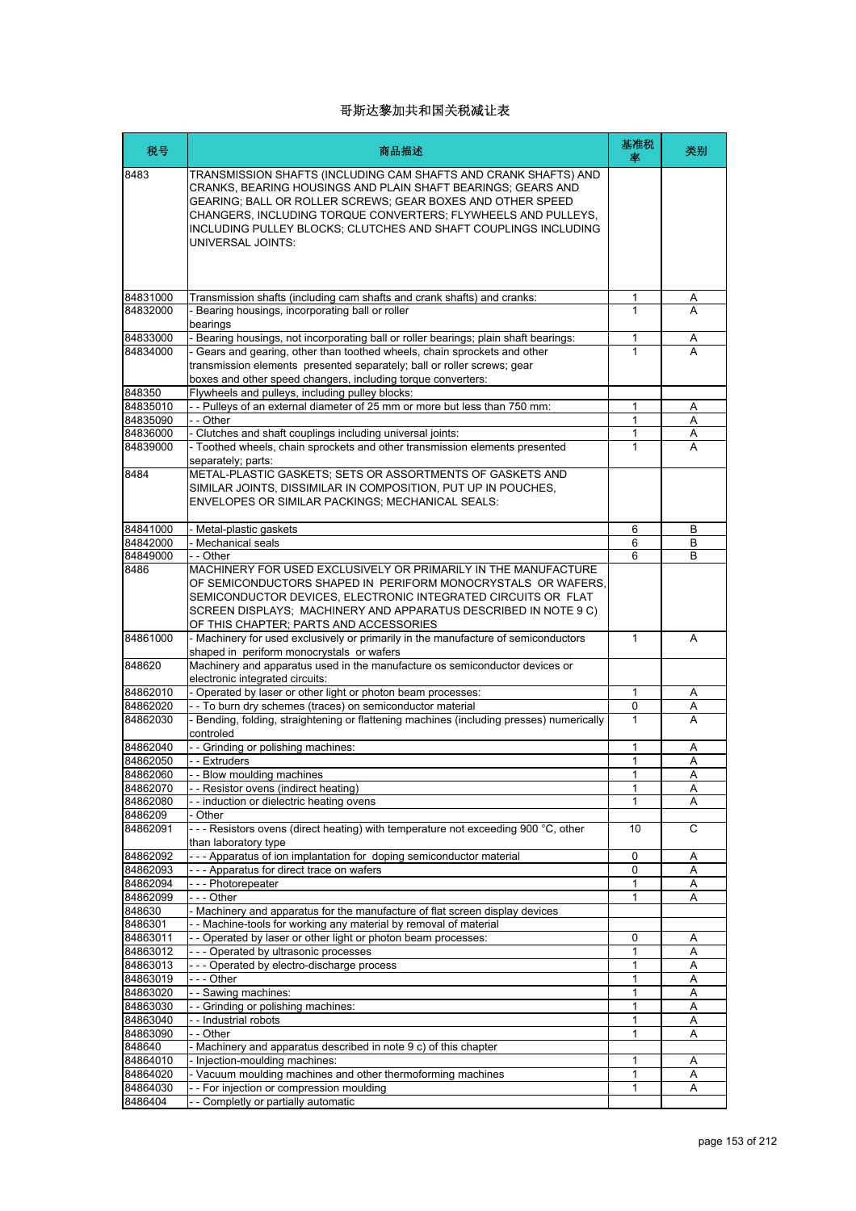| 税号                   | 商品描述                                                                                                                                                                                                                                                                                                                                                   | 基准税<br>率          | 类别     |
|----------------------|--------------------------------------------------------------------------------------------------------------------------------------------------------------------------------------------------------------------------------------------------------------------------------------------------------------------------------------------------------|-------------------|--------|
| 8483                 | TRANSMISSION SHAFTS (INCLUDING CAM SHAFTS AND CRANK SHAFTS) AND<br>CRANKS, BEARING HOUSINGS AND PLAIN SHAFT BEARINGS; GEARS AND<br>GEARING: BALL OR ROLLER SCREWS: GEAR BOXES AND OTHER SPEED<br>CHANGERS, INCLUDING TORQUE CONVERTERS; FLYWHEELS AND PULLEYS,<br>INCLUDING PULLEY BLOCKS; CLUTCHES AND SHAFT COUPLINGS INCLUDING<br>UNIVERSAL JOINTS: |                   |        |
|                      |                                                                                                                                                                                                                                                                                                                                                        |                   |        |
| 84831000<br>84832000 | Transmission shafts (including cam shafts and crank shafts) and cranks:<br>- Bearing housings, incorporating ball or roller                                                                                                                                                                                                                            | 1<br>1            | A      |
|                      | bearings                                                                                                                                                                                                                                                                                                                                               |                   |        |
| 84833000<br>84834000 | - Bearing housings, not incorporating ball or roller bearings; plain shaft bearings:<br>- Gears and gearing, other than toothed wheels, chain sprockets and other                                                                                                                                                                                      | 1<br>$\mathbf{1}$ | Α<br>A |
|                      | transmission elements presented separately; ball or roller screws; gear<br>boxes and other speed changers, including torque converters:                                                                                                                                                                                                                |                   |        |
| 848350<br>84835010   | Flywheels and pulleys, including pulley blocks:<br>-- Pulleys of an external diameter of 25 mm or more but less than 750 mm:                                                                                                                                                                                                                           | 1                 |        |
| 84835090             | - - Other                                                                                                                                                                                                                                                                                                                                              | 1                 | Α<br>A |
| 84836000             | - Clutches and shaft couplings including universal joints:                                                                                                                                                                                                                                                                                             | 1                 | Α      |
| 84839000             | - Toothed wheels, chain sprockets and other transmission elements presented<br>separately; parts:                                                                                                                                                                                                                                                      | 1                 | A      |
| 8484                 | METAL-PLASTIC GASKETS; SETS OR ASSORTMENTS OF GASKETS AND<br>SIMILAR JOINTS, DISSIMILAR IN COMPOSITION, PUT UP IN POUCHES,<br>ENVELOPES OR SIMILAR PACKINGS; MECHANICAL SEALS:                                                                                                                                                                         |                   |        |
| 84841000             | - Metal-plastic gaskets                                                                                                                                                                                                                                                                                                                                | 6                 | B      |
| 84842000             | - Mechanical seals                                                                                                                                                                                                                                                                                                                                     | 6                 | B      |
| 84849000<br>8486     | - - Other<br>MACHINERY FOR USED EXCLUSIVELY OR PRIMARILY IN THE MANUFACTURE                                                                                                                                                                                                                                                                            | 6                 | B      |
|                      | OF SEMICONDUCTORS SHAPED IN PERIFORM MONOCRYSTALS OR WAFERS.<br>SEMICONDUCTOR DEVICES, ELECTRONIC INTEGRATED CIRCUITS OR FLAT<br>SCREEN DISPLAYS; MACHINERY AND APPARATUS DESCRIBED IN NOTE 9 C)<br>OF THIS CHAPTER; PARTS AND ACCESSORIES                                                                                                             |                   |        |
| 84861000             | - Machinery for used exclusively or primarily in the manufacture of semiconductors<br>shaped in periform monocrystals or wafers                                                                                                                                                                                                                        | 1                 | A      |
| 848620               | Machinery and apparatus used in the manufacture os semiconductor devices or<br>electronic integrated circuits:                                                                                                                                                                                                                                         |                   |        |
| 84862010             | - Operated by laser or other light or photon beam processes:                                                                                                                                                                                                                                                                                           | 1                 | Α      |
| 84862020             | - - To burn dry schemes (traces) on semiconductor material                                                                                                                                                                                                                                                                                             | 0                 | Α      |
| 84862030             | - Bending, folding, straightening or flattening machines (including presses) numerically<br>controled                                                                                                                                                                                                                                                  | 1                 | A      |
| 84862040<br>84862050 | -- Grinding or polishing machines:<br>- - Extruders                                                                                                                                                                                                                                                                                                    | 1<br>1            | Α<br>Α |
| 84862060             | - Blow moulding machines                                                                                                                                                                                                                                                                                                                               | 1                 | A      |
| 84862070             | - - Resistor ovens (indirect heating)                                                                                                                                                                                                                                                                                                                  | 1                 | Α      |
| 84862080             | - induction or dielectric heating ovens                                                                                                                                                                                                                                                                                                                | 1                 | Α      |
| 8486209              | - Other                                                                                                                                                                                                                                                                                                                                                |                   |        |
| 84862091             | --- Resistors ovens (direct heating) with temperature not exceeding 900 °C, other<br>than laboratory type                                                                                                                                                                                                                                              | 10                | С      |
| 84862092<br>84862093 | --- Apparatus of ion implantation for doping semiconductor material<br>--- Apparatus for direct trace on wafers                                                                                                                                                                                                                                        | 0<br>0            | Α<br>Α |
| 84862094             | --- Photorepeater                                                                                                                                                                                                                                                                                                                                      | 1                 | Α      |
| 84862099             | $- -$ Other                                                                                                                                                                                                                                                                                                                                            | 1                 | Α      |
| 848630               | - Machinery and apparatus for the manufacture of flat screen display devices                                                                                                                                                                                                                                                                           |                   |        |
| 8486301              | - - Machine-tools for working any material by removal of material                                                                                                                                                                                                                                                                                      |                   |        |
| 84863011             | - - Operated by laser or other light or photon beam processes:                                                                                                                                                                                                                                                                                         | 0                 | Α      |
| 84863012             | --- Operated by ultrasonic processes<br>--- Operated by electro-discharge process                                                                                                                                                                                                                                                                      | 1<br>1            | Α<br>Α |
| 84863013<br>84863019 | --- Other                                                                                                                                                                                                                                                                                                                                              | 1                 | Α      |
| 84863020             | - - Sawing machines:                                                                                                                                                                                                                                                                                                                                   | 1                 | Α      |
| 84863030             | -- Grinding or polishing machines:                                                                                                                                                                                                                                                                                                                     | 1                 | A      |
| 84863040             | - - Industrial robots                                                                                                                                                                                                                                                                                                                                  | 1                 | Α      |
| 84863090             | - - Other                                                                                                                                                                                                                                                                                                                                              | 1                 | A      |
| 848640<br>84864010   | - Machinery and apparatus described in note 9 c) of this chapter<br>- Injection-moulding machines:                                                                                                                                                                                                                                                     | 1                 |        |
| 84864020             | - Vacuum moulding machines and other thermoforming machines                                                                                                                                                                                                                                                                                            | 1                 | Α<br>Α |
| 84864030             | - - For injection or compression moulding                                                                                                                                                                                                                                                                                                              | 1                 | Α      |
| 8486404              | - - Completly or partially automatic                                                                                                                                                                                                                                                                                                                   |                   |        |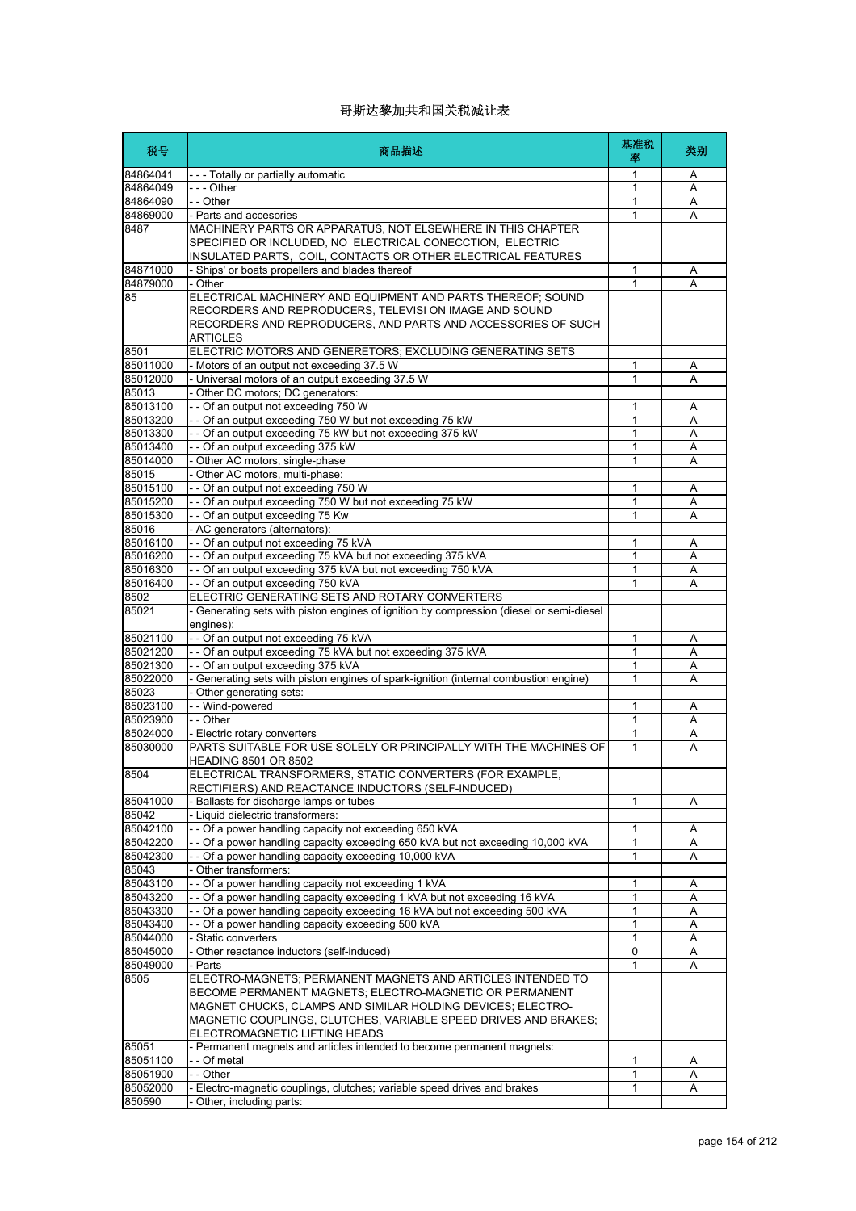| 税号                   | 商品描述                                                                                                           | 基准税<br>率 | 类别     |
|----------------------|----------------------------------------------------------------------------------------------------------------|----------|--------|
| 84864041             | --- Totally or partially automatic                                                                             | 1        | Α      |
| 84864049             | --- Other                                                                                                      | 1        | A      |
| 84864090             | - - Other                                                                                                      | 1        | Α      |
| 84869000             | - Parts and accesories                                                                                         | 1        | A      |
| 8487                 | MACHINERY PARTS OR APPARATUS, NOT ELSEWHERE IN THIS CHAPTER                                                    |          |        |
|                      | SPECIFIED OR INCLUDED, NO ELECTRICAL CONECCTION, ELECTRIC                                                      |          |        |
|                      | INSULATED PARTS, COIL, CONTACTS OR OTHER ELECTRICAL FEATURES                                                   |          |        |
| 84871000<br>84879000 | - Ships' or boats propellers and blades thereof<br>- Other                                                     | 1<br>1   | Α<br>A |
| 85                   | ELECTRICAL MACHINERY AND EQUIPMENT AND PARTS THEREOF; SOUND                                                    |          |        |
|                      | RECORDERS AND REPRODUCERS, TELEVISI ON IMAGE AND SOUND                                                         |          |        |
|                      | RECORDERS AND REPRODUCERS, AND PARTS AND ACCESSORIES OF SUCH                                                   |          |        |
|                      | ARTICLES                                                                                                       |          |        |
| 8501                 | ELECTRIC MOTORS AND GENERETORS; EXCLUDING GENERATING SETS                                                      |          |        |
| 85011000             | - Motors of an output not exceeding 37.5 W                                                                     | 1        | Α      |
| 85012000             | - Universal motors of an output exceeding 37.5 W                                                               | 1        | A      |
| 85013                | - Other DC motors; DC generators:                                                                              |          |        |
| 85013100             | -- Of an output not exceeding 750 W                                                                            | 1        | Α      |
| 85013200             | - - Of an output exceeding 750 W but not exceeding 75 kW                                                       | 1        | Α      |
| 85013300             | - - Of an output exceeding 75 kW but not exceeding 375 kW                                                      | 1        | Α      |
| 85013400             | - - Of an output exceeding 375 kW                                                                              | 1        | A      |
| 85014000             | - Other AC motors, single-phase                                                                                | 1        | Α      |
| 85015                | - Other AC motors, multi-phase:                                                                                |          |        |
| 85015100             | - - Of an output not exceeding 750 W                                                                           | 1        | Α      |
| 85015200             | - - Of an output exceeding 750 W but not exceeding 75 kW                                                       | 1        | Α      |
| 85015300             | -- Of an output exceeding 75 Kw                                                                                | 1        | A      |
| 85016                | - AC generators (alternators):                                                                                 |          |        |
| 85016100             | - - Of an output not exceeding 75 kVA                                                                          | 1        | A      |
| 85016200             | - - Of an output exceeding 75 kVA but not exceeding 375 kVA                                                    | 1        | Α      |
| 85016300             | - - Of an output exceeding 375 kVA but not exceeding 750 kVA                                                   | 1        | Α      |
| 85016400             | -- Of an output exceeding 750 kVA                                                                              | 1        | Α      |
| 8502                 | ELECTRIC GENERATING SETS AND ROTARY CONVERTERS                                                                 |          |        |
| 85021                | Generating sets with piston engines of ignition by compression (diesel or semi-diesel                          |          |        |
|                      | engines):                                                                                                      |          |        |
| 85021100             | -- Of an output not exceeding 75 kVA                                                                           | 1        | Α      |
| 85021200             | - - Of an output exceeding 75 kVA but not exceeding 375 kVA                                                    | 1        | Α      |
| 85021300             | -- Of an output exceeding 375 kVA                                                                              | 1        | Α      |
| 85022000             | - Generating sets with piston engines of spark-ignition (internal combustion engine)                           | 1        | A      |
| 85023                | - Other generating sets:                                                                                       |          |        |
| 85023100             | - - Wind-powered                                                                                               | 1        | A      |
| 85023900             | - - Other                                                                                                      | 1        | Α      |
| 85024000<br>85030000 | - Electric rotary converters<br>PARTS SUITABLE FOR USE SOLELY OR PRINCIPALLY WITH THE MACHINES OF              | 1<br>1   | Α<br>A |
|                      |                                                                                                                |          |        |
|                      | HEADING 8501 OR 8502                                                                                           |          |        |
| 8504                 | ELECTRICAL TRANSFORMERS, STATIC CONVERTERS (FOR EXAMPLE,<br>RECTIFIERS) AND REACTANCE INDUCTORS (SELF-INDUCED) |          |        |
| 85041000             | Ballasts for discharge lamps or tubes                                                                          | 1        | Α      |
| 85042                | - Liquid dielectric transformers:                                                                              |          |        |
| 85042100             | - - Of a power handling capacity not exceeding 650 kVA                                                         | 1        | A      |
| 85042200             | - - Of a power handling capacity exceeding 650 kVA but not exceeding 10,000 kVA                                | 1        | Α      |
| 85042300             | -- Of a power handling capacity exceeding 10,000 kVA                                                           | 1        | A      |
| 85043                | Other transformers:                                                                                            |          |        |
| 85043100             | - - Of a power handling capacity not exceeding 1 kVA                                                           | 1        | A      |
| 85043200             | - Of a power handling capacity exceeding 1 kVA but not exceeding 16 kVA                                        | 1        | Α      |
| 85043300             | - - Of a power handling capacity exceeding 16 kVA but not exceeding 500 kVA                                    | 1        | Α      |
| 85043400             | - Of a power handling capacity exceeding 500 kVA                                                               | 1        | Α      |
| 85044000             | - Static converters                                                                                            | 1        | Α      |
| 85045000             | - Other reactance inductors (self-induced)                                                                     | 0        | Α      |
| 85049000             | - Parts                                                                                                        | 1        | Α      |
| 8505                 | ELECTRO-MAGNETS; PERMANENT MAGNETS AND ARTICLES INTENDED TO                                                    |          |        |
|                      | BECOME PERMANENT MAGNETS; ELECTRO-MAGNETIC OR PERMANENT                                                        |          |        |
|                      | MAGNET CHUCKS, CLAMPS AND SIMILAR HOLDING DEVICES; ELECTRO-                                                    |          |        |
|                      | MAGNETIC COUPLINGS, CLUTCHES, VARIABLE SPEED DRIVES AND BRAKES;                                                |          |        |
|                      | ELECTROMAGNETIC LIFTING HEADS                                                                                  |          |        |
| 85051                | Permanent magnets and articles intended to become permanent magnets:                                           |          |        |
| 85051100             | - - Of metal                                                                                                   | 1        | Α      |
| 85051900             | - - Other                                                                                                      | 1        | Α      |
| 85052000             | - Electro-magnetic couplings, clutches; variable speed drives and brakes                                       | 1        | Α      |
| 850590               | Other, including parts:                                                                                        |          |        |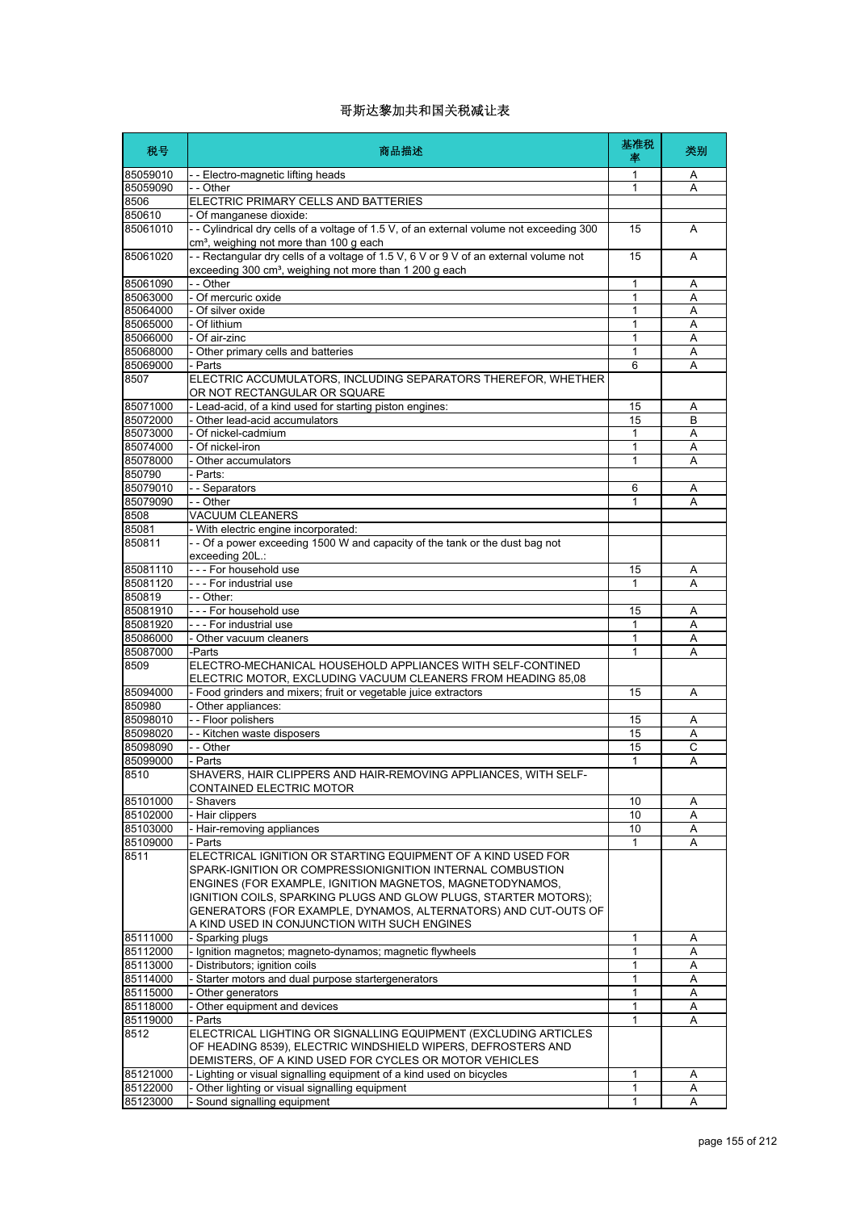| 税号                 | 商品描述                                                                                                                                                                                                               | 基准税<br>率 | 类别 |
|--------------------|--------------------------------------------------------------------------------------------------------------------------------------------------------------------------------------------------------------------|----------|----|
| 85059010           | - - Electro-magnetic lifting heads                                                                                                                                                                                 | 1        | A  |
| 85059090           | - - Other                                                                                                                                                                                                          | 1        | Α  |
| 8506               | ELECTRIC PRIMARY CELLS AND BATTERIES                                                                                                                                                                               |          |    |
| 850610<br>85061010 | - Of manganese dioxide:<br>- - Cylindrical dry cells of a voltage of 1.5 V, of an external volume not exceeding 300                                                                                                | 15       | A  |
| 85061020           | cm <sup>3</sup> , weighing not more than 100 g each<br>-- Rectangular dry cells of a voltage of 1.5 V, 6 V or 9 V of an external volume not<br>exceeding 300 cm <sup>3</sup> , weighing not more than 1 200 g each | 15       | A  |
| 85061090           | - - Other                                                                                                                                                                                                          | 1        | A  |
| 85063000           | - Of mercuric oxide                                                                                                                                                                                                | 1        | Α  |
| 85064000           | - Of silver oxide                                                                                                                                                                                                  | 1        | Α  |
| 85065000           | - Of lithium                                                                                                                                                                                                       | 1        | A  |
| 85066000           | - Of air-zinc                                                                                                                                                                                                      | 1        | Α  |
| 85068000           | - Other primary cells and batteries                                                                                                                                                                                | 1        | Α  |
| 85069000           | - Parts                                                                                                                                                                                                            | 6        | А  |
| 8507               | ELECTRIC ACCUMULATORS, INCLUDING SEPARATORS THEREFOR, WHETHER<br>OR NOT RECTANGULAR OR SQUARE                                                                                                                      |          |    |
| 85071000           | - Lead-acid, of a kind used for starting piston engines:                                                                                                                                                           | 15       | Α  |
| 85072000           | - Other lead-acid accumulators                                                                                                                                                                                     | 15       | B  |
| 85073000           | - Of nickel-cadmium                                                                                                                                                                                                | 1        | Α  |
| 85074000           | - Of nickel-iron                                                                                                                                                                                                   | 1        | A  |
| 85078000           | - Other accumulators                                                                                                                                                                                               | 1        | Α  |
| 850790             | - Parts:                                                                                                                                                                                                           |          |    |
| 85079010           | - - Separators<br>- - Other                                                                                                                                                                                        | 6        | Α  |
| 85079090<br>8508   | <b>VACUUM CLEANERS</b>                                                                                                                                                                                             | 1        | A  |
| 85081              | - With electric engine incorporated:                                                                                                                                                                               |          |    |
| 850811             | - - Of a power exceeding 1500 W and capacity of the tank or the dust bag not                                                                                                                                       |          |    |
|                    | exceeding 20L.:                                                                                                                                                                                                    |          |    |
| 85081110           | - - - For household use                                                                                                                                                                                            | 15       | Α  |
| 85081120           | --- For industrial use                                                                                                                                                                                             | 1        | Α  |
| 850819             | - - Other:                                                                                                                                                                                                         |          |    |
| 85081910           | - - - For household use                                                                                                                                                                                            | 15       | A  |
| 85081920           | --- For industrial use                                                                                                                                                                                             | 1        | Α  |
| 85086000           | - Other vacuum cleaners                                                                                                                                                                                            | 1        | Α  |
| 85087000           | -Parts                                                                                                                                                                                                             | 1        | Α  |
| 8509               | ELECTRO-MECHANICAL HOUSEHOLD APPLIANCES WITH SELF-CONTINED                                                                                                                                                         |          |    |
|                    | ELECTRIC MOTOR, EXCLUDING VACUUM CLEANERS FROM HEADING 85,08                                                                                                                                                       |          |    |
| 85094000<br>850980 | - Food grinders and mixers; fruit or vegetable juice extractors                                                                                                                                                    | 15       | A  |
| 85098010           | - Other appliances:<br>- - Floor polishers                                                                                                                                                                         | 15       | Α  |
| 85098020           | - - Kitchen waste disposers                                                                                                                                                                                        | 15       | Α  |
| 85098090           | - - Other                                                                                                                                                                                                          | 15       | C  |
| 85099000           | - Parts                                                                                                                                                                                                            | 1        | Α  |
| 8510               | SHAVERS, HAIR CLIPPERS AND HAIR-REMOVING APPLIANCES, WITH SELF-                                                                                                                                                    |          |    |
|                    | CONTAINED ELECTRIC MOTOR                                                                                                                                                                                           |          |    |
| 85101000           | - Shavers                                                                                                                                                                                                          | 10       | Α  |
| 85102000           | - Hair clippers                                                                                                                                                                                                    | 10       | Α  |
| 85103000           | Hair-removing appliances                                                                                                                                                                                           | 10       | Α  |
| 85109000           | - Parts                                                                                                                                                                                                            | 1        | Α  |
| 8511               | ELECTRICAL IGNITION OR STARTING EQUIPMENT OF A KIND USED FOR<br>SPARK-IGNITION OR COMPRESSIONIGNITION INTERNAL COMBUSTION                                                                                          |          |    |
|                    | ENGINES (FOR EXAMPLE, IGNITION MAGNETOS, MAGNETODYNAMOS,                                                                                                                                                           |          |    |
|                    | IGNITION COILS, SPARKING PLUGS AND GLOW PLUGS, STARTER MOTORS);                                                                                                                                                    |          |    |
|                    | GENERATORS (FOR EXAMPLE, DYNAMOS, ALTERNATORS) AND CUT-OUTS OF                                                                                                                                                     |          |    |
|                    | A KIND USED IN CONJUNCTION WITH SUCH ENGINES                                                                                                                                                                       |          |    |
| 85111000           | - Sparking plugs                                                                                                                                                                                                   | 1        | Α  |
| 85112000           | - Ignition magnetos; magneto-dynamos; magnetic flywheels                                                                                                                                                           | 1        | Α  |
| 85113000           | - Distributors; ignition coils                                                                                                                                                                                     | 1        | Α  |
| 85114000           | - Starter motors and dual purpose startergenerators                                                                                                                                                                | 1        | Α  |
| 85115000           | Other generators                                                                                                                                                                                                   | 1        | Α  |
| 85118000           | Other equipment and devices                                                                                                                                                                                        | 1        | A  |
| 85119000           | Parts                                                                                                                                                                                                              | 1        | A  |
| 8512               | ELECTRICAL LIGHTING OR SIGNALLING EQUIPMENT (EXCLUDING ARTICLES                                                                                                                                                    |          |    |
|                    | OF HEADING 8539), ELECTRIC WINDSHIELD WIPERS, DEFROSTERS AND                                                                                                                                                       |          |    |
|                    | DEMISTERS, OF A KIND USED FOR CYCLES OR MOTOR VEHICLES                                                                                                                                                             |          |    |
| 85121000           | - Lighting or visual signalling equipment of a kind used on bicycles                                                                                                                                               | 1        | A  |
| 85122000           | - Other lighting or visual signalling equipment                                                                                                                                                                    | 1        | Α  |
| 85123000           | Sound signalling equipment                                                                                                                                                                                         | 1        | A  |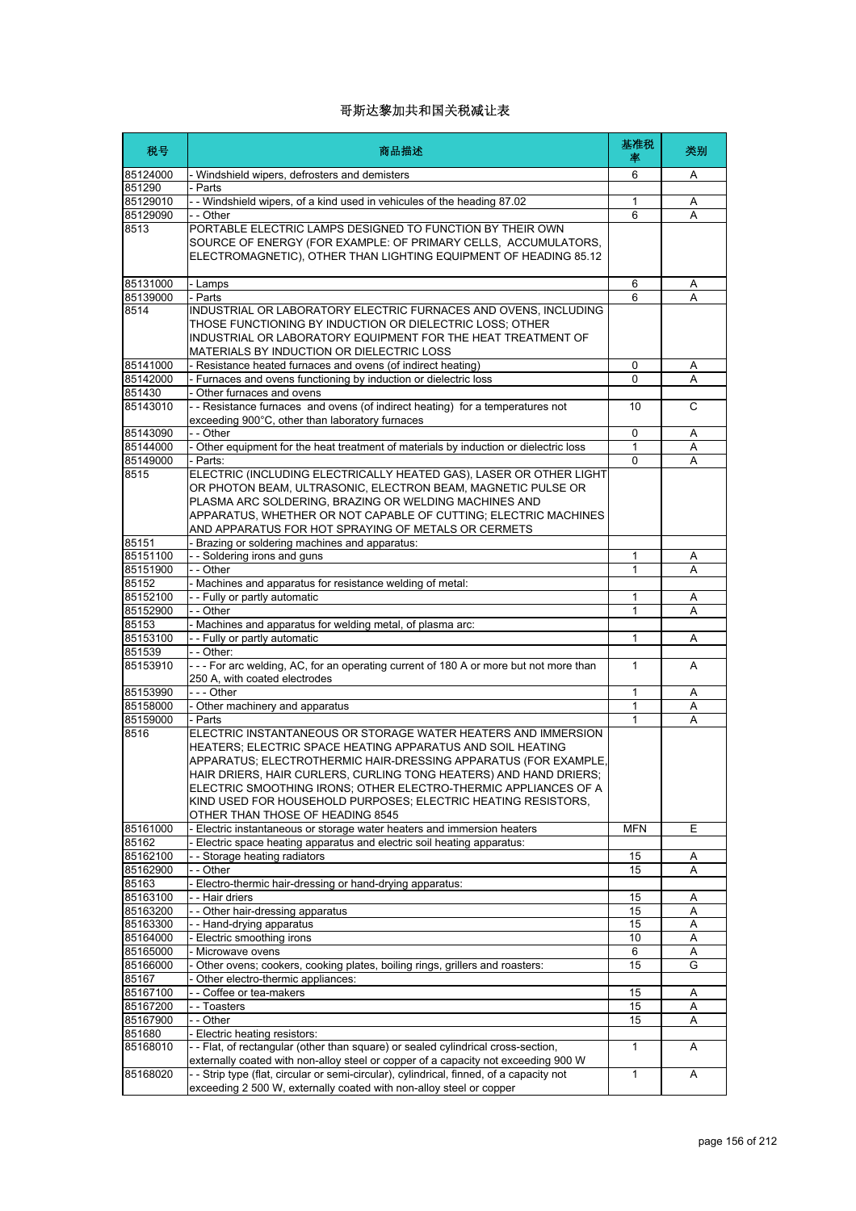| 税号                   | 商品描述                                                                                                                                                                                                                                                                                                                                                                                                                                        | 基准税<br>率     | 类别     |
|----------------------|---------------------------------------------------------------------------------------------------------------------------------------------------------------------------------------------------------------------------------------------------------------------------------------------------------------------------------------------------------------------------------------------------------------------------------------------|--------------|--------|
| 85124000             | Windshield wipers, defrosters and demisters                                                                                                                                                                                                                                                                                                                                                                                                 | 6            | A      |
| 851290               | Parts                                                                                                                                                                                                                                                                                                                                                                                                                                       |              |        |
| 85129010             | - Windshield wipers, of a kind used in vehicules of the heading 87.02                                                                                                                                                                                                                                                                                                                                                                       | 1            | Α      |
| 85129090             | - - Other                                                                                                                                                                                                                                                                                                                                                                                                                                   | 6            | Α      |
| 8513                 | PORTABLE ELECTRIC LAMPS DESIGNED TO FUNCTION BY THEIR OWN<br>SOURCE OF ENERGY (FOR EXAMPLE: OF PRIMARY CELLS, ACCUMULATORS,<br>ELECTROMAGNETIC), OTHER THAN LIGHTING EQUIPMENT OF HEADING 85.12                                                                                                                                                                                                                                             |              |        |
| 85131000             | - Lamps                                                                                                                                                                                                                                                                                                                                                                                                                                     | 6            | Α      |
| 85139000             | - Parts                                                                                                                                                                                                                                                                                                                                                                                                                                     | 6            | A      |
| 8514                 | INDUSTRIAL OR LABORATORY ELECTRIC FURNACES AND OVENS, INCLUDING<br>THOSE FUNCTIONING BY INDUCTION OR DIELECTRIC LOSS: OTHER<br>INDUSTRIAL OR LABORATORY EQUIPMENT FOR THE HEAT TREATMENT OF<br>MATERIALS BY INDUCTION OR DIELECTRIC LOSS                                                                                                                                                                                                    |              |        |
| 85141000             | - Resistance heated furnaces and ovens (of indirect heating)                                                                                                                                                                                                                                                                                                                                                                                | 0            | Α      |
| 85142000             | - Furnaces and ovens functioning by induction or dielectric loss                                                                                                                                                                                                                                                                                                                                                                            | $\mathbf{0}$ | A      |
| 851430               | Other furnaces and ovens                                                                                                                                                                                                                                                                                                                                                                                                                    |              |        |
| 85143010             | - - Resistance furnaces and ovens (of indirect heating) for a temperatures not<br>exceeding 900°C, other than laboratory furnaces                                                                                                                                                                                                                                                                                                           | 10           | C      |
| 85143090             | - - Other                                                                                                                                                                                                                                                                                                                                                                                                                                   | 0            | Α      |
| 85144000             | Other equipment for the heat treatment of materials by induction or dielectric loss                                                                                                                                                                                                                                                                                                                                                         | $\mathbf{1}$ | Α      |
| 85149000             | - Parts:                                                                                                                                                                                                                                                                                                                                                                                                                                    | 0            | A      |
| 8515                 | ELECTRIC (INCLUDING ELECTRICALLY HEATED GAS), LASER OR OTHER LIGHT<br>OR PHOTON BEAM, ULTRASONIC, ELECTRON BEAM, MAGNETIC PULSE OR<br>PLASMA ARC SOLDERING, BRAZING OR WELDING MACHINES AND<br>APPARATUS, WHETHER OR NOT CAPABLE OF CUTTING; ELECTRIC MACHINES<br>AND APPARATUS FOR HOT SPRAYING OF METALS OR CERMETS                                                                                                                       |              |        |
| 85151                | Brazing or soldering machines and apparatus:                                                                                                                                                                                                                                                                                                                                                                                                |              |        |
| 85151100             | -- Soldering irons and guns                                                                                                                                                                                                                                                                                                                                                                                                                 | 1            | Α      |
| 85151900             | - - Other                                                                                                                                                                                                                                                                                                                                                                                                                                   | $\mathbf{1}$ | A      |
| 85152                | Machines and apparatus for resistance welding of metal:                                                                                                                                                                                                                                                                                                                                                                                     |              |        |
| 85152100<br>85152900 | -- Fully or partly automatic<br>- - Other                                                                                                                                                                                                                                                                                                                                                                                                   | 1<br>1       | Α<br>A |
| 85153                | - Machines and apparatus for welding metal, of plasma arc:                                                                                                                                                                                                                                                                                                                                                                                  |              |        |
| 85153100             | - - Fully or partly automatic                                                                                                                                                                                                                                                                                                                                                                                                               | 1            | Α      |
| 851539               | - - Other:                                                                                                                                                                                                                                                                                                                                                                                                                                  |              |        |
| 85153910             | --- For arc welding, AC, for an operating current of 180 A or more but not more than<br>250 A, with coated electrodes                                                                                                                                                                                                                                                                                                                       | 1            | A      |
| 85153990             | $- -$ Other                                                                                                                                                                                                                                                                                                                                                                                                                                 | 1            | Α      |
| 85158000             | Other machinery and apparatus                                                                                                                                                                                                                                                                                                                                                                                                               | 1            | Α      |
| 85159000             | - Parts                                                                                                                                                                                                                                                                                                                                                                                                                                     | 1            | Α      |
| 8516                 | ELECTRIC INSTANTANEOUS OR STORAGE WATER HEATERS AND IMMERSION<br>HEATERS; ELECTRIC SPACE HEATING APPARATUS AND SOIL HEATING<br>APPARATUS; ELECTROTHERMIC HAIR-DRESSING APPARATUS (FOR EXAMPLE,<br>HAIR DRIERS, HAIR CURLERS, CURLING TONG HEATERS) AND HAND DRIERS;<br>ELECTRIC SMOOTHING IRONS: OTHER ELECTRO-THERMIC APPLIANCES OF A<br>KIND USED FOR HOUSEHOLD PURPOSES; ELECTRIC HEATING RESISTORS,<br>OTHER THAN THOSE OF HEADING 8545 |              |        |
| 85161000             | - Electric instantaneous or storage water heaters and immersion heaters                                                                                                                                                                                                                                                                                                                                                                     | <b>MFN</b>   | Ε      |
| 85162<br>85162100    | - Electric space heating apparatus and electric soil heating apparatus:<br>-- Storage heating radiators                                                                                                                                                                                                                                                                                                                                     | 15           | Α      |
| 85162900             | - - Other                                                                                                                                                                                                                                                                                                                                                                                                                                   | 15           | Α      |
| 85163                | Electro-thermic hair-dressing or hand-drying apparatus:                                                                                                                                                                                                                                                                                                                                                                                     |              |        |
| 85163100             | - - Hair driers                                                                                                                                                                                                                                                                                                                                                                                                                             | 15           | Α      |
| 85163200             | - - Other hair-dressing apparatus                                                                                                                                                                                                                                                                                                                                                                                                           | 15           | Α      |
| 85163300             | - Hand-drying apparatus                                                                                                                                                                                                                                                                                                                                                                                                                     | 15           | Α      |
| 85164000             | Electric smoothing irons                                                                                                                                                                                                                                                                                                                                                                                                                    | 10           | Α      |
| 85165000             | Microwave ovens                                                                                                                                                                                                                                                                                                                                                                                                                             | 6            | Α      |
| 85166000             | Other ovens; cookers, cooking plates, boiling rings, grillers and roasters:                                                                                                                                                                                                                                                                                                                                                                 | 15           | G      |
| 85167                | Other electro-thermic appliances:                                                                                                                                                                                                                                                                                                                                                                                                           |              |        |
| 85167100             | - Coffee or tea-makers                                                                                                                                                                                                                                                                                                                                                                                                                      | 15           | Α      |
| 85167200             | - Toasters                                                                                                                                                                                                                                                                                                                                                                                                                                  | 15           | Α      |
| 85167900             | - - Other                                                                                                                                                                                                                                                                                                                                                                                                                                   | 15           | Α      |
| 851680               | - Electric heating resistors:                                                                                                                                                                                                                                                                                                                                                                                                               |              |        |
| 85168010             | -- Flat, of rectangular (other than square) or sealed cylindrical cross-section,<br>externally coated with non-alloy steel or copper of a capacity not exceeding 900 W                                                                                                                                                                                                                                                                      | $\mathbf{1}$ | A      |
| 85168020             | - - Strip type (flat, circular or semi-circular), cylindrical, finned, of a capacity not<br>exceeding 2 500 W, externally coated with non-alloy steel or copper                                                                                                                                                                                                                                                                             | 1            | Α      |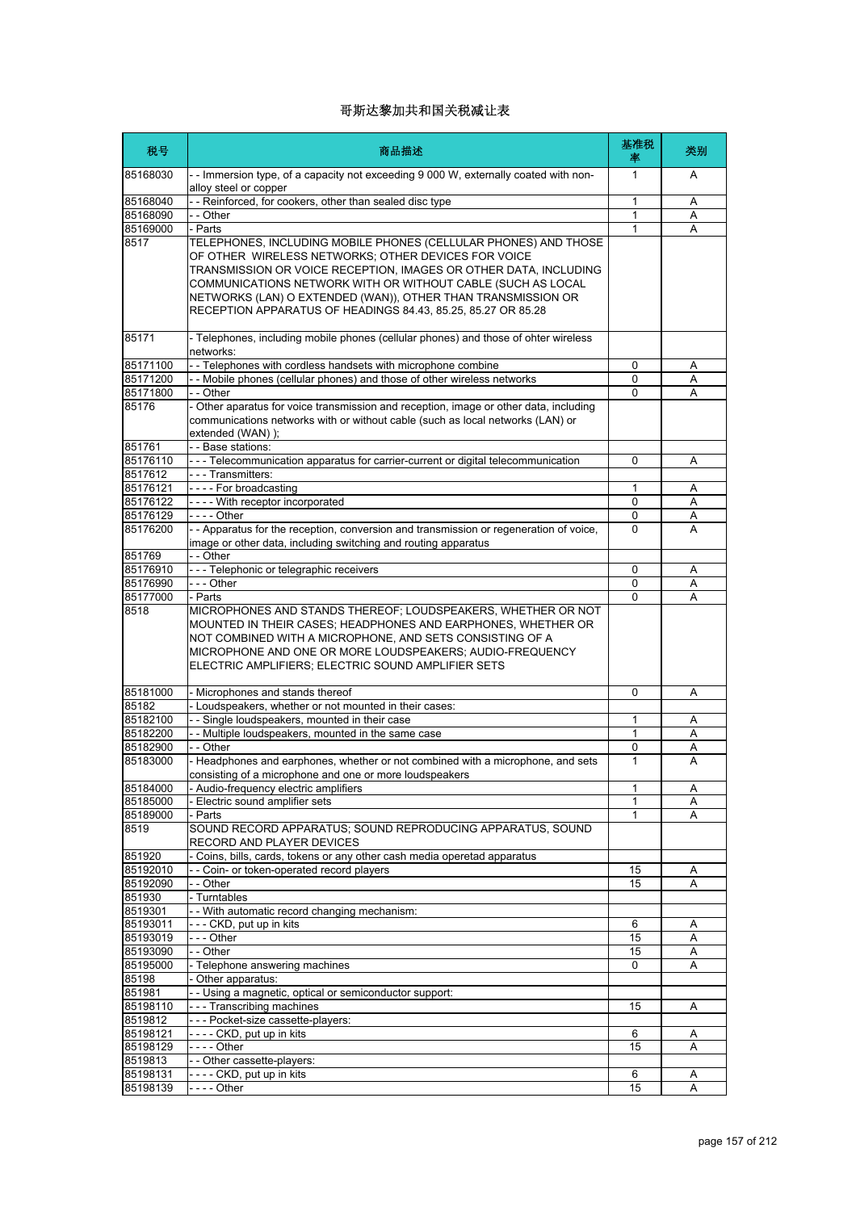| 税号                  | 商品描述                                                                                                                                                                                                                                                                                                                                                                                      | 基准税<br>率     | 类别 |
|---------------------|-------------------------------------------------------------------------------------------------------------------------------------------------------------------------------------------------------------------------------------------------------------------------------------------------------------------------------------------------------------------------------------------|--------------|----|
| 85168030            | - - Immersion type, of a capacity not exceeding 9 000 W, externally coated with non-<br>alloy steel or copper                                                                                                                                                                                                                                                                             | 1            | A  |
| 85168040            | -- Reinforced, for cookers, other than sealed disc type                                                                                                                                                                                                                                                                                                                                   | 1            | Α  |
| 85168090            | - - Other                                                                                                                                                                                                                                                                                                                                                                                 | 1            | Α  |
| 85169000            | - Parts                                                                                                                                                                                                                                                                                                                                                                                   | 1            | A  |
| 8517                | TELEPHONES, INCLUDING MOBILE PHONES (CELLULAR PHONES) AND THOSE<br>OF OTHER WIRELESS NETWORKS; OTHER DEVICES FOR VOICE<br>TRANSMISSION OR VOICE RECEPTION, IMAGES OR OTHER DATA, INCLUDING<br>COMMUNICATIONS NETWORK WITH OR WITHOUT CABLE (SUCH AS LOCAL<br>NETWORKS (LAN) O EXTENDED (WAN)), OTHER THAN TRANSMISSION OR<br>RECEPTION APPARATUS OF HEADINGS 84.43, 85.25, 85.27 OR 85.28 |              |    |
| 85171               | - Telephones, including mobile phones (cellular phones) and those of ohter wireless<br>networks:                                                                                                                                                                                                                                                                                          |              |    |
| 85171100            | -- Telephones with cordless handsets with microphone combine                                                                                                                                                                                                                                                                                                                              | 0            | A  |
| 85171200            | - - Mobile phones (cellular phones) and those of other wireless networks                                                                                                                                                                                                                                                                                                                  | 0            | Α  |
| 85171800            | - - Other                                                                                                                                                                                                                                                                                                                                                                                 | $\Omega$     | Α  |
| 85176               | - Other aparatus for voice transmission and reception, image or other data, including<br>communications networks with or without cable (such as local networks (LAN) or<br>extended (WAN) );                                                                                                                                                                                              |              |    |
| 851761              | - - Base stations:                                                                                                                                                                                                                                                                                                                                                                        |              |    |
| 85176110<br>8517612 | --- Telecommunication apparatus for carrier-current or digital telecommunication<br>- - - Transmitters:                                                                                                                                                                                                                                                                                   | 0            | Α  |
| 85176121            | ---- For broadcasting                                                                                                                                                                                                                                                                                                                                                                     | 1            | Α  |
| 85176122            | - - - - With receptor incorporated                                                                                                                                                                                                                                                                                                                                                        | 0            | Α  |
| 85176129            |                                                                                                                                                                                                                                                                                                                                                                                           | 0            | Α  |
| 85176200            | -- Apparatus for the reception, conversion and transmission or regeneration of voice,<br>image or other data, including switching and routing apparatus                                                                                                                                                                                                                                   | 0            | A  |
| 851769              | - - Other                                                                                                                                                                                                                                                                                                                                                                                 |              |    |
| 85176910            | --- Telephonic or telegraphic receivers                                                                                                                                                                                                                                                                                                                                                   | 0            | Α  |
| 85176990            | - - - Other                                                                                                                                                                                                                                                                                                                                                                               | 0            | Α  |
| 85177000            | - Parts                                                                                                                                                                                                                                                                                                                                                                                   | 0            | A  |
| 8518                | MICROPHONES AND STANDS THEREOF; LOUDSPEAKERS, WHETHER OR NOT<br>MOUNTED IN THEIR CASES; HEADPHONES AND EARPHONES, WHETHER OR<br>NOT COMBINED WITH A MICROPHONE, AND SETS CONSISTING OF A<br>MICROPHONE AND ONE OR MORE LOUDSPEAKERS; AUDIO-FREQUENCY<br>ELECTRIC AMPLIFIERS; ELECTRIC SOUND AMPLIFIER SETS                                                                                |              |    |
| 85181000            | - Microphones and stands thereof                                                                                                                                                                                                                                                                                                                                                          | 0            | Α  |
| 85182               | - Loudspeakers, whether or not mounted in their cases:                                                                                                                                                                                                                                                                                                                                    |              |    |
| 85182100            | -- Single loudspeakers, mounted in their case                                                                                                                                                                                                                                                                                                                                             | 1            | Α  |
| 85182200            | - Multiple loudspeakers, mounted in the same case                                                                                                                                                                                                                                                                                                                                         | 1            | Α  |
| 85182900            | - - Other                                                                                                                                                                                                                                                                                                                                                                                 | 0            | Α  |
| 85183000            | - Headphones and earphones, whether or not combined with a microphone, and sets<br>consisting of a microphone and one or more loudspeakers                                                                                                                                                                                                                                                | $\mathbf{1}$ | А  |
| 85184000            | - Audio-frequency electric amplifiers                                                                                                                                                                                                                                                                                                                                                     | 1            | Α  |
| 85185000            | - Electric sound amplifier sets                                                                                                                                                                                                                                                                                                                                                           | 1            | Α  |
| 85189000<br>8519    | - Parts<br>SOUND RECORD APPARATUS; SOUND REPRODUCING APPARATUS, SOUND<br>RECORD AND PLAYER DEVICES                                                                                                                                                                                                                                                                                        | 1            | Α  |
| 851920              | Coins, bills, cards, tokens or any other cash media operetad apparatus                                                                                                                                                                                                                                                                                                                    |              |    |
| 85192010            | - - Coin- or token-operated record players                                                                                                                                                                                                                                                                                                                                                | 15           | A  |
| 85192090            | - - Other                                                                                                                                                                                                                                                                                                                                                                                 | 15           | Α  |
| 851930              | - Turntables                                                                                                                                                                                                                                                                                                                                                                              |              |    |
| 8519301             | - - With automatic record changing mechanism:                                                                                                                                                                                                                                                                                                                                             |              |    |
| 85193011            | --- CKD, put up in kits                                                                                                                                                                                                                                                                                                                                                                   | 6            | Α  |
| 85193019            | --- Other                                                                                                                                                                                                                                                                                                                                                                                 | 15           | Α  |
| 85193090            | - - Other                                                                                                                                                                                                                                                                                                                                                                                 | 15           | Α  |
| 85195000            | - Telephone answering machines                                                                                                                                                                                                                                                                                                                                                            | 0            | Α  |
| 85198               | - Other apparatus:                                                                                                                                                                                                                                                                                                                                                                        |              |    |
| 851981              | - - Using a magnetic, optical or semiconductor support:                                                                                                                                                                                                                                                                                                                                   |              |    |
| 85198110            | --- Transcribing machines                                                                                                                                                                                                                                                                                                                                                                 | 15           | Α  |
| 8519812             | --- Pocket-size cassette-players:                                                                                                                                                                                                                                                                                                                                                         |              |    |
| 85198121            | ---- CKD, put up in kits                                                                                                                                                                                                                                                                                                                                                                  | 6            | Α  |
| 85198129            | $- - -$ Other                                                                                                                                                                                                                                                                                                                                                                             | 15           | Α  |
| 8519813             | - - Other cassette-players:                                                                                                                                                                                                                                                                                                                                                               |              |    |
| 85198131            | ---- CKD, put up in kits                                                                                                                                                                                                                                                                                                                                                                  | 6            | Α  |
| 85198139            |                                                                                                                                                                                                                                                                                                                                                                                           | 15           | Α  |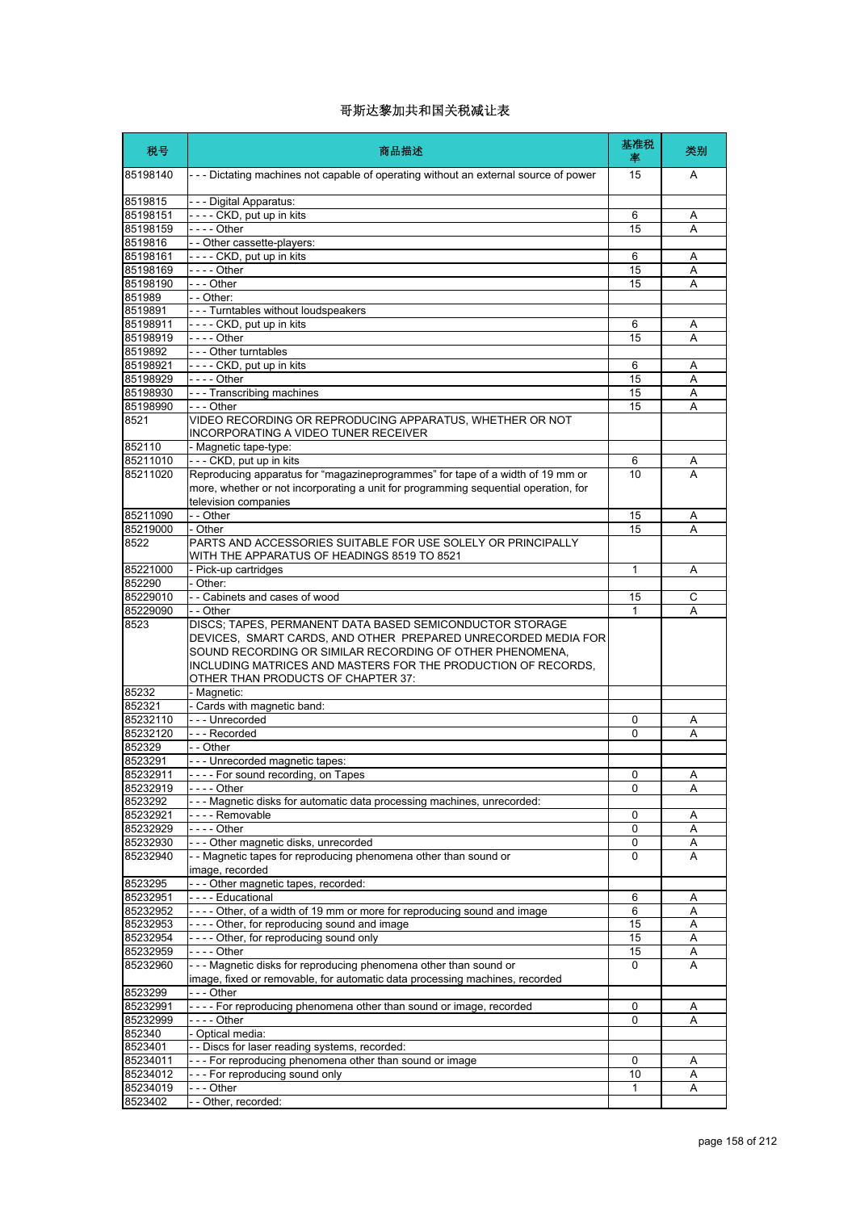| 税号               | 商品描述                                                                                                                                                                                                                                                                                         | 基准税<br>率    | 类别     |
|------------------|----------------------------------------------------------------------------------------------------------------------------------------------------------------------------------------------------------------------------------------------------------------------------------------------|-------------|--------|
| 85198140         | --- Dictating machines not capable of operating without an external source of power                                                                                                                                                                                                          | 15          | A      |
| 8519815          | --- Digital Apparatus:                                                                                                                                                                                                                                                                       |             |        |
| 85198151         | ---- CKD, put up in kits                                                                                                                                                                                                                                                                     | 6           | A      |
| 85198159         | - - - - Other                                                                                                                                                                                                                                                                                | 15          | A      |
| 8519816          | - - Other cassette-players:                                                                                                                                                                                                                                                                  |             |        |
| 85198161         | ---- CKD, put up in kits                                                                                                                                                                                                                                                                     | 6           | A      |
| 85198169         | $- - -$ Other                                                                                                                                                                                                                                                                                | 15          | Α      |
| 85198190         | - - - Other                                                                                                                                                                                                                                                                                  | 15          | A      |
| 851989           | $-$ Other:                                                                                                                                                                                                                                                                                   |             |        |
| 8519891          | --- Turntables without loudspeakers                                                                                                                                                                                                                                                          |             |        |
| 85198911         | - - - - CKD, put up in kits                                                                                                                                                                                                                                                                  | 6           | Α      |
| 85198919         | $--$ Other                                                                                                                                                                                                                                                                                   | 15          | Α      |
| 8519892          | - - - Other turntables                                                                                                                                                                                                                                                                       |             |        |
| 85198921         | ---- CKD, put up in kits                                                                                                                                                                                                                                                                     | 6           | A      |
| 85198929         | - - - - Other                                                                                                                                                                                                                                                                                | 15          | Α      |
| 85198930         | --- Transcribing machines                                                                                                                                                                                                                                                                    | 15          | Α      |
| 85198990<br>8521 | --- Other<br>VIDEO RECORDING OR REPRODUCING APPARATUS, WHETHER OR NOT                                                                                                                                                                                                                        | 15          | A      |
|                  | INCORPORATING A VIDEO TUNER RECEIVER                                                                                                                                                                                                                                                         |             |        |
| 852110           | - Magnetic tape-type:                                                                                                                                                                                                                                                                        |             |        |
| 85211010         | --- CKD, put up in kits                                                                                                                                                                                                                                                                      | 6           | Α      |
| 85211020         | Reproducing apparatus for "magazineprogrammes" for tape of a width of 19 mm or<br>more, whether or not incorporating a unit for programming sequential operation, for                                                                                                                        | 10          | A      |
| 85211090         | television companies<br>- - Other                                                                                                                                                                                                                                                            | 15          |        |
| 85219000         | - Other                                                                                                                                                                                                                                                                                      | 15          | Α<br>Α |
| 8522             | PARTS AND ACCESSORIES SUITABLE FOR USE SOLELY OR PRINCIPALLY                                                                                                                                                                                                                                 |             |        |
|                  | WITH THE APPARATUS OF HEADINGS 8519 TO 8521                                                                                                                                                                                                                                                  |             |        |
| 85221000         | - Pick-up cartridges                                                                                                                                                                                                                                                                         | 1           | A      |
| 852290           | - Other:                                                                                                                                                                                                                                                                                     |             |        |
| 85229010         | -- Cabinets and cases of wood                                                                                                                                                                                                                                                                | 15          | С      |
| 85229090         | - - Other                                                                                                                                                                                                                                                                                    | 1           | Α      |
| 8523             | DISCS; TAPES, PERMANENT DATA BASED SEMICONDUCTOR STORAGE<br>DEVICES, SMART CARDS, AND OTHER PREPARED UNRECORDED MEDIA FOR<br>SOUND RECORDING OR SIMILAR RECORDING OF OTHER PHENOMENA,<br>INCLUDING MATRICES AND MASTERS FOR THE PRODUCTION OF RECORDS.<br>OTHER THAN PRODUCTS OF CHAPTER 37: |             |        |
| 85232            | - Magnetic:                                                                                                                                                                                                                                                                                  |             |        |
| 852321           | - Cards with magnetic band:                                                                                                                                                                                                                                                                  |             |        |
| 85232110         | --- Unrecorded                                                                                                                                                                                                                                                                               | 0           | Α      |
| 85232120         | --- Recorded                                                                                                                                                                                                                                                                                 | 0           | А      |
| 852329           | - - Other                                                                                                                                                                                                                                                                                    |             |        |
| 8523291          | --- Unrecorded magnetic tapes:                                                                                                                                                                                                                                                               |             |        |
| 85232911         | --- For sound recording, on Tapes                                                                                                                                                                                                                                                            | 0           | Α      |
| 85232919         |                                                                                                                                                                                                                                                                                              | 0           | Α      |
| 8523292          | --- Magnetic disks for automatic data processing machines, unrecorded:                                                                                                                                                                                                                       |             |        |
| 85232921         | - - - - Removable                                                                                                                                                                                                                                                                            | 0           | Α      |
| 85232929         | - - - - Other                                                                                                                                                                                                                                                                                | 0           | Α      |
| 85232930         | --- Other magnetic disks, unrecorded                                                                                                                                                                                                                                                         | $\mathbf 0$ | Α      |
| 85232940         | - - Magnetic tapes for reproducing phenomena other than sound or<br>image, recorded                                                                                                                                                                                                          | 0           | A      |
| 8523295          | --- Other magnetic tapes, recorded:                                                                                                                                                                                                                                                          |             |        |
| 85232951         | - - - - Educational                                                                                                                                                                                                                                                                          | 6           | Α      |
| 85232952         | ---- Other, of a width of 19 mm or more for reproducing sound and image                                                                                                                                                                                                                      | 6           | Α      |
| 85232953         | ---- Other, for reproducing sound and image                                                                                                                                                                                                                                                  | 15          | Α      |
| 85232954         | ---- Other, for reproducing sound only                                                                                                                                                                                                                                                       | 15          | Α      |
| 85232959         |                                                                                                                                                                                                                                                                                              | 15          | Α      |
| 85232960         | --- Magnetic disks for reproducing phenomena other than sound or<br>image, fixed or removable, for automatic data processing machines, recorded                                                                                                                                              | $\Omega$    | A      |
| 8523299          | - - - Other                                                                                                                                                                                                                                                                                  |             |        |
| 85232991         | ---- For reproducing phenomena other than sound or image, recorded                                                                                                                                                                                                                           | $\mathbf 0$ | Α      |
| 85232999         | -  -  -  - Other                                                                                                                                                                                                                                                                             | 0           | Α      |
| 852340           | - Optical media:                                                                                                                                                                                                                                                                             |             |        |
| 8523401          | - - Discs for laser reading systems, recorded:                                                                                                                                                                                                                                               |             |        |
| 85234011         | --- For reproducing phenomena other than sound or image                                                                                                                                                                                                                                      | 0           | A      |
| 85234012         | --- For reproducing sound only                                                                                                                                                                                                                                                               | 10          | Α      |
| 85234019         | -  -  -  Other                                                                                                                                                                                                                                                                               | 1           | Α      |
| 8523402          | - - Other, recorded:                                                                                                                                                                                                                                                                         |             |        |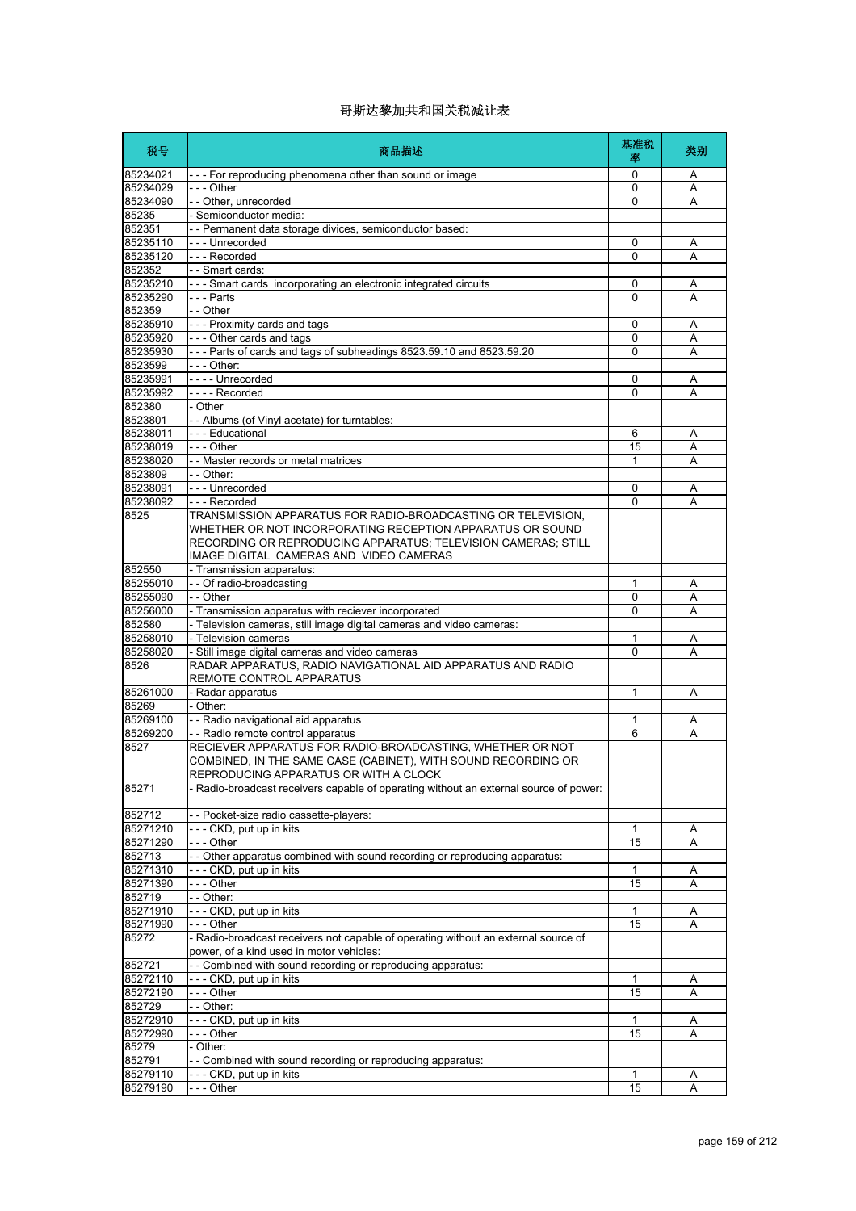| 税号                   | 商品描述                                                                                                                           | 基准税<br>率     | 类别     |
|----------------------|--------------------------------------------------------------------------------------------------------------------------------|--------------|--------|
| 85234021             | --- For reproducing phenomena other than sound or image                                                                        | 0            | Α      |
| 85234029             | $- -$ - Other                                                                                                                  | 0            | Α      |
| 85234090             | - - Other, unrecorded                                                                                                          | 0            | Α      |
| 85235                | - Semiconductor media:<br>- - Permanent data storage divices, semiconductor based:                                             |              |        |
| 852351<br>85235110   | - - - Unrecorded                                                                                                               | 0            | Α      |
| 85235120             | --- Recorded                                                                                                                   | 0            | Α      |
| 852352               | - - Smart cards:                                                                                                               |              |        |
| 85235210             | --- Smart cards incorporating an electronic integrated circuits                                                                | $\Omega$     | Α      |
| 85235290             | $- -$ Parts                                                                                                                    | 0            | Α      |
| 852359               | - - Other                                                                                                                      |              |        |
| 85235910             | --- Proximity cards and tags                                                                                                   | 0            | Α      |
| 85235920             | - - - Other cards and tags                                                                                                     | 0            | Α      |
| 85235930<br>8523599  | --- Parts of cards and tags of subheadings 8523.59.10 and 8523.59.20<br>- - - Other:                                           | 0            | A      |
| 85235991             | ---- Unrecorded                                                                                                                | 0            | Α      |
| 85235992             | - - - - Recorded                                                                                                               | 0            | Α      |
| 852380               | - Other                                                                                                                        |              |        |
| 8523801              | - - Albums (of Vinyl acetate) for turntables:                                                                                  |              |        |
| 85238011             | - - - Educational                                                                                                              | 6            | Α      |
| 85238019             | $- -$ Other                                                                                                                    | 15           | Α      |
| 85238020             | - - Master records or metal matrices                                                                                           | 1            | Α      |
| 8523809              | - - Other:                                                                                                                     |              |        |
| 85238091             | --- Unrecorded                                                                                                                 | 0<br>0       | Α      |
| 85238092<br>8525     | --- Recorded<br>TRANSMISSION APPARATUS FOR RADIO-BROADCASTING OR TELEVISION.                                                   |              | A      |
|                      | WHETHER OR NOT INCORPORATING RECEPTION APPARATUS OR SOUND                                                                      |              |        |
|                      | RECORDING OR REPRODUCING APPARATUS; TELEVISION CAMERAS; STILL                                                                  |              |        |
|                      | IMAGE DIGITAL CAMERAS AND VIDEO CAMERAS                                                                                        |              |        |
| 852550               | - Transmission apparatus:                                                                                                      |              |        |
| 85255010             | - - Of radio-broadcasting                                                                                                      | 1            | Α      |
| 85255090             | - - Other                                                                                                                      | 0            | Α      |
| 85256000             | - Transmission apparatus with reciever incorporated                                                                            | $\Omega$     | Α      |
| 852580<br>85258010   | - Television cameras, still image digital cameras and video cameras:<br>- Television cameras                                   | 1            |        |
| 85258020             | - Still image digital cameras and video cameras                                                                                | 0            | Α<br>Α |
| 8526                 | RADAR APPARATUS, RADIO NAVIGATIONAL AID APPARATUS AND RADIO                                                                    |              |        |
|                      | REMOTE CONTROL APPARATUS                                                                                                       |              |        |
| 85261000             | - Radar apparatus                                                                                                              | 1            | Α      |
| 85269                | - Other:                                                                                                                       |              |        |
| 85269100             | - - Radio navigational aid apparatus                                                                                           | 1            | Α      |
| 85269200             | - - Radio remote control apparatus                                                                                             | 6            | A      |
| 8527                 | RECIEVER APPARATUS FOR RADIO-BROADCASTING, WHETHER OR NOT                                                                      |              |        |
|                      | COMBINED, IN THE SAME CASE (CABINET), WITH SOUND RECORDING OR                                                                  |              |        |
| 85271                | REPRODUCING APPARATUS OR WITH A CLOCK<br>- Radio-broadcast receivers capable of operating without an external source of power: |              |        |
|                      |                                                                                                                                |              |        |
| 852712               | - Pocket-size radio cassette-players:                                                                                          |              |        |
| 85271210<br>85271290 | --- CKD, put up in kits<br>- - - Other                                                                                         | 1            | Α      |
| 852713               | - Other apparatus combined with sound recording or reproducing apparatus:                                                      | 15           | Α      |
| 85271310             | - - - CKD, put up in kits                                                                                                      | 1            | Α      |
| 85271390             | - - - Other                                                                                                                    | 15           | Α      |
| 852719               | $-$ Other:                                                                                                                     |              |        |
| 85271910             | --- CKD, put up in kits                                                                                                        | 1            | Α      |
| 85271990             | --- Other                                                                                                                      | 15           | Α      |
| 85272                | - Radio-broadcast receivers not capable of operating without an external source of                                             |              |        |
|                      | power, of a kind used in motor vehicles:                                                                                       |              |        |
| 852721               | - Combined with sound recording or reproducing apparatus:                                                                      |              |        |
| 85272110<br>85272190 | - - - CKD, put up in kits<br>--- Other                                                                                         | 1<br>15      | Α<br>Α |
| 852729               | - - Other:                                                                                                                     |              |        |
| 85272910             | --- CKD, put up in kits                                                                                                        | $\mathbf{1}$ | Α      |
| 85272990             | --- Other                                                                                                                      | 15           | Α      |
| 85279                | Other:                                                                                                                         |              |        |
| 852791               | - Combined with sound recording or reproducing apparatus:                                                                      |              |        |
| 85279110             | - - - CKD, put up in kits                                                                                                      | 1            | A      |
| 85279190             | -- Other                                                                                                                       | 15           | Α      |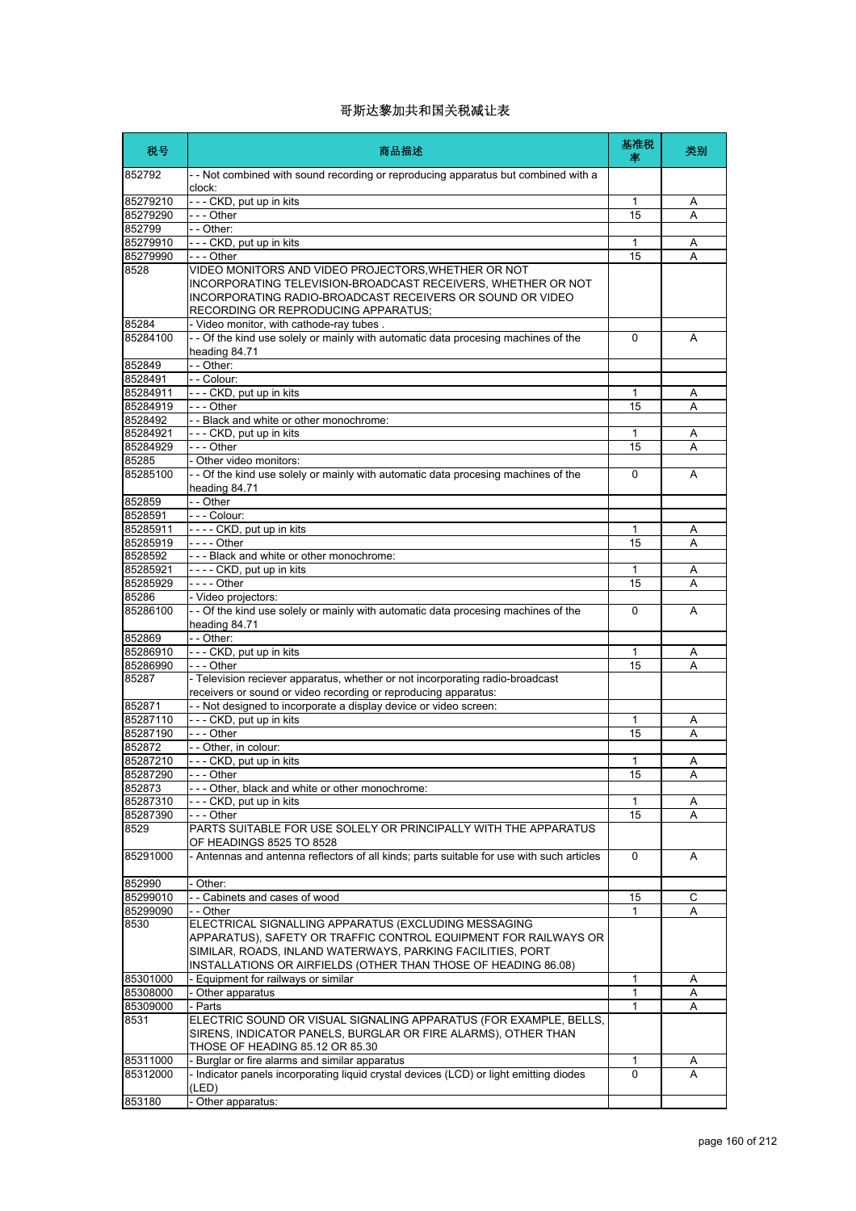| 税号                   | 商品描述                                                                                                                                                                                                                   | 基准税<br>率 | 类别     |
|----------------------|------------------------------------------------------------------------------------------------------------------------------------------------------------------------------------------------------------------------|----------|--------|
| 852792               | - - Not combined with sound recording or reproducing apparatus but combined with a<br>clock:                                                                                                                           |          |        |
| 85279210             | --- CKD, put up in kits                                                                                                                                                                                                | 1        | A      |
| 85279290             | - - - Other                                                                                                                                                                                                            | 15       | A      |
| 852799               | $-$ - Other:                                                                                                                                                                                                           |          |        |
| 85279910             | --- CKD, put up in kits                                                                                                                                                                                                | 1        | Α      |
| 85279990             | - - - Other                                                                                                                                                                                                            | 15       | A      |
| 8528                 | VIDEO MONITORS AND VIDEO PROJECTORS,WHETHER OR NOT<br>INCORPORATING TELEVISION-BROADCAST RECEIVERS, WHETHER OR NOT<br>INCORPORATING RADIO-BROADCAST RECEIVERS OR SOUND OR VIDEO<br>RECORDING OR REPRODUCING APPARATUS; |          |        |
| 85284                | - Video monitor, with cathode-ray tubes.                                                                                                                                                                               |          |        |
| 85284100             | - - Of the kind use solely or mainly with automatic data procesing machines of the                                                                                                                                     | $\Omega$ | A      |
|                      | heading 84.71                                                                                                                                                                                                          |          |        |
| 852849<br>8528491    | - - Other:<br>- - Colour:                                                                                                                                                                                              |          |        |
| 85284911             | - - - CKD, put up in kits                                                                                                                                                                                              | 1        |        |
| 85284919             | - - - Other                                                                                                                                                                                                            | 15       | Α<br>A |
| 8528492              | - - Black and white or other monochrome:                                                                                                                                                                               |          |        |
| 85284921             | --- CKD, put up in kits                                                                                                                                                                                                | 1        | Α      |
| 85284929             | --- Other                                                                                                                                                                                                              | 15       | A      |
| 85285                | - Other video monitors:                                                                                                                                                                                                |          |        |
| 85285100             | - - Of the kind use solely or mainly with automatic data procesing machines of the<br>heading 84.71                                                                                                                    | 0        | A      |
| 852859               | - - Other                                                                                                                                                                                                              |          |        |
| 8528591              | - - - Colour:                                                                                                                                                                                                          |          |        |
| 85285911             | ---- CKD, put up in kits                                                                                                                                                                                               | 1        | Α      |
| 85285919             | - - - - Other                                                                                                                                                                                                          | 15       | Α      |
| 8528592              | --- Black and white or other monochrome:                                                                                                                                                                               |          |        |
| 85285921             | ---- CKD, put up in kits                                                                                                                                                                                               | 1        | Α      |
| 85285929             | - - - - Other                                                                                                                                                                                                          | 15       | Α      |
| 85286                | - Video projectors:                                                                                                                                                                                                    |          |        |
| 85286100             | - - Of the kind use solely or mainly with automatic data procesing machines of the<br>heading 84.71                                                                                                                    | 0        | A      |
| 852869               | - - Other:                                                                                                                                                                                                             |          |        |
| 85286910             | --- CKD, put up in kits                                                                                                                                                                                                | 1        | A      |
| 85286990<br>85287    | - - - Other<br>- Television reciever apparatus, whether or not incorporating radio-broadcast                                                                                                                           | 15       | A      |
|                      | receivers or sound or video recording or reproducing apparatus:                                                                                                                                                        |          |        |
| 852871               | - - Not designed to incorporate a display device or video screen:                                                                                                                                                      |          |        |
| 85287110             | --- CKD, put up in kits                                                                                                                                                                                                | 1        | Α      |
| 85287190<br>852872   | - - - Other<br>-- Other, in colour:                                                                                                                                                                                    | 15       | A      |
|                      |                                                                                                                                                                                                                        | 1        |        |
| 85287210<br>85287290 | --- CKD, put up in kits<br>- - Other                                                                                                                                                                                   | 15       | Α<br>A |
| 852873               | --- Other, black and white or other monochrome:                                                                                                                                                                        |          |        |
| 85287310             | CKD, put up in kits                                                                                                                                                                                                    | 1        | Α      |
| 85287390             | - - - Other                                                                                                                                                                                                            | 15       | Α      |
| 8529                 | PARTS SUITABLE FOR USE SOLELY OR PRINCIPALLY WITH THE APPARATUS<br>OF HEADINGS 8525 TO 8528                                                                                                                            |          |        |
| 85291000             | - Antennas and antenna reflectors of all kinds; parts suitable for use with such articles                                                                                                                              | 0        | Α      |
| 852990               | - Other:                                                                                                                                                                                                               |          |        |
| 85299010             | - - Cabinets and cases of wood                                                                                                                                                                                         | 15       | С      |
| 85299090             | - - Other                                                                                                                                                                                                              | 1        | Α      |
| 8530                 | ELECTRICAL SIGNALLING APPARATUS (EXCLUDING MESSAGING<br>APPARATUS), SAFETY OR TRAFFIC CONTROL EQUIPMENT FOR RAILWAYS OR<br>SIMILAR, ROADS, INLAND WATERWAYS, PARKING FACILITIES, PORT                                  |          |        |
|                      | INSTALLATIONS OR AIRFIELDS (OTHER THAN THOSE OF HEADING 86.08)                                                                                                                                                         |          |        |
| 85301000<br>85308000 | - Equipment for railways or similar<br>- Other apparatus                                                                                                                                                               | 1<br>1   | Α<br>Α |
| 85309000             | - Parts                                                                                                                                                                                                                | 1        | Α      |
| 8531                 | ELECTRIC SOUND OR VISUAL SIGNALING APPARATUS (FOR EXAMPLE, BELLS,<br>SIRENS, INDICATOR PANELS, BURGLAR OR FIRE ALARMS), OTHER THAN<br>THOSE OF HEADING 85.12 OR 85.30                                                  |          |        |
| 85311000             | Burglar or fire alarms and similar apparatus                                                                                                                                                                           | 1        | Α      |
| 85312000             | - Indicator panels incorporating liquid crystal devices (LCD) or light emitting diodes                                                                                                                                 | 0        | A      |
| 853180               | (LED)<br>Other apparatus:                                                                                                                                                                                              |          |        |
|                      |                                                                                                                                                                                                                        |          |        |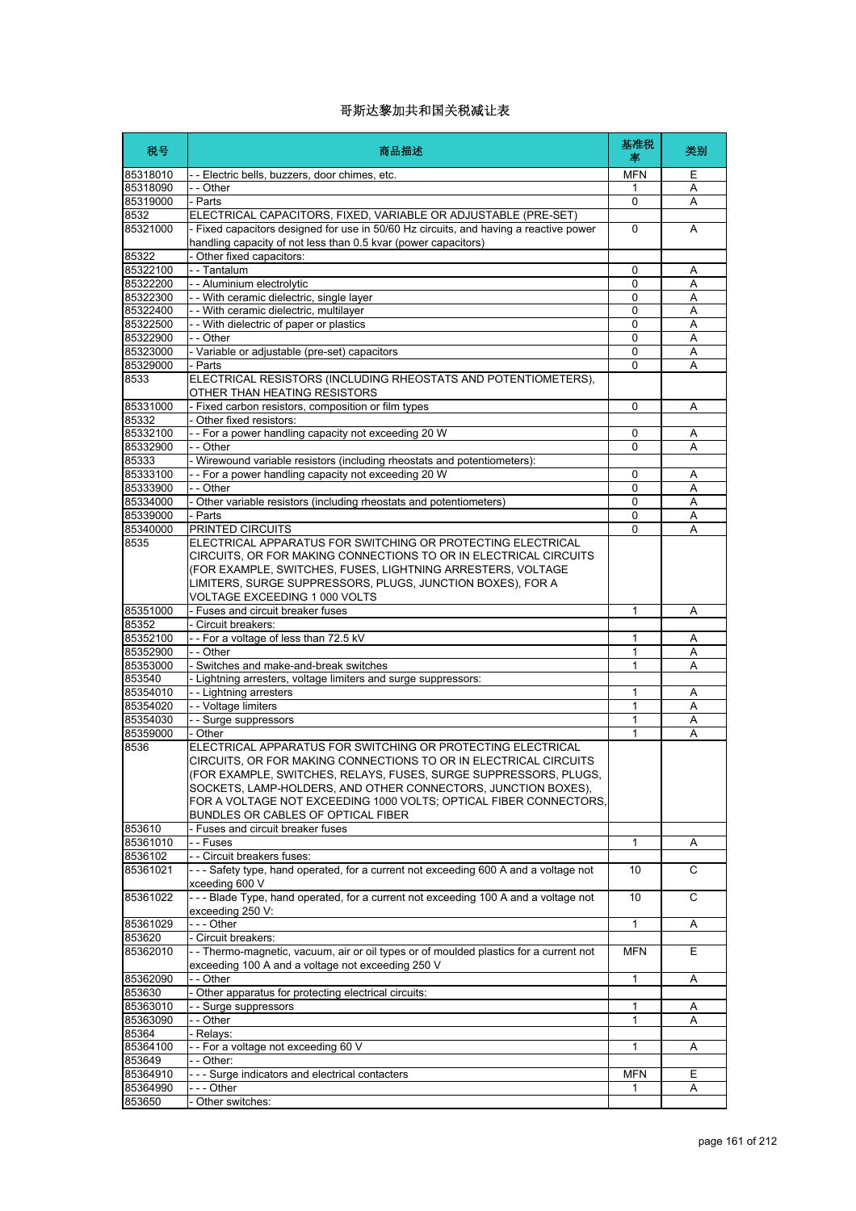| 税号                | 商品描述                                                                                                 | 基准税<br>率    | 类别     |
|-------------------|------------------------------------------------------------------------------------------------------|-------------|--------|
| 85318010          | - - Electric bells, buzzers, door chimes, etc.                                                       | <b>MFN</b>  | Ε      |
| 85318090          | - - Other                                                                                            | 1           | Α      |
| 85319000          | - Parts                                                                                              | 0           | Α      |
| 8532              | ELECTRICAL CAPACITORS, FIXED, VARIABLE OR ADJUSTABLE (PRE-SET)                                       |             |        |
| 85321000          | - Fixed capacitors designed for use in 50/60 Hz circuits, and having a reactive power                | $\mathbf 0$ | A      |
|                   | handling capacity of not less than 0.5 kvar (power capacitors)                                       |             |        |
| 85322<br>85322100 | - Other fixed capacitors:<br>- - Tantalum                                                            |             |        |
| 85322200          | - - Aluminium electrolytic                                                                           | 0<br>0      | A<br>Α |
| 85322300          | - - With ceramic dielectric, single layer                                                            | 0           | Α      |
| 85322400          | -- With ceramic dielectric, multilayer                                                               | 0           | Α      |
| 85322500          | - - With dielectric of paper or plastics                                                             | 0           | Α      |
| 85322900          | - - Other                                                                                            | $\mathbf 0$ | Α      |
| 85323000          | - Variable or adjustable (pre-set) capacitors                                                        | 0           | Α      |
| 85329000          | - Parts                                                                                              | 0           | Α      |
| 8533              | ELECTRICAL RESISTORS (INCLUDING RHEOSTATS AND POTENTIOMETERS),                                       |             |        |
|                   | OTHER THAN HEATING RESISTORS                                                                         |             |        |
| 85331000          | - Fixed carbon resistors, composition or film types                                                  | 0           | Α      |
| 85332             | Other fixed resistors:                                                                               |             |        |
| 85332100          | - - For a power handling capacity not exceeding 20 W                                                 | 0           | Α      |
| 85332900          | - - Other                                                                                            | $\Omega$    | Α      |
| 85333             | - Wirewound variable resistors (including rheostats and potentiometers):                             |             |        |
| 85333100          | -- For a power handling capacity not exceeding 20 W                                                  | 0           | Α      |
| 85333900          | - - Other                                                                                            | 0           | Α      |
| 85334000          | - Other variable resistors (including rheostats and potentiometers)                                  | 0           | Α      |
| 85339000          | - Parts                                                                                              | $\Omega$    | A      |
| 85340000          | PRINTED CIRCUITS                                                                                     | 0           | A      |
| 8535              | ELECTRICAL APPARATUS FOR SWITCHING OR PROTECTING ELECTRICAL                                          |             |        |
|                   | CIRCUITS, OR FOR MAKING CONNECTIONS TO OR IN ELECTRICAL CIRCUITS                                     |             |        |
|                   | (FOR EXAMPLE, SWITCHES, FUSES, LIGHTNING ARRESTERS, VOLTAGE                                          |             |        |
|                   | LIMITERS, SURGE SUPPRESSORS, PLUGS, JUNCTION BOXES), FOR A                                           |             |        |
|                   | VOLTAGE EXCEEDING 1 000 VOLTS                                                                        |             |        |
| 85351000          | - Fuses and circuit breaker fuses                                                                    | 1           | Α      |
| 85352             | - Circuit breakers:                                                                                  |             |        |
| 85352100          | -- For a voltage of less than 72.5 kV                                                                | 1           | Α      |
| 85352900          | - - Other                                                                                            | 1           | Α      |
| 85353000          | - Switches and make-and-break switches                                                               | 1           | Α      |
| 853540            | - Lightning arresters, voltage limiters and surge suppressors:                                       |             |        |
| 85354010          | - - Lightning arresters                                                                              | 1           | A      |
| 85354020          | - - Voltage limiters                                                                                 | 1           | Α      |
| 85354030          | - - Surge suppressors                                                                                | 1           | Α      |
| 85359000          | - Other                                                                                              | 1           | Α      |
| 8536              | ELECTRICAL APPARATUS FOR SWITCHING OR PROTECTING ELECTRICAL                                          |             |        |
|                   | CIRCUITS, OR FOR MAKING CONNECTIONS TO OR IN ELECTRICAL CIRCUITS                                     |             |        |
|                   | (FOR EXAMPLE, SWITCHES, RELAYS, FUSES, SURGE SUPPRESSORS, PLUGS,                                     |             |        |
|                   | SOCKETS, LAMP-HOLDERS, AND OTHER CONNECTORS, JUNCTION BOXES),                                        |             |        |
|                   | FOR A VOLTAGE NOT EXCEEDING 1000 VOLTS; OPTICAL FIBER CONNECTORS,                                    |             |        |
|                   | BUNDLES OR CABLES OF OPTICAL FIBER                                                                   |             |        |
| 853610            | Fuses and circuit breaker fuses                                                                      |             |        |
| 85361010          | - - Fuses                                                                                            | 1           | A      |
| 8536102           | - - Circuit breakers fuses:                                                                          |             |        |
| 85361021          | --- Safety type, hand operated, for a current not exceeding 600 A and a voltage not                  | 10          | C      |
| 85361022          | xceeding 600 V<br>--- Blade Type, hand operated, for a current not exceeding 100 A and a voltage not | 10          | C      |
|                   | exceeding 250 V:                                                                                     |             |        |
| 85361029          | $- -$ - Other                                                                                        | 1           | Α      |
| 853620            | - Circuit breakers:                                                                                  |             |        |
| 85362010          | - - Thermo-magnetic, vacuum, air or oil types or of moulded plastics for a current not               | <b>MFN</b>  | Е      |
|                   | exceeding 100 A and a voltage not exceeding 250 V                                                    |             |        |
| 85362090          | - - Other                                                                                            | 1           | Α      |
| 853630            | Other apparatus for protecting electrical circuits:                                                  |             |        |
| 85363010          | - - Surge suppressors                                                                                | 1           | A      |
| 85363090          | - - Other                                                                                            | 1           | Α      |
| 85364             | - Relays:                                                                                            |             |        |
| 85364100          | -- For a voltage not exceeding 60 V                                                                  | 1           | Α      |
| 853649            | - Other:                                                                                             |             |        |
| 85364910          | - - - Surge indicators and electrical contacters                                                     | <b>MFN</b>  | Ε      |
| 85364990          | --- Other                                                                                            | 1           | Α      |
| 853650            | Other switches:                                                                                      |             |        |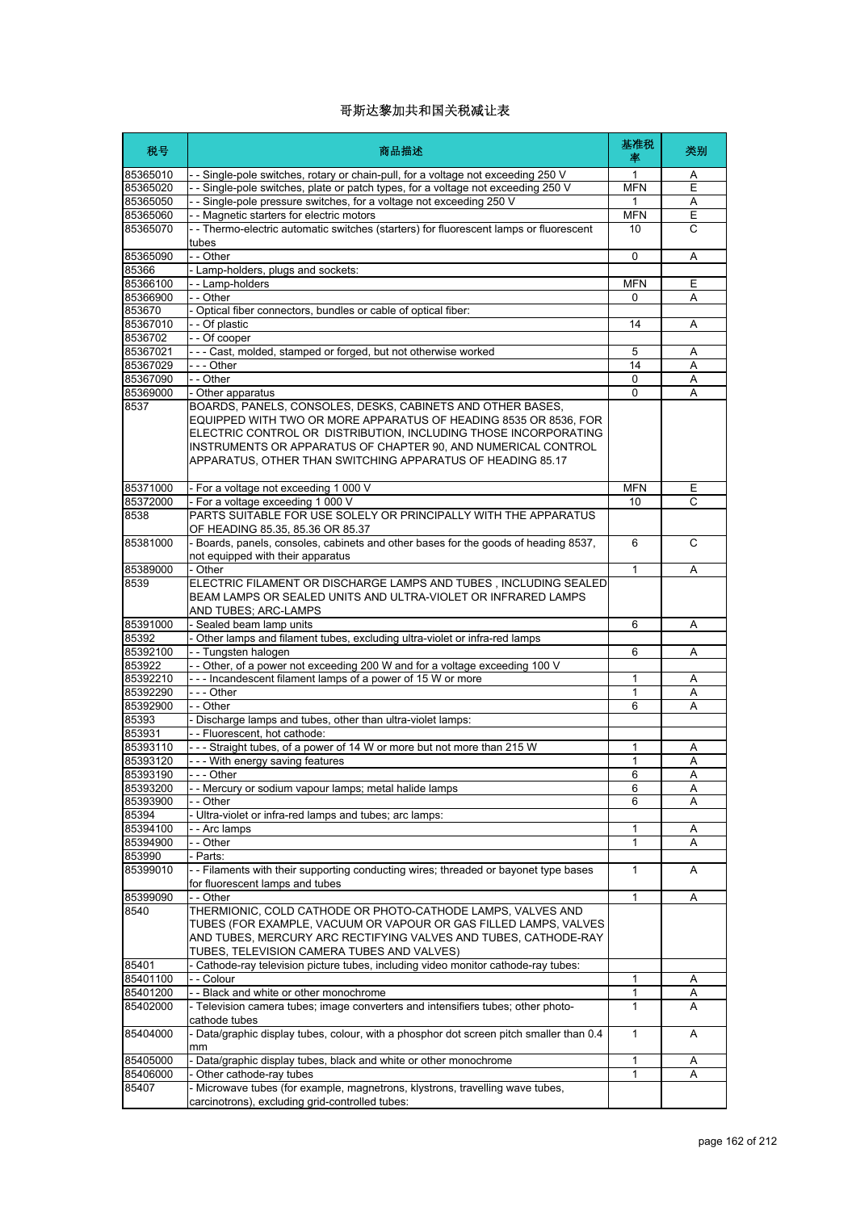| 税号                   | 商品描述                                                                                                                                                                                                                                                                                                                             | 基准税<br>率          | 类别             |
|----------------------|----------------------------------------------------------------------------------------------------------------------------------------------------------------------------------------------------------------------------------------------------------------------------------------------------------------------------------|-------------------|----------------|
| 85365010             | - - Single-pole switches, rotary or chain-pull, for a voltage not exceeding 250 V                                                                                                                                                                                                                                                | $\mathbf{1}$      | A              |
| 85365020             | - - Single-pole switches, plate or patch types, for a voltage not exceeding 250 V                                                                                                                                                                                                                                                | <b>MFN</b>        | $\overline{E}$ |
| 85365050             | - - Single-pole pressure switches, for a voltage not exceeding 250 V                                                                                                                                                                                                                                                             | 1                 | Α              |
| 85365060             | - - Magnetic starters for electric motors                                                                                                                                                                                                                                                                                        | <b>MFN</b>        | Ε              |
| 85365070             | - - Thermo-electric automatic switches (starters) for fluorescent lamps or fluorescent<br>tubes                                                                                                                                                                                                                                  | 10                | $\overline{c}$ |
| 85365090             | - - Other                                                                                                                                                                                                                                                                                                                        | $\mathbf 0$       | Α              |
| 85366                | - Lamp-holders, plugs and sockets:                                                                                                                                                                                                                                                                                               |                   |                |
| 85366100             | -- Lamp-holders                                                                                                                                                                                                                                                                                                                  | <b>MFN</b>        | Ε              |
| 85366900             | - - Other                                                                                                                                                                                                                                                                                                                        | 0                 | Α              |
| 853670               | - Optical fiber connectors, bundles or cable of optical fiber:                                                                                                                                                                                                                                                                   |                   |                |
| 85367010             | - - Of plastic                                                                                                                                                                                                                                                                                                                   | 14                | A              |
| 8536702              | - - Of cooper                                                                                                                                                                                                                                                                                                                    |                   |                |
| 85367021             | --- Cast, molded, stamped or forged, but not otherwise worked                                                                                                                                                                                                                                                                    | 5                 | Α              |
| 85367029             | --- Other                                                                                                                                                                                                                                                                                                                        | 14                | Α              |
| 85367090             | - - Other                                                                                                                                                                                                                                                                                                                        | $\Omega$          | Α              |
| 85369000             | - Other apparatus                                                                                                                                                                                                                                                                                                                | $\Omega$          | A              |
| 8537                 | BOARDS, PANELS, CONSOLES, DESKS, CABINETS AND OTHER BASES,<br>EQUIPPED WITH TWO OR MORE APPARATUS OF HEADING 8535 OR 8536, FOR<br>ELECTRIC CONTROL OR DISTRIBUTION, INCLUDING THOSE INCORPORATING<br>INSTRUMENTS OR APPARATUS OF CHAPTER 90. AND NUMERICAL CONTROL<br>APPARATUS, OTHER THAN SWITCHING APPARATUS OF HEADING 85.17 |                   |                |
| 85371000             | - For a voltage not exceeding 1 000 V                                                                                                                                                                                                                                                                                            | <b>MFN</b>        | Е              |
| 85372000             | - For a voltage exceeding 1 000 V                                                                                                                                                                                                                                                                                                | 10                | C              |
| 8538                 | PARTS SUITABLE FOR USE SOLELY OR PRINCIPALLY WITH THE APPARATUS<br>OF HEADING 85.35, 85.36 OR 85.37                                                                                                                                                                                                                              |                   |                |
| 85381000             | - Boards, panels, consoles, cabinets and other bases for the goods of heading 8537,<br>not equipped with their apparatus                                                                                                                                                                                                         | 6                 | C              |
| 85389000             | - Other                                                                                                                                                                                                                                                                                                                          | 1                 | A              |
| 8539                 | ELECTRIC FILAMENT OR DISCHARGE LAMPS AND TUBES, INCLUDING SEALED<br>BEAM LAMPS OR SEALED UNITS AND ULTRA-VIOLET OR INFRARED LAMPS<br>AND TUBES; ARC-LAMPS                                                                                                                                                                        |                   |                |
| 85391000             | - Sealed beam lamp units                                                                                                                                                                                                                                                                                                         | 6                 | Α              |
| 85392                | - Other lamps and filament tubes, excluding ultra-violet or infra-red lamps                                                                                                                                                                                                                                                      |                   |                |
| 85392100             | -- Tungsten halogen                                                                                                                                                                                                                                                                                                              | 6                 | Α              |
| 853922               | - - Other, of a power not exceeding 200 W and for a voltage exceeding 100 V                                                                                                                                                                                                                                                      |                   |                |
| 85392210             | --- Incandescent filament lamps of a power of 15 W or more                                                                                                                                                                                                                                                                       | 1                 | Α              |
| 85392290             | $- -$ Other                                                                                                                                                                                                                                                                                                                      | 1                 | Α              |
| 85392900             | $-$ - Other                                                                                                                                                                                                                                                                                                                      | 6                 | Α              |
| 85393                | - Discharge lamps and tubes, other than ultra-violet lamps:                                                                                                                                                                                                                                                                      |                   |                |
| 853931               | - - Fluorescent, hot cathode:                                                                                                                                                                                                                                                                                                    |                   |                |
| 85393110             | --- Straight tubes, of a power of 14 W or more but not more than 215 W                                                                                                                                                                                                                                                           | $\mathbf{1}$      | A              |
| 85393120             | - - - With energy saving features                                                                                                                                                                                                                                                                                                | $\mathbf{1}$      | Α              |
| 85393190             | Other                                                                                                                                                                                                                                                                                                                            | 6                 | $\overline{A}$ |
| 85393200<br>85393900 | - - Mercury or sodium vapour lamps; metal halide lamps                                                                                                                                                                                                                                                                           | 6                 | Α              |
|                      | - - Other                                                                                                                                                                                                                                                                                                                        | 6                 | Α              |
| 85394<br>85394100    | - Ultra-violet or infra-red lamps and tubes; arc lamps:                                                                                                                                                                                                                                                                          |                   |                |
| 85394900             | -- Arc lamps<br>- - Other                                                                                                                                                                                                                                                                                                        | 1<br>$\mathbf{1}$ | A<br>Α         |
| 853990               | - Parts:                                                                                                                                                                                                                                                                                                                         |                   |                |
| 85399010             | -- Filaments with their supporting conducting wires; threaded or bayonet type bases                                                                                                                                                                                                                                              | $\mathbf{1}$      | A              |
|                      | for fluorescent lamps and tubes                                                                                                                                                                                                                                                                                                  |                   |                |
| 85399090             | - - Other                                                                                                                                                                                                                                                                                                                        | $\mathbf{1}$      | Α              |
| 8540                 | THERMIONIC, COLD CATHODE OR PHOTO-CATHODE LAMPS, VALVES AND<br>TUBES (FOR EXAMPLE, VACUUM OR VAPOUR OR GAS FILLED LAMPS, VALVES<br>AND TUBES, MERCURY ARC RECTIFYING VALVES AND TUBES, CATHODE-RAY<br>TUBES, TELEVISION CAMERA TUBES AND VALVES)                                                                                 |                   |                |
| 85401                | - Cathode-ray television picture tubes, including video monitor cathode-ray tubes:                                                                                                                                                                                                                                               |                   |                |
| 85401100             | - - Colour                                                                                                                                                                                                                                                                                                                       | 1                 | A              |
| 85401200             | - - Black and white or other monochrome                                                                                                                                                                                                                                                                                          | 1                 | Α              |
| 85402000             | - Television camera tubes; image converters and intensifiers tubes; other photo-<br>cathode tubes                                                                                                                                                                                                                                | $\mathbf{1}$      | A              |
| 85404000             | - Data/graphic display tubes, colour, with a phosphor dot screen pitch smaller than 0.4<br>mm                                                                                                                                                                                                                                    | $\mathbf{1}$      | Α              |
| 85405000             | - Data/graphic display tubes, black and white or other monochrome                                                                                                                                                                                                                                                                | 1                 | Α              |
| 85406000             | Other cathode-ray tubes                                                                                                                                                                                                                                                                                                          | 1                 | Α              |
| 85407                | - Microwave tubes (for example, magnetrons, klystrons, travelling wave tubes,                                                                                                                                                                                                                                                    |                   |                |
|                      | carcinotrons), excluding grid-controlled tubes:                                                                                                                                                                                                                                                                                  |                   |                |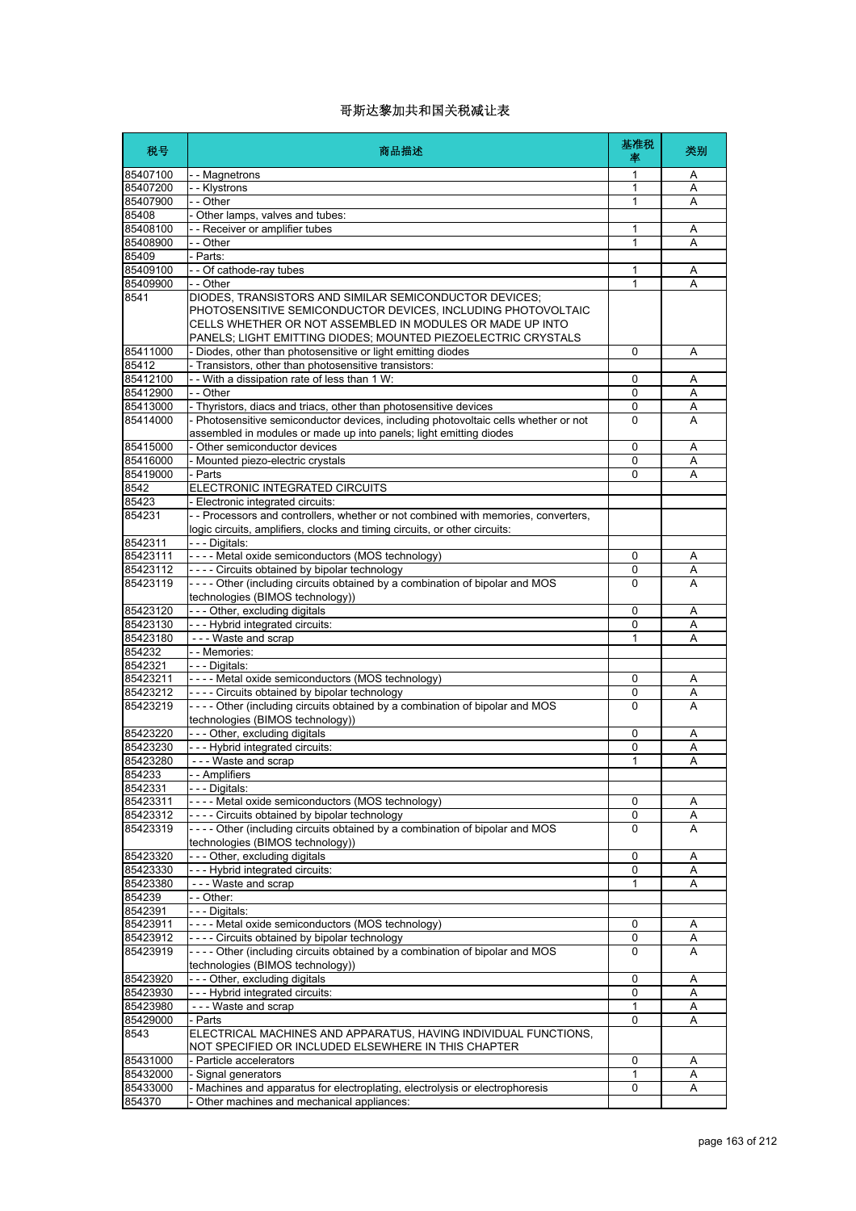| 税号                   | 商品描述                                                                                                                                                                                                  | 基准税<br>率          | 类别     |
|----------------------|-------------------------------------------------------------------------------------------------------------------------------------------------------------------------------------------------------|-------------------|--------|
| 85407100             | - - Magnetrons                                                                                                                                                                                        | 1                 | Α      |
| 85407200             | - - Klystrons                                                                                                                                                                                         | $\mathbf{1}$      | A      |
| 85407900             | - - Other                                                                                                                                                                                             | 1                 | Α      |
| 85408                | - Other lamps, valves and tubes:                                                                                                                                                                      |                   |        |
| 85408100             | - - Receiver or amplifier tubes                                                                                                                                                                       | 1                 | Α      |
| 85408900             | - - Other                                                                                                                                                                                             | 1                 | Α      |
| 85409                | - Parts:                                                                                                                                                                                              |                   |        |
| 85409100<br>85409900 | - - Of cathode-ray tubes<br>$-$ - Other                                                                                                                                                               | 1<br>$\mathbf{1}$ | Α<br>Α |
| 8541                 | DIODES, TRANSISTORS AND SIMILAR SEMICONDUCTOR DEVICES;                                                                                                                                                |                   |        |
|                      | PHOTOSENSITIVE SEMICONDUCTOR DEVICES, INCLUDING PHOTOVOLTAIC<br>CELLS WHETHER OR NOT ASSEMBLED IN MODULES OR MADE UP INTO<br>PANELS; LIGHT EMITTING DIODES; MOUNTED PIEZOELECTRIC CRYSTALS            |                   |        |
| 85411000             | - Diodes, other than photosensitive or light emitting diodes                                                                                                                                          | $\Omega$          | Α      |
| 85412                | - Transistors, other than photosensitive transistors:                                                                                                                                                 |                   |        |
| 85412100             | - - With a dissipation rate of less than 1 W:                                                                                                                                                         | 0                 | Α      |
| 85412900             | - - Other                                                                                                                                                                                             | 0                 | A      |
| 85413000             | - Thyristors, diacs and triacs, other than photosensitive devices                                                                                                                                     | 0                 | Α      |
| 85414000             | - Photosensitive semiconductor devices, including photovoltaic cells whether or not                                                                                                                   | $\mathbf{0}$      | A      |
|                      | assembled in modules or made up into panels; light emitting diodes                                                                                                                                    |                   |        |
| 85415000             | - Other semiconductor devices                                                                                                                                                                         | 0                 | Α      |
| 85416000             | - Mounted piezo-electric crystals                                                                                                                                                                     | 0                 | Α      |
| 85419000             | - Parts                                                                                                                                                                                               | 0                 | Α      |
| 8542                 | ELECTRONIC INTEGRATED CIRCUITS                                                                                                                                                                        |                   |        |
| 85423<br>854231      | - Electronic integrated circuits:<br>- - Processors and controllers, whether or not combined with memories, converters,<br>logic circuits, amplifiers, clocks and timing circuits, or other circuits: |                   |        |
| 8542311              | - - - Digitals:                                                                                                                                                                                       |                   |        |
| 85423111             | ---- Metal oxide semiconductors (MOS technology)                                                                                                                                                      | 0                 | Α      |
| 85423112             | ---- Circuits obtained by bipolar technology                                                                                                                                                          | 0                 | Α      |
| 85423119             | ---- Other (including circuits obtained by a combination of bipolar and MOS<br>technologies (BIMOS technology))                                                                                       | $\mathbf{0}$      | A      |
| 85423120             | - - - Other, excluding digitals                                                                                                                                                                       | $\mathbf 0$       | Α      |
| 85423130             | --- Hybrid integrated circuits:                                                                                                                                                                       | 0                 | Α      |
| 85423180             | --- Waste and scrap                                                                                                                                                                                   | 1                 | Α      |
| 854232               | - - Memories:                                                                                                                                                                                         |                   |        |
| 8542321              | - - - Digitals:                                                                                                                                                                                       |                   |        |
| 85423211             | ---- Metal oxide semiconductors (MOS technology)                                                                                                                                                      | 0                 | Α      |
| 85423212             | ---- Circuits obtained by bipolar technology                                                                                                                                                          | 0                 | Α      |
| 85423219             | ---- Other (including circuits obtained by a combination of bipolar and MOS<br>technologies (BIMOS technology))                                                                                       | 0                 | A      |
| 85423220             | - - - Other, excluding digitals                                                                                                                                                                       | 0                 | Α      |
| 85423230             | --- Hybrid integrated circuits:                                                                                                                                                                       | 0                 | Α      |
| 85423280             | --- Waste and scrap                                                                                                                                                                                   | 1                 | A      |
| 854233               | - - Amplifiers                                                                                                                                                                                        |                   |        |
| 8542331              | -- Digitals:                                                                                                                                                                                          |                   |        |
| 85423311             | ---- Metal oxide semiconductors (MOS technology)                                                                                                                                                      | 0                 | Α      |
| 85423312<br>85423319 | ---- Circuits obtained by bipolar technology<br>---- Other (including circuits obtained by a combination of bipolar and MOS<br>technologies (BIMOS technology))                                       | 0<br>0            | Α<br>A |
| 85423320             | --- Other, excluding digitals                                                                                                                                                                         | 0                 | Α      |
| 85423330             | --- Hybrid integrated circuits:                                                                                                                                                                       | 0                 | Α      |
| 85423380             | --- Waste and scrap                                                                                                                                                                                   | 1                 | Α      |
| 854239               | - - Other:                                                                                                                                                                                            |                   |        |
| 8542391              | --- Digitals:                                                                                                                                                                                         |                   |        |
| 85423911             | ---- Metal oxide semiconductors (MOS technology)                                                                                                                                                      | 0                 | Α      |
| 85423912             | ---- Circuits obtained by bipolar technology                                                                                                                                                          | 0                 | Α      |
| 85423919             | ---- Other (including circuits obtained by a combination of bipolar and MOS<br>technologies (BIMOS technology))                                                                                       | 0                 | A      |
| 85423920             | --- Other, excluding digitals                                                                                                                                                                         | 0                 | Α      |
| 85423930             | --- Hybrid integrated circuits:                                                                                                                                                                       | 0                 | Α      |
| 85423980             | --- Waste and scrap                                                                                                                                                                                   | 1                 | A      |
| 85429000             | - Parts                                                                                                                                                                                               | 0                 | Α      |
| 8543                 | ELECTRICAL MACHINES AND APPARATUS, HAVING INDIVIDUAL FUNCTIONS,<br>NOT SPECIFIED OR INCLUDED ELSEWHERE IN THIS CHAPTER                                                                                |                   |        |
| 85431000             | Particle accelerators                                                                                                                                                                                 | 0                 | Α      |
| 85432000             | Signal generators                                                                                                                                                                                     | 1                 | Α      |
| 85433000             | - Machines and apparatus for electroplating, electrolysis or electrophoresis                                                                                                                          | 0                 | Α      |
| 854370               | Other machines and mechanical appliances:                                                                                                                                                             |                   |        |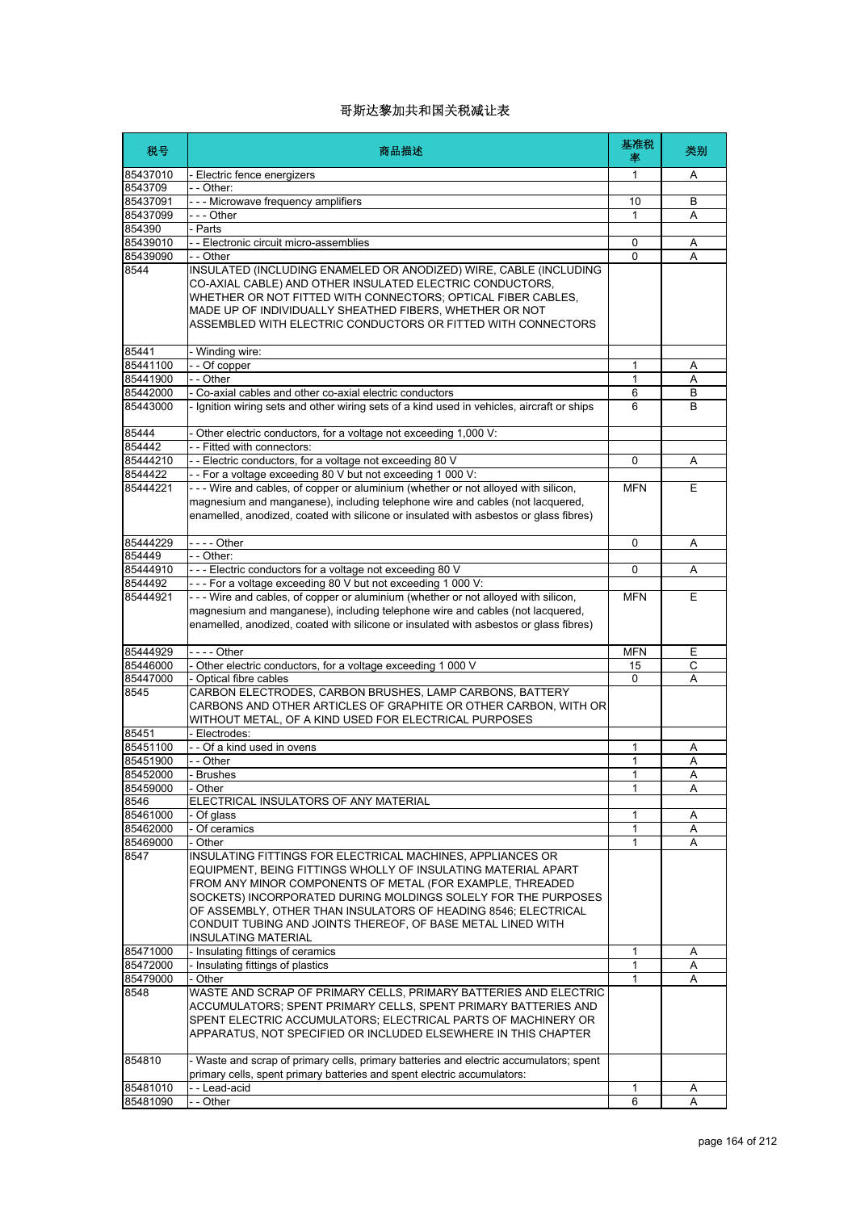| 税号                   | 商品描述                                                                                                                                                                                                                                                                                                                                                                                                              | 基准税<br>率   | 类别 |
|----------------------|-------------------------------------------------------------------------------------------------------------------------------------------------------------------------------------------------------------------------------------------------------------------------------------------------------------------------------------------------------------------------------------------------------------------|------------|----|
| 85437010             | - Electric fence energizers                                                                                                                                                                                                                                                                                                                                                                                       | 1          | Α  |
| 8543709              | - - Other:                                                                                                                                                                                                                                                                                                                                                                                                        |            |    |
| 85437091             | --- Microwave frequency amplifiers                                                                                                                                                                                                                                                                                                                                                                                | 10         | B  |
| 85437099             | --- Other                                                                                                                                                                                                                                                                                                                                                                                                         | 1          | Α  |
| 854390               | - Parts                                                                                                                                                                                                                                                                                                                                                                                                           |            |    |
| 85439010             | - - Electronic circuit micro-assemblies                                                                                                                                                                                                                                                                                                                                                                           | 0          | Α  |
| 85439090             | - - Other                                                                                                                                                                                                                                                                                                                                                                                                         | 0          | Α  |
| 8544                 | INSULATED (INCLUDING ENAMELED OR ANODIZED) WIRE, CABLE (INCLUDING<br>CO-AXIAL CABLE) AND OTHER INSULATED ELECTRIC CONDUCTORS,<br>WHETHER OR NOT FITTED WITH CONNECTORS; OPTICAL FIBER CABLES,<br>MADE UP OF INDIVIDUALLY SHEATHED FIBERS, WHETHER OR NOT<br>ASSEMBLED WITH ELECTRIC CONDUCTORS OR FITTED WITH CONNECTORS                                                                                          |            |    |
| 85441                | Winding wire:                                                                                                                                                                                                                                                                                                                                                                                                     |            |    |
| 85441100             | -- Of copper                                                                                                                                                                                                                                                                                                                                                                                                      | 1          | Α  |
| 85441900             | - - Other                                                                                                                                                                                                                                                                                                                                                                                                         | 1          | A  |
| 85442000             | Co-axial cables and other co-axial electric conductors                                                                                                                                                                                                                                                                                                                                                            | 6          | B  |
| 85443000             | Ignition wiring sets and other wiring sets of a kind used in vehicles, aircraft or ships                                                                                                                                                                                                                                                                                                                          | 6          | B  |
| 85444                | Other electric conductors, for a voltage not exceeding 1,000 V:                                                                                                                                                                                                                                                                                                                                                   |            |    |
| 854442               | -- Fitted with connectors:                                                                                                                                                                                                                                                                                                                                                                                        |            |    |
| 85444210             | - - Electric conductors, for a voltage not exceeding 80 V                                                                                                                                                                                                                                                                                                                                                         | $\Omega$   | Α  |
| 8544422              | -- For a voltage exceeding 80 V but not exceeding 1 000 V:                                                                                                                                                                                                                                                                                                                                                        |            |    |
| 85444221             | --- Wire and cables, of copper or aluminium (whether or not alloyed with silicon,<br>magnesium and manganese), including telephone wire and cables (not lacquered,<br>enamelled, anodized, coated with silicone or insulated with asbestos or glass fibres)                                                                                                                                                       | <b>MFN</b> | Ε  |
| 85444229             | - - - - Other                                                                                                                                                                                                                                                                                                                                                                                                     | $\Omega$   | Α  |
| 854449               | - - Other:                                                                                                                                                                                                                                                                                                                                                                                                        |            |    |
| 85444910             | --- Electric conductors for a voltage not exceeding 80 V                                                                                                                                                                                                                                                                                                                                                          | 0          | Α  |
| 8544492              | - - - For a voltage exceeding 80 V but not exceeding 1 000 V:                                                                                                                                                                                                                                                                                                                                                     |            |    |
| 85444921             | --- Wire and cables, of copper or aluminium (whether or not alloyed with silicon,<br>magnesium and manganese), including telephone wire and cables (not lacquered,<br>enamelled, anodized, coated with silicone or insulated with asbestos or glass fibres)                                                                                                                                                       | MFN        | Е  |
| 85444929             | - - - - Other                                                                                                                                                                                                                                                                                                                                                                                                     | <b>MFN</b> | Ε  |
| 85446000             | - Other electric conductors, for a voltage exceeding 1 000 V                                                                                                                                                                                                                                                                                                                                                      | 15         | C  |
| 85447000             | - Optical fibre cables                                                                                                                                                                                                                                                                                                                                                                                            | 0          | Α  |
| 8545                 | CARBON ELECTRODES, CARBON BRUSHES, LAMP CARBONS, BATTERY<br>CARBONS AND OTHER ARTICLES OF GRAPHITE OR OTHER CARBON, WITH OR<br>WITHOUT METAL, OF A KIND USED FOR ELECTRICAL PURPOSES                                                                                                                                                                                                                              |            |    |
| 85451                | Electrodes:                                                                                                                                                                                                                                                                                                                                                                                                       |            |    |
| 85451100             | -- Of a kind used in ovens                                                                                                                                                                                                                                                                                                                                                                                        | 1          | Α  |
| 85451900<br>85452000 | - Other                                                                                                                                                                                                                                                                                                                                                                                                           | 1          | Α  |
|                      | - Brushes                                                                                                                                                                                                                                                                                                                                                                                                         | 1          | A  |
| 85459000<br>8546     | Other<br>ELECTRICAL INSULATORS OF ANY MATERIAL                                                                                                                                                                                                                                                                                                                                                                    | 1          | Α  |
| 85461000             | Of glass                                                                                                                                                                                                                                                                                                                                                                                                          | 1          | Α  |
| 85462000             | - Of ceramics                                                                                                                                                                                                                                                                                                                                                                                                     | 1          | Α  |
| 85469000             | - Other                                                                                                                                                                                                                                                                                                                                                                                                           | 1          | A  |
| 8547                 | INSULATING FITTINGS FOR ELECTRICAL MACHINES, APPLIANCES OR<br>EQUIPMENT, BEING FITTINGS WHOLLY OF INSULATING MATERIAL APART<br>FROM ANY MINOR COMPONENTS OF METAL (FOR EXAMPLE, THREADED<br>SOCKETS) INCORPORATED DURING MOLDINGS SOLELY FOR THE PURPOSES<br>OF ASSEMBLY, OTHER THAN INSULATORS OF HEADING 8546; ELECTRICAL<br>CONDUIT TUBING AND JOINTS THEREOF, OF BASE METAL LINED WITH<br>INSULATING MATERIAL |            |    |
| 85471000             | - Insulating fittings of ceramics                                                                                                                                                                                                                                                                                                                                                                                 | 1          | Α  |
| 85472000             | - Insulating fittings of plastics                                                                                                                                                                                                                                                                                                                                                                                 | 1          | Α  |
| 85479000             | - Other                                                                                                                                                                                                                                                                                                                                                                                                           | 1          | Α  |
| 8548                 | WASTE AND SCRAP OF PRIMARY CELLS, PRIMARY BATTERIES AND ELECTRIC<br>ACCUMULATORS; SPENT PRIMARY CELLS, SPENT PRIMARY BATTERIES AND<br>SPENT ELECTRIC ACCUMULATORS; ELECTRICAL PARTS OF MACHINERY OR<br>APPARATUS, NOT SPECIFIED OR INCLUDED ELSEWHERE IN THIS CHAPTER                                                                                                                                             |            |    |
| 854810               | - Waste and scrap of primary cells, primary batteries and electric accumulators; spent<br>primary cells, spent primary batteries and spent electric accumulators:                                                                                                                                                                                                                                                 |            |    |
| 85481010             | - - Lead-acid                                                                                                                                                                                                                                                                                                                                                                                                     | 1          | A  |
| 85481090             | - - Other                                                                                                                                                                                                                                                                                                                                                                                                         | 6          | A  |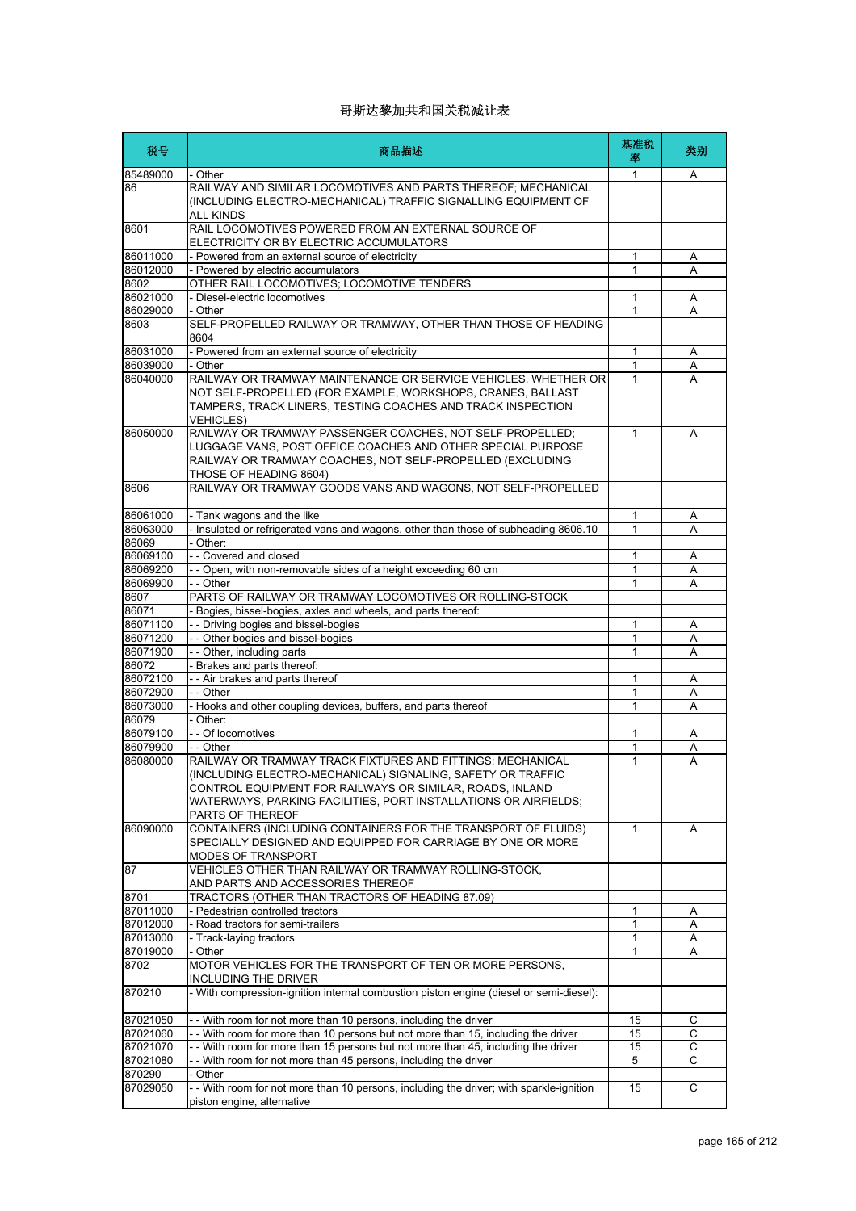| 税号                   | 商品描述                                                                                                                                                                                                            | 基准税<br>率 | 类别     |
|----------------------|-----------------------------------------------------------------------------------------------------------------------------------------------------------------------------------------------------------------|----------|--------|
| 85489000             | - Other                                                                                                                                                                                                         | 1        | A      |
| 86                   | RAILWAY AND SIMILAR LOCOMOTIVES AND PARTS THEREOF; MECHANICAL<br>(INCLUDING ELECTRO-MECHANICAL) TRAFFIC SIGNALLING EQUIPMENT OF<br>ALL KINDS                                                                    |          |        |
| 8601                 | RAIL LOCOMOTIVES POWERED FROM AN EXTERNAL SOURCE OF<br>ELECTRICITY OR BY ELECTRIC ACCUMULATORS                                                                                                                  |          |        |
| 86011000             | - Powered from an external source of electricity                                                                                                                                                                | 1        | Α      |
| 86012000             | - Powered by electric accumulators                                                                                                                                                                              | 1        | Α      |
| 8602                 | OTHER RAIL LOCOMOTIVES; LOCOMOTIVE TENDERS                                                                                                                                                                      |          |        |
| 86021000             | - Diesel-electric locomotives                                                                                                                                                                                   | 1        | Α      |
| 86029000             | - Other<br>SELF-PROPELLED RAILWAY OR TRAMWAY, OTHER THAN THOSE OF HEADING                                                                                                                                       | 1        | A      |
| 8603                 | 8604                                                                                                                                                                                                            |          |        |
| 86031000             | - Powered from an external source of electricity                                                                                                                                                                | 1        | Α      |
| 86039000<br>86040000 | - Other<br>RAILWAY OR TRAMWAY MAINTENANCE OR SERVICE VEHICLES, WHETHER OR                                                                                                                                       | 1<br>1   | Α<br>А |
|                      | NOT SELF-PROPELLED (FOR EXAMPLE, WORKSHOPS, CRANES, BALLAST<br>TAMPERS, TRACK LINERS, TESTING COACHES AND TRACK INSPECTION<br><b>VEHICLES)</b>                                                                  |          |        |
| 86050000             | RAILWAY OR TRAMWAY PASSENGER COACHES, NOT SELF-PROPELLED;<br>LUGGAGE VANS, POST OFFICE COACHES AND OTHER SPECIAL PURPOSE<br>RAILWAY OR TRAMWAY COACHES, NOT SELF-PROPELLED (EXCLUDING<br>THOSE OF HEADING 8604) | 1        | A      |
| 8606                 | RAILWAY OR TRAMWAY GOODS VANS AND WAGONS, NOT SELF-PROPELLED                                                                                                                                                    |          |        |
| 86061000             | - Tank wagons and the like                                                                                                                                                                                      | 1        | Α      |
| 86063000             | Insulated or refrigerated vans and wagons, other than those of subheading 8606.10                                                                                                                               | 1        | Α      |
| 86069                | - Other:                                                                                                                                                                                                        |          |        |
| 86069100             | - - Covered and closed                                                                                                                                                                                          | 1        | Α      |
| 86069200             | - - Open, with non-removable sides of a height exceeding 60 cm                                                                                                                                                  | 1        | Α      |
| 86069900             | - - Other                                                                                                                                                                                                       | 1        | A      |
| 8607<br>86071        | PARTS OF RAILWAY OR TRAMWAY LOCOMOTIVES OR ROLLING-STOCK                                                                                                                                                        |          |        |
| 86071100             | Bogies, bissel-bogies, axles and wheels, and parts thereof:<br>- - Driving bogies and bissel-bogies                                                                                                             | 1        | Α      |
| 86071200             | - - Other bogies and bissel-bogies                                                                                                                                                                              | 1        | Α      |
| 86071900             | -- Other, including parts                                                                                                                                                                                       | 1        | Α      |
| 86072                | Brakes and parts thereof:                                                                                                                                                                                       |          |        |
| 86072100             | - - Air brakes and parts thereof                                                                                                                                                                                | 1        | Α      |
| 86072900             | - - Other                                                                                                                                                                                                       | 1        | Α      |
| 86073000             | - Hooks and other coupling devices, buffers, and parts thereof                                                                                                                                                  | 1        | Α      |
| 86079                | - Other:                                                                                                                                                                                                        |          |        |
| 86079100             | - - Of locomotives                                                                                                                                                                                              | 1        | Α      |
| 86079900<br>86080000 | - - Other<br>RAILWAY OR TRAMWAY TRACK FIXTURES AND FITTINGS; MECHANICAL                                                                                                                                         | 1<br>1   | Α<br>А |
|                      | (INCLUDING ELECTRO-MECHANICAL) SIGNALING, SAFETY OR TRAFFIC<br>CONTROL EQUIPMENT FOR RAILWAYS OR SIMILAR, ROADS, INLAND<br>WATERWAYS, PARKING FACILITIES, PORT INSTALLATIONS OR AIRFIELDS;<br>PARTS OF THEREOF  |          |        |
| 86090000             | CONTAINERS (INCLUDING CONTAINERS FOR THE TRANSPORT OF FLUIDS)<br>SPECIALLY DESIGNED AND EQUIPPED FOR CARRIAGE BY ONE OR MORE<br>MODES OF TRANSPORT                                                              | 1        | A      |
| 87                   | VEHICLES OTHER THAN RAILWAY OR TRAMWAY ROLLING-STOCK,<br>AND PARTS AND ACCESSORIES THEREOF                                                                                                                      |          |        |
| 8701                 | TRACTORS (OTHER THAN TRACTORS OF HEADING 87.09)                                                                                                                                                                 |          |        |
| 87011000             | - Pedestrian controlled tractors                                                                                                                                                                                | 1        | Α      |
| 87012000<br>87013000 | Road tractors for semi-trailers<br>- Track-laying tractors                                                                                                                                                      | 1<br>1   | Α<br>Α |
| 87019000             | - Other                                                                                                                                                                                                         | 1        | Α      |
| 8702                 | MOTOR VEHICLES FOR THE TRANSPORT OF TEN OR MORE PERSONS,<br>INCLUDING THE DRIVER                                                                                                                                |          |        |
| 870210               | - With compression-ignition internal combustion piston engine (diesel or semi-diesel):                                                                                                                          |          |        |
| 87021050             | - With room for not more than 10 persons, including the driver                                                                                                                                                  | 15       | С      |
| 87021060             | - - With room for more than 10 persons but not more than 15, including the driver                                                                                                                               | 15       | C      |
| 87021070             | - With room for more than 15 persons but not more than 45, including the driver                                                                                                                                 | 15       | С      |
| 87021080             | - With room for not more than 45 persons, including the driver                                                                                                                                                  | 5        | C      |
| 870290               | Other                                                                                                                                                                                                           |          |        |
| 87029050             | - With room for not more than 10 persons, including the driver; with sparkle-ignition<br>piston engine, alternative                                                                                             | 15       | С      |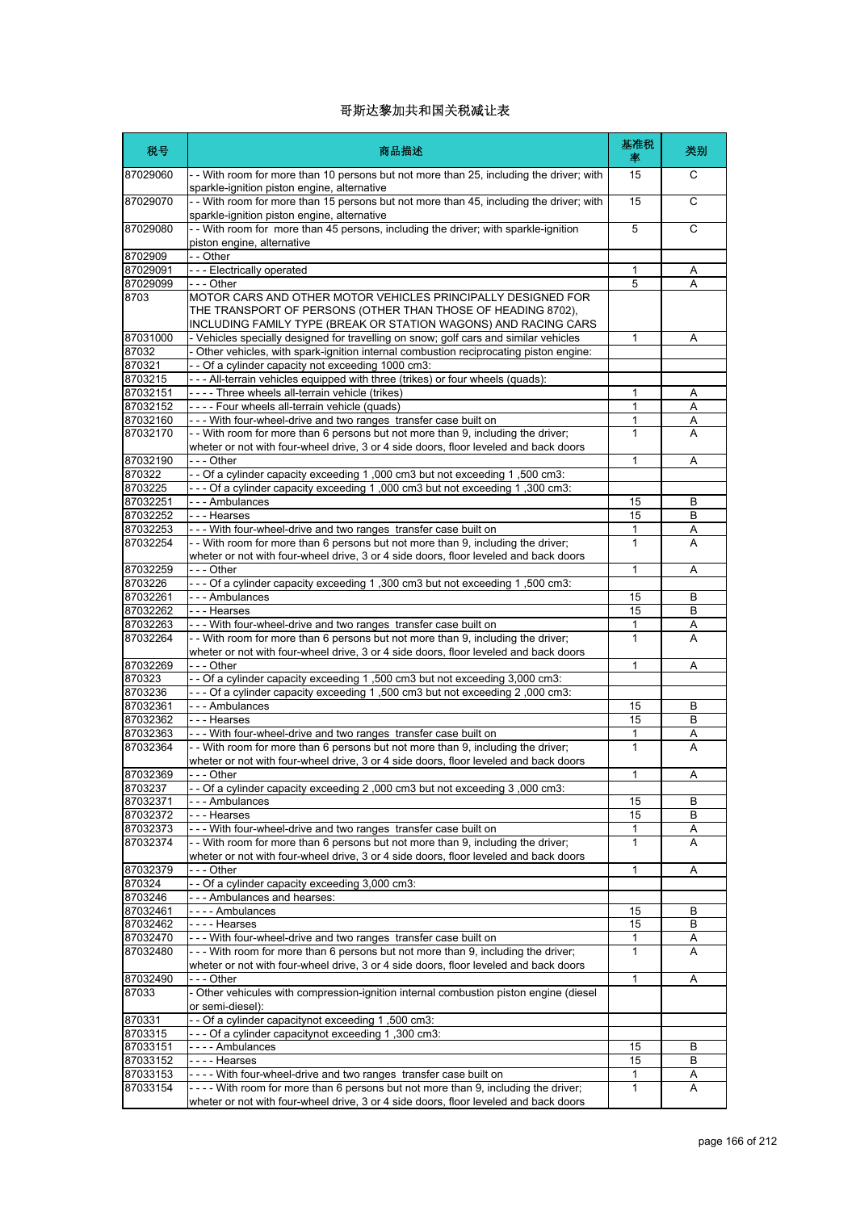| 税号                   | 商品描述                                                                                                                                                                                            | 基准税<br>率     | 类别     |
|----------------------|-------------------------------------------------------------------------------------------------------------------------------------------------------------------------------------------------|--------------|--------|
| 87029060             | - - With room for more than 10 persons but not more than 25, including the driver; with<br>sparkle-ignition piston engine, alternative                                                          | 15           | С      |
| 87029070             | - - With room for more than 15 persons but not more than 45, including the driver; with<br>sparkle-ignition piston engine, alternative                                                          | 15           | C      |
| 87029080             | - - With room for more than 45 persons, including the driver; with sparkle-ignition<br>piston engine, alternative                                                                               | 5            | C      |
| 8702909              | $ \overline{Other}$                                                                                                                                                                             |              |        |
| 87029091             | --- Electrically operated                                                                                                                                                                       | 1            | Α      |
| 87029099             | - - - Other                                                                                                                                                                                     | 5            | Α      |
| 8703                 | MOTOR CARS AND OTHER MOTOR VEHICLES PRINCIPALLY DESIGNED FOR<br>THE TRANSPORT OF PERSONS (OTHER THAN THOSE OF HEADING 8702),<br>INCLUDING FAMILY TYPE (BREAK OR STATION WAGONS) AND RACING CARS |              |        |
| 87031000             | - Vehicles specially designed for travelling on snow; golf cars and similar vehicles                                                                                                            | 1            | Α      |
| 87032                | - Other vehicles, with spark-ignition internal combustion reciprocating piston engine:                                                                                                          |              |        |
| 870321               | - - Of a cylinder capacity not exceeding 1000 cm3:                                                                                                                                              |              |        |
| 8703215              | --- All-terrain vehicles equipped with three (trikes) or four wheels (quads):                                                                                                                   |              |        |
| 87032151             | - - - - Three wheels all-terrain vehicle (trikes)                                                                                                                                               | 1            | Α      |
| 87032152             | ---- Four wheels all-terrain vehicle (quads)                                                                                                                                                    | 1            | Α      |
| 87032160             | --- With four-wheel-drive and two ranges transfer case built on                                                                                                                                 | 1            | Α      |
| 87032170             | - With room for more than 6 persons but not more than 9, including the driver;                                                                                                                  | 1            | A      |
|                      | wheter or not with four-wheel drive, 3 or 4 side doors, floor leveled and back doors                                                                                                            |              |        |
| 87032190             | - - - Other                                                                                                                                                                                     | 1            | Α      |
| 870322               | - - Of a cylinder capacity exceeding 1,000 cm3 but not exceeding 1,500 cm3:                                                                                                                     |              |        |
| 8703225              | - - - Of a cylinder capacity exceeding 1,000 cm3 but not exceeding 1,300 cm3:                                                                                                                   |              |        |
| 87032251             | - - - Ambulances                                                                                                                                                                                | 15           | В      |
| 87032252             | --- Hearses                                                                                                                                                                                     | 15           | B      |
| 87032253<br>87032254 | --- With four-wheel-drive and two ranges transfer case built on                                                                                                                                 | 1<br>1       | Α<br>A |
|                      | - With room for more than 6 persons but not more than 9, including the driver;<br>wheter or not with four-wheel drive, 3 or 4 side doors, floor leveled and back doors                          |              |        |
| 87032259             | - - - Other                                                                                                                                                                                     | 1            | A      |
| 8703226              | - - - Of a cylinder capacity exceeding 1,300 cm3 but not exceeding 1,500 cm3:                                                                                                                   |              |        |
| 87032261             | --- Ambulances                                                                                                                                                                                  | 15           | В      |
| 87032262             | --- Hearses                                                                                                                                                                                     | 15           | B      |
| 87032263<br>87032264 | --- With four-wheel-drive and two ranges transfer case built on<br>- With room for more than 6 persons but not more than 9, including the driver;                                               | 1<br>1       | Α<br>Α |
|                      | wheter or not with four-wheel drive, 3 or 4 side doors, floor leveled and back doors                                                                                                            |              |        |
| 87032269             | - - - Other                                                                                                                                                                                     | 1            | Α      |
| 870323               | - - Of a cylinder capacity exceeding 1,500 cm3 but not exceeding 3,000 cm3:                                                                                                                     |              |        |
| 8703236              | - - - Of a cylinder capacity exceeding 1,500 cm3 but not exceeding 2,000 cm3:                                                                                                                   |              |        |
| 87032361<br>87032362 | --- Ambulances<br>--- Hearses                                                                                                                                                                   | 15<br>15     | В<br>B |
| 87032363             | --- With four-wheel-drive and two ranges transfer case built on                                                                                                                                 | 1            | Α      |
| 87032364             | - With room for more than 6 persons but not more than 9, including the driver;                                                                                                                  | 1            | A      |
|                      | wheter or not with four-wheel drive, 3 or 4 side doors, floor leveled and back doors                                                                                                            |              |        |
| 87032369             | Other                                                                                                                                                                                           | 1            | Α      |
| 8703237              | - Of a cylinder capacity exceeding 2,000 cm3 but not exceeding 3,000 cm3:                                                                                                                       |              |        |
| 87032371             | - - - Ambulances                                                                                                                                                                                | 15           | В      |
| 87032372             | - - - Hearses                                                                                                                                                                                   | 15           | В      |
| 87032373             | --- With four-wheel-drive and two ranges transfer case built on                                                                                                                                 | 1            | A      |
| 87032374             | - With room for more than 6 persons but not more than 9, including the driver;<br>wheter or not with four-wheel drive, 3 or 4 side doors, floor leveled and back doors                          | $\mathbf{1}$ | A      |
| 87032379             | - - - Other                                                                                                                                                                                     | 1            | Α      |
| 870324               | - - Of a cylinder capacity exceeding 3,000 cm3:                                                                                                                                                 |              |        |
| 8703246              | --- Ambulances and hearses:                                                                                                                                                                     |              |        |
| 87032461             | ---- Ambulances                                                                                                                                                                                 | 15           | В      |
| 87032462             | - - - - Hearses                                                                                                                                                                                 | 15           | B      |
| 87032470             | --- With four-wheel-drive and two ranges transfer case built on                                                                                                                                 | 1            | Α      |
| 87032480             | --- With room for more than 6 persons but not more than 9, including the driver;<br>wheter or not with four-wheel drive, 3 or 4 side doors, floor leveled and back doors                        | 1            | A      |
| 87032490             | - - - Other                                                                                                                                                                                     | 1            | Α      |
| 87033                | - Other vehicules with compression-ignition internal combustion piston engine (diesel                                                                                                           |              |        |
|                      | or semi-diesel):                                                                                                                                                                                |              |        |
| 870331               | - - Of a cylinder capacitynot exceeding 1,500 cm3:                                                                                                                                              |              |        |
| 8703315              | - - - Of a cylinder capacitynot exceeding 1,300 cm3:<br>---- Ambulances                                                                                                                         | 15           | B      |
| 87033151<br>87033152 | - - - - Hearses                                                                                                                                                                                 | 15           | В      |
| 87033153             | ---- With four-wheel-drive and two ranges transfer case built on                                                                                                                                | 1            | Α      |
| 87033154             | - - - - With room for more than 6 persons but not more than 9, including the driver;                                                                                                            | $\mathbf{1}$ | A      |
|                      | wheter or not with four-wheel drive, 3 or 4 side doors, floor leveled and back doors                                                                                                            |              |        |
|                      |                                                                                                                                                                                                 |              |        |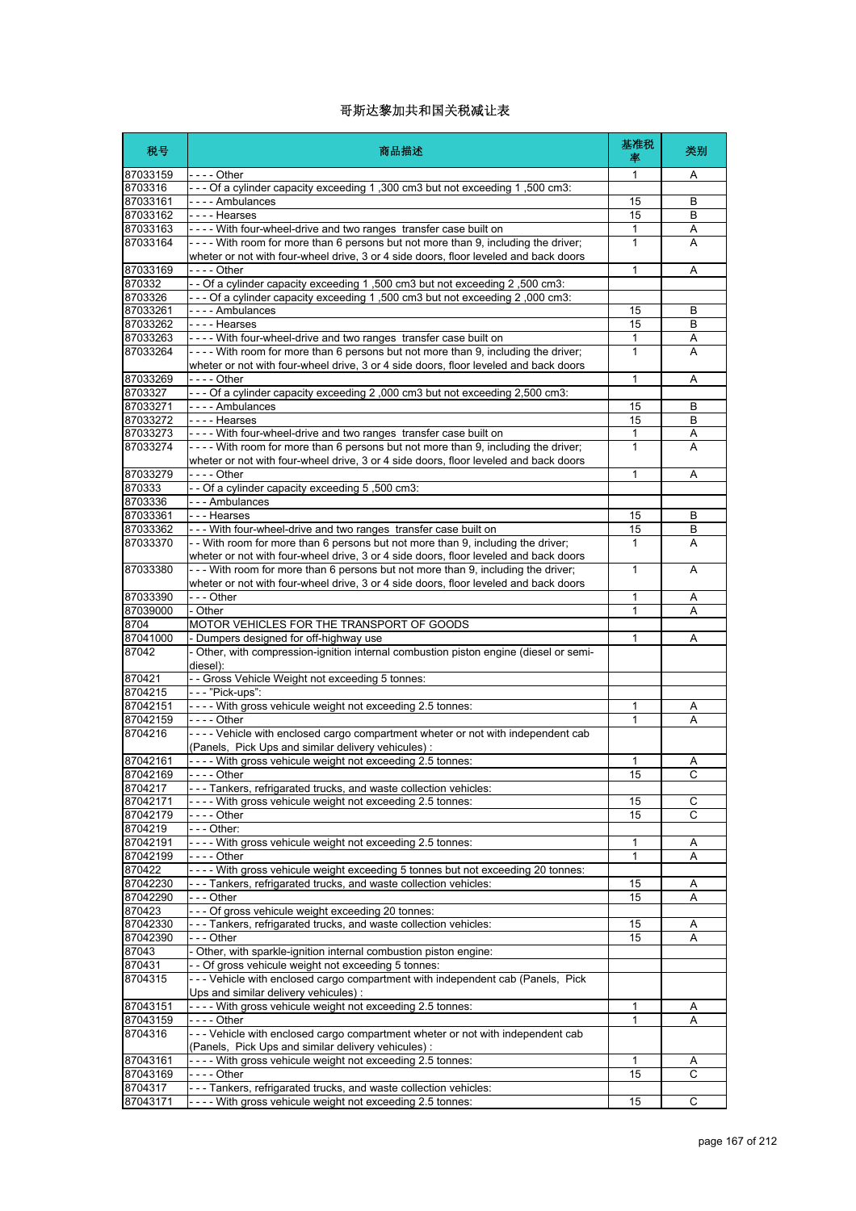| 税号                   | 商品描述                                                                                                                                                                     | 基准税<br>率 | 类别             |
|----------------------|--------------------------------------------------------------------------------------------------------------------------------------------------------------------------|----------|----------------|
| 87033159             | - - - - Other                                                                                                                                                            | 1        | Α              |
| 8703316              | - - - Of a cylinder capacity exceeding 1,300 cm3 but not exceeding 1,500 cm3:                                                                                            |          |                |
| 87033161<br>87033162 | ---- Ambulances<br>---- Hearses                                                                                                                                          | 15<br>15 | В<br>B         |
| 87033163             | ---- With four-wheel-drive and two ranges transfer case built on                                                                                                         | 1        | Α              |
| 87033164             | ---- With room for more than 6 persons but not more than 9, including the driver;                                                                                        | 1        | A              |
|                      | wheter or not with four-wheel drive, 3 or 4 side doors, floor leveled and back doors                                                                                     |          |                |
| 87033169             |                                                                                                                                                                          | 1        | Α              |
| 870332<br>8703326    | - Of a cylinder capacity exceeding 1,500 cm3 but not exceeding 2,500 cm3:<br>- - - Of a cylinder capacity exceeding 1,500 cm3 but not exceeding 2,000 cm3:               |          |                |
| 87033261             | - - - - Ambulances                                                                                                                                                       | 15       | В              |
| 87033262             | ---- Hearses                                                                                                                                                             | 15       | В              |
| 87033263             | ---- With four-wheel-drive and two ranges transfer case built on                                                                                                         | 1        | Α              |
| 87033264             | ---- With room for more than 6 persons but not more than 9, including the driver;                                                                                        | 1        | A              |
| 87033269             | wheter or not with four-wheel drive, 3 or 4 side doors, floor leveled and back doors<br>- - - - Other                                                                    | 1        | A              |
| 8703327              | - - - Of a cylinder capacity exceeding 2,000 cm3 but not exceeding 2,500 cm3:                                                                                            |          |                |
| 87033271             | ---- Ambulances                                                                                                                                                          | 15       | В              |
| 87033272             | ---- Hearses                                                                                                                                                             | 15       | B              |
| 87033273             | ---- With four-wheel-drive and two ranges transfer case built on                                                                                                         | 1        | Α              |
| 87033274             | ---- With room for more than 6 persons but not more than 9, including the driver;                                                                                        | 1        | A              |
| 87033279             | wheter or not with four-wheel drive, 3 or 4 side doors, floor leveled and back doors<br>- - - - Other                                                                    | 1        | Α              |
| 870333               | - - Of a cylinder capacity exceeding 5,500 cm3:                                                                                                                          |          |                |
| 8703336              | --- Ambulances                                                                                                                                                           |          |                |
| 87033361             | --- Hearses                                                                                                                                                              | 15       | В              |
| 87033362             | --- With four-wheel-drive and two ranges transfer case built on                                                                                                          | 15       | В              |
| 87033370             | - With room for more than 6 persons but not more than 9, including the driver;                                                                                           | 1        | A              |
| 87033380             | wheter or not with four-wheel drive, 3 or 4 side doors, floor leveled and back doors<br>--- With room for more than 6 persons but not more than 9, including the driver; | 1        | A              |
|                      | wheter or not with four-wheel drive, 3 or 4 side doors, floor leveled and back doors                                                                                     |          |                |
| 87033390             | --- Other                                                                                                                                                                | 1        | A              |
| 87039000             | - Other                                                                                                                                                                  | 1        | A              |
| 8704                 | MOTOR VEHICLES FOR THE TRANSPORT OF GOODS                                                                                                                                |          |                |
| 87041000<br>87042    | - Dumpers designed for off-highway use                                                                                                                                   | 1        | Α              |
|                      | - Other, with compression-ignition internal combustion piston engine (diesel or semi-<br>diesel):                                                                        |          |                |
| 870421               | - - Gross Vehicle Weight not exceeding 5 tonnes:                                                                                                                         |          |                |
| 8704215              | - - - "Pick-ups":                                                                                                                                                        |          |                |
| 87042151             | ---- With gross vehicule weight not exceeding 2.5 tonnes:                                                                                                                | 1        | Α              |
| 87042159             | - - - - Other                                                                                                                                                            | 1        | Α              |
| 8704216              | ---- Vehicle with enclosed cargo compartment wheter or not with independent cab<br>(Panels, Pick Ups and similar delivery vehicules):                                    |          |                |
| 87042161             | ---- With gross vehicule weight not exceeding 2.5 tonnes:                                                                                                                | 1        | A              |
| 87042169             | - - - - Other                                                                                                                                                            | 15       | $\overline{c}$ |
| 8704217              | --- Tankers, refrigarated trucks, and waste collection vehicles:                                                                                                         |          |                |
| 87042171             | - - - - With gross vehicule weight not exceeding 2.5 tonnes:                                                                                                             | 15       | С              |
| 87042179             | - - - - Other                                                                                                                                                            | 15       | C              |
| 8704219<br>87042191  | - - - Other:<br>---- With gross vehicule weight not exceeding 2.5 tonnes:                                                                                                | 1        | Α              |
| 87042199             |                                                                                                                                                                          | 1        | Α              |
| 870422               | ---- With gross vehicule weight exceeding 5 tonnes but not exceeding 20 tonnes:                                                                                          |          |                |
| 87042230             | --- Tankers, refrigarated trucks, and waste collection vehicles:                                                                                                         | 15       | Α              |
| 87042290             | - - - Other                                                                                                                                                              | 15       | Α              |
| 870423               | --- Of gross vehicule weight exceeding 20 tonnes:                                                                                                                        |          |                |
| 87042330<br>87042390 | --- Tankers, refrigarated trucks, and waste collection vehicles:<br>$\overline{-}$ - Other                                                                               | 15<br>15 | Α<br>Α         |
| 87043                | - Other, with sparkle-ignition internal combustion piston engine:                                                                                                        |          |                |
| 870431               | - - Of gross vehicule weight not exceeding 5 tonnes:                                                                                                                     |          |                |
| 8704315              | --- Vehicle with enclosed cargo compartment with independent cab (Panels, Pick                                                                                           |          |                |
|                      | Ups and similar delivery vehicules) :                                                                                                                                    |          |                |
| 87043151             | ---- With gross vehicule weight not exceeding 2.5 tonnes:                                                                                                                | 1        | Α              |
| 87043159<br>8704316  | --- Vehicle with enclosed cargo compartment wheter or not with independent cab                                                                                           | 1        | Α              |
|                      | (Panels, Pick Ups and similar delivery vehicules):                                                                                                                       |          |                |
| 87043161             | - - - - With gross vehicule weight not exceeding 2.5 tonnes:                                                                                                             | 1        | A              |
| 87043169             | - - - - Other                                                                                                                                                            | 15       | C              |
| 8704317              | --- Tankers, refrigarated trucks, and waste collection vehicles:                                                                                                         |          |                |
| 87043171             | ---- With gross vehicule weight not exceeding 2.5 tonnes:                                                                                                                | 15       | С              |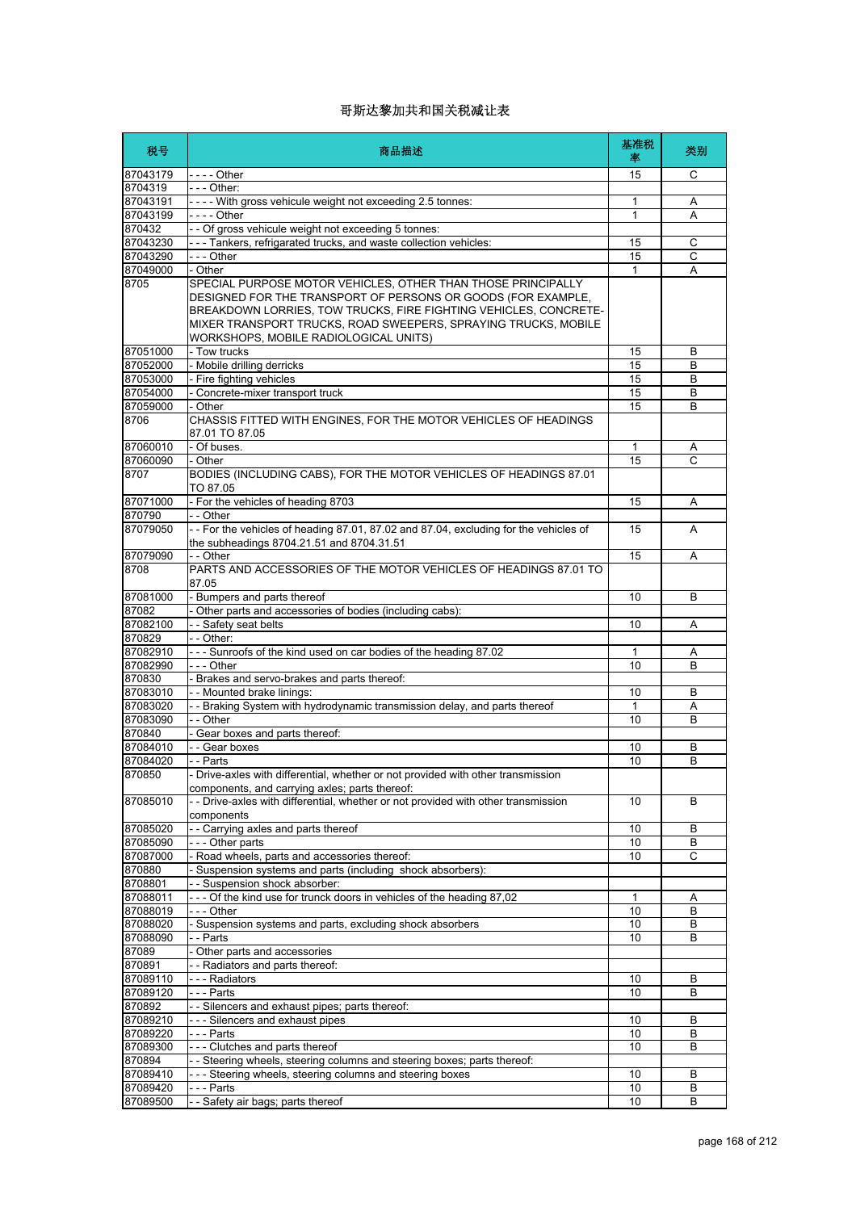| 税号       | 商品描述                                                                                                                                                                                                                                                                                                        | 基准税<br>率     | 类别     |
|----------|-------------------------------------------------------------------------------------------------------------------------------------------------------------------------------------------------------------------------------------------------------------------------------------------------------------|--------------|--------|
| 87043179 | $--$ Other                                                                                                                                                                                                                                                                                                  | 15           | C      |
| 8704319  | - - - Other:                                                                                                                                                                                                                                                                                                |              |        |
| 87043191 | - - - - With gross vehicule weight not exceeding 2.5 tonnes:                                                                                                                                                                                                                                                | 1            | Α      |
| 87043199 | - - - - Other                                                                                                                                                                                                                                                                                               | $\mathbf{1}$ | A      |
| 870432   | - - Of gross vehicule weight not exceeding 5 tonnes:                                                                                                                                                                                                                                                        |              |        |
| 87043230 | --- Tankers, refrigarated trucks, and waste collection vehicles:                                                                                                                                                                                                                                            | 15           | C      |
| 87043290 | - - - Other                                                                                                                                                                                                                                                                                                 | 15           | C      |
| 87049000 | - Other                                                                                                                                                                                                                                                                                                     | 1            | A      |
| 8705     | SPECIAL PURPOSE MOTOR VEHICLES, OTHER THAN THOSE PRINCIPALLY<br>DESIGNED FOR THE TRANSPORT OF PERSONS OR GOODS (FOR EXAMPLE,<br>BREAKDOWN LORRIES. TOW TRUCKS, FIRE FIGHTING VEHICLES, CONCRETE-<br>MIXER TRANSPORT TRUCKS, ROAD SWEEPERS, SPRAYING TRUCKS, MOBILE<br>WORKSHOPS, MOBILE RADIOLOGICAL UNITS) |              |        |
| 87051000 | - Tow trucks                                                                                                                                                                                                                                                                                                | 15           | B      |
| 87052000 | - Mobile drilling derricks                                                                                                                                                                                                                                                                                  | 15           | B      |
| 87053000 | - Fire fighting vehicles                                                                                                                                                                                                                                                                                    | 15           | B      |
| 87054000 | - Concrete-mixer transport truck                                                                                                                                                                                                                                                                            | 15           | B      |
| 87059000 | - Other                                                                                                                                                                                                                                                                                                     | 15           | B      |
| 8706     | CHASSIS FITTED WITH ENGINES, FOR THE MOTOR VEHICLES OF HEADINGS<br>87.01 TO 87.05                                                                                                                                                                                                                           |              |        |
| 87060010 | - Of buses.                                                                                                                                                                                                                                                                                                 | 1            | Α      |
| 87060090 | - Other                                                                                                                                                                                                                                                                                                     | 15           | Ċ      |
| 8707     | BODIES (INCLUDING CABS), FOR THE MOTOR VEHICLES OF HEADINGS 87.01<br>TO 87.05                                                                                                                                                                                                                               |              |        |
| 87071000 | - For the vehicles of heading 8703                                                                                                                                                                                                                                                                          | 15           | Α      |
| 870790   | - - Other                                                                                                                                                                                                                                                                                                   |              |        |
| 87079050 | -- For the vehicles of heading 87.01, 87.02 and 87.04, excluding for the vehicles of<br>the subheadings 8704.21.51 and 8704.31.51                                                                                                                                                                           | 15           | A      |
| 87079090 | - - Other                                                                                                                                                                                                                                                                                                   | 15           | A      |
| 8708     | PARTS AND ACCESSORIES OF THE MOTOR VEHICLES OF HEADINGS 87.01 TO<br>87.05                                                                                                                                                                                                                                   |              |        |
| 87081000 | - Bumpers and parts thereof                                                                                                                                                                                                                                                                                 | 10           | B      |
| 87082    | - Other parts and accessories of bodies (including cabs):                                                                                                                                                                                                                                                   |              |        |
| 87082100 | - - Safety seat belts                                                                                                                                                                                                                                                                                       | 10           | A      |
| 870829   | - - Other:                                                                                                                                                                                                                                                                                                  |              |        |
| 87082910 | --- Sunroofs of the kind used on car bodies of the heading 87.02                                                                                                                                                                                                                                            | 1            | Α      |
| 87082990 | --- Other                                                                                                                                                                                                                                                                                                   | 10           | B      |
| 870830   | - Brakes and servo-brakes and parts thereof:                                                                                                                                                                                                                                                                |              |        |
| 87083010 | -- Mounted brake linings:                                                                                                                                                                                                                                                                                   | 10           | B      |
| 87083020 | - - Braking System with hydrodynamic transmission delay, and parts thereof                                                                                                                                                                                                                                  | 1            | Α      |
| 87083090 | - - Other                                                                                                                                                                                                                                                                                                   | 10           | B      |
| 870840   | - Gear boxes and parts thereof:                                                                                                                                                                                                                                                                             |              |        |
|          |                                                                                                                                                                                                                                                                                                             |              |        |
| 87084010 | - - Gear boxes                                                                                                                                                                                                                                                                                              | 10           | В<br>B |
| 87084020 | - - Parts                                                                                                                                                                                                                                                                                                   | 10           |        |
| 870850   | - Drive-axles with differential, whether or not provided with other transmission<br>components, and carrying axles; parts thereof:                                                                                                                                                                          |              |        |
| 87085010 | - - Drive-axles with differential, whether or not provided with other transmission<br>components                                                                                                                                                                                                            | 10           | B      |
| 87085020 | - - Carrying axles and parts thereof                                                                                                                                                                                                                                                                        | 10           | В      |
| 87085090 | --- Other parts                                                                                                                                                                                                                                                                                             | 10           | В      |
| 87087000 | - Road wheels, parts and accessories thereof:                                                                                                                                                                                                                                                               | 10           | C      |
| 870880   | - Suspension systems and parts (including shock absorbers):                                                                                                                                                                                                                                                 |              |        |
| 8708801  | - - Suspension shock absorber:                                                                                                                                                                                                                                                                              |              |        |
| 87088011 | --- Of the kind use for trunck doors in vehicles of the heading 87,02                                                                                                                                                                                                                                       | 1            | Α      |
| 87088019 | - - - Other                                                                                                                                                                                                                                                                                                 | 10           | В      |
| 87088020 | - Suspension systems and parts, excluding shock absorbers                                                                                                                                                                                                                                                   | 10           | B      |
| 87088090 | - - Parts                                                                                                                                                                                                                                                                                                   | 10           | В      |
| 87089    | - Other parts and accessories                                                                                                                                                                                                                                                                               |              |        |
| 870891   | - - Radiators and parts thereof:                                                                                                                                                                                                                                                                            |              |        |
|          | --- Radiators                                                                                                                                                                                                                                                                                               |              |        |
| 87089110 |                                                                                                                                                                                                                                                                                                             | 10           | B      |
| 87089120 | --- Parts                                                                                                                                                                                                                                                                                                   | 10           | B      |
| 870892   | - - Silencers and exhaust pipes; parts thereof:                                                                                                                                                                                                                                                             |              |        |
| 87089210 | --- Silencers and exhaust pipes                                                                                                                                                                                                                                                                             | 10           | B      |
| 87089220 | --- Parts                                                                                                                                                                                                                                                                                                   | 10           | B      |
| 87089300 | --- Clutches and parts thereof                                                                                                                                                                                                                                                                              | 10           | B      |
| 870894   | - - Steering wheels, steering columns and steering boxes; parts thereof:                                                                                                                                                                                                                                    |              |        |
| 87089410 | --- Steering wheels, steering columns and steering boxes                                                                                                                                                                                                                                                    | 10           | B      |
| 87089420 | - - - Parts                                                                                                                                                                                                                                                                                                 | 10           | B      |
|          |                                                                                                                                                                                                                                                                                                             |              |        |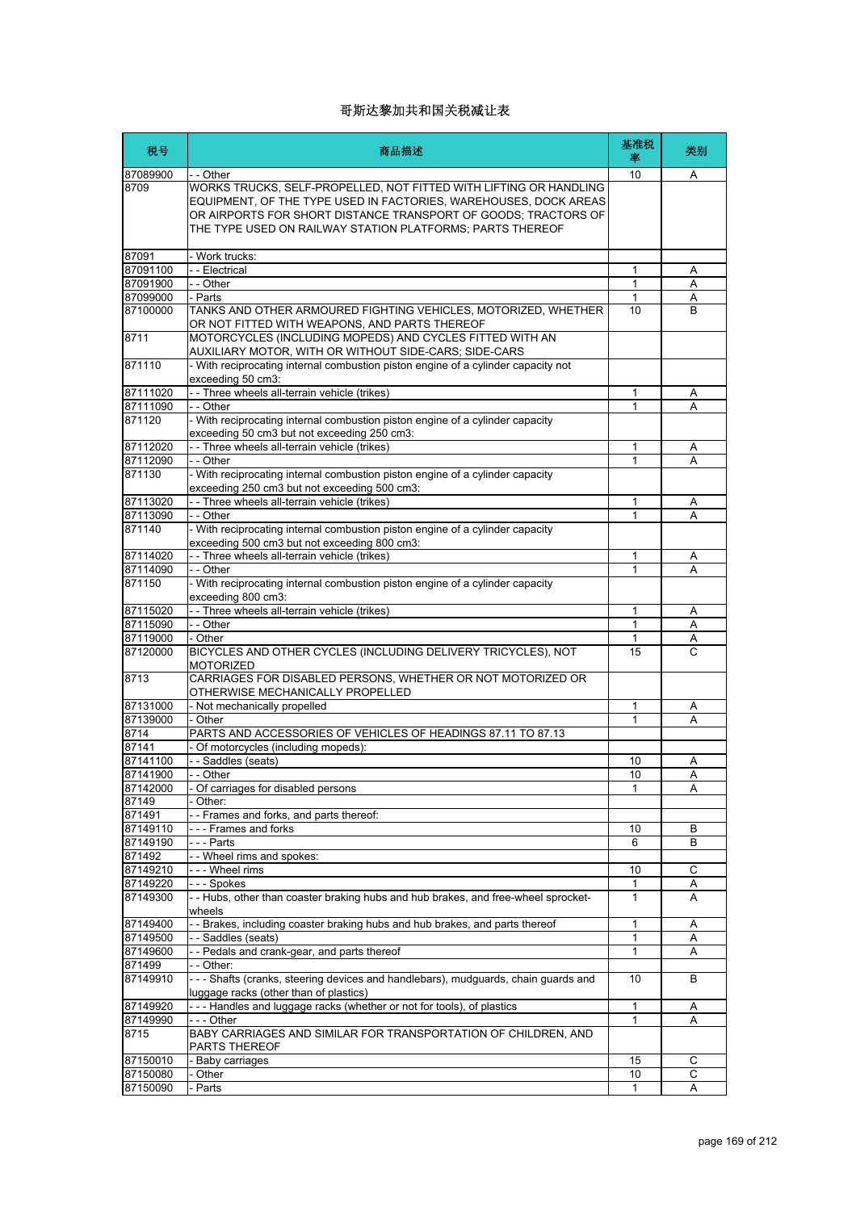| 税号                 | 商品描述                                                                                                                                                                                                                                                                 | 基准税<br>率     | 类别           |
|--------------------|----------------------------------------------------------------------------------------------------------------------------------------------------------------------------------------------------------------------------------------------------------------------|--------------|--------------|
| 87089900           | - - Other                                                                                                                                                                                                                                                            | 10           | Α            |
| 8709               | WORKS TRUCKS, SELF-PROPELLED, NOT FITTED WITH LIFTING OR HANDLING<br>EQUIPMENT, OF THE TYPE USED IN FACTORIES, WAREHOUSES, DOCK AREAS<br>OR AIRPORTS FOR SHORT DISTANCE TRANSPORT OF GOODS: TRACTORS OF<br>THE TYPE USED ON RAILWAY STATION PLATFORMS; PARTS THEREOF |              |              |
| 87091              | - Work trucks:                                                                                                                                                                                                                                                       |              |              |
| 87091100           | - - Electrical                                                                                                                                                                                                                                                       | 1            | Α            |
| 87091900           | $-$ - Other                                                                                                                                                                                                                                                          | 1            | Α            |
| 87099000           | - Parts                                                                                                                                                                                                                                                              | 1            | Α            |
| 87100000           | TANKS AND OTHER ARMOURED FIGHTING VEHICLES, MOTORIZED, WHETHER<br>OR NOT FITTED WITH WEAPONS, AND PARTS THEREOF                                                                                                                                                      | 10           | <sub>R</sub> |
| 8711               | MOTORCYCLES (INCLUDING MOPEDS) AND CYCLES FITTED WITH AN<br>AUXILIARY MOTOR, WITH OR WITHOUT SIDE-CARS; SIDE-CARS                                                                                                                                                    |              |              |
| 871110             | - With reciprocating internal combustion piston engine of a cylinder capacity not<br>exceeding 50 cm3:                                                                                                                                                               |              |              |
| 87111020           | - - Three wheels all-terrain vehicle (trikes)                                                                                                                                                                                                                        | 1            | Α            |
| 87111090           | - - Other                                                                                                                                                                                                                                                            | 1            | Α            |
| 871120             | - With reciprocating internal combustion piston engine of a cylinder capacity<br>exceeding 50 cm3 but not exceeding 250 cm3:                                                                                                                                         |              |              |
| 87112020           | - - Three wheels all-terrain vehicle (trikes)                                                                                                                                                                                                                        | 1            | A            |
| 87112090           | - - Other                                                                                                                                                                                                                                                            | 1            | Α            |
| 871130             | - With reciprocating internal combustion piston engine of a cylinder capacity<br>exceeding 250 cm3 but not exceeding 500 cm3:                                                                                                                                        |              |              |
| 87113020           | - - Three wheels all-terrain vehicle (trikes)                                                                                                                                                                                                                        | 1            | Α            |
| 87113090           | - - Other                                                                                                                                                                                                                                                            | 1            | Α            |
| 871140             | - With reciprocating internal combustion piston engine of a cylinder capacity<br>exceeding 500 cm3 but not exceeding 800 cm3:                                                                                                                                        |              |              |
| 87114020           | - - Three wheels all-terrain vehicle (trikes)                                                                                                                                                                                                                        | 1            | Α            |
| 87114090           | - - Other                                                                                                                                                                                                                                                            | 1            | A            |
| 871150             | - With reciprocating internal combustion piston engine of a cylinder capacity                                                                                                                                                                                        |              |              |
| 87115020           | exceeding 800 cm3:<br>- - Three wheels all-terrain vehicle (trikes)                                                                                                                                                                                                  | 1            | Α            |
| 87115090           | - - Other                                                                                                                                                                                                                                                            | 1            | Α            |
| 87119000           | - Other                                                                                                                                                                                                                                                              | 1            |              |
| 87120000           | BICYCLES AND OTHER CYCLES (INCLUDING DELIVERY TRICYCLES), NOT                                                                                                                                                                                                        | 15           | Α<br>C       |
| 8713               | <b>MOTORIZED</b><br>CARRIAGES FOR DISABLED PERSONS, WHETHER OR NOT MOTORIZED OR                                                                                                                                                                                      |              |              |
|                    | OTHERWISE MECHANICALLY PROPELLED                                                                                                                                                                                                                                     |              |              |
| 87131000           | - Not mechanically propelled                                                                                                                                                                                                                                         | 1            | Α            |
| 87139000           | - Other                                                                                                                                                                                                                                                              | 1            | Α            |
| 8714               | PARTS AND ACCESSORIES OF VEHICLES OF HEADINGS 87.11 TO 87.13                                                                                                                                                                                                         |              |              |
| 87141              | - Of motorcycles (including mopeds):                                                                                                                                                                                                                                 |              |              |
| 87141100           | - - Saddles (seats)                                                                                                                                                                                                                                                  | 10           | Α            |
| 87141900           | - Other                                                                                                                                                                                                                                                              | 10           | A            |
| 87142000           | - Of carriages for disabled persons                                                                                                                                                                                                                                  | 1            | Α            |
| 87149<br>871491    | Other:                                                                                                                                                                                                                                                               |              |              |
| 87149110           | -- Frames and forks, and parts thereof:<br>--- Frames and forks                                                                                                                                                                                                      |              |              |
| 87149190           | - - - Parts                                                                                                                                                                                                                                                          | 10<br>6      | В<br>B       |
| 871492             | - - Wheel rims and spokes:                                                                                                                                                                                                                                           |              |              |
| 87149210           | - - - Wheel rims                                                                                                                                                                                                                                                     | 10           | С            |
| 87149220           | --- Spokes                                                                                                                                                                                                                                                           | 1            | Α            |
| 87149300           | - - Hubs, other than coaster braking hubs and hub brakes, and free-wheel sprocket-                                                                                                                                                                                   | 1            | A            |
|                    | wheels                                                                                                                                                                                                                                                               |              |              |
| 87149400           | - - Brakes, including coaster braking hubs and hub brakes, and parts thereof                                                                                                                                                                                         | 1            | Α            |
| 87149500           | - - Saddles (seats)                                                                                                                                                                                                                                                  | $\mathbf{1}$ | Α            |
| 87149600           | - - Pedals and crank-gear, and parts thereof                                                                                                                                                                                                                         | 1            | Α            |
| 871499<br>87149910 | - - Other:<br>--- Shafts (cranks, steering devices and handlebars), mudguards, chain guards and                                                                                                                                                                      | 10           | B            |
|                    | luggage racks (other than of plastics)                                                                                                                                                                                                                               |              |              |
| 87149920           | --- Handles and luggage racks (whether or not for tools), of plastics                                                                                                                                                                                                | 1            | Α            |
| 87149990<br>8715   | - - - Other<br>BABY CARRIAGES AND SIMILAR FOR TRANSPORTATION OF CHILDREN, AND                                                                                                                                                                                        | 1            | Α            |
|                    | <b>PARTS THEREOF</b>                                                                                                                                                                                                                                                 |              |              |
| 87150010           | - Baby carriages                                                                                                                                                                                                                                                     | 15           | С            |
| 87150080           | - Other                                                                                                                                                                                                                                                              | 10           | С            |
| 87150090           | - Parts                                                                                                                                                                                                                                                              | 1            | Α            |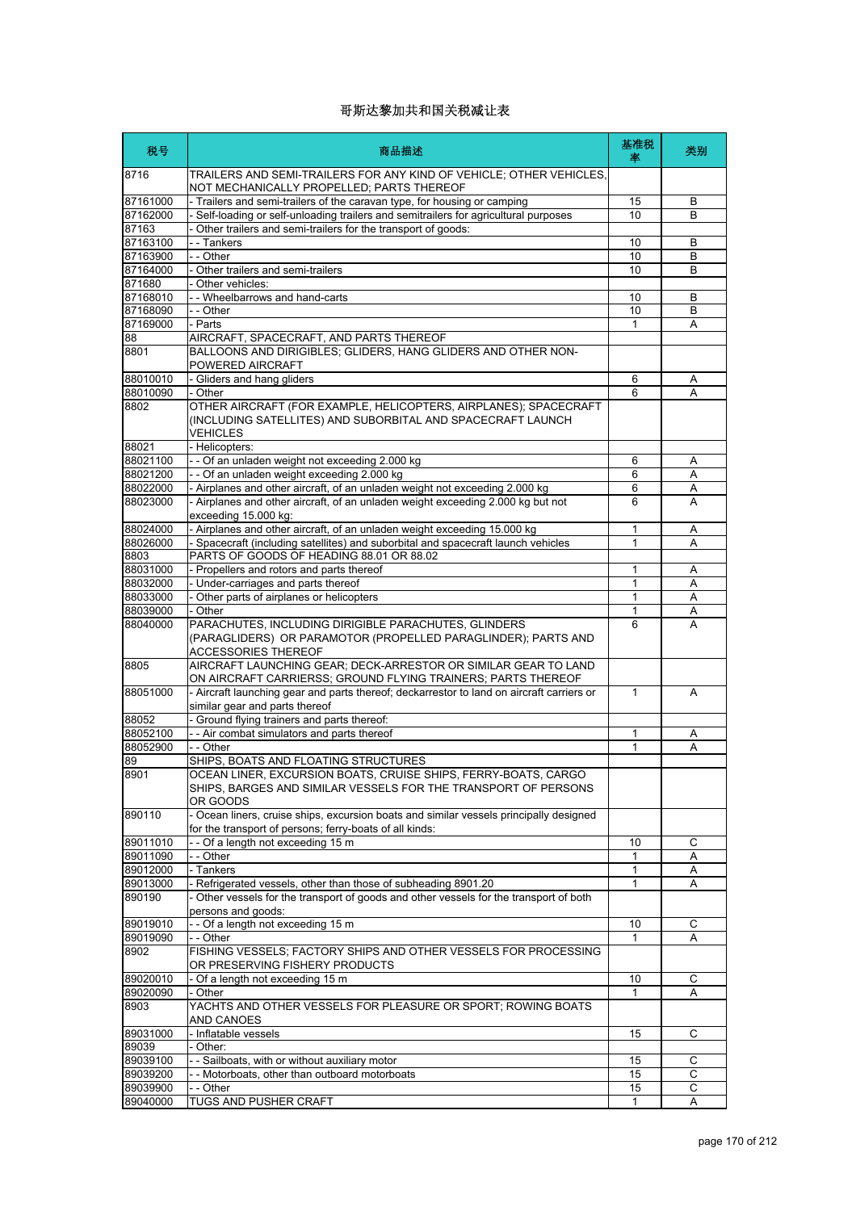| 税号                   | 商品描述                                                                                                                                               | 基准税<br>率     | 类别     |
|----------------------|----------------------------------------------------------------------------------------------------------------------------------------------------|--------------|--------|
| 8716                 | TRAILERS AND SEMI-TRAILERS FOR ANY KIND OF VEHICLE; OTHER VEHICLES,<br>NOT MECHANICALLY PROPELLED; PARTS THEREOF                                   |              |        |
| 87161000             | - Trailers and semi-trailers of the caravan type, for housing or camping                                                                           | 15           | В      |
| 87162000             | - Self-loading or self-unloading trailers and semitrailers for agricultural purposes                                                               | 10           | B      |
| 87163                | - Other trailers and semi-trailers for the transport of goods:                                                                                     |              |        |
| 87163100             | - - Tankers                                                                                                                                        | 10           | В      |
| 87163900             | - - Other                                                                                                                                          | 10           | B      |
| 87164000             | - Other trailers and semi-trailers                                                                                                                 | 10           | B      |
| 871680<br>87168010   | - Other vehicles:<br>- - Wheelbarrows and hand-carts                                                                                               | 10           | B      |
| 87168090             | - - Other                                                                                                                                          | 10           | B      |
| 87169000             | - Parts                                                                                                                                            | 1            | Α      |
| 88                   | AIRCRAFT, SPACECRAFT, AND PARTS THEREOF                                                                                                            |              |        |
| 8801                 | BALLOONS AND DIRIGIBLES; GLIDERS, HANG GLIDERS AND OTHER NON-<br>POWERED AIRCRAFT                                                                  |              |        |
| 88010010             | - Gliders and hang gliders                                                                                                                         | 6            | Α      |
| 88010090             | - Other                                                                                                                                            | 6            | Α      |
| 8802                 | OTHER AIRCRAFT (FOR EXAMPLE, HELICOPTERS, AIRPLANES); SPACECRAFT<br>(INCLUDING SATELLITES) AND SUBORBITAL AND SPACECRAFT LAUNCH<br><b>VEHICLES</b> |              |        |
| 88021                | - Helicopters:                                                                                                                                     |              |        |
| 88021100             | - - Of an unladen weight not exceeding 2.000 kg                                                                                                    | 6            | Α      |
| 88021200             | - - Of an unladen weight exceeding 2.000 kg                                                                                                        | 6            | Α      |
| 88022000             | - Airplanes and other aircraft, of an unladen weight not exceeding 2.000 kg                                                                        | 6            | A      |
| 88023000             | - Airplanes and other aircraft, of an unladen weight exceeding 2.000 kg but not<br>exceeding 15.000 kg:                                            | 6            | A      |
| 88024000             | - Airplanes and other aircraft, of an unladen weight exceeding 15.000 kg                                                                           | 1            | Α      |
| 88026000             | - Spacecraft (including satellites) and suborbital and spacecraft launch vehicles                                                                  | 1            | A      |
| 8803                 | PARTS OF GOODS OF HEADING 88.01 OR 88.02                                                                                                           |              |        |
| 88031000<br>88032000 | - Propellers and rotors and parts thereof<br>- Under-carriages and parts thereof                                                                   | 1<br>1       | Α      |
| 88033000             | - Other parts of airplanes or helicopters                                                                                                          | 1            | Α<br>Α |
| 88039000             | - Other                                                                                                                                            | 1            | Α      |
| 88040000             | PARACHUTES, INCLUDING DIRIGIBLE PARACHUTES, GLINDERS                                                                                               | 6            | A      |
|                      | (PARAGLIDERS) OR PARAMOTOR (PROPELLED PARAGLINDER); PARTS AND<br><b>ACCESSORIES THEREOF</b>                                                        |              |        |
| 8805                 | AIRCRAFT LAUNCHING GEAR; DECK-ARRESTOR OR SIMILAR GEAR TO LAND                                                                                     |              |        |
| 88051000             | ON AIRCRAFT CARRIERSS; GROUND FLYING TRAINERS; PARTS THEREOF                                                                                       | 1            | A      |
|                      | - Aircraft launching gear and parts thereof; deckarrestor to land on aircraft carriers or<br>similar gear and parts thereof                        |              |        |
| 88052                | - Ground flying trainers and parts thereof:                                                                                                        |              |        |
| 88052100             | - - Air combat simulators and parts thereof                                                                                                        | 1            | Α      |
| 88052900             | - - Other                                                                                                                                          | 1            | A      |
| 89                   | SHIPS, BOATS AND FLOATING STRUCTURES                                                                                                               |              |        |
| 8901                 | OCEAN LINER, EXCURSION BOATS, CRUISE SHIPS, FERRY-BOATS, CARGO<br>SHIPS, BARGES AND SIMILAR VESSELS FOR THE TRANSPORT OF PERSONS<br>OR GOODS       |              |        |
| 890110               | - Ocean liners, cruise ships, excursion boats and similar vessels principally designed<br>for the transport of persons; ferry-boats of all kinds:  |              |        |
| 89011010             | -- Of a length not exceeding 15 m                                                                                                                  | 10           | C      |
| 89011090             | - - Other                                                                                                                                          | 1            | Α      |
| 89012000             | - Tankers                                                                                                                                          | 1            | Α      |
| 89013000             | - Refrigerated vessels, other than those of subheading 8901.20                                                                                     | 1            | Α      |
| 890190               | - Other vessels for the transport of goods and other vessels for the transport of both<br>persons and goods:                                       |              |        |
| 89019010             | -- Of a length not exceeding 15 m                                                                                                                  | 10           | С      |
| 89019090             | - - Other                                                                                                                                          | 1            | A      |
| 8902                 | FISHING VESSELS; FACTORY SHIPS AND OTHER VESSELS FOR PROCESSING<br>OR PRESERVING FISHERY PRODUCTS                                                  |              |        |
| 89020010             | - Of a length not exceeding 15 m                                                                                                                   | 10           | C      |
| 89020090<br>8903     | - Other<br>YACHTS AND OTHER VESSELS FOR PLEASURE OR SPORT; ROWING BOATS                                                                            | 1            | A      |
|                      | AND CANOES                                                                                                                                         |              |        |
| 89031000<br>89039    | - Inflatable vessels<br>- Other:                                                                                                                   | 15           | С      |
| 89039100             | - - Sailboats, with or without auxiliary motor                                                                                                     | 15           | С      |
| 89039200             | - - Motorboats, other than outboard motorboats                                                                                                     | 15           | С      |
| 89039900             | - - Other                                                                                                                                          | 15           | С      |
| 89040000             | TUGS AND PUSHER CRAFT                                                                                                                              | $\mathbf{1}$ | Α      |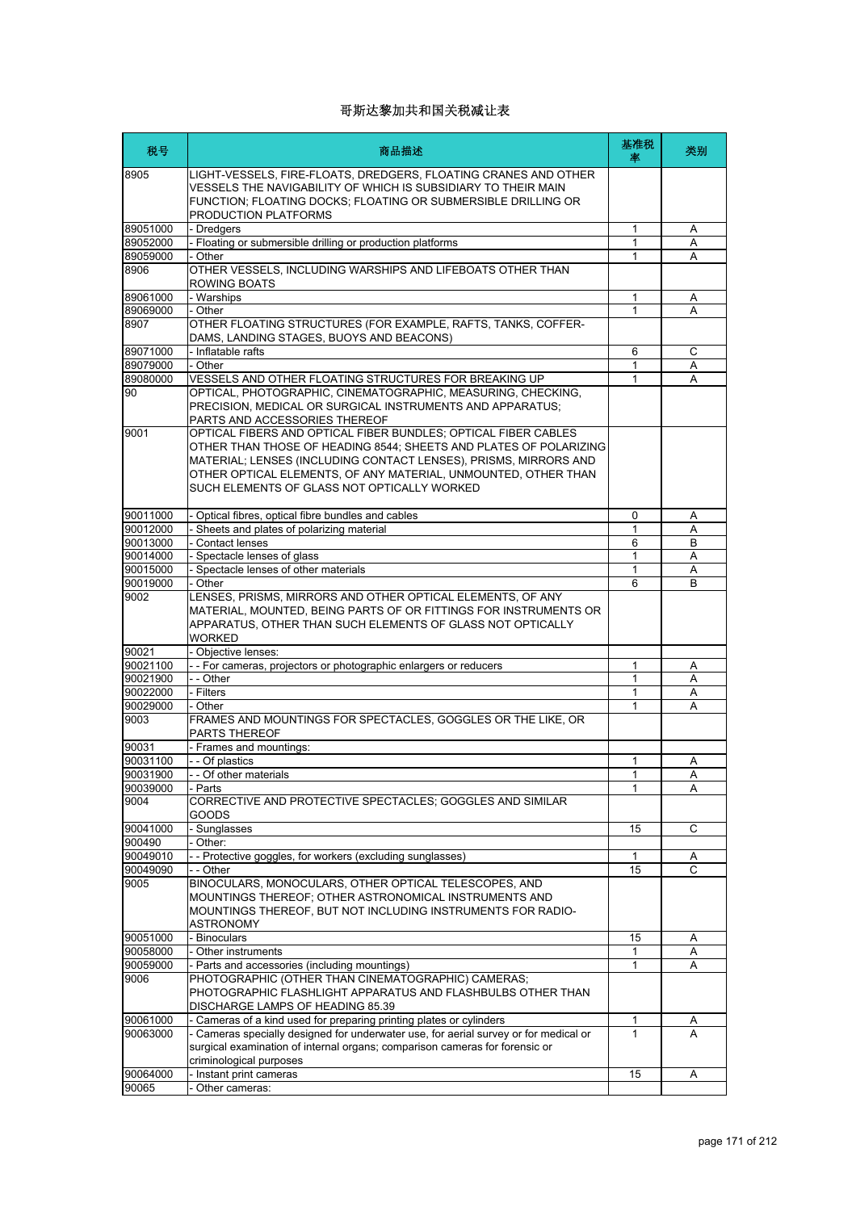| 税号                   | 商品描述                                                                                                                                                                                                                                                                                                                     | 基准税<br>率 | 类别     |
|----------------------|--------------------------------------------------------------------------------------------------------------------------------------------------------------------------------------------------------------------------------------------------------------------------------------------------------------------------|----------|--------|
| 8905                 | LIGHT-VESSELS, FIRE-FLOATS, DREDGERS, FLOATING CRANES AND OTHER<br>VESSELS THE NAVIGABILITY OF WHICH IS SUBSIDIARY TO THEIR MAIN<br>FUNCTION; FLOATING DOCKS; FLOATING OR SUBMERSIBLE DRILLING OR<br>PRODUCTION PLATFORMS                                                                                                |          |        |
| 89051000             | - Dredgers                                                                                                                                                                                                                                                                                                               | 1        | Α      |
| 89052000             | - Floating or submersible drilling or production platforms                                                                                                                                                                                                                                                               | 1        | Α      |
| 89059000             | - Other                                                                                                                                                                                                                                                                                                                  | 1        | A      |
| 8906                 | OTHER VESSELS, INCLUDING WARSHIPS AND LIFEBOATS OTHER THAN<br>ROWING BOATS                                                                                                                                                                                                                                               |          |        |
| 89061000             | - Warships                                                                                                                                                                                                                                                                                                               | 1        | Α      |
| 89069000             | - Other                                                                                                                                                                                                                                                                                                                  | 1        | А      |
| 8907                 | OTHER FLOATING STRUCTURES (FOR EXAMPLE, RAFTS, TANKS, COFFER-<br>DAMS, LANDING STAGES, BUOYS AND BEACONS)                                                                                                                                                                                                                |          |        |
| 89071000             | - Inflatable rafts                                                                                                                                                                                                                                                                                                       | 6        | C      |
| 89079000<br>89080000 | - Other<br>VESSELS AND OTHER FLOATING STRUCTURES FOR BREAKING UP                                                                                                                                                                                                                                                         | 1<br>1   | Α<br>A |
| 90                   | OPTICAL, PHOTOGRAPHIC, CINEMATOGRAPHIC, MEASURING, CHECKING,<br>PRECISION, MEDICAL OR SURGICAL INSTRUMENTS AND APPARATUS;<br>PARTS AND ACCESSORIES THEREOF                                                                                                                                                               |          |        |
| 9001                 | OPTICAL FIBERS AND OPTICAL FIBER BUNDLES; OPTICAL FIBER CABLES<br>OTHER THAN THOSE OF HEADING 8544; SHEETS AND PLATES OF POLARIZING<br>MATERIAL; LENSES (INCLUDING CONTACT LENSES), PRISMS, MIRRORS AND<br>OTHER OPTICAL ELEMENTS, OF ANY MATERIAL, UNMOUNTED, OTHER THAN<br>SUCH ELEMENTS OF GLASS NOT OPTICALLY WORKED |          |        |
| 90011000             | - Optical fibres, optical fibre bundles and cables                                                                                                                                                                                                                                                                       | 0        | Α      |
| 90012000             | - Sheets and plates of polarizing material                                                                                                                                                                                                                                                                               | 1        | Α      |
| 90013000             | Contact lenses                                                                                                                                                                                                                                                                                                           | 6        | B      |
| 90014000             | - Spectacle lenses of glass                                                                                                                                                                                                                                                                                              | 1        | Α      |
| 90015000             | - Spectacle lenses of other materials                                                                                                                                                                                                                                                                                    | 1        | Α      |
| 90019000             | - Other                                                                                                                                                                                                                                                                                                                  | 6        | B      |
| 9002                 | LENSES, PRISMS, MIRRORS AND OTHER OPTICAL ELEMENTS, OF ANY<br>MATERIAL, MOUNTED, BEING PARTS OF OR FITTINGS FOR INSTRUMENTS OR<br>APPARATUS, OTHER THAN SUCH ELEMENTS OF GLASS NOT OPTICALLY<br><b>WORKED</b>                                                                                                            |          |        |
| 90021                | - Objective lenses:                                                                                                                                                                                                                                                                                                      |          |        |
| 90021100             | - - For cameras, projectors or photographic enlargers or reducers                                                                                                                                                                                                                                                        | 1        | Α      |
| 90021900             | - - Other                                                                                                                                                                                                                                                                                                                | 1        | Α      |
| 90022000             | - Filters                                                                                                                                                                                                                                                                                                                | 1        | Α      |
| 90029000             | - Other                                                                                                                                                                                                                                                                                                                  | 1        | Α      |
| 9003                 | FRAMES AND MOUNTINGS FOR SPECTACLES, GOGGLES OR THE LIKE, OR<br><b>PARTS THEREOF</b>                                                                                                                                                                                                                                     |          |        |
| 90031                | - Frames and mountings:                                                                                                                                                                                                                                                                                                  |          |        |
| 90031100             | - - Of plastics                                                                                                                                                                                                                                                                                                          | 1        | Α      |
| 90031900             | Of other materials                                                                                                                                                                                                                                                                                                       | 1        | Α      |
| 90039000<br>9004     | - Parts<br>CORRECTIVE AND PROTECTIVE SPECTACLES; GOGGLES AND SIMILAR<br>GOODS                                                                                                                                                                                                                                            | 1        | Α      |
| 90041000             | Sunglasses                                                                                                                                                                                                                                                                                                               | 15       | С      |
| 900490               | Other:                                                                                                                                                                                                                                                                                                                   |          |        |
| 90049010             | - - Protective goggles, for workers (excluding sunglasses)                                                                                                                                                                                                                                                               | 1        | Α      |
| 90049090             | - Other                                                                                                                                                                                                                                                                                                                  | 15       | C      |
| 9005                 | BINOCULARS, MONOCULARS, OTHER OPTICAL TELESCOPES, AND<br>MOUNTINGS THEREOF; OTHER ASTRONOMICAL INSTRUMENTS AND<br>MOUNTINGS THEREOF, BUT NOT INCLUDING INSTRUMENTS FOR RADIO-<br>ASTRONOMY                                                                                                                               |          |        |
| 90051000             | - Binoculars                                                                                                                                                                                                                                                                                                             | 15       | Α      |
| 90058000             | - Other instruments                                                                                                                                                                                                                                                                                                      | 1        | Α      |
| 90059000             | - Parts and accessories (including mountings)                                                                                                                                                                                                                                                                            | 1        | Α      |
| 9006                 | PHOTOGRAPHIC (OTHER THAN CINEMATOGRAPHIC) CAMERAS;<br>PHOTOGRAPHIC FLASHLIGHT APPARATUS AND FLASHBULBS OTHER THAN                                                                                                                                                                                                        |          |        |
|                      | DISCHARGE LAMPS OF HEADING 85.39                                                                                                                                                                                                                                                                                         |          |        |
| 90061000             | Cameras of a kind used for preparing printing plates or cylinders                                                                                                                                                                                                                                                        | 1        | A      |
| 90063000             | Cameras specially designed for underwater use, for aerial survey or for medical or<br>surgical examination of internal organs; comparison cameras for forensic or<br>criminological purposes                                                                                                                             | 1        | A      |
| 90064000             | Instant print cameras                                                                                                                                                                                                                                                                                                    | 15       | Α      |
| 90065                | Other cameras:                                                                                                                                                                                                                                                                                                           |          |        |
|                      |                                                                                                                                                                                                                                                                                                                          |          |        |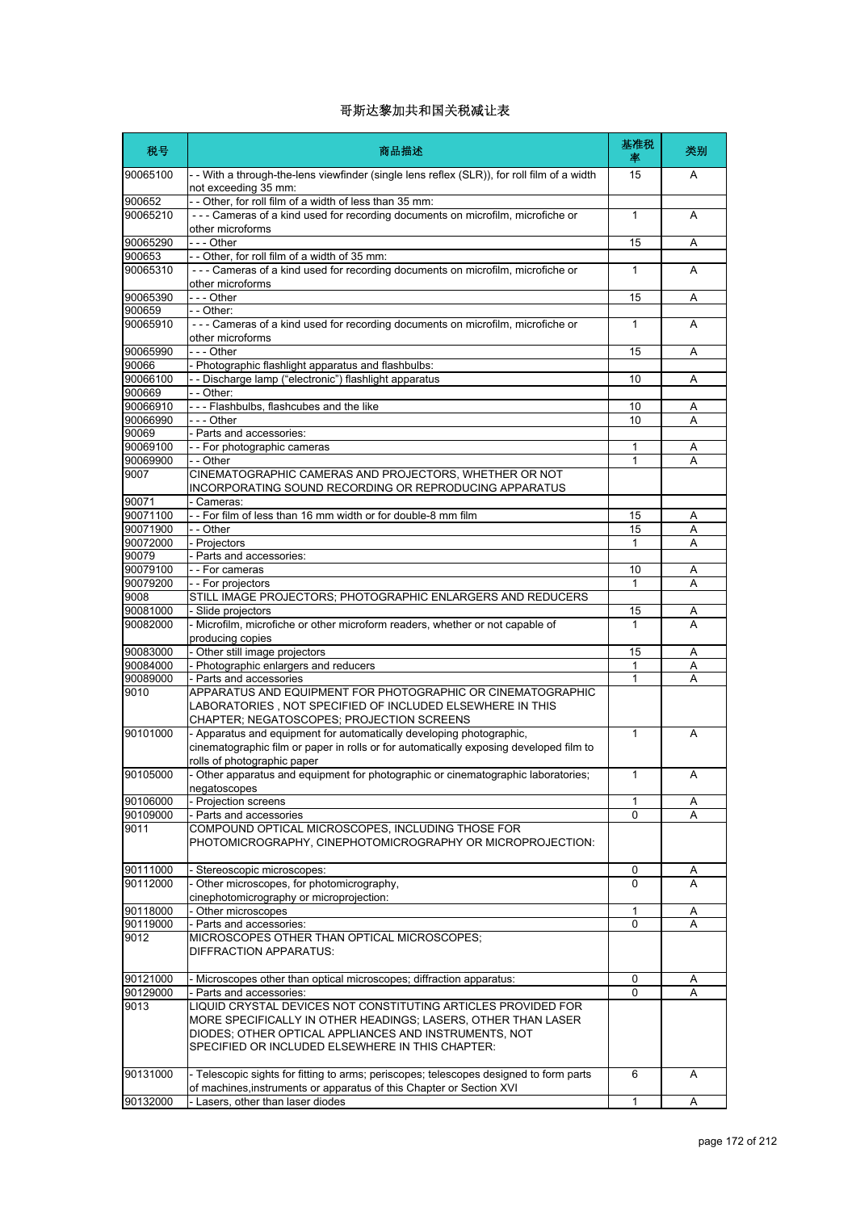| 税号                 | 商品描述                                                                                                                                                                                                                                        | 基准税<br>率     | 类别 |
|--------------------|---------------------------------------------------------------------------------------------------------------------------------------------------------------------------------------------------------------------------------------------|--------------|----|
| 90065100           | - - With a through-the-lens viewfinder (single lens reflex (SLR)), for roll film of a width<br>not exceeding 35 mm:                                                                                                                         | 15           | A  |
| 900652             | -- Other, for roll film of a width of less than 35 mm:                                                                                                                                                                                      |              |    |
| 90065210           | --- Cameras of a kind used for recording documents on microfilm, microfiche or<br>other microforms                                                                                                                                          | 1            | A  |
| 90065290           | - - - Other                                                                                                                                                                                                                                 | 15           | A  |
| 900653             | -- Other, for roll film of a width of 35 mm:                                                                                                                                                                                                |              |    |
| 90065310           | --- Cameras of a kind used for recording documents on microfilm, microfiche or<br>other microforms                                                                                                                                          | 1            | A  |
| 90065390           | --- Other                                                                                                                                                                                                                                   | 15           | Α  |
| 900659<br>90065910 | - - Other:<br>--- Cameras of a kind used for recording documents on microfilm, microfiche or                                                                                                                                                | $\mathbf{1}$ | A  |
|                    | other microforms                                                                                                                                                                                                                            |              |    |
| 90065990<br>90066  | - - - Other<br>- Photographic flashlight apparatus and flashbulbs:                                                                                                                                                                          | 15           | Α  |
| 90066100           | - - Discharge lamp ("electronic") flashlight apparatus                                                                                                                                                                                      | 10           | A  |
| 900669             | - - Other:                                                                                                                                                                                                                                  |              |    |
| 90066910           | --- Flashbulbs, flashcubes and the like                                                                                                                                                                                                     | 10           | Α  |
| 90066990           | $\overline{-}$ - Other                                                                                                                                                                                                                      | 10           | A  |
| 90069              | - Parts and accessories:                                                                                                                                                                                                                    |              |    |
| 90069100           | -- For photographic cameras                                                                                                                                                                                                                 | 1            | Α  |
| 90069900           | - - Other                                                                                                                                                                                                                                   | $\mathbf 1$  | Α  |
| 9007               | CINEMATOGRAPHIC CAMERAS AND PROJECTORS, WHETHER OR NOT<br>INCORPORATING SOUND RECORDING OR REPRODUCING APPARATUS                                                                                                                            |              |    |
| 90071              | Cameras:                                                                                                                                                                                                                                    |              |    |
| 90071100           | -- For film of less than 16 mm width or for double-8 mm film                                                                                                                                                                                | 15           | Α  |
| 90071900           | - - Other                                                                                                                                                                                                                                   | 15           | Α  |
| 90072000           | - Projectors                                                                                                                                                                                                                                | 1            | A  |
| 90079<br>90079100  | - Parts and accessories:<br>- - For cameras                                                                                                                                                                                                 | 10           | Α  |
| 90079200           | -- For projectors                                                                                                                                                                                                                           | 1            | A  |
| 9008               | STILL IMAGE PROJECTORS; PHOTOGRAPHIC ENLARGERS AND REDUCERS                                                                                                                                                                                 |              |    |
| 90081000           | - Slide projectors                                                                                                                                                                                                                          | 15           | A  |
| 90082000           | - Microfilm, microfiche or other microform readers, whether or not capable of<br>producing copies                                                                                                                                           | 1            | A  |
| 90083000           | - Other still image projectors                                                                                                                                                                                                              | 15           | A  |
| 90084000           | - Photographic enlargers and reducers                                                                                                                                                                                                       | $\mathbf{1}$ | Α  |
| 90089000           | - Parts and accessories                                                                                                                                                                                                                     | 1            | Α  |
| 9010               | APPARATUS AND EQUIPMENT FOR PHOTOGRAPHIC OR CINEMATOGRAPHIC<br>LABORATORIES, NOT SPECIFIED OF INCLUDED ELSEWHERE IN THIS<br>CHAPTER; NEGATOSCOPES; PROJECTION SCREENS                                                                       |              |    |
| 90101000           | - Apparatus and equipment for automatically developing photographic,<br>cinematographic film or paper in rolls or for automatically exposing developed film to<br>rolls of photographic paper                                               | $\mathbf{1}$ | A  |
| 90105000           | Other apparatus and equipment for photographic or cinematographic laboratories;                                                                                                                                                             | $\mathbf{1}$ |    |
| 90106000           | negatoscopes<br>- Projection screens                                                                                                                                                                                                        | 1            | Α  |
| 90109000           | - Parts and accessories                                                                                                                                                                                                                     | 0            | A  |
| 9011               | COMPOUND OPTICAL MICROSCOPES, INCLUDING THOSE FOR<br>PHOTOMICROGRAPHY, CINEPHOTOMICROGRAPHY OR MICROPROJECTION:                                                                                                                             |              |    |
| 90111000           | - Stereoscopic microscopes:                                                                                                                                                                                                                 | 0            | A  |
| 90112000           | - Other microscopes, for photomicrography,<br>cinephotomicrography or microprojection:                                                                                                                                                      | $\Omega$     | A  |
| 90118000           | - Other microscopes                                                                                                                                                                                                                         | 1            | Α  |
| 90119000           | - Parts and accessories:                                                                                                                                                                                                                    | 0            | Α  |
| 9012               | MICROSCOPES OTHER THAN OPTICAL MICROSCOPES;<br>DIFFRACTION APPARATUS:                                                                                                                                                                       |              |    |
| 90121000           | - Microscopes other than optical microscopes; diffraction apparatus:                                                                                                                                                                        | 0            | A  |
| 90129000           | - Parts and accessories:                                                                                                                                                                                                                    | 0            | A  |
| 9013               | LIQUID CRYSTAL DEVICES NOT CONSTITUTING ARTICLES PROVIDED FOR<br>MORE SPECIFICALLY IN OTHER HEADINGS; LASERS, OTHER THAN LASER<br>DIODES; OTHER OPTICAL APPLIANCES AND INSTRUMENTS, NOT<br>SPECIFIED OR INCLUDED ELSEWHERE IN THIS CHAPTER: |              |    |
| 90131000           | - Telescopic sights for fitting to arms; periscopes; telescopes designed to form parts<br>of machines, instruments or apparatus of this Chapter or Section XVI                                                                              | 6            | Α  |
| 90132000           | Lasers, other than laser diodes                                                                                                                                                                                                             | 1            | Α  |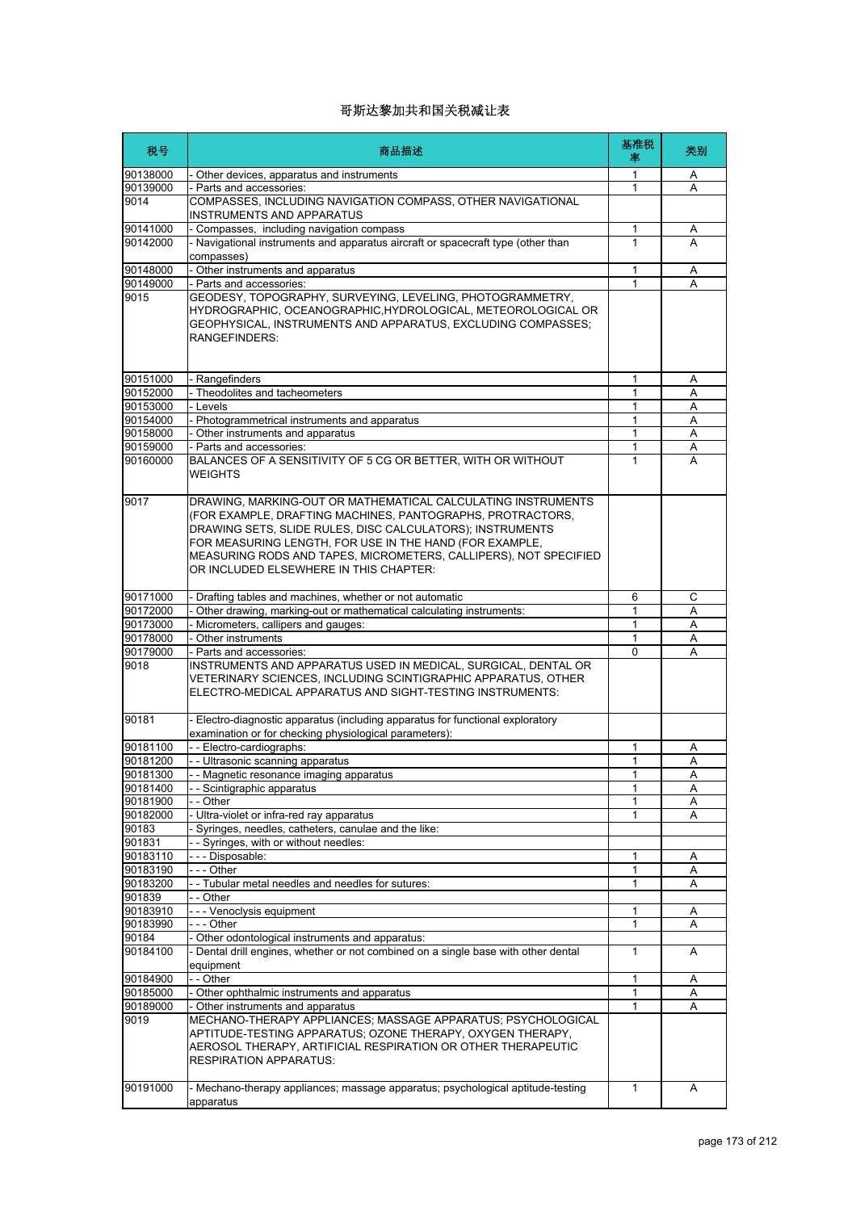| 税号       | 商品描述                                                                                                                                                                                                                                                                                                                                                             | 基准税<br>率     | 类别 |
|----------|------------------------------------------------------------------------------------------------------------------------------------------------------------------------------------------------------------------------------------------------------------------------------------------------------------------------------------------------------------------|--------------|----|
| 90138000 | Other devices, apparatus and instruments                                                                                                                                                                                                                                                                                                                         | 1            | A  |
| 90139000 | Parts and accessories:                                                                                                                                                                                                                                                                                                                                           | 1            | A  |
| 9014     | COMPASSES, INCLUDING NAVIGATION COMPASS, OTHER NAVIGATIONAL<br>INSTRUMENTS AND APPARATUS                                                                                                                                                                                                                                                                         |              |    |
| 90141000 | - Compasses, including navigation compass                                                                                                                                                                                                                                                                                                                        | 1            | Α  |
| 90142000 | - Navigational instruments and apparatus aircraft or spacecraft type (other than<br>compasses)                                                                                                                                                                                                                                                                   | 1            | А  |
| 90148000 | - Other instruments and apparatus                                                                                                                                                                                                                                                                                                                                | 1            | Α  |
| 90149000 | - Parts and accessories:                                                                                                                                                                                                                                                                                                                                         | $\mathbf 1$  | A  |
| 9015     | GEODESY, TOPOGRAPHY, SURVEYING, LEVELING, PHOTOGRAMMETRY,<br>HYDROGRAPHIC, OCEANOGRAPHIC, HYDROLOGICAL, METEOROLOGICAL OR<br>GEOPHYSICAL, INSTRUMENTS AND APPARATUS, EXCLUDING COMPASSES;<br>RANGEFINDERS:                                                                                                                                                       |              |    |
| 90151000 | - Rangefinders                                                                                                                                                                                                                                                                                                                                                   | 1            | Α  |
| 90152000 | - Theodolites and tacheometers                                                                                                                                                                                                                                                                                                                                   | 1            | A  |
| 90153000 | - Levels                                                                                                                                                                                                                                                                                                                                                         | 1            | Α  |
| 90154000 | - Photogrammetrical instruments and apparatus                                                                                                                                                                                                                                                                                                                    | 1            | Α  |
| 90158000 | - Other instruments and apparatus                                                                                                                                                                                                                                                                                                                                | 1            | Α  |
| 90159000 | - Parts and accessories:                                                                                                                                                                                                                                                                                                                                         | 1            | Α  |
| 90160000 | BALANCES OF A SENSITIVITY OF 5 CG OR BETTER, WITH OR WITHOUT<br><b>WEIGHTS</b>                                                                                                                                                                                                                                                                                   | 1            | A  |
| 9017     | DRAWING. MARKING-OUT OR MATHEMATICAL CALCULATING INSTRUMENTS<br>(FOR EXAMPLE, DRAFTING MACHINES, PANTOGRAPHS, PROTRACTORS,<br>DRAWING SETS, SLIDE RULES, DISC CALCULATORS); INSTRUMENTS<br>FOR MEASURING LENGTH, FOR USE IN THE HAND (FOR EXAMPLE,<br>MEASURING RODS AND TAPES, MICROMETERS, CALLIPERS), NOT SPECIFIED<br>OR INCLUDED ELSEWHERE IN THIS CHAPTER: |              |    |
| 90171000 | Drafting tables and machines, whether or not automatic                                                                                                                                                                                                                                                                                                           | 6            | C  |
| 90172000 | Other drawing, marking-out or mathematical calculating instruments:                                                                                                                                                                                                                                                                                              | $\mathbf 1$  | A  |
| 90173000 | - Micrometers, callipers and gauges:                                                                                                                                                                                                                                                                                                                             | 1            | A  |
| 90178000 | - Other instruments                                                                                                                                                                                                                                                                                                                                              | 1            | Α  |
| 90179000 | Parts and accessories:                                                                                                                                                                                                                                                                                                                                           | $\Omega$     | A  |
| 9018     | INSTRUMENTS AND APPARATUS USED IN MEDICAL, SURGICAL, DENTAL OR<br>VETERINARY SCIENCES, INCLUDING SCINTIGRAPHIC APPARATUS, OTHER<br>ELECTRO-MEDICAL APPARATUS AND SIGHT-TESTING INSTRUMENTS:                                                                                                                                                                      |              |    |
| 90181    | - Electro-diagnostic apparatus (including apparatus for functional exploratory<br>examination or for checking physiological parameters):                                                                                                                                                                                                                         |              |    |
| 90181100 | -- Electro-cardiographs:                                                                                                                                                                                                                                                                                                                                         | 1            | Α  |
| 90181200 | - - Ultrasonic scanning apparatus                                                                                                                                                                                                                                                                                                                                | 1            | Α  |
| 90181300 | - Magnetic resonance imaging apparatus                                                                                                                                                                                                                                                                                                                           | 1            | Α  |
| 90181400 | - - Scintigraphic apparatus                                                                                                                                                                                                                                                                                                                                      | 1            | Α  |
| 90181900 | - Other                                                                                                                                                                                                                                                                                                                                                          | 1            | Α  |
| 90182000 | - Ultra-violet or infra-red ray apparatus                                                                                                                                                                                                                                                                                                                        | 1            | Α  |
| 90183    | Syringes, needles, catheters, canulae and the like:                                                                                                                                                                                                                                                                                                              |              |    |
| 901831   | - - Syringes, with or without needles:                                                                                                                                                                                                                                                                                                                           |              |    |
| 90183110 | --- Disposable:                                                                                                                                                                                                                                                                                                                                                  | 1            | Α  |
| 90183190 | --- Other                                                                                                                                                                                                                                                                                                                                                        | 1            | Α  |
| 90183200 | - - Tubular metal needles and needles for sutures:                                                                                                                                                                                                                                                                                                               | 1            | Α  |
| 901839   | - - Other                                                                                                                                                                                                                                                                                                                                                        |              |    |
| 90183910 | --- Venoclysis equipment                                                                                                                                                                                                                                                                                                                                         | 1            | Α  |
| 90183990 | - - - Other                                                                                                                                                                                                                                                                                                                                                      | 1            | Α  |
| 90184    | Other odontological instruments and apparatus:                                                                                                                                                                                                                                                                                                                   |              |    |
| 90184100 | - Dental drill engines, whether or not combined on a single base with other dental<br>equipment                                                                                                                                                                                                                                                                  | 1            | A  |
| 90184900 | - - Other                                                                                                                                                                                                                                                                                                                                                        | 1            | Α  |
| 90185000 | - Other ophthalmic instruments and apparatus                                                                                                                                                                                                                                                                                                                     | 1            | Α  |
| 90189000 | Other instruments and apparatus                                                                                                                                                                                                                                                                                                                                  | $\mathbf 1$  | Α  |
| 9019     | MECHANO-THERAPY APPLIANCES; MASSAGE APPARATUS; PSYCHOLOGICAL<br>APTITUDE-TESTING APPARATUS; OZONE THERAPY, OXYGEN THERAPY,<br>AEROSOL THERAPY, ARTIFICIAL RESPIRATION OR OTHER THERAPEUTIC<br><b>RESPIRATION APPARATUS:</b>                                                                                                                                      |              |    |
| 90191000 | - Mechano-therapy appliances; massage apparatus; psychological aptitude-testing<br>apparatus                                                                                                                                                                                                                                                                     | $\mathbf{1}$ | Α  |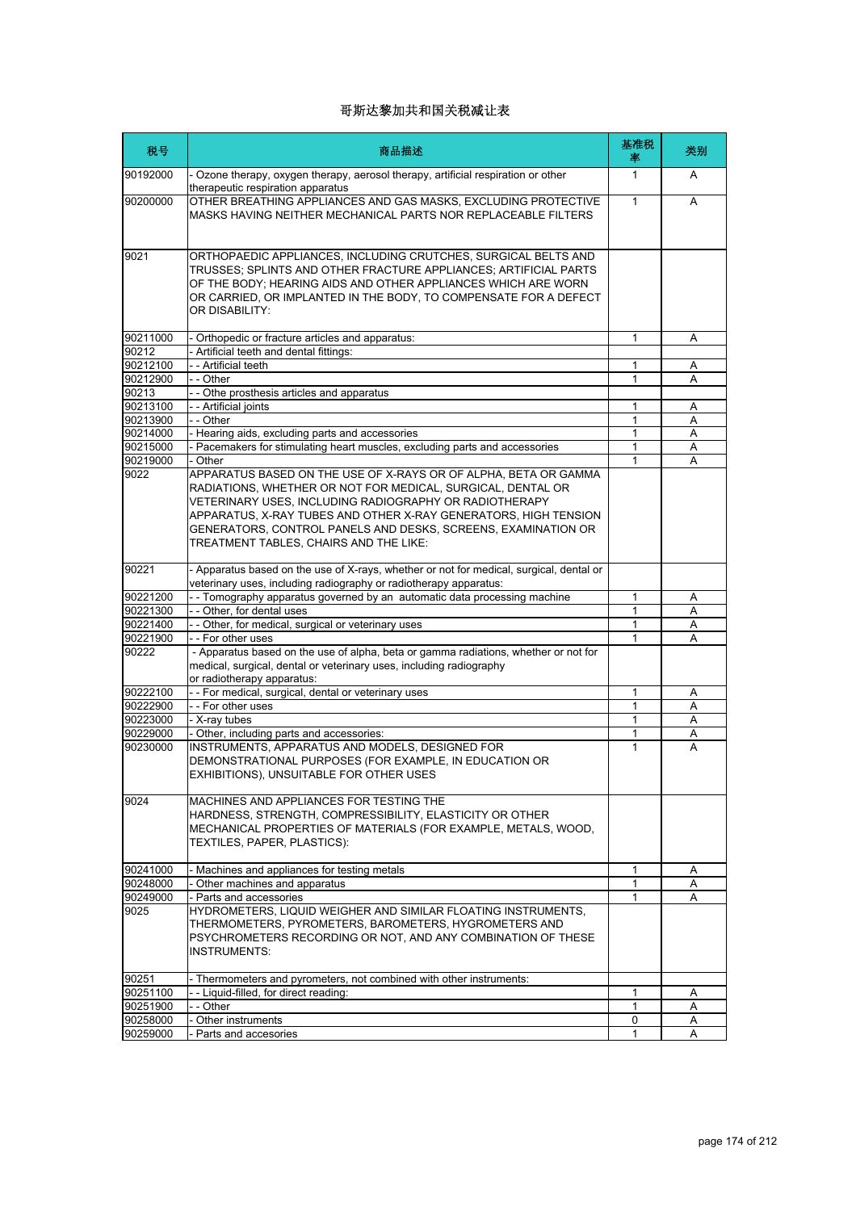| 税号                   | 商品描述                                                                                                                                                                                                                                                                                                                                                                   | 基准税<br>率 | 类别     |
|----------------------|------------------------------------------------------------------------------------------------------------------------------------------------------------------------------------------------------------------------------------------------------------------------------------------------------------------------------------------------------------------------|----------|--------|
| 90192000             | - Ozone therapy, oxygen therapy, aerosol therapy, artificial respiration or other<br>therapeutic respiration apparatus                                                                                                                                                                                                                                                 | 1        | A      |
| 90200000             | OTHER BREATHING APPLIANCES AND GAS MASKS, EXCLUDING PROTECTIVE<br>MASKS HAVING NEITHER MECHANICAL PARTS NOR REPLACEABLE FILTERS                                                                                                                                                                                                                                        | 1        | A      |
| 9021                 | ORTHOPAEDIC APPLIANCES, INCLUDING CRUTCHES, SURGICAL BELTS AND<br>TRUSSES; SPLINTS AND OTHER FRACTURE APPLIANCES; ARTIFICIAL PARTS<br>OF THE BODY; HEARING AIDS AND OTHER APPLIANCES WHICH ARE WORN<br>OR CARRIED, OR IMPLANTED IN THE BODY, TO COMPENSATE FOR A DEFECT<br>OR DISABILITY:                                                                              |          |        |
| 90211000             | - Orthopedic or fracture articles and apparatus:                                                                                                                                                                                                                                                                                                                       | 1        | A      |
| 90212                | - Artificial teeth and dental fittings:                                                                                                                                                                                                                                                                                                                                |          |        |
| 90212100             | - - Artificial teeth                                                                                                                                                                                                                                                                                                                                                   | 1        | Α      |
| 90212900             | - - Other                                                                                                                                                                                                                                                                                                                                                              | 1        | A      |
| 90213                | - - Othe prosthesis articles and apparatus                                                                                                                                                                                                                                                                                                                             |          |        |
| 90213100<br>90213900 | - - Artificial joints<br>- - Other                                                                                                                                                                                                                                                                                                                                     | 1<br>1   | Α      |
| 90214000             | - Hearing aids, excluding parts and accessories                                                                                                                                                                                                                                                                                                                        | 1        | A<br>A |
| 90215000             | - Pacemakers for stimulating heart muscles, excluding parts and accessories                                                                                                                                                                                                                                                                                            | 1        | A      |
| 90219000             | - Other                                                                                                                                                                                                                                                                                                                                                                | 1        | Α      |
| 9022                 | APPARATUS BASED ON THE USE OF X-RAYS OR OF ALPHA, BETA OR GAMMA<br>RADIATIONS, WHETHER OR NOT FOR MEDICAL, SURGICAL, DENTAL OR<br>VETERINARY USES, INCLUDING RADIOGRAPHY OR RADIOTHERAPY<br>APPARATUS, X-RAY TUBES AND OTHER X-RAY GENERATORS, HIGH TENSION<br>GENERATORS, CONTROL PANELS AND DESKS, SCREENS, EXAMINATION OR<br>TREATMENT TABLES, CHAIRS AND THE LIKE: |          |        |
| 90221                | - Apparatus based on the use of X-rays, whether or not for medical, surgical, dental or<br>veterinary uses, including radiography or radiotherapy apparatus:                                                                                                                                                                                                           |          |        |
| 90221200             | - - Tomography apparatus governed by an automatic data processing machine                                                                                                                                                                                                                                                                                              | 1        | Α      |
| 90221300             | - - Other, for dental uses                                                                                                                                                                                                                                                                                                                                             | 1        | A      |
| 90221400             | - - Other, for medical, surgical or veterinary uses                                                                                                                                                                                                                                                                                                                    | 1        | Α      |
| 90221900             | -- For other uses                                                                                                                                                                                                                                                                                                                                                      | 1        | A      |
| 90222                | - Apparatus based on the use of alpha, beta or gamma radiations, whether or not for<br>medical, surgical, dental or veterinary uses, including radiography<br>or radiotherapy apparatus:                                                                                                                                                                               |          |        |
| 90222100             | - - For medical, surgical, dental or veterinary uses                                                                                                                                                                                                                                                                                                                   | 1        | Α      |
| 90222900             | - - For other uses                                                                                                                                                                                                                                                                                                                                                     | 1        | A      |
| 90223000             | - X-ray tubes                                                                                                                                                                                                                                                                                                                                                          | 1        | A      |
| 90229000             | - Other, including parts and accessories:                                                                                                                                                                                                                                                                                                                              | 1        | Α      |
| 90230000             | INSTRUMENTS, APPARATUS AND MODELS, DESIGNED FOR<br>DEMONSTRATIONAL PURPOSES (FOR EXAMPLE, IN EDUCATION OR<br>EXHIBITIONS), UNSUITABLE FOR OTHER USES                                                                                                                                                                                                                   | 1        | A      |
| 9024                 | MACHINES AND APPLIANCES FOR TESTING THE<br>HARDNESS, STRENGTH, COMPRESSIBILITY, ELASTICITY OR OTHER<br>MECHANICAL PROPERTIES OF MATERIALS (FOR EXAMPLE, METALS, WOOD,<br>TEXTILES, PAPER, PLASTICS):                                                                                                                                                                   |          |        |
| 90241000             | - Machines and appliances for testing metals                                                                                                                                                                                                                                                                                                                           | 1        | Α      |
| 90248000             | - Other machines and apparatus                                                                                                                                                                                                                                                                                                                                         | 1        | Α      |
| 90249000             | - Parts and accessories                                                                                                                                                                                                                                                                                                                                                | 1        | A      |
| 9025                 | HYDROMETERS, LIQUID WEIGHER AND SIMILAR FLOATING INSTRUMENTS,<br>THERMOMETERS, PYROMETERS, BAROMETERS, HYGROMETERS AND<br>PSYCHROMETERS RECORDING OR NOT, AND ANY COMBINATION OF THESE<br><b>INSTRUMENTS:</b>                                                                                                                                                          |          |        |
| 90251                | - Thermometers and pyrometers, not combined with other instruments:                                                                                                                                                                                                                                                                                                    |          |        |
| 90251100             | -- Liquid-filled, for direct reading:                                                                                                                                                                                                                                                                                                                                  | 1        | A      |
| 90251900             | - - Other                                                                                                                                                                                                                                                                                                                                                              | 1        | Α      |
| 90258000             | - Other instruments                                                                                                                                                                                                                                                                                                                                                    | 0        | A      |
| 90259000             | - Parts and accesories                                                                                                                                                                                                                                                                                                                                                 | 1        | A      |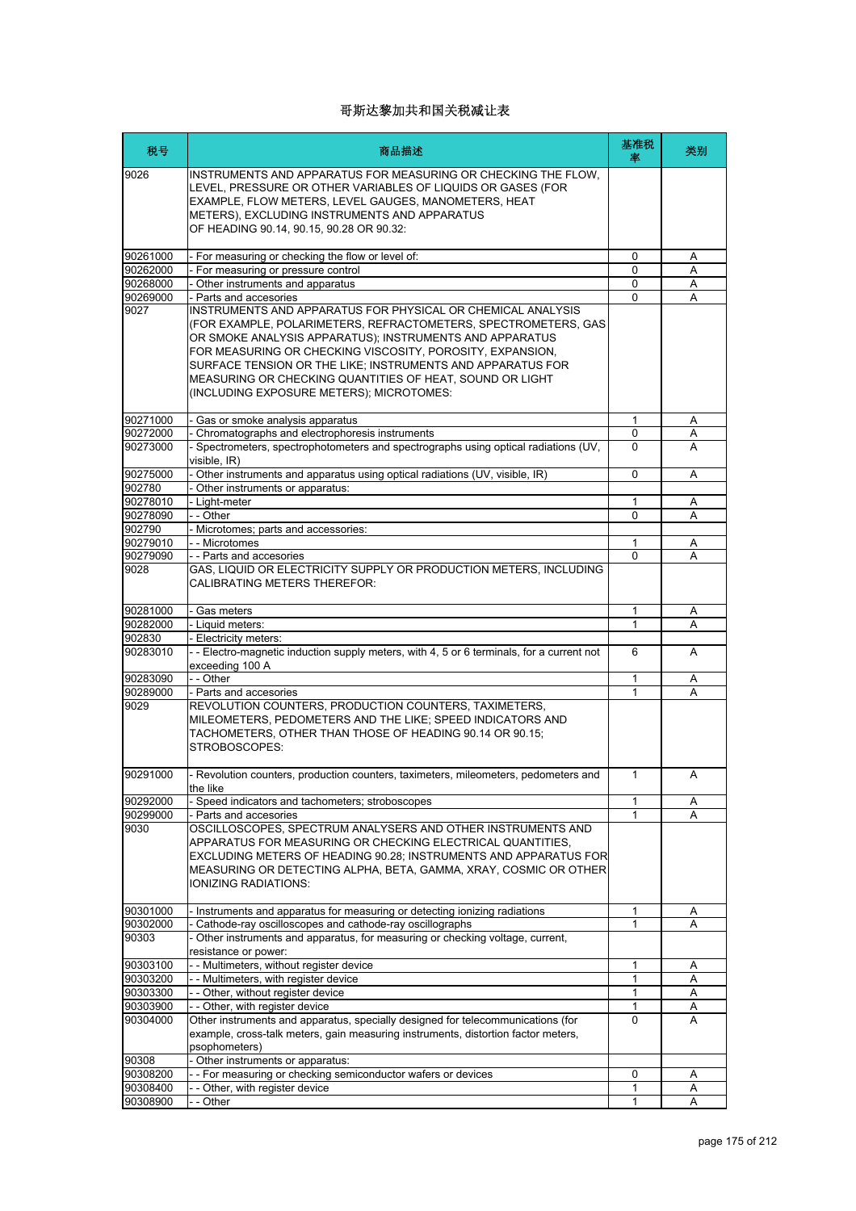| 税号                 | 商品描述                                                                                                                                                                                                                                                                                                                                                                                                                        | 基准税<br>率     | 类别     |
|--------------------|-----------------------------------------------------------------------------------------------------------------------------------------------------------------------------------------------------------------------------------------------------------------------------------------------------------------------------------------------------------------------------------------------------------------------------|--------------|--------|
| 9026               | INSTRUMENTS AND APPARATUS FOR MEASURING OR CHECKING THE FLOW,<br>LEVEL, PRESSURE OR OTHER VARIABLES OF LIQUIDS OR GASES (FOR<br>EXAMPLE, FLOW METERS, LEVEL GAUGES, MANOMETERS, HEAT<br>METERS), EXCLUDING INSTRUMENTS AND APPARATUS<br>OF HEADING 90.14, 90.15, 90.28 OR 90.32:                                                                                                                                            |              |        |
| 90261000           | - For measuring or checking the flow or level of:                                                                                                                                                                                                                                                                                                                                                                           | 0            | Α      |
| 90262000           | - For measuring or pressure control                                                                                                                                                                                                                                                                                                                                                                                         | 0            | Α      |
| 90268000           | - Other instruments and apparatus                                                                                                                                                                                                                                                                                                                                                                                           | $\mathbf{0}$ | Α      |
| 90269000           | - Parts and accesories                                                                                                                                                                                                                                                                                                                                                                                                      | $\Omega$     | А      |
| 9027               | INSTRUMENTS AND APPARATUS FOR PHYSICAL OR CHEMICAL ANALYSIS<br>(FOR EXAMPLE, POLARIMETERS, REFRACTOMETERS, SPECTROMETERS, GAS<br>OR SMOKE ANALYSIS APPARATUS); INSTRUMENTS AND APPARATUS<br>FOR MEASURING OR CHECKING VISCOSITY, POROSITY, EXPANSION,<br>SURFACE TENSION OR THE LIKE; INSTRUMENTS AND APPARATUS FOR<br>MEASURING OR CHECKING QUANTITIES OF HEAT, SOUND OR LIGHT<br>(INCLUDING EXPOSURE METERS); MICROTOMES: |              |        |
| 90271000           | - Gas or smoke analysis apparatus                                                                                                                                                                                                                                                                                                                                                                                           | 1            | A      |
| 90272000           | - Chromatographs and electrophoresis instruments                                                                                                                                                                                                                                                                                                                                                                            | 0            | Α      |
| 90273000           | - Spectrometers, spectrophotometers and spectrographs using optical radiations (UV,<br>visible, IR)                                                                                                                                                                                                                                                                                                                         | $\Omega$     | A      |
| 90275000           | - Other instruments and apparatus using optical radiations (UV, visible, IR)                                                                                                                                                                                                                                                                                                                                                | $\Omega$     | A      |
| 902780             | Other instruments or apparatus:                                                                                                                                                                                                                                                                                                                                                                                             |              |        |
| 90278010           | - Light-meter                                                                                                                                                                                                                                                                                                                                                                                                               | 1<br>0       | Α<br>A |
| 90278090<br>902790 | - - Other<br>- Microtomes; parts and accessories:                                                                                                                                                                                                                                                                                                                                                                           |              |        |
| 90279010           | - - Microtomes                                                                                                                                                                                                                                                                                                                                                                                                              | 1            | Α      |
| 90279090           | - - Parts and accesories                                                                                                                                                                                                                                                                                                                                                                                                    | $\Omega$     | A      |
| 9028               | GAS, LIQUID OR ELECTRICITY SUPPLY OR PRODUCTION METERS, INCLUDING<br><b>CALIBRATING METERS THEREFOR:</b>                                                                                                                                                                                                                                                                                                                    |              |        |
| 90281000           | - Gas meters                                                                                                                                                                                                                                                                                                                                                                                                                | $\mathbf{1}$ | Α      |
| 90282000           | - Liquid meters:                                                                                                                                                                                                                                                                                                                                                                                                            | 1            | Α      |
| 902830             | Electricity meters:                                                                                                                                                                                                                                                                                                                                                                                                         |              |        |
| 90283010           | -- Electro-magnetic induction supply meters, with 4, 5 or 6 terminals, for a current not<br>exceeding 100 A                                                                                                                                                                                                                                                                                                                 | 6            | A      |
| 90283090           | - - Other                                                                                                                                                                                                                                                                                                                                                                                                                   | $\mathbf{1}$ | Α      |
| 90289000           | - Parts and accesories                                                                                                                                                                                                                                                                                                                                                                                                      | 1            | A      |
| 9029               | REVOLUTION COUNTERS, PRODUCTION COUNTERS, TAXIMETERS,<br>MILEOMETERS, PEDOMETERS AND THE LIKE; SPEED INDICATORS AND<br>TACHOMETERS, OTHER THAN THOSE OF HEADING 90.14 OR 90.15;<br>STROBOSCOPES:                                                                                                                                                                                                                            |              |        |
| 90291000           | - Revolution counters, production counters, taximeters, mileometers, pedometers and<br>the like                                                                                                                                                                                                                                                                                                                             | 1            |        |
| 90292000           | - Speed indicators and tachometers; stroboscopes                                                                                                                                                                                                                                                                                                                                                                            | 1            | A      |
| 90299000           | - Parts and accesories                                                                                                                                                                                                                                                                                                                                                                                                      | 1            | Α      |
| 9030               | OSCILLOSCOPES, SPECTRUM ANALYSERS AND OTHER INSTRUMENTS AND<br>APPARATUS FOR MEASURING OR CHECKING ELECTRICAL QUANTITIES.<br>EXCLUDING METERS OF HEADING 90.28; INSTRUMENTS AND APPARATUS FOR<br>MEASURING OR DETECTING ALPHA, BETA, GAMMA, XRAY, COSMIC OR OTHER<br>IONIZING RADIATIONS:                                                                                                                                   |              |        |
| 90301000           | - Instruments and apparatus for measuring or detecting ionizing radiations                                                                                                                                                                                                                                                                                                                                                  | 1            | Α      |
| 90302000           | Cathode-ray oscilloscopes and cathode-ray oscillographs                                                                                                                                                                                                                                                                                                                                                                     | 1            | A      |
| 90303              | Other instruments and apparatus, for measuring or checking voltage, current,<br>resistance or power:                                                                                                                                                                                                                                                                                                                        |              |        |
| 90303100           | - - Multimeters, without register device                                                                                                                                                                                                                                                                                                                                                                                    | 1            | A      |
| 90303200           | -- Multimeters, with register device                                                                                                                                                                                                                                                                                                                                                                                        | 1            | Α      |
| 90303300           | - - Other, without register device                                                                                                                                                                                                                                                                                                                                                                                          | 1            | Α      |
| 90303900           | - - Other, with register device                                                                                                                                                                                                                                                                                                                                                                                             | 1            | Α      |
| 90304000           | Other instruments and apparatus, specially designed for telecommunications (for<br>example, cross-talk meters, gain measuring instruments, distortion factor meters,<br>psophometers)                                                                                                                                                                                                                                       | $\Omega$     | A      |
| 90308              | Other instruments or apparatus:                                                                                                                                                                                                                                                                                                                                                                                             |              |        |
| 90308200           | - - For measuring or checking semiconductor wafers or devices                                                                                                                                                                                                                                                                                                                                                               | 0            | Α      |
| 90308400           | - - Other, with register device                                                                                                                                                                                                                                                                                                                                                                                             | 1            | Α      |
| 90308900           | - Other                                                                                                                                                                                                                                                                                                                                                                                                                     | $\mathbf{1}$ | Α      |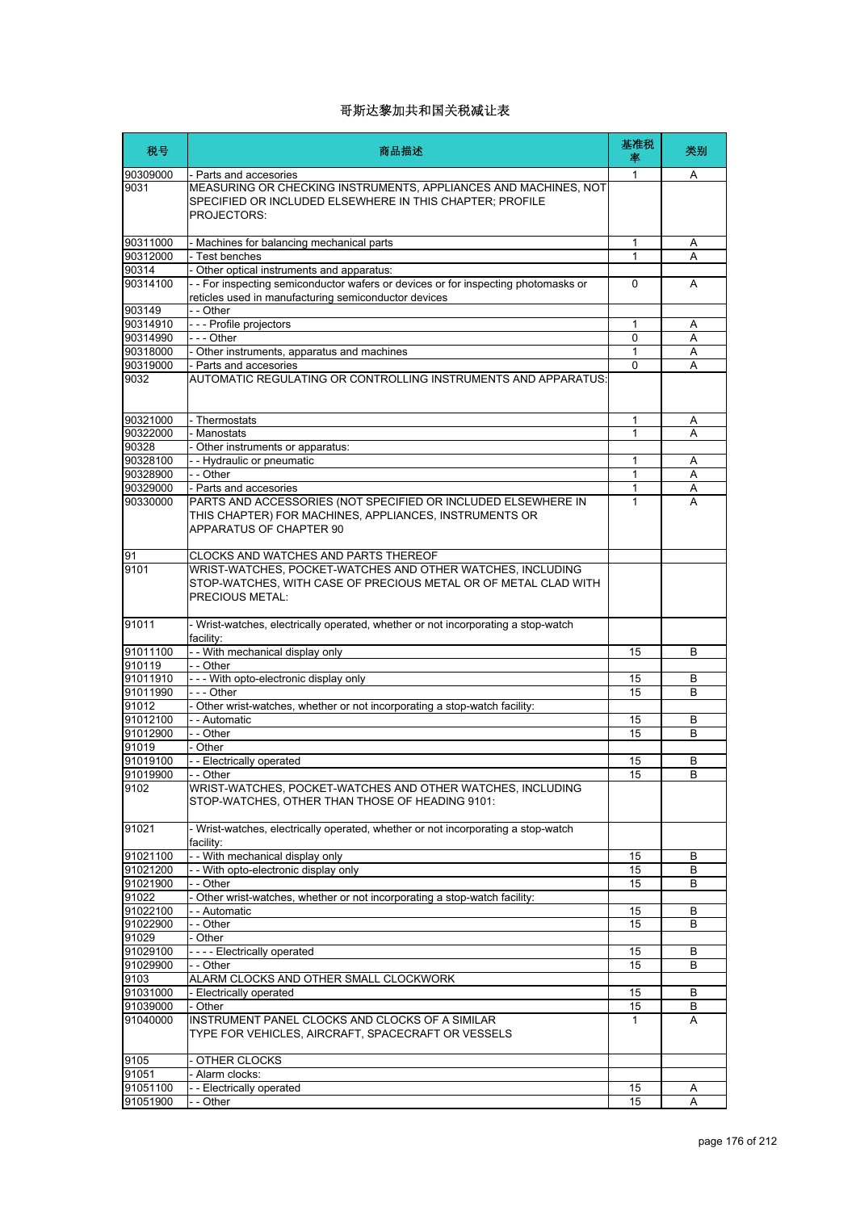| 税号       | 商品描述                                                                                                                                               | 基准税<br>率     | 类别 |
|----------|----------------------------------------------------------------------------------------------------------------------------------------------------|--------------|----|
| 90309000 | - Parts and accesories                                                                                                                             | 1            | Α  |
| 9031     | MEASURING OR CHECKING INSTRUMENTS, APPLIANCES AND MACHINES, NOT<br>SPECIFIED OR INCLUDED ELSEWHERE IN THIS CHAPTER; PROFILE<br>PROJECTORS:         |              |    |
| 90311000 | - Machines for balancing mechanical parts                                                                                                          | 1            | Α  |
| 90312000 | - Test benches                                                                                                                                     | $\mathbf{1}$ | A  |
| 90314    | Other optical instruments and apparatus:                                                                                                           |              |    |
| 90314100 | - - For inspecting semiconductor wafers or devices or for inspecting photomasks or<br>reticles used in manufacturing semiconductor devices         | $\Omega$     | A  |
| 903149   | - - Other                                                                                                                                          |              |    |
| 90314910 | --- Profile projectors                                                                                                                             | 1            | Α  |
| 90314990 | $- -$ Other                                                                                                                                        | 0            | Α  |
| 90318000 | - Other instruments, apparatus and machines                                                                                                        | 1            | Α  |
| 90319000 | - Parts and accesories                                                                                                                             | 0            | А  |
| 9032     | AUTOMATIC REGULATING OR CONTROLLING INSTRUMENTS AND APPARATUS:                                                                                     |              |    |
| 90321000 | - Thermostats                                                                                                                                      | 1            | Α  |
| 90322000 | - Manostats                                                                                                                                        | 1            | A  |
| 90328    | - Other instruments or apparatus:                                                                                                                  |              |    |
| 90328100 | - - Hydraulic or pneumatic                                                                                                                         | 1            | Α  |
| 90328900 | - - Other                                                                                                                                          | 1            | Α  |
| 90329000 | - Parts and accesories                                                                                                                             | 1            | Α  |
| 90330000 | PARTS AND ACCESSORIES (NOT SPECIFIED OR INCLUDED ELSEWHERE IN<br>THIS CHAPTER) FOR MACHINES, APPLIANCES, INSTRUMENTS OR<br>APPARATUS OF CHAPTER 90 | 1            | А  |
| 91       | CLOCKS AND WATCHES AND PARTS THEREOF                                                                                                               |              |    |
| 9101     | WRIST-WATCHES, POCKET-WATCHES AND OTHER WATCHES, INCLUDING<br>STOP-WATCHES, WITH CASE OF PRECIOUS METAL OR OF METAL CLAD WITH<br>PRECIOUS METAL:   |              |    |
| 91011    | - Wrist-watches, electrically operated, whether or not incorporating a stop-watch<br>facility:                                                     |              |    |
| 91011100 | - - With mechanical display only                                                                                                                   | 15           | B  |
| 910119   | - - Other                                                                                                                                          |              |    |
| 91011910 | - - - With opto-electronic display only                                                                                                            | 15           | B  |
| 91011990 | $- -$ Other                                                                                                                                        | 15           | B  |
| 91012    | - Other wrist-watches, whether or not incorporating a stop-watch facility:                                                                         |              |    |
| 91012100 | - - Automatic                                                                                                                                      | 15           | В  |
| 91012900 | - - Other                                                                                                                                          | 15           | B  |
| 91019    | - Other                                                                                                                                            |              |    |
| 91019100 | - - Electrically operated                                                                                                                          | 15           | В  |
| 91019900 | - Other                                                                                                                                            | 15           | B  |
| 9102     | WRIST-WATCHES, POCKET-WATCHES AND OTHER WATCHES, INCLUDING<br>STOP-WATCHES, OTHER THAN THOSE OF HEADING 9101:                                      |              |    |
| 91021    | - Wrist-watches, electrically operated, whether or not incorporating a stop-watch<br>facility:                                                     |              |    |
| 91021100 | - - With mechanical display only                                                                                                                   | 15           | B  |
| 91021200 | - - With opto-electronic display only                                                                                                              | 15           | B  |
| 91021900 | - - Other                                                                                                                                          | 15           | В  |
| 91022    | - Other wrist-watches, whether or not incorporating a stop-watch facility:                                                                         |              |    |
| 91022100 | - - Automatic                                                                                                                                      | 15           | B  |
| 91022900 | - - Other                                                                                                                                          | 15           | В  |
| 91029    | - Other                                                                                                                                            |              |    |
| 91029100 | ---- Electrically operated                                                                                                                         | 15           | B  |
| 91029900 | $-$ - Other                                                                                                                                        | 15           | В  |
| 9103     | ALARM CLOCKS AND OTHER SMALL CLOCKWORK                                                                                                             |              |    |
| 91031000 | - Electrically operated                                                                                                                            | 15           | В  |
| 91039000 | - Other                                                                                                                                            | 15           | В  |
| 91040000 | INSTRUMENT PANEL CLOCKS AND CLOCKS OF A SIMILAR<br>TYPE FOR VEHICLES, AIRCRAFT, SPACECRAFT OR VESSELS                                              | 1            | Α  |
| 9105     | - OTHER CLOCKS                                                                                                                                     |              |    |
| 91051    | Alarm clocks:                                                                                                                                      |              |    |
| 91051100 | -- Electrically operated                                                                                                                           | 15           | Α  |
| 91051900 | - - Other                                                                                                                                          | 15           | A  |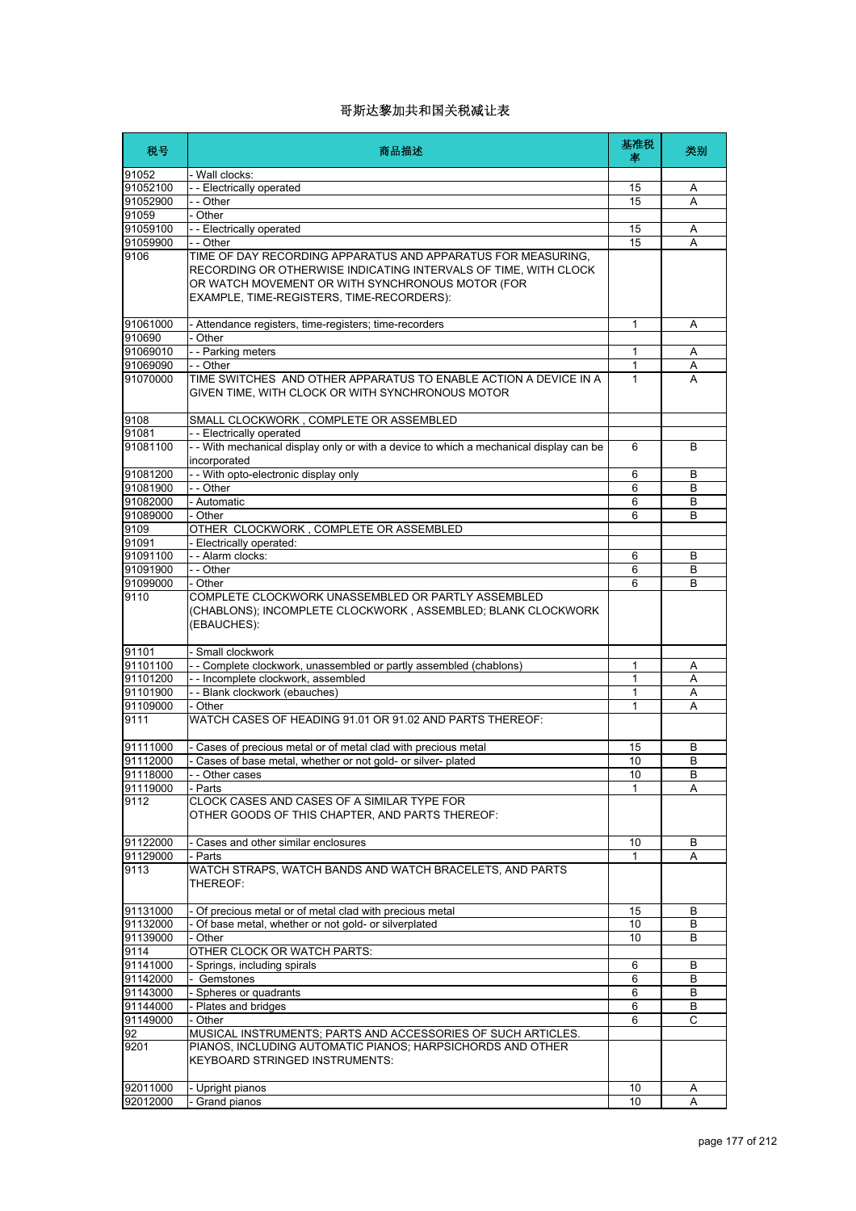| 税号                   | 商品描述                                                                                                                                                             | 基准税<br>塞 | 类别     |
|----------------------|------------------------------------------------------------------------------------------------------------------------------------------------------------------|----------|--------|
| 91052                | - Wall clocks:                                                                                                                                                   |          |        |
| 91052100             | - - Electrically operated                                                                                                                                        | 15       | Α      |
| 91052900             | - - Other                                                                                                                                                        | 15       | Α      |
| 91059                | - Other                                                                                                                                                          |          |        |
| 91059100             | - - Electrically operated<br>- - Other                                                                                                                           | 15<br>15 | Α<br>A |
| 91059900<br>9106     | TIME OF DAY RECORDING APPARATUS AND APPARATUS FOR MEASURING.                                                                                                     |          |        |
|                      | RECORDING OR OTHERWISE INDICATING INTERVALS OF TIME, WITH CLOCK<br>OR WATCH MOVEMENT OR WITH SYNCHRONOUS MOTOR (FOR<br>EXAMPLE, TIME-REGISTERS, TIME-RECORDERS): |          |        |
| 91061000             | - Attendance registers, time-registers; time-recorders                                                                                                           | 1        | Α      |
| 910690               | Other                                                                                                                                                            |          |        |
| 91069010             | - - Parking meters                                                                                                                                               | 1        | A      |
| 91069090             | - - Other                                                                                                                                                        | 1        | Α      |
| 91070000             | TIME SWITCHES AND OTHER APPARATUS TO ENABLE ACTION A DEVICE IN A<br>GIVEN TIME, WITH CLOCK OR WITH SYNCHRONOUS MOTOR                                             | 1        | A      |
| 9108                 | SMALL CLOCKWORK, COMPLETE OR ASSEMBLED                                                                                                                           |          |        |
| 91081                | - - Electrically operated                                                                                                                                        |          |        |
| 91081100             | - - With mechanical display only or with a device to which a mechanical display can be<br>incorporated                                                           | 6        | B      |
| 91081200             | - - With opto-electronic display only                                                                                                                            | 6        | B      |
| 91081900             | - - Other                                                                                                                                                        | 6        | B      |
| 91082000             | - Automatic                                                                                                                                                      | 6        | В      |
| 91089000<br>9109     | - Other<br>OTHER CLOCKWORK, COMPLETE OR ASSEMBLED                                                                                                                | 6        | B      |
| 91091                | - Electrically operated:                                                                                                                                         |          |        |
| 91091100             | - - Alarm clocks:                                                                                                                                                | 6        | B      |
| 91091900             | $-$ Other                                                                                                                                                        | 6        | B      |
| 91099000             | - Other                                                                                                                                                          | 6        | B      |
| 9110                 | COMPLETE CLOCKWORK UNASSEMBLED OR PARTLY ASSEMBLED<br>(CHABLONS); INCOMPLETE CLOCKWORK, ASSEMBLED; BLANK CLOCKWORK<br>(EBAUCHES):                                |          |        |
| 91101                | Small clockwork                                                                                                                                                  |          |        |
| 91101100             | -- Complete clockwork, unassembled or partly assembled (chablons)                                                                                                | 1        | Α      |
| 91101200             | - - Incomplete clockwork, assembled                                                                                                                              | 1        | Α      |
| 91101900             | - - Blank clockwork (ebauches)<br>- Other                                                                                                                        | 1<br>1   | Α<br>A |
| 91109000<br>9111     | WATCH CASES OF HEADING 91.01 OR 91.02 AND PARTS THEREOF:                                                                                                         |          |        |
| 91111000             | Cases of precious metal or of metal clad with precious metal                                                                                                     | 15       | B      |
| 91112000             | Cases of base metal, whether or not gold- or silver- plated                                                                                                      | 10       | В      |
| 91118000             | Other cases                                                                                                                                                      | 10       | B      |
| 91119000             | - Parts                                                                                                                                                          | 1        | Α      |
| 9112                 | CLOCK CASES AND CASES OF A SIMILAR TYPE FOR<br>OTHER GOODS OF THIS CHAPTER, AND PARTS THEREOF:                                                                   |          |        |
| 91122000             | - Cases and other similar enclosures                                                                                                                             | 10       | В      |
| 91129000             | - Parts                                                                                                                                                          | 1        | A      |
| 9113                 | WATCH STRAPS, WATCH BANDS AND WATCH BRACELETS, AND PARTS<br>THEREOF:                                                                                             |          |        |
| 91131000             | Of precious metal or of metal clad with precious metal                                                                                                           | 15       | B      |
| 91132000             | Of base metal, whether or not gold- or silverplated                                                                                                              | 10       | B      |
| 91139000             | Other                                                                                                                                                            | 10       | B      |
| 9114                 | OTHER CLOCK OR WATCH PARTS:                                                                                                                                      |          |        |
| 91141000<br>91142000 | - Springs, including spirals<br>- Gemstones                                                                                                                      | 6        | В<br>B |
| 91143000             | - Spheres or quadrants                                                                                                                                           | 6<br>6   | B      |
| 91144000             | Plates and bridges                                                                                                                                               | 6        | B      |
| 91149000             | - Other                                                                                                                                                          | 6        | C      |
| 92                   | MUSICAL INSTRUMENTS; PARTS AND ACCESSORIES OF SUCH ARTICLES.                                                                                                     |          |        |
| 9201                 | PIANOS, INCLUDING AUTOMATIC PIANOS; HARPSICHORDS AND OTHER<br><b>KEYBOARD STRINGED INSTRUMENTS:</b>                                                              |          |        |
| 92011000             | Upright pianos                                                                                                                                                   | 10       | A      |
| 92012000             | Grand pianos                                                                                                                                                     | 10       | Α      |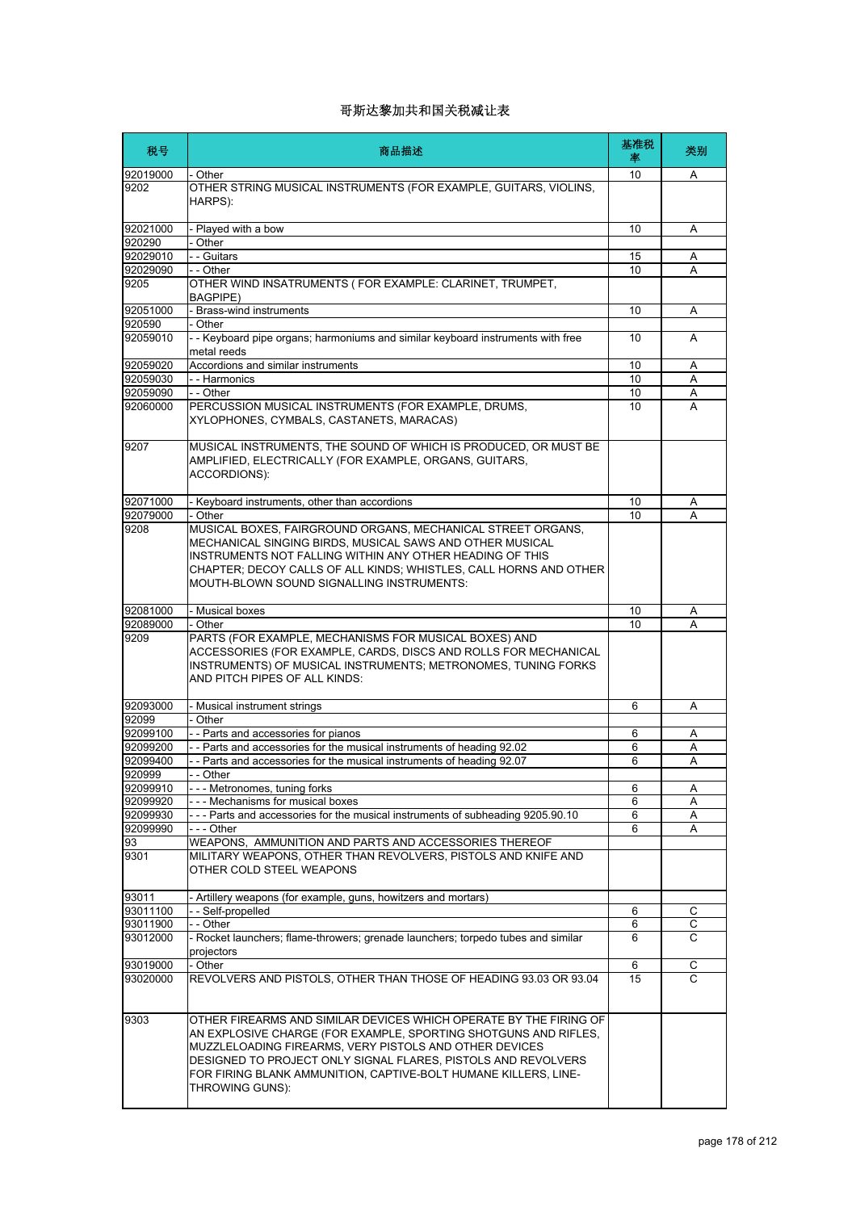| 税号                 | 商品描述                                                                                                                                                                                                                                                                                                                                                  | 基准税<br>率 | 类别 |
|--------------------|-------------------------------------------------------------------------------------------------------------------------------------------------------------------------------------------------------------------------------------------------------------------------------------------------------------------------------------------------------|----------|----|
| 92019000           | - Other                                                                                                                                                                                                                                                                                                                                               | 10       | A  |
| 9202               | OTHER STRING MUSICAL INSTRUMENTS (FOR EXAMPLE, GUITARS, VIOLINS,<br>HARPS):                                                                                                                                                                                                                                                                           |          |    |
| 92021000           | - Played with a bow                                                                                                                                                                                                                                                                                                                                   | 10       | Α  |
| 920290             | - Other                                                                                                                                                                                                                                                                                                                                               |          |    |
| 92029010           | - - Guitars                                                                                                                                                                                                                                                                                                                                           | 15       | Α  |
| 92029090           | - - Other                                                                                                                                                                                                                                                                                                                                             | 10       | А  |
| 9205               | OTHER WIND INSATRUMENTS (FOR EXAMPLE: CLARINET, TRUMPET,<br><b>BAGPIPE)</b>                                                                                                                                                                                                                                                                           |          |    |
| 92051000           | - Brass-wind instruments                                                                                                                                                                                                                                                                                                                              | 10       | Α  |
| 920590<br>92059010 | - Other<br>- - Keyboard pipe organs; harmoniums and similar keyboard instruments with free<br>metal reeds                                                                                                                                                                                                                                             | 10       | A  |
| 92059020           | Accordions and similar instruments                                                                                                                                                                                                                                                                                                                    | 10       | Α  |
| 92059030           | - - Harmonics                                                                                                                                                                                                                                                                                                                                         | 10       | A  |
| 92059090           | - - Other                                                                                                                                                                                                                                                                                                                                             | 10       | Α  |
| 92060000           | PERCUSSION MUSICAL INSTRUMENTS (FOR EXAMPLE, DRUMS,<br>XYLOPHONES, CYMBALS, CASTANETS, MARACAS)                                                                                                                                                                                                                                                       | 10       | A  |
| 9207               | MUSICAL INSTRUMENTS, THE SOUND OF WHICH IS PRODUCED, OR MUST BE<br>AMPLIFIED, ELECTRICALLY (FOR EXAMPLE, ORGANS, GUITARS,<br>ACCORDIONS):                                                                                                                                                                                                             |          |    |
| 92071000           | - Keyboard instruments, other than accordions                                                                                                                                                                                                                                                                                                         | 10       | Α  |
| 92079000           | - Other                                                                                                                                                                                                                                                                                                                                               | 10       | A  |
| 9208               | MUSICAL BOXES, FAIRGROUND ORGANS, MECHANICAL STREET ORGANS,<br>MECHANICAL SINGING BIRDS. MUSICAL SAWS AND OTHER MUSICAL<br>INSTRUMENTS NOT FALLING WITHIN ANY OTHER HEADING OF THIS<br>CHAPTER; DECOY CALLS OF ALL KINDS; WHISTLES, CALL HORNS AND OTHER<br>MOUTH-BLOWN SOUND SIGNALLING INSTRUMENTS:                                                 |          |    |
| 92081000           | - Musical boxes                                                                                                                                                                                                                                                                                                                                       | 10       | Α  |
| 92089000           | - Other                                                                                                                                                                                                                                                                                                                                               | 10       | А  |
| 9209               | PARTS (FOR EXAMPLE, MECHANISMS FOR MUSICAL BOXES) AND<br>ACCESSORIES (FOR EXAMPLE, CARDS, DISCS AND ROLLS FOR MECHANICAL<br>INSTRUMENTS) OF MUSICAL INSTRUMENTS; METRONOMES, TUNING FORKS<br>AND PITCH PIPES OF ALL KINDS:                                                                                                                            |          |    |
| 92093000           | Musical instrument strings                                                                                                                                                                                                                                                                                                                            | 6        | A  |
| 92099              | - Other                                                                                                                                                                                                                                                                                                                                               |          |    |
| 92099100           | - - Parts and accessories for pianos                                                                                                                                                                                                                                                                                                                  | 6        | Α  |
| 92099200           | - - Parts and accessories for the musical instruments of heading 92.02                                                                                                                                                                                                                                                                                | 6        | Α  |
| 92099400           | - Parts and accessories for the musical instruments of heading 92.07                                                                                                                                                                                                                                                                                  | 6        | A  |
| 920999             | - - Other                                                                                                                                                                                                                                                                                                                                             |          |    |
| 92099910           | --- Metronomes, tuning forks                                                                                                                                                                                                                                                                                                                          | 6        | Α  |
| 92099920           | --- Mechanisms for musical boxes                                                                                                                                                                                                                                                                                                                      | 6        | Α  |
| 92099930           | --- Parts and accessories for the musical instruments of subheading 9205.90.10                                                                                                                                                                                                                                                                        | 6        | Α  |
| 92099990           | $- -$ Other                                                                                                                                                                                                                                                                                                                                           | 6        | Α  |
| 93<br>9301         | WEAPONS, AMMUNITION AND PARTS AND ACCESSORIES THEREOF<br>MILITARY WEAPONS, OTHER THAN REVOLVERS, PISTOLS AND KNIFE AND<br>OTHER COLD STEEL WEAPONS                                                                                                                                                                                                    |          |    |
| 93011              | - Artillery weapons (for example, guns, howitzers and mortars)                                                                                                                                                                                                                                                                                        |          |    |
| 93011100           | - - Self-propelled                                                                                                                                                                                                                                                                                                                                    | 6        | С  |
| 93011900           | - - Other                                                                                                                                                                                                                                                                                                                                             | 6        | С  |
| 93012000           | - Rocket launchers; flame-throwers; grenade launchers; torpedo tubes and similar                                                                                                                                                                                                                                                                      | 6        | C  |
|                    | projectors                                                                                                                                                                                                                                                                                                                                            |          |    |
| 93019000           | - Other                                                                                                                                                                                                                                                                                                                                               | 6        | С  |
| 93020000           | REVOLVERS AND PISTOLS, OTHER THAN THOSE OF HEADING 93.03 OR 93.04                                                                                                                                                                                                                                                                                     | 15       | C  |
| 9303               | OTHER FIREARMS AND SIMILAR DEVICES WHICH OPERATE BY THE FIRING OF<br>AN EXPLOSIVE CHARGE (FOR EXAMPLE, SPORTING SHOTGUNS AND RIFLES,<br>MUZZLELOADING FIREARMS, VERY PISTOLS AND OTHER DEVICES<br>DESIGNED TO PROJECT ONLY SIGNAL FLARES, PISTOLS AND REVOLVERS<br>FOR FIRING BLANK AMMUNITION, CAPTIVE-BOLT HUMANE KILLERS, LINE-<br>THROWING GUNS): |          |    |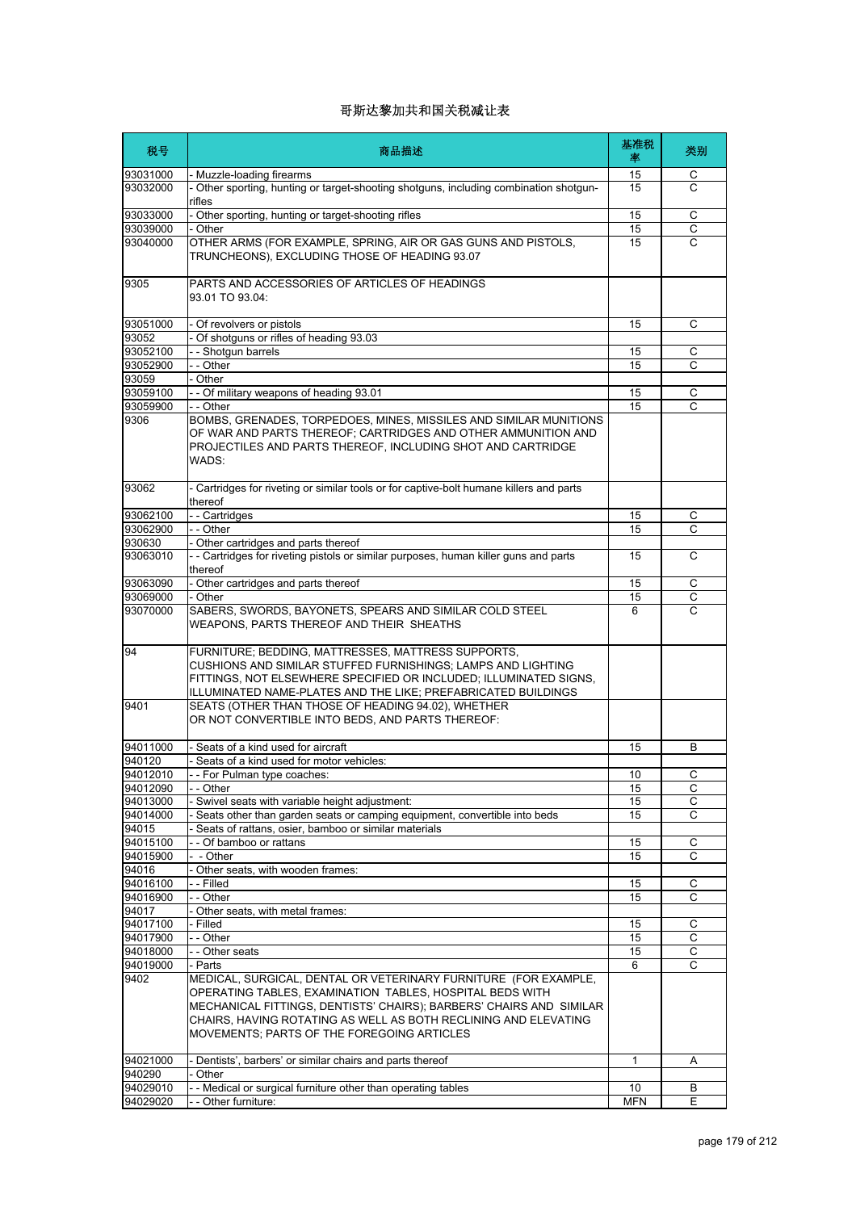| 税号                | 商品描述                                                                                                                                                                                                                                                                                                                | 基准税<br>率   | 类别             |
|-------------------|---------------------------------------------------------------------------------------------------------------------------------------------------------------------------------------------------------------------------------------------------------------------------------------------------------------------|------------|----------------|
| 93031000          | - Muzzle-loading firearms                                                                                                                                                                                                                                                                                           | 15         | С              |
| 93032000          | Other sporting, hunting or target-shooting shotguns, including combination shotgun-<br>rifles                                                                                                                                                                                                                       | 15         | $\mathsf{C}$   |
| 93033000          | Other sporting, hunting or target-shooting rifles                                                                                                                                                                                                                                                                   | 15         | С              |
| 93039000          | Other                                                                                                                                                                                                                                                                                                               | 15         | $\mathsf C$    |
| 93040000          | OTHER ARMS (FOR EXAMPLE, SPRING, AIR OR GAS GUNS AND PISTOLS,<br>TRUNCHEONS), EXCLUDING THOSE OF HEADING 93.07                                                                                                                                                                                                      | 15         | $\overline{C}$ |
| 9305              | PARTS AND ACCESSORIES OF ARTICLES OF HEADINGS<br>93.01 TO 93.04:                                                                                                                                                                                                                                                    |            |                |
| 93051000          | Of revolvers or pistols                                                                                                                                                                                                                                                                                             | 15         | С              |
| 93052             | Of shotguns or rifles of heading 93.03                                                                                                                                                                                                                                                                              |            |                |
| 93052100          | - - Shotgun barrels                                                                                                                                                                                                                                                                                                 | 15         | C              |
| 93052900          | - - Other                                                                                                                                                                                                                                                                                                           | 15         | С              |
| 93059             | - Other                                                                                                                                                                                                                                                                                                             |            |                |
| 93059100          | - - Of military weapons of heading 93.01                                                                                                                                                                                                                                                                            | 15         | С              |
| 93059900          | - - Other                                                                                                                                                                                                                                                                                                           | 15         | C              |
| 9306              | BOMBS, GRENADES, TORPEDOES, MINES, MISSILES AND SIMILAR MUNITIONS<br>OF WAR AND PARTS THEREOF; CARTRIDGES AND OTHER AMMUNITION AND<br>PROJECTILES AND PARTS THEREOF, INCLUDING SHOT AND CARTRIDGE<br>WADS:                                                                                                          |            |                |
| 93062             | - Cartridges for riveting or similar tools or for captive-bolt humane killers and parts<br>thereof                                                                                                                                                                                                                  |            |                |
| 93062100          | - - Cartridges                                                                                                                                                                                                                                                                                                      | 15         | С              |
| 93062900          | - - Other                                                                                                                                                                                                                                                                                                           | 15         | С              |
| 930630            | Other cartridges and parts thereof                                                                                                                                                                                                                                                                                  |            |                |
| 93063010          | - - Cartridges for riveting pistols or similar purposes, human killer guns and parts<br>thereof                                                                                                                                                                                                                     | 15         | С              |
| 93063090          | - Other cartridges and parts thereof                                                                                                                                                                                                                                                                                | 15         | $\mathsf{C}$   |
| 93069000          | - Other                                                                                                                                                                                                                                                                                                             | 15         | С              |
| 93070000          | SABERS, SWORDS, BAYONETS, SPEARS AND SIMILAR COLD STEEL<br>WEAPONS, PARTS THEREOF AND THEIR SHEATHS                                                                                                                                                                                                                 | 6          | $\mathsf{C}$   |
| 94                | FURNITURE; BEDDING, MATTRESSES, MATTRESS SUPPORTS,<br>CUSHIONS AND SIMILAR STUFFED FURNISHINGS; LAMPS AND LIGHTING<br>FITTINGS, NOT ELSEWHERE SPECIFIED OR INCLUDED; ILLUMINATED SIGNS,<br>ILLUMINATED NAME-PLATES AND THE LIKE; PREFABRICATED BUILDINGS                                                            |            |                |
| 9401              | SEATS (OTHER THAN THOSE OF HEADING 94.02), WHETHER<br>OR NOT CONVERTIBLE INTO BEDS, AND PARTS THEREOF:                                                                                                                                                                                                              |            |                |
| 94011000          | Seats of a kind used for aircraft                                                                                                                                                                                                                                                                                   | 15         | В              |
| 940120            | Seats of a kind used for motor vehicles:                                                                                                                                                                                                                                                                            |            |                |
| 94012010          | - - For Pulman tvpe coaches:                                                                                                                                                                                                                                                                                        | 10         | C              |
| 94012090          | - - Other                                                                                                                                                                                                                                                                                                           | 15         | С              |
| 94013000          | Swivel seats with variable height adjustment:                                                                                                                                                                                                                                                                       | 15         | C              |
| 94014000          | Seats other than garden seats or camping equipment, convertible into beds                                                                                                                                                                                                                                           | 15         | C              |
| 94015<br>94015100 | Seats of rattans, osier, bamboo or similar materials<br>- - Of bamboo or rattans                                                                                                                                                                                                                                    | 15         | C              |
| 94015900          | - - Other                                                                                                                                                                                                                                                                                                           | 15         | C              |
| 94016             | Other seats, with wooden frames:                                                                                                                                                                                                                                                                                    |            |                |
| 94016100          | - - Filled                                                                                                                                                                                                                                                                                                          | 15         | С              |
| 94016900          | - - Other                                                                                                                                                                                                                                                                                                           | 15         | C              |
| 94017             | Other seats, with metal frames:                                                                                                                                                                                                                                                                                     |            |                |
| 94017100          | Filled                                                                                                                                                                                                                                                                                                              | 15         | С              |
| 94017900          | - - Other                                                                                                                                                                                                                                                                                                           | 15         | С              |
| 94018000          | - - Other seats                                                                                                                                                                                                                                                                                                     | 15         | С              |
| 94019000          | - Parts                                                                                                                                                                                                                                                                                                             | 6          | C              |
| 9402              | MEDICAL, SURGICAL, DENTAL OR VETERINARY FURNITURE (FOR EXAMPLE,<br>OPERATING TABLES, EXAMINATION TABLES, HOSPITAL BEDS WITH<br>MECHANICAL FITTINGS, DENTISTS' CHAIRS); BARBERS' CHAIRS AND SIMILAR<br>CHAIRS, HAVING ROTATING AS WELL AS BOTH RECLINING AND ELEVATING<br>MOVEMENTS; PARTS OF THE FOREGOING ARTICLES |            |                |
| 94021000          | Dentists', barbers' or similar chairs and parts thereof                                                                                                                                                                                                                                                             | 1          | Α              |
| 940290            | Other                                                                                                                                                                                                                                                                                                               |            |                |
| 94029010          | - Medical or surgical furniture other than operating tables                                                                                                                                                                                                                                                         | 10         | B              |
| 94029020          | - - Other furniture:                                                                                                                                                                                                                                                                                                | <b>MFN</b> | Ε              |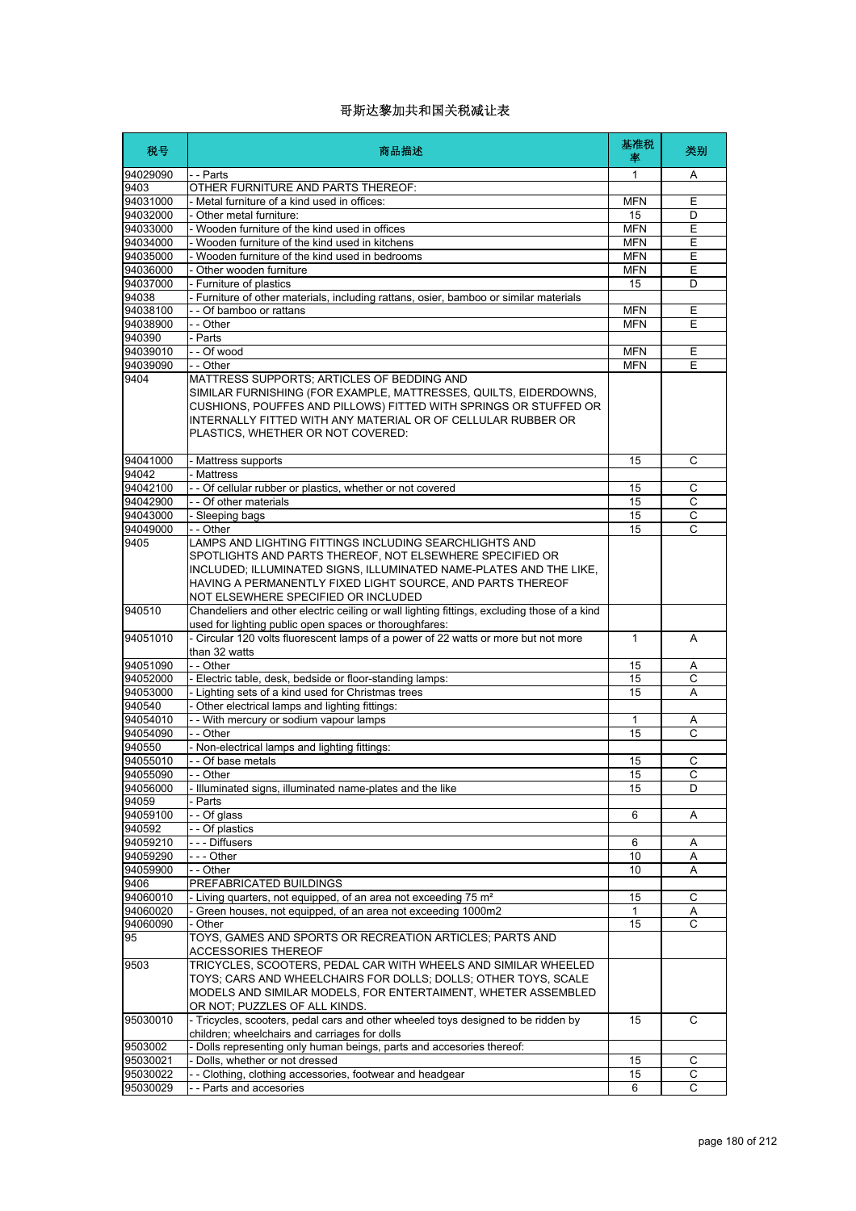| 税号                   | 商品描述                                                                                                                                                                                                                                                                                    | 基准税<br>率                 | 类别             |
|----------------------|-----------------------------------------------------------------------------------------------------------------------------------------------------------------------------------------------------------------------------------------------------------------------------------------|--------------------------|----------------|
| 94029090             | - - Parts                                                                                                                                                                                                                                                                               | 1                        | A              |
| 9403                 | OTHER FURNITURE AND PARTS THEREOF:                                                                                                                                                                                                                                                      |                          |                |
| 94031000             | - Metal furniture of a kind used in offices:                                                                                                                                                                                                                                            | <b>MFN</b>               | Ε              |
| 94032000             | Other metal furniture:                                                                                                                                                                                                                                                                  | 15                       | D              |
| 94033000             | - Wooden furniture of the kind used in offices<br>- Wooden furniture of the kind used in kitchens                                                                                                                                                                                       | <b>MFN</b>               | Ε              |
| 94034000<br>94035000 | - Wooden furniture of the kind used in bedrooms                                                                                                                                                                                                                                         | <b>MFN</b><br><b>MFN</b> | Ε<br>E         |
| 94036000             | - Other wooden furniture                                                                                                                                                                                                                                                                | <b>MFN</b>               | Е              |
| 94037000             | - Furniture of plastics                                                                                                                                                                                                                                                                 | 15                       | D              |
| 94038                | - Furniture of other materials, including rattans, osier, bamboo or similar materials                                                                                                                                                                                                   |                          |                |
| 94038100             | - - Of bamboo or rattans                                                                                                                                                                                                                                                                | <b>MFN</b>               | Ε              |
| 94038900             | - - Other                                                                                                                                                                                                                                                                               | <b>MFN</b>               | E              |
| 940390               | - Parts                                                                                                                                                                                                                                                                                 |                          |                |
| 94039010             | - - Of wood                                                                                                                                                                                                                                                                             | <b>MFN</b>               | Ε              |
| 94039090             | - - Other                                                                                                                                                                                                                                                                               | <b>MFN</b>               | E              |
| 9404                 | MATTRESS SUPPORTS; ARTICLES OF BEDDING AND<br>SIMILAR FURNISHING (FOR EXAMPLE, MATTRESSES, QUILTS, EIDERDOWNS,<br>CUSHIONS, POUFFES AND PILLOWS) FITTED WITH SPRINGS OR STUFFED OR<br>INTERNALLY FITTED WITH ANY MATERIAL OR OF CELLULAR RUBBER OR<br>PLASTICS, WHETHER OR NOT COVERED: |                          |                |
| 94041000             | - Mattress supports                                                                                                                                                                                                                                                                     | 15                       | С              |
| 94042                | - Mattress                                                                                                                                                                                                                                                                              |                          |                |
| 94042100             | - - Of cellular rubber or plastics, whether or not covered                                                                                                                                                                                                                              | 15                       | C              |
| 94042900             | - - Of other materials                                                                                                                                                                                                                                                                  | 15                       | С              |
| 94043000             | - Sleeping bags                                                                                                                                                                                                                                                                         | 15                       | $\overline{C}$ |
| 94049000<br>9405     | - - Other<br>LAMPS AND LIGHTING FITTINGS INCLUDING SEARCHLIGHTS AND                                                                                                                                                                                                                     | 15                       | C              |
|                      | SPOTLIGHTS AND PARTS THEREOF, NOT ELSEWHERE SPECIFIED OR<br>INCLUDED; ILLUMINATED SIGNS, ILLUMINATED NAME-PLATES AND THE LIKE,<br>HAVING A PERMANENTLY FIXED LIGHT SOURCE, AND PARTS THEREOF<br>NOT ELSEWHERE SPECIFIED OR INCLUDED                                                     |                          |                |
| 940510               | Chandeliers and other electric ceiling or wall lighting fittings, excluding those of a kind<br>used for lighting public open spaces or thoroughfares:                                                                                                                                   |                          |                |
| 94051010             | - Circular 120 volts fluorescent lamps of a power of 22 watts or more but not more<br>than 32 watts                                                                                                                                                                                     | $\mathbf{1}$             | A              |
| 94051090             | - - Other                                                                                                                                                                                                                                                                               | 15                       | Α              |
| 94052000             | - Electric table, desk, bedside or floor-standing lamps:                                                                                                                                                                                                                                | 15                       | $\mathsf{C}$   |
| 94053000             | - Lighting sets of a kind used for Christmas trees                                                                                                                                                                                                                                      | 15                       | Α              |
| 940540               | - Other electrical lamps and lighting fittings:                                                                                                                                                                                                                                         |                          |                |
| 94054010             | - - With mercury or sodium vapour lamps                                                                                                                                                                                                                                                 | $\mathbf{1}$             | Α              |
| 94054090             | - - Other                                                                                                                                                                                                                                                                               | 15                       | C              |
| 940550               | - Non-electrical lamps and lighting fittings:                                                                                                                                                                                                                                           |                          |                |
| 94055010             | - Of base metals<br>Other                                                                                                                                                                                                                                                               | 15                       | С              |
| 94055090<br>94056000 | - Illuminated signs, illuminated name-plates and the like                                                                                                                                                                                                                               | 15<br>15                 | C<br>D         |
| 94059                | Parts                                                                                                                                                                                                                                                                                   |                          |                |
| 94059100             | - - Of glass                                                                                                                                                                                                                                                                            | 6                        | Α              |
| 940592               | - - Of plastics                                                                                                                                                                                                                                                                         |                          |                |
| 94059210             | --- Diffusers                                                                                                                                                                                                                                                                           | 6                        | Α              |
| 94059290             | - - - Other                                                                                                                                                                                                                                                                             | 10                       | Α              |
| 94059900             | - - Other                                                                                                                                                                                                                                                                               | 10                       | Α              |
| 9406                 | PREFABRICATED BUILDINGS                                                                                                                                                                                                                                                                 |                          |                |
| 94060010             | - Living quarters, not equipped, of an area not exceeding 75 m <sup>2</sup>                                                                                                                                                                                                             | 15                       | C              |
| 94060020             | Green houses, not equipped, of an area not exceeding 1000m2                                                                                                                                                                                                                             | $\mathbf{1}$             | Α              |
| 94060090<br>95       | Other<br>TOYS, GAMES AND SPORTS OR RECREATION ARTICLES; PARTS AND                                                                                                                                                                                                                       | 15                       | С              |
|                      | ACCESSORIES THEREOF                                                                                                                                                                                                                                                                     |                          |                |
| 9503                 | TRICYCLES, SCOOTERS, PEDAL CAR WITH WHEELS AND SIMILAR WHEELED<br>TOYS; CARS AND WHEELCHAIRS FOR DOLLS; DOLLS; OTHER TOYS, SCALE<br>MODELS AND SIMILAR MODELS, FOR ENTERTAIMENT, WHETER ASSEMBLED                                                                                       |                          |                |
| 95030010             | OR NOT; PUZZLES OF ALL KINDS.<br>- Tricycles, scooters, pedal cars and other wheeled toys designed to be ridden by<br>children; wheelchairs and carriages for dolls                                                                                                                     | 15                       | C              |
| 9503002              | - Dolls representing only human beings, parts and accesories thereof:                                                                                                                                                                                                                   |                          |                |
| 95030021             | - Dolls, whether or not dressed                                                                                                                                                                                                                                                         | 15                       | C              |
| 95030022             | - - Clothing, clothing accessories, footwear and headgear                                                                                                                                                                                                                               | 15                       | С              |
| 95030029             | - - Parts and accesories                                                                                                                                                                                                                                                                | 6                        | $\mathsf C$    |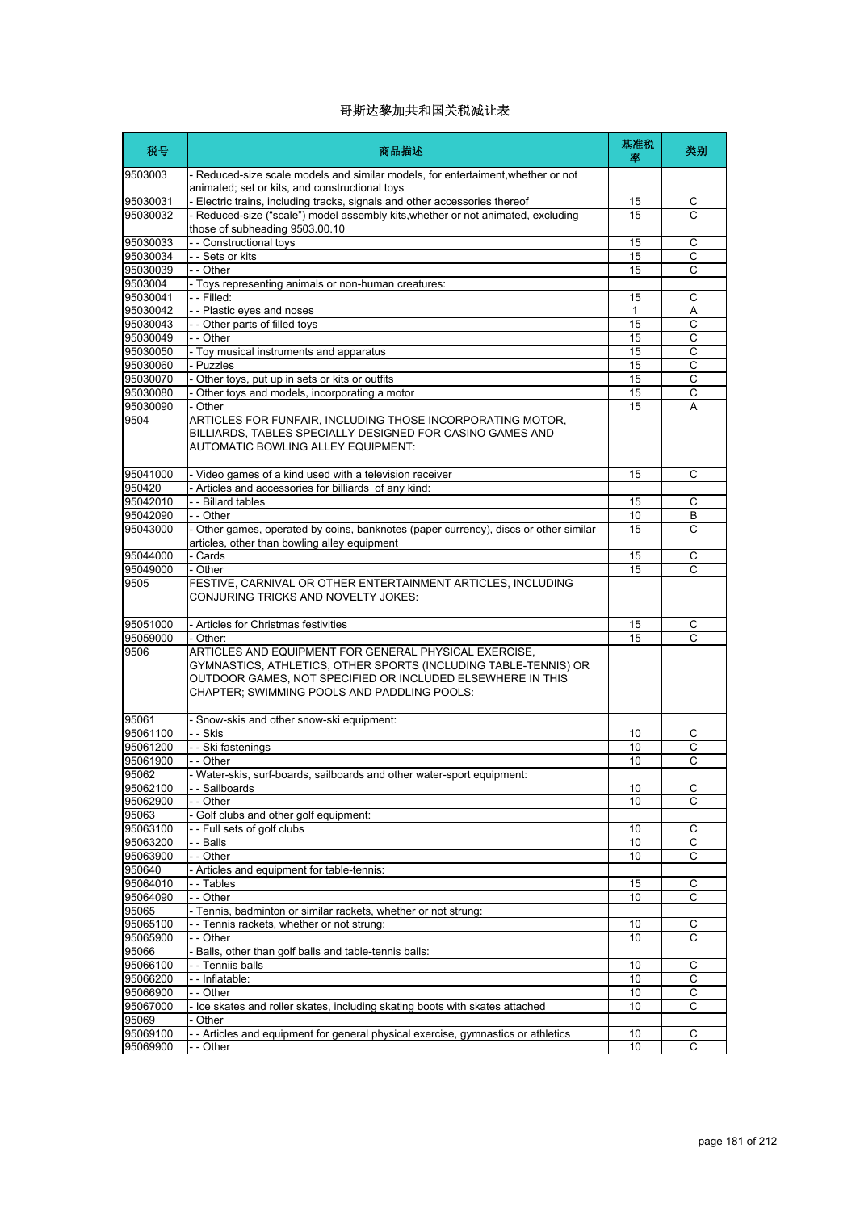| 税号                   | 商品描述                                                                                                                                                                                                                                  | 基准税<br>率 | 类别             |
|----------------------|---------------------------------------------------------------------------------------------------------------------------------------------------------------------------------------------------------------------------------------|----------|----------------|
| 9503003              | - Reduced-size scale models and similar models, for entertaiment, whether or not<br>animated; set or kits, and constructional toys                                                                                                    |          |                |
| 95030031             | - Electric trains, including tracks, signals and other accessories thereof                                                                                                                                                            | 15       | С              |
| 95030032             | - Reduced-size ("scale") model assembly kits, whether or not animated, excluding<br>those of subheading 9503.00.10                                                                                                                    | 15       | C              |
| 95030033             | -- Constructional toys                                                                                                                                                                                                                | 15       | С              |
| 95030034             | - - Sets or kits                                                                                                                                                                                                                      | 15       | $\overline{c}$ |
| 95030039             | - - Other                                                                                                                                                                                                                             | 15       | С              |
| 9503004              | - Toys representing animals or non-human creatures:                                                                                                                                                                                   |          |                |
| 95030041             | - - Filled:                                                                                                                                                                                                                           | 15       | C              |
| 95030042             | - - Plastic eyes and noses                                                                                                                                                                                                            | 1        | Α              |
| 95030043             | - - Other parts of filled toys                                                                                                                                                                                                        | 15       | $\overline{C}$ |
| 95030049             | - - Other                                                                                                                                                                                                                             | 15       | C              |
| 95030050             | - Toy musical instruments and apparatus                                                                                                                                                                                               | 15       | С              |
| 95030060             | - Puzzles                                                                                                                                                                                                                             | 15<br>15 | C              |
| 95030070<br>95030080 | - Other toys, put up in sets or kits or outfits                                                                                                                                                                                       |          | C              |
| 95030090             | - Other toys and models, incorporating a motor<br>- Other                                                                                                                                                                             | 15<br>15 | С<br>A         |
| 9504                 | ARTICLES FOR FUNFAIR, INCLUDING THOSE INCORPORATING MOTOR,                                                                                                                                                                            |          |                |
|                      | BILLIARDS, TABLES SPECIALLY DESIGNED FOR CASINO GAMES AND<br><b>AUTOMATIC BOWLING ALLEY EQUIPMENT:</b>                                                                                                                                |          |                |
| 95041000             | - Video games of a kind used with a television receiver                                                                                                                                                                               | 15       | C              |
| 950420               | - Articles and accessories for billiards of any kind:                                                                                                                                                                                 |          |                |
| 95042010             | - - Billard tables                                                                                                                                                                                                                    | 15       | С              |
| 95042090             | - - Other                                                                                                                                                                                                                             | 10       | B              |
| 95043000             | - Other games, operated by coins, banknotes (paper currency), discs or other similar<br>articles, other than bowling alley equipment                                                                                                  | 15       | C              |
| 95044000             | - Cards                                                                                                                                                                                                                               | 15       | C              |
| 95049000             | - Other                                                                                                                                                                                                                               | 15       | С              |
| 9505                 | FESTIVE, CARNIVAL OR OTHER ENTERTAINMENT ARTICLES, INCLUDING<br>CONJURING TRICKS AND NOVELTY JOKES:                                                                                                                                   |          |                |
| 95051000             | - Articles for Christmas festivities                                                                                                                                                                                                  | 15       | С              |
| 95059000             | - Other:                                                                                                                                                                                                                              | 15       | C              |
| 9506                 | ARTICLES AND EQUIPMENT FOR GENERAL PHYSICAL EXERCISE,<br>GYMNASTICS, ATHLETICS, OTHER SPORTS (INCLUDING TABLE-TENNIS) OR<br>OUTDOOR GAMES, NOT SPECIFIED OR INCLUDED ELSEWHERE IN THIS<br>CHAPTER; SWIMMING POOLS AND PADDLING POOLS: |          |                |
| 95061                | - Snow-skis and other snow-ski equipment:                                                                                                                                                                                             |          |                |
| 95061100             | - - Skis                                                                                                                                                                                                                              | 10       | С              |
| 95061200             | - - Ski fastenings                                                                                                                                                                                                                    | 10       | $\overline{C}$ |
| 95061900             | - - Other                                                                                                                                                                                                                             | 10       | C              |
| 95062                | Water-skis, surf-boards, sailboards and other water-sport equipment:                                                                                                                                                                  |          |                |
| 95062100             | - - Sailboards                                                                                                                                                                                                                        | 10       | С              |
| 95062900<br>95063    | - - Other<br>- Golf clubs and other golf equipment:                                                                                                                                                                                   | 10       | C              |
| 95063100             | -- Full sets of golf clubs                                                                                                                                                                                                            | 10       | C              |
| 95063200             | - - Balls                                                                                                                                                                                                                             | 10       | C              |
| 95063900             | - - Other                                                                                                                                                                                                                             | 10       | C              |
| 950640               | - Articles and equipment for table-tennis:                                                                                                                                                                                            |          |                |
| 95064010             | - - Tables                                                                                                                                                                                                                            | 15       | С              |
| 95064090             | - - Other                                                                                                                                                                                                                             | 10       | C              |
| 95065                | - Tennis, badminton or similar rackets, whether or not strung:                                                                                                                                                                        |          |                |
| 95065100             | - - Tennis rackets, whether or not strung:                                                                                                                                                                                            | 10       | С              |
| 95065900             | - - Other                                                                                                                                                                                                                             | 10       | $\overline{c}$ |
| 95066                | - Balls, other than golf balls and table-tennis balls:                                                                                                                                                                                |          |                |
| 95066100             | - - Tenniis balls                                                                                                                                                                                                                     | 10       | С              |
| 95066200             | -- Inflatable:                                                                                                                                                                                                                        | 10       | C              |
| 95066900             | - - Other                                                                                                                                                                                                                             | 10       | С              |
| 95067000             | - Ice skates and roller skates, including skating boots with skates attached                                                                                                                                                          | 10       | C              |
| 95069                | Other                                                                                                                                                                                                                                 |          |                |
| 95069100<br>95069900 | - Articles and equipment for general physical exercise, gymnastics or athletics                                                                                                                                                       | 10       | С<br>C         |
|                      | - - Other                                                                                                                                                                                                                             | 10       |                |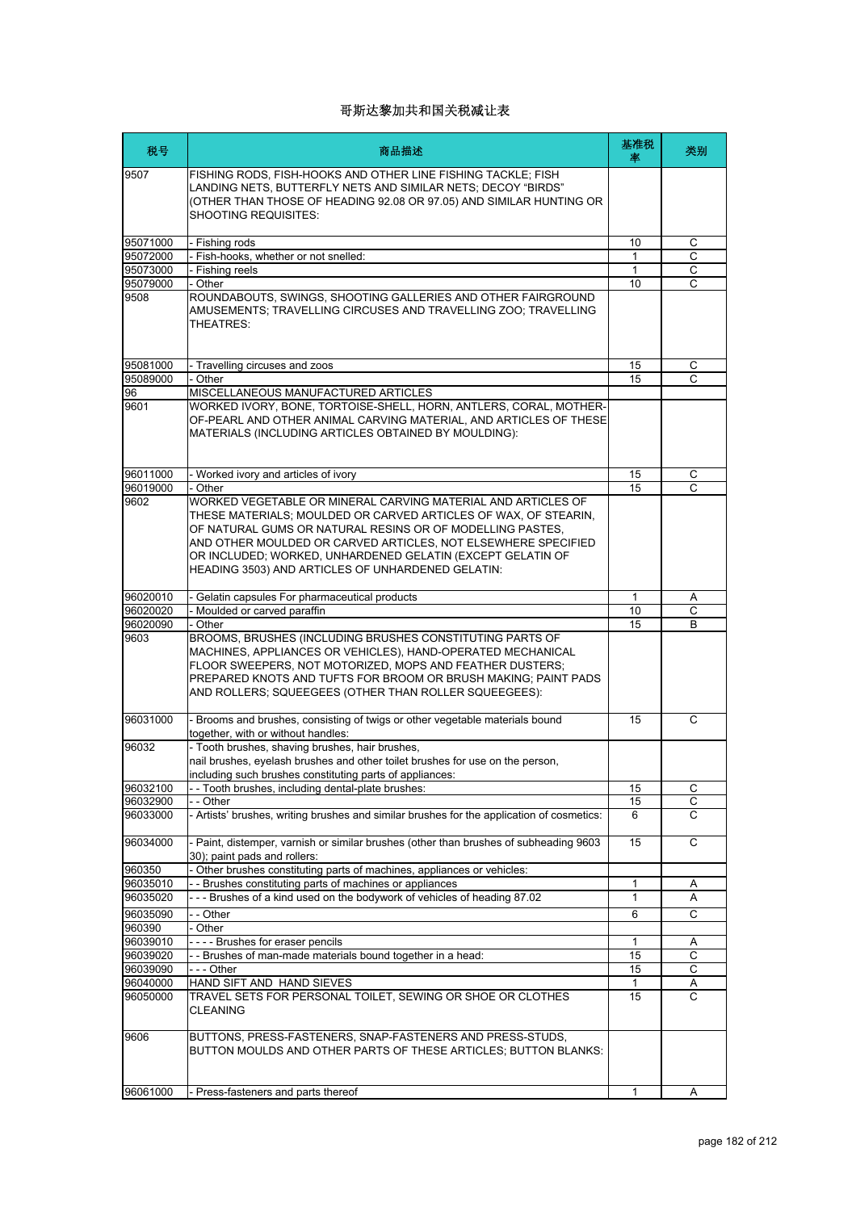| 税号       | 商品描述                                                                                                                                                                                                                                                                                                                                                                             | 基准税<br>率     | 类别 |
|----------|----------------------------------------------------------------------------------------------------------------------------------------------------------------------------------------------------------------------------------------------------------------------------------------------------------------------------------------------------------------------------------|--------------|----|
| 9507     | FISHING RODS, FISH-HOOKS AND OTHER LINE FISHING TACKLE; FISH<br>LANDING NETS, BUTTERFLY NETS AND SIMILAR NETS; DECOY "BIRDS"<br>(OTHER THAN THOSE OF HEADING 92.08 OR 97.05) AND SIMILAR HUNTING OR<br><b>SHOOTING REQUISITES:</b>                                                                                                                                               |              |    |
| 95071000 | - Fishing rods                                                                                                                                                                                                                                                                                                                                                                   | 10           | C  |
| 95072000 | Fish-hooks, whether or not snelled:                                                                                                                                                                                                                                                                                                                                              | 1            | C  |
| 95073000 | - Fishing reels                                                                                                                                                                                                                                                                                                                                                                  | 1            | C  |
| 95079000 | - Other                                                                                                                                                                                                                                                                                                                                                                          | 10           | C  |
| 9508     | ROUNDABOUTS, SWINGS, SHOOTING GALLERIES AND OTHER FAIRGROUND<br>AMUSEMENTS; TRAVELLING CIRCUSES AND TRAVELLING ZOO; TRAVELLING<br>THEATRES:                                                                                                                                                                                                                                      |              |    |
| 95081000 | - Travelling circuses and zoos                                                                                                                                                                                                                                                                                                                                                   | 15           | С  |
| 95089000 | - Other                                                                                                                                                                                                                                                                                                                                                                          | 15           | C  |
| 96       | MISCELLANEOUS MANUFACTURED ARTICLES                                                                                                                                                                                                                                                                                                                                              |              |    |
| 9601     | WORKED IVORY, BONE, TORTOISE-SHELL, HORN, ANTLERS, CORAL, MOTHER-<br>OF-PEARL AND OTHER ANIMAL CARVING MATERIAL, AND ARTICLES OF THESE<br>MATERIALS (INCLUDING ARTICLES OBTAINED BY MOULDING):                                                                                                                                                                                   |              |    |
| 96011000 | - Worked ivory and articles of ivory                                                                                                                                                                                                                                                                                                                                             | 15           | С  |
| 96019000 | - Other                                                                                                                                                                                                                                                                                                                                                                          | 15           | C  |
| 9602     | WORKED VEGETABLE OR MINERAL CARVING MATERIAL AND ARTICLES OF<br>THESE MATERIALS; MOULDED OR CARVED ARTICLES OF WAX, OF STEARIN,<br>OF NATURAL GUMS OR NATURAL RESINS OR OF MODELLING PASTES,<br>AND OTHER MOULDED OR CARVED ARTICLES. NOT ELSEWHERE SPECIFIED<br>OR INCLUDED; WORKED, UNHARDENED GELATIN (EXCEPT GELATIN OF<br>HEADING 3503) AND ARTICLES OF UNHARDENED GELATIN: |              |    |
| 96020010 | Gelatin capsules For pharmaceutical products                                                                                                                                                                                                                                                                                                                                     | $\mathbf{1}$ | Α  |
| 96020020 | - Moulded or carved paraffin                                                                                                                                                                                                                                                                                                                                                     | 10           | C  |
| 96020090 | - Other                                                                                                                                                                                                                                                                                                                                                                          | 15           | B  |
| 9603     | BROOMS, BRUSHES (INCLUDING BRUSHES CONSTITUTING PARTS OF<br>MACHINES, APPLIANCES OR VEHICLES), HAND-OPERATED MECHANICAL<br>FLOOR SWEEPERS, NOT MOTORIZED, MOPS AND FEATHER DUSTERS;<br>PREPARED KNOTS AND TUFTS FOR BROOM OR BRUSH MAKING; PAINT PADS<br>AND ROLLERS; SQUEEGEES (OTHER THAN ROLLER SQUEEGEES):                                                                   |              |    |
| 96031000 | - Brooms and brushes, consisting of twigs or other vegetable materials bound<br>together, with or without handles:                                                                                                                                                                                                                                                               | 15           | C  |
| 96032    | - Tooth brushes, shaving brushes, hair brushes,<br>nail brushes, eyelash brushes and other toilet brushes for use on the person,<br>including such brushes constituting parts of appliances:                                                                                                                                                                                     |              |    |
| 96032100 | -- Tooth brushes, including dental-plate brushes:                                                                                                                                                                                                                                                                                                                                | 15           | С  |
| 96032900 | - Other                                                                                                                                                                                                                                                                                                                                                                          | 15           | C  |
| 96033000 | - Artists' brushes, writing brushes and similar brushes for the application of cosmetics:                                                                                                                                                                                                                                                                                        | 6            | C  |
| 96034000 | - Paint, distemper, varnish or similar brushes (other than brushes of subheading 9603<br>30); paint pads and rollers:                                                                                                                                                                                                                                                            | 15           | C  |
| 960350   | - Other brushes constituting parts of machines, appliances or vehicles:                                                                                                                                                                                                                                                                                                          |              |    |
| 96035010 | - - Brushes constituting parts of machines or appliances                                                                                                                                                                                                                                                                                                                         | 1            | Α  |
| 96035020 | --- Brushes of a kind used on the bodywork of vehicles of heading 87.02                                                                                                                                                                                                                                                                                                          | 1            | Α  |
| 96035090 | - - Other                                                                                                                                                                                                                                                                                                                                                                        | 6            | С  |
| 960390   | - Other                                                                                                                                                                                                                                                                                                                                                                          |              |    |
| 96039010 | ---- Brushes for eraser pencils                                                                                                                                                                                                                                                                                                                                                  | 1            | Α  |
| 96039020 | -- Brushes of man-made materials bound together in a head:                                                                                                                                                                                                                                                                                                                       | 15           | C  |
| 96039090 | $- -$ Other                                                                                                                                                                                                                                                                                                                                                                      | 15           | С  |
| 96040000 | HAND SIFT AND HAND SIEVES                                                                                                                                                                                                                                                                                                                                                        | $\mathbf{1}$ | Α  |
| 96050000 | TRAVEL SETS FOR PERSONAL TOILET, SEWING OR SHOE OR CLOTHES<br><b>CLEANING</b>                                                                                                                                                                                                                                                                                                    | 15           | C  |
| 9606     | BUTTONS, PRESS-FASTENERS, SNAP-FASTENERS AND PRESS-STUDS,<br>BUTTON MOULDS AND OTHER PARTS OF THESE ARTICLES; BUTTON BLANKS:                                                                                                                                                                                                                                                     |              |    |
| 96061000 | - Press-fasteners and parts thereof                                                                                                                                                                                                                                                                                                                                              | 1            | Α  |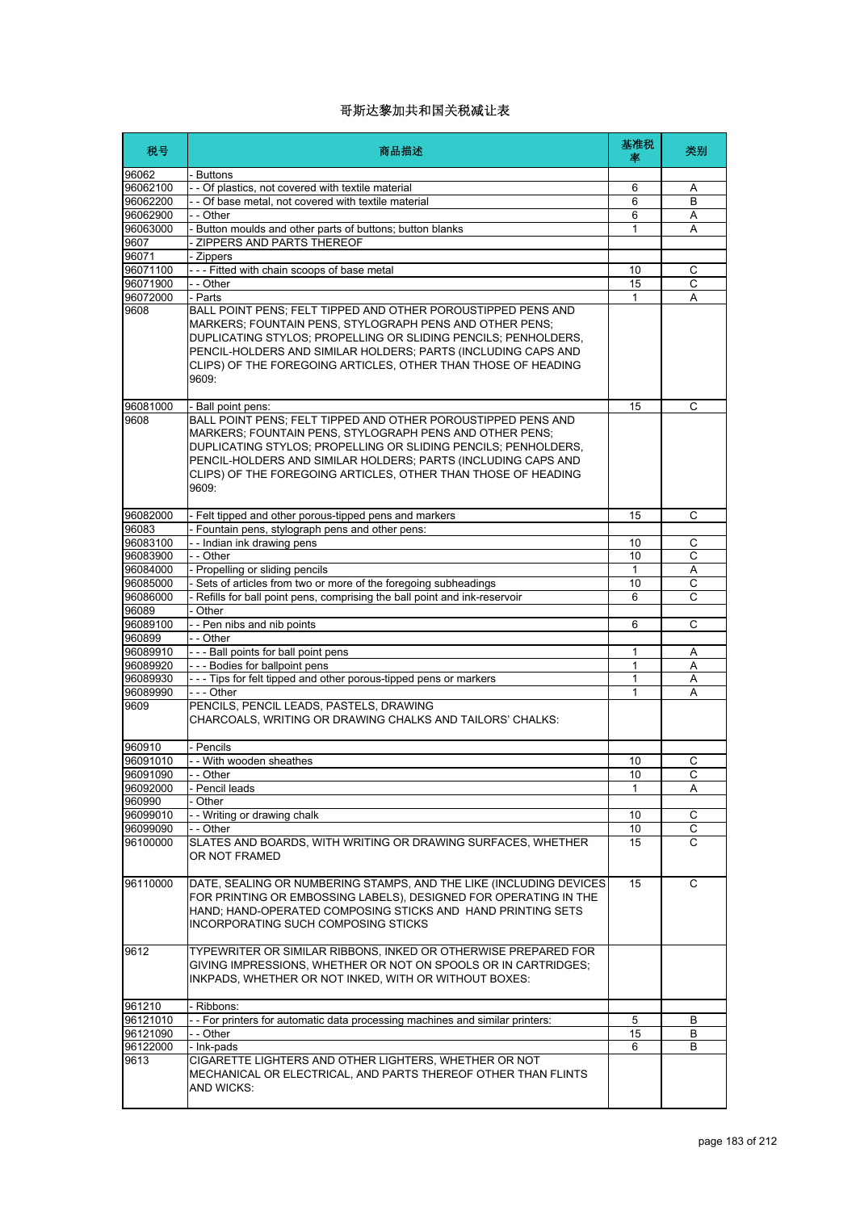| 税号               | 商品描述                                                                                                                                                                                                                                                                                                                                 | 基准税<br>率     | 类别             |
|------------------|--------------------------------------------------------------------------------------------------------------------------------------------------------------------------------------------------------------------------------------------------------------------------------------------------------------------------------------|--------------|----------------|
| 96062            | - Buttons                                                                                                                                                                                                                                                                                                                            |              |                |
| 96062100         | - - Of plastics, not covered with textile material                                                                                                                                                                                                                                                                                   | 6            | Α              |
| 96062200         | - - Of base metal, not covered with textile material                                                                                                                                                                                                                                                                                 | 6            | B              |
| 96062900         | - - Other                                                                                                                                                                                                                                                                                                                            | 6            | A              |
| 96063000<br>9607 | - Button moulds and other parts of buttons; button blanks<br>ZIPPERS AND PARTS THEREOF                                                                                                                                                                                                                                               | 1            | Α              |
| 96071            | - Zippers                                                                                                                                                                                                                                                                                                                            |              |                |
| 96071100         | --- Fitted with chain scoops of base metal                                                                                                                                                                                                                                                                                           | 10           | С              |
| 96071900         | - - Other                                                                                                                                                                                                                                                                                                                            | 15           | $\overline{c}$ |
| 96072000         | - Parts                                                                                                                                                                                                                                                                                                                              | $\mathbf{1}$ | A              |
| 9608             | BALL POINT PENS; FELT TIPPED AND OTHER POROUSTIPPED PENS AND<br>MARKERS; FOUNTAIN PENS, STYLOGRAPH PENS AND OTHER PENS;<br>DUPLICATING STYLOS; PROPELLING OR SLIDING PENCILS; PENHOLDERS,<br>PENCIL-HOLDERS AND SIMILAR HOLDERS; PARTS (INCLUDING CAPS AND<br>CLIPS) OF THE FOREGOING ARTICLES, OTHER THAN THOSE OF HEADING<br>9609: |              |                |
| 96081000         | - Ball point pens:                                                                                                                                                                                                                                                                                                                   | 15           | C              |
| 9608             | BALL POINT PENS; FELT TIPPED AND OTHER POROUSTIPPED PENS AND<br>MARKERS; FOUNTAIN PENS, STYLOGRAPH PENS AND OTHER PENS;<br>DUPLICATING STYLOS: PROPELLING OR SLIDING PENCILS; PENHOLDERS,<br>PENCIL-HOLDERS AND SIMILAR HOLDERS: PARTS (INCLUDING CAPS AND<br>CLIPS) OF THE FOREGOING ARTICLES, OTHER THAN THOSE OF HEADING<br>9609: |              |                |
| 96082000         | - Felt tipped and other porous-tipped pens and markers                                                                                                                                                                                                                                                                               | 15           | C              |
| 96083            | - Fountain pens, stylograph pens and other pens:                                                                                                                                                                                                                                                                                     |              |                |
| 96083100         | -- Indian ink drawing pens                                                                                                                                                                                                                                                                                                           | 10           | С              |
| 96083900         | - - Other                                                                                                                                                                                                                                                                                                                            | 10           | C              |
| 96084000         | - Propelling or sliding pencils                                                                                                                                                                                                                                                                                                      | 1            | Α              |
| 96085000         | Sets of articles from two or more of the foregoing subheadings                                                                                                                                                                                                                                                                       | 10           | C              |
| 96086000         | Refills for ball point pens, comprising the ball point and ink-reservoir                                                                                                                                                                                                                                                             | 6            | C              |
| 96089            | - Other                                                                                                                                                                                                                                                                                                                              |              |                |
| 96089100         | -- Pen nibs and nib points                                                                                                                                                                                                                                                                                                           | 6            | C              |
| 960899           | - - Other                                                                                                                                                                                                                                                                                                                            |              |                |
| 96089910         | --- Ball points for ball point pens                                                                                                                                                                                                                                                                                                  | 1            | Α              |
| 96089920         | --- Bodies for ballpoint pens                                                                                                                                                                                                                                                                                                        | 1            | Α              |
| 96089930         | --- Tips for felt tipped and other porous-tipped pens or markers                                                                                                                                                                                                                                                                     | 1            | Α              |
| 96089990         | - - - Other<br>PENCILS. PENCIL LEADS. PASTELS. DRAWING                                                                                                                                                                                                                                                                               | 1            | Α              |
| 9609             | CHARCOALS, WRITING OR DRAWING CHALKS AND TAILORS' CHALKS:                                                                                                                                                                                                                                                                            |              |                |
| 960910           | - Pencils                                                                                                                                                                                                                                                                                                                            |              |                |
| 96091010         | - - With wooden sheathes                                                                                                                                                                                                                                                                                                             | 10           | С              |
| 96091090         | Other                                                                                                                                                                                                                                                                                                                                | 10           | С              |
| 96092000         | - Pencil leads                                                                                                                                                                                                                                                                                                                       | 1            | Α              |
| 960990           | - Other                                                                                                                                                                                                                                                                                                                              |              |                |
| 96099010         | -- Writing or drawing chalk                                                                                                                                                                                                                                                                                                          | 10           | С              |
| 96099090         | - - Other                                                                                                                                                                                                                                                                                                                            | 10           | C              |
| 96100000         | SLATES AND BOARDS, WITH WRITING OR DRAWING SURFACES, WHETHER<br>OR NOT FRAMED                                                                                                                                                                                                                                                        | 15           | C              |
| 96110000         | DATE, SEALING OR NUMBERING STAMPS, AND THE LIKE (INCLUDING DEVICES<br>FOR PRINTING OR EMBOSSING LABELS), DESIGNED FOR OPERATING IN THE<br>HAND; HAND-OPERATED COMPOSING STICKS AND HAND PRINTING SETS<br>INCORPORATING SUCH COMPOSING STICKS                                                                                         | 15           | C              |
| 9612             | TYPEWRITER OR SIMILAR RIBBONS, INKED OR OTHERWISE PREPARED FOR<br>GIVING IMPRESSIONS, WHETHER OR NOT ON SPOOLS OR IN CARTRIDGES;<br>INKPADS, WHETHER OR NOT INKED, WITH OR WITHOUT BOXES:                                                                                                                                            |              |                |
| 961210           | - Ribbons:                                                                                                                                                                                                                                                                                                                           |              |                |
| 96121010         | - - For printers for automatic data processing machines and similar printers:                                                                                                                                                                                                                                                        | 5            | B              |
| 96121090         | - - Other                                                                                                                                                                                                                                                                                                                            | 15           | В              |
| 96122000         | - Ink-pads                                                                                                                                                                                                                                                                                                                           | 6            | B              |
| 9613             | CIGARETTE LIGHTERS AND OTHER LIGHTERS, WHETHER OR NOT<br>MECHANICAL OR ELECTRICAL, AND PARTS THEREOF OTHER THAN FLINTS<br>AND WICKS:                                                                                                                                                                                                 |              |                |